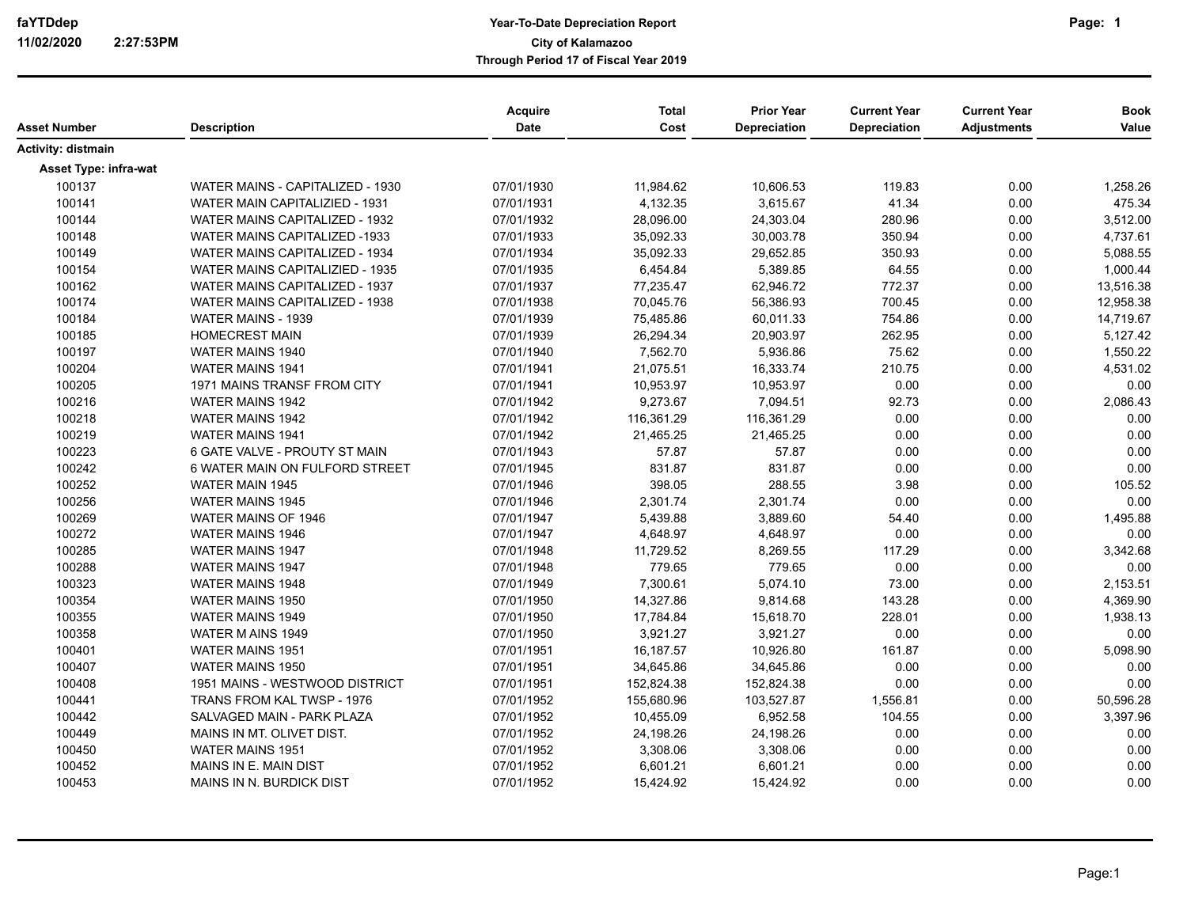| Asset Number                 | <b>Description</b>                    | <b>Acquire</b><br><b>Date</b> | <b>Total</b><br>Cost | <b>Prior Year</b><br>Depreciation | <b>Current Year</b><br>Depreciation | <b>Current Year</b><br><b>Adjustments</b> | <b>Book</b><br>Value |
|------------------------------|---------------------------------------|-------------------------------|----------------------|-----------------------------------|-------------------------------------|-------------------------------------------|----------------------|
| Activity: distmain           |                                       |                               |                      |                                   |                                     |                                           |                      |
|                              |                                       |                               |                      |                                   |                                     |                                           |                      |
| <b>Asset Type: infra-wat</b> |                                       |                               |                      |                                   |                                     |                                           |                      |
| 100137                       | WATER MAINS - CAPITALIZED - 1930      | 07/01/1930                    | 11,984.62            | 10,606.53                         | 119.83                              | 0.00                                      | 1,258.26             |
| 100141                       | WATER MAIN CAPITALIZIED - 1931        | 07/01/1931                    | 4,132.35             | 3,615.67                          | 41.34                               | 0.00                                      | 475.34               |
| 100144                       | WATER MAINS CAPITALIZED - 1932        | 07/01/1932                    | 28,096.00            | 24,303.04                         | 280.96                              | 0.00                                      | 3,512.00             |
| 100148                       | <b>WATER MAINS CAPITALIZED -1933</b>  | 07/01/1933                    | 35,092.33            | 30,003.78                         | 350.94                              | 0.00                                      | 4,737.61             |
| 100149                       | <b>WATER MAINS CAPITALIZED - 1934</b> | 07/01/1934                    | 35,092.33            | 29,652.85                         | 350.93                              | 0.00                                      | 5,088.55             |
| 100154                       | WATER MAINS CAPITALIZIED - 1935       | 07/01/1935                    | 6,454.84             | 5,389.85                          | 64.55                               | 0.00                                      | 1,000.44             |
| 100162                       | WATER MAINS CAPITALIZED - 1937        | 07/01/1937                    | 77,235.47            | 62,946.72                         | 772.37                              | 0.00                                      | 13,516.38            |
| 100174                       | WATER MAINS CAPITALIZED - 1938        | 07/01/1938                    | 70,045.76            | 56,386.93                         | 700.45                              | 0.00                                      | 12,958.38            |
| 100184                       | WATER MAINS - 1939                    | 07/01/1939                    | 75,485.86            | 60,011.33                         | 754.86                              | 0.00                                      | 14,719.67            |
| 100185                       | <b>HOMECREST MAIN</b>                 | 07/01/1939                    | 26,294.34            | 20,903.97                         | 262.95                              | 0.00                                      | 5,127.42             |
| 100197                       | <b>WATER MAINS 1940</b>               | 07/01/1940                    | 7,562.70             | 5,936.86                          | 75.62                               | 0.00                                      | 1,550.22             |
| 100204                       | WATER MAINS 1941                      | 07/01/1941                    | 21,075.51            | 16,333.74                         | 210.75                              | 0.00                                      | 4,531.02             |
| 100205                       | 1971 MAINS TRANSF FROM CITY           | 07/01/1941                    | 10,953.97            | 10,953.97                         | 0.00                                | 0.00                                      | 0.00                 |
| 100216                       | WATER MAINS 1942                      | 07/01/1942                    | 9,273.67             | 7,094.51                          | 92.73                               | 0.00                                      | 2,086.43             |
| 100218                       | <b>WATER MAINS 1942</b>               | 07/01/1942                    | 116,361.29           | 116,361.29                        | 0.00                                | 0.00                                      | 0.00                 |
| 100219                       | <b>WATER MAINS 1941</b>               | 07/01/1942                    | 21,465.25            | 21,465.25                         | 0.00                                | 0.00                                      | 0.00                 |
| 100223                       | 6 GATE VALVE - PROUTY ST MAIN         | 07/01/1943                    | 57.87                | 57.87                             | 0.00                                | 0.00                                      | 0.00                 |
| 100242                       | 6 WATER MAIN ON FULFORD STREET        | 07/01/1945                    | 831.87               | 831.87                            | 0.00                                | 0.00                                      | 0.00                 |
| 100252                       | WATER MAIN 1945                       | 07/01/1946                    | 398.05               | 288.55                            | 3.98                                | 0.00                                      | 105.52               |
| 100256                       | <b>WATER MAINS 1945</b>               | 07/01/1946                    | 2,301.74             | 2,301.74                          | 0.00                                | 0.00                                      | 0.00                 |
| 100269                       | WATER MAINS OF 1946                   | 07/01/1947                    | 5,439.88             | 3,889.60                          | 54.40                               | 0.00                                      | 1,495.88             |
| 100272                       | <b>WATER MAINS 1946</b>               | 07/01/1947                    | 4,648.97             | 4,648.97                          | 0.00                                | 0.00                                      | 0.00                 |
| 100285                       | <b>WATER MAINS 1947</b>               | 07/01/1948                    | 11,729.52            | 8,269.55                          | 117.29                              | 0.00                                      | 3,342.68             |
| 100288                       | <b>WATER MAINS 1947</b>               | 07/01/1948                    | 779.65               | 779.65                            | 0.00                                | 0.00                                      | 0.00                 |
| 100323                       | <b>WATER MAINS 1948</b>               | 07/01/1949                    | 7,300.61             | 5,074.10                          | 73.00                               | 0.00                                      | 2,153.51             |
| 100354                       | <b>WATER MAINS 1950</b>               | 07/01/1950                    | 14,327.86            | 9,814.68                          | 143.28                              | 0.00                                      | 4,369.90             |
| 100355                       | WATER MAINS 1949                      | 07/01/1950                    | 17,784.84            | 15,618.70                         | 228.01                              | 0.00                                      | 1,938.13             |
| 100358                       | WATER M AINS 1949                     | 07/01/1950                    | 3,921.27             | 3,921.27                          | 0.00                                | 0.00                                      | 0.00                 |
| 100401                       | <b>WATER MAINS 1951</b>               | 07/01/1951                    | 16,187.57            | 10,926.80                         | 161.87                              | 0.00                                      | 5,098.90             |
|                              |                                       |                               |                      |                                   |                                     |                                           |                      |
| 100407                       | <b>WATER MAINS 1950</b>               | 07/01/1951                    | 34,645.86            | 34,645.86                         | 0.00                                | 0.00                                      | 0.00                 |
| 100408                       | 1951 MAINS - WESTWOOD DISTRICT        | 07/01/1951                    | 152,824.38           | 152,824.38                        | 0.00                                | 0.00                                      | 0.00                 |
| 100441                       | TRANS FROM KAL TWSP - 1976            | 07/01/1952                    | 155,680.96           | 103,527.87                        | 1,556.81                            | 0.00                                      | 50,596.28            |
| 100442                       | SALVAGED MAIN - PARK PLAZA            | 07/01/1952                    | 10,455.09            | 6,952.58                          | 104.55                              | 0.00                                      | 3,397.96             |
| 100449                       | MAINS IN MT. OLIVET DIST.             | 07/01/1952                    | 24,198.26            | 24,198.26                         | 0.00                                | 0.00                                      | 0.00                 |
| 100450                       | <b>WATER MAINS 1951</b>               | 07/01/1952                    | 3,308.06             | 3,308.06                          | 0.00                                | 0.00                                      | 0.00                 |
| 100452                       | MAINS IN E. MAIN DIST                 | 07/01/1952                    | 6,601.21             | 6,601.21                          | 0.00                                | 0.00                                      | 0.00                 |
| 100453                       | MAINS IN N. BURDICK DIST              | 07/01/1952                    | 15,424.92            | 15,424.92                         | 0.00                                | 0.00                                      | 0.00                 |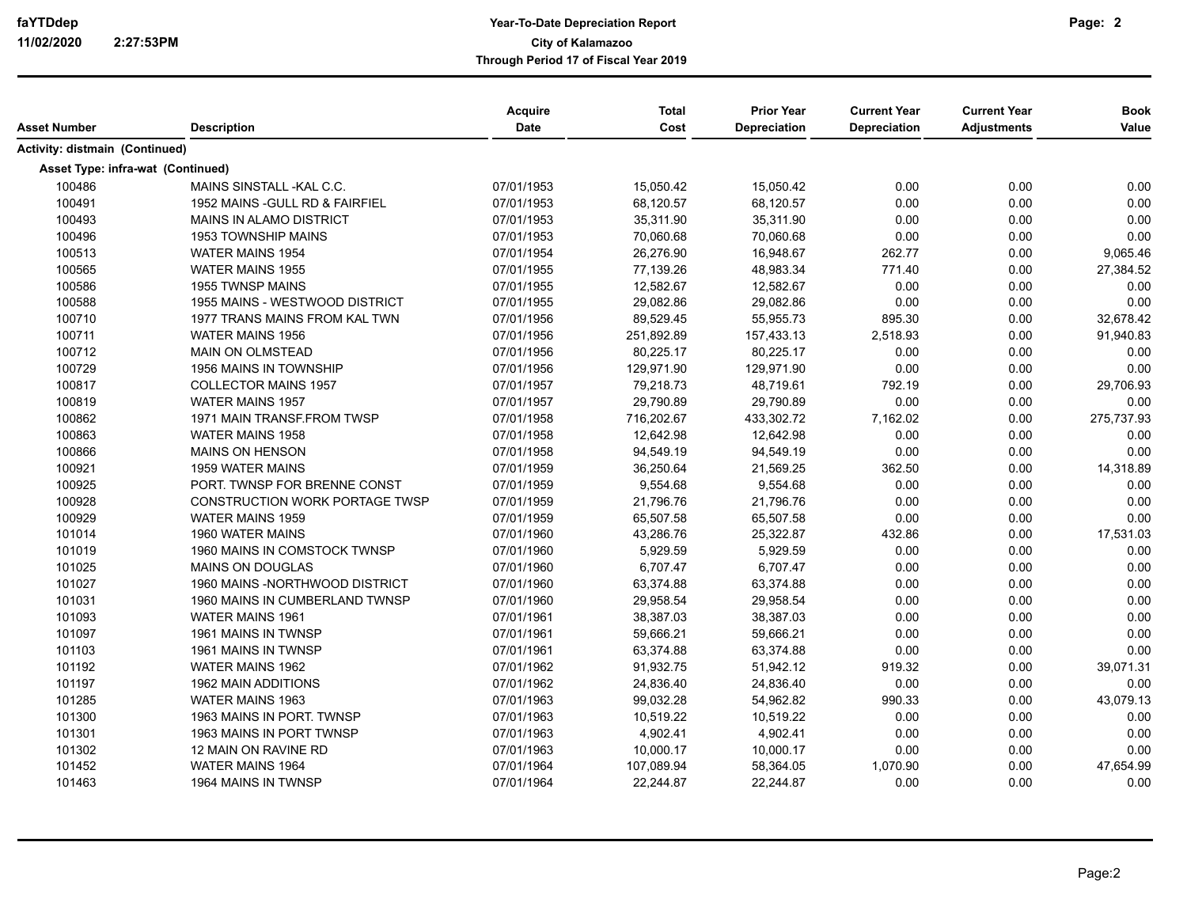| Asset Number                      | <b>Description</b>                    | Acquire<br><b>Date</b> | <b>Total</b><br>Cost | <b>Prior Year</b><br><b>Depreciation</b> | <b>Current Year</b><br>Depreciation | <b>Current Year</b><br><b>Adjustments</b> | <b>Book</b><br>Value |
|-----------------------------------|---------------------------------------|------------------------|----------------------|------------------------------------------|-------------------------------------|-------------------------------------------|----------------------|
| Activity: distmain (Continued)    |                                       |                        |                      |                                          |                                     |                                           |                      |
| Asset Type: infra-wat (Continued) |                                       |                        |                      |                                          |                                     |                                           |                      |
| 100486                            | MAINS SINSTALL-KAL C.C.               | 07/01/1953             | 15,050.42            | 15,050.42                                | 0.00                                | 0.00                                      | 0.00                 |
| 100491                            | 1952 MAINS - GULL RD & FAIRFIEL       | 07/01/1953             | 68,120.57            | 68,120.57                                | 0.00                                | 0.00                                      | 0.00                 |
| 100493                            | <b>MAINS IN ALAMO DISTRICT</b>        | 07/01/1953             | 35,311.90            | 35,311.90                                | 0.00                                | 0.00                                      | 0.00                 |
| 100496                            | <b>1953 TOWNSHIP MAINS</b>            | 07/01/1953             | 70,060.68            | 70,060.68                                | 0.00                                | 0.00                                      | 0.00                 |
| 100513                            | WATER MAINS 1954                      | 07/01/1954             | 26,276.90            | 16,948.67                                | 262.77                              | 0.00                                      | 9,065.46             |
| 100565                            | <b>WATER MAINS 1955</b>               | 07/01/1955             | 77,139.26            | 48,983.34                                | 771.40                              | 0.00                                      | 27,384.52            |
| 100586                            | <b>1955 TWNSP MAINS</b>               | 07/01/1955             | 12.582.67            | 12.582.67                                | 0.00                                | 0.00                                      | 0.00                 |
| 100588                            | 1955 MAINS - WESTWOOD DISTRICT        | 07/01/1955             | 29,082.86            | 29,082.86                                | 0.00                                | 0.00                                      | 0.00                 |
| 100710                            | 1977 TRANS MAINS FROM KAL TWN         | 07/01/1956             | 89,529.45            | 55,955.73                                | 895.30                              | 0.00                                      | 32,678.42            |
| 100711                            | <b>WATER MAINS 1956</b>               | 07/01/1956             | 251,892.89           | 157,433.13                               | 2,518.93                            | 0.00                                      | 91,940.83            |
| 100712                            | <b>MAIN ON OLMSTEAD</b>               | 07/01/1956             | 80,225.17            | 80,225.17                                | 0.00                                | 0.00                                      | 0.00                 |
| 100729                            | <b>1956 MAINS IN TOWNSHIP</b>         | 07/01/1956             | 129,971.90           | 129,971.90                               | 0.00                                | 0.00                                      | 0.00                 |
| 100817                            | <b>COLLECTOR MAINS 1957</b>           | 07/01/1957             | 79,218.73            | 48,719.61                                | 792.19                              | 0.00                                      | 29,706.93            |
| 100819                            | <b>WATER MAINS 1957</b>               | 07/01/1957             | 29,790.89            | 29,790.89                                | 0.00                                | 0.00                                      | 0.00                 |
| 100862                            | 1971 MAIN TRANSF FROM TWSP            | 07/01/1958             | 716,202.67           | 433,302.72                               | 7,162.02                            | 0.00                                      | 275,737.93           |
| 100863                            | <b>WATER MAINS 1958</b>               | 07/01/1958             | 12,642.98            | 12,642.98                                | 0.00                                | 0.00                                      | 0.00                 |
| 100866                            | MAINS ON HENSON                       | 07/01/1958             | 94,549.19            | 94,549.19                                | 0.00                                | 0.00                                      | 0.00                 |
| 100921                            | 1959 WATER MAINS                      | 07/01/1959             | 36,250.64            | 21,569.25                                | 362.50                              | 0.00                                      | 14,318.89            |
| 100925                            | PORT. TWNSP FOR BRENNE CONST          | 07/01/1959             | 9,554.68             | 9,554.68                                 | 0.00                                | 0.00                                      | 0.00                 |
| 100928                            | <b>CONSTRUCTION WORK PORTAGE TWSP</b> | 07/01/1959             | 21,796.76            | 21,796.76                                | 0.00                                | 0.00                                      | 0.00                 |
| 100929                            | <b>WATER MAINS 1959</b>               | 07/01/1959             | 65,507.58            | 65,507.58                                | 0.00                                | 0.00                                      | 0.00                 |
| 101014                            | 1960 WATER MAINS                      | 07/01/1960             | 43,286.76            | 25,322.87                                | 432.86                              | 0.00                                      | 17,531.03            |
| 101019                            | 1960 MAINS IN COMSTOCK TWNSP          | 07/01/1960             | 5,929.59             | 5,929.59                                 | 0.00                                | 0.00                                      | 0.00                 |
| 101025                            | <b>MAINS ON DOUGLAS</b>               | 07/01/1960             | 6,707.47             | 6,707.47                                 | 0.00                                | 0.00                                      | 0.00                 |
| 101027                            | 1960 MAINS - NORTHWOOD DISTRICT       | 07/01/1960             | 63,374.88            | 63,374.88                                | 0.00                                | 0.00                                      | 0.00                 |
| 101031                            | 1960 MAINS IN CUMBERLAND TWNSP        | 07/01/1960             | 29,958.54            | 29,958.54                                | 0.00                                | 0.00                                      | 0.00                 |
| 101093                            | <b>WATER MAINS 1961</b>               | 07/01/1961             | 38,387.03            | 38,387.03                                | 0.00                                | 0.00                                      | 0.00                 |
| 101097                            | 1961 MAINS IN TWNSP                   | 07/01/1961             | 59,666.21            | 59,666.21                                | 0.00                                | 0.00                                      | 0.00                 |
| 101103                            | 1961 MAINS IN TWNSP                   | 07/01/1961             | 63,374.88            | 63,374.88                                | 0.00                                | 0.00                                      | 0.00                 |
| 101192                            | <b>WATER MAINS 1962</b>               | 07/01/1962             | 91,932.75            | 51,942.12                                | 919.32                              | 0.00                                      | 39,071.31            |
| 101197                            | <b>1962 MAIN ADDITIONS</b>            | 07/01/1962             | 24,836.40            | 24,836.40                                | 0.00                                | 0.00                                      | 0.00                 |
| 101285                            | WATER MAINS 1963                      | 07/01/1963             | 99,032.28            | 54,962.82                                | 990.33                              | 0.00                                      | 43,079.13            |
| 101300                            | 1963 MAINS IN PORT. TWNSP             | 07/01/1963             | 10,519.22            | 10,519.22                                | 0.00                                | 0.00                                      | 0.00                 |
| 101301                            | 1963 MAINS IN PORT TWNSP              | 07/01/1963             | 4,902.41             | 4,902.41                                 | 0.00                                | 0.00                                      | 0.00                 |
| 101302                            | 12 MAIN ON RAVINE RD                  | 07/01/1963             | 10,000.17            | 10,000.17                                | 0.00                                | 0.00                                      | 0.00                 |
| 101452                            | <b>WATER MAINS 1964</b>               | 07/01/1964             | 107,089.94           | 58,364.05                                | 1,070.90                            | 0.00                                      | 47,654.99            |
| 101463                            | 1964 MAINS IN TWNSP                   | 07/01/1964             | 22,244.87            | 22,244.87                                | 0.00                                | 0.00                                      | 0.00                 |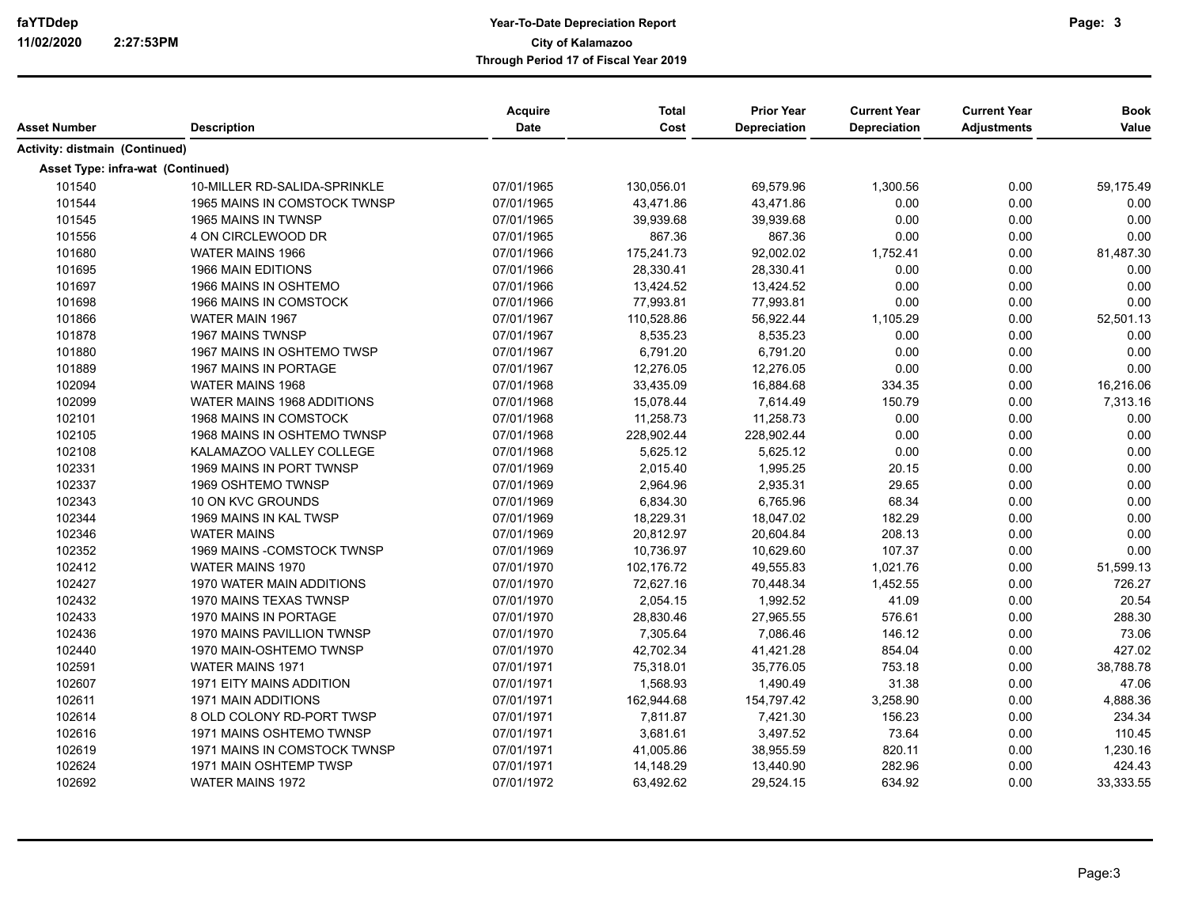| Asset Number                      | <b>Description</b>            | <b>Acquire</b><br><b>Date</b> | <b>Total</b><br>Cost | <b>Prior Year</b><br><b>Depreciation</b> | <b>Current Year</b><br>Depreciation | <b>Current Year</b><br><b>Adjustments</b> | <b>Book</b><br>Value |
|-----------------------------------|-------------------------------|-------------------------------|----------------------|------------------------------------------|-------------------------------------|-------------------------------------------|----------------------|
| Activity: distmain (Continued)    |                               |                               |                      |                                          |                                     |                                           |                      |
| Asset Type: infra-wat (Continued) |                               |                               |                      |                                          |                                     |                                           |                      |
| 101540                            | 10-MILLER RD-SALIDA-SPRINKLE  | 07/01/1965                    | 130,056.01           | 69,579.96                                | 1,300.56                            | 0.00                                      | 59,175.49            |
| 101544                            | 1965 MAINS IN COMSTOCK TWNSP  | 07/01/1965                    | 43,471.86            | 43,471.86                                | 0.00                                | 0.00                                      | 0.00                 |
| 101545                            | 1965 MAINS IN TWNSP           | 07/01/1965                    | 39,939.68            | 39,939.68                                | 0.00                                | 0.00                                      | 0.00                 |
| 101556                            | 4 ON CIRCLEWOOD DR            | 07/01/1965                    | 867.36               | 867.36                                   | 0.00                                | 0.00                                      | 0.00                 |
| 101680                            | WATER MAINS 1966              | 07/01/1966                    | 175,241.73           | 92,002.02                                | 1,752.41                            | 0.00                                      | 81,487.30            |
| 101695                            | 1966 MAIN EDITIONS            | 07/01/1966                    | 28,330.41            | 28,330.41                                | 0.00                                | 0.00                                      | 0.00                 |
| 101697                            | 1966 MAINS IN OSHTEMO         | 07/01/1966                    | 13,424.52            | 13,424.52                                | 0.00                                | 0.00                                      | 0.00                 |
| 101698                            | 1966 MAINS IN COMSTOCK        | 07/01/1966                    | 77,993.81            | 77,993.81                                | 0.00                                | 0.00                                      | 0.00                 |
| 101866                            | WATER MAIN 1967               | 07/01/1967                    | 110,528.86           | 56,922.44                                | 1,105.29                            | 0.00                                      | 52,501.13            |
| 101878                            | 1967 MAINS TWNSP              | 07/01/1967                    | 8,535.23             | 8,535.23                                 | 0.00                                | 0.00                                      | 0.00                 |
| 101880                            | 1967 MAINS IN OSHTEMO TWSP    | 07/01/1967                    | 6,791.20             | 6,791.20                                 | 0.00                                | 0.00                                      | 0.00                 |
| 101889                            | 1967 MAINS IN PORTAGE         | 07/01/1967                    | 12,276.05            | 12,276.05                                | 0.00                                | 0.00                                      | 0.00                 |
| 102094                            | <b>WATER MAINS 1968</b>       | 07/01/1968                    | 33,435.09            | 16,884.68                                | 334.35                              | 0.00                                      | 16,216.06            |
| 102099                            | WATER MAINS 1968 ADDITIONS    | 07/01/1968                    | 15,078.44            | 7,614.49                                 | 150.79                              | 0.00                                      | 7,313.16             |
| 102101                            | <b>1968 MAINS IN COMSTOCK</b> | 07/01/1968                    | 11,258.73            | 11,258.73                                | 0.00                                | 0.00                                      | 0.00                 |
| 102105                            | 1968 MAINS IN OSHTEMO TWNSP   | 07/01/1968                    | 228,902.44           | 228,902.44                               | 0.00                                | 0.00                                      | 0.00                 |
| 102108                            | KALAMAZOO VALLEY COLLEGE      | 07/01/1968                    | 5,625.12             | 5,625.12                                 | 0.00                                | 0.00                                      | 0.00                 |
| 102331                            | 1969 MAINS IN PORT TWNSP      | 07/01/1969                    | 2,015.40             | 1,995.25                                 | 20.15                               | 0.00                                      | 0.00                 |
| 102337                            | 1969 OSHTEMO TWNSP            | 07/01/1969                    | 2,964.96             | 2,935.31                                 | 29.65                               | 0.00                                      | 0.00                 |
| 102343                            | 10 ON KVC GROUNDS             | 07/01/1969                    | 6,834.30             | 6.765.96                                 | 68.34                               | 0.00                                      | 0.00                 |
| 102344                            | 1969 MAINS IN KAL TWSP        | 07/01/1969                    | 18,229.31            | 18,047.02                                | 182.29                              | 0.00                                      | 0.00                 |
| 102346                            | <b>WATER MAINS</b>            | 07/01/1969                    | 20,812.97            | 20,604.84                                | 208.13                              | 0.00                                      | 0.00                 |
| 102352                            | 1969 MAINS - COMSTOCK TWNSP   | 07/01/1969                    | 10,736.97            | 10,629.60                                | 107.37                              | 0.00                                      | 0.00                 |
| 102412                            | <b>WATER MAINS 1970</b>       | 07/01/1970                    | 102,176.72           | 49,555.83                                | 1,021.76                            | 0.00                                      | 51,599.13            |
| 102427                            | 1970 WATER MAIN ADDITIONS     | 07/01/1970                    | 72,627.16            | 70,448.34                                | 1,452.55                            | 0.00                                      | 726.27               |
| 102432                            | 1970 MAINS TEXAS TWNSP        | 07/01/1970                    | 2,054.15             | 1,992.52                                 | 41.09                               | 0.00                                      | 20.54                |
| 102433                            | 1970 MAINS IN PORTAGE         | 07/01/1970                    | 28,830.46            | 27,965.55                                | 576.61                              | 0.00                                      | 288.30               |
| 102436                            | 1970 MAINS PAVILLION TWNSP    | 07/01/1970                    | 7,305.64             | 7,086.46                                 | 146.12                              | 0.00                                      | 73.06                |
| 102440                            | 1970 MAIN-OSHTEMO TWNSP       | 07/01/1970                    | 42,702.34            | 41,421.28                                | 854.04                              | 0.00                                      | 427.02               |
| 102591                            | <b>WATER MAINS 1971</b>       | 07/01/1971                    | 75,318.01            | 35,776.05                                | 753.18                              | 0.00                                      | 38,788.78            |
| 102607                            | 1971 EITY MAINS ADDITION      | 07/01/1971                    | 1,568.93             | 1,490.49                                 | 31.38                               | 0.00                                      | 47.06                |
| 102611                            | <b>1971 MAIN ADDITIONS</b>    | 07/01/1971                    | 162,944.68           | 154,797.42                               | 3,258.90                            | 0.00                                      | 4,888.36             |
| 102614                            | 8 OLD COLONY RD-PORT TWSP     | 07/01/1971                    | 7,811.87             | 7,421.30                                 | 156.23                              | 0.00                                      | 234.34               |
| 102616                            | 1971 MAINS OSHTEMO TWNSP      | 07/01/1971                    | 3,681.61             | 3,497.52                                 | 73.64                               | 0.00                                      | 110.45               |
| 102619                            | 1971 MAINS IN COMSTOCK TWNSP  | 07/01/1971                    | 41,005.86            | 38,955.59                                | 820.11                              | 0.00                                      | 1,230.16             |
| 102624                            | 1971 MAIN OSHTEMP TWSP        | 07/01/1971                    | 14,148.29            | 13,440.90                                | 282.96                              | 0.00                                      | 424.43               |
| 102692                            | WATER MAINS 1972              | 07/01/1972                    | 63,492.62            | 29,524.15                                | 634.92                              | 0.00                                      | 33,333.55            |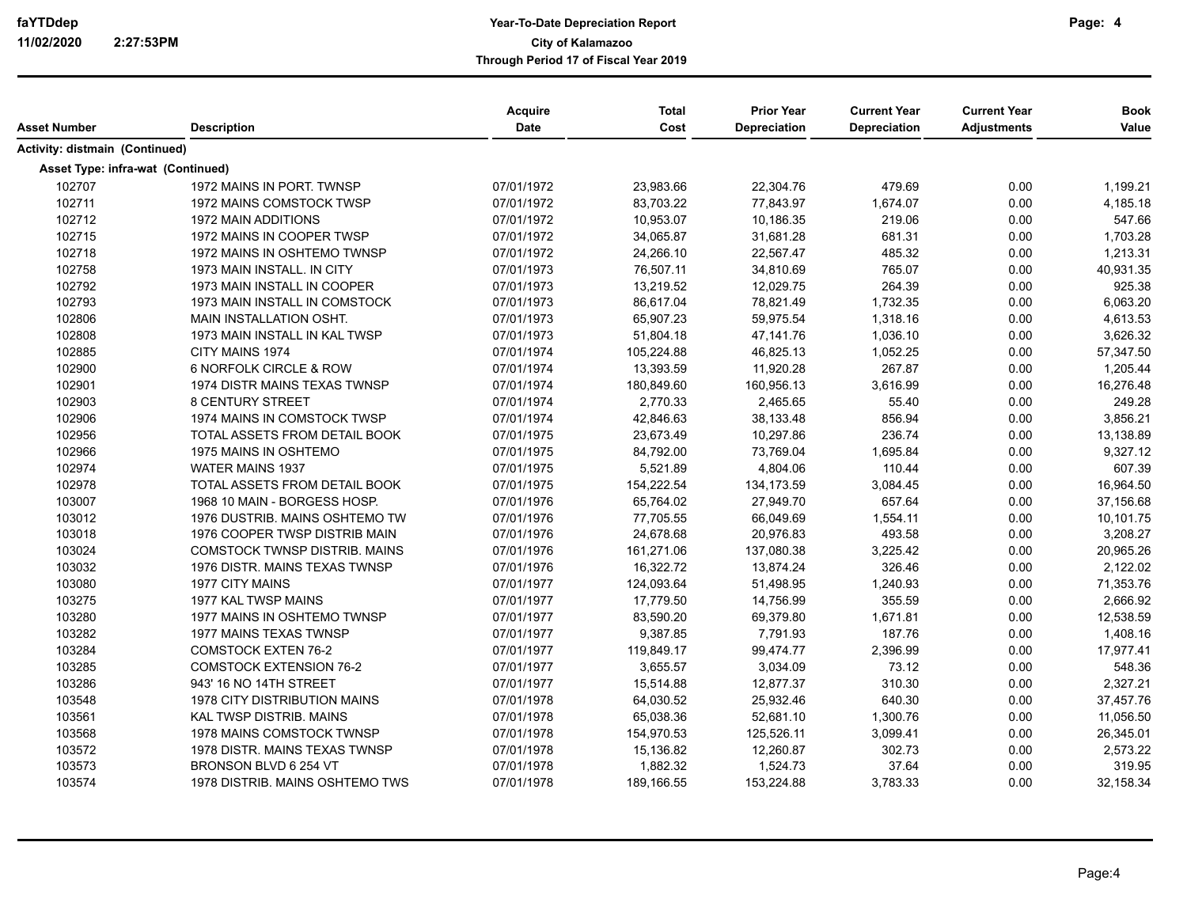| Asset Number                      | <b>Description</b>                   | Acquire<br>Date | <b>Total</b><br>Cost | <b>Prior Year</b><br>Depreciation | <b>Current Year</b><br><b>Depreciation</b> | <b>Current Year</b><br><b>Adjustments</b> | <b>Book</b><br>Value |
|-----------------------------------|--------------------------------------|-----------------|----------------------|-----------------------------------|--------------------------------------------|-------------------------------------------|----------------------|
| Activity: distmain (Continued)    |                                      |                 |                      |                                   |                                            |                                           |                      |
| Asset Type: infra-wat (Continued) |                                      |                 |                      |                                   |                                            |                                           |                      |
| 102707                            | 1972 MAINS IN PORT. TWNSP            | 07/01/1972      | 23,983.66            | 22,304.76                         | 479.69                                     | 0.00                                      | 1,199.21             |
| 102711                            | 1972 MAINS COMSTOCK TWSP             | 07/01/1972      | 83,703.22            | 77,843.97                         | 1,674.07                                   | 0.00                                      | 4,185.18             |
| 102712                            | 1972 MAIN ADDITIONS                  | 07/01/1972      | 10,953.07            | 10,186.35                         | 219.06                                     | 0.00                                      | 547.66               |
| 102715                            | 1972 MAINS IN COOPER TWSP            | 07/01/1972      | 34,065.87            | 31,681.28                         | 681.31                                     | 0.00                                      | 1,703.28             |
| 102718                            | 1972 MAINS IN OSHTEMO TWNSP          | 07/01/1972      | 24,266.10            | 22,567.47                         | 485.32                                     | 0.00                                      | 1,213.31             |
| 102758                            | 1973 MAIN INSTALL. IN CITY           | 07/01/1973      | 76,507.11            | 34,810.69                         | 765.07                                     | 0.00                                      | 40,931.35            |
| 102792                            | 1973 MAIN INSTALL IN COOPER          | 07/01/1973      | 13,219.52            | 12,029.75                         | 264.39                                     | 0.00                                      | 925.38               |
| 102793                            | 1973 MAIN INSTALL IN COMSTOCK        | 07/01/1973      | 86,617.04            | 78,821.49                         | 1,732.35                                   | 0.00                                      | 6,063.20             |
| 102806                            | MAIN INSTALLATION OSHT.              | 07/01/1973      | 65,907.23            | 59,975.54                         | 1,318.16                                   | 0.00                                      | 4,613.53             |
| 102808                            | 1973 MAIN INSTALL IN KAL TWSP        | 07/01/1973      | 51,804.18            | 47,141.76                         | 1,036.10                                   | 0.00                                      | 3,626.32             |
| 102885                            | CITY MAINS 1974                      | 07/01/1974      | 105,224.88           | 46,825.13                         | 1,052.25                                   | 0.00                                      | 57,347.50            |
| 102900                            | 6 NORFOLK CIRCLE & ROW               | 07/01/1974      | 13,393.59            | 11,920.28                         | 267.87                                     | 0.00                                      | 1,205.44             |
| 102901                            | 1974 DISTR MAINS TEXAS TWNSP         | 07/01/1974      | 180,849.60           | 160,956.13                        | 3,616.99                                   | 0.00                                      | 16,276.48            |
| 102903                            | <b>8 CENTURY STREET</b>              | 07/01/1974      | 2,770.33             | 2,465.65                          | 55.40                                      | 0.00                                      | 249.28               |
| 102906                            | 1974 MAINS IN COMSTOCK TWSP          | 07/01/1974      | 42,846.63            | 38,133.48                         | 856.94                                     | 0.00                                      | 3,856.21             |
| 102956                            | TOTAL ASSETS FROM DETAIL BOOK        | 07/01/1975      | 23,673.49            | 10,297.86                         | 236.74                                     | 0.00                                      | 13,138.89            |
| 102966                            | 1975 MAINS IN OSHTEMO                | 07/01/1975      | 84,792.00            | 73,769.04                         | 1,695.84                                   | 0.00                                      | 9,327.12             |
| 102974                            | <b>WATER MAINS 1937</b>              | 07/01/1975      | 5,521.89             | 4,804.06                          | 110.44                                     | 0.00                                      | 607.39               |
| 102978                            | TOTAL ASSETS FROM DETAIL BOOK        | 07/01/1975      | 154,222.54           | 134,173.59                        | 3,084.45                                   | 0.00                                      | 16,964.50            |
| 103007                            | 1968 10 MAIN - BORGESS HOSP.         | 07/01/1976      | 65,764.02            | 27,949.70                         | 657.64                                     | 0.00                                      | 37,156.68            |
| 103012                            | 1976 DUSTRIB. MAINS OSHTEMO TW       | 07/01/1976      | 77,705.55            | 66,049.69                         | 1,554.11                                   | 0.00                                      | 10,101.75            |
| 103018                            | 1976 COOPER TWSP DISTRIB MAIN        | 07/01/1976      | 24,678.68            | 20,976.83                         | 493.58                                     | 0.00                                      | 3,208.27             |
| 103024                            | <b>COMSTOCK TWNSP DISTRIB, MAINS</b> | 07/01/1976      | 161,271.06           | 137,080.38                        | 3,225.42                                   | 0.00                                      | 20,965.26            |
| 103032                            | 1976 DISTR. MAINS TEXAS TWNSP        | 07/01/1976      | 16,322.72            | 13,874.24                         | 326.46                                     | 0.00                                      | 2,122.02             |
| 103080                            | <b>1977 CITY MAINS</b>               | 07/01/1977      | 124,093.64           | 51,498.95                         | 1,240.93                                   | 0.00                                      | 71,353.76            |
| 103275                            | 1977 KAL TWSP MAINS                  | 07/01/1977      | 17,779.50            | 14,756.99                         | 355.59                                     | 0.00                                      | 2,666.92             |
| 103280                            | 1977 MAINS IN OSHTEMO TWNSP          | 07/01/1977      | 83,590.20            | 69,379.80                         | 1,671.81                                   | 0.00                                      | 12,538.59            |
| 103282                            | 1977 MAINS TEXAS TWNSP               | 07/01/1977      | 9,387.85             | 7,791.93                          | 187.76                                     | 0.00                                      | 1,408.16             |
| 103284                            | <b>COMSTOCK EXTEN 76-2</b>           | 07/01/1977      | 119,849.17           | 99,474.77                         | 2,396.99                                   | 0.00                                      | 17,977.41            |
| 103285                            | <b>COMSTOCK EXTENSION 76-2</b>       | 07/01/1977      | 3,655.57             | 3,034.09                          | 73.12                                      | 0.00                                      | 548.36               |
| 103286                            | 943' 16 NO 14TH STREET               | 07/01/1977      | 15,514.88            | 12,877.37                         | 310.30                                     | 0.00                                      | 2,327.21             |
| 103548                            | 1978 CITY DISTRIBUTION MAINS         | 07/01/1978      | 64,030.52            | 25,932.46                         | 640.30                                     | 0.00                                      | 37,457.76            |
| 103561                            | KAL TWSP DISTRIB. MAINS              | 07/01/1978      | 65,038.36            | 52,681.10                         | 1,300.76                                   | 0.00                                      | 11,056.50            |
| 103568                            | 1978 MAINS COMSTOCK TWNSP            | 07/01/1978      | 154,970.53           | 125,526.11                        | 3,099.41                                   | 0.00                                      | 26,345.01            |
| 103572                            | 1978 DISTR. MAINS TEXAS TWNSP        | 07/01/1978      | 15,136.82            | 12,260.87                         | 302.73                                     | 0.00                                      | 2,573.22             |
| 103573                            | BRONSON BLVD 6 254 VT                | 07/01/1978      | 1,882.32             | 1,524.73                          | 37.64                                      | 0.00                                      | 319.95               |
| 103574                            | 1978 DISTRIB. MAINS OSHTEMO TWS      | 07/01/1978      | 189,166.55           | 153,224.88                        | 3,783.33                                   | 0.00                                      | 32,158.34            |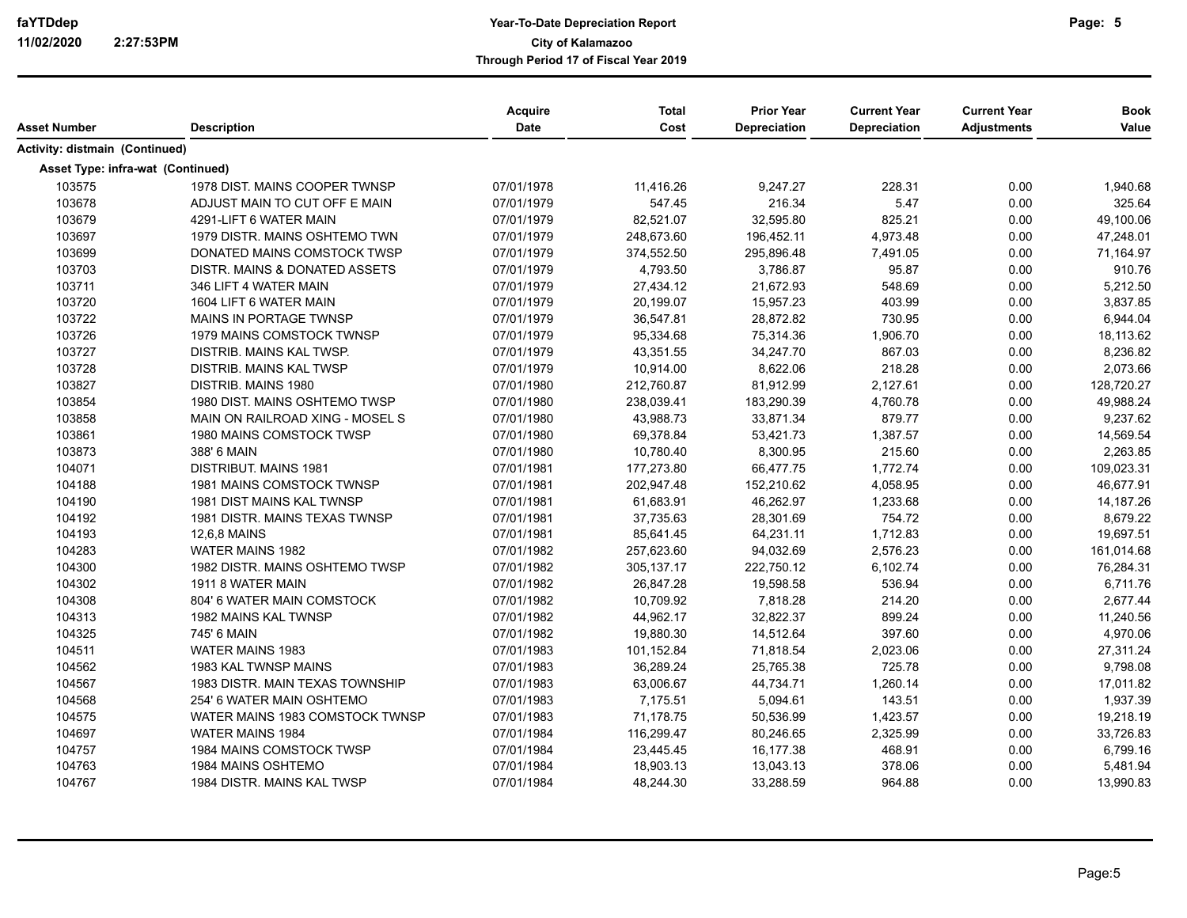| Asset Number                      | <b>Description</b>              | Acquire<br>Date | <b>Total</b><br>Cost | <b>Prior Year</b><br><b>Depreciation</b> | <b>Current Year</b><br>Depreciation | <b>Current Year</b><br><b>Adjustments</b> | <b>Book</b><br>Value |
|-----------------------------------|---------------------------------|-----------------|----------------------|------------------------------------------|-------------------------------------|-------------------------------------------|----------------------|
| Activity: distmain (Continued)    |                                 |                 |                      |                                          |                                     |                                           |                      |
| Asset Type: infra-wat (Continued) |                                 |                 |                      |                                          |                                     |                                           |                      |
| 103575                            | 1978 DIST, MAINS COOPER TWNSP   | 07/01/1978      | 11,416.26            | 9,247.27                                 | 228.31                              | 0.00                                      | 1,940.68             |
| 103678                            | ADJUST MAIN TO CUT OFF E MAIN   | 07/01/1979      | 547.45               | 216.34                                   | 5.47                                | 0.00                                      | 325.64               |
| 103679                            | 4291-LIFT 6 WATER MAIN          | 07/01/1979      | 82,521.07            | 32,595.80                                | 825.21                              | 0.00                                      | 49,100.06            |
| 103697                            | 1979 DISTR. MAINS OSHTEMO TWN   | 07/01/1979      | 248,673.60           | 196,452.11                               | 4,973.48                            | 0.00                                      | 47,248.01            |
| 103699                            | DONATED MAINS COMSTOCK TWSP     | 07/01/1979      | 374,552.50           | 295,896.48                               | 7,491.05                            | 0.00                                      | 71,164.97            |
| 103703                            | DISTR. MAINS & DONATED ASSETS   | 07/01/1979      | 4,793.50             | 3.786.87                                 | 95.87                               | 0.00                                      | 910.76               |
| 103711                            | 346 LIFT 4 WATER MAIN           | 07/01/1979      | 27,434.12            | 21,672.93                                | 548.69                              | 0.00                                      | 5,212.50             |
| 103720                            | 1604 LIFT 6 WATER MAIN          | 07/01/1979      | 20,199.07            | 15,957.23                                | 403.99                              | 0.00                                      | 3,837.85             |
| 103722                            | <b>MAINS IN PORTAGE TWNSP</b>   | 07/01/1979      | 36,547.81            | 28,872.82                                | 730.95                              | 0.00                                      | 6,944.04             |
| 103726                            | 1979 MAINS COMSTOCK TWNSP       | 07/01/1979      | 95,334.68            | 75,314.36                                | 1,906.70                            | 0.00                                      | 18,113.62            |
| 103727                            | DISTRIB. MAINS KAL TWSP.        | 07/01/1979      | 43,351.55            | 34,247.70                                | 867.03                              | 0.00                                      | 8,236.82             |
| 103728                            | DISTRIB. MAINS KAL TWSP         | 07/01/1979      | 10,914.00            | 8,622.06                                 | 218.28                              | 0.00                                      | 2,073.66             |
| 103827                            | DISTRIB. MAINS 1980             | 07/01/1980      | 212,760.87           | 81,912.99                                | 2,127.61                            | 0.00                                      | 128,720.27           |
| 103854                            | 1980 DIST. MAINS OSHTEMO TWSP   | 07/01/1980      | 238,039.41           | 183,290.39                               | 4,760.78                            | 0.00                                      | 49,988.24            |
| 103858                            | MAIN ON RAILROAD XING - MOSEL S | 07/01/1980      | 43,988.73            | 33,871.34                                | 879.77                              | 0.00                                      | 9,237.62             |
| 103861                            | 1980 MAINS COMSTOCK TWSP        | 07/01/1980      | 69,378.84            | 53,421.73                                | 1,387.57                            | 0.00                                      | 14,569.54            |
| 103873                            | 388' 6 MAIN                     | 07/01/1980      | 10,780.40            | 8,300.95                                 | 215.60                              | 0.00                                      | 2,263.85             |
| 104071                            | <b>DISTRIBUT, MAINS 1981</b>    | 07/01/1981      | 177,273.80           | 66,477.75                                | 1,772.74                            | 0.00                                      | 109,023.31           |
| 104188                            | 1981 MAINS COMSTOCK TWNSP       | 07/01/1981      | 202,947.48           | 152,210.62                               | 4,058.95                            | 0.00                                      | 46,677.91            |
| 104190                            | 1981 DIST MAINS KAL TWNSP       | 07/01/1981      | 61,683.91            | 46,262.97                                | 1,233.68                            | 0.00                                      | 14,187.26            |
| 104192                            | 1981 DISTR. MAINS TEXAS TWNSP   | 07/01/1981      | 37,735.63            | 28,301.69                                | 754.72                              | 0.00                                      | 8,679.22             |
| 104193                            | 12,6,8 MAINS                    | 07/01/1981      | 85,641.45            | 64,231.11                                | 1,712.83                            | 0.00                                      | 19,697.51            |
| 104283                            | <b>WATER MAINS 1982</b>         | 07/01/1982      | 257,623.60           | 94,032.69                                | 2,576.23                            | 0.00                                      | 161,014.68           |
| 104300                            | 1982 DISTR. MAINS OSHTEMO TWSP  | 07/01/1982      | 305, 137.17          | 222,750.12                               | 6,102.74                            | 0.00                                      | 76,284.31            |
| 104302                            | 1911 8 WATER MAIN               | 07/01/1982      | 26,847.28            | 19,598.58                                | 536.94                              | 0.00                                      | 6,711.76             |
| 104308                            | 804' 6 WATER MAIN COMSTOCK      | 07/01/1982      | 10,709.92            | 7,818.28                                 | 214.20                              | 0.00                                      | 2,677.44             |
| 104313                            | 1982 MAINS KAL TWNSP            | 07/01/1982      | 44,962.17            | 32,822.37                                | 899.24                              | 0.00                                      | 11,240.56            |
| 104325                            | 745' 6 MAIN                     | 07/01/1982      | 19,880.30            | 14,512.64                                | 397.60                              | 0.00                                      | 4,970.06             |
| 104511                            | <b>WATER MAINS 1983</b>         | 07/01/1983      | 101,152.84           | 71,818.54                                | 2,023.06                            | 0.00                                      | 27,311.24            |
| 104562                            | 1983 KAL TWNSP MAINS            | 07/01/1983      | 36,289.24            | 25,765.38                                | 725.78                              | 0.00                                      | 9,798.08             |
| 104567                            | 1983 DISTR. MAIN TEXAS TOWNSHIP | 07/01/1983      | 63,006.67            | 44,734.71                                | 1,260.14                            | 0.00                                      | 17,011.82            |
| 104568                            | 254' 6 WATER MAIN OSHTEMO       | 07/01/1983      | 7,175.51             | 5,094.61                                 | 143.51                              | 0.00                                      | 1,937.39             |
| 104575                            | WATER MAINS 1983 COMSTOCK TWNSP | 07/01/1983      | 71,178.75            | 50,536.99                                | 1,423.57                            | 0.00                                      | 19,218.19            |
| 104697                            | <b>WATER MAINS 1984</b>         | 07/01/1984      | 116,299.47           | 80,246.65                                | 2,325.99                            | 0.00                                      | 33,726.83            |
| 104757                            | 1984 MAINS COMSTOCK TWSP        | 07/01/1984      | 23,445.45            | 16,177.38                                | 468.91                              | 0.00                                      | 6,799.16             |
| 104763                            | 1984 MAINS OSHTEMO              | 07/01/1984      | 18,903.13            | 13,043.13                                | 378.06                              | 0.00                                      | 5,481.94             |
| 104767                            | 1984 DISTR. MAINS KAL TWSP      | 07/01/1984      | 48,244.30            | 33,288.59                                | 964.88                              | 0.00                                      | 13,990.83            |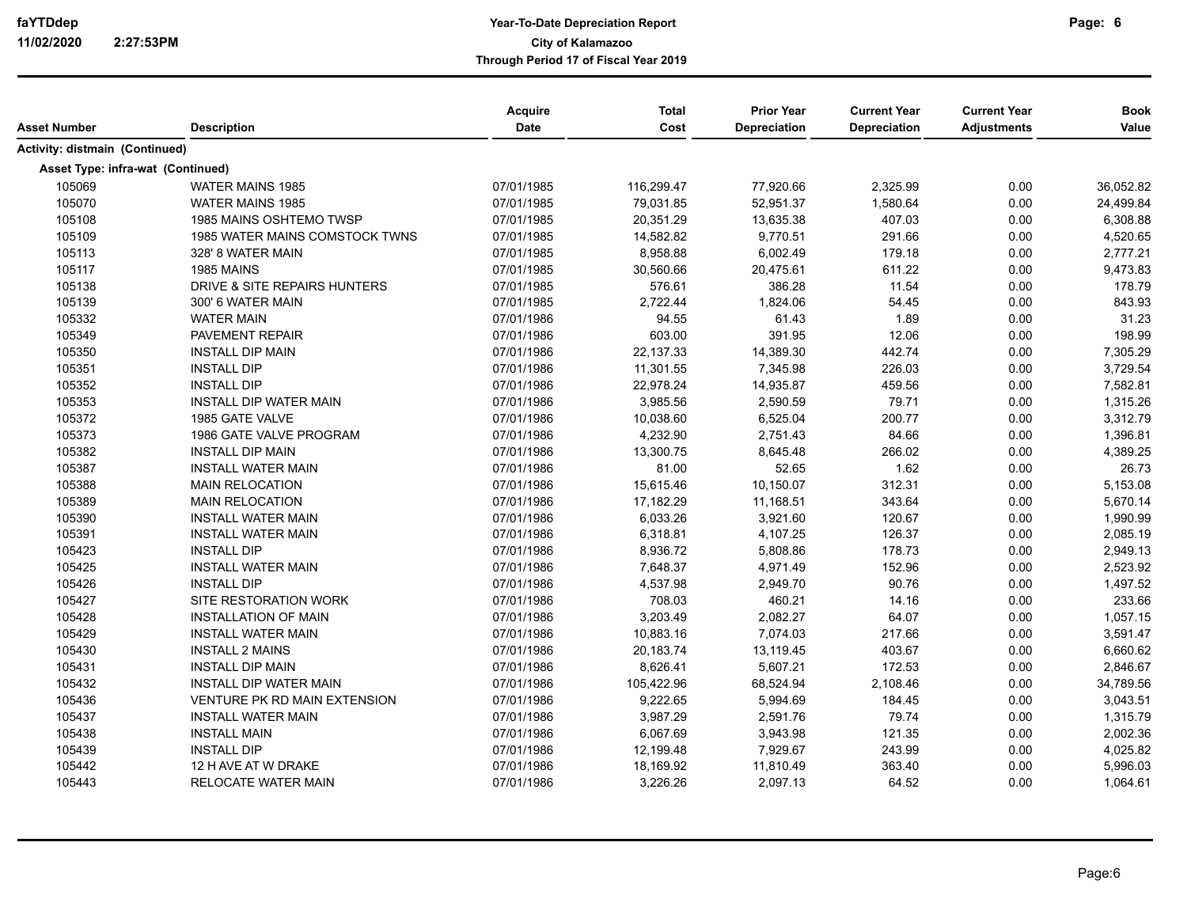|                                       |                                | Acquire     | <b>Total</b> | <b>Prior Year</b>   | <b>Current Year</b> | <b>Current Year</b> | <b>Book</b> |
|---------------------------------------|--------------------------------|-------------|--------------|---------------------|---------------------|---------------------|-------------|
| <b>Asset Number</b>                   | <b>Description</b>             | <b>Date</b> | Cost         | <b>Depreciation</b> | Depreciation        | <b>Adjustments</b>  | Value       |
| <b>Activity: distmain (Continued)</b> |                                |             |              |                     |                     |                     |             |
| Asset Type: infra-wat (Continued)     |                                |             |              |                     |                     |                     |             |
| 105069                                | <b>WATER MAINS 1985</b>        | 07/01/1985  | 116,299.47   | 77,920.66           | 2,325.99            | 0.00                | 36,052.82   |
| 105070                                | <b>WATER MAINS 1985</b>        | 07/01/1985  | 79,031.85    | 52,951.37           | 1,580.64            | 0.00                | 24,499.84   |
| 105108                                | 1985 MAINS OSHTEMO TWSP        | 07/01/1985  | 20,351.29    | 13,635.38           | 407.03              | 0.00                | 6,308.88    |
| 105109                                | 1985 WATER MAINS COMSTOCK TWNS | 07/01/1985  | 14,582.82    | 9,770.51            | 291.66              | 0.00                | 4,520.65    |
| 105113                                | 328' 8 WATER MAIN              | 07/01/1985  | 8,958.88     | 6,002.49            | 179.18              | 0.00                | 2,777.21    |
| 105117                                | 1985 MAINS                     | 07/01/1985  | 30,560.66    | 20,475.61           | 611.22              | 0.00                | 9,473.83    |
| 105138                                | DRIVE & SITE REPAIRS HUNTERS   | 07/01/1985  | 576.61       | 386.28              | 11.54               | 0.00                | 178.79      |
| 105139                                | 300' 6 WATER MAIN              | 07/01/1985  | 2,722.44     | 1,824.06            | 54.45               | 0.00                | 843.93      |
| 105332                                | <b>WATER MAIN</b>              | 07/01/1986  | 94.55        | 61.43               | 1.89                | 0.00                | 31.23       |
| 105349                                | PAVEMENT REPAIR                | 07/01/1986  | 603.00       | 391.95              | 12.06               | 0.00                | 198.99      |
| 105350                                | <b>INSTALL DIP MAIN</b>        | 07/01/1986  | 22,137.33    | 14,389.30           | 442.74              | 0.00                | 7,305.29    |
| 105351                                | <b>INSTALL DIP</b>             | 07/01/1986  | 11,301.55    | 7,345.98            | 226.03              | 0.00                | 3,729.54    |
| 105352                                | <b>INSTALL DIP</b>             | 07/01/1986  | 22,978.24    | 14,935.87           | 459.56              | 0.00                | 7,582.81    |
| 105353                                | <b>INSTALL DIP WATER MAIN</b>  | 07/01/1986  | 3,985.56     | 2,590.59            | 79.71               | 0.00                | 1,315.26    |
| 105372                                | 1985 GATE VALVE                | 07/01/1986  | 10,038.60    | 6,525.04            | 200.77              | 0.00                | 3,312.79    |
| 105373                                | 1986 GATE VALVE PROGRAM        | 07/01/1986  | 4,232.90     | 2,751.43            | 84.66               | 0.00                | 1,396.81    |
| 105382                                | <b>INSTALL DIP MAIN</b>        | 07/01/1986  | 13,300.75    | 8,645.48            | 266.02              | 0.00                | 4,389.25    |
| 105387                                | <b>INSTALL WATER MAIN</b>      | 07/01/1986  | 81.00        | 52.65               | 1.62                | 0.00                | 26.73       |
| 105388                                | <b>MAIN RELOCATION</b>         | 07/01/1986  | 15,615.46    | 10,150.07           | 312.31              | 0.00                | 5,153.08    |
| 105389                                | <b>MAIN RELOCATION</b>         | 07/01/1986  | 17,182.29    | 11,168.51           | 343.64              | 0.00                | 5,670.14    |
| 105390                                | <b>INSTALL WATER MAIN</b>      | 07/01/1986  | 6,033.26     | 3,921.60            | 120.67              | 0.00                | 1,990.99    |
| 105391                                | <b>INSTALL WATER MAIN</b>      | 07/01/1986  | 6,318.81     | 4,107.25            | 126.37              | 0.00                | 2,085.19    |
| 105423                                | <b>INSTALL DIP</b>             | 07/01/1986  | 8,936.72     | 5,808.86            | 178.73              | 0.00                | 2,949.13    |
| 105425                                | <b>INSTALL WATER MAIN</b>      | 07/01/1986  | 7,648.37     | 4,971.49            | 152.96              | 0.00                | 2,523.92    |
| 105426                                | <b>INSTALL DIP</b>             | 07/01/1986  | 4,537.98     | 2,949.70            | 90.76               | 0.00                | 1,497.52    |
| 105427                                | SITE RESTORATION WORK          | 07/01/1986  | 708.03       | 460.21              | 14.16               | 0.00                | 233.66      |
| 105428                                | <b>INSTALLATION OF MAIN</b>    | 07/01/1986  | 3,203.49     | 2,082.27            | 64.07               | 0.00                | 1,057.15    |
| 105429                                | <b>INSTALL WATER MAIN</b>      | 07/01/1986  | 10,883.16    | 7,074.03            | 217.66              | 0.00                | 3,591.47    |
| 105430                                | <b>INSTALL 2 MAINS</b>         | 07/01/1986  | 20,183.74    | 13,119.45           | 403.67              | 0.00                | 6,660.62    |
| 105431                                | <b>INSTALL DIP MAIN</b>        | 07/01/1986  | 8,626.41     | 5,607.21            | 172.53              | 0.00                | 2,846.67    |
| 105432                                | <b>INSTALL DIP WATER MAIN</b>  | 07/01/1986  | 105,422.96   | 68,524.94           | 2,108.46            | 0.00                | 34,789.56   |
| 105436                                | VENTURE PK RD MAIN EXTENSION   | 07/01/1986  | 9,222.65     | 5,994.69            | 184.45              | 0.00                | 3,043.51    |
| 105437                                | <b>INSTALL WATER MAIN</b>      | 07/01/1986  | 3,987.29     | 2,591.76            | 79.74               | 0.00                | 1,315.79    |
| 105438                                | <b>INSTALL MAIN</b>            | 07/01/1986  | 6,067.69     | 3,943.98            | 121.35              | 0.00                | 2,002.36    |
| 105439                                | <b>INSTALL DIP</b>             | 07/01/1986  | 12,199.48    | 7,929.67            | 243.99              | 0.00                | 4,025.82    |
| 105442                                | 12 H AVE AT W DRAKE            | 07/01/1986  | 18,169.92    | 11,810.49           | 363.40              | 0.00                | 5,996.03    |
| 105443                                | RELOCATE WATER MAIN            | 07/01/1986  | 3,226.26     | 2,097.13            | 64.52               | 0.00                | 1,064.61    |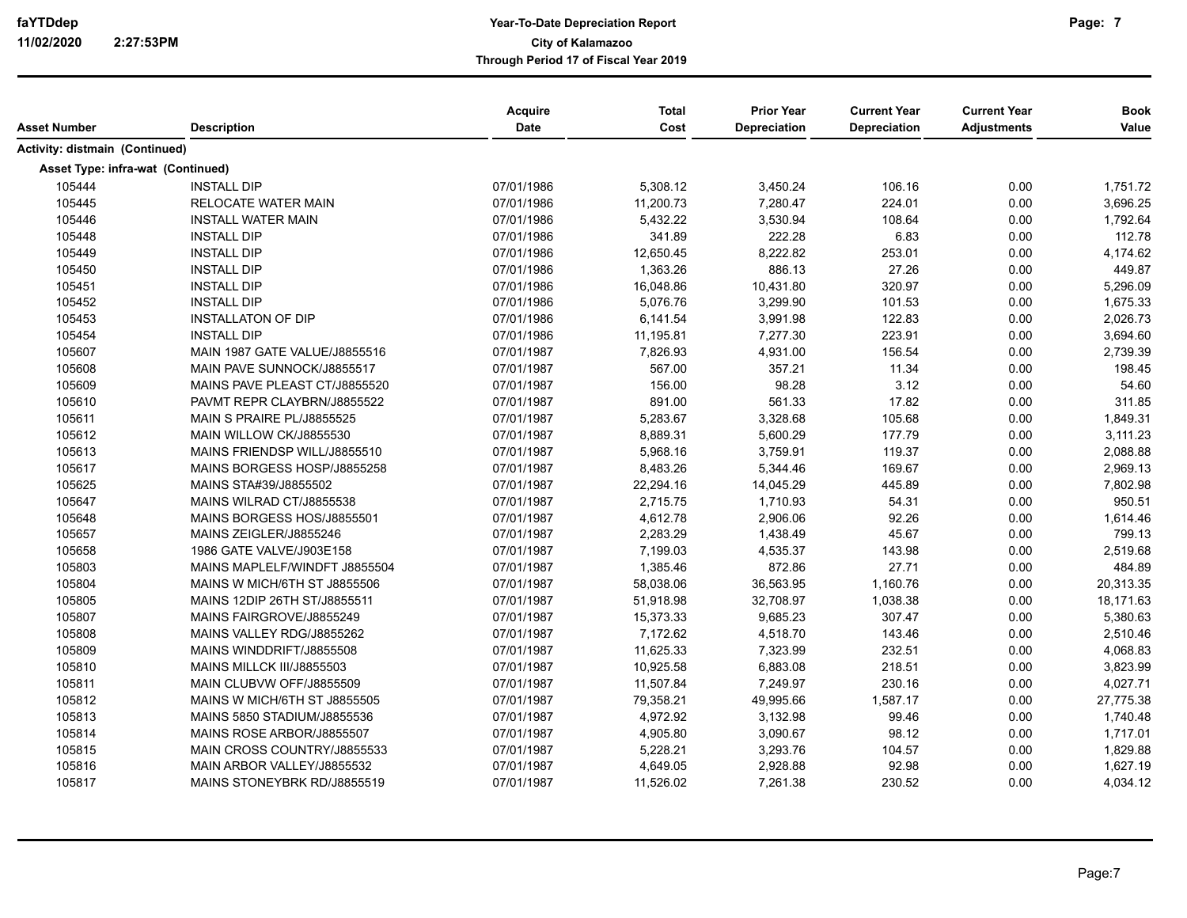| Asset Number                      | <b>Description</b>            | Acquire<br><b>Date</b> | <b>Total</b><br>Cost | <b>Prior Year</b><br><b>Depreciation</b> | <b>Current Year</b><br><b>Depreciation</b> | <b>Current Year</b><br><b>Adjustments</b> | <b>Book</b><br>Value |
|-----------------------------------|-------------------------------|------------------------|----------------------|------------------------------------------|--------------------------------------------|-------------------------------------------|----------------------|
| Activity: distmain (Continued)    |                               |                        |                      |                                          |                                            |                                           |                      |
| Asset Type: infra-wat (Continued) |                               |                        |                      |                                          |                                            |                                           |                      |
| 105444                            | <b>INSTALL DIP</b>            | 07/01/1986             | 5,308.12             | 3,450.24                                 | 106.16                                     | 0.00                                      | 1,751.72             |
| 105445                            | RELOCATE WATER MAIN           | 07/01/1986             | 11,200.73            | 7,280.47                                 | 224.01                                     | 0.00                                      | 3,696.25             |
| 105446                            | <b>INSTALL WATER MAIN</b>     | 07/01/1986             | 5,432.22             | 3,530.94                                 | 108.64                                     | 0.00                                      | 1,792.64             |
| 105448                            | <b>INSTALL DIP</b>            | 07/01/1986             | 341.89               | 222.28                                   | 6.83                                       | 0.00                                      | 112.78               |
| 105449                            | <b>INSTALL DIP</b>            | 07/01/1986             | 12,650.45            | 8,222.82                                 | 253.01                                     | 0.00                                      | 4,174.62             |
| 105450                            | <b>INSTALL DIP</b>            | 07/01/1986             | 1,363.26             | 886.13                                   | 27.26                                      | 0.00                                      | 449.87               |
| 105451                            | <b>INSTALL DIP</b>            | 07/01/1986             | 16,048.86            | 10,431.80                                | 320.97                                     | 0.00                                      | 5,296.09             |
| 105452                            | <b>INSTALL DIP</b>            | 07/01/1986             | 5,076.76             | 3,299.90                                 | 101.53                                     | 0.00                                      | 1,675.33             |
| 105453                            | <b>INSTALLATON OF DIP</b>     | 07/01/1986             | 6,141.54             | 3,991.98                                 | 122.83                                     | 0.00                                      | 2,026.73             |
| 105454                            | <b>INSTALL DIP</b>            | 07/01/1986             | 11,195.81            | 7,277.30                                 | 223.91                                     | 0.00                                      | 3,694.60             |
| 105607                            | MAIN 1987 GATE VALUE/J8855516 | 07/01/1987             | 7,826.93             | 4,931.00                                 | 156.54                                     | 0.00                                      | 2,739.39             |
| 105608                            | MAIN PAVE SUNNOCK/J8855517    | 07/01/1987             | 567.00               | 357.21                                   | 11.34                                      | 0.00                                      | 198.45               |
| 105609                            | MAINS PAVE PLEAST CT/J8855520 | 07/01/1987             | 156.00               | 98.28                                    | 3.12                                       | 0.00                                      | 54.60                |
| 105610                            | PAVMT REPR CLAYBRN/J8855522   | 07/01/1987             | 891.00               | 561.33                                   | 17.82                                      | 0.00                                      | 311.85               |
| 105611                            | MAIN S PRAIRE PL/J8855525     | 07/01/1987             | 5,283.67             | 3,328.68                                 | 105.68                                     | 0.00                                      | 1,849.31             |
| 105612                            | MAIN WILLOW CK/J8855530       | 07/01/1987             | 8,889.31             | 5,600.29                                 | 177.79                                     | 0.00                                      | 3,111.23             |
| 105613                            | MAINS FRIENDSP WILL/J8855510  | 07/01/1987             | 5,968.16             | 3,759.91                                 | 119.37                                     | 0.00                                      | 2,088.88             |
| 105617                            | MAINS BORGESS HOSP/J8855258   | 07/01/1987             | 8,483.26             | 5,344.46                                 | 169.67                                     | 0.00                                      | 2,969.13             |
| 105625                            | MAINS STA#39/J8855502         | 07/01/1987             | 22,294.16            | 14,045.29                                | 445.89                                     | 0.00                                      | 7,802.98             |
| 105647                            | MAINS WILRAD CT/J8855538      | 07/01/1987             | 2,715.75             | 1,710.93                                 | 54.31                                      | 0.00                                      | 950.51               |
| 105648                            | MAINS BORGESS HOS/J8855501    | 07/01/1987             | 4,612.78             | 2,906.06                                 | 92.26                                      | 0.00                                      | 1,614.46             |
| 105657                            | MAINS ZEIGLER/J8855246        | 07/01/1987             | 2,283.29             | 1,438.49                                 | 45.67                                      | 0.00                                      | 799.13               |
| 105658                            | 1986 GATE VALVE/J903E158      | 07/01/1987             | 7,199.03             | 4,535.37                                 | 143.98                                     | 0.00                                      | 2,519.68             |
| 105803                            | MAINS MAPLELF/WINDFT J8855504 | 07/01/1987             | 1,385.46             | 872.86                                   | 27.71                                      | 0.00                                      | 484.89               |
| 105804                            | MAINS W MICH/6TH ST J8855506  | 07/01/1987             | 58,038.06            | 36,563.95                                | 1,160.76                                   | 0.00                                      | 20,313.35            |
| 105805                            | MAINS 12DIP 26TH ST/J8855511  | 07/01/1987             | 51,918.98            | 32,708.97                                | 1,038.38                                   | 0.00                                      | 18,171.63            |
| 105807                            | MAINS FAIRGROVE/J8855249      | 07/01/1987             | 15,373.33            | 9,685.23                                 | 307.47                                     | 0.00                                      | 5,380.63             |
| 105808                            | MAINS VALLEY RDG/J8855262     | 07/01/1987             | 7,172.62             | 4,518.70                                 | 143.46                                     | 0.00                                      | 2,510.46             |
| 105809                            | MAINS WINDDRIFT/J8855508      | 07/01/1987             | 11,625.33            | 7,323.99                                 | 232.51                                     | 0.00                                      | 4,068.83             |
| 105810                            | MAINS MILLCK III/J8855503     | 07/01/1987             | 10,925.58            | 6,883.08                                 | 218.51                                     | 0.00                                      | 3,823.99             |
| 105811                            | MAIN CLUBVW OFF/J8855509      | 07/01/1987             | 11,507.84            | 7,249.97                                 | 230.16                                     | 0.00                                      | 4,027.71             |
| 105812                            | MAINS W MICH/6TH ST J8855505  | 07/01/1987             | 79,358.21            | 49,995.66                                | 1,587.17                                   | 0.00                                      | 27,775.38            |
| 105813                            | MAINS 5850 STADIUM/J8855536   | 07/01/1987             | 4,972.92             | 3,132.98                                 | 99.46                                      | 0.00                                      | 1,740.48             |
| 105814                            | MAINS ROSE ARBOR/J8855507     | 07/01/1987             | 4,905.80             | 3,090.67                                 | 98.12                                      | 0.00                                      | 1,717.01             |
| 105815                            | MAIN CROSS COUNTRY/J8855533   | 07/01/1987             | 5,228.21             | 3,293.76                                 | 104.57                                     | 0.00                                      | 1,829.88             |
| 105816                            | MAIN ARBOR VALLEY/J8855532    | 07/01/1987             | 4,649.05             | 2,928.88                                 | 92.98                                      | 0.00                                      | 1,627.19             |
| 105817                            | MAINS STONEYBRK RD/J8855519   | 07/01/1987             | 11,526.02            | 7,261.38                                 | 230.52                                     | 0.00                                      | 4,034.12             |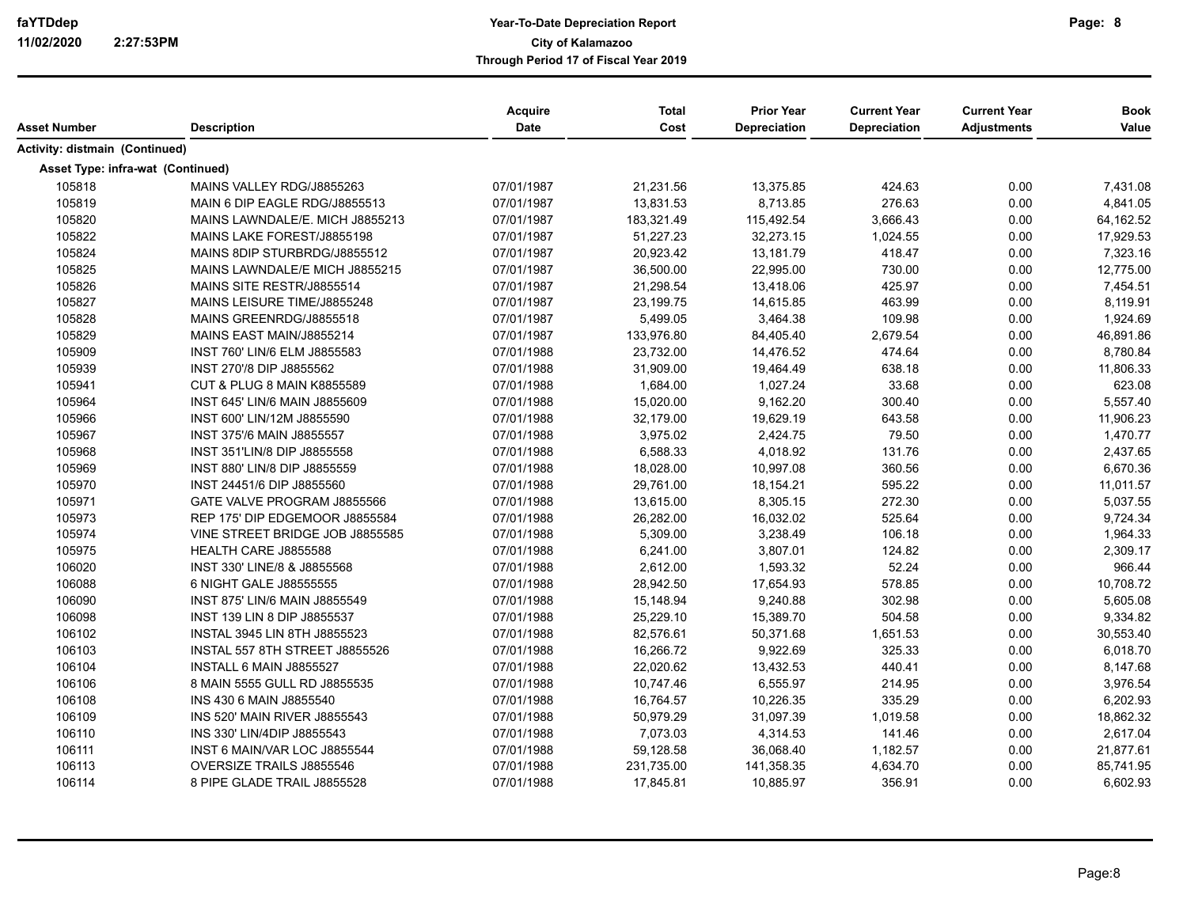| Asset Number                      | <b>Description</b>                    | <b>Acquire</b><br><b>Date</b> | <b>Total</b><br>Cost | <b>Prior Year</b><br><b>Depreciation</b> | <b>Current Year</b><br>Depreciation | <b>Current Year</b><br><b>Adjustments</b> | <b>Book</b><br>Value |
|-----------------------------------|---------------------------------------|-------------------------------|----------------------|------------------------------------------|-------------------------------------|-------------------------------------------|----------------------|
|                                   |                                       |                               |                      |                                          |                                     |                                           |                      |
| Activity: distmain (Continued)    |                                       |                               |                      |                                          |                                     |                                           |                      |
| Asset Type: infra-wat (Continued) |                                       |                               |                      |                                          |                                     |                                           |                      |
| 105818                            | MAINS VALLEY RDG/J8855263             | 07/01/1987                    | 21,231.56            | 13,375.85                                | 424.63                              | 0.00                                      | 7,431.08             |
| 105819                            | MAIN 6 DIP EAGLE RDG/J8855513         | 07/01/1987                    | 13,831.53            | 8,713.85                                 | 276.63                              | 0.00                                      | 4,841.05             |
| 105820                            | MAINS LAWNDALE/E. MICH J8855213       | 07/01/1987                    | 183,321.49           | 115,492.54                               | 3,666.43                            | 0.00                                      | 64,162.52            |
| 105822                            | MAINS LAKE FOREST/J8855198            | 07/01/1987                    | 51,227.23            | 32,273.15                                | 1,024.55                            | 0.00                                      | 17,929.53            |
| 105824                            | MAINS 8DIP STURBRDG/J8855512          | 07/01/1987                    | 20,923.42            | 13,181.79                                | 418.47                              | 0.00                                      | 7,323.16             |
| 105825                            | MAINS LAWNDALE/E MICH J8855215        | 07/01/1987                    | 36,500.00            | 22,995.00                                | 730.00                              | 0.00                                      | 12,775.00            |
| 105826                            | MAINS SITE RESTR/J8855514             | 07/01/1987                    | 21,298.54            | 13,418.06                                | 425.97                              | 0.00                                      | 7,454.51             |
| 105827                            | MAINS LEISURE TIME/J8855248           | 07/01/1987                    | 23,199.75            | 14,615.85                                | 463.99                              | 0.00                                      | 8,119.91             |
| 105828                            | MAINS GREENRDG/J8855518               | 07/01/1987                    | 5,499.05             | 3,464.38                                 | 109.98                              | 0.00                                      | 1,924.69             |
| 105829                            | MAINS EAST MAIN/J8855214              | 07/01/1987                    | 133,976.80           | 84,405.40                                | 2,679.54                            | 0.00                                      | 46,891.86            |
| 105909                            | INST 760' LIN/6 ELM J8855583          | 07/01/1988                    | 23,732.00            | 14,476.52                                | 474.64                              | 0.00                                      | 8,780.84             |
| 105939                            | INST 270'/8 DIP J8855562              | 07/01/1988                    | 31,909.00            | 19,464.49                                | 638.18                              | 0.00                                      | 11,806.33            |
| 105941                            | <b>CUT &amp; PLUG 8 MAIN K8855589</b> | 07/01/1988                    | 1,684.00             | 1,027.24                                 | 33.68                               | 0.00                                      | 623.08               |
| 105964                            | INST 645' LIN/6 MAIN J8855609         | 07/01/1988                    | 15,020.00            | 9,162.20                                 | 300.40                              | 0.00                                      | 5,557.40             |
| 105966                            | INST 600' LIN/12M J8855590            | 07/01/1988                    | 32,179.00            | 19,629.19                                | 643.58                              | 0.00                                      | 11,906.23            |
| 105967                            | <b>INST 375/6 MAIN J8855557</b>       | 07/01/1988                    | 3,975.02             | 2,424.75                                 | 79.50                               | 0.00                                      | 1,470.77             |
| 105968                            | INST 351'LIN/8 DIP J8855558           | 07/01/1988                    | 6,588.33             | 4,018.92                                 | 131.76                              | 0.00                                      | 2,437.65             |
| 105969                            | INST 880' LIN/8 DIP J8855559          | 07/01/1988                    | 18,028.00            | 10,997.08                                | 360.56                              | 0.00                                      | 6,670.36             |
| 105970                            | INST 24451/6 DIP J8855560             | 07/01/1988                    | 29,761.00            | 18,154.21                                | 595.22                              | 0.00                                      | 11,011.57            |
| 105971                            | GATE VALVE PROGRAM J8855566           | 07/01/1988                    | 13,615.00            | 8,305.15                                 | 272.30                              | 0.00                                      | 5,037.55             |
| 105973                            | REP 175' DIP EDGEMOOR J8855584        | 07/01/1988                    | 26,282.00            | 16,032.02                                | 525.64                              | 0.00                                      | 9,724.34             |
| 105974                            | VINE STREET BRIDGE JOB J8855585       | 07/01/1988                    | 5,309.00             | 3,238.49                                 | 106.18                              | 0.00                                      | 1,964.33             |
| 105975                            | HEALTH CARE J8855588                  | 07/01/1988                    | 6,241.00             | 3,807.01                                 | 124.82                              | 0.00                                      | 2,309.17             |
| 106020                            | INST 330' LINE/8 & J8855568           | 07/01/1988                    | 2,612.00             | 1,593.32                                 | 52.24                               | 0.00                                      | 966.44               |
| 106088                            | 6 NIGHT GALE J88555555                | 07/01/1988                    | 28,942.50            | 17,654.93                                | 578.85                              | 0.00                                      | 10,708.72            |
| 106090                            | INST 875' LIN/6 MAIN J8855549         | 07/01/1988                    | 15,148.94            | 9,240.88                                 | 302.98                              | 0.00                                      | 5,605.08             |
| 106098                            | INST 139 LIN 8 DIP J8855537           | 07/01/1988                    | 25,229.10            | 15,389.70                                | 504.58                              | 0.00                                      | 9,334.82             |
| 106102                            | <b>INSTAL 3945 LIN 8TH J8855523</b>   | 07/01/1988                    | 82,576.61            | 50,371.68                                | 1,651.53                            | 0.00                                      | 30,553.40            |
| 106103                            | INSTAL 557 8TH STREET J8855526        | 07/01/1988                    | 16,266.72            | 9,922.69                                 | 325.33                              | 0.00                                      | 6,018.70             |
| 106104                            | INSTALL 6 MAIN J8855527               | 07/01/1988                    | 22,020.62            | 13,432.53                                | 440.41                              | 0.00                                      | 8,147.68             |
| 106106                            | 8 MAIN 5555 GULL RD J8855535          | 07/01/1988                    | 10,747.46            | 6,555.97                                 | 214.95                              | 0.00                                      | 3,976.54             |
| 106108                            | INS 430 6 MAIN J8855540               | 07/01/1988                    | 16,764.57            | 10,226.35                                | 335.29                              | 0.00                                      | 6,202.93             |
| 106109                            | INS 520' MAIN RIVER J8855543          | 07/01/1988                    | 50,979.29            | 31,097.39                                | 1,019.58                            | 0.00                                      | 18,862.32            |
| 106110                            | INS 330' LIN/4DIP J8855543            | 07/01/1988                    | 7,073.03             | 4,314.53                                 | 141.46                              | 0.00                                      | 2,617.04             |
| 106111                            | INST 6 MAIN/VAR LOC J8855544          | 07/01/1988                    | 59,128.58            | 36,068.40                                | 1,182.57                            | 0.00                                      | 21,877.61            |
| 106113                            | OVERSIZE TRAILS J8855546              | 07/01/1988                    | 231,735.00           | 141,358.35                               | 4,634.70                            | 0.00                                      | 85,741.95            |
| 106114                            | 8 PIPE GLADE TRAIL J8855528           | 07/01/1988                    | 17,845.81            | 10,885.97                                | 356.91                              | 0.00                                      | 6,602.93             |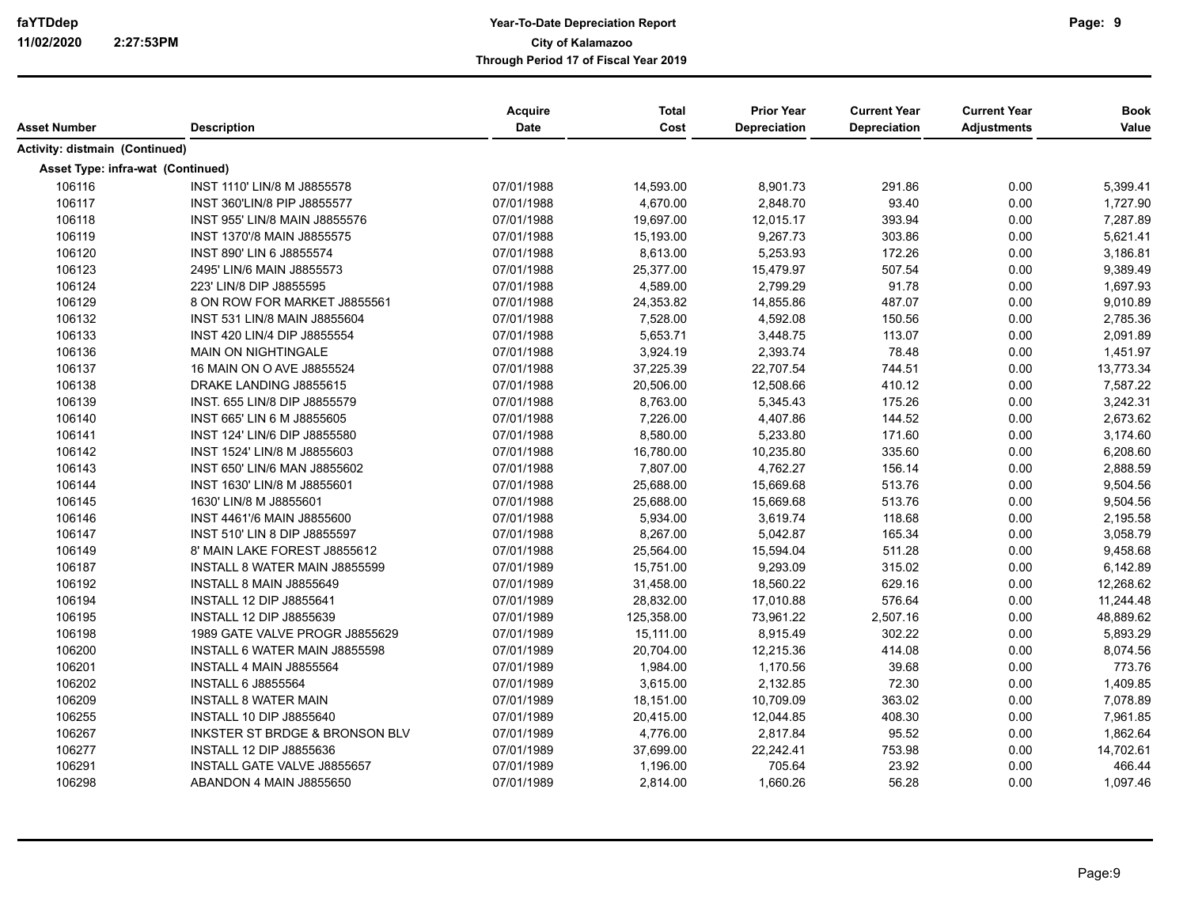|                                       |                                           | Acquire    | <b>Total</b> | <b>Prior Year</b> | <b>Current Year</b> | <b>Current Year</b> | <b>Book</b> |
|---------------------------------------|-------------------------------------------|------------|--------------|-------------------|---------------------|---------------------|-------------|
| <b>Asset Number</b>                   | <b>Description</b>                        | Date       | Cost         | Depreciation      | Depreciation        | <b>Adjustments</b>  | Value       |
| <b>Activity: distmain (Continued)</b> |                                           |            |              |                   |                     |                     |             |
| Asset Type: infra-wat (Continued)     |                                           |            |              |                   |                     |                     |             |
| 106116                                | INST 1110' LIN/8 M J8855578               | 07/01/1988 | 14,593.00    | 8,901.73          | 291.86              | 0.00                | 5,399.41    |
| 106117                                | INST 360'LIN/8 PIP J8855577               | 07/01/1988 | 4,670.00     | 2,848.70          | 93.40               | 0.00                | 1,727.90    |
| 106118                                | INST 955' LIN/8 MAIN J8855576             | 07/01/1988 | 19,697.00    | 12,015.17         | 393.94              | 0.00                | 7,287.89    |
| 106119                                | INST 1370'/8 MAIN J8855575                | 07/01/1988 | 15,193.00    | 9,267.73          | 303.86              | 0.00                | 5,621.41    |
| 106120                                | INST 890' LIN 6 J8855574                  | 07/01/1988 | 8,613.00     | 5,253.93          | 172.26              | 0.00                | 3,186.81    |
| 106123                                | 2495' LIN/6 MAIN J8855573                 | 07/01/1988 | 25,377.00    | 15,479.97         | 507.54              | 0.00                | 9,389.49    |
| 106124                                | 223' LIN/8 DIP J8855595                   | 07/01/1988 | 4,589.00     | 2,799.29          | 91.78               | 0.00                | 1,697.93    |
| 106129                                | 8 ON ROW FOR MARKET J8855561              | 07/01/1988 | 24,353.82    | 14,855.86         | 487.07              | 0.00                | 9,010.89    |
| 106132                                | INST 531 LIN/8 MAIN J8855604              | 07/01/1988 | 7,528.00     | 4,592.08          | 150.56              | 0.00                | 2,785.36    |
| 106133                                | INST 420 LIN/4 DIP J8855554               | 07/01/1988 | 5,653.71     | 3,448.75          | 113.07              | 0.00                | 2,091.89    |
| 106136                                | <b>MAIN ON NIGHTINGALE</b>                | 07/01/1988 | 3,924.19     | 2,393.74          | 78.48               | 0.00                | 1,451.97    |
| 106137                                | 16 MAIN ON O AVE J8855524                 | 07/01/1988 | 37,225.39    | 22,707.54         | 744.51              | 0.00                | 13,773.34   |
| 106138                                | DRAKE LANDING J8855615                    | 07/01/1988 | 20,506.00    | 12,508.66         | 410.12              | 0.00                | 7,587.22    |
| 106139                                | INST. 655 LIN/8 DIP J8855579              | 07/01/1988 | 8,763.00     | 5,345.43          | 175.26              | 0.00                | 3,242.31    |
| 106140                                | INST 665' LIN 6 M J8855605                | 07/01/1988 | 7,226.00     | 4,407.86          | 144.52              | 0.00                | 2,673.62    |
| 106141                                | INST 124' LIN/6 DIP J8855580              | 07/01/1988 | 8,580.00     | 5,233.80          | 171.60              | 0.00                | 3,174.60    |
| 106142                                | INST 1524' LIN/8 M J8855603               | 07/01/1988 | 16,780.00    | 10,235.80         | 335.60              | 0.00                | 6,208.60    |
| 106143                                | INST 650' LIN/6 MAN J8855602              | 07/01/1988 | 7,807.00     | 4,762.27          | 156.14              | 0.00                | 2,888.59    |
| 106144                                | INST 1630' LIN/8 M J8855601               | 07/01/1988 | 25,688.00    | 15,669.68         | 513.76              | 0.00                | 9,504.56    |
| 106145                                | 1630' LIN/8 M J8855601                    | 07/01/1988 | 25,688.00    | 15,669.68         | 513.76              | 0.00                | 9,504.56    |
| 106146                                | INST 4461'/6 MAIN J8855600                | 07/01/1988 | 5,934.00     | 3,619.74          | 118.68              | 0.00                | 2,195.58    |
| 106147                                | INST 510' LIN 8 DIP J8855597              | 07/01/1988 | 8,267.00     | 5,042.87          | 165.34              | 0.00                | 3,058.79    |
| 106149                                | 8' MAIN LAKE FOREST J8855612              | 07/01/1988 | 25,564.00    | 15,594.04         | 511.28              | 0.00                | 9,458.68    |
| 106187                                | INSTALL 8 WATER MAIN J8855599             | 07/01/1989 | 15,751.00    | 9,293.09          | 315.02              | 0.00                | 6,142.89    |
| 106192                                | INSTALL 8 MAIN J8855649                   | 07/01/1989 | 31,458.00    | 18,560.22         | 629.16              | 0.00                | 12,268.62   |
| 106194                                | <b>INSTALL 12 DIP J8855641</b>            | 07/01/1989 | 28,832.00    | 17,010.88         | 576.64              | 0.00                | 11,244.48   |
| 106195                                | <b>INSTALL 12 DIP J8855639</b>            | 07/01/1989 | 125,358.00   | 73,961.22         | 2,507.16            | 0.00                | 48,889.62   |
| 106198                                | 1989 GATE VALVE PROGR J8855629            | 07/01/1989 | 15,111.00    | 8,915.49          | 302.22              | 0.00                | 5,893.29    |
| 106200                                | INSTALL 6 WATER MAIN J8855598             | 07/01/1989 | 20,704.00    | 12,215.36         | 414.08              | 0.00                | 8,074.56    |
| 106201                                | INSTALL 4 MAIN J8855564                   | 07/01/1989 | 1,984.00     | 1,170.56          | 39.68               | 0.00                | 773.76      |
| 106202                                | <b>INSTALL 6 J8855564</b>                 | 07/01/1989 | 3,615.00     | 2,132.85          | 72.30               | 0.00                | 1,409.85    |
| 106209                                | <b>INSTALL 8 WATER MAIN</b>               | 07/01/1989 | 18,151.00    | 10,709.09         | 363.02              | 0.00                | 7,078.89    |
| 106255                                | <b>INSTALL 10 DIP J8855640</b>            | 07/01/1989 | 20,415.00    | 12,044.85         | 408.30              | 0.00                | 7,961.85    |
| 106267                                | <b>INKSTER ST BRDGE &amp; BRONSON BLV</b> | 07/01/1989 | 4,776.00     | 2,817.84          | 95.52               | 0.00                | 1,862.64    |
| 106277                                | <b>INSTALL 12 DIP J8855636</b>            | 07/01/1989 | 37,699.00    | 22,242.41         | 753.98              | 0.00                | 14,702.61   |
| 106291                                | INSTALL GATE VALVE J8855657               | 07/01/1989 | 1,196.00     | 705.64            | 23.92               | 0.00                | 466.44      |
| 106298                                | ABANDON 4 MAIN J8855650                   | 07/01/1989 | 2,814.00     | 1,660.26          | 56.28               | 0.00                | 1,097.46    |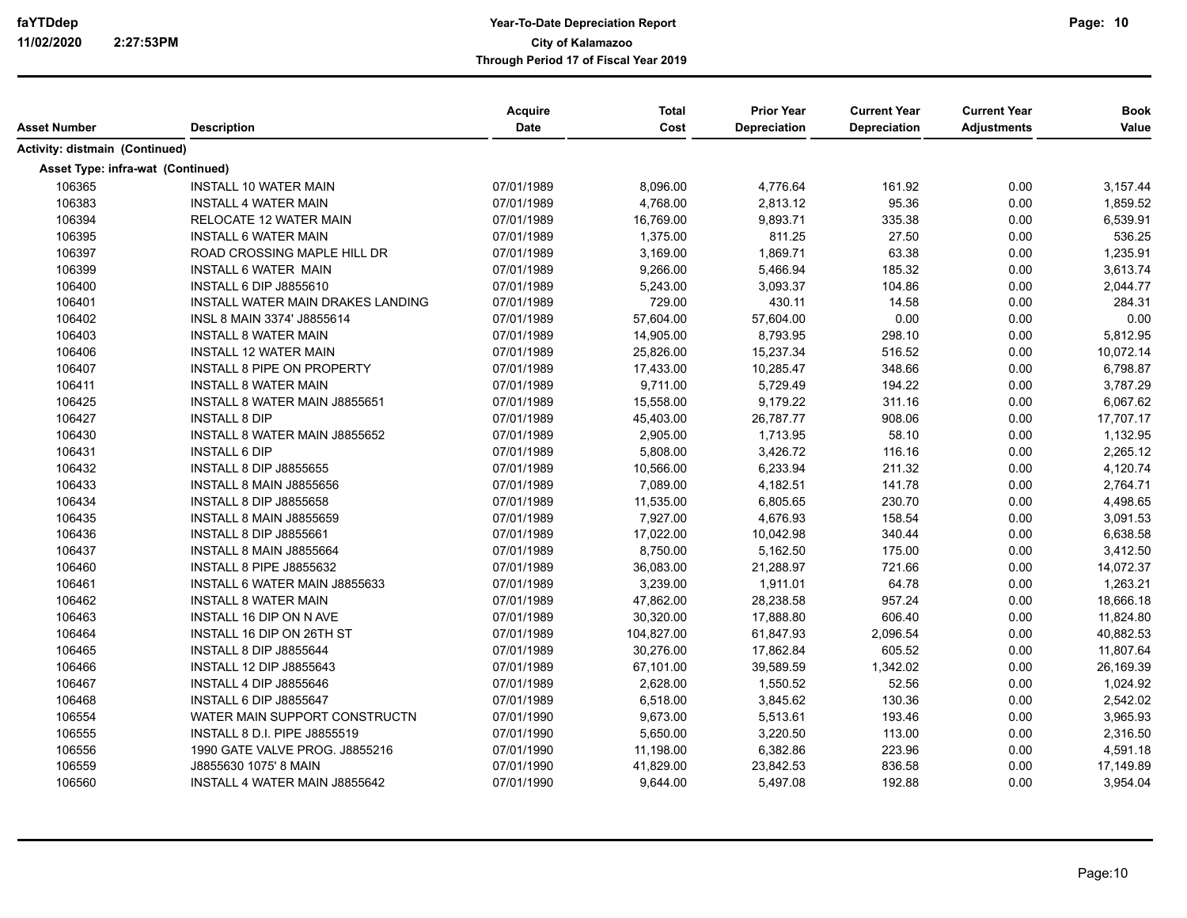# **Year-To-Date Depreciation Report faYTDdep Page: City of Kalamazoo Through Period 17 of Fiscal Year 2019**

|                                   |                                   | Acquire     | <b>Total</b> | <b>Prior Year</b> | <b>Current Year</b> | <b>Current Year</b> | <b>Book</b> |
|-----------------------------------|-----------------------------------|-------------|--------------|-------------------|---------------------|---------------------|-------------|
| Asset Number                      | <b>Description</b>                | <b>Date</b> | Cost         | Depreciation      | <b>Depreciation</b> | <b>Adjustments</b>  | Value       |
| Activity: distmain (Continued)    |                                   |             |              |                   |                     |                     |             |
| Asset Type: infra-wat (Continued) |                                   |             |              |                   |                     |                     |             |
| 106365                            | <b>INSTALL 10 WATER MAIN</b>      | 07/01/1989  | 8,096.00     | 4,776.64          | 161.92              | 0.00                | 3,157.44    |
| 106383                            | <b>INSTALL 4 WATER MAIN</b>       | 07/01/1989  | 4,768.00     | 2,813.12          | 95.36               | 0.00                | 1,859.52    |
| 106394                            | RELOCATE 12 WATER MAIN            | 07/01/1989  | 16,769.00    | 9,893.71          | 335.38              | 0.00                | 6,539.91    |
| 106395                            | <b>INSTALL 6 WATER MAIN</b>       | 07/01/1989  | 1,375.00     | 811.25            | 27.50               | 0.00                | 536.25      |
| 106397                            | ROAD CROSSING MAPLE HILL DR       | 07/01/1989  | 3,169.00     | 1,869.71          | 63.38               | 0.00                | 1,235.91    |
| 106399                            | INSTALL 6 WATER MAIN              | 07/01/1989  | 9,266.00     | 5,466.94          | 185.32              | 0.00                | 3,613.74    |
| 106400                            | <b>INSTALL 6 DIP J8855610</b>     | 07/01/1989  | 5,243.00     | 3,093.37          | 104.86              | 0.00                | 2,044.77    |
| 106401                            | INSTALL WATER MAIN DRAKES LANDING | 07/01/1989  | 729.00       | 430.11            | 14.58               | 0.00                | 284.31      |
| 106402                            | INSL 8 MAIN 3374' J8855614        | 07/01/1989  | 57,604.00    | 57,604.00         | 0.00                | 0.00                | 0.00        |
| 106403                            | <b>INSTALL 8 WATER MAIN</b>       | 07/01/1989  | 14,905.00    | 8,793.95          | 298.10              | 0.00                | 5,812.95    |
| 106406                            | <b>INSTALL 12 WATER MAIN</b>      | 07/01/1989  | 25,826.00    | 15,237.34         | 516.52              | 0.00                | 10,072.14   |
| 106407                            | <b>INSTALL 8 PIPE ON PROPERTY</b> | 07/01/1989  | 17,433.00    | 10,285.47         | 348.66              | 0.00                | 6,798.87    |
| 106411                            | <b>INSTALL 8 WATER MAIN</b>       | 07/01/1989  | 9,711.00     | 5,729.49          | 194.22              | 0.00                | 3,787.29    |
| 106425                            | INSTALL 8 WATER MAIN J8855651     | 07/01/1989  | 15,558.00    | 9,179.22          | 311.16              | 0.00                | 6,067.62    |
| 106427                            | <b>INSTALL 8 DIP</b>              | 07/01/1989  | 45,403.00    | 26,787.77         | 908.06              | 0.00                | 17,707.17   |
| 106430                            | INSTALL 8 WATER MAIN J8855652     | 07/01/1989  | 2,905.00     | 1,713.95          | 58.10               | 0.00                | 1,132.95    |
| 106431                            | <b>INSTALL 6 DIP</b>              | 07/01/1989  | 5,808.00     | 3,426.72          | 116.16              | 0.00                | 2,265.12    |
| 106432                            | <b>INSTALL 8 DIP J8855655</b>     | 07/01/1989  | 10,566.00    | 6,233.94          | 211.32              | 0.00                | 4,120.74    |
| 106433                            | INSTALL 8 MAIN J8855656           | 07/01/1989  | 7,089.00     | 4,182.51          | 141.78              | 0.00                | 2,764.71    |
| 106434                            | <b>INSTALL 8 DIP J8855658</b>     | 07/01/1989  | 11,535.00    | 6,805.65          | 230.70              | 0.00                | 4,498.65    |
| 106435                            | INSTALL 8 MAIN J8855659           | 07/01/1989  | 7,927.00     | 4,676.93          | 158.54              | 0.00                | 3,091.53    |
| 106436                            | <b>INSTALL 8 DIP J8855661</b>     | 07/01/1989  | 17,022.00    | 10,042.98         | 340.44              | 0.00                | 6,638.58    |
| 106437                            | INSTALL 8 MAIN J8855664           | 07/01/1989  | 8,750.00     | 5,162.50          | 175.00              | 0.00                | 3,412.50    |
| 106460                            | INSTALL 8 PIPE J8855632           | 07/01/1989  | 36,083.00    | 21,288.97         | 721.66              | 0.00                | 14,072.37   |
| 106461                            | INSTALL 6 WATER MAIN J8855633     | 07/01/1989  | 3,239.00     | 1,911.01          | 64.78               | 0.00                | 1,263.21    |
| 106462                            | <b>INSTALL 8 WATER MAIN</b>       | 07/01/1989  | 47,862.00    | 28,238.58         | 957.24              | 0.00                | 18,666.18   |
| 106463                            | INSTALL 16 DIP ON N AVE           | 07/01/1989  | 30,320.00    | 17,888.80         | 606.40              | 0.00                | 11,824.80   |
| 106464                            | INSTALL 16 DIP ON 26TH ST         | 07/01/1989  | 104,827.00   | 61,847.93         | 2,096.54            | 0.00                | 40,882.53   |
| 106465                            | INSTALL 8 DIP J8855644            | 07/01/1989  | 30,276.00    | 17,862.84         | 605.52              | 0.00                | 11,807.64   |
| 106466                            | <b>INSTALL 12 DIP J8855643</b>    | 07/01/1989  | 67,101.00    | 39,589.59         | 1,342.02            | 0.00                | 26,169.39   |
| 106467                            | INSTALL 4 DIP J8855646            | 07/01/1989  | 2,628.00     | 1,550.52          | 52.56               | 0.00                | 1,024.92    |
| 106468                            | INSTALL 6 DIP J8855647            | 07/01/1989  | 6,518.00     | 3,845.62          | 130.36              | 0.00                | 2,542.02    |
| 106554                            | WATER MAIN SUPPORT CONSTRUCTN     | 07/01/1990  | 9,673.00     | 5,513.61          | 193.46              | 0.00                | 3,965.93    |
| 106555                            | INSTALL 8 D.I. PIPE J8855519      | 07/01/1990  | 5,650.00     | 3,220.50          | 113.00              | 0.00                | 2,316.50    |
| 106556                            | 1990 GATE VALVE PROG. J8855216    | 07/01/1990  | 11,198.00    | 6,382.86          | 223.96              | 0.00                | 4,591.18    |
| 106559                            | J8855630 1075' 8 MAIN             | 07/01/1990  | 41,829.00    | 23,842.53         | 836.58              | 0.00                | 17,149.89   |
| 106560                            | INSTALL 4 WATER MAIN J8855642     | 07/01/1990  | 9,644.00     | 5,497.08          | 192.88              | 0.00                | 3,954.04    |

Page:10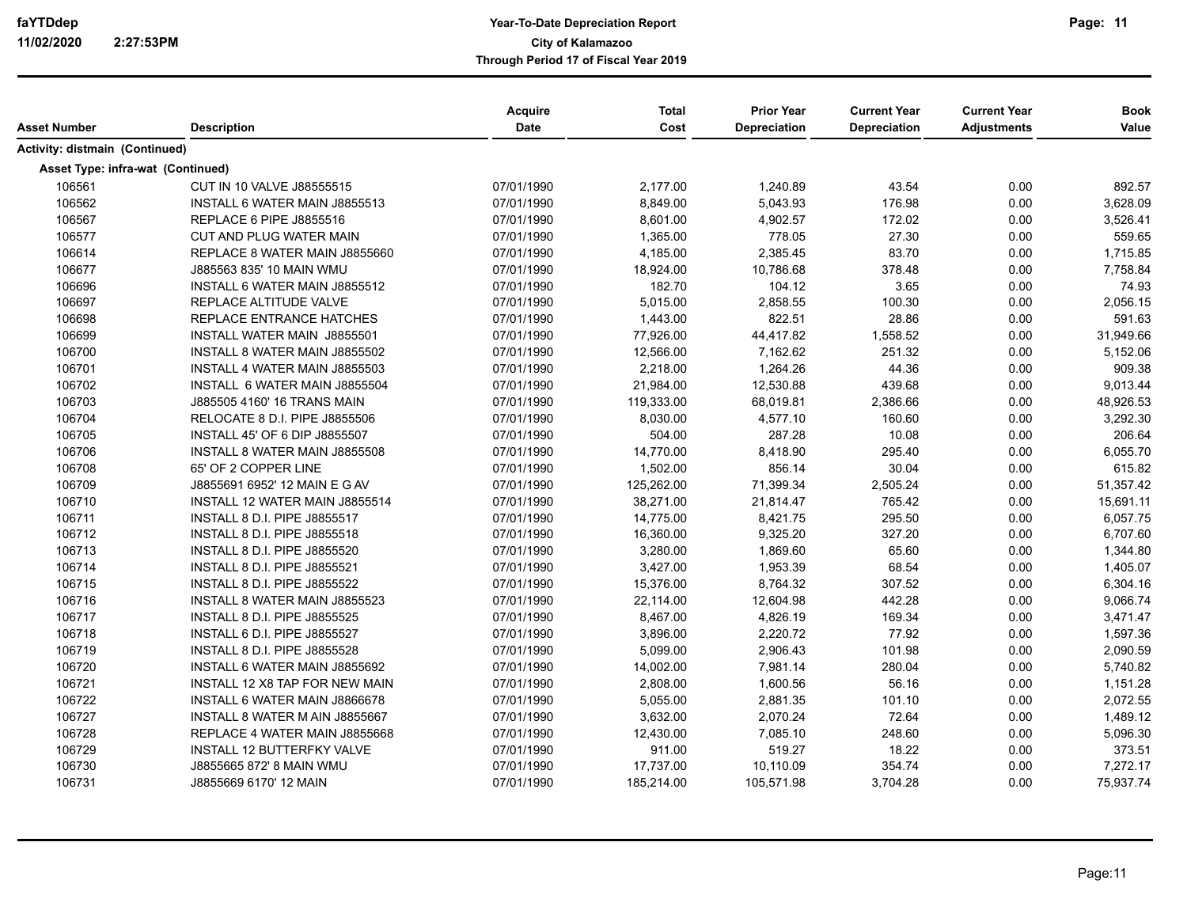| Asset Number                          | <b>Description</b>                   | Acquire<br>Date | <b>Total</b><br>Cost | <b>Prior Year</b><br>Depreciation | <b>Current Year</b><br><b>Depreciation</b> | <b>Current Year</b><br><b>Adjustments</b> | <b>Book</b><br>Value |
|---------------------------------------|--------------------------------------|-----------------|----------------------|-----------------------------------|--------------------------------------------|-------------------------------------------|----------------------|
| <b>Activity: distmain (Continued)</b> |                                      |                 |                      |                                   |                                            |                                           |                      |
| Asset Type: infra-wat (Continued)     |                                      |                 |                      |                                   |                                            |                                           |                      |
| 106561                                | CUT IN 10 VALVE J88555515            | 07/01/1990      | 2,177.00             | 1,240.89                          | 43.54                                      | 0.00                                      | 892.57               |
| 106562                                | INSTALL 6 WATER MAIN J8855513        | 07/01/1990      | 8,849.00             | 5,043.93                          | 176.98                                     | 0.00                                      | 3,628.09             |
| 106567                                | <b>REPLACE 6 PIPE J8855516</b>       | 07/01/1990      | 8,601.00             | 4,902.57                          | 172.02                                     | 0.00                                      | 3,526.41             |
| 106577                                | CUT AND PLUG WATER MAIN              | 07/01/1990      | 1,365.00             | 778.05                            | 27.30                                      | 0.00                                      | 559.65               |
| 106614                                | REPLACE 8 WATER MAIN J8855660        | 07/01/1990      | 4,185.00             | 2,385.45                          | 83.70                                      | 0.00                                      | 1,715.85             |
| 106677                                | J885563 835' 10 MAIN WMU             | 07/01/1990      | 18,924.00            | 10,786.68                         | 378.48                                     | 0.00                                      | 7,758.84             |
| 106696                                | INSTALL 6 WATER MAIN J8855512        | 07/01/1990      | 182.70               | 104.12                            | 3.65                                       | 0.00                                      | 74.93                |
| 106697                                | REPLACE ALTITUDE VALVE               | 07/01/1990      | 5,015.00             | 2,858.55                          | 100.30                                     | 0.00                                      | 2,056.15             |
| 106698                                | REPLACE ENTRANCE HATCHES             | 07/01/1990      | 1,443.00             | 822.51                            | 28.86                                      | 0.00                                      | 591.63               |
| 106699                                | INSTALL WATER MAIN J8855501          | 07/01/1990      | 77,926.00            | 44,417.82                         | 1,558.52                                   | 0.00                                      | 31,949.66            |
| 106700                                | INSTALL 8 WATER MAIN J8855502        | 07/01/1990      | 12,566.00            | 7,162.62                          | 251.32                                     | 0.00                                      | 5,152.06             |
| 106701                                | INSTALL 4 WATER MAIN J8855503        | 07/01/1990      | 2,218.00             | 1,264.26                          | 44.36                                      | 0.00                                      | 909.38               |
| 106702                                | INSTALL 6 WATER MAIN J8855504        | 07/01/1990      | 21,984.00            | 12,530.88                         | 439.68                                     | 0.00                                      | 9,013.44             |
| 106703                                | J885505 4160' 16 TRANS MAIN          | 07/01/1990      | 119,333.00           | 68,019.81                         | 2,386.66                                   | 0.00                                      | 48,926.53            |
| 106704                                | RELOCATE 8 D.I. PIPE J8855506        | 07/01/1990      | 8,030.00             | 4,577.10                          | 160.60                                     | 0.00                                      | 3,292.30             |
| 106705                                | <b>INSTALL 45' OF 6 DIP J8855507</b> | 07/01/1990      | 504.00               | 287.28                            | 10.08                                      | 0.00                                      | 206.64               |
| 106706                                | INSTALL 8 WATER MAIN J8855508        | 07/01/1990      | 14,770.00            | 8,418.90                          | 295.40                                     | 0.00                                      | 6,055.70             |
| 106708                                | 65' OF 2 COPPER LINE                 | 07/01/1990      | 1,502.00             | 856.14                            | 30.04                                      | 0.00                                      | 615.82               |
| 106709                                | J8855691 6952' 12 MAIN E G AV        | 07/01/1990      | 125,262.00           | 71,399.34                         | 2,505.24                                   | 0.00                                      | 51,357.42            |
| 106710                                | INSTALL 12 WATER MAIN J8855514       | 07/01/1990      | 38,271.00            | 21,814.47                         | 765.42                                     | 0.00                                      | 15,691.11            |
| 106711                                | INSTALL 8 D.I. PIPE J8855517         | 07/01/1990      | 14,775.00            | 8,421.75                          | 295.50                                     | 0.00                                      | 6,057.75             |
| 106712                                | <b>INSTALL 8 D.I. PIPE J8855518</b>  | 07/01/1990      | 16,360.00            | 9,325.20                          | 327.20                                     | 0.00                                      | 6,707.60             |
| 106713                                | <b>INSTALL 8 D.I. PIPE J8855520</b>  | 07/01/1990      | 3,280.00             | 1,869.60                          | 65.60                                      | 0.00                                      | 1,344.80             |
| 106714                                | <b>INSTALL 8 D.I. PIPE J8855521</b>  | 07/01/1990      | 3,427.00             | 1,953.39                          | 68.54                                      | 0.00                                      | 1,405.07             |
| 106715                                | <b>INSTALL 8 D.I. PIPE J8855522</b>  | 07/01/1990      | 15,376.00            | 8,764.32                          | 307.52                                     | 0.00                                      | 6,304.16             |
| 106716                                | INSTALL 8 WATER MAIN J8855523        | 07/01/1990      | 22,114.00            | 12,604.98                         | 442.28                                     | 0.00                                      | 9,066.74             |
| 106717                                | <b>INSTALL 8 D.I. PIPE J8855525</b>  | 07/01/1990      | 8,467.00             | 4,826.19                          | 169.34                                     | 0.00                                      | 3,471.47             |
| 106718                                | INSTALL 6 D.I. PIPE J8855527         | 07/01/1990      | 3,896.00             | 2,220.72                          | 77.92                                      | 0.00                                      | 1,597.36             |
| 106719                                | <b>INSTALL 8 D.I. PIPE J8855528</b>  | 07/01/1990      | 5,099.00             | 2,906.43                          | 101.98                                     | 0.00                                      | 2,090.59             |
| 106720                                | INSTALL 6 WATER MAIN J8855692        | 07/01/1990      | 14,002.00            | 7,981.14                          | 280.04                                     | 0.00                                      | 5,740.82             |
| 106721                                | INSTALL 12 X8 TAP FOR NEW MAIN       | 07/01/1990      | 2,808.00             | 1,600.56                          | 56.16                                      | 0.00                                      | 1,151.28             |
| 106722                                | INSTALL 6 WATER MAIN J8866678        | 07/01/1990      | 5,055.00             | 2,881.35                          | 101.10                                     | 0.00                                      | 2,072.55             |
| 106727                                | INSTALL 8 WATER M AIN J8855667       | 07/01/1990      | 3,632.00             | 2,070.24                          | 72.64                                      | 0.00                                      | 1,489.12             |
| 106728                                | REPLACE 4 WATER MAIN J8855668        | 07/01/1990      | 12,430.00            | 7,085.10                          | 248.60                                     | 0.00                                      | 5,096.30             |
| 106729                                | <b>INSTALL 12 BUTTERFKY VALVE</b>    | 07/01/1990      | 911.00               | 519.27                            | 18.22                                      | 0.00                                      | 373.51               |
| 106730                                | J8855665 872' 8 MAIN WMU             | 07/01/1990      | 17,737.00            | 10,110.09                         | 354.74                                     | 0.00                                      | 7,272.17             |
| 106731                                | J8855669 6170' 12 MAIN               | 07/01/1990      | 185,214.00           | 105,571.98                        | 3,704.28                                   | 0.00                                      | 75,937.74            |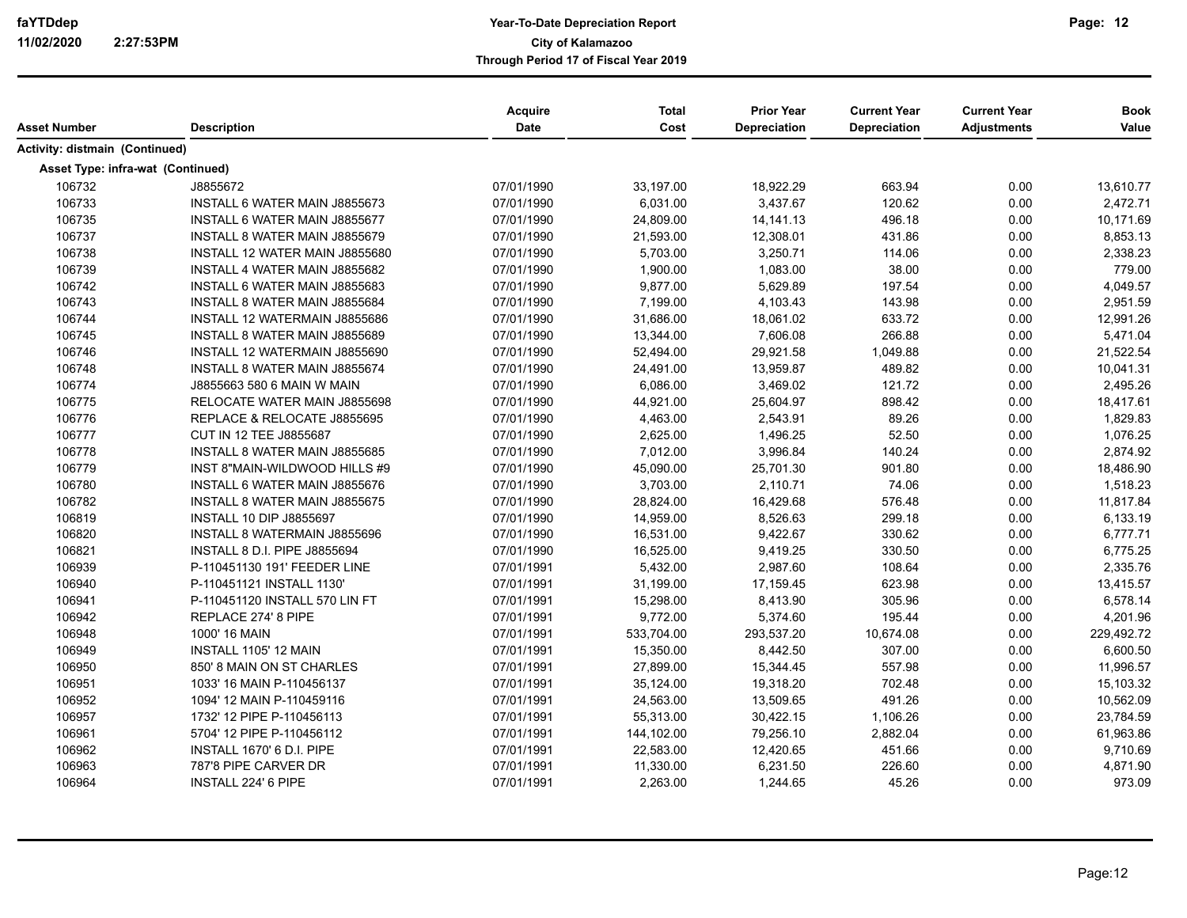| Asset Number                          | <b>Description</b>                   | Acquire<br>Date | <b>Total</b><br>Cost | <b>Prior Year</b><br>Depreciation | <b>Current Year</b><br><b>Depreciation</b> | <b>Current Year</b><br><b>Adjustments</b> | <b>Book</b><br>Value |
|---------------------------------------|--------------------------------------|-----------------|----------------------|-----------------------------------|--------------------------------------------|-------------------------------------------|----------------------|
| <b>Activity: distmain (Continued)</b> |                                      |                 |                      |                                   |                                            |                                           |                      |
| Asset Type: infra-wat (Continued)     |                                      |                 |                      |                                   |                                            |                                           |                      |
| 106732                                | J8855672                             | 07/01/1990      | 33,197.00            | 18,922.29                         | 663.94                                     | 0.00                                      | 13,610.77            |
| 106733                                | INSTALL 6 WATER MAIN J8855673        | 07/01/1990      | 6,031.00             | 3,437.67                          | 120.62                                     | 0.00                                      | 2,472.71             |
| 106735                                | <b>INSTALL 6 WATER MAIN J8855677</b> | 07/01/1990      | 24,809.00            | 14, 141. 13                       | 496.18                                     | 0.00                                      | 10,171.69            |
| 106737                                | INSTALL 8 WATER MAIN J8855679        | 07/01/1990      | 21,593.00            | 12,308.01                         | 431.86                                     | 0.00                                      | 8,853.13             |
| 106738                                | INSTALL 12 WATER MAIN J8855680       | 07/01/1990      | 5,703.00             | 3,250.71                          | 114.06                                     | 0.00                                      | 2,338.23             |
| 106739                                | INSTALL 4 WATER MAIN J8855682        | 07/01/1990      | 1,900.00             | 1,083.00                          | 38.00                                      | 0.00                                      | 779.00               |
| 106742                                | INSTALL 6 WATER MAIN J8855683        | 07/01/1990      | 9,877.00             | 5,629.89                          | 197.54                                     | 0.00                                      | 4,049.57             |
| 106743                                | INSTALL 8 WATER MAIN J8855684        | 07/01/1990      | 7,199.00             | 4,103.43                          | 143.98                                     | 0.00                                      | 2,951.59             |
| 106744                                | INSTALL 12 WATERMAIN J8855686        | 07/01/1990      | 31,686.00            | 18,061.02                         | 633.72                                     | 0.00                                      | 12,991.26            |
| 106745                                | INSTALL 8 WATER MAIN J8855689        | 07/01/1990      | 13,344.00            | 7,606.08                          | 266.88                                     | 0.00                                      | 5,471.04             |
| 106746                                | INSTALL 12 WATERMAIN J8855690        | 07/01/1990      | 52,494.00            | 29,921.58                         | 1,049.88                                   | 0.00                                      | 21,522.54            |
| 106748                                | INSTALL 8 WATER MAIN J8855674        | 07/01/1990      | 24,491.00            | 13,959.87                         | 489.82                                     | 0.00                                      | 10,041.31            |
| 106774                                | J8855663 580 6 MAIN W MAIN           | 07/01/1990      | 6,086.00             | 3,469.02                          | 121.72                                     | 0.00                                      | 2,495.26             |
| 106775                                | RELOCATE WATER MAIN J8855698         | 07/01/1990      | 44,921.00            | 25,604.97                         | 898.42                                     | 0.00                                      | 18,417.61            |
| 106776                                | REPLACE & RELOCATE J8855695          | 07/01/1990      | 4,463.00             | 2,543.91                          | 89.26                                      | 0.00                                      | 1,829.83             |
| 106777                                | CUT IN 12 TEE J8855687               | 07/01/1990      | 2,625.00             | 1,496.25                          | 52.50                                      | 0.00                                      | 1,076.25             |
| 106778                                | INSTALL 8 WATER MAIN J8855685        | 07/01/1990      | 7,012.00             | 3,996.84                          | 140.24                                     | 0.00                                      | 2,874.92             |
| 106779                                | INST 8"MAIN-WILDWOOD HILLS #9        | 07/01/1990      | 45,090.00            | 25,701.30                         | 901.80                                     | 0.00                                      | 18,486.90            |
| 106780                                | INSTALL 6 WATER MAIN J8855676        | 07/01/1990      | 3,703.00             | 2,110.71                          | 74.06                                      | 0.00                                      | 1,518.23             |
| 106782                                | INSTALL 8 WATER MAIN J8855675        | 07/01/1990      | 28,824.00            | 16,429.68                         | 576.48                                     | 0.00                                      | 11,817.84            |
| 106819                                | <b>INSTALL 10 DIP J8855697</b>       | 07/01/1990      | 14,959.00            | 8,526.63                          | 299.18                                     | 0.00                                      | 6,133.19             |
| 106820                                | INSTALL 8 WATERMAIN J8855696         | 07/01/1990      | 16,531.00            | 9,422.67                          | 330.62                                     | 0.00                                      | 6,777.71             |
| 106821                                | <b>INSTALL 8 D.I. PIPE J8855694</b>  | 07/01/1990      | 16,525.00            | 9,419.25                          | 330.50                                     | 0.00                                      | 6,775.25             |
| 106939                                | P-110451130 191' FEEDER LINE         | 07/01/1991      | 5,432.00             | 2,987.60                          | 108.64                                     | 0.00                                      | 2,335.76             |
| 106940                                | P-110451121 INSTALL 1130'            | 07/01/1991      | 31,199.00            | 17,159.45                         | 623.98                                     | 0.00                                      | 13,415.57            |
| 106941                                | P-110451120 INSTALL 570 LIN FT       | 07/01/1991      | 15,298.00            | 8,413.90                          | 305.96                                     | 0.00                                      | 6,578.14             |
| 106942                                | REPLACE 274' 8 PIPE                  | 07/01/1991      | 9,772.00             | 5,374.60                          | 195.44                                     | 0.00                                      | 4,201.96             |
| 106948                                | 1000' 16 MAIN                        | 07/01/1991      | 533,704.00           | 293,537.20                        | 10,674.08                                  | 0.00                                      | 229,492.72           |
| 106949                                | INSTALL 1105' 12 MAIN                | 07/01/1991      | 15,350.00            | 8,442.50                          | 307.00                                     | 0.00                                      | 6,600.50             |
| 106950                                | 850' 8 MAIN ON ST CHARLES            | 07/01/1991      | 27,899.00            | 15,344.45                         | 557.98                                     | 0.00                                      | 11,996.57            |
| 106951                                | 1033' 16 MAIN P-110456137            | 07/01/1991      | 35,124.00            | 19,318.20                         | 702.48                                     | 0.00                                      | 15,103.32            |
| 106952                                | 1094' 12 MAIN P-110459116            | 07/01/1991      | 24,563.00            | 13,509.65                         | 491.26                                     | 0.00                                      | 10,562.09            |
| 106957                                | 1732' 12 PIPE P-110456113            | 07/01/1991      | 55,313.00            | 30,422.15                         | 1,106.26                                   | 0.00                                      | 23,784.59            |
| 106961                                | 5704' 12 PIPE P-110456112            | 07/01/1991      | 144,102.00           | 79,256.10                         | 2,882.04                                   | 0.00                                      | 61,963.86            |
| 106962                                | INSTALL 1670' 6 D.I. PIPE            | 07/01/1991      | 22,583.00            | 12,420.65                         | 451.66                                     | 0.00                                      | 9,710.69             |
| 106963                                | 787'8 PIPE CARVER DR                 | 07/01/1991      | 11,330.00            | 6,231.50                          | 226.60                                     | 0.00                                      | 4,871.90             |
| 106964                                | <b>INSTALL 224' 6 PIPE</b>           | 07/01/1991      | 2,263.00             | 1,244.65                          | 45.26                                      | 0.00                                      | 973.09               |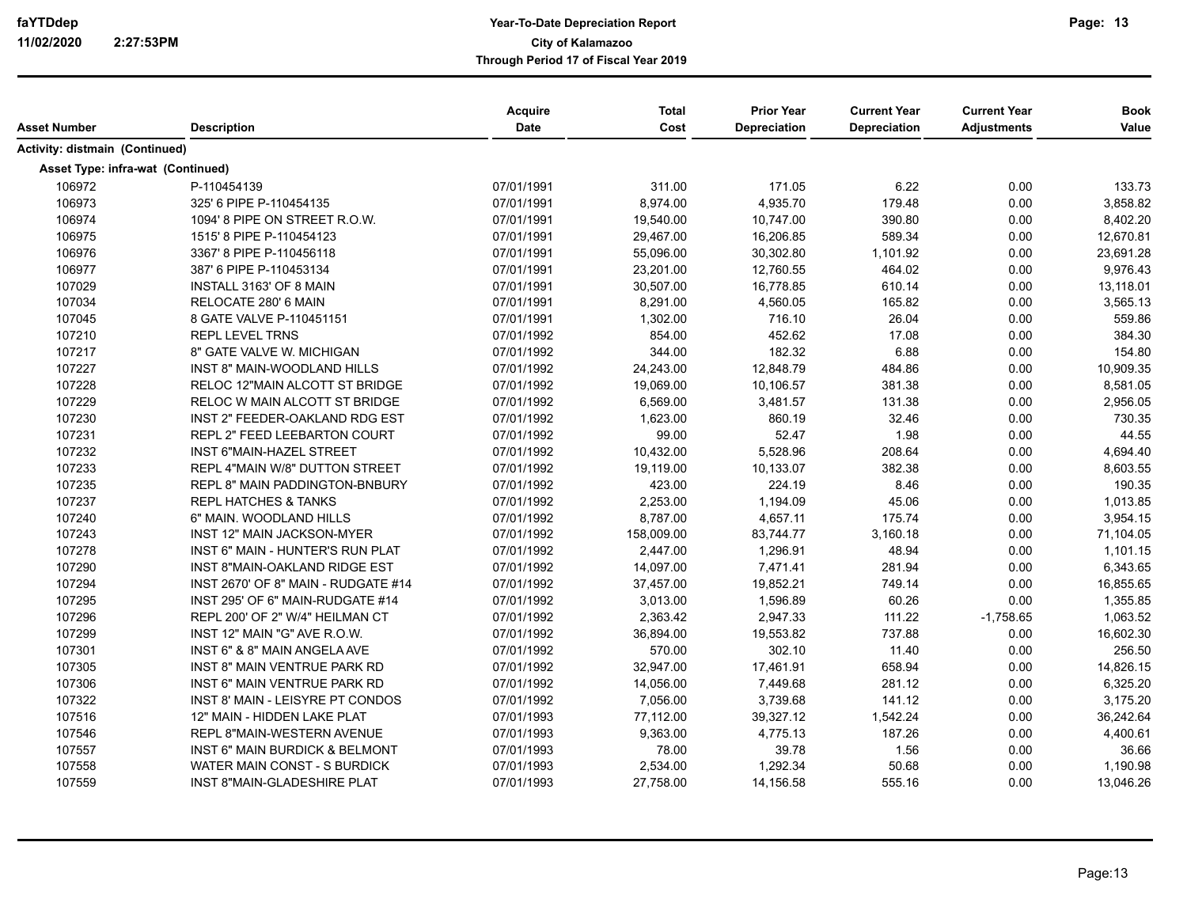|                                       |                                           | Acquire<br>Date | <b>Total</b><br>Cost | <b>Prior Year</b><br>Depreciation | <b>Current Year</b><br><b>Depreciation</b> | <b>Current Year</b> | <b>Book</b> |
|---------------------------------------|-------------------------------------------|-----------------|----------------------|-----------------------------------|--------------------------------------------|---------------------|-------------|
| Asset Number                          | <b>Description</b>                        |                 |                      |                                   |                                            | <b>Adjustments</b>  | Value       |
| <b>Activity: distmain (Continued)</b> |                                           |                 |                      |                                   |                                            |                     |             |
| Asset Type: infra-wat (Continued)     |                                           |                 |                      |                                   |                                            |                     |             |
| 106972                                | P-110454139                               | 07/01/1991      | 311.00               | 171.05                            | 6.22                                       | 0.00                | 133.73      |
| 106973                                | 325' 6 PIPE P-110454135                   | 07/01/1991      | 8,974.00             | 4,935.70                          | 179.48                                     | 0.00                | 3,858.82    |
| 106974                                | 1094' 8 PIPE ON STREET R.O.W.             | 07/01/1991      | 19,540.00            | 10,747.00                         | 390.80                                     | 0.00                | 8,402.20    |
| 106975                                | 1515' 8 PIPE P-110454123                  | 07/01/1991      | 29,467.00            | 16,206.85                         | 589.34                                     | 0.00                | 12,670.81   |
| 106976                                | 3367' 8 PIPE P-110456118                  | 07/01/1991      | 55,096.00            | 30,302.80                         | 1,101.92                                   | 0.00                | 23,691.28   |
| 106977                                | 387' 6 PIPE P-110453134                   | 07/01/1991      | 23,201.00            | 12,760.55                         | 464.02                                     | 0.00                | 9,976.43    |
| 107029                                | INSTALL 3163' OF 8 MAIN                   | 07/01/1991      | 30,507.00            | 16,778.85                         | 610.14                                     | 0.00                | 13,118.01   |
| 107034                                | RELOCATE 280' 6 MAIN                      | 07/01/1991      | 8,291.00             | 4,560.05                          | 165.82                                     | 0.00                | 3,565.13    |
| 107045                                | 8 GATE VALVE P-110451151                  | 07/01/1991      | 1,302.00             | 716.10                            | 26.04                                      | 0.00                | 559.86      |
| 107210                                | <b>REPL LEVEL TRNS</b>                    | 07/01/1992      | 854.00               | 452.62                            | 17.08                                      | 0.00                | 384.30      |
| 107217                                | 8" GATE VALVE W. MICHIGAN                 | 07/01/1992      | 344.00               | 182.32                            | 6.88                                       | 0.00                | 154.80      |
| 107227                                | INST 8" MAIN-WOODLAND HILLS               | 07/01/1992      | 24,243.00            | 12,848.79                         | 484.86                                     | 0.00                | 10,909.35   |
| 107228                                | RELOC 12"MAIN ALCOTT ST BRIDGE            | 07/01/1992      | 19,069.00            | 10,106.57                         | 381.38                                     | 0.00                | 8,581.05    |
| 107229                                | RELOC W MAIN ALCOTT ST BRIDGE             | 07/01/1992      | 6,569.00             | 3,481.57                          | 131.38                                     | 0.00                | 2,956.05    |
| 107230                                | INST 2" FEEDER-OAKLAND RDG EST            | 07/01/1992      | 1,623.00             | 860.19                            | 32.46                                      | 0.00                | 730.35      |
| 107231                                | <b>REPL 2" FEED LEEBARTON COURT</b>       | 07/01/1992      | 99.00                | 52.47                             | 1.98                                       | 0.00                | 44.55       |
| 107232                                | INST 6"MAIN-HAZEL STREET                  | 07/01/1992      | 10,432.00            | 5,528.96                          | 208.64                                     | 0.00                | 4,694.40    |
| 107233                                | <b>REPL 4"MAIN W/8" DUTTON STREET</b>     | 07/01/1992      | 19,119.00            | 10,133.07                         | 382.38                                     | 0.00                | 8,603.55    |
| 107235                                | <b>REPL 8" MAIN PADDINGTON-BNBURY</b>     | 07/01/1992      | 423.00               | 224.19                            | 8.46                                       | 0.00                | 190.35      |
| 107237                                | <b>REPL HATCHES &amp; TANKS</b>           | 07/01/1992      | 2,253.00             | 1,194.09                          | 45.06                                      | 0.00                | 1,013.85    |
| 107240                                | 6" MAIN. WOODLAND HILLS                   | 07/01/1992      | 8,787.00             | 4,657.11                          | 175.74                                     | 0.00                | 3,954.15    |
| 107243                                | <b>INST 12" MAIN JACKSON-MYER</b>         | 07/01/1992      | 158,009.00           | 83,744.77                         | 3,160.18                                   | 0.00                | 71,104.05   |
| 107278                                | <b>INST 6" MAIN - HUNTER'S RUN PLAT</b>   | 07/01/1992      | 2,447.00             | 1,296.91                          | 48.94                                      | 0.00                | 1,101.15    |
| 107290                                | INST 8"MAIN-OAKLAND RIDGE EST             | 07/01/1992      | 14,097.00            | 7,471.41                          | 281.94                                     | 0.00                | 6,343.65    |
| 107294                                | INST 2670' OF 8" MAIN - RUDGATE #14       | 07/01/1992      | 37,457.00            | 19,852.21                         | 749.14                                     | 0.00                | 16,855.65   |
| 107295                                | INST 295' OF 6" MAIN-RUDGATE #14          | 07/01/1992      | 3,013.00             | 1,596.89                          | 60.26                                      | 0.00                | 1,355.85    |
| 107296                                | REPL 200' OF 2" W/4" HEILMAN CT           | 07/01/1992      | 2,363.42             | 2,947.33                          | 111.22                                     | $-1,758.65$         | 1,063.52    |
| 107299                                | INST 12" MAIN "G" AVE R.O.W.              | 07/01/1992      | 36,894.00            | 19,553.82                         | 737.88                                     | 0.00                | 16,602.30   |
| 107301                                | INST 6" & 8" MAIN ANGELA AVE              | 07/01/1992      | 570.00               | 302.10                            | 11.40                                      | 0.00                | 256.50      |
| 107305                                | <b>INST 8" MAIN VENTRUE PARK RD</b>       | 07/01/1992      | 32,947.00            | 17,461.91                         | 658.94                                     | 0.00                | 14,826.15   |
| 107306                                | INST 6" MAIN VENTRUE PARK RD              | 07/01/1992      | 14,056.00            | 7,449.68                          | 281.12                                     | 0.00                | 6,325.20    |
| 107322                                | INST 8' MAIN - LEISYRE PT CONDOS          | 07/01/1992      | 7,056.00             | 3,739.68                          | 141.12                                     | 0.00                | 3,175.20    |
| 107516                                | 12" MAIN - HIDDEN LAKE PLAT               | 07/01/1993      | 77,112.00            | 39,327.12                         | 1,542.24                                   | 0.00                | 36,242.64   |
| 107546                                | REPL 8"MAIN-WESTERN AVENUE                | 07/01/1993      | 9,363.00             | 4,775.13                          | 187.26                                     | 0.00                | 4,400.61    |
| 107557                                | <b>INST 6" MAIN BURDICK &amp; BELMONT</b> | 07/01/1993      | 78.00                | 39.78                             | 1.56                                       | 0.00                | 36.66       |
| 107558                                | WATER MAIN CONST - S BURDICK              | 07/01/1993      | 2,534.00             | 1,292.34                          | 50.68                                      | 0.00                | 1,190.98    |
| 107559                                | <b>INST 8"MAIN-GLADESHIRE PLAT</b>        | 07/01/1993      | 27,758.00            | 14,156.58                         | 555.16                                     | 0.00                | 13,046.26   |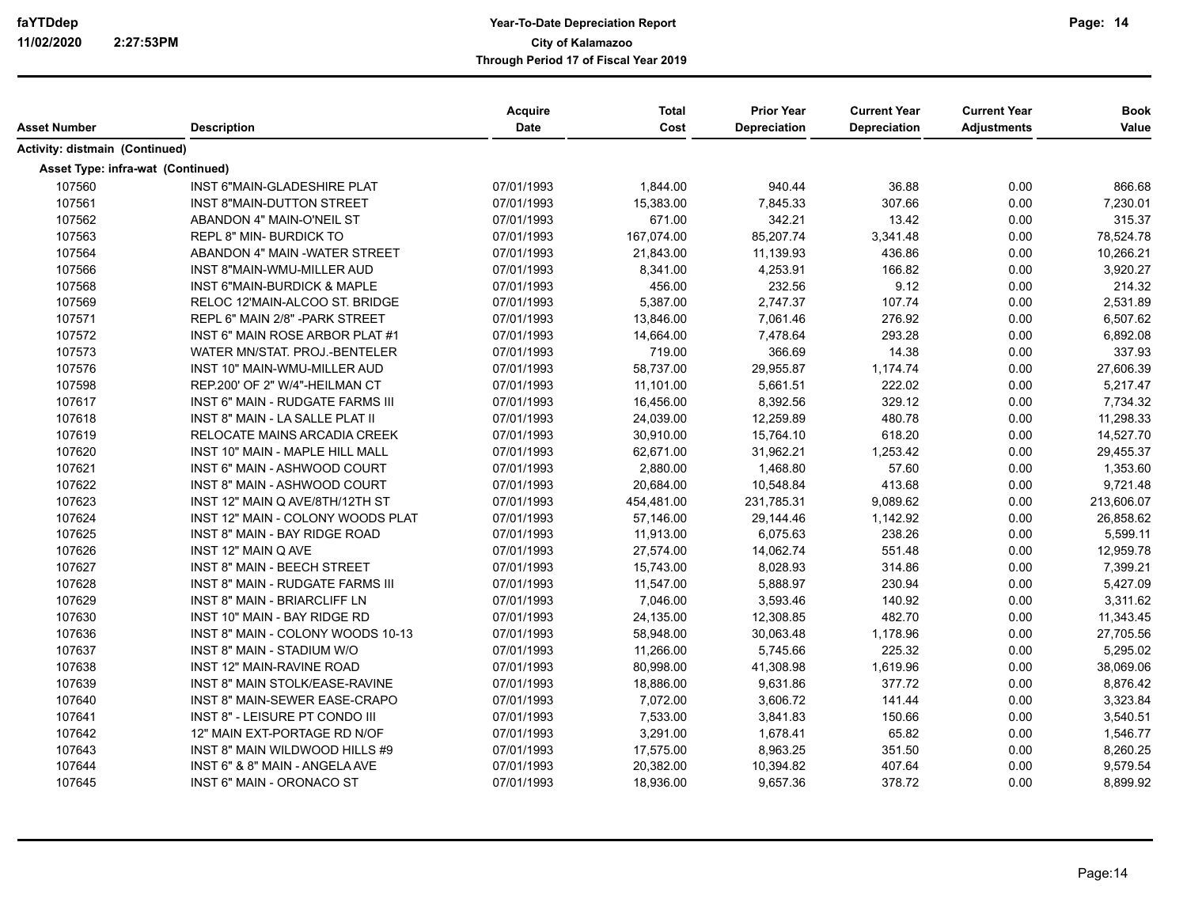| Asset Number                          | <b>Description</b>                      | Acquire<br><b>Date</b> | <b>Total</b><br>Cost | <b>Prior Year</b><br>Depreciation | <b>Current Year</b><br><b>Depreciation</b> | <b>Current Year</b><br><b>Adjustments</b> | <b>Book</b><br>Value |
|---------------------------------------|-----------------------------------------|------------------------|----------------------|-----------------------------------|--------------------------------------------|-------------------------------------------|----------------------|
| <b>Activity: distmain (Continued)</b> |                                         |                        |                      |                                   |                                            |                                           |                      |
| Asset Type: infra-wat (Continued)     |                                         |                        |                      |                                   |                                            |                                           |                      |
| 107560                                | INST 6"MAIN-GLADESHIRE PLAT             | 07/01/1993             | 1,844.00             | 940.44                            | 36.88                                      | 0.00                                      | 866.68               |
| 107561                                | <b>INST 8"MAIN-DUTTON STREET</b>        | 07/01/1993             | 15,383.00            | 7,845.33                          | 307.66                                     | 0.00                                      | 7,230.01             |
| 107562                                | ABANDON 4" MAIN-O'NEIL ST               | 07/01/1993             | 671.00               | 342.21                            | 13.42                                      | 0.00                                      | 315.37               |
| 107563                                | REPL 8" MIN- BURDICK TO                 | 07/01/1993             | 167,074.00           | 85,207.74                         | 3,341.48                                   | 0.00                                      | 78,524.78            |
| 107564                                | ABANDON 4" MAIN - WATER STREET          | 07/01/1993             | 21,843.00            | 11,139.93                         | 436.86                                     | 0.00                                      | 10,266.21            |
| 107566                                | INST 8"MAIN-WMU-MILLER AUD              | 07/01/1993             | 8,341.00             | 4,253.91                          | 166.82                                     | 0.00                                      | 3,920.27             |
| 107568                                | <b>INST 6"MAIN-BURDICK &amp; MAPLE</b>  | 07/01/1993             | 456.00               | 232.56                            | 9.12                                       | 0.00                                      | 214.32               |
| 107569                                | RELOC 12'MAIN-ALCOO ST. BRIDGE          | 07/01/1993             | 5,387.00             | 2,747.37                          | 107.74                                     | 0.00                                      | 2,531.89             |
| 107571                                | REPL 6" MAIN 2/8" - PARK STREET         | 07/01/1993             | 13,846.00            | 7,061.46                          | 276.92                                     | 0.00                                      | 6,507.62             |
| 107572                                | INST 6" MAIN ROSE ARBOR PLAT #1         | 07/01/1993             | 14,664.00            | 7,478.64                          | 293.28                                     | 0.00                                      | 6,892.08             |
| 107573                                | WATER MN/STAT. PROJ.-BENTELER           | 07/01/1993             | 719.00               | 366.69                            | 14.38                                      | 0.00                                      | 337.93               |
| 107576                                | INST 10" MAIN-WMU-MILLER AUD            | 07/01/1993             | 58,737.00            | 29,955.87                         | 1,174.74                                   | 0.00                                      | 27,606.39            |
| 107598                                | REP.200' OF 2" W/4"-HEILMAN CT          | 07/01/1993             | 11,101.00            | 5,661.51                          | 222.02                                     | 0.00                                      | 5,217.47             |
| 107617                                | <b>INST 6" MAIN - RUDGATE FARMS III</b> | 07/01/1993             | 16,456.00            | 8,392.56                          | 329.12                                     | 0.00                                      | 7,734.32             |
| 107618                                | <b>INST 8" MAIN - LA SALLE PLAT II</b>  | 07/01/1993             | 24,039.00            | 12,259.89                         | 480.78                                     | 0.00                                      | 11,298.33            |
| 107619                                | RELOCATE MAINS ARCADIA CREEK            | 07/01/1993             | 30,910.00            | 15,764.10                         | 618.20                                     | 0.00                                      | 14,527.70            |
| 107620                                | INST 10" MAIN - MAPLE HILL MALL         | 07/01/1993             | 62,671.00            | 31,962.21                         | 1,253.42                                   | 0.00                                      | 29,455.37            |
| 107621                                | <b>INST 6" MAIN - ASHWOOD COURT</b>     | 07/01/1993             | 2,880.00             | 1,468.80                          | 57.60                                      | 0.00                                      | 1,353.60             |
| 107622                                | INST 8" MAIN - ASHWOOD COURT            | 07/01/1993             | 20,684.00            | 10,548.84                         | 413.68                                     | 0.00                                      | 9,721.48             |
| 107623                                | INST 12" MAIN Q AVE/8TH/12TH ST         | 07/01/1993             | 454,481.00           | 231,785.31                        | 9,089.62                                   | 0.00                                      | 213,606.07           |
| 107624                                | INST 12" MAIN - COLONY WOODS PLAT       | 07/01/1993             | 57,146.00            | 29,144.46                         | 1,142.92                                   | 0.00                                      | 26,858.62            |
| 107625                                | INST 8" MAIN - BAY RIDGE ROAD           | 07/01/1993             | 11,913.00            | 6,075.63                          | 238.26                                     | 0.00                                      | 5,599.11             |
| 107626                                | INST 12" MAIN Q AVE                     | 07/01/1993             | 27,574.00            | 14,062.74                         | 551.48                                     | 0.00                                      | 12,959.78            |
| 107627                                | <b>INST 8" MAIN - BEECH STREET</b>      | 07/01/1993             | 15,743.00            | 8,028.93                          | 314.86                                     | 0.00                                      | 7,399.21             |
| 107628                                | INST 8" MAIN - RUDGATE FARMS III        | 07/01/1993             | 11,547.00            | 5,888.97                          | 230.94                                     | 0.00                                      | 5,427.09             |
| 107629                                | <b>INST 8" MAIN - BRIARCLIFF LN</b>     | 07/01/1993             | 7,046.00             | 3,593.46                          | 140.92                                     | 0.00                                      | 3,311.62             |
| 107630                                | INST 10" MAIN - BAY RIDGE RD            | 07/01/1993             | 24,135.00            | 12,308.85                         | 482.70                                     | 0.00                                      | 11,343.45            |
| 107636                                | INST 8" MAIN - COLONY WOODS 10-13       | 07/01/1993             | 58,948.00            | 30,063.48                         | 1,178.96                                   | 0.00                                      | 27,705.56            |
| 107637                                | INST 8" MAIN - STADIUM W/O              | 07/01/1993             | 11,266.00            | 5,745.66                          | 225.32                                     | 0.00                                      | 5,295.02             |
| 107638                                | INST 12" MAIN-RAVINE ROAD               | 07/01/1993             | 80,998.00            | 41,308.98                         | 1,619.96                                   | 0.00                                      | 38,069.06            |
| 107639                                | INST 8" MAIN STOLK/EASE-RAVINE          | 07/01/1993             | 18,886.00            | 9,631.86                          | 377.72                                     | 0.00                                      | 8,876.42             |
| 107640                                | INST 8" MAIN-SEWER EASE-CRAPO           | 07/01/1993             | 7,072.00             | 3,606.72                          | 141.44                                     | 0.00                                      | 3,323.84             |
| 107641                                | <b>INST 8" - LEISURE PT CONDO III</b>   | 07/01/1993             | 7,533.00             | 3,841.83                          | 150.66                                     | 0.00                                      | 3,540.51             |
| 107642                                | 12" MAIN EXT-PORTAGE RD N/OF            | 07/01/1993             | 3,291.00             | 1,678.41                          | 65.82                                      | 0.00                                      | 1,546.77             |
| 107643                                | INST 8" MAIN WILDWOOD HILLS #9          | 07/01/1993             | 17,575.00            | 8,963.25                          | 351.50                                     | 0.00                                      | 8,260.25             |
| 107644                                | INST 6" & 8" MAIN - ANGELA AVE          | 07/01/1993             | 20,382.00            | 10,394.82                         | 407.64                                     | 0.00                                      | 9,579.54             |
| 107645                                | <b>INST 6" MAIN - ORONACO ST</b>        | 07/01/1993             | 18,936.00            | 9,657.36                          | 378.72                                     | 0.00                                      | 8,899.92             |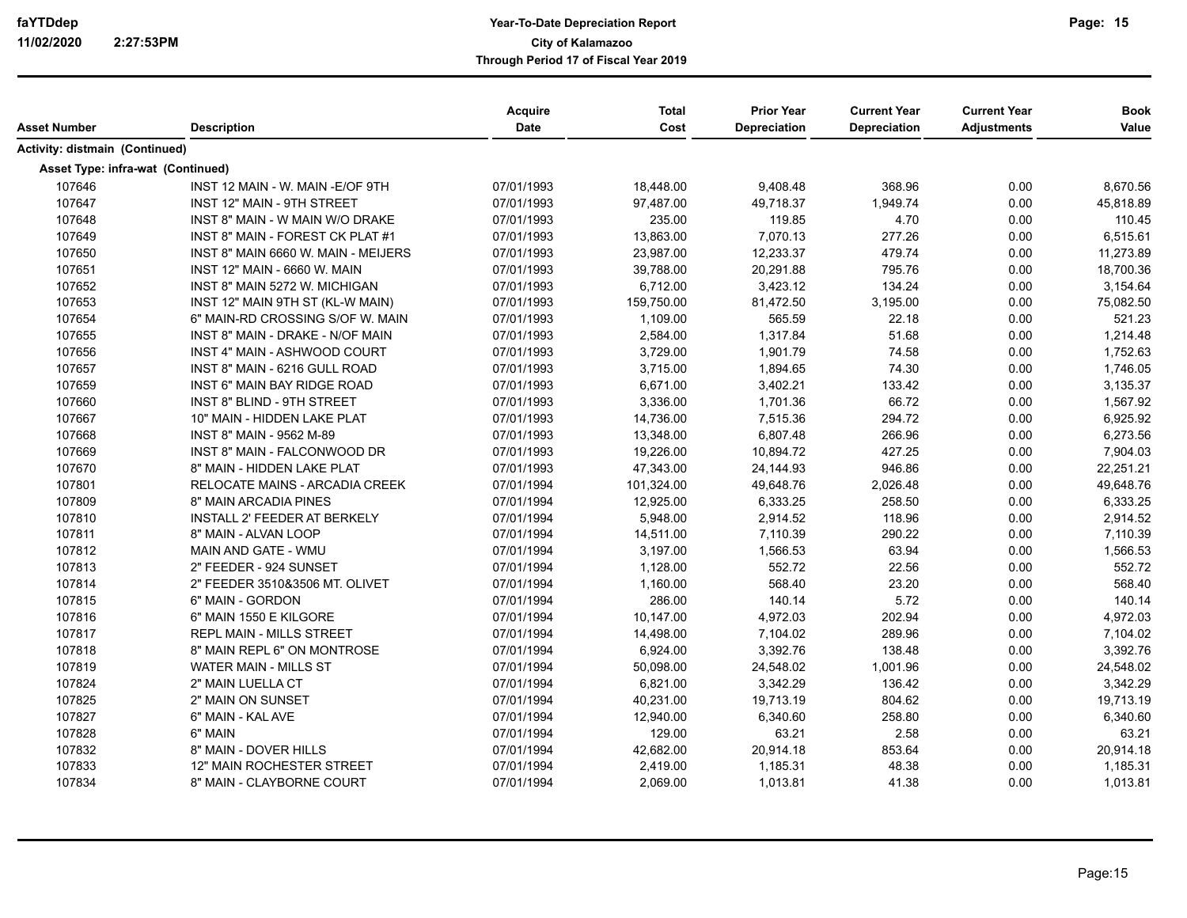| Asset Number                      | <b>Description</b>                  | Acquire<br><b>Date</b> | <b>Total</b><br>Cost | <b>Prior Year</b><br><b>Depreciation</b> | <b>Current Year</b><br><b>Depreciation</b> | <b>Current Year</b><br><b>Adjustments</b> | <b>Book</b><br>Value |
|-----------------------------------|-------------------------------------|------------------------|----------------------|------------------------------------------|--------------------------------------------|-------------------------------------------|----------------------|
| Activity: distmain (Continued)    |                                     |                        |                      |                                          |                                            |                                           |                      |
| Asset Type: infra-wat (Continued) |                                     |                        |                      |                                          |                                            |                                           |                      |
| 107646                            | INST 12 MAIN - W. MAIN - E/OF 9TH   | 07/01/1993             | 18,448.00            | 9,408.48                                 | 368.96                                     | 0.00                                      | 8,670.56             |
| 107647                            | INST 12" MAIN - 9TH STREET          | 07/01/1993             | 97,487.00            | 49,718.37                                | 1,949.74                                   | 0.00                                      | 45,818.89            |
| 107648                            | INST 8" MAIN - W MAIN W/O DRAKE     | 07/01/1993             | 235.00               | 119.85                                   | 4.70                                       | 0.00                                      | 110.45               |
| 107649                            | INST 8" MAIN - FOREST CK PLAT #1    | 07/01/1993             | 13,863.00            | 7,070.13                                 | 277.26                                     | 0.00                                      | 6,515.61             |
| 107650                            | INST 8" MAIN 6660 W. MAIN - MEIJERS | 07/01/1993             | 23,987.00            | 12,233.37                                | 479.74                                     | 0.00                                      | 11,273.89            |
| 107651                            | <b>INST 12" MAIN - 6660 W. MAIN</b> | 07/01/1993             | 39,788.00            | 20,291.88                                | 795.76                                     | 0.00                                      | 18,700.36            |
| 107652                            | INST 8" MAIN 5272 W. MICHIGAN       | 07/01/1993             | 6,712.00             | 3,423.12                                 | 134.24                                     | 0.00                                      | 3,154.64             |
| 107653                            | INST 12" MAIN 9TH ST (KL-W MAIN)    | 07/01/1993             | 159,750.00           | 81,472.50                                | 3,195.00                                   | 0.00                                      | 75,082.50            |
| 107654                            | 6" MAIN-RD CROSSING S/OF W. MAIN    | 07/01/1993             | 1,109.00             | 565.59                                   | 22.18                                      | 0.00                                      | 521.23               |
| 107655                            | INST 8" MAIN - DRAKE - N/OF MAIN    | 07/01/1993             | 2,584.00             | 1,317.84                                 | 51.68                                      | 0.00                                      | 1,214.48             |
| 107656                            | INST 4" MAIN - ASHWOOD COURT        | 07/01/1993             | 3,729.00             | 1,901.79                                 | 74.58                                      | 0.00                                      | 1,752.63             |
| 107657                            | INST 8" MAIN - 6216 GULL ROAD       | 07/01/1993             | 3,715.00             | 1,894.65                                 | 74.30                                      | 0.00                                      | 1,746.05             |
| 107659                            | INST 6" MAIN BAY RIDGE ROAD         | 07/01/1993             | 6,671.00             | 3,402.21                                 | 133.42                                     | 0.00                                      | 3,135.37             |
| 107660                            | INST 8" BLIND - 9TH STREET          | 07/01/1993             | 3,336.00             | 1,701.36                                 | 66.72                                      | 0.00                                      | 1,567.92             |
| 107667                            | 10" MAIN - HIDDEN LAKE PLAT         | 07/01/1993             | 14,736.00            | 7,515.36                                 | 294.72                                     | 0.00                                      | 6,925.92             |
| 107668                            | INST 8" MAIN - 9562 M-89            | 07/01/1993             | 13,348.00            | 6,807.48                                 | 266.96                                     | 0.00                                      | 6,273.56             |
| 107669                            | INST 8" MAIN - FALCONWOOD DR        | 07/01/1993             | 19,226.00            | 10,894.72                                | 427.25                                     | 0.00                                      | 7,904.03             |
| 107670                            | 8" MAIN - HIDDEN LAKE PLAT          | 07/01/1993             | 47,343.00            | 24,144.93                                | 946.86                                     | 0.00                                      | 22,251.21            |
| 107801                            | RELOCATE MAINS - ARCADIA CREEK      | 07/01/1994             | 101,324.00           | 49,648.76                                | 2,026.48                                   | 0.00                                      | 49,648.76            |
| 107809                            | 8" MAIN ARCADIA PINES               | 07/01/1994             | 12.925.00            | 6,333.25                                 | 258.50                                     | 0.00                                      | 6,333.25             |
| 107810                            | INSTALL 2' FEEDER AT BERKELY        | 07/01/1994             | 5,948.00             | 2,914.52                                 | 118.96                                     | 0.00                                      | 2,914.52             |
| 107811                            | 8" MAIN - ALVAN LOOP                | 07/01/1994             | 14,511.00            | 7,110.39                                 | 290.22                                     | 0.00                                      | 7,110.39             |
| 107812                            | MAIN AND GATE - WMU                 | 07/01/1994             | 3,197.00             | 1,566.53                                 | 63.94                                      | 0.00                                      | 1,566.53             |
| 107813                            | 2" FEEDER - 924 SUNSET              | 07/01/1994             | 1,128.00             | 552.72                                   | 22.56                                      | 0.00                                      | 552.72               |
| 107814                            | 2" FEEDER 3510&3506 MT. OLIVET      | 07/01/1994             | 1,160.00             | 568.40                                   | 23.20                                      | 0.00                                      | 568.40               |
| 107815                            | 6" MAIN - GORDON                    | 07/01/1994             | 286.00               | 140.14                                   | 5.72                                       | 0.00                                      | 140.14               |
| 107816                            | 6" MAIN 1550 E KILGORE              | 07/01/1994             | 10,147.00            | 4,972.03                                 | 202.94                                     | 0.00                                      | 4,972.03             |
| 107817                            | <b>REPL MAIN - MILLS STREET</b>     | 07/01/1994             | 14,498.00            | 7,104.02                                 | 289.96                                     | 0.00                                      | 7,104.02             |
| 107818                            | 8" MAIN REPL 6" ON MONTROSE         | 07/01/1994             | 6,924.00             | 3,392.76                                 | 138.48                                     | 0.00                                      | 3,392.76             |
| 107819                            | <b>WATER MAIN - MILLS ST</b>        | 07/01/1994             | 50,098.00            | 24,548.02                                | 1,001.96                                   | 0.00                                      | 24,548.02            |
| 107824                            | 2" MAIN LUELLA CT                   | 07/01/1994             | 6,821.00             | 3,342.29                                 | 136.42                                     | 0.00                                      | 3,342.29             |
| 107825                            | 2" MAIN ON SUNSET                   | 07/01/1994             | 40,231.00            | 19,713.19                                | 804.62                                     | 0.00                                      | 19,713.19            |
| 107827                            | 6" MAIN - KAL AVE                   | 07/01/1994             | 12,940.00            | 6,340.60                                 | 258.80                                     | 0.00                                      | 6,340.60             |
| 107828                            | 6" MAIN                             | 07/01/1994             | 129.00               | 63.21                                    | 2.58                                       | 0.00                                      | 63.21                |
| 107832                            | 8" MAIN - DOVER HILLS               | 07/01/1994             | 42,682.00            | 20,914.18                                | 853.64                                     | 0.00                                      | 20,914.18            |
| 107833                            | 12" MAIN ROCHESTER STREET           | 07/01/1994             | 2,419.00             | 1,185.31                                 | 48.38                                      | 0.00                                      | 1,185.31             |
| 107834                            | 8" MAIN - CLAYBORNE COURT           | 07/01/1994             | 2,069.00             | 1,013.81                                 | 41.38                                      | 0.00                                      | 1,013.81             |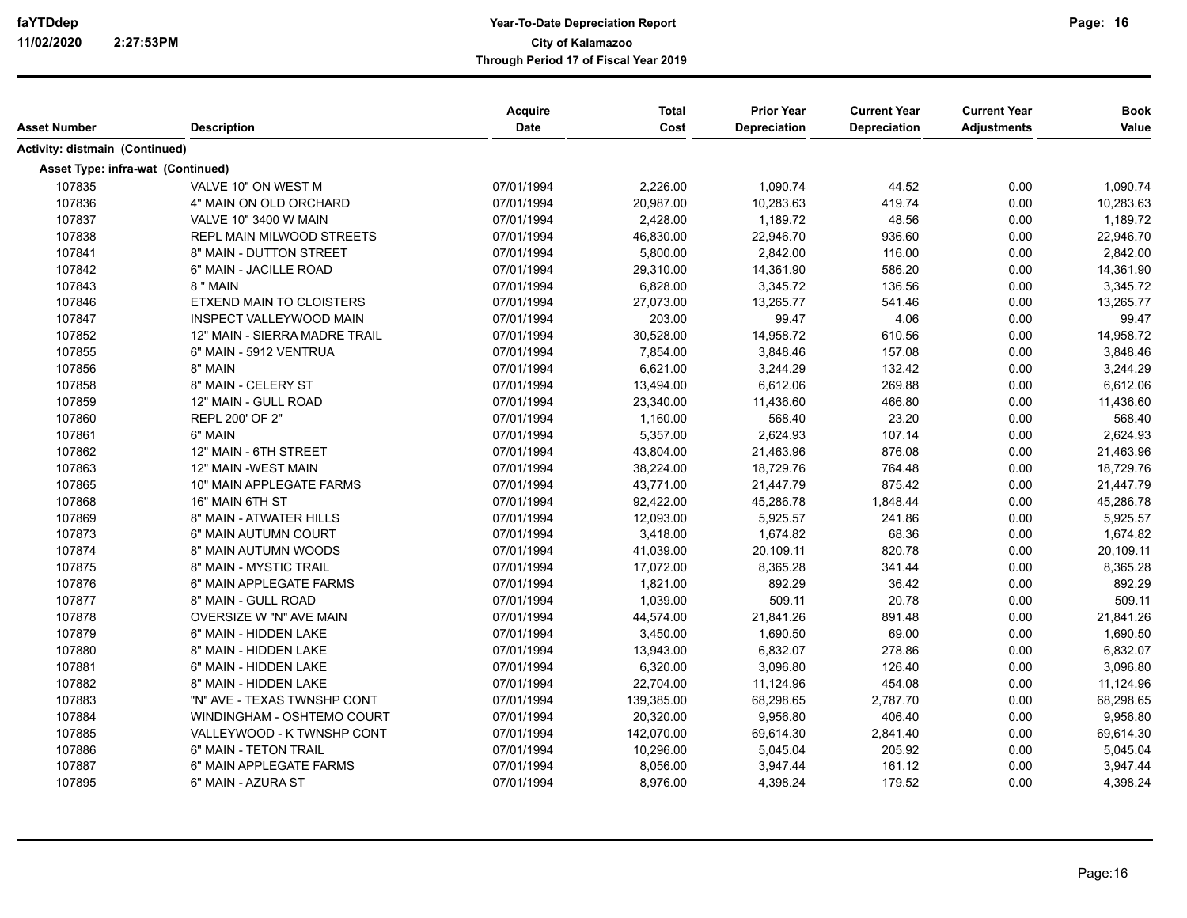|                                       |                                  | Acquire     | <b>Total</b> | <b>Prior Year</b>   | <b>Current Year</b> | <b>Current Year</b> | <b>Book</b> |
|---------------------------------------|----------------------------------|-------------|--------------|---------------------|---------------------|---------------------|-------------|
| <b>Asset Number</b>                   | <b>Description</b>               | <b>Date</b> | Cost         | <b>Depreciation</b> | Depreciation        | <b>Adjustments</b>  | Value       |
| <b>Activity: distmain (Continued)</b> |                                  |             |              |                     |                     |                     |             |
| Asset Type: infra-wat (Continued)     |                                  |             |              |                     |                     |                     |             |
| 107835                                | VALVE 10" ON WEST M              | 07/01/1994  | 2,226.00     | 1,090.74            | 44.52               | 0.00                | 1,090.74    |
| 107836                                | 4" MAIN ON OLD ORCHARD           | 07/01/1994  | 20,987.00    | 10,283.63           | 419.74              | 0.00                | 10,283.63   |
| 107837                                | VALVE 10" 3400 W MAIN            | 07/01/1994  | 2,428.00     | 1,189.72            | 48.56               | 0.00                | 1,189.72    |
| 107838                                | <b>REPL MAIN MILWOOD STREETS</b> | 07/01/1994  | 46,830.00    | 22,946.70           | 936.60              | 0.00                | 22,946.70   |
| 107841                                | 8" MAIN - DUTTON STREET          | 07/01/1994  | 5,800.00     | 2,842.00            | 116.00              | 0.00                | 2,842.00    |
| 107842                                | 6" MAIN - JACILLE ROAD           | 07/01/1994  | 29,310.00    | 14,361.90           | 586.20              | 0.00                | 14,361.90   |
| 107843                                | 8 " MAIN                         | 07/01/1994  | 6,828.00     | 3,345.72            | 136.56              | 0.00                | 3,345.72    |
| 107846                                | ETXEND MAIN TO CLOISTERS         | 07/01/1994  | 27,073.00    | 13,265.77           | 541.46              | 0.00                | 13,265.77   |
| 107847                                | INSPECT VALLEYWOOD MAIN          | 07/01/1994  | 203.00       | 99.47               | 4.06                | 0.00                | 99.47       |
| 107852                                | 12" MAIN - SIERRA MADRE TRAIL    | 07/01/1994  | 30,528.00    | 14,958.72           | 610.56              | 0.00                | 14,958.72   |
| 107855                                | 6" MAIN - 5912 VENTRUA           | 07/01/1994  | 7,854.00     | 3,848.46            | 157.08              | 0.00                | 3,848.46    |
| 107856                                | 8" MAIN                          | 07/01/1994  | 6,621.00     | 3,244.29            | 132.42              | 0.00                | 3,244.29    |
| 107858                                | 8" MAIN - CELERY ST              | 07/01/1994  | 13,494.00    | 6,612.06            | 269.88              | 0.00                | 6,612.06    |
| 107859                                | 12" MAIN - GULL ROAD             | 07/01/1994  | 23,340.00    | 11,436.60           | 466.80              | 0.00                | 11,436.60   |
| 107860                                | REPL 200' OF 2"                  | 07/01/1994  | 1,160.00     | 568.40              | 23.20               | 0.00                | 568.40      |
| 107861                                | 6" MAIN                          | 07/01/1994  | 5,357.00     | 2,624.93            | 107.14              | 0.00                | 2,624.93    |
| 107862                                | 12" MAIN - 6TH STREET            | 07/01/1994  | 43,804.00    | 21,463.96           | 876.08              | 0.00                | 21,463.96   |
| 107863                                | 12" MAIN -WEST MAIN              | 07/01/1994  | 38,224.00    | 18,729.76           | 764.48              | 0.00                | 18,729.76   |
| 107865                                | 10" MAIN APPLEGATE FARMS         | 07/01/1994  | 43,771.00    | 21,447.79           | 875.42              | 0.00                | 21,447.79   |
| 107868                                | 16" MAIN 6TH ST                  | 07/01/1994  | 92,422.00    | 45,286.78           | 1,848.44            | 0.00                | 45,286.78   |
| 107869                                | 8" MAIN - ATWATER HILLS          | 07/01/1994  | 12,093.00    | 5,925.57            | 241.86              | 0.00                | 5,925.57    |
| 107873                                | 6" MAIN AUTUMN COURT             | 07/01/1994  | 3,418.00     | 1,674.82            | 68.36               | 0.00                | 1,674.82    |
| 107874                                | 8" MAIN AUTUMN WOODS             | 07/01/1994  | 41,039.00    | 20,109.11           | 820.78              | 0.00                | 20,109.11   |
| 107875                                | 8" MAIN - MYSTIC TRAIL           | 07/01/1994  | 17,072.00    | 8,365.28            | 341.44              | 0.00                | 8,365.28    |
| 107876                                | 6" MAIN APPLEGATE FARMS          | 07/01/1994  | 1,821.00     | 892.29              | 36.42               | 0.00                | 892.29      |
| 107877                                | 8" MAIN - GULL ROAD              | 07/01/1994  | 1,039.00     | 509.11              | 20.78               | 0.00                | 509.11      |
| 107878                                | OVERSIZE W "N" AVE MAIN          | 07/01/1994  | 44,574.00    | 21,841.26           | 891.48              | 0.00                | 21,841.26   |
| 107879                                | 6" MAIN - HIDDEN LAKE            | 07/01/1994  | 3,450.00     | 1,690.50            | 69.00               | 0.00                | 1,690.50    |
| 107880                                | 8" MAIN - HIDDEN LAKE            | 07/01/1994  | 13,943.00    | 6,832.07            | 278.86              | 0.00                | 6,832.07    |
| 107881                                | 6" MAIN - HIDDEN LAKE            | 07/01/1994  | 6,320.00     | 3,096.80            | 126.40              | 0.00                | 3,096.80    |
| 107882                                | 8" MAIN - HIDDEN LAKE            | 07/01/1994  | 22,704.00    | 11,124.96           | 454.08              | 0.00                | 11,124.96   |
| 107883                                | "N" AVE - TEXAS TWNSHP CONT      | 07/01/1994  | 139,385.00   | 68,298.65           | 2,787.70            | 0.00                | 68,298.65   |
| 107884                                | WINDINGHAM - OSHTEMO COURT       | 07/01/1994  | 20,320.00    | 9,956.80            | 406.40              | 0.00                | 9,956.80    |
| 107885                                | VALLEYWOOD - K TWNSHP CONT       | 07/01/1994  | 142,070.00   | 69,614.30           | 2,841.40            | 0.00                | 69,614.30   |
| 107886                                | 6" MAIN - TETON TRAIL            | 07/01/1994  | 10,296.00    | 5,045.04            | 205.92              | 0.00                | 5,045.04    |
| 107887                                | 6" MAIN APPLEGATE FARMS          | 07/01/1994  | 8,056.00     | 3,947.44            | 161.12              | 0.00                | 3,947.44    |
| 107895                                | 6" MAIN - AZURA ST               | 07/01/1994  | 8,976.00     | 4,398.24            | 179.52              | 0.00                | 4,398.24    |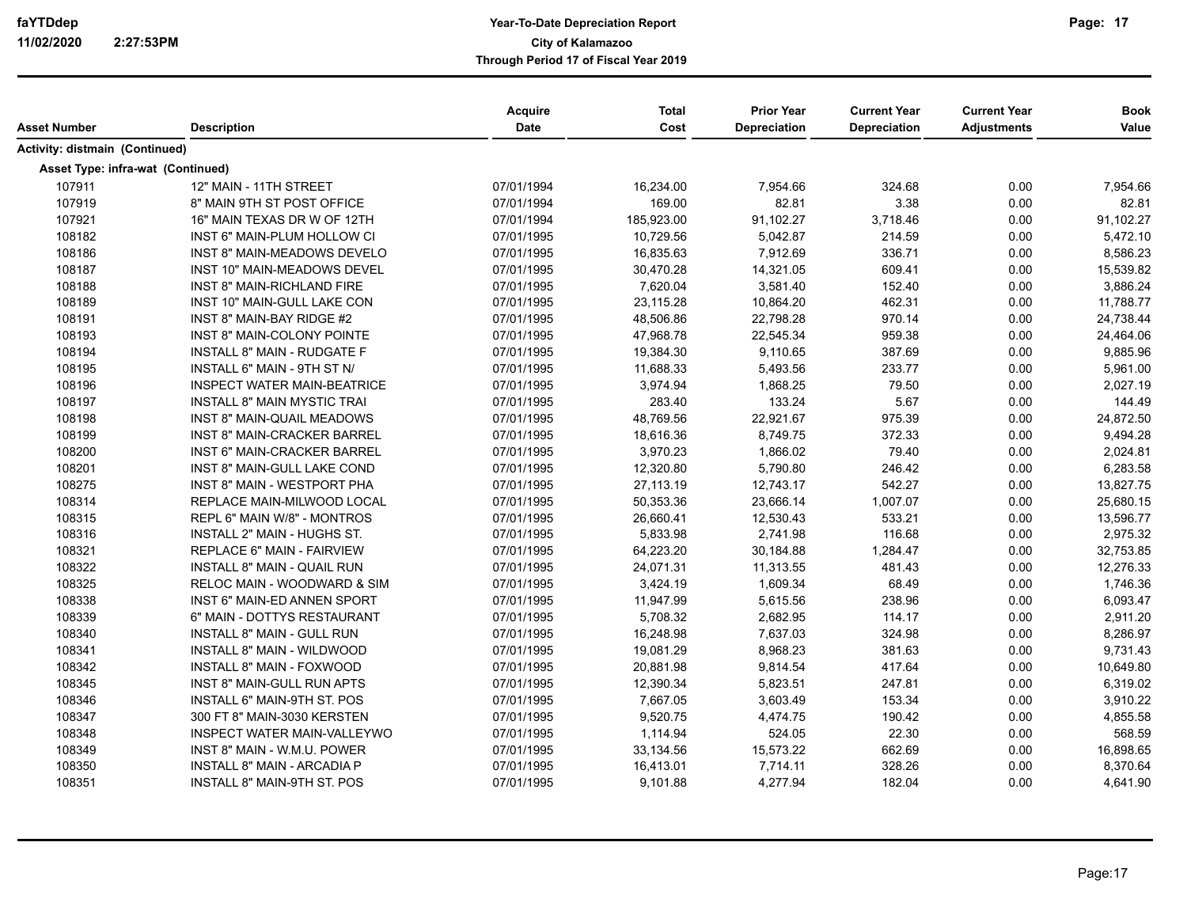| Asset Number                          | <b>Description</b>                 | Acquire<br>Date | <b>Total</b><br>Cost | <b>Prior Year</b><br>Depreciation | <b>Current Year</b><br><b>Depreciation</b> | <b>Current Year</b><br><b>Adjustments</b> | <b>Book</b><br>Value |
|---------------------------------------|------------------------------------|-----------------|----------------------|-----------------------------------|--------------------------------------------|-------------------------------------------|----------------------|
| <b>Activity: distmain (Continued)</b> |                                    |                 |                      |                                   |                                            |                                           |                      |
| Asset Type: infra-wat (Continued)     |                                    |                 |                      |                                   |                                            |                                           |                      |
| 107911                                | 12" MAIN - 11TH STREET             | 07/01/1994      | 16,234.00            | 7,954.66                          | 324.68                                     | 0.00                                      | 7,954.66             |
| 107919                                | 8" MAIN 9TH ST POST OFFICE         | 07/01/1994      | 169.00               | 82.81                             | 3.38                                       | 0.00                                      | 82.81                |
| 107921                                | 16" MAIN TEXAS DR W OF 12TH        | 07/01/1994      | 185,923.00           | 91,102.27                         | 3,718.46                                   | 0.00                                      | 91,102.27            |
| 108182                                | INST 6" MAIN-PLUM HOLLOW CI        | 07/01/1995      | 10,729.56            | 5,042.87                          | 214.59                                     | 0.00                                      | 5,472.10             |
| 108186                                | INST 8" MAIN-MEADOWS DEVELO        | 07/01/1995      | 16,835.63            | 7,912.69                          | 336.71                                     | 0.00                                      | 8,586.23             |
| 108187                                | INST 10" MAIN-MEADOWS DEVEL        | 07/01/1995      | 30,470.28            | 14,321.05                         | 609.41                                     | 0.00                                      | 15,539.82            |
| 108188                                | INST 8" MAIN-RICHLAND FIRE         | 07/01/1995      | 7,620.04             | 3,581.40                          | 152.40                                     | 0.00                                      | 3,886.24             |
| 108189                                | INST 10" MAIN-GULL LAKE CON        | 07/01/1995      | 23,115.28            | 10,864.20                         | 462.31                                     | 0.00                                      | 11,788.77            |
| 108191                                | INST 8" MAIN-BAY RIDGE #2          | 07/01/1995      | 48,506.86            | 22,798.28                         | 970.14                                     | 0.00                                      | 24,738.44            |
| 108193                                | INST 8" MAIN-COLONY POINTE         | 07/01/1995      | 47,968.78            | 22,545.34                         | 959.38                                     | 0.00                                      | 24,464.06            |
| 108194                                | <b>INSTALL 8" MAIN - RUDGATE F</b> | 07/01/1995      | 19,384.30            | 9,110.65                          | 387.69                                     | 0.00                                      | 9,885.96             |
| 108195                                | INSTALL 6" MAIN - 9TH ST N/        | 07/01/1995      | 11,688.33            | 5,493.56                          | 233.77                                     | 0.00                                      | 5,961.00             |
| 108196                                | <b>INSPECT WATER MAIN-BEATRICE</b> | 07/01/1995      | 3,974.94             | 1,868.25                          | 79.50                                      | 0.00                                      | 2,027.19             |
| 108197                                | <b>INSTALL 8" MAIN MYSTIC TRAI</b> | 07/01/1995      | 283.40               | 133.24                            | 5.67                                       | 0.00                                      | 144.49               |
| 108198                                | INST 8" MAIN-QUAIL MEADOWS         | 07/01/1995      | 48,769.56            | 22,921.67                         | 975.39                                     | 0.00                                      | 24,872.50            |
| 108199                                | <b>INST 8" MAIN-CRACKER BARREL</b> | 07/01/1995      | 18,616.36            | 8,749.75                          | 372.33                                     | 0.00                                      | 9,494.28             |
| 108200                                | <b>INST 6" MAIN-CRACKER BARREL</b> | 07/01/1995      | 3,970.23             | 1,866.02                          | 79.40                                      | 0.00                                      | 2,024.81             |
| 108201                                | INST 8" MAIN-GULL LAKE COND        | 07/01/1995      | 12,320.80            | 5,790.80                          | 246.42                                     | 0.00                                      | 6,283.58             |
| 108275                                | INST 8" MAIN - WESTPORT PHA        | 07/01/1995      | 27,113.19            | 12,743.17                         | 542.27                                     | 0.00                                      | 13,827.75            |
| 108314                                | REPLACE MAIN-MILWOOD LOCAL         | 07/01/1995      | 50,353.36            | 23,666.14                         | 1,007.07                                   | 0.00                                      | 25.680.15            |
| 108315                                | REPL 6" MAIN W/8" - MONTROS        | 07/01/1995      | 26,660.41            | 12,530.43                         | 533.21                                     | 0.00                                      | 13,596.77            |
| 108316                                | INSTALL 2" MAIN - HUGHS ST.        | 07/01/1995      | 5,833.98             | 2,741.98                          | 116.68                                     | 0.00                                      | 2,975.32             |
| 108321                                | REPLACE 6" MAIN - FAIRVIEW         | 07/01/1995      | 64,223.20            | 30,184.88                         | 1,284.47                                   | 0.00                                      | 32,753.85            |
| 108322                                | <b>INSTALL 8" MAIN - QUAIL RUN</b> | 07/01/1995      | 24,071.31            | 11,313.55                         | 481.43                                     | 0.00                                      | 12,276.33            |
| 108325                                | RELOC MAIN - WOODWARD & SIM        | 07/01/1995      | 3,424.19             | 1,609.34                          | 68.49                                      | 0.00                                      | 1,746.36             |
| 108338                                | INST 6" MAIN-ED ANNEN SPORT        | 07/01/1995      | 11,947.99            | 5,615.56                          | 238.96                                     | 0.00                                      | 6,093.47             |
| 108339                                | 6" MAIN - DOTTYS RESTAURANT        | 07/01/1995      | 5,708.32             | 2,682.95                          | 114.17                                     | 0.00                                      | 2,911.20             |
| 108340                                | INSTALL 8" MAIN - GULL RUN         | 07/01/1995      | 16,248.98            | 7,637.03                          | 324.98                                     | 0.00                                      | 8,286.97             |
| 108341                                | INSTALL 8" MAIN - WILDWOOD         | 07/01/1995      | 19,081.29            | 8,968.23                          | 381.63                                     | 0.00                                      | 9,731.43             |
| 108342                                | <b>INSTALL 8" MAIN - FOXWOOD</b>   | 07/01/1995      | 20,881.98            | 9,814.54                          | 417.64                                     | 0.00                                      | 10,649.80            |
| 108345                                | <b>INST 8" MAIN-GULL RUN APTS</b>  | 07/01/1995      | 12,390.34            | 5,823.51                          | 247.81                                     | 0.00                                      | 6,319.02             |
| 108346                                | <b>INSTALL 6" MAIN-9TH ST. POS</b> | 07/01/1995      | 7,667.05             | 3,603.49                          | 153.34                                     | 0.00                                      | 3,910.22             |
| 108347                                | 300 FT 8" MAIN-3030 KERSTEN        | 07/01/1995      | 9,520.75             | 4,474.75                          | 190.42                                     | 0.00                                      | 4,855.58             |
| 108348                                | <b>INSPECT WATER MAIN-VALLEYWO</b> | 07/01/1995      | 1,114.94             | 524.05                            | 22.30                                      | 0.00                                      | 568.59               |
| 108349                                | INST 8" MAIN - W.M.U. POWER        | 07/01/1995      | 33,134.56            | 15,573.22                         | 662.69                                     | 0.00                                      | 16,898.65            |
| 108350                                | INSTALL 8" MAIN - ARCADIA P        | 07/01/1995      | 16,413.01            | 7,714.11                          | 328.26                                     | 0.00                                      | 8,370.64             |
| 108351                                | <b>INSTALL 8" MAIN-9TH ST. POS</b> | 07/01/1995      | 9,101.88             | 4,277.94                          | 182.04                                     | 0.00                                      | 4,641.90             |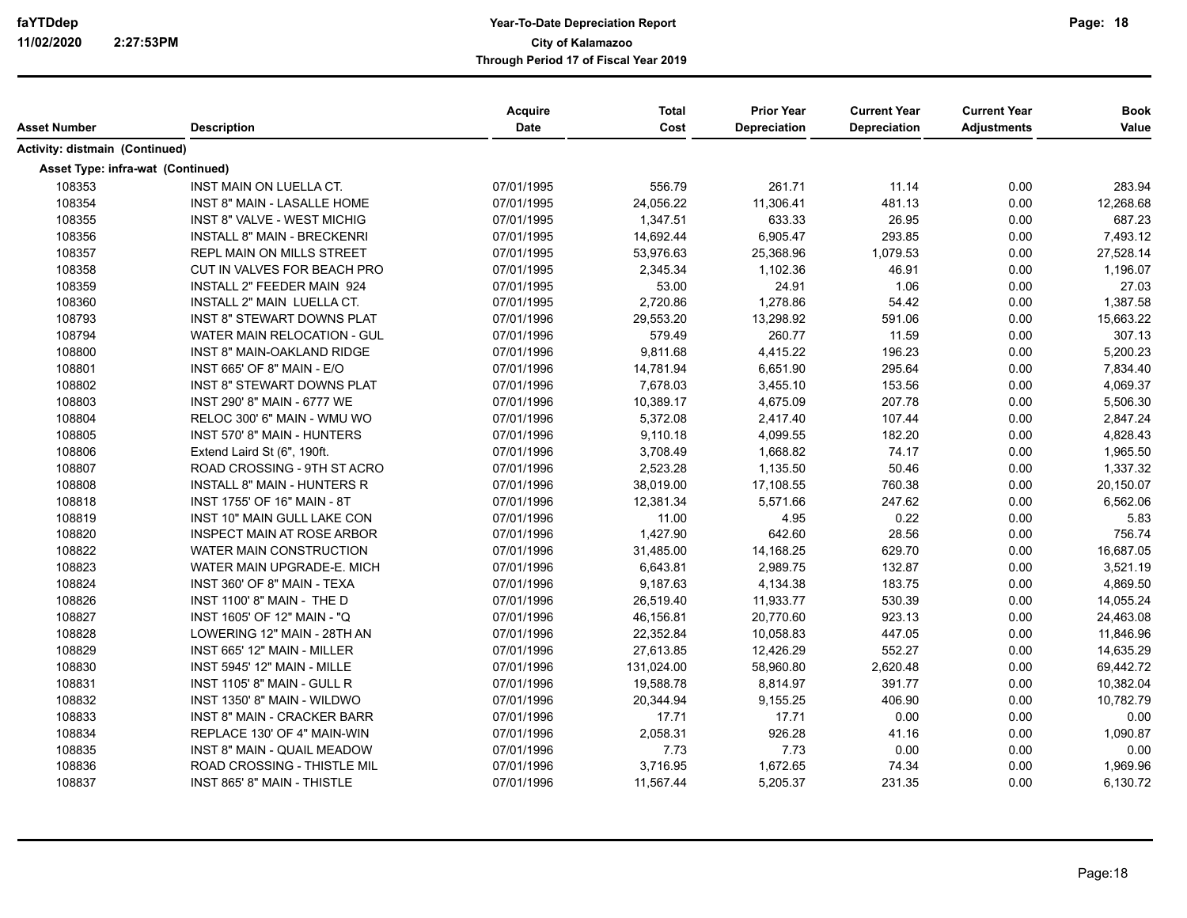| Asset Number                          | <b>Description</b>                 | Acquire<br>Date | <b>Total</b><br>Cost | <b>Prior Year</b><br><b>Depreciation</b> | <b>Current Year</b><br><b>Depreciation</b> | <b>Current Year</b><br><b>Adjustments</b> | <b>Book</b><br>Value |
|---------------------------------------|------------------------------------|-----------------|----------------------|------------------------------------------|--------------------------------------------|-------------------------------------------|----------------------|
| <b>Activity: distmain (Continued)</b> |                                    |                 |                      |                                          |                                            |                                           |                      |
| Asset Type: infra-wat (Continued)     |                                    |                 |                      |                                          |                                            |                                           |                      |
| 108353                                | <b>INST MAIN ON LUELLA CT.</b>     | 07/01/1995      | 556.79               | 261.71                                   | 11.14                                      | 0.00                                      | 283.94               |
| 108354                                | <b>INST 8" MAIN - LASALLE HOME</b> | 07/01/1995      | 24,056.22            | 11,306.41                                | 481.13                                     | 0.00                                      | 12,268.68            |
| 108355                                | <b>INST 8" VALVE - WEST MICHIG</b> | 07/01/1995      | 1,347.51             | 633.33                                   | 26.95                                      | 0.00                                      | 687.23               |
| 108356                                | <b>INSTALL 8" MAIN - BRECKENRI</b> | 07/01/1995      | 14,692.44            | 6,905.47                                 | 293.85                                     | 0.00                                      | 7,493.12             |
| 108357                                | REPL MAIN ON MILLS STREET          | 07/01/1995      | 53,976.63            | 25,368.96                                | 1,079.53                                   | 0.00                                      | 27,528.14            |
| 108358                                | CUT IN VALVES FOR BEACH PRO        | 07/01/1995      | 2,345.34             | 1,102.36                                 | 46.91                                      | 0.00                                      | 1,196.07             |
| 108359                                | INSTALL 2" FEEDER MAIN 924         | 07/01/1995      | 53.00                | 24.91                                    | 1.06                                       | 0.00                                      | 27.03                |
| 108360                                | INSTALL 2" MAIN LUELLA CT.         | 07/01/1995      | 2,720.86             | 1,278.86                                 | 54.42                                      | 0.00                                      | 1,387.58             |
| 108793                                | <b>INST 8" STEWART DOWNS PLAT</b>  | 07/01/1996      | 29,553.20            | 13,298.92                                | 591.06                                     | 0.00                                      | 15,663.22            |
| 108794                                | WATER MAIN RELOCATION - GUL        | 07/01/1996      | 579.49               | 260.77                                   | 11.59                                      | 0.00                                      | 307.13               |
| 108800                                | INST 8" MAIN-OAKLAND RIDGE         | 07/01/1996      | 9,811.68             | 4,415.22                                 | 196.23                                     | 0.00                                      | 5,200.23             |
| 108801                                | INST 665' OF 8" MAIN - E/O         | 07/01/1996      | 14,781.94            | 6,651.90                                 | 295.64                                     | 0.00                                      | 7,834.40             |
| 108802                                | <b>INST 8" STEWART DOWNS PLAT</b>  | 07/01/1996      | 7,678.03             | 3,455.10                                 | 153.56                                     | 0.00                                      | 4,069.37             |
| 108803                                | INST 290' 8" MAIN - 6777 WE        | 07/01/1996      | 10,389.17            | 4,675.09                                 | 207.78                                     | 0.00                                      | 5,506.30             |
| 108804                                | RELOC 300' 6" MAIN - WMU WO        | 07/01/1996      | 5,372.08             | 2,417.40                                 | 107.44                                     | 0.00                                      | 2,847.24             |
| 108805                                | INST 570' 8" MAIN - HUNTERS        | 07/01/1996      | 9,110.18             | 4,099.55                                 | 182.20                                     | 0.00                                      | 4,828.43             |
| 108806                                | Extend Laird St (6", 190ft.        | 07/01/1996      | 3,708.49             | 1,668.82                                 | 74.17                                      | 0.00                                      | 1,965.50             |
| 108807                                | ROAD CROSSING - 9TH ST ACRO        | 07/01/1996      | 2,523.28             | 1,135.50                                 | 50.46                                      | 0.00                                      | 1,337.32             |
| 108808                                | <b>INSTALL 8" MAIN - HUNTERS R</b> | 07/01/1996      | 38,019.00            | 17,108.55                                | 760.38                                     | 0.00                                      | 20,150.07            |
| 108818                                | INST 1755' OF 16" MAIN - 8T        | 07/01/1996      | 12,381.34            | 5,571.66                                 | 247.62                                     | 0.00                                      | 6,562.06             |
| 108819                                | INST 10" MAIN GULL LAKE CON        | 07/01/1996      | 11.00                | 4.95                                     | 0.22                                       | 0.00                                      | 5.83                 |
| 108820                                | <b>INSPECT MAIN AT ROSE ARBOR</b>  | 07/01/1996      | 1,427.90             | 642.60                                   | 28.56                                      | 0.00                                      | 756.74               |
| 108822                                | WATER MAIN CONSTRUCTION            | 07/01/1996      | 31,485.00            | 14,168.25                                | 629.70                                     | 0.00                                      | 16,687.05            |
| 108823                                | WATER MAIN UPGRADE-E. MICH         | 07/01/1996      | 6,643.81             | 2,989.75                                 | 132.87                                     | 0.00                                      | 3,521.19             |
| 108824                                | INST 360' OF 8" MAIN - TEXA        | 07/01/1996      | 9,187.63             | 4,134.38                                 | 183.75                                     | 0.00                                      | 4,869.50             |
| 108826                                | INST 1100' 8" MAIN - THE D         | 07/01/1996      | 26,519.40            | 11,933.77                                | 530.39                                     | 0.00                                      | 14,055.24            |
| 108827                                | INST 1605' OF 12" MAIN - "Q        | 07/01/1996      | 46,156.81            | 20,770.60                                | 923.13                                     | 0.00                                      | 24,463.08            |
| 108828                                | LOWERING 12" MAIN - 28TH AN        | 07/01/1996      | 22,352.84            | 10,058.83                                | 447.05                                     | 0.00                                      | 11,846.96            |
| 108829                                | INST 665' 12" MAIN - MILLER        | 07/01/1996      | 27,613.85            | 12,426.29                                | 552.27                                     | 0.00                                      | 14,635.29            |
| 108830                                | INST 5945' 12" MAIN - MILLE        | 07/01/1996      | 131,024.00           | 58,960.80                                | 2,620.48                                   | 0.00                                      | 69,442.72            |
| 108831                                | INST 1105' 8" MAIN - GULL R        | 07/01/1996      | 19,588.78            | 8,814.97                                 | 391.77                                     | 0.00                                      | 10,382.04            |
| 108832                                | INST 1350' 8" MAIN - WILDWO        | 07/01/1996      | 20,344.94            | 9,155.25                                 | 406.90                                     | 0.00                                      | 10,782.79            |
| 108833                                | <b>INST 8" MAIN - CRACKER BARR</b> | 07/01/1996      | 17.71                | 17.71                                    | 0.00                                       | 0.00                                      | 0.00                 |
| 108834                                | REPLACE 130' OF 4" MAIN-WIN        | 07/01/1996      | 2,058.31             | 926.28                                   | 41.16                                      | 0.00                                      | 1,090.87             |
| 108835                                | INST 8" MAIN - QUAIL MEADOW        | 07/01/1996      | 7.73                 | 7.73                                     | 0.00                                       | 0.00                                      | 0.00                 |
| 108836                                | ROAD CROSSING - THISTLE MIL        | 07/01/1996      | 3,716.95             | 1,672.65                                 | 74.34                                      | 0.00                                      | 1,969.96             |
| 108837                                | INST 865' 8" MAIN - THISTLE        | 07/01/1996      | 11,567.44            | 5,205.37                                 | 231.35                                     | 0.00                                      | 6,130.72             |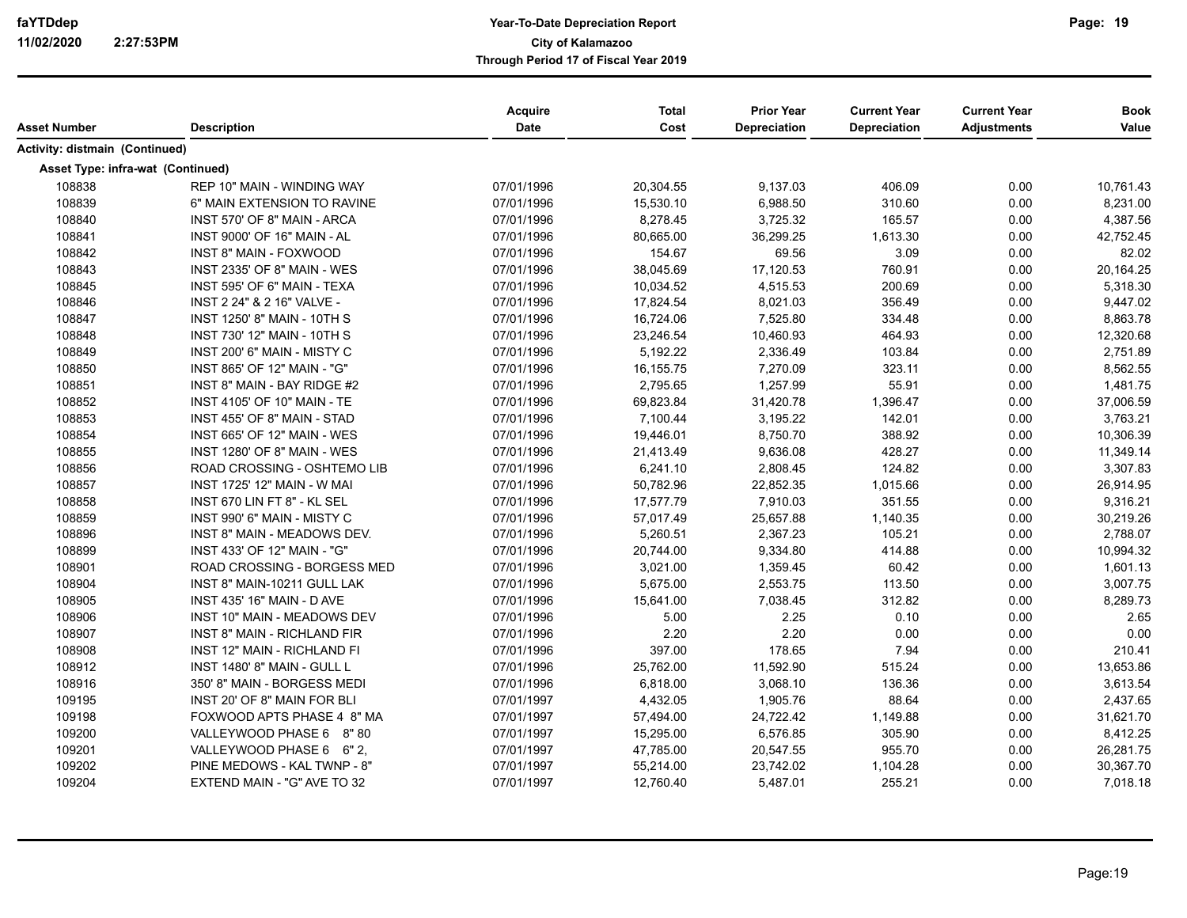|                                   |                                    | <b>Acquire</b> | <b>Total</b> | <b>Prior Year</b>   | <b>Current Year</b> | <b>Current Year</b> | <b>Book</b> |
|-----------------------------------|------------------------------------|----------------|--------------|---------------------|---------------------|---------------------|-------------|
| Asset Number                      | <b>Description</b>                 | <b>Date</b>    | Cost         | <b>Depreciation</b> | <b>Depreciation</b> | <b>Adjustments</b>  | Value       |
| Activity: distmain (Continued)    |                                    |                |              |                     |                     |                     |             |
| Asset Type: infra-wat (Continued) |                                    |                |              |                     |                     |                     |             |
| 108838                            | <b>REP 10" MAIN - WINDING WAY</b>  | 07/01/1996     | 20,304.55    | 9,137.03            | 406.09              | 0.00                | 10,761.43   |
| 108839                            | 6" MAIN EXTENSION TO RAVINE        | 07/01/1996     | 15,530.10    | 6,988.50            | 310.60              | 0.00                | 8,231.00    |
| 108840                            | INST 570' OF 8" MAIN - ARCA        | 07/01/1996     | 8,278.45     | 3,725.32            | 165.57              | 0.00                | 4,387.56    |
| 108841                            | INST 9000' OF 16" MAIN - AL        | 07/01/1996     | 80,665.00    | 36,299.25           | 1,613.30            | 0.00                | 42,752.45   |
| 108842                            | <b>INST 8" MAIN - FOXWOOD</b>      | 07/01/1996     | 154.67       | 69.56               | 3.09                | 0.00                | 82.02       |
| 108843                            | <b>INST 2335' OF 8" MAIN - WES</b> | 07/01/1996     | 38,045.69    | 17,120.53           | 760.91              | 0.00                | 20,164.25   |
| 108845                            | INST 595' OF 6" MAIN - TEXA        | 07/01/1996     | 10,034.52    | 4,515.53            | 200.69              | 0.00                | 5,318.30    |
| 108846                            | INST 2 24" & 2 16" VALVE -         | 07/01/1996     | 17,824.54    | 8,021.03            | 356.49              | 0.00                | 9,447.02    |
| 108847                            | <b>INST 1250' 8" MAIN - 10TH S</b> | 07/01/1996     | 16,724.06    | 7,525.80            | 334.48              | 0.00                | 8,863.78    |
| 108848                            | INST 730' 12" MAIN - 10TH S        | 07/01/1996     | 23,246.54    | 10,460.93           | 464.93              | 0.00                | 12,320.68   |
| 108849                            | INST 200' 6" MAIN - MISTY C        | 07/01/1996     | 5,192.22     | 2,336.49            | 103.84              | 0.00                | 2,751.89    |
| 108850                            | INST 865' OF 12" MAIN - "G"        | 07/01/1996     | 16,155.75    | 7,270.09            | 323.11              | 0.00                | 8,562.55    |
| 108851                            | INST 8" MAIN - BAY RIDGE #2        | 07/01/1996     | 2,795.65     | 1,257.99            | 55.91               | 0.00                | 1,481.75    |
| 108852                            | <b>INST 4105' OF 10" MAIN - TE</b> | 07/01/1996     | 69,823.84    | 31,420.78           | 1,396.47            | 0.00                | 37,006.59   |
| 108853                            | INST 455' OF 8" MAIN - STAD        | 07/01/1996     | 7,100.44     | 3,195.22            | 142.01              | 0.00                | 3,763.21    |
| 108854                            | <b>INST 665' OF 12" MAIN - WES</b> | 07/01/1996     | 19,446.01    | 8,750.70            | 388.92              | 0.00                | 10,306.39   |
| 108855                            | <b>INST 1280' OF 8" MAIN - WES</b> | 07/01/1996     | 21,413.49    | 9,636.08            | 428.27              | 0.00                | 11,349.14   |
| 108856                            | ROAD CROSSING - OSHTEMO LIB        | 07/01/1996     | 6,241.10     | 2,808.45            | 124.82              | 0.00                | 3,307.83    |
| 108857                            | <b>INST 1725' 12" MAIN - W MAI</b> | 07/01/1996     | 50,782.96    | 22,852.35           | 1,015.66            | 0.00                | 26,914.95   |
| 108858                            | INST 670 LIN FT 8" - KL SEL        | 07/01/1996     | 17,577.79    | 7,910.03            | 351.55              | 0.00                | 9,316.21    |
| 108859                            | INST 990' 6" MAIN - MISTY C        | 07/01/1996     | 57,017.49    | 25,657.88           | 1,140.35            | 0.00                | 30,219.26   |
| 108896                            | INST 8" MAIN - MEADOWS DEV.        | 07/01/1996     | 5,260.51     | 2,367.23            | 105.21              | 0.00                | 2,788.07    |
| 108899                            | INST 433' OF 12" MAIN - "G"        | 07/01/1996     | 20,744.00    | 9,334.80            | 414.88              | 0.00                | 10,994.32   |
| 108901                            | ROAD CROSSING - BORGESS MED        | 07/01/1996     | 3,021.00     | 1,359.45            | 60.42               | 0.00                | 1,601.13    |
| 108904                            | INST 8" MAIN-10211 GULL LAK        | 07/01/1996     | 5,675.00     | 2,553.75            | 113.50              | 0.00                | 3,007.75    |
| 108905                            | <b>INST 435' 16" MAIN - D AVE</b>  | 07/01/1996     | 15,641.00    | 7,038.45            | 312.82              | 0.00                | 8,289.73    |
| 108906                            | INST 10" MAIN - MEADOWS DEV        | 07/01/1996     | 5.00         | 2.25                | 0.10                | 0.00                | 2.65        |
| 108907                            | INST 8" MAIN - RICHLAND FIR        | 07/01/1996     | 2.20         | 2.20                | 0.00                | 0.00                | 0.00        |
| 108908                            | INST 12" MAIN - RICHLAND FI        | 07/01/1996     | 397.00       | 178.65              | 7.94                | 0.00                | 210.41      |
| 108912                            | INST 1480' 8" MAIN - GULL L        | 07/01/1996     | 25,762.00    | 11,592.90           | 515.24              | 0.00                | 13,653.86   |
| 108916                            | 350' 8" MAIN - BORGESS MEDI        | 07/01/1996     | 6,818.00     | 3,068.10            | 136.36              | 0.00                | 3,613.54    |
| 109195                            | INST 20' OF 8" MAIN FOR BLI        | 07/01/1997     | 4,432.05     | 1,905.76            | 88.64               | 0.00                | 2,437.65    |
| 109198                            | FOXWOOD APTS PHASE 4 8" MA         | 07/01/1997     | 57,494.00    | 24,722.42           | 1,149.88            | 0.00                | 31,621.70   |
| 109200                            | VALLEYWOOD PHASE 6 8"80            | 07/01/1997     | 15,295.00    | 6,576.85            | 305.90              | 0.00                | 8,412.25    |
| 109201                            | VALLEYWOOD PHASE 6 6" 2,           | 07/01/1997     | 47,785.00    | 20,547.55           | 955.70              | 0.00                | 26,281.75   |
| 109202                            | PINE MEDOWS - KAL TWNP - 8"        | 07/01/1997     | 55,214.00    | 23,742.02           | 1,104.28            | 0.00                | 30,367.70   |
| 109204                            | EXTEND MAIN - "G" AVE TO 32        | 07/01/1997     | 12,760.40    | 5,487.01            | 255.21              | 0.00                | 7,018.18    |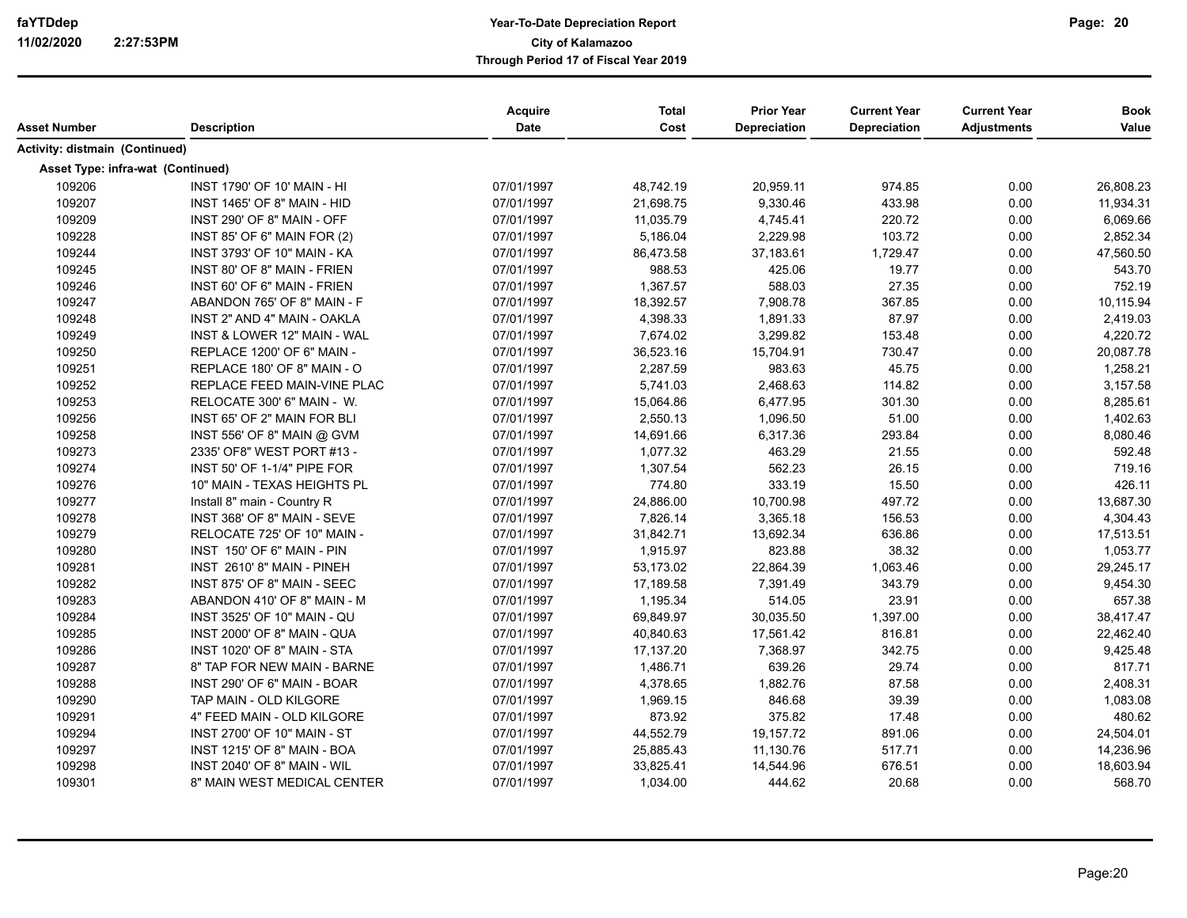| Asset Number                      | <b>Description</b>                 | Acquire<br>Date | <b>Total</b><br>Cost | <b>Prior Year</b><br>Depreciation | <b>Current Year</b><br><b>Depreciation</b> | <b>Current Year</b><br><b>Adjustments</b> | <b>Book</b><br>Value |
|-----------------------------------|------------------------------------|-----------------|----------------------|-----------------------------------|--------------------------------------------|-------------------------------------------|----------------------|
| Activity: distmain (Continued)    |                                    |                 |                      |                                   |                                            |                                           |                      |
| Asset Type: infra-wat (Continued) |                                    |                 |                      |                                   |                                            |                                           |                      |
| 109206                            | <b>INST 1790' OF 10' MAIN - HI</b> | 07/01/1997      | 48,742.19            | 20,959.11                         | 974.85                                     | 0.00                                      | 26,808.23            |
| 109207                            | INST 1465' OF 8" MAIN - HID        | 07/01/1997      | 21,698.75            | 9,330.46                          | 433.98                                     | 0.00                                      | 11,934.31            |
| 109209                            | INST 290' OF 8" MAIN - OFF         | 07/01/1997      | 11,035.79            | 4,745.41                          | 220.72                                     | 0.00                                      | 6,069.66             |
| 109228                            | INST 85' OF 6" MAIN FOR (2)        | 07/01/1997      | 5,186.04             | 2,229.98                          | 103.72                                     | 0.00                                      | 2,852.34             |
| 109244                            | <b>INST 3793' OF 10" MAIN - KA</b> | 07/01/1997      | 86,473.58            | 37,183.61                         | 1,729.47                                   | 0.00                                      | 47,560.50            |
| 109245                            | INST 80' OF 8" MAIN - FRIEN        | 07/01/1997      | 988.53               | 425.06                            | 19.77                                      | 0.00                                      | 543.70               |
| 109246                            | INST 60' OF 6" MAIN - FRIEN        | 07/01/1997      | 1,367.57             | 588.03                            | 27.35                                      | 0.00                                      | 752.19               |
| 109247                            | ABANDON 765' OF 8" MAIN - F        | 07/01/1997      | 18,392.57            | 7,908.78                          | 367.85                                     | 0.00                                      | 10,115.94            |
| 109248                            | INST 2" AND 4" MAIN - OAKLA        | 07/01/1997      | 4,398.33             | 1,891.33                          | 87.97                                      | 0.00                                      | 2,419.03             |
| 109249                            | INST & LOWER 12" MAIN - WAL        | 07/01/1997      | 7,674.02             | 3,299.82                          | 153.48                                     | 0.00                                      | 4,220.72             |
| 109250                            | REPLACE 1200' OF 6" MAIN -         | 07/01/1997      | 36,523.16            | 15,704.91                         | 730.47                                     | 0.00                                      | 20,087.78            |
| 109251                            | REPLACE 180' OF 8" MAIN - O        | 07/01/1997      | 2,287.59             | 983.63                            | 45.75                                      | 0.00                                      | 1,258.21             |
| 109252                            | REPLACE FEED MAIN-VINE PLAC        | 07/01/1997      | 5,741.03             | 2,468.63                          | 114.82                                     | 0.00                                      | 3,157.58             |
| 109253                            | RELOCATE 300' 6" MAIN - W.         | 07/01/1997      | 15,064.86            | 6,477.95                          | 301.30                                     | 0.00                                      | 8,285.61             |
| 109256                            | INST 65' OF 2" MAIN FOR BLI        | 07/01/1997      | 2,550.13             | 1,096.50                          | 51.00                                      | 0.00                                      | 1,402.63             |
| 109258                            | INST 556' OF 8" MAIN @ GVM         | 07/01/1997      | 14,691.66            | 6,317.36                          | 293.84                                     | 0.00                                      | 8,080.46             |
| 109273                            | 2335' OF8" WEST PORT #13 -         | 07/01/1997      | 1,077.32             | 463.29                            | 21.55                                      | 0.00                                      | 592.48               |
| 109274                            | INST 50' OF 1-1/4" PIPE FOR        | 07/01/1997      | 1,307.54             | 562.23                            | 26.15                                      | 0.00                                      | 719.16               |
| 109276                            | 10" MAIN - TEXAS HEIGHTS PL        | 07/01/1997      | 774.80               | 333.19                            | 15.50                                      | 0.00                                      | 426.11               |
| 109277                            | Install 8" main - Country R        | 07/01/1997      | 24,886.00            | 10,700.98                         | 497.72                                     | 0.00                                      | 13,687.30            |
| 109278                            | INST 368' OF 8" MAIN - SEVE        | 07/01/1997      | 7,826.14             | 3,365.18                          | 156.53                                     | 0.00                                      | 4,304.43             |
| 109279                            | RELOCATE 725' OF 10" MAIN -        | 07/01/1997      | 31,842.71            | 13,692.34                         | 636.86                                     | 0.00                                      | 17,513.51            |
| 109280                            | INST 150' OF 6" MAIN - PIN         | 07/01/1997      | 1,915.97             | 823.88                            | 38.32                                      | 0.00                                      | 1,053.77             |
| 109281                            | INST 2610' 8" MAIN - PINEH         | 07/01/1997      | 53,173.02            | 22,864.39                         | 1,063.46                                   | 0.00                                      | 29,245.17            |
| 109282                            | INST 875' OF 8" MAIN - SEEC        | 07/01/1997      | 17,189.58            | 7,391.49                          | 343.79                                     | 0.00                                      | 9,454.30             |
| 109283                            | ABANDON 410' OF 8" MAIN - M        | 07/01/1997      | 1,195.34             | 514.05                            | 23.91                                      | 0.00                                      | 657.38               |
| 109284                            | INST 3525' OF 10" MAIN - QU        | 07/01/1997      | 69,849.97            | 30,035.50                         | 1,397.00                                   | 0.00                                      | 38,417.47            |
| 109285                            | INST 2000' OF 8" MAIN - QUA        | 07/01/1997      | 40,840.63            | 17,561.42                         | 816.81                                     | 0.00                                      | 22,462.40            |
| 109286                            | INST 1020' OF 8" MAIN - STA        | 07/01/1997      | 17,137.20            | 7,368.97                          | 342.75                                     | 0.00                                      | 9,425.48             |
| 109287                            | 8" TAP FOR NEW MAIN - BARNE        | 07/01/1997      | 1,486.71             | 639.26                            | 29.74                                      | 0.00                                      | 817.71               |
| 109288                            | INST 290' OF 6" MAIN - BOAR        | 07/01/1997      | 4,378.65             | 1,882.76                          | 87.58                                      | 0.00                                      | 2,408.31             |
| 109290                            | TAP MAIN - OLD KILGORE             | 07/01/1997      | 1,969.15             | 846.68                            | 39.39                                      | 0.00                                      | 1,083.08             |
| 109291                            | 4" FEED MAIN - OLD KILGORE         | 07/01/1997      | 873.92               | 375.82                            | 17.48                                      | 0.00                                      | 480.62               |
| 109294                            | INST 2700' OF 10" MAIN - ST        | 07/01/1997      | 44,552.79            | 19,157.72                         | 891.06                                     | 0.00                                      | 24,504.01            |
| 109297                            | INST 1215' OF 8" MAIN - BOA        | 07/01/1997      | 25,885.43            | 11,130.76                         | 517.71                                     | 0.00                                      | 14,236.96            |
| 109298                            | INST 2040' OF 8" MAIN - WIL        | 07/01/1997      | 33,825.41            | 14,544.96                         | 676.51                                     | 0.00                                      | 18,603.94            |
| 109301                            | 8" MAIN WEST MEDICAL CENTER        | 07/01/1997      | 1,034.00             | 444.62                            | 20.68                                      | 0.00                                      | 568.70               |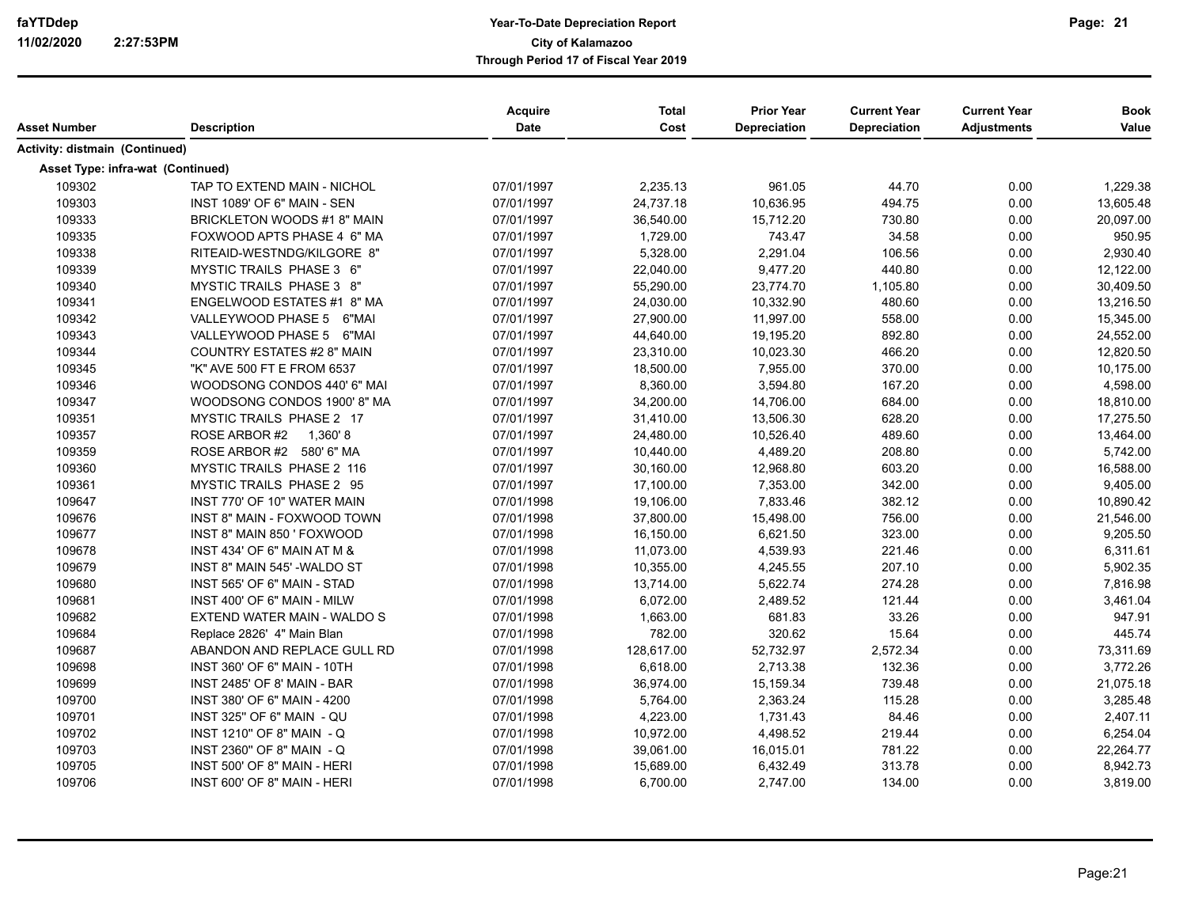| Asset Number                          | <b>Description</b>                 | Acquire<br>Date | <b>Total</b><br>Cost | <b>Prior Year</b><br>Depreciation | <b>Current Year</b><br><b>Depreciation</b> | <b>Current Year</b><br><b>Adjustments</b> | <b>Book</b><br>Value |
|---------------------------------------|------------------------------------|-----------------|----------------------|-----------------------------------|--------------------------------------------|-------------------------------------------|----------------------|
| <b>Activity: distmain (Continued)</b> |                                    |                 |                      |                                   |                                            |                                           |                      |
| Asset Type: infra-wat (Continued)     |                                    |                 |                      |                                   |                                            |                                           |                      |
| 109302                                | TAP TO EXTEND MAIN - NICHOL        | 07/01/1997      | 2,235.13             | 961.05                            | 44.70                                      | 0.00                                      | 1,229.38             |
| 109303                                | INST 1089' OF 6" MAIN - SEN        | 07/01/1997      | 24,737.18            | 10,636.95                         | 494.75                                     | 0.00                                      | 13,605.48            |
| 109333                                | BRICKLETON WOODS #1 8" MAIN        | 07/01/1997      | 36,540.00            | 15,712.20                         | 730.80                                     | 0.00                                      | 20,097.00            |
| 109335                                | FOXWOOD APTS PHASE 4 6" MA         | 07/01/1997      | 1,729.00             | 743.47                            | 34.58                                      | 0.00                                      | 950.95               |
| 109338                                | RITEAID-WESTNDG/KILGORE 8"         | 07/01/1997      | 5,328.00             | 2,291.04                          | 106.56                                     | 0.00                                      | 2,930.40             |
| 109339                                | MYSTIC TRAILS PHASE 3 6"           | 07/01/1997      | 22,040.00            | 9,477.20                          | 440.80                                     | 0.00                                      | 12,122.00            |
| 109340                                | MYSTIC TRAILS PHASE 3 8"           | 07/01/1997      | 55,290.00            | 23,774.70                         | 1,105.80                                   | 0.00                                      | 30,409.50            |
| 109341                                | ENGELWOOD ESTATES #1 8" MA         | 07/01/1997      | 24,030.00            | 10,332.90                         | 480.60                                     | 0.00                                      | 13,216.50            |
| 109342                                | VALLEYWOOD PHASE 5 6"MAI           | 07/01/1997      | 27,900.00            | 11,997.00                         | 558.00                                     | 0.00                                      | 15,345.00            |
| 109343                                | VALLEYWOOD PHASE 5 6"MAI           | 07/01/1997      | 44,640.00            | 19,195.20                         | 892.80                                     | 0.00                                      | 24,552.00            |
| 109344                                | <b>COUNTRY ESTATES #2 8" MAIN</b>  | 07/01/1997      | 23,310.00            | 10,023.30                         | 466.20                                     | 0.00                                      | 12,820.50            |
| 109345                                | "K" AVE 500 FT E FROM 6537         | 07/01/1997      | 18,500.00            | 7,955.00                          | 370.00                                     | 0.00                                      | 10,175.00            |
| 109346                                | WOODSONG CONDOS 440' 6" MAI        | 07/01/1997      | 8,360.00             | 3,594.80                          | 167.20                                     | 0.00                                      | 4,598.00             |
| 109347                                | WOODSONG CONDOS 1900' 8" MA        | 07/01/1997      | 34,200.00            | 14,706.00                         | 684.00                                     | 0.00                                      | 18,810.00            |
| 109351                                | MYSTIC TRAILS PHASE 2 17           | 07/01/1997      | 31,410.00            | 13,506.30                         | 628.20                                     | 0.00                                      | 17,275.50            |
| 109357                                | ROSE ARBOR #2<br>1,360'8           | 07/01/1997      | 24,480.00            | 10,526.40                         | 489.60                                     | 0.00                                      | 13,464.00            |
| 109359                                | ROSE ARBOR #2 580' 6" MA           | 07/01/1997      | 10,440.00            | 4,489.20                          | 208.80                                     | 0.00                                      | 5,742.00             |
| 109360                                | <b>MYSTIC TRAILS PHASE 2 116</b>   | 07/01/1997      | 30,160.00            | 12,968.80                         | 603.20                                     | 0.00                                      | 16,588.00            |
| 109361                                | MYSTIC TRAILS PHASE 2 95           | 07/01/1997      | 17,100.00            | 7,353.00                          | 342.00                                     | 0.00                                      | 9,405.00             |
| 109647                                | INST 770' OF 10" WATER MAIN        | 07/01/1998      | 19,106.00            | 7,833.46                          | 382.12                                     | 0.00                                      | 10,890.42            |
| 109676                                | INST 8" MAIN - FOXWOOD TOWN        | 07/01/1998      | 37,800.00            | 15,498.00                         | 756.00                                     | 0.00                                      | 21,546.00            |
| 109677                                | INST 8" MAIN 850 ' FOXWOOD         | 07/01/1998      | 16,150.00            | 6,621.50                          | 323.00                                     | 0.00                                      | 9,205.50             |
| 109678                                | INST 434' OF 6" MAIN AT M &        | 07/01/1998      | 11,073.00            | 4,539.93                          | 221.46                                     | 0.00                                      | 6,311.61             |
| 109679                                | INST 8" MAIN 545' -WALDO ST        | 07/01/1998      | 10,355.00            | 4,245.55                          | 207.10                                     | 0.00                                      | 5,902.35             |
| 109680                                | INST 565' OF 6" MAIN - STAD        | 07/01/1998      | 13,714.00            | 5,622.74                          | 274.28                                     | 0.00                                      | 7,816.98             |
| 109681                                | INST 400' OF 6" MAIN - MILW        | 07/01/1998      | 6,072.00             | 2,489.52                          | 121.44                                     | 0.00                                      | 3,461.04             |
| 109682                                | EXTEND WATER MAIN - WALDO S        | 07/01/1998      | 1,663.00             | 681.83                            | 33.26                                      | 0.00                                      | 947.91               |
| 109684                                | Replace 2826' 4" Main Blan         | 07/01/1998      | 782.00               | 320.62                            | 15.64                                      | 0.00                                      | 445.74               |
| 109687                                | ABANDON AND REPLACE GULL RD        | 07/01/1998      | 128,617.00           | 52,732.97                         | 2,572.34                                   | 0.00                                      | 73,311.69            |
| 109698                                | <b>INST 360' OF 6" MAIN - 10TH</b> | 07/01/1998      | 6,618.00             | 2,713.38                          | 132.36                                     | 0.00                                      | 3,772.26             |
| 109699                                | INST 2485' OF 8' MAIN - BAR        | 07/01/1998      | 36,974.00            | 15,159.34                         | 739.48                                     | 0.00                                      | 21,075.18            |
| 109700                                | INST 380' OF 6" MAIN - 4200        | 07/01/1998      | 5,764.00             | 2,363.24                          | 115.28                                     | 0.00                                      | 3,285.48             |
| 109701                                | INST 325" OF 6" MAIN - QU          | 07/01/1998      | 4,223.00             | 1,731.43                          | 84.46                                      | 0.00                                      | 2,407.11             |
| 109702                                | INST 1210" OF 8" MAIN - Q          | 07/01/1998      | 10,972.00            | 4,498.52                          | 219.44                                     | 0.00                                      | 6,254.04             |
| 109703                                | INST 2360" OF 8" MAIN - Q          | 07/01/1998      | 39,061.00            | 16,015.01                         | 781.22                                     | 0.00                                      | 22,264.77            |
| 109705                                | INST 500' OF 8" MAIN - HERI        | 07/01/1998      | 15,689.00            | 6,432.49                          | 313.78                                     | 0.00                                      | 8,942.73             |
| 109706                                | INST 600' OF 8" MAIN - HERI        | 07/01/1998      | 6,700.00             | 2,747.00                          | 134.00                                     | 0.00                                      | 3,819.00             |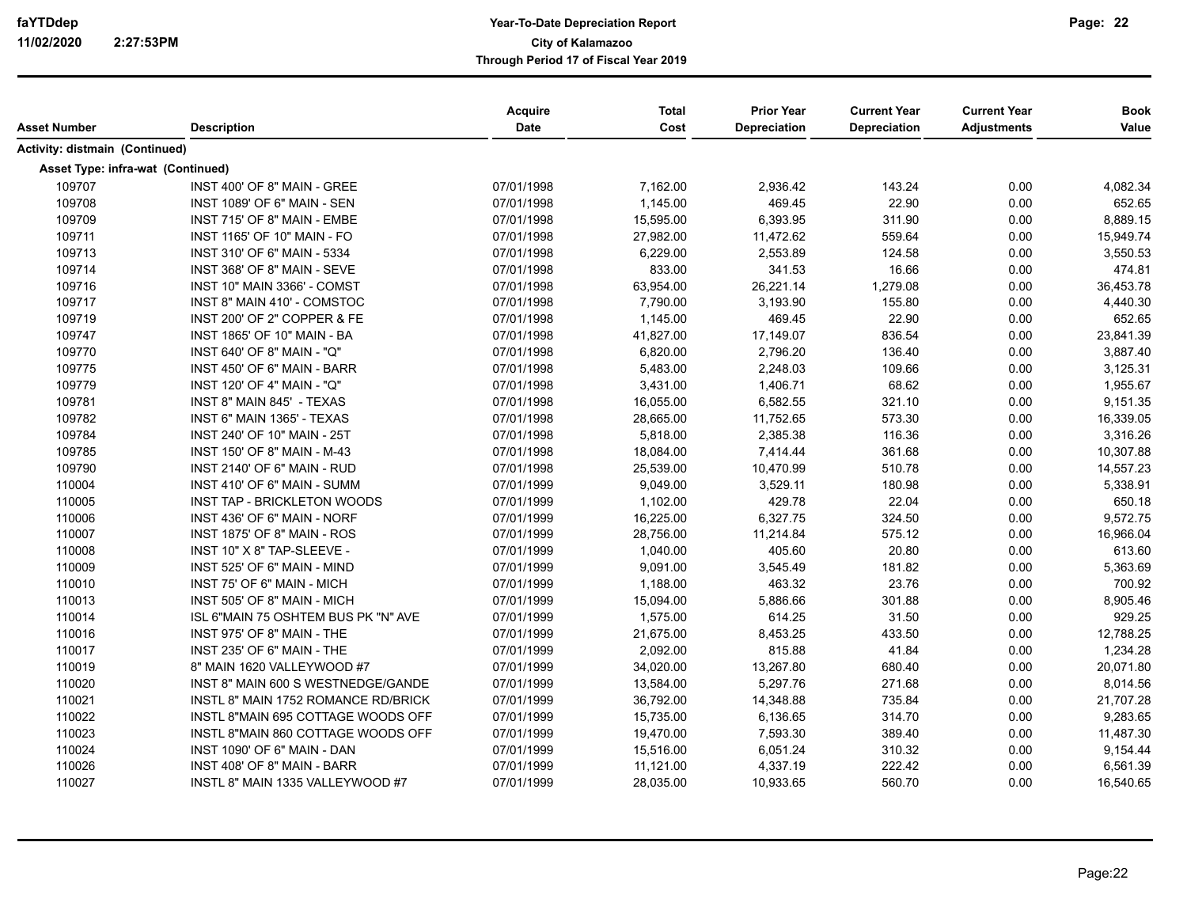| Asset Number                          | <b>Description</b>                  | Acquire<br><b>Date</b> | <b>Total</b><br>Cost | <b>Prior Year</b><br>Depreciation | <b>Current Year</b><br>Depreciation | <b>Current Year</b><br><b>Adjustments</b> | <b>Book</b><br>Value |
|---------------------------------------|-------------------------------------|------------------------|----------------------|-----------------------------------|-------------------------------------|-------------------------------------------|----------------------|
|                                       |                                     |                        |                      |                                   |                                     |                                           |                      |
| <b>Activity: distmain (Continued)</b> |                                     |                        |                      |                                   |                                     |                                           |                      |
| Asset Type: infra-wat (Continued)     |                                     |                        |                      |                                   |                                     |                                           |                      |
| 109707                                | INST 400' OF 8" MAIN - GREE         | 07/01/1998             | 7,162.00             | 2,936.42                          | 143.24                              | 0.00                                      | 4,082.34             |
| 109708                                | INST 1089' OF 6" MAIN - SEN         | 07/01/1998             | 1,145.00             | 469.45                            | 22.90                               | 0.00                                      | 652.65               |
| 109709                                | INST 715' OF 8" MAIN - EMBE         | 07/01/1998             | 15,595.00            | 6,393.95                          | 311.90                              | 0.00                                      | 8,889.15             |
| 109711                                | <b>INST 1165' OF 10" MAIN - FO</b>  | 07/01/1998             | 27,982.00            | 11,472.62                         | 559.64                              | 0.00                                      | 15,949.74            |
| 109713                                | INST 310' OF 6" MAIN - 5334         | 07/01/1998             | 6,229.00             | 2,553.89                          | 124.58                              | 0.00                                      | 3,550.53             |
| 109714                                | INST 368' OF 8" MAIN - SEVE         | 07/01/1998             | 833.00               | 341.53                            | 16.66                               | 0.00                                      | 474.81               |
| 109716                                | INST 10" MAIN 3366' - COMST         | 07/01/1998             | 63,954.00            | 26,221.14                         | 1,279.08                            | 0.00                                      | 36,453.78            |
| 109717                                | INST 8" MAIN 410' - COMSTOC         | 07/01/1998             | 7,790.00             | 3,193.90                          | 155.80                              | 0.00                                      | 4,440.30             |
| 109719                                | INST 200' OF 2" COPPER & FE         | 07/01/1998             | 1,145.00             | 469.45                            | 22.90                               | 0.00                                      | 652.65               |
| 109747                                | INST 1865' OF 10" MAIN - BA         | 07/01/1998             | 41,827.00            | 17,149.07                         | 836.54                              | 0.00                                      | 23,841.39            |
| 109770                                | INST 640' OF 8" MAIN - "Q"          | 07/01/1998             | 6,820.00             | 2,796.20                          | 136.40                              | 0.00                                      | 3,887.40             |
| 109775                                | INST 450' OF 6" MAIN - BARR         | 07/01/1998             | 5,483.00             | 2,248.03                          | 109.66                              | 0.00                                      | 3,125.31             |
| 109779                                | INST 120' OF 4" MAIN - "Q"          | 07/01/1998             | 3,431.00             | 1,406.71                          | 68.62                               | 0.00                                      | 1,955.67             |
| 109781                                | INST 8" MAIN 845' - TEXAS           | 07/01/1998             | 16,055.00            | 6,582.55                          | 321.10                              | 0.00                                      | 9,151.35             |
| 109782                                | INST 6" MAIN 1365' - TEXAS          | 07/01/1998             | 28,665.00            | 11,752.65                         | 573.30                              | 0.00                                      | 16,339.05            |
| 109784                                | INST 240' OF 10" MAIN - 25T         | 07/01/1998             | 5,818.00             | 2,385.38                          | 116.36                              | 0.00                                      | 3,316.26             |
| 109785                                | INST 150' OF 8" MAIN - M-43         | 07/01/1998             | 18,084.00            | 7,414.44                          | 361.68                              | 0.00                                      | 10,307.88            |
| 109790                                | INST 2140' OF 6" MAIN - RUD         | 07/01/1998             | 25,539.00            | 10,470.99                         | 510.78                              | 0.00                                      | 14,557.23            |
| 110004                                | INST 410' OF 6" MAIN - SUMM         | 07/01/1999             | 9,049.00             | 3,529.11                          | 180.98                              | 0.00                                      | 5,338.91             |
| 110005                                | INST TAP - BRICKLETON WOODS         | 07/01/1999             | 1,102.00             | 429.78                            | 22.04                               | 0.00                                      | 650.18               |
| 110006                                | INST 436' OF 6" MAIN - NORF         | 07/01/1999             | 16,225.00            | 6,327.75                          | 324.50                              | 0.00                                      | 9,572.75             |
| 110007                                | INST 1875' OF 8" MAIN - ROS         | 07/01/1999             | 28,756.00            | 11,214.84                         | 575.12                              | 0.00                                      | 16,966.04            |
| 110008                                | INST 10" X 8" TAP-SLEEVE -          | 07/01/1999             | 1,040.00             | 405.60                            | 20.80                               | 0.00                                      | 613.60               |
| 110009                                | INST 525' OF 6" MAIN - MIND         | 07/01/1999             | 9,091.00             | 3,545.49                          | 181.82                              | 0.00                                      | 5,363.69             |
| 110010                                | INST 75' OF 6" MAIN - MICH          | 07/01/1999             | 1,188.00             | 463.32                            | 23.76                               | 0.00                                      | 700.92               |
| 110013                                | INST 505' OF 8" MAIN - MICH         | 07/01/1999             | 15,094.00            | 5,886.66                          | 301.88                              | 0.00                                      | 8,905.46             |
| 110014                                | ISL 6"MAIN 75 OSHTEM BUS PK "N" AVE | 07/01/1999             | 1,575.00             | 614.25                            | 31.50                               | 0.00                                      | 929.25               |
| 110016                                | INST 975' OF 8" MAIN - THE          | 07/01/1999             | 21,675.00            | 8,453.25                          | 433.50                              | 0.00                                      | 12,788.25            |
| 110017                                | INST 235' OF 6" MAIN - THE          | 07/01/1999             | 2,092.00             | 815.88                            | 41.84                               | 0.00                                      | 1,234.28             |
| 110019                                | 8" MAIN 1620 VALLEYWOOD #7          | 07/01/1999             | 34,020.00            | 13,267.80                         | 680.40                              | 0.00                                      | 20,071.80            |
| 110020                                | INST 8" MAIN 600 S WESTNEDGE/GANDE  | 07/01/1999             | 13,584.00            | 5,297.76                          | 271.68                              | 0.00                                      | 8,014.56             |
| 110021                                | INSTL 8" MAIN 1752 ROMANCE RD/BRICK | 07/01/1999             | 36,792.00            | 14,348.88                         | 735.84                              | 0.00                                      | 21,707.28            |
| 110022                                | INSTL 8"MAIN 695 COTTAGE WOODS OFF  | 07/01/1999             | 15,735.00            | 6,136.65                          | 314.70                              | 0.00                                      | 9,283.65             |
| 110023                                | INSTL 8"MAIN 860 COTTAGE WOODS OFF  | 07/01/1999             | 19,470.00            | 7,593.30                          | 389.40                              | 0.00                                      | 11,487.30            |
| 110024                                | INST 1090' OF 6" MAIN - DAN         | 07/01/1999             | 15,516.00            | 6,051.24                          | 310.32                              | 0.00                                      | 9,154.44             |
| 110026                                | INST 408' OF 8" MAIN - BARR         | 07/01/1999             | 11,121.00            | 4,337.19                          | 222.42                              | 0.00                                      | 6,561.39             |
| 110027                                | INSTL 8" MAIN 1335 VALLEYWOOD #7    | 07/01/1999             | 28,035.00            | 10,933.65                         | 560.70                              | 0.00                                      | 16,540.65            |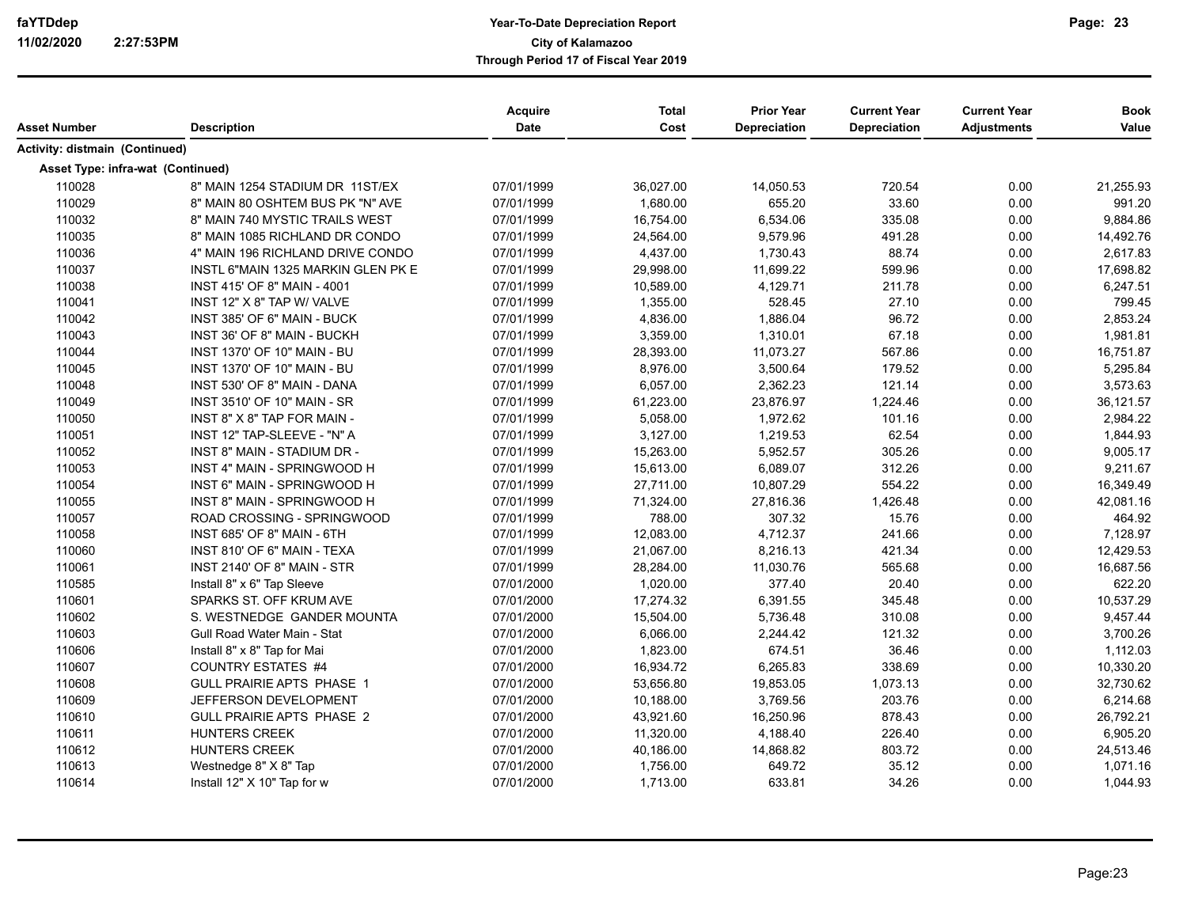|                                   |                                    | <b>Acquire</b> | <b>Total</b> | <b>Prior Year</b> | <b>Current Year</b> | <b>Current Year</b> | <b>Book</b> |
|-----------------------------------|------------------------------------|----------------|--------------|-------------------|---------------------|---------------------|-------------|
| Asset Number                      | <b>Description</b>                 | <b>Date</b>    | Cost         | Depreciation      | <b>Depreciation</b> | <b>Adjustments</b>  | Value       |
| Activity: distmain (Continued)    |                                    |                |              |                   |                     |                     |             |
| Asset Type: infra-wat (Continued) |                                    |                |              |                   |                     |                     |             |
| 110028                            | 8" MAIN 1254 STADIUM DR 11ST/EX    | 07/01/1999     | 36,027.00    | 14,050.53         | 720.54              | 0.00                | 21,255.93   |
| 110029                            | 8" MAIN 80 OSHTEM BUS PK "N" AVE   | 07/01/1999     | 1,680.00     | 655.20            | 33.60               | 0.00                | 991.20      |
| 110032                            | 8" MAIN 740 MYSTIC TRAILS WEST     | 07/01/1999     | 16,754.00    | 6,534.06          | 335.08              | 0.00                | 9,884.86    |
| 110035                            | 8" MAIN 1085 RICHLAND DR CONDO     | 07/01/1999     | 24,564.00    | 9,579.96          | 491.28              | 0.00                | 14,492.76   |
| 110036                            | 4" MAIN 196 RICHLAND DRIVE CONDO   | 07/01/1999     | 4,437.00     | 1,730.43          | 88.74               | 0.00                | 2,617.83    |
| 110037                            | INSTL 6"MAIN 1325 MARKIN GLEN PK E | 07/01/1999     | 29,998.00    | 11,699.22         | 599.96              | 0.00                | 17,698.82   |
| 110038                            | INST 415' OF 8" MAIN - 4001        | 07/01/1999     | 10,589.00    | 4,129.71          | 211.78              | 0.00                | 6,247.51    |
| 110041                            | INST 12" X 8" TAP W/ VALVE         | 07/01/1999     | 1,355.00     | 528.45            | 27.10               | 0.00                | 799.45      |
| 110042                            | INST 385' OF 6" MAIN - BUCK        | 07/01/1999     | 4,836.00     | 1,886.04          | 96.72               | 0.00                | 2,853.24    |
| 110043                            | INST 36' OF 8" MAIN - BUCKH        | 07/01/1999     | 3,359.00     | 1,310.01          | 67.18               | 0.00                | 1,981.81    |
| 110044                            | INST 1370' OF 10" MAIN - BU        | 07/01/1999     | 28,393.00    | 11,073.27         | 567.86              | 0.00                | 16,751.87   |
| 110045                            | INST 1370' OF 10" MAIN - BU        | 07/01/1999     | 8,976.00     | 3,500.64          | 179.52              | 0.00                | 5,295.84    |
| 110048                            | INST 530' OF 8" MAIN - DANA        | 07/01/1999     | 6,057.00     | 2,362.23          | 121.14              | 0.00                | 3,573.63    |
| 110049                            | INST 3510' OF 10" MAIN - SR        | 07/01/1999     | 61,223.00    | 23,876.97         | 1,224.46            | 0.00                | 36,121.57   |
| 110050                            | INST 8" X 8" TAP FOR MAIN -        | 07/01/1999     | 5,058.00     | 1,972.62          | 101.16              | 0.00                | 2,984.22    |
| 110051                            | INST 12" TAP-SLEEVE - "N" A        | 07/01/1999     | 3,127.00     | 1,219.53          | 62.54               | 0.00                | 1,844.93    |
| 110052                            | INST 8" MAIN - STADIUM DR -        | 07/01/1999     | 15,263.00    | 5,952.57          | 305.26              | 0.00                | 9,005.17    |
| 110053                            | INST 4" MAIN - SPRINGWOOD H        | 07/01/1999     | 15,613.00    | 6,089.07          | 312.26              | 0.00                | 9,211.67    |
| 110054                            | INST 6" MAIN - SPRINGWOOD H        | 07/01/1999     | 27,711.00    | 10,807.29         | 554.22              | 0.00                | 16,349.49   |
| 110055                            | INST 8" MAIN - SPRINGWOOD H        | 07/01/1999     | 71,324.00    | 27,816.36         | 1,426.48            | 0.00                | 42,081.16   |
| 110057                            | ROAD CROSSING - SPRINGWOOD         | 07/01/1999     | 788.00       | 307.32            | 15.76               | 0.00                | 464.92      |
| 110058                            | INST 685' OF 8" MAIN - 6TH         | 07/01/1999     | 12,083.00    | 4,712.37          | 241.66              | 0.00                | 7,128.97    |
| 110060                            | INST 810' OF 6" MAIN - TEXA        | 07/01/1999     | 21,067.00    | 8,216.13          | 421.34              | 0.00                | 12,429.53   |
| 110061                            | INST 2140' OF 8" MAIN - STR        | 07/01/1999     | 28,284.00    | 11,030.76         | 565.68              | 0.00                | 16,687.56   |
| 110585                            | Install 8" x 6" Tap Sleeve         | 07/01/2000     | 1,020.00     | 377.40            | 20.40               | 0.00                | 622.20      |
| 110601                            | SPARKS ST. OFF KRUM AVE            | 07/01/2000     | 17,274.32    | 6,391.55          | 345.48              | 0.00                | 10,537.29   |
| 110602                            | S. WESTNEDGE GANDER MOUNTA         | 07/01/2000     | 15,504.00    | 5,736.48          | 310.08              | 0.00                | 9,457.44    |
| 110603                            | Gull Road Water Main - Stat        | 07/01/2000     | 6,066.00     | 2,244.42          | 121.32              | 0.00                | 3,700.26    |
| 110606                            | Install 8" x 8" Tap for Mai        | 07/01/2000     | 1,823.00     | 674.51            | 36.46               | 0.00                | 1,112.03    |
| 110607                            | <b>COUNTRY ESTATES #4</b>          | 07/01/2000     | 16,934.72    | 6,265.83          | 338.69              | 0.00                | 10,330.20   |
| 110608                            | GULL PRAIRIE APTS PHASE 1          | 07/01/2000     | 53,656.80    | 19,853.05         | 1,073.13            | 0.00                | 32,730.62   |
| 110609                            | JEFFERSON DEVELOPMENT              | 07/01/2000     | 10,188.00    | 3,769.56          | 203.76              | 0.00                | 6,214.68    |
| 110610                            | <b>GULL PRAIRIE APTS PHASE 2</b>   | 07/01/2000     | 43,921.60    | 16,250.96         | 878.43              | 0.00                | 26,792.21   |
| 110611                            | <b>HUNTERS CREEK</b>               | 07/01/2000     | 11,320.00    | 4,188.40          | 226.40              | 0.00                | 6,905.20    |
| 110612                            | <b>HUNTERS CREEK</b>               | 07/01/2000     | 40,186.00    | 14,868.82         | 803.72              | 0.00                | 24,513.46   |
| 110613                            | Westnedge 8" X 8" Tap              | 07/01/2000     | 1,756.00     | 649.72            | 35.12               | 0.00                | 1,071.16    |
| 110614                            | Install 12" X 10" Tap for w        | 07/01/2000     | 1,713.00     | 633.81            | 34.26               | 0.00                | 1,044.93    |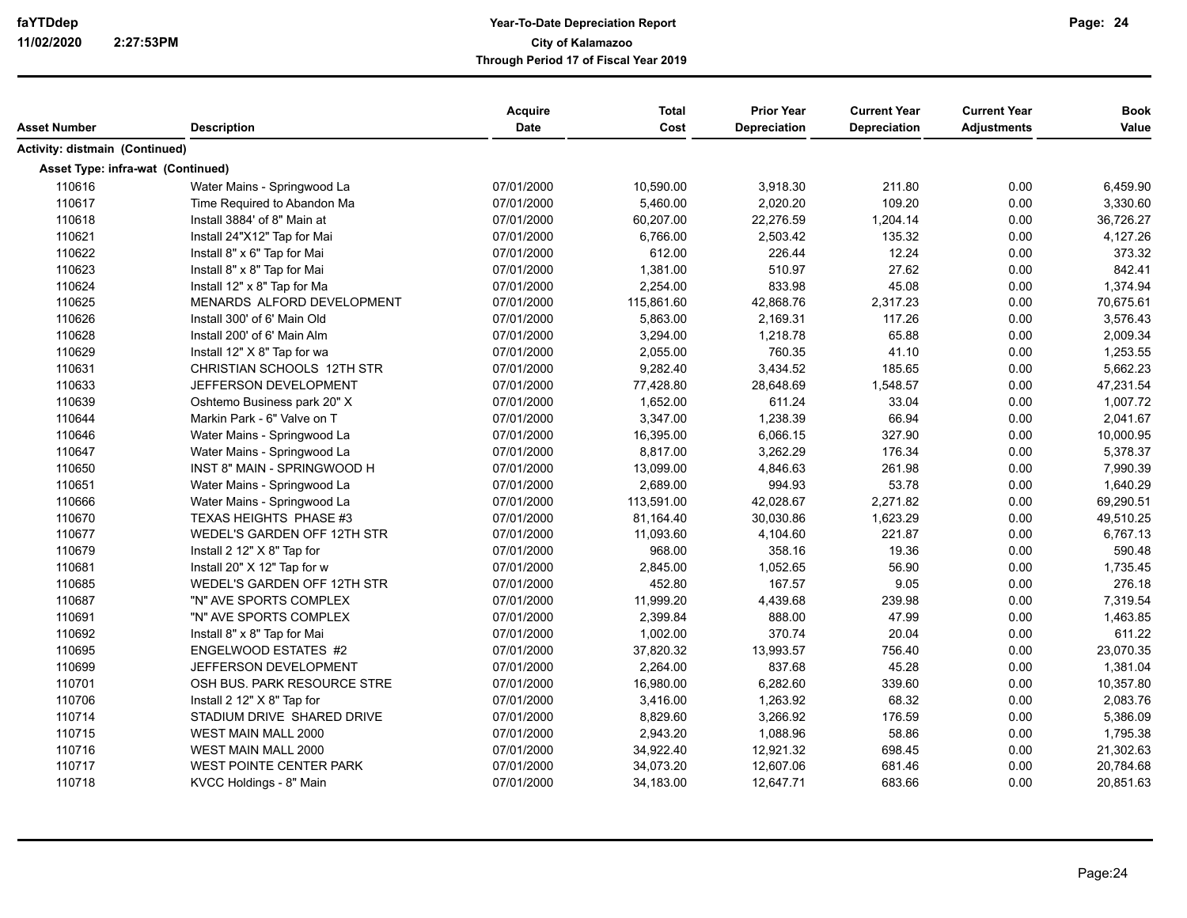| Asset Number                          | <b>Description</b>             | Acquire<br><b>Date</b> | <b>Total</b><br>Cost | <b>Prior Year</b><br>Depreciation | <b>Current Year</b><br><b>Depreciation</b> | <b>Current Year</b><br><b>Adjustments</b> | <b>Book</b><br>Value |
|---------------------------------------|--------------------------------|------------------------|----------------------|-----------------------------------|--------------------------------------------|-------------------------------------------|----------------------|
| <b>Activity: distmain (Continued)</b> |                                |                        |                      |                                   |                                            |                                           |                      |
| Asset Type: infra-wat (Continued)     |                                |                        |                      |                                   |                                            |                                           |                      |
| 110616                                | Water Mains - Springwood La    | 07/01/2000             | 10,590.00            | 3,918.30                          | 211.80                                     | 0.00                                      | 6,459.90             |
| 110617                                | Time Required to Abandon Ma    | 07/01/2000             | 5,460.00             | 2,020.20                          | 109.20                                     | 0.00                                      | 3,330.60             |
| 110618                                | Install 3884' of 8" Main at    | 07/01/2000             | 60,207.00            | 22,276.59                         | 1,204.14                                   | 0.00                                      | 36,726.27            |
| 110621                                | Install 24"X12" Tap for Mai    | 07/01/2000             | 6,766.00             | 2,503.42                          | 135.32                                     | 0.00                                      | 4,127.26             |
| 110622                                | Install 8" x 6" Tap for Mai    | 07/01/2000             | 612.00               | 226.44                            | 12.24                                      | 0.00                                      | 373.32               |
| 110623                                | Install 8" x 8" Tap for Mai    | 07/01/2000             | 1,381.00             | 510.97                            | 27.62                                      | 0.00                                      | 842.41               |
| 110624                                | Install 12" x 8" Tap for Ma    | 07/01/2000             | 2,254.00             | 833.98                            | 45.08                                      | 0.00                                      | 1,374.94             |
| 110625                                | MENARDS ALFORD DEVELOPMENT     | 07/01/2000             | 115,861.60           | 42,868.76                         | 2,317.23                                   | 0.00                                      | 70,675.61            |
| 110626                                | Install 300' of 6' Main Old    | 07/01/2000             | 5,863.00             | 2,169.31                          | 117.26                                     | 0.00                                      | 3,576.43             |
| 110628                                | Install 200' of 6' Main Alm    | 07/01/2000             | 3,294.00             | 1,218.78                          | 65.88                                      | 0.00                                      | 2,009.34             |
| 110629                                | Install 12" X 8" Tap for wa    | 07/01/2000             | 2,055.00             | 760.35                            | 41.10                                      | 0.00                                      | 1,253.55             |
| 110631                                | CHRISTIAN SCHOOLS 12TH STR     | 07/01/2000             | 9,282.40             | 3,434.52                          | 185.65                                     | 0.00                                      | 5,662.23             |
| 110633                                | JEFFERSON DEVELOPMENT          | 07/01/2000             | 77,428.80            | 28,648.69                         | 1,548.57                                   | 0.00                                      | 47,231.54            |
| 110639                                | Oshtemo Business park 20" X    | 07/01/2000             | 1,652.00             | 611.24                            | 33.04                                      | 0.00                                      | 1,007.72             |
| 110644                                | Markin Park - 6" Valve on T    | 07/01/2000             | 3,347.00             | 1,238.39                          | 66.94                                      | 0.00                                      | 2,041.67             |
| 110646                                | Water Mains - Springwood La    | 07/01/2000             | 16,395.00            | 6,066.15                          | 327.90                                     | 0.00                                      | 10,000.95            |
| 110647                                | Water Mains - Springwood La    | 07/01/2000             | 8,817.00             | 3,262.29                          | 176.34                                     | 0.00                                      | 5,378.37             |
| 110650                                | INST 8" MAIN - SPRINGWOOD H    | 07/01/2000             | 13,099.00            | 4,846.63                          | 261.98                                     | 0.00                                      | 7,990.39             |
| 110651                                | Water Mains - Springwood La    | 07/01/2000             | 2,689.00             | 994.93                            | 53.78                                      | 0.00                                      | 1,640.29             |
| 110666                                | Water Mains - Springwood La    | 07/01/2000             | 113,591.00           | 42,028.67                         | 2,271.82                                   | 0.00                                      | 69,290.51            |
| 110670                                | TEXAS HEIGHTS PHASE #3         | 07/01/2000             | 81,164.40            | 30,030.86                         | 1,623.29                                   | 0.00                                      | 49,510.25            |
| 110677                                | WEDEL'S GARDEN OFF 12TH STR    | 07/01/2000             | 11,093.60            | 4,104.60                          | 221.87                                     | 0.00                                      | 6,767.13             |
| 110679                                | Install 2 12" X 8" Tap for     | 07/01/2000             | 968.00               | 358.16                            | 19.36                                      | 0.00                                      | 590.48               |
| 110681                                | Install 20" X 12" Tap for w    | 07/01/2000             | 2,845.00             | 1,052.65                          | 56.90                                      | 0.00                                      | 1,735.45             |
| 110685                                | WEDEL'S GARDEN OFF 12TH STR    | 07/01/2000             | 452.80               | 167.57                            | 9.05                                       | 0.00                                      | 276.18               |
| 110687                                | "N" AVE SPORTS COMPLEX         | 07/01/2000             | 11,999.20            | 4,439.68                          | 239.98                                     | 0.00                                      | 7,319.54             |
| 110691                                | "N" AVE SPORTS COMPLEX         | 07/01/2000             | 2,399.84             | 888.00                            | 47.99                                      | 0.00                                      | 1,463.85             |
| 110692                                | Install 8" x 8" Tap for Mai    | 07/01/2000             | 1,002.00             | 370.74                            | 20.04                                      | 0.00                                      | 611.22               |
| 110695                                | ENGELWOOD ESTATES #2           | 07/01/2000             | 37,820.32            | 13,993.57                         | 756.40                                     | 0.00                                      | 23,070.35            |
| 110699                                | JEFFERSON DEVELOPMENT          | 07/01/2000             | 2,264.00             | 837.68                            | 45.28                                      | 0.00                                      | 1,381.04             |
| 110701                                | OSH BUS. PARK RESOURCE STRE    | 07/01/2000             | 16,980.00            | 6,282.60                          | 339.60                                     | 0.00                                      | 10,357.80            |
| 110706                                | Install 2 12" X 8" Tap for     | 07/01/2000             | 3,416.00             | 1,263.92                          | 68.32                                      | 0.00                                      | 2,083.76             |
| 110714                                | STADIUM DRIVE SHARED DRIVE     | 07/01/2000             | 8,829.60             | 3,266.92                          | 176.59                                     | 0.00                                      | 5,386.09             |
| 110715                                | <b>WEST MAIN MALL 2000</b>     | 07/01/2000             | 2,943.20             | 1,088.96                          | 58.86                                      | 0.00                                      | 1,795.38             |
| 110716                                | WEST MAIN MALL 2000            | 07/01/2000             | 34,922.40            | 12,921.32                         | 698.45                                     | 0.00                                      | 21,302.63            |
| 110717                                | <b>WEST POINTE CENTER PARK</b> | 07/01/2000             | 34,073.20            | 12,607.06                         | 681.46                                     | 0.00                                      | 20,784.68            |
| 110718                                | KVCC Holdings - 8" Main        | 07/01/2000             | 34,183.00            | 12,647.71                         | 683.66                                     | 0.00                                      | 20,851.63            |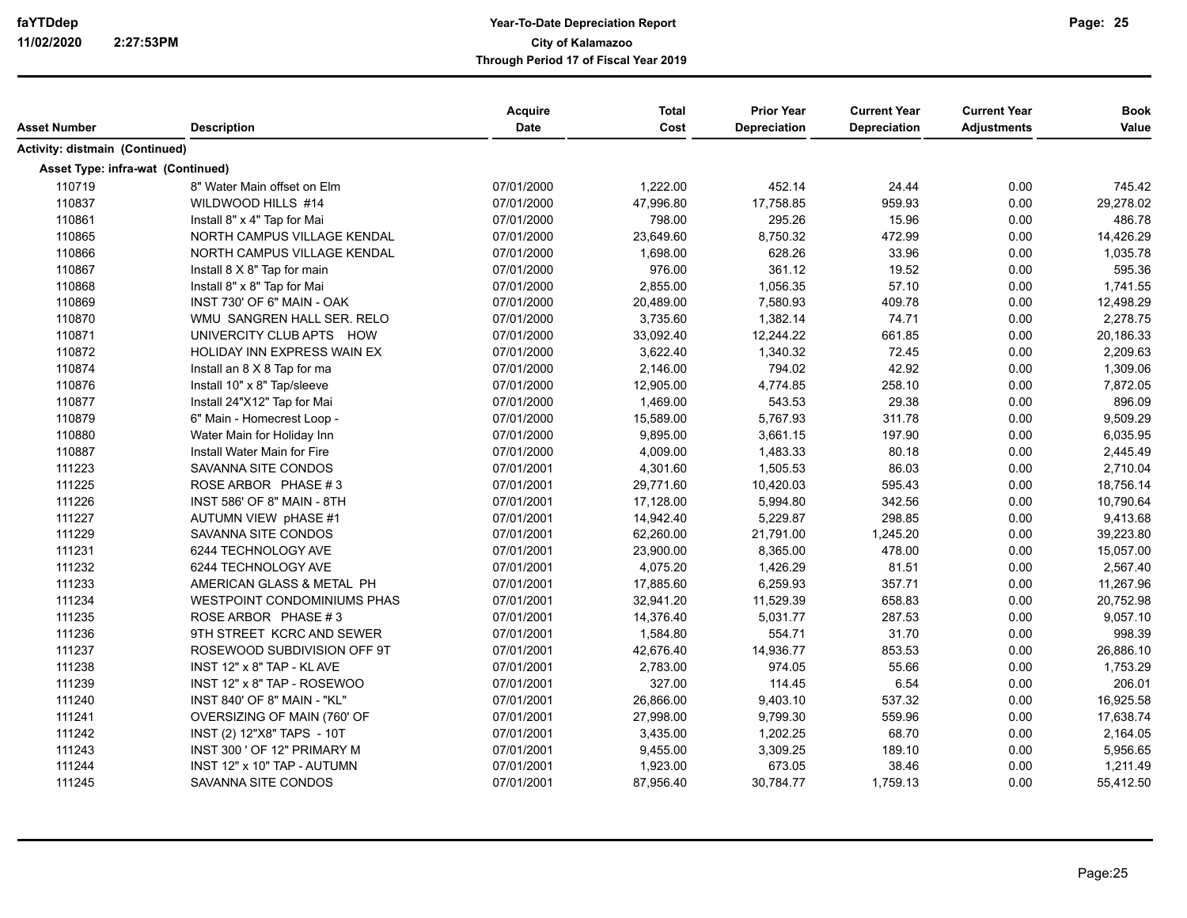| Asset Number                          | <b>Description</b>          | Acquire<br>Date | <b>Total</b><br>Cost | <b>Prior Year</b><br>Depreciation | <b>Current Year</b><br>Depreciation | <b>Current Year</b><br><b>Adjustments</b> | <b>Book</b><br>Value |
|---------------------------------------|-----------------------------|-----------------|----------------------|-----------------------------------|-------------------------------------|-------------------------------------------|----------------------|
| <b>Activity: distmain (Continued)</b> |                             |                 |                      |                                   |                                     |                                           |                      |
| Asset Type: infra-wat (Continued)     |                             |                 |                      |                                   |                                     |                                           |                      |
| 110719                                | 8" Water Main offset on Elm | 07/01/2000      | 1,222.00             | 452.14                            | 24.44                               | 0.00                                      | 745.42               |
| 110837                                | WILDWOOD HILLS #14          | 07/01/2000      | 47,996.80            | 17,758.85                         | 959.93                              | 0.00                                      | 29,278.02            |
| 110861                                | Install 8" x 4" Tap for Mai | 07/01/2000      | 798.00               | 295.26                            | 15.96                               | 0.00                                      | 486.78               |
| 110865                                | NORTH CAMPUS VILLAGE KENDAL | 07/01/2000      | 23,649.60            | 8,750.32                          | 472.99                              | 0.00                                      | 14,426.29            |
| 110866                                | NORTH CAMPUS VILLAGE KENDAL | 07/01/2000      | 1,698.00             | 628.26                            | 33.96                               | 0.00                                      | 1,035.78             |
| 110867                                | Install 8 X 8" Tap for main | 07/01/2000      | 976.00               | 361.12                            | 19.52                               | 0.00                                      | 595.36               |
| 110868                                | Install 8" x 8" Tap for Mai | 07/01/2000      | 2,855.00             | 1,056.35                          | 57.10                               | 0.00                                      | 1,741.55             |
| 110869                                | INST 730' OF 6" MAIN - OAK  | 07/01/2000      | 20,489.00            | 7,580.93                          | 409.78                              | 0.00                                      | 12,498.29            |
| 110870                                | WMU SANGREN HALL SER. RELO  | 07/01/2000      | 3,735.60             | 1,382.14                          | 74.71                               | 0.00                                      | 2,278.75             |
| 110871                                | UNIVERCITY CLUB APTS HOW    | 07/01/2000      | 33,092.40            | 12,244.22                         | 661.85                              | 0.00                                      | 20,186.33            |
| 110872                                | HOLIDAY INN EXPRESS WAIN EX | 07/01/2000      | 3,622.40             | 1,340.32                          | 72.45                               | 0.00                                      | 2,209.63             |
| 110874                                | Install an 8 X 8 Tap for ma | 07/01/2000      | 2,146.00             | 794.02                            | 42.92                               | 0.00                                      | 1,309.06             |
| 110876                                | Install 10" x 8" Tap/sleeve | 07/01/2000      | 12,905.00            | 4,774.85                          | 258.10                              | 0.00                                      | 7,872.05             |
| 110877                                | Install 24"X12" Tap for Mai | 07/01/2000      | 1,469.00             | 543.53                            | 29.38                               | 0.00                                      | 896.09               |
| 110879                                | 6" Main - Homecrest Loop -  | 07/01/2000      | 15,589.00            | 5,767.93                          | 311.78                              | 0.00                                      | 9,509.29             |
| 110880                                | Water Main for Holiday Inn  | 07/01/2000      | 9,895.00             | 3,661.15                          | 197.90                              | 0.00                                      | 6,035.95             |
| 110887                                | Install Water Main for Fire | 07/01/2000      | 4,009.00             | 1,483.33                          | 80.18                               | 0.00                                      | 2,445.49             |
| 111223                                | SAVANNA SITE CONDOS         | 07/01/2001      | 4,301.60             | 1,505.53                          | 86.03                               | 0.00                                      | 2,710.04             |
| 111225                                | ROSE ARBOR PHASE #3         | 07/01/2001      | 29,771.60            | 10,420.03                         | 595.43                              | 0.00                                      | 18,756.14            |
| 111226                                | INST 586' OF 8" MAIN - 8TH  | 07/01/2001      | 17,128.00            | 5,994.80                          | 342.56                              | 0.00                                      | 10,790.64            |
| 111227                                | AUTUMN VIEW pHASE #1        | 07/01/2001      | 14,942.40            | 5,229.87                          | 298.85                              | 0.00                                      | 9,413.68             |
| 111229                                | SAVANNA SITE CONDOS         | 07/01/2001      | 62,260.00            | 21,791.00                         | 1,245.20                            | 0.00                                      | 39,223.80            |
| 111231                                | 6244 TECHNOLOGY AVE         | 07/01/2001      | 23,900.00            | 8,365.00                          | 478.00                              | 0.00                                      | 15,057.00            |
| 111232                                | 6244 TECHNOLOGY AVE         | 07/01/2001      | 4,075.20             | 1,426.29                          | 81.51                               | 0.00                                      | 2,567.40             |
| 111233                                | AMERICAN GLASS & METAL PH   | 07/01/2001      | 17,885.60            | 6,259.93                          | 357.71                              | 0.00                                      | 11,267.96            |
| 111234                                | WESTPOINT CONDOMINIUMS PHAS | 07/01/2001      | 32,941.20            | 11,529.39                         | 658.83                              | 0.00                                      | 20,752.98            |
| 111235                                | ROSE ARBOR PHASE #3         | 07/01/2001      | 14,376.40            | 5,031.77                          | 287.53                              | 0.00                                      | 9,057.10             |
| 111236                                | 9TH STREET KCRC AND SEWER   | 07/01/2001      | 1,584.80             | 554.71                            | 31.70                               | 0.00                                      | 998.39               |
| 111237                                | ROSEWOOD SUBDIVISION OFF 9T | 07/01/2001      | 42,676.40            | 14,936.77                         | 853.53                              | 0.00                                      | 26,886.10            |
| 111238                                | INST 12" x 8" TAP - KL AVE  | 07/01/2001      | 2,783.00             | 974.05                            | 55.66                               | 0.00                                      | 1,753.29             |
| 111239                                | INST 12" x 8" TAP - ROSEWOO | 07/01/2001      | 327.00               | 114.45                            | 6.54                                | 0.00                                      | 206.01               |
| 111240                                | INST 840' OF 8" MAIN - "KL" | 07/01/2001      | 26,866.00            | 9,403.10                          | 537.32                              | 0.00                                      | 16,925.58            |
| 111241                                | OVERSIZING OF MAIN (760' OF | 07/01/2001      | 27,998.00            | 9,799.30                          | 559.96                              | 0.00                                      | 17,638.74            |
| 111242                                | INST (2) 12"X8" TAPS - 10T  | 07/01/2001      | 3,435.00             | 1,202.25                          | 68.70                               | 0.00                                      | 2,164.05             |
| 111243                                | INST 300 ' OF 12" PRIMARY M | 07/01/2001      | 9,455.00             | 3,309.25                          | 189.10                              | 0.00                                      | 5,956.65             |
| 111244                                | INST 12" x 10" TAP - AUTUMN | 07/01/2001      | 1,923.00             | 673.05                            | 38.46                               | 0.00                                      | 1,211.49             |
| 111245                                | SAVANNA SITE CONDOS         | 07/01/2001      | 87,956.40            | 30,784.77                         | 1,759.13                            | 0.00                                      | 55,412.50            |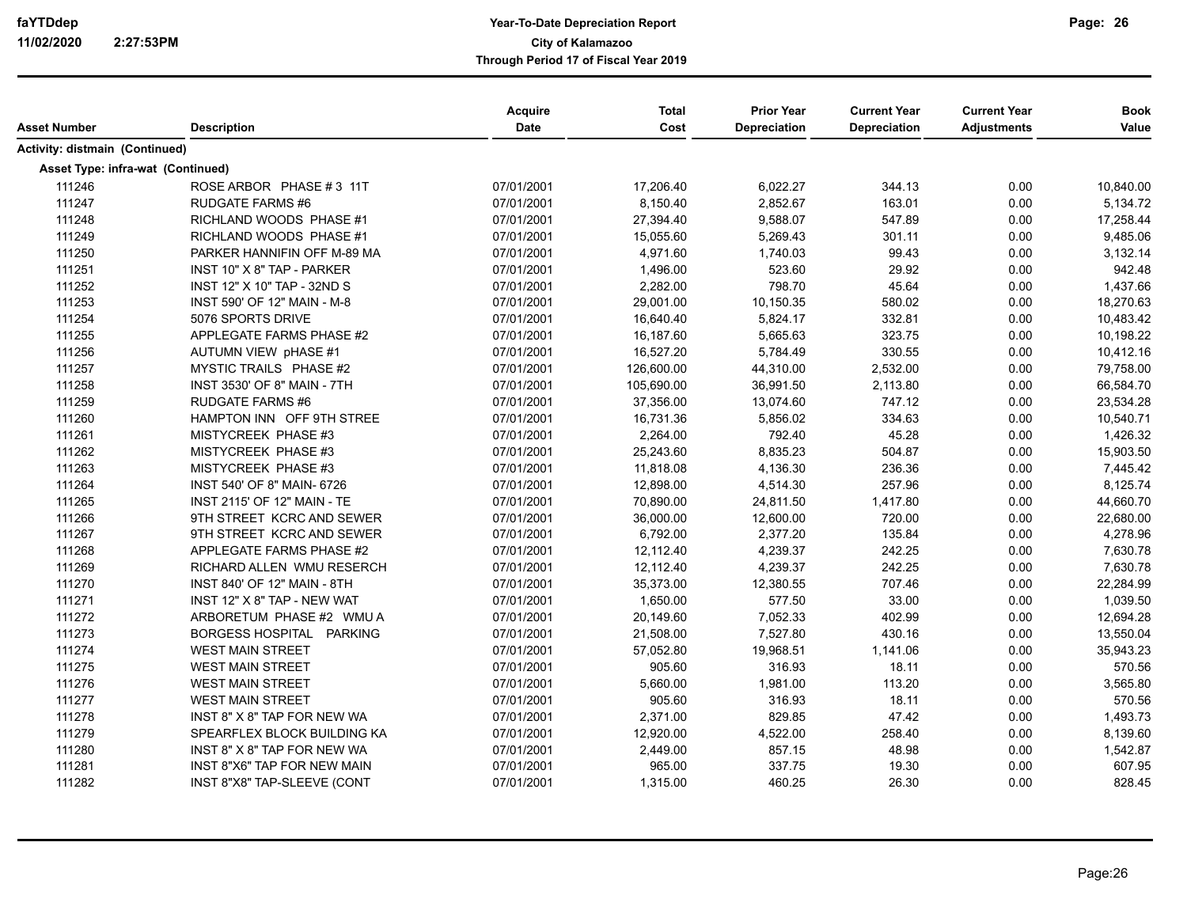| Asset Number                      | <b>Description</b>                 | Acquire<br><b>Date</b> | <b>Total</b><br>Cost | <b>Prior Year</b><br>Depreciation | <b>Current Year</b><br><b>Depreciation</b> | <b>Current Year</b><br><b>Adjustments</b> | <b>Book</b><br>Value |
|-----------------------------------|------------------------------------|------------------------|----------------------|-----------------------------------|--------------------------------------------|-------------------------------------------|----------------------|
| Activity: distmain (Continued)    |                                    |                        |                      |                                   |                                            |                                           |                      |
| Asset Type: infra-wat (Continued) |                                    |                        |                      |                                   |                                            |                                           |                      |
| 111246                            | ROSE ARBOR PHASE #3 11T            | 07/01/2001             | 17,206.40            | 6,022.27                          | 344.13                                     | 0.00                                      | 10,840.00            |
| 111247                            | <b>RUDGATE FARMS #6</b>            | 07/01/2001             | 8,150.40             | 2,852.67                          | 163.01                                     | 0.00                                      | 5,134.72             |
| 111248                            | RICHLAND WOODS PHASE #1            | 07/01/2001             | 27,394.40            | 9,588.07                          | 547.89                                     | 0.00                                      | 17,258.44            |
| 111249                            | RICHLAND WOODS PHASE #1            | 07/01/2001             | 15,055.60            | 5,269.43                          | 301.11                                     | 0.00                                      | 9,485.06             |
| 111250                            | PARKER HANNIFIN OFF M-89 MA        | 07/01/2001             | 4,971.60             | 1,740.03                          | 99.43                                      | 0.00                                      | 3,132.14             |
| 111251                            | INST 10" X 8" TAP - PARKER         | 07/01/2001             | 1,496.00             | 523.60                            | 29.92                                      | 0.00                                      | 942.48               |
| 111252                            | INST 12" X 10" TAP - 32ND S        | 07/01/2001             | 2,282.00             | 798.70                            | 45.64                                      | 0.00                                      | 1,437.66             |
| 111253                            | INST 590' OF 12" MAIN - M-8        | 07/01/2001             | 29,001.00            | 10,150.35                         | 580.02                                     | 0.00                                      | 18,270.63            |
| 111254                            | 5076 SPORTS DRIVE                  | 07/01/2001             | 16,640.40            | 5,824.17                          | 332.81                                     | 0.00                                      | 10,483.42            |
| 111255                            | APPLEGATE FARMS PHASE #2           | 07/01/2001             | 16,187.60            | 5,665.63                          | 323.75                                     | 0.00                                      | 10,198.22            |
| 111256                            | AUTUMN VIEW pHASE #1               | 07/01/2001             | 16,527.20            | 5,784.49                          | 330.55                                     | 0.00                                      | 10,412.16            |
| 111257                            | MYSTIC TRAILS PHASE #2             | 07/01/2001             | 126,600.00           | 44,310.00                         | 2,532.00                                   | 0.00                                      | 79,758.00            |
| 111258                            | INST 3530' OF 8" MAIN - 7TH        | 07/01/2001             | 105,690.00           | 36,991.50                         | 2,113.80                                   | 0.00                                      | 66,584.70            |
| 111259                            | <b>RUDGATE FARMS #6</b>            | 07/01/2001             | 37,356.00            | 13,074.60                         | 747.12                                     | 0.00                                      | 23,534.28            |
| 111260                            | HAMPTON INN OFF 9TH STREE          | 07/01/2001             | 16,731.36            | 5,856.02                          | 334.63                                     | 0.00                                      | 10,540.71            |
| 111261                            | MISTYCREEK PHASE #3                | 07/01/2001             | 2,264.00             | 792.40                            | 45.28                                      | 0.00                                      | 1,426.32             |
| 111262                            | MISTYCREEK PHASE #3                | 07/01/2001             | 25,243.60            | 8,835.23                          | 504.87                                     | 0.00                                      | 15,903.50            |
| 111263                            | MISTYCREEK PHASE #3                | 07/01/2001             | 11,818.08            | 4,136.30                          | 236.36                                     | 0.00                                      | 7,445.42             |
| 111264                            | INST 540' OF 8" MAIN- 6726         | 07/01/2001             | 12,898.00            | 4,514.30                          | 257.96                                     | 0.00                                      | 8,125.74             |
| 111265                            | <b>INST 2115' OF 12" MAIN - TE</b> | 07/01/2001             | 70,890.00            | 24,811.50                         | 1,417.80                                   | 0.00                                      | 44,660.70            |
| 111266                            | 9TH STREET KCRC AND SEWER          | 07/01/2001             | 36,000.00            | 12,600.00                         | 720.00                                     | 0.00                                      | 22,680.00            |
| 111267                            | 9TH STREET KCRC AND SEWER          | 07/01/2001             | 6,792.00             | 2,377.20                          | 135.84                                     | 0.00                                      | 4,278.96             |
| 111268                            | APPLEGATE FARMS PHASE #2           | 07/01/2001             | 12,112.40            | 4,239.37                          | 242.25                                     | 0.00                                      | 7,630.78             |
| 111269                            | RICHARD ALLEN WMU RESERCH          | 07/01/2001             | 12,112.40            | 4,239.37                          | 242.25                                     | 0.00                                      | 7,630.78             |
| 111270                            | INST 840' OF 12" MAIN - 8TH        | 07/01/2001             | 35,373.00            | 12,380.55                         | 707.46                                     | 0.00                                      | 22,284.99            |
| 111271                            | INST 12" X 8" TAP - NEW WAT        | 07/01/2001             | 1,650.00             | 577.50                            | 33.00                                      | 0.00                                      | 1,039.50             |
| 111272                            | ARBORETUM PHASE #2 WMU A           | 07/01/2001             | 20,149.60            | 7,052.33                          | 402.99                                     | 0.00                                      | 12,694.28            |
| 111273                            | BORGESS HOSPITAL PARKING           | 07/01/2001             | 21,508.00            | 7,527.80                          | 430.16                                     | 0.00                                      | 13,550.04            |
| 111274                            | <b>WEST MAIN STREET</b>            | 07/01/2001             | 57,052.80            | 19,968.51                         | 1,141.06                                   | 0.00                                      | 35,943.23            |
| 111275                            | <b>WEST MAIN STREET</b>            | 07/01/2001             | 905.60               | 316.93                            | 18.11                                      | 0.00                                      | 570.56               |
| 111276                            | <b>WEST MAIN STREET</b>            | 07/01/2001             | 5,660.00             | 1,981.00                          | 113.20                                     | 0.00                                      | 3,565.80             |
| 111277                            | <b>WEST MAIN STREET</b>            | 07/01/2001             | 905.60               | 316.93                            | 18.11                                      | 0.00                                      | 570.56               |
| 111278                            | INST 8" X 8" TAP FOR NEW WA        | 07/01/2001             | 2,371.00             | 829.85                            | 47.42                                      | 0.00                                      | 1,493.73             |
| 111279                            | SPEARFLEX BLOCK BUILDING KA        | 07/01/2001             | 12,920.00            | 4,522.00                          | 258.40                                     | 0.00                                      | 8,139.60             |
| 111280                            | INST 8" X 8" TAP FOR NEW WA        | 07/01/2001             | 2,449.00             | 857.15                            | 48.98                                      | 0.00                                      | 1,542.87             |
| 111281                            | INST 8"X6" TAP FOR NEW MAIN        | 07/01/2001             | 965.00               | 337.75                            | 19.30                                      | 0.00                                      | 607.95               |
| 111282                            | INST 8"X8" TAP-SLEEVE (CONT        | 07/01/2001             | 1,315.00             | 460.25                            | 26.30                                      | 0.00                                      | 828.45               |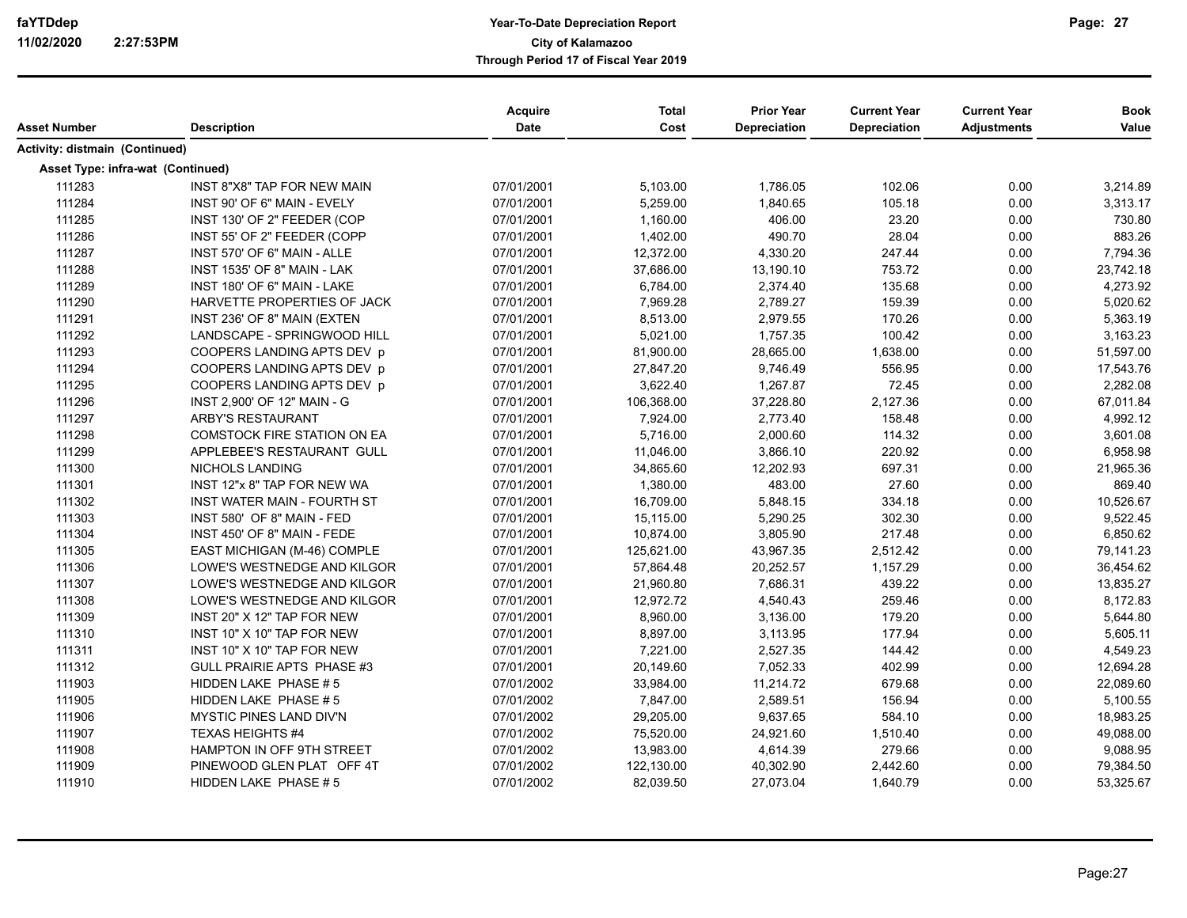| Asset Number                      | <b>Description</b>                 | Acquire<br>Date | <b>Total</b><br>Cost | <b>Prior Year</b><br>Depreciation | <b>Current Year</b><br>Depreciation | <b>Current Year</b><br><b>Adjustments</b> | <b>Book</b><br>Value |
|-----------------------------------|------------------------------------|-----------------|----------------------|-----------------------------------|-------------------------------------|-------------------------------------------|----------------------|
| Activity: distmain (Continued)    |                                    |                 |                      |                                   |                                     |                                           |                      |
| Asset Type: infra-wat (Continued) |                                    |                 |                      |                                   |                                     |                                           |                      |
| 111283                            | INST 8"X8" TAP FOR NEW MAIN        | 07/01/2001      | 5,103.00             | 1,786.05                          | 102.06                              | 0.00                                      | 3,214.89             |
| 111284                            | INST 90' OF 6" MAIN - EVELY        | 07/01/2001      | 5,259.00             | 1,840.65                          | 105.18                              | 0.00                                      | 3,313.17             |
| 111285                            | INST 130' OF 2" FEEDER (COP        | 07/01/2001      | 1,160.00             | 406.00                            | 23.20                               | 0.00                                      | 730.80               |
| 111286                            | INST 55' OF 2" FEEDER (COPP        | 07/01/2001      | 1,402.00             | 490.70                            | 28.04                               | 0.00                                      | 883.26               |
| 111287                            | INST 570' OF 6" MAIN - ALLE        | 07/01/2001      | 12,372.00            | 4,330.20                          | 247.44                              | 0.00                                      | 7,794.36             |
| 111288                            | INST 1535' OF 8" MAIN - LAK        | 07/01/2001      | 37,686.00            | 13,190.10                         | 753.72                              | 0.00                                      | 23,742.18            |
| 111289                            | INST 180' OF 6" MAIN - LAKE        | 07/01/2001      | 6,784.00             | 2,374.40                          | 135.68                              | 0.00                                      | 4,273.92             |
| 111290                            | HARVETTE PROPERTIES OF JACK        | 07/01/2001      | 7,969.28             | 2,789.27                          | 159.39                              | 0.00                                      | 5,020.62             |
| 111291                            | INST 236' OF 8" MAIN (EXTEN        | 07/01/2001      | 8,513.00             | 2,979.55                          | 170.26                              | 0.00                                      | 5,363.19             |
| 111292                            | LANDSCAPE - SPRINGWOOD HILL        | 07/01/2001      | 5,021.00             | 1,757.35                          | 100.42                              | 0.00                                      | 3,163.23             |
| 111293                            | COOPERS LANDING APTS DEV p         | 07/01/2001      | 81,900.00            | 28,665.00                         | 1,638.00                            | 0.00                                      | 51,597.00            |
| 111294                            | COOPERS LANDING APTS DEV p         | 07/01/2001      | 27,847.20            | 9,746.49                          | 556.95                              | 0.00                                      | 17,543.76            |
| 111295                            | COOPERS LANDING APTS DEV p         | 07/01/2001      | 3,622.40             | 1,267.87                          | 72.45                               | 0.00                                      | 2,282.08             |
| 111296                            | INST 2,900' OF 12" MAIN - G        | 07/01/2001      | 106,368.00           | 37,228.80                         | 2,127.36                            | 0.00                                      | 67,011.84            |
| 111297                            | <b>ARBY'S RESTAURANT</b>           | 07/01/2001      | 7,924.00             | 2,773.40                          | 158.48                              | 0.00                                      | 4,992.12             |
| 111298                            | COMSTOCK FIRE STATION ON EA        | 07/01/2001      | 5,716.00             | 2,000.60                          | 114.32                              | 0.00                                      | 3,601.08             |
| 111299                            | APPLEBEE'S RESTAURANT GULL         | 07/01/2001      | 11,046.00            | 3,866.10                          | 220.92                              | 0.00                                      | 6,958.98             |
| 111300                            | <b>NICHOLS LANDING</b>             | 07/01/2001      | 34,865.60            | 12,202.93                         | 697.31                              | 0.00                                      | 21,965.36            |
| 111301                            | INST 12"x 8" TAP FOR NEW WA        | 07/01/2001      | 1,380.00             | 483.00                            | 27.60                               | 0.00                                      | 869.40               |
| 111302                            | <b>INST WATER MAIN - FOURTH ST</b> | 07/01/2001      | 16,709.00            | 5,848.15                          | 334.18                              | 0.00                                      | 10,526.67            |
| 111303                            | INST 580' OF 8" MAIN - FED         | 07/01/2001      | 15,115.00            | 5,290.25                          | 302.30                              | 0.00                                      | 9,522.45             |
| 111304                            | INST 450' OF 8" MAIN - FEDE        | 07/01/2001      | 10,874.00            | 3,805.90                          | 217.48                              | 0.00                                      | 6,850.62             |
| 111305                            | EAST MICHIGAN (M-46) COMPLE        | 07/01/2001      | 125,621.00           | 43,967.35                         | 2,512.42                            | 0.00                                      | 79,141.23            |
| 111306                            | LOWE'S WESTNEDGE AND KILGOR        | 07/01/2001      | 57,864.48            | 20,252.57                         | 1,157.29                            | 0.00                                      | 36,454.62            |
| 111307                            | LOWE'S WESTNEDGE AND KILGOR        | 07/01/2001      | 21,960.80            | 7,686.31                          | 439.22                              | 0.00                                      | 13,835.27            |
| 111308                            | LOWE'S WESTNEDGE AND KILGOR        | 07/01/2001      | 12,972.72            | 4,540.43                          | 259.46                              | 0.00                                      | 8,172.83             |
| 111309                            | INST 20" X 12" TAP FOR NEW         | 07/01/2001      | 8,960.00             | 3,136.00                          | 179.20                              | 0.00                                      | 5,644.80             |
| 111310                            | INST 10" X 10" TAP FOR NEW         | 07/01/2001      | 8,897.00             | 3,113.95                          | 177.94                              | 0.00                                      | 5,605.11             |
| 111311                            | INST 10" X 10" TAP FOR NEW         | 07/01/2001      | 7,221.00             | 2,527.35                          | 144.42                              | 0.00                                      | 4,549.23             |
| 111312                            | GULL PRAIRIE APTS PHASE #3         | 07/01/2001      | 20,149.60            | 7,052.33                          | 402.99                              | 0.00                                      | 12,694.28            |
| 111903                            | HIDDEN LAKE PHASE #5               | 07/01/2002      | 33,984.00            | 11,214.72                         | 679.68                              | 0.00                                      | 22,089.60            |
| 111905                            | HIDDEN LAKE PHASE #5               | 07/01/2002      | 7,847.00             | 2,589.51                          | 156.94                              | 0.00                                      | 5,100.55             |
| 111906                            | <b>MYSTIC PINES LAND DIV'N</b>     | 07/01/2002      | 29,205.00            | 9,637.65                          | 584.10                              | 0.00                                      | 18,983.25            |
| 111907                            | <b>TEXAS HEIGHTS #4</b>            | 07/01/2002      | 75,520.00            | 24,921.60                         | 1,510.40                            | 0.00                                      | 49,088.00            |
| 111908                            | HAMPTON IN OFF 9TH STREET          | 07/01/2002      | 13,983.00            | 4,614.39                          | 279.66                              | 0.00                                      | 9,088.95             |
| 111909                            | PINEWOOD GLEN PLAT OFF 4T          | 07/01/2002      | 122,130.00           | 40,302.90                         | 2,442.60                            | 0.00                                      | 79,384.50            |
| 111910                            | HIDDEN LAKE PHASE #5               | 07/01/2002      | 82,039.50            | 27,073.04                         | 1,640.79                            | 0.00                                      | 53,325.67            |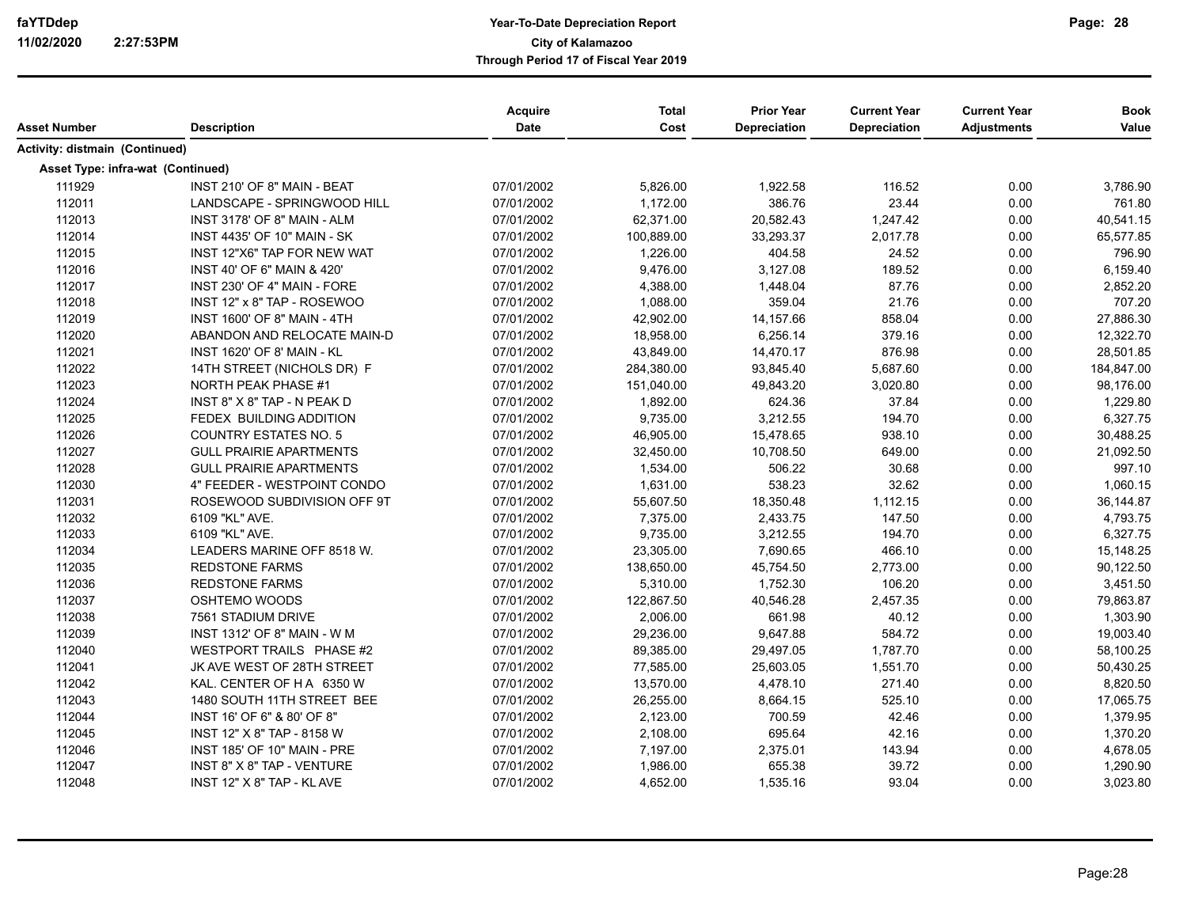| Asset Number                      | <b>Description</b>                | Acquire<br><b>Date</b> | <b>Total</b><br>Cost | <b>Prior Year</b><br><b>Depreciation</b> | <b>Current Year</b><br>Depreciation | <b>Current Year</b><br><b>Adjustments</b> | <b>Book</b><br>Value |
|-----------------------------------|-----------------------------------|------------------------|----------------------|------------------------------------------|-------------------------------------|-------------------------------------------|----------------------|
| Activity: distmain (Continued)    |                                   |                        |                      |                                          |                                     |                                           |                      |
| Asset Type: infra-wat (Continued) |                                   |                        |                      |                                          |                                     |                                           |                      |
| 111929                            | INST 210' OF 8" MAIN - BEAT       | 07/01/2002             | 5,826.00             | 1,922.58                                 | 116.52                              | 0.00                                      | 3,786.90             |
| 112011                            | LANDSCAPE - SPRINGWOOD HILL       | 07/01/2002             | 1,172.00             | 386.76                                   | 23.44                               | 0.00                                      | 761.80               |
| 112013                            | INST 3178' OF 8" MAIN - ALM       | 07/01/2002             | 62,371.00            | 20,582.43                                | 1,247.42                            | 0.00                                      | 40,541.15            |
| 112014                            | INST 4435' OF 10" MAIN - SK       | 07/01/2002             | 100,889.00           | 33,293.37                                | 2,017.78                            | 0.00                                      | 65,577.85            |
| 112015                            | INST 12"X6" TAP FOR NEW WAT       | 07/01/2002             | 1,226.00             | 404.58                                   | 24.52                               | 0.00                                      | 796.90               |
| 112016                            | INST 40' OF 6" MAIN & 420'        | 07/01/2002             | 9,476.00             | 3,127.08                                 | 189.52                              | 0.00                                      | 6,159.40             |
| 112017                            | INST 230' OF 4" MAIN - FORE       | 07/01/2002             | 4,388.00             | 1,448.04                                 | 87.76                               | 0.00                                      | 2.852.20             |
| 112018                            | INST 12" x 8" TAP - ROSEWOO       | 07/01/2002             | 1,088.00             | 359.04                                   | 21.76                               | 0.00                                      | 707.20               |
| 112019                            | INST 1600' OF 8" MAIN - 4TH       | 07/01/2002             | 42,902.00            | 14,157.66                                | 858.04                              | 0.00                                      | 27,886.30            |
| 112020                            | ABANDON AND RELOCATE MAIN-D       | 07/01/2002             | 18,958.00            | 6,256.14                                 | 379.16                              | 0.00                                      | 12,322.70            |
| 112021                            | <b>INST 1620' OF 8' MAIN - KL</b> | 07/01/2002             | 43,849.00            | 14,470.17                                | 876.98                              | 0.00                                      | 28,501.85            |
| 112022                            | 14TH STREET (NICHOLS DR) F        | 07/01/2002             | 284,380.00           | 93,845.40                                | 5,687.60                            | 0.00                                      | 184,847.00           |
| 112023                            | NORTH PEAK PHASE #1               | 07/01/2002             | 151,040.00           | 49,843.20                                | 3,020.80                            | 0.00                                      | 98,176.00            |
| 112024                            | INST 8" X 8" TAP - N PEAK D       | 07/01/2002             | 1,892.00             | 624.36                                   | 37.84                               | 0.00                                      | 1,229.80             |
| 112025                            | FEDEX BUILDING ADDITION           | 07/01/2002             | 9,735.00             | 3,212.55                                 | 194.70                              | 0.00                                      | 6,327.75             |
| 112026                            | <b>COUNTRY ESTATES NO. 5</b>      | 07/01/2002             | 46,905.00            | 15,478.65                                | 938.10                              | 0.00                                      | 30,488.25            |
| 112027                            | <b>GULL PRAIRIE APARTMENTS</b>    | 07/01/2002             | 32,450.00            | 10,708.50                                | 649.00                              | 0.00                                      | 21,092.50            |
| 112028                            | <b>GULL PRAIRIE APARTMENTS</b>    | 07/01/2002             | 1,534.00             | 506.22                                   | 30.68                               | 0.00                                      | 997.10               |
| 112030                            | 4" FEEDER - WESTPOINT CONDO       | 07/01/2002             | 1,631.00             | 538.23                                   | 32.62                               | 0.00                                      | 1,060.15             |
| 112031                            | ROSEWOOD SUBDIVISION OFF 9T       | 07/01/2002             | 55,607.50            | 18,350.48                                | 1,112.15                            | 0.00                                      | 36,144.87            |
| 112032                            | 6109 "KL" AVE.                    | 07/01/2002             | 7,375.00             | 2,433.75                                 | 147.50                              | 0.00                                      | 4,793.75             |
| 112033                            | 6109 "KL" AVE.                    | 07/01/2002             | 9,735.00             | 3,212.55                                 | 194.70                              | 0.00                                      | 6,327.75             |
| 112034                            | LEADERS MARINE OFF 8518 W.        | 07/01/2002             | 23,305.00            | 7,690.65                                 | 466.10                              | 0.00                                      | 15,148.25            |
| 112035                            | <b>REDSTONE FARMS</b>             | 07/01/2002             | 138,650.00           | 45,754.50                                | 2,773.00                            | 0.00                                      | 90,122.50            |
| 112036                            | <b>REDSTONE FARMS</b>             | 07/01/2002             | 5,310.00             | 1,752.30                                 | 106.20                              | 0.00                                      | 3,451.50             |
| 112037                            | OSHTEMO WOODS                     | 07/01/2002             | 122,867.50           | 40,546.28                                | 2,457.35                            | 0.00                                      | 79,863.87            |
| 112038                            | 7561 STADIUM DRIVE                | 07/01/2002             | 2,006.00             | 661.98                                   | 40.12                               | 0.00                                      | 1,303.90             |
| 112039                            | INST 1312' OF 8" MAIN - W M       | 07/01/2002             | 29,236.00            | 9,647.88                                 | 584.72                              | 0.00                                      | 19,003.40            |
| 112040                            | WESTPORT TRAILS PHASE #2          | 07/01/2002             | 89,385.00            | 29,497.05                                | 1,787.70                            | 0.00                                      | 58,100.25            |
| 112041                            | JK AVE WEST OF 28TH STREET        | 07/01/2002             | 77,585.00            | 25,603.05                                | 1,551.70                            | 0.00                                      | 50,430.25            |
| 112042                            | KAL. CENTER OF HA 6350 W          | 07/01/2002             | 13,570.00            | 4,478.10                                 | 271.40                              | 0.00                                      | 8,820.50             |
| 112043                            | 1480 SOUTH 11TH STREET BEE        | 07/01/2002             | 26,255.00            | 8,664.15                                 | 525.10                              | 0.00                                      | 17,065.75            |
| 112044                            | INST 16' OF 6" & 80' OF 8"        | 07/01/2002             | 2,123.00             | 700.59                                   | 42.46                               | 0.00                                      | 1,379.95             |
| 112045                            | INST 12" X 8" TAP - 8158 W        | 07/01/2002             | 2,108.00             | 695.64                                   | 42.16                               | 0.00                                      | 1,370.20             |
| 112046                            | INST 185' OF 10" MAIN - PRE       | 07/01/2002             | 7,197.00             | 2,375.01                                 | 143.94                              | 0.00                                      | 4,678.05             |
| 112047                            | INST 8" X 8" TAP - VENTURE        | 07/01/2002             | 1,986.00             | 655.38                                   | 39.72                               | 0.00                                      | 1,290.90             |
| 112048                            | INST 12" X 8" TAP - KL AVE        | 07/01/2002             | 4,652.00             | 1,535.16                                 | 93.04                               | 0.00                                      | 3,023.80             |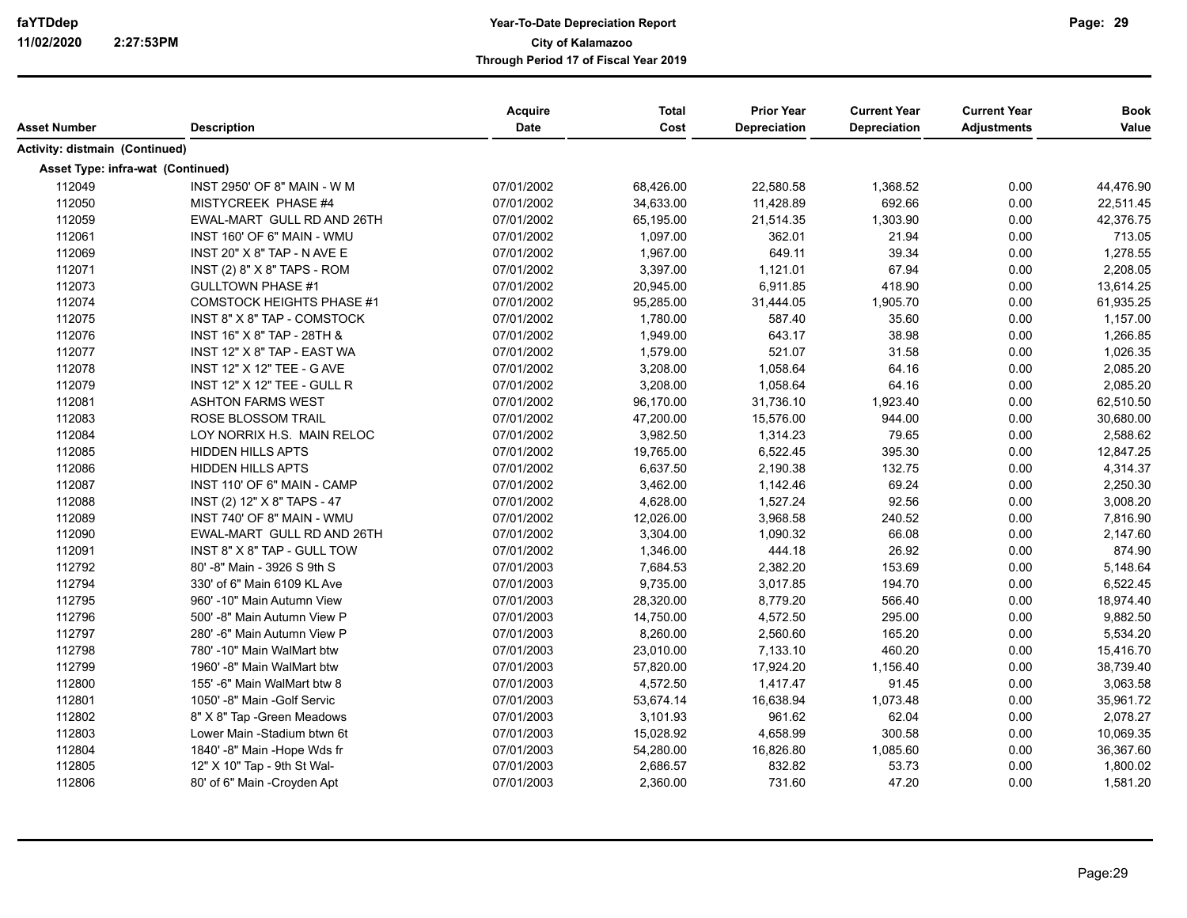| Asset Number                      | <b>Description</b>                | <b>Acquire</b><br>Date | <b>Total</b><br>Cost | <b>Prior Year</b><br>Depreciation | <b>Current Year</b><br>Depreciation | <b>Current Year</b><br><b>Adjustments</b> | <b>Book</b><br>Value |
|-----------------------------------|-----------------------------------|------------------------|----------------------|-----------------------------------|-------------------------------------|-------------------------------------------|----------------------|
|                                   |                                   |                        |                      |                                   |                                     |                                           |                      |
| Activity: distmain (Continued)    |                                   |                        |                      |                                   |                                     |                                           |                      |
| Asset Type: infra-wat (Continued) |                                   |                        |                      |                                   |                                     |                                           |                      |
| 112049                            | INST 2950' OF 8" MAIN - W M       | 07/01/2002             | 68,426.00            | 22,580.58                         | 1,368.52                            | 0.00                                      | 44,476.90            |
| 112050                            | MISTYCREEK PHASE #4               | 07/01/2002             | 34,633.00            | 11,428.89                         | 692.66                              | 0.00                                      | 22,511.45            |
| 112059                            | EWAL-MART GULL RD AND 26TH        | 07/01/2002             | 65,195.00            | 21,514.35                         | 1,303.90                            | 0.00                                      | 42,376.75            |
| 112061                            | INST 160' OF 6" MAIN - WMU        | 07/01/2002             | 1,097.00             | 362.01                            | 21.94                               | 0.00                                      | 713.05               |
| 112069                            | INST 20" X 8" TAP - N AVE E       | 07/01/2002             | 1,967.00             | 649.11                            | 39.34                               | 0.00                                      | 1,278.55             |
| 112071                            | INST (2) 8" X 8" TAPS - ROM       | 07/01/2002             | 3,397.00             | 1,121.01                          | 67.94                               | 0.00                                      | 2,208.05             |
| 112073                            | <b>GULLTOWN PHASE #1</b>          | 07/01/2002             | 20,945.00            | 6,911.85                          | 418.90                              | 0.00                                      | 13,614.25            |
| 112074                            | <b>COMSTOCK HEIGHTS PHASE #1</b>  | 07/01/2002             | 95,285.00            | 31,444.05                         | 1,905.70                            | 0.00                                      | 61,935.25            |
| 112075                            | INST 8" X 8" TAP - COMSTOCK       | 07/01/2002             | 1,780.00             | 587.40                            | 35.60                               | 0.00                                      | 1,157.00             |
| 112076                            | INST 16" X 8" TAP - 28TH &        | 07/01/2002             | 1,949.00             | 643.17                            | 38.98                               | 0.00                                      | 1,266.85             |
| 112077                            | INST 12" X 8" TAP - EAST WA       | 07/01/2002             | 1,579.00             | 521.07                            | 31.58                               | 0.00                                      | 1,026.35             |
| 112078                            | <b>INST 12" X 12" TEE - G AVE</b> | 07/01/2002             | 3,208.00             | 1,058.64                          | 64.16                               | 0.00                                      | 2,085.20             |
| 112079                            | INST 12" X 12" TEE - GULL R       | 07/01/2002             | 3,208.00             | 1,058.64                          | 64.16                               | 0.00                                      | 2,085.20             |
| 112081                            | <b>ASHTON FARMS WEST</b>          | 07/01/2002             | 96,170.00            | 31,736.10                         | 1,923.40                            | 0.00                                      | 62,510.50            |
| 112083                            | ROSE BLOSSOM TRAIL                | 07/01/2002             | 47,200.00            | 15,576.00                         | 944.00                              | 0.00                                      | 30,680.00            |
| 112084                            | LOY NORRIX H.S. MAIN RELOC        | 07/01/2002             | 3,982.50             | 1,314.23                          | 79.65                               | 0.00                                      | 2,588.62             |
| 112085                            | <b>HIDDEN HILLS APTS</b>          | 07/01/2002             | 19,765.00            | 6,522.45                          | 395.30                              | 0.00                                      | 12,847.25            |
| 112086                            | <b>HIDDEN HILLS APTS</b>          | 07/01/2002             | 6,637.50             | 2,190.38                          | 132.75                              | 0.00                                      | 4,314.37             |
| 112087                            | INST 110' OF 6" MAIN - CAMP       | 07/01/2002             | 3,462.00             | 1,142.46                          | 69.24                               | 0.00                                      | 2,250.30             |
| 112088                            | INST (2) 12" X 8" TAPS - 47       | 07/01/2002             | 4,628.00             | 1,527.24                          | 92.56                               | 0.00                                      | 3,008.20             |
| 112089                            | INST 740' OF 8" MAIN - WMU        | 07/01/2002             | 12,026.00            | 3,968.58                          | 240.52                              | 0.00                                      | 7,816.90             |
| 112090                            | EWAL-MART GULL RD AND 26TH        | 07/01/2002             | 3,304.00             | 1,090.32                          | 66.08                               | 0.00                                      | 2,147.60             |
| 112091                            | INST 8" X 8" TAP - GULL TOW       | 07/01/2002             | 1,346.00             | 444.18                            | 26.92                               | 0.00                                      | 874.90               |
| 112792                            | 80' -8" Main - 3926 S 9th S       | 07/01/2003             | 7,684.53             | 2,382.20                          | 153.69                              | 0.00                                      | 5,148.64             |
| 112794                            | 330' of 6" Main 6109 KL Ave       | 07/01/2003             | 9,735.00             | 3,017.85                          | 194.70                              | 0.00                                      | 6,522.45             |
| 112795                            | 960' -10" Main Autumn View        | 07/01/2003             | 28,320.00            | 8,779.20                          | 566.40                              | 0.00                                      | 18,974.40            |
| 112796                            | 500' -8" Main Autumn View P       | 07/01/2003             | 14,750.00            | 4,572.50                          | 295.00                              | 0.00                                      | 9,882.50             |
| 112797                            | 280' -6" Main Autumn View P       | 07/01/2003             | 8,260.00             | 2,560.60                          | 165.20                              | 0.00                                      | 5,534.20             |
| 112798                            | 780' -10" Main WalMart btw        | 07/01/2003             | 23,010.00            | 7,133.10                          | 460.20                              | 0.00                                      | 15,416.70            |
| 112799                            | 1960' -8" Main WalMart btw        | 07/01/2003             | 57,820.00            | 17,924.20                         | 1,156.40                            | 0.00                                      | 38,739.40            |
| 112800                            | 155'-6" Main WalMart btw 8        | 07/01/2003             | 4,572.50             | 1,417.47                          | 91.45                               | 0.00                                      | 3,063.58             |
| 112801                            | 1050' -8" Main -Golf Servic       | 07/01/2003             | 53,674.14            | 16,638.94                         | 1,073.48                            | 0.00                                      | 35,961.72            |
| 112802                            | 8" X 8" Tap - Green Meadows       | 07/01/2003             | 3,101.93             | 961.62                            | 62.04                               | 0.00                                      | 2,078.27             |
| 112803                            | Lower Main -Stadium btwn 6t       | 07/01/2003             | 15,028.92            | 4,658.99                          | 300.58                              | 0.00                                      | 10,069.35            |
| 112804                            | 1840' -8" Main -Hope Wds fr       | 07/01/2003             | 54,280.00            | 16,826.80                         | 1,085.60                            | 0.00                                      | 36,367.60            |
| 112805                            | 12" X 10" Tap - 9th St Wal-       | 07/01/2003             | 2,686.57             | 832.82                            | 53.73                               | 0.00                                      | 1,800.02             |
| 112806                            | 80' of 6" Main -Croyden Apt       | 07/01/2003             | 2,360.00             | 731.60                            | 47.20                               | 0.00                                      | 1,581.20             |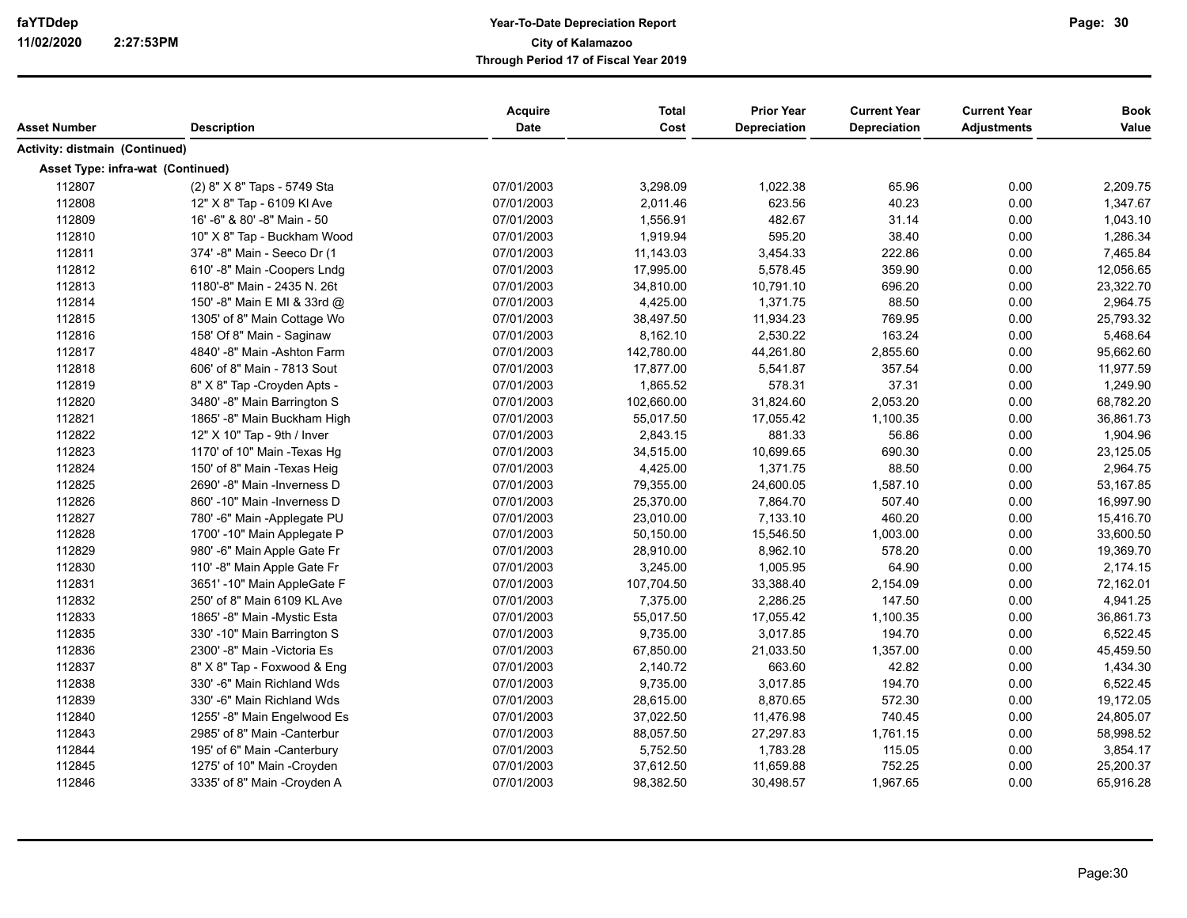| Asset Number                          | <b>Description</b>           | Acquire<br>Date | <b>Total</b><br>Cost | <b>Prior Year</b><br>Depreciation | <b>Current Year</b><br>Depreciation | <b>Current Year</b><br><b>Adjustments</b> | <b>Book</b><br>Value |
|---------------------------------------|------------------------------|-----------------|----------------------|-----------------------------------|-------------------------------------|-------------------------------------------|----------------------|
| <b>Activity: distmain (Continued)</b> |                              |                 |                      |                                   |                                     |                                           |                      |
| Asset Type: infra-wat (Continued)     |                              |                 |                      |                                   |                                     |                                           |                      |
| 112807                                | (2) 8" X 8" Taps - 5749 Sta  | 07/01/2003      | 3,298.09             | 1,022.38                          | 65.96                               | 0.00                                      | 2,209.75             |
| 112808                                | 12" X 8" Tap - 6109 KI Ave   | 07/01/2003      | 2,011.46             | 623.56                            | 40.23                               | 0.00                                      | 1,347.67             |
| 112809                                | 16'-6" & 80'-8" Main - 50    | 07/01/2003      | 1,556.91             | 482.67                            | 31.14                               | 0.00                                      | 1,043.10             |
| 112810                                | 10" X 8" Tap - Buckham Wood  | 07/01/2003      | 1,919.94             | 595.20                            | 38.40                               | 0.00                                      | 1,286.34             |
| 112811                                | 374' -8" Main - Seeco Dr (1  | 07/01/2003      | 11,143.03            | 3,454.33                          | 222.86                              | 0.00                                      | 7,465.84             |
| 112812                                | 610' -8" Main -Coopers Lndg  | 07/01/2003      | 17,995.00            | 5,578.45                          | 359.90                              | 0.00                                      | 12,056.65            |
| 112813                                | 1180'-8" Main - 2435 N. 26t  | 07/01/2003      | 34,810.00            | 10,791.10                         | 696.20                              | 0.00                                      | 23,322.70            |
| 112814                                | 150' -8" Main E MI & 33rd @  | 07/01/2003      | 4,425.00             | 1,371.75                          | 88.50                               | 0.00                                      | 2,964.75             |
| 112815                                | 1305' of 8" Main Cottage Wo  | 07/01/2003      | 38,497.50            | 11,934.23                         | 769.95                              | 0.00                                      | 25,793.32            |
| 112816                                | 158' Of 8" Main - Saginaw    | 07/01/2003      | 8,162.10             | 2,530.22                          | 163.24                              | 0.00                                      | 5,468.64             |
| 112817                                | 4840' -8" Main -Ashton Farm  | 07/01/2003      | 142,780.00           | 44,261.80                         | 2,855.60                            | 0.00                                      | 95,662.60            |
| 112818                                | 606' of 8" Main - 7813 Sout  | 07/01/2003      | 17,877.00            | 5,541.87                          | 357.54                              | 0.00                                      | 11,977.59            |
| 112819                                | 8" X 8" Tap - Croyden Apts - | 07/01/2003      | 1,865.52             | 578.31                            | 37.31                               | 0.00                                      | 1,249.90             |
| 112820                                | 3480' -8" Main Barrington S  | 07/01/2003      | 102,660.00           | 31,824.60                         | 2,053.20                            | 0.00                                      | 68,782.20            |
| 112821                                | 1865' -8" Main Buckham High  | 07/01/2003      | 55,017.50            | 17,055.42                         | 1,100.35                            | 0.00                                      | 36,861.73            |
| 112822                                | 12" X 10" Tap - 9th / Inver  | 07/01/2003      | 2,843.15             | 881.33                            | 56.86                               | 0.00                                      | 1,904.96             |
| 112823                                | 1170' of 10" Main - Texas Hg | 07/01/2003      | 34,515.00            | 10,699.65                         | 690.30                              | 0.00                                      | 23,125.05            |
| 112824                                | 150' of 8" Main - Texas Heig | 07/01/2003      | 4,425.00             | 1,371.75                          | 88.50                               | 0.00                                      | 2,964.75             |
| 112825                                | 2690' -8" Main -Inverness D  | 07/01/2003      | 79,355.00            | 24,600.05                         | 1,587.10                            | 0.00                                      | 53,167.85            |
| 112826                                | 860' -10" Main -Inverness D  | 07/01/2003      | 25,370.00            | 7,864.70                          | 507.40                              | 0.00                                      | 16,997.90            |
| 112827                                | 780'-6" Main -Applegate PU   | 07/01/2003      | 23,010.00            | 7,133.10                          | 460.20                              | 0.00                                      | 15,416.70            |
| 112828                                | 1700' -10" Main Applegate P  | 07/01/2003      | 50,150.00            | 15,546.50                         | 1,003.00                            | 0.00                                      | 33,600.50            |
| 112829                                | 980' -6" Main Apple Gate Fr  | 07/01/2003      | 28,910.00            | 8,962.10                          | 578.20                              | 0.00                                      | 19,369.70            |
| 112830                                | 110' -8" Main Apple Gate Fr  | 07/01/2003      | 3,245.00             | 1,005.95                          | 64.90                               | 0.00                                      | 2,174.15             |
| 112831                                | 3651' -10" Main AppleGate F  | 07/01/2003      | 107,704.50           | 33,388.40                         | 2,154.09                            | 0.00                                      | 72,162.01            |
| 112832                                | 250' of 8" Main 6109 KL Ave  | 07/01/2003      | 7,375.00             | 2,286.25                          | 147.50                              | 0.00                                      | 4,941.25             |
| 112833                                | 1865' -8" Main -Mystic Esta  | 07/01/2003      | 55,017.50            | 17,055.42                         | 1,100.35                            | 0.00                                      | 36,861.73            |
| 112835                                | 330' -10" Main Barrington S  | 07/01/2003      | 9,735.00             | 3,017.85                          | 194.70                              | 0.00                                      | 6,522.45             |
| 112836                                | 2300' -8" Main -Victoria Es  | 07/01/2003      | 67,850.00            | 21,033.50                         | 1,357.00                            | 0.00                                      | 45,459.50            |
| 112837                                | 8" X 8" Tap - Foxwood & Eng  | 07/01/2003      | 2,140.72             | 663.60                            | 42.82                               | 0.00                                      | 1,434.30             |
| 112838                                | 330'-6" Main Richland Wds    | 07/01/2003      | 9,735.00             | 3,017.85                          | 194.70                              | 0.00                                      | 6,522.45             |
| 112839                                | 330' -6" Main Richland Wds   | 07/01/2003      | 28,615.00            | 8,870.65                          | 572.30                              | 0.00                                      | 19,172.05            |
| 112840                                | 1255'-8" Main Engelwood Es   | 07/01/2003      | 37,022.50            | 11,476.98                         | 740.45                              | 0.00                                      | 24,805.07            |
| 112843                                | 2985' of 8" Main -Canterbur  | 07/01/2003      | 88,057.50            | 27,297.83                         | 1,761.15                            | 0.00                                      | 58,998.52            |
| 112844                                | 195' of 6" Main -Canterbury  | 07/01/2003      | 5,752.50             | 1,783.28                          | 115.05                              | 0.00                                      | 3,854.17             |
| 112845                                | 1275' of 10" Main -Croyden   | 07/01/2003      | 37,612.50            | 11,659.88                         | 752.25                              | 0.00                                      | 25,200.37            |
| 112846                                | 3335' of 8" Main -Croyden A  | 07/01/2003      | 98,382.50            | 30,498.57                         | 1,967.65                            | 0.00                                      | 65,916.28            |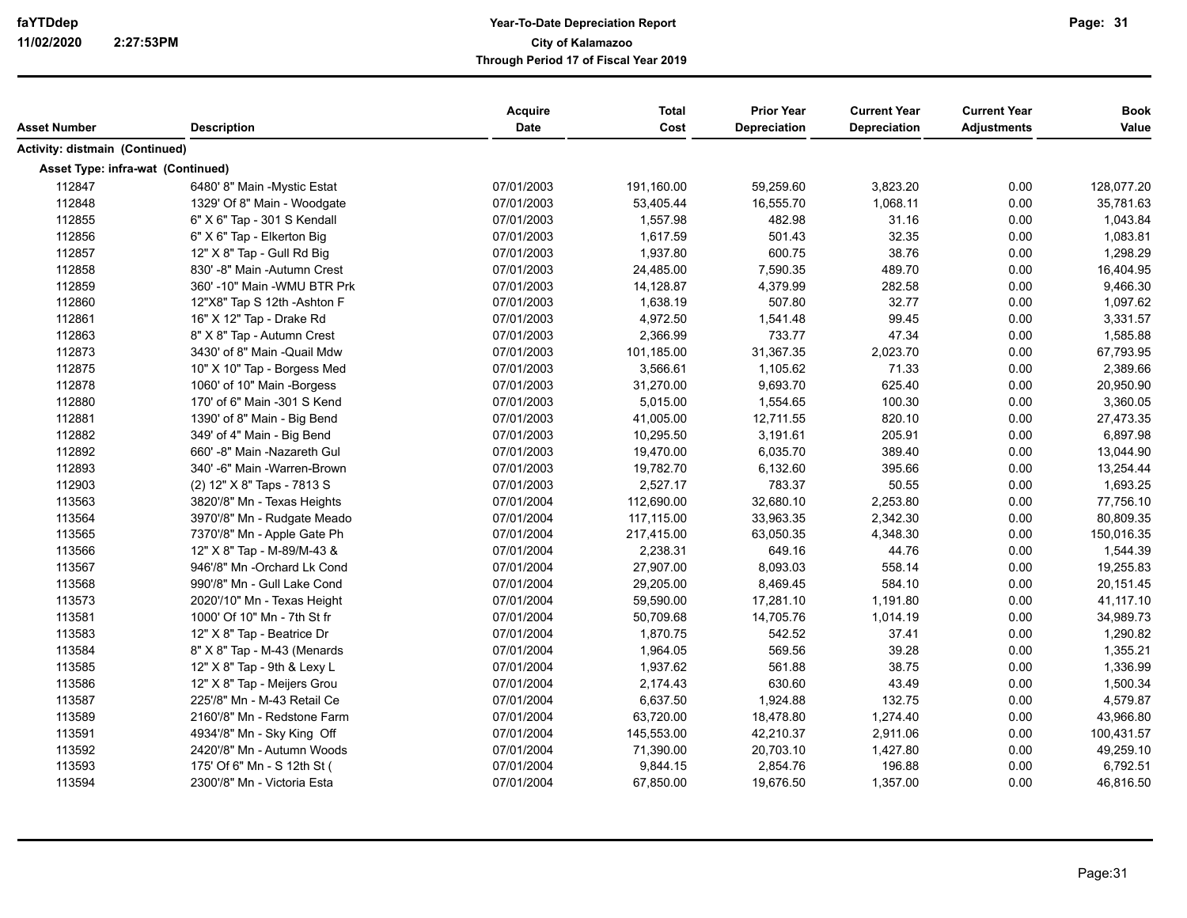| Asset Number                          | <b>Description</b>           | Acquire<br>Date | <b>Total</b><br>Cost | <b>Prior Year</b><br><b>Depreciation</b> | <b>Current Year</b><br>Depreciation | <b>Current Year</b><br><b>Adjustments</b> | <b>Book</b><br>Value |
|---------------------------------------|------------------------------|-----------------|----------------------|------------------------------------------|-------------------------------------|-------------------------------------------|----------------------|
| <b>Activity: distmain (Continued)</b> |                              |                 |                      |                                          |                                     |                                           |                      |
| Asset Type: infra-wat (Continued)     |                              |                 |                      |                                          |                                     |                                           |                      |
| 112847                                | 6480' 8" Main - Mystic Estat | 07/01/2003      | 191,160.00           | 59,259.60                                | 3,823.20                            | 0.00                                      | 128,077.20           |
| 112848                                | 1329' Of 8" Main - Woodgate  | 07/01/2003      | 53,405.44            | 16,555.70                                | 1,068.11                            | 0.00                                      | 35,781.63            |
| 112855                                | 6" X 6" Tap - 301 S Kendall  | 07/01/2003      | 1,557.98             | 482.98                                   | 31.16                               | 0.00                                      | 1,043.84             |
| 112856                                | 6" X 6" Tap - Elkerton Big   | 07/01/2003      | 1,617.59             | 501.43                                   | 32.35                               | 0.00                                      | 1,083.81             |
| 112857                                | 12" X 8" Tap - Gull Rd Big   | 07/01/2003      | 1,937.80             | 600.75                                   | 38.76                               | 0.00                                      | 1,298.29             |
| 112858                                | 830' -8" Main -Autumn Crest  | 07/01/2003      | 24,485.00            | 7,590.35                                 | 489.70                              | 0.00                                      | 16,404.95            |
| 112859                                | 360' -10" Main -WMU BTR Prk  | 07/01/2003      | 14,128.87            | 4,379.99                                 | 282.58                              | 0.00                                      | 9,466.30             |
| 112860                                | 12"X8" Tap S 12th -Ashton F  | 07/01/2003      | 1,638.19             | 507.80                                   | 32.77                               | 0.00                                      | 1,097.62             |
| 112861                                | 16" X 12" Tap - Drake Rd     | 07/01/2003      | 4,972.50             | 1,541.48                                 | 99.45                               | 0.00                                      | 3,331.57             |
| 112863                                | 8" X 8" Tap - Autumn Crest   | 07/01/2003      | 2,366.99             | 733.77                                   | 47.34                               | 0.00                                      | 1,585.88             |
| 112873                                | 3430' of 8" Main -Quail Mdw  | 07/01/2003      | 101,185.00           | 31,367.35                                | 2,023.70                            | 0.00                                      | 67,793.95            |
| 112875                                | 10" X 10" Tap - Borgess Med  | 07/01/2003      | 3,566.61             | 1,105.62                                 | 71.33                               | 0.00                                      | 2,389.66             |
| 112878                                | 1060' of 10" Main -Borgess   | 07/01/2003      | 31,270.00            | 9,693.70                                 | 625.40                              | 0.00                                      | 20,950.90            |
| 112880                                | 170' of 6" Main -301 S Kend  | 07/01/2003      | 5,015.00             | 1,554.65                                 | 100.30                              | 0.00                                      | 3,360.05             |
| 112881                                | 1390' of 8" Main - Big Bend  | 07/01/2003      | 41,005.00            | 12,711.55                                | 820.10                              | 0.00                                      | 27,473.35            |
| 112882                                | 349' of 4" Main - Big Bend   | 07/01/2003      | 10,295.50            | 3,191.61                                 | 205.91                              | 0.00                                      | 6,897.98             |
| 112892                                | 660' -8" Main -Nazareth Gul  | 07/01/2003      | 19,470.00            | 6,035.70                                 | 389.40                              | 0.00                                      | 13,044.90            |
| 112893                                | 340'-6" Main -Warren-Brown   | 07/01/2003      | 19,782.70            | 6,132.60                                 | 395.66                              | 0.00                                      | 13,254.44            |
| 112903                                | (2) 12" X 8" Taps - 7813 S   | 07/01/2003      | 2,527.17             | 783.37                                   | 50.55                               | 0.00                                      | 1,693.25             |
| 113563                                | 3820'/8" Mn - Texas Heights  | 07/01/2004      | 112,690.00           | 32,680.10                                | 2,253.80                            | 0.00                                      | 77,756.10            |
| 113564                                | 3970'/8" Mn - Rudgate Meado  | 07/01/2004      | 117,115.00           | 33,963.35                                | 2,342.30                            | 0.00                                      | 80,809.35            |
| 113565                                | 7370'/8" Mn - Apple Gate Ph  | 07/01/2004      | 217,415.00           | 63,050.35                                | 4,348.30                            | 0.00                                      | 150,016.35           |
| 113566                                | 12" X 8" Tap - M-89/M-43 &   | 07/01/2004      | 2,238.31             | 649.16                                   | 44.76                               | 0.00                                      | 1,544.39             |
| 113567                                | 946'/8" Mn -Orchard Lk Cond  | 07/01/2004      | 27,907.00            | 8,093.03                                 | 558.14                              | 0.00                                      | 19,255.83            |
| 113568                                | 990'/8" Mn - Gull Lake Cond  | 07/01/2004      | 29,205.00            | 8,469.45                                 | 584.10                              | 0.00                                      | 20,151.45            |
| 113573                                | 2020'/10" Mn - Texas Height  | 07/01/2004      | 59,590.00            | 17,281.10                                | 1,191.80                            | 0.00                                      | 41,117.10            |
| 113581                                | 1000' Of 10" Mn - 7th St fr  | 07/01/2004      | 50,709.68            | 14,705.76                                | 1,014.19                            | 0.00                                      | 34,989.73            |
| 113583                                | 12" X 8" Tap - Beatrice Dr   | 07/01/2004      | 1,870.75             | 542.52                                   | 37.41                               | 0.00                                      | 1,290.82             |
| 113584                                | 8" X 8" Tap - M-43 (Menards  | 07/01/2004      | 1,964.05             | 569.56                                   | 39.28                               | 0.00                                      | 1,355.21             |
| 113585                                | 12" X 8" Tap - 9th & Lexy L  | 07/01/2004      | 1,937.62             | 561.88                                   | 38.75                               | 0.00                                      | 1,336.99             |
| 113586                                | 12" X 8" Tap - Meijers Grou  | 07/01/2004      | 2,174.43             | 630.60                                   | 43.49                               | 0.00                                      | 1,500.34             |
| 113587                                | 225'/8" Mn - M-43 Retail Ce  | 07/01/2004      | 6,637.50             | 1,924.88                                 | 132.75                              | 0.00                                      | 4,579.87             |
| 113589                                | 2160'/8" Mn - Redstone Farm  | 07/01/2004      | 63,720.00            | 18,478.80                                | 1,274.40                            | 0.00                                      | 43,966.80            |
| 113591                                | 4934'/8" Mn - Sky King Off   | 07/01/2004      | 145,553.00           | 42,210.37                                | 2,911.06                            | 0.00                                      | 100,431.57           |
| 113592                                | 2420'/8" Mn - Autumn Woods   | 07/01/2004      | 71,390.00            | 20,703.10                                | 1,427.80                            | 0.00                                      | 49,259.10            |
| 113593                                | 175' Of 6" Mn - S 12th St (  | 07/01/2004      | 9,844.15             | 2,854.76                                 | 196.88                              | 0.00                                      | 6,792.51             |
| 113594                                | 2300'/8" Mn - Victoria Esta  | 07/01/2004      | 67,850.00            | 19,676.50                                | 1,357.00                            | 0.00                                      | 46,816.50            |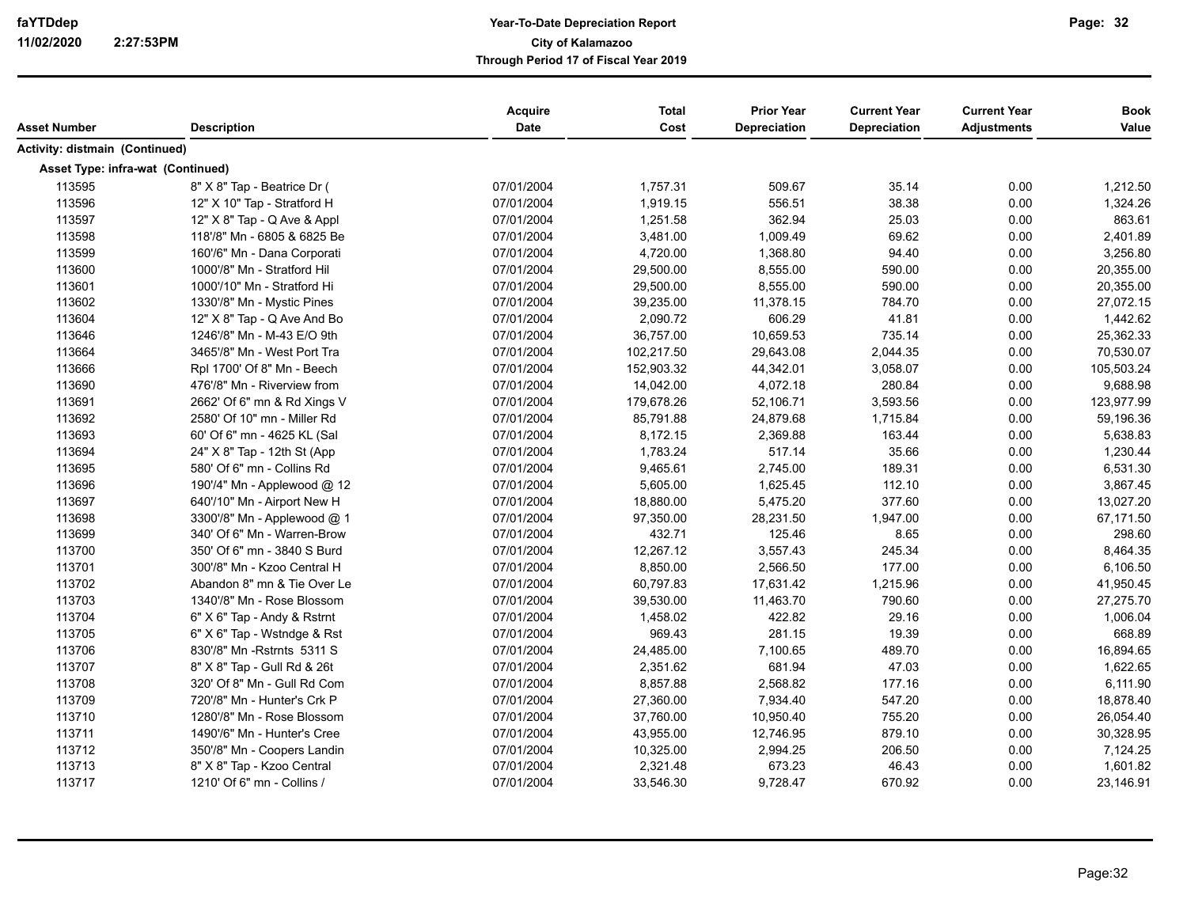| Asset Number                      | <b>Description</b>          | <b>Acquire</b><br><b>Date</b> | <b>Total</b><br>Cost | <b>Prior Year</b><br><b>Depreciation</b> | <b>Current Year</b><br>Depreciation | <b>Current Year</b><br><b>Adjustments</b> | <b>Book</b><br>Value |
|-----------------------------------|-----------------------------|-------------------------------|----------------------|------------------------------------------|-------------------------------------|-------------------------------------------|----------------------|
| Activity: distmain (Continued)    |                             |                               |                      |                                          |                                     |                                           |                      |
| Asset Type: infra-wat (Continued) |                             |                               |                      |                                          |                                     |                                           |                      |
| 113595                            | 8" X 8" Tap - Beatrice Dr ( | 07/01/2004                    | 1,757.31             | 509.67                                   | 35.14                               | 0.00                                      | 1,212.50             |
| 113596                            | 12" X 10" Tap - Stratford H | 07/01/2004                    | 1,919.15             | 556.51                                   | 38.38                               | 0.00                                      | 1,324.26             |
| 113597                            | 12" X 8" Tap - Q Ave & Appl | 07/01/2004                    | 1,251.58             | 362.94                                   | 25.03                               | 0.00                                      | 863.61               |
| 113598                            | 118'/8" Mn - 6805 & 6825 Be | 07/01/2004                    | 3,481.00             | 1,009.49                                 | 69.62                               | 0.00                                      | 2,401.89             |
| 113599                            | 160'/6" Mn - Dana Corporati | 07/01/2004                    | 4,720.00             | 1,368.80                                 | 94.40                               | 0.00                                      | 3,256.80             |
| 113600                            | 1000'/8" Mn - Stratford Hil | 07/01/2004                    | 29,500.00            | 8,555.00                                 | 590.00                              | 0.00                                      | 20,355.00            |
| 113601                            | 1000'/10" Mn - Stratford Hi | 07/01/2004                    | 29,500.00            | 8,555.00                                 | 590.00                              | 0.00                                      | 20,355.00            |
| 113602                            | 1330'/8" Mn - Mystic Pines  | 07/01/2004                    | 39,235.00            | 11,378.15                                | 784.70                              | 0.00                                      | 27,072.15            |
| 113604                            | 12" X 8" Tap - Q Ave And Bo | 07/01/2004                    | 2,090.72             | 606.29                                   | 41.81                               | 0.00                                      | 1,442.62             |
| 113646                            | 1246'/8" Mn - M-43 E/O 9th  | 07/01/2004                    | 36,757.00            | 10,659.53                                | 735.14                              | 0.00                                      | 25,362.33            |
| 113664                            | 3465'/8" Mn - West Port Tra | 07/01/2004                    | 102,217.50           | 29,643.08                                | 2,044.35                            | 0.00                                      | 70,530.07            |
| 113666                            | Rpl 1700' Of 8" Mn - Beech  | 07/01/2004                    | 152,903.32           | 44,342.01                                | 3,058.07                            | 0.00                                      | 105,503.24           |
| 113690                            | 476'/8" Mn - Riverview from | 07/01/2004                    | 14,042.00            | 4,072.18                                 | 280.84                              | 0.00                                      | 9,688.98             |
| 113691                            | 2662' Of 6" mn & Rd Xings V | 07/01/2004                    | 179,678.26           | 52,106.71                                | 3,593.56                            | 0.00                                      | 123,977.99           |
| 113692                            | 2580' Of 10" mn - Miller Rd | 07/01/2004                    | 85,791.88            | 24,879.68                                | 1,715.84                            | 0.00                                      | 59,196.36            |
| 113693                            | 60' Of 6" mn - 4625 KL (Sal | 07/01/2004                    | 8,172.15             | 2,369.88                                 | 163.44                              | 0.00                                      | 5,638.83             |
| 113694                            | 24" X 8" Tap - 12th St (App | 07/01/2004                    | 1,783.24             | 517.14                                   | 35.66                               | 0.00                                      | 1,230.44             |
| 113695                            | 580' Of 6" mn - Collins Rd  | 07/01/2004                    | 9,465.61             | 2,745.00                                 | 189.31                              | 0.00                                      | 6,531.30             |
| 113696                            | 190'/4" Mn - Applewood @ 12 | 07/01/2004                    | 5,605.00             | 1,625.45                                 | 112.10                              | 0.00                                      | 3,867.45             |
| 113697                            | 640'/10" Mn - Airport New H | 07/01/2004                    | 18,880.00            | 5,475.20                                 | 377.60                              | 0.00                                      | 13,027.20            |
| 113698                            | 3300'/8" Mn - Applewood @ 1 | 07/01/2004                    | 97,350.00            | 28,231.50                                | 1,947.00                            | 0.00                                      | 67,171.50            |
| 113699                            | 340' Of 6" Mn - Warren-Brow | 07/01/2004                    | 432.71               | 125.46                                   | 8.65                                | 0.00                                      | 298.60               |
| 113700                            | 350' Of 6" mn - 3840 S Burd | 07/01/2004                    | 12,267.12            | 3,557.43                                 | 245.34                              | 0.00                                      | 8,464.35             |
| 113701                            | 300'/8" Mn - Kzoo Central H | 07/01/2004                    | 8,850.00             | 2,566.50                                 | 177.00                              | 0.00                                      | 6,106.50             |
| 113702                            | Abandon 8" mn & Tie Over Le | 07/01/2004                    | 60,797.83            | 17,631.42                                | 1,215.96                            | 0.00                                      | 41,950.45            |
| 113703                            | 1340'/8" Mn - Rose Blossom  | 07/01/2004                    | 39,530.00            | 11,463.70                                | 790.60                              | 0.00                                      | 27,275.70            |
| 113704                            | 6" X 6" Tap - Andy & Rstrnt | 07/01/2004                    | 1,458.02             | 422.82                                   | 29.16                               | 0.00                                      | 1,006.04             |
| 113705                            | 6" X 6" Tap - Wstndge & Rst | 07/01/2004                    | 969.43               | 281.15                                   | 19.39                               | 0.00                                      | 668.89               |
| 113706                            | 830'/8" Mn - Rstrnts 5311 S | 07/01/2004                    | 24,485.00            | 7,100.65                                 | 489.70                              | 0.00                                      | 16,894.65            |
| 113707                            | 8" X 8" Tap - Gull Rd & 26t | 07/01/2004                    | 2,351.62             | 681.94                                   | 47.03                               | 0.00                                      | 1,622.65             |
| 113708                            | 320' Of 8" Mn - Gull Rd Com | 07/01/2004                    | 8,857.88             | 2,568.82                                 | 177.16                              | 0.00                                      | 6,111.90             |
| 113709                            | 720'/8" Mn - Hunter's Crk P | 07/01/2004                    | 27,360.00            | 7,934.40                                 | 547.20                              | 0.00                                      | 18,878.40            |
| 113710                            | 1280'/8" Mn - Rose Blossom  | 07/01/2004                    | 37,760.00            | 10,950.40                                | 755.20                              | 0.00                                      | 26,054.40            |
| 113711                            | 1490'/6" Mn - Hunter's Cree | 07/01/2004                    | 43,955.00            | 12,746.95                                | 879.10                              | 0.00                                      | 30,328.95            |
| 113712                            | 350'/8" Mn - Coopers Landin | 07/01/2004                    | 10,325.00            | 2,994.25                                 | 206.50                              | 0.00                                      | 7,124.25             |
| 113713                            | 8" X 8" Tap - Kzoo Central  | 07/01/2004                    | 2,321.48             | 673.23                                   | 46.43                               | 0.00                                      | 1,601.82             |
| 113717                            | 1210' Of 6" mn - Collins /  | 07/01/2004                    | 33,546.30            | 9,728.47                                 | 670.92                              | 0.00                                      | 23,146.91            |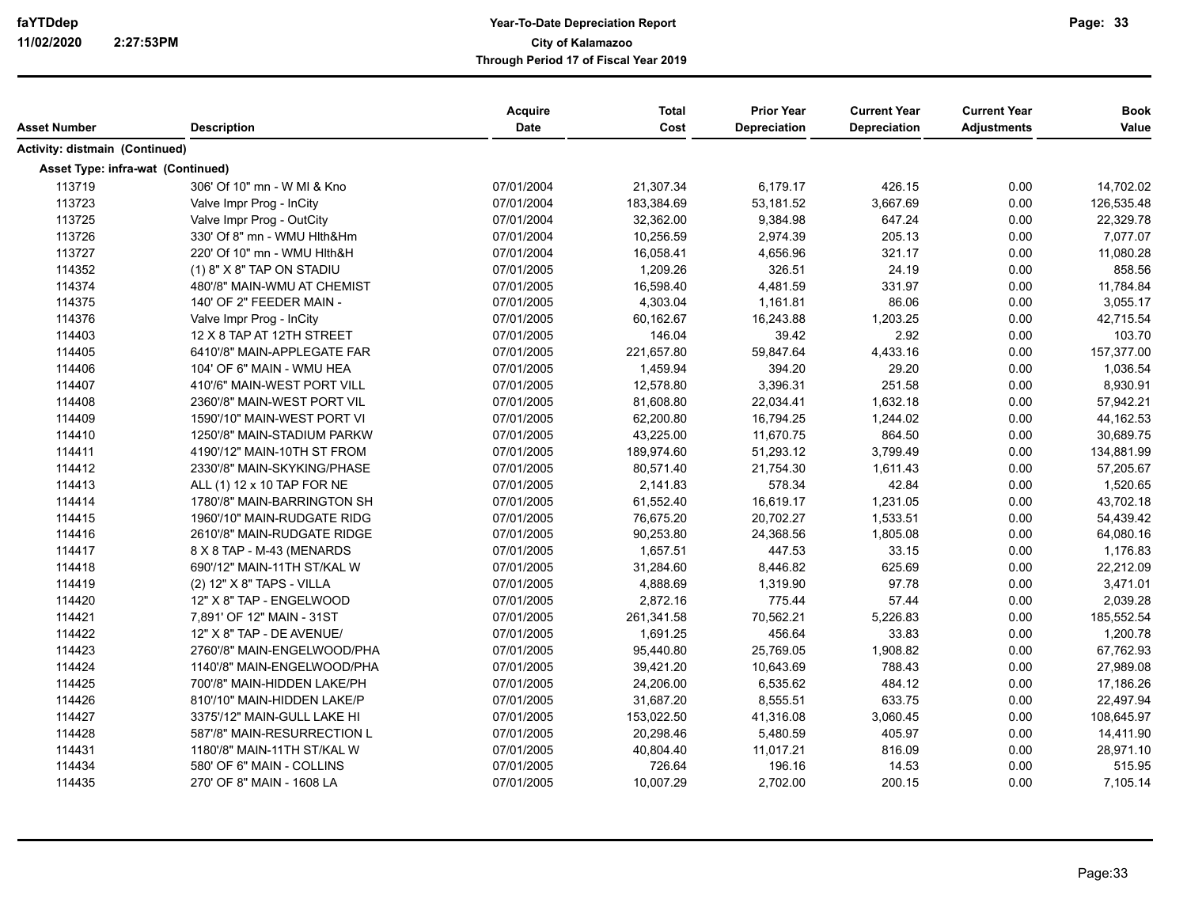| Asset Number                      | <b>Description</b>          | Acquire<br>Date | <b>Total</b><br>Cost | <b>Prior Year</b><br><b>Depreciation</b> | <b>Current Year</b><br>Depreciation | <b>Current Year</b><br><b>Adjustments</b> | <b>Book</b><br>Value |
|-----------------------------------|-----------------------------|-----------------|----------------------|------------------------------------------|-------------------------------------|-------------------------------------------|----------------------|
| Activity: distmain (Continued)    |                             |                 |                      |                                          |                                     |                                           |                      |
| Asset Type: infra-wat (Continued) |                             |                 |                      |                                          |                                     |                                           |                      |
| 113719                            | 306' Of 10" mn - W MI & Kno | 07/01/2004      | 21,307.34            | 6,179.17                                 | 426.15                              | 0.00                                      | 14,702.02            |
| 113723                            | Valve Impr Prog - InCity    | 07/01/2004      | 183,384.69           | 53,181.52                                | 3,667.69                            | 0.00                                      | 126,535.48           |
| 113725                            | Valve Impr Prog - OutCity   | 07/01/2004      | 32,362.00            | 9,384.98                                 | 647.24                              | 0.00                                      | 22,329.78            |
| 113726                            | 330' Of 8" mn - WMU Hlth&Hm | 07/01/2004      | 10,256.59            | 2,974.39                                 | 205.13                              | 0.00                                      | 7,077.07             |
| 113727                            | 220' Of 10" mn - WMU Hlth&H | 07/01/2004      | 16,058.41            | 4,656.96                                 | 321.17                              | 0.00                                      | 11,080.28            |
| 114352                            | $(1)$ 8" X 8" TAP ON STADIU | 07/01/2005      | 1,209.26             | 326.51                                   | 24.19                               | 0.00                                      | 858.56               |
| 114374                            | 480'/8" MAIN-WMU AT CHEMIST | 07/01/2005      | 16,598.40            | 4,481.59                                 | 331.97                              | 0.00                                      | 11,784.84            |
| 114375                            | 140' OF 2" FEEDER MAIN -    | 07/01/2005      | 4,303.04             | 1,161.81                                 | 86.06                               | 0.00                                      | 3,055.17             |
| 114376                            | Valve Impr Prog - InCity    | 07/01/2005      | 60,162.67            | 16,243.88                                | 1,203.25                            | 0.00                                      | 42,715.54            |
| 114403                            | 12 X 8 TAP AT 12TH STREET   | 07/01/2005      | 146.04               | 39.42                                    | 2.92                                | 0.00                                      | 103.70               |
| 114405                            | 6410'/8" MAIN-APPLEGATE FAR | 07/01/2005      | 221,657.80           | 59,847.64                                | 4,433.16                            | 0.00                                      | 157,377.00           |
| 114406                            | 104' OF 6" MAIN - WMU HEA   | 07/01/2005      | 1,459.94             | 394.20                                   | 29.20                               | 0.00                                      | 1,036.54             |
| 114407                            | 410'/6" MAIN-WEST PORT VILL | 07/01/2005      | 12,578.80            | 3,396.31                                 | 251.58                              | 0.00                                      | 8,930.91             |
| 114408                            | 2360'/8" MAIN-WEST PORT VIL | 07/01/2005      | 81,608.80            | 22,034.41                                | 1,632.18                            | 0.00                                      | 57,942.21            |
| 114409                            | 1590'/10" MAIN-WEST PORT VI | 07/01/2005      | 62,200.80            | 16,794.25                                | 1,244.02                            | 0.00                                      | 44,162.53            |
| 114410                            | 1250'/8" MAIN-STADIUM PARKW | 07/01/2005      | 43,225.00            | 11,670.75                                | 864.50                              | 0.00                                      | 30,689.75            |
| 114411                            | 4190'/12" MAIN-10TH ST FROM | 07/01/2005      | 189,974.60           | 51,293.12                                | 3,799.49                            | 0.00                                      | 134,881.99           |
| 114412                            | 2330'/8" MAIN-SKYKING/PHASE | 07/01/2005      | 80,571.40            | 21,754.30                                | 1,611.43                            | 0.00                                      | 57,205.67            |
| 114413                            | ALL (1) 12 x 10 TAP FOR NE  | 07/01/2005      | 2,141.83             | 578.34                                   | 42.84                               | 0.00                                      | 1,520.65             |
| 114414                            | 1780'/8" MAIN-BARRINGTON SH | 07/01/2005      | 61,552.40            | 16,619.17                                | 1,231.05                            | 0.00                                      | 43,702.18            |
| 114415                            | 1960'/10" MAIN-RUDGATE RIDG | 07/01/2005      | 76,675.20            | 20,702.27                                | 1,533.51                            | 0.00                                      | 54,439.42            |
| 114416                            | 2610'/8" MAIN-RUDGATE RIDGE | 07/01/2005      | 90,253.80            | 24,368.56                                | 1,805.08                            | 0.00                                      | 64,080.16            |
| 114417                            | 8 X 8 TAP - M-43 (MENARDS   | 07/01/2005      | 1,657.51             | 447.53                                   | 33.15                               | 0.00                                      | 1,176.83             |
| 114418                            | 690'/12" MAIN-11TH ST/KAL W | 07/01/2005      | 31,284.60            | 8,446.82                                 | 625.69                              | 0.00                                      | 22,212.09            |
| 114419                            | (2) 12" X 8" TAPS - VILLA   | 07/01/2005      | 4,888.69             | 1,319.90                                 | 97.78                               | 0.00                                      | 3,471.01             |
| 114420                            | 12" X 8" TAP - ENGELWOOD    | 07/01/2005      | 2,872.16             | 775.44                                   | 57.44                               | 0.00                                      | 2,039.28             |
| 114421                            | 7,891' OF 12" MAIN - 31ST   | 07/01/2005      | 261,341.58           | 70,562.21                                | 5,226.83                            | 0.00                                      | 185,552.54           |
| 114422                            | 12" X 8" TAP - DE AVENUE/   | 07/01/2005      | 1,691.25             | 456.64                                   | 33.83                               | 0.00                                      | 1,200.78             |
| 114423                            | 2760'/8" MAIN-ENGELWOOD/PHA | 07/01/2005      | 95,440.80            | 25,769.05                                | 1,908.82                            | 0.00                                      | 67,762.93            |
| 114424                            | 1140'/8" MAIN-ENGELWOOD/PHA | 07/01/2005      | 39,421.20            | 10,643.69                                | 788.43                              | 0.00                                      | 27,989.08            |
| 114425                            | 700'/8" MAIN-HIDDEN LAKE/PH | 07/01/2005      | 24,206.00            | 6,535.62                                 | 484.12                              | 0.00                                      | 17,186.26            |
| 114426                            | 810'/10" MAIN-HIDDEN LAKE/P | 07/01/2005      | 31,687.20            | 8,555.51                                 | 633.75                              | 0.00                                      | 22,497.94            |
| 114427                            | 3375'/12" MAIN-GULL LAKE HI | 07/01/2005      | 153,022.50           | 41,316.08                                | 3,060.45                            | 0.00                                      | 108,645.97           |
| 114428                            | 587'/8" MAIN-RESURRECTION L | 07/01/2005      | 20,298.46            | 5,480.59                                 | 405.97                              | 0.00                                      | 14,411.90            |
| 114431                            | 1180'/8" MAIN-11TH ST/KAL W | 07/01/2005      | 40,804.40            | 11,017.21                                | 816.09                              | 0.00                                      | 28,971.10            |
| 114434                            | 580' OF 6" MAIN - COLLINS   | 07/01/2005      | 726.64               | 196.16                                   | 14.53                               | 0.00                                      | 515.95               |
| 114435                            | 270' OF 8" MAIN - 1608 LA   | 07/01/2005      | 10,007.29            | 2,702.00                                 | 200.15                              | 0.00                                      | 7,105.14             |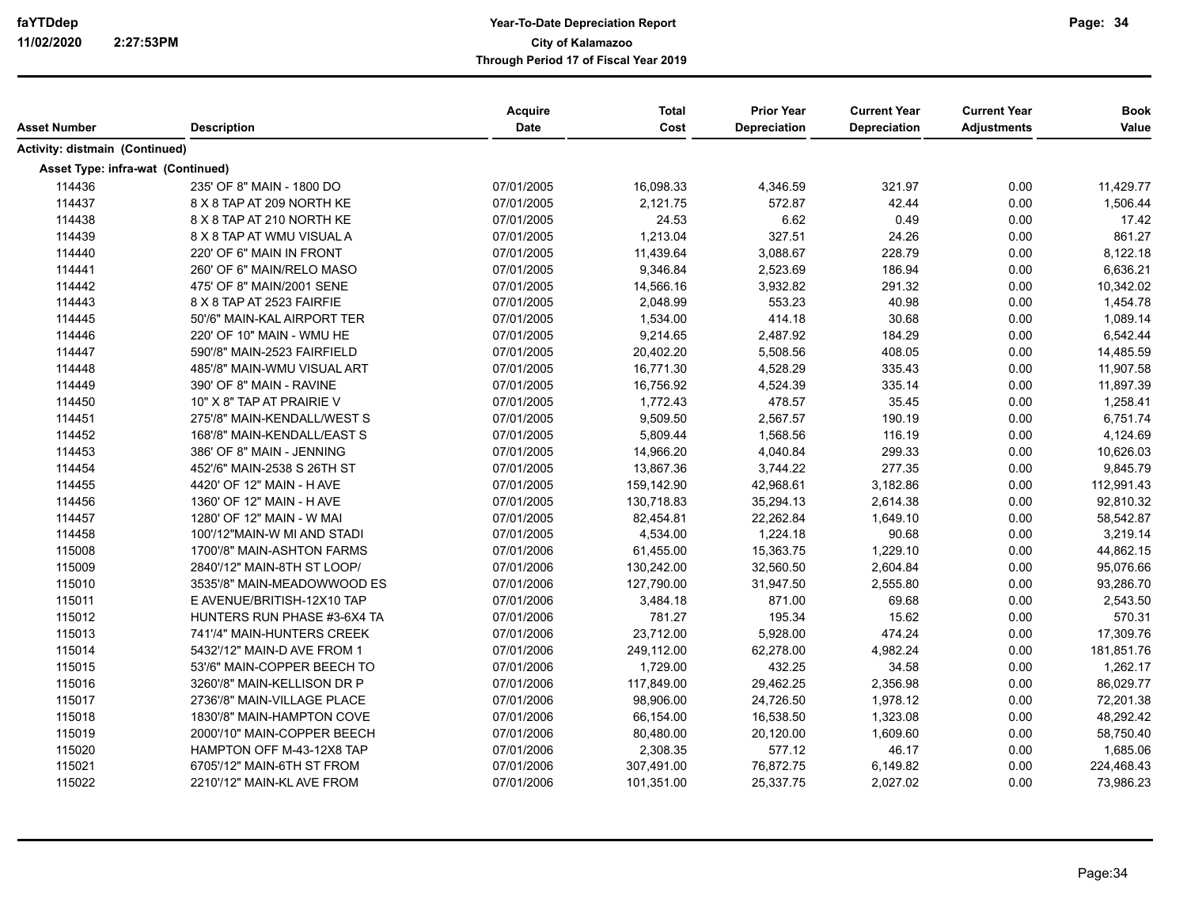| Asset Number                      | <b>Description</b>          | Acquire<br>Date | <b>Total</b><br>Cost | <b>Prior Year</b><br>Depreciation | <b>Current Year</b><br><b>Depreciation</b> | <b>Current Year</b><br><b>Adjustments</b> | <b>Book</b><br>Value |
|-----------------------------------|-----------------------------|-----------------|----------------------|-----------------------------------|--------------------------------------------|-------------------------------------------|----------------------|
| Activity: distmain (Continued)    |                             |                 |                      |                                   |                                            |                                           |                      |
| Asset Type: infra-wat (Continued) |                             |                 |                      |                                   |                                            |                                           |                      |
| 114436                            | 235' OF 8" MAIN - 1800 DO   | 07/01/2005      | 16,098.33            | 4,346.59                          | 321.97                                     | 0.00                                      | 11,429.77            |
| 114437                            | 8 X 8 TAP AT 209 NORTH KE   | 07/01/2005      | 2,121.75             | 572.87                            | 42.44                                      | 0.00                                      | 1,506.44             |
| 114438                            | 8 X 8 TAP AT 210 NORTH KE   | 07/01/2005      | 24.53                | 6.62                              | 0.49                                       | 0.00                                      | 17.42                |
| 114439                            | 8 X 8 TAP AT WMU VISUAL A   | 07/01/2005      | 1,213.04             | 327.51                            | 24.26                                      | 0.00                                      | 861.27               |
| 114440                            | 220' OF 6" MAIN IN FRONT    | 07/01/2005      | 11,439.64            | 3,088.67                          | 228.79                                     | 0.00                                      | 8,122.18             |
| 114441                            | 260' OF 6" MAIN/RELO MASO   | 07/01/2005      | 9,346.84             | 2,523.69                          | 186.94                                     | 0.00                                      | 6,636.21             |
| 114442                            | 475' OF 8" MAIN/2001 SENE   | 07/01/2005      | 14,566.16            | 3,932.82                          | 291.32                                     | 0.00                                      | 10,342.02            |
| 114443                            | 8 X 8 TAP AT 2523 FAIRFIE   | 07/01/2005      | 2,048.99             | 553.23                            | 40.98                                      | 0.00                                      | 1,454.78             |
| 114445                            | 50'/6" MAIN-KAL AIRPORT TER | 07/01/2005      | 1,534.00             | 414.18                            | 30.68                                      | 0.00                                      | 1,089.14             |
| 114446                            | 220' OF 10" MAIN - WMU HE   | 07/01/2005      | 9,214.65             | 2,487.92                          | 184.29                                     | 0.00                                      | 6,542.44             |
| 114447                            | 590'/8" MAIN-2523 FAIRFIELD | 07/01/2005      | 20,402.20            | 5,508.56                          | 408.05                                     | 0.00                                      | 14,485.59            |
| 114448                            | 485'/8" MAIN-WMU VISUAL ART | 07/01/2005      | 16,771.30            | 4,528.29                          | 335.43                                     | 0.00                                      | 11,907.58            |
| 114449                            | 390' OF 8" MAIN - RAVINE    | 07/01/2005      | 16,756.92            | 4,524.39                          | 335.14                                     | 0.00                                      | 11,897.39            |
| 114450                            | 10" X 8" TAP AT PRAIRIE V   | 07/01/2005      | 1,772.43             | 478.57                            | 35.45                                      | 0.00                                      | 1,258.41             |
| 114451                            | 275'/8" MAIN-KENDALL/WEST S | 07/01/2005      | 9,509.50             | 2,567.57                          | 190.19                                     | 0.00                                      | 6,751.74             |
| 114452                            | 168'/8" MAIN-KENDALL/EAST S | 07/01/2005      | 5,809.44             | 1,568.56                          | 116.19                                     | 0.00                                      | 4,124.69             |
| 114453                            | 386' OF 8" MAIN - JENNING   | 07/01/2005      | 14,966.20            | 4,040.84                          | 299.33                                     | 0.00                                      | 10,626.03            |
| 114454                            | 452'/6" MAIN-2538 S 26TH ST | 07/01/2005      | 13,867.36            | 3,744.22                          | 277.35                                     | 0.00                                      | 9,845.79             |
| 114455                            | 4420' OF 12" MAIN - H AVE   | 07/01/2005      | 159,142.90           | 42,968.61                         | 3,182.86                                   | 0.00                                      | 112,991.43           |
| 114456                            | 1360' OF 12" MAIN - H AVE   | 07/01/2005      | 130,718.83           | 35,294.13                         | 2,614.38                                   | 0.00                                      | 92,810.32            |
| 114457                            | 1280' OF 12" MAIN - W MAI   | 07/01/2005      | 82,454.81            | 22,262.84                         | 1,649.10                                   | 0.00                                      | 58,542.87            |
| 114458                            | 100'/12"MAIN-W MI AND STADI | 07/01/2005      | 4,534.00             | 1,224.18                          | 90.68                                      | 0.00                                      | 3,219.14             |
| 115008                            | 1700'/8" MAIN-ASHTON FARMS  | 07/01/2006      | 61,455.00            | 15,363.75                         | 1,229.10                                   | 0.00                                      | 44,862.15            |
| 115009                            | 2840'/12" MAIN-8TH ST LOOP/ | 07/01/2006      | 130,242.00           | 32,560.50                         | 2,604.84                                   | 0.00                                      | 95,076.66            |
| 115010                            | 3535'/8" MAIN-MEADOWWOOD ES | 07/01/2006      | 127,790.00           | 31,947.50                         | 2,555.80                                   | 0.00                                      | 93,286.70            |
| 115011                            | E AVENUE/BRITISH-12X10 TAP  | 07/01/2006      | 3,484.18             | 871.00                            | 69.68                                      | 0.00                                      | 2,543.50             |
| 115012                            | HUNTERS RUN PHASE #3-6X4 TA | 07/01/2006      | 781.27               | 195.34                            | 15.62                                      | 0.00                                      | 570.31               |
| 115013                            | 741'/4" MAIN-HUNTERS CREEK  | 07/01/2006      | 23,712.00            | 5,928.00                          | 474.24                                     | 0.00                                      | 17,309.76            |
| 115014                            | 5432'/12" MAIN-D AVE FROM 1 | 07/01/2006      | 249,112.00           | 62,278.00                         | 4,982.24                                   | 0.00                                      | 181,851.76           |
| 115015                            | 53'/6" MAIN-COPPER BEECH TO | 07/01/2006      | 1,729.00             | 432.25                            | 34.58                                      | 0.00                                      | 1,262.17             |
| 115016                            | 3260'/8" MAIN-KELLISON DR P | 07/01/2006      | 117,849.00           | 29,462.25                         | 2,356.98                                   | 0.00                                      | 86,029.77            |
| 115017                            | 2736'/8" MAIN-VILLAGE PLACE | 07/01/2006      | 98,906.00            | 24,726.50                         | 1,978.12                                   | 0.00                                      | 72,201.38            |
| 115018                            | 1830'/8" MAIN-HAMPTON COVE  | 07/01/2006      | 66,154.00            | 16,538.50                         | 1,323.08                                   | 0.00                                      | 48,292.42            |
| 115019                            | 2000'/10" MAIN-COPPER BEECH | 07/01/2006      | 80,480.00            | 20,120.00                         | 1,609.60                                   | 0.00                                      | 58,750.40            |
| 115020                            | HAMPTON OFF M-43-12X8 TAP   | 07/01/2006      | 2,308.35             | 577.12                            | 46.17                                      | 0.00                                      | 1,685.06             |
| 115021                            | 6705'/12" MAIN-6TH ST FROM  | 07/01/2006      | 307,491.00           | 76,872.75                         | 6,149.82                                   | 0.00                                      | 224,468.43           |
| 115022                            | 2210'/12" MAIN-KL AVE FROM  | 07/01/2006      | 101,351.00           | 25,337.75                         | 2,027.02                                   | 0.00                                      | 73,986.23            |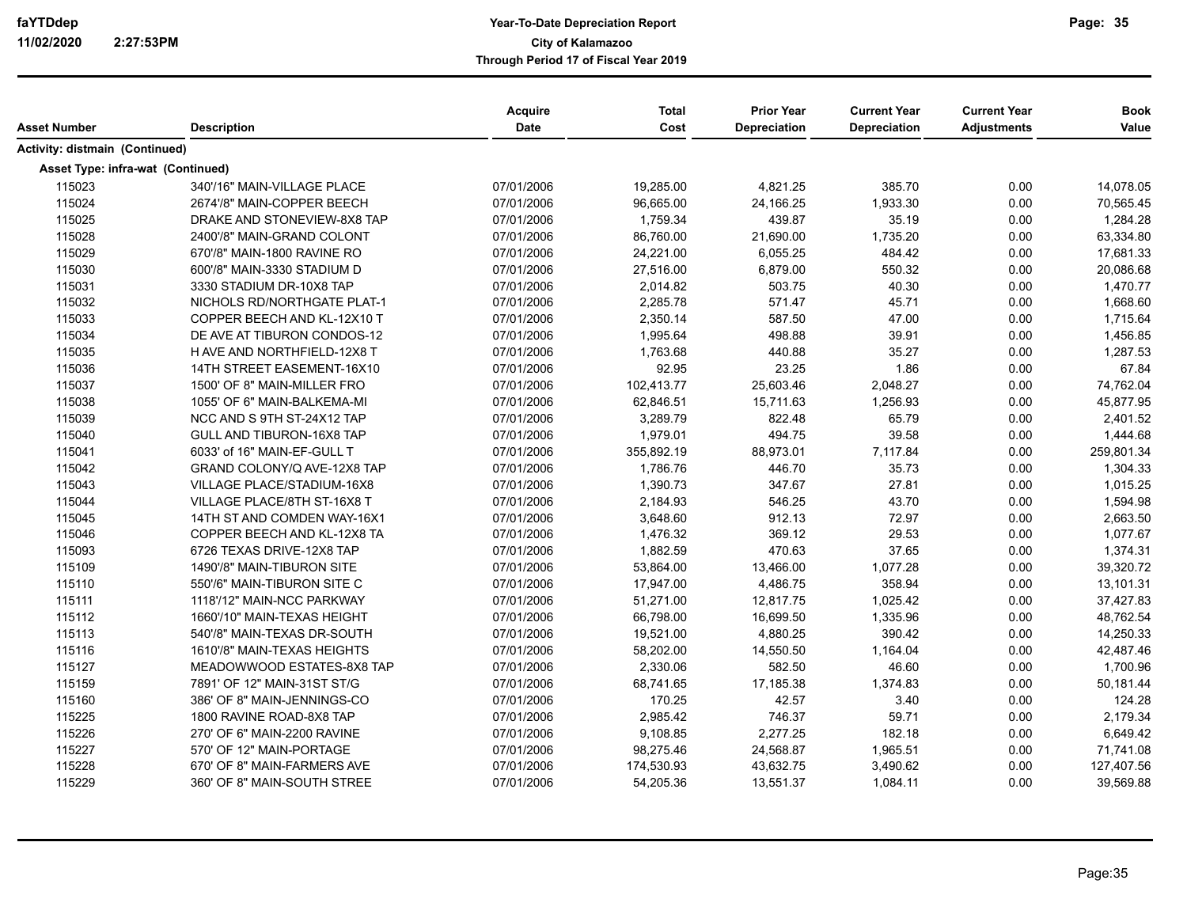| Asset Number                          | <b>Description</b>          | Acquire<br>Date | <b>Total</b><br>Cost | <b>Prior Year</b><br>Depreciation | <b>Current Year</b><br>Depreciation | <b>Current Year</b><br><b>Adjustments</b> | <b>Book</b><br>Value |
|---------------------------------------|-----------------------------|-----------------|----------------------|-----------------------------------|-------------------------------------|-------------------------------------------|----------------------|
| <b>Activity: distmain (Continued)</b> |                             |                 |                      |                                   |                                     |                                           |                      |
| Asset Type: infra-wat (Continued)     |                             |                 |                      |                                   |                                     |                                           |                      |
| 115023                                | 340'/16" MAIN-VILLAGE PLACE | 07/01/2006      | 19,285.00            | 4,821.25                          | 385.70                              | 0.00                                      | 14,078.05            |
| 115024                                | 2674'/8" MAIN-COPPER BEECH  | 07/01/2006      | 96,665.00            | 24,166.25                         | 1,933.30                            | 0.00                                      | 70,565.45            |
| 115025                                | DRAKE AND STONEVIEW-8X8 TAP | 07/01/2006      | 1,759.34             | 439.87                            | 35.19                               | 0.00                                      | 1,284.28             |
| 115028                                | 2400'/8" MAIN-GRAND COLONT  | 07/01/2006      | 86,760.00            | 21,690.00                         | 1,735.20                            | 0.00                                      | 63,334.80            |
| 115029                                | 670'/8" MAIN-1800 RAVINE RO | 07/01/2006      | 24,221.00            | 6,055.25                          | 484.42                              | 0.00                                      | 17,681.33            |
| 115030                                | 600'/8" MAIN-3330 STADIUM D | 07/01/2006      | 27,516.00            | 6,879.00                          | 550.32                              | 0.00                                      | 20,086.68            |
| 115031                                | 3330 STADIUM DR-10X8 TAP    | 07/01/2006      | 2,014.82             | 503.75                            | 40.30                               | 0.00                                      | 1,470.77             |
| 115032                                | NICHOLS RD/NORTHGATE PLAT-1 | 07/01/2006      | 2,285.78             | 571.47                            | 45.71                               | 0.00                                      | 1,668.60             |
| 115033                                | COPPER BEECH AND KL-12X10 T | 07/01/2006      | 2,350.14             | 587.50                            | 47.00                               | 0.00                                      | 1,715.64             |
| 115034                                | DE AVE AT TIBURON CONDOS-12 | 07/01/2006      | 1,995.64             | 498.88                            | 39.91                               | 0.00                                      | 1,456.85             |
| 115035                                | H AVE AND NORTHFIELD-12X8 T | 07/01/2006      | 1,763.68             | 440.88                            | 35.27                               | 0.00                                      | 1,287.53             |
| 115036                                | 14TH STREET EASEMENT-16X10  | 07/01/2006      | 92.95                | 23.25                             | 1.86                                | 0.00                                      | 67.84                |
| 115037                                | 1500' OF 8" MAIN-MILLER FRO | 07/01/2006      | 102,413.77           | 25,603.46                         | 2,048.27                            | 0.00                                      | 74,762.04            |
| 115038                                | 1055' OF 6" MAIN-BALKEMA-MI | 07/01/2006      | 62,846.51            | 15,711.63                         | 1,256.93                            | 0.00                                      | 45,877.95            |
| 115039                                | NCC AND S 9TH ST-24X12 TAP  | 07/01/2006      | 3,289.79             | 822.48                            | 65.79                               | 0.00                                      | 2,401.52             |
| 115040                                | GULL AND TIBURON-16X8 TAP   | 07/01/2006      | 1,979.01             | 494.75                            | 39.58                               | 0.00                                      | 1,444.68             |
| 115041                                | 6033' of 16" MAIN-EF-GULL T | 07/01/2006      | 355,892.19           | 88,973.01                         | 7,117.84                            | 0.00                                      | 259,801.34           |
| 115042                                | GRAND COLONY/Q AVE-12X8 TAP | 07/01/2006      | 1,786.76             | 446.70                            | 35.73                               | 0.00                                      | 1,304.33             |
| 115043                                | VILLAGE PLACE/STADIUM-16X8  | 07/01/2006      | 1,390.73             | 347.67                            | 27.81                               | 0.00                                      | 1,015.25             |
| 115044                                | VILLAGE PLACE/8TH ST-16X8 T | 07/01/2006      | 2,184.93             | 546.25                            | 43.70                               | 0.00                                      | 1,594.98             |
| 115045                                | 14TH ST AND COMDEN WAY-16X1 | 07/01/2006      | 3,648.60             | 912.13                            | 72.97                               | 0.00                                      | 2,663.50             |
| 115046                                | COPPER BEECH AND KL-12X8 TA | 07/01/2006      | 1,476.32             | 369.12                            | 29.53                               | 0.00                                      | 1,077.67             |
| 115093                                | 6726 TEXAS DRIVE-12X8 TAP   | 07/01/2006      | 1,882.59             | 470.63                            | 37.65                               | 0.00                                      | 1,374.31             |
| 115109                                | 1490'/8" MAIN-TIBURON SITE  | 07/01/2006      | 53,864.00            | 13,466.00                         | 1,077.28                            | 0.00                                      | 39,320.72            |
| 115110                                | 550'/6" MAIN-TIBURON SITE C | 07/01/2006      | 17,947.00            | 4,486.75                          | 358.94                              | 0.00                                      | 13,101.31            |
| 115111                                | 1118'/12" MAIN-NCC PARKWAY  | 07/01/2006      | 51,271.00            | 12,817.75                         | 1,025.42                            | 0.00                                      | 37,427.83            |
| 115112                                | 1660'/10" MAIN-TEXAS HEIGHT | 07/01/2006      | 66,798.00            | 16,699.50                         | 1,335.96                            | 0.00                                      | 48,762.54            |
| 115113                                | 540'/8" MAIN-TEXAS DR-SOUTH | 07/01/2006      | 19,521.00            | 4,880.25                          | 390.42                              | 0.00                                      | 14,250.33            |
| 115116                                | 1610'/8" MAIN-TEXAS HEIGHTS | 07/01/2006      | 58,202.00            | 14,550.50                         | 1,164.04                            | 0.00                                      | 42,487.46            |
| 115127                                | MEADOWWOOD ESTATES-8X8 TAP  | 07/01/2006      | 2,330.06             | 582.50                            | 46.60                               | 0.00                                      | 1,700.96             |
| 115159                                | 7891' OF 12" MAIN-31ST ST/G | 07/01/2006      | 68,741.65            | 17,185.38                         | 1,374.83                            | 0.00                                      | 50,181.44            |
| 115160                                | 386' OF 8" MAIN-JENNINGS-CO | 07/01/2006      | 170.25               | 42.57                             | 3.40                                | 0.00                                      | 124.28               |
| 115225                                | 1800 RAVINE ROAD-8X8 TAP    | 07/01/2006      | 2,985.42             | 746.37                            | 59.71                               | 0.00                                      | 2,179.34             |
| 115226                                | 270' OF 6" MAIN-2200 RAVINE | 07/01/2006      | 9,108.85             | 2,277.25                          | 182.18                              | 0.00                                      | 6,649.42             |
| 115227                                | 570' OF 12" MAIN-PORTAGE    | 07/01/2006      | 98,275.46            | 24,568.87                         | 1,965.51                            | 0.00                                      | 71,741.08            |
| 115228                                | 670' OF 8" MAIN-FARMERS AVE | 07/01/2006      | 174,530.93           | 43,632.75                         | 3,490.62                            | 0.00                                      | 127,407.56           |
| 115229                                | 360' OF 8" MAIN-SOUTH STREE | 07/01/2006      | 54,205.36            | 13,551.37                         | 1,084.11                            | 0.00                                      | 39,569.88            |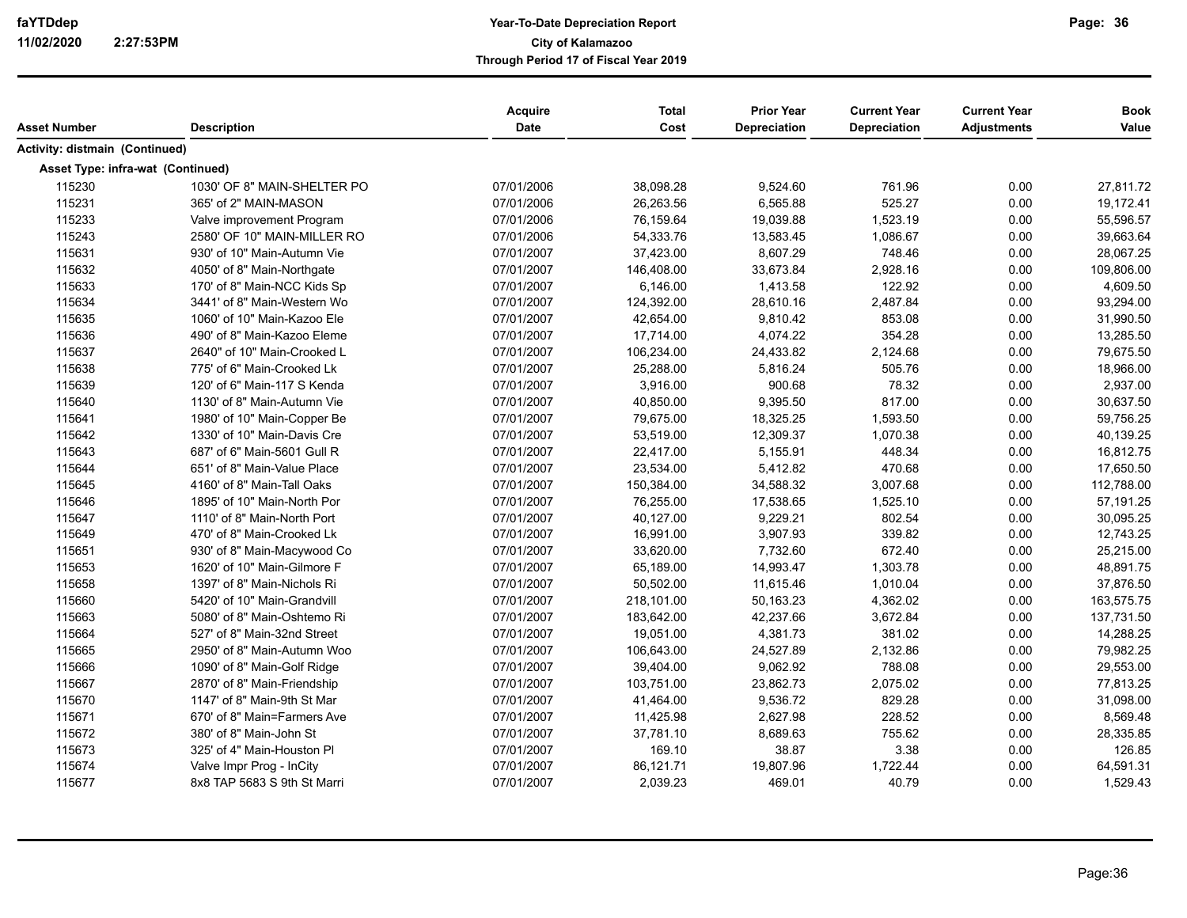| Asset Number                          | <b>Description</b>          | Acquire<br>Date | <b>Total</b><br>Cost | <b>Prior Year</b><br>Depreciation | <b>Current Year</b><br><b>Depreciation</b> | <b>Current Year</b><br><b>Adjustments</b> | <b>Book</b><br>Value |
|---------------------------------------|-----------------------------|-----------------|----------------------|-----------------------------------|--------------------------------------------|-------------------------------------------|----------------------|
| <b>Activity: distmain (Continued)</b> |                             |                 |                      |                                   |                                            |                                           |                      |
| Asset Type: infra-wat (Continued)     |                             |                 |                      |                                   |                                            |                                           |                      |
| 115230                                | 1030' OF 8" MAIN-SHELTER PO | 07/01/2006      | 38,098.28            | 9,524.60                          | 761.96                                     | 0.00                                      | 27,811.72            |
| 115231                                | 365' of 2" MAIN-MASON       | 07/01/2006      | 26.263.56            | 6.565.88                          | 525.27                                     | 0.00                                      | 19,172.41            |
| 115233                                | Valve improvement Program   | 07/01/2006      | 76,159.64            | 19,039.88                         | 1,523.19                                   | 0.00                                      | 55,596.57            |
| 115243                                | 2580' OF 10" MAIN-MILLER RO | 07/01/2006      | 54,333.76            | 13,583.45                         | 1,086.67                                   | 0.00                                      | 39,663.64            |
| 115631                                | 930' of 10" Main-Autumn Vie | 07/01/2007      | 37,423.00            | 8,607.29                          | 748.46                                     | 0.00                                      | 28,067.25            |
| 115632                                | 4050' of 8" Main-Northgate  | 07/01/2007      | 146,408.00           | 33,673.84                         | 2,928.16                                   | 0.00                                      | 109,806.00           |
| 115633                                | 170' of 8" Main-NCC Kids Sp | 07/01/2007      | 6,146.00             | 1,413.58                          | 122.92                                     | 0.00                                      | 4,609.50             |
| 115634                                | 3441' of 8" Main-Western Wo | 07/01/2007      | 124,392.00           | 28,610.16                         | 2,487.84                                   | 0.00                                      | 93,294.00            |
| 115635                                | 1060' of 10" Main-Kazoo Ele | 07/01/2007      | 42,654.00            | 9,810.42                          | 853.08                                     | 0.00                                      | 31,990.50            |
| 115636                                | 490' of 8" Main-Kazoo Eleme | 07/01/2007      | 17,714.00            | 4,074.22                          | 354.28                                     | 0.00                                      | 13,285.50            |
| 115637                                | 2640" of 10" Main-Crooked L | 07/01/2007      | 106,234.00           | 24,433.82                         | 2,124.68                                   | 0.00                                      | 79,675.50            |
| 115638                                | 775' of 6" Main-Crooked Lk  | 07/01/2007      | 25,288.00            | 5,816.24                          | 505.76                                     | 0.00                                      | 18,966.00            |
| 115639                                | 120' of 6" Main-117 S Kenda | 07/01/2007      | 3,916.00             | 900.68                            | 78.32                                      | 0.00                                      | 2,937.00             |
| 115640                                | 1130' of 8" Main-Autumn Vie | 07/01/2007      | 40,850.00            | 9,395.50                          | 817.00                                     | 0.00                                      | 30,637.50            |
| 115641                                | 1980' of 10" Main-Copper Be | 07/01/2007      | 79,675.00            | 18,325.25                         | 1,593.50                                   | 0.00                                      | 59,756.25            |
| 115642                                | 1330' of 10" Main-Davis Cre | 07/01/2007      | 53,519.00            | 12,309.37                         | 1,070.38                                   | 0.00                                      | 40,139.25            |
| 115643                                | 687' of 6" Main-5601 Gull R | 07/01/2007      | 22,417.00            | 5,155.91                          | 448.34                                     | 0.00                                      | 16,812.75            |
| 115644                                | 651' of 8" Main-Value Place | 07/01/2007      | 23,534.00            | 5,412.82                          | 470.68                                     | 0.00                                      | 17,650.50            |
| 115645                                | 4160' of 8" Main-Tall Oaks  | 07/01/2007      | 150,384.00           | 34,588.32                         | 3,007.68                                   | 0.00                                      | 112,788.00           |
| 115646                                | 1895' of 10" Main-North Por | 07/01/2007      | 76,255.00            | 17,538.65                         | 1,525.10                                   | 0.00                                      | 57,191.25            |
| 115647                                | 1110' of 8" Main-North Port | 07/01/2007      | 40,127.00            | 9,229.21                          | 802.54                                     | 0.00                                      | 30,095.25            |
| 115649                                | 470' of 8" Main-Crooked Lk  | 07/01/2007      | 16,991.00            | 3,907.93                          | 339.82                                     | 0.00                                      | 12,743.25            |
| 115651                                | 930' of 8" Main-Macywood Co | 07/01/2007      | 33,620.00            | 7,732.60                          | 672.40                                     | 0.00                                      | 25,215.00            |
| 115653                                | 1620' of 10" Main-Gilmore F | 07/01/2007      | 65,189.00            | 14,993.47                         | 1,303.78                                   | 0.00                                      | 48,891.75            |
| 115658                                | 1397' of 8" Main-Nichols Ri | 07/01/2007      | 50,502.00            | 11,615.46                         | 1,010.04                                   | 0.00                                      | 37,876.50            |
| 115660                                | 5420' of 10" Main-Grandvill | 07/01/2007      | 218,101.00           | 50,163.23                         | 4,362.02                                   | 0.00                                      | 163,575.75           |
| 115663                                | 5080' of 8" Main-Oshtemo Ri | 07/01/2007      | 183,642.00           | 42,237.66                         | 3,672.84                                   | 0.00                                      | 137,731.50           |
| 115664                                | 527' of 8" Main-32nd Street | 07/01/2007      | 19,051.00            | 4,381.73                          | 381.02                                     | 0.00                                      | 14,288.25            |
| 115665                                | 2950' of 8" Main-Autumn Woo | 07/01/2007      | 106,643.00           | 24,527.89                         | 2,132.86                                   | 0.00                                      | 79,982.25            |
| 115666                                | 1090' of 8" Main-Golf Ridge | 07/01/2007      | 39,404.00            | 9,062.92                          | 788.08                                     | 0.00                                      | 29,553.00            |
| 115667                                | 2870' of 8" Main-Friendship | 07/01/2007      | 103,751.00           | 23,862.73                         | 2,075.02                                   | 0.00                                      | 77,813.25            |
| 115670                                | 1147' of 8" Main-9th St Mar | 07/01/2007      | 41,464.00            | 9,536.72                          | 829.28                                     | 0.00                                      | 31,098.00            |
| 115671                                | 670' of 8" Main=Farmers Ave | 07/01/2007      | 11,425.98            | 2,627.98                          | 228.52                                     | 0.00                                      | 8,569.48             |
| 115672                                | 380' of 8" Main-John St     | 07/01/2007      | 37,781.10            | 8,689.63                          | 755.62                                     | 0.00                                      | 28,335.85            |
| 115673                                | 325' of 4" Main-Houston Pl  | 07/01/2007      | 169.10               | 38.87                             | 3.38                                       | 0.00                                      | 126.85               |
| 115674                                | Valve Impr Prog - InCity    | 07/01/2007      | 86,121.71            | 19,807.96                         | 1,722.44                                   | 0.00                                      | 64,591.31            |
| 115677                                | 8x8 TAP 5683 S 9th St Marri | 07/01/2007      | 2,039.23             | 469.01                            | 40.79                                      | 0.00                                      | 1,529.43             |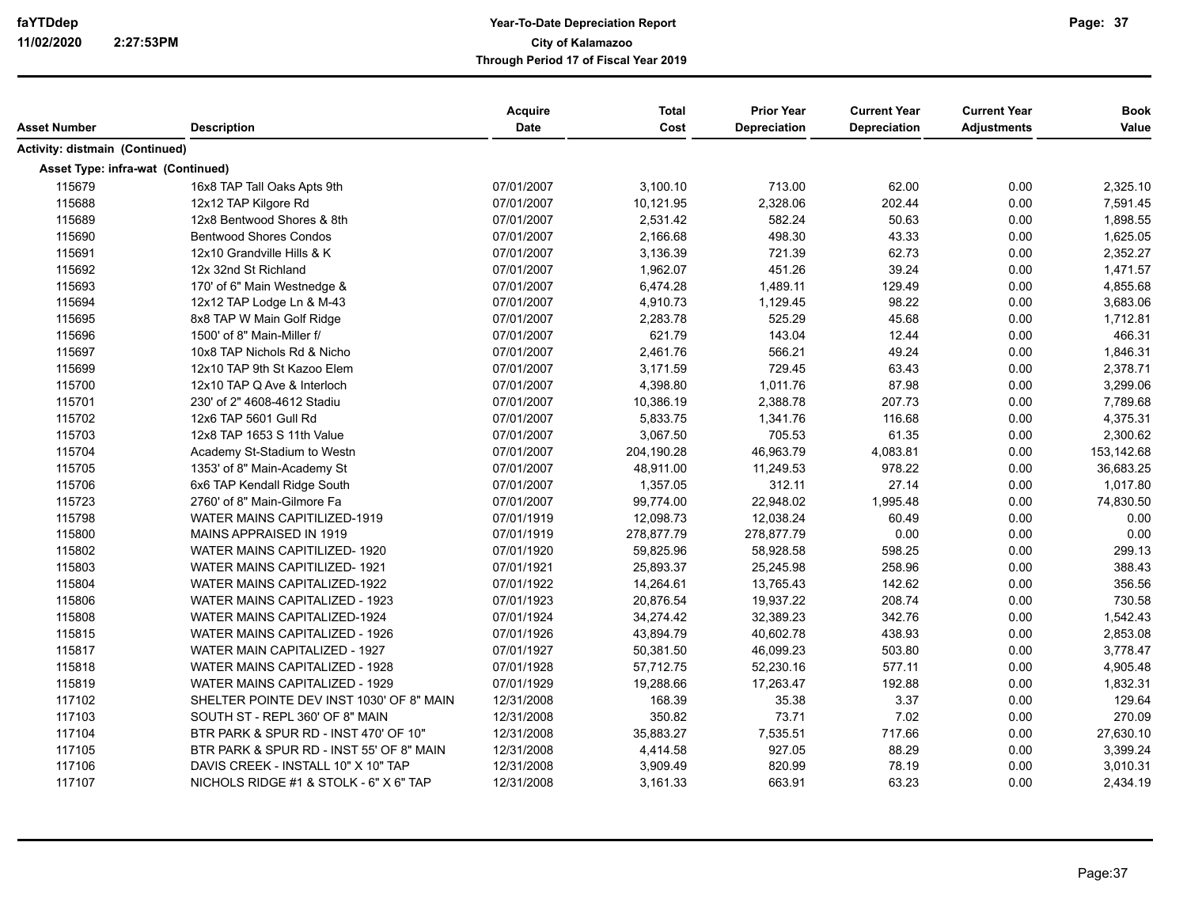|                                       |                                          | Acquire     | <b>Total</b> | <b>Prior Year</b>   | <b>Current Year</b> | <b>Current Year</b> | <b>Book</b> |
|---------------------------------------|------------------------------------------|-------------|--------------|---------------------|---------------------|---------------------|-------------|
| <b>Asset Number</b>                   | <b>Description</b>                       | <b>Date</b> | Cost         | <b>Depreciation</b> | Depreciation        | <b>Adjustments</b>  | Value       |
| <b>Activity: distmain (Continued)</b> |                                          |             |              |                     |                     |                     |             |
| Asset Type: infra-wat (Continued)     |                                          |             |              |                     |                     |                     |             |
| 115679                                | 16x8 TAP Tall Oaks Apts 9th              | 07/01/2007  | 3,100.10     | 713.00              | 62.00               | 0.00                | 2,325.10    |
| 115688                                | 12x12 TAP Kilgore Rd                     | 07/01/2007  | 10,121.95    | 2,328.06            | 202.44              | 0.00                | 7,591.45    |
| 115689                                | 12x8 Bentwood Shores & 8th               | 07/01/2007  | 2,531.42     | 582.24              | 50.63               | 0.00                | 1,898.55    |
| 115690                                | <b>Bentwood Shores Condos</b>            | 07/01/2007  | 2,166.68     | 498.30              | 43.33               | 0.00                | 1,625.05    |
| 115691                                | 12x10 Grandville Hills & K               | 07/01/2007  | 3,136.39     | 721.39              | 62.73               | 0.00                | 2,352.27    |
| 115692                                | 12x 32nd St Richland                     | 07/01/2007  | 1,962.07     | 451.26              | 39.24               | 0.00                | 1,471.57    |
| 115693                                | 170' of 6" Main Westnedge &              | 07/01/2007  | 6,474.28     | 1,489.11            | 129.49              | 0.00                | 4,855.68    |
| 115694                                | 12x12 TAP Lodge Ln & M-43                | 07/01/2007  | 4,910.73     | 1,129.45            | 98.22               | 0.00                | 3,683.06    |
| 115695                                | 8x8 TAP W Main Golf Ridge                | 07/01/2007  | 2,283.78     | 525.29              | 45.68               | 0.00                | 1,712.81    |
| 115696                                | 1500' of 8" Main-Miller f/               | 07/01/2007  | 621.79       | 143.04              | 12.44               | 0.00                | 466.31      |
| 115697                                | 10x8 TAP Nichols Rd & Nicho              | 07/01/2007  | 2,461.76     | 566.21              | 49.24               | 0.00                | 1,846.31    |
| 115699                                | 12x10 TAP 9th St Kazoo Elem              | 07/01/2007  | 3,171.59     | 729.45              | 63.43               | 0.00                | 2,378.71    |
| 115700                                | 12x10 TAP Q Ave & Interloch              | 07/01/2007  | 4,398.80     | 1,011.76            | 87.98               | 0.00                | 3,299.06    |
| 115701                                | 230' of 2" 4608-4612 Stadiu              | 07/01/2007  | 10,386.19    | 2,388.78            | 207.73              | 0.00                | 7,789.68    |
| 115702                                | 12x6 TAP 5601 Gull Rd                    | 07/01/2007  | 5,833.75     | 1,341.76            | 116.68              | 0.00                | 4,375.31    |
| 115703                                | 12x8 TAP 1653 S 11th Value               | 07/01/2007  | 3,067.50     | 705.53              | 61.35               | 0.00                | 2,300.62    |
| 115704                                | Academy St-Stadium to Westn              | 07/01/2007  | 204,190.28   | 46,963.79           | 4,083.81            | 0.00                | 153,142.68  |
| 115705                                | 1353' of 8" Main-Academy St              | 07/01/2007  | 48,911.00    | 11,249.53           | 978.22              | 0.00                | 36,683.25   |
| 115706                                | 6x6 TAP Kendall Ridge South              | 07/01/2007  | 1,357.05     | 312.11              | 27.14               | 0.00                | 1,017.80    |
| 115723                                | 2760' of 8" Main-Gilmore Fa              | 07/01/2007  | 99,774.00    | 22,948.02           | 1,995.48            | 0.00                | 74,830.50   |
| 115798                                | WATER MAINS CAPITILIZED-1919             | 07/01/1919  | 12,098.73    | 12,038.24           | 60.49               | 0.00                | 0.00        |
| 115800                                | MAINS APPRAISED IN 1919                  | 07/01/1919  | 278,877.79   | 278,877.79          | 0.00                | 0.00                | 0.00        |
| 115802                                | WATER MAINS CAPITILIZED-1920             | 07/01/1920  | 59,825.96    | 58,928.58           | 598.25              | 0.00                | 299.13      |
| 115803                                | <b>WATER MAINS CAPITILIZED-1921</b>      | 07/01/1921  | 25,893.37    | 25,245.98           | 258.96              | 0.00                | 388.43      |
| 115804                                | WATER MAINS CAPITALIZED-1922             | 07/01/1922  | 14,264.61    | 13,765.43           | 142.62              | 0.00                | 356.56      |
| 115806                                | WATER MAINS CAPITALIZED - 1923           | 07/01/1923  | 20,876.54    | 19,937.22           | 208.74              | 0.00                | 730.58      |
| 115808                                | WATER MAINS CAPITALIZED-1924             | 07/01/1924  | 34,274.42    | 32,389.23           | 342.76              | 0.00                | 1,542.43    |
| 115815                                | WATER MAINS CAPITALIZED - 1926           | 07/01/1926  | 43,894.79    | 40,602.78           | 438.93              | 0.00                | 2,853.08    |
| 115817                                | WATER MAIN CAPITALIZED - 1927            | 07/01/1927  | 50,381.50    | 46,099.23           | 503.80              | 0.00                | 3,778.47    |
| 115818                                | WATER MAINS CAPITALIZED - 1928           | 07/01/1928  | 57,712.75    | 52,230.16           | 577.11              | 0.00                | 4,905.48    |
| 115819                                | WATER MAINS CAPITALIZED - 1929           | 07/01/1929  | 19,288.66    | 17,263.47           | 192.88              | 0.00                | 1,832.31    |
| 117102                                | SHELTER POINTE DEV INST 1030' OF 8" MAIN | 12/31/2008  | 168.39       | 35.38               | 3.37                | 0.00                | 129.64      |
| 117103                                | SOUTH ST - REPL 360' OF 8" MAIN          | 12/31/2008  | 350.82       | 73.71               | 7.02                | 0.00                | 270.09      |
| 117104                                | BTR PARK & SPUR RD - INST 470' OF 10"    | 12/31/2008  | 35,883.27    | 7,535.51            | 717.66              | 0.00                | 27,630.10   |
| 117105                                | BTR PARK & SPUR RD - INST 55' OF 8" MAIN | 12/31/2008  | 4,414.58     | 927.05              | 88.29               | 0.00                | 3,399.24    |
| 117106                                | DAVIS CREEK - INSTALL 10" X 10" TAP      | 12/31/2008  | 3,909.49     | 820.99              | 78.19               | 0.00                | 3,010.31    |
| 117107                                | NICHOLS RIDGE #1 & STOLK - 6" X 6" TAP   | 12/31/2008  | 3,161.33     | 663.91              | 63.23               | 0.00                | 2,434.19    |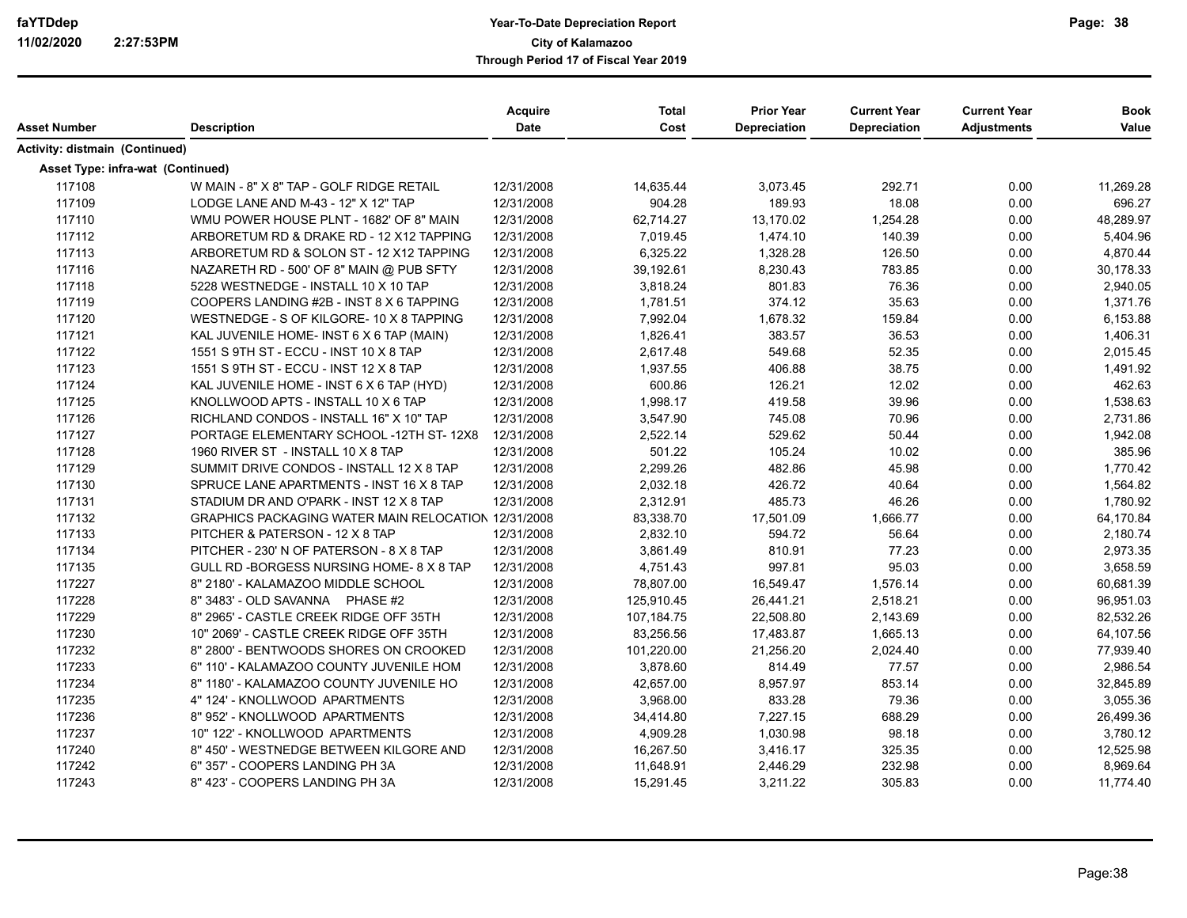| Asset Number<br><b>Description</b><br>Activity: distmain (Continued)<br><b>Asset Type: infra-wat (Continued)</b><br>117108<br>12/31/2008<br>14,635.44<br>3,073.45<br>292.71<br>0.00<br>11,269.28<br>W MAIN - 8" X 8" TAP - GOLF RIDGE RETAIL<br>117109<br>904.28<br>189.93<br>18.08<br>LODGE LANE AND M-43 - 12" X 12" TAP<br>12/31/2008<br>0.00<br>696.27<br>117110<br>12/31/2008<br>62,714.27<br>13,170.02<br>1,254.28<br>0.00<br>48,289.97<br>WMU POWER HOUSE PLNT - 1682' OF 8" MAIN<br>117112<br>12/31/2008<br>7,019.45<br>140.39<br>0.00<br>ARBORETUM RD & DRAKE RD - 12 X12 TAPPING<br>1,474.10<br>5,404.96<br>117113<br>ARBORETUM RD & SOLON ST - 12 X12 TAPPING<br>12/31/2008<br>6,325.22<br>1,328.28<br>126.50<br>0.00<br>4,870.44<br>117116<br>39,192.61<br>783.85<br>NAZARETH RD - 500' OF 8" MAIN @ PUB SFTY<br>12/31/2008<br>8,230.43<br>0.00<br>30,178.33<br>117118<br>12/31/2008<br>3,818.24<br>801.83<br>76.36<br>0.00<br>5228 WESTNEDGE - INSTALL 10 X 10 TAP<br>2,940.05<br>117119<br>12/31/2008<br>1,781.51<br>374.12<br>35.63<br>0.00<br>1,371.76<br>COOPERS LANDING #2B - INST 8 X 6 TAPPING<br>117120<br>1,678.32<br>159.84<br>0.00<br>WESTNEDGE - S OF KILGORE- 10 X 8 TAPPING<br>12/31/2008<br>7,992.04<br>6,153.88<br>383.57<br>36.53<br>117121<br>12/31/2008<br>1,826.41<br>0.00<br>1,406.31<br>KAL JUVENILE HOME- INST 6 X 6 TAP (MAIN)<br>117122<br>12/31/2008<br>2,617.48<br>549.68<br>52.35<br>0.00<br>2,015.45<br>1551 S 9TH ST - ECCU - INST 10 X 8 TAP<br>117123<br>38.75<br>0.00<br>1551 S 9TH ST - ECCU - INST 12 X 8 TAP<br>12/31/2008<br>1,937.55<br>406.88<br>1,491.92<br>117124<br>0.00<br>KAL JUVENILE HOME - INST 6 X 6 TAP (HYD)<br>12/31/2008<br>600.86<br>126.21<br>12.02<br>462.63<br>117125<br>12/31/2008<br>1,998.17<br>419.58<br>39.96<br>0.00<br>1,538.63<br>KNOLLWOOD APTS - INSTALL 10 X 6 TAP<br>117126<br>RICHLAND CONDOS - INSTALL 16" X 10" TAP<br>12/31/2008<br>3,547.90<br>745.08<br>70.96<br>0.00<br>2,731.86<br>117127<br>PORTAGE ELEMENTARY SCHOOL -12TH ST-12X8<br>12/31/2008<br>2,522.14<br>529.62<br>50.44<br>0.00<br>1,942.08<br>117128<br>1960 RIVER ST - INSTALL 10 X 8 TAP<br>12/31/2008<br>501.22<br>105.24<br>10.02<br>0.00<br>385.96<br>117129<br>12/31/2008<br>2,299.26<br>482.86<br>45.98<br>0.00<br>1,770.42<br>SUMMIT DRIVE CONDOS - INSTALL 12 X 8 TAP<br>117130<br>12/31/2008<br>2,032.18<br>426.72<br>40.64<br>0.00<br>SPRUCE LANE APARTMENTS - INST 16 X 8 TAP<br>1,564.82<br>117131<br>STADIUM DR AND O'PARK - INST 12 X 8 TAP<br>12/31/2008<br>2,312.91<br>485.73<br>46.26<br>0.00<br>1,780.92<br>17,501.09<br>1,666.77<br>117132<br>GRAPHICS PACKAGING WATER MAIN RELOCATION 12/31/2008<br>83,338.70<br>0.00<br>64,170.84<br>117133<br>2,832.10<br>56.64<br>0.00<br>PITCHER & PATERSON - 12 X 8 TAP<br>12/31/2008<br>594.72<br>2,180.74<br>117134<br>12/31/2008<br>3,861.49<br>810.91<br>77.23<br>0.00<br>2,973.35<br>PITCHER - 230' N OF PATERSON - 8 X 8 TAP<br>117135<br>12/31/2008<br>4,751.43<br>997.81<br>95.03<br>0.00<br>3,658.59<br>GULL RD -BORGESS NURSING HOME- 8 X 8 TAP<br>117227<br>8" 2180' - KALAMAZOO MIDDLE SCHOOL<br>12/31/2008<br>78,807.00<br>16,549.47<br>1,576.14<br>0.00<br>60,681.39<br>117228<br>8" 3483' - OLD SAVANNA PHASE #2<br>12/31/2008<br>125,910.45<br>26,441.21<br>2,518.21<br>0.00<br>96,951.03<br>117229<br>8" 2965' - CASTLE CREEK RIDGE OFF 35TH<br>12/31/2008<br>107,184.75<br>22,508.80<br>2,143.69<br>0.00<br>82,532.26<br>117230<br>1,665.13<br>10" 2069' - CASTLE CREEK RIDGE OFF 35TH<br>12/31/2008<br>83,256.56<br>17,483.87<br>0.00<br>64,107.56<br>117232<br>12/31/2008<br>101,220.00<br>2,024.40<br>0.00<br>8" 2800' - BENTWOODS SHORES ON CROOKED<br>21,256.20<br>77,939.40<br>117233<br>6" 110' - KALAMAZOO COUNTY JUVENILE HOM<br>12/31/2008<br>3,878.60<br>814.49<br>77.57<br>0.00<br>2,986.54<br>117234<br>853.14<br>8" 1180' - KALAMAZOO COUNTY JUVENILE HO<br>12/31/2008<br>42,657.00<br>8,957.97<br>0.00<br>32,845.89<br>117235<br>833.28<br>79.36<br>4" 124' - KNOLLWOOD APARTMENTS<br>12/31/2008<br>3,968.00<br>0.00<br>3,055.36<br>117236<br>8" 952' - KNOLLWOOD APARTMENTS<br>12/31/2008<br>7,227.15<br>688.29<br>0.00<br>34,414.80<br>26,499.36<br>117237<br>12/31/2008<br>1,030.98<br>98.18<br>0.00<br>10" 122' - KNOLLWOOD APARTMENTS<br>4,909.28<br>3,780.12<br>117240<br>8" 450' - WESTNEDGE BETWEEN KILGORE AND<br>12/31/2008<br>16,267.50<br>3,416.17<br>325.35<br>0.00<br>12,525.98<br>117242<br>232.98<br>6" 357' - COOPERS LANDING PH 3A<br>12/31/2008<br>11,648.91<br>2,446.29<br>0.00<br>8,969.64<br>117243<br>305.83<br>0.00<br>8" 423' - COOPERS LANDING PH 3A<br>12/31/2008<br>15,291.45<br>3,211.22<br>11,774.40 |  | <b>Acquire</b> | <b>Total</b> | <b>Prior Year</b>   | <b>Current Year</b> | <b>Current Year</b> | <b>Book</b> |
|-----------------------------------------------------------------------------------------------------------------------------------------------------------------------------------------------------------------------------------------------------------------------------------------------------------------------------------------------------------------------------------------------------------------------------------------------------------------------------------------------------------------------------------------------------------------------------------------------------------------------------------------------------------------------------------------------------------------------------------------------------------------------------------------------------------------------------------------------------------------------------------------------------------------------------------------------------------------------------------------------------------------------------------------------------------------------------------------------------------------------------------------------------------------------------------------------------------------------------------------------------------------------------------------------------------------------------------------------------------------------------------------------------------------------------------------------------------------------------------------------------------------------------------------------------------------------------------------------------------------------------------------------------------------------------------------------------------------------------------------------------------------------------------------------------------------------------------------------------------------------------------------------------------------------------------------------------------------------------------------------------------------------------------------------------------------------------------------------------------------------------------------------------------------------------------------------------------------------------------------------------------------------------------------------------------------------------------------------------------------------------------------------------------------------------------------------------------------------------------------------------------------------------------------------------------------------------------------------------------------------------------------------------------------------------------------------------------------------------------------------------------------------------------------------------------------------------------------------------------------------------------------------------------------------------------------------------------------------------------------------------------------------------------------------------------------------------------------------------------------------------------------------------------------------------------------------------------------------------------------------------------------------------------------------------------------------------------------------------------------------------------------------------------------------------------------------------------------------------------------------------------------------------------------------------------------------------------------------------------------------------------------------------------------------------------------------------------------------------------------------------------------------------------------------------------------------------------------------------------------------------------------------------------------------------------------------------------------------------------------------------------------------------------------------------------------------------------------------------------------------------------------------------------------------------------------------------------------------------------------------------------------------------------------------------------------------------------------------------------------------------------------------------------------------------------------------------------------------------------------------------------------------------------------------------------------------------------------------------------------------------------------------------------------------------------|--|----------------|--------------|---------------------|---------------------|---------------------|-------------|
|                                                                                                                                                                                                                                                                                                                                                                                                                                                                                                                                                                                                                                                                                                                                                                                                                                                                                                                                                                                                                                                                                                                                                                                                                                                                                                                                                                                                                                                                                                                                                                                                                                                                                                                                                                                                                                                                                                                                                                                                                                                                                                                                                                                                                                                                                                                                                                                                                                                                                                                                                                                                                                                                                                                                                                                                                                                                                                                                                                                                                                                                                                                                                                                                                                                                                                                                                                                                                                                                                                                                                                                                                                                                                                                                                                                                                                                                                                                                                                                                                                                                                                                                                                                                                                                                                                                                                                                                                                                                                                                                                                                                                                                                                   |  | Date           | Cost         | <b>Depreciation</b> | Depreciation        | <b>Adjustments</b>  | Value       |
|                                                                                                                                                                                                                                                                                                                                                                                                                                                                                                                                                                                                                                                                                                                                                                                                                                                                                                                                                                                                                                                                                                                                                                                                                                                                                                                                                                                                                                                                                                                                                                                                                                                                                                                                                                                                                                                                                                                                                                                                                                                                                                                                                                                                                                                                                                                                                                                                                                                                                                                                                                                                                                                                                                                                                                                                                                                                                                                                                                                                                                                                                                                                                                                                                                                                                                                                                                                                                                                                                                                                                                                                                                                                                                                                                                                                                                                                                                                                                                                                                                                                                                                                                                                                                                                                                                                                                                                                                                                                                                                                                                                                                                                                                   |  |                |              |                     |                     |                     |             |
|                                                                                                                                                                                                                                                                                                                                                                                                                                                                                                                                                                                                                                                                                                                                                                                                                                                                                                                                                                                                                                                                                                                                                                                                                                                                                                                                                                                                                                                                                                                                                                                                                                                                                                                                                                                                                                                                                                                                                                                                                                                                                                                                                                                                                                                                                                                                                                                                                                                                                                                                                                                                                                                                                                                                                                                                                                                                                                                                                                                                                                                                                                                                                                                                                                                                                                                                                                                                                                                                                                                                                                                                                                                                                                                                                                                                                                                                                                                                                                                                                                                                                                                                                                                                                                                                                                                                                                                                                                                                                                                                                                                                                                                                                   |  |                |              |                     |                     |                     |             |
|                                                                                                                                                                                                                                                                                                                                                                                                                                                                                                                                                                                                                                                                                                                                                                                                                                                                                                                                                                                                                                                                                                                                                                                                                                                                                                                                                                                                                                                                                                                                                                                                                                                                                                                                                                                                                                                                                                                                                                                                                                                                                                                                                                                                                                                                                                                                                                                                                                                                                                                                                                                                                                                                                                                                                                                                                                                                                                                                                                                                                                                                                                                                                                                                                                                                                                                                                                                                                                                                                                                                                                                                                                                                                                                                                                                                                                                                                                                                                                                                                                                                                                                                                                                                                                                                                                                                                                                                                                                                                                                                                                                                                                                                                   |  |                |              |                     |                     |                     |             |
|                                                                                                                                                                                                                                                                                                                                                                                                                                                                                                                                                                                                                                                                                                                                                                                                                                                                                                                                                                                                                                                                                                                                                                                                                                                                                                                                                                                                                                                                                                                                                                                                                                                                                                                                                                                                                                                                                                                                                                                                                                                                                                                                                                                                                                                                                                                                                                                                                                                                                                                                                                                                                                                                                                                                                                                                                                                                                                                                                                                                                                                                                                                                                                                                                                                                                                                                                                                                                                                                                                                                                                                                                                                                                                                                                                                                                                                                                                                                                                                                                                                                                                                                                                                                                                                                                                                                                                                                                                                                                                                                                                                                                                                                                   |  |                |              |                     |                     |                     |             |
|                                                                                                                                                                                                                                                                                                                                                                                                                                                                                                                                                                                                                                                                                                                                                                                                                                                                                                                                                                                                                                                                                                                                                                                                                                                                                                                                                                                                                                                                                                                                                                                                                                                                                                                                                                                                                                                                                                                                                                                                                                                                                                                                                                                                                                                                                                                                                                                                                                                                                                                                                                                                                                                                                                                                                                                                                                                                                                                                                                                                                                                                                                                                                                                                                                                                                                                                                                                                                                                                                                                                                                                                                                                                                                                                                                                                                                                                                                                                                                                                                                                                                                                                                                                                                                                                                                                                                                                                                                                                                                                                                                                                                                                                                   |  |                |              |                     |                     |                     |             |
|                                                                                                                                                                                                                                                                                                                                                                                                                                                                                                                                                                                                                                                                                                                                                                                                                                                                                                                                                                                                                                                                                                                                                                                                                                                                                                                                                                                                                                                                                                                                                                                                                                                                                                                                                                                                                                                                                                                                                                                                                                                                                                                                                                                                                                                                                                                                                                                                                                                                                                                                                                                                                                                                                                                                                                                                                                                                                                                                                                                                                                                                                                                                                                                                                                                                                                                                                                                                                                                                                                                                                                                                                                                                                                                                                                                                                                                                                                                                                                                                                                                                                                                                                                                                                                                                                                                                                                                                                                                                                                                                                                                                                                                                                   |  |                |              |                     |                     |                     |             |
|                                                                                                                                                                                                                                                                                                                                                                                                                                                                                                                                                                                                                                                                                                                                                                                                                                                                                                                                                                                                                                                                                                                                                                                                                                                                                                                                                                                                                                                                                                                                                                                                                                                                                                                                                                                                                                                                                                                                                                                                                                                                                                                                                                                                                                                                                                                                                                                                                                                                                                                                                                                                                                                                                                                                                                                                                                                                                                                                                                                                                                                                                                                                                                                                                                                                                                                                                                                                                                                                                                                                                                                                                                                                                                                                                                                                                                                                                                                                                                                                                                                                                                                                                                                                                                                                                                                                                                                                                                                                                                                                                                                                                                                                                   |  |                |              |                     |                     |                     |             |
|                                                                                                                                                                                                                                                                                                                                                                                                                                                                                                                                                                                                                                                                                                                                                                                                                                                                                                                                                                                                                                                                                                                                                                                                                                                                                                                                                                                                                                                                                                                                                                                                                                                                                                                                                                                                                                                                                                                                                                                                                                                                                                                                                                                                                                                                                                                                                                                                                                                                                                                                                                                                                                                                                                                                                                                                                                                                                                                                                                                                                                                                                                                                                                                                                                                                                                                                                                                                                                                                                                                                                                                                                                                                                                                                                                                                                                                                                                                                                                                                                                                                                                                                                                                                                                                                                                                                                                                                                                                                                                                                                                                                                                                                                   |  |                |              |                     |                     |                     |             |
|                                                                                                                                                                                                                                                                                                                                                                                                                                                                                                                                                                                                                                                                                                                                                                                                                                                                                                                                                                                                                                                                                                                                                                                                                                                                                                                                                                                                                                                                                                                                                                                                                                                                                                                                                                                                                                                                                                                                                                                                                                                                                                                                                                                                                                                                                                                                                                                                                                                                                                                                                                                                                                                                                                                                                                                                                                                                                                                                                                                                                                                                                                                                                                                                                                                                                                                                                                                                                                                                                                                                                                                                                                                                                                                                                                                                                                                                                                                                                                                                                                                                                                                                                                                                                                                                                                                                                                                                                                                                                                                                                                                                                                                                                   |  |                |              |                     |                     |                     |             |
|                                                                                                                                                                                                                                                                                                                                                                                                                                                                                                                                                                                                                                                                                                                                                                                                                                                                                                                                                                                                                                                                                                                                                                                                                                                                                                                                                                                                                                                                                                                                                                                                                                                                                                                                                                                                                                                                                                                                                                                                                                                                                                                                                                                                                                                                                                                                                                                                                                                                                                                                                                                                                                                                                                                                                                                                                                                                                                                                                                                                                                                                                                                                                                                                                                                                                                                                                                                                                                                                                                                                                                                                                                                                                                                                                                                                                                                                                                                                                                                                                                                                                                                                                                                                                                                                                                                                                                                                                                                                                                                                                                                                                                                                                   |  |                |              |                     |                     |                     |             |
|                                                                                                                                                                                                                                                                                                                                                                                                                                                                                                                                                                                                                                                                                                                                                                                                                                                                                                                                                                                                                                                                                                                                                                                                                                                                                                                                                                                                                                                                                                                                                                                                                                                                                                                                                                                                                                                                                                                                                                                                                                                                                                                                                                                                                                                                                                                                                                                                                                                                                                                                                                                                                                                                                                                                                                                                                                                                                                                                                                                                                                                                                                                                                                                                                                                                                                                                                                                                                                                                                                                                                                                                                                                                                                                                                                                                                                                                                                                                                                                                                                                                                                                                                                                                                                                                                                                                                                                                                                                                                                                                                                                                                                                                                   |  |                |              |                     |                     |                     |             |
|                                                                                                                                                                                                                                                                                                                                                                                                                                                                                                                                                                                                                                                                                                                                                                                                                                                                                                                                                                                                                                                                                                                                                                                                                                                                                                                                                                                                                                                                                                                                                                                                                                                                                                                                                                                                                                                                                                                                                                                                                                                                                                                                                                                                                                                                                                                                                                                                                                                                                                                                                                                                                                                                                                                                                                                                                                                                                                                                                                                                                                                                                                                                                                                                                                                                                                                                                                                                                                                                                                                                                                                                                                                                                                                                                                                                                                                                                                                                                                                                                                                                                                                                                                                                                                                                                                                                                                                                                                                                                                                                                                                                                                                                                   |  |                |              |                     |                     |                     |             |
|                                                                                                                                                                                                                                                                                                                                                                                                                                                                                                                                                                                                                                                                                                                                                                                                                                                                                                                                                                                                                                                                                                                                                                                                                                                                                                                                                                                                                                                                                                                                                                                                                                                                                                                                                                                                                                                                                                                                                                                                                                                                                                                                                                                                                                                                                                                                                                                                                                                                                                                                                                                                                                                                                                                                                                                                                                                                                                                                                                                                                                                                                                                                                                                                                                                                                                                                                                                                                                                                                                                                                                                                                                                                                                                                                                                                                                                                                                                                                                                                                                                                                                                                                                                                                                                                                                                                                                                                                                                                                                                                                                                                                                                                                   |  |                |              |                     |                     |                     |             |
|                                                                                                                                                                                                                                                                                                                                                                                                                                                                                                                                                                                                                                                                                                                                                                                                                                                                                                                                                                                                                                                                                                                                                                                                                                                                                                                                                                                                                                                                                                                                                                                                                                                                                                                                                                                                                                                                                                                                                                                                                                                                                                                                                                                                                                                                                                                                                                                                                                                                                                                                                                                                                                                                                                                                                                                                                                                                                                                                                                                                                                                                                                                                                                                                                                                                                                                                                                                                                                                                                                                                                                                                                                                                                                                                                                                                                                                                                                                                                                                                                                                                                                                                                                                                                                                                                                                                                                                                                                                                                                                                                                                                                                                                                   |  |                |              |                     |                     |                     |             |
|                                                                                                                                                                                                                                                                                                                                                                                                                                                                                                                                                                                                                                                                                                                                                                                                                                                                                                                                                                                                                                                                                                                                                                                                                                                                                                                                                                                                                                                                                                                                                                                                                                                                                                                                                                                                                                                                                                                                                                                                                                                                                                                                                                                                                                                                                                                                                                                                                                                                                                                                                                                                                                                                                                                                                                                                                                                                                                                                                                                                                                                                                                                                                                                                                                                                                                                                                                                                                                                                                                                                                                                                                                                                                                                                                                                                                                                                                                                                                                                                                                                                                                                                                                                                                                                                                                                                                                                                                                                                                                                                                                                                                                                                                   |  |                |              |                     |                     |                     |             |
|                                                                                                                                                                                                                                                                                                                                                                                                                                                                                                                                                                                                                                                                                                                                                                                                                                                                                                                                                                                                                                                                                                                                                                                                                                                                                                                                                                                                                                                                                                                                                                                                                                                                                                                                                                                                                                                                                                                                                                                                                                                                                                                                                                                                                                                                                                                                                                                                                                                                                                                                                                                                                                                                                                                                                                                                                                                                                                                                                                                                                                                                                                                                                                                                                                                                                                                                                                                                                                                                                                                                                                                                                                                                                                                                                                                                                                                                                                                                                                                                                                                                                                                                                                                                                                                                                                                                                                                                                                                                                                                                                                                                                                                                                   |  |                |              |                     |                     |                     |             |
|                                                                                                                                                                                                                                                                                                                                                                                                                                                                                                                                                                                                                                                                                                                                                                                                                                                                                                                                                                                                                                                                                                                                                                                                                                                                                                                                                                                                                                                                                                                                                                                                                                                                                                                                                                                                                                                                                                                                                                                                                                                                                                                                                                                                                                                                                                                                                                                                                                                                                                                                                                                                                                                                                                                                                                                                                                                                                                                                                                                                                                                                                                                                                                                                                                                                                                                                                                                                                                                                                                                                                                                                                                                                                                                                                                                                                                                                                                                                                                                                                                                                                                                                                                                                                                                                                                                                                                                                                                                                                                                                                                                                                                                                                   |  |                |              |                     |                     |                     |             |
|                                                                                                                                                                                                                                                                                                                                                                                                                                                                                                                                                                                                                                                                                                                                                                                                                                                                                                                                                                                                                                                                                                                                                                                                                                                                                                                                                                                                                                                                                                                                                                                                                                                                                                                                                                                                                                                                                                                                                                                                                                                                                                                                                                                                                                                                                                                                                                                                                                                                                                                                                                                                                                                                                                                                                                                                                                                                                                                                                                                                                                                                                                                                                                                                                                                                                                                                                                                                                                                                                                                                                                                                                                                                                                                                                                                                                                                                                                                                                                                                                                                                                                                                                                                                                                                                                                                                                                                                                                                                                                                                                                                                                                                                                   |  |                |              |                     |                     |                     |             |
|                                                                                                                                                                                                                                                                                                                                                                                                                                                                                                                                                                                                                                                                                                                                                                                                                                                                                                                                                                                                                                                                                                                                                                                                                                                                                                                                                                                                                                                                                                                                                                                                                                                                                                                                                                                                                                                                                                                                                                                                                                                                                                                                                                                                                                                                                                                                                                                                                                                                                                                                                                                                                                                                                                                                                                                                                                                                                                                                                                                                                                                                                                                                                                                                                                                                                                                                                                                                                                                                                                                                                                                                                                                                                                                                                                                                                                                                                                                                                                                                                                                                                                                                                                                                                                                                                                                                                                                                                                                                                                                                                                                                                                                                                   |  |                |              |                     |                     |                     |             |
|                                                                                                                                                                                                                                                                                                                                                                                                                                                                                                                                                                                                                                                                                                                                                                                                                                                                                                                                                                                                                                                                                                                                                                                                                                                                                                                                                                                                                                                                                                                                                                                                                                                                                                                                                                                                                                                                                                                                                                                                                                                                                                                                                                                                                                                                                                                                                                                                                                                                                                                                                                                                                                                                                                                                                                                                                                                                                                                                                                                                                                                                                                                                                                                                                                                                                                                                                                                                                                                                                                                                                                                                                                                                                                                                                                                                                                                                                                                                                                                                                                                                                                                                                                                                                                                                                                                                                                                                                                                                                                                                                                                                                                                                                   |  |                |              |                     |                     |                     |             |
|                                                                                                                                                                                                                                                                                                                                                                                                                                                                                                                                                                                                                                                                                                                                                                                                                                                                                                                                                                                                                                                                                                                                                                                                                                                                                                                                                                                                                                                                                                                                                                                                                                                                                                                                                                                                                                                                                                                                                                                                                                                                                                                                                                                                                                                                                                                                                                                                                                                                                                                                                                                                                                                                                                                                                                                                                                                                                                                                                                                                                                                                                                                                                                                                                                                                                                                                                                                                                                                                                                                                                                                                                                                                                                                                                                                                                                                                                                                                                                                                                                                                                                                                                                                                                                                                                                                                                                                                                                                                                                                                                                                                                                                                                   |  |                |              |                     |                     |                     |             |
|                                                                                                                                                                                                                                                                                                                                                                                                                                                                                                                                                                                                                                                                                                                                                                                                                                                                                                                                                                                                                                                                                                                                                                                                                                                                                                                                                                                                                                                                                                                                                                                                                                                                                                                                                                                                                                                                                                                                                                                                                                                                                                                                                                                                                                                                                                                                                                                                                                                                                                                                                                                                                                                                                                                                                                                                                                                                                                                                                                                                                                                                                                                                                                                                                                                                                                                                                                                                                                                                                                                                                                                                                                                                                                                                                                                                                                                                                                                                                                                                                                                                                                                                                                                                                                                                                                                                                                                                                                                                                                                                                                                                                                                                                   |  |                |              |                     |                     |                     |             |
|                                                                                                                                                                                                                                                                                                                                                                                                                                                                                                                                                                                                                                                                                                                                                                                                                                                                                                                                                                                                                                                                                                                                                                                                                                                                                                                                                                                                                                                                                                                                                                                                                                                                                                                                                                                                                                                                                                                                                                                                                                                                                                                                                                                                                                                                                                                                                                                                                                                                                                                                                                                                                                                                                                                                                                                                                                                                                                                                                                                                                                                                                                                                                                                                                                                                                                                                                                                                                                                                                                                                                                                                                                                                                                                                                                                                                                                                                                                                                                                                                                                                                                                                                                                                                                                                                                                                                                                                                                                                                                                                                                                                                                                                                   |  |                |              |                     |                     |                     |             |
|                                                                                                                                                                                                                                                                                                                                                                                                                                                                                                                                                                                                                                                                                                                                                                                                                                                                                                                                                                                                                                                                                                                                                                                                                                                                                                                                                                                                                                                                                                                                                                                                                                                                                                                                                                                                                                                                                                                                                                                                                                                                                                                                                                                                                                                                                                                                                                                                                                                                                                                                                                                                                                                                                                                                                                                                                                                                                                                                                                                                                                                                                                                                                                                                                                                                                                                                                                                                                                                                                                                                                                                                                                                                                                                                                                                                                                                                                                                                                                                                                                                                                                                                                                                                                                                                                                                                                                                                                                                                                                                                                                                                                                                                                   |  |                |              |                     |                     |                     |             |
|                                                                                                                                                                                                                                                                                                                                                                                                                                                                                                                                                                                                                                                                                                                                                                                                                                                                                                                                                                                                                                                                                                                                                                                                                                                                                                                                                                                                                                                                                                                                                                                                                                                                                                                                                                                                                                                                                                                                                                                                                                                                                                                                                                                                                                                                                                                                                                                                                                                                                                                                                                                                                                                                                                                                                                                                                                                                                                                                                                                                                                                                                                                                                                                                                                                                                                                                                                                                                                                                                                                                                                                                                                                                                                                                                                                                                                                                                                                                                                                                                                                                                                                                                                                                                                                                                                                                                                                                                                                                                                                                                                                                                                                                                   |  |                |              |                     |                     |                     |             |
|                                                                                                                                                                                                                                                                                                                                                                                                                                                                                                                                                                                                                                                                                                                                                                                                                                                                                                                                                                                                                                                                                                                                                                                                                                                                                                                                                                                                                                                                                                                                                                                                                                                                                                                                                                                                                                                                                                                                                                                                                                                                                                                                                                                                                                                                                                                                                                                                                                                                                                                                                                                                                                                                                                                                                                                                                                                                                                                                                                                                                                                                                                                                                                                                                                                                                                                                                                                                                                                                                                                                                                                                                                                                                                                                                                                                                                                                                                                                                                                                                                                                                                                                                                                                                                                                                                                                                                                                                                                                                                                                                                                                                                                                                   |  |                |              |                     |                     |                     |             |
|                                                                                                                                                                                                                                                                                                                                                                                                                                                                                                                                                                                                                                                                                                                                                                                                                                                                                                                                                                                                                                                                                                                                                                                                                                                                                                                                                                                                                                                                                                                                                                                                                                                                                                                                                                                                                                                                                                                                                                                                                                                                                                                                                                                                                                                                                                                                                                                                                                                                                                                                                                                                                                                                                                                                                                                                                                                                                                                                                                                                                                                                                                                                                                                                                                                                                                                                                                                                                                                                                                                                                                                                                                                                                                                                                                                                                                                                                                                                                                                                                                                                                                                                                                                                                                                                                                                                                                                                                                                                                                                                                                                                                                                                                   |  |                |              |                     |                     |                     |             |
|                                                                                                                                                                                                                                                                                                                                                                                                                                                                                                                                                                                                                                                                                                                                                                                                                                                                                                                                                                                                                                                                                                                                                                                                                                                                                                                                                                                                                                                                                                                                                                                                                                                                                                                                                                                                                                                                                                                                                                                                                                                                                                                                                                                                                                                                                                                                                                                                                                                                                                                                                                                                                                                                                                                                                                                                                                                                                                                                                                                                                                                                                                                                                                                                                                                                                                                                                                                                                                                                                                                                                                                                                                                                                                                                                                                                                                                                                                                                                                                                                                                                                                                                                                                                                                                                                                                                                                                                                                                                                                                                                                                                                                                                                   |  |                |              |                     |                     |                     |             |
|                                                                                                                                                                                                                                                                                                                                                                                                                                                                                                                                                                                                                                                                                                                                                                                                                                                                                                                                                                                                                                                                                                                                                                                                                                                                                                                                                                                                                                                                                                                                                                                                                                                                                                                                                                                                                                                                                                                                                                                                                                                                                                                                                                                                                                                                                                                                                                                                                                                                                                                                                                                                                                                                                                                                                                                                                                                                                                                                                                                                                                                                                                                                                                                                                                                                                                                                                                                                                                                                                                                                                                                                                                                                                                                                                                                                                                                                                                                                                                                                                                                                                                                                                                                                                                                                                                                                                                                                                                                                                                                                                                                                                                                                                   |  |                |              |                     |                     |                     |             |
|                                                                                                                                                                                                                                                                                                                                                                                                                                                                                                                                                                                                                                                                                                                                                                                                                                                                                                                                                                                                                                                                                                                                                                                                                                                                                                                                                                                                                                                                                                                                                                                                                                                                                                                                                                                                                                                                                                                                                                                                                                                                                                                                                                                                                                                                                                                                                                                                                                                                                                                                                                                                                                                                                                                                                                                                                                                                                                                                                                                                                                                                                                                                                                                                                                                                                                                                                                                                                                                                                                                                                                                                                                                                                                                                                                                                                                                                                                                                                                                                                                                                                                                                                                                                                                                                                                                                                                                                                                                                                                                                                                                                                                                                                   |  |                |              |                     |                     |                     |             |
|                                                                                                                                                                                                                                                                                                                                                                                                                                                                                                                                                                                                                                                                                                                                                                                                                                                                                                                                                                                                                                                                                                                                                                                                                                                                                                                                                                                                                                                                                                                                                                                                                                                                                                                                                                                                                                                                                                                                                                                                                                                                                                                                                                                                                                                                                                                                                                                                                                                                                                                                                                                                                                                                                                                                                                                                                                                                                                                                                                                                                                                                                                                                                                                                                                                                                                                                                                                                                                                                                                                                                                                                                                                                                                                                                                                                                                                                                                                                                                                                                                                                                                                                                                                                                                                                                                                                                                                                                                                                                                                                                                                                                                                                                   |  |                |              |                     |                     |                     |             |
|                                                                                                                                                                                                                                                                                                                                                                                                                                                                                                                                                                                                                                                                                                                                                                                                                                                                                                                                                                                                                                                                                                                                                                                                                                                                                                                                                                                                                                                                                                                                                                                                                                                                                                                                                                                                                                                                                                                                                                                                                                                                                                                                                                                                                                                                                                                                                                                                                                                                                                                                                                                                                                                                                                                                                                                                                                                                                                                                                                                                                                                                                                                                                                                                                                                                                                                                                                                                                                                                                                                                                                                                                                                                                                                                                                                                                                                                                                                                                                                                                                                                                                                                                                                                                                                                                                                                                                                                                                                                                                                                                                                                                                                                                   |  |                |              |                     |                     |                     |             |
|                                                                                                                                                                                                                                                                                                                                                                                                                                                                                                                                                                                                                                                                                                                                                                                                                                                                                                                                                                                                                                                                                                                                                                                                                                                                                                                                                                                                                                                                                                                                                                                                                                                                                                                                                                                                                                                                                                                                                                                                                                                                                                                                                                                                                                                                                                                                                                                                                                                                                                                                                                                                                                                                                                                                                                                                                                                                                                                                                                                                                                                                                                                                                                                                                                                                                                                                                                                                                                                                                                                                                                                                                                                                                                                                                                                                                                                                                                                                                                                                                                                                                                                                                                                                                                                                                                                                                                                                                                                                                                                                                                                                                                                                                   |  |                |              |                     |                     |                     |             |
|                                                                                                                                                                                                                                                                                                                                                                                                                                                                                                                                                                                                                                                                                                                                                                                                                                                                                                                                                                                                                                                                                                                                                                                                                                                                                                                                                                                                                                                                                                                                                                                                                                                                                                                                                                                                                                                                                                                                                                                                                                                                                                                                                                                                                                                                                                                                                                                                                                                                                                                                                                                                                                                                                                                                                                                                                                                                                                                                                                                                                                                                                                                                                                                                                                                                                                                                                                                                                                                                                                                                                                                                                                                                                                                                                                                                                                                                                                                                                                                                                                                                                                                                                                                                                                                                                                                                                                                                                                                                                                                                                                                                                                                                                   |  |                |              |                     |                     |                     |             |
|                                                                                                                                                                                                                                                                                                                                                                                                                                                                                                                                                                                                                                                                                                                                                                                                                                                                                                                                                                                                                                                                                                                                                                                                                                                                                                                                                                                                                                                                                                                                                                                                                                                                                                                                                                                                                                                                                                                                                                                                                                                                                                                                                                                                                                                                                                                                                                                                                                                                                                                                                                                                                                                                                                                                                                                                                                                                                                                                                                                                                                                                                                                                                                                                                                                                                                                                                                                                                                                                                                                                                                                                                                                                                                                                                                                                                                                                                                                                                                                                                                                                                                                                                                                                                                                                                                                                                                                                                                                                                                                                                                                                                                                                                   |  |                |              |                     |                     |                     |             |
|                                                                                                                                                                                                                                                                                                                                                                                                                                                                                                                                                                                                                                                                                                                                                                                                                                                                                                                                                                                                                                                                                                                                                                                                                                                                                                                                                                                                                                                                                                                                                                                                                                                                                                                                                                                                                                                                                                                                                                                                                                                                                                                                                                                                                                                                                                                                                                                                                                                                                                                                                                                                                                                                                                                                                                                                                                                                                                                                                                                                                                                                                                                                                                                                                                                                                                                                                                                                                                                                                                                                                                                                                                                                                                                                                                                                                                                                                                                                                                                                                                                                                                                                                                                                                                                                                                                                                                                                                                                                                                                                                                                                                                                                                   |  |                |              |                     |                     |                     |             |
|                                                                                                                                                                                                                                                                                                                                                                                                                                                                                                                                                                                                                                                                                                                                                                                                                                                                                                                                                                                                                                                                                                                                                                                                                                                                                                                                                                                                                                                                                                                                                                                                                                                                                                                                                                                                                                                                                                                                                                                                                                                                                                                                                                                                                                                                                                                                                                                                                                                                                                                                                                                                                                                                                                                                                                                                                                                                                                                                                                                                                                                                                                                                                                                                                                                                                                                                                                                                                                                                                                                                                                                                                                                                                                                                                                                                                                                                                                                                                                                                                                                                                                                                                                                                                                                                                                                                                                                                                                                                                                                                                                                                                                                                                   |  |                |              |                     |                     |                     |             |
|                                                                                                                                                                                                                                                                                                                                                                                                                                                                                                                                                                                                                                                                                                                                                                                                                                                                                                                                                                                                                                                                                                                                                                                                                                                                                                                                                                                                                                                                                                                                                                                                                                                                                                                                                                                                                                                                                                                                                                                                                                                                                                                                                                                                                                                                                                                                                                                                                                                                                                                                                                                                                                                                                                                                                                                                                                                                                                                                                                                                                                                                                                                                                                                                                                                                                                                                                                                                                                                                                                                                                                                                                                                                                                                                                                                                                                                                                                                                                                                                                                                                                                                                                                                                                                                                                                                                                                                                                                                                                                                                                                                                                                                                                   |  |                |              |                     |                     |                     |             |
|                                                                                                                                                                                                                                                                                                                                                                                                                                                                                                                                                                                                                                                                                                                                                                                                                                                                                                                                                                                                                                                                                                                                                                                                                                                                                                                                                                                                                                                                                                                                                                                                                                                                                                                                                                                                                                                                                                                                                                                                                                                                                                                                                                                                                                                                                                                                                                                                                                                                                                                                                                                                                                                                                                                                                                                                                                                                                                                                                                                                                                                                                                                                                                                                                                                                                                                                                                                                                                                                                                                                                                                                                                                                                                                                                                                                                                                                                                                                                                                                                                                                                                                                                                                                                                                                                                                                                                                                                                                                                                                                                                                                                                                                                   |  |                |              |                     |                     |                     |             |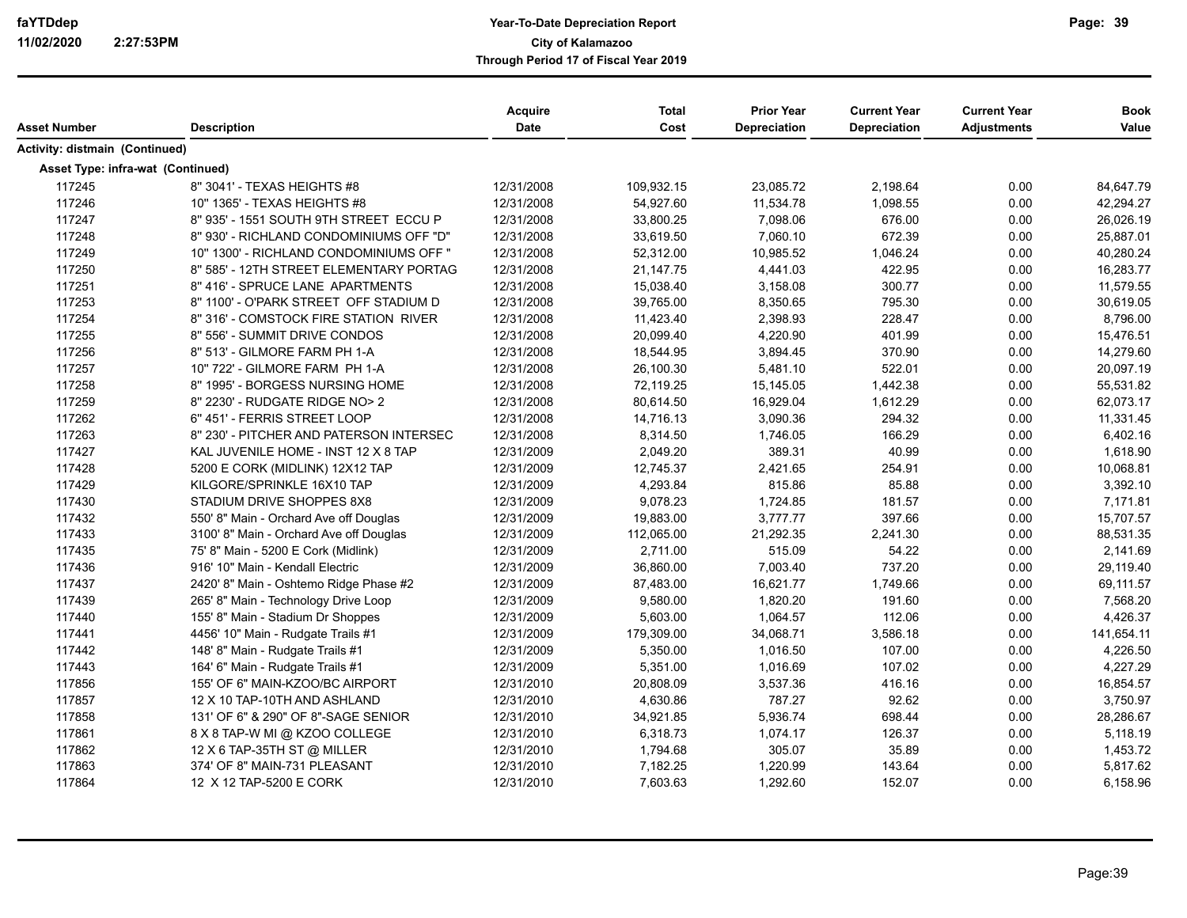|                                          |                                         | <b>Acquire</b> | <b>Total</b> | <b>Prior Year</b>   | <b>Current Year</b> | <b>Current Year</b> | <b>Book</b> |
|------------------------------------------|-----------------------------------------|----------------|--------------|---------------------|---------------------|---------------------|-------------|
| Asset Number                             | <b>Description</b>                      | <b>Date</b>    | Cost         | <b>Depreciation</b> | Depreciation        | <b>Adjustments</b>  | Value       |
| Activity: distmain (Continued)           |                                         |                |              |                     |                     |                     |             |
| <b>Asset Type: infra-wat (Continued)</b> |                                         |                |              |                     |                     |                     |             |
| 117245                                   | 8" 3041' - TEXAS HEIGHTS #8             | 12/31/2008     | 109,932.15   | 23,085.72           | 2,198.64            | 0.00                | 84,647.79   |
| 117246                                   | 10" 1365' - TEXAS HEIGHTS #8            | 12/31/2008     | 54,927.60    | 11,534.78           | 1,098.55            | 0.00                | 42,294.27   |
| 117247                                   | 8" 935' - 1551 SOUTH 9TH STREET ECCU P  | 12/31/2008     | 33,800.25    | 7,098.06            | 676.00              | 0.00                | 26,026.19   |
| 117248                                   | 8" 930' - RICHLAND CONDOMINIUMS OFF "D" | 12/31/2008     | 33,619.50    | 7,060.10            | 672.39              | 0.00                | 25,887.01   |
| 117249                                   | 10" 1300' - RICHLAND CONDOMINIUMS OFF " | 12/31/2008     | 52,312.00    | 10,985.52           | 1,046.24            | 0.00                | 40,280.24   |
| 117250                                   | 8" 585' - 12TH STREET ELEMENTARY PORTAG | 12/31/2008     | 21,147.75    | 4,441.03            | 422.95              | 0.00                | 16,283.77   |
| 117251                                   | 8" 416' - SPRUCE LANE APARTMENTS        | 12/31/2008     | 15,038.40    | 3,158.08            | 300.77              | 0.00                | 11,579.55   |
| 117253                                   | 8" 1100' - O'PARK STREET OFF STADIUM D  | 12/31/2008     | 39,765.00    | 8,350.65            | 795.30              | 0.00                | 30,619.05   |
| 117254                                   | 8" 316' - COMSTOCK FIRE STATION RIVER   | 12/31/2008     | 11,423.40    | 2,398.93            | 228.47              | 0.00                | 8,796.00    |
| 117255                                   | 8" 556' - SUMMIT DRIVE CONDOS           | 12/31/2008     | 20,099.40    | 4,220.90            | 401.99              | 0.00                | 15,476.51   |
| 117256                                   | 8" 513' - GILMORE FARM PH 1-A           | 12/31/2008     | 18,544.95    | 3,894.45            | 370.90              | 0.00                | 14,279.60   |
| 117257                                   | 10" 722' - GILMORE FARM PH 1-A          | 12/31/2008     | 26,100.30    | 5,481.10            | 522.01              | 0.00                | 20,097.19   |
| 117258                                   | 8" 1995' - BORGESS NURSING HOME         | 12/31/2008     | 72,119.25    | 15,145.05           | 1,442.38            | 0.00                | 55,531.82   |
| 117259                                   | 8" 2230' - RUDGATE RIDGE NO> 2          | 12/31/2008     | 80,614.50    | 16,929.04           | 1,612.29            | 0.00                | 62,073.17   |
| 117262                                   | 6" 451' - FERRIS STREET LOOP            | 12/31/2008     | 14,716.13    | 3,090.36            | 294.32              | 0.00                | 11,331.45   |
| 117263                                   | 8" 230' - PITCHER AND PATERSON INTERSEC | 12/31/2008     | 8,314.50     | 1,746.05            | 166.29              | 0.00                | 6,402.16    |
| 117427                                   | KAL JUVENILE HOME - INST 12 X 8 TAP     | 12/31/2009     | 2,049.20     | 389.31              | 40.99               | 0.00                | 1,618.90    |
| 117428                                   | 5200 E CORK (MIDLINK) 12X12 TAP         | 12/31/2009     | 12,745.37    | 2,421.65            | 254.91              | 0.00                | 10,068.81   |
| 117429                                   | KILGORE/SPRINKLE 16X10 TAP              | 12/31/2009     | 4,293.84     | 815.86              | 85.88               | 0.00                | 3,392.10    |
| 117430                                   | STADIUM DRIVE SHOPPES 8X8               | 12/31/2009     | 9,078.23     | 1,724.85            | 181.57              | 0.00                | 7,171.81    |
| 117432                                   | 550' 8" Main - Orchard Ave off Douglas  | 12/31/2009     | 19,883.00    | 3,777.77            | 397.66              | 0.00                | 15,707.57   |
| 117433                                   | 3100' 8" Main - Orchard Ave off Douglas | 12/31/2009     | 112,065.00   | 21,292.35           | 2,241.30            | 0.00                | 88,531.35   |
| 117435                                   | 75' 8" Main - 5200 E Cork (Midlink)     | 12/31/2009     | 2,711.00     | 515.09              | 54.22               | 0.00                | 2,141.69    |
| 117436                                   | 916' 10" Main - Kendall Electric        | 12/31/2009     | 36,860.00    | 7,003.40            | 737.20              | 0.00                | 29,119.40   |
| 117437                                   | 2420' 8" Main - Oshtemo Ridge Phase #2  | 12/31/2009     | 87,483.00    | 16,621.77           | 1,749.66            | 0.00                | 69,111.57   |
| 117439                                   | 265' 8" Main - Technology Drive Loop    | 12/31/2009     | 9,580.00     | 1,820.20            | 191.60              | 0.00                | 7,568.20    |
| 117440                                   | 155' 8" Main - Stadium Dr Shoppes       | 12/31/2009     | 5,603.00     | 1,064.57            | 112.06              | 0.00                | 4,426.37    |
| 117441                                   | 4456' 10" Main - Rudgate Trails #1      | 12/31/2009     | 179,309.00   | 34,068.71           | 3,586.18            | 0.00                | 141,654.11  |
| 117442                                   | 148' 8" Main - Rudgate Trails #1        | 12/31/2009     | 5,350.00     | 1,016.50            | 107.00              | 0.00                | 4,226.50    |
| 117443                                   | 164' 6" Main - Rudgate Trails #1        | 12/31/2009     | 5,351.00     | 1,016.69            | 107.02              | 0.00                | 4,227.29    |
| 117856                                   | 155' OF 6" MAIN-KZOO/BC AIRPORT         | 12/31/2010     | 20,808.09    | 3,537.36            | 416.16              | 0.00                | 16,854.57   |
| 117857                                   | 12 X 10 TAP-10TH AND ASHLAND            | 12/31/2010     | 4,630.86     | 787.27              | 92.62               | 0.00                | 3,750.97    |
| 117858                                   | 131' OF 6" & 290" OF 8"-SAGE SENIOR     | 12/31/2010     | 34,921.85    | 5,936.74            | 698.44              | 0.00                | 28,286.67   |
| 117861                                   | 8 X 8 TAP-W MI @ KZOO COLLEGE           | 12/31/2010     | 6,318.73     | 1,074.17            | 126.37              | 0.00                | 5,118.19    |
| 117862                                   | 12 X 6 TAP-35TH ST @ MILLER             | 12/31/2010     | 1,794.68     | 305.07              | 35.89               | 0.00                | 1,453.72    |
| 117863                                   | 374' OF 8" MAIN-731 PLEASANT            | 12/31/2010     | 7,182.25     | 1,220.99            | 143.64              | 0.00                | 5,817.62    |
| 117864                                   | 12 X 12 TAP-5200 E CORK                 | 12/31/2010     | 7,603.63     | 1,292.60            | 152.07              | 0.00                | 6,158.96    |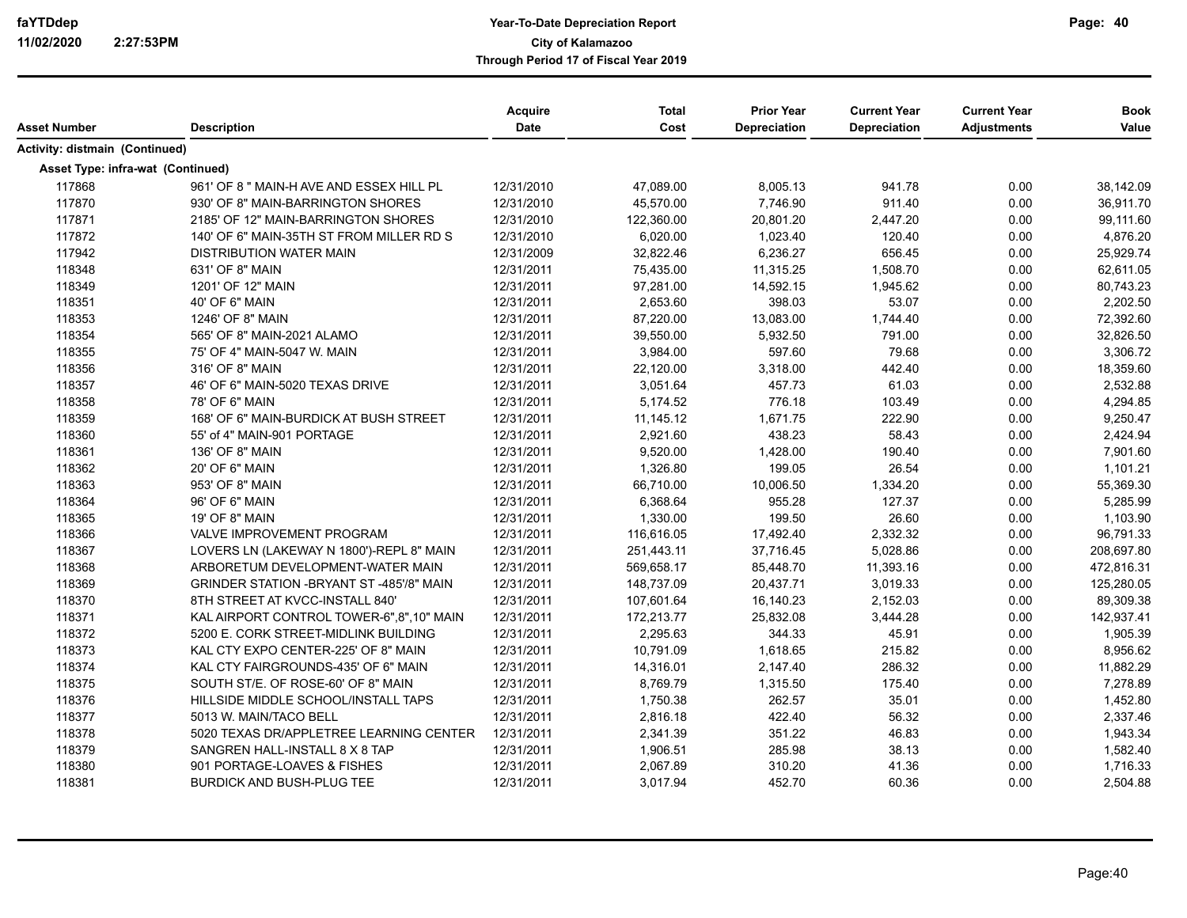| Asset Number                      |                                           | <b>Acquire</b><br><b>Date</b> | <b>Total</b><br>Cost | <b>Prior Year</b><br><b>Depreciation</b> | <b>Current Year</b> | <b>Current Year</b> | <b>Book</b><br>Value |
|-----------------------------------|-------------------------------------------|-------------------------------|----------------------|------------------------------------------|---------------------|---------------------|----------------------|
|                                   | <b>Description</b>                        |                               |                      |                                          | <b>Depreciation</b> | <b>Adjustments</b>  |                      |
| Activity: distmain (Continued)    |                                           |                               |                      |                                          |                     |                     |                      |
| Asset Type: infra-wat (Continued) |                                           |                               |                      |                                          |                     |                     |                      |
| 117868                            | 961' OF 8 " MAIN-H AVE AND ESSEX HILL PL  | 12/31/2010                    | 47,089.00            | 8,005.13                                 | 941.78              | 0.00                | 38,142.09            |
| 117870                            | 930' OF 8" MAIN-BARRINGTON SHORES         | 12/31/2010                    | 45,570.00            | 7,746.90                                 | 911.40              | 0.00                | 36,911.70            |
| 117871                            | 2185' OF 12" MAIN-BARRINGTON SHORES       | 12/31/2010                    | 122,360.00           | 20,801.20                                | 2,447.20            | 0.00                | 99,111.60            |
| 117872                            | 140' OF 6" MAIN-35TH ST FROM MILLER RD S  | 12/31/2010                    | 6,020.00             | 1,023.40                                 | 120.40              | 0.00                | 4,876.20             |
| 117942                            | <b>DISTRIBUTION WATER MAIN</b>            | 12/31/2009                    | 32,822.46            | 6,236.27                                 | 656.45              | 0.00                | 25,929.74            |
| 118348                            | 631' OF 8" MAIN                           | 12/31/2011                    | 75,435.00            | 11,315.25                                | 1,508.70            | 0.00                | 62,611.05            |
| 118349                            | 1201' OF 12" MAIN                         | 12/31/2011                    | 97,281.00            | 14,592.15                                | 1,945.62            | 0.00                | 80,743.23            |
| 118351                            | 40' OF 6" MAIN                            | 12/31/2011                    | 2,653.60             | 398.03                                   | 53.07               | 0.00                | 2,202.50             |
| 118353                            | 1246' OF 8" MAIN                          | 12/31/2011                    | 87,220.00            | 13,083.00                                | 1,744.40            | 0.00                | 72,392.60            |
| 118354                            | 565' OF 8" MAIN-2021 ALAMO                | 12/31/2011                    | 39,550.00            | 5,932.50                                 | 791.00              | 0.00                | 32,826.50            |
| 118355                            | 75' OF 4" MAIN-5047 W. MAIN               | 12/31/2011                    | 3,984.00             | 597.60                                   | 79.68               | 0.00                | 3,306.72             |
| 118356                            | 316' OF 8" MAIN                           | 12/31/2011                    | 22,120.00            | 3,318.00                                 | 442.40              | 0.00                | 18,359.60            |
| 118357                            | 46' OF 6" MAIN-5020 TEXAS DRIVE           | 12/31/2011                    | 3,051.64             | 457.73                                   | 61.03               | 0.00                | 2,532.88             |
| 118358                            | 78' OF 6" MAIN                            | 12/31/2011                    | 5,174.52             | 776.18                                   | 103.49              | 0.00                | 4,294.85             |
| 118359                            | 168' OF 6" MAIN-BURDICK AT BUSH STREET    | 12/31/2011                    | 11,145.12            | 1,671.75                                 | 222.90              | 0.00                | 9,250.47             |
| 118360                            | 55' of 4" MAIN-901 PORTAGE                | 12/31/2011                    | 2,921.60             | 438.23                                   | 58.43               | 0.00                | 2,424.94             |
| 118361                            | 136' OF 8" MAIN                           | 12/31/2011                    | 9,520.00             | 1,428.00                                 | 190.40              | 0.00                | 7,901.60             |
| 118362                            | 20' OF 6" MAIN                            | 12/31/2011                    | 1,326.80             | 199.05                                   | 26.54               | 0.00                | 1,101.21             |
| 118363                            | 953' OF 8" MAIN                           | 12/31/2011                    | 66,710.00            | 10,006.50                                | 1,334.20            | 0.00                | 55,369.30            |
| 118364                            | 96' OF 6" MAIN                            | 12/31/2011                    | 6,368.64             | 955.28                                   | 127.37              | 0.00                | 5,285.99             |
| 118365                            | 19' OF 8" MAIN                            | 12/31/2011                    | 1,330.00             | 199.50                                   | 26.60               | 0.00                | 1,103.90             |
| 118366                            | VALVE IMPROVEMENT PROGRAM                 | 12/31/2011                    | 116,616.05           | 17,492.40                                | 2,332.32            | 0.00                | 96,791.33            |
| 118367                            | LOVERS LN (LAKEWAY N 1800')-REPL 8" MAIN  | 12/31/2011                    | 251,443.11           | 37,716.45                                | 5,028.86            | 0.00                | 208,697.80           |
| 118368                            | ARBORETUM DEVELOPMENT-WATER MAIN          | 12/31/2011                    | 569,658.17           | 85,448.70                                | 11,393.16           | 0.00                | 472,816.31           |
| 118369                            | GRINDER STATION - BRYANT ST -485'/8" MAIN | 12/31/2011                    | 148,737.09           | 20,437.71                                | 3,019.33            | 0.00                | 125,280.05           |
| 118370                            | 8TH STREET AT KVCC-INSTALL 840'           | 12/31/2011                    | 107,601.64           | 16,140.23                                | 2,152.03            | 0.00                | 89,309.38            |
| 118371                            | KAL AIRPORT CONTROL TOWER-6",8",10" MAIN  | 12/31/2011                    | 172,213.77           | 25,832.08                                | 3,444.28            | 0.00                | 142,937.41           |
| 118372                            | 5200 E. CORK STREET-MIDLINK BUILDING      | 12/31/2011                    | 2,295.63             | 344.33                                   | 45.91               | 0.00                | 1,905.39             |
| 118373                            | KAL CTY EXPO CENTER-225' OF 8" MAIN       | 12/31/2011                    | 10,791.09            | 1,618.65                                 | 215.82              | 0.00                | 8,956.62             |
| 118374                            | KAL CTY FAIRGROUNDS-435' OF 6" MAIN       | 12/31/2011                    | 14,316.01            | 2,147.40                                 | 286.32              | 0.00                | 11,882.29            |
| 118375                            | SOUTH ST/E, OF ROSE-60' OF 8" MAIN        | 12/31/2011                    | 8,769.79             | 1,315.50                                 | 175.40              | 0.00                | 7,278.89             |
| 118376                            | HILLSIDE MIDDLE SCHOOL/INSTALL TAPS       | 12/31/2011                    | 1,750.38             | 262.57                                   | 35.01               | 0.00                | 1,452.80             |
| 118377                            | 5013 W. MAIN/TACO BELL                    | 12/31/2011                    | 2,816.18             | 422.40                                   | 56.32               | 0.00                | 2,337.46             |
| 118378                            | 5020 TEXAS DR/APPLETREE LEARNING CENTER   | 12/31/2011                    | 2,341.39             | 351.22                                   | 46.83               | 0.00                | 1,943.34             |
| 118379                            | SANGREN HALL-INSTALL 8 X 8 TAP            | 12/31/2011                    | 1,906.51             | 285.98                                   | 38.13               | 0.00                | 1,582.40             |
| 118380                            | 901 PORTAGE-LOAVES & FISHES               | 12/31/2011                    | 2,067.89             | 310.20                                   | 41.36               | 0.00                | 1,716.33             |
| 118381                            | <b>BURDICK AND BUSH-PLUG TEE</b>          | 12/31/2011                    | 3,017.94             | 452.70                                   | 60.36               | 0.00                | 2,504.88             |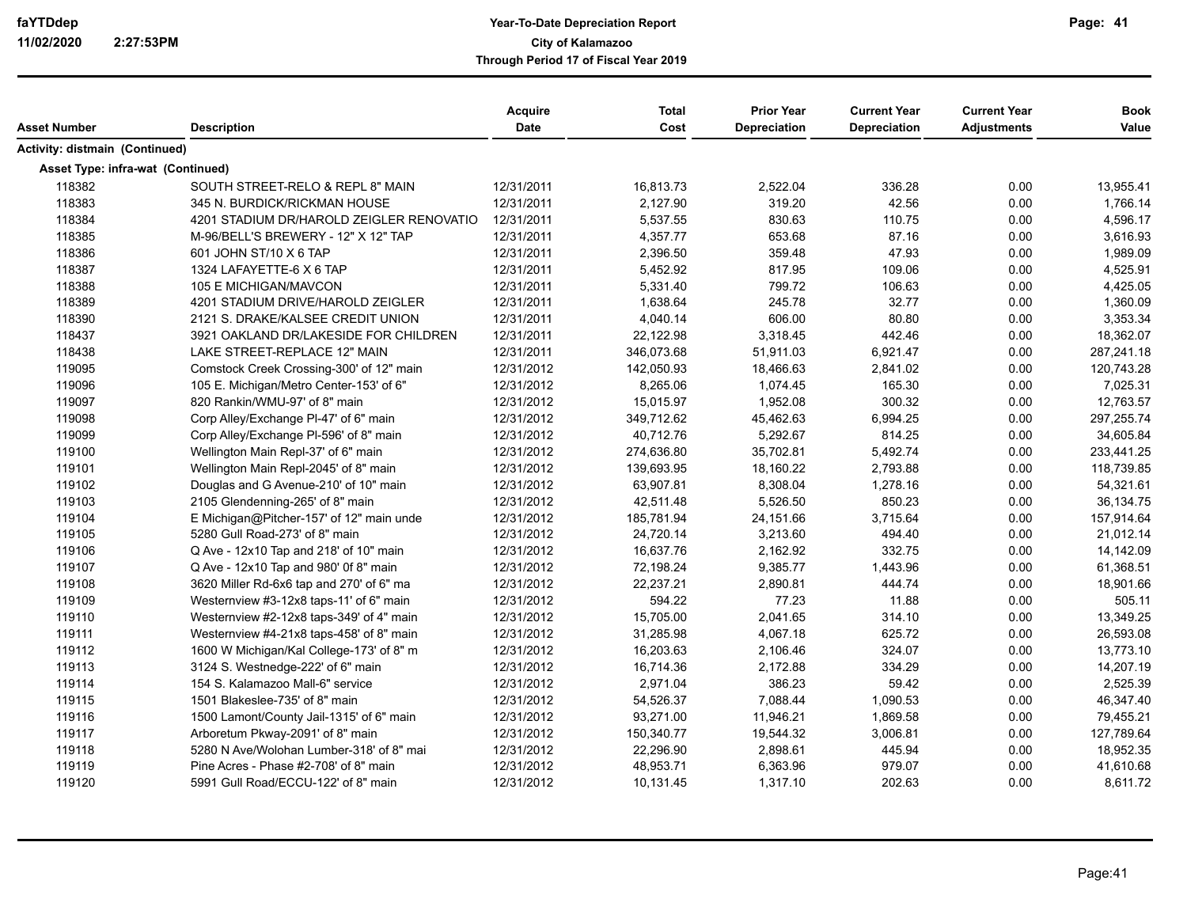|                                   |                                          | <b>Acquire</b> | <b>Total</b> | <b>Prior Year</b> | <b>Current Year</b> | <b>Current Year</b> | <b>Book</b> |
|-----------------------------------|------------------------------------------|----------------|--------------|-------------------|---------------------|---------------------|-------------|
| Asset Number                      | <b>Description</b>                       | Date           | Cost         | Depreciation      | Depreciation        | <b>Adjustments</b>  | Value       |
| Activity: distmain (Continued)    |                                          |                |              |                   |                     |                     |             |
| Asset Type: infra-wat (Continued) |                                          |                |              |                   |                     |                     |             |
| 118382                            | SOUTH STREET-RELO & REPL 8" MAIN         | 12/31/2011     | 16,813.73    | 2,522.04          | 336.28              | 0.00                | 13,955.41   |
| 118383                            | 345 N. BURDICK/RICKMAN HOUSE             | 12/31/2011     | 2,127.90     | 319.20            | 42.56               | 0.00                | 1,766.14    |
| 118384                            | 4201 STADIUM DR/HAROLD ZEIGLER RENOVATIO | 12/31/2011     | 5,537.55     | 830.63            | 110.75              | 0.00                | 4,596.17    |
| 118385                            | M-96/BELL'S BREWERY - 12" X 12" TAP      | 12/31/2011     | 4,357.77     | 653.68            | 87.16               | 0.00                | 3,616.93    |
| 118386                            | 601 JOHN ST/10 X 6 TAP                   | 12/31/2011     | 2,396.50     | 359.48            | 47.93               | 0.00                | 1,989.09    |
| 118387                            | 1324 LAFAYETTE-6 X 6 TAP                 | 12/31/2011     | 5,452.92     | 817.95            | 109.06              | 0.00                | 4,525.91    |
| 118388                            | 105 E MICHIGAN/MAVCON                    | 12/31/2011     | 5,331.40     | 799.72            | 106.63              | 0.00                | 4,425.05    |
| 118389                            | 4201 STADIUM DRIVE/HAROLD ZEIGLER        | 12/31/2011     | 1,638.64     | 245.78            | 32.77               | 0.00                | 1,360.09    |
| 118390                            | 2121 S. DRAKE/KALSEE CREDIT UNION        | 12/31/2011     | 4,040.14     | 606.00            | 80.80               | 0.00                | 3,353.34    |
| 118437                            | 3921 OAKLAND DR/LAKESIDE FOR CHILDREN    | 12/31/2011     | 22,122.98    | 3,318.45          | 442.46              | 0.00                | 18,362.07   |
| 118438                            | LAKE STREET-REPLACE 12" MAIN             | 12/31/2011     | 346,073.68   | 51,911.03         | 6,921.47            | 0.00                | 287,241.18  |
| 119095                            | Comstock Creek Crossing-300' of 12" main | 12/31/2012     | 142,050.93   | 18,466.63         | 2,841.02            | 0.00                | 120,743.28  |
| 119096                            | 105 E. Michigan/Metro Center-153' of 6"  | 12/31/2012     | 8,265.06     | 1,074.45          | 165.30              | 0.00                | 7,025.31    |
| 119097                            | 820 Rankin/WMU-97' of 8" main            | 12/31/2012     | 15,015.97    | 1,952.08          | 300.32              | 0.00                | 12,763.57   |
| 119098                            | Corp Alley/Exchange PI-47' of 6" main    | 12/31/2012     | 349,712.62   | 45,462.63         | 6,994.25            | 0.00                | 297,255.74  |
| 119099                            | Corp Alley/Exchange PI-596' of 8" main   | 12/31/2012     | 40,712.76    | 5,292.67          | 814.25              | 0.00                | 34,605.84   |
| 119100                            | Wellington Main Repl-37' of 6" main      | 12/31/2012     | 274,636.80   | 35,702.81         | 5,492.74            | 0.00                | 233,441.25  |
| 119101                            | Wellington Main Repl-2045' of 8" main    | 12/31/2012     | 139,693.95   | 18,160.22         | 2,793.88            | 0.00                | 118,739.85  |
| 119102                            | Douglas and G Avenue-210' of 10" main    | 12/31/2012     | 63,907.81    | 8,308.04          | 1,278.16            | 0.00                | 54,321.61   |
| 119103                            | 2105 Glendenning-265' of 8" main         | 12/31/2012     | 42,511.48    | 5,526.50          | 850.23              | 0.00                | 36,134.75   |
| 119104                            | E Michigan@Pitcher-157' of 12" main unde | 12/31/2012     | 185,781.94   | 24,151.66         | 3,715.64            | 0.00                | 157,914.64  |
| 119105                            | 5280 Gull Road-273' of 8" main           | 12/31/2012     | 24,720.14    | 3,213.60          | 494.40              | 0.00                | 21,012.14   |
| 119106                            | Q Ave - 12x10 Tap and 218' of 10" main   | 12/31/2012     | 16,637.76    | 2,162.92          | 332.75              | 0.00                | 14,142.09   |
| 119107                            | Q Ave - 12x10 Tap and 980' 0f 8" main    | 12/31/2012     | 72,198.24    | 9,385.77          | 1,443.96            | 0.00                | 61,368.51   |
| 119108                            | 3620 Miller Rd-6x6 tap and 270' of 6" ma | 12/31/2012     | 22,237.21    | 2,890.81          | 444.74              | 0.00                | 18,901.66   |
| 119109                            | Westernview #3-12x8 taps-11' of 6" main  | 12/31/2012     | 594.22       | 77.23             | 11.88               | 0.00                | 505.11      |
| 119110                            | Westernview #2-12x8 taps-349' of 4" main | 12/31/2012     | 15,705.00    | 2,041.65          | 314.10              | 0.00                | 13,349.25   |
| 119111                            | Westernview #4-21x8 taps-458' of 8" main | 12/31/2012     | 31,285.98    | 4,067.18          | 625.72              | 0.00                | 26,593.08   |
| 119112                            | 1600 W Michigan/Kal College-173' of 8" m | 12/31/2012     | 16,203.63    | 2,106.46          | 324.07              | 0.00                | 13,773.10   |
| 119113                            | 3124 S. Westnedge-222' of 6" main        | 12/31/2012     | 16,714.36    | 2,172.88          | 334.29              | 0.00                | 14,207.19   |
| 119114                            | 154 S. Kalamazoo Mall-6" service         | 12/31/2012     | 2,971.04     | 386.23            | 59.42               | 0.00                | 2,525.39    |
| 119115                            | 1501 Blakeslee-735' of 8" main           | 12/31/2012     | 54,526.37    | 7,088.44          | 1,090.53            | 0.00                | 46,347.40   |
| 119116                            | 1500 Lamont/County Jail-1315' of 6" main | 12/31/2012     | 93,271.00    | 11,946.21         | 1,869.58            | 0.00                | 79,455.21   |
| 119117                            | Arboretum Pkway-2091' of 8" main         | 12/31/2012     | 150,340.77   | 19,544.32         | 3,006.81            | 0.00                | 127,789.64  |
| 119118                            | 5280 N Ave/Wolohan Lumber-318' of 8" mai | 12/31/2012     | 22,296.90    | 2,898.61          | 445.94              | 0.00                | 18,952.35   |
| 119119                            | Pine Acres - Phase #2-708' of 8" main    | 12/31/2012     | 48,953.71    | 6,363.96          | 979.07              | 0.00                | 41,610.68   |
| 119120                            | 5991 Gull Road/ECCU-122' of 8" main      | 12/31/2012     | 10,131.45    | 1,317.10          | 202.63              | 0.00                | 8,611.72    |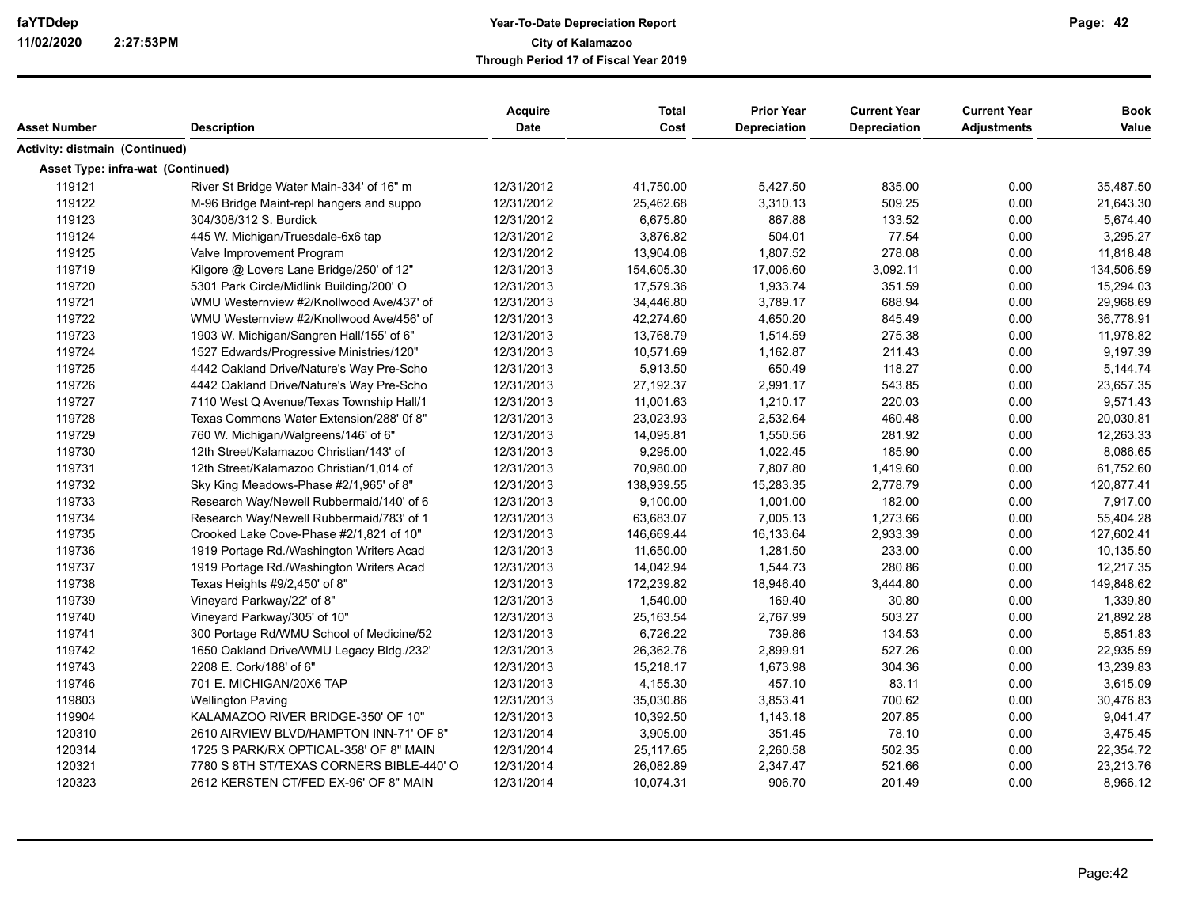|                                   |                                          | <b>Acquire</b> | <b>Total</b> | <b>Prior Year</b>   | <b>Current Year</b> | <b>Current Year</b> | <b>Book</b> |
|-----------------------------------|------------------------------------------|----------------|--------------|---------------------|---------------------|---------------------|-------------|
| Asset Number                      | <b>Description</b>                       | Date           | Cost         | <b>Depreciation</b> | Depreciation        | <b>Adjustments</b>  | Value       |
| Activity: distmain (Continued)    |                                          |                |              |                     |                     |                     |             |
| Asset Type: infra-wat (Continued) |                                          |                |              |                     |                     |                     |             |
| 119121                            | River St Bridge Water Main-334' of 16" m | 12/31/2012     | 41,750.00    | 5,427.50            | 835.00              | 0.00                | 35,487.50   |
| 119122                            | M-96 Bridge Maint-repl hangers and suppo | 12/31/2012     | 25,462.68    | 3,310.13            | 509.25              | 0.00                | 21,643.30   |
| 119123                            | 304/308/312 S. Burdick                   | 12/31/2012     | 6,675.80     | 867.88              | 133.52              | 0.00                | 5,674.40    |
| 119124                            | 445 W. Michigan/Truesdale-6x6 tap        | 12/31/2012     | 3,876.82     | 504.01              | 77.54               | 0.00                | 3,295.27    |
| 119125                            | Valve Improvement Program                | 12/31/2012     | 13,904.08    | 1,807.52            | 278.08              | 0.00                | 11,818.48   |
| 119719                            | Kilgore @ Lovers Lane Bridge/250' of 12" | 12/31/2013     | 154,605.30   | 17,006.60           | 3,092.11            | 0.00                | 134,506.59  |
| 119720                            | 5301 Park Circle/Midlink Building/200' O | 12/31/2013     | 17,579.36    | 1,933.74            | 351.59              | 0.00                | 15,294.03   |
| 119721                            | WMU Westernview #2/Knollwood Ave/437' of | 12/31/2013     | 34,446.80    | 3,789.17            | 688.94              | 0.00                | 29,968.69   |
| 119722                            | WMU Westernview #2/Knollwood Ave/456' of | 12/31/2013     | 42,274.60    | 4,650.20            | 845.49              | 0.00                | 36,778.91   |
| 119723                            | 1903 W. Michigan/Sangren Hall/155' of 6" | 12/31/2013     | 13,768.79    | 1,514.59            | 275.38              | 0.00                | 11,978.82   |
| 119724                            | 1527 Edwards/Progressive Ministries/120" | 12/31/2013     | 10,571.69    | 1,162.87            | 211.43              | 0.00                | 9,197.39    |
| 119725                            | 4442 Oakland Drive/Nature's Way Pre-Scho | 12/31/2013     | 5,913.50     | 650.49              | 118.27              | 0.00                | 5,144.74    |
| 119726                            | 4442 Oakland Drive/Nature's Way Pre-Scho | 12/31/2013     | 27,192.37    | 2,991.17            | 543.85              | 0.00                | 23,657.35   |
| 119727                            | 7110 West Q Avenue/Texas Township Hall/1 | 12/31/2013     | 11,001.63    | 1,210.17            | 220.03              | 0.00                | 9,571.43    |
| 119728                            | Texas Commons Water Extension/288' 0f 8" | 12/31/2013     | 23,023.93    | 2,532.64            | 460.48              | 0.00                | 20,030.81   |
| 119729                            | 760 W. Michigan/Walgreens/146' of 6"     | 12/31/2013     | 14,095.81    | 1,550.56            | 281.92              | 0.00                | 12,263.33   |
| 119730                            | 12th Street/Kalamazoo Christian/143' of  | 12/31/2013     | 9,295.00     | 1,022.45            | 185.90              | 0.00                | 8,086.65    |
| 119731                            | 12th Street/Kalamazoo Christian/1,014 of | 12/31/2013     | 70,980.00    | 7,807.80            | 1,419.60            | 0.00                | 61,752.60   |
| 119732                            | Sky King Meadows-Phase #2/1,965' of 8"   | 12/31/2013     | 138,939.55   | 15,283.35           | 2,778.79            | 0.00                | 120,877.41  |
| 119733                            | Research Way/Newell Rubbermaid/140' of 6 | 12/31/2013     | 9,100.00     | 1,001.00            | 182.00              | 0.00                | 7,917.00    |
| 119734                            | Research Way/Newell Rubbermaid/783' of 1 | 12/31/2013     | 63,683.07    | 7,005.13            | 1,273.66            | 0.00                | 55,404.28   |
| 119735                            | Crooked Lake Cove-Phase #2/1,821 of 10"  | 12/31/2013     | 146,669.44   | 16,133.64           | 2,933.39            | 0.00                | 127,602.41  |
| 119736                            | 1919 Portage Rd./Washington Writers Acad | 12/31/2013     | 11,650.00    | 1,281.50            | 233.00              | 0.00                | 10,135.50   |
| 119737                            | 1919 Portage Rd./Washington Writers Acad | 12/31/2013     | 14,042.94    | 1,544.73            | 280.86              | 0.00                | 12,217.35   |
| 119738                            | Texas Heights #9/2,450' of 8"            | 12/31/2013     | 172,239.82   | 18,946.40           | 3,444.80            | 0.00                | 149,848.62  |
| 119739                            | Vineyard Parkway/22' of 8"               | 12/31/2013     | 1,540.00     | 169.40              | 30.80               | 0.00                | 1,339.80    |
| 119740                            | Vineyard Parkway/305' of 10"             | 12/31/2013     | 25,163.54    | 2,767.99            | 503.27              | 0.00                | 21,892.28   |
| 119741                            | 300 Portage Rd/WMU School of Medicine/52 | 12/31/2013     | 6,726.22     | 739.86              | 134.53              | 0.00                | 5,851.83    |
| 119742                            | 1650 Oakland Drive/WMU Legacy Bldg./232' | 12/31/2013     | 26,362.76    | 2,899.91            | 527.26              | 0.00                | 22,935.59   |
| 119743                            | 2208 E. Cork/188' of 6"                  | 12/31/2013     | 15,218.17    | 1,673.98            | 304.36              | 0.00                | 13,239.83   |
| 119746                            | 701 E. MICHIGAN/20X6 TAP                 | 12/31/2013     | 4,155.30     | 457.10              | 83.11               | 0.00                | 3,615.09    |
| 119803                            | <b>Wellington Paving</b>                 | 12/31/2013     | 35,030.86    | 3,853.41            | 700.62              | 0.00                | 30,476.83   |
| 119904                            | KALAMAZOO RIVER BRIDGE-350' OF 10"       | 12/31/2013     | 10,392.50    | 1,143.18            | 207.85              | 0.00                | 9,041.47    |
| 120310                            | 2610 AIRVIEW BLVD/HAMPTON INN-71' OF 8"  | 12/31/2014     | 3,905.00     | 351.45              | 78.10               | 0.00                | 3,475.45    |
| 120314                            | 1725 S PARK/RX OPTICAL-358' OF 8" MAIN   | 12/31/2014     | 25,117.65    | 2,260.58            | 502.35              | 0.00                | 22,354.72   |
| 120321                            | 7780 S 8TH ST/TEXAS CORNERS BIBLE-440' O | 12/31/2014     | 26,082.89    | 2,347.47            | 521.66              | 0.00                | 23,213.76   |
| 120323                            | 2612 KERSTEN CT/FED EX-96' OF 8" MAIN    | 12/31/2014     | 10,074.31    | 906.70              | 201.49              | 0.00                | 8,966.12    |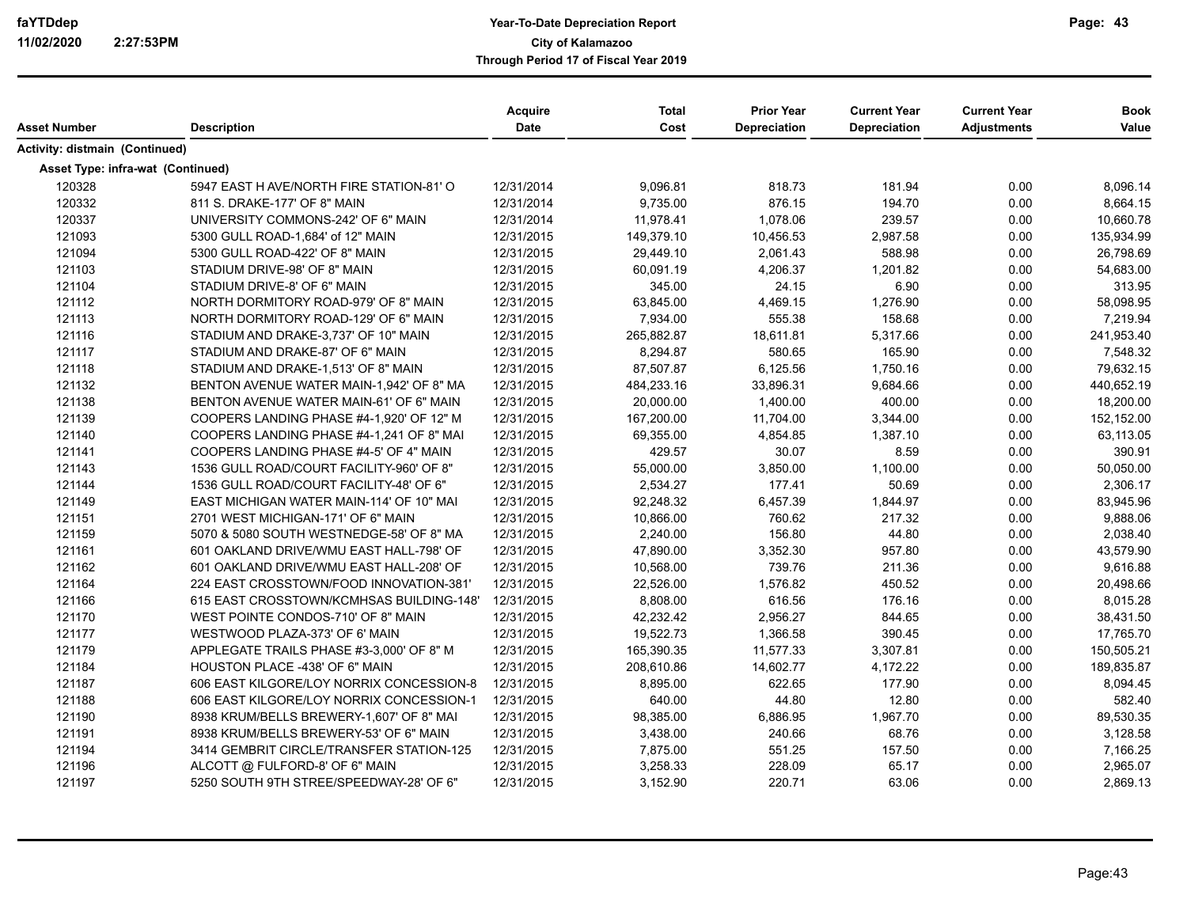|                                   |                                          | <b>Acquire</b> | Total      | <b>Prior Year</b>   | <b>Current Year</b> | <b>Current Year</b> | <b>Book</b> |
|-----------------------------------|------------------------------------------|----------------|------------|---------------------|---------------------|---------------------|-------------|
| Asset Number                      | <b>Description</b>                       | Date           | Cost       | <b>Depreciation</b> | Depreciation        | <b>Adjustments</b>  | Value       |
| Activity: distmain (Continued)    |                                          |                |            |                     |                     |                     |             |
| Asset Type: infra-wat (Continued) |                                          |                |            |                     |                     |                     |             |
| 120328                            | 5947 EAST H AVE/NORTH FIRE STATION-81' O | 12/31/2014     | 9,096.81   | 818.73              | 181.94              | 0.00                | 8,096.14    |
| 120332                            | 811 S. DRAKE-177' OF 8" MAIN             | 12/31/2014     | 9,735.00   | 876.15              | 194.70              | 0.00                | 8,664.15    |
| 120337                            | UNIVERSITY COMMONS-242' OF 6" MAIN       | 12/31/2014     | 11,978.41  | 1,078.06            | 239.57              | 0.00                | 10,660.78   |
| 121093                            | 5300 GULL ROAD-1,684' of 12" MAIN        | 12/31/2015     | 149,379.10 | 10,456.53           | 2,987.58            | 0.00                | 135,934.99  |
| 121094                            | 5300 GULL ROAD-422' OF 8" MAIN           | 12/31/2015     | 29,449.10  | 2,061.43            | 588.98              | 0.00                | 26,798.69   |
| 121103                            | STADIUM DRIVE-98' OF 8" MAIN             | 12/31/2015     | 60,091.19  | 4,206.37            | 1,201.82            | 0.00                | 54,683.00   |
| 121104                            | STADIUM DRIVE-8' OF 6" MAIN              | 12/31/2015     | 345.00     | 24.15               | 6.90                | 0.00                | 313.95      |
| 121112                            | NORTH DORMITORY ROAD-979' OF 8" MAIN     | 12/31/2015     | 63,845.00  | 4,469.15            | 1,276.90            | 0.00                | 58,098.95   |
| 121113                            | NORTH DORMITORY ROAD-129' OF 6" MAIN     | 12/31/2015     | 7,934.00   | 555.38              | 158.68              | 0.00                | 7,219.94    |
| 121116                            | STADIUM AND DRAKE-3,737' OF 10" MAIN     | 12/31/2015     | 265,882.87 | 18,611.81           | 5,317.66            | 0.00                | 241,953.40  |
| 121117                            | STADIUM AND DRAKE-87' OF 6" MAIN         | 12/31/2015     | 8,294.87   | 580.65              | 165.90              | 0.00                | 7,548.32    |
| 121118                            | STADIUM AND DRAKE-1,513' OF 8" MAIN      | 12/31/2015     | 87,507.87  | 6,125.56            | 1,750.16            | 0.00                | 79,632.15   |
| 121132                            | BENTON AVENUE WATER MAIN-1,942' OF 8" MA | 12/31/2015     | 484,233.16 | 33,896.31           | 9,684.66            | 0.00                | 440,652.19  |
| 121138                            | BENTON AVENUE WATER MAIN-61' OF 6" MAIN  | 12/31/2015     | 20,000.00  | 1,400.00            | 400.00              | 0.00                | 18,200.00   |
| 121139                            | COOPERS LANDING PHASE #4-1,920' OF 12" M | 12/31/2015     | 167,200.00 | 11,704.00           | 3,344.00            | 0.00                | 152,152.00  |
| 121140                            | COOPERS LANDING PHASE #4-1,241 OF 8" MAI | 12/31/2015     | 69,355.00  | 4,854.85            | 1,387.10            | 0.00                | 63,113.05   |
| 121141                            | COOPERS LANDING PHASE #4-5' OF 4" MAIN   | 12/31/2015     | 429.57     | 30.07               | 8.59                | 0.00                | 390.91      |
| 121143                            | 1536 GULL ROAD/COURT FACILITY-960' OF 8" | 12/31/2015     | 55,000.00  | 3,850.00            | 1,100.00            | 0.00                | 50,050.00   |
| 121144                            | 1536 GULL ROAD/COURT FACILITY-48' OF 6"  | 12/31/2015     | 2,534.27   | 177.41              | 50.69               | 0.00                | 2,306.17    |
| 121149                            | EAST MICHIGAN WATER MAIN-114' OF 10" MAI | 12/31/2015     | 92,248.32  | 6,457.39            | 1,844.97            | 0.00                | 83,945.96   |
| 121151                            | 2701 WEST MICHIGAN-171' OF 6" MAIN       | 12/31/2015     | 10,866.00  | 760.62              | 217.32              | 0.00                | 9,888.06    |
| 121159                            | 5070 & 5080 SOUTH WESTNEDGE-58' OF 8" MA | 12/31/2015     | 2,240.00   | 156.80              | 44.80               | 0.00                | 2,038.40    |
| 121161                            | 601 OAKLAND DRIVE/WMU EAST HALL-798' OF  | 12/31/2015     | 47,890.00  | 3,352.30            | 957.80              | 0.00                | 43,579.90   |
| 121162                            | 601 OAKLAND DRIVE/WMU EAST HALL-208' OF  | 12/31/2015     | 10,568.00  | 739.76              | 211.36              | 0.00                | 9,616.88    |
| 121164                            | 224 EAST CROSSTOWN/FOOD INNOVATION-381'  | 12/31/2015     | 22,526.00  | 1,576.82            | 450.52              | 0.00                | 20,498.66   |
| 121166                            | 615 EAST CROSSTOWN/KCMHSAS BUILDING-148' | 12/31/2015     | 8,808.00   | 616.56              | 176.16              | 0.00                | 8,015.28    |
| 121170                            | WEST POINTE CONDOS-710' OF 8" MAIN       | 12/31/2015     | 42,232.42  | 2,956.27            | 844.65              | 0.00                | 38,431.50   |
| 121177                            | WESTWOOD PLAZA-373' OF 6' MAIN           | 12/31/2015     | 19,522.73  | 1,366.58            | 390.45              | 0.00                | 17,765.70   |
| 121179                            | APPLEGATE TRAILS PHASE #3-3,000' OF 8" M | 12/31/2015     | 165,390.35 | 11,577.33           | 3,307.81            | 0.00                | 150,505.21  |
| 121184                            | HOUSTON PLACE -438' OF 6" MAIN           | 12/31/2015     | 208,610.86 | 14,602.77           | 4,172.22            | 0.00                | 189,835.87  |
| 121187                            | 606 EAST KILGORE/LOY NORRIX CONCESSION-8 | 12/31/2015     | 8,895.00   | 622.65              | 177.90              | 0.00                | 8,094.45    |
| 121188                            | 606 EAST KILGORE/LOY NORRIX CONCESSION-1 | 12/31/2015     | 640.00     | 44.80               | 12.80               | 0.00                | 582.40      |
| 121190                            | 8938 KRUM/BELLS BREWERY-1,607' OF 8" MAI | 12/31/2015     | 98,385.00  | 6,886.95            | 1,967.70            | 0.00                | 89,530.35   |
| 121191                            | 8938 KRUM/BELLS BREWERY-53' OF 6" MAIN   | 12/31/2015     | 3,438.00   | 240.66              | 68.76               | 0.00                | 3,128.58    |
| 121194                            | 3414 GEMBRIT CIRCLE/TRANSFER STATION-125 | 12/31/2015     | 7,875.00   | 551.25              | 157.50              | 0.00                | 7,166.25    |
| 121196                            | ALCOTT @ FULFORD-8' OF 6" MAIN           | 12/31/2015     | 3,258.33   | 228.09              | 65.17               | 0.00                | 2,965.07    |
| 121197                            | 5250 SOUTH 9TH STREE/SPEEDWAY-28' OF 6"  | 12/31/2015     | 3,152.90   | 220.71              | 63.06               | 0.00                | 2,869.13    |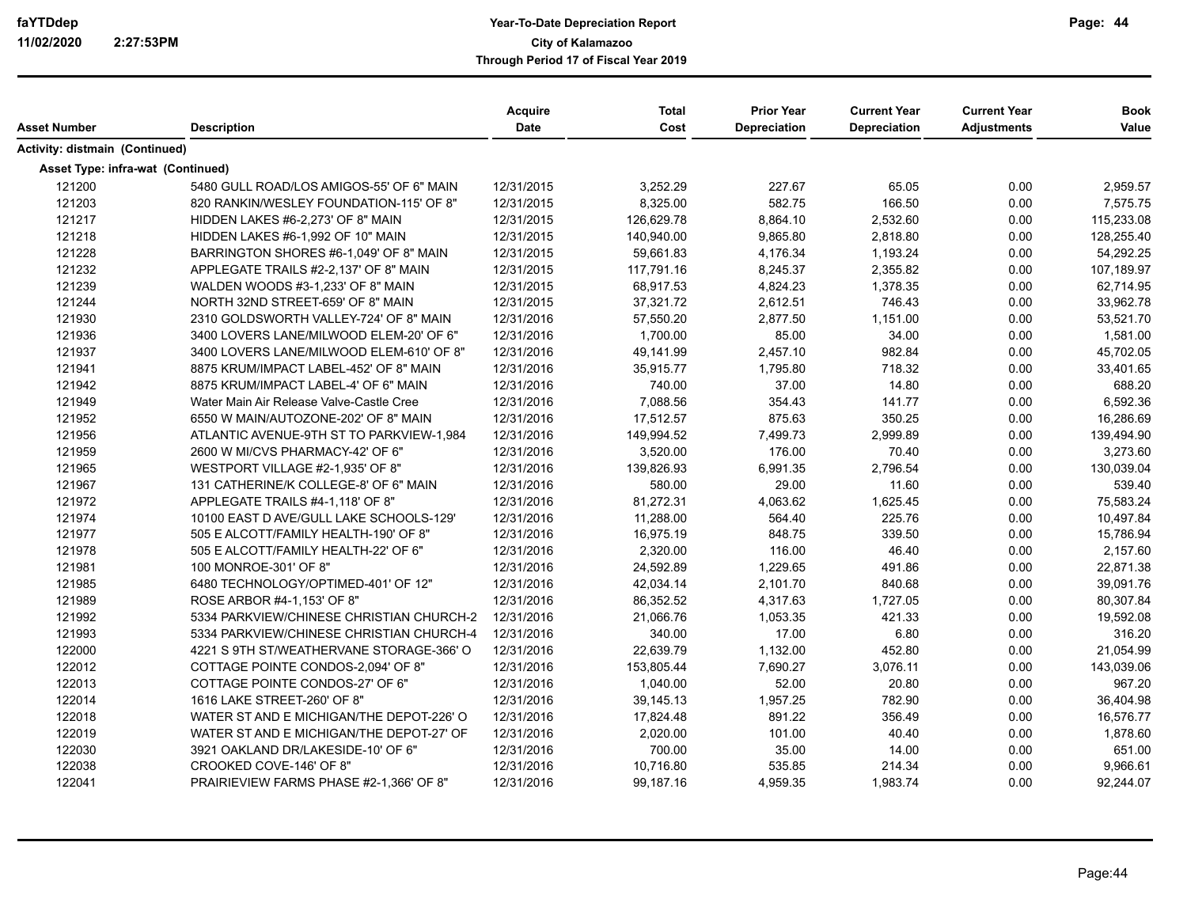|                                          |                                          | <b>Acquire</b> | <b>Total</b> | <b>Prior Year</b>   | <b>Current Year</b> | <b>Current Year</b> | <b>Book</b> |
|------------------------------------------|------------------------------------------|----------------|--------------|---------------------|---------------------|---------------------|-------------|
| Asset Number                             | <b>Description</b>                       | <b>Date</b>    | Cost         | <b>Depreciation</b> | Depreciation        | <b>Adjustments</b>  | Value       |
| Activity: distmain (Continued)           |                                          |                |              |                     |                     |                     |             |
| <b>Asset Type: infra-wat (Continued)</b> |                                          |                |              |                     |                     |                     |             |
| 121200                                   | 5480 GULL ROAD/LOS AMIGOS-55' OF 6" MAIN | 12/31/2015     | 3,252.29     | 227.67              | 65.05               | 0.00                | 2,959.57    |
| 121203                                   | 820 RANKIN/WESLEY FOUNDATION-115' OF 8"  | 12/31/2015     | 8,325.00     | 582.75              | 166.50              | 0.00                | 7,575.75    |
| 121217                                   | HIDDEN LAKES #6-2,273' OF 8" MAIN        | 12/31/2015     | 126,629.78   | 8,864.10            | 2,532.60            | 0.00                | 115,233.08  |
| 121218                                   | HIDDEN LAKES #6-1,992 OF 10" MAIN        | 12/31/2015     | 140,940.00   | 9,865.80            | 2,818.80            | 0.00                | 128,255.40  |
| 121228                                   | BARRINGTON SHORES #6-1,049' OF 8" MAIN   | 12/31/2015     | 59,661.83    | 4,176.34            | 1,193.24            | 0.00                | 54,292.25   |
| 121232                                   | APPLEGATE TRAILS #2-2,137' OF 8" MAIN    | 12/31/2015     | 117,791.16   | 8,245.37            | 2,355.82            | 0.00                | 107,189.97  |
| 121239                                   | WALDEN WOODS #3-1,233' OF 8" MAIN        | 12/31/2015     | 68,917.53    | 4,824.23            | 1,378.35            | 0.00                | 62,714.95   |
| 121244                                   | NORTH 32ND STREET-659' OF 8" MAIN        | 12/31/2015     | 37,321.72    | 2,612.51            | 746.43              | 0.00                | 33,962.78   |
| 121930                                   | 2310 GOLDSWORTH VALLEY-724' OF 8" MAIN   | 12/31/2016     | 57,550.20    | 2,877.50            | 1,151.00            | 0.00                | 53,521.70   |
| 121936                                   | 3400 LOVERS LANE/MILWOOD ELEM-20' OF 6"  | 12/31/2016     | 1,700.00     | 85.00               | 34.00               | 0.00                | 1,581.00    |
| 121937                                   | 3400 LOVERS LANE/MILWOOD ELEM-610' OF 8" | 12/31/2016     | 49,141.99    | 2,457.10            | 982.84              | 0.00                | 45,702.05   |
| 121941                                   | 8875 KRUM/IMPACT LABEL-452' OF 8" MAIN   | 12/31/2016     | 35,915.77    | 1,795.80            | 718.32              | 0.00                | 33,401.65   |
| 121942                                   | 8875 KRUM/IMPACT LABEL-4' OF 6" MAIN     | 12/31/2016     | 740.00       | 37.00               | 14.80               | 0.00                | 688.20      |
| 121949                                   | Water Main Air Release Valve-Castle Cree | 12/31/2016     | 7,088.56     | 354.43              | 141.77              | 0.00                | 6,592.36    |
| 121952                                   | 6550 W MAIN/AUTOZONE-202' OF 8" MAIN     | 12/31/2016     | 17,512.57    | 875.63              | 350.25              | 0.00                | 16,286.69   |
| 121956                                   | ATLANTIC AVENUE-9TH ST TO PARKVIEW-1,984 | 12/31/2016     | 149,994.52   | 7,499.73            | 2,999.89            | 0.00                | 139,494.90  |
| 121959                                   | 2600 W MI/CVS PHARMACY-42' OF 6"         | 12/31/2016     | 3,520.00     | 176.00              | 70.40               | 0.00                | 3,273.60    |
| 121965                                   | WESTPORT VILLAGE #2-1,935' OF 8"         | 12/31/2016     | 139,826.93   | 6,991.35            | 2,796.54            | 0.00                | 130,039.04  |
| 121967                                   | 131 CATHERINE/K COLLEGE-8' OF 6" MAIN    | 12/31/2016     | 580.00       | 29.00               | 11.60               | 0.00                | 539.40      |
| 121972                                   | APPLEGATE TRAILS #4-1,118' OF 8"         | 12/31/2016     | 81,272.31    | 4,063.62            | 1,625.45            | 0.00                | 75,583.24   |
| 121974                                   | 10100 EAST D AVE/GULL LAKE SCHOOLS-129'  | 12/31/2016     | 11,288.00    | 564.40              | 225.76              | 0.00                | 10,497.84   |
| 121977                                   | 505 E ALCOTT/FAMILY HEALTH-190' OF 8"    | 12/31/2016     | 16,975.19    | 848.75              | 339.50              | 0.00                | 15,786.94   |
| 121978                                   | 505 E ALCOTT/FAMILY HEALTH-22' OF 6"     | 12/31/2016     | 2,320.00     | 116.00              | 46.40               | 0.00                | 2,157.60    |
| 121981                                   | 100 MONROE-301' OF 8"                    | 12/31/2016     | 24,592.89    | 1,229.65            | 491.86              | 0.00                | 22,871.38   |
| 121985                                   | 6480 TECHNOLOGY/OPTIMED-401' OF 12"      | 12/31/2016     | 42,034.14    | 2,101.70            | 840.68              | 0.00                | 39,091.76   |
| 121989                                   | ROSE ARBOR #4-1,153' OF 8"               | 12/31/2016     | 86,352.52    | 4,317.63            | 1,727.05            | 0.00                | 80,307.84   |
| 121992                                   | 5334 PARKVIEW/CHINESE CHRISTIAN CHURCH-2 | 12/31/2016     | 21,066.76    | 1,053.35            | 421.33              | 0.00                | 19,592.08   |
| 121993                                   | 5334 PARKVIEW/CHINESE CHRISTIAN CHURCH-4 | 12/31/2016     | 340.00       | 17.00               | 6.80                | 0.00                | 316.20      |
| 122000                                   | 4221 S 9TH ST/WEATHERVANE STORAGE-366' O | 12/31/2016     | 22,639.79    | 1,132.00            | 452.80              | 0.00                | 21,054.99   |
| 122012                                   | COTTAGE POINTE CONDOS-2,094' OF 8"       | 12/31/2016     | 153,805.44   | 7,690.27            | 3,076.11            | 0.00                | 143,039.06  |
| 122013                                   | COTTAGE POINTE CONDOS-27' OF 6"          | 12/31/2016     | 1,040.00     | 52.00               | 20.80               | 0.00                | 967.20      |
| 122014                                   | 1616 LAKE STREET-260' OF 8"              | 12/31/2016     | 39,145.13    | 1,957.25            | 782.90              | 0.00                | 36,404.98   |
| 122018                                   | WATER ST AND E MICHIGAN/THE DEPOT-226' O | 12/31/2016     | 17,824.48    | 891.22              | 356.49              | 0.00                | 16,576.77   |
| 122019                                   | WATER ST AND E MICHIGAN/THE DEPOT-27' OF | 12/31/2016     | 2,020.00     | 101.00              | 40.40               | 0.00                | 1,878.60    |
| 122030                                   | 3921 OAKLAND DR/LAKESIDE-10' OF 6"       | 12/31/2016     | 700.00       | 35.00               | 14.00               | 0.00                | 651.00      |
| 122038                                   | CROOKED COVE-146' OF 8"                  | 12/31/2016     | 10,716.80    | 535.85              | 214.34              | 0.00                | 9,966.61    |
| 122041                                   | PRAIRIEVIEW FARMS PHASE #2-1,366' OF 8"  | 12/31/2016     | 99,187.16    | 4,959.35            | 1,983.74            | 0.00                | 92,244.07   |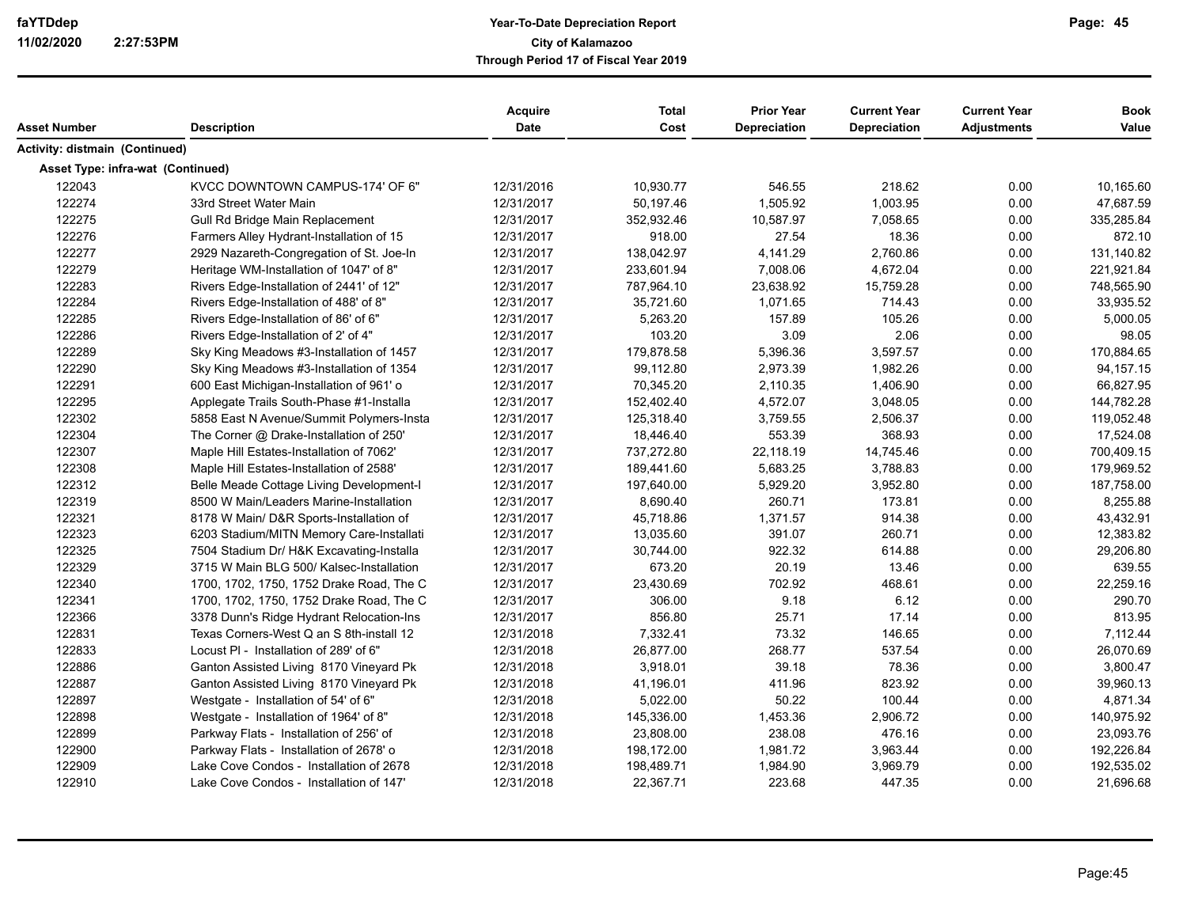| Asset Number                      | <b>Description</b>                       | <b>Acquire</b><br><b>Date</b> | <b>Total</b><br>Cost | <b>Prior Year</b><br><b>Depreciation</b> | <b>Current Year</b><br><b>Depreciation</b> | <b>Current Year</b><br><b>Adjustments</b> | <b>Book</b><br>Value |
|-----------------------------------|------------------------------------------|-------------------------------|----------------------|------------------------------------------|--------------------------------------------|-------------------------------------------|----------------------|
| Activity: distmain (Continued)    |                                          |                               |                      |                                          |                                            |                                           |                      |
| Asset Type: infra-wat (Continued) |                                          |                               |                      |                                          |                                            |                                           |                      |
| 122043                            | KVCC DOWNTOWN CAMPUS-174' OF 6"          | 12/31/2016                    | 10,930.77            | 546.55                                   | 218.62                                     | 0.00                                      | 10,165.60            |
| 122274                            | 33rd Street Water Main                   | 12/31/2017                    | 50,197.46            | 1,505.92                                 | 1,003.95                                   | 0.00                                      | 47,687.59            |
| 122275                            | Gull Rd Bridge Main Replacement          | 12/31/2017                    | 352,932.46           | 10,587.97                                | 7,058.65                                   | 0.00                                      | 335,285.84           |
| 122276                            | Farmers Alley Hydrant-Installation of 15 | 12/31/2017                    | 918.00               | 27.54                                    | 18.36                                      | 0.00                                      | 872.10               |
| 122277                            | 2929 Nazareth-Congregation of St. Joe-In | 12/31/2017                    | 138,042.97           | 4,141.29                                 | 2,760.86                                   | 0.00                                      | 131,140.82           |
| 122279                            | Heritage WM-Installation of 1047' of 8"  | 12/31/2017                    | 233,601.94           | 7,008.06                                 | 4,672.04                                   | 0.00                                      | 221,921.84           |
| 122283                            | Rivers Edge-Installation of 2441' of 12" | 12/31/2017                    | 787,964.10           | 23,638.92                                | 15,759.28                                  | 0.00                                      | 748,565.90           |
| 122284                            | Rivers Edge-Installation of 488' of 8"   | 12/31/2017                    | 35,721.60            | 1,071.65                                 | 714.43                                     | 0.00                                      | 33,935.52            |
| 122285                            | Rivers Edge-Installation of 86' of 6"    | 12/31/2017                    | 5,263.20             | 157.89                                   | 105.26                                     | 0.00                                      | 5,000.05             |
| 122286                            | Rivers Edge-Installation of 2' of 4"     | 12/31/2017                    | 103.20               | 3.09                                     | 2.06                                       | 0.00                                      | 98.05                |
| 122289                            | Sky King Meadows #3-Installation of 1457 | 12/31/2017                    | 179,878.58           | 5,396.36                                 | 3,597.57                                   | 0.00                                      | 170,884.65           |
| 122290                            | Sky King Meadows #3-Installation of 1354 | 12/31/2017                    | 99,112.80            | 2,973.39                                 | 1,982.26                                   | 0.00                                      | 94, 157. 15          |
| 122291                            | 600 East Michigan-Installation of 961' o | 12/31/2017                    | 70,345.20            | 2,110.35                                 | 1,406.90                                   | 0.00                                      | 66,827.95            |
| 122295                            | Applegate Trails South-Phase #1-Installa | 12/31/2017                    | 152,402.40           | 4,572.07                                 | 3,048.05                                   | 0.00                                      | 144,782.28           |
| 122302                            | 5858 East N Avenue/Summit Polymers-Insta | 12/31/2017                    | 125,318.40           | 3,759.55                                 | 2,506.37                                   | 0.00                                      | 119,052.48           |
| 122304                            | The Corner @ Drake-Installation of 250'  | 12/31/2017                    | 18,446.40            | 553.39                                   | 368.93                                     | 0.00                                      | 17,524.08            |
| 122307                            | Maple Hill Estates-Installation of 7062' | 12/31/2017                    | 737,272.80           | 22,118.19                                | 14,745.46                                  | 0.00                                      | 700,409.15           |
| 122308                            | Maple Hill Estates-Installation of 2588' | 12/31/2017                    | 189,441.60           | 5,683.25                                 | 3,788.83                                   | 0.00                                      | 179,969.52           |
| 122312                            | Belle Meade Cottage Living Development-I | 12/31/2017                    | 197,640.00           | 5,929.20                                 | 3,952.80                                   | 0.00                                      | 187,758.00           |
| 122319                            | 8500 W Main/Leaders Marine-Installation  | 12/31/2017                    | 8,690.40             | 260.71                                   | 173.81                                     | 0.00                                      | 8,255.88             |
| 122321                            | 8178 W Main/ D&R Sports-Installation of  | 12/31/2017                    | 45,718.86            | 1,371.57                                 | 914.38                                     | 0.00                                      | 43,432.91            |
| 122323                            | 6203 Stadium/MITN Memory Care-Installati | 12/31/2017                    | 13,035.60            | 391.07                                   | 260.71                                     | 0.00                                      | 12,383.82            |
| 122325                            | 7504 Stadium Dr/ H&K Excavating-Installa | 12/31/2017                    | 30,744.00            | 922.32                                   | 614.88                                     | 0.00                                      | 29,206.80            |
| 122329                            | 3715 W Main BLG 500/ Kalsec-Installation | 12/31/2017                    | 673.20               | 20.19                                    | 13.46                                      | 0.00                                      | 639.55               |
| 122340                            | 1700, 1702, 1750, 1752 Drake Road, The C | 12/31/2017                    | 23,430.69            | 702.92                                   | 468.61                                     | 0.00                                      | 22,259.16            |
| 122341                            | 1700, 1702, 1750, 1752 Drake Road, The C | 12/31/2017                    | 306.00               | 9.18                                     | 6.12                                       | 0.00                                      | 290.70               |
| 122366                            | 3378 Dunn's Ridge Hydrant Relocation-Ins | 12/31/2017                    | 856.80               | 25.71                                    | 17.14                                      | 0.00                                      | 813.95               |
| 122831                            | Texas Corners-West Q an S 8th-install 12 | 12/31/2018                    | 7,332.41             | 73.32                                    | 146.65                                     | 0.00                                      | 7,112.44             |
| 122833                            | Locust PI - Installation of 289' of 6"   | 12/31/2018                    | 26,877.00            | 268.77                                   | 537.54                                     | 0.00                                      | 26,070.69            |
| 122886                            | Ganton Assisted Living 8170 Vineyard Pk  | 12/31/2018                    | 3,918.01             | 39.18                                    | 78.36                                      | 0.00                                      | 3,800.47             |
| 122887                            | Ganton Assisted Living 8170 Vineyard Pk  | 12/31/2018                    | 41,196.01            | 411.96                                   | 823.92                                     | 0.00                                      | 39,960.13            |
| 122897                            | Westgate - Installation of 54' of 6"     | 12/31/2018                    | 5,022.00             | 50.22                                    | 100.44                                     | 0.00                                      | 4,871.34             |
| 122898                            | Westgate - Installation of 1964' of 8"   | 12/31/2018                    | 145,336.00           | 1,453.36                                 | 2,906.72                                   | 0.00                                      | 140,975.92           |
| 122899                            | Parkway Flats - Installation of 256' of  | 12/31/2018                    | 23,808.00            | 238.08                                   | 476.16                                     | 0.00                                      | 23,093.76            |
| 122900                            | Parkway Flats - Installation of 2678' o  | 12/31/2018                    | 198,172.00           | 1,981.72                                 | 3,963.44                                   | 0.00                                      | 192,226.84           |
| 122909                            | Lake Cove Condos - Installation of 2678  | 12/31/2018                    | 198,489.71           | 1,984.90                                 | 3,969.79                                   | 0.00                                      | 192,535.02           |
| 122910                            | Lake Cove Condos - Installation of 147'  | 12/31/2018                    | 22,367.71            | 223.68                                   | 447.35                                     | 0.00                                      | 21,696.68            |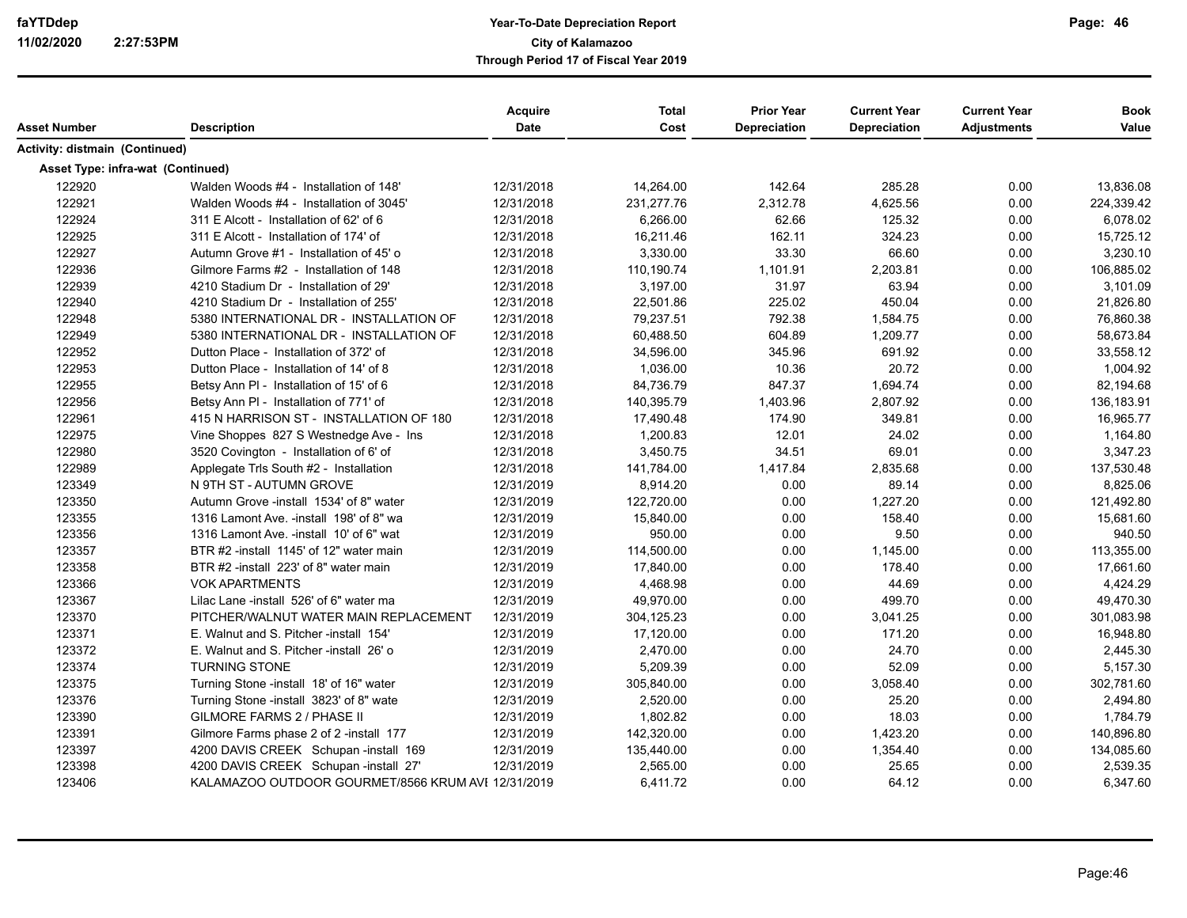| Asset Number                      | <b>Description</b>                                 | <b>Acquire</b><br><b>Date</b> | <b>Total</b><br>Cost | <b>Prior Year</b><br><b>Depreciation</b> | <b>Current Year</b><br><b>Depreciation</b> | <b>Current Year</b><br><b>Adjustments</b> | <b>Book</b><br>Value |
|-----------------------------------|----------------------------------------------------|-------------------------------|----------------------|------------------------------------------|--------------------------------------------|-------------------------------------------|----------------------|
| Activity: distmain (Continued)    |                                                    |                               |                      |                                          |                                            |                                           |                      |
| Asset Type: infra-wat (Continued) |                                                    |                               |                      |                                          |                                            |                                           |                      |
| 122920                            | Walden Woods #4 - Installation of 148'             | 12/31/2018                    | 14,264.00            | 142.64                                   | 285.28                                     | 0.00                                      | 13,836.08            |
| 122921                            | Walden Woods #4 - Installation of 3045'            | 12/31/2018                    | 231,277.76           | 2,312.78                                 | 4,625.56                                   | 0.00                                      | 224,339.42           |
| 122924                            | 311 E Alcott - Installation of 62' of 6            | 12/31/2018                    | 6,266.00             | 62.66                                    | 125.32                                     | 0.00                                      | 6,078.02             |
| 122925                            | 311 E Alcott - Installation of 174' of             | 12/31/2018                    | 16,211.46            | 162.11                                   | 324.23                                     | 0.00                                      | 15,725.12            |
| 122927                            | Autumn Grove #1 - Installation of 45' o            | 12/31/2018                    | 3,330.00             | 33.30                                    | 66.60                                      | 0.00                                      | 3,230.10             |
| 122936                            | Gilmore Farms #2 - Installation of 148             | 12/31/2018                    | 110,190.74           | 1,101.91                                 | 2,203.81                                   | 0.00                                      | 106,885.02           |
| 122939                            | 4210 Stadium Dr - Installation of 29'              | 12/31/2018                    | 3,197.00             | 31.97                                    | 63.94                                      | 0.00                                      | 3,101.09             |
| 122940                            | 4210 Stadium Dr - Installation of 255'             | 12/31/2018                    | 22,501.86            | 225.02                                   | 450.04                                     | 0.00                                      | 21,826.80            |
| 122948                            | 5380 INTERNATIONAL DR - INSTALLATION OF            | 12/31/2018                    | 79,237.51            | 792.38                                   | 1,584.75                                   | 0.00                                      | 76,860.38            |
| 122949                            | 5380 INTERNATIONAL DR - INSTALLATION OF            | 12/31/2018                    | 60,488.50            | 604.89                                   | 1,209.77                                   | 0.00                                      | 58,673.84            |
| 122952                            | Dutton Place - Installation of 372' of             | 12/31/2018                    | 34,596.00            | 345.96                                   | 691.92                                     | 0.00                                      | 33,558.12            |
| 122953                            | Dutton Place - Installation of 14' of 8            | 12/31/2018                    | 1,036.00             | 10.36                                    | 20.72                                      | 0.00                                      | 1,004.92             |
| 122955                            | Betsy Ann PI - Installation of 15' of 6            | 12/31/2018                    | 84,736.79            | 847.37                                   | 1,694.74                                   | 0.00                                      | 82,194.68            |
| 122956                            | Betsy Ann PI - Installation of 771' of             | 12/31/2018                    | 140,395.79           | 1,403.96                                 | 2,807.92                                   | 0.00                                      | 136,183.91           |
| 122961                            | 415 N HARRISON ST - INSTALLATION OF 180            | 12/31/2018                    | 17,490.48            | 174.90                                   | 349.81                                     | 0.00                                      | 16,965.77            |
| 122975                            | Vine Shoppes 827 S Westnedge Ave - Ins             | 12/31/2018                    | 1,200.83             | 12.01                                    | 24.02                                      | 0.00                                      | 1,164.80             |
| 122980                            | 3520 Covington - Installation of 6' of             | 12/31/2018                    | 3,450.75             | 34.51                                    | 69.01                                      | 0.00                                      | 3,347.23             |
| 122989                            | Applegate Trls South #2 - Installation             | 12/31/2018                    | 141,784.00           | 1,417.84                                 | 2,835.68                                   | 0.00                                      | 137,530.48           |
| 123349                            | N 9TH ST - AUTUMN GROVE                            | 12/31/2019                    | 8,914.20             | 0.00                                     | 89.14                                      | 0.00                                      | 8,825.06             |
| 123350                            | Autumn Grove -install 1534' of 8" water            | 12/31/2019                    | 122,720.00           | 0.00                                     | 1,227.20                                   | 0.00                                      | 121,492.80           |
| 123355                            | 1316 Lamont Ave. -install 198' of 8" wa            | 12/31/2019                    | 15,840.00            | 0.00                                     | 158.40                                     | 0.00                                      | 15,681.60            |
| 123356                            | 1316 Lamont Ave. - install 10' of 6" wat           | 12/31/2019                    | 950.00               | 0.00                                     | 9.50                                       | 0.00                                      | 940.50               |
| 123357                            | BTR #2 -install 1145' of 12" water main            | 12/31/2019                    | 114,500.00           | 0.00                                     | 1,145.00                                   | 0.00                                      | 113,355.00           |
| 123358                            | BTR #2 -install 223' of 8" water main              | 12/31/2019                    | 17,840.00            | 0.00                                     | 178.40                                     | 0.00                                      | 17,661.60            |
| 123366                            | <b>VOK APARTMENTS</b>                              | 12/31/2019                    | 4,468.98             | 0.00                                     | 44.69                                      | 0.00                                      | 4,424.29             |
| 123367                            | Lilac Lane -install 526' of 6" water ma            | 12/31/2019                    | 49,970.00            | 0.00                                     | 499.70                                     | 0.00                                      | 49,470.30            |
| 123370                            | PITCHER/WALNUT WATER MAIN REPLACEMENT              | 12/31/2019                    | 304,125.23           | 0.00                                     | 3,041.25                                   | 0.00                                      | 301,083.98           |
| 123371                            | E. Walnut and S. Pitcher -install 154'             | 12/31/2019                    | 17,120.00            | 0.00                                     | 171.20                                     | 0.00                                      | 16,948.80            |
| 123372                            | E. Walnut and S. Pitcher -install 26' o            | 12/31/2019                    | 2,470.00             | 0.00                                     | 24.70                                      | 0.00                                      | 2,445.30             |
| 123374                            | <b>TURNING STONE</b>                               | 12/31/2019                    | 5,209.39             | 0.00                                     | 52.09                                      | 0.00                                      | 5,157.30             |
| 123375                            | Turning Stone -install 18' of 16" water            | 12/31/2019                    | 305,840.00           | 0.00                                     | 3,058.40                                   | 0.00                                      | 302,781.60           |
| 123376                            | Turning Stone -install 3823' of 8" wate            | 12/31/2019                    | 2,520.00             | 0.00                                     | 25.20                                      | 0.00                                      | 2,494.80             |
| 123390                            | <b>GILMORE FARMS 2 / PHASE II</b>                  | 12/31/2019                    | 1.802.82             | 0.00                                     | 18.03                                      | 0.00                                      | 1,784.79             |
| 123391                            | Gilmore Farms phase 2 of 2 -install 177            | 12/31/2019                    | 142,320.00           | 0.00                                     | 1,423.20                                   | 0.00                                      | 140,896.80           |
| 123397                            | 4200 DAVIS CREEK Schupan -install 169              | 12/31/2019                    | 135,440.00           | 0.00                                     | 1,354.40                                   | 0.00                                      | 134,085.60           |
| 123398                            | 4200 DAVIS CREEK Schupan -install 27'              | 12/31/2019                    | 2,565.00             | 0.00                                     | 25.65                                      | 0.00                                      | 2,539.35             |
| 123406                            | KALAMAZOO OUTDOOR GOURMET/8566 KRUM AVI 12/31/2019 |                               | 6,411.72             | 0.00                                     | 64.12                                      | 0.00                                      | 6,347.60             |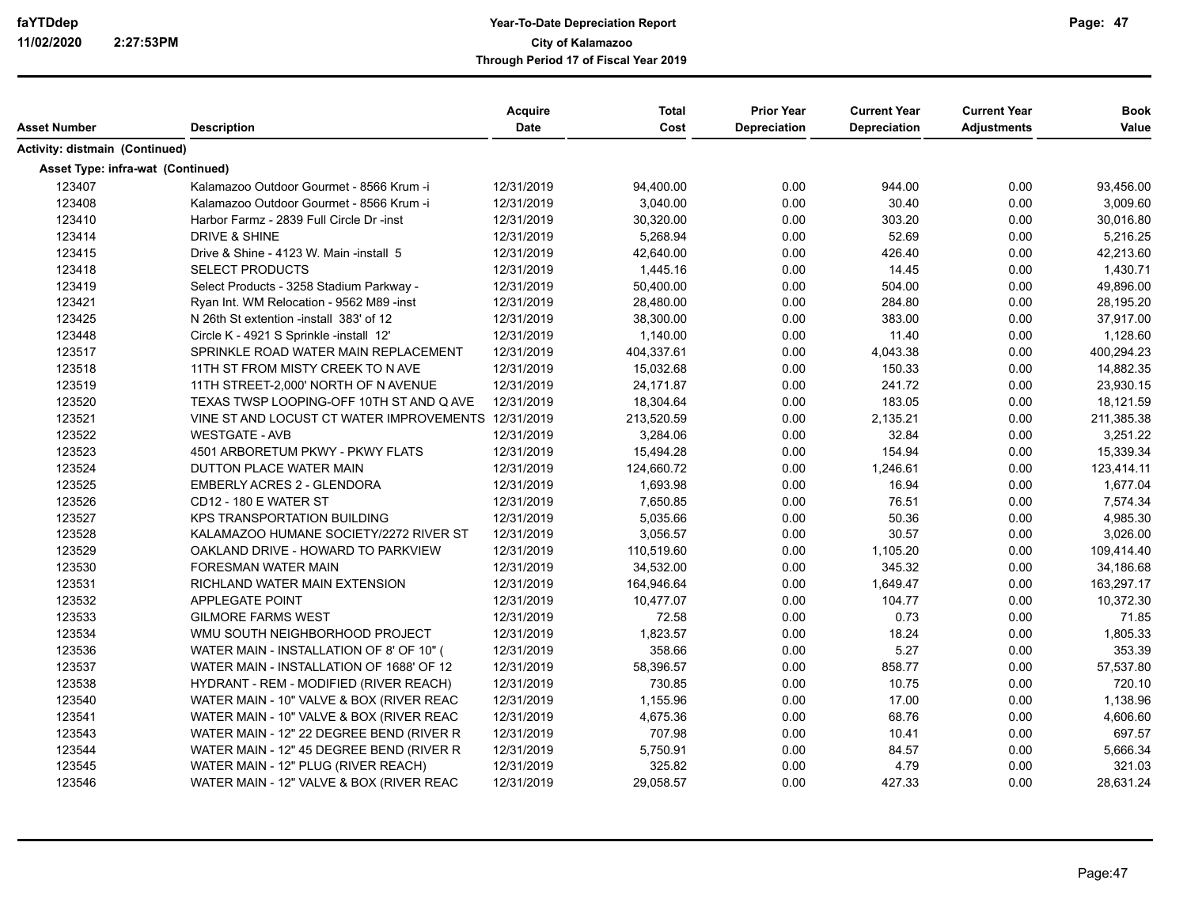|                                       |                                                     | <b>Acquire</b> | <b>Total</b> | <b>Prior Year</b>   | <b>Current Year</b> | <b>Current Year</b> | <b>Book</b> |
|---------------------------------------|-----------------------------------------------------|----------------|--------------|---------------------|---------------------|---------------------|-------------|
| Asset Number                          | <b>Description</b>                                  | <b>Date</b>    | Cost         | <b>Depreciation</b> | Depreciation        | <b>Adjustments</b>  | Value       |
| <b>Activity: distmain (Continued)</b> |                                                     |                |              |                     |                     |                     |             |
| Asset Type: infra-wat (Continued)     |                                                     |                |              |                     |                     |                     |             |
| 123407                                | Kalamazoo Outdoor Gourmet - 8566 Krum -i            | 12/31/2019     | 94,400.00    | 0.00                | 944.00              | 0.00                | 93,456.00   |
| 123408                                | Kalamazoo Outdoor Gourmet - 8566 Krum -i            | 12/31/2019     | 3,040.00     | 0.00                | 30.40               | 0.00                | 3,009.60    |
| 123410                                | Harbor Farmz - 2839 Full Circle Dr -inst            | 12/31/2019     | 30,320.00    | 0.00                | 303.20              | 0.00                | 30,016.80   |
| 123414                                | <b>DRIVE &amp; SHINE</b>                            | 12/31/2019     | 5,268.94     | 0.00                | 52.69               | 0.00                | 5,216.25    |
| 123415                                | Drive & Shine - 4123 W. Main -install 5             | 12/31/2019     | 42,640.00    | 0.00                | 426.40              | 0.00                | 42,213.60   |
| 123418                                | <b>SELECT PRODUCTS</b>                              | 12/31/2019     | 1,445.16     | 0.00                | 14.45               | 0.00                | 1,430.71    |
| 123419                                | Select Products - 3258 Stadium Parkway -            | 12/31/2019     | 50,400.00    | 0.00                | 504.00              | 0.00                | 49,896.00   |
| 123421                                | Ryan Int. WM Relocation - 9562 M89 - inst           | 12/31/2019     | 28,480.00    | 0.00                | 284.80              | 0.00                | 28,195.20   |
| 123425                                | N 26th St extention - install 383' of 12            | 12/31/2019     | 38,300.00    | 0.00                | 383.00              | 0.00                | 37,917.00   |
| 123448                                | Circle K - 4921 S Sprinkle -install 12'             | 12/31/2019     | 1,140.00     | 0.00                | 11.40               | 0.00                | 1,128.60    |
| 123517                                | SPRINKLE ROAD WATER MAIN REPLACEMENT                | 12/31/2019     | 404,337.61   | 0.00                | 4,043.38            | 0.00                | 400,294.23  |
| 123518                                | 11TH ST FROM MISTY CREEK TO N AVE                   | 12/31/2019     | 15,032.68    | 0.00                | 150.33              | 0.00                | 14,882.35   |
| 123519                                | 11TH STREET-2,000' NORTH OF N AVENUE                | 12/31/2019     | 24,171.87    | 0.00                | 241.72              | 0.00                | 23,930.15   |
| 123520                                | TEXAS TWSP LOOPING-OFF 10TH ST AND Q AVE            | 12/31/2019     | 18,304.64    | 0.00                | 183.05              | 0.00                | 18,121.59   |
| 123521                                | VINE ST AND LOCUST CT WATER IMPROVEMENTS 12/31/2019 |                | 213,520.59   | 0.00                | 2,135.21            | 0.00                | 211,385.38  |
| 123522                                | <b>WESTGATE - AVB</b>                               | 12/31/2019     | 3,284.06     | 0.00                | 32.84               | 0.00                | 3,251.22    |
| 123523                                | 4501 ARBORETUM PKWY - PKWY FLATS                    | 12/31/2019     | 15,494.28    | 0.00                | 154.94              | 0.00                | 15,339.34   |
| 123524                                | DUTTON PLACE WATER MAIN                             | 12/31/2019     | 124,660.72   | 0.00                | 1,246.61            | 0.00                | 123,414.11  |
| 123525                                | <b>EMBERLY ACRES 2 - GLENDORA</b>                   | 12/31/2019     | 1,693.98     | 0.00                | 16.94               | 0.00                | 1,677.04    |
| 123526                                | <b>CD12 - 180 E WATER ST</b>                        | 12/31/2019     | 7,650.85     | 0.00                | 76.51               | 0.00                | 7,574.34    |
| 123527                                | <b>KPS TRANSPORTATION BUILDING</b>                  | 12/31/2019     | 5,035.66     | 0.00                | 50.36               | 0.00                | 4,985.30    |
| 123528                                | KALAMAZOO HUMANE SOCIETY/2272 RIVER ST              | 12/31/2019     | 3,056.57     | 0.00                | 30.57               | 0.00                | 3,026.00    |
| 123529                                | OAKLAND DRIVE - HOWARD TO PARKVIEW                  | 12/31/2019     | 110,519.60   | 0.00                | 1,105.20            | 0.00                | 109,414.40  |
| 123530                                | <b>FORESMAN WATER MAIN</b>                          | 12/31/2019     | 34,532.00    | 0.00                | 345.32              | 0.00                | 34,186.68   |
| 123531                                | RICHLAND WATER MAIN EXTENSION                       | 12/31/2019     | 164,946.64   | 0.00                | 1,649.47            | 0.00                | 163,297.17  |
| 123532                                | <b>APPLEGATE POINT</b>                              | 12/31/2019     | 10,477.07    | 0.00                | 104.77              | 0.00                | 10,372.30   |
| 123533                                | <b>GILMORE FARMS WEST</b>                           | 12/31/2019     | 72.58        | 0.00                | 0.73                | 0.00                | 71.85       |
| 123534                                | WMU SOUTH NEIGHBORHOOD PROJECT                      | 12/31/2019     | 1,823.57     | 0.00                | 18.24               | 0.00                | 1,805.33    |
| 123536                                | WATER MAIN - INSTALLATION OF 8' OF 10" (            | 12/31/2019     | 358.66       | 0.00                | 5.27                | 0.00                | 353.39      |
| 123537                                | WATER MAIN - INSTALLATION OF 1688' OF 12            | 12/31/2019     | 58,396.57    | 0.00                | 858.77              | 0.00                | 57,537.80   |
| 123538                                | HYDRANT - REM - MODIFIED (RIVER REACH)              | 12/31/2019     | 730.85       | 0.00                | 10.75               | 0.00                | 720.10      |
| 123540                                | WATER MAIN - 10" VALVE & BOX (RIVER REAC            | 12/31/2019     | 1,155.96     | 0.00                | 17.00               | 0.00                | 1,138.96    |
| 123541                                | WATER MAIN - 10" VALVE & BOX (RIVER REAC            | 12/31/2019     | 4,675.36     | 0.00                | 68.76               | 0.00                | 4,606.60    |
| 123543                                | WATER MAIN - 12" 22 DEGREE BEND (RIVER R            | 12/31/2019     | 707.98       | 0.00                | 10.41               | 0.00                | 697.57      |
| 123544                                | WATER MAIN - 12" 45 DEGREE BEND (RIVER R            | 12/31/2019     | 5,750.91     | 0.00                | 84.57               | 0.00                | 5,666.34    |
| 123545                                | WATER MAIN - 12" PLUG (RIVER REACH)                 | 12/31/2019     | 325.82       | 0.00                | 4.79                | 0.00                | 321.03      |
| 123546                                | WATER MAIN - 12" VALVE & BOX (RIVER REAC            | 12/31/2019     | 29,058.57    | 0.00                | 427.33              | 0.00                | 28,631.24   |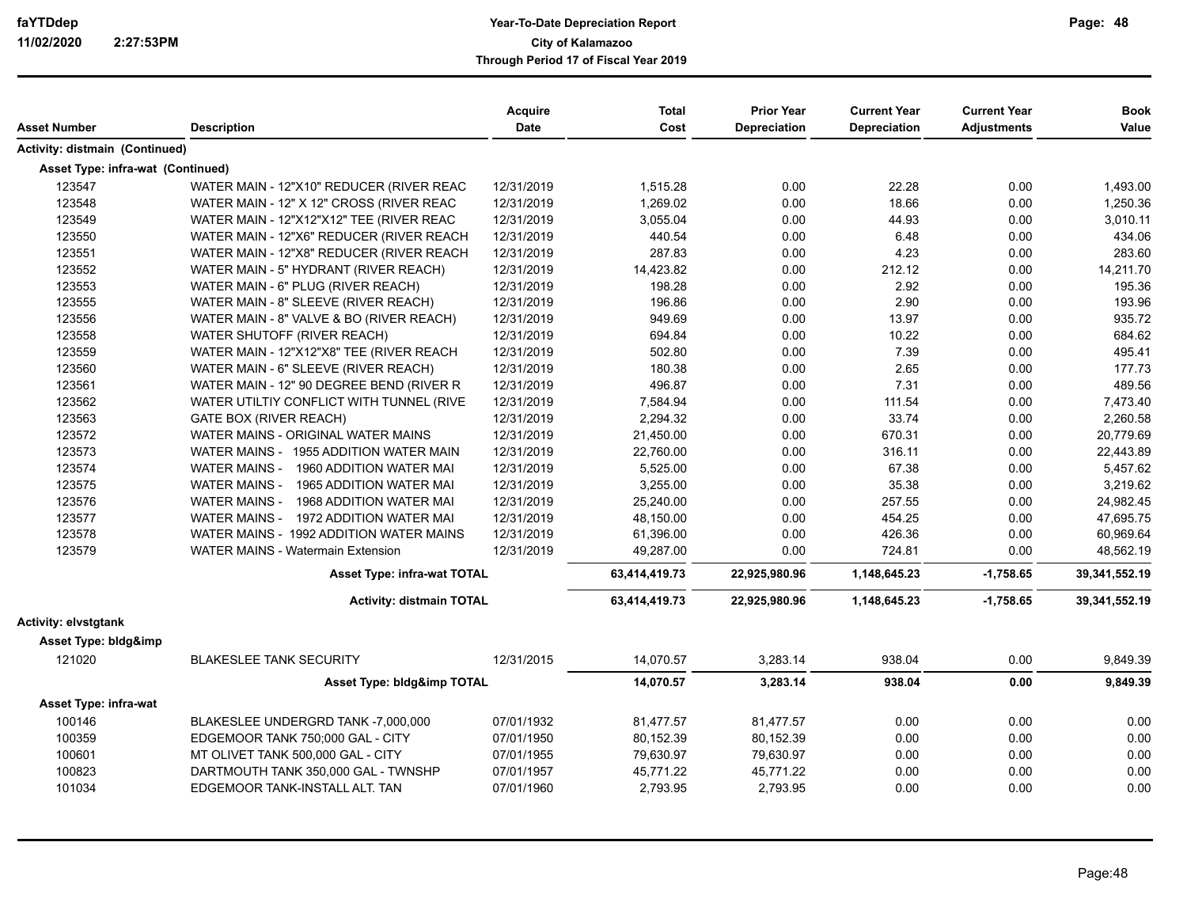| Asset Number                      | <b>Description</b>                              | Acquire<br><b>Date</b> | <b>Total</b><br>Cost | <b>Prior Year</b><br><b>Depreciation</b> | <b>Current Year</b><br><b>Depreciation</b> | <b>Current Year</b><br><b>Adjustments</b> | <b>Book</b><br>Value |
|-----------------------------------|-------------------------------------------------|------------------------|----------------------|------------------------------------------|--------------------------------------------|-------------------------------------------|----------------------|
| Activity: distmain (Continued)    |                                                 |                        |                      |                                          |                                            |                                           |                      |
| Asset Type: infra-wat (Continued) |                                                 |                        |                      |                                          |                                            |                                           |                      |
| 123547                            | WATER MAIN - 12"X10" REDUCER (RIVER REAC        | 12/31/2019             | 1,515.28             | 0.00                                     | 22.28                                      | 0.00                                      | 1,493.00             |
| 123548                            | WATER MAIN - 12" X 12" CROSS (RIVER REAC        | 12/31/2019             | 1,269.02             | 0.00                                     | 18.66                                      | 0.00                                      | 1,250.36             |
| 123549                            | WATER MAIN - 12"X12"X12" TEE (RIVER REAC        | 12/31/2019             | 3,055.04             | 0.00                                     | 44.93                                      | 0.00                                      | 3,010.11             |
| 123550                            | WATER MAIN - 12"X6" REDUCER (RIVER REACH        | 12/31/2019             | 440.54               | 0.00                                     | 6.48                                       | 0.00                                      | 434.06               |
| 123551                            | WATER MAIN - 12"X8" REDUCER (RIVER REACH        | 12/31/2019             | 287.83               | 0.00                                     | 4.23                                       | 0.00                                      | 283.60               |
| 123552                            | WATER MAIN - 5" HYDRANT (RIVER REACH)           | 12/31/2019             | 14,423.82            | 0.00                                     | 212.12                                     | 0.00                                      | 14,211.70            |
| 123553                            | WATER MAIN - 6" PLUG (RIVER REACH)              | 12/31/2019             | 198.28               | 0.00                                     | 2.92                                       | 0.00                                      | 195.36               |
| 123555                            | WATER MAIN - 8" SLEEVE (RIVER REACH)            | 12/31/2019             | 196.86               | 0.00                                     | 2.90                                       | 0.00                                      | 193.96               |
| 123556                            | WATER MAIN - 8" VALVE & BO (RIVER REACH)        | 12/31/2019             | 949.69               | 0.00                                     | 13.97                                      | 0.00                                      | 935.72               |
| 123558                            | WATER SHUTOFF (RIVER REACH)                     | 12/31/2019             | 694.84               | 0.00                                     | 10.22                                      | 0.00                                      | 684.62               |
| 123559                            | WATER MAIN - 12"X12"X8" TEE (RIVER REACH        | 12/31/2019             | 502.80               | 0.00                                     | 7.39                                       | 0.00                                      | 495.41               |
| 123560                            | WATER MAIN - 6" SLEEVE (RIVER REACH)            | 12/31/2019             | 180.38               | 0.00                                     | 2.65                                       | 0.00                                      | 177.73               |
| 123561                            | WATER MAIN - 12" 90 DEGREE BEND (RIVER R        | 12/31/2019             | 496.87               | 0.00                                     | 7.31                                       | 0.00                                      | 489.56               |
| 123562                            | WATER UTILTIY CONFLICT WITH TUNNEL (RIVE        | 12/31/2019             | 7,584.94             | 0.00                                     | 111.54                                     | 0.00                                      | 7,473.40             |
| 123563                            | <b>GATE BOX (RIVER REACH)</b>                   | 12/31/2019             | 2,294.32             | 0.00                                     | 33.74                                      | 0.00                                      | 2,260.58             |
| 123572                            | WATER MAINS - ORIGINAL WATER MAINS              | 12/31/2019             | 21,450.00            | 0.00                                     | 670.31                                     | 0.00                                      | 20,779.69            |
| 123573                            | WATER MAINS - 1955 ADDITION WATER MAIN          | 12/31/2019             | 22,760.00            | 0.00                                     | 316.11                                     | 0.00                                      | 22,443.89            |
| 123574                            | WATER MAINS -<br>1960 ADDITION WATER MAI        | 12/31/2019             | 5,525.00             | 0.00                                     | 67.38                                      | 0.00                                      | 5,457.62             |
| 123575                            | 1965 ADDITION WATER MAI<br><b>WATER MAINS -</b> | 12/31/2019             | 3,255.00             | 0.00                                     | 35.38                                      | 0.00                                      | 3,219.62             |
| 123576                            | <b>WATER MAINS -</b><br>1968 ADDITION WATER MAI | 12/31/2019             | 25,240.00            | 0.00                                     | 257.55                                     | 0.00                                      | 24,982.45            |
| 123577                            | WATER MAINS - 1972 ADDITION WATER MAI           | 12/31/2019             | 48,150.00            | 0.00                                     | 454.25                                     | 0.00                                      | 47,695.75            |
| 123578                            | WATER MAINS - 1992 ADDITION WATER MAINS         | 12/31/2019             | 61,396.00            | 0.00                                     | 426.36                                     | 0.00                                      | 60,969.64            |
| 123579                            | <b>WATER MAINS - Watermain Extension</b>        | 12/31/2019             | 49,287.00            | 0.00                                     | 724.81                                     | 0.00                                      | 48,562.19            |
|                                   | Asset Type: infra-wat TOTAL                     |                        | 63,414,419.73        | 22,925,980.96                            | 1,148,645.23                               | $-1,758.65$                               | 39,341,552.19        |
|                                   | <b>Activity: distmain TOTAL</b>                 |                        | 63,414,419.73        | 22,925,980.96                            | 1,148,645.23                               | $-1,758.65$                               | 39,341,552.19        |
| Activity: elvstqtank              |                                                 |                        |                      |                                          |                                            |                                           |                      |
| Asset Type: bldg&imp              |                                                 |                        |                      |                                          |                                            |                                           |                      |
| 121020                            | <b>BLAKESLEE TANK SECURITY</b>                  | 12/31/2015             | 14,070.57            | 3,283.14                                 | 938.04                                     | 0.00                                      | 9,849.39             |
|                                   | Asset Type: bldg&imp TOTAL                      |                        | 14,070.57            | 3,283.14                                 | 938.04                                     | 0.00                                      | 9,849.39             |
| Asset Type: infra-wat             |                                                 |                        |                      |                                          |                                            |                                           |                      |
| 100146                            | BLAKESLEE UNDERGRD TANK -7,000,000              | 07/01/1932             | 81,477.57            | 81,477.57                                | 0.00                                       | 0.00                                      | 0.00                 |
| 100359                            | EDGEMOOR TANK 750;000 GAL - CITY                | 07/01/1950             | 80,152.39            | 80,152.39                                | 0.00                                       | 0.00                                      | 0.00                 |
| 100601                            | MT OLIVET TANK 500,000 GAL - CITY               | 07/01/1955             | 79,630.97            | 79,630.97                                | 0.00                                       | 0.00                                      | 0.00                 |
| 100823                            | DARTMOUTH TANK 350,000 GAL - TWNSHP             | 07/01/1957             | 45,771.22            | 45.771.22                                | 0.00                                       | 0.00                                      | 0.00                 |
| 101034                            | EDGEMOOR TANK-INSTALL ALT. TAN                  | 07/01/1960             | 2,793.95             | 2,793.95                                 | 0.00                                       | 0.00                                      | 0.00                 |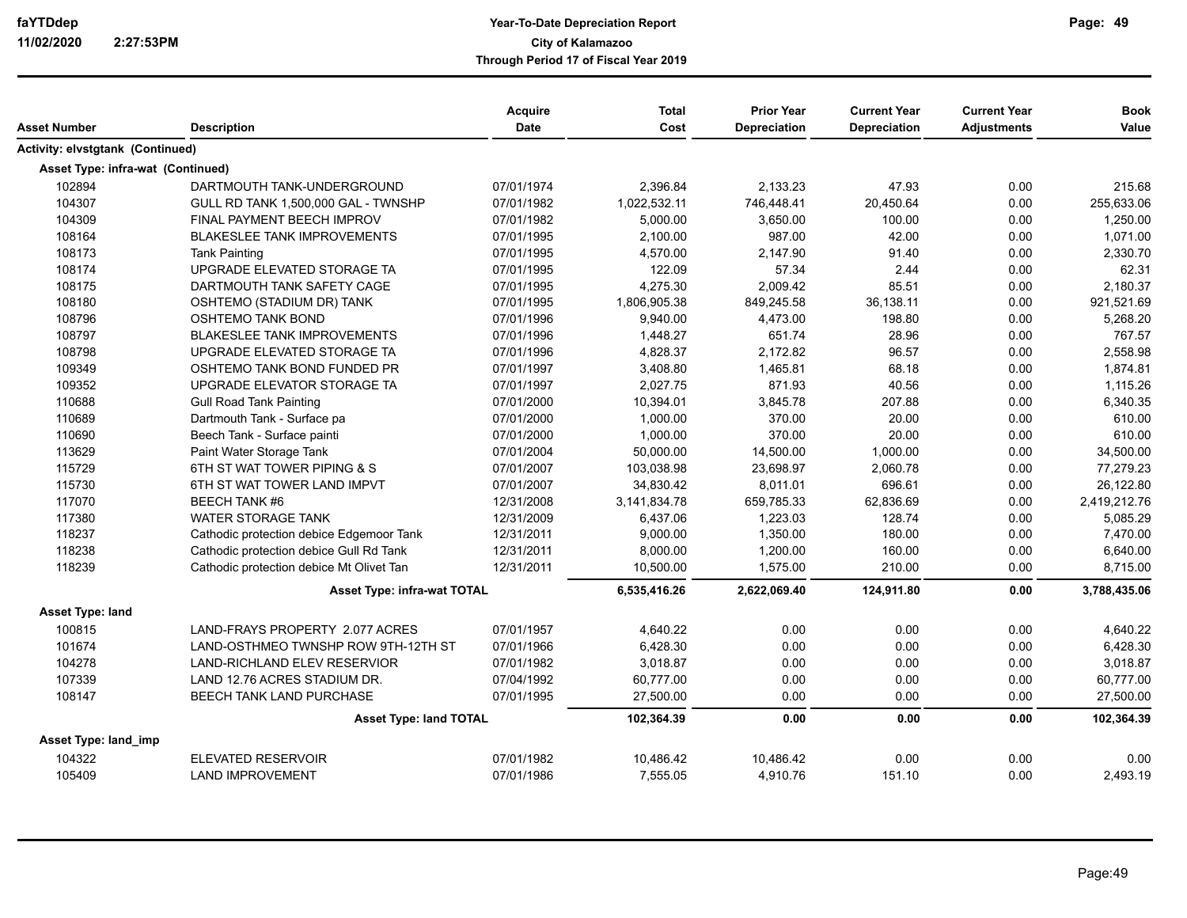|                                         |                                          | <b>Acquire</b> | <b>Total</b> | <b>Prior Year</b>   | <b>Current Year</b> | <b>Current Year</b> | <b>Book</b>  |
|-----------------------------------------|------------------------------------------|----------------|--------------|---------------------|---------------------|---------------------|--------------|
| Asset Number                            | <b>Description</b>                       | <b>Date</b>    | Cost         | <b>Depreciation</b> | <b>Depreciation</b> | <b>Adjustments</b>  | Value        |
| <b>Activity: elvstgtank (Continued)</b> |                                          |                |              |                     |                     |                     |              |
| Asset Type: infra-wat (Continued)       |                                          |                |              |                     |                     |                     |              |
| 102894                                  | DARTMOUTH TANK-UNDERGROUND               | 07/01/1974     | 2,396.84     | 2,133.23            | 47.93               | 0.00                | 215.68       |
| 104307                                  | GULL RD TANK 1,500,000 GAL - TWNSHP      | 07/01/1982     | 1,022,532.11 | 746,448.41          | 20,450.64           | 0.00                | 255,633.06   |
| 104309                                  | <b>FINAL PAYMENT BEECH IMPROV</b>        | 07/01/1982     | 5.000.00     | 3,650.00            | 100.00              | 0.00                | 1,250.00     |
| 108164                                  | <b>BLAKESLEE TANK IMPROVEMENTS</b>       | 07/01/1995     | 2,100.00     | 987.00              | 42.00               | 0.00                | 1,071.00     |
| 108173                                  | <b>Tank Painting</b>                     | 07/01/1995     | 4,570.00     | 2,147.90            | 91.40               | 0.00                | 2,330.70     |
| 108174                                  | UPGRADE ELEVATED STORAGE TA              | 07/01/1995     | 122.09       | 57.34               | 2.44                | 0.00                | 62.31        |
| 108175                                  | DARTMOUTH TANK SAFETY CAGE               | 07/01/1995     | 4,275.30     | 2,009.42            | 85.51               | 0.00                | 2,180.37     |
| 108180                                  | OSHTEMO (STADIUM DR) TANK                | 07/01/1995     | 1,806,905.38 | 849,245.58          | 36,138.11           | 0.00                | 921,521.69   |
| 108796                                  | <b>OSHTEMO TANK BOND</b>                 | 07/01/1996     | 9,940.00     | 4,473.00            | 198.80              | 0.00                | 5,268.20     |
| 108797                                  | <b>BLAKESLEE TANK IMPROVEMENTS</b>       | 07/01/1996     | 1,448.27     | 651.74              | 28.96               | 0.00                | 767.57       |
| 108798                                  | UPGRADE ELEVATED STORAGE TA              | 07/01/1996     | 4,828.37     | 2,172.82            | 96.57               | 0.00                | 2,558.98     |
| 109349                                  | OSHTEMO TANK BOND FUNDED PR              | 07/01/1997     | 3.408.80     | 1,465.81            | 68.18               | 0.00                | 1,874.81     |
| 109352                                  | UPGRADE ELEVATOR STORAGE TA              | 07/01/1997     | 2,027.75     | 871.93              | 40.56               | 0.00                | 1,115.26     |
| 110688                                  | <b>Gull Road Tank Painting</b>           | 07/01/2000     | 10,394.01    | 3,845.78            | 207.88              | 0.00                | 6,340.35     |
| 110689                                  | Dartmouth Tank - Surface pa              | 07/01/2000     | 1,000.00     | 370.00              | 20.00               | 0.00                | 610.00       |
| 110690                                  | Beech Tank - Surface painti              | 07/01/2000     | 1,000.00     | 370.00              | 20.00               | 0.00                | 610.00       |
| 113629                                  | Paint Water Storage Tank                 | 07/01/2004     | 50,000.00    | 14,500.00           | 1,000.00            | 0.00                | 34,500.00    |
| 115729                                  | 6TH ST WAT TOWER PIPING & S              | 07/01/2007     | 103,038.98   | 23,698.97           | 2,060.78            | 0.00                | 77,279.23    |
| 115730                                  | 6TH ST WAT TOWER LAND IMPVT              | 07/01/2007     | 34,830.42    | 8,011.01            | 696.61              | 0.00                | 26,122.80    |
| 117070                                  | <b>BEECH TANK#6</b>                      | 12/31/2008     | 3,141,834.78 | 659,785.33          | 62,836.69           | 0.00                | 2,419,212.76 |
| 117380                                  | <b>WATER STORAGE TANK</b>                | 12/31/2009     | 6,437.06     | 1,223.03            | 128.74              | 0.00                | 5,085.29     |
| 118237                                  | Cathodic protection debice Edgemoor Tank | 12/31/2011     | 9,000.00     | 1,350.00            | 180.00              | 0.00                | 7,470.00     |
| 118238                                  | Cathodic protection debice Gull Rd Tank  | 12/31/2011     | 8,000.00     | 1,200.00            | 160.00              | 0.00                | 6,640.00     |
| 118239                                  | Cathodic protection debice Mt Olivet Tan | 12/31/2011     | 10,500.00    | 1,575.00            | 210.00              | 0.00                | 8,715.00     |
|                                         | <b>Asset Type: infra-wat TOTAL</b>       |                | 6,535,416.26 | 2,622,069.40        | 124,911.80          | 0.00                | 3,788,435.06 |
| <b>Asset Type: land</b>                 |                                          |                |              |                     |                     |                     |              |
| 100815                                  | LAND-FRAYS PROPERTY 2.077 ACRES          | 07/01/1957     | 4,640.22     | 0.00                | 0.00                | 0.00                | 4,640.22     |
| 101674                                  | LAND-OSTHMEO TWNSHP ROW 9TH-12TH ST      | 07/01/1966     | 6,428.30     | 0.00                | 0.00                | 0.00                | 6,428.30     |
| 104278                                  | LAND-RICHLAND ELEV RESERVIOR             | 07/01/1982     | 3,018.87     | 0.00                | 0.00                | 0.00                | 3,018.87     |
| 107339                                  | LAND 12.76 ACRES STADIUM DR.             | 07/04/1992     | 60,777.00    | 0.00                | 0.00                | 0.00                | 60,777.00    |
| 108147                                  | <b>BEECH TANK LAND PURCHASE</b>          | 07/01/1995     | 27,500.00    | 0.00                | 0.00                | 0.00                | 27,500.00    |
|                                         | <b>Asset Type: land TOTAL</b>            |                | 102,364.39   | 0.00                | 0.00                | 0.00                | 102,364.39   |
| Asset Type: land_imp                    |                                          |                |              |                     |                     |                     |              |
| 104322                                  | <b>ELEVATED RESERVOIR</b>                | 07/01/1982     | 10,486.42    | 10,486.42           | 0.00                | 0.00                | 0.00         |
| 105409                                  | <b>LAND IMPROVEMENT</b>                  | 07/01/1986     | 7,555.05     | 4,910.76            | 151.10              | 0.00                | 2,493.19     |
|                                         |                                          |                |              |                     |                     |                     |              |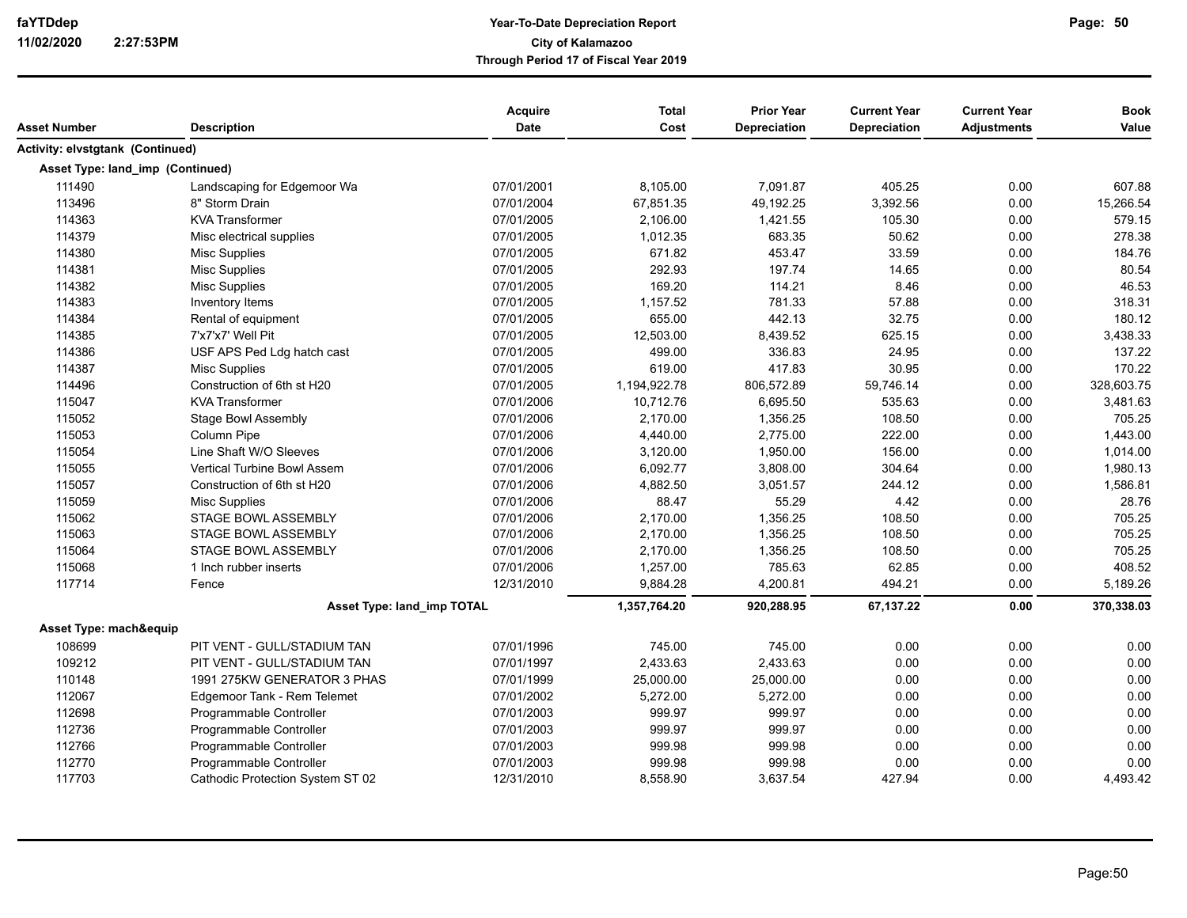| Asset Number                     | <b>Description</b>                | Acquire<br><b>Date</b> | <b>Total</b><br>Cost | <b>Prior Year</b><br><b>Depreciation</b> | <b>Current Year</b><br><b>Depreciation</b> | <b>Current Year</b><br><b>Adjustments</b> | <b>Book</b><br>Value |
|----------------------------------|-----------------------------------|------------------------|----------------------|------------------------------------------|--------------------------------------------|-------------------------------------------|----------------------|
| Activity: elvstgtank (Continued) |                                   |                        |                      |                                          |                                            |                                           |                      |
| Asset Type: land imp (Continued) |                                   |                        |                      |                                          |                                            |                                           |                      |
| 111490                           | Landscaping for Edgemoor Wa       | 07/01/2001             | 8,105.00             | 7,091.87                                 | 405.25                                     | 0.00                                      | 607.88               |
| 113496                           | 8" Storm Drain                    | 07/01/2004             | 67,851.35            | 49,192.25                                | 3,392.56                                   | 0.00                                      | 15,266.54            |
| 114363                           | <b>KVA Transformer</b>            | 07/01/2005             | 2,106.00             | 1,421.55                                 | 105.30                                     | 0.00                                      | 579.15               |
| 114379                           | Misc electrical supplies          | 07/01/2005             | 1,012.35             | 683.35                                   | 50.62                                      | 0.00                                      | 278.38               |
| 114380                           | <b>Misc Supplies</b>              | 07/01/2005             | 671.82               | 453.47                                   | 33.59                                      | 0.00                                      | 184.76               |
| 114381                           | Misc Supplies                     | 07/01/2005             | 292.93               | 197.74                                   | 14.65                                      | 0.00                                      | 80.54                |
| 114382                           | <b>Misc Supplies</b>              | 07/01/2005             | 169.20               | 114.21                                   | 8.46                                       | 0.00                                      | 46.53                |
| 114383                           | Inventory Items                   | 07/01/2005             | 1,157.52             | 781.33                                   | 57.88                                      | 0.00                                      | 318.31               |
| 114384                           | Rental of equipment               | 07/01/2005             | 655.00               | 442.13                                   | 32.75                                      | 0.00                                      | 180.12               |
| 114385                           | 7'x7'x7' Well Pit                 | 07/01/2005             | 12,503.00            | 8,439.52                                 | 625.15                                     | 0.00                                      | 3,438.33             |
| 114386                           | USF APS Ped Ldg hatch cast        | 07/01/2005             | 499.00               | 336.83                                   | 24.95                                      | 0.00                                      | 137.22               |
| 114387                           | Misc Supplies                     | 07/01/2005             | 619.00               | 417.83                                   | 30.95                                      | 0.00                                      | 170.22               |
| 114496                           | Construction of 6th st H20        | 07/01/2005             | 1,194,922.78         | 806,572.89                               | 59,746.14                                  | 0.00                                      | 328,603.75           |
| 115047                           | <b>KVA Transformer</b>            | 07/01/2006             | 10,712.76            | 6,695.50                                 | 535.63                                     | 0.00                                      | 3,481.63             |
| 115052                           | <b>Stage Bowl Assembly</b>        | 07/01/2006             | 2,170.00             | 1,356.25                                 | 108.50                                     | 0.00                                      | 705.25               |
| 115053                           | Column Pipe                       | 07/01/2006             | 4,440.00             | 2,775.00                                 | 222.00                                     | 0.00                                      | 1,443.00             |
| 115054                           | Line Shaft W/O Sleeves            | 07/01/2006             | 3,120.00             | 1,950.00                                 | 156.00                                     | 0.00                                      | 1,014.00             |
| 115055                           | Vertical Turbine Bowl Assem       | 07/01/2006             | 6,092.77             | 3,808.00                                 | 304.64                                     | 0.00                                      | 1,980.13             |
| 115057                           | Construction of 6th st H20        | 07/01/2006             | 4,882.50             | 3,051.57                                 | 244.12                                     | 0.00                                      | 1,586.81             |
| 115059                           | Misc Supplies                     | 07/01/2006             | 88.47                | 55.29                                    | 4.42                                       | 0.00                                      | 28.76                |
| 115062                           | STAGE BOWL ASSEMBLY               | 07/01/2006             | 2,170.00             | 1,356.25                                 | 108.50                                     | 0.00                                      | 705.25               |
| 115063                           | STAGE BOWL ASSEMBLY               | 07/01/2006             | 2,170.00             | 1,356.25                                 | 108.50                                     | 0.00                                      | 705.25               |
| 115064                           | <b>STAGE BOWL ASSEMBLY</b>        | 07/01/2006             | 2,170.00             | 1,356.25                                 | 108.50                                     | 0.00                                      | 705.25               |
| 115068                           | 1 Inch rubber inserts             | 07/01/2006             | 1,257.00             | 785.63                                   | 62.85                                      | 0.00                                      | 408.52               |
| 117714                           | Fence                             | 12/31/2010             | 9,884.28             | 4,200.81                                 | 494.21                                     | 0.00                                      | 5,189.26             |
|                                  | <b>Asset Type: land imp TOTAL</b> |                        | 1,357,764.20         | 920,288.95                               | 67,137.22                                  | 0.00                                      | 370,338.03           |
| Asset Type: mach&equip           |                                   |                        |                      |                                          |                                            |                                           |                      |
| 108699                           | PIT VENT - GULL/STADIUM TAN       | 07/01/1996             | 745.00               | 745.00                                   | 0.00                                       | 0.00                                      | 0.00                 |
| 109212                           | PIT VENT - GULL/STADIUM TAN       | 07/01/1997             | 2,433.63             | 2,433.63                                 | 0.00                                       | 0.00                                      | 0.00                 |
| 110148                           | 1991 275KW GENERATOR 3 PHAS       | 07/01/1999             | 25,000.00            | 25,000.00                                | 0.00                                       | 0.00                                      | 0.00                 |
| 112067                           | Edgemoor Tank - Rem Telemet       | 07/01/2002             | 5,272.00             | 5,272.00                                 | 0.00                                       | 0.00                                      | 0.00                 |
| 112698                           | Programmable Controller           | 07/01/2003             | 999.97               | 999.97                                   | 0.00                                       | 0.00                                      | 0.00                 |
| 112736                           | Programmable Controller           | 07/01/2003             | 999.97               | 999.97                                   | 0.00                                       | 0.00                                      | 0.00                 |
| 112766                           | Programmable Controller           | 07/01/2003             | 999.98               | 999.98                                   | 0.00                                       | 0.00                                      | 0.00                 |
| 112770                           | Programmable Controller           | 07/01/2003             | 999.98               | 999.98                                   | 0.00                                       | 0.00                                      | 0.00                 |
| 117703                           | Cathodic Protection System ST 02  | 12/31/2010             | 8,558.90             | 3,637.54                                 | 427.94                                     | 0.00                                      | 4,493.42             |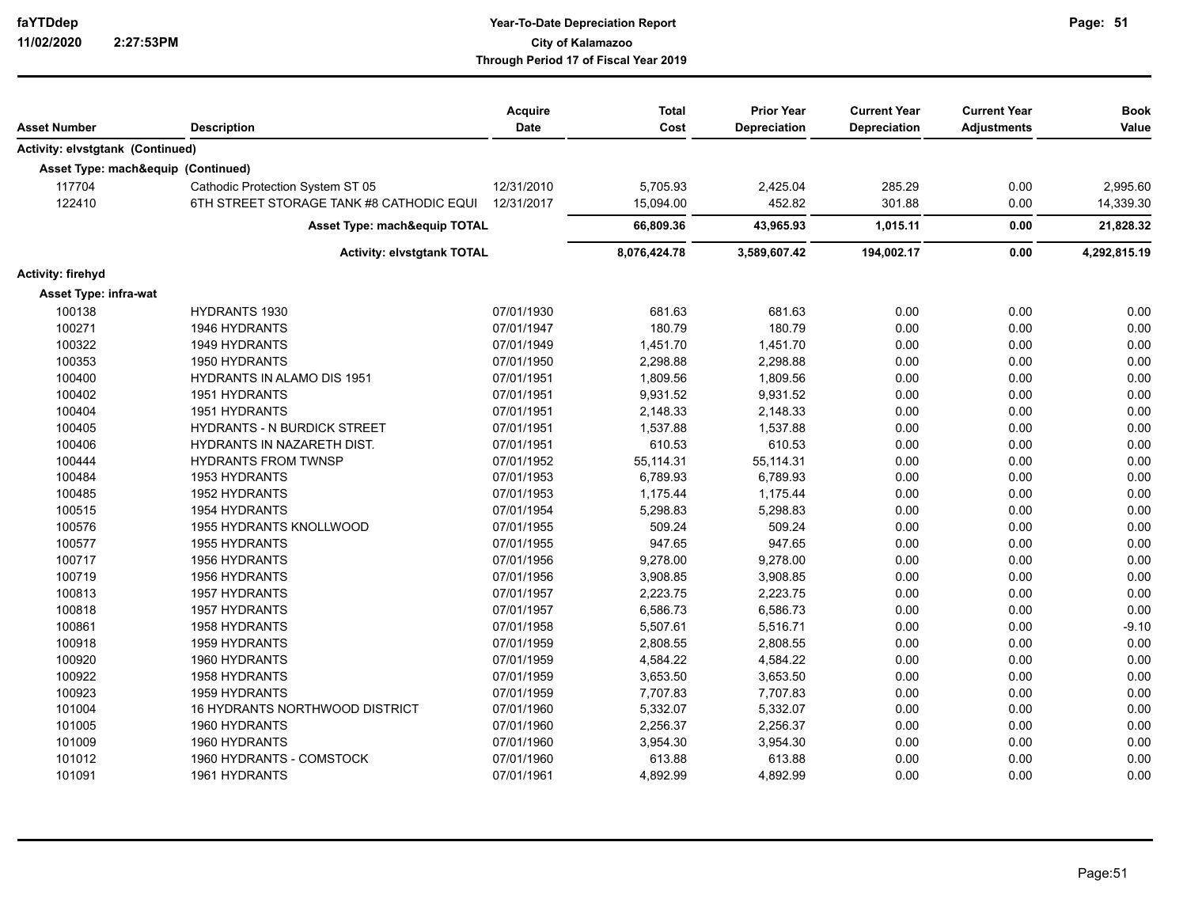| Asset Number                            | <b>Description</b>                       | Acquire<br>Date | <b>Total</b><br>Cost | <b>Prior Year</b><br>Depreciation | <b>Current Year</b><br>Depreciation | <b>Current Year</b><br><b>Adjustments</b> | <b>Book</b><br>Value |
|-----------------------------------------|------------------------------------------|-----------------|----------------------|-----------------------------------|-------------------------------------|-------------------------------------------|----------------------|
|                                         |                                          |                 |                      |                                   |                                     |                                           |                      |
| <b>Activity: elvstgtank (Continued)</b> |                                          |                 |                      |                                   |                                     |                                           |                      |
| Asset Type: mach&equip (Continued)      |                                          |                 |                      |                                   |                                     |                                           |                      |
| 117704                                  | Cathodic Protection System ST 05         | 12/31/2010      | 5,705.93             | 2,425.04                          | 285.29                              | 0.00                                      | 2,995.60             |
| 122410                                  | 6TH STREET STORAGE TANK #8 CATHODIC EQUI | 12/31/2017      | 15,094.00            | 452.82                            | 301.88                              | 0.00                                      | 14,339.30            |
|                                         | <b>Asset Type: mach&amp;equip TOTAL</b>  |                 | 66,809.36            | 43,965.93                         | 1,015.11                            | 0.00                                      | 21,828.32            |
|                                         | <b>Activity: elvstgtank TOTAL</b>        |                 | 8,076,424.78         | 3,589,607.42                      | 194,002.17                          | 0.00                                      | 4,292,815.19         |
| Activity: firehyd                       |                                          |                 |                      |                                   |                                     |                                           |                      |
| Asset Type: infra-wat                   |                                          |                 |                      |                                   |                                     |                                           |                      |
| 100138                                  | <b>HYDRANTS 1930</b>                     | 07/01/1930      | 681.63               | 681.63                            | 0.00                                | 0.00                                      | 0.00                 |
| 100271                                  | 1946 HYDRANTS                            | 07/01/1947      | 180.79               | 180.79                            | 0.00                                | 0.00                                      | 0.00                 |
| 100322                                  | 1949 HYDRANTS                            | 07/01/1949      | 1,451.70             | 1,451.70                          | 0.00                                | 0.00                                      | 0.00                 |
| 100353                                  | 1950 HYDRANTS                            | 07/01/1950      | 2,298.88             | 2,298.88                          | 0.00                                | 0.00                                      | 0.00                 |
| 100400                                  | <b>HYDRANTS IN ALAMO DIS 1951</b>        | 07/01/1951      | 1,809.56             | 1,809.56                          | 0.00                                | 0.00                                      | 0.00                 |
| 100402                                  | 1951 HYDRANTS                            | 07/01/1951      | 9,931.52             | 9,931.52                          | 0.00                                | 0.00                                      | 0.00                 |
| 100404                                  | 1951 HYDRANTS                            | 07/01/1951      | 2,148.33             | 2,148.33                          | 0.00                                | 0.00                                      | 0.00                 |
| 100405                                  | <b>HYDRANTS - N BURDICK STREET</b>       | 07/01/1951      | 1,537.88             | 1,537.88                          | 0.00                                | 0.00                                      | 0.00                 |
| 100406                                  | <b>HYDRANTS IN NAZARETH DIST.</b>        | 07/01/1951      | 610.53               | 610.53                            | 0.00                                | 0.00                                      | 0.00                 |
| 100444                                  | <b>HYDRANTS FROM TWNSP</b>               | 07/01/1952      | 55,114.31            | 55,114.31                         | 0.00                                | 0.00                                      | 0.00                 |
| 100484                                  | 1953 HYDRANTS                            | 07/01/1953      | 6,789.93             | 6,789.93                          | 0.00                                | 0.00                                      | 0.00                 |
| 100485                                  | 1952 HYDRANTS                            | 07/01/1953      | 1,175.44             | 1,175.44                          | 0.00                                | 0.00                                      | 0.00                 |
| 100515                                  | <b>1954 HYDRANTS</b>                     | 07/01/1954      | 5,298.83             | 5,298.83                          | 0.00                                | 0.00                                      | 0.00                 |
| 100576                                  | <b>1955 HYDRANTS KNOLLWOOD</b>           | 07/01/1955      | 509.24               | 509.24                            | 0.00                                | 0.00                                      | 0.00                 |
| 100577                                  | 1955 HYDRANTS                            | 07/01/1955      | 947.65               | 947.65                            | 0.00                                | 0.00                                      | 0.00                 |
| 100717                                  | <b>1956 HYDRANTS</b>                     | 07/01/1956      | 9,278.00             | 9,278.00                          | 0.00                                | 0.00                                      | 0.00                 |
| 100719                                  | <b>1956 HYDRANTS</b>                     | 07/01/1956      | 3,908.85             | 3,908.85                          | 0.00                                | 0.00                                      | 0.00                 |
| 100813                                  | 1957 HYDRANTS                            | 07/01/1957      | 2,223.75             | 2,223.75                          | 0.00                                | 0.00                                      | 0.00                 |
| 100818                                  | 1957 HYDRANTS                            | 07/01/1957      | 6,586.73             | 6,586.73                          | 0.00                                | 0.00                                      | 0.00                 |
| 100861                                  | 1958 HYDRANTS                            | 07/01/1958      | 5,507.61             | 5,516.71                          | 0.00                                | 0.00                                      | $-9.10$              |
| 100918                                  | 1959 HYDRANTS                            | 07/01/1959      | 2,808.55             | 2,808.55                          | 0.00                                | 0.00                                      | 0.00                 |
| 100920                                  | 1960 HYDRANTS                            | 07/01/1959      | 4,584.22             | 4,584.22                          | 0.00                                | 0.00                                      | 0.00                 |
| 100922                                  | 1958 HYDRANTS                            | 07/01/1959      | 3,653.50             | 3,653.50                          | 0.00                                | 0.00                                      | 0.00                 |
| 100923                                  | <b>1959 HYDRANTS</b>                     | 07/01/1959      | 7,707.83             | 7,707.83                          | 0.00                                | 0.00                                      | 0.00                 |
| 101004                                  | 16 HYDRANTS NORTHWOOD DISTRICT           | 07/01/1960      | 5,332.07             | 5,332.07                          | 0.00                                | 0.00                                      | 0.00                 |
| 101005                                  | 1960 HYDRANTS                            | 07/01/1960      | 2,256.37             | 2,256.37                          | 0.00                                | 0.00                                      | 0.00                 |
| 101009                                  | 1960 HYDRANTS                            | 07/01/1960      | 3,954.30             | 3,954.30                          | 0.00                                | 0.00                                      | 0.00                 |
| 101012                                  | 1960 HYDRANTS - COMSTOCK                 | 07/01/1960      | 613.88               | 613.88                            | 0.00                                | 0.00                                      | 0.00                 |
| 101091                                  | 1961 HYDRANTS                            | 07/01/1961      | 4,892.99             | 4,892.99                          | 0.00                                | 0.00                                      | 0.00                 |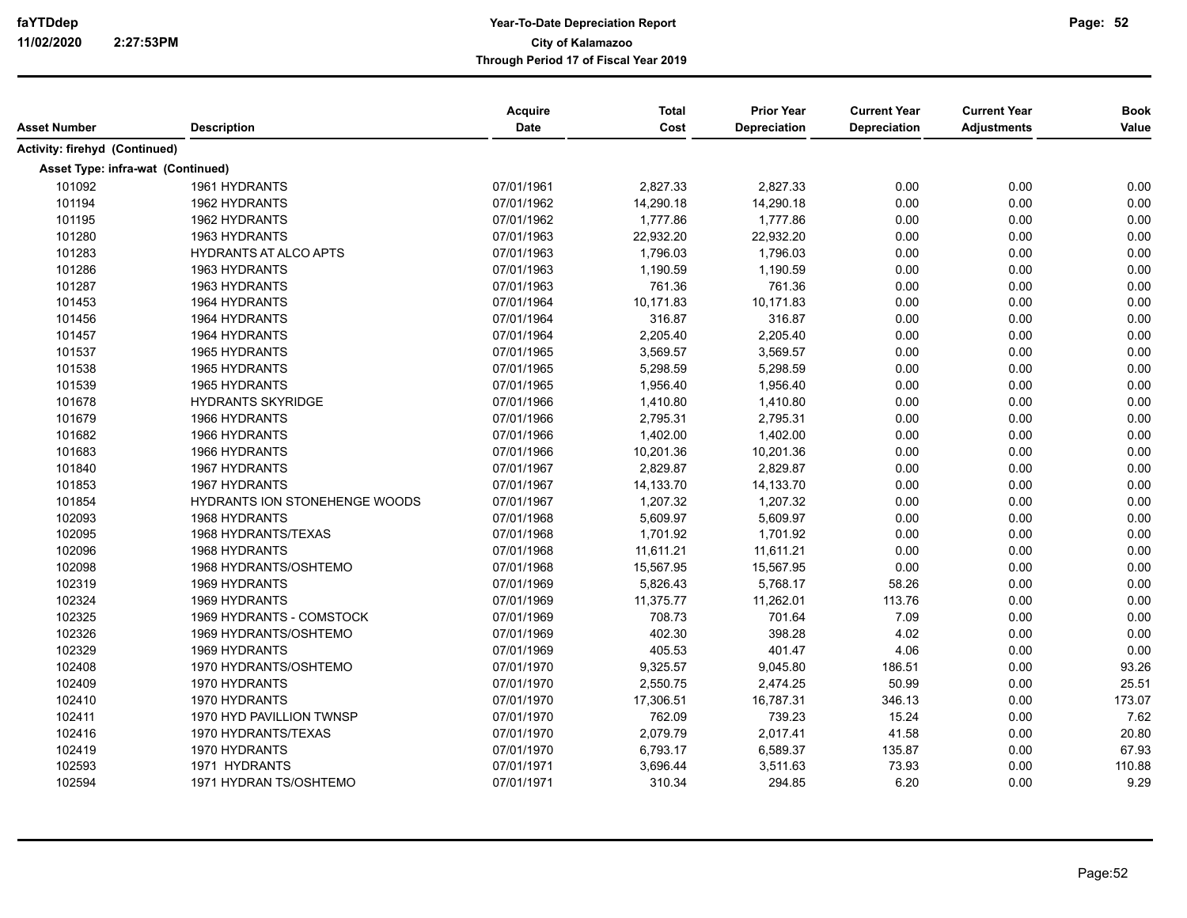| Asset Number                      | <b>Description</b>            | Acquire<br>Date | <b>Total</b><br>Cost | <b>Prior Year</b><br>Depreciation | <b>Current Year</b><br>Depreciation | <b>Current Year</b><br><b>Adjustments</b> | <b>Book</b><br>Value |
|-----------------------------------|-------------------------------|-----------------|----------------------|-----------------------------------|-------------------------------------|-------------------------------------------|----------------------|
| Activity: firehyd (Continued)     |                               |                 |                      |                                   |                                     |                                           |                      |
| Asset Type: infra-wat (Continued) |                               |                 |                      |                                   |                                     |                                           |                      |
| 101092                            | 1961 HYDRANTS                 | 07/01/1961      | 2,827.33             | 2,827.33                          | 0.00                                | 0.00                                      | 0.00                 |
| 101194                            | <b>1962 HYDRANTS</b>          | 07/01/1962      | 14,290.18            | 14,290.18                         | 0.00                                | 0.00                                      | 0.00                 |
| 101195                            | <b>1962 HYDRANTS</b>          | 07/01/1962      | 1,777.86             | 1,777.86                          | 0.00                                | 0.00                                      | 0.00                 |
| 101280                            | 1963 HYDRANTS                 | 07/01/1963      | 22,932.20            | 22,932.20                         | 0.00                                | 0.00                                      | 0.00                 |
| 101283                            | <b>HYDRANTS AT ALCO APTS</b>  | 07/01/1963      | 1,796.03             | 1,796.03                          | 0.00                                | 0.00                                      | 0.00                 |
| 101286                            | 1963 HYDRANTS                 | 07/01/1963      | 1,190.59             | 1,190.59                          | 0.00                                | 0.00                                      | 0.00                 |
| 101287                            | 1963 HYDRANTS                 | 07/01/1963      | 761.36               | 761.36                            | 0.00                                | 0.00                                      | 0.00                 |
| 101453                            | 1964 HYDRANTS                 | 07/01/1964      | 10,171.83            | 10,171.83                         | 0.00                                | 0.00                                      | 0.00                 |
| 101456                            | 1964 HYDRANTS                 | 07/01/1964      | 316.87               | 316.87                            | 0.00                                | 0.00                                      | 0.00                 |
| 101457                            | 1964 HYDRANTS                 | 07/01/1964      | 2,205.40             | 2,205.40                          | 0.00                                | 0.00                                      | 0.00                 |
| 101537                            | 1965 HYDRANTS                 | 07/01/1965      | 3,569.57             | 3,569.57                          | 0.00                                | 0.00                                      | 0.00                 |
| 101538                            | 1965 HYDRANTS                 | 07/01/1965      | 5,298.59             | 5,298.59                          | 0.00                                | 0.00                                      | 0.00                 |
| 101539                            | 1965 HYDRANTS                 | 07/01/1965      | 1,956.40             | 1,956.40                          | 0.00                                | 0.00                                      | 0.00                 |
| 101678                            | <b>HYDRANTS SKYRIDGE</b>      | 07/01/1966      | 1,410.80             | 1,410.80                          | 0.00                                | 0.00                                      | 0.00                 |
| 101679                            | 1966 HYDRANTS                 | 07/01/1966      | 2,795.31             | 2,795.31                          | 0.00                                | 0.00                                      | 0.00                 |
| 101682                            | 1966 HYDRANTS                 | 07/01/1966      | 1,402.00             | 1,402.00                          | 0.00                                | 0.00                                      | 0.00                 |
| 101683                            | 1966 HYDRANTS                 | 07/01/1966      | 10,201.36            | 10,201.36                         | 0.00                                | 0.00                                      | 0.00                 |
| 101840                            | <b>1967 HYDRANTS</b>          | 07/01/1967      | 2,829.87             | 2,829.87                          | 0.00                                | 0.00                                      | 0.00                 |
| 101853                            | 1967 HYDRANTS                 | 07/01/1967      | 14,133.70            | 14,133.70                         | 0.00                                | 0.00                                      | 0.00                 |
| 101854                            | HYDRANTS ION STONEHENGE WOODS | 07/01/1967      | 1,207.32             | 1,207.32                          | 0.00                                | 0.00                                      | 0.00                 |
| 102093                            | 1968 HYDRANTS                 | 07/01/1968      | 5,609.97             | 5,609.97                          | 0.00                                | 0.00                                      | 0.00                 |
| 102095                            | 1968 HYDRANTS/TEXAS           | 07/01/1968      | 1,701.92             | 1,701.92                          | 0.00                                | 0.00                                      | 0.00                 |
| 102096                            | 1968 HYDRANTS                 | 07/01/1968      | 11,611.21            | 11,611.21                         | 0.00                                | 0.00                                      | 0.00                 |
| 102098                            | 1968 HYDRANTS/OSHTEMO         | 07/01/1968      | 15,567.95            | 15,567.95                         | 0.00                                | 0.00                                      | 0.00                 |
| 102319                            | 1969 HYDRANTS                 | 07/01/1969      | 5,826.43             | 5,768.17                          | 58.26                               | 0.00                                      | 0.00                 |
| 102324                            | 1969 HYDRANTS                 | 07/01/1969      | 11,375.77            | 11,262.01                         | 113.76                              | 0.00                                      | 0.00                 |
| 102325                            | 1969 HYDRANTS - COMSTOCK      | 07/01/1969      | 708.73               | 701.64                            | 7.09                                | 0.00                                      | 0.00                 |
| 102326                            | 1969 HYDRANTS/OSHTEMO         | 07/01/1969      | 402.30               | 398.28                            | 4.02                                | 0.00                                      | 0.00                 |
| 102329                            | 1969 HYDRANTS                 | 07/01/1969      | 405.53               | 401.47                            | 4.06                                | 0.00                                      | 0.00                 |
| 102408                            | 1970 HYDRANTS/OSHTEMO         | 07/01/1970      | 9,325.57             | 9,045.80                          | 186.51                              | 0.00                                      | 93.26                |
| 102409                            | 1970 HYDRANTS                 | 07/01/1970      | 2,550.75             | 2,474.25                          | 50.99                               | 0.00                                      | 25.51                |
| 102410                            | 1970 HYDRANTS                 | 07/01/1970      | 17,306.51            | 16,787.31                         | 346.13                              | 0.00                                      | 173.07               |
| 102411                            | 1970 HYD PAVILLION TWNSP      | 07/01/1970      | 762.09               | 739.23                            | 15.24                               | 0.00                                      | 7.62                 |
| 102416                            | 1970 HYDRANTS/TEXAS           | 07/01/1970      | 2,079.79             | 2,017.41                          | 41.58                               | 0.00                                      | 20.80                |
| 102419                            | 1970 HYDRANTS                 | 07/01/1970      | 6,793.17             | 6,589.37                          | 135.87                              | 0.00                                      | 67.93                |
| 102593                            | 1971 HYDRANTS                 | 07/01/1971      | 3,696.44             | 3,511.63                          | 73.93                               | 0.00                                      | 110.88               |
| 102594                            | 1971 HYDRAN TS/OSHTEMO        | 07/01/1971      | 310.34               | 294.85                            | 6.20                                | 0.00                                      | 9.29                 |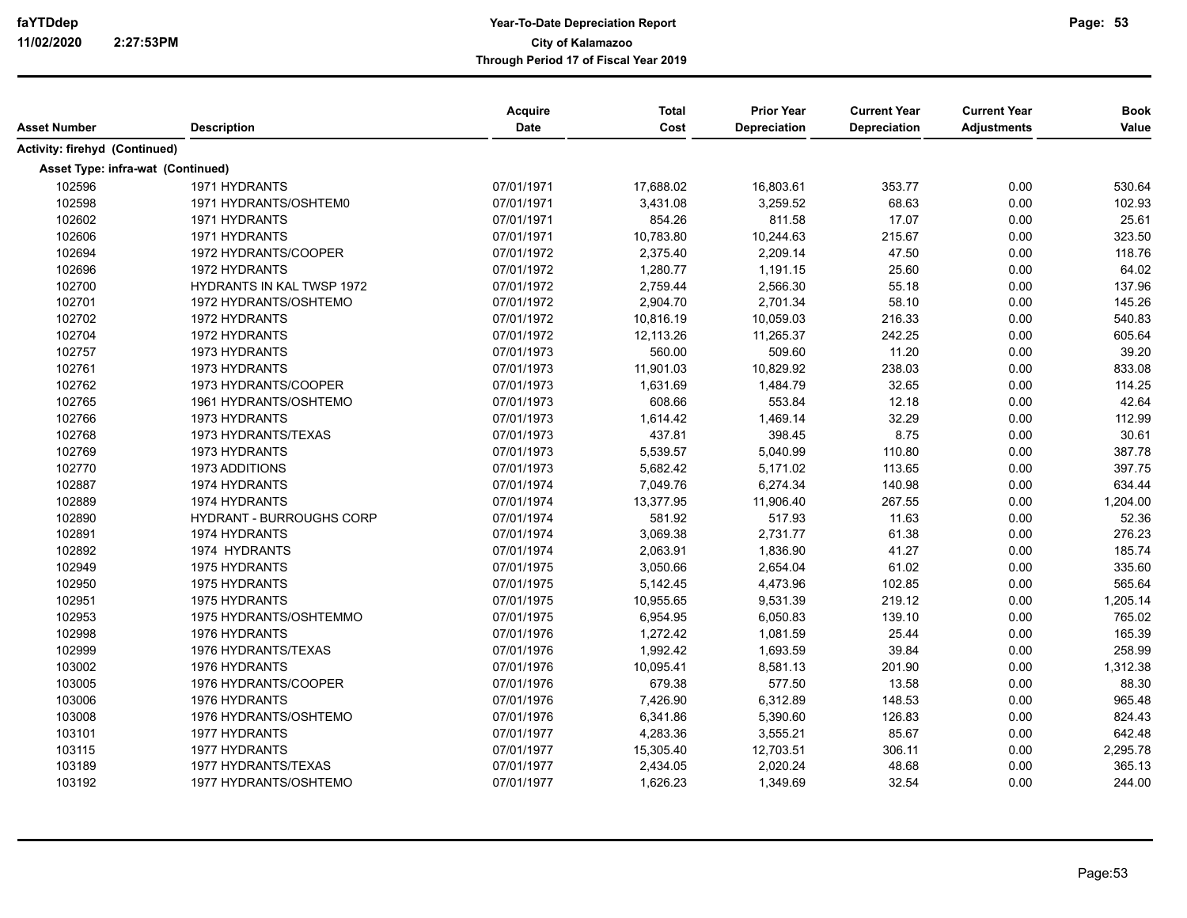| Asset Number                      | <b>Description</b>               | Acquire<br>Date | <b>Total</b><br>Cost | <b>Prior Year</b><br>Depreciation | <b>Current Year</b><br><b>Depreciation</b> | <b>Current Year</b><br><b>Adjustments</b> | <b>Book</b><br>Value |
|-----------------------------------|----------------------------------|-----------------|----------------------|-----------------------------------|--------------------------------------------|-------------------------------------------|----------------------|
| Activity: firehyd (Continued)     |                                  |                 |                      |                                   |                                            |                                           |                      |
| Asset Type: infra-wat (Continued) |                                  |                 |                      |                                   |                                            |                                           |                      |
| 102596                            | 1971 HYDRANTS                    | 07/01/1971      | 17,688.02            | 16,803.61                         | 353.77                                     | 0.00                                      | 530.64               |
| 102598                            | 1971 HYDRANTS/OSHTEM0            | 07/01/1971      | 3,431.08             | 3,259.52                          | 68.63                                      | 0.00                                      | 102.93               |
| 102602                            | 1971 HYDRANTS                    | 07/01/1971      | 854.26               | 811.58                            | 17.07                                      | 0.00                                      | 25.61                |
| 102606                            | 1971 HYDRANTS                    | 07/01/1971      | 10,783.80            | 10,244.63                         | 215.67                                     | 0.00                                      | 323.50               |
| 102694                            | 1972 HYDRANTS/COOPER             | 07/01/1972      | 2,375.40             | 2,209.14                          | 47.50                                      | 0.00                                      | 118.76               |
| 102696                            | 1972 HYDRANTS                    | 07/01/1972      | 1,280.77             | 1,191.15                          | 25.60                                      | 0.00                                      | 64.02                |
| 102700                            | <b>HYDRANTS IN KAL TWSP 1972</b> | 07/01/1972      | 2,759.44             | 2,566.30                          | 55.18                                      | 0.00                                      | 137.96               |
| 102701                            | 1972 HYDRANTS/OSHTEMO            | 07/01/1972      | 2,904.70             | 2,701.34                          | 58.10                                      | 0.00                                      | 145.26               |
| 102702                            | 1972 HYDRANTS                    | 07/01/1972      | 10,816.19            | 10,059.03                         | 216.33                                     | 0.00                                      | 540.83               |
| 102704                            | 1972 HYDRANTS                    | 07/01/1972      | 12,113.26            | 11,265.37                         | 242.25                                     | 0.00                                      | 605.64               |
| 102757                            | 1973 HYDRANTS                    | 07/01/1973      | 560.00               | 509.60                            | 11.20                                      | 0.00                                      | 39.20                |
| 102761                            | 1973 HYDRANTS                    | 07/01/1973      | 11,901.03            | 10,829.92                         | 238.03                                     | 0.00                                      | 833.08               |
| 102762                            | 1973 HYDRANTS/COOPER             | 07/01/1973      | 1,631.69             | 1,484.79                          | 32.65                                      | 0.00                                      | 114.25               |
| 102765                            | 1961 HYDRANTS/OSHTEMO            | 07/01/1973      | 608.66               | 553.84                            | 12.18                                      | 0.00                                      | 42.64                |
| 102766                            | 1973 HYDRANTS                    | 07/01/1973      | 1,614.42             | 1,469.14                          | 32.29                                      | 0.00                                      | 112.99               |
| 102768                            | 1973 HYDRANTS/TEXAS              | 07/01/1973      | 437.81               | 398.45                            | 8.75                                       | 0.00                                      | 30.61                |
| 102769                            | 1973 HYDRANTS                    | 07/01/1973      | 5,539.57             | 5,040.99                          | 110.80                                     | 0.00                                      | 387.78               |
| 102770                            | <b>1973 ADDITIONS</b>            | 07/01/1973      | 5,682.42             | 5,171.02                          | 113.65                                     | 0.00                                      | 397.75               |
| 102887                            | 1974 HYDRANTS                    | 07/01/1974      | 7,049.76             | 6,274.34                          | 140.98                                     | 0.00                                      | 634.44               |
| 102889                            | 1974 HYDRANTS                    | 07/01/1974      | 13,377.95            | 11,906.40                         | 267.55                                     | 0.00                                      | 1,204.00             |
| 102890                            | <b>HYDRANT - BURROUGHS CORP</b>  | 07/01/1974      | 581.92               | 517.93                            | 11.63                                      | 0.00                                      | 52.36                |
| 102891                            | 1974 HYDRANTS                    | 07/01/1974      | 3,069.38             | 2,731.77                          | 61.38                                      | 0.00                                      | 276.23               |
| 102892                            | 1974 HYDRANTS                    | 07/01/1974      | 2,063.91             | 1,836.90                          | 41.27                                      | 0.00                                      | 185.74               |
| 102949                            | 1975 HYDRANTS                    | 07/01/1975      | 3,050.66             | 2,654.04                          | 61.02                                      | 0.00                                      | 335.60               |
| 102950                            | 1975 HYDRANTS                    | 07/01/1975      | 5,142.45             | 4,473.96                          | 102.85                                     | 0.00                                      | 565.64               |
| 102951                            | 1975 HYDRANTS                    | 07/01/1975      | 10,955.65            | 9,531.39                          | 219.12                                     | 0.00                                      | 1,205.14             |
| 102953                            | 1975 HYDRANTS/OSHTEMMO           | 07/01/1975      | 6,954.95             | 6,050.83                          | 139.10                                     | 0.00                                      | 765.02               |
| 102998                            | 1976 HYDRANTS                    | 07/01/1976      | 1,272.42             | 1,081.59                          | 25.44                                      | 0.00                                      | 165.39               |
| 102999                            | 1976 HYDRANTS/TEXAS              | 07/01/1976      | 1,992.42             | 1,693.59                          | 39.84                                      | 0.00                                      | 258.99               |
| 103002                            | 1976 HYDRANTS                    | 07/01/1976      | 10,095.41            | 8,581.13                          | 201.90                                     | 0.00                                      | 1,312.38             |
| 103005                            | 1976 HYDRANTS/COOPER             | 07/01/1976      | 679.38               | 577.50                            | 13.58                                      | 0.00                                      | 88.30                |
| 103006                            | 1976 HYDRANTS                    | 07/01/1976      | 7,426.90             | 6,312.89                          | 148.53                                     | 0.00                                      | 965.48               |
| 103008                            | 1976 HYDRANTS/OSHTEMO            | 07/01/1976      | 6,341.86             | 5,390.60                          | 126.83                                     | 0.00                                      | 824.43               |
| 103101                            | 1977 HYDRANTS                    | 07/01/1977      | 4,283.36             | 3,555.21                          | 85.67                                      | 0.00                                      | 642.48               |
| 103115                            | 1977 HYDRANTS                    | 07/01/1977      | 15,305.40            | 12,703.51                         | 306.11                                     | 0.00                                      | 2,295.78             |
| 103189                            | 1977 HYDRANTS/TEXAS              | 07/01/1977      | 2,434.05             | 2,020.24                          | 48.68                                      | 0.00                                      | 365.13               |
| 103192                            | 1977 HYDRANTS/OSHTEMO            | 07/01/1977      | 1,626.23             | 1,349.69                          | 32.54                                      | 0.00                                      | 244.00               |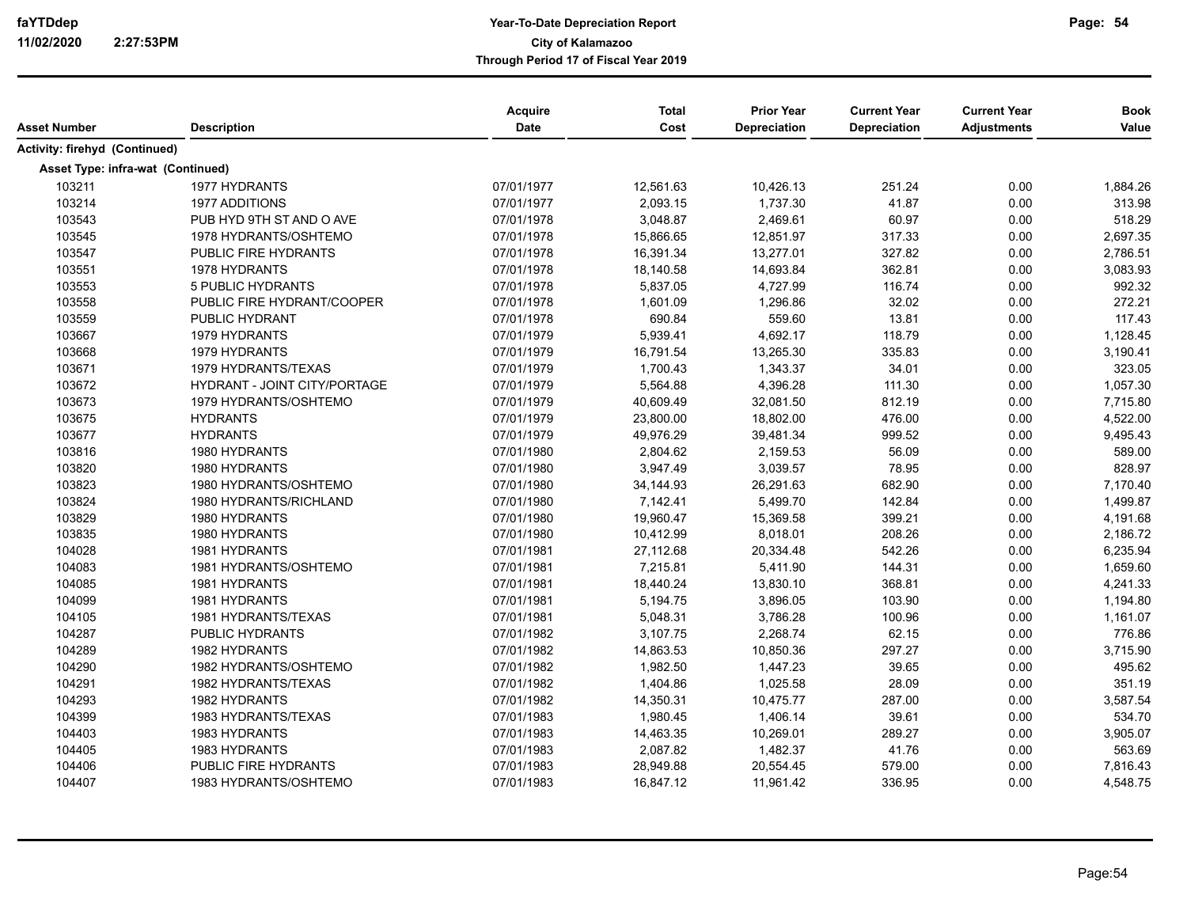|                                   |                              | Acquire    | <b>Total</b> | <b>Prior Year</b> | <b>Current Year</b> | <b>Current Year</b> | <b>Book</b> |
|-----------------------------------|------------------------------|------------|--------------|-------------------|---------------------|---------------------|-------------|
| <b>Asset Number</b>               | <b>Description</b>           | Date       | Cost         | Depreciation      | Depreciation        | <b>Adjustments</b>  | Value       |
| Activity: firehyd (Continued)     |                              |            |              |                   |                     |                     |             |
| Asset Type: infra-wat (Continued) |                              |            |              |                   |                     |                     |             |
| 103211                            | 1977 HYDRANTS                | 07/01/1977 | 12,561.63    | 10,426.13         | 251.24              | 0.00                | 1,884.26    |
| 103214                            | 1977 ADDITIONS               | 07/01/1977 | 2,093.15     | 1,737.30          | 41.87               | 0.00                | 313.98      |
| 103543                            | PUB HYD 9TH ST AND O AVE     | 07/01/1978 | 3,048.87     | 2,469.61          | 60.97               | 0.00                | 518.29      |
| 103545                            | 1978 HYDRANTS/OSHTEMO        | 07/01/1978 | 15,866.65    | 12,851.97         | 317.33              | 0.00                | 2,697.35    |
| 103547                            | PUBLIC FIRE HYDRANTS         | 07/01/1978 | 16,391.34    | 13,277.01         | 327.82              | 0.00                | 2,786.51    |
| 103551                            | 1978 HYDRANTS                | 07/01/1978 | 18,140.58    | 14,693.84         | 362.81              | 0.00                | 3,083.93    |
| 103553                            | <b>5 PUBLIC HYDRANTS</b>     | 07/01/1978 | 5,837.05     | 4,727.99          | 116.74              | 0.00                | 992.32      |
| 103558                            | PUBLIC FIRE HYDRANT/COOPER   | 07/01/1978 | 1,601.09     | 1,296.86          | 32.02               | 0.00                | 272.21      |
| 103559                            | PUBLIC HYDRANT               | 07/01/1978 | 690.84       | 559.60            | 13.81               | 0.00                | 117.43      |
| 103667                            | 1979 HYDRANTS                | 07/01/1979 | 5,939.41     | 4,692.17          | 118.79              | 0.00                | 1,128.45    |
| 103668                            | 1979 HYDRANTS                | 07/01/1979 | 16,791.54    | 13,265.30         | 335.83              | 0.00                | 3,190.41    |
| 103671                            | 1979 HYDRANTS/TEXAS          | 07/01/1979 | 1,700.43     | 1,343.37          | 34.01               | 0.00                | 323.05      |
| 103672                            | HYDRANT - JOINT CITY/PORTAGE | 07/01/1979 | 5,564.88     | 4,396.28          | 111.30              | 0.00                | 1,057.30    |
| 103673                            | 1979 HYDRANTS/OSHTEMO        | 07/01/1979 | 40,609.49    | 32,081.50         | 812.19              | 0.00                | 7,715.80    |
| 103675                            | <b>HYDRANTS</b>              | 07/01/1979 | 23,800.00    | 18,802.00         | 476.00              | 0.00                | 4,522.00    |
| 103677                            | <b>HYDRANTS</b>              | 07/01/1979 | 49,976.29    | 39,481.34         | 999.52              | 0.00                | 9,495.43    |
| 103816                            | 1980 HYDRANTS                | 07/01/1980 | 2,804.62     | 2,159.53          | 56.09               | 0.00                | 589.00      |
| 103820                            | 1980 HYDRANTS                | 07/01/1980 | 3,947.49     | 3,039.57          | 78.95               | 0.00                | 828.97      |
| 103823                            | 1980 HYDRANTS/OSHTEMO        | 07/01/1980 | 34,144.93    | 26,291.63         | 682.90              | 0.00                | 7,170.40    |
| 103824                            | 1980 HYDRANTS/RICHLAND       | 07/01/1980 | 7,142.41     | 5,499.70          | 142.84              | 0.00                | 1,499.87    |
| 103829                            | 1980 HYDRANTS                | 07/01/1980 | 19,960.47    | 15,369.58         | 399.21              | 0.00                | 4,191.68    |
| 103835                            | 1980 HYDRANTS                | 07/01/1980 | 10,412.99    | 8,018.01          | 208.26              | 0.00                | 2,186.72    |
| 104028                            | 1981 HYDRANTS                | 07/01/1981 | 27,112.68    | 20,334.48         | 542.26              | 0.00                | 6,235.94    |
| 104083                            | 1981 HYDRANTS/OSHTEMO        | 07/01/1981 | 7,215.81     | 5,411.90          | 144.31              | 0.00                | 1,659.60    |
| 104085                            | 1981 HYDRANTS                | 07/01/1981 | 18,440.24    | 13,830.10         | 368.81              | 0.00                | 4,241.33    |
| 104099                            | 1981 HYDRANTS                | 07/01/1981 | 5,194.75     | 3,896.05          | 103.90              | 0.00                | 1,194.80    |
| 104105                            | 1981 HYDRANTS/TEXAS          | 07/01/1981 | 5,048.31     | 3,786.28          | 100.96              | 0.00                | 1,161.07    |
| 104287                            | <b>PUBLIC HYDRANTS</b>       | 07/01/1982 | 3,107.75     | 2,268.74          | 62.15               | 0.00                | 776.86      |
| 104289                            | 1982 HYDRANTS                | 07/01/1982 | 14,863.53    | 10,850.36         | 297.27              | 0.00                | 3,715.90    |
| 104290                            | 1982 HYDRANTS/OSHTEMO        | 07/01/1982 | 1,982.50     | 1,447.23          | 39.65               | 0.00                | 495.62      |
| 104291                            | 1982 HYDRANTS/TEXAS          | 07/01/1982 | 1,404.86     | 1,025.58          | 28.09               | 0.00                | 351.19      |
| 104293                            | 1982 HYDRANTS                | 07/01/1982 | 14,350.31    | 10,475.77         | 287.00              | 0.00                | 3,587.54    |
| 104399                            | 1983 HYDRANTS/TEXAS          | 07/01/1983 | 1,980.45     | 1,406.14          | 39.61               | 0.00                | 534.70      |
| 104403                            | 1983 HYDRANTS                | 07/01/1983 | 14,463.35    | 10,269.01         | 289.27              | 0.00                | 3,905.07    |
| 104405                            | 1983 HYDRANTS                | 07/01/1983 | 2,087.82     | 1,482.37          | 41.76               | 0.00                | 563.69      |
| 104406                            | PUBLIC FIRE HYDRANTS         | 07/01/1983 | 28,949.88    | 20,554.45         | 579.00              | 0.00                | 7,816.43    |
| 104407                            | 1983 HYDRANTS/OSHTEMO        | 07/01/1983 | 16,847.12    | 11,961.42         | 336.95              | 0.00                | 4,548.75    |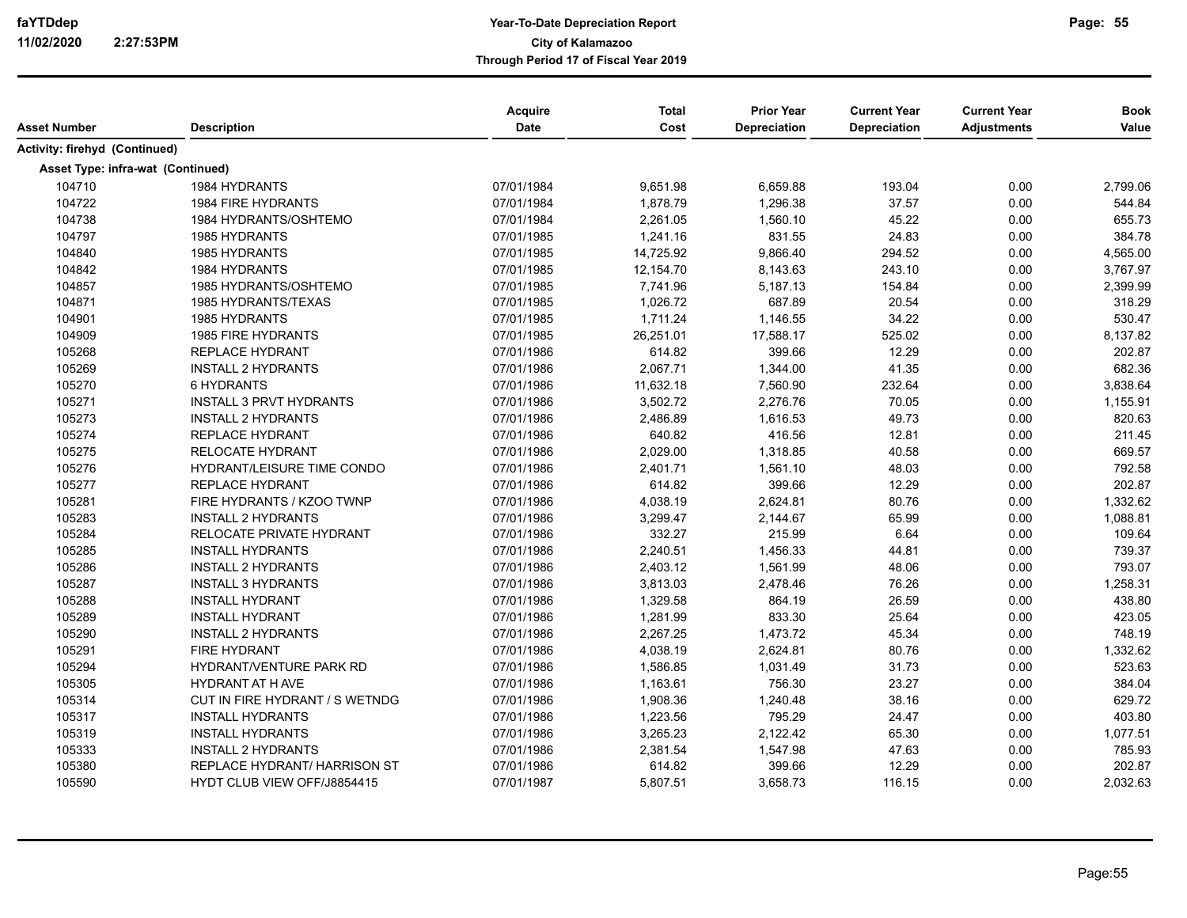| Asset Number                      | <b>Description</b>                  | Acquire<br><b>Date</b> | <b>Total</b><br>Cost | <b>Prior Year</b><br><b>Depreciation</b> | <b>Current Year</b><br><b>Depreciation</b> | <b>Current Year</b><br><b>Adjustments</b> | <b>Book</b><br>Value |
|-----------------------------------|-------------------------------------|------------------------|----------------------|------------------------------------------|--------------------------------------------|-------------------------------------------|----------------------|
| Activity: firehyd (Continued)     |                                     |                        |                      |                                          |                                            |                                           |                      |
| Asset Type: infra-wat (Continued) |                                     |                        |                      |                                          |                                            |                                           |                      |
| 104710                            | 1984 HYDRANTS                       | 07/01/1984             | 9,651.98             | 6,659.88                                 | 193.04                                     | 0.00                                      | 2,799.06             |
| 104722                            | 1984 FIRE HYDRANTS                  | 07/01/1984             | 1,878.79             | 1,296.38                                 | 37.57                                      | 0.00                                      | 544.84               |
| 104738                            | 1984 HYDRANTS/OSHTEMO               | 07/01/1984             | 2,261.05             | 1,560.10                                 | 45.22                                      | 0.00                                      | 655.73               |
| 104797                            | 1985 HYDRANTS                       | 07/01/1985             | 1,241.16             | 831.55                                   | 24.83                                      | 0.00                                      | 384.78               |
| 104840                            | <b>1985 HYDRANTS</b>                | 07/01/1985             | 14,725.92            | 9,866.40                                 | 294.52                                     | 0.00                                      | 4,565.00             |
| 104842                            | 1984 HYDRANTS                       | 07/01/1985             | 12,154.70            | 8,143.63                                 | 243.10                                     | 0.00                                      | 3,767.97             |
| 104857                            | 1985 HYDRANTS/OSHTEMO               | 07/01/1985             | 7,741.96             | 5,187.13                                 | 154.84                                     | 0.00                                      | 2,399.99             |
| 104871                            | 1985 HYDRANTS/TEXAS                 | 07/01/1985             | 1,026.72             | 687.89                                   | 20.54                                      | 0.00                                      | 318.29               |
| 104901                            | 1985 HYDRANTS                       | 07/01/1985             | 1,711.24             | 1,146.55                                 | 34.22                                      | 0.00                                      | 530.47               |
| 104909                            | 1985 FIRE HYDRANTS                  | 07/01/1985             | 26,251.01            | 17,588.17                                | 525.02                                     | 0.00                                      | 8,137.82             |
| 105268                            | <b>REPLACE HYDRANT</b>              | 07/01/1986             | 614.82               | 399.66                                   | 12.29                                      | 0.00                                      | 202.87               |
| 105269                            | <b>INSTALL 2 HYDRANTS</b>           | 07/01/1986             | 2,067.71             | 1,344.00                                 | 41.35                                      | 0.00                                      | 682.36               |
| 105270                            | <b>6 HYDRANTS</b>                   | 07/01/1986             | 11,632.18            | 7,560.90                                 | 232.64                                     | 0.00                                      | 3,838.64             |
| 105271                            | <b>INSTALL 3 PRVT HYDRANTS</b>      | 07/01/1986             | 3,502.72             | 2,276.76                                 | 70.05                                      | 0.00                                      | 1,155.91             |
| 105273                            | <b>INSTALL 2 HYDRANTS</b>           | 07/01/1986             | 2,486.89             | 1,616.53                                 | 49.73                                      | 0.00                                      | 820.63               |
| 105274                            | <b>REPLACE HYDRANT</b>              | 07/01/1986             | 640.82               | 416.56                                   | 12.81                                      | 0.00                                      | 211.45               |
| 105275                            | RELOCATE HYDRANT                    | 07/01/1986             | 2,029.00             | 1,318.85                                 | 40.58                                      | 0.00                                      | 669.57               |
| 105276                            | HYDRANT/LEISURE TIME CONDO          | 07/01/1986             | 2,401.71             | 1,561.10                                 | 48.03                                      | 0.00                                      | 792.58               |
| 105277                            | <b>REPLACE HYDRANT</b>              | 07/01/1986             | 614.82               | 399.66                                   | 12.29                                      | 0.00                                      | 202.87               |
| 105281                            | FIRE HYDRANTS / KZOO TWNP           | 07/01/1986             | 4,038.19             | 2,624.81                                 | 80.76                                      | 0.00                                      | 1,332.62             |
| 105283                            | <b>INSTALL 2 HYDRANTS</b>           | 07/01/1986             | 3,299.47             | 2,144.67                                 | 65.99                                      | 0.00                                      | 1,088.81             |
| 105284                            | RELOCATE PRIVATE HYDRANT            | 07/01/1986             | 332.27               | 215.99                                   | 6.64                                       | 0.00                                      | 109.64               |
| 105285                            | <b>INSTALL HYDRANTS</b>             | 07/01/1986             | 2,240.51             | 1,456.33                                 | 44.81                                      | 0.00                                      | 739.37               |
| 105286                            | <b>INSTALL 2 HYDRANTS</b>           | 07/01/1986             | 2,403.12             | 1,561.99                                 | 48.06                                      | 0.00                                      | 793.07               |
| 105287                            | <b>INSTALL 3 HYDRANTS</b>           | 07/01/1986             | 3,813.03             | 2,478.46                                 | 76.26                                      | 0.00                                      | 1,258.31             |
| 105288                            | <b>INSTALL HYDRANT</b>              | 07/01/1986             | 1,329.58             | 864.19                                   | 26.59                                      | 0.00                                      | 438.80               |
| 105289                            | <b>INSTALL HYDRANT</b>              | 07/01/1986             | 1,281.99             | 833.30                                   | 25.64                                      | 0.00                                      | 423.05               |
| 105290                            | <b>INSTALL 2 HYDRANTS</b>           | 07/01/1986             | 2,267.25             | 1,473.72                                 | 45.34                                      | 0.00                                      | 748.19               |
| 105291                            | <b>FIRE HYDRANT</b>                 | 07/01/1986             | 4,038.19             | 2,624.81                                 | 80.76                                      | 0.00                                      | 1,332.62             |
| 105294                            | HYDRANT/VENTURE PARK RD             | 07/01/1986             | 1,586.85             | 1,031.49                                 | 31.73                                      | 0.00                                      | 523.63               |
| 105305                            | <b>HYDRANT AT H AVE</b>             | 07/01/1986             | 1,163.61             | 756.30                                   | 23.27                                      | 0.00                                      | 384.04               |
| 105314                            | CUT IN FIRE HYDRANT / S WETNDG      | 07/01/1986             | 1,908.36             | 1,240.48                                 | 38.16                                      | 0.00                                      | 629.72               |
| 105317                            | <b>INSTALL HYDRANTS</b>             | 07/01/1986             | 1,223.56             | 795.29                                   | 24.47                                      | 0.00                                      | 403.80               |
| 105319                            | <b>INSTALL HYDRANTS</b>             | 07/01/1986             | 3,265.23             | 2,122.42                                 | 65.30                                      | 0.00                                      | 1,077.51             |
| 105333                            | <b>INSTALL 2 HYDRANTS</b>           | 07/01/1986             | 2,381.54             | 1,547.98                                 | 47.63                                      | 0.00                                      | 785.93               |
| 105380                            | <b>REPLACE HYDRANT/ HARRISON ST</b> | 07/01/1986             | 614.82               | 399.66                                   | 12.29                                      | 0.00                                      | 202.87               |
| 105590                            | HYDT CLUB VIEW OFF/J8854415         | 07/01/1987             | 5,807.51             | 3,658.73                                 | 116.15                                     | 0.00                                      | 2,032.63             |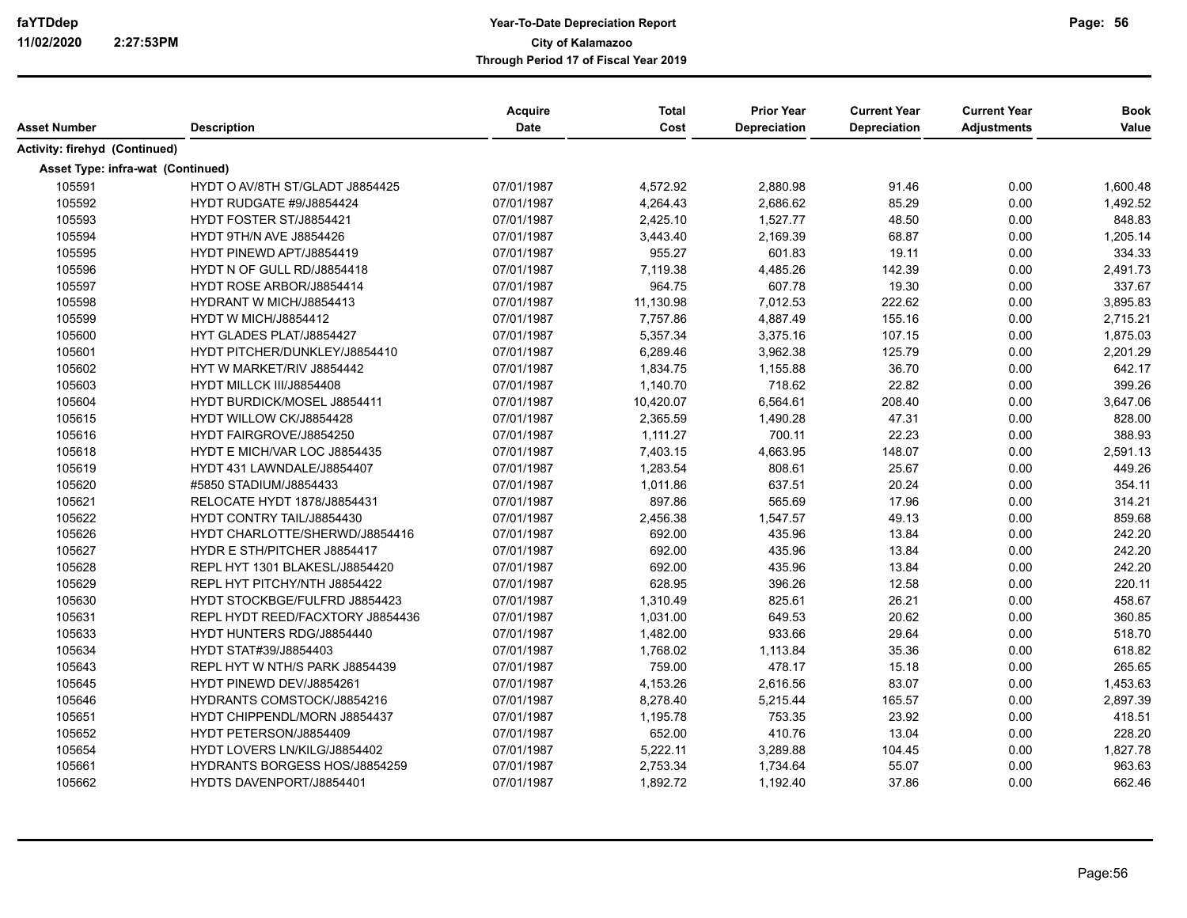| Asset Number                      | <b>Description</b>               | Acquire<br>Date | <b>Total</b><br>Cost | <b>Prior Year</b><br>Depreciation | <b>Current Year</b><br><b>Depreciation</b> | <b>Current Year</b><br><b>Adjustments</b> | <b>Book</b><br>Value |
|-----------------------------------|----------------------------------|-----------------|----------------------|-----------------------------------|--------------------------------------------|-------------------------------------------|----------------------|
| Activity: firehyd (Continued)     |                                  |                 |                      |                                   |                                            |                                           |                      |
| Asset Type: infra-wat (Continued) |                                  |                 |                      |                                   |                                            |                                           |                      |
| 105591                            | HYDT O AV/8TH ST/GLADT J8854425  | 07/01/1987      | 4,572.92             | 2,880.98                          | 91.46                                      | 0.00                                      | 1,600.48             |
| 105592                            | HYDT RUDGATE #9/J8854424         | 07/01/1987      | 4,264.43             | 2,686.62                          | 85.29                                      | 0.00                                      | 1,492.52             |
| 105593                            | HYDT FOSTER ST/J8854421          | 07/01/1987      | 2,425.10             | 1,527.77                          | 48.50                                      | 0.00                                      | 848.83               |
| 105594                            | HYDT 9TH/N AVE J8854426          | 07/01/1987      | 3,443.40             | 2,169.39                          | 68.87                                      | 0.00                                      | 1,205.14             |
| 105595                            | HYDT PINEWD APT/J8854419         | 07/01/1987      | 955.27               | 601.83                            | 19.11                                      | 0.00                                      | 334.33               |
| 105596                            | HYDT N OF GULL RD/J8854418       | 07/01/1987      | 7,119.38             | 4,485.26                          | 142.39                                     | 0.00                                      | 2,491.73             |
| 105597                            | HYDT ROSE ARBOR/J8854414         | 07/01/1987      | 964.75               | 607.78                            | 19.30                                      | 0.00                                      | 337.67               |
| 105598                            | HYDRANT W MICH/J8854413          | 07/01/1987      | 11,130.98            | 7,012.53                          | 222.62                                     | 0.00                                      | 3,895.83             |
| 105599                            | HYDT W MICH/J8854412             | 07/01/1987      | 7,757.86             | 4,887.49                          | 155.16                                     | 0.00                                      | 2,715.21             |
| 105600                            | HYT GLADES PLAT/J8854427         | 07/01/1987      | 5,357.34             | 3,375.16                          | 107.15                                     | 0.00                                      | 1,875.03             |
| 105601                            | HYDT PITCHER/DUNKLEY/J8854410    | 07/01/1987      | 6,289.46             | 3,962.38                          | 125.79                                     | 0.00                                      | 2,201.29             |
| 105602                            | HYT W MARKET/RIV J8854442        | 07/01/1987      | 1,834.75             | 1,155.88                          | 36.70                                      | 0.00                                      | 642.17               |
| 105603                            | HYDT MILLCK III/J8854408         | 07/01/1987      | 1,140.70             | 718.62                            | 22.82                                      | 0.00                                      | 399.26               |
| 105604                            | HYDT BURDICK/MOSEL J8854411      | 07/01/1987      | 10,420.07            | 6,564.61                          | 208.40                                     | 0.00                                      | 3,647.06             |
| 105615                            | HYDT WILLOW CK/J8854428          | 07/01/1987      | 2,365.59             | 1,490.28                          | 47.31                                      | 0.00                                      | 828.00               |
| 105616                            | HYDT FAIRGROVE/J8854250          | 07/01/1987      | 1,111.27             | 700.11                            | 22.23                                      | 0.00                                      | 388.93               |
| 105618                            | HYDT E MICH/VAR LOC J8854435     | 07/01/1987      | 7,403.15             | 4,663.95                          | 148.07                                     | 0.00                                      | 2,591.13             |
| 105619                            | HYDT 431 LAWNDALE/J8854407       | 07/01/1987      | 1,283.54             | 808.61                            | 25.67                                      | 0.00                                      | 449.26               |
| 105620                            | #5850 STADIUM/J8854433           | 07/01/1987      | 1,011.86             | 637.51                            | 20.24                                      | 0.00                                      | 354.11               |
| 105621                            | RELOCATE HYDT 1878/J8854431      | 07/01/1987      | 897.86               | 565.69                            | 17.96                                      | 0.00                                      | 314.21               |
| 105622                            | <b>HYDT CONTRY TAIL/J8854430</b> | 07/01/1987      | 2,456.38             | 1,547.57                          | 49.13                                      | 0.00                                      | 859.68               |
| 105626                            | HYDT CHARLOTTE/SHERWD/J8854416   | 07/01/1987      | 692.00               | 435.96                            | 13.84                                      | 0.00                                      | 242.20               |
| 105627                            | HYDR E STH/PITCHER J8854417      | 07/01/1987      | 692.00               | 435.96                            | 13.84                                      | 0.00                                      | 242.20               |
| 105628                            | REPL HYT 1301 BLAKESL/J8854420   | 07/01/1987      | 692.00               | 435.96                            | 13.84                                      | 0.00                                      | 242.20               |
| 105629                            | REPL HYT PITCHY/NTH J8854422     | 07/01/1987      | 628.95               | 396.26                            | 12.58                                      | 0.00                                      | 220.11               |
| 105630                            | HYDT STOCKBGE/FULFRD J8854423    | 07/01/1987      | 1,310.49             | 825.61                            | 26.21                                      | 0.00                                      | 458.67               |
| 105631                            | REPL HYDT REED/FACXTORY J8854436 | 07/01/1987      | 1,031.00             | 649.53                            | 20.62                                      | 0.00                                      | 360.85               |
| 105633                            | HYDT HUNTERS RDG/J8854440        | 07/01/1987      | 1,482.00             | 933.66                            | 29.64                                      | 0.00                                      | 518.70               |
| 105634                            | HYDT STAT#39/J8854403            | 07/01/1987      | 1,768.02             | 1,113.84                          | 35.36                                      | 0.00                                      | 618.82               |
| 105643                            | REPL HYT W NTH/S PARK J8854439   | 07/01/1987      | 759.00               | 478.17                            | 15.18                                      | 0.00                                      | 265.65               |
| 105645                            | HYDT PINEWD DEV/J8854261         | 07/01/1987      | 4,153.26             | 2,616.56                          | 83.07                                      | 0.00                                      | 1,453.63             |
| 105646                            | HYDRANTS COMSTOCK/J8854216       | 07/01/1987      | 8,278.40             | 5,215.44                          | 165.57                                     | 0.00                                      | 2,897.39             |
| 105651                            | HYDT CHIPPENDL/MORN J8854437     | 07/01/1987      | 1,195.78             | 753.35                            | 23.92                                      | 0.00                                      | 418.51               |
| 105652                            | HYDT PETERSON/J8854409           | 07/01/1987      | 652.00               | 410.76                            | 13.04                                      | 0.00                                      | 228.20               |
| 105654                            | HYDT LOVERS LN/KILG/J8854402     | 07/01/1987      | 5,222.11             | 3,289.88                          | 104.45                                     | 0.00                                      | 1,827.78             |
| 105661                            | HYDRANTS BORGESS HOS/J8854259    | 07/01/1987      | 2,753.34             | 1,734.64                          | 55.07                                      | 0.00                                      | 963.63               |
| 105662                            | HYDTS DAVENPORT/J8854401         | 07/01/1987      | 1,892.72             | 1,192.40                          | 37.86                                      | 0.00                                      | 662.46               |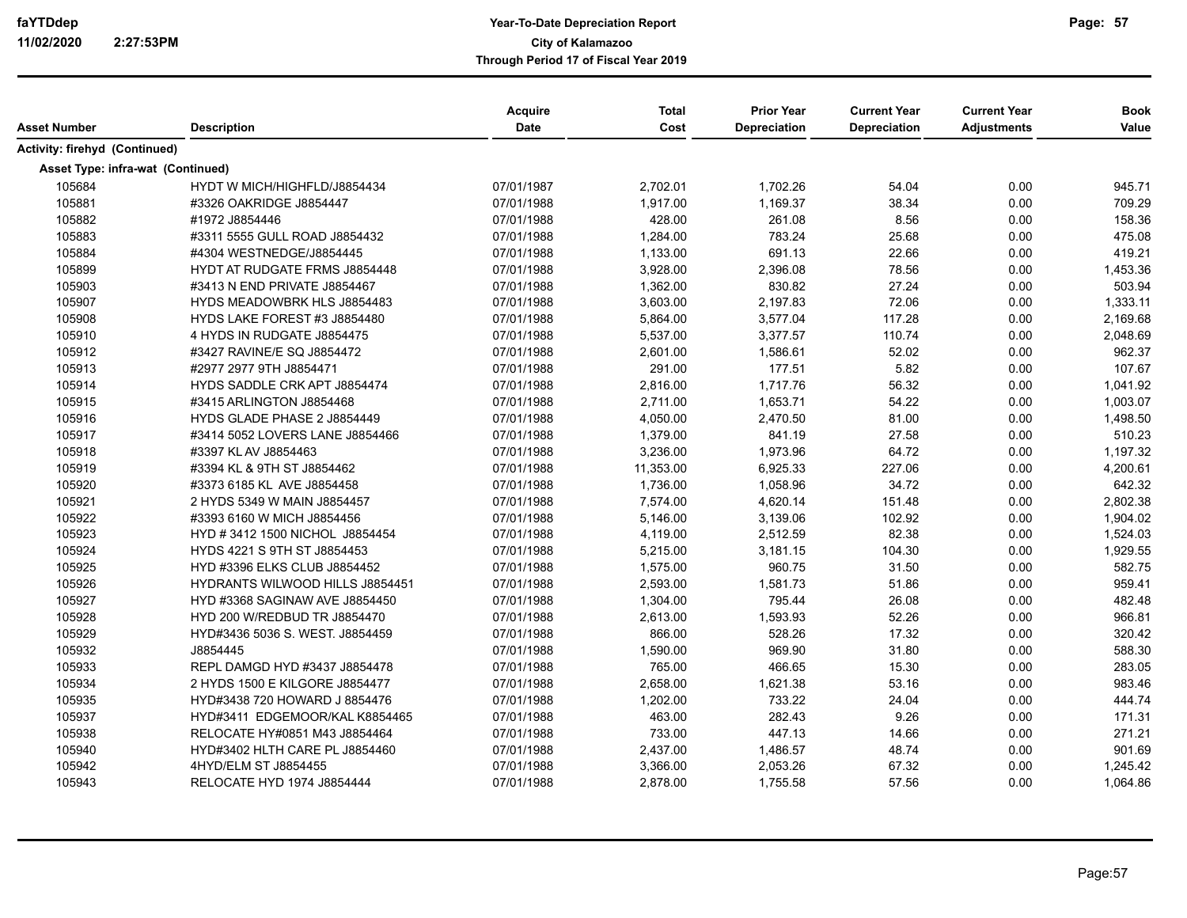|                                   |                                      | Acquire    | <b>Total</b> | <b>Prior Year</b>   | <b>Current Year</b> | <b>Current Year</b> | <b>Book</b> |
|-----------------------------------|--------------------------------------|------------|--------------|---------------------|---------------------|---------------------|-------------|
| Asset Number                      | <b>Description</b>                   | Date       | Cost         | <b>Depreciation</b> | Depreciation        | <b>Adjustments</b>  | Value       |
| Activity: firehyd (Continued)     |                                      |            |              |                     |                     |                     |             |
| Asset Type: infra-wat (Continued) |                                      |            |              |                     |                     |                     |             |
| 105684                            | HYDT W MICH/HIGHFLD/J8854434         | 07/01/1987 | 2,702.01     | 1,702.26            | 54.04               | 0.00                | 945.71      |
| 105881                            | #3326 OAKRIDGE J8854447              | 07/01/1988 | 1,917.00     | 1,169.37            | 38.34               | 0.00                | 709.29      |
| 105882                            | #1972 J8854446                       | 07/01/1988 | 428.00       | 261.08              | 8.56                | 0.00                | 158.36      |
| 105883                            | #3311 5555 GULL ROAD J8854432        | 07/01/1988 | 1,284.00     | 783.24              | 25.68               | 0.00                | 475.08      |
| 105884                            | #4304 WESTNEDGE/J8854445             | 07/01/1988 | 1,133.00     | 691.13              | 22.66               | 0.00                | 419.21      |
| 105899                            | <b>HYDT AT RUDGATE FRMS J8854448</b> | 07/01/1988 | 3,928.00     | 2,396.08            | 78.56               | 0.00                | 1,453.36    |
| 105903                            | #3413 N END PRIVATE J8854467         | 07/01/1988 | 1,362.00     | 830.82              | 27.24               | 0.00                | 503.94      |
| 105907                            | HYDS MEADOWBRK HLS J8854483          | 07/01/1988 | 3,603.00     | 2,197.83            | 72.06               | 0.00                | 1,333.11    |
| 105908                            | HYDS LAKE FOREST #3 J8854480         | 07/01/1988 | 5,864.00     | 3,577.04            | 117.28              | 0.00                | 2,169.68    |
| 105910                            | 4 HYDS IN RUDGATE J8854475           | 07/01/1988 | 5,537.00     | 3,377.57            | 110.74              | 0.00                | 2,048.69    |
| 105912                            | #3427 RAVINE/E SQ J8854472           | 07/01/1988 | 2,601.00     | 1,586.61            | 52.02               | 0.00                | 962.37      |
| 105913                            | #2977 2977 9TH J8854471              | 07/01/1988 | 291.00       | 177.51              | 5.82                | 0.00                | 107.67      |
| 105914                            | HYDS SADDLE CRK APT J8854474         | 07/01/1988 | 2,816.00     | 1,717.76            | 56.32               | 0.00                | 1,041.92    |
| 105915                            | #3415 ARLINGTON J8854468             | 07/01/1988 | 2,711.00     | 1,653.71            | 54.22               | 0.00                | 1,003.07    |
| 105916                            | HYDS GLADE PHASE 2 J8854449          | 07/01/1988 | 4,050.00     | 2,470.50            | 81.00               | 0.00                | 1,498.50    |
| 105917                            | #3414 5052 LOVERS LANE J8854466      | 07/01/1988 | 1,379.00     | 841.19              | 27.58               | 0.00                | 510.23      |
| 105918                            | #3397 KL AV J8854463                 | 07/01/1988 | 3,236.00     | 1,973.96            | 64.72               | 0.00                | 1,197.32    |
| 105919                            | #3394 KL & 9TH ST J8854462           | 07/01/1988 | 11,353.00    | 6,925.33            | 227.06              | 0.00                | 4,200.61    |
| 105920                            | #3373 6185 KL AVE J8854458           | 07/01/1988 | 1,736.00     | 1,058.96            | 34.72               | 0.00                | 642.32      |
| 105921                            | 2 HYDS 5349 W MAIN J8854457          | 07/01/1988 | 7,574.00     | 4,620.14            | 151.48              | 0.00                | 2,802.38    |
| 105922                            | #3393 6160 W MICH J8854456           | 07/01/1988 | 5,146.00     | 3,139.06            | 102.92              | 0.00                | 1,904.02    |
| 105923                            | HYD #3412 1500 NICHOL J8854454       | 07/01/1988 | 4,119.00     | 2,512.59            | 82.38               | 0.00                | 1,524.03    |
| 105924                            | HYDS 4221 S 9TH ST J8854453          | 07/01/1988 | 5,215.00     | 3,181.15            | 104.30              | 0.00                | 1,929.55    |
| 105925                            | HYD #3396 ELKS CLUB J8854452         | 07/01/1988 | 1,575.00     | 960.75              | 31.50               | 0.00                | 582.75      |
| 105926                            | HYDRANTS WILWOOD HILLS J8854451      | 07/01/1988 | 2,593.00     | 1,581.73            | 51.86               | 0.00                | 959.41      |
| 105927                            | HYD #3368 SAGINAW AVE J8854450       | 07/01/1988 | 1,304.00     | 795.44              | 26.08               | 0.00                | 482.48      |
| 105928                            | <b>HYD 200 W/REDBUD TR J8854470</b>  | 07/01/1988 | 2,613.00     | 1,593.93            | 52.26               | 0.00                | 966.81      |
| 105929                            | HYD#3436 5036 S. WEST. J8854459      | 07/01/1988 | 866.00       | 528.26              | 17.32               | 0.00                | 320.42      |
| 105932                            | J8854445                             | 07/01/1988 | 1,590.00     | 969.90              | 31.80               | 0.00                | 588.30      |
| 105933                            | REPL DAMGD HYD #3437 J8854478        | 07/01/1988 | 765.00       | 466.65              | 15.30               | 0.00                | 283.05      |
| 105934                            | 2 HYDS 1500 E KILGORE J8854477       | 07/01/1988 | 2,658.00     | 1,621.38            | 53.16               | 0.00                | 983.46      |
| 105935                            | HYD#3438 720 HOWARD J 8854476        | 07/01/1988 | 1,202.00     | 733.22              | 24.04               | 0.00                | 444.74      |
| 105937                            | HYD#3411 EDGEMOOR/KAL K8854465       | 07/01/1988 | 463.00       | 282.43              | 9.26                | 0.00                | 171.31      |
| 105938                            | RELOCATE HY#0851 M43 J8854464        | 07/01/1988 | 733.00       | 447.13              | 14.66               | 0.00                | 271.21      |
| 105940                            | HYD#3402 HLTH CARE PL J8854460       | 07/01/1988 | 2,437.00     | 1,486.57            | 48.74               | 0.00                | 901.69      |
| 105942                            | 4HYD/ELM ST J8854455                 | 07/01/1988 | 3,366.00     | 2,053.26            | 67.32               | 0.00                | 1,245.42    |
| 105943                            | RELOCATE HYD 1974 J8854444           | 07/01/1988 | 2,878.00     | 1,755.58            | 57.56               | 0.00                | 1,064.86    |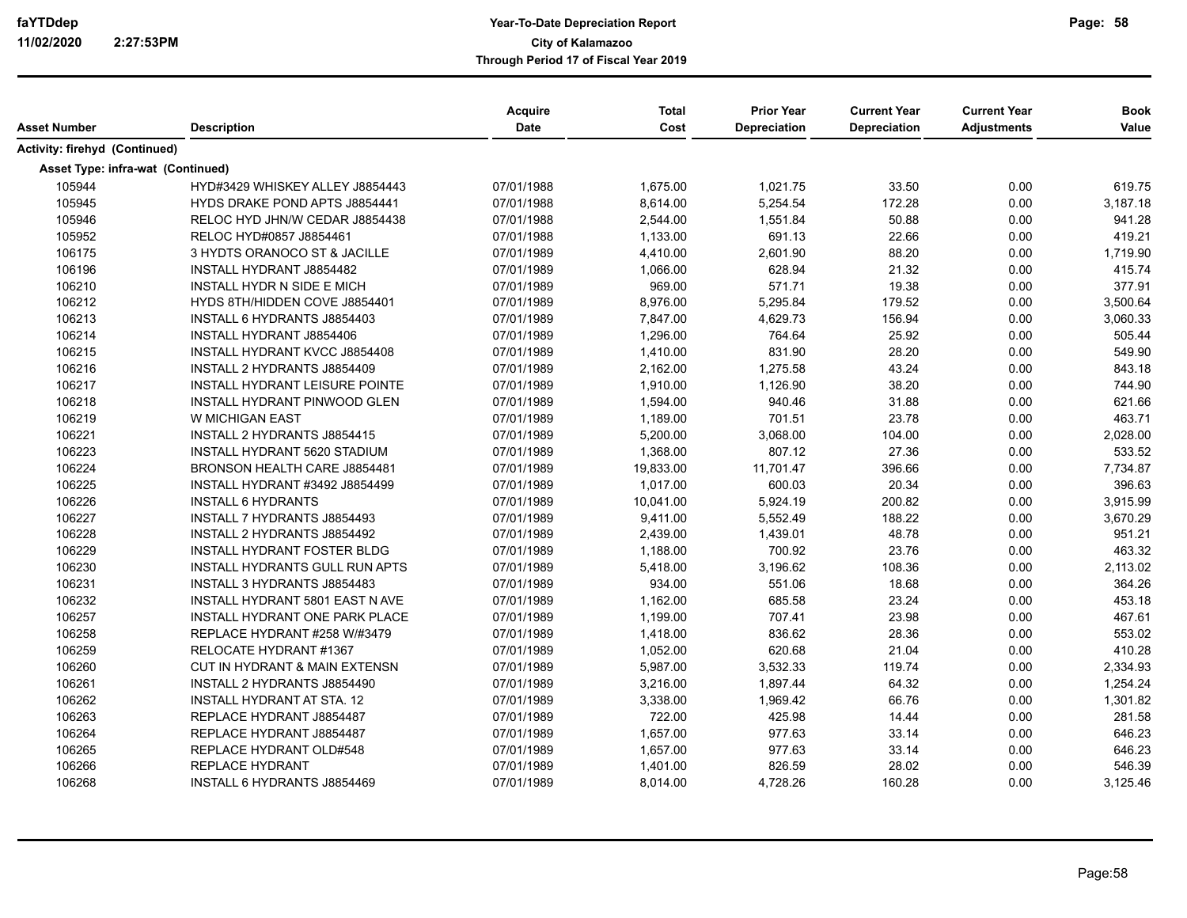| Asset Number                             | <b>Description</b>                    | <b>Acquire</b><br><b>Date</b> | <b>Total</b><br>Cost | <b>Prior Year</b><br><b>Depreciation</b> | <b>Current Year</b><br>Depreciation | <b>Current Year</b><br><b>Adjustments</b> | <b>Book</b><br>Value |
|------------------------------------------|---------------------------------------|-------------------------------|----------------------|------------------------------------------|-------------------------------------|-------------------------------------------|----------------------|
|                                          |                                       |                               |                      |                                          |                                     |                                           |                      |
| Activity: firehyd (Continued)            |                                       |                               |                      |                                          |                                     |                                           |                      |
| <b>Asset Type: infra-wat (Continued)</b> |                                       |                               |                      |                                          |                                     |                                           |                      |
| 105944                                   | HYD#3429 WHISKEY ALLEY J8854443       | 07/01/1988                    | 1,675.00             | 1,021.75                                 | 33.50                               | 0.00                                      | 619.75               |
| 105945                                   | HYDS DRAKE POND APTS J8854441         | 07/01/1988                    | 8,614.00             | 5,254.54                                 | 172.28                              | 0.00                                      | 3,187.18             |
| 105946                                   | RELOC HYD JHN/W CEDAR J8854438        | 07/01/1988                    | 2,544.00             | 1,551.84                                 | 50.88                               | 0.00                                      | 941.28               |
| 105952                                   | RELOC HYD#0857 J8854461               | 07/01/1988                    | 1,133.00             | 691.13                                   | 22.66                               | 0.00                                      | 419.21               |
| 106175                                   | 3 HYDTS ORANOCO ST & JACILLE          | 07/01/1989                    | 4,410.00             | 2,601.90                                 | 88.20                               | 0.00                                      | 1.719.90             |
| 106196                                   | INSTALL HYDRANT J8854482              | 07/01/1989                    | 1,066.00             | 628.94                                   | 21.32                               | 0.00                                      | 415.74               |
| 106210                                   | INSTALL HYDR N SIDE E MICH            | 07/01/1989                    | 969.00               | 571.71                                   | 19.38                               | 0.00                                      | 377.91               |
| 106212                                   | HYDS 8TH/HIDDEN COVE J8854401         | 07/01/1989                    | 8,976.00             | 5,295.84                                 | 179.52                              | 0.00                                      | 3,500.64             |
| 106213                                   | <b>INSTALL 6 HYDRANTS J8854403</b>    | 07/01/1989                    | 7,847.00             | 4,629.73                                 | 156.94                              | 0.00                                      | 3,060.33             |
| 106214                                   | <b>INSTALL HYDRANT J8854406</b>       | 07/01/1989                    | 1,296.00             | 764.64                                   | 25.92                               | 0.00                                      | 505.44               |
| 106215                                   | <b>INSTALL HYDRANT KVCC J8854408</b>  | 07/01/1989                    | 1,410.00             | 831.90                                   | 28.20                               | 0.00                                      | 549.90               |
| 106216                                   | INSTALL 2 HYDRANTS J8854409           | 07/01/1989                    | 2,162.00             | 1,275.58                                 | 43.24                               | 0.00                                      | 843.18               |
| 106217                                   | INSTALL HYDRANT LEISURE POINTE        | 07/01/1989                    | 1,910.00             | 1,126.90                                 | 38.20                               | 0.00                                      | 744.90               |
| 106218                                   | <b>INSTALL HYDRANT PINWOOD GLEN</b>   | 07/01/1989                    | 1,594.00             | 940.46                                   | 31.88                               | 0.00                                      | 621.66               |
| 106219                                   | W MICHIGAN EAST                       | 07/01/1989                    | 1,189.00             | 701.51                                   | 23.78                               | 0.00                                      | 463.71               |
| 106221                                   | INSTALL 2 HYDRANTS J8854415           | 07/01/1989                    | 5,200.00             | 3,068.00                                 | 104.00                              | 0.00                                      | 2,028.00             |
| 106223                                   | INSTALL HYDRANT 5620 STADIUM          | 07/01/1989                    | 1,368.00             | 807.12                                   | 27.36                               | 0.00                                      | 533.52               |
| 106224                                   | BRONSON HEALTH CARE J8854481          | 07/01/1989                    | 19,833.00            | 11,701.47                                | 396.66                              | 0.00                                      | 7,734.87             |
| 106225                                   | <b>INSTALL HYDRANT #3492 J8854499</b> | 07/01/1989                    | 1,017.00             | 600.03                                   | 20.34                               | 0.00                                      | 396.63               |
| 106226                                   | <b>INSTALL 6 HYDRANTS</b>             | 07/01/1989                    | 10,041.00            | 5,924.19                                 | 200.82                              | 0.00                                      | 3,915.99             |
| 106227                                   | INSTALL 7 HYDRANTS J8854493           | 07/01/1989                    | 9,411.00             | 5,552.49                                 | 188.22                              | 0.00                                      | 3,670.29             |
| 106228                                   | INSTALL 2 HYDRANTS J8854492           | 07/01/1989                    | 2,439.00             | 1,439.01                                 | 48.78                               | 0.00                                      | 951.21               |
| 106229                                   | <b>INSTALL HYDRANT FOSTER BLDG</b>    | 07/01/1989                    | 1,188.00             | 700.92                                   | 23.76                               | 0.00                                      | 463.32               |
| 106230                                   | <b>INSTALL HYDRANTS GULL RUN APTS</b> | 07/01/1989                    | 5,418.00             | 3,196.62                                 | 108.36                              | 0.00                                      | 2,113.02             |
| 106231                                   | <b>INSTALL 3 HYDRANTS J8854483</b>    | 07/01/1989                    | 934.00               | 551.06                                   | 18.68                               | 0.00                                      | 364.26               |
| 106232                                   | INSTALL HYDRANT 5801 EAST N AVE       | 07/01/1989                    | 1,162.00             | 685.58                                   | 23.24                               | 0.00                                      | 453.18               |
| 106257                                   | INSTALL HYDRANT ONE PARK PLACE        | 07/01/1989                    | 1,199.00             | 707.41                                   | 23.98                               | 0.00                                      | 467.61               |
| 106258                                   | REPLACE HYDRANT #258 W/#3479          | 07/01/1989                    | 1,418.00             | 836.62                                   | 28.36                               | 0.00                                      | 553.02               |
| 106259                                   | RELOCATE HYDRANT #1367                | 07/01/1989                    | 1,052.00             | 620.68                                   | 21.04                               | 0.00                                      | 410.28               |
| 106260                                   | CUT IN HYDRANT & MAIN EXTENSN         | 07/01/1989                    | 5,987.00             | 3,532.33                                 | 119.74                              | 0.00                                      | 2,334.93             |
| 106261                                   | INSTALL 2 HYDRANTS J8854490           | 07/01/1989                    | 3,216.00             | 1,897.44                                 | 64.32                               | 0.00                                      | 1,254.24             |
| 106262                                   | <b>INSTALL HYDRANT AT STA. 12</b>     | 07/01/1989                    | 3,338.00             | 1,969.42                                 | 66.76                               | 0.00                                      | 1,301.82             |
| 106263                                   | REPLACE HYDRANT J8854487              | 07/01/1989                    | 722.00               | 425.98                                   | 14.44                               | 0.00                                      | 281.58               |
| 106264                                   | REPLACE HYDRANT J8854487              | 07/01/1989                    | 1,657.00             | 977.63                                   | 33.14                               | 0.00                                      | 646.23               |
| 106265                                   | REPLACE HYDRANT OLD#548               | 07/01/1989                    | 1,657.00             | 977.63                                   | 33.14                               | 0.00                                      | 646.23               |
| 106266                                   | <b>REPLACE HYDRANT</b>                | 07/01/1989                    | 1,401.00             | 826.59                                   | 28.02                               | 0.00                                      | 546.39               |
| 106268                                   | <b>INSTALL 6 HYDRANTS J8854469</b>    | 07/01/1989                    | 8,014.00             | 4,728.26                                 | 160.28                              | 0.00                                      | 3,125.46             |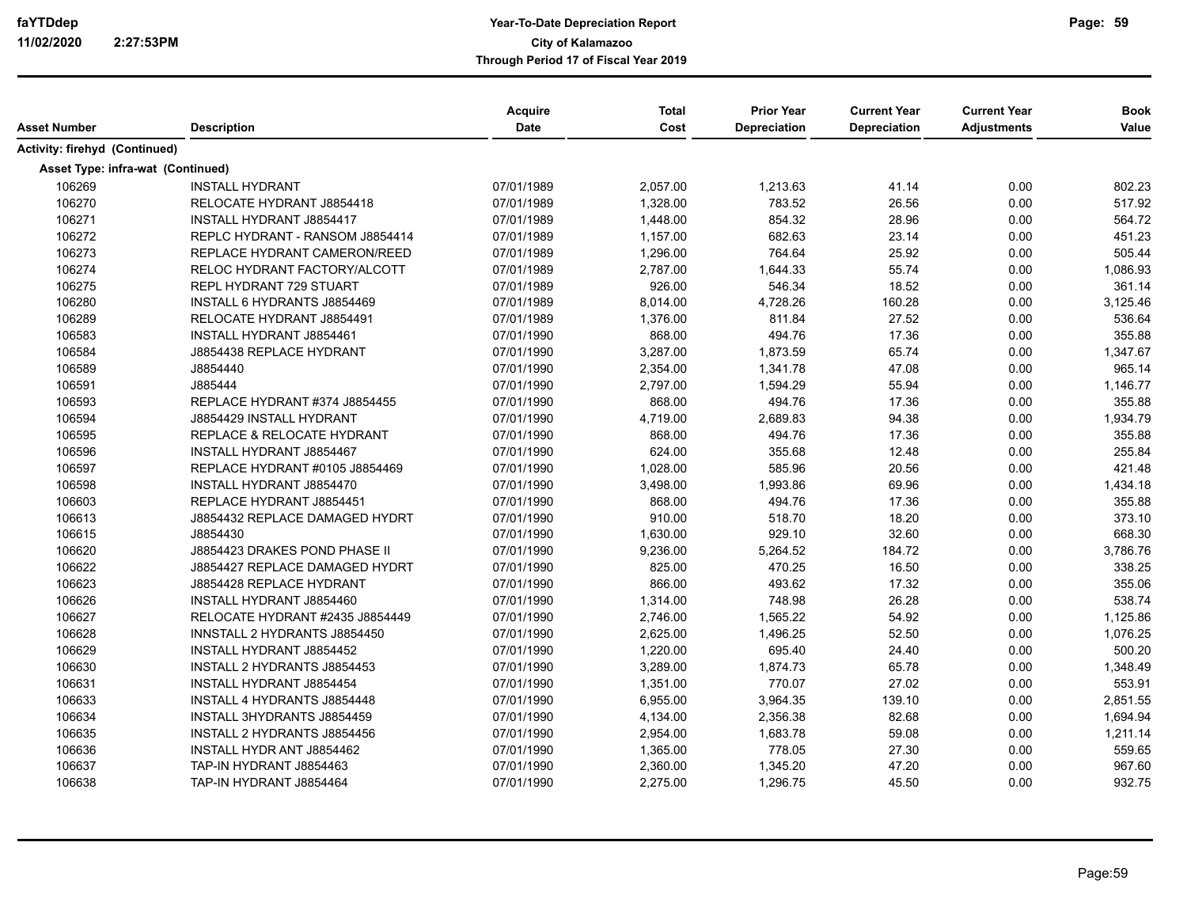| Activity: firehyd (Continued)<br><b>Asset Type: infra-wat (Continued)</b><br>0.00<br>106269<br><b>INSTALL HYDRANT</b><br>07/01/1989<br>2,057.00<br>1,213.63<br>41.14<br>106270<br>26.56<br>0.00<br>RELOCATE HYDRANT J8854418<br>07/01/1989<br>1,328.00<br>783.52<br>106271<br>854.32<br>0.00<br>INSTALL HYDRANT J8854417<br>07/01/1989<br>1,448.00<br>28.96<br>106272<br>0.00<br>REPLC HYDRANT - RANSOM J8854414<br>07/01/1989<br>1,157.00<br>682.63<br>23.14<br>106273<br>REPLACE HYDRANT CAMERON/REED<br>764.64<br>25.92<br>0.00<br>07/01/1989<br>1,296.00<br>106274<br>RELOC HYDRANT FACTORY/ALCOTT<br>2,787.00<br>1,644.33<br>55.74<br>0.00<br>07/01/1989<br>106275<br>926.00<br>546.34<br>REPL HYDRANT 729 STUART<br>07/01/1989<br>18.52<br>0.00<br>106280<br>INSTALL 6 HYDRANTS J8854469<br>07/01/1989<br>8,014.00<br>4,728.26<br>160.28<br>0.00<br>106289<br>811.84<br>27.52<br>0.00<br>RELOCATE HYDRANT J8854491<br>07/01/1989<br>1,376.00<br>106583<br>07/01/1990<br>868.00<br>494.76<br>17.36<br>0.00<br><b>INSTALL HYDRANT J8854461</b><br>106584<br>J8854438 REPLACE HYDRANT<br>07/01/1990<br>3,287.00<br>1,873.59<br>65.74<br>0.00<br>106589<br>07/01/1990<br>2,354.00<br>1,341.78<br>47.08<br>0.00<br>J8854440<br>106591<br>J885444<br>07/01/1990<br>2,797.00<br>1,594.29<br>55.94<br>0.00<br>106593<br>868.00<br>494.76<br>17.36<br>0.00<br>REPLACE HYDRANT #374 J8854455<br>07/01/1990<br>106594<br>4,719.00<br>2,689.83<br>94.38<br>0.00<br>J8854429 INSTALL HYDRANT<br>07/01/1990<br>106595<br>868.00<br>494.76<br>17.36<br>0.00<br>REPLACE & RELOCATE HYDRANT<br>07/01/1990<br>106596<br>624.00<br>355.68<br>0.00<br>INSTALL HYDRANT J8854467<br>07/01/1990<br>12.48<br>106597<br>1,028.00<br>585.96<br>20.56<br>0.00<br>REPLACE HYDRANT #0105 J8854469<br>07/01/1990<br>106598<br>INSTALL HYDRANT J8854470<br>07/01/1990<br>3,498.00<br>1,993.86<br>69.96<br>0.00<br>106603<br>494.76<br>REPLACE HYDRANT J8854451<br>07/01/1990<br>868.00<br>17.36<br>0.00<br>106613<br>910.00<br>518.70<br>0.00<br>J8854432 REPLACE DAMAGED HYDRT<br>07/01/1990<br>18.20<br>106615<br>J8854430<br>07/01/1990<br>1,630.00<br>929.10<br>32.60<br>0.00<br>106620<br>J8854423 DRAKES POND PHASE II<br>07/01/1990<br>9,236.00<br>5,264.52<br>184.72<br>0.00<br>106622<br>825.00<br>0.00<br>J8854427 REPLACE DAMAGED HYDRT<br>07/01/1990<br>470.25<br>16.50<br>106623<br>866.00<br>493.62<br>0.00<br>J8854428 REPLACE HYDRANT<br>07/01/1990<br>17.32<br>106626<br>748.98<br>0.00<br>INSTALL HYDRANT J8854460<br>07/01/1990<br>1,314.00<br>26.28<br>106627<br>07/01/1990<br>2,746.00<br>1,565.22<br>54.92<br>0.00<br>RELOCATE HYDRANT #2435 J8854449<br>106628<br>2,625.00<br>1,496.25<br>52.50<br>0.00<br>INNSTALL 2 HYDRANTS J8854450<br>07/01/1990<br>106629<br>INSTALL HYDRANT J8854452<br>07/01/1990<br>1,220.00<br>695.40<br>24.40<br>0.00<br>106630<br>INSTALL 2 HYDRANTS J8854453<br>07/01/1990<br>3,289.00<br>1,874.73<br>65.78<br>0.00<br>770.07<br>106631<br>1,351.00<br>27.02<br>0.00<br>INSTALL HYDRANT J8854454<br>07/01/1990<br>106633<br>3,964.35<br>139.10<br>INSTALL 4 HYDRANTS J8854448<br>07/01/1990<br>6,955.00<br>0.00<br>106634<br><b>INSTALL 3HYDRANTS J8854459</b><br>07/01/1990<br>2.356.38<br>82.68<br>0.00<br>4,134.00<br>106635<br>59.08<br>0.00<br>INSTALL 2 HYDRANTS J8854456<br>07/01/1990<br>2,954.00<br>1,683.78<br>778.05<br>27.30<br>106636<br>INSTALL HYDR ANT J8854462<br>07/01/1990<br>1,365.00<br>0.00<br>106637<br>TAP-IN HYDRANT J8854463<br>07/01/1990<br>2,360.00<br>1,345.20<br>47.20<br>0.00<br>106638<br>2,275.00<br>1,296.75<br>45.50<br>0.00<br>TAP-IN HYDRANT J8854464<br>07/01/1990 |              |                    | <b>Acquire</b> | <b>Total</b> | <b>Prior Year</b>   | <b>Current Year</b> | <b>Current Year</b> | <b>Book</b> |
|--------------------------------------------------------------------------------------------------------------------------------------------------------------------------------------------------------------------------------------------------------------------------------------------------------------------------------------------------------------------------------------------------------------------------------------------------------------------------------------------------------------------------------------------------------------------------------------------------------------------------------------------------------------------------------------------------------------------------------------------------------------------------------------------------------------------------------------------------------------------------------------------------------------------------------------------------------------------------------------------------------------------------------------------------------------------------------------------------------------------------------------------------------------------------------------------------------------------------------------------------------------------------------------------------------------------------------------------------------------------------------------------------------------------------------------------------------------------------------------------------------------------------------------------------------------------------------------------------------------------------------------------------------------------------------------------------------------------------------------------------------------------------------------------------------------------------------------------------------------------------------------------------------------------------------------------------------------------------------------------------------------------------------------------------------------------------------------------------------------------------------------------------------------------------------------------------------------------------------------------------------------------------------------------------------------------------------------------------------------------------------------------------------------------------------------------------------------------------------------------------------------------------------------------------------------------------------------------------------------------------------------------------------------------------------------------------------------------------------------------------------------------------------------------------------------------------------------------------------------------------------------------------------------------------------------------------------------------------------------------------------------------------------------------------------------------------------------------------------------------------------------------------------------------------------------------------------------------------------------------------------------------------------------------------------------------------------------------------------------------------------------------------------------------------------------------------------------------------------------------------------------------------------------------------------------------------------------------------------------------------------------|--------------|--------------------|----------------|--------------|---------------------|---------------------|---------------------|-------------|
|                                                                                                                                                                                                                                                                                                                                                                                                                                                                                                                                                                                                                                                                                                                                                                                                                                                                                                                                                                                                                                                                                                                                                                                                                                                                                                                                                                                                                                                                                                                                                                                                                                                                                                                                                                                                                                                                                                                                                                                                                                                                                                                                                                                                                                                                                                                                                                                                                                                                                                                                                                                                                                                                                                                                                                                                                                                                                                                                                                                                                                                                                                                                                                                                                                                                                                                                                                                                                                                                                                                                                                                                                                      | Asset Number | <b>Description</b> | <b>Date</b>    | Cost         | <b>Depreciation</b> | <b>Depreciation</b> | <b>Adjustments</b>  | Value       |
|                                                                                                                                                                                                                                                                                                                                                                                                                                                                                                                                                                                                                                                                                                                                                                                                                                                                                                                                                                                                                                                                                                                                                                                                                                                                                                                                                                                                                                                                                                                                                                                                                                                                                                                                                                                                                                                                                                                                                                                                                                                                                                                                                                                                                                                                                                                                                                                                                                                                                                                                                                                                                                                                                                                                                                                                                                                                                                                                                                                                                                                                                                                                                                                                                                                                                                                                                                                                                                                                                                                                                                                                                                      |              |                    |                |              |                     |                     |                     |             |
|                                                                                                                                                                                                                                                                                                                                                                                                                                                                                                                                                                                                                                                                                                                                                                                                                                                                                                                                                                                                                                                                                                                                                                                                                                                                                                                                                                                                                                                                                                                                                                                                                                                                                                                                                                                                                                                                                                                                                                                                                                                                                                                                                                                                                                                                                                                                                                                                                                                                                                                                                                                                                                                                                                                                                                                                                                                                                                                                                                                                                                                                                                                                                                                                                                                                                                                                                                                                                                                                                                                                                                                                                                      |              |                    |                |              |                     |                     |                     |             |
|                                                                                                                                                                                                                                                                                                                                                                                                                                                                                                                                                                                                                                                                                                                                                                                                                                                                                                                                                                                                                                                                                                                                                                                                                                                                                                                                                                                                                                                                                                                                                                                                                                                                                                                                                                                                                                                                                                                                                                                                                                                                                                                                                                                                                                                                                                                                                                                                                                                                                                                                                                                                                                                                                                                                                                                                                                                                                                                                                                                                                                                                                                                                                                                                                                                                                                                                                                                                                                                                                                                                                                                                                                      |              |                    |                |              |                     |                     |                     | 802.23      |
|                                                                                                                                                                                                                                                                                                                                                                                                                                                                                                                                                                                                                                                                                                                                                                                                                                                                                                                                                                                                                                                                                                                                                                                                                                                                                                                                                                                                                                                                                                                                                                                                                                                                                                                                                                                                                                                                                                                                                                                                                                                                                                                                                                                                                                                                                                                                                                                                                                                                                                                                                                                                                                                                                                                                                                                                                                                                                                                                                                                                                                                                                                                                                                                                                                                                                                                                                                                                                                                                                                                                                                                                                                      |              |                    |                |              |                     |                     |                     | 517.92      |
|                                                                                                                                                                                                                                                                                                                                                                                                                                                                                                                                                                                                                                                                                                                                                                                                                                                                                                                                                                                                                                                                                                                                                                                                                                                                                                                                                                                                                                                                                                                                                                                                                                                                                                                                                                                                                                                                                                                                                                                                                                                                                                                                                                                                                                                                                                                                                                                                                                                                                                                                                                                                                                                                                                                                                                                                                                                                                                                                                                                                                                                                                                                                                                                                                                                                                                                                                                                                                                                                                                                                                                                                                                      |              |                    |                |              |                     |                     |                     | 564.72      |
|                                                                                                                                                                                                                                                                                                                                                                                                                                                                                                                                                                                                                                                                                                                                                                                                                                                                                                                                                                                                                                                                                                                                                                                                                                                                                                                                                                                                                                                                                                                                                                                                                                                                                                                                                                                                                                                                                                                                                                                                                                                                                                                                                                                                                                                                                                                                                                                                                                                                                                                                                                                                                                                                                                                                                                                                                                                                                                                                                                                                                                                                                                                                                                                                                                                                                                                                                                                                                                                                                                                                                                                                                                      |              |                    |                |              |                     |                     |                     | 451.23      |
|                                                                                                                                                                                                                                                                                                                                                                                                                                                                                                                                                                                                                                                                                                                                                                                                                                                                                                                                                                                                                                                                                                                                                                                                                                                                                                                                                                                                                                                                                                                                                                                                                                                                                                                                                                                                                                                                                                                                                                                                                                                                                                                                                                                                                                                                                                                                                                                                                                                                                                                                                                                                                                                                                                                                                                                                                                                                                                                                                                                                                                                                                                                                                                                                                                                                                                                                                                                                                                                                                                                                                                                                                                      |              |                    |                |              |                     |                     |                     | 505.44      |
|                                                                                                                                                                                                                                                                                                                                                                                                                                                                                                                                                                                                                                                                                                                                                                                                                                                                                                                                                                                                                                                                                                                                                                                                                                                                                                                                                                                                                                                                                                                                                                                                                                                                                                                                                                                                                                                                                                                                                                                                                                                                                                                                                                                                                                                                                                                                                                                                                                                                                                                                                                                                                                                                                                                                                                                                                                                                                                                                                                                                                                                                                                                                                                                                                                                                                                                                                                                                                                                                                                                                                                                                                                      |              |                    |                |              |                     |                     |                     | 1,086.93    |
|                                                                                                                                                                                                                                                                                                                                                                                                                                                                                                                                                                                                                                                                                                                                                                                                                                                                                                                                                                                                                                                                                                                                                                                                                                                                                                                                                                                                                                                                                                                                                                                                                                                                                                                                                                                                                                                                                                                                                                                                                                                                                                                                                                                                                                                                                                                                                                                                                                                                                                                                                                                                                                                                                                                                                                                                                                                                                                                                                                                                                                                                                                                                                                                                                                                                                                                                                                                                                                                                                                                                                                                                                                      |              |                    |                |              |                     |                     |                     | 361.14      |
|                                                                                                                                                                                                                                                                                                                                                                                                                                                                                                                                                                                                                                                                                                                                                                                                                                                                                                                                                                                                                                                                                                                                                                                                                                                                                                                                                                                                                                                                                                                                                                                                                                                                                                                                                                                                                                                                                                                                                                                                                                                                                                                                                                                                                                                                                                                                                                                                                                                                                                                                                                                                                                                                                                                                                                                                                                                                                                                                                                                                                                                                                                                                                                                                                                                                                                                                                                                                                                                                                                                                                                                                                                      |              |                    |                |              |                     |                     |                     | 3,125.46    |
|                                                                                                                                                                                                                                                                                                                                                                                                                                                                                                                                                                                                                                                                                                                                                                                                                                                                                                                                                                                                                                                                                                                                                                                                                                                                                                                                                                                                                                                                                                                                                                                                                                                                                                                                                                                                                                                                                                                                                                                                                                                                                                                                                                                                                                                                                                                                                                                                                                                                                                                                                                                                                                                                                                                                                                                                                                                                                                                                                                                                                                                                                                                                                                                                                                                                                                                                                                                                                                                                                                                                                                                                                                      |              |                    |                |              |                     |                     |                     | 536.64      |
|                                                                                                                                                                                                                                                                                                                                                                                                                                                                                                                                                                                                                                                                                                                                                                                                                                                                                                                                                                                                                                                                                                                                                                                                                                                                                                                                                                                                                                                                                                                                                                                                                                                                                                                                                                                                                                                                                                                                                                                                                                                                                                                                                                                                                                                                                                                                                                                                                                                                                                                                                                                                                                                                                                                                                                                                                                                                                                                                                                                                                                                                                                                                                                                                                                                                                                                                                                                                                                                                                                                                                                                                                                      |              |                    |                |              |                     |                     |                     | 355.88      |
|                                                                                                                                                                                                                                                                                                                                                                                                                                                                                                                                                                                                                                                                                                                                                                                                                                                                                                                                                                                                                                                                                                                                                                                                                                                                                                                                                                                                                                                                                                                                                                                                                                                                                                                                                                                                                                                                                                                                                                                                                                                                                                                                                                                                                                                                                                                                                                                                                                                                                                                                                                                                                                                                                                                                                                                                                                                                                                                                                                                                                                                                                                                                                                                                                                                                                                                                                                                                                                                                                                                                                                                                                                      |              |                    |                |              |                     |                     |                     | 1,347.67    |
|                                                                                                                                                                                                                                                                                                                                                                                                                                                                                                                                                                                                                                                                                                                                                                                                                                                                                                                                                                                                                                                                                                                                                                                                                                                                                                                                                                                                                                                                                                                                                                                                                                                                                                                                                                                                                                                                                                                                                                                                                                                                                                                                                                                                                                                                                                                                                                                                                                                                                                                                                                                                                                                                                                                                                                                                                                                                                                                                                                                                                                                                                                                                                                                                                                                                                                                                                                                                                                                                                                                                                                                                                                      |              |                    |                |              |                     |                     |                     | 965.14      |
|                                                                                                                                                                                                                                                                                                                                                                                                                                                                                                                                                                                                                                                                                                                                                                                                                                                                                                                                                                                                                                                                                                                                                                                                                                                                                                                                                                                                                                                                                                                                                                                                                                                                                                                                                                                                                                                                                                                                                                                                                                                                                                                                                                                                                                                                                                                                                                                                                                                                                                                                                                                                                                                                                                                                                                                                                                                                                                                                                                                                                                                                                                                                                                                                                                                                                                                                                                                                                                                                                                                                                                                                                                      |              |                    |                |              |                     |                     |                     | 1,146.77    |
|                                                                                                                                                                                                                                                                                                                                                                                                                                                                                                                                                                                                                                                                                                                                                                                                                                                                                                                                                                                                                                                                                                                                                                                                                                                                                                                                                                                                                                                                                                                                                                                                                                                                                                                                                                                                                                                                                                                                                                                                                                                                                                                                                                                                                                                                                                                                                                                                                                                                                                                                                                                                                                                                                                                                                                                                                                                                                                                                                                                                                                                                                                                                                                                                                                                                                                                                                                                                                                                                                                                                                                                                                                      |              |                    |                |              |                     |                     |                     | 355.88      |
|                                                                                                                                                                                                                                                                                                                                                                                                                                                                                                                                                                                                                                                                                                                                                                                                                                                                                                                                                                                                                                                                                                                                                                                                                                                                                                                                                                                                                                                                                                                                                                                                                                                                                                                                                                                                                                                                                                                                                                                                                                                                                                                                                                                                                                                                                                                                                                                                                                                                                                                                                                                                                                                                                                                                                                                                                                                                                                                                                                                                                                                                                                                                                                                                                                                                                                                                                                                                                                                                                                                                                                                                                                      |              |                    |                |              |                     |                     |                     | 1,934.79    |
|                                                                                                                                                                                                                                                                                                                                                                                                                                                                                                                                                                                                                                                                                                                                                                                                                                                                                                                                                                                                                                                                                                                                                                                                                                                                                                                                                                                                                                                                                                                                                                                                                                                                                                                                                                                                                                                                                                                                                                                                                                                                                                                                                                                                                                                                                                                                                                                                                                                                                                                                                                                                                                                                                                                                                                                                                                                                                                                                                                                                                                                                                                                                                                                                                                                                                                                                                                                                                                                                                                                                                                                                                                      |              |                    |                |              |                     |                     |                     | 355.88      |
|                                                                                                                                                                                                                                                                                                                                                                                                                                                                                                                                                                                                                                                                                                                                                                                                                                                                                                                                                                                                                                                                                                                                                                                                                                                                                                                                                                                                                                                                                                                                                                                                                                                                                                                                                                                                                                                                                                                                                                                                                                                                                                                                                                                                                                                                                                                                                                                                                                                                                                                                                                                                                                                                                                                                                                                                                                                                                                                                                                                                                                                                                                                                                                                                                                                                                                                                                                                                                                                                                                                                                                                                                                      |              |                    |                |              |                     |                     |                     | 255.84      |
|                                                                                                                                                                                                                                                                                                                                                                                                                                                                                                                                                                                                                                                                                                                                                                                                                                                                                                                                                                                                                                                                                                                                                                                                                                                                                                                                                                                                                                                                                                                                                                                                                                                                                                                                                                                                                                                                                                                                                                                                                                                                                                                                                                                                                                                                                                                                                                                                                                                                                                                                                                                                                                                                                                                                                                                                                                                                                                                                                                                                                                                                                                                                                                                                                                                                                                                                                                                                                                                                                                                                                                                                                                      |              |                    |                |              |                     |                     |                     | 421.48      |
|                                                                                                                                                                                                                                                                                                                                                                                                                                                                                                                                                                                                                                                                                                                                                                                                                                                                                                                                                                                                                                                                                                                                                                                                                                                                                                                                                                                                                                                                                                                                                                                                                                                                                                                                                                                                                                                                                                                                                                                                                                                                                                                                                                                                                                                                                                                                                                                                                                                                                                                                                                                                                                                                                                                                                                                                                                                                                                                                                                                                                                                                                                                                                                                                                                                                                                                                                                                                                                                                                                                                                                                                                                      |              |                    |                |              |                     |                     |                     | 1,434.18    |
|                                                                                                                                                                                                                                                                                                                                                                                                                                                                                                                                                                                                                                                                                                                                                                                                                                                                                                                                                                                                                                                                                                                                                                                                                                                                                                                                                                                                                                                                                                                                                                                                                                                                                                                                                                                                                                                                                                                                                                                                                                                                                                                                                                                                                                                                                                                                                                                                                                                                                                                                                                                                                                                                                                                                                                                                                                                                                                                                                                                                                                                                                                                                                                                                                                                                                                                                                                                                                                                                                                                                                                                                                                      |              |                    |                |              |                     |                     |                     | 355.88      |
|                                                                                                                                                                                                                                                                                                                                                                                                                                                                                                                                                                                                                                                                                                                                                                                                                                                                                                                                                                                                                                                                                                                                                                                                                                                                                                                                                                                                                                                                                                                                                                                                                                                                                                                                                                                                                                                                                                                                                                                                                                                                                                                                                                                                                                                                                                                                                                                                                                                                                                                                                                                                                                                                                                                                                                                                                                                                                                                                                                                                                                                                                                                                                                                                                                                                                                                                                                                                                                                                                                                                                                                                                                      |              |                    |                |              |                     |                     |                     | 373.10      |
|                                                                                                                                                                                                                                                                                                                                                                                                                                                                                                                                                                                                                                                                                                                                                                                                                                                                                                                                                                                                                                                                                                                                                                                                                                                                                                                                                                                                                                                                                                                                                                                                                                                                                                                                                                                                                                                                                                                                                                                                                                                                                                                                                                                                                                                                                                                                                                                                                                                                                                                                                                                                                                                                                                                                                                                                                                                                                                                                                                                                                                                                                                                                                                                                                                                                                                                                                                                                                                                                                                                                                                                                                                      |              |                    |                |              |                     |                     |                     | 668.30      |
|                                                                                                                                                                                                                                                                                                                                                                                                                                                                                                                                                                                                                                                                                                                                                                                                                                                                                                                                                                                                                                                                                                                                                                                                                                                                                                                                                                                                                                                                                                                                                                                                                                                                                                                                                                                                                                                                                                                                                                                                                                                                                                                                                                                                                                                                                                                                                                                                                                                                                                                                                                                                                                                                                                                                                                                                                                                                                                                                                                                                                                                                                                                                                                                                                                                                                                                                                                                                                                                                                                                                                                                                                                      |              |                    |                |              |                     |                     |                     | 3,786.76    |
|                                                                                                                                                                                                                                                                                                                                                                                                                                                                                                                                                                                                                                                                                                                                                                                                                                                                                                                                                                                                                                                                                                                                                                                                                                                                                                                                                                                                                                                                                                                                                                                                                                                                                                                                                                                                                                                                                                                                                                                                                                                                                                                                                                                                                                                                                                                                                                                                                                                                                                                                                                                                                                                                                                                                                                                                                                                                                                                                                                                                                                                                                                                                                                                                                                                                                                                                                                                                                                                                                                                                                                                                                                      |              |                    |                |              |                     |                     |                     | 338.25      |
|                                                                                                                                                                                                                                                                                                                                                                                                                                                                                                                                                                                                                                                                                                                                                                                                                                                                                                                                                                                                                                                                                                                                                                                                                                                                                                                                                                                                                                                                                                                                                                                                                                                                                                                                                                                                                                                                                                                                                                                                                                                                                                                                                                                                                                                                                                                                                                                                                                                                                                                                                                                                                                                                                                                                                                                                                                                                                                                                                                                                                                                                                                                                                                                                                                                                                                                                                                                                                                                                                                                                                                                                                                      |              |                    |                |              |                     |                     |                     | 355.06      |
|                                                                                                                                                                                                                                                                                                                                                                                                                                                                                                                                                                                                                                                                                                                                                                                                                                                                                                                                                                                                                                                                                                                                                                                                                                                                                                                                                                                                                                                                                                                                                                                                                                                                                                                                                                                                                                                                                                                                                                                                                                                                                                                                                                                                                                                                                                                                                                                                                                                                                                                                                                                                                                                                                                                                                                                                                                                                                                                                                                                                                                                                                                                                                                                                                                                                                                                                                                                                                                                                                                                                                                                                                                      |              |                    |                |              |                     |                     |                     | 538.74      |
|                                                                                                                                                                                                                                                                                                                                                                                                                                                                                                                                                                                                                                                                                                                                                                                                                                                                                                                                                                                                                                                                                                                                                                                                                                                                                                                                                                                                                                                                                                                                                                                                                                                                                                                                                                                                                                                                                                                                                                                                                                                                                                                                                                                                                                                                                                                                                                                                                                                                                                                                                                                                                                                                                                                                                                                                                                                                                                                                                                                                                                                                                                                                                                                                                                                                                                                                                                                                                                                                                                                                                                                                                                      |              |                    |                |              |                     |                     |                     | 1,125.86    |
|                                                                                                                                                                                                                                                                                                                                                                                                                                                                                                                                                                                                                                                                                                                                                                                                                                                                                                                                                                                                                                                                                                                                                                                                                                                                                                                                                                                                                                                                                                                                                                                                                                                                                                                                                                                                                                                                                                                                                                                                                                                                                                                                                                                                                                                                                                                                                                                                                                                                                                                                                                                                                                                                                                                                                                                                                                                                                                                                                                                                                                                                                                                                                                                                                                                                                                                                                                                                                                                                                                                                                                                                                                      |              |                    |                |              |                     |                     |                     | 1,076.25    |
|                                                                                                                                                                                                                                                                                                                                                                                                                                                                                                                                                                                                                                                                                                                                                                                                                                                                                                                                                                                                                                                                                                                                                                                                                                                                                                                                                                                                                                                                                                                                                                                                                                                                                                                                                                                                                                                                                                                                                                                                                                                                                                                                                                                                                                                                                                                                                                                                                                                                                                                                                                                                                                                                                                                                                                                                                                                                                                                                                                                                                                                                                                                                                                                                                                                                                                                                                                                                                                                                                                                                                                                                                                      |              |                    |                |              |                     |                     |                     | 500.20      |
|                                                                                                                                                                                                                                                                                                                                                                                                                                                                                                                                                                                                                                                                                                                                                                                                                                                                                                                                                                                                                                                                                                                                                                                                                                                                                                                                                                                                                                                                                                                                                                                                                                                                                                                                                                                                                                                                                                                                                                                                                                                                                                                                                                                                                                                                                                                                                                                                                                                                                                                                                                                                                                                                                                                                                                                                                                                                                                                                                                                                                                                                                                                                                                                                                                                                                                                                                                                                                                                                                                                                                                                                                                      |              |                    |                |              |                     |                     |                     | 1,348.49    |
|                                                                                                                                                                                                                                                                                                                                                                                                                                                                                                                                                                                                                                                                                                                                                                                                                                                                                                                                                                                                                                                                                                                                                                                                                                                                                                                                                                                                                                                                                                                                                                                                                                                                                                                                                                                                                                                                                                                                                                                                                                                                                                                                                                                                                                                                                                                                                                                                                                                                                                                                                                                                                                                                                                                                                                                                                                                                                                                                                                                                                                                                                                                                                                                                                                                                                                                                                                                                                                                                                                                                                                                                                                      |              |                    |                |              |                     |                     |                     | 553.91      |
|                                                                                                                                                                                                                                                                                                                                                                                                                                                                                                                                                                                                                                                                                                                                                                                                                                                                                                                                                                                                                                                                                                                                                                                                                                                                                                                                                                                                                                                                                                                                                                                                                                                                                                                                                                                                                                                                                                                                                                                                                                                                                                                                                                                                                                                                                                                                                                                                                                                                                                                                                                                                                                                                                                                                                                                                                                                                                                                                                                                                                                                                                                                                                                                                                                                                                                                                                                                                                                                                                                                                                                                                                                      |              |                    |                |              |                     |                     |                     | 2,851.55    |
|                                                                                                                                                                                                                                                                                                                                                                                                                                                                                                                                                                                                                                                                                                                                                                                                                                                                                                                                                                                                                                                                                                                                                                                                                                                                                                                                                                                                                                                                                                                                                                                                                                                                                                                                                                                                                                                                                                                                                                                                                                                                                                                                                                                                                                                                                                                                                                                                                                                                                                                                                                                                                                                                                                                                                                                                                                                                                                                                                                                                                                                                                                                                                                                                                                                                                                                                                                                                                                                                                                                                                                                                                                      |              |                    |                |              |                     |                     |                     | 1,694.94    |
|                                                                                                                                                                                                                                                                                                                                                                                                                                                                                                                                                                                                                                                                                                                                                                                                                                                                                                                                                                                                                                                                                                                                                                                                                                                                                                                                                                                                                                                                                                                                                                                                                                                                                                                                                                                                                                                                                                                                                                                                                                                                                                                                                                                                                                                                                                                                                                                                                                                                                                                                                                                                                                                                                                                                                                                                                                                                                                                                                                                                                                                                                                                                                                                                                                                                                                                                                                                                                                                                                                                                                                                                                                      |              |                    |                |              |                     |                     |                     | 1,211.14    |
|                                                                                                                                                                                                                                                                                                                                                                                                                                                                                                                                                                                                                                                                                                                                                                                                                                                                                                                                                                                                                                                                                                                                                                                                                                                                                                                                                                                                                                                                                                                                                                                                                                                                                                                                                                                                                                                                                                                                                                                                                                                                                                                                                                                                                                                                                                                                                                                                                                                                                                                                                                                                                                                                                                                                                                                                                                                                                                                                                                                                                                                                                                                                                                                                                                                                                                                                                                                                                                                                                                                                                                                                                                      |              |                    |                |              |                     |                     |                     | 559.65      |
|                                                                                                                                                                                                                                                                                                                                                                                                                                                                                                                                                                                                                                                                                                                                                                                                                                                                                                                                                                                                                                                                                                                                                                                                                                                                                                                                                                                                                                                                                                                                                                                                                                                                                                                                                                                                                                                                                                                                                                                                                                                                                                                                                                                                                                                                                                                                                                                                                                                                                                                                                                                                                                                                                                                                                                                                                                                                                                                                                                                                                                                                                                                                                                                                                                                                                                                                                                                                                                                                                                                                                                                                                                      |              |                    |                |              |                     |                     |                     | 967.60      |
|                                                                                                                                                                                                                                                                                                                                                                                                                                                                                                                                                                                                                                                                                                                                                                                                                                                                                                                                                                                                                                                                                                                                                                                                                                                                                                                                                                                                                                                                                                                                                                                                                                                                                                                                                                                                                                                                                                                                                                                                                                                                                                                                                                                                                                                                                                                                                                                                                                                                                                                                                                                                                                                                                                                                                                                                                                                                                                                                                                                                                                                                                                                                                                                                                                                                                                                                                                                                                                                                                                                                                                                                                                      |              |                    |                |              |                     |                     |                     | 932.75      |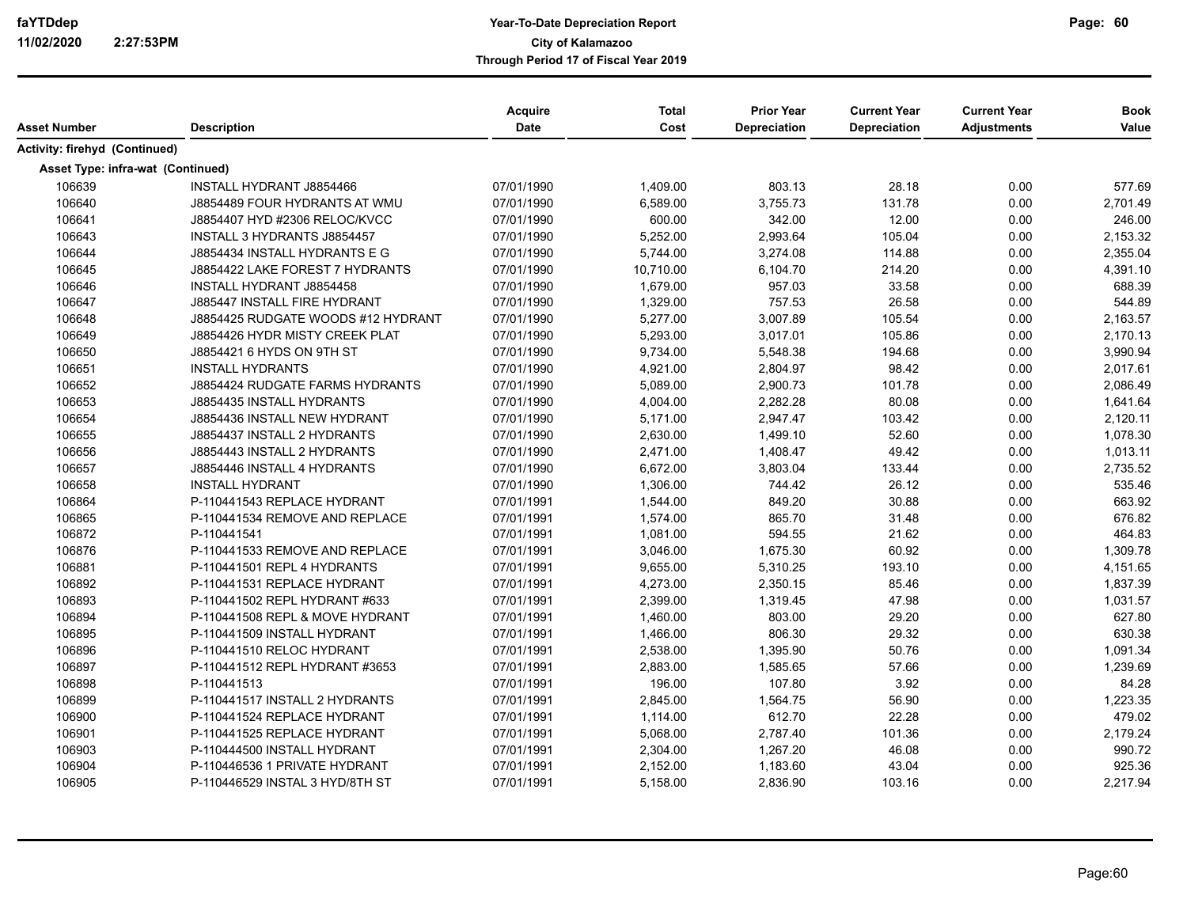| Asset Number                      | <b>Description</b>                  | Acquire<br><b>Date</b> | <b>Total</b><br>Cost | <b>Prior Year</b><br>Depreciation | <b>Current Year</b><br><b>Depreciation</b> | <b>Current Year</b><br><b>Adjustments</b> | <b>Book</b><br>Value |
|-----------------------------------|-------------------------------------|------------------------|----------------------|-----------------------------------|--------------------------------------------|-------------------------------------------|----------------------|
| Activity: firehyd (Continued)     |                                     |                        |                      |                                   |                                            |                                           |                      |
| Asset Type: infra-wat (Continued) |                                     |                        |                      |                                   |                                            |                                           |                      |
| 106639                            | INSTALL HYDRANT J8854466            | 07/01/1990             | 1,409.00             | 803.13                            | 28.18                                      | 0.00                                      | 577.69               |
| 106640                            | J8854489 FOUR HYDRANTS AT WMU       | 07/01/1990             | 6,589.00             | 3,755.73                          | 131.78                                     | 0.00                                      | 2,701.49             |
| 106641                            | J8854407 HYD #2306 RELOC/KVCC       | 07/01/1990             | 600.00               | 342.00                            | 12.00                                      | 0.00                                      | 246.00               |
| 106643                            | INSTALL 3 HYDRANTS J8854457         | 07/01/1990             | 5,252.00             | 2,993.64                          | 105.04                                     | 0.00                                      | 2,153.32             |
| 106644                            | J8854434 INSTALL HYDRANTS E G       | 07/01/1990             | 5,744.00             | 3,274.08                          | 114.88                                     | 0.00                                      | 2,355.04             |
| 106645                            | J8854422 LAKE FOREST 7 HYDRANTS     | 07/01/1990             | 10,710.00            | 6,104.70                          | 214.20                                     | 0.00                                      | 4,391.10             |
| 106646                            | <b>INSTALL HYDRANT J8854458</b>     | 07/01/1990             | 1,679.00             | 957.03                            | 33.58                                      | 0.00                                      | 688.39               |
| 106647                            | <b>J885447 INSTALL FIRE HYDRANT</b> | 07/01/1990             | 1,329.00             | 757.53                            | 26.58                                      | 0.00                                      | 544.89               |
| 106648                            | J8854425 RUDGATE WOODS #12 HYDRANT  | 07/01/1990             | 5,277.00             | 3,007.89                          | 105.54                                     | 0.00                                      | 2,163.57             |
| 106649                            | J8854426 HYDR MISTY CREEK PLAT      | 07/01/1990             | 5,293.00             | 3,017.01                          | 105.86                                     | 0.00                                      | 2,170.13             |
| 106650                            | J8854421 6 HYDS ON 9TH ST           | 07/01/1990             | 9,734.00             | 5,548.38                          | 194.68                                     | 0.00                                      | 3,990.94             |
| 106651                            | <b>INSTALL HYDRANTS</b>             | 07/01/1990             | 4,921.00             | 2,804.97                          | 98.42                                      | 0.00                                      | 2,017.61             |
| 106652                            | J8854424 RUDGATE FARMS HYDRANTS     | 07/01/1990             | 5,089.00             | 2,900.73                          | 101.78                                     | 0.00                                      | 2,086.49             |
| 106653                            | J8854435 INSTALL HYDRANTS           | 07/01/1990             | 4,004.00             | 2,282.28                          | 80.08                                      | 0.00                                      | 1,641.64             |
| 106654                            | J8854436 INSTALL NEW HYDRANT        | 07/01/1990             | 5,171.00             | 2,947.47                          | 103.42                                     | 0.00                                      | 2,120.11             |
| 106655                            | J8854437 INSTALL 2 HYDRANTS         | 07/01/1990             | 2,630.00             | 1,499.10                          | 52.60                                      | 0.00                                      | 1,078.30             |
| 106656                            | J8854443 INSTALL 2 HYDRANTS         | 07/01/1990             | 2,471.00             | 1,408.47                          | 49.42                                      | 0.00                                      | 1,013.11             |
| 106657                            | J8854446 INSTALL 4 HYDRANTS         | 07/01/1990             | 6,672.00             | 3,803.04                          | 133.44                                     | 0.00                                      | 2,735.52             |
| 106658                            | <b>INSTALL HYDRANT</b>              | 07/01/1990             | 1,306.00             | 744.42                            | 26.12                                      | 0.00                                      | 535.46               |
| 106864                            | P-110441543 REPLACE HYDRANT         | 07/01/1991             | 1,544.00             | 849.20                            | 30.88                                      | 0.00                                      | 663.92               |
| 106865                            | P-110441534 REMOVE AND REPLACE      | 07/01/1991             | 1,574.00             | 865.70                            | 31.48                                      | 0.00                                      | 676.82               |
| 106872                            | P-110441541                         | 07/01/1991             | 1,081.00             | 594.55                            | 21.62                                      | 0.00                                      | 464.83               |
| 106876                            | P-110441533 REMOVE AND REPLACE      | 07/01/1991             | 3,046.00             | 1,675.30                          | 60.92                                      | 0.00                                      | 1,309.78             |
| 106881                            | P-110441501 REPL 4 HYDRANTS         | 07/01/1991             | 9,655.00             | 5,310.25                          | 193.10                                     | 0.00                                      | 4,151.65             |
| 106892                            | P-110441531 REPLACE HYDRANT         | 07/01/1991             | 4,273.00             | 2,350.15                          | 85.46                                      | 0.00                                      | 1,837.39             |
| 106893                            | P-110441502 REPL HYDRANT #633       | 07/01/1991             | 2,399.00             | 1,319.45                          | 47.98                                      | 0.00                                      | 1,031.57             |
| 106894                            | P-110441508 REPL & MOVE HYDRANT     | 07/01/1991             | 1,460.00             | 803.00                            | 29.20                                      | 0.00                                      | 627.80               |
| 106895                            | P-110441509 INSTALL HYDRANT         | 07/01/1991             | 1,466.00             | 806.30                            | 29.32                                      | 0.00                                      | 630.38               |
| 106896                            | P-110441510 RELOC HYDRANT           | 07/01/1991             | 2,538.00             | 1,395.90                          | 50.76                                      | 0.00                                      | 1,091.34             |
| 106897                            | P-110441512 REPL HYDRANT #3653      | 07/01/1991             | 2,883.00             | 1,585.65                          | 57.66                                      | 0.00                                      | 1,239.69             |
| 106898                            | P-110441513                         | 07/01/1991             | 196.00               | 107.80                            | 3.92                                       | 0.00                                      | 84.28                |
| 106899                            | P-110441517 INSTALL 2 HYDRANTS      | 07/01/1991             | 2,845.00             | 1,564.75                          | 56.90                                      | 0.00                                      | 1,223.35             |
| 106900                            | P-110441524 REPLACE HYDRANT         | 07/01/1991             | 1,114.00             | 612.70                            | 22.28                                      | 0.00                                      | 479.02               |
| 106901                            | P-110441525 REPLACE HYDRANT         | 07/01/1991             | 5,068.00             | 2,787.40                          | 101.36                                     | 0.00                                      | 2,179.24             |
| 106903                            | P-110444500 INSTALL HYDRANT         | 07/01/1991             | 2,304.00             | 1,267.20                          | 46.08                                      | 0.00                                      | 990.72               |
| 106904                            | P-110446536 1 PRIVATE HYDRANT       | 07/01/1991             | 2,152.00             | 1,183.60                          | 43.04                                      | 0.00                                      | 925.36               |
| 106905                            | P-110446529 INSTAL 3 HYD/8TH ST     | 07/01/1991             | 5,158.00             | 2,836.90                          | 103.16                                     | 0.00                                      | 2,217.94             |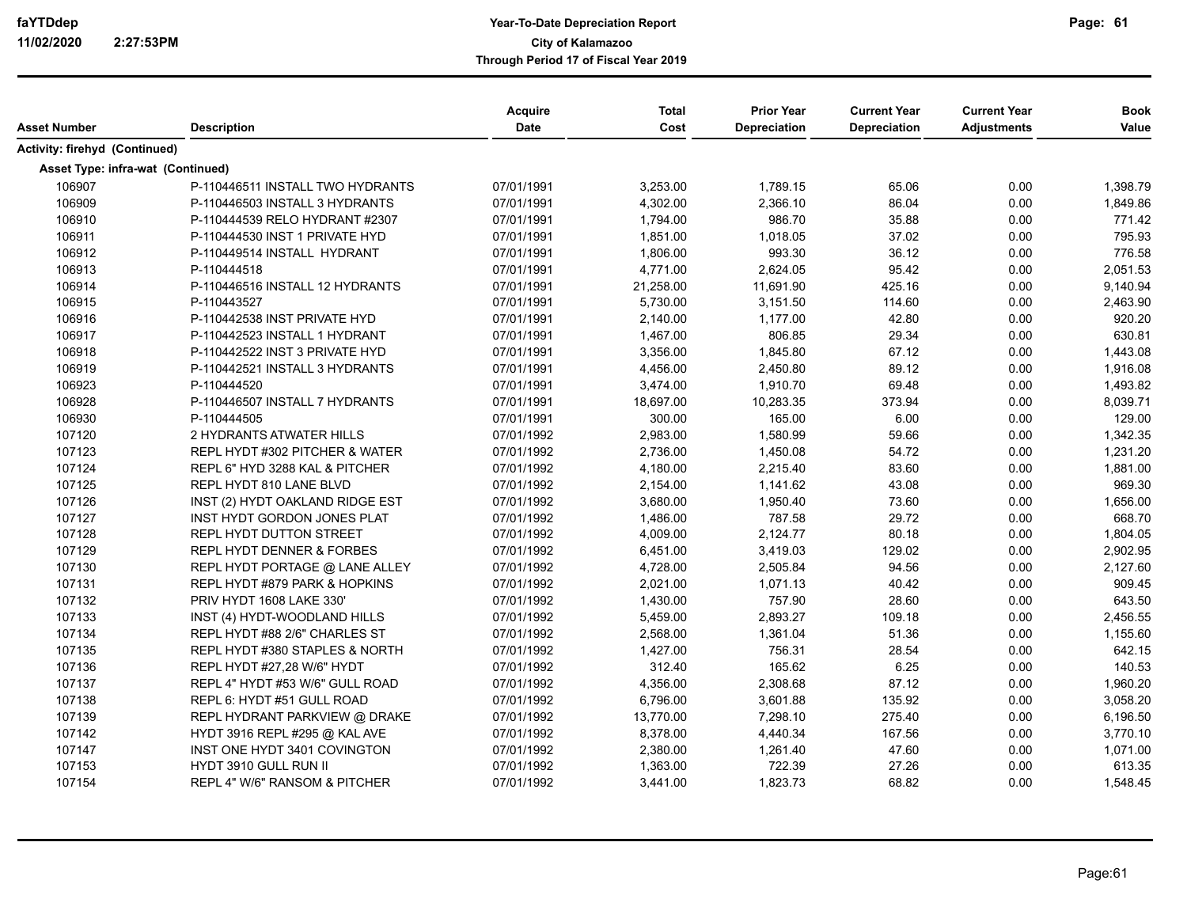| Asset Number                      | <b>Description</b>               | <b>Acquire</b><br>Date | <b>Total</b><br>Cost | <b>Prior Year</b><br><b>Depreciation</b> | <b>Current Year</b><br>Depreciation | <b>Current Year</b><br><b>Adjustments</b> | <b>Book</b><br>Value |
|-----------------------------------|----------------------------------|------------------------|----------------------|------------------------------------------|-------------------------------------|-------------------------------------------|----------------------|
|                                   |                                  |                        |                      |                                          |                                     |                                           |                      |
| Activity: firehyd (Continued)     |                                  |                        |                      |                                          |                                     |                                           |                      |
| Asset Type: infra-wat (Continued) |                                  |                        |                      |                                          |                                     |                                           |                      |
| 106907                            | P-110446511 INSTALL TWO HYDRANTS | 07/01/1991             | 3,253.00             | 1,789.15                                 | 65.06                               | 0.00                                      | 1,398.79             |
| 106909                            | P-110446503 INSTALL 3 HYDRANTS   | 07/01/1991             | 4,302.00             | 2,366.10                                 | 86.04                               | 0.00                                      | 1,849.86             |
| 106910                            | P-110444539 RELO HYDRANT #2307   | 07/01/1991             | 1,794.00             | 986.70                                   | 35.88                               | 0.00                                      | 771.42               |
| 106911                            | P-110444530 INST 1 PRIVATE HYD   | 07/01/1991             | 1,851.00             | 1,018.05                                 | 37.02                               | 0.00                                      | 795.93               |
| 106912                            | P-110449514 INSTALL HYDRANT      | 07/01/1991             | 1,806.00             | 993.30                                   | 36.12                               | 0.00                                      | 776.58               |
| 106913                            | P-110444518                      | 07/01/1991             | 4,771.00             | 2,624.05                                 | 95.42                               | 0.00                                      | 2,051.53             |
| 106914                            | P-110446516 INSTALL 12 HYDRANTS  | 07/01/1991             | 21,258.00            | 11,691.90                                | 425.16                              | 0.00                                      | 9,140.94             |
| 106915                            | P-110443527                      | 07/01/1991             | 5,730.00             | 3,151.50                                 | 114.60                              | 0.00                                      | 2,463.90             |
| 106916                            | P-110442538 INST PRIVATE HYD     | 07/01/1991             | 2,140.00             | 1,177.00                                 | 42.80                               | 0.00                                      | 920.20               |
| 106917                            | P-110442523 INSTALL 1 HYDRANT    | 07/01/1991             | 1,467.00             | 806.85                                   | 29.34                               | 0.00                                      | 630.81               |
| 106918                            | P-110442522 INST 3 PRIVATE HYD   | 07/01/1991             | 3,356.00             | 1,845.80                                 | 67.12                               | 0.00                                      | 1,443.08             |
| 106919                            | P-110442521 INSTALL 3 HYDRANTS   | 07/01/1991             | 4,456.00             | 2,450.80                                 | 89.12                               | 0.00                                      | 1,916.08             |
| 106923                            | P-110444520                      | 07/01/1991             | 3,474.00             | 1,910.70                                 | 69.48                               | 0.00                                      | 1,493.82             |
| 106928                            | P-110446507 INSTALL 7 HYDRANTS   | 07/01/1991             | 18,697.00            | 10,283.35                                | 373.94                              | 0.00                                      | 8,039.71             |
| 106930                            | P-110444505                      | 07/01/1991             | 300.00               | 165.00                                   | 6.00                                | 0.00                                      | 129.00               |
| 107120                            | 2 HYDRANTS ATWATER HILLS         | 07/01/1992             | 2,983.00             | 1,580.99                                 | 59.66                               | 0.00                                      | 1,342.35             |
| 107123                            | REPL HYDT #302 PITCHER & WATER   | 07/01/1992             | 2,736.00             | 1,450.08                                 | 54.72                               | 0.00                                      | 1,231.20             |
| 107124                            | REPL 6" HYD 3288 KAL & PITCHER   | 07/01/1992             | 4,180.00             | 2,215.40                                 | 83.60                               | 0.00                                      | 1,881.00             |
| 107125                            | REPL HYDT 810 LANE BLVD          | 07/01/1992             | 2,154.00             | 1,141.62                                 | 43.08                               | 0.00                                      | 969.30               |
| 107126                            | INST (2) HYDT OAKLAND RIDGE EST  | 07/01/1992             | 3,680.00             | 1,950.40                                 | 73.60                               | 0.00                                      | 1,656.00             |
| 107127                            | INST HYDT GORDON JONES PLAT      | 07/01/1992             | 1,486.00             | 787.58                                   | 29.72                               | 0.00                                      | 668.70               |
| 107128                            | <b>REPL HYDT DUTTON STREET</b>   | 07/01/1992             | 4,009.00             | 2,124.77                                 | 80.18                               | 0.00                                      | 1,804.05             |
| 107129                            | REPL HYDT DENNER & FORBES        | 07/01/1992             | 6,451.00             | 3,419.03                                 | 129.02                              | 0.00                                      | 2,902.95             |
| 107130                            | REPL HYDT PORTAGE @ LANE ALLEY   | 07/01/1992             | 4,728.00             | 2,505.84                                 | 94.56                               | 0.00                                      | 2,127.60             |
| 107131                            | REPL HYDT #879 PARK & HOPKINS    | 07/01/1992             | 2,021.00             | 1,071.13                                 | 40.42                               | 0.00                                      | 909.45               |
| 107132                            | PRIV HYDT 1608 LAKE 330'         | 07/01/1992             | 1,430.00             | 757.90                                   | 28.60                               | 0.00                                      | 643.50               |
| 107133                            | INST (4) HYDT-WOODLAND HILLS     | 07/01/1992             | 5,459.00             | 2,893.27                                 | 109.18                              | 0.00                                      | 2,456.55             |
| 107134                            | REPL HYDT #88 2/6" CHARLES ST    | 07/01/1992             | 2,568.00             | 1,361.04                                 | 51.36                               | 0.00                                      | 1,155.60             |
| 107135                            | REPL HYDT #380 STAPLES & NORTH   | 07/01/1992             | 1,427.00             | 756.31                                   | 28.54                               | 0.00                                      | 642.15               |
| 107136                            | REPL HYDT #27,28 W/6" HYDT       | 07/01/1992             | 312.40               | 165.62                                   | 6.25                                | 0.00                                      | 140.53               |
| 107137                            | REPL 4" HYDT #53 W/6" GULL ROAD  | 07/01/1992             | 4,356.00             | 2,308.68                                 | 87.12                               | 0.00                                      | 1,960.20             |
| 107138                            | REPL 6: HYDT #51 GULL ROAD       | 07/01/1992             | 6,796.00             | 3,601.88                                 | 135.92                              | 0.00                                      | 3,058.20             |
| 107139                            | REPL HYDRANT PARKVIEW @ DRAKE    | 07/01/1992             | 13,770.00            | 7,298.10                                 | 275.40                              | 0.00                                      | 6,196.50             |
| 107142                            | HYDT 3916 REPL #295 @ KAL AVE    | 07/01/1992             | 8,378.00             | 4,440.34                                 | 167.56                              | 0.00                                      | 3,770.10             |
| 107147                            | INST ONE HYDT 3401 COVINGTON     | 07/01/1992             | 2,380.00             | 1,261.40                                 | 47.60                               | 0.00                                      | 1,071.00             |
| 107153                            | HYDT 3910 GULL RUN II            | 07/01/1992             | 1,363.00             | 722.39                                   | 27.26                               | 0.00                                      | 613.35               |
| 107154                            | REPL 4" W/6" RANSOM & PITCHER    | 07/01/1992             | 3,441.00             | 1,823.73                                 | 68.82                               | 0.00                                      | 1,548.45             |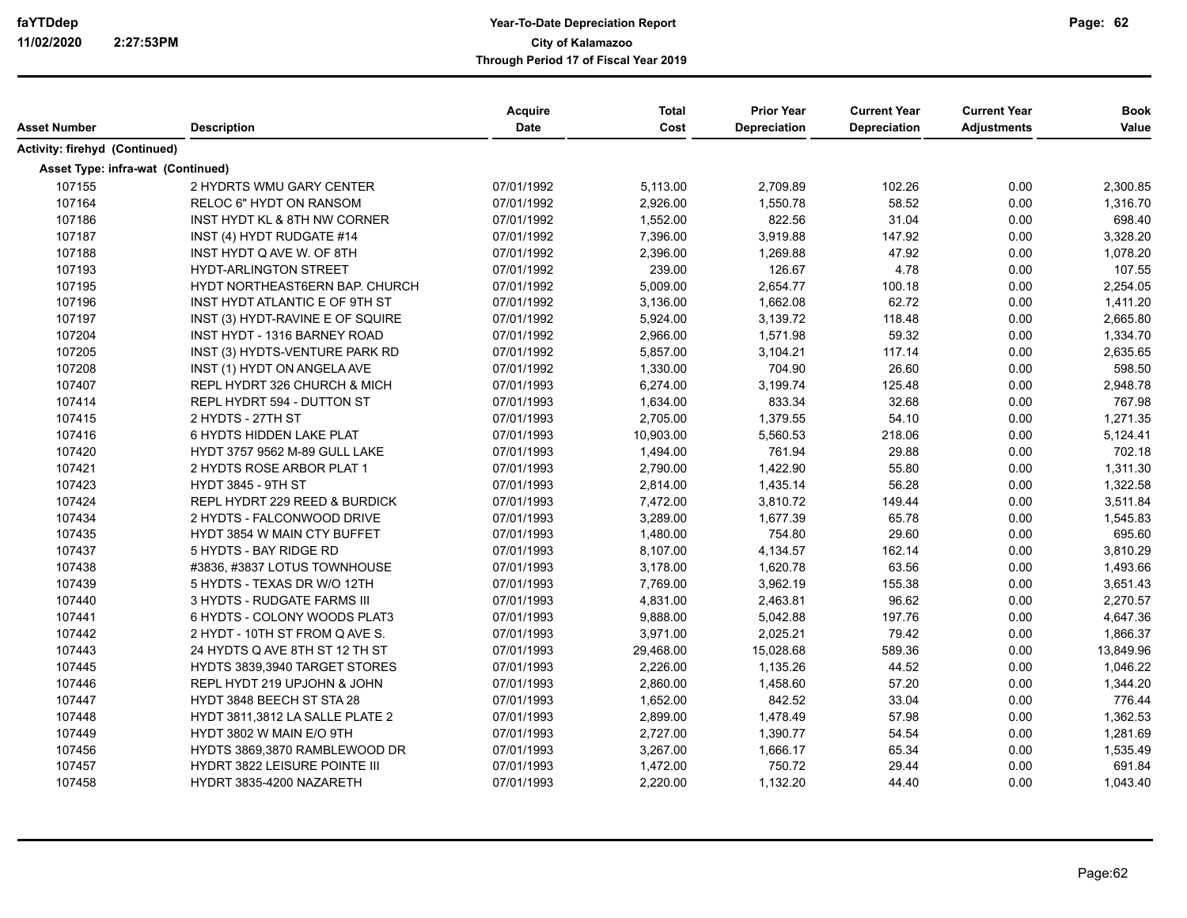|                                   |                                      | <b>Acquire</b> | <b>Total</b> | <b>Prior Year</b>   | <b>Current Year</b> | <b>Current Year</b> | <b>Book</b> |
|-----------------------------------|--------------------------------------|----------------|--------------|---------------------|---------------------|---------------------|-------------|
| Asset Number                      | <b>Description</b>                   | <b>Date</b>    | Cost         | <b>Depreciation</b> | Depreciation        | <b>Adjustments</b>  | Value       |
| Activity: firehyd (Continued)     |                                      |                |              |                     |                     |                     |             |
| Asset Type: infra-wat (Continued) |                                      |                |              |                     |                     |                     |             |
| 107155                            | 2 HYDRTS WMU GARY CENTER             | 07/01/1992     | 5,113.00     | 2,709.89            | 102.26              | 0.00                | 2,300.85    |
| 107164                            | RELOC 6" HYDT ON RANSOM              | 07/01/1992     | 2,926.00     | 1,550.78            | 58.52               | 0.00                | 1,316.70    |
| 107186                            | INST HYDT KL & 8TH NW CORNER         | 07/01/1992     | 1,552.00     | 822.56              | 31.04               | 0.00                | 698.40      |
| 107187                            | INST (4) HYDT RUDGATE #14            | 07/01/1992     | 7,396.00     | 3,919.88            | 147.92              | 0.00                | 3,328.20    |
| 107188                            | INST HYDT Q AVE W. OF 8TH            | 07/01/1992     | 2,396.00     | 1,269.88            | 47.92               | 0.00                | 1,078.20    |
| 107193                            | <b>HYDT-ARLINGTON STREET</b>         | 07/01/1992     | 239.00       | 126.67              | 4.78                | 0.00                | 107.55      |
| 107195                            | HYDT NORTHEAST6ERN BAP. CHURCH       | 07/01/1992     | 5,009.00     | 2,654.77            | 100.18              | 0.00                | 2,254.05    |
| 107196                            | INST HYDT ATLANTIC E OF 9TH ST       | 07/01/1992     | 3,136.00     | 1,662.08            | 62.72               | 0.00                | 1,411.20    |
| 107197                            | INST (3) HYDT-RAVINE E OF SQUIRE     | 07/01/1992     | 5,924.00     | 3,139.72            | 118.48              | 0.00                | 2,665.80    |
| 107204                            | <b>INST HYDT - 1316 BARNEY ROAD</b>  | 07/01/1992     | 2,966.00     | 1,571.98            | 59.32               | 0.00                | 1,334.70    |
| 107205                            | INST (3) HYDTS-VENTURE PARK RD       | 07/01/1992     | 5,857.00     | 3,104.21            | 117.14              | 0.00                | 2,635.65    |
| 107208                            | INST (1) HYDT ON ANGELA AVE          | 07/01/1992     | 1,330.00     | 704.90              | 26.60               | 0.00                | 598.50      |
| 107407                            | REPL HYDRT 326 CHURCH & MICH         | 07/01/1993     | 6,274.00     | 3,199.74            | 125.48              | 0.00                | 2,948.78    |
| 107414                            | REPL HYDRT 594 - DUTTON ST           | 07/01/1993     | 1,634.00     | 833.34              | 32.68               | 0.00                | 767.98      |
| 107415                            | 2 HYDTS - 27TH ST                    | 07/01/1993     | 2,705.00     | 1,379.55            | 54.10               | 0.00                | 1,271.35    |
| 107416                            | 6 HYDTS HIDDEN LAKE PLAT             | 07/01/1993     | 10,903.00    | 5,560.53            | 218.06              | 0.00                | 5,124.41    |
| 107420                            | <b>HYDT 3757 9562 M-89 GULL LAKE</b> | 07/01/1993     | 1,494.00     | 761.94              | 29.88               | 0.00                | 702.18      |
| 107421                            | 2 HYDTS ROSE ARBOR PLAT 1            | 07/01/1993     | 2,790.00     | 1,422.90            | 55.80               | 0.00                | 1,311.30    |
| 107423                            | HYDT 3845 - 9TH ST                   | 07/01/1993     | 2,814.00     | 1,435.14            | 56.28               | 0.00                | 1,322.58    |
| 107424                            | REPL HYDRT 229 REED & BURDICK        | 07/01/1993     | 7,472.00     | 3,810.72            | 149.44              | 0.00                | 3,511.84    |
| 107434                            | 2 HYDTS - FALCONWOOD DRIVE           | 07/01/1993     | 3,289.00     | 1,677.39            | 65.78               | 0.00                | 1,545.83    |
| 107435                            | <b>HYDT 3854 W MAIN CTY BUFFET</b>   | 07/01/1993     | 1,480.00     | 754.80              | 29.60               | 0.00                | 695.60      |
| 107437                            | 5 HYDTS - BAY RIDGE RD               | 07/01/1993     | 8,107.00     | 4,134.57            | 162.14              | 0.00                | 3,810.29    |
| 107438                            | #3836, #3837 LOTUS TOWNHOUSE         | 07/01/1993     | 3,178.00     | 1,620.78            | 63.56               | 0.00                | 1,493.66    |
| 107439                            | 5 HYDTS - TEXAS DR W/O 12TH          | 07/01/1993     | 7,769.00     | 3,962.19            | 155.38              | 0.00                | 3,651.43    |
| 107440                            | 3 HYDTS - RUDGATE FARMS III          | 07/01/1993     | 4,831.00     | 2,463.81            | 96.62               | 0.00                | 2,270.57    |
| 107441                            | 6 HYDTS - COLONY WOODS PLAT3         | 07/01/1993     | 9,888.00     | 5,042.88            | 197.76              | 0.00                | 4,647.36    |
| 107442                            | 2 HYDT - 10TH ST FROM Q AVE S.       | 07/01/1993     | 3,971.00     | 2,025.21            | 79.42               | 0.00                | 1,866.37    |
| 107443                            | 24 HYDTS Q AVE 8TH ST 12 TH ST       | 07/01/1993     | 29,468.00    | 15,028.68           | 589.36              | 0.00                | 13,849.96   |
| 107445                            | HYDTS 3839,3940 TARGET STORES        | 07/01/1993     | 2,226.00     | 1,135.26            | 44.52               | 0.00                | 1,046.22    |
| 107446                            | REPL HYDT 219 UPJOHN & JOHN          | 07/01/1993     | 2,860.00     | 1,458.60            | 57.20               | 0.00                | 1,344.20    |
| 107447                            | HYDT 3848 BEECH ST STA 28            | 07/01/1993     | 1,652.00     | 842.52              | 33.04               | 0.00                | 776.44      |
| 107448                            | HYDT 3811,3812 LA SALLE PLATE 2      | 07/01/1993     | 2,899.00     | 1,478.49            | 57.98               | 0.00                | 1,362.53    |
| 107449                            | HYDT 3802 W MAIN E/O 9TH             | 07/01/1993     | 2,727.00     | 1,390.77            | 54.54               | 0.00                | 1,281.69    |
| 107456                            | HYDTS 3869,3870 RAMBLEWOOD DR        | 07/01/1993     | 3,267.00     | 1,666.17            | 65.34               | 0.00                | 1,535.49    |
| 107457                            | HYDRT 3822 LEISURE POINTE III        | 07/01/1993     | 1,472.00     | 750.72              | 29.44               | 0.00                | 691.84      |
| 107458                            | HYDRT 3835-4200 NAZARETH             | 07/01/1993     | 2,220.00     | 1,132.20            | 44.40               | 0.00                | 1,043.40    |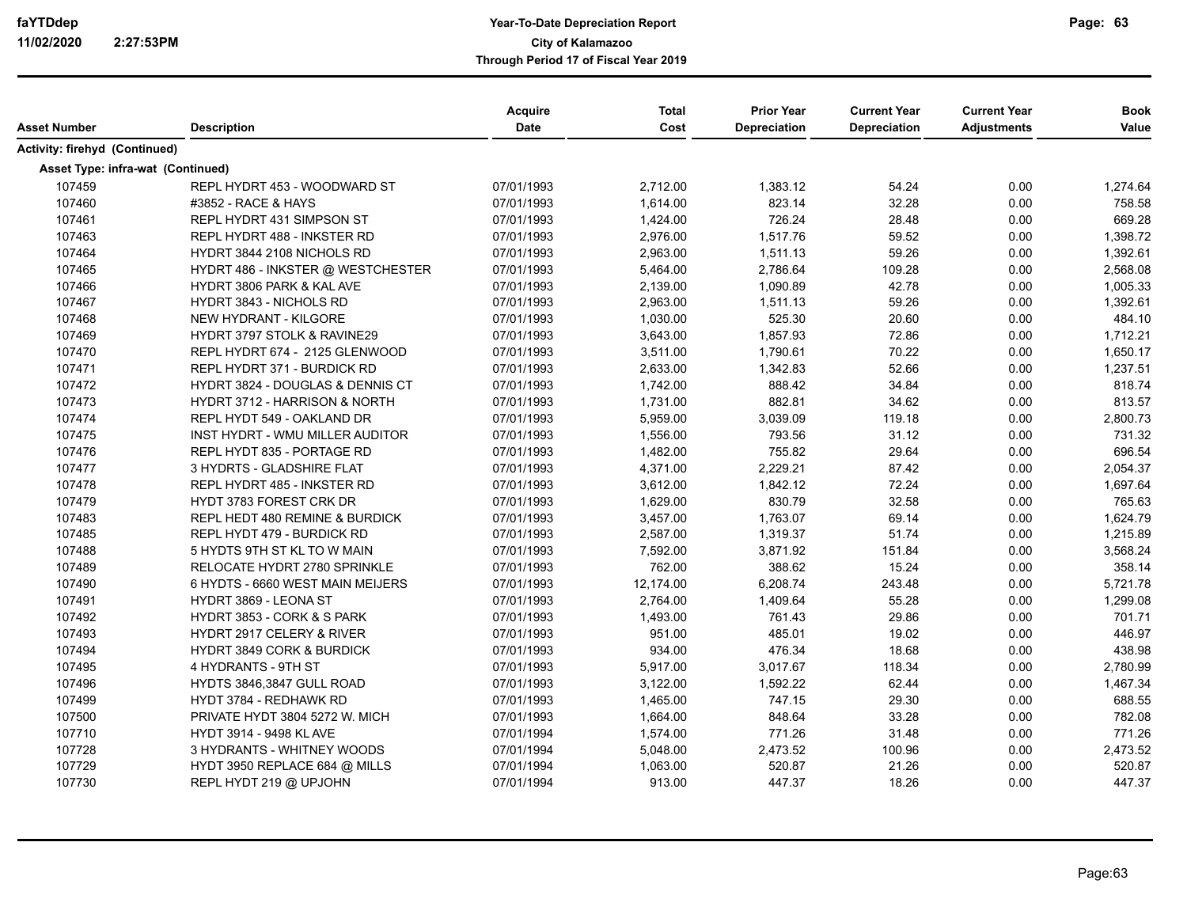| Asset Number                      | <b>Description</b>                          | Acquire<br>Date | <b>Total</b><br>Cost | <b>Prior Year</b><br><b>Depreciation</b> | <b>Current Year</b><br>Depreciation | <b>Current Year</b><br><b>Adjustments</b> | <b>Book</b><br>Value |
|-----------------------------------|---------------------------------------------|-----------------|----------------------|------------------------------------------|-------------------------------------|-------------------------------------------|----------------------|
| Activity: firehyd (Continued)     |                                             |                 |                      |                                          |                                     |                                           |                      |
| Asset Type: infra-wat (Continued) |                                             |                 |                      |                                          |                                     |                                           |                      |
| 107459                            | REPL HYDRT 453 - WOODWARD ST                | 07/01/1993      | 2,712.00             | 1,383.12                                 | 54.24                               | 0.00                                      | 1,274.64             |
| 107460                            | #3852 - RACE & HAYS                         | 07/01/1993      | 1,614.00             | 823.14                                   | 32.28                               | 0.00                                      | 758.58               |
| 107461                            | REPL HYDRT 431 SIMPSON ST                   | 07/01/1993      | 1,424.00             | 726.24                                   | 28.48                               | 0.00                                      | 669.28               |
| 107463                            | REPL HYDRT 488 - INKSTER RD                 | 07/01/1993      | 2,976.00             | 1,517.76                                 | 59.52                               | 0.00                                      | 1,398.72             |
| 107464                            | HYDRT 3844 2108 NICHOLS RD                  | 07/01/1993      | 2,963.00             | 1,511.13                                 | 59.26                               | 0.00                                      | 1,392.61             |
| 107465                            | HYDRT 486 - INKSTER @ WESTCHESTER           | 07/01/1993      | 5,464.00             | 2,786.64                                 | 109.28                              | 0.00                                      | 2,568.08             |
| 107466                            | <b>HYDRT 3806 PARK &amp; KAL AVE</b>        | 07/01/1993      | 2,139.00             | 1,090.89                                 | 42.78                               | 0.00                                      | 1,005.33             |
| 107467                            | <b>HYDRT 3843 - NICHOLS RD</b>              | 07/01/1993      | 2,963.00             | 1,511.13                                 | 59.26                               | 0.00                                      | 1,392.61             |
| 107468                            | NEW HYDRANT - KILGORE                       | 07/01/1993      | 1,030.00             | 525.30                                   | 20.60                               | 0.00                                      | 484.10               |
| 107469                            | <b>HYDRT 3797 STOLK &amp; RAVINE29</b>      | 07/01/1993      | 3,643.00             | 1,857.93                                 | 72.86                               | 0.00                                      | 1,712.21             |
| 107470                            | REPL HYDRT 674 - 2125 GLENWOOD              | 07/01/1993      | 3,511.00             | 1,790.61                                 | 70.22                               | 0.00                                      | 1,650.17             |
| 107471                            | REPL HYDRT 371 - BURDICK RD                 | 07/01/1993      | 2,633.00             | 1,342.83                                 | 52.66                               | 0.00                                      | 1,237.51             |
| 107472                            | <b>HYDRT 3824 - DOUGLAS &amp; DENNIS CT</b> | 07/01/1993      | 1,742.00             | 888.42                                   | 34.84                               | 0.00                                      | 818.74               |
| 107473                            | <b>HYDRT 3712 - HARRISON &amp; NORTH</b>    | 07/01/1993      | 1,731.00             | 882.81                                   | 34.62                               | 0.00                                      | 813.57               |
| 107474                            | REPL HYDT 549 - OAKLAND DR                  | 07/01/1993      | 5,959.00             | 3,039.09                                 | 119.18                              | 0.00                                      | 2,800.73             |
| 107475                            | INST HYDRT - WMU MILLER AUDITOR             | 07/01/1993      | 1,556.00             | 793.56                                   | 31.12                               | 0.00                                      | 731.32               |
| 107476                            | REPL HYDT 835 - PORTAGE RD                  | 07/01/1993      | 1,482.00             | 755.82                                   | 29.64                               | 0.00                                      | 696.54               |
| 107477                            | 3 HYDRTS - GLADSHIRE FLAT                   | 07/01/1993      | 4,371.00             | 2,229.21                                 | 87.42                               | 0.00                                      | 2,054.37             |
| 107478                            | REPL HYDRT 485 - INKSTER RD                 | 07/01/1993      | 3,612.00             | 1,842.12                                 | 72.24                               | 0.00                                      | 1,697.64             |
| 107479                            | <b>HYDT 3783 FOREST CRK DR</b>              | 07/01/1993      | 1,629.00             | 830.79                                   | 32.58                               | 0.00                                      | 765.63               |
| 107483                            | REPL HEDT 480 REMINE & BURDICK              | 07/01/1993      | 3,457.00             | 1,763.07                                 | 69.14                               | 0.00                                      | 1,624.79             |
| 107485                            | REPL HYDT 479 - BURDICK RD                  | 07/01/1993      | 2,587.00             | 1,319.37                                 | 51.74                               | 0.00                                      | 1,215.89             |
| 107488                            | 5 HYDTS 9TH ST KL TO W MAIN                 | 07/01/1993      | 7,592.00             | 3,871.92                                 | 151.84                              | 0.00                                      | 3,568.24             |
| 107489                            | RELOCATE HYDRT 2780 SPRINKLE                | 07/01/1993      | 762.00               | 388.62                                   | 15.24                               | 0.00                                      | 358.14               |
| 107490                            | 6 HYDTS - 6660 WEST MAIN MEIJERS            | 07/01/1993      | 12,174.00            | 6,208.74                                 | 243.48                              | 0.00                                      | 5,721.78             |
| 107491                            | HYDRT 3869 - LEONA ST                       | 07/01/1993      | 2,764.00             | 1,409.64                                 | 55.28                               | 0.00                                      | 1,299.08             |
| 107492                            | HYDRT 3853 - CORK & S PARK                  | 07/01/1993      | 1,493.00             | 761.43                                   | 29.86                               | 0.00                                      | 701.71               |
| 107493                            | <b>HYDRT 2917 CELERY &amp; RIVER</b>        | 07/01/1993      | 951.00               | 485.01                                   | 19.02                               | 0.00                                      | 446.97               |
| 107494                            | <b>HYDRT 3849 CORK &amp; BURDICK</b>        | 07/01/1993      | 934.00               | 476.34                                   | 18.68                               | 0.00                                      | 438.98               |
| 107495                            | 4 HYDRANTS - 9TH ST                         | 07/01/1993      | 5,917.00             | 3,017.67                                 | 118.34                              | 0.00                                      | 2,780.99             |
| 107496                            | HYDTS 3846,3847 GULL ROAD                   | 07/01/1993      | 3,122.00             | 1,592.22                                 | 62.44                               | 0.00                                      | 1,467.34             |
| 107499                            | HYDT 3784 - REDHAWK RD                      | 07/01/1993      | 1,465.00             | 747.15                                   | 29.30                               | 0.00                                      | 688.55               |
| 107500                            | PRIVATE HYDT 3804 5272 W. MICH              | 07/01/1993      | 1,664.00             | 848.64                                   | 33.28                               | 0.00                                      | 782.08               |
| 107710                            | <b>HYDT 3914 - 9498 KL AVE</b>              | 07/01/1994      | 1,574.00             | 771.26                                   | 31.48                               | 0.00                                      | 771.26               |
| 107728                            | 3 HYDRANTS - WHITNEY WOODS                  | 07/01/1994      | 5,048.00             | 2,473.52                                 | 100.96                              | 0.00                                      | 2,473.52             |
| 107729                            | HYDT 3950 REPLACE 684 @ MILLS               | 07/01/1994      | 1,063.00             | 520.87                                   | 21.26                               | 0.00                                      | 520.87               |
| 107730                            | REPL HYDT 219 @ UPJOHN                      | 07/01/1994      | 913.00               | 447.37                                   | 18.26                               | 0.00                                      | 447.37               |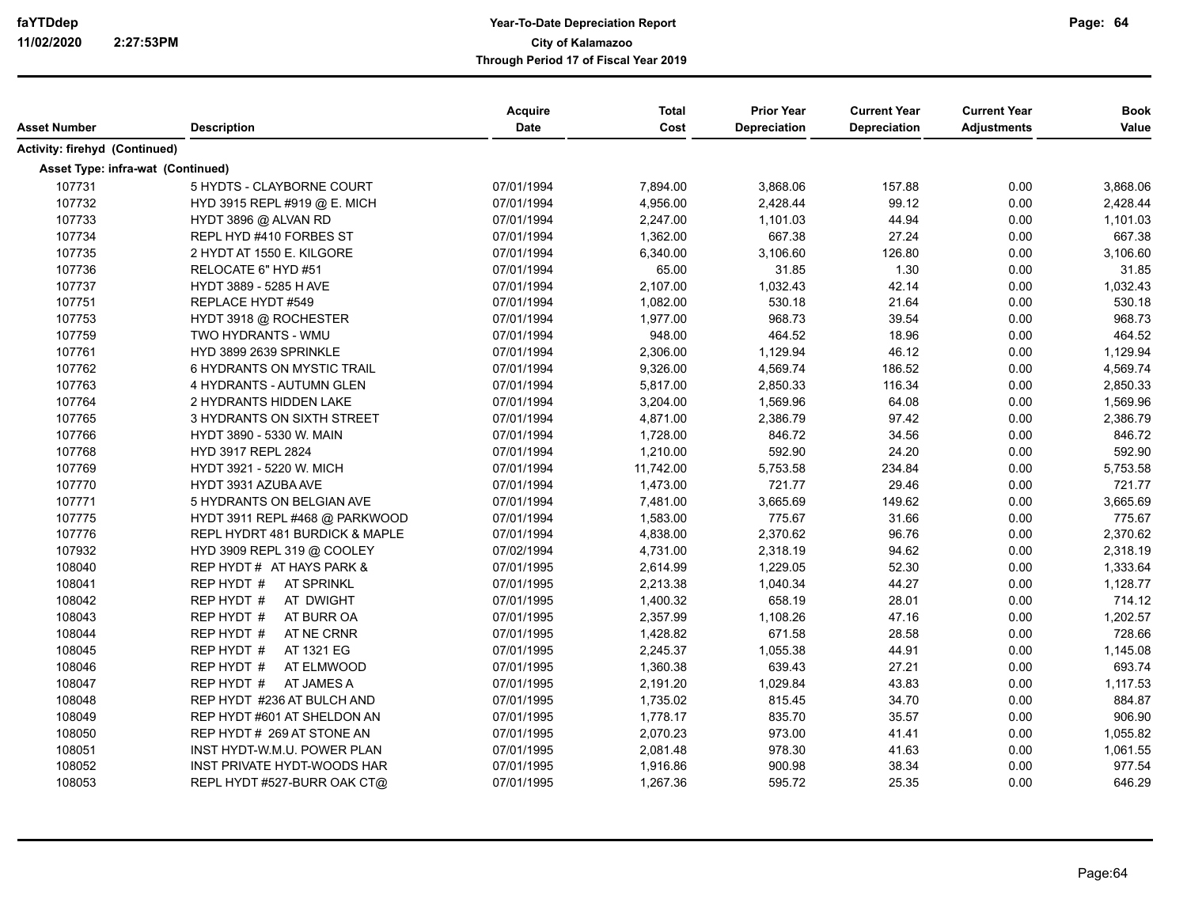| Asset Number                      | <b>Description</b>              | <b>Acquire</b><br><b>Date</b> | <b>Total</b><br>Cost | <b>Prior Year</b><br><b>Depreciation</b> | <b>Current Year</b><br><b>Depreciation</b> | <b>Current Year</b><br><b>Adjustments</b> | <b>Book</b><br>Value |
|-----------------------------------|---------------------------------|-------------------------------|----------------------|------------------------------------------|--------------------------------------------|-------------------------------------------|----------------------|
|                                   |                                 |                               |                      |                                          |                                            |                                           |                      |
| Activity: firehyd (Continued)     |                                 |                               |                      |                                          |                                            |                                           |                      |
| Asset Type: infra-wat (Continued) |                                 |                               |                      |                                          |                                            |                                           |                      |
| 107731                            | 5 HYDTS - CLAYBORNE COURT       | 07/01/1994                    | 7,894.00             | 3,868.06                                 | 157.88                                     | 0.00                                      | 3,868.06             |
| 107732                            | HYD 3915 REPL #919 @ E. MICH    | 07/01/1994                    | 4,956.00             | 2,428.44                                 | 99.12                                      | 0.00                                      | 2,428.44             |
| 107733                            | HYDT 3896 @ ALVAN RD            | 07/01/1994                    | 2,247.00             | 1,101.03                                 | 44.94                                      | 0.00                                      | 1,101.03             |
| 107734                            | REPL HYD #410 FORBES ST         | 07/01/1994                    | 1,362.00             | 667.38                                   | 27.24                                      | 0.00                                      | 667.38               |
| 107735                            | 2 HYDT AT 1550 E. KILGORE       | 07/01/1994                    | 6,340.00             | 3,106.60                                 | 126.80                                     | 0.00                                      | 3,106.60             |
| 107736                            | RELOCATE 6" HYD #51             | 07/01/1994                    | 65.00                | 31.85                                    | 1.30                                       | 0.00                                      | 31.85                |
| 107737                            | HYDT 3889 - 5285 H AVE          | 07/01/1994                    | 2,107.00             | 1,032.43                                 | 42.14                                      | 0.00                                      | 1,032.43             |
| 107751                            | REPLACE HYDT #549               | 07/01/1994                    | 1,082.00             | 530.18                                   | 21.64                                      | 0.00                                      | 530.18               |
| 107753                            | HYDT 3918 @ ROCHESTER           | 07/01/1994                    | 1,977.00             | 968.73                                   | 39.54                                      | 0.00                                      | 968.73               |
| 107759                            | TWO HYDRANTS - WMU              | 07/01/1994                    | 948.00               | 464.52                                   | 18.96                                      | 0.00                                      | 464.52               |
| 107761                            | HYD 3899 2639 SPRINKLE          | 07/01/1994                    | 2,306.00             | 1,129.94                                 | 46.12                                      | 0.00                                      | 1,129.94             |
| 107762                            | 6 HYDRANTS ON MYSTIC TRAIL      | 07/01/1994                    | 9,326.00             | 4,569.74                                 | 186.52                                     | 0.00                                      | 4,569.74             |
| 107763                            | 4 HYDRANTS - AUTUMN GLEN        | 07/01/1994                    | 5,817.00             | 2,850.33                                 | 116.34                                     | 0.00                                      | 2,850.33             |
| 107764                            | 2 HYDRANTS HIDDEN LAKE          | 07/01/1994                    | 3,204.00             | 1,569.96                                 | 64.08                                      | 0.00                                      | 1,569.96             |
| 107765                            | 3 HYDRANTS ON SIXTH STREET      | 07/01/1994                    | 4,871.00             | 2,386.79                                 | 97.42                                      | 0.00                                      | 2,386.79             |
| 107766                            | HYDT 3890 - 5330 W. MAIN        | 07/01/1994                    | 1,728.00             | 846.72                                   | 34.56                                      | 0.00                                      | 846.72               |
| 107768                            | HYD 3917 REPL 2824              | 07/01/1994                    | 1,210.00             | 592.90                                   | 24.20                                      | 0.00                                      | 592.90               |
| 107769                            | HYDT 3921 - 5220 W. MICH        | 07/01/1994                    | 11,742.00            | 5,753.58                                 | 234.84                                     | 0.00                                      | 5,753.58             |
| 107770                            | HYDT 3931 AZUBA AVE             | 07/01/1994                    | 1,473.00             | 721.77                                   | 29.46                                      | 0.00                                      | 721.77               |
| 107771                            | 5 HYDRANTS ON BELGIAN AVE       | 07/01/1994                    | 7,481.00             | 3,665.69                                 | 149.62                                     | 0.00                                      | 3,665.69             |
| 107775                            | HYDT 3911 REPL #468 @ PARKWOOD  | 07/01/1994                    | 1,583.00             | 775.67                                   | 31.66                                      | 0.00                                      | 775.67               |
| 107776                            | REPL HYDRT 481 BURDICK & MAPLE  | 07/01/1994                    | 4,838.00             | 2,370.62                                 | 96.76                                      | 0.00                                      | 2,370.62             |
| 107932                            | HYD 3909 REPL 319 @ COOLEY      | 07/02/1994                    | 4,731.00             | 2,318.19                                 | 94.62                                      | 0.00                                      | 2,318.19             |
| 108040                            | REP HYDT # AT HAYS PARK &       | 07/01/1995                    | 2,614.99             | 1,229.05                                 | 52.30                                      | 0.00                                      | 1,333.64             |
| 108041                            | REP HYDT #<br><b>AT SPRINKL</b> | 07/01/1995                    | 2,213.38             | 1,040.34                                 | 44.27                                      | 0.00                                      | 1,128.77             |
| 108042                            | REP HYDT #<br>AT DWIGHT         | 07/01/1995                    | 1,400.32             | 658.19                                   | 28.01                                      | 0.00                                      | 714.12               |
| 108043                            | REP HYDT #<br>AT BURR OA        | 07/01/1995                    | 2,357.99             | 1,108.26                                 | 47.16                                      | 0.00                                      | 1,202.57             |
| 108044                            | AT NE CRNR<br>REP HYDT #        | 07/01/1995                    | 1,428.82             | 671.58                                   | 28.58                                      | 0.00                                      | 728.66               |
| 108045                            | AT 1321 EG<br>REP HYDT #        | 07/01/1995                    | 2,245.37             | 1,055.38                                 | 44.91                                      | 0.00                                      | 1,145.08             |
| 108046                            | REP HYDT #<br>AT ELMWOOD        | 07/01/1995                    | 1,360.38             | 639.43                                   | 27.21                                      | 0.00                                      | 693.74               |
| 108047                            | REP HYDT #<br>AT JAMES A        | 07/01/1995                    | 2,191.20             | 1,029.84                                 | 43.83                                      | 0.00                                      | 1,117.53             |
| 108048                            | REP HYDT #236 AT BULCH AND      | 07/01/1995                    | 1,735.02             | 815.45                                   | 34.70                                      | 0.00                                      | 884.87               |
| 108049                            | REP HYDT #601 AT SHELDON AN     | 07/01/1995                    | 1,778.17             | 835.70                                   | 35.57                                      | 0.00                                      | 906.90               |
| 108050                            | REP HYDT # 269 AT STONE AN      | 07/01/1995                    | 2,070.23             | 973.00                                   | 41.41                                      | 0.00                                      | 1,055.82             |
| 108051                            | INST HYDT-W.M.U. POWER PLAN     | 07/01/1995                    | 2,081.48             | 978.30                                   | 41.63                                      | 0.00                                      | 1,061.55             |
| 108052                            | INST PRIVATE HYDT-WOODS HAR     | 07/01/1995                    | 1,916.86             | 900.98                                   | 38.34                                      | 0.00                                      | 977.54               |
| 108053                            | REPL HYDT #527-BURR OAK CT@     | 07/01/1995                    | 1,267.36             | 595.72                                   | 25.35                                      | 0.00                                      | 646.29               |
|                                   |                                 |                               |                      |                                          |                                            |                                           |                      |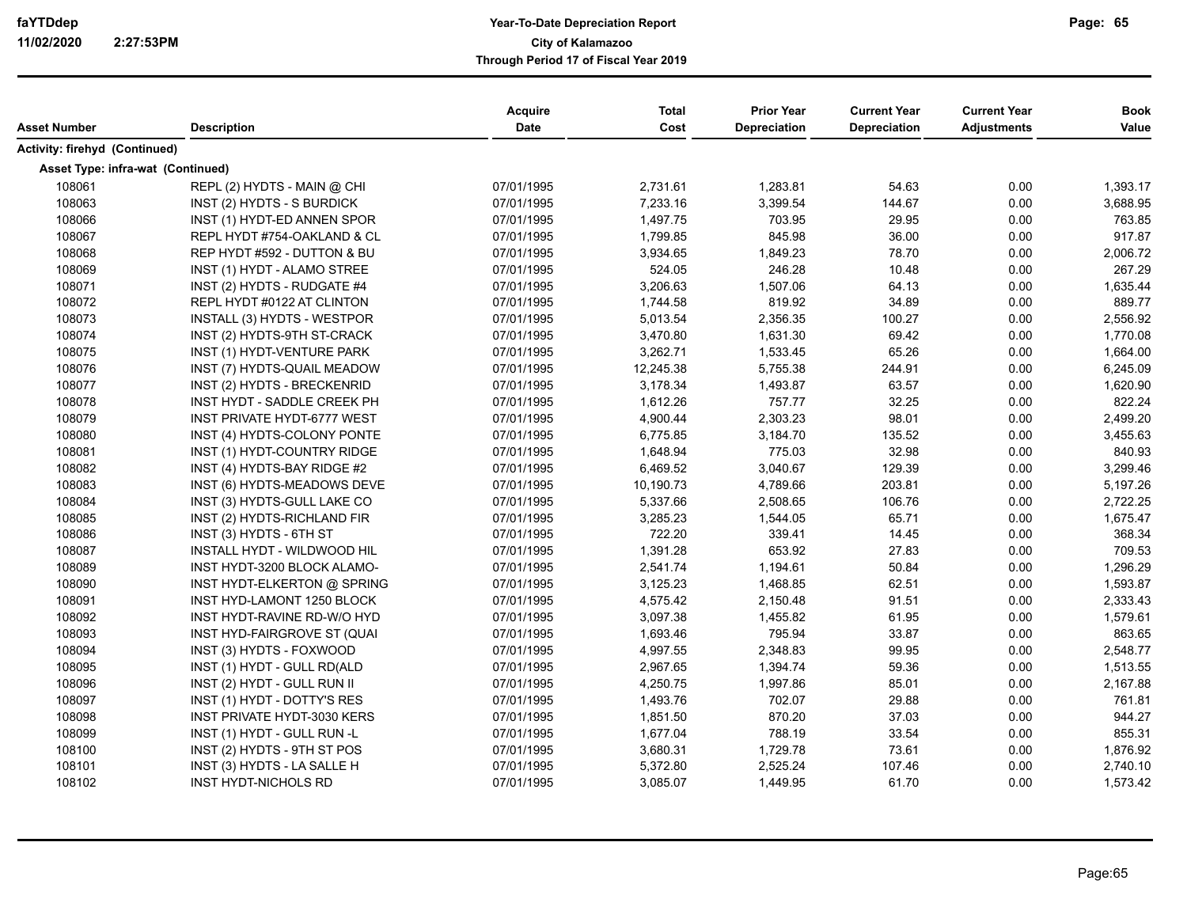| Asset Number                             | <b>Description</b>                 | <b>Acquire</b><br><b>Date</b> | <b>Total</b><br>Cost | <b>Prior Year</b><br><b>Depreciation</b> | <b>Current Year</b><br><b>Depreciation</b> | <b>Current Year</b><br><b>Adjustments</b> | <b>Book</b><br>Value |
|------------------------------------------|------------------------------------|-------------------------------|----------------------|------------------------------------------|--------------------------------------------|-------------------------------------------|----------------------|
| Activity: firehyd (Continued)            |                                    |                               |                      |                                          |                                            |                                           |                      |
| <b>Asset Type: infra-wat (Continued)</b> |                                    |                               |                      |                                          |                                            |                                           |                      |
| 108061                                   | REPL (2) HYDTS - MAIN @ CHI        | 07/01/1995                    | 2,731.61             | 1,283.81                                 | 54.63                                      | 0.00                                      | 1,393.17             |
| 108063                                   | INST (2) HYDTS - S BURDICK         | 07/01/1995                    | 7,233.16             | 3,399.54                                 | 144.67                                     | 0.00                                      | 3,688.95             |
| 108066                                   | INST (1) HYDT-ED ANNEN SPOR        | 07/01/1995                    | 1,497.75             | 703.95                                   | 29.95                                      | 0.00                                      | 763.85               |
| 108067                                   | REPL HYDT #754-OAKLAND & CL        | 07/01/1995                    | 1,799.85             | 845.98                                   | 36.00                                      | 0.00                                      | 917.87               |
| 108068                                   | REP HYDT #592 - DUTTON & BU        | 07/01/1995                    | 3,934.65             | 1,849.23                                 | 78.70                                      | 0.00                                      | 2,006.72             |
| 108069                                   | INST (1) HYDT - ALAMO STREE        | 07/01/1995                    | 524.05               | 246.28                                   | 10.48                                      | 0.00                                      | 267.29               |
| 108071                                   | INST (2) HYDTS - RUDGATE #4        | 07/01/1995                    | 3,206.63             | 1,507.06                                 | 64.13                                      | 0.00                                      | 1,635.44             |
| 108072                                   | REPL HYDT #0122 AT CLINTON         | 07/01/1995                    | 1,744.58             | 819.92                                   | 34.89                                      | 0.00                                      | 889.77               |
| 108073                                   | INSTALL (3) HYDTS - WESTPOR        | 07/01/1995                    | 5,013.54             | 2,356.35                                 | 100.27                                     | 0.00                                      | 2,556.92             |
| 108074                                   | INST (2) HYDTS-9TH ST-CRACK        | 07/01/1995                    | 3,470.80             | 1,631.30                                 | 69.42                                      | 0.00                                      | 1,770.08             |
| 108075                                   | INST (1) HYDT-VENTURE PARK         | 07/01/1995                    | 3,262.71             | 1,533.45                                 | 65.26                                      | 0.00                                      | 1,664.00             |
| 108076                                   | INST (7) HYDTS-QUAIL MEADOW        | 07/01/1995                    | 12,245.38            | 5,755.38                                 | 244.91                                     | 0.00                                      | 6,245.09             |
| 108077                                   | INST (2) HYDTS - BRECKENRID        | 07/01/1995                    | 3,178.34             | 1,493.87                                 | 63.57                                      | 0.00                                      | 1,620.90             |
| 108078                                   | INST HYDT - SADDLE CREEK PH        | 07/01/1995                    | 1,612.26             | 757.77                                   | 32.25                                      | 0.00                                      | 822.24               |
| 108079                                   | <b>INST PRIVATE HYDT-6777 WEST</b> | 07/01/1995                    | 4,900.44             | 2,303.23                                 | 98.01                                      | 0.00                                      | 2,499.20             |
| 108080                                   | INST (4) HYDTS-COLONY PONTE        | 07/01/1995                    | 6,775.85             | 3,184.70                                 | 135.52                                     | 0.00                                      | 3,455.63             |
| 108081                                   | INST (1) HYDT-COUNTRY RIDGE        | 07/01/1995                    | 1,648.94             | 775.03                                   | 32.98                                      | 0.00                                      | 840.93               |
| 108082                                   | INST (4) HYDTS-BAY RIDGE #2        | 07/01/1995                    | 6,469.52             | 3,040.67                                 | 129.39                                     | 0.00                                      | 3,299.46             |
| 108083                                   | INST (6) HYDTS-MEADOWS DEVE        | 07/01/1995                    | 10,190.73            | 4,789.66                                 | 203.81                                     | 0.00                                      | 5,197.26             |
| 108084                                   | INST (3) HYDTS-GULL LAKE CO        | 07/01/1995                    | 5,337.66             | 2,508.65                                 | 106.76                                     | 0.00                                      | 2,722.25             |
| 108085                                   | INST (2) HYDTS-RICHLAND FIR        | 07/01/1995                    | 3,285.23             | 1,544.05                                 | 65.71                                      | 0.00                                      | 1,675.47             |
| 108086                                   | INST (3) HYDTS - 6TH ST            | 07/01/1995                    | 722.20               | 339.41                                   | 14.45                                      | 0.00                                      | 368.34               |
| 108087                                   | INSTALL HYDT - WILDWOOD HIL        | 07/01/1995                    | 1,391.28             | 653.92                                   | 27.83                                      | 0.00                                      | 709.53               |
| 108089                                   | INST HYDT-3200 BLOCK ALAMO-        | 07/01/1995                    | 2,541.74             | 1,194.61                                 | 50.84                                      | 0.00                                      | 1,296.29             |
| 108090                                   | INST HYDT-ELKERTON @ SPRING        | 07/01/1995                    | 3,125.23             | 1,468.85                                 | 62.51                                      | 0.00                                      | 1,593.87             |
| 108091                                   | INST HYD-LAMONT 1250 BLOCK         | 07/01/1995                    | 4,575.42             | 2,150.48                                 | 91.51                                      | 0.00                                      | 2,333.43             |
| 108092                                   | INST HYDT-RAVINE RD-W/O HYD        | 07/01/1995                    | 3,097.38             | 1,455.82                                 | 61.95                                      | 0.00                                      | 1,579.61             |
| 108093                                   | INST HYD-FAIRGROVE ST (QUAI        | 07/01/1995                    | 1,693.46             | 795.94                                   | 33.87                                      | 0.00                                      | 863.65               |
| 108094                                   | INST (3) HYDTS - FOXWOOD           | 07/01/1995                    | 4,997.55             | 2,348.83                                 | 99.95                                      | 0.00                                      | 2,548.77             |
| 108095                                   | INST (1) HYDT - GULL RD(ALD        | 07/01/1995                    | 2,967.65             | 1,394.74                                 | 59.36                                      | 0.00                                      | 1,513.55             |
| 108096                                   | INST (2) HYDT - GULL RUN II        | 07/01/1995                    | 4,250.75             | 1,997.86                                 | 85.01                                      | 0.00                                      | 2,167.88             |
| 108097                                   | INST (1) HYDT - DOTTY'S RES        | 07/01/1995                    | 1,493.76             | 702.07                                   | 29.88                                      | 0.00                                      | 761.81               |
| 108098                                   | <b>INST PRIVATE HYDT-3030 KERS</b> | 07/01/1995                    | 1,851.50             | 870.20                                   | 37.03                                      | 0.00                                      | 944.27               |
| 108099                                   | INST (1) HYDT - GULL RUN -L        | 07/01/1995                    | 1,677.04             | 788.19                                   | 33.54                                      | 0.00                                      | 855.31               |
| 108100                                   | INST (2) HYDTS - 9TH ST POS        | 07/01/1995                    | 3,680.31             | 1,729.78                                 | 73.61                                      | 0.00                                      | 1,876.92             |
| 108101                                   | INST (3) HYDTS - LA SALLE H        | 07/01/1995                    | 5,372.80             | 2,525.24                                 | 107.46                                     | 0.00                                      | 2,740.10             |
| 108102                                   | <b>INST HYDT-NICHOLS RD</b>        | 07/01/1995                    | 3,085.07             | 1,449.95                                 | 61.70                                      | 0.00                                      | 1,573.42             |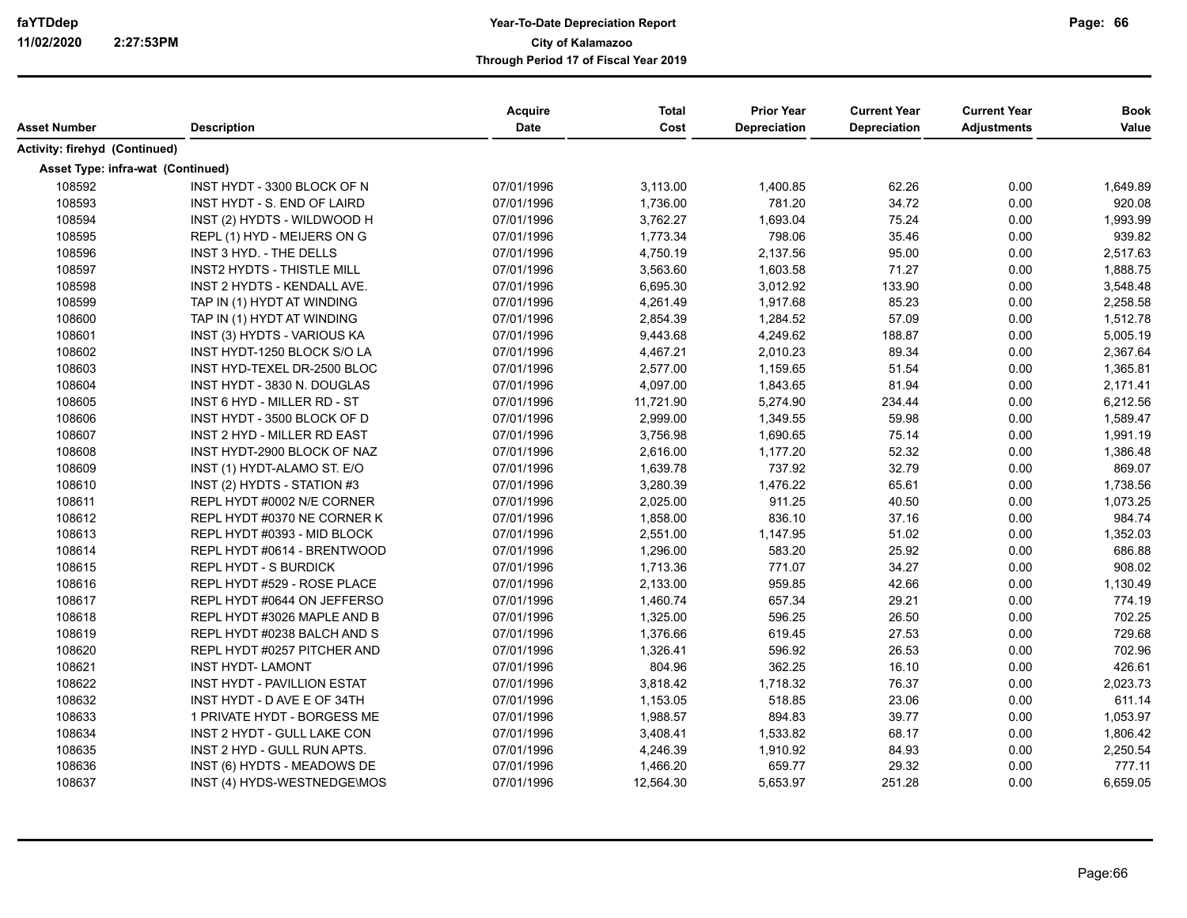| Asset Number                      | <b>Description</b>                 | Acquire<br><b>Date</b> | <b>Total</b><br>Cost | <b>Prior Year</b><br><b>Depreciation</b> | <b>Current Year</b><br><b>Depreciation</b> | <b>Current Year</b><br><b>Adjustments</b> | <b>Book</b><br>Value |
|-----------------------------------|------------------------------------|------------------------|----------------------|------------------------------------------|--------------------------------------------|-------------------------------------------|----------------------|
| Activity: firehyd (Continued)     |                                    |                        |                      |                                          |                                            |                                           |                      |
| Asset Type: infra-wat (Continued) |                                    |                        |                      |                                          |                                            |                                           |                      |
| 108592                            | INST HYDT - 3300 BLOCK OF N        | 07/01/1996             | 3,113.00             | 1,400.85                                 | 62.26                                      | 0.00                                      | 1,649.89             |
| 108593                            | INST HYDT - S. END OF LAIRD        | 07/01/1996             | 1,736.00             | 781.20                                   | 34.72                                      | 0.00                                      | 920.08               |
| 108594                            | INST (2) HYDTS - WILDWOOD H        | 07/01/1996             | 3,762.27             | 1,693.04                                 | 75.24                                      | 0.00                                      | 1,993.99             |
| 108595                            | REPL (1) HYD - MEIJERS ON G        | 07/01/1996             | 1,773.34             | 798.06                                   | 35.46                                      | 0.00                                      | 939.82               |
| 108596                            | INST 3 HYD. - THE DELLS            | 07/01/1996             | 4,750.19             | 2,137.56                                 | 95.00                                      | 0.00                                      | 2,517.63             |
| 108597                            | <b>INST2 HYDTS - THISTLE MILL</b>  | 07/01/1996             | 3,563.60             | 1,603.58                                 | 71.27                                      | 0.00                                      | 1,888.75             |
| 108598                            | INST 2 HYDTS - KENDALL AVE.        | 07/01/1996             | 6,695.30             | 3,012.92                                 | 133.90                                     | 0.00                                      | 3,548.48             |
| 108599                            | TAP IN (1) HYDT AT WINDING         | 07/01/1996             | 4,261.49             | 1,917.68                                 | 85.23                                      | 0.00                                      | 2,258.58             |
| 108600                            | TAP IN (1) HYDT AT WINDING         | 07/01/1996             | 2,854.39             | 1,284.52                                 | 57.09                                      | 0.00                                      | 1,512.78             |
| 108601                            | INST (3) HYDTS - VARIOUS KA        | 07/01/1996             | 9,443.68             | 4,249.62                                 | 188.87                                     | 0.00                                      | 5,005.19             |
| 108602                            | INST HYDT-1250 BLOCK S/O LA        | 07/01/1996             | 4,467.21             | 2,010.23                                 | 89.34                                      | 0.00                                      | 2,367.64             |
| 108603                            | INST HYD-TEXEL DR-2500 BLOC        | 07/01/1996             | 2,577.00             | 1,159.65                                 | 51.54                                      | 0.00                                      | 1,365.81             |
| 108604                            | INST HYDT - 3830 N. DOUGLAS        | 07/01/1996             | 4,097.00             | 1,843.65                                 | 81.94                                      | 0.00                                      | 2,171.41             |
| 108605                            | <b>INST 6 HYD - MILLER RD - ST</b> | 07/01/1996             | 11,721.90            | 5,274.90                                 | 234.44                                     | 0.00                                      | 6,212.56             |
| 108606                            | INST HYDT - 3500 BLOCK OF D        | 07/01/1996             | 2,999.00             | 1,349.55                                 | 59.98                                      | 0.00                                      | 1,589.47             |
| 108607                            | INST 2 HYD - MILLER RD EAST        | 07/01/1996             | 3,756.98             | 1,690.65                                 | 75.14                                      | 0.00                                      | 1,991.19             |
| 108608                            | INST HYDT-2900 BLOCK OF NAZ        | 07/01/1996             | 2,616.00             | 1,177.20                                 | 52.32                                      | 0.00                                      | 1,386.48             |
| 108609                            | INST (1) HYDT-ALAMO ST. E/O        | 07/01/1996             | 1,639.78             | 737.92                                   | 32.79                                      | 0.00                                      | 869.07               |
| 108610                            | INST (2) HYDTS - STATION #3        | 07/01/1996             | 3,280.39             | 1,476.22                                 | 65.61                                      | 0.00                                      | 1,738.56             |
| 108611                            | REPL HYDT #0002 N/E CORNER         | 07/01/1996             | 2,025.00             | 911.25                                   | 40.50                                      | 0.00                                      | 1,073.25             |
| 108612                            | REPL HYDT #0370 NE CORNER K        | 07/01/1996             | 1,858.00             | 836.10                                   | 37.16                                      | 0.00                                      | 984.74               |
| 108613                            | REPL HYDT #0393 - MID BLOCK        | 07/01/1996             | 2,551.00             | 1,147.95                                 | 51.02                                      | 0.00                                      | 1,352.03             |
| 108614                            | REPL HYDT #0614 - BRENTWOOD        | 07/01/1996             | 1,296.00             | 583.20                                   | 25.92                                      | 0.00                                      | 686.88               |
| 108615                            | <b>REPL HYDT - S BURDICK</b>       | 07/01/1996             | 1,713.36             | 771.07                                   | 34.27                                      | 0.00                                      | 908.02               |
| 108616                            | REPL HYDT #529 - ROSE PLACE        | 07/01/1996             | 2,133.00             | 959.85                                   | 42.66                                      | 0.00                                      | 1,130.49             |
| 108617                            | REPL HYDT #0644 ON JEFFERSO        | 07/01/1996             | 1,460.74             | 657.34                                   | 29.21                                      | 0.00                                      | 774.19               |
| 108618                            | REPL HYDT #3026 MAPLE AND B        | 07/01/1996             | 1,325.00             | 596.25                                   | 26.50                                      | 0.00                                      | 702.25               |
| 108619                            | REPL HYDT #0238 BALCH AND S        | 07/01/1996             | 1,376.66             | 619.45                                   | 27.53                                      | 0.00                                      | 729.68               |
| 108620                            | REPL HYDT #0257 PITCHER AND        | 07/01/1996             | 1,326.41             | 596.92                                   | 26.53                                      | 0.00                                      | 702.96               |
| 108621                            | <b>INST HYDT- LAMONT</b>           | 07/01/1996             | 804.96               | 362.25                                   | 16.10                                      | 0.00                                      | 426.61               |
| 108622                            | <b>INST HYDT - PAVILLION ESTAT</b> | 07/01/1996             | 3,818.42             | 1,718.32                                 | 76.37                                      | 0.00                                      | 2,023.73             |
| 108632                            | INST HYDT - D AVE E OF 34TH        | 07/01/1996             | 1,153.05             | 518.85                                   | 23.06                                      | 0.00                                      | 611.14               |
| 108633                            | 1 PRIVATE HYDT - BORGESS ME        | 07/01/1996             | 1,988.57             | 894.83                                   | 39.77                                      | 0.00                                      | 1,053.97             |
| 108634                            | INST 2 HYDT - GULL LAKE CON        | 07/01/1996             | 3,408.41             | 1,533.82                                 | 68.17                                      | 0.00                                      | 1,806.42             |
| 108635                            | INST 2 HYD - GULL RUN APTS.        | 07/01/1996             | 4,246.39             | 1,910.92                                 | 84.93                                      | 0.00                                      | 2,250.54             |
| 108636                            | INST (6) HYDTS - MEADOWS DE        | 07/01/1996             | 1,466.20             | 659.77                                   | 29.32                                      | 0.00                                      | 777.11               |
| 108637                            | INST (4) HYDS-WESTNEDGE\MOS        | 07/01/1996             | 12,564.30            | 5,653.97                                 | 251.28                                     | 0.00                                      | 6,659.05             |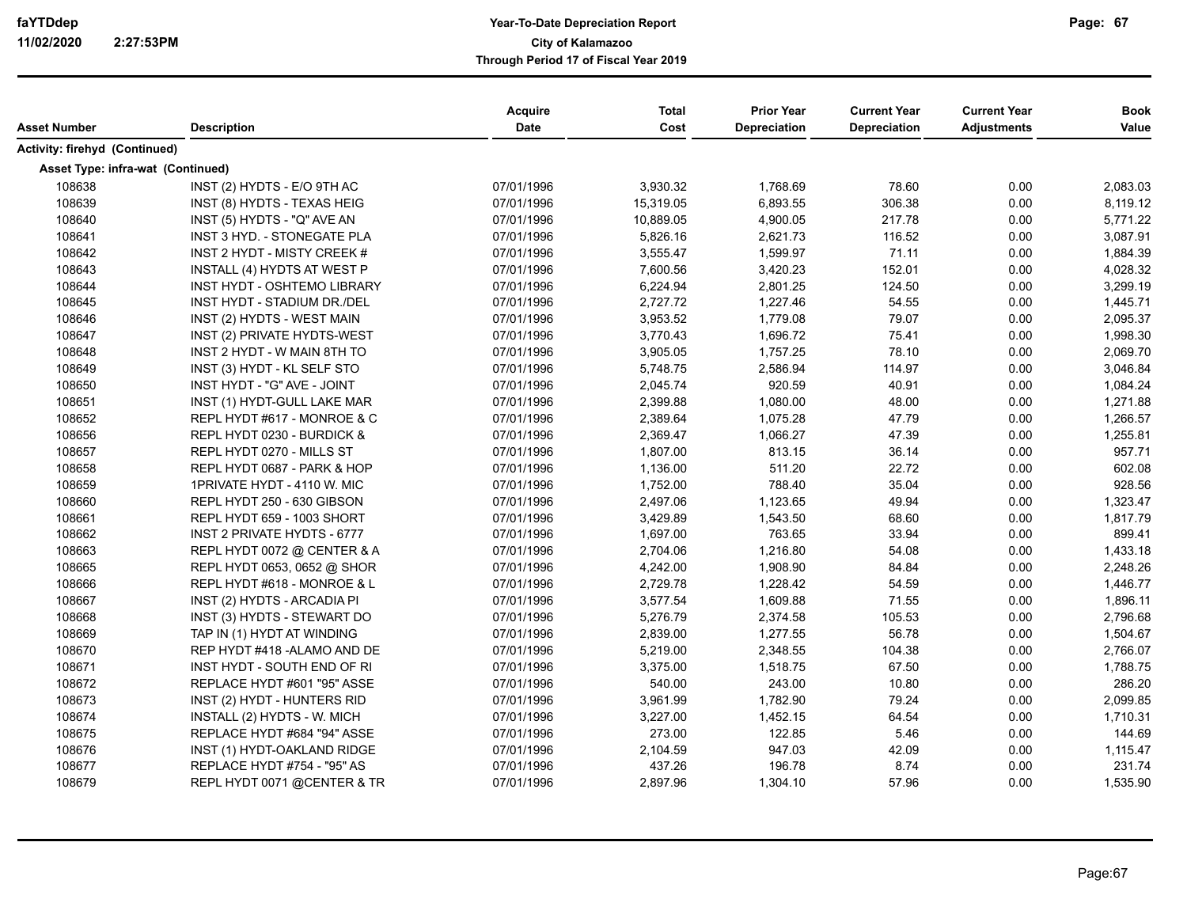| Asset Number                      | <b>Description</b>                 | <b>Acquire</b><br><b>Date</b> | <b>Total</b><br>Cost | <b>Prior Year</b><br><b>Depreciation</b> | <b>Current Year</b><br><b>Depreciation</b> | <b>Current Year</b><br><b>Adjustments</b> | <b>Book</b><br>Value |
|-----------------------------------|------------------------------------|-------------------------------|----------------------|------------------------------------------|--------------------------------------------|-------------------------------------------|----------------------|
| Activity: firehyd (Continued)     |                                    |                               |                      |                                          |                                            |                                           |                      |
| Asset Type: infra-wat (Continued) |                                    |                               |                      |                                          |                                            |                                           |                      |
| 108638                            | INST (2) HYDTS - E/O 9TH AC        | 07/01/1996                    | 3,930.32             | 1,768.69                                 | 78.60                                      | 0.00                                      | 2,083.03             |
| 108639                            | INST (8) HYDTS - TEXAS HEIG        | 07/01/1996                    | 15,319.05            | 6,893.55                                 | 306.38                                     | 0.00                                      | 8,119.12             |
| 108640                            | INST (5) HYDTS - "Q" AVE AN        | 07/01/1996                    | 10,889.05            | 4,900.05                                 | 217.78                                     | 0.00                                      | 5,771.22             |
| 108641                            | INST 3 HYD. - STONEGATE PLA        | 07/01/1996                    | 5,826.16             | 2,621.73                                 | 116.52                                     | 0.00                                      | 3,087.91             |
| 108642                            | INST 2 HYDT - MISTY CREEK #        | 07/01/1996                    | 3,555.47             | 1,599.97                                 | 71.11                                      | 0.00                                      | 1,884.39             |
| 108643                            | INSTALL (4) HYDTS AT WEST P        | 07/01/1996                    | 7,600.56             | 3,420.23                                 | 152.01                                     | 0.00                                      | 4,028.32             |
| 108644                            | <b>INST HYDT - OSHTEMO LIBRARY</b> | 07/01/1996                    | 6,224.94             | 2,801.25                                 | 124.50                                     | 0.00                                      | 3,299.19             |
| 108645                            | INST HYDT - STADIUM DR./DEL        | 07/01/1996                    | 2,727.72             | 1,227.46                                 | 54.55                                      | 0.00                                      | 1,445.71             |
| 108646                            | INST (2) HYDTS - WEST MAIN         | 07/01/1996                    | 3,953.52             | 1,779.08                                 | 79.07                                      | 0.00                                      | 2.095.37             |
| 108647                            | INST (2) PRIVATE HYDTS-WEST        | 07/01/1996                    | 3,770.43             | 1,696.72                                 | 75.41                                      | 0.00                                      | 1,998.30             |
| 108648                            | INST 2 HYDT - W MAIN 8TH TO        | 07/01/1996                    | 3,905.05             | 1,757.25                                 | 78.10                                      | 0.00                                      | 2,069.70             |
| 108649                            | INST (3) HYDT - KL SELF STO        | 07/01/1996                    | 5,748.75             | 2,586.94                                 | 114.97                                     | 0.00                                      | 3,046.84             |
| 108650                            | INST HYDT - "G" AVE - JOINT        | 07/01/1996                    | 2,045.74             | 920.59                                   | 40.91                                      | 0.00                                      | 1,084.24             |
| 108651                            | INST (1) HYDT-GULL LAKE MAR        | 07/01/1996                    | 2,399.88             | 1,080.00                                 | 48.00                                      | 0.00                                      | 1,271.88             |
| 108652                            | REPL HYDT #617 - MONROE & C        | 07/01/1996                    | 2,389.64             | 1,075.28                                 | 47.79                                      | 0.00                                      | 1,266.57             |
| 108656                            | REPL HYDT 0230 - BURDICK &         | 07/01/1996                    | 2,369.47             | 1,066.27                                 | 47.39                                      | 0.00                                      | 1,255.81             |
| 108657                            | REPL HYDT 0270 - MILLS ST          | 07/01/1996                    | 1,807.00             | 813.15                                   | 36.14                                      | 0.00                                      | 957.71               |
| 108658                            | REPL HYDT 0687 - PARK & HOP        | 07/01/1996                    | 1,136.00             | 511.20                                   | 22.72                                      | 0.00                                      | 602.08               |
| 108659                            | 1PRIVATE HYDT - 4110 W. MIC        | 07/01/1996                    | 1,752.00             | 788.40                                   | 35.04                                      | 0.00                                      | 928.56               |
| 108660                            | REPL HYDT 250 - 630 GIBSON         | 07/01/1996                    | 2,497.06             | 1,123.65                                 | 49.94                                      | 0.00                                      | 1,323.47             |
| 108661                            | REPL HYDT 659 - 1003 SHORT         | 07/01/1996                    | 3,429.89             | 1,543.50                                 | 68.60                                      | 0.00                                      | 1,817.79             |
| 108662                            | <b>INST 2 PRIVATE HYDTS - 6777</b> | 07/01/1996                    | 1,697.00             | 763.65                                   | 33.94                                      | 0.00                                      | 899.41               |
| 108663                            | REPL HYDT 0072 @ CENTER & A        | 07/01/1996                    | 2,704.06             | 1,216.80                                 | 54.08                                      | 0.00                                      | 1,433.18             |
| 108665                            | REPL HYDT 0653, 0652 @ SHOR        | 07/01/1996                    | 4,242.00             | 1,908.90                                 | 84.84                                      | 0.00                                      | 2,248.26             |
| 108666                            | REPL HYDT #618 - MONROE & L        | 07/01/1996                    | 2,729.78             | 1,228.42                                 | 54.59                                      | 0.00                                      | 1,446.77             |
| 108667                            | INST (2) HYDTS - ARCADIA PI        | 07/01/1996                    | 3,577.54             | 1,609.88                                 | 71.55                                      | 0.00                                      | 1,896.11             |
| 108668                            | INST (3) HYDTS - STEWART DO        | 07/01/1996                    | 5,276.79             | 2,374.58                                 | 105.53                                     | 0.00                                      | 2,796.68             |
| 108669                            | TAP IN (1) HYDT AT WINDING         | 07/01/1996                    | 2,839.00             | 1,277.55                                 | 56.78                                      | 0.00                                      | 1,504.67             |
| 108670                            | REP HYDT #418 - ALAMO AND DE       | 07/01/1996                    | 5,219.00             | 2,348.55                                 | 104.38                                     | 0.00                                      | 2,766.07             |
| 108671                            | INST HYDT - SOUTH END OF RI        | 07/01/1996                    | 3,375.00             | 1,518.75                                 | 67.50                                      | 0.00                                      | 1,788.75             |
| 108672                            | REPLACE HYDT #601 "95" ASSE        | 07/01/1996                    | 540.00               | 243.00                                   | 10.80                                      | 0.00                                      | 286.20               |
| 108673                            | INST (2) HYDT - HUNTERS RID        | 07/01/1996                    | 3,961.99             | 1,782.90                                 | 79.24                                      | 0.00                                      | 2,099.85             |
| 108674                            | INSTALL (2) HYDTS - W. MICH        | 07/01/1996                    | 3,227.00             | 1,452.15                                 | 64.54                                      | 0.00                                      | 1,710.31             |
| 108675                            | REPLACE HYDT #684 "94" ASSE        | 07/01/1996                    | 273.00               | 122.85                                   | 5.46                                       | 0.00                                      | 144.69               |
| 108676                            | INST (1) HYDT-OAKLAND RIDGE        | 07/01/1996                    | 2,104.59             | 947.03                                   | 42.09                                      | 0.00                                      | 1,115.47             |
| 108677                            | REPLACE HYDT #754 - "95" AS        | 07/01/1996                    | 437.26               | 196.78                                   | 8.74                                       | 0.00                                      | 231.74               |
| 108679                            | REPL HYDT 0071 @CENTER & TR        | 07/01/1996                    | 2,897.96             | 1,304.10                                 | 57.96                                      | 0.00                                      | 1,535.90             |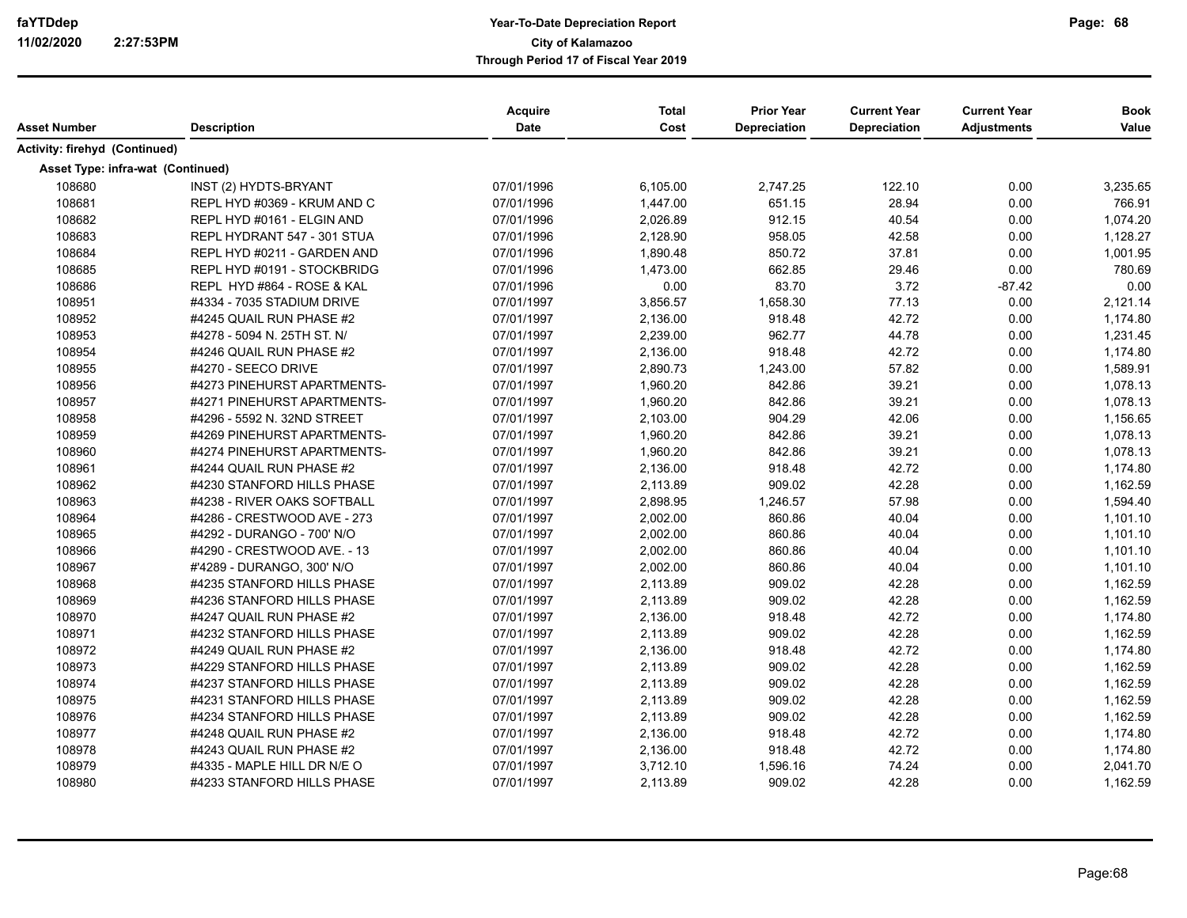| Asset Number                      | <b>Description</b>          | Acquire<br><b>Date</b> | <b>Total</b><br>Cost | <b>Prior Year</b><br>Depreciation | <b>Current Year</b><br><b>Depreciation</b> | <b>Current Year</b><br><b>Adjustments</b> | <b>Book</b><br>Value |
|-----------------------------------|-----------------------------|------------------------|----------------------|-----------------------------------|--------------------------------------------|-------------------------------------------|----------------------|
| Activity: firehyd (Continued)     |                             |                        |                      |                                   |                                            |                                           |                      |
| Asset Type: infra-wat (Continued) |                             |                        |                      |                                   |                                            |                                           |                      |
| 108680                            | INST (2) HYDTS-BRYANT       | 07/01/1996             | 6,105.00             | 2,747.25                          | 122.10                                     | 0.00                                      | 3,235.65             |
| 108681                            | REPL HYD #0369 - KRUM AND C | 07/01/1996             | 1,447.00             | 651.15                            | 28.94                                      | 0.00                                      | 766.91               |
| 108682                            | REPL HYD #0161 - ELGIN AND  | 07/01/1996             | 2,026.89             | 912.15                            | 40.54                                      | 0.00                                      | 1,074.20             |
| 108683                            | REPL HYDRANT 547 - 301 STUA | 07/01/1996             | 2,128.90             | 958.05                            | 42.58                                      | 0.00                                      | 1,128.27             |
| 108684                            | REPL HYD #0211 - GARDEN AND | 07/01/1996             | 1,890.48             | 850.72                            | 37.81                                      | 0.00                                      | 1,001.95             |
| 108685                            | REPL HYD #0191 - STOCKBRIDG | 07/01/1996             | 1,473.00             | 662.85                            | 29.46                                      | 0.00                                      | 780.69               |
| 108686                            | REPL HYD #864 - ROSE & KAL  | 07/01/1996             | 0.00                 | 83.70                             | 3.72                                       | $-87.42$                                  | 0.00                 |
| 108951                            | #4334 - 7035 STADIUM DRIVE  | 07/01/1997             | 3,856.57             | 1,658.30                          | 77.13                                      | 0.00                                      | 2,121.14             |
| 108952                            | #4245 QUAIL RUN PHASE #2    | 07/01/1997             | 2,136.00             | 918.48                            | 42.72                                      | 0.00                                      | 1,174.80             |
| 108953                            | #4278 - 5094 N. 25TH ST. N/ | 07/01/1997             | 2,239.00             | 962.77                            | 44.78                                      | 0.00                                      | 1,231.45             |
| 108954                            | #4246 QUAIL RUN PHASE #2    | 07/01/1997             | 2,136.00             | 918.48                            | 42.72                                      | 0.00                                      | 1,174.80             |
| 108955                            | #4270 - SEECO DRIVE         | 07/01/1997             | 2,890.73             | 1,243.00                          | 57.82                                      | 0.00                                      | 1,589.91             |
| 108956                            | #4273 PINEHURST APARTMENTS- | 07/01/1997             | 1,960.20             | 842.86                            | 39.21                                      | 0.00                                      | 1,078.13             |
| 108957                            | #4271 PINEHURST APARTMENTS- | 07/01/1997             | 1,960.20             | 842.86                            | 39.21                                      | 0.00                                      | 1,078.13             |
| 108958                            | #4296 - 5592 N. 32ND STREET | 07/01/1997             | 2,103.00             | 904.29                            | 42.06                                      | 0.00                                      | 1,156.65             |
| 108959                            | #4269 PINEHURST APARTMENTS- | 07/01/1997             | 1,960.20             | 842.86                            | 39.21                                      | 0.00                                      | 1,078.13             |
| 108960                            | #4274 PINEHURST APARTMENTS- | 07/01/1997             | 1,960.20             | 842.86                            | 39.21                                      | 0.00                                      | 1,078.13             |
| 108961                            | #4244 QUAIL RUN PHASE #2    | 07/01/1997             | 2,136.00             | 918.48                            | 42.72                                      | 0.00                                      | 1,174.80             |
| 108962                            | #4230 STANFORD HILLS PHASE  | 07/01/1997             | 2,113.89             | 909.02                            | 42.28                                      | 0.00                                      | 1,162.59             |
| 108963                            | #4238 - RIVER OAKS SOFTBALL | 07/01/1997             | 2,898.95             | 1,246.57                          | 57.98                                      | 0.00                                      | 1,594.40             |
| 108964                            | #4286 - CRESTWOOD AVE - 273 | 07/01/1997             | 2,002.00             | 860.86                            | 40.04                                      | 0.00                                      | 1,101.10             |
| 108965                            | #4292 - DURANGO - 700' N/O  | 07/01/1997             | 2,002.00             | 860.86                            | 40.04                                      | 0.00                                      | 1,101.10             |
| 108966                            | #4290 - CRESTWOOD AVE. - 13 | 07/01/1997             | 2,002.00             | 860.86                            | 40.04                                      | 0.00                                      | 1,101.10             |
| 108967                            | #'4289 - DURANGO, 300' N/O  | 07/01/1997             | 2,002.00             | 860.86                            | 40.04                                      | 0.00                                      | 1,101.10             |
| 108968                            | #4235 STANFORD HILLS PHASE  | 07/01/1997             | 2,113.89             | 909.02                            | 42.28                                      | 0.00                                      | 1,162.59             |
| 108969                            | #4236 STANFORD HILLS PHASE  | 07/01/1997             | 2,113.89             | 909.02                            | 42.28                                      | 0.00                                      | 1,162.59             |
| 108970                            | #4247 QUAIL RUN PHASE #2    | 07/01/1997             | 2,136.00             | 918.48                            | 42.72                                      | 0.00                                      | 1,174.80             |
| 108971                            | #4232 STANFORD HILLS PHASE  | 07/01/1997             | 2,113.89             | 909.02                            | 42.28                                      | 0.00                                      | 1,162.59             |
| 108972                            | #4249 QUAIL RUN PHASE #2    | 07/01/1997             | 2,136.00             | 918.48                            | 42.72                                      | 0.00                                      | 1,174.80             |
| 108973                            | #4229 STANFORD HILLS PHASE  | 07/01/1997             | 2,113.89             | 909.02                            | 42.28                                      | 0.00                                      | 1,162.59             |
| 108974                            | #4237 STANFORD HILLS PHASE  | 07/01/1997             | 2,113.89             | 909.02                            | 42.28                                      | 0.00                                      | 1,162.59             |
| 108975                            | #4231 STANFORD HILLS PHASE  | 07/01/1997             | 2,113.89             | 909.02                            | 42.28                                      | 0.00                                      | 1,162.59             |
| 108976                            | #4234 STANFORD HILLS PHASE  | 07/01/1997             | 2,113.89             | 909.02                            | 42.28                                      | 0.00                                      | 1,162.59             |
| 108977                            | #4248 QUAIL RUN PHASE #2    | 07/01/1997             | 2,136.00             | 918.48                            | 42.72                                      | 0.00                                      | 1,174.80             |
| 108978                            | #4243 QUAIL RUN PHASE #2    | 07/01/1997             | 2,136.00             | 918.48                            | 42.72                                      | 0.00                                      | 1,174.80             |
| 108979                            | #4335 - MAPLE HILL DR N/E O | 07/01/1997             | 3,712.10             | 1,596.16                          | 74.24                                      | 0.00                                      | 2,041.70             |
| 108980                            | #4233 STANFORD HILLS PHASE  | 07/01/1997             | 2,113.89             | 909.02                            | 42.28                                      | 0.00                                      | 1,162.59             |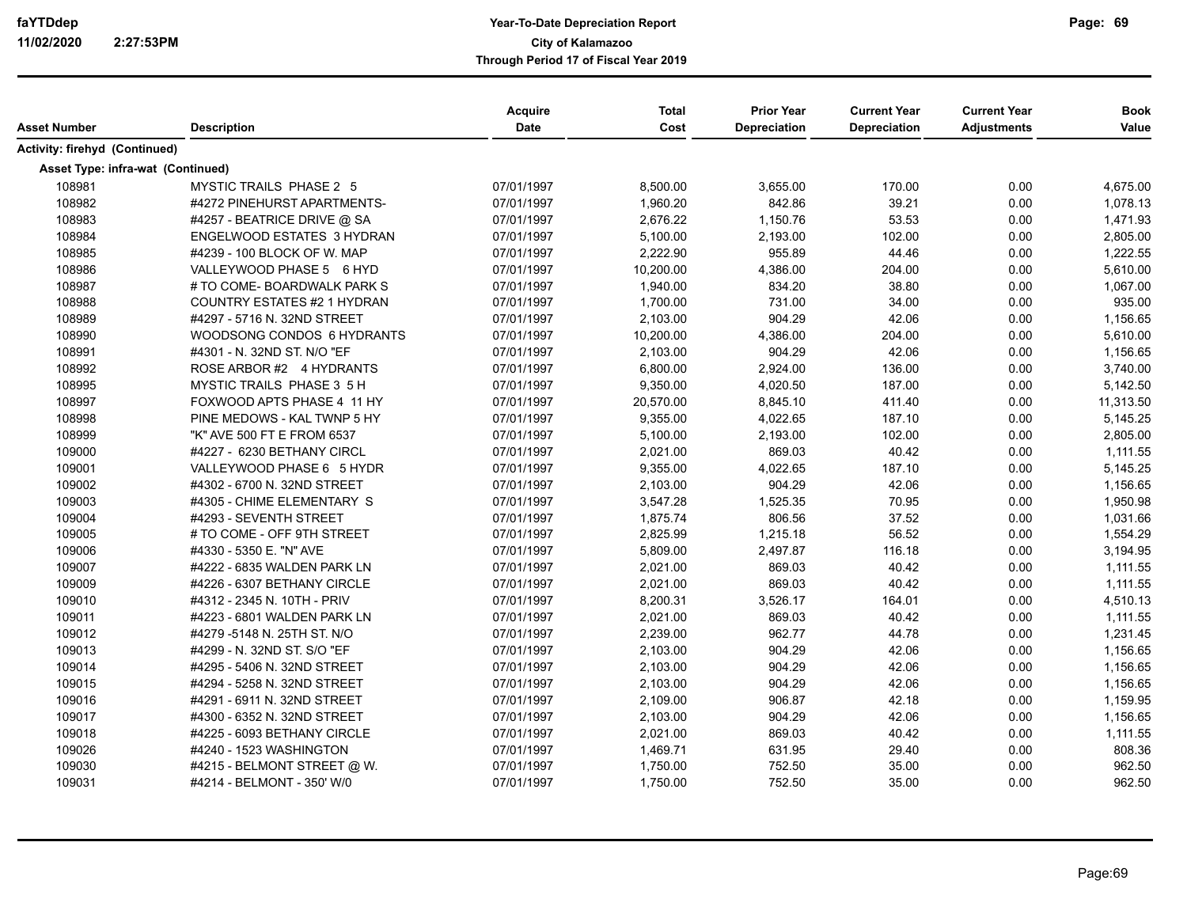| Asset Number                             | <b>Description</b>                | <b>Acquire</b><br><b>Date</b> | <b>Total</b><br>Cost | <b>Prior Year</b><br><b>Depreciation</b> | <b>Current Year</b><br><b>Depreciation</b> | <b>Current Year</b><br><b>Adjustments</b> | <b>Book</b><br>Value |
|------------------------------------------|-----------------------------------|-------------------------------|----------------------|------------------------------------------|--------------------------------------------|-------------------------------------------|----------------------|
|                                          |                                   |                               |                      |                                          |                                            |                                           |                      |
| Activity: firehyd (Continued)            |                                   |                               |                      |                                          |                                            |                                           |                      |
| <b>Asset Type: infra-wat (Continued)</b> |                                   |                               |                      |                                          |                                            |                                           |                      |
| 108981                                   | MYSTIC TRAILS PHASE 2 5           | 07/01/1997                    | 8,500.00             | 3,655.00                                 | 170.00                                     | 0.00                                      | 4,675.00             |
| 108982                                   | #4272 PINEHURST APARTMENTS-       | 07/01/1997                    | 1,960.20             | 842.86                                   | 39.21                                      | 0.00                                      | 1,078.13             |
| 108983                                   | #4257 - BEATRICE DRIVE @ SA       | 07/01/1997                    | 2,676.22             | 1,150.76                                 | 53.53                                      | 0.00                                      | 1,471.93             |
| 108984                                   | <b>ENGELWOOD ESTATES 3 HYDRAN</b> | 07/01/1997                    | 5,100.00             | 2,193.00                                 | 102.00                                     | 0.00                                      | 2,805.00             |
| 108985                                   | #4239 - 100 BLOCK OF W. MAP       | 07/01/1997                    | 2,222.90             | 955.89                                   | 44.46                                      | 0.00                                      | 1,222.55             |
| 108986                                   | VALLEYWOOD PHASE 5 6 HYD          | 07/01/1997                    | 10,200.00            | 4,386.00                                 | 204.00                                     | 0.00                                      | 5,610.00             |
| 108987                                   | # TO COME- BOARDWALK PARK S       | 07/01/1997                    | 1,940.00             | 834.20                                   | 38.80                                      | 0.00                                      | 1,067.00             |
| 108988                                   | COUNTRY ESTATES #2 1 HYDRAN       | 07/01/1997                    | 1,700.00             | 731.00                                   | 34.00                                      | 0.00                                      | 935.00               |
| 108989                                   | #4297 - 5716 N. 32ND STREET       | 07/01/1997                    | 2,103.00             | 904.29                                   | 42.06                                      | 0.00                                      | 1,156.65             |
| 108990                                   | WOODSONG CONDOS 6 HYDRANTS        | 07/01/1997                    | 10,200.00            | 4,386.00                                 | 204.00                                     | 0.00                                      | 5,610.00             |
| 108991                                   | #4301 - N. 32ND ST. N/O "EF       | 07/01/1997                    | 2,103.00             | 904.29                                   | 42.06                                      | 0.00                                      | 1,156.65             |
| 108992                                   | ROSE ARBOR #2 4 HYDRANTS          | 07/01/1997                    | 6,800.00             | 2,924.00                                 | 136.00                                     | 0.00                                      | 3,740.00             |
| 108995                                   | MYSTIC TRAILS PHASE 3 5 H         | 07/01/1997                    | 9,350.00             | 4,020.50                                 | 187.00                                     | 0.00                                      | 5,142.50             |
| 108997                                   | FOXWOOD APTS PHASE 4 11 HY        | 07/01/1997                    | 20,570.00            | 8,845.10                                 | 411.40                                     | 0.00                                      | 11,313.50            |
| 108998                                   | PINE MEDOWS - KAL TWNP 5 HY       | 07/01/1997                    | 9,355.00             | 4,022.65                                 | 187.10                                     | 0.00                                      | 5,145.25             |
| 108999                                   | "K" AVE 500 FT E FROM 6537        | 07/01/1997                    | 5,100.00             | 2,193.00                                 | 102.00                                     | 0.00                                      | 2,805.00             |
| 109000                                   | #4227 - 6230 BETHANY CIRCL        | 07/01/1997                    | 2,021.00             | 869.03                                   | 40.42                                      | 0.00                                      | 1,111.55             |
| 109001                                   | VALLEYWOOD PHASE 6 5 HYDR         | 07/01/1997                    | 9,355.00             | 4,022.65                                 | 187.10                                     | 0.00                                      | 5,145.25             |
| 109002                                   | #4302 - 6700 N. 32ND STREET       | 07/01/1997                    | 2,103.00             | 904.29                                   | 42.06                                      | 0.00                                      | 1,156.65             |
| 109003                                   | #4305 - CHIME ELEMENTARY S        | 07/01/1997                    | 3,547.28             | 1,525.35                                 | 70.95                                      | 0.00                                      | 1,950.98             |
| 109004                                   | #4293 - SEVENTH STREET            | 07/01/1997                    | 1,875.74             | 806.56                                   | 37.52                                      | 0.00                                      | 1,031.66             |
| 109005                                   | # TO COME - OFF 9TH STREET        | 07/01/1997                    | 2,825.99             | 1,215.18                                 | 56.52                                      | 0.00                                      | 1,554.29             |
| 109006                                   | #4330 - 5350 E. "N" AVE           | 07/01/1997                    | 5,809.00             | 2,497.87                                 | 116.18                                     | 0.00                                      | 3,194.95             |
| 109007                                   | #4222 - 6835 WALDEN PARK LN       | 07/01/1997                    | 2,021.00             | 869.03                                   | 40.42                                      | 0.00                                      | 1,111.55             |
| 109009                                   | #4226 - 6307 BETHANY CIRCLE       | 07/01/1997                    | 2,021.00             | 869.03                                   | 40.42                                      | 0.00                                      | 1,111.55             |
| 109010                                   | #4312 - 2345 N. 10TH - PRIV       | 07/01/1997                    | 8,200.31             | 3,526.17                                 | 164.01                                     | 0.00                                      | 4,510.13             |
| 109011                                   | #4223 - 6801 WALDEN PARK LN       | 07/01/1997                    | 2,021.00             | 869.03                                   | 40.42                                      | 0.00                                      | 1,111.55             |
| 109012                                   | #4279 -5148 N. 25TH ST. N/O       | 07/01/1997                    | 2,239.00             | 962.77                                   | 44.78                                      | 0.00                                      | 1,231.45             |
| 109013                                   | #4299 - N. 32ND ST. S/O "EF       | 07/01/1997                    | 2,103.00             | 904.29                                   | 42.06                                      | 0.00                                      | 1,156.65             |
| 109014                                   | #4295 - 5406 N. 32ND STREET       | 07/01/1997                    | 2,103.00             | 904.29                                   | 42.06                                      | 0.00                                      | 1,156.65             |
| 109015                                   | #4294 - 5258 N. 32ND STREET       | 07/01/1997                    | 2,103.00             | 904.29                                   | 42.06                                      | 0.00                                      | 1,156.65             |
| 109016                                   | #4291 - 6911 N. 32ND STREET       | 07/01/1997                    | 2,109.00             | 906.87                                   | 42.18                                      | 0.00                                      | 1,159.95             |
| 109017                                   | #4300 - 6352 N. 32ND STREET       | 07/01/1997                    | 2,103.00             | 904.29                                   | 42.06                                      | 0.00                                      | 1,156.65             |
| 109018                                   | #4225 - 6093 BETHANY CIRCLE       | 07/01/1997                    | 2,021.00             | 869.03                                   | 40.42                                      | 0.00                                      | 1,111.55             |
| 109026                                   | #4240 - 1523 WASHINGTON           | 07/01/1997                    | 1,469.71             | 631.95                                   | 29.40                                      | 0.00                                      | 808.36               |
| 109030                                   | #4215 - BELMONT STREET @ W.       | 07/01/1997                    | 1,750.00             | 752.50                                   | 35.00                                      | 0.00                                      | 962.50               |
| 109031                                   | #4214 - BELMONT - 350' W/0        | 07/01/1997                    | 1,750.00             | 752.50                                   | 35.00                                      | 0.00                                      | 962.50               |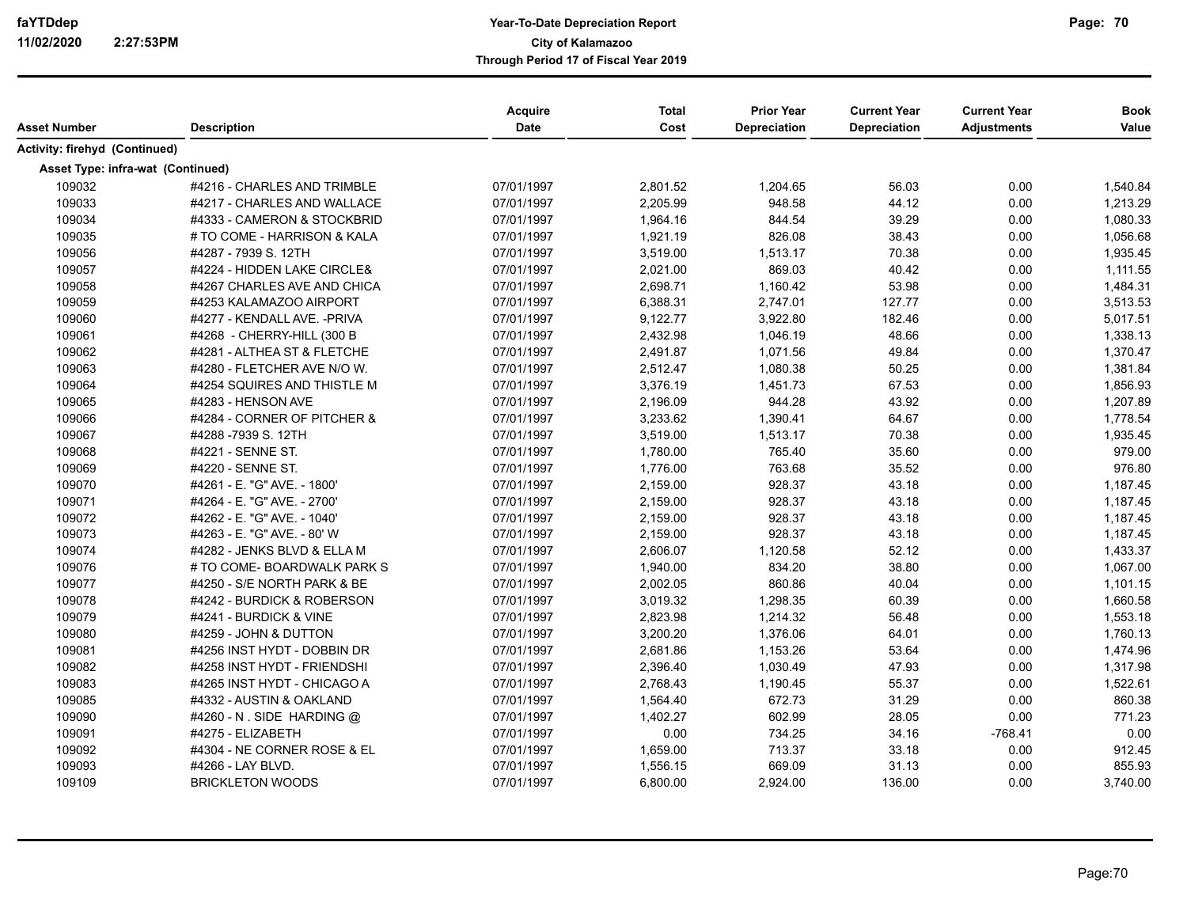| Asset Number                      | <b>Description</b>           | Acquire<br><b>Date</b> | <b>Total</b><br>Cost | <b>Prior Year</b><br><b>Depreciation</b> | <b>Current Year</b><br><b>Depreciation</b> | <b>Current Year</b><br><b>Adjustments</b> | <b>Book</b><br>Value |
|-----------------------------------|------------------------------|------------------------|----------------------|------------------------------------------|--------------------------------------------|-------------------------------------------|----------------------|
| Activity: firehyd (Continued)     |                              |                        |                      |                                          |                                            |                                           |                      |
| Asset Type: infra-wat (Continued) |                              |                        |                      |                                          |                                            |                                           |                      |
| 109032                            | #4216 - CHARLES AND TRIMBLE  | 07/01/1997             | 2,801.52             | 1,204.65                                 | 56.03                                      | 0.00                                      | 1,540.84             |
| 109033                            | #4217 - CHARLES AND WALLACE  | 07/01/1997             | 2,205.99             | 948.58                                   | 44.12                                      | 0.00                                      | 1,213.29             |
| 109034                            | #4333 - CAMERON & STOCKBRID  | 07/01/1997             | 1,964.16             | 844.54                                   | 39.29                                      | 0.00                                      | 1,080.33             |
| 109035                            | # TO COME - HARRISON & KALA  | 07/01/1997             | 1,921.19             | 826.08                                   | 38.43                                      | 0.00                                      | 1,056.68             |
| 109056                            | #4287 - 7939 S. 12TH         | 07/01/1997             | 3,519.00             | 1,513.17                                 | 70.38                                      | 0.00                                      | 1,935.45             |
| 109057                            | #4224 - HIDDEN LAKE CIRCLE&  | 07/01/1997             | 2,021.00             | 869.03                                   | 40.42                                      | 0.00                                      | 1,111.55             |
| 109058                            | #4267 CHARLES AVE AND CHICA  | 07/01/1997             | 2,698.71             | 1,160.42                                 | 53.98                                      | 0.00                                      | 1,484.31             |
| 109059                            | #4253 KALAMAZOO AIRPORT      | 07/01/1997             | 6,388.31             | 2,747.01                                 | 127.77                                     | 0.00                                      | 3,513.53             |
| 109060                            | #4277 - KENDALL AVE. - PRIVA | 07/01/1997             | 9,122.77             | 3,922.80                                 | 182.46                                     | 0.00                                      | 5,017.51             |
| 109061                            | #4268 - CHERRY-HILL (300 B   | 07/01/1997             | 2,432.98             | 1,046.19                                 | 48.66                                      | 0.00                                      | 1,338.13             |
| 109062                            | #4281 - ALTHEA ST & FLETCHE  | 07/01/1997             | 2,491.87             | 1,071.56                                 | 49.84                                      | 0.00                                      | 1,370.47             |
| 109063                            | #4280 - FLETCHER AVE N/O W.  | 07/01/1997             | 2,512.47             | 1,080.38                                 | 50.25                                      | 0.00                                      | 1,381.84             |
| 109064                            | #4254 SQUIRES AND THISTLE M  | 07/01/1997             | 3,376.19             | 1,451.73                                 | 67.53                                      | 0.00                                      | 1,856.93             |
| 109065                            | #4283 - HENSON AVE           | 07/01/1997             | 2,196.09             | 944.28                                   | 43.92                                      | 0.00                                      | 1,207.89             |
| 109066                            | #4284 - CORNER OF PITCHER &  | 07/01/1997             | 3,233.62             | 1,390.41                                 | 64.67                                      | 0.00                                      | 1,778.54             |
| 109067                            | #4288 -7939 S. 12TH          | 07/01/1997             | 3,519.00             | 1,513.17                                 | 70.38                                      | 0.00                                      | 1,935.45             |
| 109068                            | #4221 - SENNE ST.            | 07/01/1997             | 1,780.00             | 765.40                                   | 35.60                                      | 0.00                                      | 979.00               |
| 109069                            | #4220 - SENNE ST.            | 07/01/1997             | 1,776.00             | 763.68                                   | 35.52                                      | 0.00                                      | 976.80               |
| 109070                            | #4261 - E. "G" AVE. - 1800'  | 07/01/1997             | 2,159.00             | 928.37                                   | 43.18                                      | 0.00                                      | 1,187.45             |
| 109071                            | #4264 - E. "G" AVE. - 2700"  | 07/01/1997             | 2,159.00             | 928.37                                   | 43.18                                      | 0.00                                      | 1,187.45             |
| 109072                            | #4262 - E. "G" AVE. - 1040'  | 07/01/1997             | 2,159.00             | 928.37                                   | 43.18                                      | 0.00                                      | 1,187.45             |
| 109073                            | #4263 - E. "G" AVE. - 80' W  | 07/01/1997             | 2,159.00             | 928.37                                   | 43.18                                      | 0.00                                      | 1,187.45             |
| 109074                            | #4282 - JENKS BLVD & ELLA M  | 07/01/1997             | 2,606.07             | 1,120.58                                 | 52.12                                      | 0.00                                      | 1,433.37             |
| 109076                            | # TO COME- BOARDWALK PARK S  | 07/01/1997             | 1,940.00             | 834.20                                   | 38.80                                      | 0.00                                      | 1,067.00             |
| 109077                            | #4250 - S/E NORTH PARK & BE  | 07/01/1997             | 2,002.05             | 860.86                                   | 40.04                                      | 0.00                                      | 1,101.15             |
| 109078                            | #4242 - BURDICK & ROBERSON   | 07/01/1997             | 3,019.32             | 1,298.35                                 | 60.39                                      | 0.00                                      | 1,660.58             |
| 109079                            | #4241 - BURDICK & VINE       | 07/01/1997             | 2,823.98             | 1,214.32                                 | 56.48                                      | 0.00                                      | 1,553.18             |
| 109080                            | #4259 - JOHN & DUTTON        | 07/01/1997             | 3,200.20             | 1,376.06                                 | 64.01                                      | 0.00                                      | 1,760.13             |
| 109081                            | #4256 INST HYDT - DOBBIN DR  | 07/01/1997             | 2,681.86             | 1,153.26                                 | 53.64                                      | 0.00                                      | 1,474.96             |
| 109082                            | #4258 INST HYDT - FRIENDSHI  | 07/01/1997             | 2,396.40             | 1,030.49                                 | 47.93                                      | 0.00                                      | 1,317.98             |
| 109083                            | #4265 INST HYDT - CHICAGO A  | 07/01/1997             | 2,768.43             | 1,190.45                                 | 55.37                                      | 0.00                                      | 1,522.61             |
| 109085                            | #4332 - AUSTIN & OAKLAND     | 07/01/1997             | 1,564.40             | 672.73                                   | 31.29                                      | 0.00                                      | 860.38               |
| 109090                            | #4260 - N . SIDE HARDING @   | 07/01/1997             | 1,402.27             | 602.99                                   | 28.05                                      | 0.00                                      | 771.23               |
| 109091                            | #4275 - ELIZABETH            | 07/01/1997             | 0.00                 | 734.25                                   | 34.16                                      | $-768.41$                                 | 0.00                 |
| 109092                            | #4304 - NE CORNER ROSE & EL  | 07/01/1997             | 1,659.00             | 713.37                                   | 33.18                                      | 0.00                                      | 912.45               |
| 109093                            | #4266 - LAY BLVD.            | 07/01/1997             | 1,556.15             | 669.09                                   | 31.13                                      | 0.00                                      | 855.93               |
| 109109                            | <b>BRICKLETON WOODS</b>      | 07/01/1997             | 6,800.00             | 2,924.00                                 | 136.00                                     | 0.00                                      | 3,740.00             |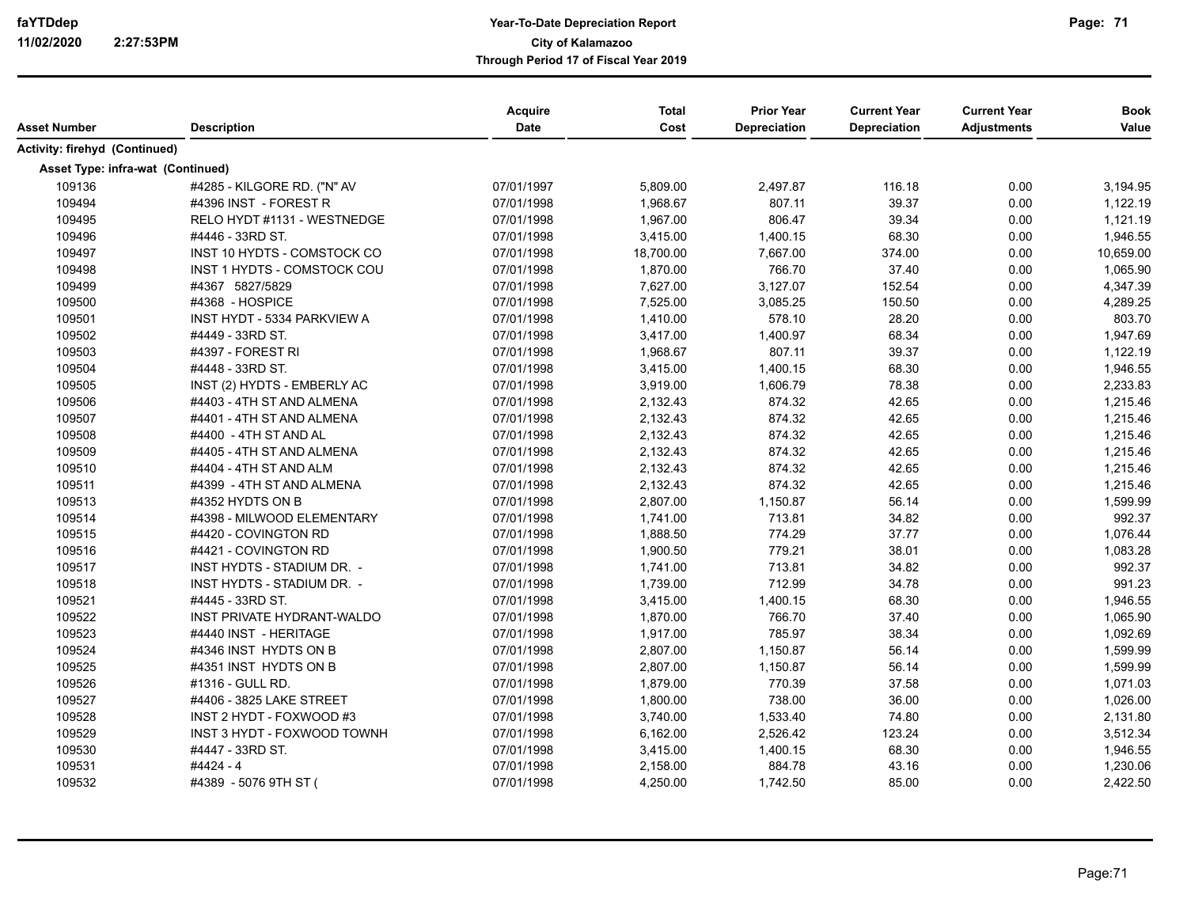| Asset Number                      | <b>Description</b>                 | Acquire<br>Date | <b>Total</b><br>Cost | <b>Prior Year</b><br>Depreciation | <b>Current Year</b><br><b>Depreciation</b> | <b>Current Year</b><br><b>Adjustments</b> | <b>Book</b><br>Value |
|-----------------------------------|------------------------------------|-----------------|----------------------|-----------------------------------|--------------------------------------------|-------------------------------------------|----------------------|
| Activity: firehyd (Continued)     |                                    |                 |                      |                                   |                                            |                                           |                      |
| Asset Type: infra-wat (Continued) |                                    |                 |                      |                                   |                                            |                                           |                      |
| 109136                            | #4285 - KILGORE RD. ("N" AV        | 07/01/1997      | 5,809.00             | 2,497.87                          | 116.18                                     | 0.00                                      | 3,194.95             |
| 109494                            | #4396 INST - FOREST R              | 07/01/1998      | 1,968.67             | 807.11                            | 39.37                                      | 0.00                                      | 1,122.19             |
| 109495                            | RELO HYDT #1131 - WESTNEDGE        | 07/01/1998      | 1,967.00             | 806.47                            | 39.34                                      | 0.00                                      | 1,121.19             |
| 109496                            | #4446 - 33RD ST.                   | 07/01/1998      | 3,415.00             | 1,400.15                          | 68.30                                      | 0.00                                      | 1,946.55             |
| 109497                            | INST 10 HYDTS - COMSTOCK CO        | 07/01/1998      | 18,700.00            | 7,667.00                          | 374.00                                     | 0.00                                      | 10,659.00            |
| 109498                            | INST 1 HYDTS - COMSTOCK COU        | 07/01/1998      | 1,870.00             | 766.70                            | 37.40                                      | 0.00                                      | 1,065.90             |
| 109499                            | #4367 5827/5829                    | 07/01/1998      | 7,627.00             | 3,127.07                          | 152.54                                     | 0.00                                      | 4,347.39             |
| 109500                            | #4368 - HOSPICE                    | 07/01/1998      | 7,525.00             | 3,085.25                          | 150.50                                     | 0.00                                      | 4,289.25             |
| 109501                            | <b>INST HYDT - 5334 PARKVIEW A</b> | 07/01/1998      | 1,410.00             | 578.10                            | 28.20                                      | 0.00                                      | 803.70               |
| 109502                            | #4449 - 33RD ST.                   | 07/01/1998      | 3,417.00             | 1,400.97                          | 68.34                                      | 0.00                                      | 1,947.69             |
| 109503                            | #4397 - FOREST RI                  | 07/01/1998      | 1,968.67             | 807.11                            | 39.37                                      | 0.00                                      | 1,122.19             |
| 109504                            | #4448 - 33RD ST.                   | 07/01/1998      | 3,415.00             | 1,400.15                          | 68.30                                      | 0.00                                      | 1,946.55             |
| 109505                            | INST (2) HYDTS - EMBERLY AC        | 07/01/1998      | 3,919.00             | 1,606.79                          | 78.38                                      | 0.00                                      | 2,233.83             |
| 109506                            | #4403 - 4TH ST AND ALMENA          | 07/01/1998      | 2,132.43             | 874.32                            | 42.65                                      | 0.00                                      | 1,215.46             |
| 109507                            | #4401 - 4TH ST AND ALMENA          | 07/01/1998      | 2,132.43             | 874.32                            | 42.65                                      | 0.00                                      | 1,215.46             |
| 109508                            | #4400 - 4TH ST AND AL              | 07/01/1998      | 2,132.43             | 874.32                            | 42.65                                      | 0.00                                      | 1,215.46             |
| 109509                            | #4405 - 4TH ST AND ALMENA          | 07/01/1998      | 2,132.43             | 874.32                            | 42.65                                      | 0.00                                      | 1,215.46             |
| 109510                            | #4404 - 4TH ST AND ALM             | 07/01/1998      | 2,132.43             | 874.32                            | 42.65                                      | 0.00                                      | 1,215.46             |
| 109511                            | #4399 - 4TH ST AND ALMENA          | 07/01/1998      | 2,132.43             | 874.32                            | 42.65                                      | 0.00                                      | 1,215.46             |
| 109513                            | #4352 HYDTS ON B                   | 07/01/1998      | 2,807.00             | 1,150.87                          | 56.14                                      | 0.00                                      | 1,599.99             |
| 109514                            | #4398 - MILWOOD ELEMENTARY         | 07/01/1998      | 1,741.00             | 713.81                            | 34.82                                      | 0.00                                      | 992.37               |
| 109515                            | #4420 - COVINGTON RD               | 07/01/1998      | 1,888.50             | 774.29                            | 37.77                                      | 0.00                                      | 1,076.44             |
| 109516                            | #4421 - COVINGTON RD               | 07/01/1998      | 1,900.50             | 779.21                            | 38.01                                      | 0.00                                      | 1,083.28             |
| 109517                            | INST HYDTS - STADIUM DR. -         | 07/01/1998      | 1,741.00             | 713.81                            | 34.82                                      | 0.00                                      | 992.37               |
| 109518                            | INST HYDTS - STADIUM DR. -         | 07/01/1998      | 1,739.00             | 712.99                            | 34.78                                      | 0.00                                      | 991.23               |
| 109521                            | #4445 - 33RD ST.                   | 07/01/1998      | 3,415.00             | 1,400.15                          | 68.30                                      | 0.00                                      | 1,946.55             |
| 109522                            | INST PRIVATE HYDRANT-WALDO         | 07/01/1998      | 1,870.00             | 766.70                            | 37.40                                      | 0.00                                      | 1,065.90             |
| 109523                            | #4440 INST - HERITAGE              | 07/01/1998      | 1,917.00             | 785.97                            | 38.34                                      | 0.00                                      | 1,092.69             |
| 109524                            | #4346 INST HYDTS ON B              | 07/01/1998      | 2,807.00             | 1,150.87                          | 56.14                                      | 0.00                                      | 1,599.99             |
| 109525                            | #4351 INST HYDTS ON B              | 07/01/1998      | 2,807.00             | 1,150.87                          | 56.14                                      | 0.00                                      | 1,599.99             |
| 109526                            | #1316 - GULL RD.                   | 07/01/1998      | 1,879.00             | 770.39                            | 37.58                                      | 0.00                                      | 1,071.03             |
| 109527                            | #4406 - 3825 LAKE STREET           | 07/01/1998      | 1,800.00             | 738.00                            | 36.00                                      | 0.00                                      | 1,026.00             |
| 109528                            | INST 2 HYDT - FOXWOOD #3           | 07/01/1998      | 3,740.00             | 1,533.40                          | 74.80                                      | 0.00                                      | 2,131.80             |
| 109529                            | INST 3 HYDT - FOXWOOD TOWNH        | 07/01/1998      | 6,162.00             | 2,526.42                          | 123.24                                     | 0.00                                      | 3,512.34             |
| 109530                            | #4447 - 33RD ST.                   | 07/01/1998      | 3,415.00             | 1,400.15                          | 68.30                                      | 0.00                                      | 1,946.55             |
| 109531                            | #4424 - 4                          | 07/01/1998      | 2,158.00             | 884.78                            | 43.16                                      | 0.00                                      | 1,230.06             |
| 109532                            | #4389 - 5076 9TH ST (              | 07/01/1998      | 4,250.00             | 1,742.50                          | 85.00                                      | 0.00                                      | 2,422.50             |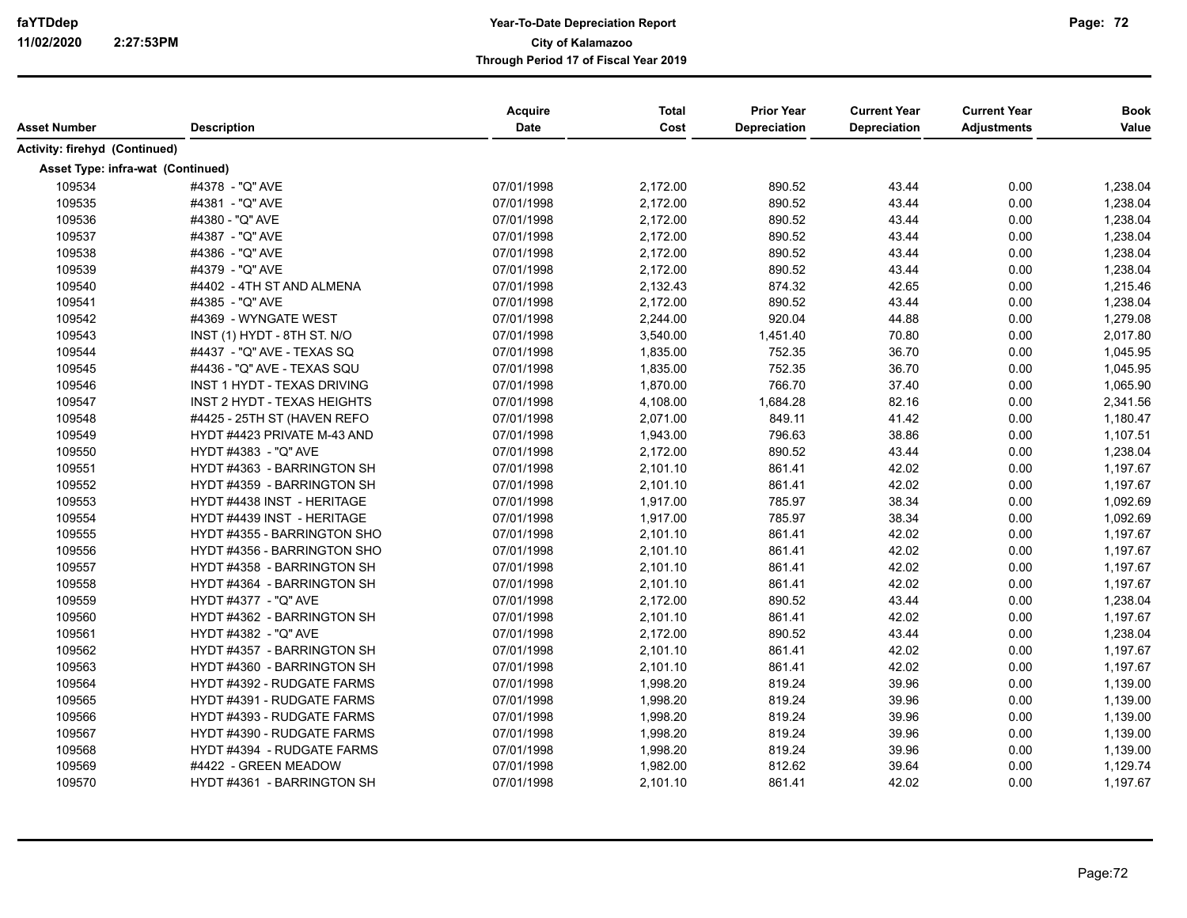| Asset Number                      | <b>Description</b>                 | Acquire<br><b>Date</b> | <b>Total</b><br>Cost | <b>Prior Year</b><br>Depreciation | <b>Current Year</b><br><b>Depreciation</b> | <b>Current Year</b><br><b>Adjustments</b> | <b>Book</b><br>Value |
|-----------------------------------|------------------------------------|------------------------|----------------------|-----------------------------------|--------------------------------------------|-------------------------------------------|----------------------|
| Activity: firehyd (Continued)     |                                    |                        |                      |                                   |                                            |                                           |                      |
| Asset Type: infra-wat (Continued) |                                    |                        |                      |                                   |                                            |                                           |                      |
| 109534                            | #4378 - "Q" AVE                    | 07/01/1998             | 2,172.00             | 890.52                            | 43.44                                      | 0.00                                      | 1,238.04             |
| 109535                            | #4381 - "Q" AVE                    | 07/01/1998             | 2,172.00             | 890.52                            | 43.44                                      | 0.00                                      | 1,238.04             |
| 109536                            | #4380 - "Q" AVE                    | 07/01/1998             | 2,172.00             | 890.52                            | 43.44                                      | 0.00                                      | 1,238.04             |
| 109537                            | #4387 - "Q" AVE                    | 07/01/1998             | 2,172.00             | 890.52                            | 43.44                                      | 0.00                                      | 1,238.04             |
| 109538                            | #4386 - "Q" AVE                    | 07/01/1998             | 2,172.00             | 890.52                            | 43.44                                      | 0.00                                      | 1,238.04             |
| 109539                            | #4379 - "Q" AVE                    | 07/01/1998             | 2,172.00             | 890.52                            | 43.44                                      | 0.00                                      | 1,238.04             |
| 109540                            | #4402 - 4TH ST AND ALMENA          | 07/01/1998             | 2,132.43             | 874.32                            | 42.65                                      | 0.00                                      | 1,215.46             |
| 109541                            | #4385 - "Q" AVE                    | 07/01/1998             | 2,172.00             | 890.52                            | 43.44                                      | 0.00                                      | 1,238.04             |
| 109542                            | #4369 - WYNGATE WEST               | 07/01/1998             | 2,244.00             | 920.04                            | 44.88                                      | 0.00                                      | 1,279.08             |
| 109543                            | INST (1) HYDT - 8TH ST. N/O        | 07/01/1998             | 3,540.00             | 1,451.40                          | 70.80                                      | 0.00                                      | 2,017.80             |
| 109544                            | #4437 - "Q" AVE - TEXAS SQ         | 07/01/1998             | 1,835.00             | 752.35                            | 36.70                                      | 0.00                                      | 1,045.95             |
| 109545                            | #4436 - "Q" AVE - TEXAS SQU        | 07/01/1998             | 1,835.00             | 752.35                            | 36.70                                      | 0.00                                      | 1,045.95             |
| 109546                            | <b>INST 1 HYDT - TEXAS DRIVING</b> | 07/01/1998             | 1,870.00             | 766.70                            | 37.40                                      | 0.00                                      | 1,065.90             |
| 109547                            | <b>INST 2 HYDT - TEXAS HEIGHTS</b> | 07/01/1998             | 4,108.00             | 1,684.28                          | 82.16                                      | 0.00                                      | 2,341.56             |
| 109548                            | #4425 - 25TH ST (HAVEN REFO        | 07/01/1998             | 2,071.00             | 849.11                            | 41.42                                      | 0.00                                      | 1,180.47             |
| 109549                            | HYDT #4423 PRIVATE M-43 AND        | 07/01/1998             | 1,943.00             | 796.63                            | 38.86                                      | 0.00                                      | 1,107.51             |
| 109550                            | HYDT #4383 - "Q" AVE               | 07/01/1998             | 2,172.00             | 890.52                            | 43.44                                      | 0.00                                      | 1,238.04             |
| 109551                            | HYDT #4363 - BARRINGTON SH         | 07/01/1998             | 2,101.10             | 861.41                            | 42.02                                      | 0.00                                      | 1,197.67             |
| 109552                            | HYDT #4359 - BARRINGTON SH         | 07/01/1998             | 2,101.10             | 861.41                            | 42.02                                      | 0.00                                      | 1,197.67             |
| 109553                            | HYDT #4438 INST - HERITAGE         | 07/01/1998             | 1,917.00             | 785.97                            | 38.34                                      | 0.00                                      | 1,092.69             |
| 109554                            | HYDT #4439 INST - HERITAGE         | 07/01/1998             | 1,917.00             | 785.97                            | 38.34                                      | 0.00                                      | 1,092.69             |
| 109555                            | HYDT #4355 - BARRINGTON SHO        | 07/01/1998             | 2,101.10             | 861.41                            | 42.02                                      | 0.00                                      | 1,197.67             |
| 109556                            | HYDT #4356 - BARRINGTON SHO        | 07/01/1998             | 2,101.10             | 861.41                            | 42.02                                      | 0.00                                      | 1,197.67             |
| 109557                            | HYDT #4358 - BARRINGTON SH         | 07/01/1998             | 2,101.10             | 861.41                            | 42.02                                      | 0.00                                      | 1,197.67             |
| 109558                            | HYDT #4364 - BARRINGTON SH         | 07/01/1998             | 2,101.10             | 861.41                            | 42.02                                      | 0.00                                      | 1,197.67             |
| 109559                            | HYDT #4377 - "Q" AVE               | 07/01/1998             | 2,172.00             | 890.52                            | 43.44                                      | 0.00                                      | 1,238.04             |
| 109560                            | HYDT #4362 - BARRINGTON SH         | 07/01/1998             | 2,101.10             | 861.41                            | 42.02                                      | 0.00                                      | 1,197.67             |
| 109561                            | HYDT #4382 - "Q" AVE               | 07/01/1998             | 2,172.00             | 890.52                            | 43.44                                      | 0.00                                      | 1,238.04             |
| 109562                            | HYDT #4357 - BARRINGTON SH         | 07/01/1998             | 2,101.10             | 861.41                            | 42.02                                      | 0.00                                      | 1,197.67             |
| 109563                            | HYDT #4360 - BARRINGTON SH         | 07/01/1998             | 2,101.10             | 861.41                            | 42.02                                      | 0.00                                      | 1,197.67             |
| 109564                            | HYDT #4392 - RUDGATE FARMS         | 07/01/1998             | 1,998.20             | 819.24                            | 39.96                                      | 0.00                                      | 1,139.00             |
| 109565                            | HYDT #4391 - RUDGATE FARMS         | 07/01/1998             | 1,998.20             | 819.24                            | 39.96                                      | 0.00                                      | 1,139.00             |
| 109566                            | HYDT #4393 - RUDGATE FARMS         | 07/01/1998             | 1,998.20             | 819.24                            | 39.96                                      | 0.00                                      | 1,139.00             |
| 109567                            | HYDT #4390 - RUDGATE FARMS         | 07/01/1998             | 1,998.20             | 819.24                            | 39.96                                      | 0.00                                      | 1,139.00             |
| 109568                            | HYDT #4394 - RUDGATE FARMS         | 07/01/1998             | 1,998.20             | 819.24                            | 39.96                                      | 0.00                                      | 1,139.00             |
| 109569                            | #4422 - GREEN MEADOW               | 07/01/1998             | 1,982.00             | 812.62                            | 39.64                                      | 0.00                                      | 1,129.74             |
| 109570                            | HYDT #4361 - BARRINGTON SH         | 07/01/1998             | 2,101.10             | 861.41                            | 42.02                                      | 0.00                                      | 1,197.67             |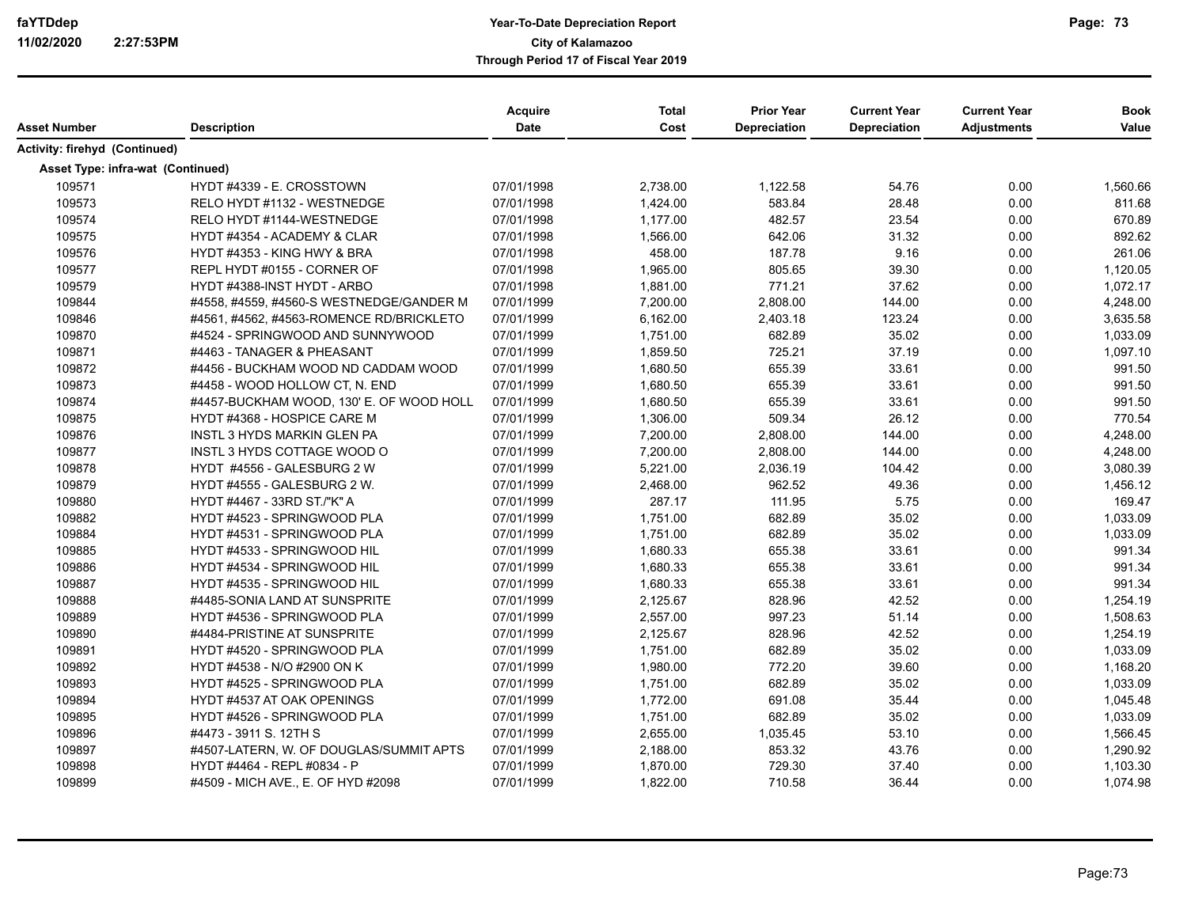| Asset Number                         | <b>Description</b>                       | Acquire<br><b>Date</b> | <b>Total</b><br>Cost | <b>Prior Year</b><br>Depreciation | <b>Current Year</b><br>Depreciation | <b>Current Year</b><br><b>Adjustments</b> | <b>Book</b><br>Value |
|--------------------------------------|------------------------------------------|------------------------|----------------------|-----------------------------------|-------------------------------------|-------------------------------------------|----------------------|
| <b>Activity: firehyd (Continued)</b> |                                          |                        |                      |                                   |                                     |                                           |                      |
| Asset Type: infra-wat (Continued)    |                                          |                        |                      |                                   |                                     |                                           |                      |
| 109571                               | HYDT #4339 - E. CROSSTOWN                | 07/01/1998             | 2,738.00             | 1,122.58                          | 54.76                               | 0.00                                      | 1,560.66             |
| 109573                               | RELO HYDT #1132 - WESTNEDGE              | 07/01/1998             | 1,424.00             | 583.84                            | 28.48                               | 0.00                                      | 811.68               |
| 109574                               | RELO HYDT #1144-WESTNEDGE                | 07/01/1998             | 1,177.00             | 482.57                            | 23.54                               | 0.00                                      | 670.89               |
| 109575                               | HYDT #4354 - ACADEMY & CLAR              | 07/01/1998             | 1,566.00             | 642.06                            | 31.32                               | 0.00                                      | 892.62               |
| 109576                               | HYDT #4353 - KING HWY & BRA              | 07/01/1998             | 458.00               | 187.78                            | 9.16                                | 0.00                                      | 261.06               |
| 109577                               | REPL HYDT #0155 - CORNER OF              | 07/01/1998             | 1,965.00             | 805.65                            | 39.30                               | 0.00                                      | 1,120.05             |
| 109579                               | HYDT #4388-INST HYDT - ARBO              | 07/01/1998             | 1,881.00             | 771.21                            | 37.62                               | 0.00                                      | 1,072.17             |
| 109844                               | #4558, #4559, #4560-S WESTNEDGE/GANDER M | 07/01/1999             | 7,200.00             | 2,808.00                          | 144.00                              | 0.00                                      | 4,248.00             |
| 109846                               | #4561, #4562, #4563-ROMENCE RD/BRICKLETO | 07/01/1999             | 6,162.00             | 2,403.18                          | 123.24                              | 0.00                                      | 3,635.58             |
| 109870                               | #4524 - SPRINGWOOD AND SUNNYWOOD         | 07/01/1999             | 1,751.00             | 682.89                            | 35.02                               | 0.00                                      | 1,033.09             |
| 109871                               | #4463 - TANAGER & PHEASANT               | 07/01/1999             | 1,859.50             | 725.21                            | 37.19                               | 0.00                                      | 1,097.10             |
| 109872                               | #4456 - BUCKHAM WOOD ND CADDAM WOOD      | 07/01/1999             | 1,680.50             | 655.39                            | 33.61                               | 0.00                                      | 991.50               |
| 109873                               | #4458 - WOOD HOLLOW CT, N. END           | 07/01/1999             | 1,680.50             | 655.39                            | 33.61                               | 0.00                                      | 991.50               |
| 109874                               | #4457-BUCKHAM WOOD, 130' E. OF WOOD HOLL | 07/01/1999             | 1,680.50             | 655.39                            | 33.61                               | 0.00                                      | 991.50               |
| 109875                               | HYDT #4368 - HOSPICE CARE M              | 07/01/1999             | 1,306.00             | 509.34                            | 26.12                               | 0.00                                      | 770.54               |
| 109876                               | <b>INSTL 3 HYDS MARKIN GLEN PA</b>       | 07/01/1999             | 7,200.00             | 2,808.00                          | 144.00                              | 0.00                                      | 4,248.00             |
| 109877                               | INSTL 3 HYDS COTTAGE WOOD O              | 07/01/1999             | 7,200.00             | 2,808.00                          | 144.00                              | 0.00                                      | 4,248.00             |
| 109878                               | HYDT #4556 - GALESBURG 2 W               | 07/01/1999             | 5,221.00             | 2,036.19                          | 104.42                              | 0.00                                      | 3,080.39             |
| 109879                               | HYDT #4555 - GALESBURG 2 W.              | 07/01/1999             | 2,468.00             | 962.52                            | 49.36                               | 0.00                                      | 1,456.12             |
| 109880                               | HYDT #4467 - 33RD ST./"K" A              | 07/01/1999             | 287.17               | 111.95                            | 5.75                                | 0.00                                      | 169.47               |
| 109882                               | HYDT #4523 - SPRINGWOOD PLA              | 07/01/1999             | 1,751.00             | 682.89                            | 35.02                               | 0.00                                      | 1,033.09             |
| 109884                               | HYDT #4531 - SPRINGWOOD PLA              | 07/01/1999             | 1,751.00             | 682.89                            | 35.02                               | 0.00                                      | 1,033.09             |
| 109885                               | HYDT #4533 - SPRINGWOOD HIL              | 07/01/1999             | 1,680.33             | 655.38                            | 33.61                               | 0.00                                      | 991.34               |
| 109886                               | HYDT #4534 - SPRINGWOOD HIL              | 07/01/1999             | 1,680.33             | 655.38                            | 33.61                               | 0.00                                      | 991.34               |
| 109887                               | HYDT #4535 - SPRINGWOOD HIL              | 07/01/1999             | 1,680.33             | 655.38                            | 33.61                               | 0.00                                      | 991.34               |
| 109888                               | #4485-SONIA LAND AT SUNSPRITE            | 07/01/1999             | 2,125.67             | 828.96                            | 42.52                               | 0.00                                      | 1,254.19             |
| 109889                               | HYDT #4536 - SPRINGWOOD PLA              | 07/01/1999             | 2,557.00             | 997.23                            | 51.14                               | 0.00                                      | 1,508.63             |
| 109890                               | #4484-PRISTINE AT SUNSPRITE              | 07/01/1999             | 2,125.67             | 828.96                            | 42.52                               | 0.00                                      | 1,254.19             |
| 109891                               | HYDT #4520 - SPRINGWOOD PLA              | 07/01/1999             | 1,751.00             | 682.89                            | 35.02                               | 0.00                                      | 1,033.09             |
| 109892                               | HYDT #4538 - N/O #2900 ON K              | 07/01/1999             | 1,980.00             | 772.20                            | 39.60                               | 0.00                                      | 1,168.20             |
| 109893                               | HYDT #4525 - SPRINGWOOD PLA              | 07/01/1999             | 1,751.00             | 682.89                            | 35.02                               | 0.00                                      | 1,033.09             |
| 109894                               | HYDT #4537 AT OAK OPENINGS               | 07/01/1999             | 1,772.00             | 691.08                            | 35.44                               | 0.00                                      | 1,045.48             |
| 109895                               | HYDT #4526 - SPRINGWOOD PLA              | 07/01/1999             | 1,751.00             | 682.89                            | 35.02                               | 0.00                                      | 1,033.09             |
| 109896                               | #4473 - 3911 S. 12TH S                   | 07/01/1999             | 2,655.00             | 1,035.45                          | 53.10                               | 0.00                                      | 1,566.45             |
| 109897                               | #4507-LATERN, W. OF DOUGLAS/SUMMIT APTS  | 07/01/1999             | 2,188.00             | 853.32                            | 43.76                               | 0.00                                      | 1,290.92             |
| 109898                               | HYDT #4464 - REPL #0834 - P              | 07/01/1999             | 1,870.00             | 729.30                            | 37.40                               | 0.00                                      | 1,103.30             |
| 109899                               | #4509 - MICH AVE., E. OF HYD #2098       | 07/01/1999             | 1,822.00             | 710.58                            | 36.44                               | 0.00                                      | 1,074.98             |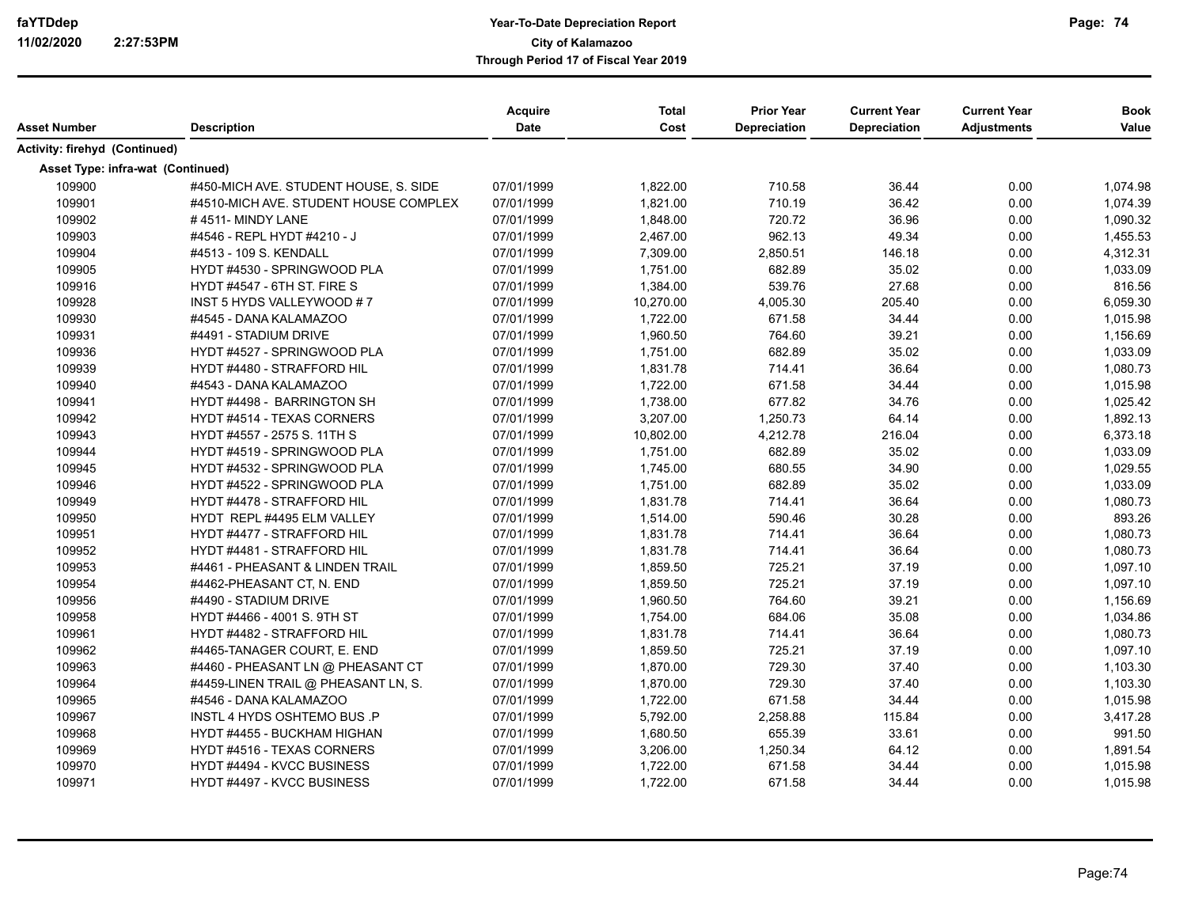|                                   |                                       | <b>Acquire</b> | Total     | <b>Prior Year</b> | <b>Current Year</b> | <b>Current Year</b> | <b>Book</b> |
|-----------------------------------|---------------------------------------|----------------|-----------|-------------------|---------------------|---------------------|-------------|
| Asset Number                      | <b>Description</b>                    | Date           | Cost      | Depreciation      | <b>Depreciation</b> | <b>Adjustments</b>  | Value       |
| Activity: firehyd (Continued)     |                                       |                |           |                   |                     |                     |             |
| Asset Type: infra-wat (Continued) |                                       |                |           |                   |                     |                     |             |
| 109900                            | #450-MICH AVE. STUDENT HOUSE, S. SIDE | 07/01/1999     | 1,822.00  | 710.58            | 36.44               | 0.00                | 1,074.98    |
| 109901                            | #4510-MICH AVE. STUDENT HOUSE COMPLEX | 07/01/1999     | 1,821.00  | 710.19            | 36.42               | 0.00                | 1,074.39    |
| 109902                            | #4511-MINDY LANE                      | 07/01/1999     | 1.848.00  | 720.72            | 36.96               | 0.00                | 1,090.32    |
| 109903                            | #4546 - REPL HYDT #4210 - J           | 07/01/1999     | 2,467.00  | 962.13            | 49.34               | 0.00                | 1,455.53    |
| 109904                            | #4513 - 109 S. KENDALL                | 07/01/1999     | 7,309.00  | 2,850.51          | 146.18              | 0.00                | 4,312.31    |
| 109905                            | HYDT #4530 - SPRINGWOOD PLA           | 07/01/1999     | 1,751.00  | 682.89            | 35.02               | 0.00                | 1,033.09    |
| 109916                            | HYDT #4547 - 6TH ST. FIRE S           | 07/01/1999     | 1,384.00  | 539.76            | 27.68               | 0.00                | 816.56      |
| 109928                            | INST 5 HYDS VALLEYWOOD #7             | 07/01/1999     | 10,270.00 | 4,005.30          | 205.40              | 0.00                | 6,059.30    |
| 109930                            | #4545 - DANA KALAMAZOO                | 07/01/1999     | 1,722.00  | 671.58            | 34.44               | 0.00                | 1,015.98    |
| 109931                            | #4491 - STADIUM DRIVE                 | 07/01/1999     | 1,960.50  | 764.60            | 39.21               | 0.00                | 1,156.69    |
| 109936                            | HYDT #4527 - SPRINGWOOD PLA           | 07/01/1999     | 1,751.00  | 682.89            | 35.02               | 0.00                | 1,033.09    |
| 109939                            | HYDT #4480 - STRAFFORD HIL            | 07/01/1999     | 1,831.78  | 714.41            | 36.64               | 0.00                | 1,080.73    |
| 109940                            | #4543 - DANA KALAMAZOO                | 07/01/1999     | 1,722.00  | 671.58            | 34.44               | 0.00                | 1,015.98    |
| 109941                            | HYDT #4498 - BARRINGTON SH            | 07/01/1999     | 1,738.00  | 677.82            | 34.76               | 0.00                | 1,025.42    |
| 109942                            | <b>HYDT #4514 - TEXAS CORNERS</b>     | 07/01/1999     | 3,207.00  | 1,250.73          | 64.14               | 0.00                | 1,892.13    |
| 109943                            | HYDT #4557 - 2575 S. 11TH S           | 07/01/1999     | 10,802.00 | 4,212.78          | 216.04              | 0.00                | 6,373.18    |
| 109944                            | HYDT #4519 - SPRINGWOOD PLA           | 07/01/1999     | 1,751.00  | 682.89            | 35.02               | 0.00                | 1,033.09    |
| 109945                            | HYDT #4532 - SPRINGWOOD PLA           | 07/01/1999     | 1,745.00  | 680.55            | 34.90               | 0.00                | 1,029.55    |
| 109946                            | HYDT #4522 - SPRINGWOOD PLA           | 07/01/1999     | 1,751.00  | 682.89            | 35.02               | 0.00                | 1,033.09    |
| 109949                            | HYDT #4478 - STRAFFORD HIL            | 07/01/1999     | 1,831.78  | 714.41            | 36.64               | 0.00                | 1,080.73    |
| 109950                            | HYDT REPL #4495 ELM VALLEY            | 07/01/1999     | 1,514.00  | 590.46            | 30.28               | 0.00                | 893.26      |
| 109951                            | HYDT #4477 - STRAFFORD HIL            | 07/01/1999     | 1,831.78  | 714.41            | 36.64               | 0.00                | 1,080.73    |
| 109952                            | HYDT #4481 - STRAFFORD HIL            | 07/01/1999     | 1,831.78  | 714.41            | 36.64               | 0.00                | 1,080.73    |
| 109953                            | #4461 - PHEASANT & LINDEN TRAIL       | 07/01/1999     | 1,859.50  | 725.21            | 37.19               | 0.00                | 1,097.10    |
| 109954                            | #4462-PHEASANT CT, N. END             | 07/01/1999     | 1,859.50  | 725.21            | 37.19               | 0.00                | 1,097.10    |
| 109956                            | #4490 - STADIUM DRIVE                 | 07/01/1999     | 1,960.50  | 764.60            | 39.21               | 0.00                | 1,156.69    |
| 109958                            | HYDT #4466 - 4001 S. 9TH ST           | 07/01/1999     | 1,754.00  | 684.06            | 35.08               | 0.00                | 1,034.86    |
| 109961                            | HYDT #4482 - STRAFFORD HIL            | 07/01/1999     | 1,831.78  | 714.41            | 36.64               | 0.00                | 1,080.73    |
| 109962                            | #4465-TANAGER COURT, E. END           | 07/01/1999     | 1,859.50  | 725.21            | 37.19               | 0.00                | 1,097.10    |
| 109963                            | #4460 - PHEASANT LN @ PHEASANT CT     | 07/01/1999     | 1,870.00  | 729.30            | 37.40               | 0.00                | 1,103.30    |
| 109964                            | #4459-LINEN TRAIL @ PHEASANT LN, S.   | 07/01/1999     | 1,870.00  | 729.30            | 37.40               | 0.00                | 1,103.30    |
| 109965                            | #4546 - DANA KALAMAZOO                | 07/01/1999     | 1,722.00  | 671.58            | 34.44               | 0.00                | 1,015.98    |
| 109967                            | INSTL 4 HYDS OSHTEMO BUS .P           | 07/01/1999     | 5,792.00  | 2,258.88          | 115.84              | 0.00                | 3,417.28    |
| 109968                            | HYDT #4455 - BUCKHAM HIGHAN           | 07/01/1999     | 1,680.50  | 655.39            | 33.61               | 0.00                | 991.50      |
| 109969                            | HYDT #4516 - TEXAS CORNERS            | 07/01/1999     | 3,206.00  | 1,250.34          | 64.12               | 0.00                | 1,891.54    |
| 109970                            | HYDT #4494 - KVCC BUSINESS            | 07/01/1999     | 1,722.00  | 671.58            | 34.44               | 0.00                | 1,015.98    |
| 109971                            | <b>HYDT #4497 - KVCC BUSINESS</b>     | 07/01/1999     | 1,722.00  | 671.58            | 34.44               | 0.00                | 1,015.98    |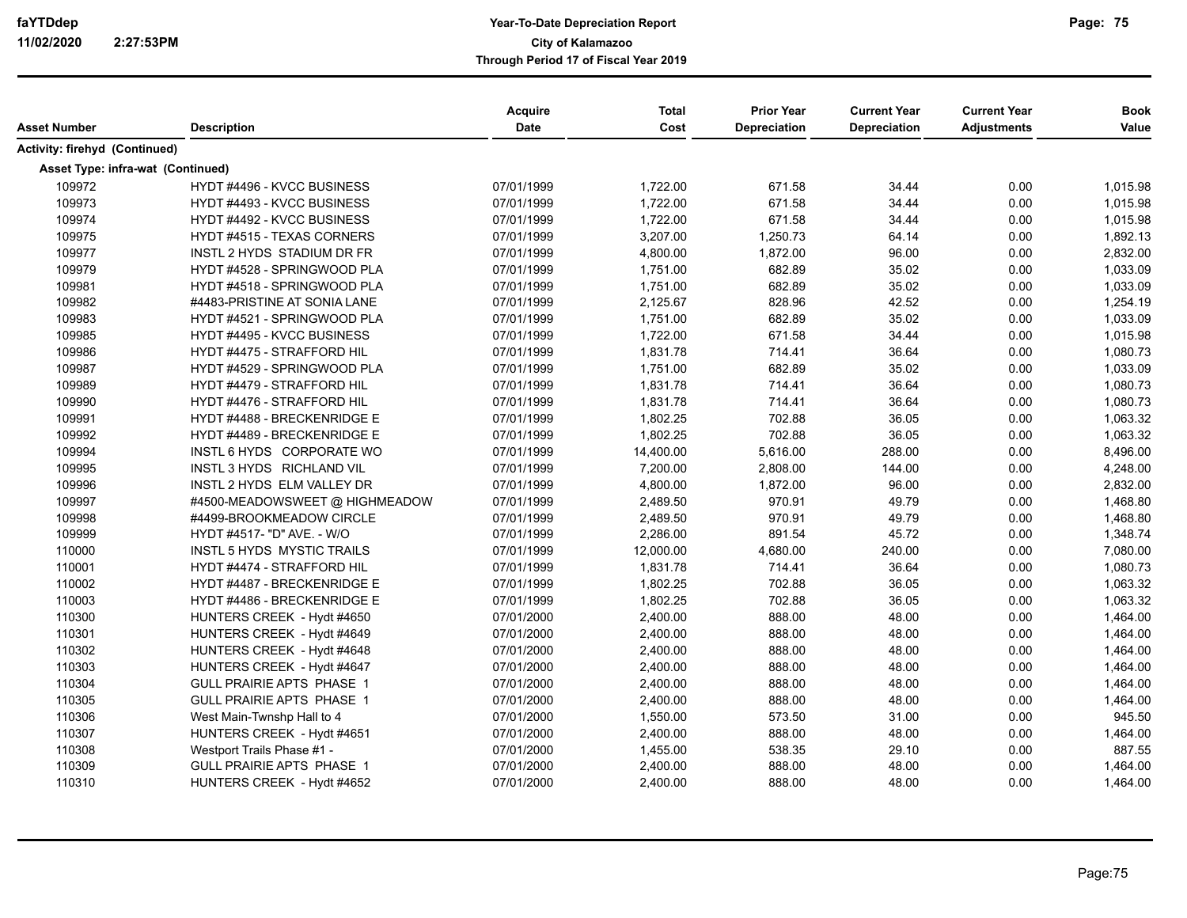| Asset Number                             | <b>Description</b>                | Acquire<br><b>Date</b> | <b>Total</b><br>Cost | <b>Prior Year</b><br><b>Depreciation</b> | <b>Current Year</b><br><b>Depreciation</b> | <b>Current Year</b><br><b>Adjustments</b> | <b>Book</b><br>Value |
|------------------------------------------|-----------------------------------|------------------------|----------------------|------------------------------------------|--------------------------------------------|-------------------------------------------|----------------------|
| Activity: firehyd (Continued)            |                                   |                        |                      |                                          |                                            |                                           |                      |
| <b>Asset Type: infra-wat (Continued)</b> |                                   |                        |                      |                                          |                                            |                                           |                      |
| 109972                                   | HYDT #4496 - KVCC BUSINESS        | 07/01/1999             | 1,722.00             | 671.58                                   | 34.44                                      | 0.00                                      | 1,015.98             |
| 109973                                   | HYDT #4493 - KVCC BUSINESS        | 07/01/1999             | 1,722.00             | 671.58                                   | 34.44                                      | 0.00                                      | 1,015.98             |
| 109974                                   | HYDT #4492 - KVCC BUSINESS        | 07/01/1999             | 1,722.00             | 671.58                                   | 34.44                                      | 0.00                                      | 1,015.98             |
| 109975                                   | HYDT #4515 - TEXAS CORNERS        | 07/01/1999             | 3,207.00             | 1,250.73                                 | 64.14                                      | 0.00                                      | 1,892.13             |
| 109977                                   | <b>INSTL 2 HYDS STADIUM DR FR</b> | 07/01/1999             | 4,800.00             | 1,872.00                                 | 96.00                                      | 0.00                                      | 2,832.00             |
| 109979                                   | HYDT #4528 - SPRINGWOOD PLA       | 07/01/1999             | 1,751.00             | 682.89                                   | 35.02                                      | 0.00                                      | 1,033.09             |
| 109981                                   | HYDT #4518 - SPRINGWOOD PLA       | 07/01/1999             | 1,751.00             | 682.89                                   | 35.02                                      | 0.00                                      | 1,033.09             |
| 109982                                   | #4483-PRISTINE AT SONIA LANE      | 07/01/1999             | 2,125.67             | 828.96                                   | 42.52                                      | 0.00                                      | 1,254.19             |
| 109983                                   | HYDT #4521 - SPRINGWOOD PLA       | 07/01/1999             | 1,751.00             | 682.89                                   | 35.02                                      | 0.00                                      | 1,033.09             |
| 109985                                   | <b>HYDT #4495 - KVCC BUSINESS</b> | 07/01/1999             | 1,722.00             | 671.58                                   | 34.44                                      | 0.00                                      | 1,015.98             |
| 109986                                   | HYDT #4475 - STRAFFORD HIL        | 07/01/1999             | 1,831.78             | 714.41                                   | 36.64                                      | 0.00                                      | 1,080.73             |
| 109987                                   | HYDT #4529 - SPRINGWOOD PLA       | 07/01/1999             | 1,751.00             | 682.89                                   | 35.02                                      | 0.00                                      | 1,033.09             |
| 109989                                   | HYDT #4479 - STRAFFORD HIL        | 07/01/1999             | 1,831.78             | 714.41                                   | 36.64                                      | 0.00                                      | 1,080.73             |
| 109990                                   | HYDT #4476 - STRAFFORD HIL        | 07/01/1999             | 1,831.78             | 714.41                                   | 36.64                                      | 0.00                                      | 1,080.73             |
| 109991                                   | HYDT #4488 - BRECKENRIDGE E       | 07/01/1999             | 1,802.25             | 702.88                                   | 36.05                                      | 0.00                                      | 1,063.32             |
| 109992                                   | HYDT #4489 - BRECKENRIDGE E       | 07/01/1999             | 1,802.25             | 702.88                                   | 36.05                                      | 0.00                                      | 1,063.32             |
| 109994                                   | INSTL 6 HYDS CORPORATE WO         | 07/01/1999             | 14,400.00            | 5,616.00                                 | 288.00                                     | 0.00                                      | 8,496.00             |
| 109995                                   | INSTL 3 HYDS RICHLAND VIL         | 07/01/1999             | 7,200.00             | 2,808.00                                 | 144.00                                     | 0.00                                      | 4,248.00             |
| 109996                                   | INSTL 2 HYDS ELM VALLEY DR        | 07/01/1999             | 4,800.00             | 1,872.00                                 | 96.00                                      | 0.00                                      | 2,832.00             |
| 109997                                   | #4500-MEADOWSWEET @ HIGHMEADOW    | 07/01/1999             | 2,489.50             | 970.91                                   | 49.79                                      | 0.00                                      | 1,468.80             |
| 109998                                   | #4499-BROOKMEADOW CIRCLE          | 07/01/1999             | 2,489.50             | 970.91                                   | 49.79                                      | 0.00                                      | 1,468.80             |
| 109999                                   | HYDT #4517- "D" AVE. - W/O        | 07/01/1999             | 2,286.00             | 891.54                                   | 45.72                                      | 0.00                                      | 1,348.74             |
| 110000                                   | <b>INSTL 5 HYDS MYSTIC TRAILS</b> | 07/01/1999             | 12,000.00            | 4,680.00                                 | 240.00                                     | 0.00                                      | 7,080.00             |
| 110001                                   | HYDT #4474 - STRAFFORD HIL        | 07/01/1999             | 1,831.78             | 714.41                                   | 36.64                                      | 0.00                                      | 1,080.73             |
| 110002                                   | HYDT #4487 - BRECKENRIDGE E       | 07/01/1999             | 1,802.25             | 702.88                                   | 36.05                                      | 0.00                                      | 1,063.32             |
| 110003                                   | HYDT #4486 - BRECKENRIDGE E       | 07/01/1999             | 1,802.25             | 702.88                                   | 36.05                                      | 0.00                                      | 1,063.32             |
| 110300                                   | HUNTERS CREEK - Hydt #4650        | 07/01/2000             | 2,400.00             | 888.00                                   | 48.00                                      | 0.00                                      | 1,464.00             |
| 110301                                   | HUNTERS CREEK - Hydt #4649        | 07/01/2000             | 2,400.00             | 888.00                                   | 48.00                                      | 0.00                                      | 1,464.00             |
| 110302                                   | HUNTERS CREEK - Hydt #4648        | 07/01/2000             | 2,400.00             | 888.00                                   | 48.00                                      | 0.00                                      | 1,464.00             |
| 110303                                   | HUNTERS CREEK - Hydt #4647        | 07/01/2000             | 2,400.00             | 888.00                                   | 48.00                                      | 0.00                                      | 1,464.00             |
| 110304                                   | GULL PRAIRIE APTS PHASE 1         | 07/01/2000             | 2,400.00             | 888.00                                   | 48.00                                      | 0.00                                      | 1,464.00             |
| 110305                                   | GULL PRAIRIE APTS PHASE 1         | 07/01/2000             | 2,400.00             | 888.00                                   | 48.00                                      | 0.00                                      | 1,464.00             |
| 110306                                   | West Main-Twnshp Hall to 4        | 07/01/2000             | 1,550.00             | 573.50                                   | 31.00                                      | 0.00                                      | 945.50               |
| 110307                                   | HUNTERS CREEK - Hydt #4651        | 07/01/2000             | 2,400.00             | 888.00                                   | 48.00                                      | 0.00                                      | 1,464.00             |
| 110308                                   | Westport Trails Phase #1 -        | 07/01/2000             | 1,455.00             | 538.35                                   | 29.10                                      | 0.00                                      | 887.55               |
| 110309                                   | GULL PRAIRIE APTS PHASE 1         | 07/01/2000             | 2,400.00             | 888.00                                   | 48.00                                      | 0.00                                      | 1,464.00             |
| 110310                                   | HUNTERS CREEK - Hydt #4652        | 07/01/2000             | 2,400.00             | 888.00                                   | 48.00                                      | 0.00                                      | 1,464.00             |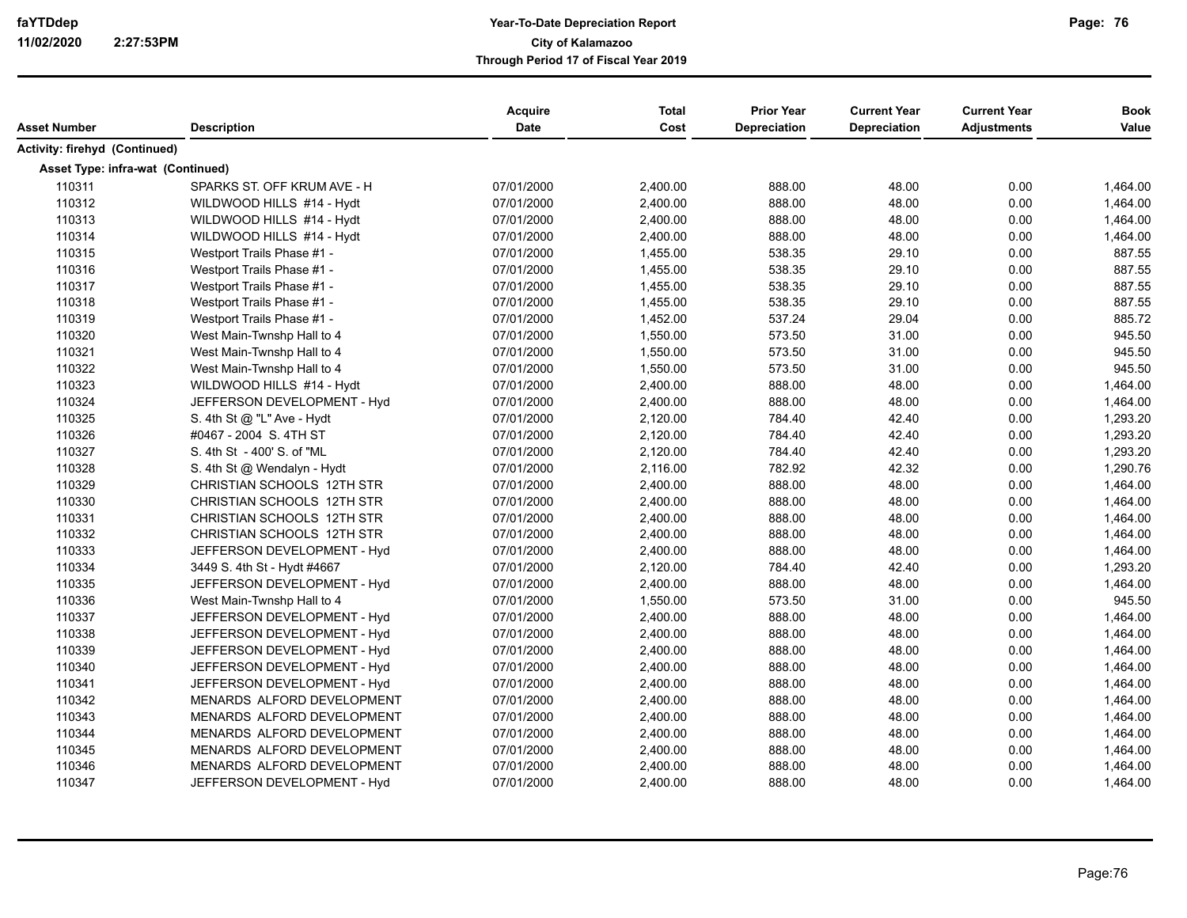| Asset Number                      | <b>Description</b>          | Acquire<br>Date | <b>Total</b><br>Cost | <b>Prior Year</b><br>Depreciation | <b>Current Year</b><br>Depreciation | <b>Current Year</b><br><b>Adjustments</b> | <b>Book</b><br>Value |
|-----------------------------------|-----------------------------|-----------------|----------------------|-----------------------------------|-------------------------------------|-------------------------------------------|----------------------|
| Activity: firehyd (Continued)     |                             |                 |                      |                                   |                                     |                                           |                      |
| Asset Type: infra-wat (Continued) |                             |                 |                      |                                   |                                     |                                           |                      |
| 110311                            | SPARKS ST. OFF KRUM AVE - H | 07/01/2000      | 2,400.00             | 888.00                            | 48.00                               | 0.00                                      | 1,464.00             |
| 110312                            | WILDWOOD HILLS #14 - Hydt   | 07/01/2000      | 2,400.00             | 888.00                            | 48.00                               | 0.00                                      | 1,464.00             |
| 110313                            | WILDWOOD HILLS #14 - Hydt   | 07/01/2000      | 2,400.00             | 888.00                            | 48.00                               | 0.00                                      | 1,464.00             |
| 110314                            | WILDWOOD HILLS #14 - Hydt   | 07/01/2000      | 2,400.00             | 888.00                            | 48.00                               | 0.00                                      | 1,464.00             |
| 110315                            | Westport Trails Phase #1 -  | 07/01/2000      | 1,455.00             | 538.35                            | 29.10                               | 0.00                                      | 887.55               |
| 110316                            | Westport Trails Phase #1 -  | 07/01/2000      | 1,455.00             | 538.35                            | 29.10                               | 0.00                                      | 887.55               |
| 110317                            | Westport Trails Phase #1 -  | 07/01/2000      | 1,455.00             | 538.35                            | 29.10                               | 0.00                                      | 887.55               |
| 110318                            | Westport Trails Phase #1 -  | 07/01/2000      | 1,455.00             | 538.35                            | 29.10                               | 0.00                                      | 887.55               |
| 110319                            | Westport Trails Phase #1 -  | 07/01/2000      | 1,452.00             | 537.24                            | 29.04                               | 0.00                                      | 885.72               |
| 110320                            | West Main-Twnshp Hall to 4  | 07/01/2000      | 1,550.00             | 573.50                            | 31.00                               | 0.00                                      | 945.50               |
| 110321                            | West Main-Twnshp Hall to 4  | 07/01/2000      | 1,550.00             | 573.50                            | 31.00                               | 0.00                                      | 945.50               |
| 110322                            | West Main-Twnshp Hall to 4  | 07/01/2000      | 1,550.00             | 573.50                            | 31.00                               | 0.00                                      | 945.50               |
| 110323                            | WILDWOOD HILLS #14 - Hydt   | 07/01/2000      | 2,400.00             | 888.00                            | 48.00                               | 0.00                                      | 1,464.00             |
| 110324                            | JEFFERSON DEVELOPMENT - Hyd | 07/01/2000      | 2,400.00             | 888.00                            | 48.00                               | 0.00                                      | 1,464.00             |
| 110325                            | S. 4th St @ "L" Ave - Hydt  | 07/01/2000      | 2,120.00             | 784.40                            | 42.40                               | 0.00                                      | 1,293.20             |
| 110326                            | #0467 - 2004 S. 4TH ST      | 07/01/2000      | 2,120.00             | 784.40                            | 42.40                               | 0.00                                      | 1,293.20             |
| 110327                            | S. 4th St - 400' S. of "ML  | 07/01/2000      | 2,120.00             | 784.40                            | 42.40                               | 0.00                                      | 1,293.20             |
| 110328                            | S. 4th St @ Wendalyn - Hydt | 07/01/2000      | 2,116.00             | 782.92                            | 42.32                               | 0.00                                      | 1,290.76             |
| 110329                            | CHRISTIAN SCHOOLS 12TH STR  | 07/01/2000      | 2,400.00             | 888.00                            | 48.00                               | 0.00                                      | 1,464.00             |
| 110330                            | CHRISTIAN SCHOOLS 12TH STR  | 07/01/2000      | 2,400.00             | 888.00                            | 48.00                               | 0.00                                      | 1,464.00             |
| 110331                            | CHRISTIAN SCHOOLS 12TH STR  | 07/01/2000      | 2,400.00             | 888.00                            | 48.00                               | 0.00                                      | 1,464.00             |
| 110332                            | CHRISTIAN SCHOOLS 12TH STR  | 07/01/2000      | 2,400.00             | 888.00                            | 48.00                               | 0.00                                      | 1,464.00             |
| 110333                            | JEFFERSON DEVELOPMENT - Hyd | 07/01/2000      | 2,400.00             | 888.00                            | 48.00                               | 0.00                                      | 1,464.00             |
| 110334                            | 3449 S. 4th St - Hydt #4667 | 07/01/2000      | 2,120.00             | 784.40                            | 42.40                               | 0.00                                      | 1,293.20             |
| 110335                            | JEFFERSON DEVELOPMENT - Hyd | 07/01/2000      | 2,400.00             | 888.00                            | 48.00                               | 0.00                                      | 1,464.00             |
| 110336                            | West Main-Twnshp Hall to 4  | 07/01/2000      | 1,550.00             | 573.50                            | 31.00                               | 0.00                                      | 945.50               |
| 110337                            | JEFFERSON DEVELOPMENT - Hyd | 07/01/2000      | 2,400.00             | 888.00                            | 48.00                               | 0.00                                      | 1,464.00             |
| 110338                            | JEFFERSON DEVELOPMENT - Hyd | 07/01/2000      | 2,400.00             | 888.00                            | 48.00                               | 0.00                                      | 1,464.00             |
| 110339                            | JEFFERSON DEVELOPMENT - Hyd | 07/01/2000      | 2,400.00             | 888.00                            | 48.00                               | 0.00                                      | 1,464.00             |
| 110340                            | JEFFERSON DEVELOPMENT - Hyd | 07/01/2000      | 2,400.00             | 888.00                            | 48.00                               | 0.00                                      | 1,464.00             |
| 110341                            | JEFFERSON DEVELOPMENT - Hyd | 07/01/2000      | 2,400.00             | 888.00                            | 48.00                               | 0.00                                      | 1,464.00             |
| 110342                            | MENARDS ALFORD DEVELOPMENT  | 07/01/2000      | 2,400.00             | 888.00                            | 48.00                               | 0.00                                      | 1,464.00             |
| 110343                            | MENARDS ALFORD DEVELOPMENT  | 07/01/2000      | 2,400.00             | 888.00                            | 48.00                               | 0.00                                      | 1,464.00             |
| 110344                            | MENARDS ALFORD DEVELOPMENT  | 07/01/2000      | 2,400.00             | 888.00                            | 48.00                               | 0.00                                      | 1,464.00             |
| 110345                            | MENARDS ALFORD DEVELOPMENT  | 07/01/2000      | 2,400.00             | 888.00                            | 48.00                               | 0.00                                      | 1,464.00             |
| 110346                            | MENARDS ALFORD DEVELOPMENT  | 07/01/2000      | 2,400.00             | 888.00                            | 48.00                               | 0.00                                      | 1,464.00             |
| 110347                            | JEFFERSON DEVELOPMENT - Hyd | 07/01/2000      | 2,400.00             | 888.00                            | 48.00                               | 0.00                                      | 1,464.00             |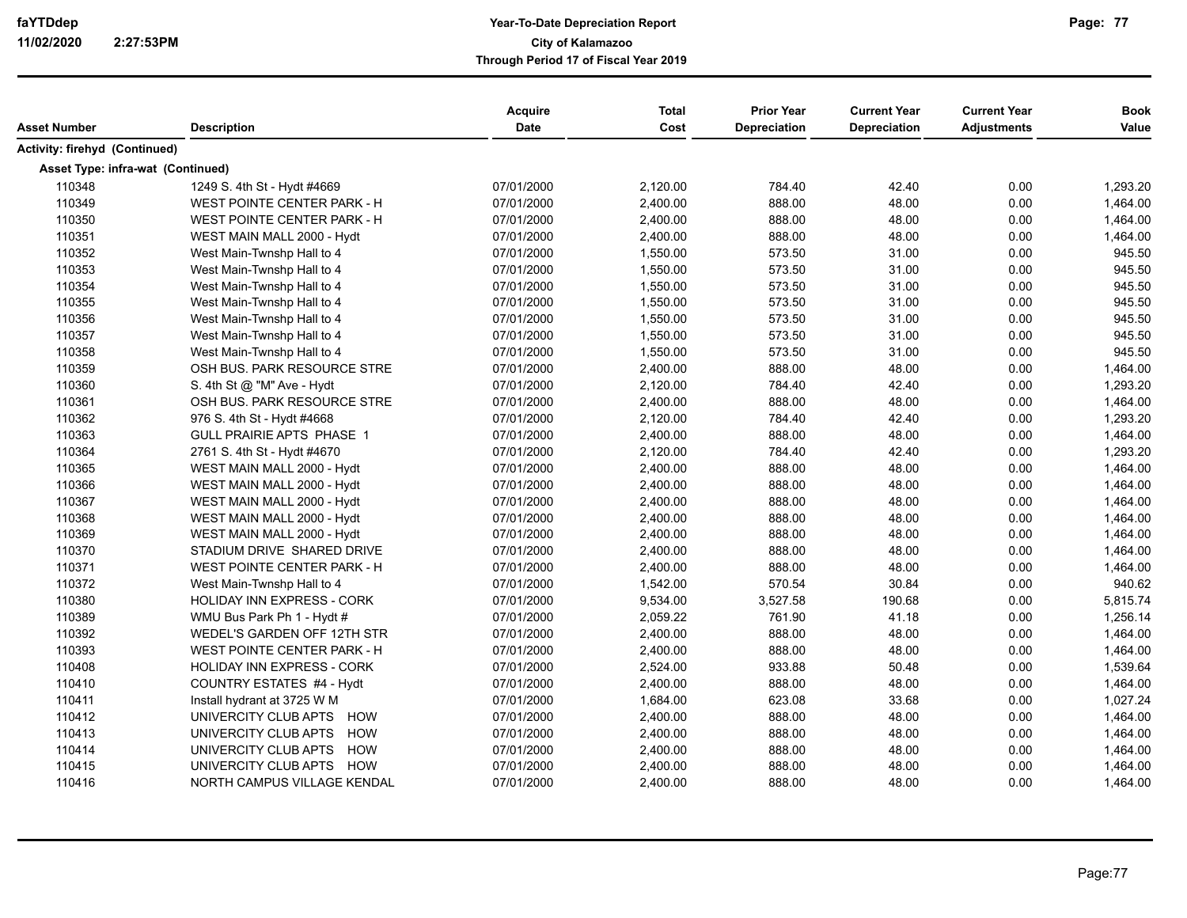| Asset Number                      | <b>Description</b>                 | Acquire<br>Date | <b>Total</b><br>Cost | <b>Prior Year</b><br>Depreciation | <b>Current Year</b><br><b>Depreciation</b> | <b>Current Year</b><br><b>Adjustments</b> | <b>Book</b><br>Value |
|-----------------------------------|------------------------------------|-----------------|----------------------|-----------------------------------|--------------------------------------------|-------------------------------------------|----------------------|
| Activity: firehyd (Continued)     |                                    |                 |                      |                                   |                                            |                                           |                      |
| Asset Type: infra-wat (Continued) |                                    |                 |                      |                                   |                                            |                                           |                      |
| 110348                            | 1249 S. 4th St - Hydt #4669        | 07/01/2000      | 2,120.00             | 784.40                            | 42.40                                      | 0.00                                      | 1,293.20             |
| 110349                            | WEST POINTE CENTER PARK - H        | 07/01/2000      | 2,400.00             | 888.00                            | 48.00                                      | 0.00                                      | 1,464.00             |
| 110350                            | <b>WEST POINTE CENTER PARK - H</b> | 07/01/2000      | 2,400.00             | 888.00                            | 48.00                                      | 0.00                                      | 1,464.00             |
| 110351                            | WEST MAIN MALL 2000 - Hydt         | 07/01/2000      | 2,400.00             | 888.00                            | 48.00                                      | 0.00                                      | 1,464.00             |
| 110352                            | West Main-Twnshp Hall to 4         | 07/01/2000      | 1,550.00             | 573.50                            | 31.00                                      | 0.00                                      | 945.50               |
| 110353                            | West Main-Twnshp Hall to 4         | 07/01/2000      | 1,550.00             | 573.50                            | 31.00                                      | 0.00                                      | 945.50               |
| 110354                            | West Main-Twnshp Hall to 4         | 07/01/2000      | 1,550.00             | 573.50                            | 31.00                                      | 0.00                                      | 945.50               |
| 110355                            | West Main-Twnshp Hall to 4         | 07/01/2000      | 1,550.00             | 573.50                            | 31.00                                      | 0.00                                      | 945.50               |
| 110356                            | West Main-Twnshp Hall to 4         | 07/01/2000      | 1,550.00             | 573.50                            | 31.00                                      | 0.00                                      | 945.50               |
| 110357                            | West Main-Twnshp Hall to 4         | 07/01/2000      | 1,550.00             | 573.50                            | 31.00                                      | 0.00                                      | 945.50               |
| 110358                            | West Main-Twnshp Hall to 4         | 07/01/2000      | 1,550.00             | 573.50                            | 31.00                                      | 0.00                                      | 945.50               |
| 110359                            | OSH BUS. PARK RESOURCE STRE        | 07/01/2000      | 2,400.00             | 888.00                            | 48.00                                      | 0.00                                      | 1,464.00             |
| 110360                            | S. 4th St @ "M" Ave - Hydt         | 07/01/2000      | 2,120.00             | 784.40                            | 42.40                                      | 0.00                                      | 1,293.20             |
| 110361                            | OSH BUS. PARK RESOURCE STRE        | 07/01/2000      | 2,400.00             | 888.00                            | 48.00                                      | 0.00                                      | 1,464.00             |
| 110362                            | 976 S. 4th St - Hydt #4668         | 07/01/2000      | 2,120.00             | 784.40                            | 42.40                                      | 0.00                                      | 1,293.20             |
| 110363                            | <b>GULL PRAIRIE APTS PHASE 1</b>   | 07/01/2000      | 2,400.00             | 888.00                            | 48.00                                      | 0.00                                      | 1,464.00             |
| 110364                            | 2761 S. 4th St - Hydt #4670        | 07/01/2000      | 2,120.00             | 784.40                            | 42.40                                      | 0.00                                      | 1,293.20             |
| 110365                            | WEST MAIN MALL 2000 - Hydt         | 07/01/2000      | 2,400.00             | 888.00                            | 48.00                                      | 0.00                                      | 1,464.00             |
| 110366                            | WEST MAIN MALL 2000 - Hydt         | 07/01/2000      | 2,400.00             | 888.00                            | 48.00                                      | 0.00                                      | 1,464.00             |
| 110367                            | WEST MAIN MALL 2000 - Hydt         | 07/01/2000      | 2,400.00             | 888.00                            | 48.00                                      | 0.00                                      | 1,464.00             |
| 110368                            | WEST MAIN MALL 2000 - Hydt         | 07/01/2000      | 2,400.00             | 888.00                            | 48.00                                      | 0.00                                      | 1,464.00             |
| 110369                            | WEST MAIN MALL 2000 - Hydt         | 07/01/2000      | 2,400.00             | 888.00                            | 48.00                                      | 0.00                                      | 1,464.00             |
| 110370                            | STADIUM DRIVE SHARED DRIVE         | 07/01/2000      | 2,400.00             | 888.00                            | 48.00                                      | 0.00                                      | 1,464.00             |
| 110371                            | <b>WEST POINTE CENTER PARK - H</b> | 07/01/2000      | 2,400.00             | 888.00                            | 48.00                                      | 0.00                                      | 1,464.00             |
| 110372                            | West Main-Twnshp Hall to 4         | 07/01/2000      | 1,542.00             | 570.54                            | 30.84                                      | 0.00                                      | 940.62               |
| 110380                            | HOLIDAY INN EXPRESS - CORK         | 07/01/2000      | 9,534.00             | 3,527.58                          | 190.68                                     | 0.00                                      | 5,815.74             |
| 110389                            | WMU Bus Park Ph 1 - Hydt #         | 07/01/2000      | 2,059.22             | 761.90                            | 41.18                                      | 0.00                                      | 1,256.14             |
| 110392                            | WEDEL'S GARDEN OFF 12TH STR        | 07/01/2000      | 2,400.00             | 888.00                            | 48.00                                      | 0.00                                      | 1,464.00             |
| 110393                            | <b>WEST POINTE CENTER PARK - H</b> | 07/01/2000      | 2,400.00             | 888.00                            | 48.00                                      | 0.00                                      | 1,464.00             |
| 110408                            | HOLIDAY INN EXPRESS - CORK         | 07/01/2000      | 2,524.00             | 933.88                            | 50.48                                      | 0.00                                      | 1,539.64             |
| 110410                            | COUNTRY ESTATES #4 - Hydt          | 07/01/2000      | 2,400.00             | 888.00                            | 48.00                                      | 0.00                                      | 1,464.00             |
| 110411                            | Install hydrant at 3725 W M        | 07/01/2000      | 1,684.00             | 623.08                            | 33.68                                      | 0.00                                      | 1,027.24             |
| 110412                            | UNIVERCITY CLUB APTS HOW           | 07/01/2000      | 2,400.00             | 888.00                            | 48.00                                      | 0.00                                      | 1,464.00             |
| 110413                            | UNIVERCITY CLUB APTS HOW           | 07/01/2000      | 2,400.00             | 888.00                            | 48.00                                      | 0.00                                      | 1,464.00             |
| 110414                            | UNIVERCITY CLUB APTS HOW           | 07/01/2000      | 2,400.00             | 888.00                            | 48.00                                      | 0.00                                      | 1,464.00             |
| 110415                            | UNIVERCITY CLUB APTS HOW           | 07/01/2000      | 2,400.00             | 888.00                            | 48.00                                      | 0.00                                      | 1,464.00             |
| 110416                            | NORTH CAMPUS VILLAGE KENDAL        | 07/01/2000      | 2,400.00             | 888.00                            | 48.00                                      | 0.00                                      | 1,464.00             |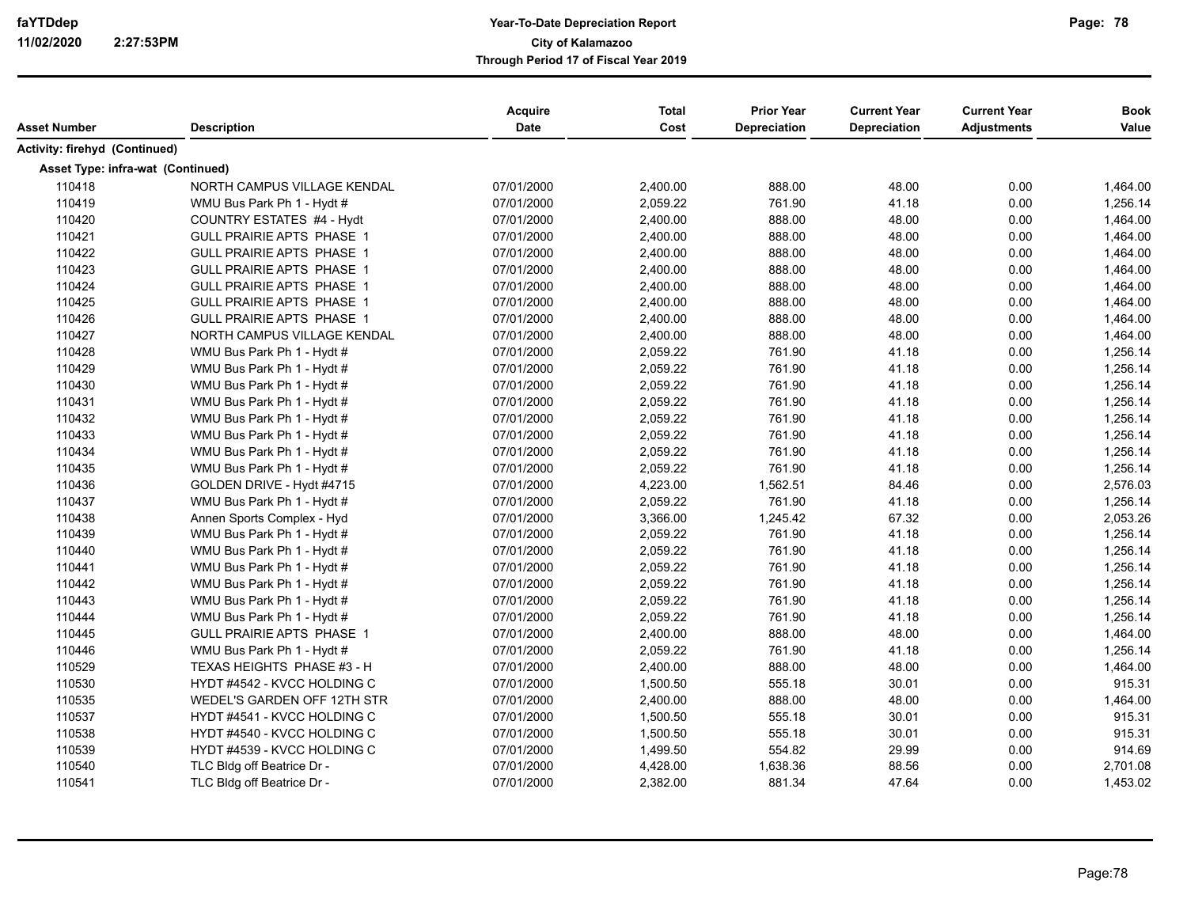| Asset Number                      | <b>Description</b>               | <b>Acquire</b><br><b>Date</b> | <b>Total</b><br>Cost | <b>Prior Year</b><br><b>Depreciation</b> | <b>Current Year</b><br><b>Depreciation</b> | <b>Current Year</b><br><b>Adjustments</b> | <b>Book</b><br>Value |
|-----------------------------------|----------------------------------|-------------------------------|----------------------|------------------------------------------|--------------------------------------------|-------------------------------------------|----------------------|
| Activity: firehyd (Continued)     |                                  |                               |                      |                                          |                                            |                                           |                      |
| Asset Type: infra-wat (Continued) |                                  |                               |                      |                                          |                                            |                                           |                      |
| 110418                            | NORTH CAMPUS VILLAGE KENDAL      | 07/01/2000                    | 2,400.00             | 888.00                                   | 48.00                                      | 0.00                                      | 1,464.00             |
| 110419                            | WMU Bus Park Ph 1 - Hydt #       | 07/01/2000                    | 2,059.22             | 761.90                                   | 41.18                                      | 0.00                                      | 1,256.14             |
| 110420                            | COUNTRY ESTATES #4 - Hydt        | 07/01/2000                    | 2,400.00             | 888.00                                   | 48.00                                      | 0.00                                      | 1,464.00             |
| 110421                            | <b>GULL PRAIRIE APTS PHASE 1</b> | 07/01/2000                    | 2,400.00             | 888.00                                   | 48.00                                      | 0.00                                      | 1,464.00             |
| 110422                            | GULL PRAIRIE APTS PHASE 1        | 07/01/2000                    | 2,400.00             | 888.00                                   | 48.00                                      | 0.00                                      | 1,464.00             |
| 110423                            | GULL PRAIRIE APTS PHASE 1        | 07/01/2000                    | 2,400.00             | 888.00                                   | 48.00                                      | 0.00                                      | 1,464.00             |
| 110424                            | GULL PRAIRIE APTS PHASE 1        | 07/01/2000                    | 2,400.00             | 888.00                                   | 48.00                                      | 0.00                                      | 1,464.00             |
| 110425                            | GULL PRAIRIE APTS PHASE 1        | 07/01/2000                    | 2,400.00             | 888.00                                   | 48.00                                      | 0.00                                      | 1,464.00             |
| 110426                            | <b>GULL PRAIRIE APTS PHASE 1</b> | 07/01/2000                    | 2,400.00             | 888.00                                   | 48.00                                      | 0.00                                      | 1,464.00             |
| 110427                            | NORTH CAMPUS VILLAGE KENDAL      | 07/01/2000                    | 2,400.00             | 888.00                                   | 48.00                                      | 0.00                                      | 1,464.00             |
| 110428                            | WMU Bus Park Ph 1 - Hydt #       | 07/01/2000                    | 2,059.22             | 761.90                                   | 41.18                                      | 0.00                                      | 1,256.14             |
| 110429                            | WMU Bus Park Ph 1 - Hydt #       | 07/01/2000                    | 2,059.22             | 761.90                                   | 41.18                                      | 0.00                                      | 1,256.14             |
| 110430                            | WMU Bus Park Ph 1 - Hydt #       | 07/01/2000                    | 2,059.22             | 761.90                                   | 41.18                                      | 0.00                                      | 1,256.14             |
| 110431                            | WMU Bus Park Ph 1 - Hydt #       | 07/01/2000                    | 2,059.22             | 761.90                                   | 41.18                                      | 0.00                                      | 1,256.14             |
| 110432                            | WMU Bus Park Ph 1 - Hydt #       | 07/01/2000                    | 2,059.22             | 761.90                                   | 41.18                                      | 0.00                                      | 1,256.14             |
| 110433                            | WMU Bus Park Ph 1 - Hydt #       | 07/01/2000                    | 2,059.22             | 761.90                                   | 41.18                                      | 0.00                                      | 1,256.14             |
| 110434                            | WMU Bus Park Ph 1 - Hydt #       | 07/01/2000                    | 2,059.22             | 761.90                                   | 41.18                                      | 0.00                                      | 1,256.14             |
| 110435                            | WMU Bus Park Ph 1 - Hydt #       | 07/01/2000                    | 2,059.22             | 761.90                                   | 41.18                                      | 0.00                                      | 1,256.14             |
| 110436                            | GOLDEN DRIVE - Hydt #4715        | 07/01/2000                    | 4,223.00             | 1,562.51                                 | 84.46                                      | 0.00                                      | 2,576.03             |
| 110437                            | WMU Bus Park Ph 1 - Hydt #       | 07/01/2000                    | 2,059.22             | 761.90                                   | 41.18                                      | 0.00                                      | 1,256.14             |
| 110438                            | Annen Sports Complex - Hyd       | 07/01/2000                    | 3,366.00             | 1,245.42                                 | 67.32                                      | 0.00                                      | 2,053.26             |
| 110439                            | WMU Bus Park Ph 1 - Hydt #       | 07/01/2000                    | 2,059.22             | 761.90                                   | 41.18                                      | 0.00                                      | 1,256.14             |
| 110440                            | WMU Bus Park Ph 1 - Hydt #       | 07/01/2000                    | 2,059.22             | 761.90                                   | 41.18                                      | 0.00                                      | 1,256.14             |
| 110441                            | WMU Bus Park Ph 1 - Hydt #       | 07/01/2000                    | 2,059.22             | 761.90                                   | 41.18                                      | 0.00                                      | 1,256.14             |
| 110442                            | WMU Bus Park Ph 1 - Hydt #       | 07/01/2000                    | 2,059.22             | 761.90                                   | 41.18                                      | 0.00                                      | 1,256.14             |
| 110443                            | WMU Bus Park Ph 1 - Hydt #       | 07/01/2000                    | 2,059.22             | 761.90                                   | 41.18                                      | 0.00                                      | 1,256.14             |
| 110444                            | WMU Bus Park Ph 1 - Hydt #       | 07/01/2000                    | 2,059.22             | 761.90                                   | 41.18                                      | 0.00                                      | 1,256.14             |
| 110445                            | GULL PRAIRIE APTS PHASE 1        | 07/01/2000                    | 2,400.00             | 888.00                                   | 48.00                                      | 0.00                                      | 1,464.00             |
| 110446                            | WMU Bus Park Ph 1 - Hydt #       | 07/01/2000                    | 2,059.22             | 761.90                                   | 41.18                                      | 0.00                                      | 1,256.14             |
| 110529                            | TEXAS HEIGHTS PHASE #3 - H       | 07/01/2000                    | 2,400.00             | 888.00                                   | 48.00                                      | 0.00                                      | 1,464.00             |
| 110530                            | HYDT #4542 - KVCC HOLDING C      | 07/01/2000                    | 1,500.50             | 555.18                                   | 30.01                                      | 0.00                                      | 915.31               |
| 110535                            | WEDEL'S GARDEN OFF 12TH STR      | 07/01/2000                    | 2,400.00             | 888.00                                   | 48.00                                      | 0.00                                      | 1,464.00             |
| 110537                            | HYDT #4541 - KVCC HOLDING C      | 07/01/2000                    | 1,500.50             | 555.18                                   | 30.01                                      | 0.00                                      | 915.31               |
| 110538                            | HYDT #4540 - KVCC HOLDING C      | 07/01/2000                    | 1,500.50             | 555.18                                   | 30.01                                      | 0.00                                      | 915.31               |
| 110539                            | HYDT #4539 - KVCC HOLDING C      | 07/01/2000                    | 1,499.50             | 554.82                                   | 29.99                                      | 0.00                                      | 914.69               |
| 110540                            | TLC Bldg off Beatrice Dr -       | 07/01/2000                    | 4,428.00             | 1,638.36                                 | 88.56                                      | 0.00                                      | 2,701.08             |
| 110541                            | TLC Bldg off Beatrice Dr -       | 07/01/2000                    | 2,382.00             | 881.34                                   | 47.64                                      | 0.00                                      | 1,453.02             |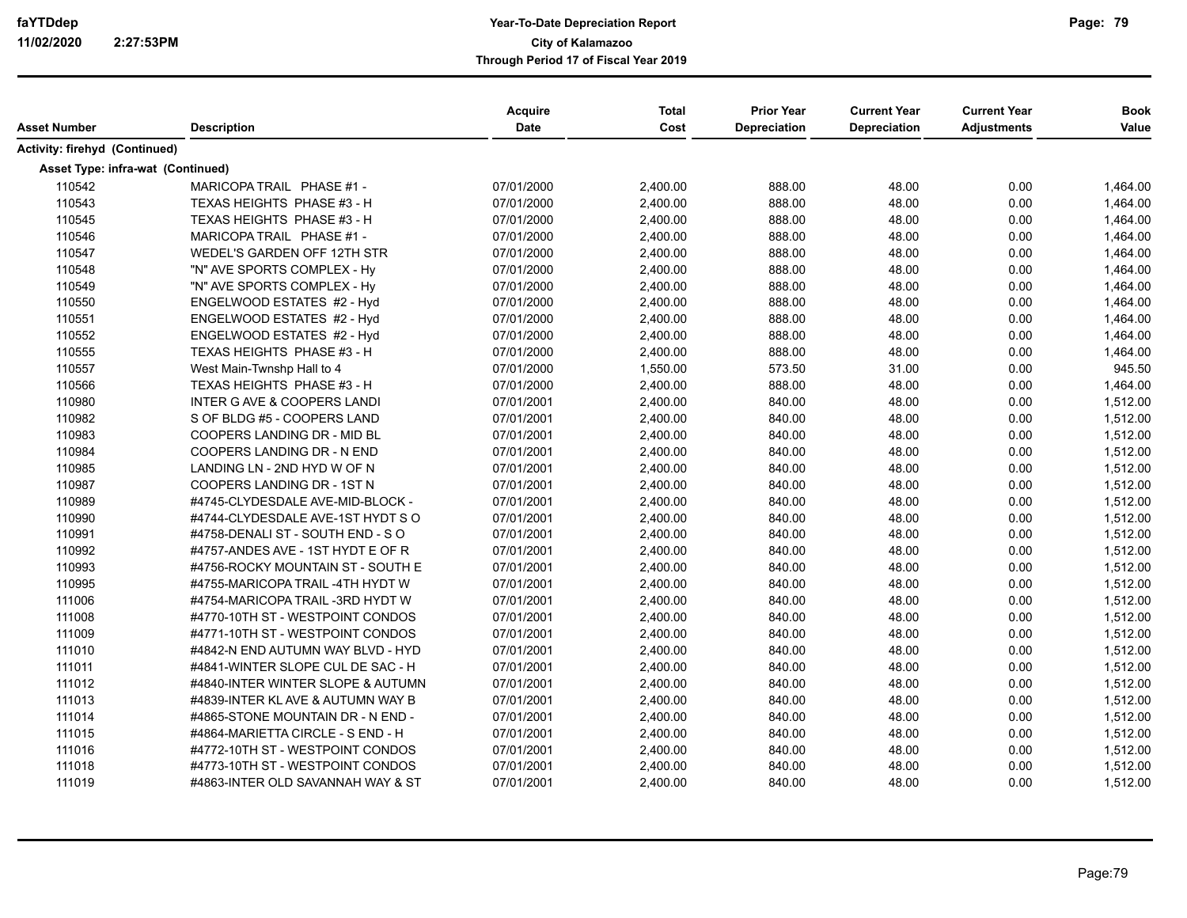# **Year-To-Date Depreciation Report faYTDdep Page: City of Kalamazoo Through Period 17 of Fiscal Year 2019**

| Asset Number                      | <b>Description</b>                     | Acquire<br>Date | <b>Total</b><br>Cost | <b>Prior Year</b><br><b>Depreciation</b> | <b>Current Year</b><br><b>Depreciation</b> | <b>Current Year</b><br><b>Adjustments</b> | <b>Book</b><br>Value |
|-----------------------------------|----------------------------------------|-----------------|----------------------|------------------------------------------|--------------------------------------------|-------------------------------------------|----------------------|
| Activity: firehyd (Continued)     |                                        |                 |                      |                                          |                                            |                                           |                      |
| Asset Type: infra-wat (Continued) |                                        |                 |                      |                                          |                                            |                                           |                      |
| 110542                            | MARICOPA TRAIL PHASE #1 -              | 07/01/2000      | 2,400.00             | 888.00                                   | 48.00                                      | 0.00                                      | 1,464.00             |
| 110543                            | TEXAS HEIGHTS PHASE #3 - H             | 07/01/2000      | 2,400.00             | 888.00                                   | 48.00                                      | 0.00                                      | 1,464.00             |
| 110545                            | TEXAS HEIGHTS PHASE #3 - H             | 07/01/2000      | 2,400.00             | 888.00                                   | 48.00                                      | 0.00                                      | 1,464.00             |
| 110546                            | MARICOPA TRAIL PHASE #1 -              | 07/01/2000      | 2,400.00             | 888.00                                   | 48.00                                      | 0.00                                      | 1,464.00             |
| 110547                            | WEDEL'S GARDEN OFF 12TH STR            | 07/01/2000      | 2,400.00             | 888.00                                   | 48.00                                      | 0.00                                      | 1,464.00             |
| 110548                            | "N" AVE SPORTS COMPLEX - Hy            | 07/01/2000      | 2,400.00             | 888.00                                   | 48.00                                      | 0.00                                      | 1,464.00             |
| 110549                            | "N" AVE SPORTS COMPLEX - Hy            | 07/01/2000      | 2,400.00             | 888.00                                   | 48.00                                      | 0.00                                      | 1,464.00             |
| 110550                            | ENGELWOOD ESTATES #2 - Hyd             | 07/01/2000      | 2,400.00             | 888.00                                   | 48.00                                      | 0.00                                      | 1,464.00             |
| 110551                            | ENGELWOOD ESTATES #2 - Hyd             | 07/01/2000      | 2,400.00             | 888.00                                   | 48.00                                      | 0.00                                      | 1,464.00             |
| 110552                            | ENGELWOOD ESTATES #2 - Hyd             | 07/01/2000      | 2,400.00             | 888.00                                   | 48.00                                      | 0.00                                      | 1,464.00             |
| 110555                            | TEXAS HEIGHTS PHASE #3 - H             | 07/01/2000      | 2,400.00             | 888.00                                   | 48.00                                      | 0.00                                      | 1,464.00             |
| 110557                            | West Main-Twnshp Hall to 4             | 07/01/2000      | 1,550.00             | 573.50                                   | 31.00                                      | 0.00                                      | 945.50               |
| 110566                            | TEXAS HEIGHTS PHASE #3 - H             | 07/01/2000      | 2,400.00             | 888.00                                   | 48.00                                      | 0.00                                      | 1,464.00             |
| 110980                            | <b>INTER G AVE &amp; COOPERS LANDI</b> | 07/01/2001      | 2,400.00             | 840.00                                   | 48.00                                      | 0.00                                      | 1,512.00             |
| 110982                            | S OF BLDG #5 - COOPERS LAND            | 07/01/2001      | 2,400.00             | 840.00                                   | 48.00                                      | 0.00                                      | 1,512.00             |
| 110983                            | COOPERS LANDING DR - MID BL            | 07/01/2001      | 2,400.00             | 840.00                                   | 48.00                                      | 0.00                                      | 1,512.00             |
| 110984                            | COOPERS LANDING DR - N END             | 07/01/2001      | 2,400.00             | 840.00                                   | 48.00                                      | 0.00                                      | 1,512.00             |
| 110985                            | LANDING LN - 2ND HYD W OF N            | 07/01/2001      | 2,400.00             | 840.00                                   | 48.00                                      | 0.00                                      | 1,512.00             |
| 110987                            | COOPERS LANDING DR - 1ST N             | 07/01/2001      | 2,400.00             | 840.00                                   | 48.00                                      | 0.00                                      | 1,512.00             |
| 110989                            | #4745-CLYDESDALE AVE-MID-BLOCK -       | 07/01/2001      | 2,400.00             | 840.00                                   | 48.00                                      | 0.00                                      | 1,512.00             |
| 110990                            | #4744-CLYDESDALE AVE-1ST HYDT SO       | 07/01/2001      | 2,400.00             | 840.00                                   | 48.00                                      | 0.00                                      | 1,512.00             |
| 110991                            | #4758-DENALI ST - SOUTH END - SO       | 07/01/2001      | 2,400.00             | 840.00                                   | 48.00                                      | 0.00                                      | 1,512.00             |
| 110992                            | #4757-ANDES AVE - 1ST HYDT E OF R      | 07/01/2001      | 2,400.00             | 840.00                                   | 48.00                                      | 0.00                                      | 1,512.00             |
| 110993                            | #4756-ROCKY MOUNTAIN ST - SOUTH E      | 07/01/2001      | 2,400.00             | 840.00                                   | 48.00                                      | 0.00                                      | 1,512.00             |
| 110995                            | #4755-MARICOPA TRAIL -4TH HYDT W       | 07/01/2001      | 2,400.00             | 840.00                                   | 48.00                                      | 0.00                                      | 1,512.00             |
| 111006                            | #4754-MARICOPA TRAIL -3RD HYDT W       | 07/01/2001      | 2,400.00             | 840.00                                   | 48.00                                      | 0.00                                      | 1,512.00             |
| 111008                            | #4770-10TH ST - WESTPOINT CONDOS       | 07/01/2001      | 2,400.00             | 840.00                                   | 48.00                                      | 0.00                                      | 1,512.00             |
| 111009                            | #4771-10TH ST - WESTPOINT CONDOS       | 07/01/2001      | 2,400.00             | 840.00                                   | 48.00                                      | 0.00                                      | 1,512.00             |
| 111010                            | #4842-N END AUTUMN WAY BLVD - HYD      | 07/01/2001      | 2,400.00             | 840.00                                   | 48.00                                      | 0.00                                      | 1,512.00             |
| 111011                            | #4841-WINTER SLOPE CUL DE SAC - H      | 07/01/2001      | 2,400.00             | 840.00                                   | 48.00                                      | 0.00                                      | 1,512.00             |
| 111012                            | #4840-INTER WINTER SLOPE & AUTUMN      | 07/01/2001      | 2,400.00             | 840.00                                   | 48.00                                      | 0.00                                      | 1,512.00             |
| 111013                            | #4839-INTER KL AVE & AUTUMN WAY B      | 07/01/2001      | 2,400.00             | 840.00                                   | 48.00                                      | 0.00                                      | 1,512.00             |
| 111014                            | #4865-STONE MOUNTAIN DR - N END -      | 07/01/2001      | 2,400.00             | 840.00                                   | 48.00                                      | 0.00                                      | 1,512.00             |
| 111015                            | #4864-MARIETTA CIRCLE - S END - H      | 07/01/2001      | 2,400.00             | 840.00                                   | 48.00                                      | 0.00                                      | 1,512.00             |
| 111016                            | #4772-10TH ST - WESTPOINT CONDOS       | 07/01/2001      | 2,400.00             | 840.00                                   | 48.00                                      | 0.00                                      | 1,512.00             |
| 111018                            | #4773-10TH ST - WESTPOINT CONDOS       | 07/01/2001      | 2,400.00             | 840.00                                   | 48.00                                      | 0.00                                      | 1,512.00             |
| 111019                            | #4863-INTER OLD SAVANNAH WAY & ST      | 07/01/2001      | 2,400.00             | 840.00                                   | 48.00                                      | 0.00                                      | 1,512.00             |

Page: 79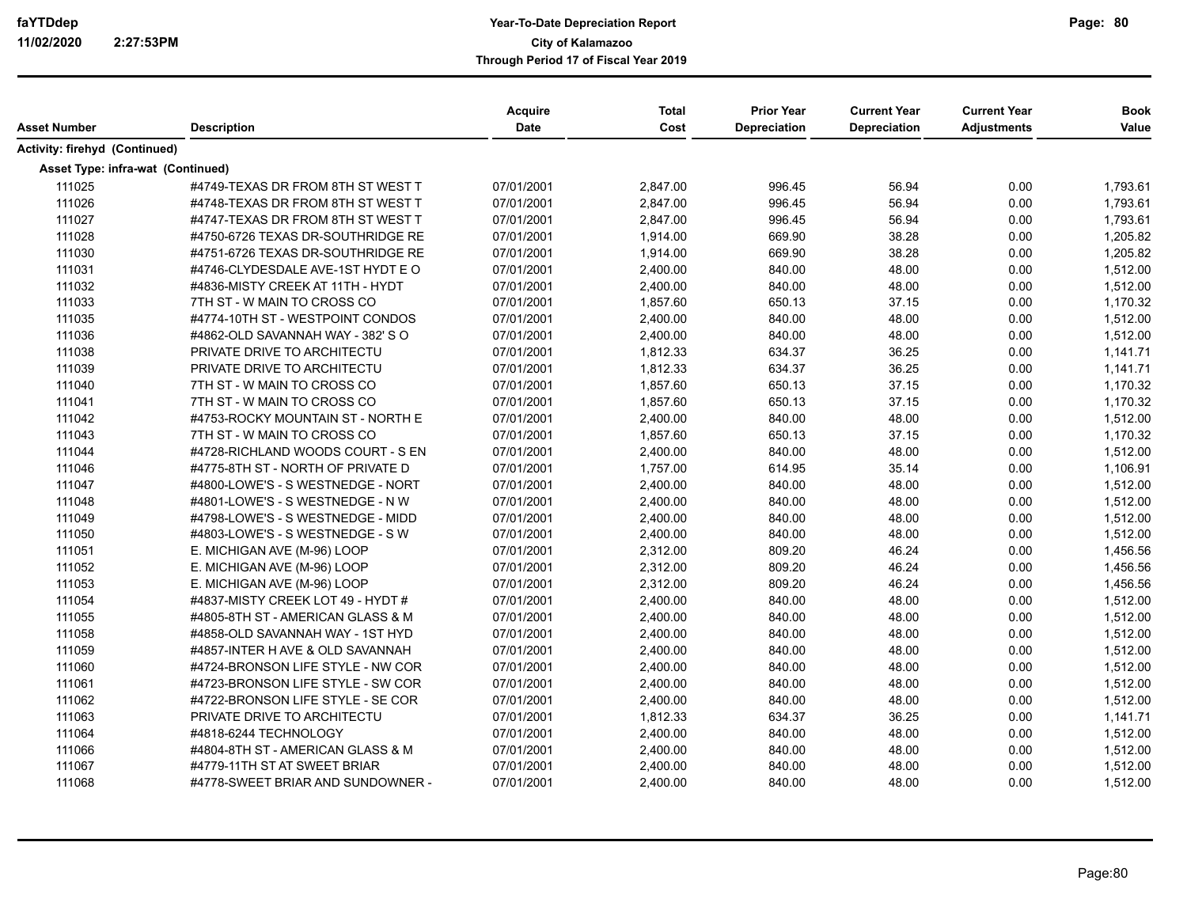| Asset Number                             | <b>Description</b>                | <b>Acquire</b><br><b>Date</b> | <b>Total</b><br>Cost | <b>Prior Year</b><br><b>Depreciation</b> | <b>Current Year</b><br><b>Depreciation</b> | <b>Current Year</b><br><b>Adjustments</b> | <b>Book</b><br>Value |
|------------------------------------------|-----------------------------------|-------------------------------|----------------------|------------------------------------------|--------------------------------------------|-------------------------------------------|----------------------|
|                                          |                                   |                               |                      |                                          |                                            |                                           |                      |
| Activity: firehyd (Continued)            |                                   |                               |                      |                                          |                                            |                                           |                      |
| <b>Asset Type: infra-wat (Continued)</b> |                                   |                               |                      |                                          |                                            |                                           |                      |
| 111025                                   | #4749-TEXAS DR FROM 8TH ST WEST T | 07/01/2001                    | 2,847.00             | 996.45                                   | 56.94                                      | 0.00                                      | 1,793.61             |
| 111026                                   | #4748-TEXAS DR FROM 8TH ST WEST T | 07/01/2001                    | 2,847.00             | 996.45                                   | 56.94                                      | 0.00                                      | 1,793.61             |
| 111027                                   | #4747-TEXAS DR FROM 8TH ST WEST T | 07/01/2001                    | 2,847.00             | 996.45                                   | 56.94                                      | 0.00                                      | 1,793.61             |
| 111028                                   | #4750-6726 TEXAS DR-SOUTHRIDGE RE | 07/01/2001                    | 1,914.00             | 669.90                                   | 38.28                                      | 0.00                                      | 1,205.82             |
| 111030                                   | #4751-6726 TEXAS DR-SOUTHRIDGE RE | 07/01/2001                    | 1,914.00             | 669.90                                   | 38.28                                      | 0.00                                      | 1,205.82             |
| 111031                                   | #4746-CLYDESDALE AVE-1ST HYDT E O | 07/01/2001                    | 2,400.00             | 840.00                                   | 48.00                                      | 0.00                                      | 1,512.00             |
| 111032                                   | #4836-MISTY CREEK AT 11TH - HYDT  | 07/01/2001                    | 2,400.00             | 840.00                                   | 48.00                                      | 0.00                                      | 1,512.00             |
| 111033                                   | 7TH ST - W MAIN TO CROSS CO       | 07/01/2001                    | 1,857.60             | 650.13                                   | 37.15                                      | 0.00                                      | 1,170.32             |
| 111035                                   | #4774-10TH ST - WESTPOINT CONDOS  | 07/01/2001                    | 2,400.00             | 840.00                                   | 48.00                                      | 0.00                                      | 1,512.00             |
| 111036                                   | #4862-OLD SAVANNAH WAY - 382' S O | 07/01/2001                    | 2,400.00             | 840.00                                   | 48.00                                      | 0.00                                      | 1,512.00             |
| 111038                                   | PRIVATE DRIVE TO ARCHITECTU       | 07/01/2001                    | 1,812.33             | 634.37                                   | 36.25                                      | 0.00                                      | 1,141.71             |
| 111039                                   | PRIVATE DRIVE TO ARCHITECTU       | 07/01/2001                    | 1,812.33             | 634.37                                   | 36.25                                      | 0.00                                      | 1,141.71             |
| 111040                                   | 7TH ST - W MAIN TO CROSS CO       | 07/01/2001                    | 1,857.60             | 650.13                                   | 37.15                                      | 0.00                                      | 1,170.32             |
| 111041                                   | 7TH ST - W MAIN TO CROSS CO       | 07/01/2001                    | 1,857.60             | 650.13                                   | 37.15                                      | 0.00                                      | 1,170.32             |
| 111042                                   | #4753-ROCKY MOUNTAIN ST - NORTH E | 07/01/2001                    | 2,400.00             | 840.00                                   | 48.00                                      | 0.00                                      | 1,512.00             |
| 111043                                   | 7TH ST - W MAIN TO CROSS CO       | 07/01/2001                    | 1,857.60             | 650.13                                   | 37.15                                      | 0.00                                      | 1,170.32             |
| 111044                                   | #4728-RICHLAND WOODS COURT - S EN | 07/01/2001                    | 2,400.00             | 840.00                                   | 48.00                                      | 0.00                                      | 1,512.00             |
| 111046                                   | #4775-8TH ST - NORTH OF PRIVATE D | 07/01/2001                    | 1,757.00             | 614.95                                   | 35.14                                      | 0.00                                      | 1,106.91             |
| 111047                                   | #4800-LOWE'S - S WESTNEDGE - NORT | 07/01/2001                    | 2,400.00             | 840.00                                   | 48.00                                      | 0.00                                      | 1,512.00             |
| 111048                                   | #4801-LOWE'S - S WESTNEDGE - N W  | 07/01/2001                    | 2,400.00             | 840.00                                   | 48.00                                      | 0.00                                      | 1,512.00             |
| 111049                                   | #4798-LOWE'S - S WESTNEDGE - MIDD | 07/01/2001                    | 2,400.00             | 840.00                                   | 48.00                                      | 0.00                                      | 1,512.00             |
| 111050                                   | #4803-LOWE'S - S WESTNEDGE - S W  | 07/01/2001                    | 2,400.00             | 840.00                                   | 48.00                                      | 0.00                                      | 1,512.00             |
| 111051                                   | E. MICHIGAN AVE (M-96) LOOP       | 07/01/2001                    | 2,312.00             | 809.20                                   | 46.24                                      | 0.00                                      | 1,456.56             |
| 111052                                   | E. MICHIGAN AVE (M-96) LOOP       | 07/01/2001                    | 2,312.00             | 809.20                                   | 46.24                                      | 0.00                                      | 1,456.56             |
| 111053                                   | E. MICHIGAN AVE (M-96) LOOP       | 07/01/2001                    | 2,312.00             | 809.20                                   | 46.24                                      | 0.00                                      | 1,456.56             |
| 111054                                   | #4837-MISTY CREEK LOT 49 - HYDT # | 07/01/2001                    | 2,400.00             | 840.00                                   | 48.00                                      | 0.00                                      | 1,512.00             |
| 111055                                   | #4805-8TH ST - AMERICAN GLASS & M | 07/01/2001                    | 2,400.00             | 840.00                                   | 48.00                                      | 0.00                                      | 1,512.00             |
| 111058                                   | #4858-OLD SAVANNAH WAY - 1ST HYD  | 07/01/2001                    | 2,400.00             | 840.00                                   | 48.00                                      | 0.00                                      | 1,512.00             |
| 111059                                   | #4857-INTER H AVE & OLD SAVANNAH  | 07/01/2001                    | 2,400.00             | 840.00                                   | 48.00                                      | 0.00                                      | 1,512.00             |
| 111060                                   | #4724-BRONSON LIFE STYLE - NW COR | 07/01/2001                    | 2,400.00             | 840.00                                   | 48.00                                      | 0.00                                      | 1,512.00             |
| 111061                                   | #4723-BRONSON LIFE STYLE - SW COR | 07/01/2001                    | 2,400.00             | 840.00                                   | 48.00                                      | 0.00                                      | 1,512.00             |
| 111062                                   | #4722-BRONSON LIFE STYLE - SE COR | 07/01/2001                    | 2,400.00             | 840.00                                   | 48.00                                      | 0.00                                      | 1,512.00             |
| 111063                                   | PRIVATE DRIVE TO ARCHITECTU       | 07/01/2001                    | 1,812.33             | 634.37                                   | 36.25                                      | 0.00                                      | 1,141.71             |
| 111064                                   | #4818-6244 TECHNOLOGY             | 07/01/2001                    | 2,400.00             | 840.00                                   | 48.00                                      | 0.00                                      | 1,512.00             |
| 111066                                   | #4804-8TH ST - AMERICAN GLASS & M | 07/01/2001                    | 2,400.00             | 840.00                                   | 48.00                                      | 0.00                                      | 1,512.00             |
| 111067                                   | #4779-11TH ST AT SWEET BRIAR      | 07/01/2001                    | 2,400.00             | 840.00                                   | 48.00                                      | 0.00                                      | 1,512.00             |
| 111068                                   | #4778-SWEET BRIAR AND SUNDOWNER - | 07/01/2001                    | 2,400.00             | 840.00                                   | 48.00                                      | 0.00                                      | 1,512.00             |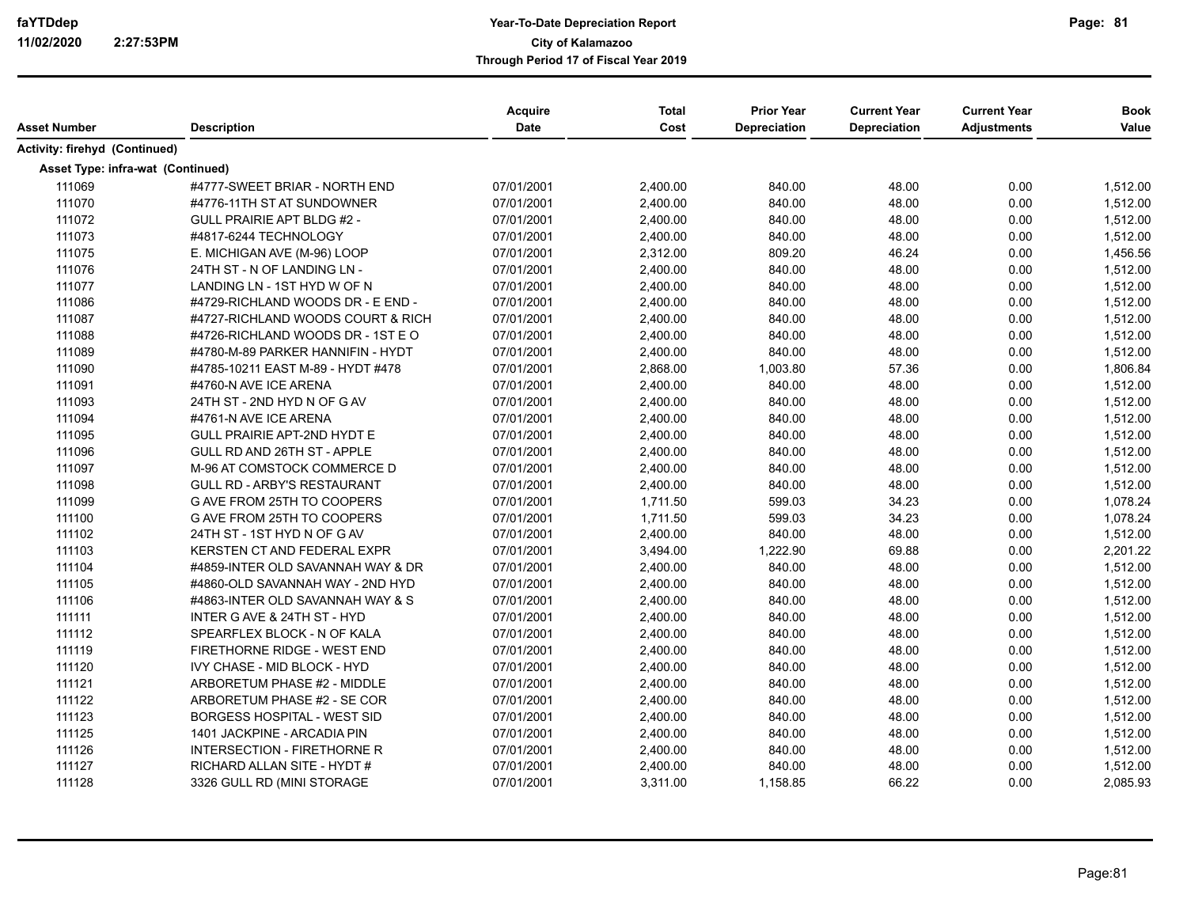| Asset Number                      | <b>Description</b>                     | Acquire<br><b>Date</b> | <b>Total</b><br>Cost | <b>Prior Year</b><br><b>Depreciation</b> | <b>Current Year</b><br><b>Depreciation</b> | <b>Current Year</b><br><b>Adjustments</b> | <b>Book</b><br>Value |
|-----------------------------------|----------------------------------------|------------------------|----------------------|------------------------------------------|--------------------------------------------|-------------------------------------------|----------------------|
| Activity: firehyd (Continued)     |                                        |                        |                      |                                          |                                            |                                           |                      |
| Asset Type: infra-wat (Continued) |                                        |                        |                      |                                          |                                            |                                           |                      |
| 111069                            | #4777-SWEET BRIAR - NORTH END          | 07/01/2001             | 2,400.00             | 840.00                                   | 48.00                                      | 0.00                                      | 1,512.00             |
| 111070                            | #4776-11TH ST AT SUNDOWNER             | 07/01/2001             | 2,400.00             | 840.00                                   | 48.00                                      | 0.00                                      | 1,512.00             |
| 111072                            | <b>GULL PRAIRIE APT BLDG #2 -</b>      | 07/01/2001             | 2,400.00             | 840.00                                   | 48.00                                      | 0.00                                      | 1,512.00             |
| 111073                            | #4817-6244 TECHNOLOGY                  | 07/01/2001             | 2,400.00             | 840.00                                   | 48.00                                      | 0.00                                      | 1,512.00             |
| 111075                            | E. MICHIGAN AVE (M-96) LOOP            | 07/01/2001             | 2,312.00             | 809.20                                   | 46.24                                      | 0.00                                      | 1,456.56             |
| 111076                            | 24TH ST - N OF LANDING LN -            | 07/01/2001             | 2,400.00             | 840.00                                   | 48.00                                      | 0.00                                      | 1,512.00             |
| 111077                            | LANDING LN - 1ST HYD W OF N            | 07/01/2001             | 2,400.00             | 840.00                                   | 48.00                                      | 0.00                                      | 1,512.00             |
| 111086                            | #4729-RICHLAND WOODS DR - E END -      | 07/01/2001             | 2,400.00             | 840.00                                   | 48.00                                      | 0.00                                      | 1,512.00             |
| 111087                            | #4727-RICHLAND WOODS COURT & RICH      | 07/01/2001             | 2,400.00             | 840.00                                   | 48.00                                      | 0.00                                      | 1,512.00             |
| 111088                            | #4726-RICHLAND WOODS DR - 1ST E O      | 07/01/2001             | 2,400.00             | 840.00                                   | 48.00                                      | 0.00                                      | 1,512.00             |
| 111089                            | #4780-M-89 PARKER HANNIFIN - HYDT      | 07/01/2001             | 2,400.00             | 840.00                                   | 48.00                                      | 0.00                                      | 1,512.00             |
| 111090                            | #4785-10211 EAST M-89 - HYDT #478      | 07/01/2001             | 2,868.00             | 1,003.80                                 | 57.36                                      | 0.00                                      | 1,806.84             |
| 111091                            | #4760-N AVE ICE ARENA                  | 07/01/2001             | 2,400.00             | 840.00                                   | 48.00                                      | 0.00                                      | 1,512.00             |
| 111093                            | 24TH ST - 2ND HYD N OF G AV            | 07/01/2001             | 2,400.00             | 840.00                                   | 48.00                                      | 0.00                                      | 1,512.00             |
| 111094                            | #4761-N AVE ICE ARENA                  | 07/01/2001             | 2,400.00             | 840.00                                   | 48.00                                      | 0.00                                      | 1,512.00             |
| 111095                            | GULL PRAIRIE APT-2ND HYDT E            | 07/01/2001             | 2,400.00             | 840.00                                   | 48.00                                      | 0.00                                      | 1,512.00             |
| 111096                            | GULL RD AND 26TH ST - APPLE            | 07/01/2001             | 2,400.00             | 840.00                                   | 48.00                                      | 0.00                                      | 1,512.00             |
| 111097                            | M-96 AT COMSTOCK COMMERCE D            | 07/01/2001             | 2,400.00             | 840.00                                   | 48.00                                      | 0.00                                      | 1,512.00             |
| 111098                            | <b>GULL RD - ARBY'S RESTAURANT</b>     | 07/01/2001             | 2,400.00             | 840.00                                   | 48.00                                      | 0.00                                      | 1,512.00             |
| 111099                            | G AVE FROM 25TH TO COOPERS             | 07/01/2001             | 1,711.50             | 599.03                                   | 34.23                                      | 0.00                                      | 1,078.24             |
| 111100                            | G AVE FROM 25TH TO COOPERS             | 07/01/2001             | 1,711.50             | 599.03                                   | 34.23                                      | 0.00                                      | 1,078.24             |
| 111102                            | 24TH ST - 1ST HYD N OF G AV            | 07/01/2001             | 2,400.00             | 840.00                                   | 48.00                                      | 0.00                                      | 1,512.00             |
| 111103                            | KERSTEN CT AND FEDERAL EXPR            | 07/01/2001             | 3,494.00             | 1,222.90                                 | 69.88                                      | 0.00                                      | 2,201.22             |
| 111104                            | #4859-INTER OLD SAVANNAH WAY & DR      | 07/01/2001             | 2,400.00             | 840.00                                   | 48.00                                      | 0.00                                      | 1,512.00             |
| 111105                            | #4860-OLD SAVANNAH WAY - 2ND HYD       | 07/01/2001             | 2,400.00             | 840.00                                   | 48.00                                      | 0.00                                      | 1,512.00             |
| 111106                            | #4863-INTER OLD SAVANNAH WAY & S       | 07/01/2001             | 2,400.00             | 840.00                                   | 48.00                                      | 0.00                                      | 1,512.00             |
| 111111                            | <b>INTER G AVE &amp; 24TH ST - HYD</b> | 07/01/2001             | 2,400.00             | 840.00                                   | 48.00                                      | 0.00                                      | 1,512.00             |
| 111112                            | SPEARFLEX BLOCK - N OF KALA            | 07/01/2001             | 2,400.00             | 840.00                                   | 48.00                                      | 0.00                                      | 1,512.00             |
| 111119                            | FIRETHORNE RIDGE - WEST END            | 07/01/2001             | 2,400.00             | 840.00                                   | 48.00                                      | 0.00                                      | 1,512.00             |
| 111120                            | <b>IVY CHASE - MID BLOCK - HYD</b>     | 07/01/2001             | 2,400.00             | 840.00                                   | 48.00                                      | 0.00                                      | 1,512.00             |
| 111121                            | ARBORETUM PHASE #2 - MIDDLE            | 07/01/2001             | 2,400.00             | 840.00                                   | 48.00                                      | 0.00                                      | 1,512.00             |
| 111122                            | ARBORETUM PHASE #2 - SE COR            | 07/01/2001             | 2,400.00             | 840.00                                   | 48.00                                      | 0.00                                      | 1,512.00             |
| 111123                            | <b>BORGESS HOSPITAL - WEST SID</b>     | 07/01/2001             | 2,400.00             | 840.00                                   | 48.00                                      | 0.00                                      | 1,512.00             |
| 111125                            | 1401 JACKPINE - ARCADIA PIN            | 07/01/2001             | 2,400.00             | 840.00                                   | 48.00                                      | 0.00                                      | 1,512.00             |
| 111126                            | <b>INTERSECTION - FIRETHORNE R</b>     | 07/01/2001             | 2,400.00             | 840.00                                   | 48.00                                      | 0.00                                      | 1,512.00             |
| 111127                            | RICHARD ALLAN SITE - HYDT #            | 07/01/2001             | 2,400.00             | 840.00                                   | 48.00                                      | 0.00                                      | 1,512.00             |
| 111128                            | 3326 GULL RD (MINI STORAGE             | 07/01/2001             | 3,311.00             | 1,158.85                                 | 66.22                                      | 0.00                                      | 2,085.93             |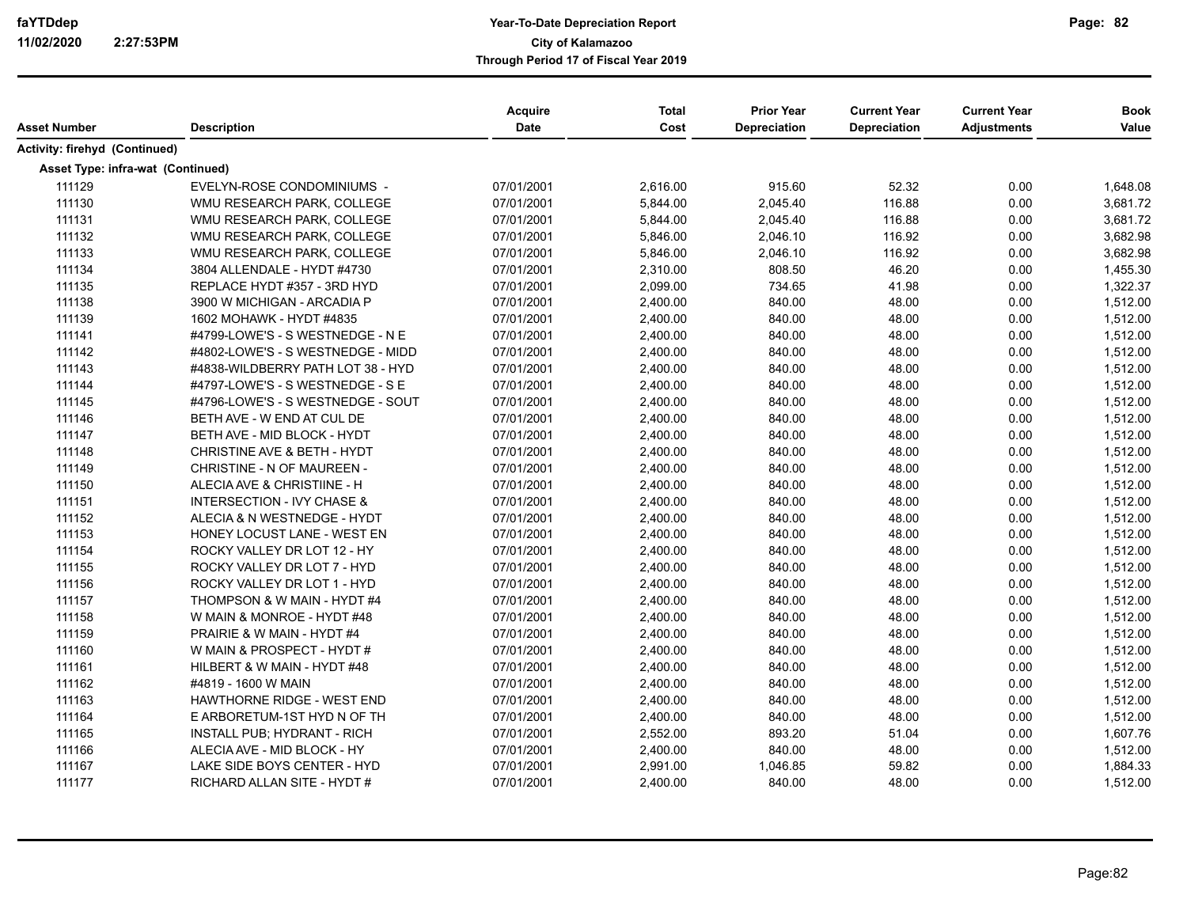| Asset Number                      | <b>Description</b>                | Acquire<br><b>Date</b> | <b>Total</b><br>Cost | <b>Prior Year</b><br><b>Depreciation</b> | <b>Current Year</b><br><b>Depreciation</b> | <b>Current Year</b><br><b>Adjustments</b> | <b>Book</b><br>Value |
|-----------------------------------|-----------------------------------|------------------------|----------------------|------------------------------------------|--------------------------------------------|-------------------------------------------|----------------------|
| Activity: firehyd (Continued)     |                                   |                        |                      |                                          |                                            |                                           |                      |
| Asset Type: infra-wat (Continued) |                                   |                        |                      |                                          |                                            |                                           |                      |
| 111129                            | EVELYN-ROSE CONDOMINIUMS -        | 07/01/2001             | 2,616.00             | 915.60                                   | 52.32                                      | 0.00                                      | 1,648.08             |
| 111130                            | WMU RESEARCH PARK, COLLEGE        | 07/01/2001             | 5,844.00             | 2,045.40                                 | 116.88                                     | 0.00                                      | 3,681.72             |
| 111131                            | WMU RESEARCH PARK, COLLEGE        | 07/01/2001             | 5,844.00             | 2,045.40                                 | 116.88                                     | 0.00                                      | 3,681.72             |
| 111132                            | WMU RESEARCH PARK, COLLEGE        | 07/01/2001             | 5,846.00             | 2,046.10                                 | 116.92                                     | 0.00                                      | 3,682.98             |
| 111133                            | WMU RESEARCH PARK, COLLEGE        | 07/01/2001             | 5,846.00             | 2,046.10                                 | 116.92                                     | 0.00                                      | 3,682.98             |
| 111134                            | 3804 ALLENDALE - HYDT #4730       | 07/01/2001             | 2,310.00             | 808.50                                   | 46.20                                      | 0.00                                      | 1,455.30             |
| 111135                            | REPLACE HYDT #357 - 3RD HYD       | 07/01/2001             | 2,099.00             | 734.65                                   | 41.98                                      | 0.00                                      | 1,322.37             |
| 111138                            | 3900 W MICHIGAN - ARCADIA P       | 07/01/2001             | 2,400.00             | 840.00                                   | 48.00                                      | 0.00                                      | 1,512.00             |
| 111139                            | 1602 MOHAWK - HYDT #4835          | 07/01/2001             | 2,400.00             | 840.00                                   | 48.00                                      | 0.00                                      | 1,512.00             |
| 111141                            | #4799-LOWE'S - S WESTNEDGE - N E  | 07/01/2001             | 2,400.00             | 840.00                                   | 48.00                                      | 0.00                                      | 1,512.00             |
| 111142                            | #4802-LOWE'S - S WESTNEDGE - MIDD | 07/01/2001             | 2,400.00             | 840.00                                   | 48.00                                      | 0.00                                      | 1,512.00             |
| 111143                            | #4838-WILDBERRY PATH LOT 38 - HYD | 07/01/2001             | 2,400.00             | 840.00                                   | 48.00                                      | 0.00                                      | 1,512.00             |
| 111144                            | #4797-LOWE'S - S WESTNEDGE - S E  | 07/01/2001             | 2,400.00             | 840.00                                   | 48.00                                      | 0.00                                      | 1,512.00             |
| 111145                            | #4796-LOWE'S - S WESTNEDGE - SOUT | 07/01/2001             | 2,400.00             | 840.00                                   | 48.00                                      | 0.00                                      | 1,512.00             |
| 111146                            | BETH AVE - W END AT CUL DE        | 07/01/2001             | 2,400.00             | 840.00                                   | 48.00                                      | 0.00                                      | 1,512.00             |
| 111147                            | BETH AVE - MID BLOCK - HYDT       | 07/01/2001             | 2,400.00             | 840.00                                   | 48.00                                      | 0.00                                      | 1,512.00             |
| 111148                            | CHRISTINE AVE & BETH - HYDT       | 07/01/2001             | 2,400.00             | 840.00                                   | 48.00                                      | 0.00                                      | 1,512.00             |
| 111149                            | CHRISTINE - N OF MAUREEN -        | 07/01/2001             | 2,400.00             | 840.00                                   | 48.00                                      | 0.00                                      | 1,512.00             |
| 111150                            | ALECIA AVE & CHRISTIINE - H       | 07/01/2001             | 2,400.00             | 840.00                                   | 48.00                                      | 0.00                                      | 1,512.00             |
| 111151                            | INTERSECTION - IVY CHASE &        | 07/01/2001             | 2,400.00             | 840.00                                   | 48.00                                      | 0.00                                      | 1,512.00             |
| 111152                            | ALECIA & N WESTNEDGE - HYDT       | 07/01/2001             | 2,400.00             | 840.00                                   | 48.00                                      | 0.00                                      | 1,512.00             |
| 111153                            | HONEY LOCUST LANE - WEST EN       | 07/01/2001             | 2,400.00             | 840.00                                   | 48.00                                      | 0.00                                      | 1,512.00             |
| 111154                            | ROCKY VALLEY DR LOT 12 - HY       | 07/01/2001             | 2,400.00             | 840.00                                   | 48.00                                      | 0.00                                      | 1,512.00             |
| 111155                            | ROCKY VALLEY DR LOT 7 - HYD       | 07/01/2001             | 2,400.00             | 840.00                                   | 48.00                                      | 0.00                                      | 1,512.00             |
| 111156                            | ROCKY VALLEY DR LOT 1 - HYD       | 07/01/2001             | 2,400.00             | 840.00                                   | 48.00                                      | 0.00                                      | 1,512.00             |
| 111157                            | THOMPSON & W MAIN - HYDT #4       | 07/01/2001             | 2,400.00             | 840.00                                   | 48.00                                      | 0.00                                      | 1,512.00             |
| 111158                            | W MAIN & MONROE - HYDT #48        | 07/01/2001             | 2,400.00             | 840.00                                   | 48.00                                      | 0.00                                      | 1,512.00             |
| 111159                            | PRAIRIE & W MAIN - HYDT #4        | 07/01/2001             | 2,400.00             | 840.00                                   | 48.00                                      | 0.00                                      | 1,512.00             |
| 111160                            | W MAIN & PROSPECT - HYDT #        | 07/01/2001             | 2,400.00             | 840.00                                   | 48.00                                      | 0.00                                      | 1,512.00             |
| 111161                            | HILBERT & W MAIN - HYDT #48       | 07/01/2001             | 2,400.00             | 840.00                                   | 48.00                                      | 0.00                                      | 1,512.00             |
| 111162                            | #4819 - 1600 W MAIN               | 07/01/2001             | 2,400.00             | 840.00                                   | 48.00                                      | 0.00                                      | 1,512.00             |
| 111163                            | HAWTHORNE RIDGE - WEST END        | 07/01/2001             | 2,400.00             | 840.00                                   | 48.00                                      | 0.00                                      | 1,512.00             |
| 111164                            | E ARBORETUM-1ST HYD N OF TH       | 07/01/2001             | 2,400.00             | 840.00                                   | 48.00                                      | 0.00                                      | 1,512.00             |
| 111165                            | INSTALL PUB; HYDRANT - RICH       | 07/01/2001             | 2,552.00             | 893.20                                   | 51.04                                      | 0.00                                      | 1,607.76             |
| 111166                            | ALECIA AVE - MID BLOCK - HY       | 07/01/2001             | 2,400.00             | 840.00                                   | 48.00                                      | 0.00                                      | 1,512.00             |
| 111167                            | LAKE SIDE BOYS CENTER - HYD       | 07/01/2001             | 2,991.00             | 1,046.85                                 | 59.82                                      | 0.00                                      | 1,884.33             |
| 111177                            | RICHARD ALLAN SITE - HYDT #       | 07/01/2001             | 2,400.00             | 840.00                                   | 48.00                                      | 0.00                                      | 1,512.00             |
|                                   |                                   |                        |                      |                                          |                                            |                                           |                      |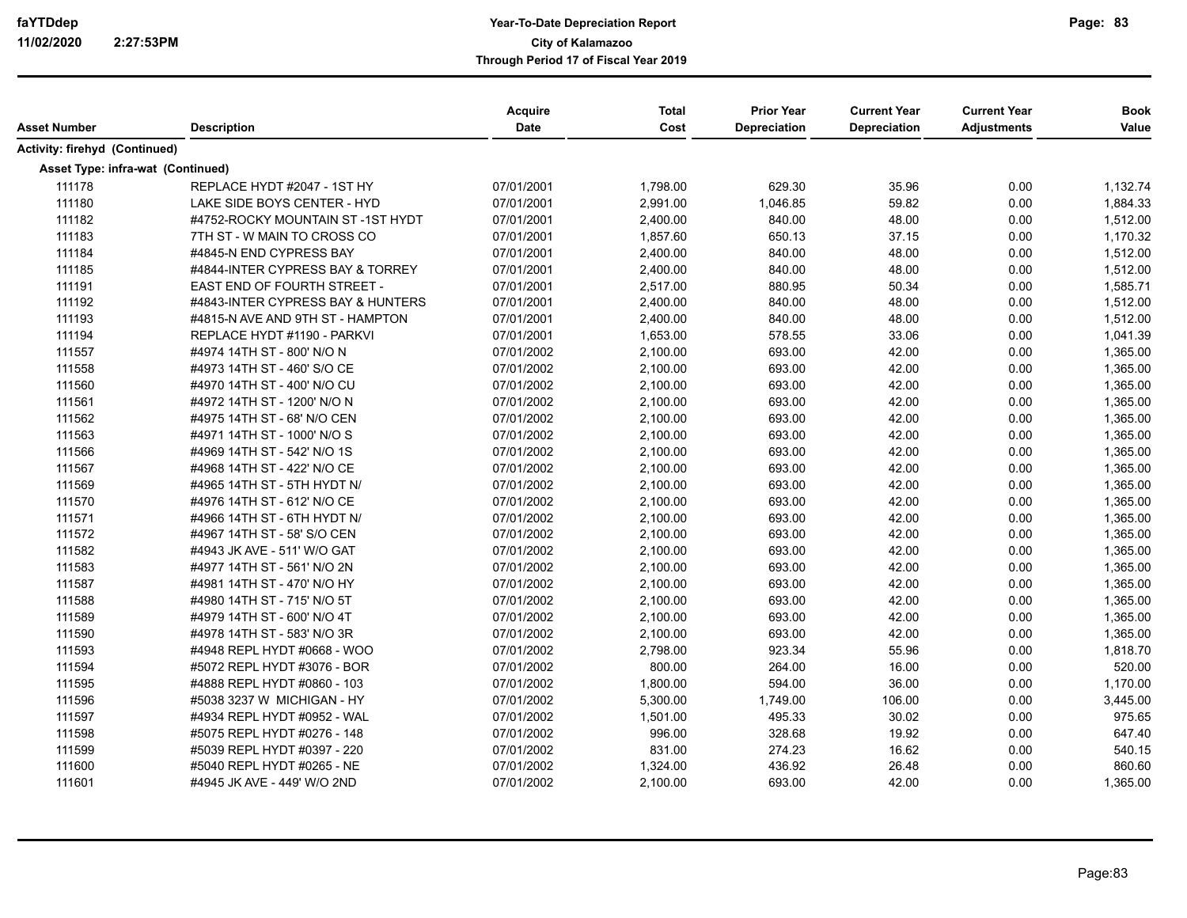|                                          |                                   | <b>Acquire</b><br><b>Date</b> | <b>Total</b><br>Cost | <b>Prior Year</b><br><b>Depreciation</b> | <b>Current Year</b> | <b>Current Year</b> | <b>Book</b><br>Value |
|------------------------------------------|-----------------------------------|-------------------------------|----------------------|------------------------------------------|---------------------|---------------------|----------------------|
| Asset Number                             | <b>Description</b>                |                               |                      |                                          | Depreciation        | <b>Adjustments</b>  |                      |
| Activity: firehyd (Continued)            |                                   |                               |                      |                                          |                     |                     |                      |
| <b>Asset Type: infra-wat (Continued)</b> |                                   |                               |                      |                                          |                     |                     |                      |
| 111178                                   | REPLACE HYDT #2047 - 1ST HY       | 07/01/2001                    | 1,798.00             | 629.30                                   | 35.96               | 0.00                | 1,132.74             |
| 111180                                   | LAKE SIDE BOYS CENTER - HYD       | 07/01/2001                    | 2,991.00             | 1,046.85                                 | 59.82               | 0.00                | 1,884.33             |
| 111182                                   | #4752-ROCKY MOUNTAIN ST-1ST HYDT  | 07/01/2001                    | 2,400.00             | 840.00                                   | 48.00               | 0.00                | 1,512.00             |
| 111183                                   | 7TH ST - W MAIN TO CROSS CO       | 07/01/2001                    | 1,857.60             | 650.13                                   | 37.15               | 0.00                | 1,170.32             |
| 111184                                   | #4845-N END CYPRESS BAY           | 07/01/2001                    | 2,400.00             | 840.00                                   | 48.00               | 0.00                | 1,512.00             |
| 111185                                   | #4844-INTER CYPRESS BAY & TORREY  | 07/01/2001                    | 2,400.00             | 840.00                                   | 48.00               | 0.00                | 1,512.00             |
| 111191                                   | EAST END OF FOURTH STREET -       | 07/01/2001                    | 2,517.00             | 880.95                                   | 50.34               | 0.00                | 1,585.71             |
| 111192                                   | #4843-INTER CYPRESS BAY & HUNTERS | 07/01/2001                    | 2,400.00             | 840.00                                   | 48.00               | 0.00                | 1,512.00             |
| 111193                                   | #4815-N AVE AND 9TH ST - HAMPTON  | 07/01/2001                    | 2,400.00             | 840.00                                   | 48.00               | 0.00                | 1,512.00             |
| 111194                                   | REPLACE HYDT #1190 - PARKVI       | 07/01/2001                    | 1,653.00             | 578.55                                   | 33.06               | 0.00                | 1,041.39             |
| 111557                                   | #4974 14TH ST - 800' N/O N        | 07/01/2002                    | 2,100.00             | 693.00                                   | 42.00               | 0.00                | 1,365.00             |
| 111558                                   | #4973 14TH ST - 460' S/O CE       | 07/01/2002                    | 2,100.00             | 693.00                                   | 42.00               | 0.00                | 1,365.00             |
| 111560                                   | #4970 14TH ST - 400' N/O CU       | 07/01/2002                    | 2,100.00             | 693.00                                   | 42.00               | 0.00                | 1,365.00             |
| 111561                                   | #4972 14TH ST - 1200' N/O N       | 07/01/2002                    | 2,100.00             | 693.00                                   | 42.00               | 0.00                | 1,365.00             |
| 111562                                   | #4975 14TH ST - 68' N/O CEN       | 07/01/2002                    | 2,100.00             | 693.00                                   | 42.00               | 0.00                | 1,365.00             |
| 111563                                   | #4971 14TH ST - 1000' N/O S       | 07/01/2002                    | 2,100.00             | 693.00                                   | 42.00               | 0.00                | 1,365.00             |
| 111566                                   | #4969 14TH ST - 542' N/O 1S       | 07/01/2002                    | 2,100.00             | 693.00                                   | 42.00               | 0.00                | 1,365.00             |
| 111567                                   | #4968 14TH ST - 422' N/O CE       | 07/01/2002                    | 2,100.00             | 693.00                                   | 42.00               | 0.00                | 1,365.00             |
| 111569                                   | #4965 14TH ST - 5TH HYDT N/       | 07/01/2002                    | 2,100.00             | 693.00                                   | 42.00               | 0.00                | 1,365.00             |
| 111570                                   | #4976 14TH ST - 612' N/O CE       | 07/01/2002                    | 2,100.00             | 693.00                                   | 42.00               | 0.00                | 1,365.00             |
| 111571                                   | #4966 14TH ST - 6TH HYDT N/       | 07/01/2002                    | 2,100.00             | 693.00                                   | 42.00               | 0.00                | 1,365.00             |
| 111572                                   | #4967 14TH ST - 58' S/O CEN       | 07/01/2002                    | 2,100.00             | 693.00                                   | 42.00               | 0.00                | 1,365.00             |
| 111582                                   | #4943 JK AVE - 511' W/O GAT       | 07/01/2002                    | 2,100.00             | 693.00                                   | 42.00               | 0.00                | 1,365.00             |
| 111583                                   | #4977 14TH ST - 561' N/O 2N       | 07/01/2002                    | 2,100.00             | 693.00                                   | 42.00               | 0.00                | 1,365.00             |
| 111587                                   | #4981 14TH ST - 470' N/O HY       | 07/01/2002                    | 2,100.00             | 693.00                                   | 42.00               | 0.00                | 1,365.00             |
| 111588                                   | #4980 14TH ST - 715' N/O 5T       | 07/01/2002                    | 2,100.00             | 693.00                                   | 42.00               | 0.00                | 1,365.00             |
| 111589                                   | #4979 14TH ST - 600' N/O 4T       | 07/01/2002                    | 2,100.00             | 693.00                                   | 42.00               | 0.00                | 1,365.00             |
| 111590                                   | #4978 14TH ST - 583' N/O 3R       | 07/01/2002                    | 2,100.00             | 693.00                                   | 42.00               | 0.00                | 1,365.00             |
| 111593                                   | #4948 REPL HYDT #0668 - WOO       | 07/01/2002                    | 2,798.00             | 923.34                                   | 55.96               | 0.00                | 1,818.70             |
| 111594                                   | #5072 REPL HYDT #3076 - BOR       | 07/01/2002                    | 800.00               | 264.00                                   | 16.00               | 0.00                | 520.00               |
| 111595                                   | #4888 REPL HYDT #0860 - 103       | 07/01/2002                    | 1,800.00             | 594.00                                   | 36.00               | 0.00                | 1,170.00             |
| 111596                                   | #5038 3237 W MICHIGAN - HY        | 07/01/2002                    | 5,300.00             | 1,749.00                                 | 106.00              | 0.00                | 3,445.00             |
| 111597                                   | #4934 REPL HYDT #0952 - WAL       | 07/01/2002                    | 1,501.00             | 495.33                                   | 30.02               | 0.00                | 975.65               |
| 111598                                   | #5075 REPL HYDT #0276 - 148       | 07/01/2002                    | 996.00               | 328.68                                   | 19.92               | 0.00                | 647.40               |
| 111599                                   | #5039 REPL HYDT #0397 - 220       | 07/01/2002                    | 831.00               | 274.23                                   | 16.62               | 0.00                | 540.15               |
| 111600                                   | #5040 REPL HYDT #0265 - NE        | 07/01/2002                    | 1,324.00             | 436.92                                   | 26.48               | 0.00                | 860.60               |
| 111601                                   | #4945 JK AVE - 449' W/O 2ND       | 07/01/2002                    | 2,100.00             | 693.00                                   | 42.00               | 0.00                | 1,365.00             |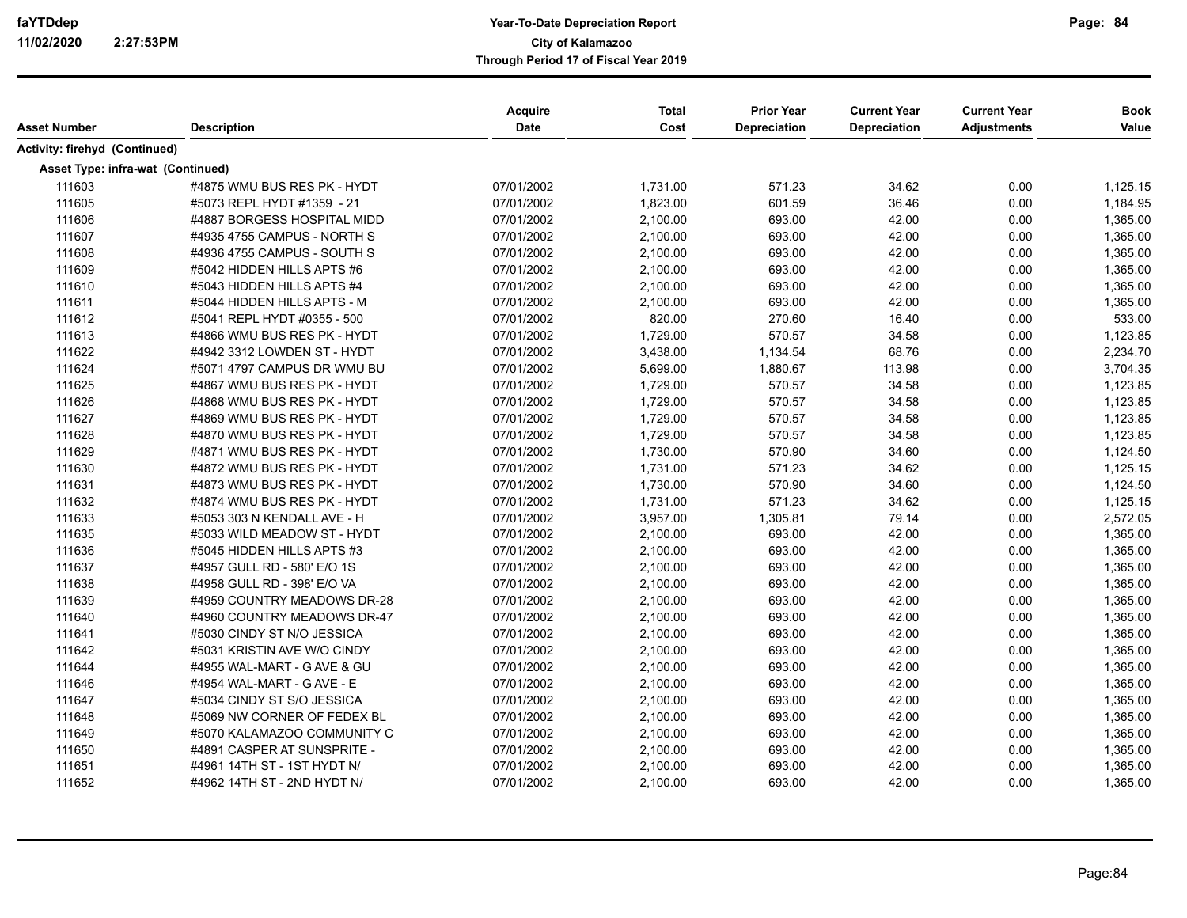| Asset Number                      | <b>Description</b>          | Acquire<br><b>Date</b> | <b>Total</b><br>Cost | <b>Prior Year</b><br><b>Depreciation</b> | <b>Current Year</b><br><b>Depreciation</b> | <b>Current Year</b><br><b>Adjustments</b> | <b>Book</b><br>Value |
|-----------------------------------|-----------------------------|------------------------|----------------------|------------------------------------------|--------------------------------------------|-------------------------------------------|----------------------|
| Activity: firehyd (Continued)     |                             |                        |                      |                                          |                                            |                                           |                      |
| Asset Type: infra-wat (Continued) |                             |                        |                      |                                          |                                            |                                           |                      |
| 111603                            | #4875 WMU BUS RES PK - HYDT | 07/01/2002             | 1,731.00             | 571.23                                   | 34.62                                      | 0.00                                      | 1,125.15             |
| 111605                            | #5073 REPL HYDT #1359 - 21  | 07/01/2002             | 1,823.00             | 601.59                                   | 36.46                                      | 0.00                                      | 1,184.95             |
| 111606                            | #4887 BORGESS HOSPITAL MIDD | 07/01/2002             | 2,100.00             | 693.00                                   | 42.00                                      | 0.00                                      | 1,365.00             |
| 111607                            | #4935 4755 CAMPUS - NORTH S | 07/01/2002             | 2,100.00             | 693.00                                   | 42.00                                      | 0.00                                      | 1,365.00             |
| 111608                            | #4936 4755 CAMPUS - SOUTH S | 07/01/2002             | 2,100.00             | 693.00                                   | 42.00                                      | 0.00                                      | 1,365.00             |
| 111609                            | #5042 HIDDEN HILLS APTS #6  | 07/01/2002             | 2,100.00             | 693.00                                   | 42.00                                      | 0.00                                      | 1,365.00             |
| 111610                            | #5043 HIDDEN HILLS APTS #4  | 07/01/2002             | 2,100.00             | 693.00                                   | 42.00                                      | 0.00                                      | 1,365.00             |
| 111611                            | #5044 HIDDEN HILLS APTS - M | 07/01/2002             | 2,100.00             | 693.00                                   | 42.00                                      | 0.00                                      | 1,365.00             |
| 111612                            | #5041 REPL HYDT #0355 - 500 | 07/01/2002             | 820.00               | 270.60                                   | 16.40                                      | 0.00                                      | 533.00               |
| 111613                            | #4866 WMU BUS RES PK - HYDT | 07/01/2002             | 1,729.00             | 570.57                                   | 34.58                                      | 0.00                                      | 1,123.85             |
| 111622                            | #4942 3312 LOWDEN ST - HYDT | 07/01/2002             | 3,438.00             | 1,134.54                                 | 68.76                                      | 0.00                                      | 2,234.70             |
| 111624                            | #5071 4797 CAMPUS DR WMU BU | 07/01/2002             | 5,699.00             | 1,880.67                                 | 113.98                                     | 0.00                                      | 3,704.35             |
| 111625                            | #4867 WMU BUS RES PK - HYDT | 07/01/2002             | 1,729.00             | 570.57                                   | 34.58                                      | 0.00                                      | 1,123.85             |
| 111626                            | #4868 WMU BUS RES PK - HYDT | 07/01/2002             | 1,729.00             | 570.57                                   | 34.58                                      | 0.00                                      | 1,123.85             |
| 111627                            | #4869 WMU BUS RES PK - HYDT | 07/01/2002             | 1,729.00             | 570.57                                   | 34.58                                      | 0.00                                      | 1,123.85             |
| 111628                            | #4870 WMU BUS RES PK - HYDT | 07/01/2002             | 1,729.00             | 570.57                                   | 34.58                                      | 0.00                                      | 1,123.85             |
| 111629                            | #4871 WMU BUS RES PK - HYDT | 07/01/2002             | 1,730.00             | 570.90                                   | 34.60                                      | 0.00                                      | 1,124.50             |
| 111630                            | #4872 WMU BUS RES PK - HYDT | 07/01/2002             | 1,731.00             | 571.23                                   | 34.62                                      | 0.00                                      | 1,125.15             |
| 111631                            | #4873 WMU BUS RES PK - HYDT | 07/01/2002             | 1,730.00             | 570.90                                   | 34.60                                      | 0.00                                      | 1,124.50             |
| 111632                            | #4874 WMU BUS RES PK - HYDT | 07/01/2002             | 1,731.00             | 571.23                                   | 34.62                                      | 0.00                                      | 1,125.15             |
| 111633                            | #5053 303 N KENDALL AVE - H | 07/01/2002             | 3,957.00             | 1,305.81                                 | 79.14                                      | 0.00                                      | 2,572.05             |
| 111635                            | #5033 WILD MEADOW ST - HYDT | 07/01/2002             | 2,100.00             | 693.00                                   | 42.00                                      | 0.00                                      | 1,365.00             |
| 111636                            | #5045 HIDDEN HILLS APTS #3  | 07/01/2002             | 2,100.00             | 693.00                                   | 42.00                                      | 0.00                                      | 1,365.00             |
| 111637                            | #4957 GULL RD - 580' E/O 1S | 07/01/2002             | 2,100.00             | 693.00                                   | 42.00                                      | 0.00                                      | 1,365.00             |
| 111638                            | #4958 GULL RD - 398' E/O VA | 07/01/2002             | 2,100.00             | 693.00                                   | 42.00                                      | 0.00                                      | 1,365.00             |
| 111639                            | #4959 COUNTRY MEADOWS DR-28 | 07/01/2002             | 2,100.00             | 693.00                                   | 42.00                                      | 0.00                                      | 1,365.00             |
| 111640                            | #4960 COUNTRY MEADOWS DR-47 | 07/01/2002             | 2,100.00             | 693.00                                   | 42.00                                      | 0.00                                      | 1,365.00             |
| 111641                            | #5030 CINDY ST N/O JESSICA  | 07/01/2002             | 2,100.00             | 693.00                                   | 42.00                                      | 0.00                                      | 1,365.00             |
| 111642                            | #5031 KRISTIN AVE W/O CINDY | 07/01/2002             | 2,100.00             | 693.00                                   | 42.00                                      | 0.00                                      | 1,365.00             |
| 111644                            | #4955 WAL-MART - G AVE & GU | 07/01/2002             | 2,100.00             | 693.00                                   | 42.00                                      | 0.00                                      | 1,365.00             |
| 111646                            | #4954 WAL-MART - G AVE - E  | 07/01/2002             | 2,100.00             | 693.00                                   | 42.00                                      | 0.00                                      | 1,365.00             |
| 111647                            | #5034 CINDY ST S/O JESSICA  | 07/01/2002             | 2,100.00             | 693.00                                   | 42.00                                      | 0.00                                      | 1,365.00             |
| 111648                            | #5069 NW CORNER OF FEDEX BL | 07/01/2002             | 2,100.00             | 693.00                                   | 42.00                                      | 0.00                                      | 1,365.00             |
| 111649                            | #5070 KALAMAZOO COMMUNITY C | 07/01/2002             | 2,100.00             | 693.00                                   | 42.00                                      | 0.00                                      | 1,365.00             |
| 111650                            | #4891 CASPER AT SUNSPRITE - | 07/01/2002             | 2,100.00             | 693.00                                   | 42.00                                      | 0.00                                      | 1,365.00             |
| 111651                            | #4961 14TH ST - 1ST HYDT N/ | 07/01/2002             | 2,100.00             | 693.00                                   | 42.00                                      | 0.00                                      | 1,365.00             |
| 111652                            | #4962 14TH ST - 2ND HYDT N/ | 07/01/2002             | 2,100.00             | 693.00                                   | 42.00                                      | 0.00                                      | 1,365.00             |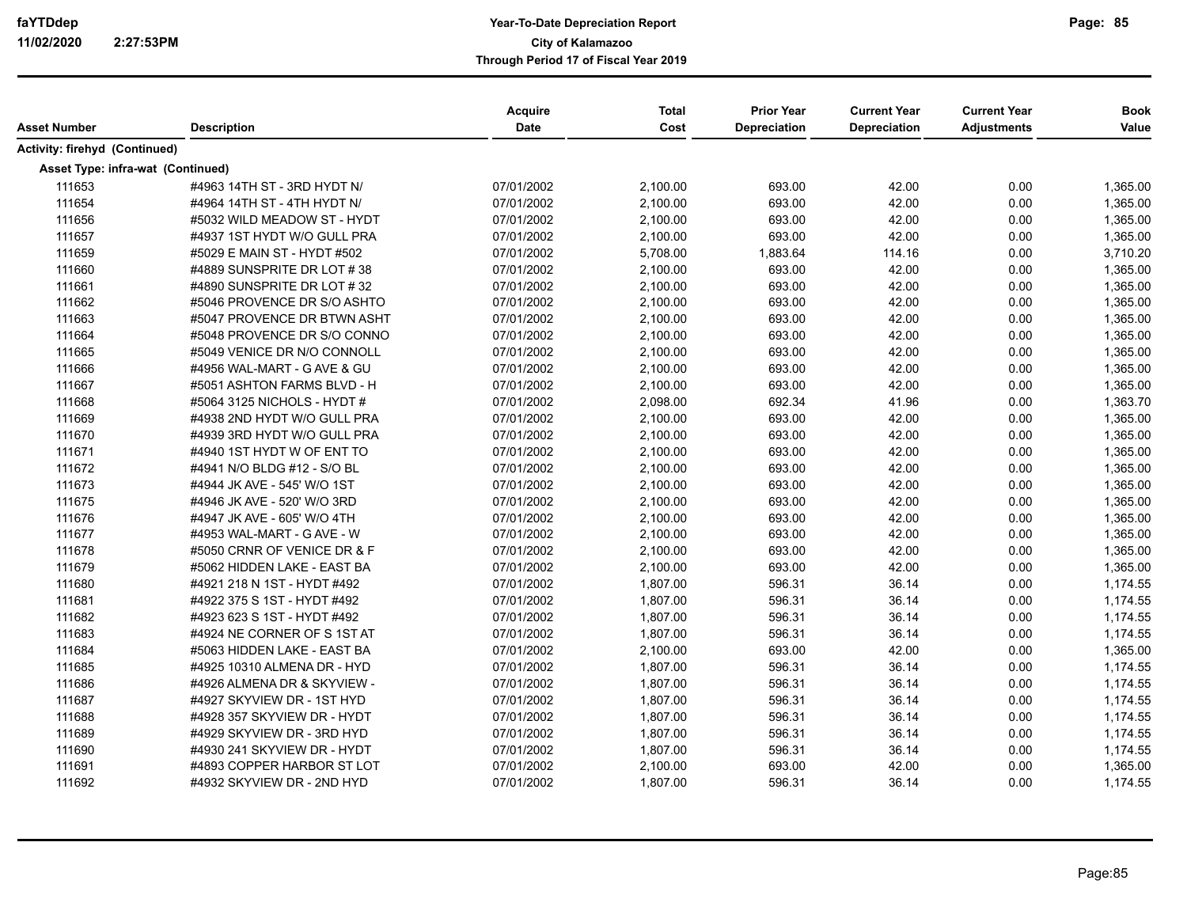| Asset Number                      | <b>Description</b>          | Acquire<br><b>Date</b> | <b>Total</b><br>Cost | <b>Prior Year</b><br><b>Depreciation</b> | <b>Current Year</b><br><b>Depreciation</b> | <b>Current Year</b><br><b>Adjustments</b> | <b>Book</b><br>Value |
|-----------------------------------|-----------------------------|------------------------|----------------------|------------------------------------------|--------------------------------------------|-------------------------------------------|----------------------|
| Activity: firehyd (Continued)     |                             |                        |                      |                                          |                                            |                                           |                      |
| Asset Type: infra-wat (Continued) |                             |                        |                      |                                          |                                            |                                           |                      |
| 111653                            | #4963 14TH ST - 3RD HYDT N/ | 07/01/2002             | 2,100.00             | 693.00                                   | 42.00                                      | 0.00                                      | 1,365.00             |
| 111654                            | #4964 14TH ST - 4TH HYDT N/ | 07/01/2002             | 2,100.00             | 693.00                                   | 42.00                                      | 0.00                                      | 1,365.00             |
| 111656                            | #5032 WILD MEADOW ST - HYDT | 07/01/2002             | 2,100.00             | 693.00                                   | 42.00                                      | 0.00                                      | 1,365.00             |
| 111657                            | #4937 1ST HYDT W/O GULL PRA | 07/01/2002             | 2,100.00             | 693.00                                   | 42.00                                      | 0.00                                      | 1,365.00             |
| 111659                            | #5029 E MAIN ST - HYDT #502 | 07/01/2002             | 5,708.00             | 1,883.64                                 | 114.16                                     | 0.00                                      | 3,710.20             |
| 111660                            | #4889 SUNSPRITE DR LOT #38  | 07/01/2002             | 2,100.00             | 693.00                                   | 42.00                                      | 0.00                                      | 1,365.00             |
| 111661                            | #4890 SUNSPRITE DR LOT #32  | 07/01/2002             | 2,100.00             | 693.00                                   | 42.00                                      | 0.00                                      | 1,365.00             |
| 111662                            | #5046 PROVENCE DR S/O ASHTO | 07/01/2002             | 2,100.00             | 693.00                                   | 42.00                                      | 0.00                                      | 1,365.00             |
| 111663                            | #5047 PROVENCE DR BTWN ASHT | 07/01/2002             | 2,100.00             | 693.00                                   | 42.00                                      | 0.00                                      | 1,365.00             |
| 111664                            | #5048 PROVENCE DR S/O CONNO | 07/01/2002             | 2,100.00             | 693.00                                   | 42.00                                      | 0.00                                      | 1,365.00             |
| 111665                            | #5049 VENICE DR N/O CONNOLL | 07/01/2002             | 2,100.00             | 693.00                                   | 42.00                                      | 0.00                                      | 1,365.00             |
| 111666                            | #4956 WAL-MART - G AVE & GU | 07/01/2002             | 2,100.00             | 693.00                                   | 42.00                                      | 0.00                                      | 1,365.00             |
| 111667                            | #5051 ASHTON FARMS BLVD - H | 07/01/2002             | 2,100.00             | 693.00                                   | 42.00                                      | 0.00                                      | 1,365.00             |
| 111668                            | #5064 3125 NICHOLS - HYDT # | 07/01/2002             | 2,098.00             | 692.34                                   | 41.96                                      | 0.00                                      | 1,363.70             |
| 111669                            | #4938 2ND HYDT W/O GULL PRA | 07/01/2002             | 2,100.00             | 693.00                                   | 42.00                                      | 0.00                                      | 1,365.00             |
| 111670                            | #4939 3RD HYDT W/O GULL PRA | 07/01/2002             | 2,100.00             | 693.00                                   | 42.00                                      | 0.00                                      | 1,365.00             |
| 111671                            | #4940 1ST HYDT W OF ENT TO  | 07/01/2002             | 2,100.00             | 693.00                                   | 42.00                                      | 0.00                                      | 1,365.00             |
| 111672                            | #4941 N/O BLDG #12 - S/O BL | 07/01/2002             | 2,100.00             | 693.00                                   | 42.00                                      | 0.00                                      | 1,365.00             |
| 111673                            | #4944 JK AVE - 545' W/O 1ST | 07/01/2002             | 2,100.00             | 693.00                                   | 42.00                                      | 0.00                                      | 1,365.00             |
| 111675                            | #4946 JK AVE - 520' W/O 3RD | 07/01/2002             | 2,100.00             | 693.00                                   | 42.00                                      | 0.00                                      | 1,365.00             |
| 111676                            | #4947 JK AVE - 605' W/O 4TH | 07/01/2002             | 2,100.00             | 693.00                                   | 42.00                                      | 0.00                                      | 1,365.00             |
| 111677                            | #4953 WAL-MART - G AVE - W  | 07/01/2002             | 2,100.00             | 693.00                                   | 42.00                                      | 0.00                                      | 1,365.00             |
| 111678                            | #5050 CRNR OF VENICE DR & F | 07/01/2002             | 2,100.00             | 693.00                                   | 42.00                                      | 0.00                                      | 1,365.00             |
| 111679                            | #5062 HIDDEN LAKE - EAST BA | 07/01/2002             | 2,100.00             | 693.00                                   | 42.00                                      | 0.00                                      | 1,365.00             |
| 111680                            | #4921 218 N 1ST - HYDT #492 | 07/01/2002             | 1,807.00             | 596.31                                   | 36.14                                      | 0.00                                      | 1,174.55             |
| 111681                            | #4922 375 S 1ST - HYDT #492 | 07/01/2002             | 1,807.00             | 596.31                                   | 36.14                                      | 0.00                                      | 1,174.55             |
| 111682                            | #4923 623 S 1ST - HYDT #492 | 07/01/2002             | 1,807.00             | 596.31                                   | 36.14                                      | 0.00                                      | 1,174.55             |
| 111683                            | #4924 NE CORNER OF S 1ST AT | 07/01/2002             | 1,807.00             | 596.31                                   | 36.14                                      | 0.00                                      | 1,174.55             |
| 111684                            | #5063 HIDDEN LAKE - EAST BA | 07/01/2002             | 2,100.00             | 693.00                                   | 42.00                                      | 0.00                                      | 1,365.00             |
| 111685                            | #4925 10310 ALMENA DR - HYD | 07/01/2002             | 1,807.00             | 596.31                                   | 36.14                                      | 0.00                                      | 1,174.55             |
| 111686                            | #4926 ALMENA DR & SKYVIEW - | 07/01/2002             | 1,807.00             | 596.31                                   | 36.14                                      | 0.00                                      | 1,174.55             |
| 111687                            | #4927 SKYVIEW DR - 1ST HYD  | 07/01/2002             | 1,807.00             | 596.31                                   | 36.14                                      | 0.00                                      | 1,174.55             |
| 111688                            | #4928 357 SKYVIEW DR - HYDT | 07/01/2002             | 1,807.00             | 596.31                                   | 36.14                                      | 0.00                                      | 1,174.55             |
| 111689                            | #4929 SKYVIEW DR - 3RD HYD  | 07/01/2002             | 1,807.00             | 596.31                                   | 36.14                                      | 0.00                                      | 1,174.55             |
| 111690                            | #4930 241 SKYVIEW DR - HYDT | 07/01/2002             | 1,807.00             | 596.31                                   | 36.14                                      | 0.00                                      | 1,174.55             |
| 111691                            | #4893 COPPER HARBOR ST LOT  | 07/01/2002             | 2,100.00             | 693.00                                   | 42.00                                      | 0.00                                      | 1,365.00             |
| 111692                            | #4932 SKYVIEW DR - 2ND HYD  | 07/01/2002             | 1,807.00             | 596.31                                   | 36.14                                      | 0.00                                      | 1,174.55             |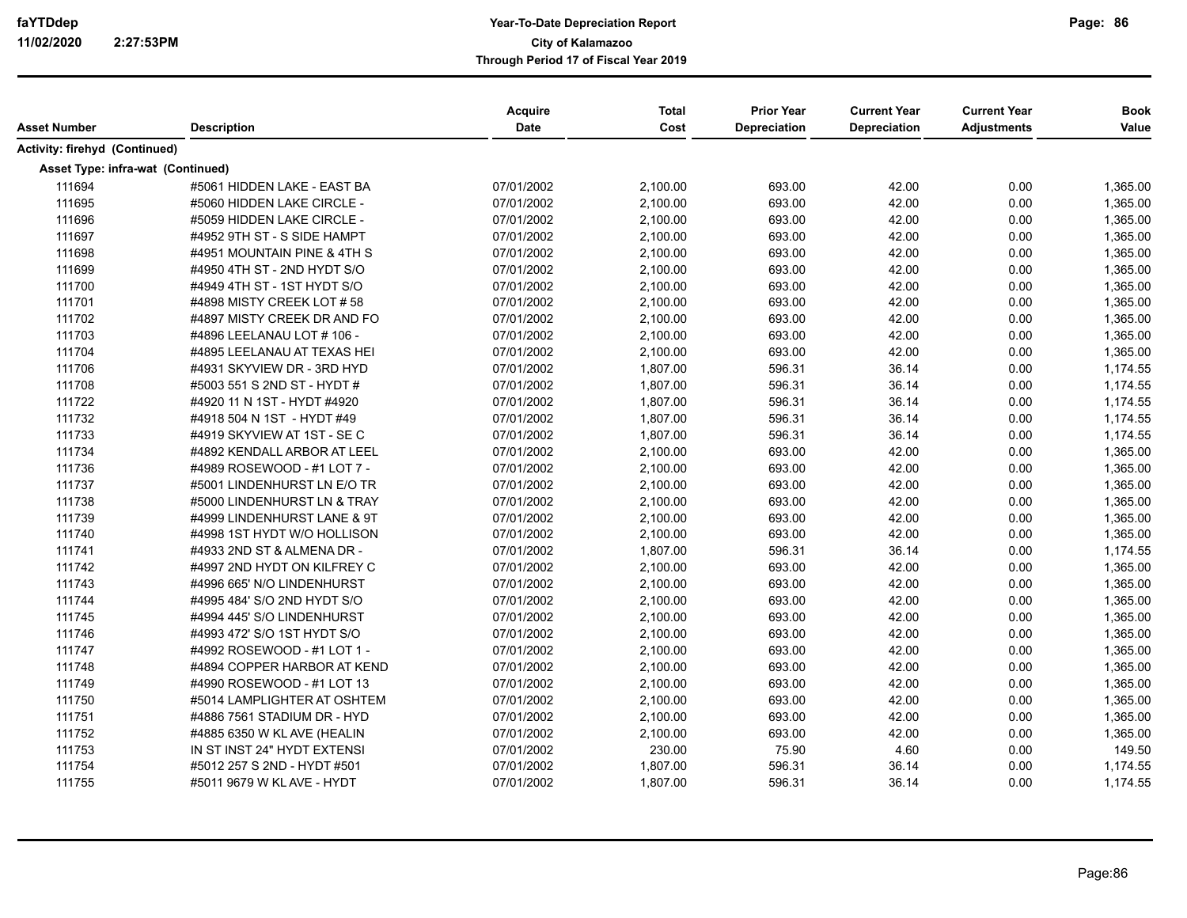| Asset Number                      | <b>Description</b>          | <b>Acquire</b><br>Date | <b>Total</b><br>Cost | <b>Prior Year</b><br>Depreciation | <b>Current Year</b><br>Depreciation | <b>Current Year</b><br><b>Adjustments</b> | <b>Book</b><br>Value |
|-----------------------------------|-----------------------------|------------------------|----------------------|-----------------------------------|-------------------------------------|-------------------------------------------|----------------------|
|                                   |                             |                        |                      |                                   |                                     |                                           |                      |
| Activity: firehyd (Continued)     |                             |                        |                      |                                   |                                     |                                           |                      |
| Asset Type: infra-wat (Continued) |                             |                        |                      |                                   |                                     |                                           |                      |
| 111694                            | #5061 HIDDEN LAKE - EAST BA | 07/01/2002             | 2,100.00             | 693.00                            | 42.00                               | 0.00                                      | 1,365.00             |
| 111695                            | #5060 HIDDEN LAKE CIRCLE -  | 07/01/2002             | 2,100.00             | 693.00                            | 42.00                               | 0.00                                      | 1,365.00             |
| 111696                            | #5059 HIDDEN LAKE CIRCLE -  | 07/01/2002             | 2,100.00             | 693.00                            | 42.00                               | 0.00                                      | 1,365.00             |
| 111697                            | #4952 9TH ST - S SIDE HAMPT | 07/01/2002             | 2,100.00             | 693.00                            | 42.00                               | 0.00                                      | 1,365.00             |
| 111698                            | #4951 MOUNTAIN PINE & 4TH S | 07/01/2002             | 2,100.00             | 693.00                            | 42.00                               | 0.00                                      | 1,365.00             |
| 111699                            | #4950 4TH ST - 2ND HYDT S/O | 07/01/2002             | 2,100.00             | 693.00                            | 42.00                               | 0.00                                      | 1,365.00             |
| 111700                            | #4949 4TH ST - 1ST HYDT S/O | 07/01/2002             | 2,100.00             | 693.00                            | 42.00                               | 0.00                                      | 1,365.00             |
| 111701                            | #4898 MISTY CREEK LOT # 58  | 07/01/2002             | 2,100.00             | 693.00                            | 42.00                               | 0.00                                      | 1,365.00             |
| 111702                            | #4897 MISTY CREEK DR AND FO | 07/01/2002             | 2,100.00             | 693.00                            | 42.00                               | 0.00                                      | 1,365.00             |
| 111703                            | #4896 LEELANAU LOT # 106 -  | 07/01/2002             | 2,100.00             | 693.00                            | 42.00                               | 0.00                                      | 1,365.00             |
| 111704                            | #4895 LEELANAU AT TEXAS HEI | 07/01/2002             | 2,100.00             | 693.00                            | 42.00                               | 0.00                                      | 1.365.00             |
| 111706                            | #4931 SKYVIEW DR - 3RD HYD  | 07/01/2002             | 1,807.00             | 596.31                            | 36.14                               | 0.00                                      | 1,174.55             |
| 111708                            | #5003 551 S 2ND ST - HYDT # | 07/01/2002             | 1,807.00             | 596.31                            | 36.14                               | 0.00                                      | 1,174.55             |
| 111722                            | #4920 11 N 1ST - HYDT #4920 | 07/01/2002             | 1,807.00             | 596.31                            | 36.14                               | 0.00                                      | 1,174.55             |
| 111732                            | #4918 504 N 1ST - HYDT #49  | 07/01/2002             | 1,807.00             | 596.31                            | 36.14                               | 0.00                                      | 1,174.55             |
| 111733                            | #4919 SKYVIEW AT 1ST - SE C | 07/01/2002             | 1,807.00             | 596.31                            | 36.14                               | 0.00                                      | 1,174.55             |
| 111734                            | #4892 KENDALL ARBOR AT LEEL | 07/01/2002             | 2,100.00             | 693.00                            | 42.00                               | 0.00                                      | 1,365.00             |
| 111736                            | #4989 ROSEWOOD - #1 LOT 7 - | 07/01/2002             | 2,100.00             | 693.00                            | 42.00                               | 0.00                                      | 1,365.00             |
| 111737                            | #5001 LINDENHURST LN E/O TR | 07/01/2002             | 2,100.00             | 693.00                            | 42.00                               | 0.00                                      | 1,365.00             |
| 111738                            | #5000 LINDENHURST LN & TRAY | 07/01/2002             | 2,100.00             | 693.00                            | 42.00                               | 0.00                                      | 1,365.00             |
| 111739                            | #4999 LINDENHURST LANE & 9T | 07/01/2002             | 2,100.00             | 693.00                            | 42.00                               | 0.00                                      | 1,365.00             |
| 111740                            | #4998 1ST HYDT W/O HOLLISON | 07/01/2002             | 2,100.00             | 693.00                            | 42.00                               | 0.00                                      | 1,365.00             |
| 111741                            | #4933 2ND ST & ALMENA DR -  | 07/01/2002             | 1,807.00             | 596.31                            | 36.14                               | 0.00                                      | 1,174.55             |
| 111742                            | #4997 2ND HYDT ON KILFREY C | 07/01/2002             | 2,100.00             | 693.00                            | 42.00                               | 0.00                                      | 1,365.00             |
| 111743                            | #4996 665' N/O LINDENHURST  | 07/01/2002             | 2,100.00             | 693.00                            | 42.00                               | 0.00                                      | 1,365.00             |
| 111744                            | #4995 484' S/O 2ND HYDT S/O | 07/01/2002             | 2,100.00             | 693.00                            | 42.00                               | 0.00                                      | 1,365.00             |
| 111745                            | #4994 445' S/O LINDENHURST  | 07/01/2002             | 2,100.00             | 693.00                            | 42.00                               | 0.00                                      | 1,365.00             |
| 111746                            | #4993 472' S/O 1ST HYDT S/O | 07/01/2002             | 2,100.00             | 693.00                            | 42.00                               | 0.00                                      | 1,365.00             |
| 111747                            | #4992 ROSEWOOD - #1 LOT 1 - | 07/01/2002             | 2,100.00             | 693.00                            | 42.00                               | 0.00                                      | 1,365.00             |
| 111748                            | #4894 COPPER HARBOR AT KEND | 07/01/2002             | 2,100.00             | 693.00                            | 42.00                               | 0.00                                      | 1,365.00             |
| 111749                            | #4990 ROSEWOOD - #1 LOT 13  | 07/01/2002             | 2,100.00             | 693.00                            | 42.00                               | 0.00                                      | 1,365.00             |
| 111750                            | #5014 LAMPLIGHTER AT OSHTEM | 07/01/2002             | 2,100.00             | 693.00                            | 42.00                               | 0.00                                      | 1,365.00             |
| 111751                            | #4886 7561 STADIUM DR - HYD | 07/01/2002             | 2,100.00             | 693.00                            | 42.00                               | 0.00                                      | 1,365.00             |
| 111752                            | #4885 6350 W KL AVE (HEALIN | 07/01/2002             | 2,100.00             | 693.00                            | 42.00                               | 0.00                                      | 1,365.00             |
| 111753                            | IN ST INST 24" HYDT EXTENSI | 07/01/2002             | 230.00               | 75.90                             | 4.60                                | 0.00                                      | 149.50               |
| 111754                            | #5012 257 S 2ND - HYDT #501 | 07/01/2002             | 1,807.00             | 596.31                            | 36.14                               | 0.00                                      | 1,174.55             |
| 111755                            | #5011 9679 W KL AVE - HYDT  | 07/01/2002             | 1,807.00             | 596.31                            | 36.14                               | 0.00                                      | 1,174.55             |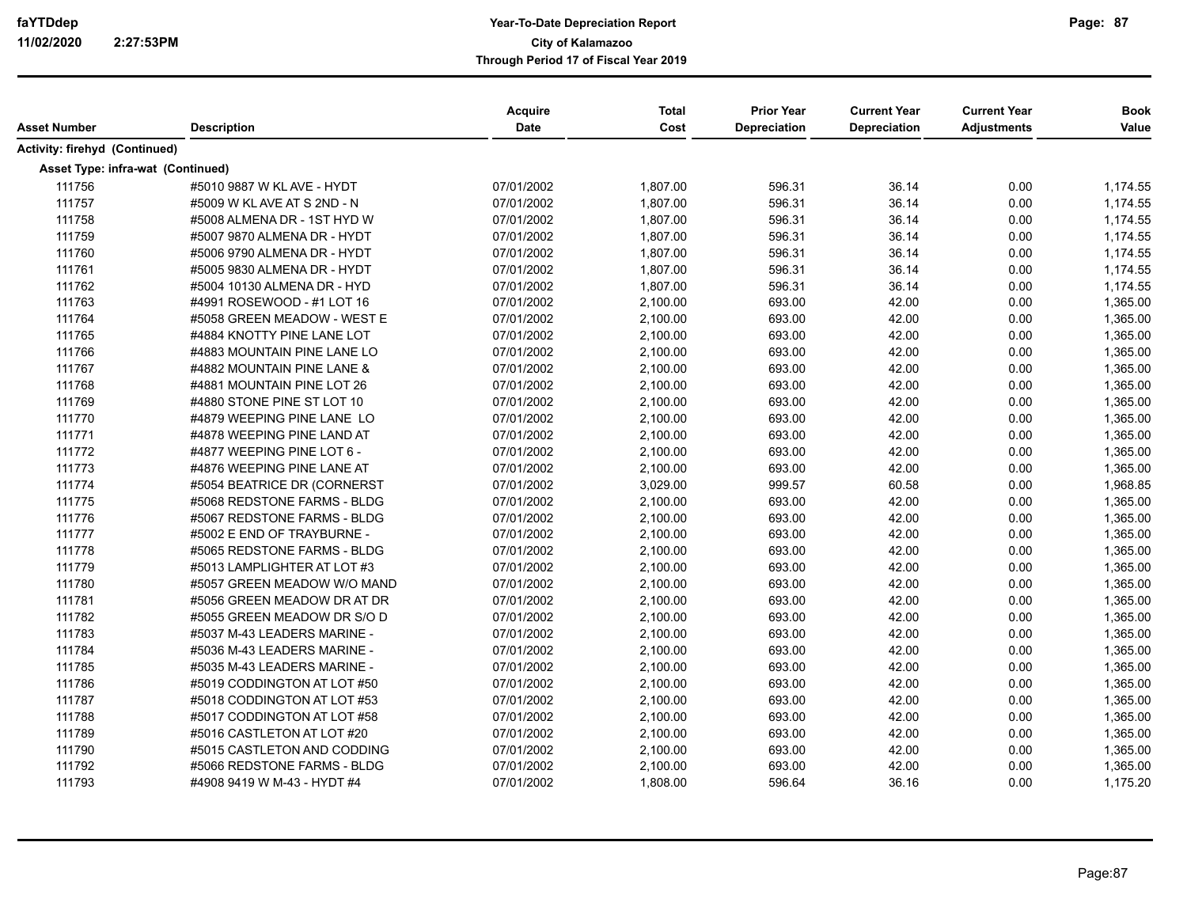| Asset Number                      | <b>Description</b>          | Acquire<br><b>Date</b> | <b>Total</b><br>Cost | <b>Prior Year</b><br><b>Depreciation</b> | <b>Current Year</b><br><b>Depreciation</b> | <b>Current Year</b><br><b>Adjustments</b> | <b>Book</b><br>Value |
|-----------------------------------|-----------------------------|------------------------|----------------------|------------------------------------------|--------------------------------------------|-------------------------------------------|----------------------|
| Activity: firehyd (Continued)     |                             |                        |                      |                                          |                                            |                                           |                      |
| Asset Type: infra-wat (Continued) |                             |                        |                      |                                          |                                            |                                           |                      |
| 111756                            | #5010 9887 W KL AVE - HYDT  | 07/01/2002             | 1,807.00             | 596.31                                   | 36.14                                      | 0.00                                      | 1,174.55             |
| 111757                            | #5009 W KL AVE AT S 2ND - N | 07/01/2002             | 1,807.00             | 596.31                                   | 36.14                                      | 0.00                                      | 1,174.55             |
| 111758                            | #5008 ALMENA DR - 1ST HYD W | 07/01/2002             | 1,807.00             | 596.31                                   | 36.14                                      | 0.00                                      | 1,174.55             |
| 111759                            | #5007 9870 ALMENA DR - HYDT | 07/01/2002             | 1,807.00             | 596.31                                   | 36.14                                      | 0.00                                      | 1,174.55             |
| 111760                            | #5006 9790 ALMENA DR - HYDT | 07/01/2002             | 1,807.00             | 596.31                                   | 36.14                                      | 0.00                                      | 1,174.55             |
| 111761                            | #5005 9830 ALMENA DR - HYDT | 07/01/2002             | 1,807.00             | 596.31                                   | 36.14                                      | 0.00                                      | 1,174.55             |
| 111762                            | #5004 10130 ALMENA DR - HYD | 07/01/2002             | 1,807.00             | 596.31                                   | 36.14                                      | 0.00                                      | 1,174.55             |
| 111763                            | #4991 ROSEWOOD - #1 LOT 16  | 07/01/2002             | 2,100.00             | 693.00                                   | 42.00                                      | 0.00                                      | 1,365.00             |
| 111764                            | #5058 GREEN MEADOW - WEST E | 07/01/2002             | 2,100.00             | 693.00                                   | 42.00                                      | 0.00                                      | 1,365.00             |
| 111765                            | #4884 KNOTTY PINE LANE LOT  | 07/01/2002             | 2,100.00             | 693.00                                   | 42.00                                      | 0.00                                      | 1,365.00             |
| 111766                            | #4883 MOUNTAIN PINE LANE LO | 07/01/2002             | 2,100.00             | 693.00                                   | 42.00                                      | 0.00                                      | 1,365.00             |
| 111767                            | #4882 MOUNTAIN PINE LANE &  | 07/01/2002             | 2,100.00             | 693.00                                   | 42.00                                      | 0.00                                      | 1,365.00             |
| 111768                            | #4881 MOUNTAIN PINE LOT 26  | 07/01/2002             | 2,100.00             | 693.00                                   | 42.00                                      | 0.00                                      | 1,365.00             |
| 111769                            | #4880 STONE PINE ST LOT 10  | 07/01/2002             | 2,100.00             | 693.00                                   | 42.00                                      | 0.00                                      | 1,365.00             |
| 111770                            | #4879 WEEPING PINE LANE LO  | 07/01/2002             | 2,100.00             | 693.00                                   | 42.00                                      | 0.00                                      | 1,365.00             |
| 111771                            | #4878 WEEPING PINE LAND AT  | 07/01/2002             | 2,100.00             | 693.00                                   | 42.00                                      | 0.00                                      | 1,365.00             |
| 111772                            | #4877 WEEPING PINE LOT 6 -  | 07/01/2002             | 2,100.00             | 693.00                                   | 42.00                                      | 0.00                                      | 1,365.00             |
| 111773                            | #4876 WEEPING PINE LANE AT  | 07/01/2002             | 2,100.00             | 693.00                                   | 42.00                                      | 0.00                                      | 1,365.00             |
| 111774                            | #5054 BEATRICE DR (CORNERST | 07/01/2002             | 3,029.00             | 999.57                                   | 60.58                                      | 0.00                                      | 1,968.85             |
| 111775                            | #5068 REDSTONE FARMS - BLDG | 07/01/2002             | 2,100.00             | 693.00                                   | 42.00                                      | 0.00                                      | 1,365.00             |
| 111776                            | #5067 REDSTONE FARMS - BLDG | 07/01/2002             | 2,100.00             | 693.00                                   | 42.00                                      | 0.00                                      | 1,365.00             |
| 111777                            | #5002 E END OF TRAYBURNE -  | 07/01/2002             | 2,100.00             | 693.00                                   | 42.00                                      | 0.00                                      | 1,365.00             |
| 111778                            | #5065 REDSTONE FARMS - BLDG | 07/01/2002             | 2,100.00             | 693.00                                   | 42.00                                      | 0.00                                      | 1,365.00             |
| 111779                            | #5013 LAMPLIGHTER AT LOT #3 | 07/01/2002             | 2,100.00             | 693.00                                   | 42.00                                      | 0.00                                      | 1,365.00             |
| 111780                            | #5057 GREEN MEADOW W/O MAND | 07/01/2002             | 2,100.00             | 693.00                                   | 42.00                                      | 0.00                                      | 1,365.00             |
| 111781                            | #5056 GREEN MEADOW DR AT DR | 07/01/2002             | 2,100.00             | 693.00                                   | 42.00                                      | 0.00                                      | 1,365.00             |
| 111782                            | #5055 GREEN MEADOW DR S/O D | 07/01/2002             | 2,100.00             | 693.00                                   | 42.00                                      | 0.00                                      | 1,365.00             |
| 111783                            | #5037 M-43 LEADERS MARINE - | 07/01/2002             | 2,100.00             | 693.00                                   | 42.00                                      | 0.00                                      | 1,365.00             |
| 111784                            | #5036 M-43 LEADERS MARINE - | 07/01/2002             | 2,100.00             | 693.00                                   | 42.00                                      | 0.00                                      | 1,365.00             |
| 111785                            | #5035 M-43 LEADERS MARINE - | 07/01/2002             | 2,100.00             | 693.00                                   | 42.00                                      | 0.00                                      | 1,365.00             |
| 111786                            | #5019 CODDINGTON AT LOT #50 | 07/01/2002             | 2,100.00             | 693.00                                   | 42.00                                      | 0.00                                      | 1,365.00             |
| 111787                            | #5018 CODDINGTON AT LOT #53 | 07/01/2002             | 2,100.00             | 693.00                                   | 42.00                                      | 0.00                                      | 1,365.00             |
| 111788                            | #5017 CODDINGTON AT LOT #58 | 07/01/2002             | 2,100.00             | 693.00                                   | 42.00                                      | 0.00                                      | 1,365.00             |
| 111789                            | #5016 CASTLETON AT LOT #20  | 07/01/2002             | 2,100.00             | 693.00                                   | 42.00                                      | 0.00                                      | 1,365.00             |
| 111790                            | #5015 CASTLETON AND CODDING | 07/01/2002             | 2,100.00             | 693.00                                   | 42.00                                      | 0.00                                      | 1,365.00             |
| 111792                            | #5066 REDSTONE FARMS - BLDG | 07/01/2002             | 2,100.00             | 693.00                                   | 42.00                                      | 0.00                                      | 1,365.00             |
| 111793                            | #4908 9419 W M-43 - HYDT #4 | 07/01/2002             | 1,808.00             | 596.64                                   | 36.16                                      | 0.00                                      | 1,175.20             |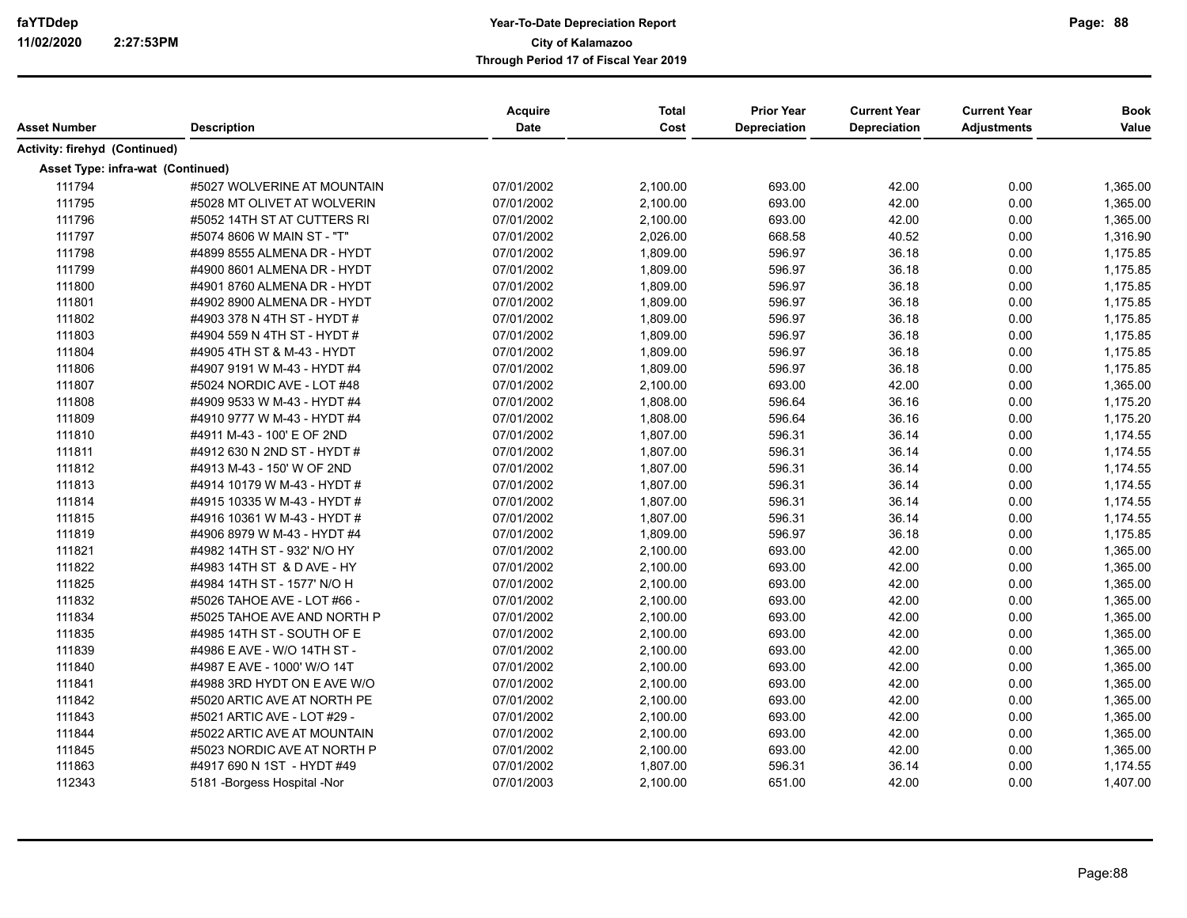|                                   |                               | <b>Acquire</b> | <b>Total</b> | <b>Prior Year</b> | <b>Current Year</b> | <b>Current Year</b> | <b>Book</b> |
|-----------------------------------|-------------------------------|----------------|--------------|-------------------|---------------------|---------------------|-------------|
| Asset Number                      | <b>Description</b>            | <b>Date</b>    | Cost         | Depreciation      | Depreciation        | <b>Adjustments</b>  | Value       |
| Activity: firehyd (Continued)     |                               |                |              |                   |                     |                     |             |
| Asset Type: infra-wat (Continued) |                               |                |              |                   |                     |                     |             |
| 111794                            | #5027 WOLVERINE AT MOUNTAIN   | 07/01/2002     | 2,100.00     | 693.00            | 42.00               | 0.00                | 1,365.00    |
| 111795                            | #5028 MT OLIVET AT WOLVERIN   | 07/01/2002     | 2,100.00     | 693.00            | 42.00               | 0.00                | 1,365.00    |
| 111796                            | #5052 14TH ST AT CUTTERS RI   | 07/01/2002     | 2,100.00     | 693.00            | 42.00               | 0.00                | 1,365.00    |
| 111797                            | #5074 8606 W MAIN ST - "T"    | 07/01/2002     | 2,026.00     | 668.58            | 40.52               | 0.00                | 1,316.90    |
| 111798                            | #4899 8555 ALMENA DR - HYDT   | 07/01/2002     | 1,809.00     | 596.97            | 36.18               | 0.00                | 1,175.85    |
| 111799                            | #4900 8601 ALMENA DR - HYDT   | 07/01/2002     | 1,809.00     | 596.97            | 36.18               | 0.00                | 1,175.85    |
| 111800                            | #4901 8760 ALMENA DR - HYDT   | 07/01/2002     | 1,809.00     | 596.97            | 36.18               | 0.00                | 1,175.85    |
| 111801                            | #4902 8900 ALMENA DR - HYDT   | 07/01/2002     | 1,809.00     | 596.97            | 36.18               | 0.00                | 1,175.85    |
| 111802                            | #4903 378 N 4TH ST - HYDT #   | 07/01/2002     | 1,809.00     | 596.97            | 36.18               | 0.00                | 1,175.85    |
| 111803                            | #4904 559 N 4TH ST - HYDT #   | 07/01/2002     | 1,809.00     | 596.97            | 36.18               | 0.00                | 1,175.85    |
| 111804                            | #4905 4TH ST & M-43 - HYDT    | 07/01/2002     | 1,809.00     | 596.97            | 36.18               | 0.00                | 1,175.85    |
| 111806                            | #4907 9191 W M-43 - HYDT #4   | 07/01/2002     | 1,809.00     | 596.97            | 36.18               | 0.00                | 1,175.85    |
| 111807                            | #5024 NORDIC AVE - LOT #48    | 07/01/2002     | 2,100.00     | 693.00            | 42.00               | 0.00                | 1,365.00    |
| 111808                            | #4909 9533 W M-43 - HYDT #4   | 07/01/2002     | 1,808.00     | 596.64            | 36.16               | 0.00                | 1,175.20    |
| 111809                            | #4910 9777 W M-43 - HYDT #4   | 07/01/2002     | 1,808.00     | 596.64            | 36.16               | 0.00                | 1,175.20    |
| 111810                            | #4911 M-43 - 100' E OF 2ND    | 07/01/2002     | 1,807.00     | 596.31            | 36.14               | 0.00                | 1,174.55    |
| 111811                            | #4912 630 N 2ND ST - HYDT #   | 07/01/2002     | 1,807.00     | 596.31            | 36.14               | 0.00                | 1,174.55    |
| 111812                            | #4913 M-43 - 150' W OF 2ND    | 07/01/2002     | 1,807.00     | 596.31            | 36.14               | 0.00                | 1,174.55    |
| 111813                            | #4914 10179 W M-43 - HYDT #   | 07/01/2002     | 1,807.00     | 596.31            | 36.14               | 0.00                | 1,174.55    |
| 111814                            | #4915 10335 W M-43 - HYDT #   | 07/01/2002     | 1,807.00     | 596.31            | 36.14               | 0.00                | 1,174.55    |
| 111815                            | #4916 10361 W M-43 - HYDT #   | 07/01/2002     | 1,807.00     | 596.31            | 36.14               | 0.00                | 1,174.55    |
| 111819                            | #4906 8979 W M-43 - HYDT #4   | 07/01/2002     | 1,809.00     | 596.97            | 36.18               | 0.00                | 1,175.85    |
| 111821                            | #4982 14TH ST - 932' N/O HY   | 07/01/2002     | 2,100.00     | 693.00            | 42.00               | 0.00                | 1,365.00    |
| 111822                            | #4983 14TH ST & D AVE - HY    | 07/01/2002     | 2,100.00     | 693.00            | 42.00               | 0.00                | 1,365.00    |
| 111825                            | #4984 14TH ST - 1577' N/O H   | 07/01/2002     | 2,100.00     | 693.00            | 42.00               | 0.00                | 1,365.00    |
| 111832                            | #5026 TAHOE AVE - LOT #66 -   | 07/01/2002     | 2,100.00     | 693.00            | 42.00               | 0.00                | 1,365.00    |
| 111834                            | #5025 TAHOE AVE AND NORTH P   | 07/01/2002     | 2,100.00     | 693.00            | 42.00               | 0.00                | 1,365.00    |
| 111835                            | #4985 14TH ST - SOUTH OF E    | 07/01/2002     | 2,100.00     | 693.00            | 42.00               | 0.00                | 1,365.00    |
| 111839                            | #4986 E AVE - W/O 14TH ST -   | 07/01/2002     | 2,100.00     | 693.00            | 42.00               | 0.00                | 1,365.00    |
| 111840                            | #4987 E AVE - 1000' W/O 14T   | 07/01/2002     | 2,100.00     | 693.00            | 42.00               | 0.00                | 1,365.00    |
| 111841                            | #4988 3RD HYDT ON E AVE W/O   | 07/01/2002     | 2,100.00     | 693.00            | 42.00               | 0.00                | 1,365.00    |
| 111842                            | #5020 ARTIC AVE AT NORTH PE   | 07/01/2002     | 2,100.00     | 693.00            | 42.00               | 0.00                | 1,365.00    |
| 111843                            | #5021 ARTIC AVE - LOT #29 -   | 07/01/2002     | 2,100.00     | 693.00            | 42.00               | 0.00                | 1,365.00    |
| 111844                            | #5022 ARTIC AVE AT MOUNTAIN   | 07/01/2002     | 2,100.00     | 693.00            | 42.00               | 0.00                | 1,365.00    |
| 111845                            | #5023 NORDIC AVE AT NORTH P   | 07/01/2002     | 2,100.00     | 693.00            | 42.00               | 0.00                | 1,365.00    |
| 111863                            | #4917 690 N 1ST - HYDT #49    | 07/01/2002     | 1,807.00     | 596.31            | 36.14               | 0.00                | 1,174.55    |
| 112343                            | 5181 - Borgess Hospital - Nor | 07/01/2003     | 2,100.00     | 651.00            | 42.00               | 0.00                | 1,407.00    |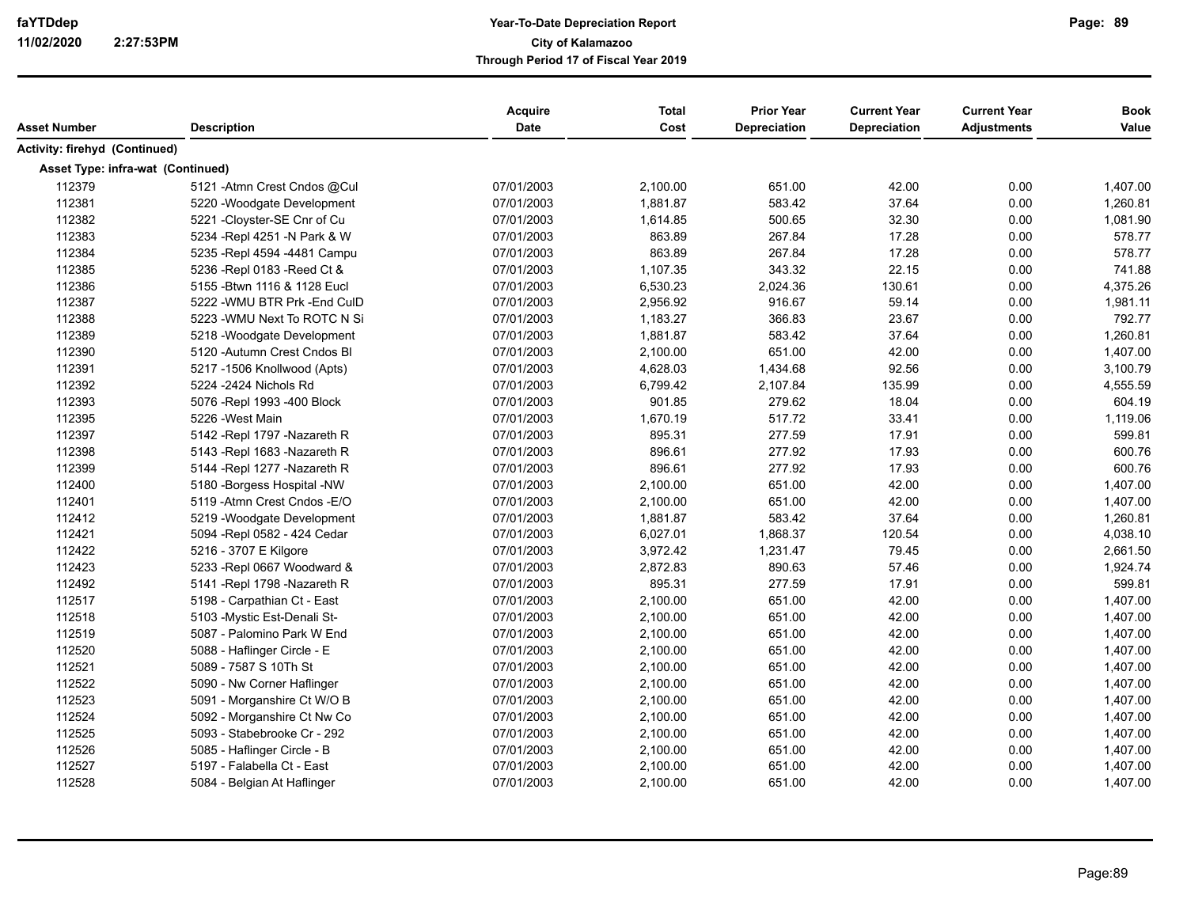| Asset Number                      | <b>Description</b>            | Acquire<br>Date | <b>Total</b><br>Cost | <b>Prior Year</b><br><b>Depreciation</b> | <b>Current Year</b><br>Depreciation | <b>Current Year</b><br><b>Adjustments</b> | <b>Book</b><br>Value |
|-----------------------------------|-------------------------------|-----------------|----------------------|------------------------------------------|-------------------------------------|-------------------------------------------|----------------------|
| Activity: firehyd (Continued)     |                               |                 |                      |                                          |                                     |                                           |                      |
| Asset Type: infra-wat (Continued) |                               |                 |                      |                                          |                                     |                                           |                      |
| 112379                            | 5121 - Atmn Crest Cndos @Cul  | 07/01/2003      | 2,100.00             | 651.00                                   | 42.00                               | 0.00                                      | 1,407.00             |
| 112381                            | 5220 - Woodgate Development   | 07/01/2003      | 1,881.87             | 583.42                                   | 37.64                               | 0.00                                      | 1,260.81             |
| 112382                            | 5221 -Cloyster-SE Cnr of Cu   | 07/01/2003      | 1,614.85             | 500.65                                   | 32.30                               | 0.00                                      | 1,081.90             |
| 112383                            | 5234 - Repl 4251 - N Park & W | 07/01/2003      | 863.89               | 267.84                                   | 17.28                               | 0.00                                      | 578.77               |
| 112384                            | 5235 - Repl 4594 - 4481 Campu | 07/01/2003      | 863.89               | 267.84                                   | 17.28                               | 0.00                                      | 578.77               |
| 112385                            | 5236 - Repl 0183 - Reed Ct &  | 07/01/2003      | 1,107.35             | 343.32                                   | 22.15                               | 0.00                                      | 741.88               |
| 112386                            | 5155 - Btwn 1116 & 1128 Eucl  | 07/01/2003      | 6,530.23             | 2,024.36                                 | 130.61                              | 0.00                                      | 4,375.26             |
| 112387                            | 5222 -WMU BTR Prk -End CuID   | 07/01/2003      | 2,956.92             | 916.67                                   | 59.14                               | 0.00                                      | 1,981.11             |
| 112388                            | 5223 -WMU Next To ROTC N Si   | 07/01/2003      | 1,183.27             | 366.83                                   | 23.67                               | 0.00                                      | 792.77               |
| 112389                            | 5218 - Woodgate Development   | 07/01/2003      | 1,881.87             | 583.42                                   | 37.64                               | 0.00                                      | 1,260.81             |
| 112390                            | 5120 - Autumn Crest Cndos BI  | 07/01/2003      | 2,100.00             | 651.00                                   | 42.00                               | 0.00                                      | 1,407.00             |
| 112391                            | 5217 -1506 Knollwood (Apts)   | 07/01/2003      | 4,628.03             | 1,434.68                                 | 92.56                               | 0.00                                      | 3,100.79             |
| 112392                            | 5224 -2424 Nichols Rd         | 07/01/2003      | 6,799.42             | 2,107.84                                 | 135.99                              | 0.00                                      | 4,555.59             |
| 112393                            | 5076 - Repl 1993 - 400 Block  | 07/01/2003      | 901.85               | 279.62                                   | 18.04                               | 0.00                                      | 604.19               |
| 112395                            | 5226 - West Main              | 07/01/2003      | 1,670.19             | 517.72                                   | 33.41                               | 0.00                                      | 1,119.06             |
| 112397                            | 5142 - Repl 1797 - Nazareth R | 07/01/2003      | 895.31               | 277.59                                   | 17.91                               | 0.00                                      | 599.81               |
| 112398                            | 5143 - Repl 1683 - Nazareth R | 07/01/2003      | 896.61               | 277.92                                   | 17.93                               | 0.00                                      | 600.76               |
| 112399                            | 5144 - Repl 1277 - Nazareth R | 07/01/2003      | 896.61               | 277.92                                   | 17.93                               | 0.00                                      | 600.76               |
| 112400                            | 5180 - Borgess Hospital - NW  | 07/01/2003      | 2,100.00             | 651.00                                   | 42.00                               | 0.00                                      | 1,407.00             |
| 112401                            | 5119 - Atmn Crest Cndos - E/O | 07/01/2003      | 2,100.00             | 651.00                                   | 42.00                               | 0.00                                      | 1,407.00             |
| 112412                            | 5219 - Woodgate Development   | 07/01/2003      | 1,881.87             | 583.42                                   | 37.64                               | 0.00                                      | 1,260.81             |
| 112421                            | 5094 - Repl 0582 - 424 Cedar  | 07/01/2003      | 6,027.01             | 1,868.37                                 | 120.54                              | 0.00                                      | 4,038.10             |
| 112422                            | 5216 - 3707 E Kilgore         | 07/01/2003      | 3,972.42             | 1,231.47                                 | 79.45                               | 0.00                                      | 2,661.50             |
| 112423                            | 5233 - Repl 0667 Woodward &   | 07/01/2003      | 2,872.83             | 890.63                                   | 57.46                               | 0.00                                      | 1,924.74             |
| 112492                            | 5141 - Repl 1798 - Nazareth R | 07/01/2003      | 895.31               | 277.59                                   | 17.91                               | 0.00                                      | 599.81               |
| 112517                            | 5198 - Carpathian Ct - East   | 07/01/2003      | 2,100.00             | 651.00                                   | 42.00                               | 0.00                                      | 1,407.00             |
| 112518                            | 5103 - Mystic Est-Denali St-  | 07/01/2003      | 2,100.00             | 651.00                                   | 42.00                               | 0.00                                      | 1,407.00             |
| 112519                            | 5087 - Palomino Park W End    | 07/01/2003      | 2,100.00             | 651.00                                   | 42.00                               | 0.00                                      | 1,407.00             |
| 112520                            | 5088 - Haflinger Circle - E   | 07/01/2003      | 2,100.00             | 651.00                                   | 42.00                               | 0.00                                      | 1,407.00             |
| 112521                            | 5089 - 7587 S 10Th St         | 07/01/2003      | 2,100.00             | 651.00                                   | 42.00                               | 0.00                                      | 1,407.00             |
| 112522                            | 5090 - Nw Corner Haflinger    | 07/01/2003      | 2,100.00             | 651.00                                   | 42.00                               | 0.00                                      | 1,407.00             |
| 112523                            | 5091 - Morganshire Ct W/O B   | 07/01/2003      | 2,100.00             | 651.00                                   | 42.00                               | 0.00                                      | 1,407.00             |
| 112524                            | 5092 - Morganshire Ct Nw Co   | 07/01/2003      | 2,100.00             | 651.00                                   | 42.00                               | 0.00                                      | 1,407.00             |
| 112525                            | 5093 - Stabebrooke Cr - 292   | 07/01/2003      | 2,100.00             | 651.00                                   | 42.00                               | 0.00                                      | 1,407.00             |
| 112526                            | 5085 - Haflinger Circle - B   | 07/01/2003      | 2,100.00             | 651.00                                   | 42.00                               | 0.00                                      | 1,407.00             |
| 112527                            | 5197 - Falabella Ct - East    | 07/01/2003      | 2,100.00             | 651.00                                   | 42.00                               | 0.00                                      | 1,407.00             |
| 112528                            | 5084 - Belgian At Haflinger   | 07/01/2003      | 2,100.00             | 651.00                                   | 42.00                               | 0.00                                      | 1,407.00             |
|                                   |                               |                 |                      |                                          |                                     |                                           |                      |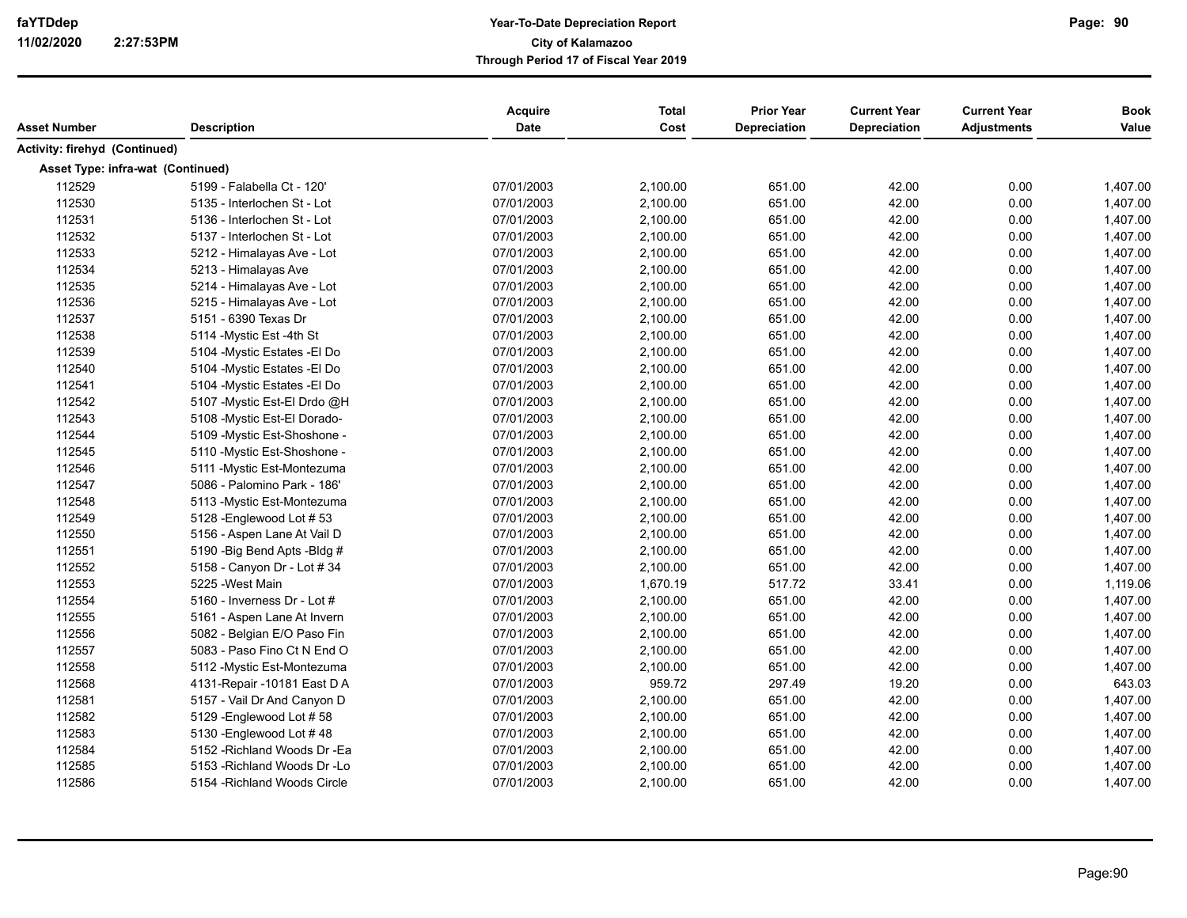| Asset Number                      | <b>Description</b>            | <b>Acquire</b><br><b>Date</b> | <b>Total</b><br>Cost | <b>Prior Year</b><br><b>Depreciation</b> | <b>Current Year</b><br><b>Depreciation</b> | <b>Current Year</b><br><b>Adjustments</b> | <b>Book</b><br>Value |
|-----------------------------------|-------------------------------|-------------------------------|----------------------|------------------------------------------|--------------------------------------------|-------------------------------------------|----------------------|
| Activity: firehyd (Continued)     |                               |                               |                      |                                          |                                            |                                           |                      |
| Asset Type: infra-wat (Continued) |                               |                               |                      |                                          |                                            |                                           |                      |
| 112529                            | 5199 - Falabella Ct - 120'    | 07/01/2003                    | 2,100.00             | 651.00                                   | 42.00                                      | 0.00                                      | 1,407.00             |
| 112530                            | 5135 - Interlochen St - Lot   | 07/01/2003                    | 2,100.00             | 651.00                                   | 42.00                                      | 0.00                                      | 1,407.00             |
| 112531                            | 5136 - Interlochen St - Lot   | 07/01/2003                    | 2,100.00             | 651.00                                   | 42.00                                      | 0.00                                      | 1,407.00             |
| 112532                            | 5137 - Interlochen St - Lot   | 07/01/2003                    | 2,100.00             | 651.00                                   | 42.00                                      | 0.00                                      | 1,407.00             |
| 112533                            | 5212 - Himalayas Ave - Lot    | 07/01/2003                    | 2,100.00             | 651.00                                   | 42.00                                      | 0.00                                      | 1,407.00             |
| 112534                            | 5213 - Himalayas Ave          | 07/01/2003                    | 2,100.00             | 651.00                                   | 42.00                                      | 0.00                                      | 1,407.00             |
| 112535                            | 5214 - Himalayas Ave - Lot    | 07/01/2003                    | 2,100.00             | 651.00                                   | 42.00                                      | 0.00                                      | 1,407.00             |
| 112536                            | 5215 - Himalayas Ave - Lot    | 07/01/2003                    | 2,100.00             | 651.00                                   | 42.00                                      | 0.00                                      | 1,407.00             |
| 112537                            | 5151 - 6390 Texas Dr          | 07/01/2003                    | 2,100.00             | 651.00                                   | 42.00                                      | 0.00                                      | 1,407.00             |
| 112538                            | 5114 - Mystic Est - 4th St    | 07/01/2003                    | 2,100.00             | 651.00                                   | 42.00                                      | 0.00                                      | 1,407.00             |
| 112539                            | 5104 - Mystic Estates - El Do | 07/01/2003                    | 2,100.00             | 651.00                                   | 42.00                                      | 0.00                                      | 1,407.00             |
| 112540                            | 5104 - Mystic Estates - El Do | 07/01/2003                    | 2,100.00             | 651.00                                   | 42.00                                      | 0.00                                      | 1,407.00             |
| 112541                            | 5104 - Mystic Estates - El Do | 07/01/2003                    | 2,100.00             | 651.00                                   | 42.00                                      | 0.00                                      | 1,407.00             |
| 112542                            | 5107 - Mystic Est-El Drdo @H  | 07/01/2003                    | 2,100.00             | 651.00                                   | 42.00                                      | 0.00                                      | 1,407.00             |
| 112543                            | 5108 - Mystic Est-El Dorado-  | 07/01/2003                    | 2,100.00             | 651.00                                   | 42.00                                      | 0.00                                      | 1,407.00             |
| 112544                            | 5109 - Mystic Est-Shoshone -  | 07/01/2003                    | 2,100.00             | 651.00                                   | 42.00                                      | 0.00                                      | 1,407.00             |
| 112545                            | 5110 - Mystic Est-Shoshone -  | 07/01/2003                    | 2,100.00             | 651.00                                   | 42.00                                      | 0.00                                      | 1,407.00             |
| 112546                            | 5111 - Mystic Est-Montezuma   | 07/01/2003                    | 2,100.00             | 651.00                                   | 42.00                                      | 0.00                                      | 1,407.00             |
| 112547                            | 5086 - Palomino Park - 186'   | 07/01/2003                    | 2,100.00             | 651.00                                   | 42.00                                      | 0.00                                      | 1,407.00             |
| 112548                            | 5113 - Mystic Est-Montezuma   | 07/01/2003                    | 2,100.00             | 651.00                                   | 42.00                                      | 0.00                                      | 1,407.00             |
| 112549                            | 5128 - Englewood Lot #53      | 07/01/2003                    | 2,100.00             | 651.00                                   | 42.00                                      | 0.00                                      | 1,407.00             |
| 112550                            | 5156 - Aspen Lane At Vail D   | 07/01/2003                    | 2,100.00             | 651.00                                   | 42.00                                      | 0.00                                      | 1,407.00             |
| 112551                            | 5190 - Big Bend Apts - Bldg # | 07/01/2003                    | 2,100.00             | 651.00                                   | 42.00                                      | 0.00                                      | 1,407.00             |
| 112552                            | 5158 - Canyon Dr - Lot # 34   | 07/01/2003                    | 2,100.00             | 651.00                                   | 42.00                                      | 0.00                                      | 1,407.00             |
| 112553                            | 5225 - West Main              | 07/01/2003                    | 1,670.19             | 517.72                                   | 33.41                                      | 0.00                                      | 1,119.06             |
| 112554                            | 5160 - Inverness Dr - Lot #   | 07/01/2003                    | 2,100.00             | 651.00                                   | 42.00                                      | 0.00                                      | 1,407.00             |
| 112555                            | 5161 - Aspen Lane At Invern   | 07/01/2003                    | 2,100.00             | 651.00                                   | 42.00                                      | 0.00                                      | 1,407.00             |
| 112556                            | 5082 - Belgian E/O Paso Fin   | 07/01/2003                    | 2,100.00             | 651.00                                   | 42.00                                      | 0.00                                      | 1,407.00             |
| 112557                            | 5083 - Paso Fino Ct N End O   | 07/01/2003                    | 2,100.00             | 651.00                                   | 42.00                                      | 0.00                                      | 1,407.00             |
| 112558                            | 5112 - Mystic Est-Montezuma   | 07/01/2003                    | 2,100.00             | 651.00                                   | 42.00                                      | 0.00                                      | 1,407.00             |
| 112568                            | 4131-Repair -10181 East D A   | 07/01/2003                    | 959.72               | 297.49                                   | 19.20                                      | 0.00                                      | 643.03               |
| 112581                            | 5157 - Vail Dr And Canyon D   | 07/01/2003                    | 2,100.00             | 651.00                                   | 42.00                                      | 0.00                                      | 1,407.00             |
| 112582                            | 5129 - Englewood Lot #58      | 07/01/2003                    | 2,100.00             | 651.00                                   | 42.00                                      | 0.00                                      | 1,407.00             |
| 112583                            | 5130 - Englewood Lot #48      | 07/01/2003                    | 2,100.00             | 651.00                                   | 42.00                                      | 0.00                                      | 1,407.00             |
| 112584                            | 5152 - Richland Woods Dr - Ea | 07/01/2003                    | 2,100.00             | 651.00                                   | 42.00                                      | 0.00                                      | 1,407.00             |
| 112585                            | 5153 - Richland Woods Dr - Lo | 07/01/2003                    | 2,100.00             | 651.00                                   | 42.00                                      | 0.00                                      | 1,407.00             |
| 112586                            | 5154 - Richland Woods Circle  | 07/01/2003                    | 2,100.00             | 651.00                                   | 42.00                                      | 0.00                                      | 1,407.00             |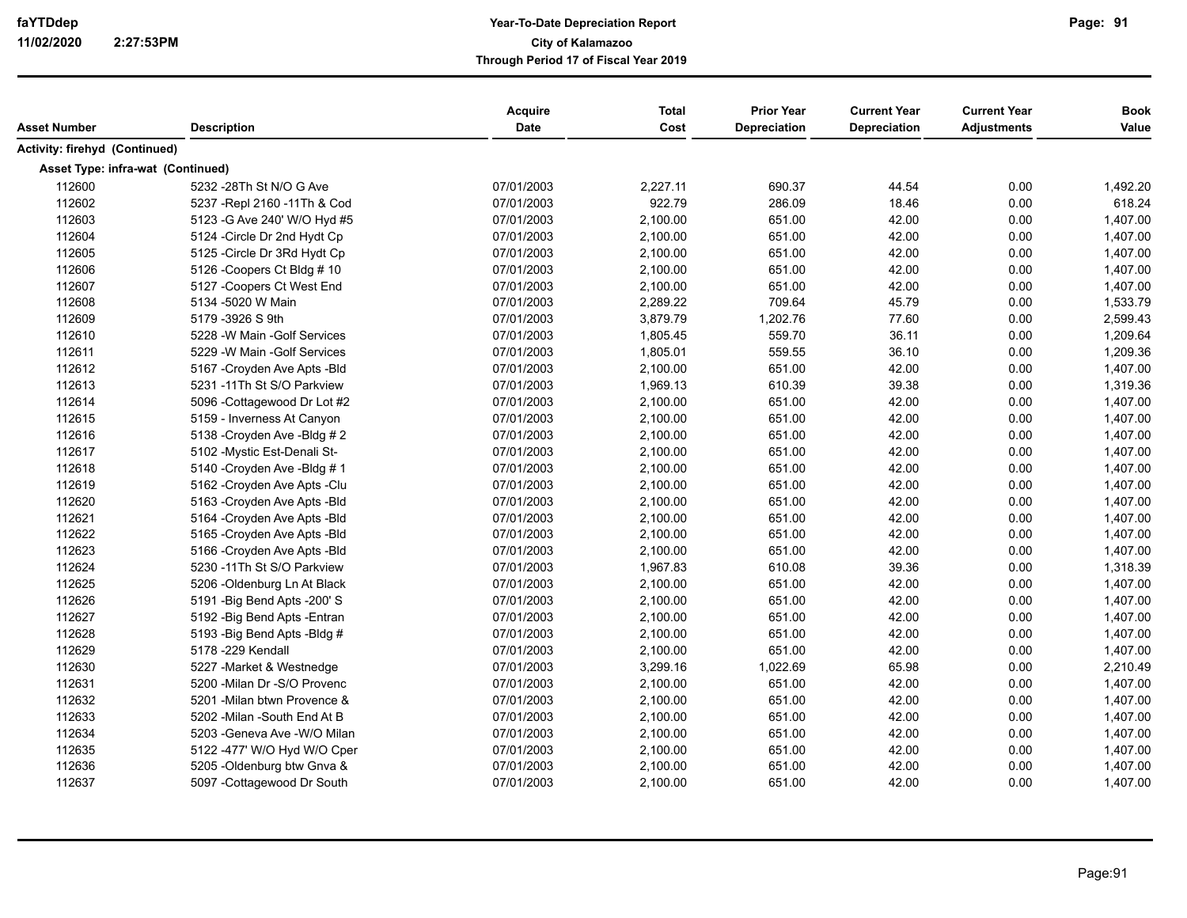| <b>Description</b><br>Asset Number       |                             | <b>Acquire</b><br>Date | <b>Total</b><br>Cost | <b>Prior Year</b><br><b>Depreciation</b> | <b>Current Year</b><br><b>Depreciation</b> | <b>Current Year</b><br><b>Adjustments</b> | <b>Book</b><br>Value |
|------------------------------------------|-----------------------------|------------------------|----------------------|------------------------------------------|--------------------------------------------|-------------------------------------------|----------------------|
| Activity: firehyd (Continued)            |                             |                        |                      |                                          |                                            |                                           |                      |
| Asset Type: infra-wat (Continued)        |                             |                        |                      |                                          |                                            |                                           |                      |
| 112600<br>5232 -28Th St N/O G Ave        |                             | 07/01/2003             | 2,227.11             | 690.37                                   | 44.54                                      | 0.00                                      | 1,492.20             |
| 112602<br>5237 - Repl 2160 - 11 Th & Cod |                             | 07/01/2003             | 922.79               | 286.09                                   | 18.46                                      | 0.00                                      | 618.24               |
| 112603<br>5123 - G Ave 240' W/O Hyd #5   |                             | 07/01/2003             | 2,100.00             | 651.00                                   | 42.00                                      | 0.00                                      | 1,407.00             |
| 112604<br>5124 - Circle Dr 2nd Hydt Cp   |                             | 07/01/2003             | 2,100.00             | 651.00                                   | 42.00                                      | 0.00                                      | 1,407.00             |
| 112605<br>5125 - Circle Dr 3Rd Hydt Cp   |                             | 07/01/2003             | 2,100.00             | 651.00                                   | 42.00                                      | 0.00                                      | 1,407.00             |
| 112606<br>5126 - Coopers Ct Bldg # 10    |                             | 07/01/2003             | 2,100.00             | 651.00                                   | 42.00                                      | 0.00                                      | 1,407.00             |
| 112607<br>5127 - Coopers Ct West End     |                             | 07/01/2003             | 2,100.00             | 651.00                                   | 42.00                                      | 0.00                                      | 1,407.00             |
| 112608<br>5134 -5020 W Main              |                             | 07/01/2003             | 2,289.22             | 709.64                                   | 45.79                                      | 0.00                                      | 1,533.79             |
| 112609<br>5179 -3926 S 9th               |                             | 07/01/2003             | 3,879.79             | 1,202.76                                 | 77.60                                      | 0.00                                      | 2,599.43             |
| 112610<br>5228 - W Main - Golf Services  |                             | 07/01/2003             | 1,805.45             | 559.70                                   | 36.11                                      | 0.00                                      | 1,209.64             |
| 112611<br>5229 - W Main - Golf Services  |                             | 07/01/2003             | 1,805.01             | 559.55                                   | 36.10                                      | 0.00                                      | 1,209.36             |
| 112612<br>5167 - Croyden Ave Apts - Bld  |                             | 07/01/2003             | 2,100.00             | 651.00                                   | 42.00                                      | 0.00                                      | 1,407.00             |
| 112613<br>5231 -11Th St S/O Parkview     |                             | 07/01/2003             | 1,969.13             | 610.39                                   | 39.38                                      | 0.00                                      | 1,319.36             |
| 112614<br>5096 - Cottagewood Dr Lot #2   |                             | 07/01/2003             | 2,100.00             | 651.00                                   | 42.00                                      | 0.00                                      | 1,407.00             |
| 112615<br>5159 - Inverness At Canyon     |                             | 07/01/2003             | 2,100.00             | 651.00                                   | 42.00                                      | 0.00                                      | 1,407.00             |
| 112616<br>5138 - Croyden Ave - Bldg #2   |                             | 07/01/2003             | 2,100.00             | 651.00                                   | 42.00                                      | 0.00                                      | 1,407.00             |
| 112617<br>5102 - Mystic Est-Denali St-   |                             | 07/01/2003             | 2,100.00             | 651.00                                   | 42.00                                      | 0.00                                      | 1,407.00             |
| 112618<br>5140 - Croyden Ave - Bldg #1   |                             | 07/01/2003             | 2,100.00             | 651.00                                   | 42.00                                      | 0.00                                      | 1,407.00             |
| 112619<br>5162 - Croyden Ave Apts - Clu  |                             | 07/01/2003             | 2,100.00             | 651.00                                   | 42.00                                      | 0.00                                      | 1,407.00             |
| 112620<br>5163 - Croyden Ave Apts - Bld  |                             | 07/01/2003             | 2,100.00             | 651.00                                   | 42.00                                      | 0.00                                      | 1,407.00             |
| 112621<br>5164 - Croyden Ave Apts - Bld  |                             | 07/01/2003             | 2,100.00             | 651.00                                   | 42.00                                      | 0.00                                      | 1,407.00             |
| 112622<br>5165 - Croyden Ave Apts - Bld  |                             | 07/01/2003             | 2,100.00             | 651.00                                   | 42.00                                      | 0.00                                      | 1,407.00             |
| 112623<br>5166 - Croyden Ave Apts - Bld  |                             | 07/01/2003             | 2,100.00             | 651.00                                   | 42.00                                      | 0.00                                      | 1,407.00             |
| 112624<br>5230 -11Th St S/O Parkview     |                             | 07/01/2003             | 1,967.83             | 610.08                                   | 39.36                                      | 0.00                                      | 1,318.39             |
| 112625<br>5206 - Oldenburg Ln At Black   |                             | 07/01/2003             | 2,100.00             | 651.00                                   | 42.00                                      | 0.00                                      | 1,407.00             |
| 112626<br>5191 - Big Bend Apts - 200' S  |                             | 07/01/2003             | 2,100.00             | 651.00                                   | 42.00                                      | 0.00                                      | 1,407.00             |
| 112627<br>5192 - Big Bend Apts - Entran  |                             | 07/01/2003             | 2,100.00             | 651.00                                   | 42.00                                      | 0.00                                      | 1,407.00             |
| 112628<br>5193 - Big Bend Apts - Bldg #  |                             | 07/01/2003             | 2,100.00             | 651.00                                   | 42.00                                      | 0.00                                      | 1,407.00             |
| 112629<br>5178 - 229 Kendall             |                             | 07/01/2003             | 2,100.00             | 651.00                                   | 42.00                                      | 0.00                                      | 1,407.00             |
| 112630<br>5227 - Market & Westnedge      |                             | 07/01/2003             | 3,299.16             | 1,022.69                                 | 65.98                                      | 0.00                                      | 2,210.49             |
| 112631<br>5200 - Milan Dr - S/O Provenc  |                             | 07/01/2003             | 2,100.00             | 651.00                                   | 42.00                                      | 0.00                                      | 1,407.00             |
| 112632<br>5201 - Milan btwn Provence &   |                             | 07/01/2003             | 2,100.00             | 651.00                                   | 42.00                                      | 0.00                                      | 1,407.00             |
| 112633<br>5202 - Milan - South End At B  |                             | 07/01/2003             | 2,100.00             | 651.00                                   | 42.00                                      | 0.00                                      | 1,407.00             |
| 112634<br>5203 - Geneva Ave - W/O Milan  |                             | 07/01/2003             | 2,100.00             | 651.00                                   | 42.00                                      | 0.00                                      | 1,407.00             |
| 112635                                   | 5122 -477' W/O Hyd W/O Cper | 07/01/2003             | 2,100.00             | 651.00                                   | 42.00                                      | 0.00                                      | 1,407.00             |
| 112636<br>5205 - Oldenburg btw Gnva &    |                             | 07/01/2003             | 2,100.00             | 651.00                                   | 42.00                                      | 0.00                                      | 1,407.00             |
| 112637<br>5097 - Cottagewood Dr South    |                             | 07/01/2003             | 2,100.00             | 651.00                                   | 42.00                                      | 0.00                                      | 1,407.00             |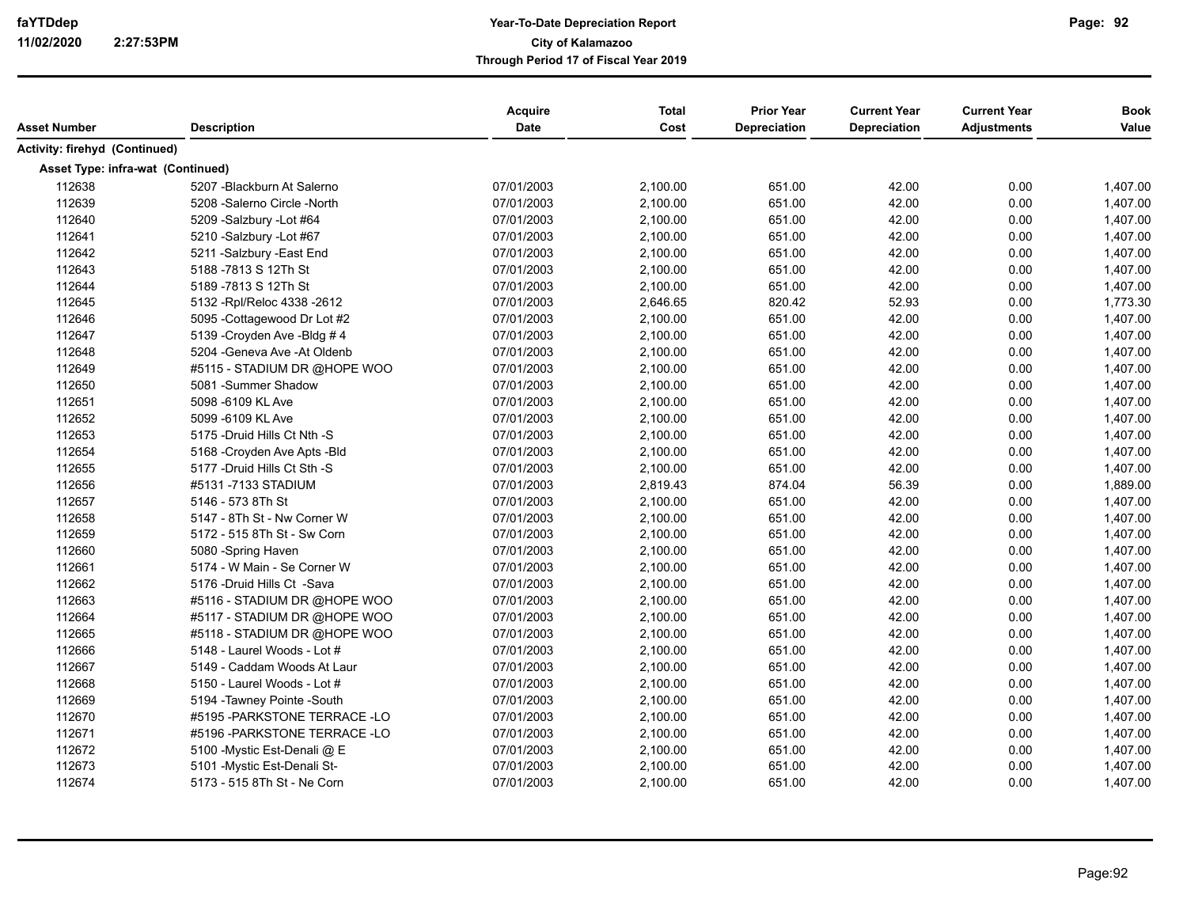| Asset Number                      | <b>Description</b>             | <b>Acquire</b><br><b>Date</b> | <b>Total</b><br>Cost | <b>Prior Year</b><br>Depreciation | <b>Current Year</b><br><b>Depreciation</b> | <b>Current Year</b><br><b>Adjustments</b> | <b>Book</b><br>Value |
|-----------------------------------|--------------------------------|-------------------------------|----------------------|-----------------------------------|--------------------------------------------|-------------------------------------------|----------------------|
| Activity: firehyd (Continued)     |                                |                               |                      |                                   |                                            |                                           |                      |
| Asset Type: infra-wat (Continued) |                                |                               |                      |                                   |                                            |                                           |                      |
| 112638                            | 5207 - Blackburn At Salerno    | 07/01/2003                    | 2,100.00             | 651.00                            | 42.00                                      | 0.00                                      | 1,407.00             |
| 112639                            | 5208 - Salerno Circle - North  | 07/01/2003                    | 2,100.00             | 651.00                            | 42.00                                      | 0.00                                      | 1,407.00             |
| 112640                            | 5209 -Salzbury -Lot #64        | 07/01/2003                    | 2,100.00             | 651.00                            | 42.00                                      | 0.00                                      | 1,407.00             |
| 112641                            | 5210 -Salzbury -Lot #67        | 07/01/2003                    | 2,100.00             | 651.00                            | 42.00                                      | 0.00                                      | 1,407.00             |
| 112642                            | 5211 - Salzbury - East End     | 07/01/2003                    | 2,100.00             | 651.00                            | 42.00                                      | 0.00                                      | 1,407.00             |
| 112643                            | 5188 -7813 S 12Th St           | 07/01/2003                    | 2,100.00             | 651.00                            | 42.00                                      | 0.00                                      | 1,407.00             |
| 112644                            | 5189 - 7813 S 12Th St          | 07/01/2003                    | 2,100.00             | 651.00                            | 42.00                                      | 0.00                                      | 1,407.00             |
| 112645                            | 5132 - Rpl/Reloc 4338 - 2612   | 07/01/2003                    | 2,646.65             | 820.42                            | 52.93                                      | 0.00                                      | 1,773.30             |
| 112646                            | 5095 - Cottagewood Dr Lot #2   | 07/01/2003                    | 2,100.00             | 651.00                            | 42.00                                      | 0.00                                      | 1,407.00             |
| 112647                            | 5139 - Croyden Ave - Bldg #4   | 07/01/2003                    | 2,100.00             | 651.00                            | 42.00                                      | 0.00                                      | 1,407.00             |
| 112648                            | 5204 - Geneva Ave - At Oldenb  | 07/01/2003                    | 2,100.00             | 651.00                            | 42.00                                      | 0.00                                      | 1,407.00             |
| 112649                            | #5115 - STADIUM DR @HOPE WOO   | 07/01/2003                    | 2,100.00             | 651.00                            | 42.00                                      | 0.00                                      | 1,407.00             |
| 112650                            | 5081 - Summer Shadow           | 07/01/2003                    | 2,100.00             | 651.00                            | 42.00                                      | 0.00                                      | 1,407.00             |
| 112651                            | 5098 -6109 KL Ave              | 07/01/2003                    | 2,100.00             | 651.00                            | 42.00                                      | 0.00                                      | 1,407.00             |
| 112652                            | 5099 -6109 KL Ave              | 07/01/2003                    | 2,100.00             | 651.00                            | 42.00                                      | 0.00                                      | 1,407.00             |
| 112653                            | 5175 - Druid Hills Ct Nth - S  | 07/01/2003                    | 2,100.00             | 651.00                            | 42.00                                      | 0.00                                      | 1,407.00             |
| 112654                            | 5168 - Croyden Ave Apts - Bld  | 07/01/2003                    | 2,100.00             | 651.00                            | 42.00                                      | 0.00                                      | 1,407.00             |
| 112655                            | 5177 - Druid Hills Ct Sth - S  | 07/01/2003                    | 2,100.00             | 651.00                            | 42.00                                      | 0.00                                      | 1,407.00             |
| 112656                            | #5131 -7133 STADIUM            | 07/01/2003                    | 2,819.43             | 874.04                            | 56.39                                      | 0.00                                      | 1,889.00             |
| 112657                            | 5146 - 573 8Th St              | 07/01/2003                    | 2,100.00             | 651.00                            | 42.00                                      | 0.00                                      | 1,407.00             |
| 112658                            | 5147 - 8Th St - Nw Corner W    | 07/01/2003                    | 2,100.00             | 651.00                            | 42.00                                      | 0.00                                      | 1,407.00             |
| 112659                            | 5172 - 515 8Th St - Sw Corn    | 07/01/2003                    | 2,100.00             | 651.00                            | 42.00                                      | 0.00                                      | 1,407.00             |
| 112660                            | 5080 - Spring Haven            | 07/01/2003                    | 2,100.00             | 651.00                            | 42.00                                      | 0.00                                      | 1,407.00             |
| 112661                            | 5174 - W Main - Se Corner W    | 07/01/2003                    | 2,100.00             | 651.00                            | 42.00                                      | 0.00                                      | 1,407.00             |
| 112662                            | 5176 -Druid Hills Ct -Sava     | 07/01/2003                    | 2,100.00             | 651.00                            | 42.00                                      | 0.00                                      | 1,407.00             |
| 112663                            | #5116 - STADIUM DR @HOPE WOO   | 07/01/2003                    | 2,100.00             | 651.00                            | 42.00                                      | 0.00                                      | 1,407.00             |
| 112664                            | #5117 - STADIUM DR @HOPE WOO   | 07/01/2003                    | 2,100.00             | 651.00                            | 42.00                                      | 0.00                                      | 1,407.00             |
| 112665                            | #5118 - STADIUM DR @HOPE WOO   | 07/01/2003                    | 2,100.00             | 651.00                            | 42.00                                      | 0.00                                      | 1,407.00             |
| 112666                            | 5148 - Laurel Woods - Lot #    | 07/01/2003                    | 2,100.00             | 651.00                            | 42.00                                      | 0.00                                      | 1,407.00             |
| 112667                            | 5149 - Caddam Woods At Laur    | 07/01/2003                    | 2,100.00             | 651.00                            | 42.00                                      | 0.00                                      | 1,407.00             |
| 112668                            | 5150 - Laurel Woods - Lot #    | 07/01/2003                    | 2,100.00             | 651.00                            | 42.00                                      | 0.00                                      | 1,407.00             |
| 112669                            | 5194 - Tawney Pointe - South   | 07/01/2003                    | 2,100.00             | 651.00                            | 42.00                                      | 0.00                                      | 1,407.00             |
| 112670                            | #5195 - PARKSTONE TERRACE - LO | 07/01/2003                    | 2,100.00             | 651.00                            | 42.00                                      | 0.00                                      | 1,407.00             |
| 112671                            | #5196 - PARKSTONE TERRACE - LO | 07/01/2003                    | 2,100.00             | 651.00                            | 42.00                                      | 0.00                                      | 1,407.00             |
| 112672                            | 5100 - Mystic Est-Denali @ E   | 07/01/2003                    | 2,100.00             | 651.00                            | 42.00                                      | 0.00                                      | 1,407.00             |
| 112673                            | 5101 - Mystic Est-Denali St-   | 07/01/2003                    | 2,100.00             | 651.00                            | 42.00                                      | 0.00                                      | 1,407.00             |
| 112674                            | 5173 - 515 8Th St - Ne Corn    | 07/01/2003                    | 2,100.00             | 651.00                            | 42.00                                      | 0.00                                      | 1,407.00             |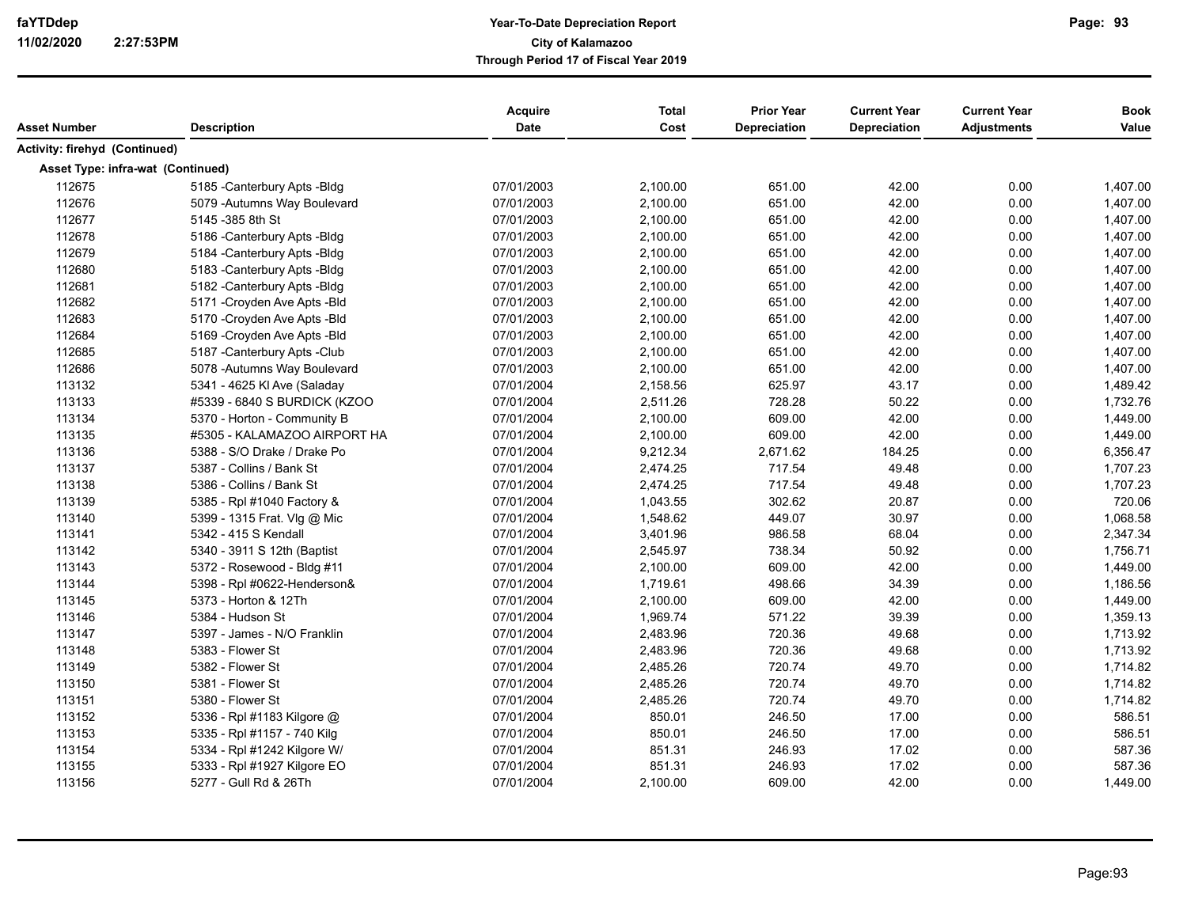| Asset Number                      | <b>Description</b>            | Acquire<br>Date | <b>Total</b><br>Cost | <b>Prior Year</b><br>Depreciation | <b>Current Year</b><br>Depreciation | <b>Current Year</b><br><b>Adjustments</b> | <b>Book</b><br>Value |
|-----------------------------------|-------------------------------|-----------------|----------------------|-----------------------------------|-------------------------------------|-------------------------------------------|----------------------|
| Activity: firehyd (Continued)     |                               |                 |                      |                                   |                                     |                                           |                      |
| Asset Type: infra-wat (Continued) |                               |                 |                      |                                   |                                     |                                           |                      |
| 112675                            | 5185 - Canterbury Apts - Bldg | 07/01/2003      | 2,100.00             | 651.00                            | 42.00                               | 0.00                                      | 1,407.00             |
| 112676                            | 5079 - Autumns Way Boulevard  | 07/01/2003      | 2,100.00             | 651.00                            | 42.00                               | 0.00                                      | 1,407.00             |
| 112677                            | 5145 - 385 8th St             | 07/01/2003      | 2,100.00             | 651.00                            | 42.00                               | 0.00                                      | 1,407.00             |
| 112678                            | 5186 - Canterbury Apts - Bldg | 07/01/2003      | 2,100.00             | 651.00                            | 42.00                               | 0.00                                      | 1,407.00             |
| 112679                            | 5184 - Canterbury Apts - Bldg | 07/01/2003      | 2,100.00             | 651.00                            | 42.00                               | 0.00                                      | 1,407.00             |
| 112680                            | 5183 - Canterbury Apts - Bldg | 07/01/2003      | 2,100.00             | 651.00                            | 42.00                               | 0.00                                      | 1,407.00             |
| 112681                            | 5182 - Canterbury Apts - Bldg | 07/01/2003      | 2,100.00             | 651.00                            | 42.00                               | 0.00                                      | 1,407.00             |
| 112682                            | 5171 - Croyden Ave Apts - Bld | 07/01/2003      | 2,100.00             | 651.00                            | 42.00                               | 0.00                                      | 1,407.00             |
| 112683                            | 5170 - Croyden Ave Apts - Bld | 07/01/2003      | 2,100.00             | 651.00                            | 42.00                               | 0.00                                      | 1,407.00             |
| 112684                            | 5169 - Croyden Ave Apts - Bld | 07/01/2003      | 2,100.00             | 651.00                            | 42.00                               | 0.00                                      | 1,407.00             |
| 112685                            | 5187 - Canterbury Apts - Club | 07/01/2003      | 2,100.00             | 651.00                            | 42.00                               | 0.00                                      | 1,407.00             |
| 112686                            | 5078 - Autumns Way Boulevard  | 07/01/2003      | 2,100.00             | 651.00                            | 42.00                               | 0.00                                      | 1,407.00             |
| 113132                            | 5341 - 4625 KI Ave (Saladay   | 07/01/2004      | 2,158.56             | 625.97                            | 43.17                               | 0.00                                      | 1,489.42             |
| 113133                            | #5339 - 6840 S BURDICK (KZOO  | 07/01/2004      | 2,511.26             | 728.28                            | 50.22                               | 0.00                                      | 1,732.76             |
| 113134                            | 5370 - Horton - Community B   | 07/01/2004      | 2,100.00             | 609.00                            | 42.00                               | 0.00                                      | 1,449.00             |
| 113135                            | #5305 - KALAMAZOO AIRPORT HA  | 07/01/2004      | 2,100.00             | 609.00                            | 42.00                               | 0.00                                      | 1,449.00             |
| 113136                            | 5388 - S/O Drake / Drake Po   | 07/01/2004      | 9,212.34             | 2,671.62                          | 184.25                              | 0.00                                      | 6,356.47             |
| 113137                            | 5387 - Collins / Bank St      | 07/01/2004      | 2,474.25             | 717.54                            | 49.48                               | 0.00                                      | 1,707.23             |
| 113138                            | 5386 - Collins / Bank St      | 07/01/2004      | 2,474.25             | 717.54                            | 49.48                               | 0.00                                      | 1,707.23             |
| 113139                            | 5385 - Rpl #1040 Factory &    | 07/01/2004      | 1,043.55             | 302.62                            | 20.87                               | 0.00                                      | 720.06               |
| 113140                            | 5399 - 1315 Frat. Vlg @ Mic   | 07/01/2004      | 1,548.62             | 449.07                            | 30.97                               | 0.00                                      | 1,068.58             |
| 113141                            | 5342 - 415 S Kendall          | 07/01/2004      | 3,401.96             | 986.58                            | 68.04                               | 0.00                                      | 2,347.34             |
| 113142                            | 5340 - 3911 S 12th (Baptist   | 07/01/2004      | 2,545.97             | 738.34                            | 50.92                               | 0.00                                      | 1,756.71             |
| 113143                            | 5372 - Rosewood - Bldg #11    | 07/01/2004      | 2,100.00             | 609.00                            | 42.00                               | 0.00                                      | 1,449.00             |
| 113144                            | 5398 - Rpl #0622-Henderson&   | 07/01/2004      | 1,719.61             | 498.66                            | 34.39                               | 0.00                                      | 1,186.56             |
| 113145                            | 5373 - Horton & 12Th          | 07/01/2004      | 2,100.00             | 609.00                            | 42.00                               | 0.00                                      | 1,449.00             |
| 113146                            | 5384 - Hudson St              | 07/01/2004      | 1,969.74             | 571.22                            | 39.39                               | 0.00                                      | 1,359.13             |
| 113147                            | 5397 - James - N/O Franklin   | 07/01/2004      | 2,483.96             | 720.36                            | 49.68                               | 0.00                                      | 1,713.92             |
| 113148                            | 5383 - Flower St              | 07/01/2004      | 2,483.96             | 720.36                            | 49.68                               | 0.00                                      | 1,713.92             |
| 113149                            | 5382 - Flower St              | 07/01/2004      | 2,485.26             | 720.74                            | 49.70                               | 0.00                                      | 1,714.82             |
| 113150                            | 5381 - Flower St              | 07/01/2004      | 2,485.26             | 720.74                            | 49.70                               | 0.00                                      | 1,714.82             |
| 113151                            | 5380 - Flower St              | 07/01/2004      | 2,485.26             | 720.74                            | 49.70                               | 0.00                                      | 1,714.82             |
| 113152                            | 5336 - Rpl #1183 Kilgore @    | 07/01/2004      | 850.01               | 246.50                            | 17.00                               | 0.00                                      | 586.51               |
| 113153                            | 5335 - Rpl #1157 - 740 Kilg   | 07/01/2004      | 850.01               | 246.50                            | 17.00                               | 0.00                                      | 586.51               |
| 113154                            | 5334 - Rpl #1242 Kilgore W/   | 07/01/2004      | 851.31               | 246.93                            | 17.02                               | 0.00                                      | 587.36               |
| 113155                            | 5333 - Rpl #1927 Kilgore EO   | 07/01/2004      | 851.31               | 246.93                            | 17.02                               | 0.00                                      | 587.36               |
| 113156                            | 5277 - Gull Rd & 26Th         | 07/01/2004      | 2,100.00             | 609.00                            | 42.00                               | 0.00                                      | 1,449.00             |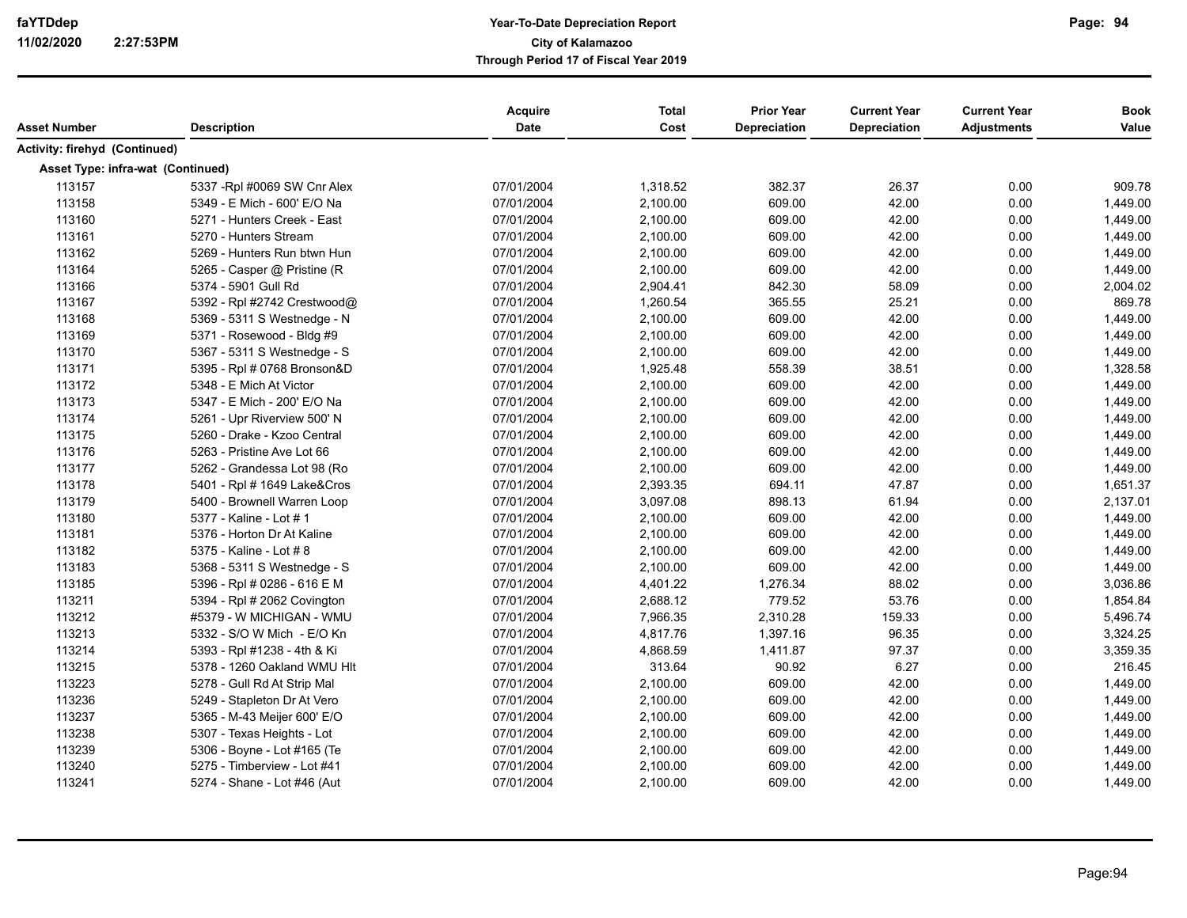| Asset Number                      | <b>Description</b>           | Acquire<br>Date | <b>Total</b><br>Cost | <b>Prior Year</b><br>Depreciation | <b>Current Year</b><br>Depreciation | <b>Current Year</b><br><b>Adjustments</b> | <b>Book</b><br>Value |
|-----------------------------------|------------------------------|-----------------|----------------------|-----------------------------------|-------------------------------------|-------------------------------------------|----------------------|
| Activity: firehyd (Continued)     |                              |                 |                      |                                   |                                     |                                           |                      |
| Asset Type: infra-wat (Continued) |                              |                 |                      |                                   |                                     |                                           |                      |
| 113157                            | 5337 - Rpl #0069 SW Cnr Alex | 07/01/2004      | 1,318.52             | 382.37                            | 26.37                               | 0.00                                      | 909.78               |
| 113158                            | 5349 - E Mich - 600' E/O Na  | 07/01/2004      | 2,100.00             | 609.00                            | 42.00                               | 0.00                                      | 1,449.00             |
| 113160                            | 5271 - Hunters Creek - East  | 07/01/2004      | 2,100.00             | 609.00                            | 42.00                               | 0.00                                      | 1,449.00             |
| 113161                            | 5270 - Hunters Stream        | 07/01/2004      | 2,100.00             | 609.00                            | 42.00                               | 0.00                                      | 1,449.00             |
| 113162                            | 5269 - Hunters Run btwn Hun  | 07/01/2004      | 2,100.00             | 609.00                            | 42.00                               | 0.00                                      | 1,449.00             |
| 113164                            | 5265 - Casper @ Pristine (R  | 07/01/2004      | 2,100.00             | 609.00                            | 42.00                               | 0.00                                      | 1,449.00             |
| 113166                            | 5374 - 5901 Gull Rd          | 07/01/2004      | 2,904.41             | 842.30                            | 58.09                               | 0.00                                      | 2,004.02             |
| 113167                            | 5392 - Rpl #2742 Crestwood@  | 07/01/2004      | 1,260.54             | 365.55                            | 25.21                               | 0.00                                      | 869.78               |
| 113168                            | 5369 - 5311 S Westnedge - N  | 07/01/2004      | 2,100.00             | 609.00                            | 42.00                               | 0.00                                      | 1,449.00             |
| 113169                            | 5371 - Rosewood - Bldg #9    | 07/01/2004      | 2,100.00             | 609.00                            | 42.00                               | 0.00                                      | 1,449.00             |
| 113170                            | 5367 - 5311 S Westnedge - S  | 07/01/2004      | 2,100.00             | 609.00                            | 42.00                               | 0.00                                      | 1,449.00             |
| 113171                            | 5395 - Rpl # 0768 Bronson&D  | 07/01/2004      | 1,925.48             | 558.39                            | 38.51                               | 0.00                                      | 1,328.58             |
| 113172                            | 5348 - E Mich At Victor      | 07/01/2004      | 2,100.00             | 609.00                            | 42.00                               | 0.00                                      | 1,449.00             |
| 113173                            | 5347 - E Mich - 200' E/O Na  | 07/01/2004      | 2,100.00             | 609.00                            | 42.00                               | 0.00                                      | 1,449.00             |
| 113174                            | 5261 - Upr Riverview 500' N  | 07/01/2004      | 2,100.00             | 609.00                            | 42.00                               | 0.00                                      | 1,449.00             |
| 113175                            | 5260 - Drake - Kzoo Central  | 07/01/2004      | 2,100.00             | 609.00                            | 42.00                               | 0.00                                      | 1,449.00             |
| 113176                            | 5263 - Pristine Ave Lot 66   | 07/01/2004      | 2,100.00             | 609.00                            | 42.00                               | 0.00                                      | 1,449.00             |
| 113177                            | 5262 - Grandessa Lot 98 (Ro  | 07/01/2004      | 2,100.00             | 609.00                            | 42.00                               | 0.00                                      | 1,449.00             |
| 113178                            | 5401 - Rpl # 1649 Lake&Cros  | 07/01/2004      | 2,393.35             | 694.11                            | 47.87                               | 0.00                                      | 1,651.37             |
| 113179                            | 5400 - Brownell Warren Loop  | 07/01/2004      | 3,097.08             | 898.13                            | 61.94                               | 0.00                                      | 2,137.01             |
| 113180                            | 5377 - Kaline - Lot # 1      | 07/01/2004      | 2,100.00             | 609.00                            | 42.00                               | 0.00                                      | 1,449.00             |
| 113181                            | 5376 - Horton Dr At Kaline   | 07/01/2004      | 2,100.00             | 609.00                            | 42.00                               | 0.00                                      | 1,449.00             |
| 113182                            | 5375 - Kaline - Lot # 8      | 07/01/2004      | 2,100.00             | 609.00                            | 42.00                               | 0.00                                      | 1,449.00             |
| 113183                            | 5368 - 5311 S Westnedge - S  | 07/01/2004      | 2,100.00             | 609.00                            | 42.00                               | 0.00                                      | 1,449.00             |
| 113185                            | 5396 - Rpl # 0286 - 616 E M  | 07/01/2004      | 4,401.22             | 1,276.34                          | 88.02                               | 0.00                                      | 3,036.86             |
| 113211                            | 5394 - Rpl # 2062 Covington  | 07/01/2004      | 2,688.12             | 779.52                            | 53.76                               | 0.00                                      | 1,854.84             |
| 113212                            | #5379 - W MICHIGAN - WMU     | 07/01/2004      | 7,966.35             | 2,310.28                          | 159.33                              | 0.00                                      | 5,496.74             |
| 113213                            | 5332 - S/O W Mich - E/O Kn   | 07/01/2004      | 4,817.76             | 1,397.16                          | 96.35                               | 0.00                                      | 3,324.25             |
| 113214                            | 5393 - Rpl #1238 - 4th & Ki  | 07/01/2004      | 4,868.59             | 1,411.87                          | 97.37                               | 0.00                                      | 3,359.35             |
| 113215                            | 5378 - 1260 Oakland WMU Hlt  | 07/01/2004      | 313.64               | 90.92                             | 6.27                                | 0.00                                      | 216.45               |
| 113223                            | 5278 - Gull Rd At Strip Mal  | 07/01/2004      | 2,100.00             | 609.00                            | 42.00                               | 0.00                                      | 1,449.00             |
| 113236                            | 5249 - Stapleton Dr At Vero  | 07/01/2004      | 2,100.00             | 609.00                            | 42.00                               | 0.00                                      | 1,449.00             |
| 113237                            | 5365 - M-43 Meijer 600' E/O  | 07/01/2004      | 2,100.00             | 609.00                            | 42.00                               | 0.00                                      | 1,449.00             |
| 113238                            | 5307 - Texas Heights - Lot   | 07/01/2004      | 2,100.00             | 609.00                            | 42.00                               | 0.00                                      | 1,449.00             |
| 113239                            | 5306 - Boyne - Lot #165 (Te  | 07/01/2004      | 2,100.00             | 609.00                            | 42.00                               | 0.00                                      | 1,449.00             |
| 113240                            | 5275 - Timberview - Lot #41  | 07/01/2004      | 2,100.00             | 609.00                            | 42.00                               | 0.00                                      | 1,449.00             |
| 113241                            | 5274 - Shane - Lot #46 (Aut  | 07/01/2004      | 2,100.00             | 609.00                            | 42.00                               | 0.00                                      | 1,449.00             |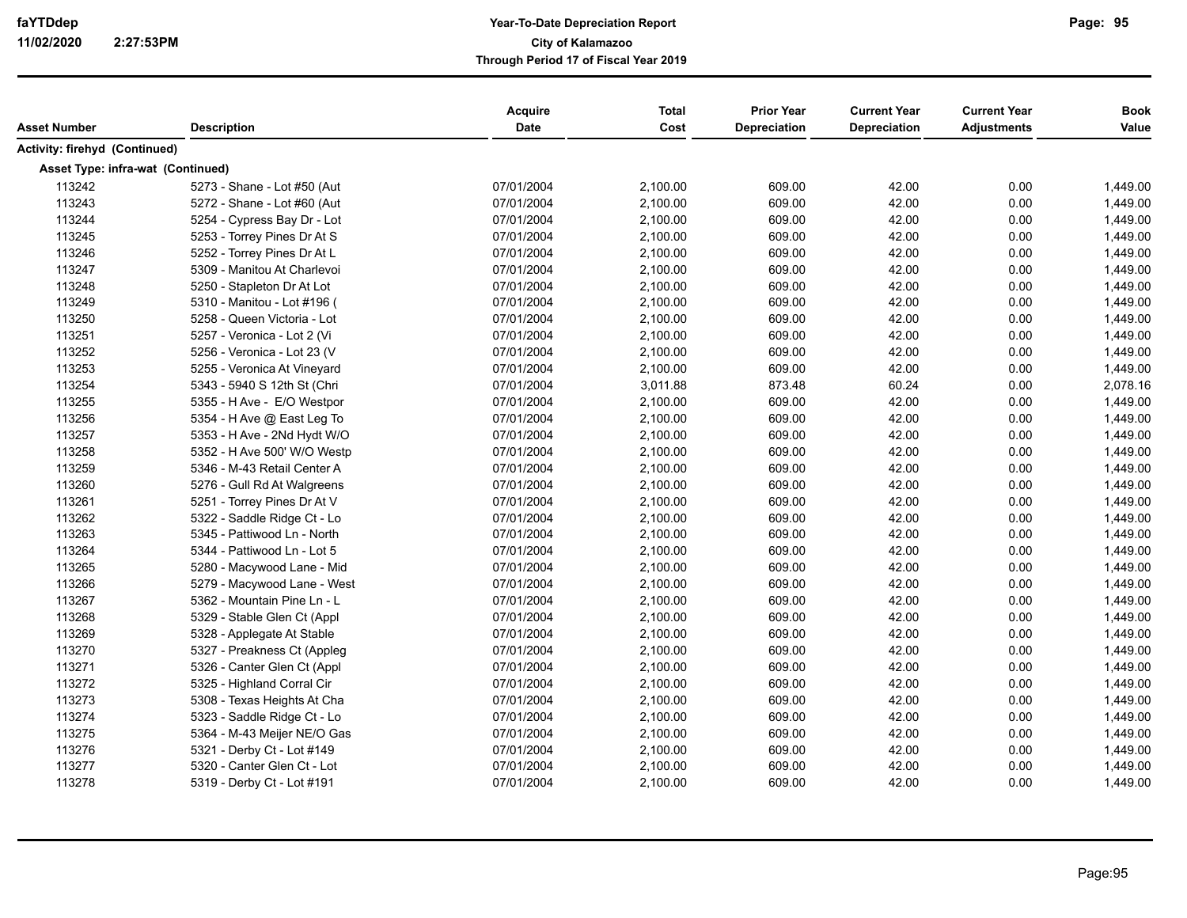| Asset Number                      | <b>Description</b>          | <b>Acquire</b><br><b>Date</b> | <b>Total</b><br>Cost | <b>Prior Year</b><br><b>Depreciation</b> | <b>Current Year</b><br><b>Depreciation</b> | <b>Current Year</b><br><b>Adjustments</b> | <b>Book</b><br>Value |
|-----------------------------------|-----------------------------|-------------------------------|----------------------|------------------------------------------|--------------------------------------------|-------------------------------------------|----------------------|
| Activity: firehyd (Continued)     |                             |                               |                      |                                          |                                            |                                           |                      |
| Asset Type: infra-wat (Continued) |                             |                               |                      |                                          |                                            |                                           |                      |
| 113242                            | 5273 - Shane - Lot #50 (Aut | 07/01/2004                    | 2,100.00             | 609.00                                   | 42.00                                      | 0.00                                      | 1,449.00             |
| 113243                            | 5272 - Shane - Lot #60 (Aut | 07/01/2004                    | 2,100.00             | 609.00                                   | 42.00                                      | 0.00                                      | 1,449.00             |
| 113244                            | 5254 - Cypress Bay Dr - Lot | 07/01/2004                    | 2,100.00             | 609.00                                   | 42.00                                      | 0.00                                      | 1,449.00             |
| 113245                            | 5253 - Torrey Pines Dr At S | 07/01/2004                    | 2,100.00             | 609.00                                   | 42.00                                      | 0.00                                      | 1,449.00             |
| 113246                            | 5252 - Torrey Pines Dr At L | 07/01/2004                    | 2,100.00             | 609.00                                   | 42.00                                      | 0.00                                      | 1,449.00             |
| 113247                            | 5309 - Manitou At Charlevoi | 07/01/2004                    | 2,100.00             | 609.00                                   | 42.00                                      | 0.00                                      | 1,449.00             |
| 113248                            | 5250 - Stapleton Dr At Lot  | 07/01/2004                    | 2,100.00             | 609.00                                   | 42.00                                      | 0.00                                      | 1,449.00             |
| 113249                            | 5310 - Manitou - Lot #196 ( | 07/01/2004                    | 2,100.00             | 609.00                                   | 42.00                                      | 0.00                                      | 1,449.00             |
| 113250                            | 5258 - Queen Victoria - Lot | 07/01/2004                    | 2,100.00             | 609.00                                   | 42.00                                      | 0.00                                      | 1,449.00             |
| 113251                            | 5257 - Veronica - Lot 2 (Vi | 07/01/2004                    | 2,100.00             | 609.00                                   | 42.00                                      | 0.00                                      | 1,449.00             |
| 113252                            | 5256 - Veronica - Lot 23 (V | 07/01/2004                    | 2,100.00             | 609.00                                   | 42.00                                      | 0.00                                      | 1,449.00             |
| 113253                            | 5255 - Veronica At Vineyard | 07/01/2004                    | 2,100.00             | 609.00                                   | 42.00                                      | 0.00                                      | 1,449.00             |
| 113254                            | 5343 - 5940 S 12th St (Chri | 07/01/2004                    | 3,011.88             | 873.48                                   | 60.24                                      | 0.00                                      | 2,078.16             |
| 113255                            | 5355 - H Ave - E/O Westpor  | 07/01/2004                    | 2,100.00             | 609.00                                   | 42.00                                      | 0.00                                      | 1,449.00             |
| 113256                            | 5354 - H Ave @ East Leg To  | 07/01/2004                    | 2,100.00             | 609.00                                   | 42.00                                      | 0.00                                      | 1,449.00             |
| 113257                            | 5353 - H Ave - 2Nd Hydt W/O | 07/01/2004                    | 2,100.00             | 609.00                                   | 42.00                                      | 0.00                                      | 1,449.00             |
| 113258                            | 5352 - H Ave 500' W/O Westp | 07/01/2004                    | 2,100.00             | 609.00                                   | 42.00                                      | 0.00                                      | 1,449.00             |
| 113259                            | 5346 - M-43 Retail Center A | 07/01/2004                    | 2,100.00             | 609.00                                   | 42.00                                      | 0.00                                      | 1,449.00             |
| 113260                            | 5276 - Gull Rd At Walgreens | 07/01/2004                    | 2,100.00             | 609.00                                   | 42.00                                      | 0.00                                      | 1,449.00             |
| 113261                            | 5251 - Torrey Pines Dr At V | 07/01/2004                    | 2,100.00             | 609.00                                   | 42.00                                      | 0.00                                      | 1,449.00             |
| 113262                            | 5322 - Saddle Ridge Ct - Lo | 07/01/2004                    | 2,100.00             | 609.00                                   | 42.00                                      | 0.00                                      | 1,449.00             |
| 113263                            | 5345 - Pattiwood Ln - North | 07/01/2004                    | 2,100.00             | 609.00                                   | 42.00                                      | 0.00                                      | 1,449.00             |
| 113264                            | 5344 - Pattiwood Ln - Lot 5 | 07/01/2004                    | 2,100.00             | 609.00                                   | 42.00                                      | 0.00                                      | 1,449.00             |
| 113265                            | 5280 - Macywood Lane - Mid  | 07/01/2004                    | 2,100.00             | 609.00                                   | 42.00                                      | 0.00                                      | 1,449.00             |
| 113266                            | 5279 - Macywood Lane - West | 07/01/2004                    | 2,100.00             | 609.00                                   | 42.00                                      | 0.00                                      | 1,449.00             |
| 113267                            | 5362 - Mountain Pine Ln - L | 07/01/2004                    | 2,100.00             | 609.00                                   | 42.00                                      | 0.00                                      | 1,449.00             |
| 113268                            | 5329 - Stable Glen Ct (Appl | 07/01/2004                    | 2,100.00             | 609.00                                   | 42.00                                      | 0.00                                      | 1,449.00             |
| 113269                            | 5328 - Applegate At Stable  | 07/01/2004                    | 2,100.00             | 609.00                                   | 42.00                                      | 0.00                                      | 1,449.00             |
| 113270                            | 5327 - Preakness Ct (Appleg | 07/01/2004                    | 2,100.00             | 609.00                                   | 42.00                                      | 0.00                                      | 1,449.00             |
| 113271                            | 5326 - Canter Glen Ct (Appl | 07/01/2004                    | 2,100.00             | 609.00                                   | 42.00                                      | 0.00                                      | 1,449.00             |
| 113272                            | 5325 - Highland Corral Cir  | 07/01/2004                    | 2,100.00             | 609.00                                   | 42.00                                      | 0.00                                      | 1,449.00             |
| 113273                            | 5308 - Texas Heights At Cha | 07/01/2004                    | 2,100.00             | 609.00                                   | 42.00                                      | 0.00                                      | 1,449.00             |
| 113274                            | 5323 - Saddle Ridge Ct - Lo | 07/01/2004                    | 2,100.00             | 609.00                                   | 42.00                                      | 0.00                                      | 1,449.00             |
| 113275                            | 5364 - M-43 Meijer NE/O Gas | 07/01/2004                    | 2,100.00             | 609.00                                   | 42.00                                      | 0.00                                      | 1,449.00             |
| 113276                            | 5321 - Derby Ct - Lot #149  | 07/01/2004                    | 2,100.00             | 609.00                                   | 42.00                                      | 0.00                                      | 1,449.00             |
| 113277                            | 5320 - Canter Glen Ct - Lot | 07/01/2004                    | 2,100.00             | 609.00                                   | 42.00                                      | 0.00                                      | 1,449.00             |
| 113278                            | 5319 - Derby Ct - Lot #191  | 07/01/2004                    | 2,100.00             | 609.00                                   | 42.00                                      | 0.00                                      | 1,449.00             |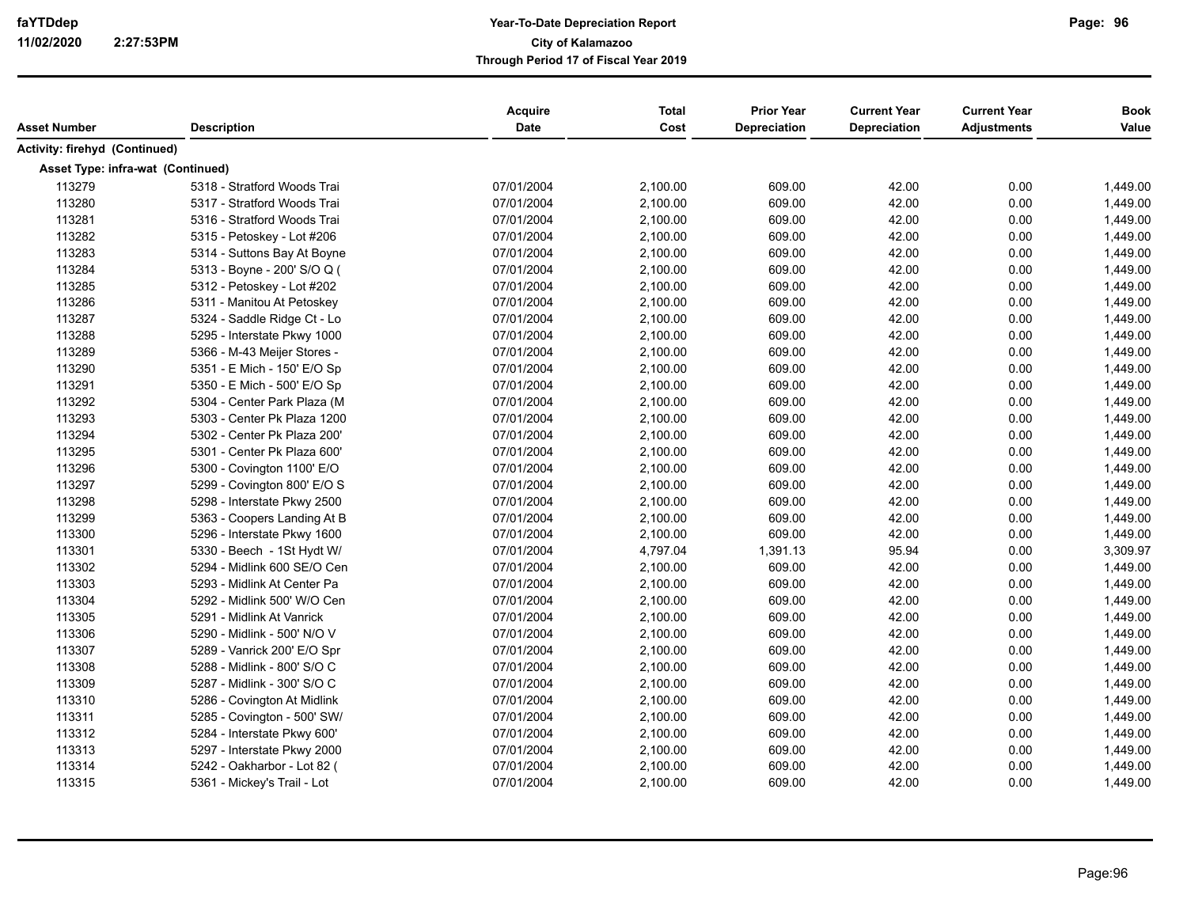| Asset Number                      | <b>Description</b>          | Acquire<br><b>Date</b> | <b>Total</b><br>Cost | <b>Prior Year</b><br><b>Depreciation</b> | <b>Current Year</b><br><b>Depreciation</b> | <b>Current Year</b><br><b>Adjustments</b> | <b>Book</b><br>Value |
|-----------------------------------|-----------------------------|------------------------|----------------------|------------------------------------------|--------------------------------------------|-------------------------------------------|----------------------|
| Activity: firehyd (Continued)     |                             |                        |                      |                                          |                                            |                                           |                      |
| Asset Type: infra-wat (Continued) |                             |                        |                      |                                          |                                            |                                           |                      |
| 113279                            | 5318 - Stratford Woods Trai | 07/01/2004             | 2,100.00             | 609.00                                   | 42.00                                      | 0.00                                      | 1,449.00             |
| 113280                            | 5317 - Stratford Woods Trai | 07/01/2004             | 2,100.00             | 609.00                                   | 42.00                                      | 0.00                                      | 1,449.00             |
| 113281                            | 5316 - Stratford Woods Trai | 07/01/2004             | 2,100.00             | 609.00                                   | 42.00                                      | 0.00                                      | 1,449.00             |
| 113282                            | 5315 - Petoskey - Lot #206  | 07/01/2004             | 2,100.00             | 609.00                                   | 42.00                                      | 0.00                                      | 1,449.00             |
| 113283                            | 5314 - Suttons Bay At Boyne | 07/01/2004             | 2,100.00             | 609.00                                   | 42.00                                      | 0.00                                      | 1,449.00             |
| 113284                            | 5313 - Boyne - 200' S/O Q ( | 07/01/2004             | 2,100.00             | 609.00                                   | 42.00                                      | 0.00                                      | 1,449.00             |
| 113285                            | 5312 - Petoskey - Lot #202  | 07/01/2004             | 2,100.00             | 609.00                                   | 42.00                                      | 0.00                                      | 1,449.00             |
| 113286                            | 5311 - Manitou At Petoskey  | 07/01/2004             | 2,100.00             | 609.00                                   | 42.00                                      | 0.00                                      | 1,449.00             |
| 113287                            | 5324 - Saddle Ridge Ct - Lo | 07/01/2004             | 2,100.00             | 609.00                                   | 42.00                                      | 0.00                                      | 1,449.00             |
| 113288                            | 5295 - Interstate Pkwy 1000 | 07/01/2004             | 2,100.00             | 609.00                                   | 42.00                                      | 0.00                                      | 1,449.00             |
| 113289                            | 5366 - M-43 Meijer Stores - | 07/01/2004             | 2,100.00             | 609.00                                   | 42.00                                      | 0.00                                      | 1,449.00             |
| 113290                            | 5351 - E Mich - 150' E/O Sp | 07/01/2004             | 2,100.00             | 609.00                                   | 42.00                                      | 0.00                                      | 1,449.00             |
| 113291                            | 5350 - E Mich - 500' E/O Sp | 07/01/2004             | 2,100.00             | 609.00                                   | 42.00                                      | 0.00                                      | 1,449.00             |
| 113292                            | 5304 - Center Park Plaza (M | 07/01/2004             | 2,100.00             | 609.00                                   | 42.00                                      | 0.00                                      | 1,449.00             |
| 113293                            | 5303 - Center Pk Plaza 1200 | 07/01/2004             | 2,100.00             | 609.00                                   | 42.00                                      | 0.00                                      | 1.449.00             |
| 113294                            | 5302 - Center Pk Plaza 200' | 07/01/2004             | 2,100.00             | 609.00                                   | 42.00                                      | 0.00                                      | 1,449.00             |
| 113295                            | 5301 - Center Pk Plaza 600' | 07/01/2004             | 2,100.00             | 609.00                                   | 42.00                                      | 0.00                                      | 1,449.00             |
| 113296                            | 5300 - Covington 1100' E/O  | 07/01/2004             | 2,100.00             | 609.00                                   | 42.00                                      | 0.00                                      | 1,449.00             |
| 113297                            | 5299 - Covington 800' E/O S | 07/01/2004             | 2,100.00             | 609.00                                   | 42.00                                      | 0.00                                      | 1,449.00             |
| 113298                            | 5298 - Interstate Pkwy 2500 | 07/01/2004             | 2,100.00             | 609.00                                   | 42.00                                      | 0.00                                      | 1,449.00             |
| 113299                            | 5363 - Coopers Landing At B | 07/01/2004             | 2,100.00             | 609.00                                   | 42.00                                      | 0.00                                      | 1,449.00             |
| 113300                            | 5296 - Interstate Pkwy 1600 | 07/01/2004             | 2,100.00             | 609.00                                   | 42.00                                      | 0.00                                      | 1,449.00             |
| 113301                            | 5330 - Beech - 1St Hydt W/  | 07/01/2004             | 4,797.04             | 1,391.13                                 | 95.94                                      | 0.00                                      | 3,309.97             |
| 113302                            | 5294 - Midlink 600 SE/O Cen | 07/01/2004             | 2,100.00             | 609.00                                   | 42.00                                      | 0.00                                      | 1,449.00             |
| 113303                            | 5293 - Midlink At Center Pa | 07/01/2004             | 2,100.00             | 609.00                                   | 42.00                                      | 0.00                                      | 1,449.00             |
| 113304                            | 5292 - Midlink 500' W/O Cen | 07/01/2004             | 2,100.00             | 609.00                                   | 42.00                                      | 0.00                                      | 1,449.00             |
| 113305                            | 5291 - Midlink At Vanrick   | 07/01/2004             | 2,100.00             | 609.00                                   | 42.00                                      | 0.00                                      | 1,449.00             |
| 113306                            | 5290 - Midlink - 500' N/O V | 07/01/2004             | 2,100.00             | 609.00                                   | 42.00                                      | 0.00                                      | 1,449.00             |
| 113307                            | 5289 - Vanrick 200' E/O Spr | 07/01/2004             | 2,100.00             | 609.00                                   | 42.00                                      | 0.00                                      | 1,449.00             |
| 113308                            | 5288 - Midlink - 800' S/O C | 07/01/2004             | 2,100.00             | 609.00                                   | 42.00                                      | 0.00                                      | 1,449.00             |
| 113309                            | 5287 - Midlink - 300' S/O C | 07/01/2004             | 2,100.00             | 609.00                                   | 42.00                                      | 0.00                                      | 1,449.00             |
| 113310                            | 5286 - Covington At Midlink | 07/01/2004             | 2,100.00             | 609.00                                   | 42.00                                      | 0.00                                      | 1,449.00             |
| 113311                            | 5285 - Covington - 500' SW/ | 07/01/2004             | 2,100.00             | 609.00                                   | 42.00                                      | 0.00                                      | 1,449.00             |
| 113312                            | 5284 - Interstate Pkwy 600' | 07/01/2004             | 2,100.00             | 609.00                                   | 42.00                                      | 0.00                                      | 1,449.00             |
| 113313                            | 5297 - Interstate Pkwy 2000 | 07/01/2004             | 2,100.00             | 609.00                                   | 42.00                                      | 0.00                                      | 1,449.00             |
| 113314                            | 5242 - Oakharbor - Lot 82 ( | 07/01/2004             | 2,100.00             | 609.00                                   | 42.00                                      | 0.00                                      | 1,449.00             |
| 113315                            | 5361 - Mickey's Trail - Lot | 07/01/2004             | 2,100.00             | 609.00                                   | 42.00                                      | 0.00                                      | 1,449.00             |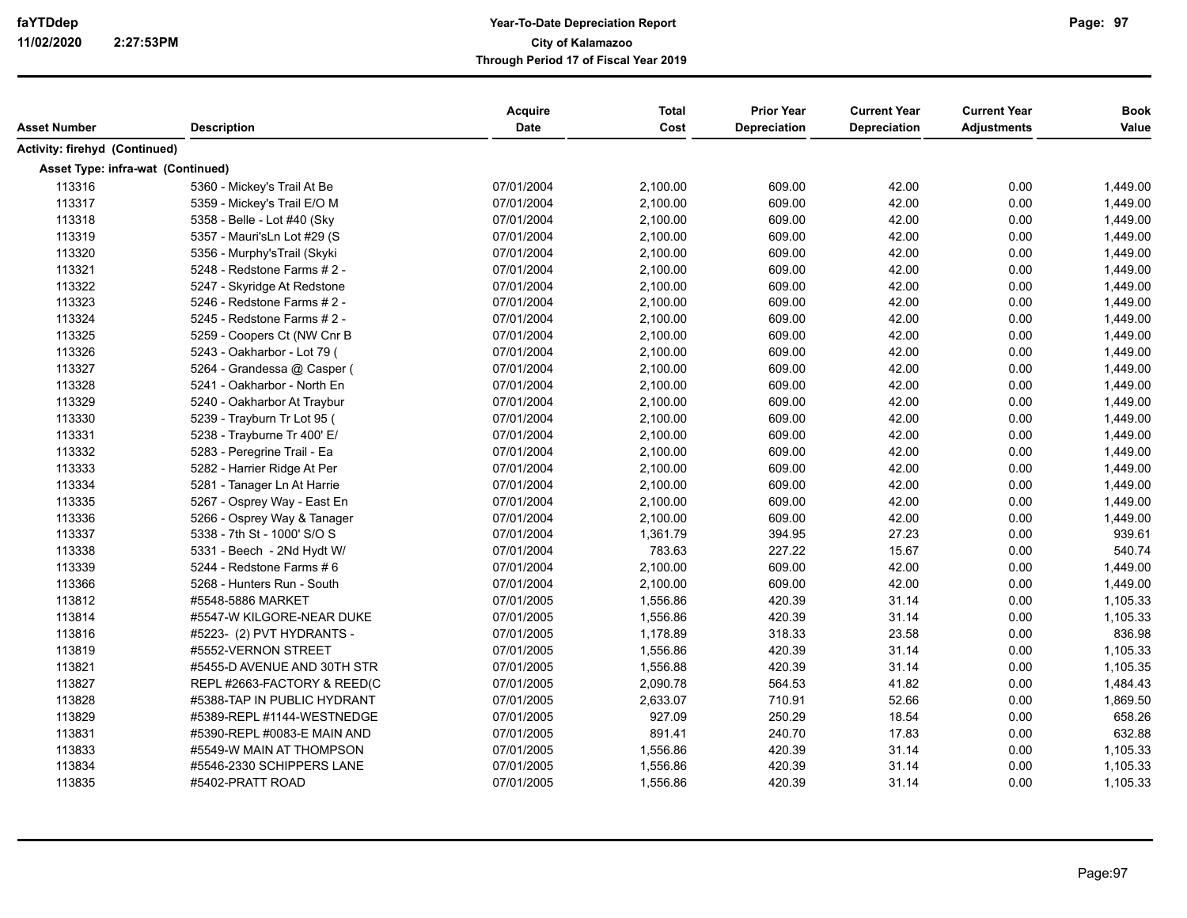| Asset Number                      | <b>Description</b>          | <b>Acquire</b><br><b>Date</b> | <b>Total</b><br>Cost | <b>Prior Year</b><br><b>Depreciation</b> | <b>Current Year</b><br><b>Depreciation</b> | <b>Current Year</b><br><b>Adjustments</b> | <b>Book</b><br>Value |
|-----------------------------------|-----------------------------|-------------------------------|----------------------|------------------------------------------|--------------------------------------------|-------------------------------------------|----------------------|
| Activity: firehyd (Continued)     |                             |                               |                      |                                          |                                            |                                           |                      |
| Asset Type: infra-wat (Continued) |                             |                               |                      |                                          |                                            |                                           |                      |
| 113316                            | 5360 - Mickey's Trail At Be | 07/01/2004                    | 2,100.00             | 609.00                                   | 42.00                                      | 0.00                                      | 1,449.00             |
| 113317                            | 5359 - Mickey's Trail E/O M | 07/01/2004                    | 2,100.00             | 609.00                                   | 42.00                                      | 0.00                                      | 1,449.00             |
| 113318                            | 5358 - Belle - Lot #40 (Sky | 07/01/2004                    | 2,100.00             | 609.00                                   | 42.00                                      | 0.00                                      | 1,449.00             |
| 113319                            | 5357 - Mauri'sLn Lot #29 (S | 07/01/2004                    | 2,100.00             | 609.00                                   | 42.00                                      | 0.00                                      | 1,449.00             |
| 113320                            | 5356 - Murphy'sTrail (Skyki | 07/01/2004                    | 2,100.00             | 609.00                                   | 42.00                                      | 0.00                                      | 1,449.00             |
| 113321                            | 5248 - Redstone Farms # 2 - | 07/01/2004                    | 2,100.00             | 609.00                                   | 42.00                                      | 0.00                                      | 1,449.00             |
| 113322                            | 5247 - Skyridge At Redstone | 07/01/2004                    | 2,100.00             | 609.00                                   | 42.00                                      | 0.00                                      | 1,449.00             |
| 113323                            | 5246 - Redstone Farms # 2 - | 07/01/2004                    | 2,100.00             | 609.00                                   | 42.00                                      | 0.00                                      | 1,449.00             |
| 113324                            | 5245 - Redstone Farms # 2 - | 07/01/2004                    | 2,100.00             | 609.00                                   | 42.00                                      | 0.00                                      | 1,449.00             |
| 113325                            | 5259 - Coopers Ct (NW Cnr B | 07/01/2004                    | 2,100.00             | 609.00                                   | 42.00                                      | 0.00                                      | 1,449.00             |
| 113326                            | 5243 - Oakharbor - Lot 79 ( | 07/01/2004                    | 2,100.00             | 609.00                                   | 42.00                                      | 0.00                                      | 1,449.00             |
| 113327                            | 5264 - Grandessa @ Casper ( | 07/01/2004                    | 2,100.00             | 609.00                                   | 42.00                                      | 0.00                                      | 1,449.00             |
| 113328                            | 5241 - Oakharbor - North En | 07/01/2004                    | 2,100.00             | 609.00                                   | 42.00                                      | 0.00                                      | 1,449.00             |
| 113329                            | 5240 - Oakharbor At Traybur | 07/01/2004                    | 2,100.00             | 609.00                                   | 42.00                                      | 0.00                                      | 1,449.00             |
| 113330                            | 5239 - Trayburn Tr Lot 95 ( | 07/01/2004                    | 2,100.00             | 609.00                                   | 42.00                                      | 0.00                                      | 1,449.00             |
| 113331                            | 5238 - Trayburne Tr 400' E/ | 07/01/2004                    | 2,100.00             | 609.00                                   | 42.00                                      | 0.00                                      | 1,449.00             |
| 113332                            | 5283 - Peregrine Trail - Ea | 07/01/2004                    | 2,100.00             | 609.00                                   | 42.00                                      | 0.00                                      | 1,449.00             |
| 113333                            | 5282 - Harrier Ridge At Per | 07/01/2004                    | 2,100.00             | 609.00                                   | 42.00                                      | 0.00                                      | 1,449.00             |
| 113334                            | 5281 - Tanager Ln At Harrie | 07/01/2004                    | 2,100.00             | 609.00                                   | 42.00                                      | 0.00                                      | 1,449.00             |
| 113335                            | 5267 - Osprey Way - East En | 07/01/2004                    | 2,100.00             | 609.00                                   | 42.00                                      | 0.00                                      | 1,449.00             |
| 113336                            | 5266 - Osprey Way & Tanager | 07/01/2004                    | 2,100.00             | 609.00                                   | 42.00                                      | 0.00                                      | 1,449.00             |
| 113337                            | 5338 - 7th St - 1000' S/O S | 07/01/2004                    | 1,361.79             | 394.95                                   | 27.23                                      | 0.00                                      | 939.61               |
| 113338                            | 5331 - Beech - 2Nd Hydt W/  | 07/01/2004                    | 783.63               | 227.22                                   | 15.67                                      | 0.00                                      | 540.74               |
| 113339                            | 5244 - Redstone Farms # 6   | 07/01/2004                    | 2,100.00             | 609.00                                   | 42.00                                      | 0.00                                      | 1,449.00             |
| 113366                            | 5268 - Hunters Run - South  | 07/01/2004                    | 2,100.00             | 609.00                                   | 42.00                                      | 0.00                                      | 1,449.00             |
| 113812                            | #5548-5886 MARKET           | 07/01/2005                    | 1,556.86             | 420.39                                   | 31.14                                      | 0.00                                      | 1,105.33             |
| 113814                            | #5547-W KILGORE-NEAR DUKE   | 07/01/2005                    | 1,556.86             | 420.39                                   | 31.14                                      | 0.00                                      | 1,105.33             |
| 113816                            | #5223- (2) PVT HYDRANTS -   | 07/01/2005                    | 1,178.89             | 318.33                                   | 23.58                                      | 0.00                                      | 836.98               |
| 113819                            | #5552-VERNON STREET         | 07/01/2005                    | 1,556.86             | 420.39                                   | 31.14                                      | 0.00                                      | 1,105.33             |
| 113821                            | #5455-D AVENUE AND 30TH STR | 07/01/2005                    | 1,556.88             | 420.39                                   | 31.14                                      | 0.00                                      | 1,105.35             |
| 113827                            | REPL #2663-FACTORY & REED(C | 07/01/2005                    | 2,090.78             | 564.53                                   | 41.82                                      | 0.00                                      | 1,484.43             |
| 113828                            | #5388-TAP IN PUBLIC HYDRANT | 07/01/2005                    | 2,633.07             | 710.91                                   | 52.66                                      | 0.00                                      | 1,869.50             |
| 113829                            | #5389-REPL #1144-WESTNEDGE  | 07/01/2005                    | 927.09               | 250.29                                   | 18.54                                      | 0.00                                      | 658.26               |
| 113831                            | #5390-REPL #0083-E MAIN AND | 07/01/2005                    | 891.41               | 240.70                                   | 17.83                                      | 0.00                                      | 632.88               |
| 113833                            | #5549-W MAIN AT THOMPSON    | 07/01/2005                    | 1,556.86             | 420.39                                   | 31.14                                      | 0.00                                      | 1,105.33             |
| 113834                            | #5546-2330 SCHIPPERS LANE   | 07/01/2005                    | 1,556.86             | 420.39                                   | 31.14                                      | 0.00                                      | 1,105.33             |
| 113835                            | #5402-PRATT ROAD            | 07/01/2005                    | 1,556.86             | 420.39                                   | 31.14                                      | 0.00                                      | 1,105.33             |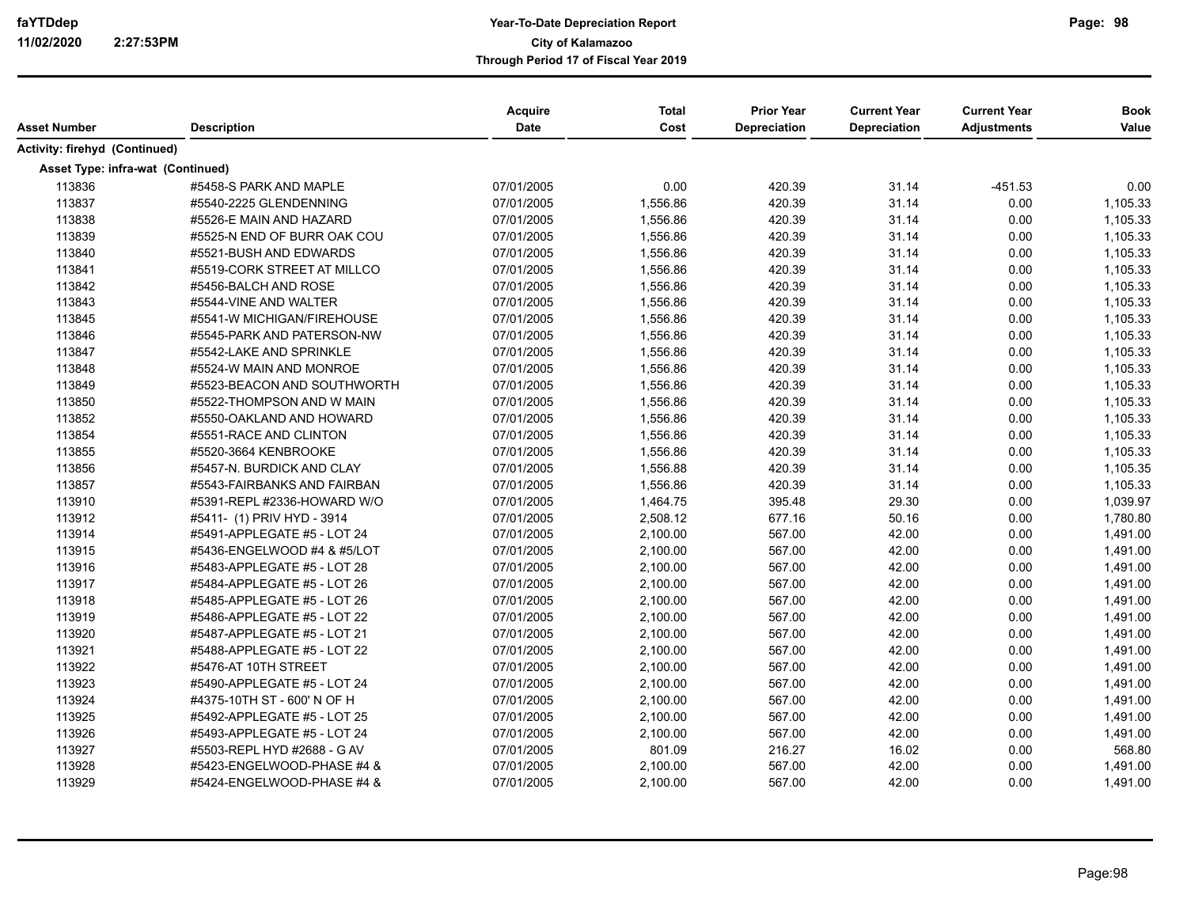| Asset Number                      | <b>Description</b>          | Acquire<br><b>Date</b> | <b>Total</b><br>Cost | <b>Prior Year</b><br><b>Depreciation</b> | <b>Current Year</b><br>Depreciation | <b>Current Year</b><br><b>Adjustments</b> | <b>Book</b><br>Value |
|-----------------------------------|-----------------------------|------------------------|----------------------|------------------------------------------|-------------------------------------|-------------------------------------------|----------------------|
| Activity: firehyd (Continued)     |                             |                        |                      |                                          |                                     |                                           |                      |
| Asset Type: infra-wat (Continued) |                             |                        |                      |                                          |                                     |                                           |                      |
| 113836                            | #5458-S PARK AND MAPLE      | 07/01/2005             | 0.00                 | 420.39                                   | 31.14                               | $-451.53$                                 | 0.00                 |
| 113837                            | #5540-2225 GLENDENNING      | 07/01/2005             | 1,556.86             | 420.39                                   | 31.14                               | 0.00                                      | 1,105.33             |
| 113838                            | #5526-E MAIN AND HAZARD     | 07/01/2005             | 1,556.86             | 420.39                                   | 31.14                               | 0.00                                      | 1,105.33             |
| 113839                            | #5525-N END OF BURR OAK COU | 07/01/2005             | 1,556.86             | 420.39                                   | 31.14                               | 0.00                                      | 1,105.33             |
| 113840                            | #5521-BUSH AND EDWARDS      | 07/01/2005             | 1,556.86             | 420.39                                   | 31.14                               | 0.00                                      | 1,105.33             |
| 113841                            | #5519-CORK STREET AT MILLCO | 07/01/2005             | 1,556.86             | 420.39                                   | 31.14                               | 0.00                                      | 1,105.33             |
| 113842                            | #5456-BALCH AND ROSE        | 07/01/2005             | 1,556.86             | 420.39                                   | 31.14                               | 0.00                                      | 1,105.33             |
| 113843                            | #5544-VINE AND WALTER       | 07/01/2005             | 1,556.86             | 420.39                                   | 31.14                               | 0.00                                      | 1,105.33             |
| 113845                            | #5541-W MICHIGAN/FIREHOUSE  | 07/01/2005             | 1,556.86             | 420.39                                   | 31.14                               | 0.00                                      | 1,105.33             |
| 113846                            | #5545-PARK AND PATERSON-NW  | 07/01/2005             | 1,556.86             | 420.39                                   | 31.14                               | 0.00                                      | 1,105.33             |
| 113847                            | #5542-LAKE AND SPRINKLE     | 07/01/2005             | 1,556.86             | 420.39                                   | 31.14                               | 0.00                                      | 1,105.33             |
| 113848                            | #5524-W MAIN AND MONROE     | 07/01/2005             | 1,556.86             | 420.39                                   | 31.14                               | 0.00                                      | 1,105.33             |
| 113849                            | #5523-BEACON AND SOUTHWORTH | 07/01/2005             | 1,556.86             | 420.39                                   | 31.14                               | 0.00                                      | 1,105.33             |
| 113850                            | #5522-THOMPSON AND W MAIN   | 07/01/2005             | 1,556.86             | 420.39                                   | 31.14                               | 0.00                                      | 1,105.33             |
| 113852                            | #5550-OAKLAND AND HOWARD    | 07/01/2005             | 1,556.86             | 420.39                                   | 31.14                               | 0.00                                      | 1,105.33             |
| 113854                            | #5551-RACE AND CLINTON      | 07/01/2005             | 1,556.86             | 420.39                                   | 31.14                               | 0.00                                      | 1,105.33             |
| 113855                            | #5520-3664 KENBROOKE        | 07/01/2005             | 1,556.86             | 420.39                                   | 31.14                               | 0.00                                      | 1,105.33             |
| 113856                            | #5457-N. BURDICK AND CLAY   | 07/01/2005             | 1,556.88             | 420.39                                   | 31.14                               | 0.00                                      | 1,105.35             |
| 113857                            | #5543-FAIRBANKS AND FAIRBAN | 07/01/2005             | 1,556.86             | 420.39                                   | 31.14                               | 0.00                                      | 1,105.33             |
| 113910                            | #5391-REPL #2336-HOWARD W/O | 07/01/2005             | 1,464.75             | 395.48                                   | 29.30                               | 0.00                                      | 1,039.97             |
| 113912                            | #5411- (1) PRIV HYD - 3914  | 07/01/2005             | 2,508.12             | 677.16                                   | 50.16                               | 0.00                                      | 1,780.80             |
| 113914                            | #5491-APPLEGATE #5 - LOT 24 | 07/01/2005             | 2,100.00             | 567.00                                   | 42.00                               | 0.00                                      | 1,491.00             |
| 113915                            | #5436-ENGELWOOD #4 & #5/LOT | 07/01/2005             | 2,100.00             | 567.00                                   | 42.00                               | 0.00                                      | 1,491.00             |
| 113916                            | #5483-APPLEGATE #5 - LOT 28 | 07/01/2005             | 2,100.00             | 567.00                                   | 42.00                               | 0.00                                      | 1,491.00             |
| 113917                            | #5484-APPLEGATE #5 - LOT 26 | 07/01/2005             | 2,100.00             | 567.00                                   | 42.00                               | 0.00                                      | 1,491.00             |
| 113918                            | #5485-APPLEGATE #5 - LOT 26 | 07/01/2005             | 2,100.00             | 567.00                                   | 42.00                               | 0.00                                      | 1,491.00             |
| 113919                            | #5486-APPLEGATE #5 - LOT 22 | 07/01/2005             | 2,100.00             | 567.00                                   | 42.00                               | 0.00                                      | 1,491.00             |
| 113920                            | #5487-APPLEGATE #5 - LOT 21 | 07/01/2005             | 2,100.00             | 567.00                                   | 42.00                               | 0.00                                      | 1,491.00             |
| 113921                            | #5488-APPLEGATE #5 - LOT 22 | 07/01/2005             | 2,100.00             | 567.00                                   | 42.00                               | 0.00                                      | 1,491.00             |
| 113922                            | #5476-AT 10TH STREET        | 07/01/2005             | 2,100.00             | 567.00                                   | 42.00                               | 0.00                                      | 1,491.00             |
| 113923                            | #5490-APPLEGATE #5 - LOT 24 | 07/01/2005             | 2,100.00             | 567.00                                   | 42.00                               | 0.00                                      | 1,491.00             |
| 113924                            | #4375-10TH ST - 600' N OF H | 07/01/2005             | 2,100.00             | 567.00                                   | 42.00                               | 0.00                                      | 1,491.00             |
| 113925                            | #5492-APPLEGATE #5 - LOT 25 | 07/01/2005             | 2,100.00             | 567.00                                   | 42.00                               | 0.00                                      | 1,491.00             |
| 113926                            | #5493-APPLEGATE #5 - LOT 24 | 07/01/2005             | 2,100.00             | 567.00                                   | 42.00                               | 0.00                                      | 1,491.00             |
| 113927                            | #5503-REPL HYD #2688 - G AV | 07/01/2005             | 801.09               | 216.27                                   | 16.02                               | 0.00                                      | 568.80               |
| 113928                            | #5423-ENGELWOOD-PHASE #4 &  | 07/01/2005             | 2,100.00             | 567.00                                   | 42.00                               | 0.00                                      | 1,491.00             |
| 113929                            | #5424-ENGELWOOD-PHASE #4 &  | 07/01/2005             | 2,100.00             | 567.00                                   | 42.00                               | 0.00                                      | 1,491.00             |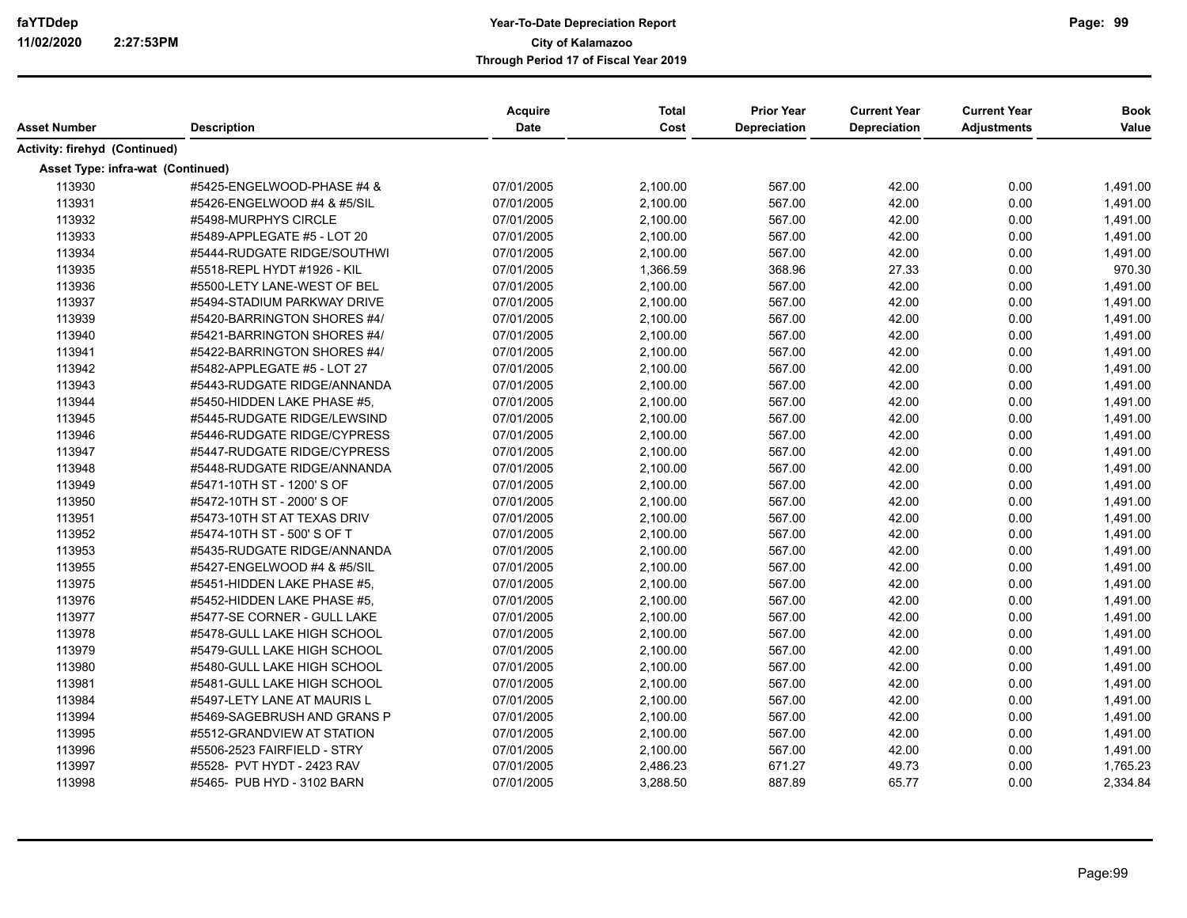| Asset Number                      | <b>Description</b>          | Acquire<br>Date | <b>Total</b><br>Cost | <b>Prior Year</b><br><b>Depreciation</b> | <b>Current Year</b><br>Depreciation | <b>Current Year</b><br><b>Adjustments</b> | <b>Book</b><br>Value |
|-----------------------------------|-----------------------------|-----------------|----------------------|------------------------------------------|-------------------------------------|-------------------------------------------|----------------------|
| Activity: firehyd (Continued)     |                             |                 |                      |                                          |                                     |                                           |                      |
| Asset Type: infra-wat (Continued) |                             |                 |                      |                                          |                                     |                                           |                      |
| 113930                            | #5425-ENGELWOOD-PHASE #4 &  | 07/01/2005      | 2,100.00             | 567.00                                   | 42.00                               | 0.00                                      | 1,491.00             |
| 113931                            | #5426-ENGELWOOD #4 & #5/SIL | 07/01/2005      | 2,100.00             | 567.00                                   | 42.00                               | 0.00                                      | 1,491.00             |
| 113932                            | #5498-MURPHYS CIRCLE        | 07/01/2005      | 2,100.00             | 567.00                                   | 42.00                               | 0.00                                      | 1,491.00             |
| 113933                            | #5489-APPLEGATE #5 - LOT 20 | 07/01/2005      | 2,100.00             | 567.00                                   | 42.00                               | 0.00                                      | 1,491.00             |
| 113934                            | #5444-RUDGATE RIDGE/SOUTHWI | 07/01/2005      | 2,100.00             | 567.00                                   | 42.00                               | 0.00                                      | 1,491.00             |
| 113935                            | #5518-REPL HYDT #1926 - KIL | 07/01/2005      | 1,366.59             | 368.96                                   | 27.33                               | 0.00                                      | 970.30               |
| 113936                            | #5500-LETY LANE-WEST OF BEL | 07/01/2005      | 2,100.00             | 567.00                                   | 42.00                               | 0.00                                      | 1,491.00             |
| 113937                            | #5494-STADIUM PARKWAY DRIVE | 07/01/2005      | 2,100.00             | 567.00                                   | 42.00                               | 0.00                                      | 1,491.00             |
| 113939                            | #5420-BARRINGTON SHORES #4/ | 07/01/2005      | 2,100.00             | 567.00                                   | 42.00                               | 0.00                                      | 1,491.00             |
| 113940                            | #5421-BARRINGTON SHORES #4/ | 07/01/2005      | 2,100.00             | 567.00                                   | 42.00                               | 0.00                                      | 1,491.00             |
| 113941                            | #5422-BARRINGTON SHORES #4/ | 07/01/2005      | 2,100.00             | 567.00                                   | 42.00                               | 0.00                                      | 1,491.00             |
| 113942                            | #5482-APPLEGATE #5 - LOT 27 | 07/01/2005      | 2,100.00             | 567.00                                   | 42.00                               | 0.00                                      | 1,491.00             |
| 113943                            | #5443-RUDGATE RIDGE/ANNANDA | 07/01/2005      | 2,100.00             | 567.00                                   | 42.00                               | 0.00                                      | 1,491.00             |
| 113944                            | #5450-HIDDEN LAKE PHASE #5, | 07/01/2005      | 2,100.00             | 567.00                                   | 42.00                               | 0.00                                      | 1,491.00             |
| 113945                            | #5445-RUDGATE RIDGE/LEWSIND | 07/01/2005      | 2,100.00             | 567.00                                   | 42.00                               | 0.00                                      | 1,491.00             |
| 113946                            | #5446-RUDGATE RIDGE/CYPRESS | 07/01/2005      | 2,100.00             | 567.00                                   | 42.00                               | 0.00                                      | 1,491.00             |
| 113947                            | #5447-RUDGATE RIDGE/CYPRESS | 07/01/2005      | 2,100.00             | 567.00                                   | 42.00                               | 0.00                                      | 1,491.00             |
| 113948                            | #5448-RUDGATE RIDGE/ANNANDA | 07/01/2005      | 2,100.00             | 567.00                                   | 42.00                               | 0.00                                      | 1,491.00             |
| 113949                            | #5471-10TH ST - 1200' S OF  | 07/01/2005      | 2,100.00             | 567.00                                   | 42.00                               | 0.00                                      | 1,491.00             |
| 113950                            | #5472-10TH ST - 2000' S OF  | 07/01/2005      | 2,100.00             | 567.00                                   | 42.00                               | 0.00                                      | 1,491.00             |
| 113951                            | #5473-10TH ST AT TEXAS DRIV | 07/01/2005      | 2,100.00             | 567.00                                   | 42.00                               | 0.00                                      | 1,491.00             |
| 113952                            | #5474-10TH ST - 500' S OF T | 07/01/2005      | 2,100.00             | 567.00                                   | 42.00                               | 0.00                                      | 1,491.00             |
| 113953                            | #5435-RUDGATE RIDGE/ANNANDA | 07/01/2005      | 2,100.00             | 567.00                                   | 42.00                               | 0.00                                      | 1,491.00             |
| 113955                            | #5427-ENGELWOOD #4 & #5/SIL | 07/01/2005      | 2,100.00             | 567.00                                   | 42.00                               | 0.00                                      | 1,491.00             |
| 113975                            | #5451-HIDDEN LAKE PHASE #5, | 07/01/2005      | 2,100.00             | 567.00                                   | 42.00                               | 0.00                                      | 1,491.00             |
| 113976                            | #5452-HIDDEN LAKE PHASE #5. | 07/01/2005      | 2,100.00             | 567.00                                   | 42.00                               | 0.00                                      | 1,491.00             |
| 113977                            | #5477-SE CORNER - GULL LAKE | 07/01/2005      | 2,100.00             | 567.00                                   | 42.00                               | 0.00                                      | 1,491.00             |
| 113978                            | #5478-GULL LAKE HIGH SCHOOL | 07/01/2005      | 2,100.00             | 567.00                                   | 42.00                               | 0.00                                      | 1,491.00             |
| 113979                            | #5479-GULL LAKE HIGH SCHOOL | 07/01/2005      | 2,100.00             | 567.00                                   | 42.00                               | 0.00                                      | 1,491.00             |
| 113980                            | #5480-GULL LAKE HIGH SCHOOL | 07/01/2005      | 2,100.00             | 567.00                                   | 42.00                               | 0.00                                      | 1,491.00             |
| 113981                            | #5481-GULL LAKE HIGH SCHOOL | 07/01/2005      | 2,100.00             | 567.00                                   | 42.00                               | 0.00                                      | 1,491.00             |
| 113984                            | #5497-LETY LANE AT MAURIS L | 07/01/2005      | 2,100.00             | 567.00                                   | 42.00                               | 0.00                                      | 1,491.00             |
| 113994                            | #5469-SAGEBRUSH AND GRANS P | 07/01/2005      | 2,100.00             | 567.00                                   | 42.00                               | 0.00                                      | 1,491.00             |
| 113995                            | #5512-GRANDVIEW AT STATION  | 07/01/2005      | 2,100.00             | 567.00                                   | 42.00                               | 0.00                                      | 1,491.00             |
| 113996                            | #5506-2523 FAIRFIELD - STRY | 07/01/2005      | 2,100.00             | 567.00                                   | 42.00                               | 0.00                                      | 1,491.00             |
| 113997                            | #5528- PVT HYDT - 2423 RAV  | 07/01/2005      | 2,486.23             | 671.27                                   | 49.73                               | 0.00                                      | 1,765.23             |
| 113998                            | #5465- PUB HYD - 3102 BARN  | 07/01/2005      | 3,288.50             | 887.89                                   | 65.77                               | 0.00                                      | 2,334.84             |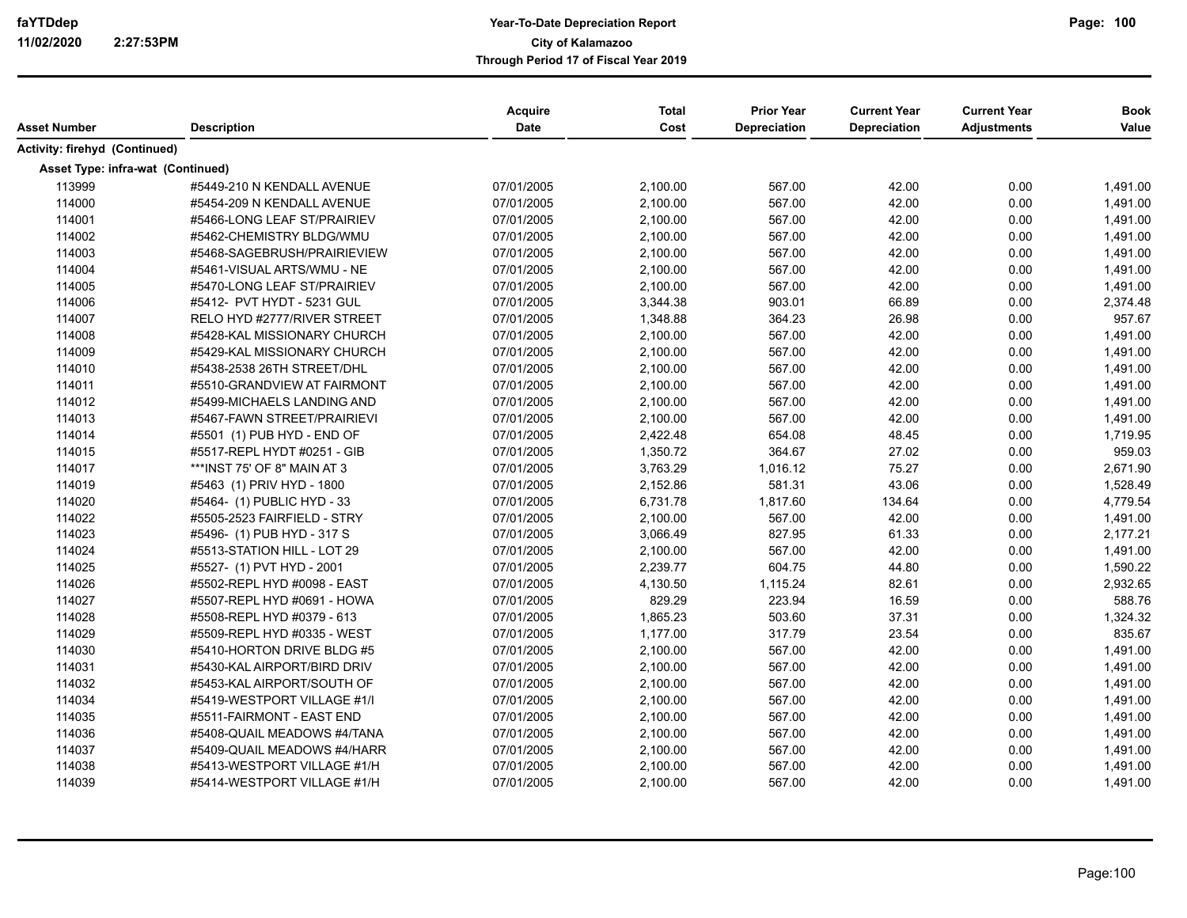| Asset Number                      | <b>Description</b>          | Acquire<br>Date | <b>Total</b><br>Cost | <b>Prior Year</b><br><b>Depreciation</b> | <b>Current Year</b><br><b>Depreciation</b> | <b>Current Year</b><br><b>Adjustments</b> | <b>Book</b><br>Value |
|-----------------------------------|-----------------------------|-----------------|----------------------|------------------------------------------|--------------------------------------------|-------------------------------------------|----------------------|
| Activity: firehyd (Continued)     |                             |                 |                      |                                          |                                            |                                           |                      |
| Asset Type: infra-wat (Continued) |                             |                 |                      |                                          |                                            |                                           |                      |
| 113999                            | #5449-210 N KENDALL AVENUE  | 07/01/2005      | 2,100.00             | 567.00                                   | 42.00                                      | 0.00                                      | 1,491.00             |
| 114000                            | #5454-209 N KENDALL AVENUE  | 07/01/2005      | 2,100.00             | 567.00                                   | 42.00                                      | 0.00                                      | 1,491.00             |
| 114001                            | #5466-LONG LEAF ST/PRAIRIEV | 07/01/2005      | 2,100.00             | 567.00                                   | 42.00                                      | 0.00                                      | 1,491.00             |
| 114002                            | #5462-CHEMISTRY BLDG/WMU    | 07/01/2005      | 2,100.00             | 567.00                                   | 42.00                                      | 0.00                                      | 1,491.00             |
| 114003                            | #5468-SAGEBRUSH/PRAIRIEVIEW | 07/01/2005      | 2,100.00             | 567.00                                   | 42.00                                      | 0.00                                      | 1,491.00             |
| 114004                            | #5461-VISUAL ARTS/WMU - NE  | 07/01/2005      | 2,100.00             | 567.00                                   | 42.00                                      | 0.00                                      | 1,491.00             |
| 114005                            | #5470-LONG LEAF ST/PRAIRIEV | 07/01/2005      | 2,100.00             | 567.00                                   | 42.00                                      | 0.00                                      | 1,491.00             |
| 114006                            | #5412- PVT HYDT - 5231 GUL  | 07/01/2005      | 3,344.38             | 903.01                                   | 66.89                                      | 0.00                                      | 2,374.48             |
| 114007                            | RELO HYD #2777/RIVER STREET | 07/01/2005      | 1,348.88             | 364.23                                   | 26.98                                      | 0.00                                      | 957.67               |
| 114008                            | #5428-KAL MISSIONARY CHURCH | 07/01/2005      | 2,100.00             | 567.00                                   | 42.00                                      | 0.00                                      | 1,491.00             |
| 114009                            | #5429-KAL MISSIONARY CHURCH | 07/01/2005      | 2,100.00             | 567.00                                   | 42.00                                      | 0.00                                      | 1,491.00             |
| 114010                            | #5438-2538 26TH STREET/DHL  | 07/01/2005      | 2,100.00             | 567.00                                   | 42.00                                      | 0.00                                      | 1,491.00             |
| 114011                            | #5510-GRANDVIEW AT FAIRMONT | 07/01/2005      | 2,100.00             | 567.00                                   | 42.00                                      | 0.00                                      | 1,491.00             |
| 114012                            | #5499-MICHAELS LANDING AND  | 07/01/2005      | 2,100.00             | 567.00                                   | 42.00                                      | 0.00                                      | 1,491.00             |
| 114013                            | #5467-FAWN STREET/PRAIRIEVI | 07/01/2005      | 2,100.00             | 567.00                                   | 42.00                                      | 0.00                                      | 1,491.00             |
| 114014                            | #5501 (1) PUB HYD - END OF  | 07/01/2005      | 2,422.48             | 654.08                                   | 48.45                                      | 0.00                                      | 1,719.95             |
| 114015                            | #5517-REPL HYDT #0251 - GIB | 07/01/2005      | 1,350.72             | 364.67                                   | 27.02                                      | 0.00                                      | 959.03               |
| 114017                            | ***INST 75' OF 8" MAIN AT 3 | 07/01/2005      | 3,763.29             | 1,016.12                                 | 75.27                                      | 0.00                                      | 2,671.90             |
| 114019                            | #5463 (1) PRIV HYD - 1800   | 07/01/2005      | 2,152.86             | 581.31                                   | 43.06                                      | 0.00                                      | 1,528.49             |
| 114020                            | #5464- (1) PUBLIC HYD - 33  | 07/01/2005      | 6,731.78             | 1,817.60                                 | 134.64                                     | 0.00                                      | 4,779.54             |
| 114022                            | #5505-2523 FAIRFIELD - STRY | 07/01/2005      | 2,100.00             | 567.00                                   | 42.00                                      | 0.00                                      | 1,491.00             |
| 114023                            | #5496- (1) PUB HYD - 317 S  | 07/01/2005      | 3,066.49             | 827.95                                   | 61.33                                      | 0.00                                      | 2,177.21             |
| 114024                            | #5513-STATION HILL - LOT 29 | 07/01/2005      | 2,100.00             | 567.00                                   | 42.00                                      | 0.00                                      | 1,491.00             |
| 114025                            | #5527- (1) PVT HYD - 2001   | 07/01/2005      | 2,239.77             | 604.75                                   | 44.80                                      | 0.00                                      | 1,590.22             |
| 114026                            | #5502-REPL HYD #0098 - EAST | 07/01/2005      | 4,130.50             | 1,115.24                                 | 82.61                                      | 0.00                                      | 2,932.65             |
| 114027                            | #5507-REPL HYD #0691 - HOWA | 07/01/2005      | 829.29               | 223.94                                   | 16.59                                      | 0.00                                      | 588.76               |
| 114028                            | #5508-REPL HYD #0379 - 613  | 07/01/2005      | 1,865.23             | 503.60                                   | 37.31                                      | 0.00                                      | 1,324.32             |
| 114029                            | #5509-REPL HYD #0335 - WEST | 07/01/2005      | 1,177.00             | 317.79                                   | 23.54                                      | 0.00                                      | 835.67               |
| 114030                            | #5410-HORTON DRIVE BLDG #5  | 07/01/2005      | 2,100.00             | 567.00                                   | 42.00                                      | 0.00                                      | 1,491.00             |
| 114031                            | #5430-KAL AIRPORT/BIRD DRIV | 07/01/2005      | 2,100.00             | 567.00                                   | 42.00                                      | 0.00                                      | 1,491.00             |
| 114032                            | #5453-KAL AIRPORT/SOUTH OF  | 07/01/2005      | 2,100.00             | 567.00                                   | 42.00                                      | 0.00                                      | 1,491.00             |
| 114034                            | #5419-WESTPORT VILLAGE #1/I | 07/01/2005      | 2,100.00             | 567.00                                   | 42.00                                      | 0.00                                      | 1,491.00             |
| 114035                            | #5511-FAIRMONT - EAST END   | 07/01/2005      | 2,100.00             | 567.00                                   | 42.00                                      | 0.00                                      | 1,491.00             |
| 114036                            | #5408-QUAIL MEADOWS #4/TANA | 07/01/2005      | 2,100.00             | 567.00                                   | 42.00                                      | 0.00                                      | 1,491.00             |
| 114037                            | #5409-QUAIL MEADOWS #4/HARR | 07/01/2005      | 2,100.00             | 567.00                                   | 42.00                                      | 0.00                                      | 1,491.00             |
| 114038                            | #5413-WESTPORT VILLAGE #1/H | 07/01/2005      | 2,100.00             | 567.00                                   | 42.00                                      | 0.00                                      | 1,491.00             |
| 114039                            | #5414-WESTPORT VILLAGE #1/H | 07/01/2005      | 2,100.00             | 567.00                                   | 42.00                                      | 0.00                                      | 1,491.00             |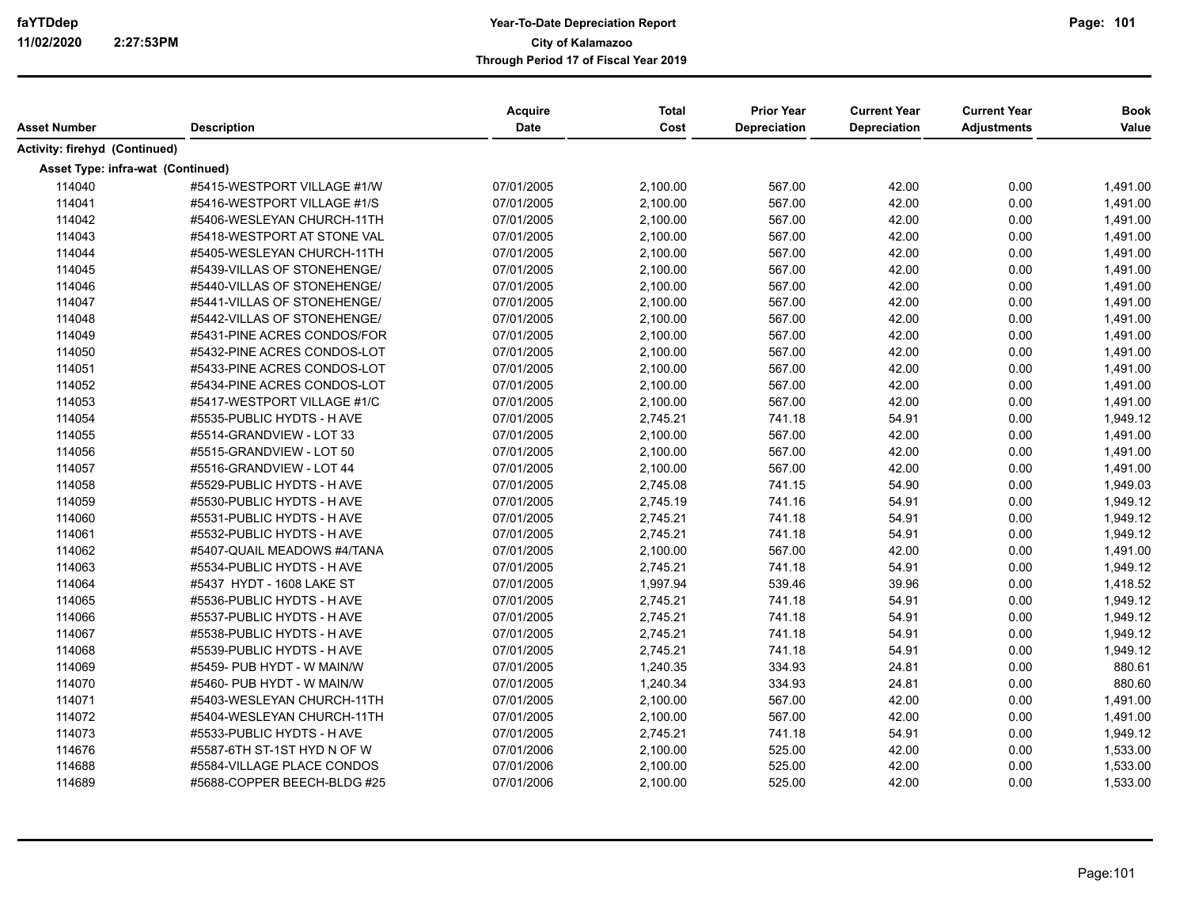| Asset Number                      | <b>Description</b>          | Acquire<br><b>Date</b> | <b>Total</b><br>Cost | <b>Prior Year</b><br><b>Depreciation</b> | <b>Current Year</b><br>Depreciation | <b>Current Year</b><br><b>Adjustments</b> | <b>Book</b><br>Value |
|-----------------------------------|-----------------------------|------------------------|----------------------|------------------------------------------|-------------------------------------|-------------------------------------------|----------------------|
| Activity: firehyd (Continued)     |                             |                        |                      |                                          |                                     |                                           |                      |
| Asset Type: infra-wat (Continued) |                             |                        |                      |                                          |                                     |                                           |                      |
| 114040                            | #5415-WESTPORT VILLAGE #1/W | 07/01/2005             | 2,100.00             | 567.00                                   | 42.00                               | 0.00                                      | 1,491.00             |
| 114041                            | #5416-WESTPORT VILLAGE #1/S | 07/01/2005             | 2,100.00             | 567.00                                   | 42.00                               | 0.00                                      | 1,491.00             |
| 114042                            | #5406-WESLEYAN CHURCH-11TH  | 07/01/2005             | 2,100.00             | 567.00                                   | 42.00                               | 0.00                                      | 1,491.00             |
| 114043                            | #5418-WESTPORT AT STONE VAL | 07/01/2005             | 2,100.00             | 567.00                                   | 42.00                               | 0.00                                      | 1,491.00             |
| 114044                            | #5405-WESLEYAN CHURCH-11TH  | 07/01/2005             | 2,100.00             | 567.00                                   | 42.00                               | 0.00                                      | 1,491.00             |
| 114045                            | #5439-VILLAS OF STONEHENGE/ | 07/01/2005             | 2,100.00             | 567.00                                   | 42.00                               | 0.00                                      | 1,491.00             |
| 114046                            | #5440-VILLAS OF STONEHENGE/ | 07/01/2005             | 2,100.00             | 567.00                                   | 42.00                               | 0.00                                      | 1,491.00             |
| 114047                            | #5441-VILLAS OF STONEHENGE/ | 07/01/2005             | 2,100.00             | 567.00                                   | 42.00                               | 0.00                                      | 1,491.00             |
| 114048                            | #5442-VILLAS OF STONEHENGE/ | 07/01/2005             | 2,100.00             | 567.00                                   | 42.00                               | 0.00                                      | 1,491.00             |
| 114049                            | #5431-PINE ACRES CONDOS/FOR | 07/01/2005             | 2,100.00             | 567.00                                   | 42.00                               | 0.00                                      | 1,491.00             |
| 114050                            | #5432-PINE ACRES CONDOS-LOT | 07/01/2005             | 2,100.00             | 567.00                                   | 42.00                               | 0.00                                      | 1,491.00             |
| 114051                            | #5433-PINE ACRES CONDOS-LOT | 07/01/2005             | 2,100.00             | 567.00                                   | 42.00                               | 0.00                                      | 1,491.00             |
| 114052                            | #5434-PINE ACRES CONDOS-LOT | 07/01/2005             | 2,100.00             | 567.00                                   | 42.00                               | 0.00                                      | 1,491.00             |
| 114053                            | #5417-WESTPORT VILLAGE #1/C | 07/01/2005             | 2,100.00             | 567.00                                   | 42.00                               | 0.00                                      | 1,491.00             |
| 114054                            | #5535-PUBLIC HYDTS - HAVE   | 07/01/2005             | 2,745.21             | 741.18                                   | 54.91                               | 0.00                                      | 1,949.12             |
| 114055                            | #5514-GRANDVIEW - LOT 33    | 07/01/2005             | 2,100.00             | 567.00                                   | 42.00                               | 0.00                                      | 1,491.00             |
| 114056                            | #5515-GRANDVIEW - LOT 50    | 07/01/2005             | 2,100.00             | 567.00                                   | 42.00                               | 0.00                                      | 1,491.00             |
| 114057                            | #5516-GRANDVIEW - LOT 44    | 07/01/2005             | 2,100.00             | 567.00                                   | 42.00                               | 0.00                                      | 1,491.00             |
| 114058                            | #5529-PUBLIC HYDTS - HAVE   | 07/01/2005             | 2,745.08             | 741.15                                   | 54.90                               | 0.00                                      | 1,949.03             |
| 114059                            | #5530-PUBLIC HYDTS - HAVE   | 07/01/2005             | 2,745.19             | 741.16                                   | 54.91                               | 0.00                                      | 1,949.12             |
| 114060                            | #5531-PUBLIC HYDTS - HAVE   | 07/01/2005             | 2,745.21             | 741.18                                   | 54.91                               | 0.00                                      | 1,949.12             |
| 114061                            | #5532-PUBLIC HYDTS - HAVE   | 07/01/2005             | 2,745.21             | 741.18                                   | 54.91                               | 0.00                                      | 1,949.12             |
| 114062                            | #5407-QUAIL MEADOWS #4/TANA | 07/01/2005             | 2,100.00             | 567.00                                   | 42.00                               | 0.00                                      | 1,491.00             |
| 114063                            | #5534-PUBLIC HYDTS - HAVE   | 07/01/2005             | 2,745.21             | 741.18                                   | 54.91                               | 0.00                                      | 1,949.12             |
| 114064                            | #5437 HYDT - 1608 LAKE ST   | 07/01/2005             | 1,997.94             | 539.46                                   | 39.96                               | 0.00                                      | 1,418.52             |
| 114065                            | #5536-PUBLIC HYDTS - HAVE   | 07/01/2005             | 2,745.21             | 741.18                                   | 54.91                               | 0.00                                      | 1,949.12             |
| 114066                            | #5537-PUBLIC HYDTS - HAVE   | 07/01/2005             | 2,745.21             | 741.18                                   | 54.91                               | 0.00                                      | 1,949.12             |
| 114067                            | #5538-PUBLIC HYDTS - HAVE   | 07/01/2005             | 2,745.21             | 741.18                                   | 54.91                               | 0.00                                      | 1,949.12             |
| 114068                            | #5539-PUBLIC HYDTS - HAVE   | 07/01/2005             | 2,745.21             | 741.18                                   | 54.91                               | 0.00                                      | 1,949.12             |
| 114069                            | #5459- PUB HYDT - W MAIN/W  | 07/01/2005             | 1,240.35             | 334.93                                   | 24.81                               | 0.00                                      | 880.61               |
| 114070                            | #5460- PUB HYDT - W MAIN/W  | 07/01/2005             | 1,240.34             | 334.93                                   | 24.81                               | 0.00                                      | 880.60               |
| 114071                            | #5403-WESLEYAN CHURCH-11TH  | 07/01/2005             | 2,100.00             | 567.00                                   | 42.00                               | 0.00                                      | 1,491.00             |
| 114072                            | #5404-WESLEYAN CHURCH-11TH  | 07/01/2005             | 2,100.00             | 567.00                                   | 42.00                               | 0.00                                      | 1,491.00             |
| 114073                            | #5533-PUBLIC HYDTS - HAVE   | 07/01/2005             | 2,745.21             | 741.18                                   | 54.91                               | 0.00                                      | 1,949.12             |
| 114676                            | #5587-6TH ST-1ST HYD N OF W | 07/01/2006             | 2,100.00             | 525.00                                   | 42.00                               | 0.00                                      | 1,533.00             |
| 114688                            | #5584-VILLAGE PLACE CONDOS  | 07/01/2006             | 2,100.00             | 525.00                                   | 42.00                               | 0.00                                      | 1,533.00             |
| 114689                            | #5688-COPPER BEECH-BLDG #25 | 07/01/2006             | 2,100.00             | 525.00                                   | 42.00                               | 0.00                                      | 1,533.00             |
|                                   |                             |                        |                      |                                          |                                     |                                           |                      |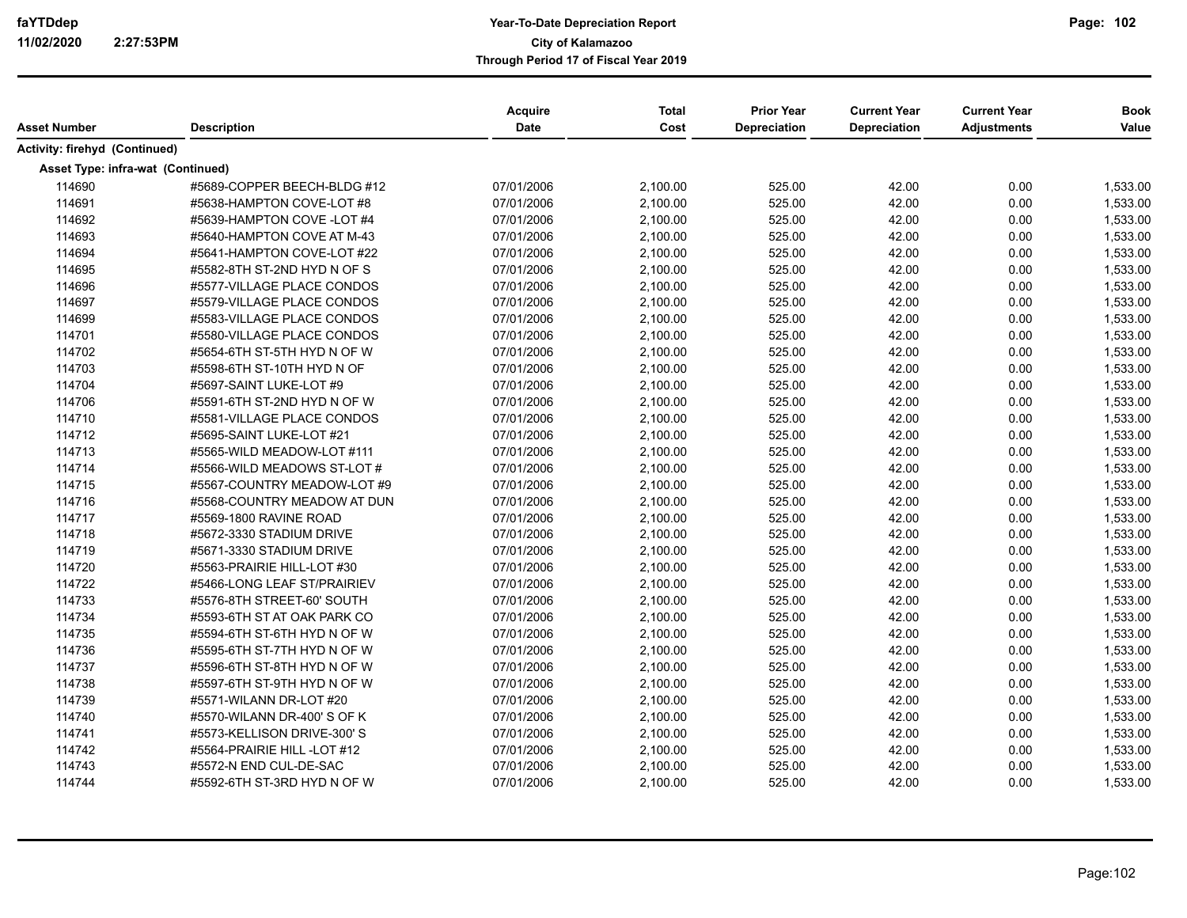| Asset Number                      | <b>Description</b>          | Acquire<br>Date | <b>Total</b><br>Cost | <b>Prior Year</b><br><b>Depreciation</b> | <b>Current Year</b><br>Depreciation | <b>Current Year</b><br><b>Adjustments</b> | <b>Book</b><br>Value |
|-----------------------------------|-----------------------------|-----------------|----------------------|------------------------------------------|-------------------------------------|-------------------------------------------|----------------------|
| Activity: firehyd (Continued)     |                             |                 |                      |                                          |                                     |                                           |                      |
| Asset Type: infra-wat (Continued) |                             |                 |                      |                                          |                                     |                                           |                      |
| 114690                            | #5689-COPPER BEECH-BLDG #12 | 07/01/2006      | 2,100.00             | 525.00                                   | 42.00                               | 0.00                                      | 1,533.00             |
| 114691                            | #5638-HAMPTON COVE-LOT #8   | 07/01/2006      | 2,100.00             | 525.00                                   | 42.00                               | 0.00                                      | 1,533.00             |
| 114692                            | #5639-HAMPTON COVE -LOT #4  | 07/01/2006      | 2,100.00             | 525.00                                   | 42.00                               | 0.00                                      | 1,533.00             |
| 114693                            | #5640-HAMPTON COVE AT M-43  | 07/01/2006      | 2,100.00             | 525.00                                   | 42.00                               | 0.00                                      | 1,533.00             |
| 114694                            | #5641-HAMPTON COVE-LOT #22  | 07/01/2006      | 2,100.00             | 525.00                                   | 42.00                               | 0.00                                      | 1,533.00             |
| 114695                            | #5582-8TH ST-2ND HYD N OF S | 07/01/2006      | 2,100.00             | 525.00                                   | 42.00                               | 0.00                                      | 1,533.00             |
| 114696                            | #5577-VILLAGE PLACE CONDOS  | 07/01/2006      | 2,100.00             | 525.00                                   | 42.00                               | 0.00                                      | 1,533.00             |
| 114697                            | #5579-VILLAGE PLACE CONDOS  | 07/01/2006      | 2,100.00             | 525.00                                   | 42.00                               | 0.00                                      | 1,533.00             |
| 114699                            | #5583-VILLAGE PLACE CONDOS  | 07/01/2006      | 2,100.00             | 525.00                                   | 42.00                               | 0.00                                      | 1,533.00             |
| 114701                            | #5580-VILLAGE PLACE CONDOS  | 07/01/2006      | 2,100.00             | 525.00                                   | 42.00                               | 0.00                                      | 1,533.00             |
| 114702                            | #5654-6TH ST-5TH HYD N OF W | 07/01/2006      | 2,100.00             | 525.00                                   | 42.00                               | 0.00                                      | 1,533.00             |
| 114703                            | #5598-6TH ST-10TH HYD N OF  | 07/01/2006      | 2,100.00             | 525.00                                   | 42.00                               | 0.00                                      | 1,533.00             |
| 114704                            | #5697-SAINT LUKE-LOT #9     | 07/01/2006      | 2,100.00             | 525.00                                   | 42.00                               | 0.00                                      | 1,533.00             |
| 114706                            | #5591-6TH ST-2ND HYD N OF W | 07/01/2006      | 2,100.00             | 525.00                                   | 42.00                               | 0.00                                      | 1,533.00             |
| 114710                            | #5581-VILLAGE PLACE CONDOS  | 07/01/2006      | 2,100.00             | 525.00                                   | 42.00                               | 0.00                                      | 1,533.00             |
| 114712                            | #5695-SAINT LUKE-LOT #21    | 07/01/2006      | 2,100.00             | 525.00                                   | 42.00                               | 0.00                                      | 1,533.00             |
| 114713                            | #5565-WILD MEADOW-LOT #111  | 07/01/2006      | 2,100.00             | 525.00                                   | 42.00                               | 0.00                                      | 1,533.00             |
| 114714                            | #5566-WILD MEADOWS ST-LOT # | 07/01/2006      | 2,100.00             | 525.00                                   | 42.00                               | 0.00                                      | 1,533.00             |
| 114715                            | #5567-COUNTRY MEADOW-LOT #9 | 07/01/2006      | 2,100.00             | 525.00                                   | 42.00                               | 0.00                                      | 1,533.00             |
| 114716                            | #5568-COUNTRY MEADOW AT DUN | 07/01/2006      | 2,100.00             | 525.00                                   | 42.00                               | 0.00                                      | 1,533.00             |
| 114717                            | #5569-1800 RAVINE ROAD      | 07/01/2006      | 2,100.00             | 525.00                                   | 42.00                               | 0.00                                      | 1,533.00             |
| 114718                            | #5672-3330 STADIUM DRIVE    | 07/01/2006      | 2,100.00             | 525.00                                   | 42.00                               | 0.00                                      | 1,533.00             |
| 114719                            | #5671-3330 STADIUM DRIVE    | 07/01/2006      | 2,100.00             | 525.00                                   | 42.00                               | 0.00                                      | 1,533.00             |
| 114720                            | #5563-PRAIRIE HILL-LOT #30  | 07/01/2006      | 2,100.00             | 525.00                                   | 42.00                               | 0.00                                      | 1,533.00             |
| 114722                            | #5466-LONG LEAF ST/PRAIRIEV | 07/01/2006      | 2,100.00             | 525.00                                   | 42.00                               | 0.00                                      | 1,533.00             |
| 114733                            | #5576-8TH STREET-60' SOUTH  | 07/01/2006      | 2,100.00             | 525.00                                   | 42.00                               | 0.00                                      | 1,533.00             |
| 114734                            | #5593-6TH ST AT OAK PARK CO | 07/01/2006      | 2,100.00             | 525.00                                   | 42.00                               | 0.00                                      | 1,533.00             |
| 114735                            | #5594-6TH ST-6TH HYD N OF W | 07/01/2006      | 2,100.00             | 525.00                                   | 42.00                               | 0.00                                      | 1,533.00             |
| 114736                            | #5595-6TH ST-7TH HYD N OF W | 07/01/2006      | 2,100.00             | 525.00                                   | 42.00                               | 0.00                                      | 1,533.00             |
| 114737                            | #5596-6TH ST-8TH HYD N OF W | 07/01/2006      | 2,100.00             | 525.00                                   | 42.00                               | 0.00                                      | 1,533.00             |
| 114738                            | #5597-6TH ST-9TH HYD N OF W | 07/01/2006      | 2,100.00             | 525.00                                   | 42.00                               | 0.00                                      | 1,533.00             |
| 114739                            | #5571-WILANN DR-LOT #20     | 07/01/2006      | 2,100.00             | 525.00                                   | 42.00                               | 0.00                                      | 1,533.00             |
| 114740                            | #5570-WILANN DR-400' S OF K | 07/01/2006      | 2,100.00             | 525.00                                   | 42.00                               | 0.00                                      | 1,533.00             |
| 114741                            | #5573-KELLISON DRIVE-300'S  | 07/01/2006      | 2,100.00             | 525.00                                   | 42.00                               | 0.00                                      | 1,533.00             |
| 114742                            | #5564-PRAIRIE HILL -LOT #12 | 07/01/2006      | 2,100.00             | 525.00                                   | 42.00                               | 0.00                                      | 1,533.00             |
| 114743                            | #5572-N END CUL-DE-SAC      | 07/01/2006      | 2,100.00             | 525.00                                   | 42.00                               | 0.00                                      | 1,533.00             |
| 114744                            | #5592-6TH ST-3RD HYD N OF W | 07/01/2006      | 2,100.00             | 525.00                                   | 42.00                               | 0.00                                      | 1,533.00             |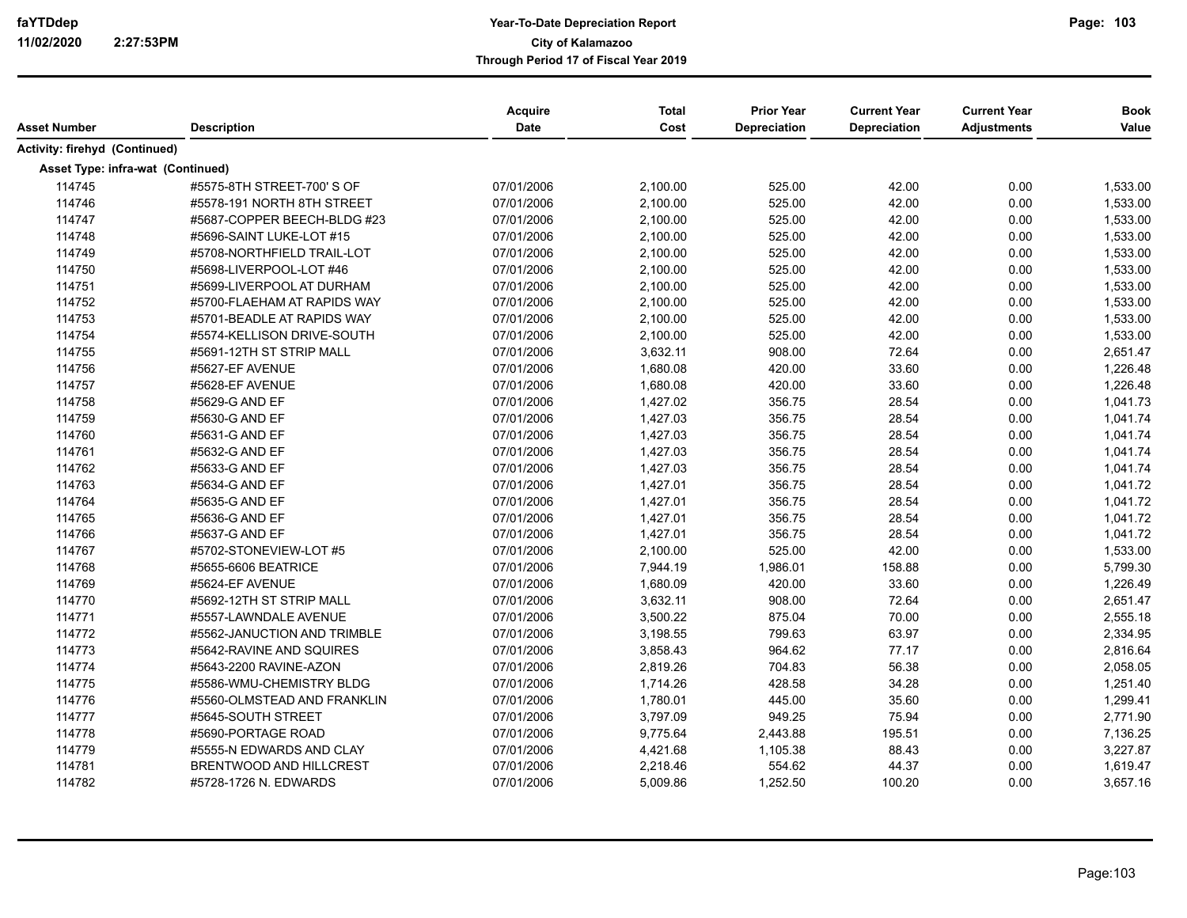| Asset Number                      | <b>Description</b>             | Acquire<br><b>Date</b> | <b>Total</b><br>Cost | <b>Prior Year</b><br>Depreciation | <b>Current Year</b><br>Depreciation | <b>Current Year</b><br><b>Adjustments</b> | <b>Book</b><br>Value |
|-----------------------------------|--------------------------------|------------------------|----------------------|-----------------------------------|-------------------------------------|-------------------------------------------|----------------------|
|                                   |                                |                        |                      |                                   |                                     |                                           |                      |
| Activity: firehyd (Continued)     |                                |                        |                      |                                   |                                     |                                           |                      |
| Asset Type: infra-wat (Continued) |                                |                        |                      |                                   |                                     |                                           |                      |
| 114745                            | #5575-8TH STREET-700' S OF     | 07/01/2006             | 2,100.00             | 525.00                            | 42.00                               | 0.00                                      | 1,533.00             |
| 114746                            | #5578-191 NORTH 8TH STREET     | 07/01/2006             | 2,100.00             | 525.00                            | 42.00                               | 0.00                                      | 1,533.00             |
| 114747                            | #5687-COPPER BEECH-BLDG #23    | 07/01/2006             | 2,100.00             | 525.00                            | 42.00                               | 0.00                                      | 1,533.00             |
| 114748                            | #5696-SAINT LUKE-LOT #15       | 07/01/2006             | 2,100.00             | 525.00                            | 42.00                               | 0.00                                      | 1,533.00             |
| 114749                            | #5708-NORTHFIELD TRAIL-LOT     | 07/01/2006             | 2,100.00             | 525.00                            | 42.00                               | 0.00                                      | 1,533.00             |
| 114750                            | #5698-LIVERPOOL-LOT #46        | 07/01/2006             | 2,100.00             | 525.00                            | 42.00                               | 0.00                                      | 1,533.00             |
| 114751                            | #5699-LIVERPOOL AT DURHAM      | 07/01/2006             | 2,100.00             | 525.00                            | 42.00                               | 0.00                                      | 1,533.00             |
| 114752                            | #5700-FLAEHAM AT RAPIDS WAY    | 07/01/2006             | 2,100.00             | 525.00                            | 42.00                               | 0.00                                      | 1,533.00             |
| 114753                            | #5701-BEADLE AT RAPIDS WAY     | 07/01/2006             | 2,100.00             | 525.00                            | 42.00                               | 0.00                                      | 1,533.00             |
| 114754                            | #5574-KELLISON DRIVE-SOUTH     | 07/01/2006             | 2,100.00             | 525.00                            | 42.00                               | 0.00                                      | 1,533.00             |
| 114755                            | #5691-12TH ST STRIP MALL       | 07/01/2006             | 3,632.11             | 908.00                            | 72.64                               | 0.00                                      | 2,651.47             |
| 114756                            | #5627-EF AVENUE                | 07/01/2006             | 1,680.08             | 420.00                            | 33.60                               | 0.00                                      | 1,226.48             |
| 114757                            | #5628-EF AVENUE                | 07/01/2006             | 1,680.08             | 420.00                            | 33.60                               | 0.00                                      | 1,226.48             |
| 114758                            | #5629-G AND EF                 | 07/01/2006             | 1,427.02             | 356.75                            | 28.54                               | 0.00                                      | 1,041.73             |
| 114759                            | #5630-G AND EF                 | 07/01/2006             | 1,427.03             | 356.75                            | 28.54                               | 0.00                                      | 1,041.74             |
| 114760                            | #5631-G AND EF                 | 07/01/2006             | 1,427.03             | 356.75                            | 28.54                               | 0.00                                      | 1,041.74             |
| 114761                            | #5632-G AND EF                 | 07/01/2006             | 1,427.03             | 356.75                            | 28.54                               | 0.00                                      | 1,041.74             |
| 114762                            | #5633-G AND EF                 | 07/01/2006             | 1,427.03             | 356.75                            | 28.54                               | 0.00                                      | 1,041.74             |
| 114763                            | #5634-G AND EF                 | 07/01/2006             | 1,427.01             | 356.75                            | 28.54                               | 0.00                                      | 1,041.72             |
| 114764                            | #5635-G AND EF                 | 07/01/2006             | 1,427.01             | 356.75                            | 28.54                               | 0.00                                      | 1,041.72             |
| 114765                            | #5636-G AND EF                 | 07/01/2006             | 1,427.01             | 356.75                            | 28.54                               | 0.00                                      | 1,041.72             |
| 114766                            | #5637-G AND EF                 | 07/01/2006             | 1,427.01             | 356.75                            | 28.54                               | 0.00                                      | 1,041.72             |
| 114767                            | #5702-STONEVIEW-LOT #5         | 07/01/2006             | 2,100.00             | 525.00                            | 42.00                               | 0.00                                      | 1,533.00             |
| 114768                            | #5655-6606 BEATRICE            | 07/01/2006             | 7,944.19             | 1,986.01                          | 158.88                              | 0.00                                      | 5,799.30             |
| 114769                            | #5624-EF AVENUE                | 07/01/2006             | 1,680.09             | 420.00                            | 33.60                               | 0.00                                      | 1,226.49             |
| 114770                            | #5692-12TH ST STRIP MALL       | 07/01/2006             | 3,632.11             | 908.00                            | 72.64                               | 0.00                                      | 2,651.47             |
| 114771                            | #5557-LAWNDALE AVENUE          | 07/01/2006             | 3,500.22             | 875.04                            | 70.00                               | 0.00                                      | 2,555.18             |
| 114772                            | #5562-JANUCTION AND TRIMBLE    | 07/01/2006             | 3,198.55             | 799.63                            | 63.97                               | 0.00                                      | 2,334.95             |
| 114773                            | #5642-RAVINE AND SQUIRES       | 07/01/2006             | 3,858.43             | 964.62                            | 77.17                               | 0.00                                      | 2,816.64             |
| 114774                            | #5643-2200 RAVINE-AZON         | 07/01/2006             | 2,819.26             | 704.83                            | 56.38                               | 0.00                                      | 2,058.05             |
| 114775                            | #5586-WMU-CHEMISTRY BLDG       | 07/01/2006             | 1,714.26             | 428.58                            | 34.28                               | 0.00                                      | 1,251.40             |
| 114776                            | #5560-OLMSTEAD AND FRANKLIN    | 07/01/2006             | 1,780.01             | 445.00                            | 35.60                               | 0.00                                      | 1,299.41             |
| 114777                            | #5645-SOUTH STREET             | 07/01/2006             | 3,797.09             | 949.25                            | 75.94                               | 0.00                                      | 2,771.90             |
| 114778                            | #5690-PORTAGE ROAD             | 07/01/2006             | 9,775.64             | 2,443.88                          | 195.51                              | 0.00                                      | 7,136.25             |
| 114779                            | #5555-N EDWARDS AND CLAY       | 07/01/2006             | 4,421.68             | 1,105.38                          | 88.43                               | 0.00                                      | 3,227.87             |
| 114781                            | <b>BRENTWOOD AND HILLCREST</b> | 07/01/2006             | 2,218.46             | 554.62                            | 44.37                               | 0.00                                      | 1,619.47             |
| 114782                            | #5728-1726 N. EDWARDS          | 07/01/2006             | 5,009.86             | 1,252.50                          | 100.20                              | 0.00                                      | 3,657.16             |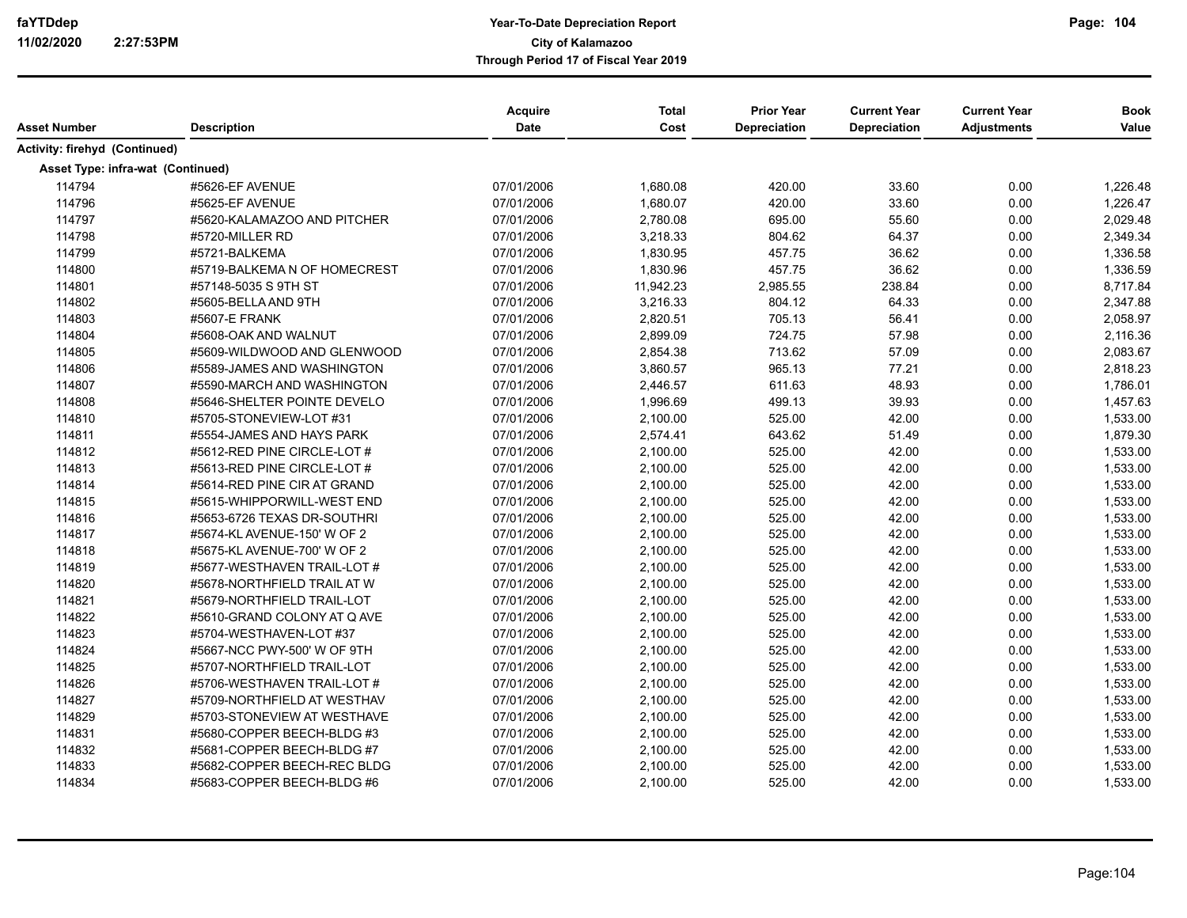| Asset Number                      | <b>Description</b>           | Acquire<br><b>Date</b> | <b>Total</b><br>Cost | <b>Prior Year</b><br><b>Depreciation</b> | <b>Current Year</b><br>Depreciation | <b>Current Year</b><br><b>Adjustments</b> | <b>Book</b><br>Value |
|-----------------------------------|------------------------------|------------------------|----------------------|------------------------------------------|-------------------------------------|-------------------------------------------|----------------------|
| Activity: firehyd (Continued)     |                              |                        |                      |                                          |                                     |                                           |                      |
| Asset Type: infra-wat (Continued) |                              |                        |                      |                                          |                                     |                                           |                      |
| 114794                            | #5626-EF AVENUE              | 07/01/2006             | 1,680.08             | 420.00                                   | 33.60                               | 0.00                                      | 1,226.48             |
| 114796                            | #5625-EF AVENUE              | 07/01/2006             | 1,680.07             | 420.00                                   | 33.60                               | 0.00                                      | 1,226.47             |
| 114797                            | #5620-KALAMAZOO AND PITCHER  | 07/01/2006             | 2,780.08             | 695.00                                   | 55.60                               | 0.00                                      | 2,029.48             |
| 114798                            | #5720-MILLER RD              | 07/01/2006             | 3,218.33             | 804.62                                   | 64.37                               | 0.00                                      | 2,349.34             |
| 114799                            | #5721-BALKEMA                | 07/01/2006             | 1,830.95             | 457.75                                   | 36.62                               | 0.00                                      | 1,336.58             |
| 114800                            | #5719-BALKEMA N OF HOMECREST | 07/01/2006             | 1,830.96             | 457.75                                   | 36.62                               | 0.00                                      | 1,336.59             |
| 114801                            | #57148-5035 S 9TH ST         | 07/01/2006             | 11,942.23            | 2,985.55                                 | 238.84                              | 0.00                                      | 8,717.84             |
| 114802                            | #5605-BELLA AND 9TH          | 07/01/2006             | 3,216.33             | 804.12                                   | 64.33                               | 0.00                                      | 2,347.88             |
| 114803                            | #5607-E FRANK                | 07/01/2006             | 2,820.51             | 705.13                                   | 56.41                               | 0.00                                      | 2,058.97             |
| 114804                            | #5608-OAK AND WALNUT         | 07/01/2006             | 2,899.09             | 724.75                                   | 57.98                               | 0.00                                      | 2,116.36             |
| 114805                            | #5609-WILDWOOD AND GLENWOOD  | 07/01/2006             | 2,854.38             | 713.62                                   | 57.09                               | 0.00                                      | 2,083.67             |
| 114806                            | #5589-JAMES AND WASHINGTON   | 07/01/2006             | 3,860.57             | 965.13                                   | 77.21                               | 0.00                                      | 2,818.23             |
| 114807                            | #5590-MARCH AND WASHINGTON   | 07/01/2006             | 2,446.57             | 611.63                                   | 48.93                               | 0.00                                      | 1,786.01             |
| 114808                            | #5646-SHELTER POINTE DEVELO  | 07/01/2006             | 1,996.69             | 499.13                                   | 39.93                               | 0.00                                      | 1,457.63             |
| 114810                            | #5705-STONEVIEW-LOT #31      | 07/01/2006             | 2,100.00             | 525.00                                   | 42.00                               | 0.00                                      | 1,533.00             |
| 114811                            | #5554-JAMES AND HAYS PARK    | 07/01/2006             | 2,574.41             | 643.62                                   | 51.49                               | 0.00                                      | 1,879.30             |
| 114812                            | #5612-RED PINE CIRCLE-LOT #  | 07/01/2006             | 2,100.00             | 525.00                                   | 42.00                               | 0.00                                      | 1,533.00             |
| 114813                            | #5613-RED PINE CIRCLE-LOT #  | 07/01/2006             | 2,100.00             | 525.00                                   | 42.00                               | 0.00                                      | 1,533.00             |
| 114814                            | #5614-RED PINE CIR AT GRAND  | 07/01/2006             | 2,100.00             | 525.00                                   | 42.00                               | 0.00                                      | 1,533.00             |
| 114815                            | #5615-WHIPPORWILL-WEST END   | 07/01/2006             | 2,100.00             | 525.00                                   | 42.00                               | 0.00                                      | 1,533.00             |
| 114816                            | #5653-6726 TEXAS DR-SOUTHRI  | 07/01/2006             | 2,100.00             | 525.00                                   | 42.00                               | 0.00                                      | 1,533.00             |
| 114817                            | #5674-KL AVENUE-150' W OF 2  | 07/01/2006             | 2,100.00             | 525.00                                   | 42.00                               | 0.00                                      | 1,533.00             |
| 114818                            | #5675-KL AVENUE-700' W OF 2  | 07/01/2006             | 2,100.00             | 525.00                                   | 42.00                               | 0.00                                      | 1,533.00             |
| 114819                            | #5677-WESTHAVEN TRAIL-LOT #  | 07/01/2006             | 2,100.00             | 525.00                                   | 42.00                               | 0.00                                      | 1,533.00             |
| 114820                            | #5678-NORTHFIELD TRAIL AT W  | 07/01/2006             | 2,100.00             | 525.00                                   | 42.00                               | 0.00                                      | 1,533.00             |
| 114821                            | #5679-NORTHFIELD TRAIL-LOT   | 07/01/2006             | 2,100.00             | 525.00                                   | 42.00                               | 0.00                                      | 1,533.00             |
| 114822                            | #5610-GRAND COLONY AT Q AVE  | 07/01/2006             | 2,100.00             | 525.00                                   | 42.00                               | 0.00                                      | 1,533.00             |
| 114823                            | #5704-WESTHAVEN-LOT #37      | 07/01/2006             | 2,100.00             | 525.00                                   | 42.00                               | 0.00                                      | 1,533.00             |
| 114824                            | #5667-NCC PWY-500' W OF 9TH  | 07/01/2006             | 2,100.00             | 525.00                                   | 42.00                               | 0.00                                      | 1,533.00             |
| 114825                            | #5707-NORTHFIELD TRAIL-LOT   | 07/01/2006             | 2,100.00             | 525.00                                   | 42.00                               | 0.00                                      | 1,533.00             |
| 114826                            | #5706-WESTHAVEN TRAIL-LOT #  | 07/01/2006             | 2,100.00             | 525.00                                   | 42.00                               | 0.00                                      | 1,533.00             |
| 114827                            | #5709-NORTHFIELD AT WESTHAV  | 07/01/2006             | 2,100.00             | 525.00                                   | 42.00                               | 0.00                                      | 1,533.00             |
| 114829                            | #5703-STONEVIEW AT WESTHAVE  | 07/01/2006             | 2,100.00             | 525.00                                   | 42.00                               | 0.00                                      | 1,533.00             |
| 114831                            | #5680-COPPER BEECH-BLDG #3   | 07/01/2006             | 2,100.00             | 525.00                                   | 42.00                               | 0.00                                      | 1,533.00             |
| 114832                            | #5681-COPPER BEECH-BLDG #7   | 07/01/2006             | 2,100.00             | 525.00                                   | 42.00                               | 0.00                                      | 1,533.00             |
| 114833                            | #5682-COPPER BEECH-REC BLDG  | 07/01/2006             | 2,100.00             | 525.00                                   | 42.00                               | 0.00                                      | 1,533.00             |
| 114834                            | #5683-COPPER BEECH-BLDG #6   | 07/01/2006             | 2,100.00             | 525.00                                   | 42.00                               | 0.00                                      | 1,533.00             |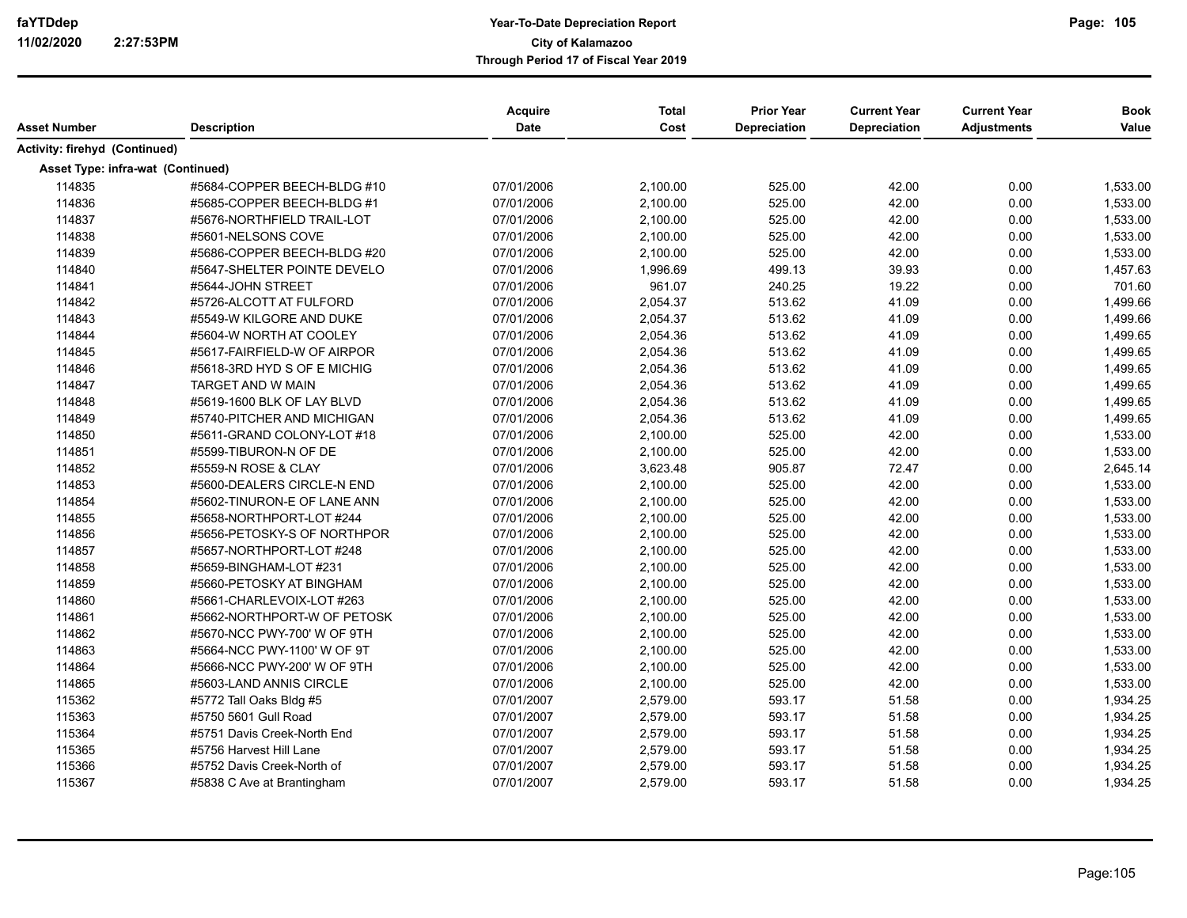| Asset Number                      | <b>Description</b>          | Acquire<br><b>Date</b> | <b>Total</b><br>Cost | <b>Prior Year</b><br><b>Depreciation</b> | <b>Current Year</b><br>Depreciation | <b>Current Year</b><br><b>Adjustments</b> | <b>Book</b><br>Value |
|-----------------------------------|-----------------------------|------------------------|----------------------|------------------------------------------|-------------------------------------|-------------------------------------------|----------------------|
| Activity: firehyd (Continued)     |                             |                        |                      |                                          |                                     |                                           |                      |
| Asset Type: infra-wat (Continued) |                             |                        |                      |                                          |                                     |                                           |                      |
| 114835                            | #5684-COPPER BEECH-BLDG #10 | 07/01/2006             | 2,100.00             | 525.00                                   | 42.00                               | 0.00                                      | 1,533.00             |
| 114836                            | #5685-COPPER BEECH-BLDG #1  | 07/01/2006             | 2,100.00             | 525.00                                   | 42.00                               | 0.00                                      | 1,533.00             |
| 114837                            | #5676-NORTHFIELD TRAIL-LOT  | 07/01/2006             | 2,100.00             | 525.00                                   | 42.00                               | 0.00                                      | 1,533.00             |
| 114838                            | #5601-NELSONS COVE          | 07/01/2006             | 2,100.00             | 525.00                                   | 42.00                               | 0.00                                      | 1,533.00             |
| 114839                            | #5686-COPPER BEECH-BLDG #20 | 07/01/2006             | 2,100.00             | 525.00                                   | 42.00                               | 0.00                                      | 1,533.00             |
| 114840                            | #5647-SHELTER POINTE DEVELO | 07/01/2006             | 1,996.69             | 499.13                                   | 39.93                               | 0.00                                      | 1,457.63             |
| 114841                            | #5644-JOHN STREET           | 07/01/2006             | 961.07               | 240.25                                   | 19.22                               | 0.00                                      | 701.60               |
| 114842                            | #5726-ALCOTT AT FULFORD     | 07/01/2006             | 2,054.37             | 513.62                                   | 41.09                               | 0.00                                      | 1,499.66             |
| 114843                            | #5549-W KILGORE AND DUKE    | 07/01/2006             | 2,054.37             | 513.62                                   | 41.09                               | 0.00                                      | 1,499.66             |
| 114844                            | #5604-W NORTH AT COOLEY     | 07/01/2006             | 2,054.36             | 513.62                                   | 41.09                               | 0.00                                      | 1,499.65             |
| 114845                            | #5617-FAIRFIELD-W OF AIRPOR | 07/01/2006             | 2,054.36             | 513.62                                   | 41.09                               | 0.00                                      | 1,499.65             |
| 114846                            | #5618-3RD HYD S OF E MICHIG | 07/01/2006             | 2,054.36             | 513.62                                   | 41.09                               | 0.00                                      | 1,499.65             |
| 114847                            | <b>TARGET AND W MAIN</b>    | 07/01/2006             | 2,054.36             | 513.62                                   | 41.09                               | 0.00                                      | 1,499.65             |
| 114848                            | #5619-1600 BLK OF LAY BLVD  | 07/01/2006             | 2,054.36             | 513.62                                   | 41.09                               | 0.00                                      | 1,499.65             |
| 114849                            | #5740-PITCHER AND MICHIGAN  | 07/01/2006             | 2,054.36             | 513.62                                   | 41.09                               | 0.00                                      | 1,499.65             |
| 114850                            | #5611-GRAND COLONY-LOT #18  | 07/01/2006             | 2,100.00             | 525.00                                   | 42.00                               | 0.00                                      | 1,533.00             |
| 114851                            | #5599-TIBURON-N OF DE       | 07/01/2006             | 2,100.00             | 525.00                                   | 42.00                               | 0.00                                      | 1,533.00             |
| 114852                            | #5559-N ROSE & CLAY         | 07/01/2006             | 3,623.48             | 905.87                                   | 72.47                               | 0.00                                      | 2,645.14             |
| 114853                            | #5600-DEALERS CIRCLE-N END  | 07/01/2006             | 2,100.00             | 525.00                                   | 42.00                               | 0.00                                      | 1,533.00             |
| 114854                            | #5602-TINURON-E OF LANE ANN | 07/01/2006             | 2,100.00             | 525.00                                   | 42.00                               | 0.00                                      | 1,533.00             |
| 114855                            | #5658-NORTHPORT-LOT #244    | 07/01/2006             | 2,100.00             | 525.00                                   | 42.00                               | 0.00                                      | 1,533.00             |
| 114856                            | #5656-PETOSKY-S OF NORTHPOR | 07/01/2006             | 2,100.00             | 525.00                                   | 42.00                               | 0.00                                      | 1,533.00             |
| 114857                            | #5657-NORTHPORT-LOT #248    | 07/01/2006             | 2,100.00             | 525.00                                   | 42.00                               | 0.00                                      | 1,533.00             |
| 114858                            | #5659-BINGHAM-LOT #231      | 07/01/2006             | 2,100.00             | 525.00                                   | 42.00                               | 0.00                                      | 1,533.00             |
| 114859                            | #5660-PETOSKY AT BINGHAM    | 07/01/2006             | 2,100.00             | 525.00                                   | 42.00                               | 0.00                                      | 1,533.00             |
| 114860                            | #5661-CHARLEVOIX-LOT #263   | 07/01/2006             | 2,100.00             | 525.00                                   | 42.00                               | 0.00                                      | 1,533.00             |
| 114861                            | #5662-NORTHPORT-W OF PETOSK | 07/01/2006             | 2,100.00             | 525.00                                   | 42.00                               | 0.00                                      | 1,533.00             |
| 114862                            | #5670-NCC PWY-700' W OF 9TH | 07/01/2006             | 2,100.00             | 525.00                                   | 42.00                               | 0.00                                      | 1,533.00             |
| 114863                            | #5664-NCC PWY-1100' W OF 9T | 07/01/2006             | 2,100.00             | 525.00                                   | 42.00                               | 0.00                                      | 1,533.00             |
| 114864                            | #5666-NCC PWY-200' W OF 9TH | 07/01/2006             | 2,100.00             | 525.00                                   | 42.00                               | 0.00                                      | 1,533.00             |
| 114865                            | #5603-LAND ANNIS CIRCLE     | 07/01/2006             | 2,100.00             | 525.00                                   | 42.00                               | 0.00                                      | 1,533.00             |
| 115362                            | #5772 Tall Oaks Bldg #5     | 07/01/2007             | 2,579.00             | 593.17                                   | 51.58                               | 0.00                                      | 1,934.25             |
| 115363                            | #5750 5601 Gull Road        | 07/01/2007             | 2,579.00             | 593.17                                   | 51.58                               | 0.00                                      | 1,934.25             |
| 115364                            | #5751 Davis Creek-North End | 07/01/2007             | 2,579.00             | 593.17                                   | 51.58                               | 0.00                                      | 1,934.25             |
| 115365                            | #5756 Harvest Hill Lane     | 07/01/2007             | 2,579.00             | 593.17                                   | 51.58                               | 0.00                                      | 1,934.25             |
| 115366                            | #5752 Davis Creek-North of  | 07/01/2007             | 2,579.00             | 593.17                                   | 51.58                               | 0.00                                      | 1,934.25             |
| 115367                            | #5838 C Ave at Brantingham  | 07/01/2007             | 2,579.00             | 593.17                                   | 51.58                               | 0.00                                      | 1,934.25             |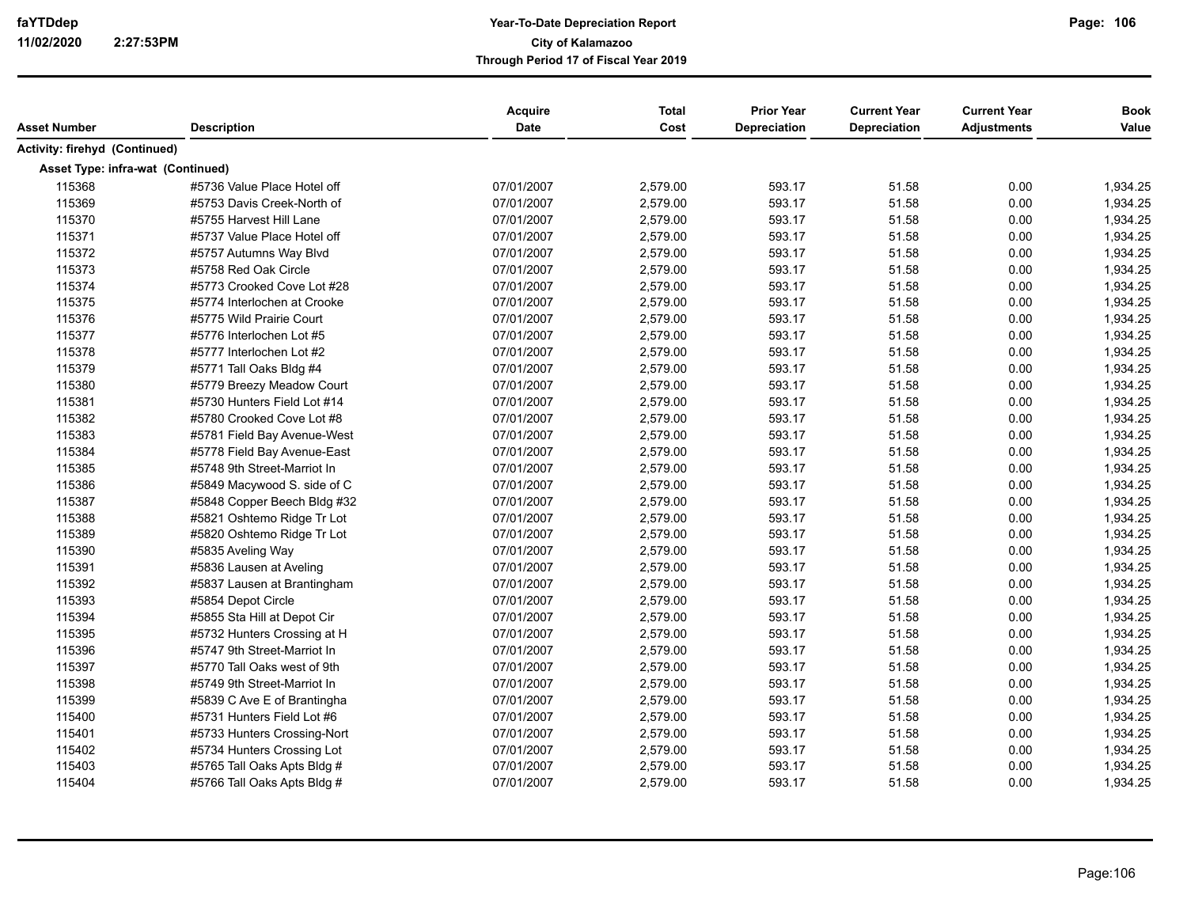|                                   |                             | Acquire    | <b>Total</b> | <b>Prior Year</b><br>Depreciation | <b>Current Year</b> | <b>Current Year</b> | <b>Book</b><br>Value |
|-----------------------------------|-----------------------------|------------|--------------|-----------------------------------|---------------------|---------------------|----------------------|
| Asset Number                      | <b>Description</b>          | Date       | Cost         |                                   | Depreciation        | <b>Adjustments</b>  |                      |
| Activity: firehyd (Continued)     |                             |            |              |                                   |                     |                     |                      |
| Asset Type: infra-wat (Continued) |                             |            |              |                                   |                     |                     |                      |
| 115368                            | #5736 Value Place Hotel off | 07/01/2007 | 2,579.00     | 593.17                            | 51.58               | 0.00                | 1,934.25             |
| 115369                            | #5753 Davis Creek-North of  | 07/01/2007 | 2,579.00     | 593.17                            | 51.58               | 0.00                | 1,934.25             |
| 115370                            | #5755 Harvest Hill Lane     | 07/01/2007 | 2,579.00     | 593.17                            | 51.58               | 0.00                | 1,934.25             |
| 115371                            | #5737 Value Place Hotel off | 07/01/2007 | 2,579.00     | 593.17                            | 51.58               | 0.00                | 1,934.25             |
| 115372                            | #5757 Autumns Way Blvd      | 07/01/2007 | 2,579.00     | 593.17                            | 51.58               | 0.00                | 1,934.25             |
| 115373                            | #5758 Red Oak Circle        | 07/01/2007 | 2,579.00     | 593.17                            | 51.58               | 0.00                | 1,934.25             |
| 115374                            | #5773 Crooked Cove Lot #28  | 07/01/2007 | 2,579.00     | 593.17                            | 51.58               | 0.00                | 1,934.25             |
| 115375                            | #5774 Interlochen at Crooke | 07/01/2007 | 2,579.00     | 593.17                            | 51.58               | 0.00                | 1,934.25             |
| 115376                            | #5775 Wild Prairie Court    | 07/01/2007 | 2,579.00     | 593.17                            | 51.58               | 0.00                | 1,934.25             |
| 115377                            | #5776 Interlochen Lot #5    | 07/01/2007 | 2,579.00     | 593.17                            | 51.58               | 0.00                | 1,934.25             |
| 115378                            | #5777 Interlochen Lot #2    | 07/01/2007 | 2,579.00     | 593.17                            | 51.58               | 0.00                | 1,934.25             |
| 115379                            | #5771 Tall Oaks Bldg #4     | 07/01/2007 | 2,579.00     | 593.17                            | 51.58               | 0.00                | 1,934.25             |
| 115380                            | #5779 Breezy Meadow Court   | 07/01/2007 | 2,579.00     | 593.17                            | 51.58               | 0.00                | 1,934.25             |
| 115381                            | #5730 Hunters Field Lot #14 | 07/01/2007 | 2,579.00     | 593.17                            | 51.58               | 0.00                | 1,934.25             |
| 115382                            | #5780 Crooked Cove Lot #8   | 07/01/2007 | 2,579.00     | 593.17                            | 51.58               | 0.00                | 1,934.25             |
| 115383                            | #5781 Field Bay Avenue-West | 07/01/2007 | 2,579.00     | 593.17                            | 51.58               | 0.00                | 1,934.25             |
| 115384                            | #5778 Field Bay Avenue-East | 07/01/2007 | 2,579.00     | 593.17                            | 51.58               | 0.00                | 1,934.25             |
| 115385                            | #5748 9th Street-Marriot In | 07/01/2007 | 2,579.00     | 593.17                            | 51.58               | 0.00                | 1,934.25             |
| 115386                            | #5849 Macywood S. side of C | 07/01/2007 | 2,579.00     | 593.17                            | 51.58               | 0.00                | 1,934.25             |
| 115387                            | #5848 Copper Beech Bldg #32 | 07/01/2007 | 2,579.00     | 593.17                            | 51.58               | 0.00                | 1,934.25             |
| 115388                            | #5821 Oshtemo Ridge Tr Lot  | 07/01/2007 | 2,579.00     | 593.17                            | 51.58               | 0.00                | 1,934.25             |
| 115389                            | #5820 Oshtemo Ridge Tr Lot  | 07/01/2007 | 2,579.00     | 593.17                            | 51.58               | 0.00                | 1,934.25             |
| 115390                            | #5835 Aveling Way           | 07/01/2007 | 2,579.00     | 593.17                            | 51.58               | 0.00                | 1,934.25             |
| 115391                            | #5836 Lausen at Aveling     | 07/01/2007 | 2,579.00     | 593.17                            | 51.58               | 0.00                | 1,934.25             |
| 115392                            | #5837 Lausen at Brantingham | 07/01/2007 | 2,579.00     | 593.17                            | 51.58               | 0.00                | 1,934.25             |
| 115393                            | #5854 Depot Circle          | 07/01/2007 | 2,579.00     | 593.17                            | 51.58               | 0.00                | 1,934.25             |
| 115394                            | #5855 Sta Hill at Depot Cir | 07/01/2007 | 2,579.00     | 593.17                            | 51.58               | 0.00                | 1,934.25             |
| 115395                            | #5732 Hunters Crossing at H | 07/01/2007 | 2,579.00     | 593.17                            | 51.58               | 0.00                | 1,934.25             |
| 115396                            | #5747 9th Street-Marriot In | 07/01/2007 | 2,579.00     | 593.17                            | 51.58               | 0.00                | 1,934.25             |
| 115397                            | #5770 Tall Oaks west of 9th | 07/01/2007 | 2,579.00     | 593.17                            | 51.58               | 0.00                | 1,934.25             |
| 115398                            | #5749 9th Street-Marriot In | 07/01/2007 | 2,579.00     | 593.17                            | 51.58               | 0.00                | 1,934.25             |
| 115399                            | #5839 C Ave E of Brantingha | 07/01/2007 | 2,579.00     | 593.17                            | 51.58               | 0.00                | 1,934.25             |
| 115400                            | #5731 Hunters Field Lot #6  | 07/01/2007 | 2,579.00     | 593.17                            | 51.58               | 0.00                | 1,934.25             |
| 115401                            | #5733 Hunters Crossing-Nort | 07/01/2007 | 2,579.00     | 593.17                            | 51.58               | 0.00                | 1,934.25             |
| 115402                            | #5734 Hunters Crossing Lot  | 07/01/2007 | 2,579.00     | 593.17                            | 51.58               | 0.00                | 1,934.25             |
| 115403                            | #5765 Tall Oaks Apts Bldg # | 07/01/2007 | 2,579.00     | 593.17                            | 51.58               | 0.00                | 1,934.25             |
| 115404                            | #5766 Tall Oaks Apts Bldg # | 07/01/2007 | 2,579.00     | 593.17                            | 51.58               | 0.00                | 1,934.25             |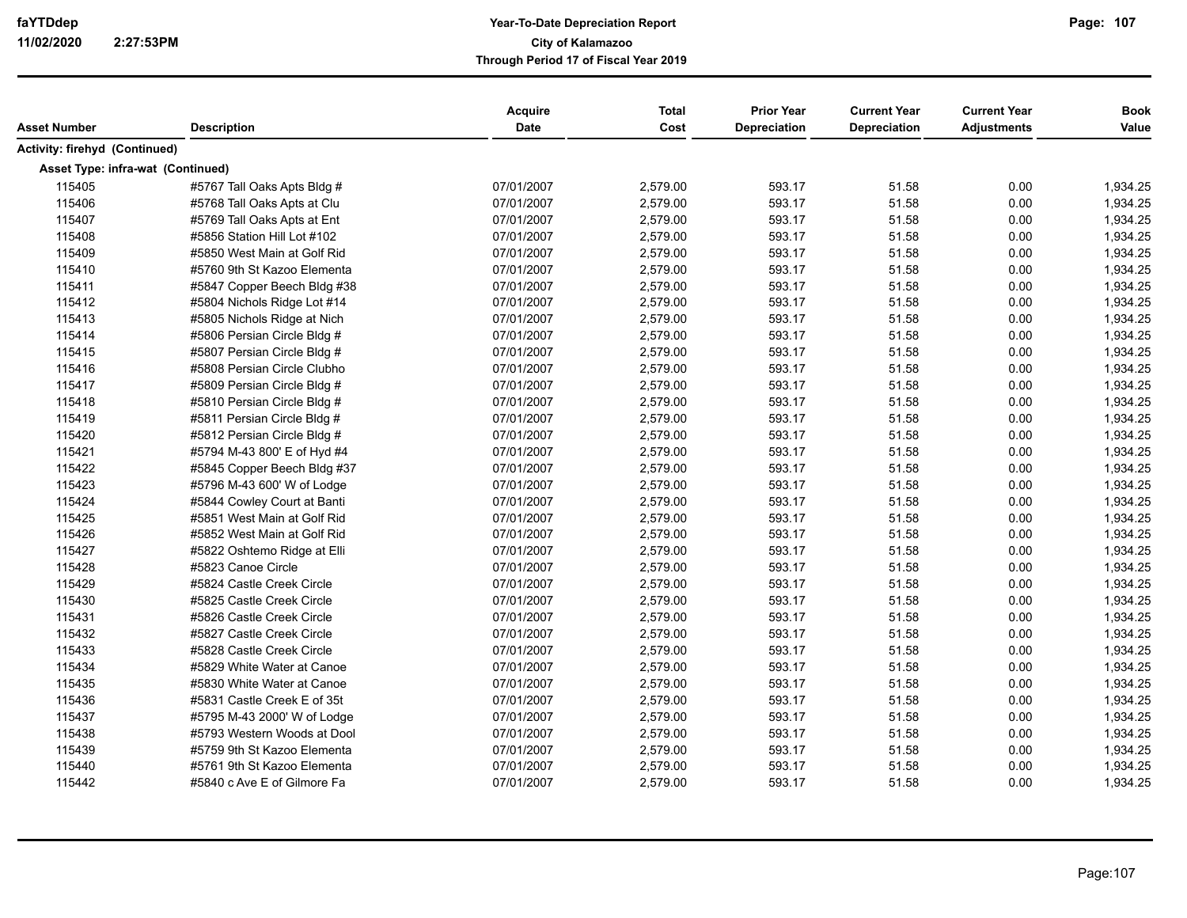| Asset Number                      | <b>Description</b>          | <b>Acquire</b><br><b>Date</b> | <b>Total</b><br>Cost | <b>Prior Year</b><br><b>Depreciation</b> | <b>Current Year</b><br><b>Depreciation</b> | <b>Current Year</b><br><b>Adjustments</b> | <b>Book</b><br>Value |
|-----------------------------------|-----------------------------|-------------------------------|----------------------|------------------------------------------|--------------------------------------------|-------------------------------------------|----------------------|
| Activity: firehyd (Continued)     |                             |                               |                      |                                          |                                            |                                           |                      |
| Asset Type: infra-wat (Continued) |                             |                               |                      |                                          |                                            |                                           |                      |
| 115405                            | #5767 Tall Oaks Apts Bldg # | 07/01/2007                    | 2,579.00             | 593.17                                   | 51.58                                      | 0.00                                      | 1,934.25             |
| 115406                            | #5768 Tall Oaks Apts at Clu | 07/01/2007                    | 2,579.00             | 593.17                                   | 51.58                                      | 0.00                                      | 1,934.25             |
| 115407                            | #5769 Tall Oaks Apts at Ent | 07/01/2007                    | 2,579.00             | 593.17                                   | 51.58                                      | 0.00                                      | 1,934.25             |
| 115408                            | #5856 Station Hill Lot #102 | 07/01/2007                    | 2,579.00             | 593.17                                   | 51.58                                      | 0.00                                      | 1,934.25             |
| 115409                            | #5850 West Main at Golf Rid | 07/01/2007                    | 2,579.00             | 593.17                                   | 51.58                                      | 0.00                                      | 1,934.25             |
| 115410                            | #5760 9th St Kazoo Elementa | 07/01/2007                    | 2,579.00             | 593.17                                   | 51.58                                      | 0.00                                      | 1,934.25             |
| 115411                            | #5847 Copper Beech Bldg #38 | 07/01/2007                    | 2,579.00             | 593.17                                   | 51.58                                      | 0.00                                      | 1,934.25             |
| 115412                            | #5804 Nichols Ridge Lot #14 | 07/01/2007                    | 2,579.00             | 593.17                                   | 51.58                                      | 0.00                                      | 1,934.25             |
| 115413                            | #5805 Nichols Ridge at Nich | 07/01/2007                    | 2,579.00             | 593.17                                   | 51.58                                      | 0.00                                      | 1,934.25             |
| 115414                            | #5806 Persian Circle Bldg # | 07/01/2007                    | 2,579.00             | 593.17                                   | 51.58                                      | 0.00                                      | 1,934.25             |
| 115415                            | #5807 Persian Circle Bldg # | 07/01/2007                    | 2,579.00             | 593.17                                   | 51.58                                      | 0.00                                      | 1,934.25             |
| 115416                            | #5808 Persian Circle Clubho | 07/01/2007                    | 2,579.00             | 593.17                                   | 51.58                                      | 0.00                                      | 1,934.25             |
| 115417                            | #5809 Persian Circle Bldg # | 07/01/2007                    | 2,579.00             | 593.17                                   | 51.58                                      | 0.00                                      | 1,934.25             |
| 115418                            | #5810 Persian Circle Bldg # | 07/01/2007                    | 2,579.00             | 593.17                                   | 51.58                                      | 0.00                                      | 1,934.25             |
| 115419                            | #5811 Persian Circle Bldg # | 07/01/2007                    | 2,579.00             | 593.17                                   | 51.58                                      | 0.00                                      | 1,934.25             |
| 115420                            | #5812 Persian Circle Bldg # | 07/01/2007                    | 2,579.00             | 593.17                                   | 51.58                                      | 0.00                                      | 1,934.25             |
| 115421                            | #5794 M-43 800' E of Hyd #4 | 07/01/2007                    | 2,579.00             | 593.17                                   | 51.58                                      | 0.00                                      | 1,934.25             |
| 115422                            | #5845 Copper Beech Bldg #37 | 07/01/2007                    | 2,579.00             | 593.17                                   | 51.58                                      | 0.00                                      | 1,934.25             |
| 115423                            | #5796 M-43 600' W of Lodge  | 07/01/2007                    | 2,579.00             | 593.17                                   | 51.58                                      | 0.00                                      | 1,934.25             |
| 115424                            | #5844 Cowley Court at Banti | 07/01/2007                    | 2,579.00             | 593.17                                   | 51.58                                      | 0.00                                      | 1,934.25             |
| 115425                            | #5851 West Main at Golf Rid | 07/01/2007                    | 2,579.00             | 593.17                                   | 51.58                                      | 0.00                                      | 1,934.25             |
| 115426                            | #5852 West Main at Golf Rid | 07/01/2007                    | 2,579.00             | 593.17                                   | 51.58                                      | 0.00                                      | 1,934.25             |
| 115427                            | #5822 Oshtemo Ridge at Elli | 07/01/2007                    | 2,579.00             | 593.17                                   | 51.58                                      | 0.00                                      | 1,934.25             |
| 115428                            | #5823 Canoe Circle          | 07/01/2007                    | 2,579.00             | 593.17                                   | 51.58                                      | 0.00                                      | 1,934.25             |
| 115429                            | #5824 Castle Creek Circle   | 07/01/2007                    | 2,579.00             | 593.17                                   | 51.58                                      | 0.00                                      | 1,934.25             |
| 115430                            | #5825 Castle Creek Circle   | 07/01/2007                    | 2,579.00             | 593.17                                   | 51.58                                      | 0.00                                      | 1,934.25             |
| 115431                            | #5826 Castle Creek Circle   | 07/01/2007                    | 2,579.00             | 593.17                                   | 51.58                                      | 0.00                                      | 1,934.25             |
| 115432                            | #5827 Castle Creek Circle   | 07/01/2007                    | 2,579.00             | 593.17                                   | 51.58                                      | 0.00                                      | 1,934.25             |
| 115433                            | #5828 Castle Creek Circle   | 07/01/2007                    | 2,579.00             | 593.17                                   | 51.58                                      | 0.00                                      | 1,934.25             |
| 115434                            | #5829 White Water at Canoe  | 07/01/2007                    | 2,579.00             | 593.17                                   | 51.58                                      | 0.00                                      | 1,934.25             |
| 115435                            | #5830 White Water at Canoe  | 07/01/2007                    | 2,579.00             | 593.17                                   | 51.58                                      | 0.00                                      | 1,934.25             |
| 115436                            | #5831 Castle Creek E of 35t | 07/01/2007                    | 2,579.00             | 593.17                                   | 51.58                                      | 0.00                                      | 1,934.25             |
| 115437                            | #5795 M-43 2000' W of Lodge | 07/01/2007                    | 2,579.00             | 593.17                                   | 51.58                                      | 0.00                                      | 1,934.25             |
| 115438                            | #5793 Western Woods at Dool | 07/01/2007                    | 2,579.00             | 593.17                                   | 51.58                                      | 0.00                                      | 1,934.25             |
| 115439                            | #5759 9th St Kazoo Elementa | 07/01/2007                    | 2,579.00             | 593.17                                   | 51.58                                      | 0.00                                      | 1,934.25             |
| 115440                            | #5761 9th St Kazoo Elementa | 07/01/2007                    | 2,579.00             | 593.17                                   | 51.58                                      | 0.00                                      | 1,934.25             |
| 115442                            | #5840 c Ave E of Gilmore Fa | 07/01/2007                    | 2,579.00             | 593.17                                   | 51.58                                      | 0.00                                      | 1,934.25             |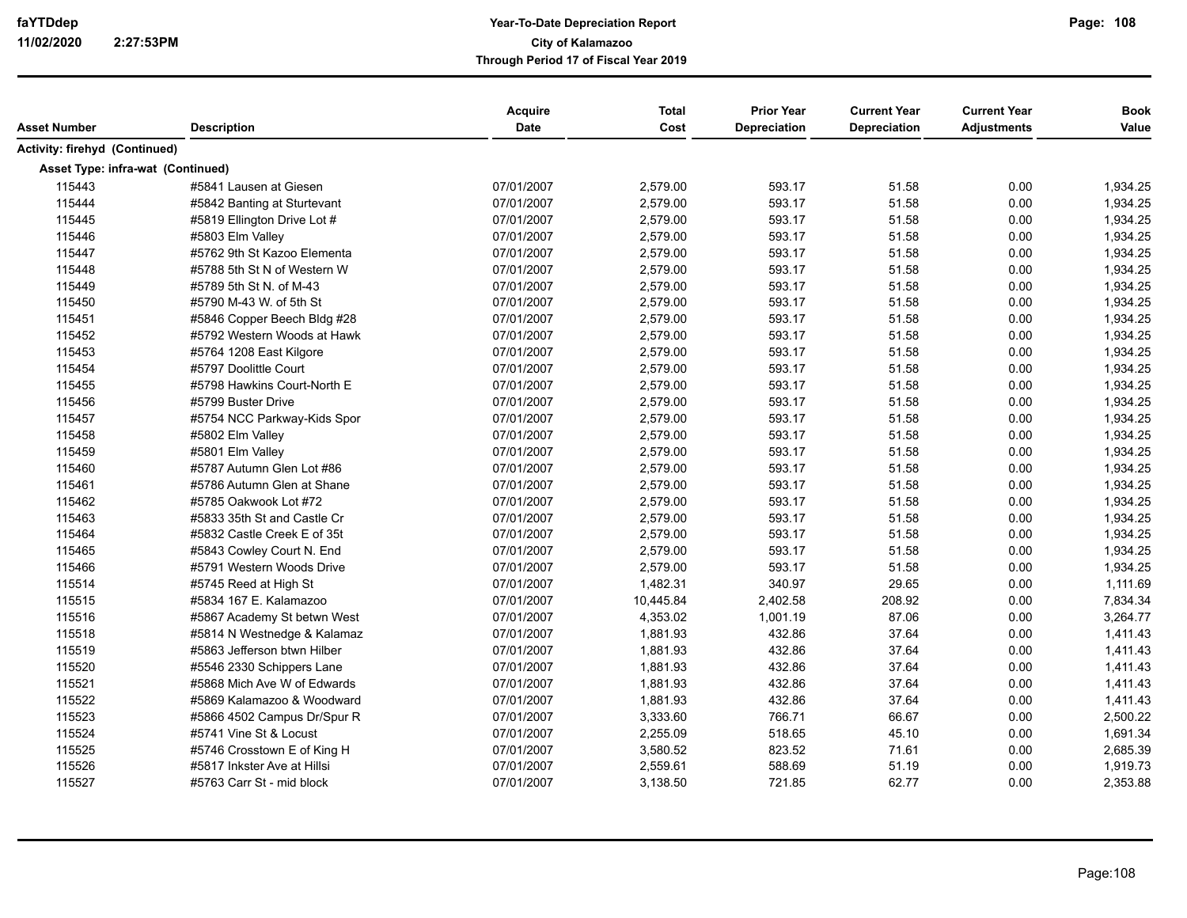|                                   |                             | Acquire    | <b>Total</b> | <b>Prior Year</b> | <b>Current Year</b> | <b>Current Year</b> | <b>Book</b> |
|-----------------------------------|-----------------------------|------------|--------------|-------------------|---------------------|---------------------|-------------|
| Asset Number                      | <b>Description</b>          | Date       | Cost         | Depreciation      | Depreciation        | <b>Adjustments</b>  | Value       |
| Activity: firehyd (Continued)     |                             |            |              |                   |                     |                     |             |
| Asset Type: infra-wat (Continued) |                             |            |              |                   |                     |                     |             |
| 115443                            | #5841 Lausen at Giesen      | 07/01/2007 | 2,579.00     | 593.17            | 51.58               | 0.00                | 1,934.25    |
| 115444                            | #5842 Banting at Sturtevant | 07/01/2007 | 2,579.00     | 593.17            | 51.58               | 0.00                | 1,934.25    |
| 115445                            | #5819 Ellington Drive Lot # | 07/01/2007 | 2,579.00     | 593.17            | 51.58               | 0.00                | 1,934.25    |
| 115446                            | #5803 Elm Valley            | 07/01/2007 | 2,579.00     | 593.17            | 51.58               | 0.00                | 1,934.25    |
| 115447                            | #5762 9th St Kazoo Elementa | 07/01/2007 | 2,579.00     | 593.17            | 51.58               | 0.00                | 1,934.25    |
| 115448                            | #5788 5th St N of Western W | 07/01/2007 | 2,579.00     | 593.17            | 51.58               | 0.00                | 1,934.25    |
| 115449                            | #5789 5th St N. of M-43     | 07/01/2007 | 2,579.00     | 593.17            | 51.58               | 0.00                | 1,934.25    |
| 115450                            | #5790 M-43 W. of 5th St     | 07/01/2007 | 2,579.00     | 593.17            | 51.58               | 0.00                | 1,934.25    |
| 115451                            | #5846 Copper Beech Bldg #28 | 07/01/2007 | 2,579.00     | 593.17            | 51.58               | 0.00                | 1,934.25    |
| 115452                            | #5792 Western Woods at Hawk | 07/01/2007 | 2,579.00     | 593.17            | 51.58               | 0.00                | 1,934.25    |
| 115453                            | #5764 1208 East Kilgore     | 07/01/2007 | 2,579.00     | 593.17            | 51.58               | 0.00                | 1,934.25    |
| 115454                            | #5797 Doolittle Court       | 07/01/2007 | 2,579.00     | 593.17            | 51.58               | 0.00                | 1,934.25    |
| 115455                            | #5798 Hawkins Court-North E | 07/01/2007 | 2,579.00     | 593.17            | 51.58               | 0.00                | 1,934.25    |
| 115456                            | #5799 Buster Drive          | 07/01/2007 | 2,579.00     | 593.17            | 51.58               | 0.00                | 1,934.25    |
| 115457                            | #5754 NCC Parkway-Kids Spor | 07/01/2007 | 2,579.00     | 593.17            | 51.58               | 0.00                | 1,934.25    |
| 115458                            | #5802 Elm Valley            | 07/01/2007 | 2,579.00     | 593.17            | 51.58               | 0.00                | 1,934.25    |
| 115459                            | #5801 Elm Valley            | 07/01/2007 | 2,579.00     | 593.17            | 51.58               | 0.00                | 1,934.25    |
| 115460                            | #5787 Autumn Glen Lot #86   | 07/01/2007 | 2,579.00     | 593.17            | 51.58               | 0.00                | 1,934.25    |
| 115461                            | #5786 Autumn Glen at Shane  | 07/01/2007 | 2,579.00     | 593.17            | 51.58               | 0.00                | 1,934.25    |
| 115462                            | #5785 Oakwook Lot #72       | 07/01/2007 | 2,579.00     | 593.17            | 51.58               | 0.00                | 1,934.25    |
| 115463                            | #5833 35th St and Castle Cr | 07/01/2007 | 2,579.00     | 593.17            | 51.58               | 0.00                | 1,934.25    |
| 115464                            | #5832 Castle Creek E of 35t | 07/01/2007 | 2,579.00     | 593.17            | 51.58               | 0.00                | 1,934.25    |
| 115465                            | #5843 Cowley Court N. End   | 07/01/2007 | 2,579.00     | 593.17            | 51.58               | 0.00                | 1,934.25    |
| 115466                            | #5791 Western Woods Drive   | 07/01/2007 | 2,579.00     | 593.17            | 51.58               | 0.00                | 1,934.25    |
| 115514                            | #5745 Reed at High St       | 07/01/2007 | 1,482.31     | 340.97            | 29.65               | 0.00                | 1,111.69    |
| 115515                            | #5834 167 E. Kalamazoo      | 07/01/2007 | 10,445.84    | 2,402.58          | 208.92              | 0.00                | 7,834.34    |
| 115516                            | #5867 Academy St betwn West | 07/01/2007 | 4,353.02     | 1,001.19          | 87.06               | 0.00                | 3,264.77    |
| 115518                            | #5814 N Westnedge & Kalamaz | 07/01/2007 | 1,881.93     | 432.86            | 37.64               | 0.00                | 1,411.43    |
| 115519                            | #5863 Jefferson btwn Hilber | 07/01/2007 | 1,881.93     | 432.86            | 37.64               | 0.00                | 1,411.43    |
| 115520                            | #5546 2330 Schippers Lane   | 07/01/2007 | 1,881.93     | 432.86            | 37.64               | 0.00                | 1,411.43    |
| 115521                            | #5868 Mich Ave W of Edwards | 07/01/2007 | 1,881.93     | 432.86            | 37.64               | 0.00                | 1,411.43    |
| 115522                            | #5869 Kalamazoo & Woodward  | 07/01/2007 | 1,881.93     | 432.86            | 37.64               | 0.00                | 1,411.43    |
| 115523                            | #5866 4502 Campus Dr/Spur R | 07/01/2007 | 3,333.60     | 766.71            | 66.67               | 0.00                | 2,500.22    |
| 115524                            | #5741 Vine St & Locust      | 07/01/2007 | 2,255.09     | 518.65            | 45.10               | 0.00                | 1,691.34    |
| 115525                            | #5746 Crosstown E of King H | 07/01/2007 | 3,580.52     | 823.52            | 71.61               | 0.00                | 2,685.39    |
| 115526                            | #5817 Inkster Ave at Hillsi | 07/01/2007 | 2,559.61     | 588.69            | 51.19               | 0.00                | 1,919.73    |
| 115527                            | #5763 Carr St - mid block   | 07/01/2007 | 3,138.50     | 721.85            | 62.77               | 0.00                | 2,353.88    |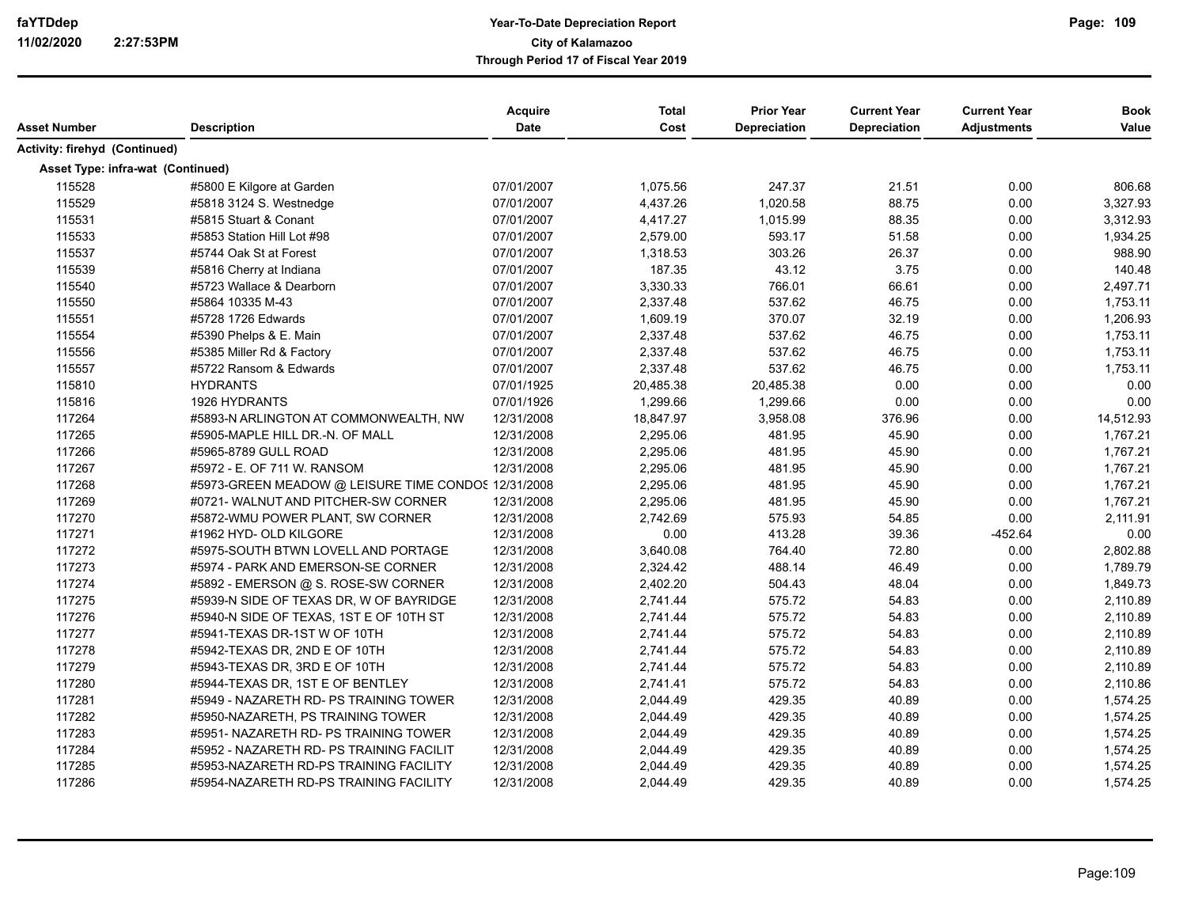| Asset Number                      | <b>Description</b>                                  | Acquire<br><b>Date</b> | <b>Total</b><br>Cost | <b>Prior Year</b><br>Depreciation | <b>Current Year</b><br>Depreciation | <b>Current Year</b><br><b>Adjustments</b> | <b>Book</b><br>Value |
|-----------------------------------|-----------------------------------------------------|------------------------|----------------------|-----------------------------------|-------------------------------------|-------------------------------------------|----------------------|
|                                   |                                                     |                        |                      |                                   |                                     |                                           |                      |
| Activity: firehyd (Continued)     |                                                     |                        |                      |                                   |                                     |                                           |                      |
| Asset Type: infra-wat (Continued) |                                                     |                        |                      |                                   |                                     |                                           |                      |
| 115528                            | #5800 E Kilgore at Garden                           | 07/01/2007             | 1,075.56             | 247.37                            | 21.51                               | 0.00                                      | 806.68               |
| 115529                            | #5818 3124 S. Westnedge                             | 07/01/2007             | 4,437.26             | 1,020.58                          | 88.75                               | 0.00                                      | 3,327.93             |
| 115531                            | #5815 Stuart & Conant                               | 07/01/2007             | 4,417.27             | 1,015.99                          | 88.35                               | 0.00                                      | 3,312.93             |
| 115533                            | #5853 Station Hill Lot #98                          | 07/01/2007             | 2,579.00             | 593.17                            | 51.58                               | 0.00                                      | 1,934.25             |
| 115537                            | #5744 Oak St at Forest                              | 07/01/2007             | 1,318.53             | 303.26                            | 26.37                               | 0.00                                      | 988.90               |
| 115539                            | #5816 Cherry at Indiana                             | 07/01/2007             | 187.35               | 43.12                             | 3.75                                | 0.00                                      | 140.48               |
| 115540                            | #5723 Wallace & Dearborn                            | 07/01/2007             | 3,330.33             | 766.01                            | 66.61                               | 0.00                                      | 2,497.71             |
| 115550                            | #5864 10335 M-43                                    | 07/01/2007             | 2,337.48             | 537.62                            | 46.75                               | 0.00                                      | 1,753.11             |
| 115551                            | #5728 1726 Edwards                                  | 07/01/2007             | 1,609.19             | 370.07                            | 32.19                               | 0.00                                      | 1,206.93             |
| 115554                            | #5390 Phelps & E. Main                              | 07/01/2007             | 2,337.48             | 537.62                            | 46.75                               | 0.00                                      | 1,753.11             |
| 115556                            | #5385 Miller Rd & Factory                           | 07/01/2007             | 2,337.48             | 537.62                            | 46.75                               | 0.00                                      | 1,753.11             |
| 115557                            | #5722 Ransom & Edwards                              | 07/01/2007             | 2,337.48             | 537.62                            | 46.75                               | 0.00                                      | 1,753.11             |
| 115810                            | <b>HYDRANTS</b>                                     | 07/01/1925             | 20,485.38            | 20,485.38                         | 0.00                                | 0.00                                      | 0.00                 |
| 115816                            | 1926 HYDRANTS                                       | 07/01/1926             | 1,299.66             | 1,299.66                          | 0.00                                | 0.00                                      | 0.00                 |
| 117264                            | #5893-N ARLINGTON AT COMMONWEALTH, NW               | 12/31/2008             | 18,847.97            | 3,958.08                          | 376.96                              | 0.00                                      | 14,512.93            |
| 117265                            | #5905-MAPLE HILL DR.-N. OF MALL                     | 12/31/2008             | 2,295.06             | 481.95                            | 45.90                               | 0.00                                      | 1,767.21             |
| 117266                            | #5965-8789 GULL ROAD                                | 12/31/2008             | 2,295.06             | 481.95                            | 45.90                               | 0.00                                      | 1,767.21             |
| 117267                            | #5972 - E. OF 711 W. RANSOM                         | 12/31/2008             | 2,295.06             | 481.95                            | 45.90                               | 0.00                                      | 1,767.21             |
| 117268                            | #5973-GREEN MEADOW @ LEISURE TIME CONDOS 12/31/2008 |                        | 2,295.06             | 481.95                            | 45.90                               | 0.00                                      | 1,767.21             |
| 117269                            | #0721- WALNUT AND PITCHER-SW CORNER                 | 12/31/2008             | 2,295.06             | 481.95                            | 45.90                               | 0.00                                      | 1,767.21             |
| 117270                            | #5872-WMU POWER PLANT, SW CORNER                    | 12/31/2008             | 2,742.69             | 575.93                            | 54.85                               | 0.00                                      | 2,111.91             |
| 117271                            | #1962 HYD- OLD KILGORE                              | 12/31/2008             | 0.00                 | 413.28                            | 39.36                               | $-452.64$                                 | 0.00                 |
| 117272                            | #5975-SOUTH BTWN LOVELL AND PORTAGE                 | 12/31/2008             | 3,640.08             | 764.40                            | 72.80                               | 0.00                                      | 2,802.88             |
| 117273                            | #5974 - PARK AND EMERSON-SE CORNER                  | 12/31/2008             | 2,324.42             | 488.14                            | 46.49                               | 0.00                                      | 1,789.79             |
| 117274                            | #5892 - EMERSON @ S. ROSE-SW CORNER                 | 12/31/2008             | 2,402.20             | 504.43                            | 48.04                               | 0.00                                      | 1,849.73             |
| 117275                            | #5939-N SIDE OF TEXAS DR, W OF BAYRIDGE             | 12/31/2008             | 2,741.44             | 575.72                            | 54.83                               | 0.00                                      | 2,110.89             |
| 117276                            | #5940-N SIDE OF TEXAS, 1ST E OF 10TH ST             | 12/31/2008             | 2,741.44             | 575.72                            | 54.83                               | 0.00                                      | 2,110.89             |
| 117277                            | #5941-TEXAS DR-1ST W OF 10TH                        | 12/31/2008             | 2,741.44             | 575.72                            | 54.83                               | 0.00                                      | 2,110.89             |
| 117278                            | #5942-TEXAS DR, 2ND E OF 10TH                       | 12/31/2008             | 2,741.44             | 575.72                            | 54.83                               | 0.00                                      | 2,110.89             |
| 117279                            | #5943-TEXAS DR, 3RD E OF 10TH                       | 12/31/2008             | 2,741.44             | 575.72                            | 54.83                               | 0.00                                      | 2,110.89             |
| 117280                            | #5944-TEXAS DR, 1ST E OF BENTLEY                    | 12/31/2008             | 2,741.41             | 575.72                            | 54.83                               | 0.00                                      | 2,110.86             |
| 117281                            | #5949 - NAZARETH RD- PS TRAINING TOWER              | 12/31/2008             | 2,044.49             | 429.35                            | 40.89                               | 0.00                                      | 1,574.25             |
| 117282                            | #5950-NAZARETH, PS TRAINING TOWER                   | 12/31/2008             | 2,044.49             | 429.35                            | 40.89                               | 0.00                                      | 1,574.25             |
| 117283                            | #5951- NAZARETH RD- PS TRAINING TOWER               | 12/31/2008             | 2,044.49             | 429.35                            | 40.89                               | 0.00                                      | 1,574.25             |
| 117284                            | #5952 - NAZARETH RD- PS TRAINING FACILIT            | 12/31/2008             | 2,044.49             | 429.35                            | 40.89                               | 0.00                                      | 1,574.25             |
| 117285                            | #5953-NAZARETH RD-PS TRAINING FACILITY              | 12/31/2008             | 2,044.49             | 429.35                            | 40.89                               | 0.00                                      | 1,574.25             |
| 117286                            | #5954-NAZARETH RD-PS TRAINING FACILITY              | 12/31/2008             | 2,044.49             | 429.35                            | 40.89                               | 0.00                                      | 1,574.25             |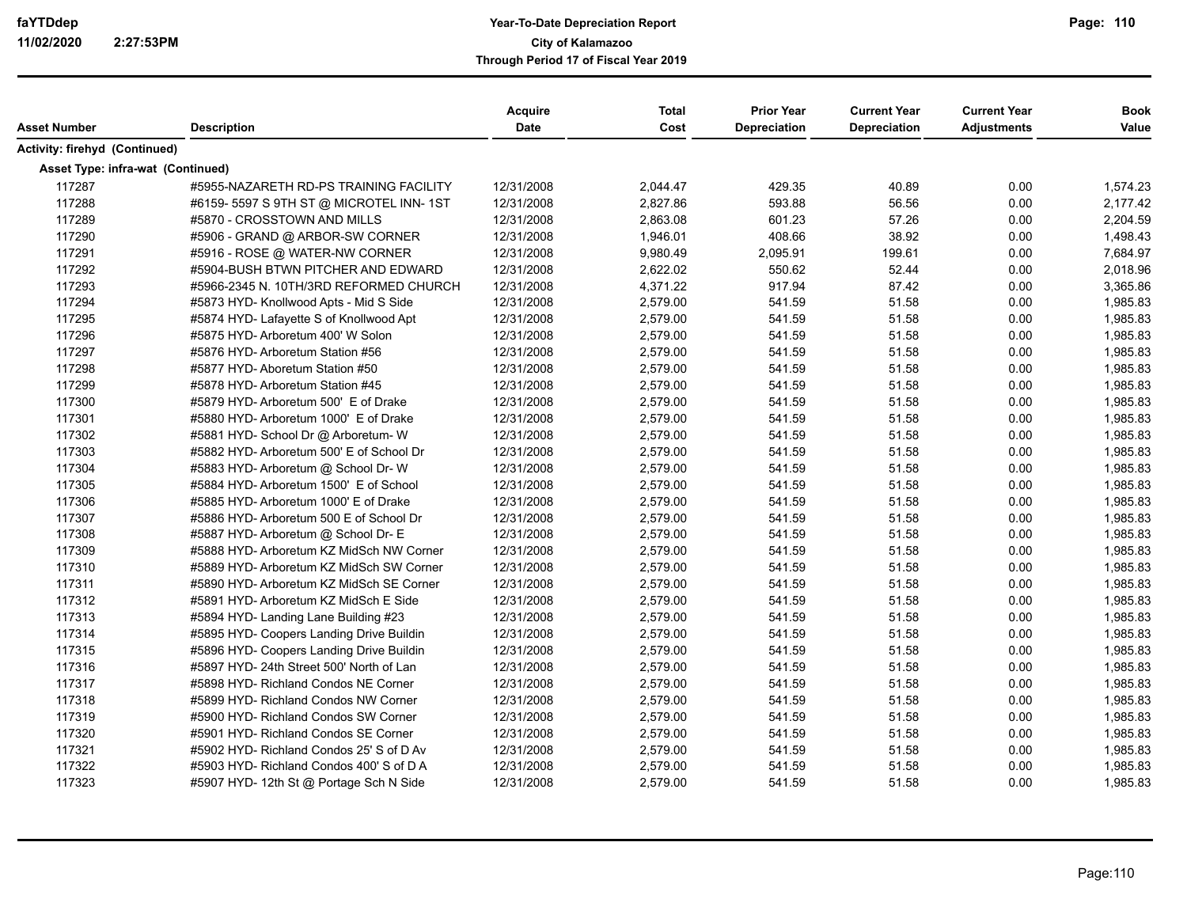|                                   |                                          | <b>Acquire</b> | <b>Total</b> | <b>Prior Year</b>   | <b>Current Year</b> | <b>Current Year</b> | <b>Book</b> |
|-----------------------------------|------------------------------------------|----------------|--------------|---------------------|---------------------|---------------------|-------------|
| Asset Number                      | <b>Description</b>                       | Date           | Cost         | <b>Depreciation</b> | Depreciation        | <b>Adjustments</b>  | Value       |
| Activity: firehyd (Continued)     |                                          |                |              |                     |                     |                     |             |
| Asset Type: infra-wat (Continued) |                                          |                |              |                     |                     |                     |             |
| 117287                            | #5955-NAZARETH RD-PS TRAINING FACILITY   | 12/31/2008     | 2,044.47     | 429.35              | 40.89               | 0.00                | 1,574.23    |
| 117288                            | #6159-5597 S 9TH ST @ MICROTEL INN-1ST   | 12/31/2008     | 2,827.86     | 593.88              | 56.56               | 0.00                | 2,177.42    |
| 117289                            | #5870 - CROSSTOWN AND MILLS              | 12/31/2008     | 2,863.08     | 601.23              | 57.26               | 0.00                | 2,204.59    |
| 117290                            | #5906 - GRAND @ ARBOR-SW CORNER          | 12/31/2008     | 1,946.01     | 408.66              | 38.92               | 0.00                | 1,498.43    |
| 117291                            | #5916 - ROSE @ WATER-NW CORNER           | 12/31/2008     | 9,980.49     | 2,095.91            | 199.61              | 0.00                | 7,684.97    |
| 117292                            | #5904-BUSH BTWN PITCHER AND EDWARD       | 12/31/2008     | 2,622.02     | 550.62              | 52.44               | 0.00                | 2,018.96    |
| 117293                            | #5966-2345 N. 10TH/3RD REFORMED CHURCH   | 12/31/2008     | 4,371.22     | 917.94              | 87.42               | 0.00                | 3,365.86    |
| 117294                            | #5873 HYD- Knollwood Apts - Mid S Side   | 12/31/2008     | 2,579.00     | 541.59              | 51.58               | 0.00                | 1,985.83    |
| 117295                            | #5874 HYD- Lafayette S of Knollwood Apt  | 12/31/2008     | 2,579.00     | 541.59              | 51.58               | 0.00                | 1,985.83    |
| 117296                            | #5875 HYD- Arboretum 400' W Solon        | 12/31/2008     | 2,579.00     | 541.59              | 51.58               | 0.00                | 1,985.83    |
| 117297                            | #5876 HYD- Arboretum Station #56         | 12/31/2008     | 2,579.00     | 541.59              | 51.58               | 0.00                | 1,985.83    |
| 117298                            | #5877 HYD- Aboretum Station #50          | 12/31/2008     | 2,579.00     | 541.59              | 51.58               | 0.00                | 1,985.83    |
| 117299                            | #5878 HYD- Arboretum Station #45         | 12/31/2008     | 2,579.00     | 541.59              | 51.58               | 0.00                | 1,985.83    |
| 117300                            | #5879 HYD- Arboretum 500' E of Drake     | 12/31/2008     | 2,579.00     | 541.59              | 51.58               | 0.00                | 1,985.83    |
| 117301                            | #5880 HYD- Arboretum 1000' E of Drake    | 12/31/2008     | 2,579.00     | 541.59              | 51.58               | 0.00                | 1,985.83    |
| 117302                            | #5881 HYD- School Dr @ Arboretum- W      | 12/31/2008     | 2,579.00     | 541.59              | 51.58               | 0.00                | 1,985.83    |
| 117303                            | #5882 HYD- Arboretum 500' E of School Dr | 12/31/2008     | 2,579.00     | 541.59              | 51.58               | 0.00                | 1,985.83    |
| 117304                            | #5883 HYD- Arboretum @ School Dr- W      | 12/31/2008     | 2,579.00     | 541.59              | 51.58               | 0.00                | 1,985.83    |
| 117305                            | #5884 HYD- Arboretum 1500' E of School   | 12/31/2008     | 2,579.00     | 541.59              | 51.58               | 0.00                | 1,985.83    |
| 117306                            | #5885 HYD- Arboretum 1000' E of Drake    | 12/31/2008     | 2,579.00     | 541.59              | 51.58               | 0.00                | 1,985.83    |
| 117307                            | #5886 HYD- Arboretum 500 E of School Dr  | 12/31/2008     | 2,579.00     | 541.59              | 51.58               | 0.00                | 1,985.83    |
| 117308                            | #5887 HYD- Arboretum @ School Dr- E      | 12/31/2008     | 2,579.00     | 541.59              | 51.58               | 0.00                | 1,985.83    |
| 117309                            | #5888 HYD- Arboretum KZ MidSch NW Corner | 12/31/2008     | 2,579.00     | 541.59              | 51.58               | 0.00                | 1,985.83    |
| 117310                            | #5889 HYD- Arboretum KZ MidSch SW Corner | 12/31/2008     | 2,579.00     | 541.59              | 51.58               | 0.00                | 1,985.83    |
| 117311                            | #5890 HYD- Arboretum KZ MidSch SE Corner | 12/31/2008     | 2,579.00     | 541.59              | 51.58               | 0.00                | 1,985.83    |
| 117312                            | #5891 HYD- Arboretum KZ MidSch E Side    | 12/31/2008     | 2,579.00     | 541.59              | 51.58               | 0.00                | 1,985.83    |
| 117313                            | #5894 HYD- Landing Lane Building #23     | 12/31/2008     | 2,579.00     | 541.59              | 51.58               | 0.00                | 1,985.83    |
| 117314                            | #5895 HYD- Coopers Landing Drive Buildin | 12/31/2008     | 2,579.00     | 541.59              | 51.58               | 0.00                | 1,985.83    |
| 117315                            | #5896 HYD- Coopers Landing Drive Buildin | 12/31/2008     | 2,579.00     | 541.59              | 51.58               | 0.00                | 1,985.83    |
| 117316                            | #5897 HYD- 24th Street 500' North of Lan | 12/31/2008     | 2,579.00     | 541.59              | 51.58               | 0.00                | 1,985.83    |
| 117317                            | #5898 HYD- Richland Condos NE Corner     | 12/31/2008     | 2,579.00     | 541.59              | 51.58               | 0.00                | 1,985.83    |
| 117318                            | #5899 HYD- Richland Condos NW Corner     | 12/31/2008     | 2,579.00     | 541.59              | 51.58               | 0.00                | 1,985.83    |
| 117319                            | #5900 HYD- Richland Condos SW Corner     | 12/31/2008     | 2,579.00     | 541.59              | 51.58               | 0.00                | 1,985.83    |
| 117320                            | #5901 HYD- Richland Condos SE Corner     | 12/31/2008     | 2,579.00     | 541.59              | 51.58               | 0.00                | 1,985.83    |
| 117321                            | #5902 HYD- Richland Condos 25' S of D Av | 12/31/2008     | 2,579.00     | 541.59              | 51.58               | 0.00                | 1,985.83    |
| 117322                            | #5903 HYD- Richland Condos 400' S of D A | 12/31/2008     | 2,579.00     | 541.59              | 51.58               | 0.00                | 1,985.83    |
| 117323                            | #5907 HYD- 12th St @ Portage Sch N Side  | 12/31/2008     | 2,579.00     | 541.59              | 51.58               | 0.00                | 1,985.83    |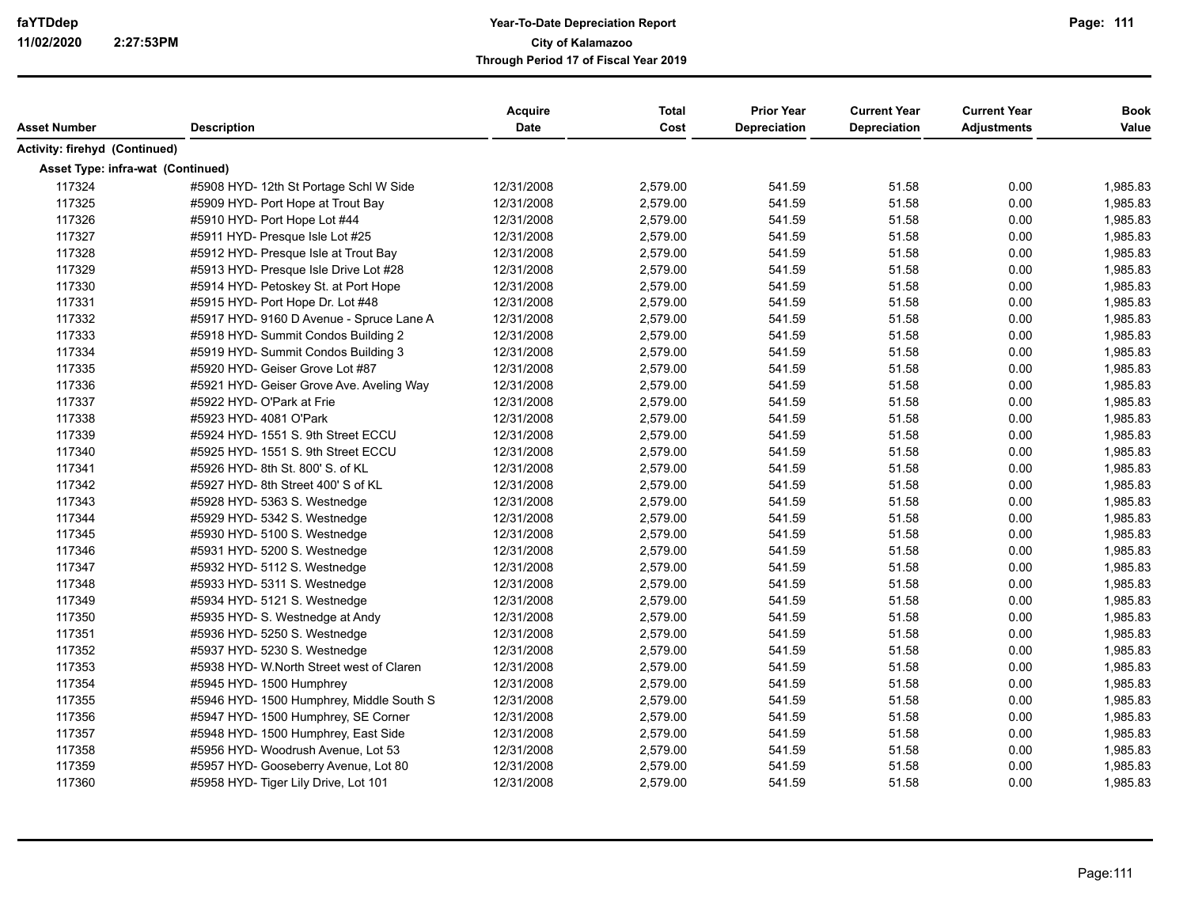|                                   |                                           | <b>Acquire</b> | <b>Total</b> | <b>Prior Year</b>   | <b>Current Year</b> | <b>Current Year</b> | <b>Book</b> |
|-----------------------------------|-------------------------------------------|----------------|--------------|---------------------|---------------------|---------------------|-------------|
| <b>Asset Number</b>               | <b>Description</b>                        | <b>Date</b>    | Cost         | <b>Depreciation</b> | Depreciation        | <b>Adjustments</b>  | Value       |
| Activity: firehyd (Continued)     |                                           |                |              |                     |                     |                     |             |
| Asset Type: infra-wat (Continued) |                                           |                |              |                     |                     |                     |             |
| 117324                            | #5908 HYD- 12th St Portage Schl W Side    | 12/31/2008     | 2,579.00     | 541.59              | 51.58               | 0.00                | 1,985.83    |
| 117325                            | #5909 HYD- Port Hope at Trout Bay         | 12/31/2008     | 2,579.00     | 541.59              | 51.58               | 0.00                | 1,985.83    |
| 117326                            | #5910 HYD- Port Hope Lot #44              | 12/31/2008     | 2,579.00     | 541.59              | 51.58               | 0.00                | 1,985.83    |
| 117327                            | #5911 HYD- Presque Isle Lot #25           | 12/31/2008     | 2,579.00     | 541.59              | 51.58               | 0.00                | 1,985.83    |
| 117328                            | #5912 HYD- Presque Isle at Trout Bay      | 12/31/2008     | 2,579.00     | 541.59              | 51.58               | 0.00                | 1,985.83    |
| 117329                            | #5913 HYD- Presque Isle Drive Lot #28     | 12/31/2008     | 2,579.00     | 541.59              | 51.58               | 0.00                | 1,985.83    |
| 117330                            | #5914 HYD- Petoskey St. at Port Hope      | 12/31/2008     | 2,579.00     | 541.59              | 51.58               | 0.00                | 1,985.83    |
| 117331                            | #5915 HYD- Port Hope Dr. Lot #48          | 12/31/2008     | 2,579.00     | 541.59              | 51.58               | 0.00                | 1,985.83    |
| 117332                            | #5917 HYD- 9160 D Avenue - Spruce Lane A  | 12/31/2008     | 2,579.00     | 541.59              | 51.58               | 0.00                | 1,985.83    |
| 117333                            | #5918 HYD- Summit Condos Building 2       | 12/31/2008     | 2,579.00     | 541.59              | 51.58               | 0.00                | 1,985.83    |
| 117334                            | #5919 HYD- Summit Condos Building 3       | 12/31/2008     | 2,579.00     | 541.59              | 51.58               | 0.00                | 1,985.83    |
| 117335                            | #5920 HYD- Geiser Grove Lot #87           | 12/31/2008     | 2,579.00     | 541.59              | 51.58               | 0.00                | 1,985.83    |
| 117336                            | #5921 HYD- Geiser Grove Ave. Aveling Way  | 12/31/2008     | 2,579.00     | 541.59              | 51.58               | 0.00                | 1,985.83    |
| 117337                            | #5922 HYD- O'Park at Frie                 | 12/31/2008     | 2,579.00     | 541.59              | 51.58               | 0.00                | 1,985.83    |
| 117338                            | #5923 HYD- 4081 O'Park                    | 12/31/2008     | 2,579.00     | 541.59              | 51.58               | 0.00                | 1,985.83    |
| 117339                            | #5924 HYD- 1551 S. 9th Street ECCU        | 12/31/2008     | 2,579.00     | 541.59              | 51.58               | 0.00                | 1,985.83    |
| 117340                            | #5925 HYD- 1551 S. 9th Street ECCU        | 12/31/2008     | 2,579.00     | 541.59              | 51.58               | 0.00                | 1,985.83    |
| 117341                            | #5926 HYD-8th St. 800' S. of KL           | 12/31/2008     | 2,579.00     | 541.59              | 51.58               | 0.00                | 1,985.83    |
| 117342                            | #5927 HYD-8th Street 400' S of KL         | 12/31/2008     | 2,579.00     | 541.59              | 51.58               | 0.00                | 1,985.83    |
| 117343                            | #5928 HYD- 5363 S. Westnedge              | 12/31/2008     | 2,579.00     | 541.59              | 51.58               | 0.00                | 1,985.83    |
| 117344                            | #5929 HYD- 5342 S. Westnedge              | 12/31/2008     | 2,579.00     | 541.59              | 51.58               | 0.00                | 1,985.83    |
| 117345                            | #5930 HYD- 5100 S. Westnedge              | 12/31/2008     | 2,579.00     | 541.59              | 51.58               | 0.00                | 1,985.83    |
| 117346                            | #5931 HYD- 5200 S. Westnedge              | 12/31/2008     | 2,579.00     | 541.59              | 51.58               | 0.00                | 1,985.83    |
| 117347                            | #5932 HYD- 5112 S. Westnedge              | 12/31/2008     | 2,579.00     | 541.59              | 51.58               | 0.00                | 1,985.83    |
| 117348                            | #5933 HYD- 5311 S. Westnedge              | 12/31/2008     | 2,579.00     | 541.59              | 51.58               | 0.00                | 1,985.83    |
| 117349                            | #5934 HYD- 5121 S. Westnedge              | 12/31/2008     | 2,579.00     | 541.59              | 51.58               | 0.00                | 1,985.83    |
| 117350                            | #5935 HYD- S. Westnedge at Andy           | 12/31/2008     | 2,579.00     | 541.59              | 51.58               | 0.00                | 1,985.83    |
| 117351                            | #5936 HYD- 5250 S. Westnedge              | 12/31/2008     | 2,579.00     | 541.59              | 51.58               | 0.00                | 1,985.83    |
| 117352                            | #5937 HYD- 5230 S. Westnedge              | 12/31/2008     | 2,579.00     | 541.59              | 51.58               | 0.00                | 1,985.83    |
| 117353                            | #5938 HYD- W. North Street west of Claren | 12/31/2008     | 2,579.00     | 541.59              | 51.58               | 0.00                | 1,985.83    |
| 117354                            | #5945 HYD- 1500 Humphrey                  | 12/31/2008     | 2,579.00     | 541.59              | 51.58               | 0.00                | 1,985.83    |
| 117355                            | #5946 HYD- 1500 Humphrey, Middle South S  | 12/31/2008     | 2,579.00     | 541.59              | 51.58               | 0.00                | 1,985.83    |
| 117356                            | #5947 HYD- 1500 Humphrey, SE Corner       | 12/31/2008     | 2,579.00     | 541.59              | 51.58               | 0.00                | 1,985.83    |
| 117357                            | #5948 HYD- 1500 Humphrey, East Side       | 12/31/2008     | 2,579.00     | 541.59              | 51.58               | 0.00                | 1,985.83    |
| 117358                            | #5956 HYD- Woodrush Avenue, Lot 53        | 12/31/2008     | 2,579.00     | 541.59              | 51.58               | 0.00                | 1,985.83    |
| 117359                            | #5957 HYD- Gooseberry Avenue, Lot 80      | 12/31/2008     | 2,579.00     | 541.59              | 51.58               | 0.00                | 1,985.83    |
| 117360                            | #5958 HYD- Tiger Lily Drive, Lot 101      | 12/31/2008     | 2,579.00     | 541.59              | 51.58               | 0.00                | 1,985.83    |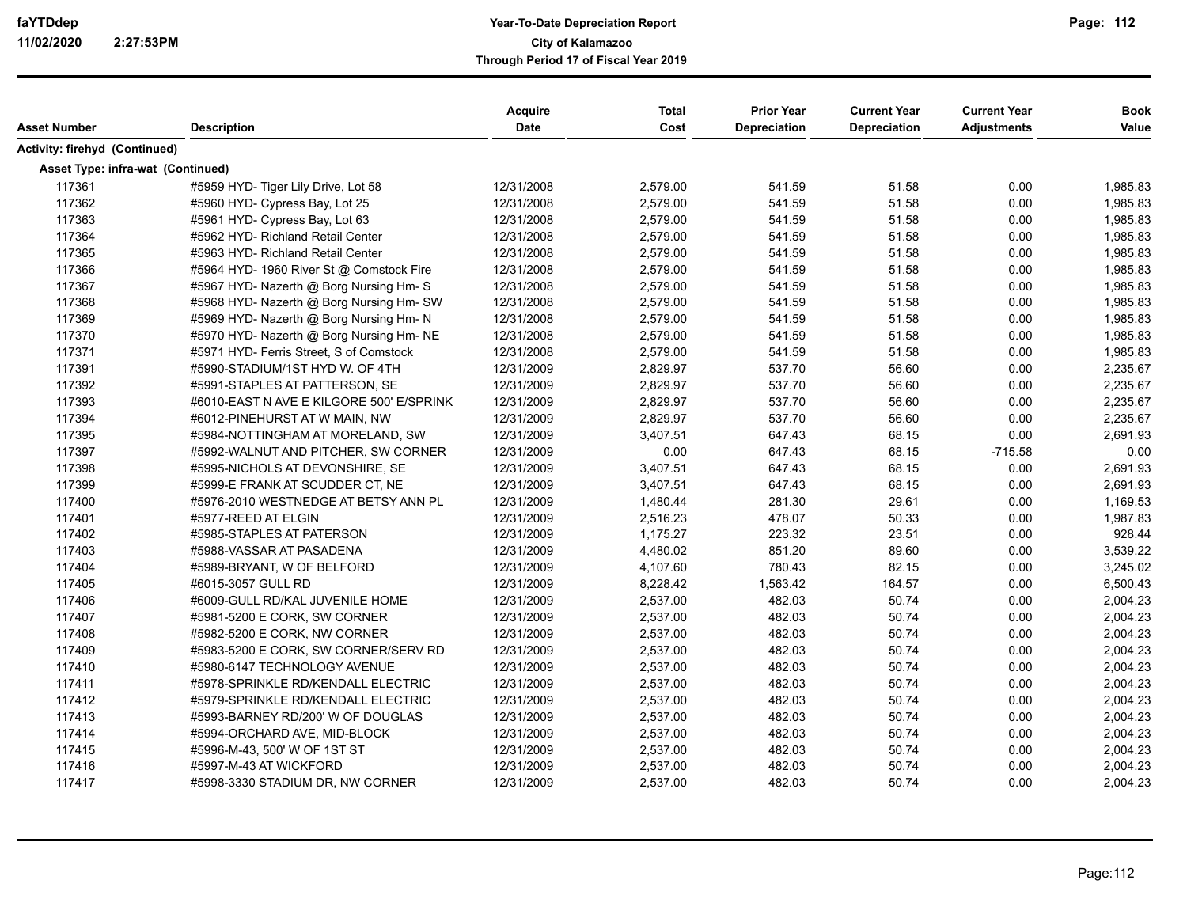| Asset Number                      | <b>Description</b>                       | Acquire<br>Date | <b>Total</b><br>Cost | <b>Prior Year</b><br>Depreciation | <b>Current Year</b><br><b>Depreciation</b> | <b>Current Year</b><br><b>Adjustments</b> | <b>Book</b><br>Value |
|-----------------------------------|------------------------------------------|-----------------|----------------------|-----------------------------------|--------------------------------------------|-------------------------------------------|----------------------|
| Activity: firehyd (Continued)     |                                          |                 |                      |                                   |                                            |                                           |                      |
| Asset Type: infra-wat (Continued) |                                          |                 |                      |                                   |                                            |                                           |                      |
| 117361                            | #5959 HYD- Tiger Lily Drive, Lot 58      | 12/31/2008      | 2,579.00             | 541.59                            | 51.58                                      | 0.00                                      | 1,985.83             |
| 117362                            | #5960 HYD- Cypress Bay, Lot 25           | 12/31/2008      | 2,579.00             | 541.59                            | 51.58                                      | 0.00                                      | 1,985.83             |
| 117363                            | #5961 HYD- Cypress Bay, Lot 63           | 12/31/2008      | 2,579.00             | 541.59                            | 51.58                                      | 0.00                                      | 1,985.83             |
| 117364                            | #5962 HYD- Richland Retail Center        | 12/31/2008      | 2,579.00             | 541.59                            | 51.58                                      | 0.00                                      | 1,985.83             |
| 117365                            | #5963 HYD- Richland Retail Center        | 12/31/2008      | 2,579.00             | 541.59                            | 51.58                                      | 0.00                                      | 1,985.83             |
| 117366                            | #5964 HYD- 1960 River St @ Comstock Fire | 12/31/2008      | 2,579.00             | 541.59                            | 51.58                                      | 0.00                                      | 1,985.83             |
| 117367                            | #5967 HYD- Nazerth @ Borg Nursing Hm- S  | 12/31/2008      | 2,579.00             | 541.59                            | 51.58                                      | 0.00                                      | 1,985.83             |
| 117368                            | #5968 HYD- Nazerth @ Borg Nursing Hm- SW | 12/31/2008      | 2,579.00             | 541.59                            | 51.58                                      | 0.00                                      | 1,985.83             |
| 117369                            | #5969 HYD- Nazerth @ Borg Nursing Hm- N  | 12/31/2008      | 2,579.00             | 541.59                            | 51.58                                      | 0.00                                      | 1,985.83             |
| 117370                            | #5970 HYD- Nazerth @ Borg Nursing Hm- NE | 12/31/2008      | 2,579.00             | 541.59                            | 51.58                                      | 0.00                                      | 1,985.83             |
| 117371                            | #5971 HYD- Ferris Street, S of Comstock  | 12/31/2008      | 2,579.00             | 541.59                            | 51.58                                      | 0.00                                      | 1,985.83             |
| 117391                            | #5990-STADIUM/1ST HYD W. OF 4TH          | 12/31/2009      | 2,829.97             | 537.70                            | 56.60                                      | 0.00                                      | 2,235.67             |
| 117392                            | #5991-STAPLES AT PATTERSON, SE           | 12/31/2009      | 2,829.97             | 537.70                            | 56.60                                      | 0.00                                      | 2,235.67             |
| 117393                            | #6010-EAST N AVE E KILGORE 500' E/SPRINK | 12/31/2009      | 2,829.97             | 537.70                            | 56.60                                      | 0.00                                      | 2,235.67             |
| 117394                            | #6012-PINEHURST AT W MAIN, NW            | 12/31/2009      | 2,829.97             | 537.70                            | 56.60                                      | 0.00                                      | 2,235.67             |
| 117395                            | #5984-NOTTINGHAM AT MORELAND, SW         | 12/31/2009      | 3,407.51             | 647.43                            | 68.15                                      | 0.00                                      | 2,691.93             |
| 117397                            | #5992-WALNUT AND PITCHER, SW CORNER      | 12/31/2009      | 0.00                 | 647.43                            | 68.15                                      | $-715.58$                                 | 0.00                 |
| 117398                            | #5995-NICHOLS AT DEVONSHIRE, SE          | 12/31/2009      | 3,407.51             | 647.43                            | 68.15                                      | 0.00                                      | 2,691.93             |
| 117399                            | #5999-E FRANK AT SCUDDER CT, NE          | 12/31/2009      | 3,407.51             | 647.43                            | 68.15                                      | 0.00                                      | 2,691.93             |
| 117400                            | #5976-2010 WESTNEDGE AT BETSY ANN PL     | 12/31/2009      | 1,480.44             | 281.30                            | 29.61                                      | 0.00                                      | 1,169.53             |
| 117401                            | #5977-REED AT ELGIN                      | 12/31/2009      | 2,516.23             | 478.07                            | 50.33                                      | 0.00                                      | 1,987.83             |
| 117402                            | #5985-STAPLES AT PATERSON                | 12/31/2009      | 1,175.27             | 223.32                            | 23.51                                      | 0.00                                      | 928.44               |
| 117403                            | #5988-VASSAR AT PASADENA                 | 12/31/2009      | 4,480.02             | 851.20                            | 89.60                                      | 0.00                                      | 3,539.22             |
| 117404                            | #5989-BRYANT, W OF BELFORD               | 12/31/2009      | 4,107.60             | 780.43                            | 82.15                                      | 0.00                                      | 3,245.02             |
| 117405                            | #6015-3057 GULL RD                       | 12/31/2009      | 8,228.42             | 1,563.42                          | 164.57                                     | 0.00                                      | 6,500.43             |
| 117406                            | #6009-GULL RD/KAL JUVENILE HOME          | 12/31/2009      | 2,537.00             | 482.03                            | 50.74                                      | 0.00                                      | 2,004.23             |
| 117407                            | #5981-5200 E CORK, SW CORNER             | 12/31/2009      | 2,537.00             | 482.03                            | 50.74                                      | 0.00                                      | 2,004.23             |
| 117408                            | #5982-5200 E CORK, NW CORNER             | 12/31/2009      | 2,537.00             | 482.03                            | 50.74                                      | 0.00                                      | 2,004.23             |
| 117409                            | #5983-5200 E CORK, SW CORNER/SERV RD     | 12/31/2009      | 2,537.00             | 482.03                            | 50.74                                      | 0.00                                      | 2,004.23             |
| 117410                            | #5980-6147 TECHNOLOGY AVENUE             | 12/31/2009      | 2,537.00             | 482.03                            | 50.74                                      | 0.00                                      | 2,004.23             |
| 117411                            | #5978-SPRINKLE RD/KENDALL ELECTRIC       | 12/31/2009      | 2,537.00             | 482.03                            | 50.74                                      | 0.00                                      | 2,004.23             |
| 117412                            | #5979-SPRINKLE RD/KENDALL ELECTRIC       | 12/31/2009      | 2,537.00             | 482.03                            | 50.74                                      | 0.00                                      | 2,004.23             |
| 117413                            | #5993-BARNEY RD/200' W OF DOUGLAS        | 12/31/2009      | 2,537.00             | 482.03                            | 50.74                                      | 0.00                                      | 2,004.23             |
| 117414                            | #5994-ORCHARD AVE, MID-BLOCK             | 12/31/2009      | 2,537.00             | 482.03                            | 50.74                                      | 0.00                                      | 2,004.23             |
| 117415                            | #5996-M-43, 500' W OF 1ST ST             | 12/31/2009      | 2,537.00             | 482.03                            | 50.74                                      | 0.00                                      | 2,004.23             |
| 117416                            | #5997-M-43 AT WICKFORD                   | 12/31/2009      | 2,537.00             | 482.03                            | 50.74                                      | 0.00                                      | 2,004.23             |
| 117417                            | #5998-3330 STADIUM DR, NW CORNER         | 12/31/2009      | 2,537.00             | 482.03                            | 50.74                                      | 0.00                                      | 2,004.23             |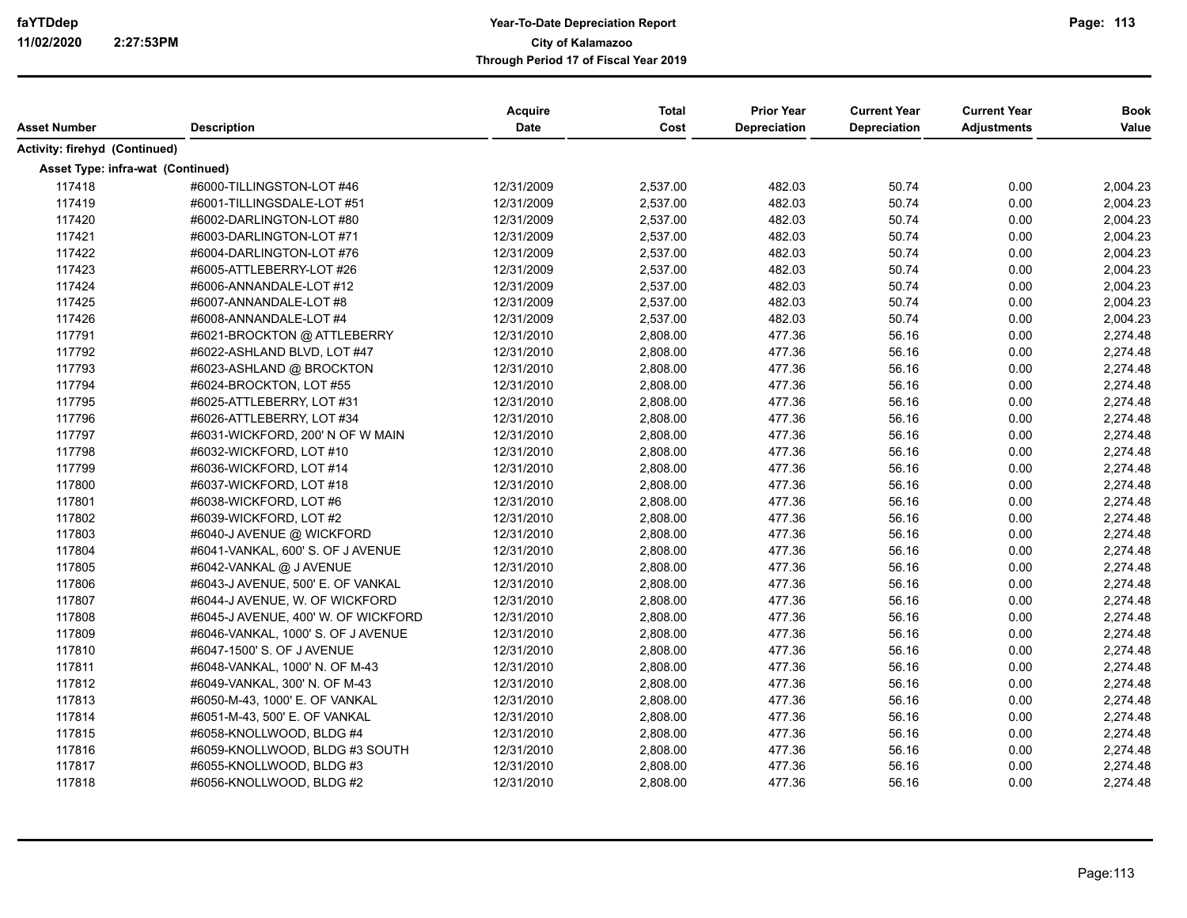| <b>Asset Number</b>               | <b>Description</b>                  | Acquire<br>Date | <b>Total</b><br>Cost | <b>Prior Year</b><br>Depreciation | <b>Current Year</b><br>Depreciation | <b>Current Year</b><br><b>Adjustments</b> | <b>Book</b><br>Value |
|-----------------------------------|-------------------------------------|-----------------|----------------------|-----------------------------------|-------------------------------------|-------------------------------------------|----------------------|
|                                   |                                     |                 |                      |                                   |                                     |                                           |                      |
| Activity: firehyd (Continued)     |                                     |                 |                      |                                   |                                     |                                           |                      |
| Asset Type: infra-wat (Continued) |                                     |                 |                      |                                   |                                     |                                           |                      |
| 117418                            | #6000-TILLINGSTON-LOT #46           | 12/31/2009      | 2,537.00             | 482.03                            | 50.74                               | 0.00                                      | 2,004.23             |
| 117419                            | #6001-TILLINGSDALE-LOT #51          | 12/31/2009      | 2,537.00             | 482.03                            | 50.74                               | 0.00                                      | 2,004.23             |
| 117420                            | #6002-DARLINGTON-LOT #80            | 12/31/2009      | 2,537.00             | 482.03                            | 50.74                               | 0.00                                      | 2,004.23             |
| 117421                            | #6003-DARLINGTON-LOT #71            | 12/31/2009      | 2,537.00             | 482.03                            | 50.74                               | 0.00                                      | 2,004.23             |
| 117422                            | #6004-DARLINGTON-LOT #76            | 12/31/2009      | 2,537.00             | 482.03                            | 50.74                               | 0.00                                      | 2,004.23             |
| 117423                            | #6005-ATTLEBERRY-LOT #26            | 12/31/2009      | 2,537.00             | 482.03                            | 50.74                               | 0.00                                      | 2,004.23             |
| 117424                            | #6006-ANNANDALE-LOT #12             | 12/31/2009      | 2,537.00             | 482.03                            | 50.74                               | 0.00                                      | 2,004.23             |
| 117425                            | #6007-ANNANDALE-LOT #8              | 12/31/2009      | 2,537.00             | 482.03                            | 50.74                               | 0.00                                      | 2,004.23             |
| 117426                            | #6008-ANNANDALE-LOT #4              | 12/31/2009      | 2,537.00             | 482.03                            | 50.74                               | 0.00                                      | 2,004.23             |
| 117791                            | #6021-BROCKTON @ ATTLEBERRY         | 12/31/2010      | 2,808.00             | 477.36                            | 56.16                               | 0.00                                      | 2,274.48             |
| 117792                            | #6022-ASHLAND BLVD, LOT #47         | 12/31/2010      | 2,808.00             | 477.36                            | 56.16                               | 0.00                                      | 2,274.48             |
| 117793                            | #6023-ASHLAND @ BROCKTON            | 12/31/2010      | 2,808.00             | 477.36                            | 56.16                               | 0.00                                      | 2,274.48             |
| 117794                            | #6024-BROCKTON, LOT #55             | 12/31/2010      | 2,808.00             | 477.36                            | 56.16                               | 0.00                                      | 2,274.48             |
| 117795                            | #6025-ATTLEBERRY, LOT #31           | 12/31/2010      | 2,808.00             | 477.36                            | 56.16                               | 0.00                                      | 2,274.48             |
| 117796                            | #6026-ATTLEBERRY, LOT #34           | 12/31/2010      | 2,808.00             | 477.36                            | 56.16                               | 0.00                                      | 2,274.48             |
| 117797                            | #6031-WICKFORD, 200' N OF W MAIN    | 12/31/2010      | 2,808.00             | 477.36                            | 56.16                               | 0.00                                      | 2,274.48             |
| 117798                            | #6032-WICKFORD, LOT #10             | 12/31/2010      | 2,808.00             | 477.36                            | 56.16                               | 0.00                                      | 2,274.48             |
| 117799                            | #6036-WICKFORD, LOT #14             | 12/31/2010      | 2,808.00             | 477.36                            | 56.16                               | 0.00                                      | 2,274.48             |
| 117800                            | #6037-WICKFORD, LOT #18             | 12/31/2010      | 2,808.00             | 477.36                            | 56.16                               | 0.00                                      | 2,274.48             |
| 117801                            | #6038-WICKFORD, LOT #6              | 12/31/2010      | 2,808.00             | 477.36                            | 56.16                               | 0.00                                      | 2,274.48             |
| 117802                            | #6039-WICKFORD, LOT #2              | 12/31/2010      | 2,808.00             | 477.36                            | 56.16                               | 0.00                                      | 2,274.48             |
| 117803                            | #6040-J AVENUE @ WICKFORD           | 12/31/2010      | 2,808.00             | 477.36                            | 56.16                               | 0.00                                      | 2,274.48             |
| 117804                            | #6041-VANKAL, 600' S. OF J AVENUE   | 12/31/2010      | 2,808.00             | 477.36                            | 56.16                               | 0.00                                      | 2,274.48             |
| 117805                            | #6042-VANKAL @ J AVENUE             | 12/31/2010      | 2,808.00             | 477.36                            | 56.16                               | 0.00                                      | 2,274.48             |
| 117806                            | #6043-J AVENUE, 500' E. OF VANKAL   | 12/31/2010      | 2,808.00             | 477.36                            | 56.16                               | 0.00                                      | 2,274.48             |
| 117807                            | #6044-J AVENUE, W. OF WICKFORD      | 12/31/2010      | 2,808.00             | 477.36                            | 56.16                               | 0.00                                      | 2,274.48             |
| 117808                            | #6045-J AVENUE, 400' W. OF WICKFORD | 12/31/2010      | 2,808.00             | 477.36                            | 56.16                               | 0.00                                      | 2,274.48             |
| 117809                            | #6046-VANKAL, 1000' S. OF J AVENUE  | 12/31/2010      | 2,808.00             | 477.36                            | 56.16                               | 0.00                                      | 2,274.48             |
| 117810                            | #6047-1500' S. OF J AVENUE          | 12/31/2010      | 2,808.00             | 477.36                            | 56.16                               | 0.00                                      | 2,274.48             |
| 117811                            | #6048-VANKAL, 1000' N. OF M-43      | 12/31/2010      | 2,808.00             | 477.36                            | 56.16                               | 0.00                                      | 2,274.48             |
| 117812                            | #6049-VANKAL, 300' N. OF M-43       | 12/31/2010      | 2,808.00             | 477.36                            | 56.16                               | 0.00                                      | 2,274.48             |
| 117813                            | #6050-M-43, 1000' E. OF VANKAL      | 12/31/2010      | 2,808.00             | 477.36                            | 56.16                               | 0.00                                      | 2,274.48             |
| 117814                            | #6051-M-43, 500' E. OF VANKAL       | 12/31/2010      | 2,808.00             | 477.36                            | 56.16                               | 0.00                                      | 2,274.48             |
| 117815                            | #6058-KNOLLWOOD, BLDG #4            | 12/31/2010      | 2,808.00             | 477.36                            | 56.16                               | 0.00                                      | 2,274.48             |
| 117816                            | #6059-KNOLLWOOD, BLDG #3 SOUTH      | 12/31/2010      | 2,808.00             | 477.36                            | 56.16                               | 0.00                                      | 2,274.48             |
| 117817                            | #6055-KNOLLWOOD, BLDG #3            | 12/31/2010      | 2,808.00             | 477.36                            | 56.16                               | 0.00                                      | 2,274.48             |
| 117818                            | #6056-KNOLLWOOD, BLDG #2            | 12/31/2010      | 2,808.00             | 477.36                            | 56.16                               | 0.00                                      | 2,274.48             |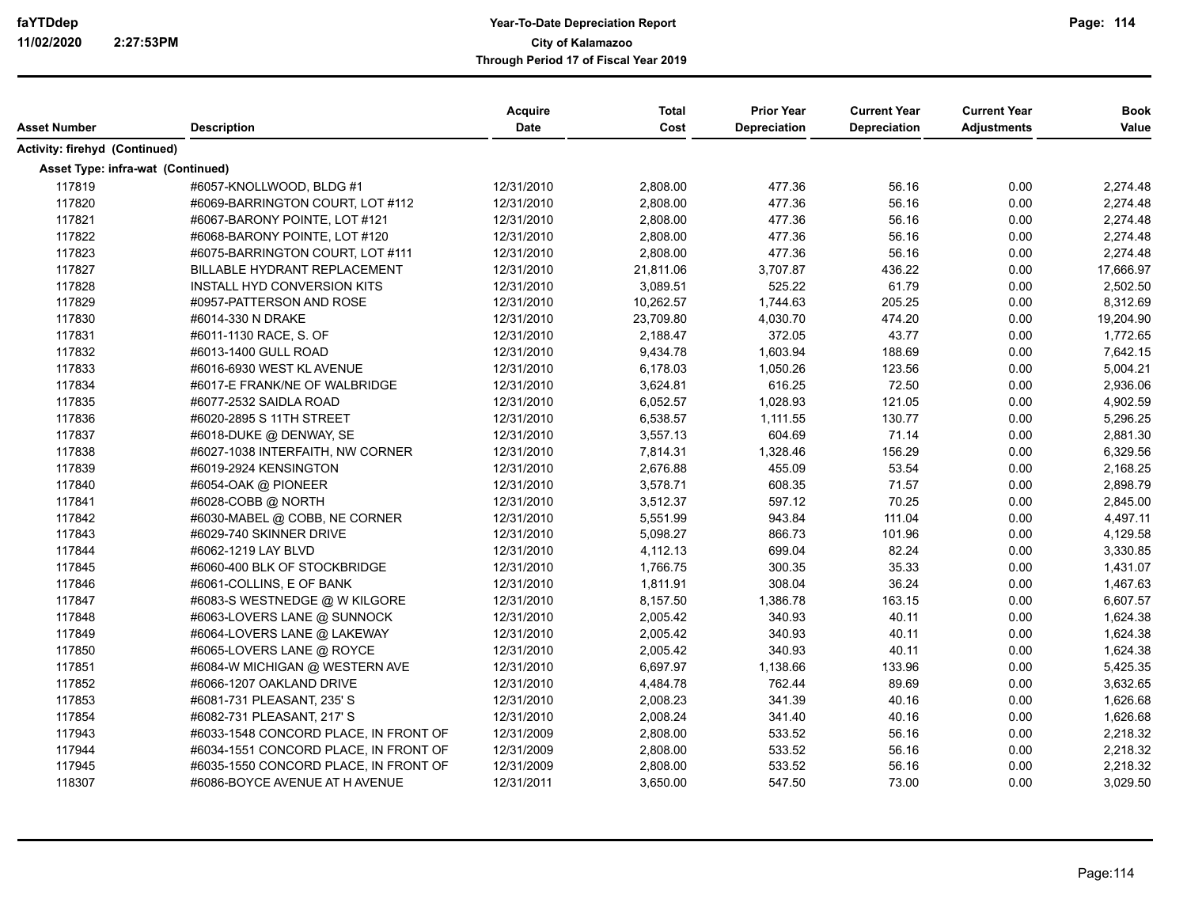|                                   |                                       | Acquire    | <b>Total</b> | <b>Prior Year</b>   | <b>Current Year</b> | <b>Current Year</b> | <b>Book</b> |
|-----------------------------------|---------------------------------------|------------|--------------|---------------------|---------------------|---------------------|-------------|
| <b>Asset Number</b>               | <b>Description</b>                    | Date       | Cost         | <b>Depreciation</b> | Depreciation        | <b>Adjustments</b>  | Value       |
| Activity: firehyd (Continued)     |                                       |            |              |                     |                     |                     |             |
| Asset Type: infra-wat (Continued) |                                       |            |              |                     |                     |                     |             |
| 117819                            | #6057-KNOLLWOOD, BLDG #1              | 12/31/2010 | 2,808.00     | 477.36              | 56.16               | 0.00                | 2,274.48    |
| 117820                            | #6069-BARRINGTON COURT, LOT #112      | 12/31/2010 | 2,808.00     | 477.36              | 56.16               | 0.00                | 2,274.48    |
| 117821                            | #6067-BARONY POINTE, LOT #121         | 12/31/2010 | 2,808.00     | 477.36              | 56.16               | 0.00                | 2,274.48    |
| 117822                            | #6068-BARONY POINTE, LOT #120         | 12/31/2010 | 2,808.00     | 477.36              | 56.16               | 0.00                | 2,274.48    |
| 117823                            | #6075-BARRINGTON COURT, LOT #111      | 12/31/2010 | 2,808.00     | 477.36              | 56.16               | 0.00                | 2,274.48    |
| 117827                            | <b>BILLABLE HYDRANT REPLACEMENT</b>   | 12/31/2010 | 21,811.06    | 3,707.87            | 436.22              | 0.00                | 17,666.97   |
| 117828                            | INSTALL HYD CONVERSION KITS           | 12/31/2010 | 3,089.51     | 525.22              | 61.79               | 0.00                | 2,502.50    |
| 117829                            | #0957-PATTERSON AND ROSE              | 12/31/2010 | 10,262.57    | 1,744.63            | 205.25              | 0.00                | 8,312.69    |
| 117830                            | #6014-330 N DRAKE                     | 12/31/2010 | 23,709.80    | 4,030.70            | 474.20              | 0.00                | 19,204.90   |
| 117831                            | #6011-1130 RACE, S. OF                | 12/31/2010 | 2,188.47     | 372.05              | 43.77               | 0.00                | 1,772.65    |
| 117832                            | #6013-1400 GULL ROAD                  | 12/31/2010 | 9,434.78     | 1,603.94            | 188.69              | 0.00                | 7,642.15    |
| 117833                            | #6016-6930 WEST KL AVENUE             | 12/31/2010 | 6,178.03     | 1,050.26            | 123.56              | 0.00                | 5,004.21    |
| 117834                            | #6017-E FRANK/NE OF WALBRIDGE         | 12/31/2010 | 3,624.81     | 616.25              | 72.50               | 0.00                | 2,936.06    |
| 117835                            | #6077-2532 SAIDLA ROAD                | 12/31/2010 | 6,052.57     | 1,028.93            | 121.05              | 0.00                | 4,902.59    |
| 117836                            | #6020-2895 S 11TH STREET              | 12/31/2010 | 6,538.57     | 1,111.55            | 130.77              | 0.00                | 5,296.25    |
| 117837                            | #6018-DUKE @ DENWAY, SE               | 12/31/2010 | 3,557.13     | 604.69              | 71.14               | 0.00                | 2,881.30    |
| 117838                            | #6027-1038 INTERFAITH, NW CORNER      | 12/31/2010 | 7,814.31     | 1,328.46            | 156.29              | 0.00                | 6,329.56    |
| 117839                            | #6019-2924 KENSINGTON                 | 12/31/2010 | 2,676.88     | 455.09              | 53.54               | 0.00                | 2,168.25    |
| 117840                            | #6054-OAK @ PIONEER                   | 12/31/2010 | 3,578.71     | 608.35              | 71.57               | 0.00                | 2,898.79    |
| 117841                            | #6028-COBB @ NORTH                    | 12/31/2010 | 3,512.37     | 597.12              | 70.25               | 0.00                | 2,845.00    |
| 117842                            | #6030-MABEL @ COBB, NE CORNER         | 12/31/2010 | 5,551.99     | 943.84              | 111.04              | 0.00                | 4,497.11    |
| 117843                            | #6029-740 SKINNER DRIVE               | 12/31/2010 | 5,098.27     | 866.73              | 101.96              | 0.00                | 4,129.58    |
| 117844                            | #6062-1219 LAY BLVD                   | 12/31/2010 | 4,112.13     | 699.04              | 82.24               | 0.00                | 3,330.85    |
| 117845                            | #6060-400 BLK OF STOCKBRIDGE          | 12/31/2010 | 1,766.75     | 300.35              | 35.33               | 0.00                | 1,431.07    |
| 117846                            | #6061-COLLINS, E OF BANK              | 12/31/2010 | 1,811.91     | 308.04              | 36.24               | 0.00                | 1,467.63    |
| 117847                            | #6083-S WESTNEDGE @ W KILGORE         | 12/31/2010 | 8,157.50     | 1,386.78            | 163.15              | 0.00                | 6,607.57    |
| 117848                            | #6063-LOVERS LANE @ SUNNOCK           | 12/31/2010 | 2,005.42     | 340.93              | 40.11               | 0.00                | 1,624.38    |
| 117849                            | #6064-LOVERS LANE @ LAKEWAY           | 12/31/2010 | 2,005.42     | 340.93              | 40.11               | 0.00                | 1,624.38    |
| 117850                            | #6065-LOVERS LANE @ ROYCE             | 12/31/2010 | 2,005.42     | 340.93              | 40.11               | 0.00                | 1,624.38    |
| 117851                            | #6084-W MICHIGAN @ WESTERN AVE        | 12/31/2010 | 6,697.97     | 1,138.66            | 133.96              | 0.00                | 5,425.35    |
| 117852                            | #6066-1207 OAKLAND DRIVE              | 12/31/2010 | 4,484.78     | 762.44              | 89.69               | 0.00                | 3,632.65    |
| 117853                            | #6081-731 PLEASANT, 235' S            | 12/31/2010 | 2,008.23     | 341.39              | 40.16               | 0.00                | 1,626.68    |
| 117854                            | #6082-731 PLEASANT, 217' S            | 12/31/2010 | 2,008.24     | 341.40              | 40.16               | 0.00                | 1,626.68    |
| 117943                            | #6033-1548 CONCORD PLACE, IN FRONT OF | 12/31/2009 | 2,808.00     | 533.52              | 56.16               | 0.00                | 2,218.32    |
| 117944                            | #6034-1551 CONCORD PLACE, IN FRONT OF | 12/31/2009 | 2,808.00     | 533.52              | 56.16               | 0.00                | 2,218.32    |
| 117945                            | #6035-1550 CONCORD PLACE, IN FRONT OF | 12/31/2009 | 2,808.00     | 533.52              | 56.16               | 0.00                | 2,218.32    |
| 118307                            | #6086-BOYCE AVENUE AT H AVENUE        | 12/31/2011 | 3,650.00     | 547.50              | 73.00               | 0.00                | 3,029.50    |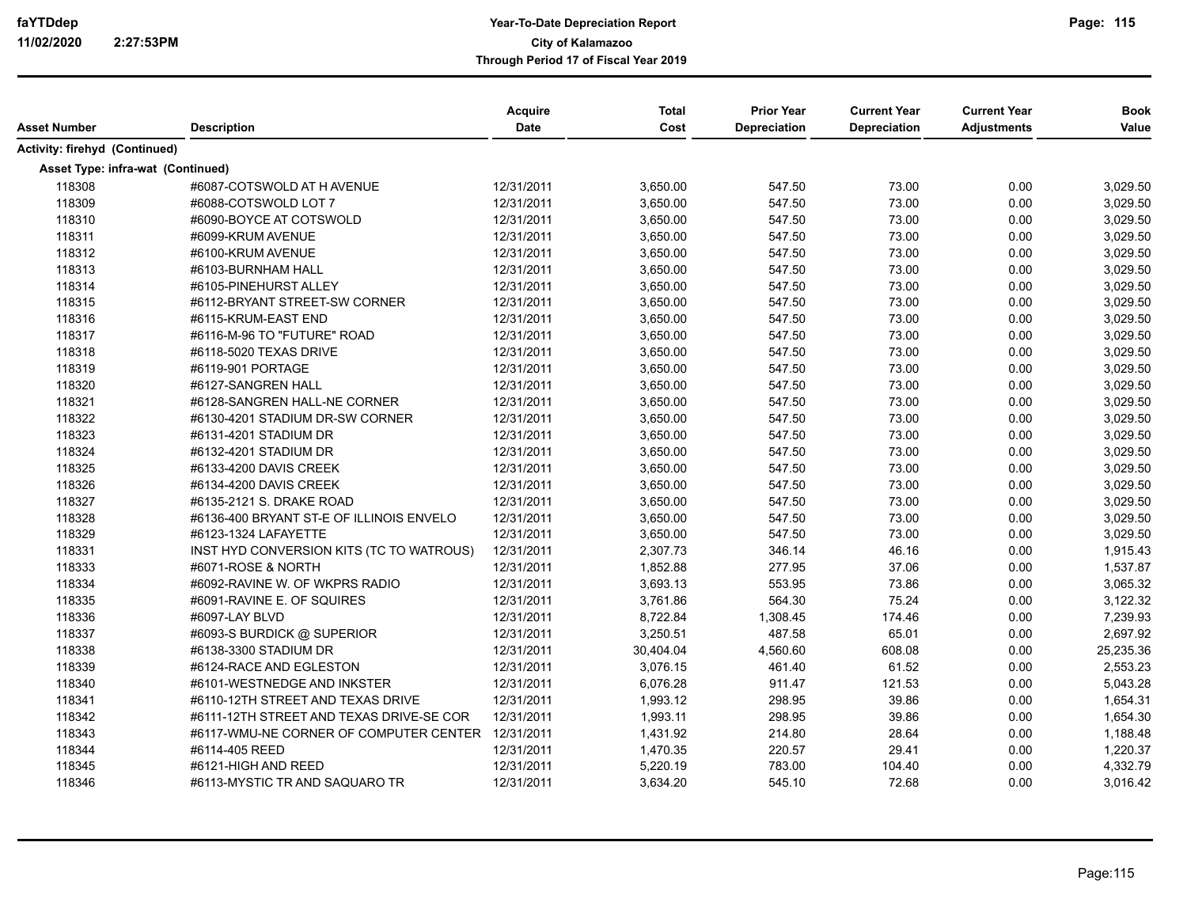|                                   |                                                   | Acquire<br><b>Date</b> | <b>Total</b><br>Cost | <b>Prior Year</b><br><b>Depreciation</b> | <b>Current Year</b> | <b>Current Year</b> | <b>Book</b> |
|-----------------------------------|---------------------------------------------------|------------------------|----------------------|------------------------------------------|---------------------|---------------------|-------------|
| Asset Number                      | <b>Description</b>                                |                        |                      |                                          | Depreciation        | <b>Adjustments</b>  | Value       |
| Activity: firehyd (Continued)     |                                                   |                        |                      |                                          |                     |                     |             |
| Asset Type: infra-wat (Continued) |                                                   |                        |                      |                                          |                     |                     |             |
| 118308                            | #6087-COTSWOLD AT H AVENUE                        | 12/31/2011             | 3,650.00             | 547.50                                   | 73.00               | 0.00                | 3,029.50    |
| 118309                            | #6088-COTSWOLD LOT 7                              | 12/31/2011             | 3,650.00             | 547.50                                   | 73.00               | 0.00                | 3,029.50    |
| 118310                            | #6090-BOYCE AT COTSWOLD                           | 12/31/2011             | 3,650.00             | 547.50                                   | 73.00               | 0.00                | 3,029.50    |
| 118311                            | #6099-KRUM AVENUE                                 | 12/31/2011             | 3,650.00             | 547.50                                   | 73.00               | 0.00                | 3,029.50    |
| 118312                            | #6100-KRUM AVENUE                                 | 12/31/2011             | 3,650.00             | 547.50                                   | 73.00               | 0.00                | 3,029.50    |
| 118313                            | #6103-BURNHAM HALL                                | 12/31/2011             | 3,650.00             | 547.50                                   | 73.00               | 0.00                | 3,029.50    |
| 118314                            | #6105-PINEHURST ALLEY                             | 12/31/2011             | 3,650.00             | 547.50                                   | 73.00               | 0.00                | 3,029.50    |
| 118315                            | #6112-BRYANT STREET-SW CORNER                     | 12/31/2011             | 3,650.00             | 547.50                                   | 73.00               | 0.00                | 3,029.50    |
| 118316                            | #6115-KRUM-EAST END                               | 12/31/2011             | 3,650.00             | 547.50                                   | 73.00               | 0.00                | 3,029.50    |
| 118317                            | #6116-M-96 TO "FUTURE" ROAD                       | 12/31/2011             | 3,650.00             | 547.50                                   | 73.00               | 0.00                | 3,029.50    |
| 118318                            | #6118-5020 TEXAS DRIVE                            | 12/31/2011             | 3,650.00             | 547.50                                   | 73.00               | 0.00                | 3,029.50    |
| 118319                            | #6119-901 PORTAGE                                 | 12/31/2011             | 3,650.00             | 547.50                                   | 73.00               | 0.00                | 3,029.50    |
| 118320                            | #6127-SANGREN HALL                                | 12/31/2011             | 3,650.00             | 547.50                                   | 73.00               | 0.00                | 3,029.50    |
| 118321                            | #6128-SANGREN HALL-NE CORNER                      | 12/31/2011             | 3,650.00             | 547.50                                   | 73.00               | 0.00                | 3,029.50    |
| 118322                            | #6130-4201 STADIUM DR-SW CORNER                   | 12/31/2011             | 3,650.00             | 547.50                                   | 73.00               | 0.00                | 3,029.50    |
| 118323                            | #6131-4201 STADIUM DR                             | 12/31/2011             | 3,650.00             | 547.50                                   | 73.00               | 0.00                | 3,029.50    |
| 118324                            | #6132-4201 STADIUM DR                             | 12/31/2011             | 3,650.00             | 547.50                                   | 73.00               | 0.00                | 3,029.50    |
| 118325                            | #6133-4200 DAVIS CREEK                            | 12/31/2011             | 3,650.00             | 547.50                                   | 73.00               | 0.00                | 3,029.50    |
| 118326                            | #6134-4200 DAVIS CREEK                            | 12/31/2011             | 3,650.00             | 547.50                                   | 73.00               | 0.00                | 3,029.50    |
| 118327                            | #6135-2121 S. DRAKE ROAD                          | 12/31/2011             | 3,650.00             | 547.50                                   | 73.00               | 0.00                | 3,029.50    |
| 118328                            | #6136-400 BRYANT ST-E OF ILLINOIS ENVELO          | 12/31/2011             | 3,650.00             | 547.50                                   | 73.00               | 0.00                | 3,029.50    |
| 118329                            | #6123-1324 LAFAYETTE                              | 12/31/2011             | 3,650.00             | 547.50                                   | 73.00               | 0.00                | 3,029.50    |
| 118331                            | INST HYD CONVERSION KITS (TC TO WATROUS)          | 12/31/2011             | 2,307.73             | 346.14                                   | 46.16               | 0.00                | 1,915.43    |
| 118333                            | #6071-ROSE & NORTH                                | 12/31/2011             | 1,852.88             | 277.95                                   | 37.06               | 0.00                | 1,537.87    |
| 118334                            | #6092-RAVINE W. OF WKPRS RADIO                    | 12/31/2011             | 3,693.13             | 553.95                                   | 73.86               | 0.00                | 3,065.32    |
| 118335                            | #6091-RAVINE E. OF SQUIRES                        | 12/31/2011             | 3,761.86             | 564.30                                   | 75.24               | 0.00                | 3,122.32    |
| 118336                            | #6097-LAY BLVD                                    | 12/31/2011             | 8,722.84             | 1,308.45                                 | 174.46              | 0.00                | 7,239.93    |
| 118337                            | #6093-S BURDICK @ SUPERIOR                        | 12/31/2011             | 3,250.51             | 487.58                                   | 65.01               | 0.00                | 2,697.92    |
| 118338                            | #6138-3300 STADIUM DR                             | 12/31/2011             | 30,404.04            | 4,560.60                                 | 608.08              | 0.00                | 25,235.36   |
| 118339                            | #6124-RACE AND EGLESTON                           | 12/31/2011             | 3,076.15             | 461.40                                   | 61.52               | 0.00                | 2,553.23    |
| 118340                            | #6101-WESTNEDGE AND INKSTER                       | 12/31/2011             | 6,076.28             | 911.47                                   | 121.53              | 0.00                | 5,043.28    |
| 118341                            | #6110-12TH STREET AND TEXAS DRIVE                 | 12/31/2011             | 1,993.12             | 298.95                                   | 39.86               | 0.00                | 1,654.31    |
| 118342                            | #6111-12TH STREET AND TEXAS DRIVE-SE COR          | 12/31/2011             | 1,993.11             | 298.95                                   | 39.86               | 0.00                | 1,654.30    |
| 118343                            | #6117-WMU-NE CORNER OF COMPUTER CENTER 12/31/2011 |                        | 1,431.92             | 214.80                                   | 28.64               | 0.00                | 1,188.48    |
| 118344                            | #6114-405 REED                                    | 12/31/2011             | 1,470.35             | 220.57                                   | 29.41               | 0.00                | 1,220.37    |
| 118345                            | #6121-HIGH AND REED                               | 12/31/2011             | 5,220.19             | 783.00                                   | 104.40              | 0.00                | 4,332.79    |
| 118346                            | #6113-MYSTIC TR AND SAQUARO TR                    | 12/31/2011             | 3,634.20             | 545.10                                   | 72.68               | 0.00                | 3,016.42    |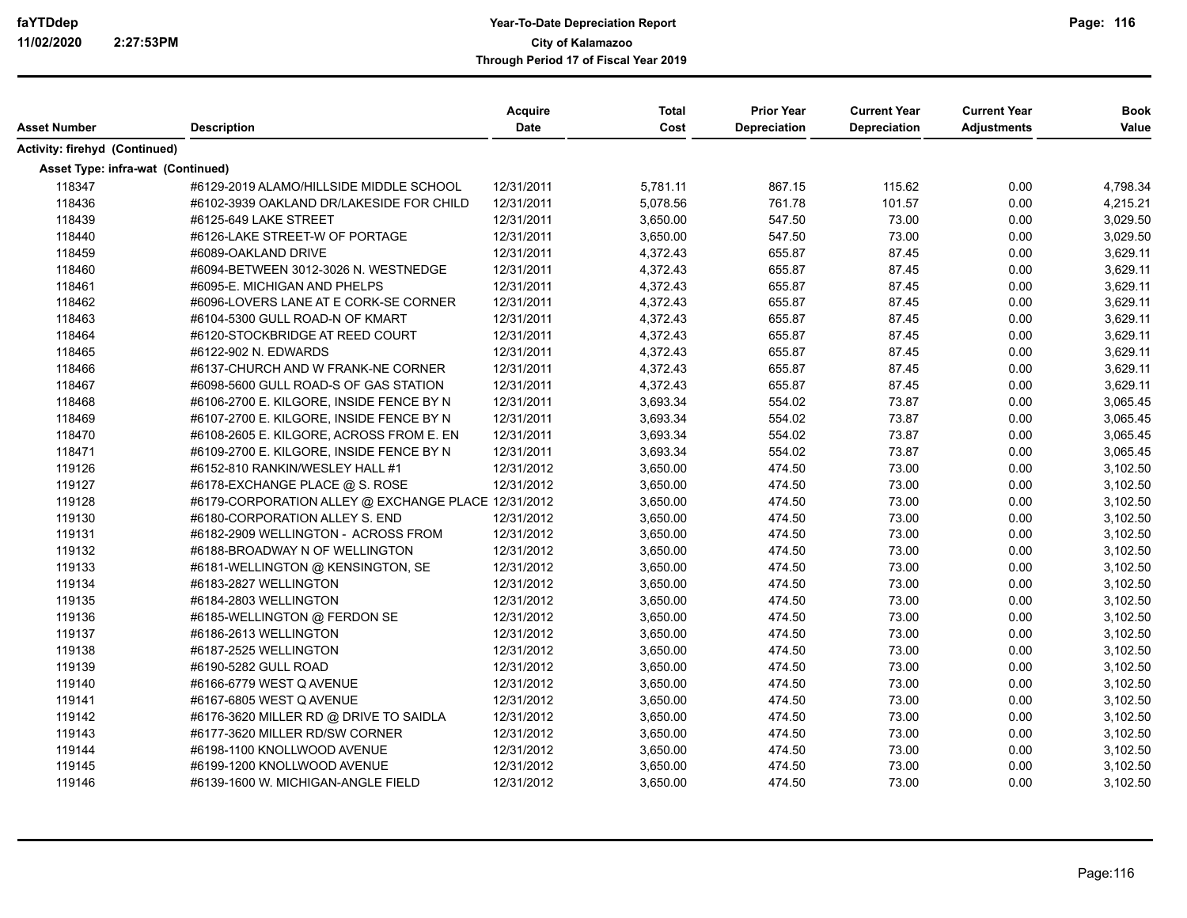| Asset Number                      | <b>Description</b>                                  | Acquire<br><b>Date</b> | <b>Total</b><br>Cost | <b>Prior Year</b><br><b>Depreciation</b> | <b>Current Year</b><br><b>Depreciation</b> | <b>Current Year</b><br><b>Adjustments</b> | <b>Book</b><br>Value |
|-----------------------------------|-----------------------------------------------------|------------------------|----------------------|------------------------------------------|--------------------------------------------|-------------------------------------------|----------------------|
| Activity: firehyd (Continued)     |                                                     |                        |                      |                                          |                                            |                                           |                      |
| Asset Type: infra-wat (Continued) |                                                     |                        |                      |                                          |                                            |                                           |                      |
| 118347                            | #6129-2019 ALAMO/HILLSIDE MIDDLE SCHOOL             | 12/31/2011             | 5,781.11             | 867.15                                   | 115.62                                     | 0.00                                      | 4,798.34             |
| 118436                            | #6102-3939 OAKLAND DR/LAKESIDE FOR CHILD            | 12/31/2011             | 5,078.56             | 761.78                                   | 101.57                                     | 0.00                                      | 4,215.21             |
| 118439                            | #6125-649 LAKE STREET                               | 12/31/2011             | 3,650.00             | 547.50                                   | 73.00                                      | 0.00                                      | 3,029.50             |
| 118440                            | #6126-LAKE STREET-W OF PORTAGE                      | 12/31/2011             | 3,650.00             | 547.50                                   | 73.00                                      | 0.00                                      | 3,029.50             |
| 118459                            | #6089-OAKLAND DRIVE                                 | 12/31/2011             | 4,372.43             | 655.87                                   | 87.45                                      | 0.00                                      | 3,629.11             |
| 118460                            | #6094-BETWEEN 3012-3026 N. WESTNEDGE                | 12/31/2011             | 4,372.43             | 655.87                                   | 87.45                                      | 0.00                                      | 3,629.11             |
| 118461                            | #6095-E. MICHIGAN AND PHELPS                        | 12/31/2011             | 4,372.43             | 655.87                                   | 87.45                                      | 0.00                                      | 3,629.11             |
| 118462                            | #6096-LOVERS LANE AT E CORK-SE CORNER               | 12/31/2011             | 4,372.43             | 655.87                                   | 87.45                                      | 0.00                                      | 3,629.11             |
| 118463                            | #6104-5300 GULL ROAD-N OF KMART                     | 12/31/2011             | 4,372.43             | 655.87                                   | 87.45                                      | 0.00                                      | 3,629.11             |
| 118464                            | #6120-STOCKBRIDGE AT REED COURT                     | 12/31/2011             | 4,372.43             | 655.87                                   | 87.45                                      | 0.00                                      | 3,629.11             |
| 118465                            | #6122-902 N. EDWARDS                                | 12/31/2011             | 4,372.43             | 655.87                                   | 87.45                                      | 0.00                                      | 3,629.11             |
| 118466                            | #6137-CHURCH AND W FRANK-NE CORNER                  | 12/31/2011             | 4,372.43             | 655.87                                   | 87.45                                      | 0.00                                      | 3,629.11             |
| 118467                            | #6098-5600 GULL ROAD-S OF GAS STATION               | 12/31/2011             | 4,372.43             | 655.87                                   | 87.45                                      | 0.00                                      | 3,629.11             |
| 118468                            | #6106-2700 E. KILGORE, INSIDE FENCE BY N            | 12/31/2011             | 3,693.34             | 554.02                                   | 73.87                                      | 0.00                                      | 3,065.45             |
| 118469                            | #6107-2700 E. KILGORE, INSIDE FENCE BY N            | 12/31/2011             | 3,693.34             | 554.02                                   | 73.87                                      | 0.00                                      | 3,065.45             |
| 118470                            | #6108-2605 E. KILGORE, ACROSS FROM E. EN            | 12/31/2011             | 3,693.34             | 554.02                                   | 73.87                                      | 0.00                                      | 3,065.45             |
| 118471                            | #6109-2700 E. KILGORE, INSIDE FENCE BY N            | 12/31/2011             | 3,693.34             | 554.02                                   | 73.87                                      | 0.00                                      | 3,065.45             |
| 119126                            | #6152-810 RANKIN/WESLEY HALL #1                     | 12/31/2012             | 3,650.00             | 474.50                                   | 73.00                                      | 0.00                                      | 3,102.50             |
| 119127                            | #6178-EXCHANGE PLACE @ S. ROSE                      | 12/31/2012             | 3,650.00             | 474.50                                   | 73.00                                      | 0.00                                      | 3,102.50             |
| 119128                            | #6179-CORPORATION ALLEY @ EXCHANGE PLACE 12/31/2012 |                        | 3,650.00             | 474.50                                   | 73.00                                      | 0.00                                      | 3,102.50             |
| 119130                            | #6180-CORPORATION ALLEY S. END                      | 12/31/2012             | 3,650.00             | 474.50                                   | 73.00                                      | 0.00                                      | 3,102.50             |
| 119131                            | #6182-2909 WELLINGTON - ACROSS FROM                 | 12/31/2012             | 3,650.00             | 474.50                                   | 73.00                                      | 0.00                                      | 3,102.50             |
| 119132                            | #6188-BROADWAY N OF WELLINGTON                      | 12/31/2012             | 3,650.00             | 474.50                                   | 73.00                                      | 0.00                                      | 3,102.50             |
| 119133                            | #6181-WELLINGTON @ KENSINGTON, SE                   | 12/31/2012             | 3,650.00             | 474.50                                   | 73.00                                      | 0.00                                      | 3,102.50             |
| 119134                            | #6183-2827 WELLINGTON                               | 12/31/2012             | 3,650.00             | 474.50                                   | 73.00                                      | 0.00                                      | 3,102.50             |
| 119135                            | #6184-2803 WELLINGTON                               | 12/31/2012             | 3,650.00             | 474.50                                   | 73.00                                      | 0.00                                      | 3,102.50             |
| 119136                            | #6185-WELLINGTON @ FERDON SE                        | 12/31/2012             | 3,650.00             | 474.50                                   | 73.00                                      | 0.00                                      | 3,102.50             |
| 119137                            | #6186-2613 WELLINGTON                               | 12/31/2012             | 3,650.00             | 474.50                                   | 73.00                                      | 0.00                                      | 3,102.50             |
| 119138                            | #6187-2525 WELLINGTON                               | 12/31/2012             | 3,650.00             | 474.50                                   | 73.00                                      | 0.00                                      | 3,102.50             |
| 119139                            | #6190-5282 GULL ROAD                                | 12/31/2012             | 3,650.00             | 474.50                                   | 73.00                                      | 0.00                                      | 3,102.50             |
| 119140                            | #6166-6779 WEST Q AVENUE                            | 12/31/2012             | 3,650.00             | 474.50                                   | 73.00                                      | 0.00                                      | 3,102.50             |
| 119141                            | #6167-6805 WEST Q AVENUE                            | 12/31/2012             | 3,650.00             | 474.50                                   | 73.00                                      | 0.00                                      | 3,102.50             |
| 119142                            | #6176-3620 MILLER RD @ DRIVE TO SAIDLA              | 12/31/2012             | 3,650.00             | 474.50                                   | 73.00                                      | 0.00                                      | 3,102.50             |
| 119143                            | #6177-3620 MILLER RD/SW CORNER                      | 12/31/2012             | 3,650.00             | 474.50                                   | 73.00                                      | 0.00                                      | 3,102.50             |
| 119144                            | #6198-1100 KNOLLWOOD AVENUE                         | 12/31/2012             | 3,650.00             | 474.50                                   | 73.00                                      | 0.00                                      | 3,102.50             |
| 119145                            | #6199-1200 KNOLLWOOD AVENUE                         | 12/31/2012             | 3,650.00             | 474.50                                   | 73.00                                      | 0.00                                      | 3,102.50             |
| 119146                            | #6139-1600 W. MICHIGAN-ANGLE FIELD                  | 12/31/2012             | 3,650.00             | 474.50                                   | 73.00                                      | 0.00                                      | 3,102.50             |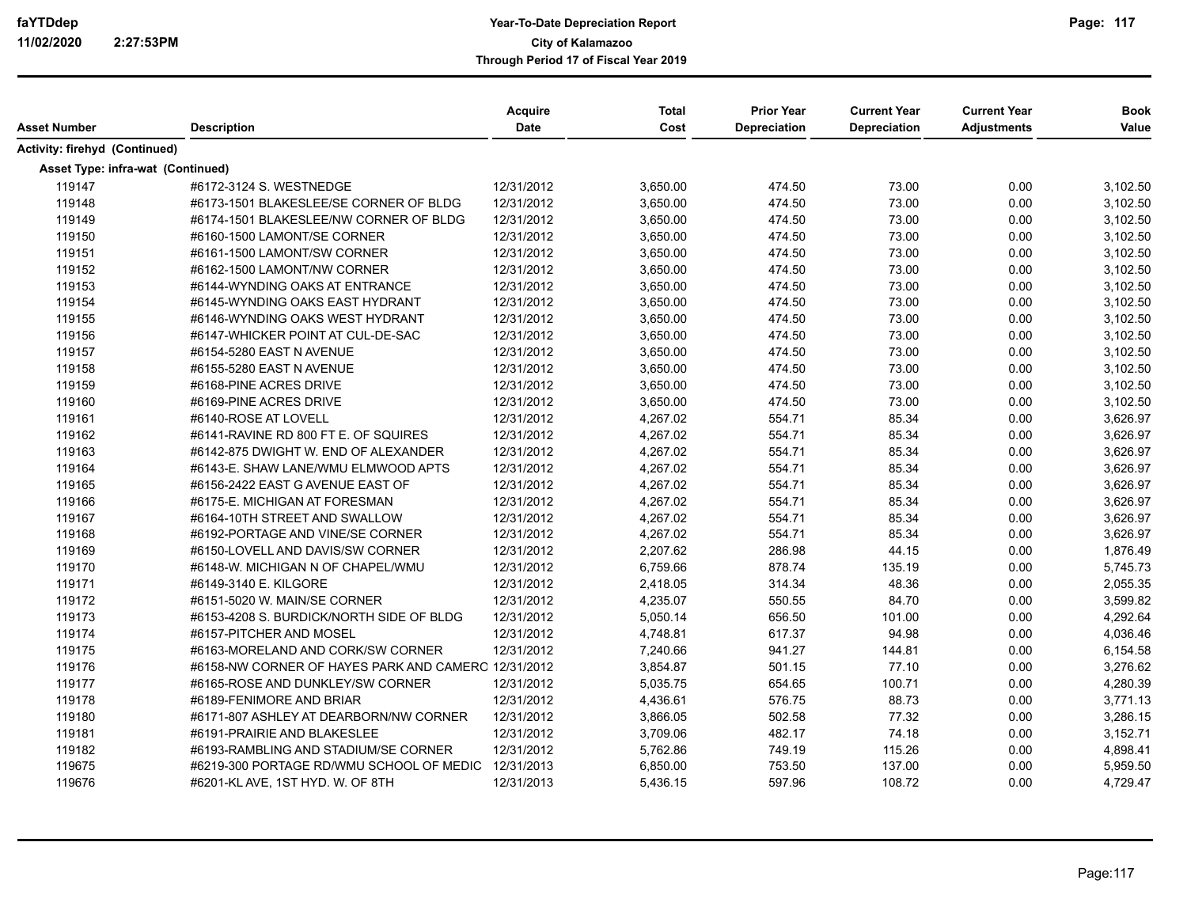|                                   |                                                     | Acquire    | <b>Total</b> | <b>Prior Year</b> | <b>Current Year</b> | <b>Current Year</b> | <b>Book</b> |
|-----------------------------------|-----------------------------------------------------|------------|--------------|-------------------|---------------------|---------------------|-------------|
| <b>Asset Number</b>               | <b>Description</b>                                  | Date       | Cost         | Depreciation      | Depreciation        | <b>Adjustments</b>  | Value       |
| Activity: firehyd (Continued)     |                                                     |            |              |                   |                     |                     |             |
| Asset Type: infra-wat (Continued) |                                                     |            |              |                   |                     |                     |             |
| 119147                            | #6172-3124 S. WESTNEDGE                             | 12/31/2012 | 3,650.00     | 474.50            | 73.00               | 0.00                | 3,102.50    |
| 119148                            | #6173-1501 BLAKESLEE/SE CORNER OF BLDG              | 12/31/2012 | 3,650.00     | 474.50            | 73.00               | 0.00                | 3,102.50    |
| 119149                            | #6174-1501 BLAKESLEE/NW CORNER OF BLDG              | 12/31/2012 | 3,650.00     | 474.50            | 73.00               | 0.00                | 3,102.50    |
| 119150                            | #6160-1500 LAMONT/SE CORNER                         | 12/31/2012 | 3,650.00     | 474.50            | 73.00               | 0.00                | 3,102.50    |
| 119151                            | #6161-1500 LAMONT/SW CORNER                         | 12/31/2012 | 3,650.00     | 474.50            | 73.00               | 0.00                | 3,102.50    |
| 119152                            | #6162-1500 LAMONT/NW CORNER                         | 12/31/2012 | 3,650.00     | 474.50            | 73.00               | 0.00                | 3,102.50    |
| 119153                            | #6144-WYNDING OAKS AT ENTRANCE                      | 12/31/2012 | 3,650.00     | 474.50            | 73.00               | 0.00                | 3,102.50    |
| 119154                            | #6145-WYNDING OAKS EAST HYDRANT                     | 12/31/2012 | 3,650.00     | 474.50            | 73.00               | 0.00                | 3,102.50    |
| 119155                            | #6146-WYNDING OAKS WEST HYDRANT                     | 12/31/2012 | 3,650.00     | 474.50            | 73.00               | 0.00                | 3,102.50    |
| 119156                            | #6147-WHICKER POINT AT CUL-DE-SAC                   | 12/31/2012 | 3,650.00     | 474.50            | 73.00               | 0.00                | 3,102.50    |
| 119157                            | #6154-5280 EAST N AVENUE                            | 12/31/2012 | 3,650.00     | 474.50            | 73.00               | 0.00                | 3,102.50    |
| 119158                            | #6155-5280 EAST N AVENUE                            | 12/31/2012 | 3,650.00     | 474.50            | 73.00               | 0.00                | 3,102.50    |
| 119159                            | #6168-PINE ACRES DRIVE                              | 12/31/2012 | 3,650.00     | 474.50            | 73.00               | 0.00                | 3,102.50    |
| 119160                            | #6169-PINE ACRES DRIVE                              | 12/31/2012 | 3,650.00     | 474.50            | 73.00               | 0.00                | 3,102.50    |
| 119161                            | #6140-ROSE AT LOVELL                                | 12/31/2012 | 4,267.02     | 554.71            | 85.34               | 0.00                | 3,626.97    |
| 119162                            | #6141-RAVINE RD 800 FT E. OF SQUIRES                | 12/31/2012 | 4,267.02     | 554.71            | 85.34               | 0.00                | 3,626.97    |
| 119163                            | #6142-875 DWIGHT W. END OF ALEXANDER                | 12/31/2012 | 4,267.02     | 554.71            | 85.34               | 0.00                | 3,626.97    |
| 119164                            | #6143-E. SHAW LANE/WMU ELMWOOD APTS                 | 12/31/2012 | 4,267.02     | 554.71            | 85.34               | 0.00                | 3,626.97    |
| 119165                            | #6156-2422 EAST G AVENUE EAST OF                    | 12/31/2012 | 4,267.02     | 554.71            | 85.34               | 0.00                | 3,626.97    |
| 119166                            | #6175-E. MICHIGAN AT FORESMAN                       | 12/31/2012 | 4,267.02     | 554.71            | 85.34               | 0.00                | 3,626.97    |
| 119167                            | #6164-10TH STREET AND SWALLOW                       | 12/31/2012 | 4,267.02     | 554.71            | 85.34               | 0.00                | 3,626.97    |
| 119168                            | #6192-PORTAGE AND VINE/SE CORNER                    | 12/31/2012 | 4,267.02     | 554.71            | 85.34               | 0.00                | 3,626.97    |
| 119169                            | #6150-LOVELL AND DAVIS/SW CORNER                    | 12/31/2012 | 2,207.62     | 286.98            | 44.15               | 0.00                | 1,876.49    |
| 119170                            | #6148-W. MICHIGAN N OF CHAPEL/WMU                   | 12/31/2012 | 6,759.66     | 878.74            | 135.19              | 0.00                | 5,745.73    |
| 119171                            | #6149-3140 E. KILGORE                               | 12/31/2012 | 2,418.05     | 314.34            | 48.36               | 0.00                | 2,055.35    |
| 119172                            | #6151-5020 W. MAIN/SE CORNER                        | 12/31/2012 | 4,235.07     | 550.55            | 84.70               | 0.00                | 3,599.82    |
| 119173                            | #6153-4208 S. BURDICK/NORTH SIDE OF BLDG            | 12/31/2012 | 5,050.14     | 656.50            | 101.00              | 0.00                | 4,292.64    |
| 119174                            | #6157-PITCHER AND MOSEL                             | 12/31/2012 | 4,748.81     | 617.37            | 94.98               | 0.00                | 4,036.46    |
| 119175                            | #6163-MORELAND AND CORK/SW CORNER                   | 12/31/2012 | 7,240.66     | 941.27            | 144.81              | 0.00                | 6,154.58    |
| 119176                            | #6158-NW CORNER OF HAYES PARK AND CAMERO 12/31/2012 |            | 3,854.87     | 501.15            | 77.10               | 0.00                | 3,276.62    |
| 119177                            | #6165-ROSE AND DUNKLEY/SW CORNER                    | 12/31/2012 | 5,035.75     | 654.65            | 100.71              | 0.00                | 4,280.39    |
| 119178                            | #6189-FENIMORE AND BRIAR                            | 12/31/2012 | 4,436.61     | 576.75            | 88.73               | 0.00                | 3,771.13    |
| 119180                            | #6171-807 ASHLEY AT DEARBORN/NW CORNER              | 12/31/2012 | 3,866.05     | 502.58            | 77.32               | 0.00                | 3,286.15    |
| 119181                            | #6191-PRAIRIE AND BLAKESLEE                         | 12/31/2012 | 3,709.06     | 482.17            | 74.18               | 0.00                | 3,152.71    |
| 119182                            | #6193-RAMBLING AND STADIUM/SE CORNER                | 12/31/2012 | 5,762.86     | 749.19            | 115.26              | 0.00                | 4,898.41    |
| 119675                            | #6219-300 PORTAGE RD/WMU SCHOOL OF MEDIC            | 12/31/2013 | 6,850.00     | 753.50            | 137.00              | 0.00                | 5,959.50    |
| 119676                            | #6201-KL AVE, 1ST HYD. W. OF 8TH                    | 12/31/2013 | 5,436.15     | 597.96            | 108.72              | 0.00                | 4,729.47    |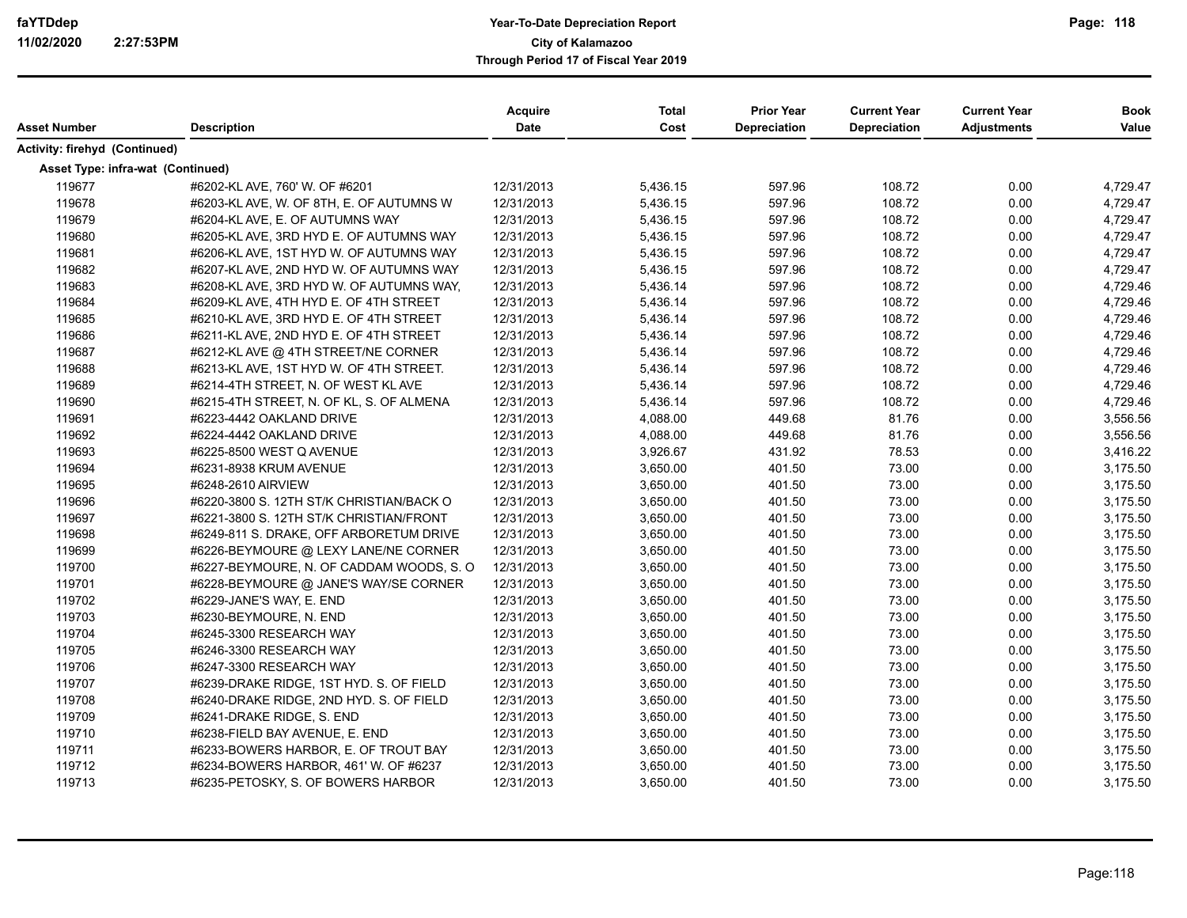| Asset Number                      | <b>Description</b>                       | <b>Acquire</b><br><b>Date</b> | <b>Total</b><br>Cost | <b>Prior Year</b><br>Depreciation | <b>Current Year</b><br><b>Depreciation</b> | <b>Current Year</b><br><b>Adjustments</b> | <b>Book</b><br>Value |
|-----------------------------------|------------------------------------------|-------------------------------|----------------------|-----------------------------------|--------------------------------------------|-------------------------------------------|----------------------|
| Activity: firehyd (Continued)     |                                          |                               |                      |                                   |                                            |                                           |                      |
|                                   |                                          |                               |                      |                                   |                                            |                                           |                      |
| Asset Type: infra-wat (Continued) |                                          |                               |                      |                                   |                                            |                                           |                      |
| 119677                            | #6202-KL AVE, 760' W. OF #6201           | 12/31/2013                    | 5,436.15             | 597.96                            | 108.72                                     | 0.00                                      | 4,729.47             |
| 119678                            | #6203-KL AVE, W. OF 8TH, E. OF AUTUMNS W | 12/31/2013                    | 5,436.15             | 597.96                            | 108.72                                     | 0.00                                      | 4,729.47             |
| 119679                            | #6204-KL AVE, E. OF AUTUMNS WAY          | 12/31/2013                    | 5,436.15             | 597.96                            | 108.72                                     | 0.00                                      | 4,729.47             |
| 119680                            | #6205-KL AVE, 3RD HYD E. OF AUTUMNS WAY  | 12/31/2013                    | 5,436.15             | 597.96                            | 108.72                                     | 0.00                                      | 4,729.47             |
| 119681                            | #6206-KL AVE, 1ST HYD W. OF AUTUMNS WAY  | 12/31/2013                    | 5,436.15             | 597.96                            | 108.72                                     | 0.00                                      | 4,729.47             |
| 119682                            | #6207-KL AVE, 2ND HYD W. OF AUTUMNS WAY  | 12/31/2013                    | 5,436.15             | 597.96                            | 108.72                                     | 0.00                                      | 4,729.47             |
| 119683                            | #6208-KL AVE, 3RD HYD W. OF AUTUMNS WAY, | 12/31/2013                    | 5,436.14             | 597.96                            | 108.72                                     | 0.00                                      | 4,729.46             |
| 119684                            | #6209-KL AVE, 4TH HYD E. OF 4TH STREET   | 12/31/2013                    | 5,436.14             | 597.96                            | 108.72                                     | 0.00                                      | 4,729.46             |
| 119685                            | #6210-KL AVE, 3RD HYD E. OF 4TH STREET   | 12/31/2013                    | 5,436.14             | 597.96                            | 108.72                                     | 0.00                                      | 4,729.46             |
| 119686                            | #6211-KL AVE, 2ND HYD E. OF 4TH STREET   | 12/31/2013                    | 5,436.14             | 597.96                            | 108.72                                     | 0.00                                      | 4,729.46             |
| 119687                            | #6212-KL AVE @ 4TH STREET/NE CORNER      | 12/31/2013                    | 5,436.14             | 597.96                            | 108.72                                     | 0.00                                      | 4,729.46             |
| 119688                            | #6213-KL AVE, 1ST HYD W. OF 4TH STREET.  | 12/31/2013                    | 5,436.14             | 597.96                            | 108.72                                     | 0.00                                      | 4,729.46             |
| 119689                            | #6214-4TH STREET, N. OF WEST KLAVE       | 12/31/2013                    | 5,436.14             | 597.96                            | 108.72                                     | 0.00                                      | 4,729.46             |
| 119690                            | #6215-4TH STREET, N. OF KL, S. OF ALMENA | 12/31/2013                    | 5,436.14             | 597.96                            | 108.72                                     | 0.00                                      | 4,729.46             |
| 119691                            | #6223-4442 OAKLAND DRIVE                 | 12/31/2013                    | 4,088.00             | 449.68                            | 81.76                                      | 0.00                                      | 3,556.56             |
| 119692                            | #6224-4442 OAKLAND DRIVE                 | 12/31/2013                    | 4,088.00             | 449.68                            | 81.76                                      | 0.00                                      | 3,556.56             |
| 119693                            | #6225-8500 WEST Q AVENUE                 | 12/31/2013                    | 3,926.67             | 431.92                            | 78.53                                      | 0.00                                      | 3,416.22             |
| 119694                            | #6231-8938 KRUM AVENUE                   | 12/31/2013                    | 3,650.00             | 401.50                            | 73.00                                      | 0.00                                      | 3,175.50             |
| 119695                            | #6248-2610 AIRVIEW                       | 12/31/2013                    | 3,650.00             | 401.50                            | 73.00                                      | 0.00                                      | 3,175.50             |
| 119696                            | #6220-3800 S. 12TH ST/K CHRISTIAN/BACK O | 12/31/2013                    | 3,650.00             | 401.50                            | 73.00                                      | 0.00                                      | 3,175.50             |
| 119697                            | #6221-3800 S. 12TH ST/K CHRISTIAN/FRONT  | 12/31/2013                    | 3,650.00             | 401.50                            | 73.00                                      | 0.00                                      | 3,175.50             |
| 119698                            | #6249-811 S. DRAKE, OFF ARBORETUM DRIVE  | 12/31/2013                    | 3,650.00             | 401.50                            | 73.00                                      | 0.00                                      | 3,175.50             |
| 119699                            | #6226-BEYMOURE @ LEXY LANE/NE CORNER     | 12/31/2013                    | 3,650.00             | 401.50                            | 73.00                                      | 0.00                                      | 3,175.50             |
| 119700                            | #6227-BEYMOURE, N. OF CADDAM WOODS, S. O | 12/31/2013                    | 3,650.00             | 401.50                            | 73.00                                      | 0.00                                      | 3,175.50             |
| 119701                            | #6228-BEYMOURE @ JANE'S WAY/SE CORNER    | 12/31/2013                    | 3,650.00             | 401.50                            | 73.00                                      | 0.00                                      | 3,175.50             |
| 119702                            | #6229-JANE'S WAY, E. END                 | 12/31/2013                    | 3,650.00             | 401.50                            | 73.00                                      | 0.00                                      | 3,175.50             |
| 119703                            | #6230-BEYMOURE, N. END                   | 12/31/2013                    | 3,650.00             | 401.50                            | 73.00                                      | 0.00                                      | 3,175.50             |
| 119704                            | #6245-3300 RESEARCH WAY                  | 12/31/2013                    | 3,650.00             | 401.50                            | 73.00                                      | 0.00                                      | 3,175.50             |
| 119705                            | #6246-3300 RESEARCH WAY                  | 12/31/2013                    | 3,650.00             | 401.50                            | 73.00                                      | 0.00                                      | 3,175.50             |
| 119706                            | #6247-3300 RESEARCH WAY                  | 12/31/2013                    | 3,650.00             | 401.50                            | 73.00                                      | 0.00                                      | 3,175.50             |
| 119707                            | #6239-DRAKE RIDGE, 1ST HYD. S. OF FIELD  | 12/31/2013                    | 3,650.00             | 401.50                            | 73.00                                      | 0.00                                      | 3,175.50             |
| 119708                            | #6240-DRAKE RIDGE, 2ND HYD. S. OF FIELD  | 12/31/2013                    | 3,650.00             | 401.50                            | 73.00                                      | 0.00                                      | 3,175.50             |
| 119709                            | #6241-DRAKE RIDGE, S. END                | 12/31/2013                    | 3,650.00             | 401.50                            | 73.00                                      | 0.00                                      | 3,175.50             |
| 119710                            | #6238-FIELD BAY AVENUE, E. END           | 12/31/2013                    | 3,650.00             | 401.50                            | 73.00                                      | 0.00                                      | 3,175.50             |
| 119711                            | #6233-BOWERS HARBOR, E. OF TROUT BAY     | 12/31/2013                    | 3,650.00             | 401.50                            | 73.00                                      | 0.00                                      | 3,175.50             |
| 119712                            | #6234-BOWERS HARBOR, 461' W. OF #6237    | 12/31/2013                    | 3,650.00             | 401.50                            | 73.00                                      | 0.00                                      | 3,175.50             |
| 119713                            | #6235-PETOSKY, S. OF BOWERS HARBOR       | 12/31/2013                    | 3,650.00             | 401.50                            | 73.00                                      | 0.00                                      | 3,175.50             |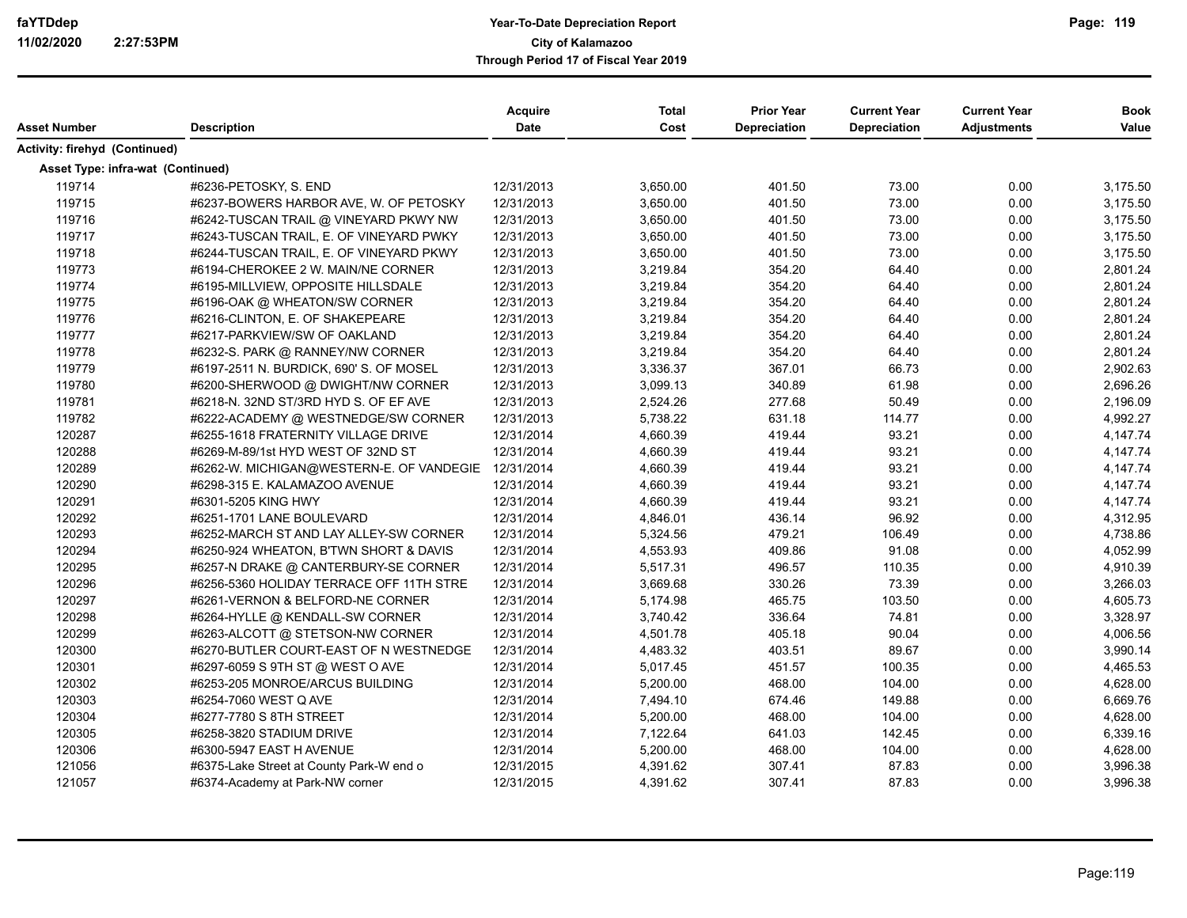| Activity: firehyd (Continued)<br>Asset Type: infra-wat (Continued)<br>119714<br>#6236-PETOSKY, S. END<br>3,650.00<br>73.00<br>0.00<br>12/31/2013<br>401.50<br>119715<br>#6237-BOWERS HARBOR AVE, W. OF PETOSKY<br>3,650.00<br>401.50<br>73.00<br>0.00<br>12/31/2013<br>119716<br>3,650.00<br>401.50<br>73.00<br>0.00<br>#6242-TUSCAN TRAIL @ VINEYARD PKWY NW<br>12/31/2013<br>119717<br>73.00<br>0.00<br>#6243-TUSCAN TRAIL, E. OF VINEYARD PWKY<br>12/31/2013<br>3,650.00<br>401.50<br>119718<br>73.00<br>#6244-TUSCAN TRAIL, E. OF VINEYARD PKWY<br>12/31/2013<br>3,650.00<br>401.50<br>0.00<br>119773<br>354.20<br>64.40<br>#6194-CHEROKEE 2 W. MAIN/NE CORNER<br>12/31/2013<br>3,219.84<br>0.00<br>119774<br>3,219.84<br>354.20<br>64.40<br>0.00<br>#6195-MILLVIEW, OPPOSITE HILLSDALE<br>12/31/2013<br>119775<br>3,219.84<br>354.20<br>64.40<br>0.00<br>#6196-OAK @ WHEATON/SW CORNER<br>12/31/2013<br>119776<br>3,219.84<br>354.20<br>64.40<br>0.00<br>#6216-CLINTON, E. OF SHAKEPEARE<br>12/31/2013<br>119777<br>354.20<br>#6217-PARKVIEW/SW OF OAKLAND<br>12/31/2013<br>3,219.84<br>64.40<br>0.00<br>119778<br>354.20<br>0.00<br>#6232-S. PARK @ RANNEY/NW CORNER<br>12/31/2013<br>3,219.84<br>64.40<br>119779<br>3,336.37<br>367.01<br>66.73<br>0.00<br>#6197-2511 N. BURDICK, 690' S. OF MOSEL<br>12/31/2013<br>119780<br>340.89<br>61.98<br>0.00<br>#6200-SHERWOOD @ DWIGHT/NW CORNER<br>12/31/2013<br>3,099.13<br>119781<br>12/31/2013<br>2,524.26<br>277.68<br>50.49<br>0.00<br>#6218-N. 32ND ST/3RD HYD S. OF EF AVE<br>119782<br>5,738.22<br>631.18<br>114.77<br>0.00<br>#6222-ACADEMY @ WESTNEDGE/SW CORNER<br>12/31/2013<br>93.21<br>120287<br>4,660.39<br>419.44<br>0.00<br>#6255-1618 FRATERNITY VILLAGE DRIVE<br>12/31/2014<br>120288<br>4,660.39<br>419.44<br>93.21<br>0.00<br>#6269-M-89/1st HYD WEST OF 32ND ST<br>12/31/2014<br>93.21<br>120289<br>#6262-W. MICHIGAN@WESTERN-E. OF VANDEGIE 12/31/2014<br>4,660.39<br>419.44<br>0.00<br>93.21<br>120290<br>#6298-315 E. KALAMAZOO AVENUE<br>12/31/2014<br>4,660.39<br>419.44<br>0.00<br>120291<br>12/31/2014<br>4,660.39<br>419.44<br>93.21<br>0.00<br>#6301-5205 KING HWY<br>120292<br>4,846.01<br>436.14<br>96.92<br>0.00<br>#6251-1701 LANE BOULEVARD<br>12/31/2014<br>120293<br>5,324.56<br>479.21<br>106.49<br>0.00<br>4,738.86<br>#6252-MARCH ST AND LAY ALLEY-SW CORNER<br>12/31/2014<br>120294<br>91.08<br>12/31/2014<br>4,553.93<br>409.86<br>0.00<br>4,052.99<br>#6250-924 WHEATON, B'TWN SHORT & DAVIS<br>120295<br>5,517.31<br>496.57<br>110.35<br>0.00<br>12/31/2014<br>4,910.39<br>#6257-N DRAKE @ CANTERBURY-SE CORNER<br>120296<br>3,669.68<br>330.26<br>73.39<br>0.00<br>#6256-5360 HOLIDAY TERRACE OFF 11TH STRE<br>12/31/2014<br>120297<br>465.75<br>103.50<br>0.00<br>4,605.73<br>#6261-VERNON & BELFORD-NE CORNER<br>12/31/2014<br>5,174.98<br>120298<br>12/31/2014<br>3,740.42<br>336.64<br>74.81<br>0.00<br>#6264-HYLLE @ KENDALL-SW CORNER<br>120299<br>4,501.78<br>405.18<br>90.04<br>0.00<br>4,006.56<br>#6263-ALCOTT @ STETSON-NW CORNER<br>12/31/2014<br>120300<br>#6270-BUTLER COURT-EAST OF N WESTNEDGE<br>12/31/2014<br>4,483.32<br>403.51<br>89.67<br>0.00<br>3,990.14<br>120301<br>#6297-6059 S 9TH ST @ WEST O AVE<br>12/31/2014<br>5,017.45<br>451.57<br>100.35<br>0.00<br>4,465.53<br>120302<br>104.00<br>#6253-205 MONROE/ARCUS BUILDING<br>12/31/2014<br>5,200.00<br>468.00<br>0.00<br>4,628.00<br>120303<br>#6254-7060 WEST Q AVE<br>12/31/2014<br>7,494.10<br>674.46<br>149.88<br>0.00<br>6,669.76<br>120304<br>12/31/2014<br>5,200.00<br>468.00<br>104.00<br>0.00<br>4,628.00<br>#6277-7780 S 8TH STREET<br>120305<br>142.45<br>0.00<br>6,339.16<br>#6258-3820 STADIUM DRIVE<br>12/31/2014<br>7,122.64<br>641.03<br>120306<br>#6300-5947 EAST H AVENUE<br>5,200.00<br>468.00<br>104.00<br>0.00<br>4,628.00<br>12/31/2014<br>121056<br>#6375-Lake Street at County Park-W end o<br>4,391.62<br>307.41<br>87.83<br>0.00<br>3,996.38<br>12/31/2015 | Asset Number | <b>Description</b>              | <b>Acquire</b><br><b>Date</b> | <b>Total</b><br>Cost | <b>Prior Year</b><br>Depreciation | <b>Current Year</b><br><b>Depreciation</b> | <b>Current Year</b><br><b>Adjustments</b> | <b>Book</b><br>Value |
|-------------------------------------------------------------------------------------------------------------------------------------------------------------------------------------------------------------------------------------------------------------------------------------------------------------------------------------------------------------------------------------------------------------------------------------------------------------------------------------------------------------------------------------------------------------------------------------------------------------------------------------------------------------------------------------------------------------------------------------------------------------------------------------------------------------------------------------------------------------------------------------------------------------------------------------------------------------------------------------------------------------------------------------------------------------------------------------------------------------------------------------------------------------------------------------------------------------------------------------------------------------------------------------------------------------------------------------------------------------------------------------------------------------------------------------------------------------------------------------------------------------------------------------------------------------------------------------------------------------------------------------------------------------------------------------------------------------------------------------------------------------------------------------------------------------------------------------------------------------------------------------------------------------------------------------------------------------------------------------------------------------------------------------------------------------------------------------------------------------------------------------------------------------------------------------------------------------------------------------------------------------------------------------------------------------------------------------------------------------------------------------------------------------------------------------------------------------------------------------------------------------------------------------------------------------------------------------------------------------------------------------------------------------------------------------------------------------------------------------------------------------------------------------------------------------------------------------------------------------------------------------------------------------------------------------------------------------------------------------------------------------------------------------------------------------------------------------------------------------------------------------------------------------------------------------------------------------------------------------------------------------------------------------------------------------------------------------------------------------------------------------------------------------------------------------------------------------------------------------------------------------------------------------------------------------------------------------------------------------------------------------------------------------------------------------------------------------------------------------------------------------------------------------------------------------------------------------------------------------------------------------------------------------------------------------------------------------------|--------------|---------------------------------|-------------------------------|----------------------|-----------------------------------|--------------------------------------------|-------------------------------------------|----------------------|
|                                                                                                                                                                                                                                                                                                                                                                                                                                                                                                                                                                                                                                                                                                                                                                                                                                                                                                                                                                                                                                                                                                                                                                                                                                                                                                                                                                                                                                                                                                                                                                                                                                                                                                                                                                                                                                                                                                                                                                                                                                                                                                                                                                                                                                                                                                                                                                                                                                                                                                                                                                                                                                                                                                                                                                                                                                                                                                                                                                                                                                                                                                                                                                                                                                                                                                                                                                                                                                                                                                                                                                                                                                                                                                                                                                                                                                                                                                                                                                   |              |                                 |                               |                      |                                   |                                            |                                           |                      |
|                                                                                                                                                                                                                                                                                                                                                                                                                                                                                                                                                                                                                                                                                                                                                                                                                                                                                                                                                                                                                                                                                                                                                                                                                                                                                                                                                                                                                                                                                                                                                                                                                                                                                                                                                                                                                                                                                                                                                                                                                                                                                                                                                                                                                                                                                                                                                                                                                                                                                                                                                                                                                                                                                                                                                                                                                                                                                                                                                                                                                                                                                                                                                                                                                                                                                                                                                                                                                                                                                                                                                                                                                                                                                                                                                                                                                                                                                                                                                                   |              |                                 |                               |                      |                                   |                                            |                                           |                      |
|                                                                                                                                                                                                                                                                                                                                                                                                                                                                                                                                                                                                                                                                                                                                                                                                                                                                                                                                                                                                                                                                                                                                                                                                                                                                                                                                                                                                                                                                                                                                                                                                                                                                                                                                                                                                                                                                                                                                                                                                                                                                                                                                                                                                                                                                                                                                                                                                                                                                                                                                                                                                                                                                                                                                                                                                                                                                                                                                                                                                                                                                                                                                                                                                                                                                                                                                                                                                                                                                                                                                                                                                                                                                                                                                                                                                                                                                                                                                                                   |              |                                 |                               |                      |                                   |                                            |                                           |                      |
|                                                                                                                                                                                                                                                                                                                                                                                                                                                                                                                                                                                                                                                                                                                                                                                                                                                                                                                                                                                                                                                                                                                                                                                                                                                                                                                                                                                                                                                                                                                                                                                                                                                                                                                                                                                                                                                                                                                                                                                                                                                                                                                                                                                                                                                                                                                                                                                                                                                                                                                                                                                                                                                                                                                                                                                                                                                                                                                                                                                                                                                                                                                                                                                                                                                                                                                                                                                                                                                                                                                                                                                                                                                                                                                                                                                                                                                                                                                                                                   |              |                                 |                               |                      |                                   |                                            |                                           | 3,175.50             |
|                                                                                                                                                                                                                                                                                                                                                                                                                                                                                                                                                                                                                                                                                                                                                                                                                                                                                                                                                                                                                                                                                                                                                                                                                                                                                                                                                                                                                                                                                                                                                                                                                                                                                                                                                                                                                                                                                                                                                                                                                                                                                                                                                                                                                                                                                                                                                                                                                                                                                                                                                                                                                                                                                                                                                                                                                                                                                                                                                                                                                                                                                                                                                                                                                                                                                                                                                                                                                                                                                                                                                                                                                                                                                                                                                                                                                                                                                                                                                                   |              |                                 |                               |                      |                                   |                                            |                                           | 3,175.50             |
|                                                                                                                                                                                                                                                                                                                                                                                                                                                                                                                                                                                                                                                                                                                                                                                                                                                                                                                                                                                                                                                                                                                                                                                                                                                                                                                                                                                                                                                                                                                                                                                                                                                                                                                                                                                                                                                                                                                                                                                                                                                                                                                                                                                                                                                                                                                                                                                                                                                                                                                                                                                                                                                                                                                                                                                                                                                                                                                                                                                                                                                                                                                                                                                                                                                                                                                                                                                                                                                                                                                                                                                                                                                                                                                                                                                                                                                                                                                                                                   |              |                                 |                               |                      |                                   |                                            |                                           | 3,175.50             |
|                                                                                                                                                                                                                                                                                                                                                                                                                                                                                                                                                                                                                                                                                                                                                                                                                                                                                                                                                                                                                                                                                                                                                                                                                                                                                                                                                                                                                                                                                                                                                                                                                                                                                                                                                                                                                                                                                                                                                                                                                                                                                                                                                                                                                                                                                                                                                                                                                                                                                                                                                                                                                                                                                                                                                                                                                                                                                                                                                                                                                                                                                                                                                                                                                                                                                                                                                                                                                                                                                                                                                                                                                                                                                                                                                                                                                                                                                                                                                                   |              |                                 |                               |                      |                                   |                                            |                                           | 3,175.50             |
|                                                                                                                                                                                                                                                                                                                                                                                                                                                                                                                                                                                                                                                                                                                                                                                                                                                                                                                                                                                                                                                                                                                                                                                                                                                                                                                                                                                                                                                                                                                                                                                                                                                                                                                                                                                                                                                                                                                                                                                                                                                                                                                                                                                                                                                                                                                                                                                                                                                                                                                                                                                                                                                                                                                                                                                                                                                                                                                                                                                                                                                                                                                                                                                                                                                                                                                                                                                                                                                                                                                                                                                                                                                                                                                                                                                                                                                                                                                                                                   |              |                                 |                               |                      |                                   |                                            |                                           | 3,175.50             |
|                                                                                                                                                                                                                                                                                                                                                                                                                                                                                                                                                                                                                                                                                                                                                                                                                                                                                                                                                                                                                                                                                                                                                                                                                                                                                                                                                                                                                                                                                                                                                                                                                                                                                                                                                                                                                                                                                                                                                                                                                                                                                                                                                                                                                                                                                                                                                                                                                                                                                                                                                                                                                                                                                                                                                                                                                                                                                                                                                                                                                                                                                                                                                                                                                                                                                                                                                                                                                                                                                                                                                                                                                                                                                                                                                                                                                                                                                                                                                                   |              |                                 |                               |                      |                                   |                                            |                                           | 2,801.24             |
|                                                                                                                                                                                                                                                                                                                                                                                                                                                                                                                                                                                                                                                                                                                                                                                                                                                                                                                                                                                                                                                                                                                                                                                                                                                                                                                                                                                                                                                                                                                                                                                                                                                                                                                                                                                                                                                                                                                                                                                                                                                                                                                                                                                                                                                                                                                                                                                                                                                                                                                                                                                                                                                                                                                                                                                                                                                                                                                                                                                                                                                                                                                                                                                                                                                                                                                                                                                                                                                                                                                                                                                                                                                                                                                                                                                                                                                                                                                                                                   |              |                                 |                               |                      |                                   |                                            |                                           | 2,801.24             |
|                                                                                                                                                                                                                                                                                                                                                                                                                                                                                                                                                                                                                                                                                                                                                                                                                                                                                                                                                                                                                                                                                                                                                                                                                                                                                                                                                                                                                                                                                                                                                                                                                                                                                                                                                                                                                                                                                                                                                                                                                                                                                                                                                                                                                                                                                                                                                                                                                                                                                                                                                                                                                                                                                                                                                                                                                                                                                                                                                                                                                                                                                                                                                                                                                                                                                                                                                                                                                                                                                                                                                                                                                                                                                                                                                                                                                                                                                                                                                                   |              |                                 |                               |                      |                                   |                                            |                                           | 2,801.24             |
|                                                                                                                                                                                                                                                                                                                                                                                                                                                                                                                                                                                                                                                                                                                                                                                                                                                                                                                                                                                                                                                                                                                                                                                                                                                                                                                                                                                                                                                                                                                                                                                                                                                                                                                                                                                                                                                                                                                                                                                                                                                                                                                                                                                                                                                                                                                                                                                                                                                                                                                                                                                                                                                                                                                                                                                                                                                                                                                                                                                                                                                                                                                                                                                                                                                                                                                                                                                                                                                                                                                                                                                                                                                                                                                                                                                                                                                                                                                                                                   |              |                                 |                               |                      |                                   |                                            |                                           | 2,801.24             |
|                                                                                                                                                                                                                                                                                                                                                                                                                                                                                                                                                                                                                                                                                                                                                                                                                                                                                                                                                                                                                                                                                                                                                                                                                                                                                                                                                                                                                                                                                                                                                                                                                                                                                                                                                                                                                                                                                                                                                                                                                                                                                                                                                                                                                                                                                                                                                                                                                                                                                                                                                                                                                                                                                                                                                                                                                                                                                                                                                                                                                                                                                                                                                                                                                                                                                                                                                                                                                                                                                                                                                                                                                                                                                                                                                                                                                                                                                                                                                                   |              |                                 |                               |                      |                                   |                                            |                                           | 2,801.24             |
|                                                                                                                                                                                                                                                                                                                                                                                                                                                                                                                                                                                                                                                                                                                                                                                                                                                                                                                                                                                                                                                                                                                                                                                                                                                                                                                                                                                                                                                                                                                                                                                                                                                                                                                                                                                                                                                                                                                                                                                                                                                                                                                                                                                                                                                                                                                                                                                                                                                                                                                                                                                                                                                                                                                                                                                                                                                                                                                                                                                                                                                                                                                                                                                                                                                                                                                                                                                                                                                                                                                                                                                                                                                                                                                                                                                                                                                                                                                                                                   |              |                                 |                               |                      |                                   |                                            |                                           | 2,801.24             |
|                                                                                                                                                                                                                                                                                                                                                                                                                                                                                                                                                                                                                                                                                                                                                                                                                                                                                                                                                                                                                                                                                                                                                                                                                                                                                                                                                                                                                                                                                                                                                                                                                                                                                                                                                                                                                                                                                                                                                                                                                                                                                                                                                                                                                                                                                                                                                                                                                                                                                                                                                                                                                                                                                                                                                                                                                                                                                                                                                                                                                                                                                                                                                                                                                                                                                                                                                                                                                                                                                                                                                                                                                                                                                                                                                                                                                                                                                                                                                                   |              |                                 |                               |                      |                                   |                                            |                                           | 2,902.63             |
|                                                                                                                                                                                                                                                                                                                                                                                                                                                                                                                                                                                                                                                                                                                                                                                                                                                                                                                                                                                                                                                                                                                                                                                                                                                                                                                                                                                                                                                                                                                                                                                                                                                                                                                                                                                                                                                                                                                                                                                                                                                                                                                                                                                                                                                                                                                                                                                                                                                                                                                                                                                                                                                                                                                                                                                                                                                                                                                                                                                                                                                                                                                                                                                                                                                                                                                                                                                                                                                                                                                                                                                                                                                                                                                                                                                                                                                                                                                                                                   |              |                                 |                               |                      |                                   |                                            |                                           | 2,696.26             |
|                                                                                                                                                                                                                                                                                                                                                                                                                                                                                                                                                                                                                                                                                                                                                                                                                                                                                                                                                                                                                                                                                                                                                                                                                                                                                                                                                                                                                                                                                                                                                                                                                                                                                                                                                                                                                                                                                                                                                                                                                                                                                                                                                                                                                                                                                                                                                                                                                                                                                                                                                                                                                                                                                                                                                                                                                                                                                                                                                                                                                                                                                                                                                                                                                                                                                                                                                                                                                                                                                                                                                                                                                                                                                                                                                                                                                                                                                                                                                                   |              |                                 |                               |                      |                                   |                                            |                                           | 2,196.09             |
|                                                                                                                                                                                                                                                                                                                                                                                                                                                                                                                                                                                                                                                                                                                                                                                                                                                                                                                                                                                                                                                                                                                                                                                                                                                                                                                                                                                                                                                                                                                                                                                                                                                                                                                                                                                                                                                                                                                                                                                                                                                                                                                                                                                                                                                                                                                                                                                                                                                                                                                                                                                                                                                                                                                                                                                                                                                                                                                                                                                                                                                                                                                                                                                                                                                                                                                                                                                                                                                                                                                                                                                                                                                                                                                                                                                                                                                                                                                                                                   |              |                                 |                               |                      |                                   |                                            |                                           | 4,992.27             |
|                                                                                                                                                                                                                                                                                                                                                                                                                                                                                                                                                                                                                                                                                                                                                                                                                                                                                                                                                                                                                                                                                                                                                                                                                                                                                                                                                                                                                                                                                                                                                                                                                                                                                                                                                                                                                                                                                                                                                                                                                                                                                                                                                                                                                                                                                                                                                                                                                                                                                                                                                                                                                                                                                                                                                                                                                                                                                                                                                                                                                                                                                                                                                                                                                                                                                                                                                                                                                                                                                                                                                                                                                                                                                                                                                                                                                                                                                                                                                                   |              |                                 |                               |                      |                                   |                                            |                                           | 4,147.74             |
|                                                                                                                                                                                                                                                                                                                                                                                                                                                                                                                                                                                                                                                                                                                                                                                                                                                                                                                                                                                                                                                                                                                                                                                                                                                                                                                                                                                                                                                                                                                                                                                                                                                                                                                                                                                                                                                                                                                                                                                                                                                                                                                                                                                                                                                                                                                                                                                                                                                                                                                                                                                                                                                                                                                                                                                                                                                                                                                                                                                                                                                                                                                                                                                                                                                                                                                                                                                                                                                                                                                                                                                                                                                                                                                                                                                                                                                                                                                                                                   |              |                                 |                               |                      |                                   |                                            |                                           | 4,147.74             |
|                                                                                                                                                                                                                                                                                                                                                                                                                                                                                                                                                                                                                                                                                                                                                                                                                                                                                                                                                                                                                                                                                                                                                                                                                                                                                                                                                                                                                                                                                                                                                                                                                                                                                                                                                                                                                                                                                                                                                                                                                                                                                                                                                                                                                                                                                                                                                                                                                                                                                                                                                                                                                                                                                                                                                                                                                                                                                                                                                                                                                                                                                                                                                                                                                                                                                                                                                                                                                                                                                                                                                                                                                                                                                                                                                                                                                                                                                                                                                                   |              |                                 |                               |                      |                                   |                                            |                                           | 4,147.74             |
|                                                                                                                                                                                                                                                                                                                                                                                                                                                                                                                                                                                                                                                                                                                                                                                                                                                                                                                                                                                                                                                                                                                                                                                                                                                                                                                                                                                                                                                                                                                                                                                                                                                                                                                                                                                                                                                                                                                                                                                                                                                                                                                                                                                                                                                                                                                                                                                                                                                                                                                                                                                                                                                                                                                                                                                                                                                                                                                                                                                                                                                                                                                                                                                                                                                                                                                                                                                                                                                                                                                                                                                                                                                                                                                                                                                                                                                                                                                                                                   |              |                                 |                               |                      |                                   |                                            |                                           | 4,147.74             |
|                                                                                                                                                                                                                                                                                                                                                                                                                                                                                                                                                                                                                                                                                                                                                                                                                                                                                                                                                                                                                                                                                                                                                                                                                                                                                                                                                                                                                                                                                                                                                                                                                                                                                                                                                                                                                                                                                                                                                                                                                                                                                                                                                                                                                                                                                                                                                                                                                                                                                                                                                                                                                                                                                                                                                                                                                                                                                                                                                                                                                                                                                                                                                                                                                                                                                                                                                                                                                                                                                                                                                                                                                                                                                                                                                                                                                                                                                                                                                                   |              |                                 |                               |                      |                                   |                                            |                                           | 4,147.74             |
|                                                                                                                                                                                                                                                                                                                                                                                                                                                                                                                                                                                                                                                                                                                                                                                                                                                                                                                                                                                                                                                                                                                                                                                                                                                                                                                                                                                                                                                                                                                                                                                                                                                                                                                                                                                                                                                                                                                                                                                                                                                                                                                                                                                                                                                                                                                                                                                                                                                                                                                                                                                                                                                                                                                                                                                                                                                                                                                                                                                                                                                                                                                                                                                                                                                                                                                                                                                                                                                                                                                                                                                                                                                                                                                                                                                                                                                                                                                                                                   |              |                                 |                               |                      |                                   |                                            |                                           | 4,312.95             |
|                                                                                                                                                                                                                                                                                                                                                                                                                                                                                                                                                                                                                                                                                                                                                                                                                                                                                                                                                                                                                                                                                                                                                                                                                                                                                                                                                                                                                                                                                                                                                                                                                                                                                                                                                                                                                                                                                                                                                                                                                                                                                                                                                                                                                                                                                                                                                                                                                                                                                                                                                                                                                                                                                                                                                                                                                                                                                                                                                                                                                                                                                                                                                                                                                                                                                                                                                                                                                                                                                                                                                                                                                                                                                                                                                                                                                                                                                                                                                                   |              |                                 |                               |                      |                                   |                                            |                                           |                      |
|                                                                                                                                                                                                                                                                                                                                                                                                                                                                                                                                                                                                                                                                                                                                                                                                                                                                                                                                                                                                                                                                                                                                                                                                                                                                                                                                                                                                                                                                                                                                                                                                                                                                                                                                                                                                                                                                                                                                                                                                                                                                                                                                                                                                                                                                                                                                                                                                                                                                                                                                                                                                                                                                                                                                                                                                                                                                                                                                                                                                                                                                                                                                                                                                                                                                                                                                                                                                                                                                                                                                                                                                                                                                                                                                                                                                                                                                                                                                                                   |              |                                 |                               |                      |                                   |                                            |                                           |                      |
|                                                                                                                                                                                                                                                                                                                                                                                                                                                                                                                                                                                                                                                                                                                                                                                                                                                                                                                                                                                                                                                                                                                                                                                                                                                                                                                                                                                                                                                                                                                                                                                                                                                                                                                                                                                                                                                                                                                                                                                                                                                                                                                                                                                                                                                                                                                                                                                                                                                                                                                                                                                                                                                                                                                                                                                                                                                                                                                                                                                                                                                                                                                                                                                                                                                                                                                                                                                                                                                                                                                                                                                                                                                                                                                                                                                                                                                                                                                                                                   |              |                                 |                               |                      |                                   |                                            |                                           |                      |
|                                                                                                                                                                                                                                                                                                                                                                                                                                                                                                                                                                                                                                                                                                                                                                                                                                                                                                                                                                                                                                                                                                                                                                                                                                                                                                                                                                                                                                                                                                                                                                                                                                                                                                                                                                                                                                                                                                                                                                                                                                                                                                                                                                                                                                                                                                                                                                                                                                                                                                                                                                                                                                                                                                                                                                                                                                                                                                                                                                                                                                                                                                                                                                                                                                                                                                                                                                                                                                                                                                                                                                                                                                                                                                                                                                                                                                                                                                                                                                   |              |                                 |                               |                      |                                   |                                            |                                           | 3,266.03             |
|                                                                                                                                                                                                                                                                                                                                                                                                                                                                                                                                                                                                                                                                                                                                                                                                                                                                                                                                                                                                                                                                                                                                                                                                                                                                                                                                                                                                                                                                                                                                                                                                                                                                                                                                                                                                                                                                                                                                                                                                                                                                                                                                                                                                                                                                                                                                                                                                                                                                                                                                                                                                                                                                                                                                                                                                                                                                                                                                                                                                                                                                                                                                                                                                                                                                                                                                                                                                                                                                                                                                                                                                                                                                                                                                                                                                                                                                                                                                                                   |              |                                 |                               |                      |                                   |                                            |                                           |                      |
|                                                                                                                                                                                                                                                                                                                                                                                                                                                                                                                                                                                                                                                                                                                                                                                                                                                                                                                                                                                                                                                                                                                                                                                                                                                                                                                                                                                                                                                                                                                                                                                                                                                                                                                                                                                                                                                                                                                                                                                                                                                                                                                                                                                                                                                                                                                                                                                                                                                                                                                                                                                                                                                                                                                                                                                                                                                                                                                                                                                                                                                                                                                                                                                                                                                                                                                                                                                                                                                                                                                                                                                                                                                                                                                                                                                                                                                                                                                                                                   |              |                                 |                               |                      |                                   |                                            |                                           | 3,328.97             |
|                                                                                                                                                                                                                                                                                                                                                                                                                                                                                                                                                                                                                                                                                                                                                                                                                                                                                                                                                                                                                                                                                                                                                                                                                                                                                                                                                                                                                                                                                                                                                                                                                                                                                                                                                                                                                                                                                                                                                                                                                                                                                                                                                                                                                                                                                                                                                                                                                                                                                                                                                                                                                                                                                                                                                                                                                                                                                                                                                                                                                                                                                                                                                                                                                                                                                                                                                                                                                                                                                                                                                                                                                                                                                                                                                                                                                                                                                                                                                                   |              |                                 |                               |                      |                                   |                                            |                                           |                      |
|                                                                                                                                                                                                                                                                                                                                                                                                                                                                                                                                                                                                                                                                                                                                                                                                                                                                                                                                                                                                                                                                                                                                                                                                                                                                                                                                                                                                                                                                                                                                                                                                                                                                                                                                                                                                                                                                                                                                                                                                                                                                                                                                                                                                                                                                                                                                                                                                                                                                                                                                                                                                                                                                                                                                                                                                                                                                                                                                                                                                                                                                                                                                                                                                                                                                                                                                                                                                                                                                                                                                                                                                                                                                                                                                                                                                                                                                                                                                                                   |              |                                 |                               |                      |                                   |                                            |                                           |                      |
|                                                                                                                                                                                                                                                                                                                                                                                                                                                                                                                                                                                                                                                                                                                                                                                                                                                                                                                                                                                                                                                                                                                                                                                                                                                                                                                                                                                                                                                                                                                                                                                                                                                                                                                                                                                                                                                                                                                                                                                                                                                                                                                                                                                                                                                                                                                                                                                                                                                                                                                                                                                                                                                                                                                                                                                                                                                                                                                                                                                                                                                                                                                                                                                                                                                                                                                                                                                                                                                                                                                                                                                                                                                                                                                                                                                                                                                                                                                                                                   |              |                                 |                               |                      |                                   |                                            |                                           |                      |
|                                                                                                                                                                                                                                                                                                                                                                                                                                                                                                                                                                                                                                                                                                                                                                                                                                                                                                                                                                                                                                                                                                                                                                                                                                                                                                                                                                                                                                                                                                                                                                                                                                                                                                                                                                                                                                                                                                                                                                                                                                                                                                                                                                                                                                                                                                                                                                                                                                                                                                                                                                                                                                                                                                                                                                                                                                                                                                                                                                                                                                                                                                                                                                                                                                                                                                                                                                                                                                                                                                                                                                                                                                                                                                                                                                                                                                                                                                                                                                   |              |                                 |                               |                      |                                   |                                            |                                           |                      |
|                                                                                                                                                                                                                                                                                                                                                                                                                                                                                                                                                                                                                                                                                                                                                                                                                                                                                                                                                                                                                                                                                                                                                                                                                                                                                                                                                                                                                                                                                                                                                                                                                                                                                                                                                                                                                                                                                                                                                                                                                                                                                                                                                                                                                                                                                                                                                                                                                                                                                                                                                                                                                                                                                                                                                                                                                                                                                                                                                                                                                                                                                                                                                                                                                                                                                                                                                                                                                                                                                                                                                                                                                                                                                                                                                                                                                                                                                                                                                                   |              |                                 |                               |                      |                                   |                                            |                                           |                      |
|                                                                                                                                                                                                                                                                                                                                                                                                                                                                                                                                                                                                                                                                                                                                                                                                                                                                                                                                                                                                                                                                                                                                                                                                                                                                                                                                                                                                                                                                                                                                                                                                                                                                                                                                                                                                                                                                                                                                                                                                                                                                                                                                                                                                                                                                                                                                                                                                                                                                                                                                                                                                                                                                                                                                                                                                                                                                                                                                                                                                                                                                                                                                                                                                                                                                                                                                                                                                                                                                                                                                                                                                                                                                                                                                                                                                                                                                                                                                                                   |              |                                 |                               |                      |                                   |                                            |                                           |                      |
|                                                                                                                                                                                                                                                                                                                                                                                                                                                                                                                                                                                                                                                                                                                                                                                                                                                                                                                                                                                                                                                                                                                                                                                                                                                                                                                                                                                                                                                                                                                                                                                                                                                                                                                                                                                                                                                                                                                                                                                                                                                                                                                                                                                                                                                                                                                                                                                                                                                                                                                                                                                                                                                                                                                                                                                                                                                                                                                                                                                                                                                                                                                                                                                                                                                                                                                                                                                                                                                                                                                                                                                                                                                                                                                                                                                                                                                                                                                                                                   |              |                                 |                               |                      |                                   |                                            |                                           |                      |
|                                                                                                                                                                                                                                                                                                                                                                                                                                                                                                                                                                                                                                                                                                                                                                                                                                                                                                                                                                                                                                                                                                                                                                                                                                                                                                                                                                                                                                                                                                                                                                                                                                                                                                                                                                                                                                                                                                                                                                                                                                                                                                                                                                                                                                                                                                                                                                                                                                                                                                                                                                                                                                                                                                                                                                                                                                                                                                                                                                                                                                                                                                                                                                                                                                                                                                                                                                                                                                                                                                                                                                                                                                                                                                                                                                                                                                                                                                                                                                   |              |                                 |                               |                      |                                   |                                            |                                           |                      |
|                                                                                                                                                                                                                                                                                                                                                                                                                                                                                                                                                                                                                                                                                                                                                                                                                                                                                                                                                                                                                                                                                                                                                                                                                                                                                                                                                                                                                                                                                                                                                                                                                                                                                                                                                                                                                                                                                                                                                                                                                                                                                                                                                                                                                                                                                                                                                                                                                                                                                                                                                                                                                                                                                                                                                                                                                                                                                                                                                                                                                                                                                                                                                                                                                                                                                                                                                                                                                                                                                                                                                                                                                                                                                                                                                                                                                                                                                                                                                                   |              |                                 |                               |                      |                                   |                                            |                                           |                      |
|                                                                                                                                                                                                                                                                                                                                                                                                                                                                                                                                                                                                                                                                                                                                                                                                                                                                                                                                                                                                                                                                                                                                                                                                                                                                                                                                                                                                                                                                                                                                                                                                                                                                                                                                                                                                                                                                                                                                                                                                                                                                                                                                                                                                                                                                                                                                                                                                                                                                                                                                                                                                                                                                                                                                                                                                                                                                                                                                                                                                                                                                                                                                                                                                                                                                                                                                                                                                                                                                                                                                                                                                                                                                                                                                                                                                                                                                                                                                                                   | 121057       | #6374-Academy at Park-NW corner | 12/31/2015                    | 4,391.62             | 307.41                            | 87.83                                      | 0.00                                      | 3,996.38             |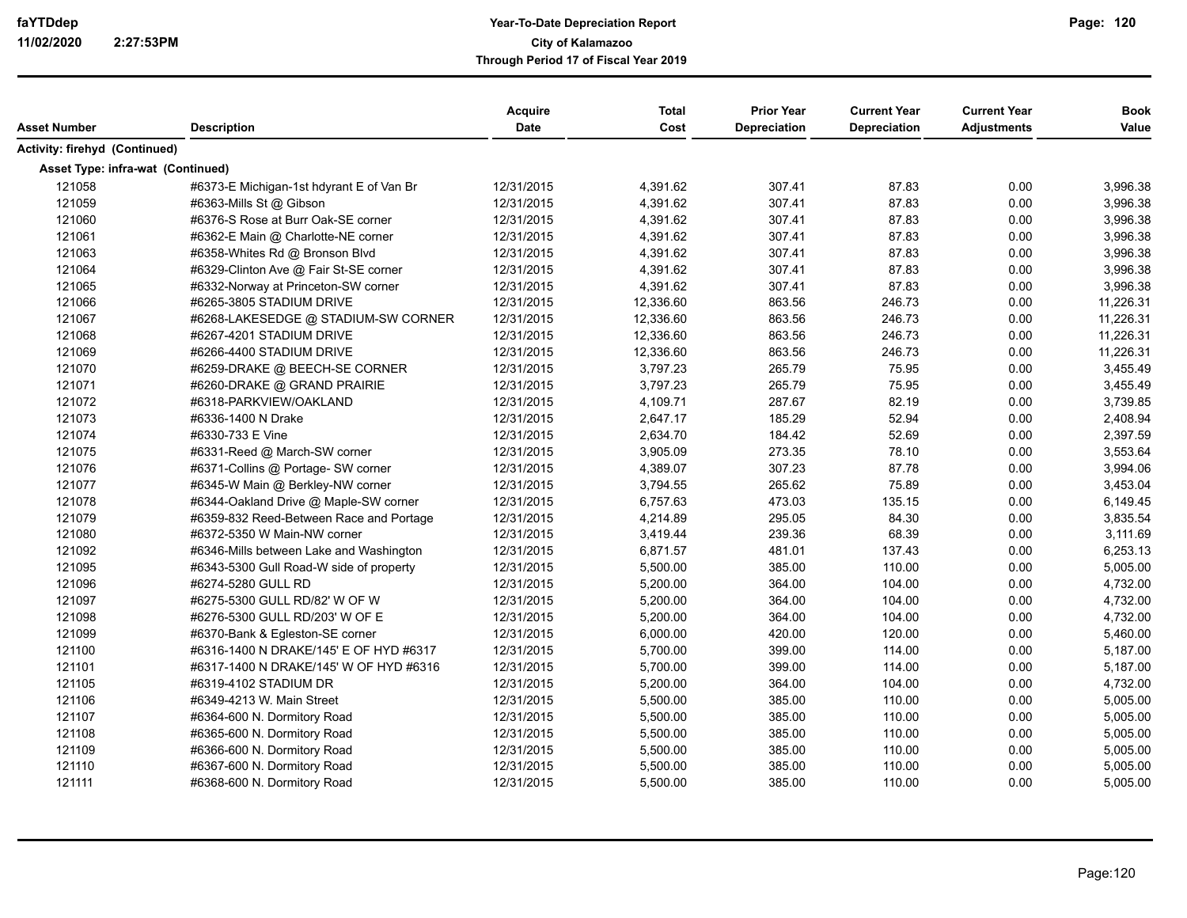| Asset Number                      | <b>Description</b>                       | Acquire<br><b>Date</b> | <b>Total</b><br>Cost | <b>Prior Year</b><br><b>Depreciation</b> | <b>Current Year</b><br><b>Depreciation</b> | <b>Current Year</b><br><b>Adjustments</b> | <b>Book</b><br>Value |
|-----------------------------------|------------------------------------------|------------------------|----------------------|------------------------------------------|--------------------------------------------|-------------------------------------------|----------------------|
| Activity: firehyd (Continued)     |                                          |                        |                      |                                          |                                            |                                           |                      |
| Asset Type: infra-wat (Continued) |                                          |                        |                      |                                          |                                            |                                           |                      |
| 121058                            | #6373-E Michigan-1st hdyrant E of Van Br | 12/31/2015             | 4,391.62             | 307.41                                   | 87.83                                      | 0.00                                      | 3,996.38             |
| 121059                            | #6363-Mills St @ Gibson                  | 12/31/2015             | 4,391.62             | 307.41                                   | 87.83                                      | 0.00                                      | 3,996.38             |
| 121060                            | #6376-S Rose at Burr Oak-SE corner       | 12/31/2015             | 4,391.62             | 307.41                                   | 87.83                                      | 0.00                                      | 3,996.38             |
| 121061                            | #6362-E Main @ Charlotte-NE corner       | 12/31/2015             | 4,391.62             | 307.41                                   | 87.83                                      | 0.00                                      | 3,996.38             |
| 121063                            | #6358-Whites Rd @ Bronson Blvd           | 12/31/2015             | 4,391.62             | 307.41                                   | 87.83                                      | 0.00                                      | 3,996.38             |
| 121064                            | #6329-Clinton Ave @ Fair St-SE corner    | 12/31/2015             | 4,391.62             | 307.41                                   | 87.83                                      | 0.00                                      | 3,996.38             |
| 121065                            | #6332-Norway at Princeton-SW corner      | 12/31/2015             | 4,391.62             | 307.41                                   | 87.83                                      | 0.00                                      | 3,996.38             |
| 121066                            | #6265-3805 STADIUM DRIVE                 | 12/31/2015             | 12,336.60            | 863.56                                   | 246.73                                     | 0.00                                      | 11,226.31            |
| 121067                            | #6268-LAKESEDGE @ STADIUM-SW CORNER      | 12/31/2015             | 12,336.60            | 863.56                                   | 246.73                                     | 0.00                                      | 11,226.31            |
| 121068                            | #6267-4201 STADIUM DRIVE                 | 12/31/2015             | 12,336.60            | 863.56                                   | 246.73                                     | 0.00                                      | 11,226.31            |
| 121069                            | #6266-4400 STADIUM DRIVE                 | 12/31/2015             | 12,336.60            | 863.56                                   | 246.73                                     | 0.00                                      | 11,226.31            |
| 121070                            | #6259-DRAKE @ BEECH-SE CORNER            | 12/31/2015             | 3,797.23             | 265.79                                   | 75.95                                      | 0.00                                      | 3,455.49             |
| 121071                            | #6260-DRAKE @ GRAND PRAIRIE              | 12/31/2015             | 3,797.23             | 265.79                                   | 75.95                                      | 0.00                                      | 3,455.49             |
| 121072                            | #6318-PARKVIEW/OAKLAND                   | 12/31/2015             | 4,109.71             | 287.67                                   | 82.19                                      | 0.00                                      | 3,739.85             |
| 121073                            | #6336-1400 N Drake                       | 12/31/2015             | 2,647.17             | 185.29                                   | 52.94                                      | 0.00                                      | 2,408.94             |
| 121074                            | #6330-733 E Vine                         | 12/31/2015             | 2,634.70             | 184.42                                   | 52.69                                      | 0.00                                      | 2,397.59             |
| 121075                            | #6331-Reed @ March-SW corner             | 12/31/2015             | 3,905.09             | 273.35                                   | 78.10                                      | 0.00                                      | 3,553.64             |
| 121076                            | #6371-Collins @ Portage- SW corner       | 12/31/2015             | 4,389.07             | 307.23                                   | 87.78                                      | 0.00                                      | 3,994.06             |
| 121077                            | #6345-W Main @ Berkley-NW corner         | 12/31/2015             | 3,794.55             | 265.62                                   | 75.89                                      | 0.00                                      | 3,453.04             |
| 121078                            | #6344-Oakland Drive @ Maple-SW corner    | 12/31/2015             | 6,757.63             | 473.03                                   | 135.15                                     | 0.00                                      | 6,149.45             |
|                                   |                                          |                        |                      | 295.05                                   |                                            |                                           |                      |
| 121079                            | #6359-832 Reed-Between Race and Portage  | 12/31/2015             | 4,214.89             |                                          | 84.30                                      | 0.00                                      | 3,835.54             |
| 121080                            | #6372-5350 W Main-NW corner              | 12/31/2015             | 3,419.44             | 239.36                                   | 68.39                                      | 0.00                                      | 3,111.69             |
| 121092                            | #6346-Mills between Lake and Washington  | 12/31/2015             | 6,871.57             | 481.01                                   | 137.43                                     | 0.00                                      | 6,253.13             |
| 121095                            | #6343-5300 Gull Road-W side of property  | 12/31/2015             | 5,500.00             | 385.00                                   | 110.00<br>104.00                           | 0.00<br>0.00                              | 5,005.00             |
| 121096                            | #6274-5280 GULL RD                       | 12/31/2015             | 5,200.00             | 364.00                                   |                                            |                                           | 4,732.00             |
| 121097                            | #6275-5300 GULL RD/82' W OF W            | 12/31/2015             | 5,200.00             | 364.00                                   | 104.00                                     | 0.00                                      | 4,732.00             |
| 121098                            | #6276-5300 GULL RD/203' W OF E           | 12/31/2015             | 5,200.00             | 364.00                                   | 104.00                                     | 0.00                                      | 4,732.00             |
| 121099                            | #6370-Bank & Egleston-SE corner          | 12/31/2015             | 6,000.00             | 420.00                                   | 120.00                                     | 0.00                                      | 5,460.00             |
| 121100                            | #6316-1400 N DRAKE/145' E OF HYD #6317   | 12/31/2015             | 5,700.00             | 399.00                                   | 114.00                                     | 0.00                                      | 5,187.00             |
| 121101                            | #6317-1400 N DRAKE/145' W OF HYD #6316   | 12/31/2015             | 5,700.00             | 399.00                                   | 114.00                                     | 0.00                                      | 5,187.00             |
| 121105                            | #6319-4102 STADIUM DR                    | 12/31/2015             | 5,200.00             | 364.00                                   | 104.00                                     | 0.00                                      | 4,732.00             |
| 121106                            | #6349-4213 W. Main Street                | 12/31/2015             | 5,500.00             | 385.00                                   | 110.00                                     | 0.00                                      | 5,005.00             |
| 121107                            | #6364-600 N. Dormitory Road              | 12/31/2015             | 5,500.00             | 385.00                                   | 110.00                                     | 0.00                                      | 5,005.00             |
| 121108                            | #6365-600 N. Dormitory Road              | 12/31/2015             | 5,500.00             | 385.00                                   | 110.00                                     | 0.00                                      | 5,005.00             |
| 121109                            | #6366-600 N. Dormitory Road              | 12/31/2015             | 5,500.00             | 385.00                                   | 110.00                                     | 0.00                                      | 5,005.00             |
| 121110                            | #6367-600 N. Dormitory Road              | 12/31/2015             | 5,500.00             | 385.00                                   | 110.00                                     | 0.00                                      | 5,005.00             |
| 121111                            | #6368-600 N. Dormitory Road              | 12/31/2015             | 5,500.00             | 385.00                                   | 110.00                                     | 0.00                                      | 5,005.00             |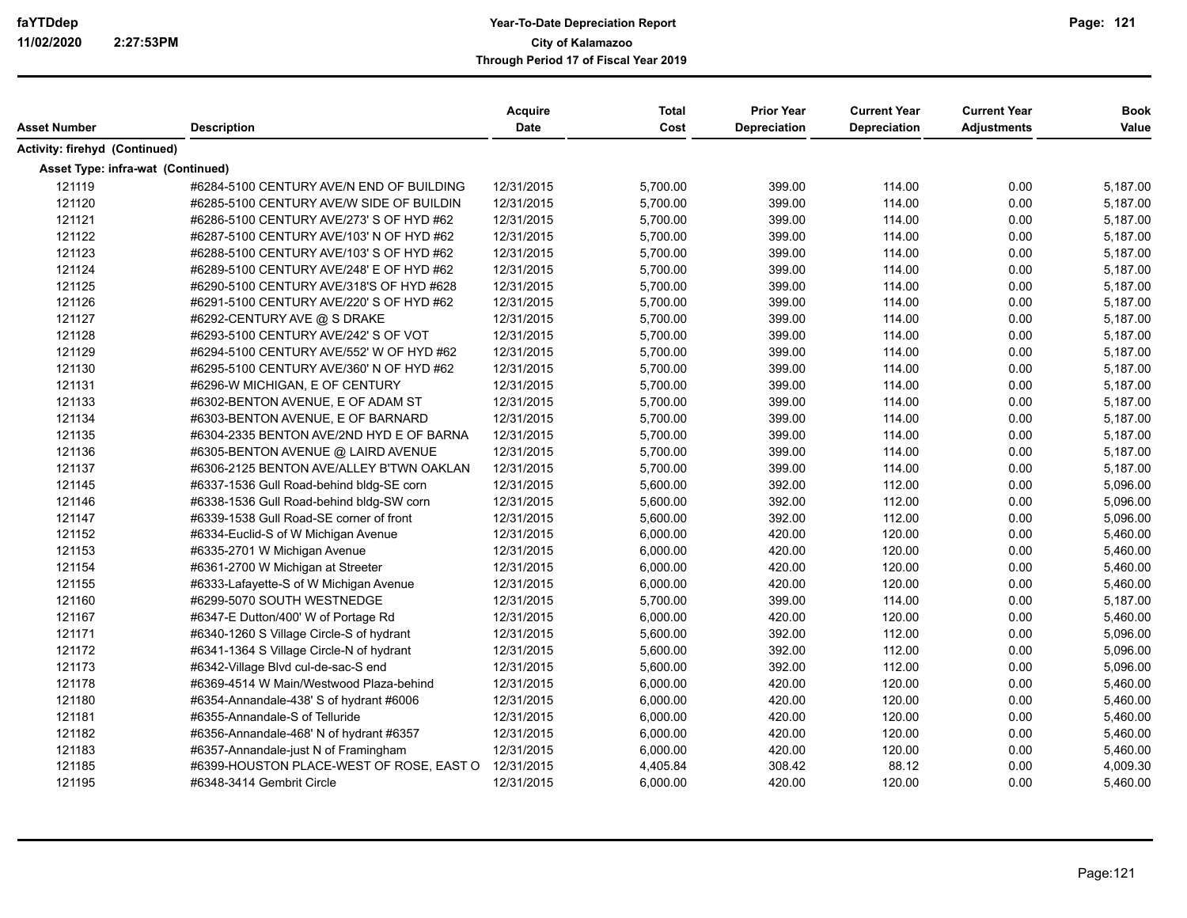|                                   |                                          | Acquire    | Total    | <b>Prior Year</b>   | <b>Current Year</b> | <b>Current Year</b> | <b>Book</b> |
|-----------------------------------|------------------------------------------|------------|----------|---------------------|---------------------|---------------------|-------------|
| Asset Number                      | <b>Description</b>                       | Date       | Cost     | <b>Depreciation</b> | <b>Depreciation</b> | Adjustments         | Value       |
| Activity: firehyd (Continued)     |                                          |            |          |                     |                     |                     |             |
| Asset Type: infra-wat (Continued) |                                          |            |          |                     |                     |                     |             |
| 121119                            | #6284-5100 CENTURY AVE/N END OF BUILDING | 12/31/2015 | 5,700.00 | 399.00              | 114.00              | 0.00                | 5,187.00    |
| 121120                            | #6285-5100 CENTURY AVE/W SIDE OF BUILDIN | 12/31/2015 | 5,700.00 | 399.00              | 114.00              | 0.00                | 5,187.00    |
| 121121                            | #6286-5100 CENTURY AVE/273' S OF HYD #62 | 12/31/2015 | 5,700.00 | 399.00              | 114.00              | 0.00                | 5,187.00    |
| 121122                            | #6287-5100 CENTURY AVE/103' N OF HYD #62 | 12/31/2015 | 5,700.00 | 399.00              | 114.00              | 0.00                | 5,187.00    |
| 121123                            | #6288-5100 CENTURY AVE/103' S OF HYD #62 | 12/31/2015 | 5,700.00 | 399.00              | 114.00              | 0.00                | 5,187.00    |
| 121124                            | #6289-5100 CENTURY AVE/248' E OF HYD #62 | 12/31/2015 | 5,700.00 | 399.00              | 114.00              | 0.00                | 5,187.00    |
| 121125                            | #6290-5100 CENTURY AVE/318'S OF HYD #628 | 12/31/2015 | 5,700.00 | 399.00              | 114.00              | 0.00                | 5,187.00    |
| 121126                            | #6291-5100 CENTURY AVE/220' S OF HYD #62 | 12/31/2015 | 5,700.00 | 399.00              | 114.00              | 0.00                | 5,187.00    |
| 121127                            | #6292-CENTURY AVE @ S DRAKE              | 12/31/2015 | 5,700.00 | 399.00              | 114.00              | 0.00                | 5,187.00    |
| 121128                            | #6293-5100 CENTURY AVE/242' S OF VOT     | 12/31/2015 | 5,700.00 | 399.00              | 114.00              | 0.00                | 5,187.00    |
| 121129                            | #6294-5100 CENTURY AVE/552' W OF HYD #62 | 12/31/2015 | 5,700.00 | 399.00              | 114.00              | 0.00                | 5,187.00    |
| 121130                            | #6295-5100 CENTURY AVE/360' N OF HYD #62 | 12/31/2015 | 5,700.00 | 399.00              | 114.00              | 0.00                | 5,187.00    |
| 121131                            | #6296-W MICHIGAN, E OF CENTURY           | 12/31/2015 | 5,700.00 | 399.00              | 114.00              | 0.00                | 5,187.00    |
| 121133                            | #6302-BENTON AVENUE, E OF ADAM ST        | 12/31/2015 | 5,700.00 | 399.00              | 114.00              | 0.00                | 5,187.00    |
| 121134                            | #6303-BENTON AVENUE, E OF BARNARD        | 12/31/2015 | 5,700.00 | 399.00              | 114.00              | 0.00                | 5,187.00    |
| 121135                            | #6304-2335 BENTON AVE/2ND HYD E OF BARNA | 12/31/2015 | 5,700.00 | 399.00              | 114.00              | 0.00                | 5,187.00    |
| 121136                            | #6305-BENTON AVENUE @ LAIRD AVENUE       | 12/31/2015 | 5,700.00 | 399.00              | 114.00              | 0.00                | 5,187.00    |
| 121137                            | #6306-2125 BENTON AVE/ALLEY B'TWN OAKLAN | 12/31/2015 | 5,700.00 | 399.00              | 114.00              | 0.00                | 5,187.00    |
| 121145                            | #6337-1536 Gull Road-behind bldg-SE corn | 12/31/2015 | 5,600.00 | 392.00              | 112.00              | 0.00                | 5,096.00    |
| 121146                            | #6338-1536 Gull Road-behind bldg-SW corn | 12/31/2015 | 5,600.00 | 392.00              | 112.00              | 0.00                | 5,096.00    |
| 121147                            | #6339-1538 Gull Road-SE corner of front  | 12/31/2015 | 5,600.00 | 392.00              | 112.00              | 0.00                | 5,096.00    |
| 121152                            | #6334-Euclid-S of W Michigan Avenue      | 12/31/2015 | 6,000.00 | 420.00              | 120.00              | 0.00                | 5,460.00    |
| 121153                            | #6335-2701 W Michigan Avenue             | 12/31/2015 | 6,000.00 | 420.00              | 120.00              | 0.00                | 5,460.00    |
| 121154                            | #6361-2700 W Michigan at Streeter        | 12/31/2015 | 6,000.00 | 420.00              | 120.00              | 0.00                | 5,460.00    |
| 121155                            | #6333-Lafayette-S of W Michigan Avenue   | 12/31/2015 | 6,000.00 | 420.00              | 120.00              | 0.00                | 5,460.00    |
| 121160                            | #6299-5070 SOUTH WESTNEDGE               | 12/31/2015 | 5,700.00 | 399.00              | 114.00              | 0.00                | 5,187.00    |
| 121167                            | #6347-E Dutton/400' W of Portage Rd      | 12/31/2015 | 6,000.00 | 420.00              | 120.00              | 0.00                | 5,460.00    |
| 121171                            | #6340-1260 S Village Circle-S of hydrant | 12/31/2015 | 5,600.00 | 392.00              | 112.00              | 0.00                | 5,096.00    |
| 121172                            | #6341-1364 S Village Circle-N of hydrant | 12/31/2015 | 5,600.00 | 392.00              | 112.00              | 0.00                | 5,096.00    |
| 121173                            | #6342-Village Blvd cul-de-sac-S end      | 12/31/2015 | 5,600.00 | 392.00              | 112.00              | 0.00                | 5,096.00    |
| 121178                            | #6369-4514 W Main/Westwood Plaza-behind  | 12/31/2015 | 6,000.00 | 420.00              | 120.00              | 0.00                | 5,460.00    |
| 121180                            | #6354-Annandale-438' S of hydrant #6006  | 12/31/2015 | 6,000.00 | 420.00              | 120.00              | 0.00                | 5,460.00    |
| 121181                            | #6355-Annandale-S of Telluride           | 12/31/2015 | 6,000.00 | 420.00              | 120.00              | 0.00                | 5,460.00    |
| 121182                            | #6356-Annandale-468' N of hydrant #6357  | 12/31/2015 | 6,000.00 | 420.00              | 120.00              | 0.00                | 5,460.00    |
| 121183                            | #6357-Annandale-just N of Framingham     | 12/31/2015 | 6,000.00 | 420.00              | 120.00              | 0.00                | 5,460.00    |
| 121185                            | #6399-HOUSTON PLACE-WEST OF ROSE, EAST O | 12/31/2015 | 4,405.84 | 308.42              | 88.12               | 0.00                | 4,009.30    |
| 121195                            | #6348-3414 Gembrit Circle                | 12/31/2015 | 6,000.00 | 420.00              | 120.00              | 0.00                | 5,460.00    |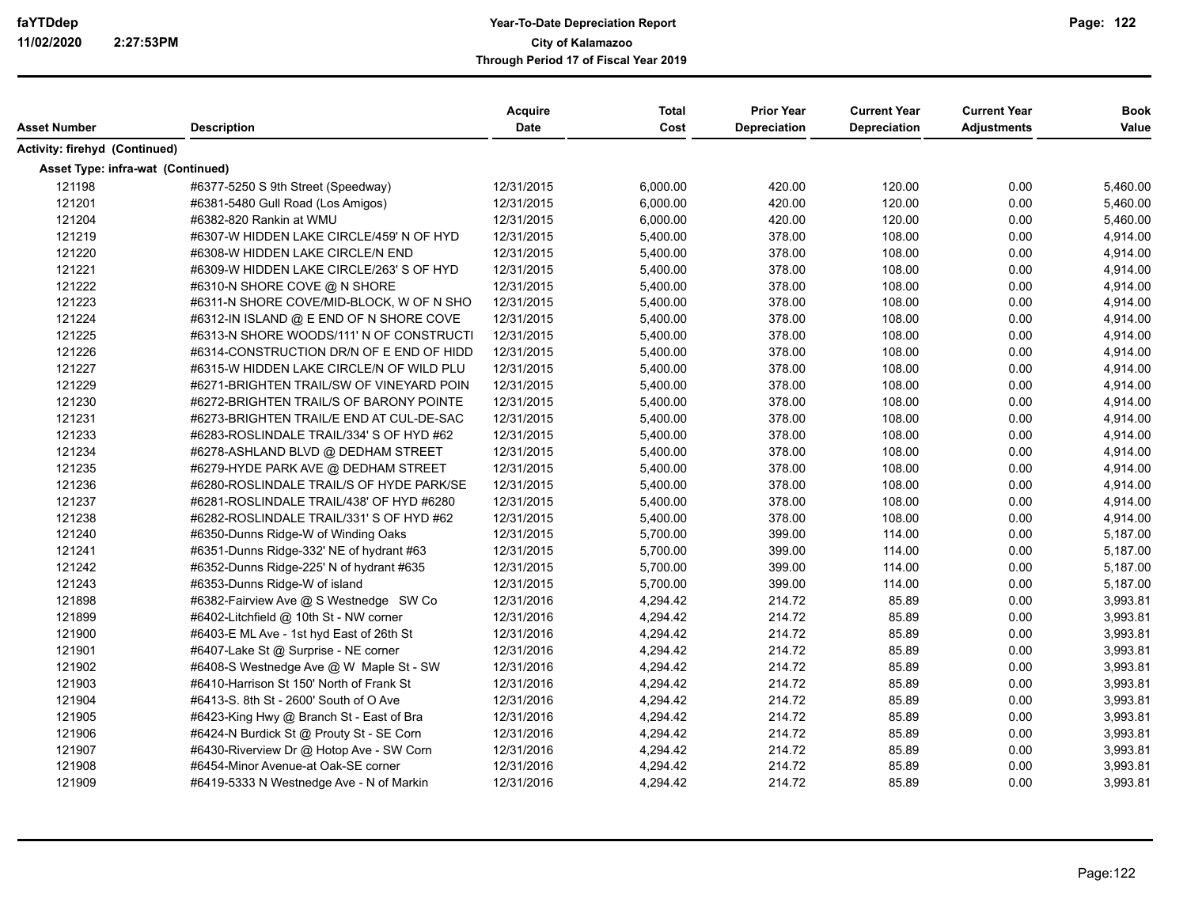| Asset Number                      | <b>Description</b>                       | <b>Acquire</b><br><b>Date</b> | Total<br>Cost | <b>Prior Year</b><br><b>Depreciation</b> | <b>Current Year</b><br><b>Depreciation</b> | <b>Current Year</b><br><b>Adjustments</b> | <b>Book</b><br>Value |
|-----------------------------------|------------------------------------------|-------------------------------|---------------|------------------------------------------|--------------------------------------------|-------------------------------------------|----------------------|
|                                   |                                          |                               |               |                                          |                                            |                                           |                      |
| Activity: firehyd (Continued)     |                                          |                               |               |                                          |                                            |                                           |                      |
| Asset Type: infra-wat (Continued) |                                          |                               |               |                                          |                                            |                                           |                      |
| 121198                            | #6377-5250 S 9th Street (Speedway)       | 12/31/2015                    | 6,000.00      | 420.00                                   | 120.00                                     | 0.00                                      | 5,460.00             |
| 121201                            | #6381-5480 Gull Road (Los Amigos)        | 12/31/2015                    | 6,000.00      | 420.00                                   | 120.00                                     | 0.00                                      | 5,460.00             |
| 121204                            | #6382-820 Rankin at WMU                  | 12/31/2015                    | 6,000.00      | 420.00                                   | 120.00                                     | 0.00                                      | 5,460.00             |
| 121219                            | #6307-W HIDDEN LAKE CIRCLE/459' N OF HYD | 12/31/2015                    | 5,400.00      | 378.00                                   | 108.00                                     | 0.00                                      | 4,914.00             |
| 121220                            | #6308-W HIDDEN LAKE CIRCLE/N END         | 12/31/2015                    | 5,400.00      | 378.00                                   | 108.00                                     | 0.00                                      | 4,914.00             |
| 121221                            | #6309-W HIDDEN LAKE CIRCLE/263' S OF HYD | 12/31/2015                    | 5,400.00      | 378.00                                   | 108.00                                     | 0.00                                      | 4,914.00             |
| 121222                            | #6310-N SHORE COVE @ N SHORE             | 12/31/2015                    | 5,400.00      | 378.00                                   | 108.00                                     | 0.00                                      | 4,914.00             |
| 121223                            | #6311-N SHORE COVE/MID-BLOCK, W OF N SHO | 12/31/2015                    | 5,400.00      | 378.00                                   | 108.00                                     | 0.00                                      | 4,914.00             |
| 121224                            | #6312-IN ISLAND @ E END OF N SHORE COVE  | 12/31/2015                    | 5,400.00      | 378.00                                   | 108.00                                     | 0.00                                      | 4,914.00             |
| 121225                            | #6313-N SHORE WOODS/111' N OF CONSTRUCTI | 12/31/2015                    | 5,400.00      | 378.00                                   | 108.00                                     | 0.00                                      | 4,914.00             |
| 121226                            | #6314-CONSTRUCTION DR/N OF E END OF HIDD | 12/31/2015                    | 5,400.00      | 378.00                                   | 108.00                                     | 0.00                                      | 4,914.00             |
| 121227                            | #6315-W HIDDEN LAKE CIRCLE/N OF WILD PLU | 12/31/2015                    | 5,400.00      | 378.00                                   | 108.00                                     | 0.00                                      | 4,914.00             |
| 121229                            | #6271-BRIGHTEN TRAIL/SW OF VINEYARD POIN | 12/31/2015                    | 5,400.00      | 378.00                                   | 108.00                                     | 0.00                                      | 4,914.00             |
| 121230                            | #6272-BRIGHTEN TRAIL/S OF BARONY POINTE  | 12/31/2015                    | 5,400.00      | 378.00                                   | 108.00                                     | 0.00                                      | 4,914.00             |
| 121231                            | #6273-BRIGHTEN TRAIL/E END AT CUL-DE-SAC | 12/31/2015                    | 5,400.00      | 378.00                                   | 108.00                                     | 0.00                                      | 4,914.00             |
| 121233                            | #6283-ROSLINDALE TRAIL/334' S OF HYD #62 | 12/31/2015                    | 5,400.00      | 378.00                                   | 108.00                                     | 0.00                                      | 4,914.00             |
| 121234                            | #6278-ASHLAND BLVD @ DEDHAM STREET       | 12/31/2015                    | 5,400.00      | 378.00                                   | 108.00                                     | 0.00                                      | 4,914.00             |
| 121235                            | #6279-HYDE PARK AVE @ DEDHAM STREET      | 12/31/2015                    | 5,400.00      | 378.00                                   | 108.00                                     | 0.00                                      | 4,914.00             |
| 121236                            | #6280-ROSLINDALE TRAIL/S OF HYDE PARK/SE | 12/31/2015                    | 5,400.00      | 378.00                                   | 108.00                                     | 0.00                                      | 4,914.00             |
| 121237                            | #6281-ROSLINDALE TRAIL/438' OF HYD #6280 | 12/31/2015                    | 5,400.00      | 378.00                                   | 108.00                                     | 0.00                                      | 4,914.00             |
| 121238                            | #6282-ROSLINDALE TRAIL/331' S OF HYD #62 | 12/31/2015                    | 5,400.00      | 378.00                                   | 108.00                                     | 0.00                                      | 4,914.00             |
| 121240                            | #6350-Dunns Ridge-W of Winding Oaks      | 12/31/2015                    | 5,700.00      | 399.00                                   | 114.00                                     | 0.00                                      | 5,187.00             |
| 121241                            | #6351-Dunns Ridge-332' NE of hydrant #63 | 12/31/2015                    | 5,700.00      | 399.00                                   | 114.00                                     | 0.00                                      | 5,187.00             |
| 121242                            | #6352-Dunns Ridge-225' N of hydrant #635 | 12/31/2015                    | 5,700.00      | 399.00                                   | 114.00                                     | 0.00                                      | 5,187.00             |
| 121243                            | #6353-Dunns Ridge-W of island            | 12/31/2015                    | 5,700.00      | 399.00                                   | 114.00                                     | 0.00                                      | 5,187.00             |
| 121898                            | #6382-Fairview Ave @ S Westnedge SW Co   | 12/31/2016                    | 4,294.42      | 214.72                                   | 85.89                                      | 0.00                                      | 3,993.81             |
| 121899                            | #6402-Litchfield @ 10th St - NW corner   | 12/31/2016                    | 4,294.42      | 214.72                                   | 85.89                                      | 0.00                                      | 3,993.81             |
| 121900                            | #6403-E ML Ave - 1st hyd East of 26th St | 12/31/2016                    | 4,294.42      | 214.72                                   | 85.89                                      | 0.00                                      | 3,993.81             |
| 121901                            | #6407-Lake St @ Surprise - NE corner     | 12/31/2016                    | 4,294.42      | 214.72                                   | 85.89                                      | 0.00                                      | 3,993.81             |
| 121902                            | #6408-S Westnedge Ave @ W Maple St - SW  | 12/31/2016                    | 4,294.42      | 214.72                                   | 85.89                                      | 0.00                                      | 3,993.81             |
| 121903                            | #6410-Harrison St 150' North of Frank St | 12/31/2016                    | 4,294.42      | 214.72                                   | 85.89                                      | 0.00                                      | 3,993.81             |
| 121904                            | #6413-S. 8th St - 2600' South of O Ave   | 12/31/2016                    | 4,294.42      | 214.72                                   | 85.89                                      | 0.00                                      | 3,993.81             |
| 121905                            | #6423-King Hwy @ Branch St - East of Bra | 12/31/2016                    | 4,294.42      | 214.72                                   | 85.89                                      | 0.00                                      | 3,993.81             |
| 121906                            | #6424-N Burdick St @ Prouty St - SE Corn | 12/31/2016                    | 4,294.42      | 214.72                                   | 85.89                                      | 0.00                                      | 3,993.81             |
| 121907                            | #6430-Riverview Dr @ Hotop Ave - SW Corn | 12/31/2016                    | 4,294.42      | 214.72                                   | 85.89                                      | 0.00                                      | 3,993.81             |
| 121908                            | #6454-Minor Avenue-at Oak-SE corner      | 12/31/2016                    | 4,294.42      | 214.72                                   | 85.89                                      | 0.00                                      | 3,993.81             |
| 121909                            | #6419-5333 N Westnedge Ave - N of Markin | 12/31/2016                    | 4,294.42      | 214.72                                   | 85.89                                      | 0.00                                      | 3,993.81             |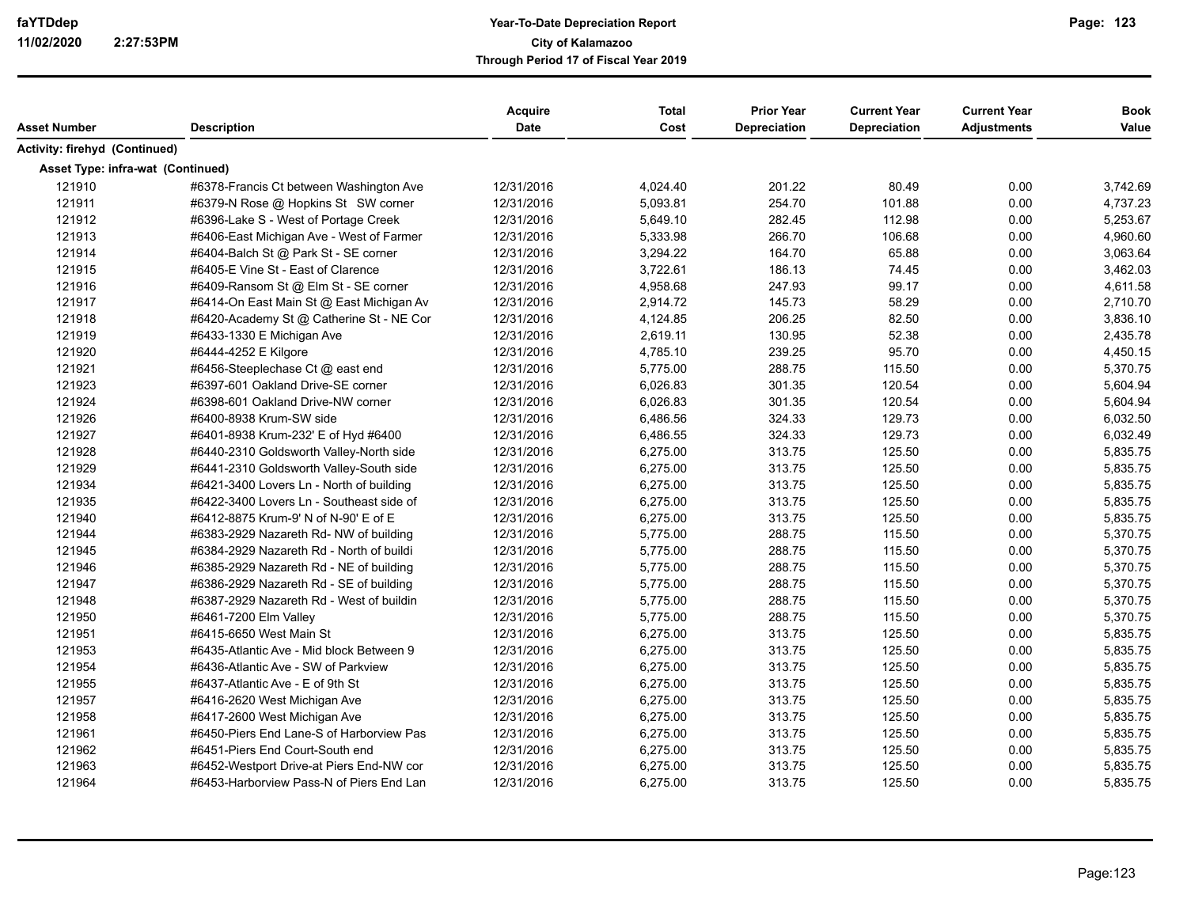|                                   |                                          | <b>Acquire</b> | <b>Total</b> | <b>Prior Year</b>   | <b>Current Year</b> | <b>Current Year</b> | <b>Book</b> |
|-----------------------------------|------------------------------------------|----------------|--------------|---------------------|---------------------|---------------------|-------------|
| Asset Number                      | <b>Description</b>                       | <b>Date</b>    | Cost         | <b>Depreciation</b> | <b>Depreciation</b> | <b>Adjustments</b>  | Value       |
| Activity: firehyd (Continued)     |                                          |                |              |                     |                     |                     |             |
| Asset Type: infra-wat (Continued) |                                          |                |              |                     |                     |                     |             |
| 121910                            | #6378-Francis Ct between Washington Ave  | 12/31/2016     | 4,024.40     | 201.22              | 80.49               | 0.00                | 3,742.69    |
| 121911                            | #6379-N Rose @ Hopkins St SW corner      | 12/31/2016     | 5,093.81     | 254.70              | 101.88              | 0.00                | 4,737.23    |
| 121912                            | #6396-Lake S - West of Portage Creek     | 12/31/2016     | 5,649.10     | 282.45              | 112.98              | 0.00                | 5,253.67    |
| 121913                            | #6406-East Michigan Ave - West of Farmer | 12/31/2016     | 5,333.98     | 266.70              | 106.68              | 0.00                | 4,960.60    |
| 121914                            | #6404-Balch St @ Park St - SE corner     | 12/31/2016     | 3,294.22     | 164.70              | 65.88               | 0.00                | 3,063.64    |
| 121915                            | #6405-E Vine St - East of Clarence       | 12/31/2016     | 3,722.61     | 186.13              | 74.45               | 0.00                | 3,462.03    |
| 121916                            | #6409-Ransom St @ Elm St - SE corner     | 12/31/2016     | 4,958.68     | 247.93              | 99.17               | 0.00                | 4,611.58    |
| 121917                            | #6414-On East Main St @ East Michigan Av | 12/31/2016     | 2,914.72     | 145.73              | 58.29               | 0.00                | 2,710.70    |
| 121918                            | #6420-Academy St @ Catherine St - NE Cor | 12/31/2016     | 4,124.85     | 206.25              | 82.50               | 0.00                | 3,836.10    |
| 121919                            | #6433-1330 E Michigan Ave                | 12/31/2016     | 2,619.11     | 130.95              | 52.38               | 0.00                | 2,435.78    |
| 121920                            | #6444-4252 E Kilgore                     | 12/31/2016     | 4,785.10     | 239.25              | 95.70               | 0.00                | 4,450.15    |
| 121921                            | #6456-Steeplechase Ct @ east end         | 12/31/2016     | 5,775.00     | 288.75              | 115.50              | 0.00                | 5,370.75    |
| 121923                            | #6397-601 Oakland Drive-SE corner        | 12/31/2016     | 6,026.83     | 301.35              | 120.54              | 0.00                | 5,604.94    |
| 121924                            | #6398-601 Oakland Drive-NW corner        | 12/31/2016     | 6,026.83     | 301.35              | 120.54              | 0.00                | 5,604.94    |
| 121926                            | #6400-8938 Krum-SW side                  | 12/31/2016     | 6,486.56     | 324.33              | 129.73              | 0.00                | 6,032.50    |
| 121927                            | #6401-8938 Krum-232' E of Hyd #6400      | 12/31/2016     | 6,486.55     | 324.33              | 129.73              | 0.00                | 6,032.49    |
| 121928                            | #6440-2310 Goldsworth Valley-North side  | 12/31/2016     | 6,275.00     | 313.75              | 125.50              | 0.00                | 5,835.75    |
| 121929                            | #6441-2310 Goldsworth Valley-South side  | 12/31/2016     | 6,275.00     | 313.75              | 125.50              | 0.00                | 5,835.75    |
| 121934                            | #6421-3400 Lovers Ln - North of building | 12/31/2016     | 6,275.00     | 313.75              | 125.50              | 0.00                | 5,835.75    |
| 121935                            | #6422-3400 Lovers Ln - Southeast side of | 12/31/2016     | 6,275.00     | 313.75              | 125.50              | 0.00                | 5,835.75    |
| 121940                            | #6412-8875 Krum-9' N of N-90' E of E     | 12/31/2016     | 6,275.00     | 313.75              | 125.50              | 0.00                | 5,835.75    |
| 121944                            | #6383-2929 Nazareth Rd- NW of building   | 12/31/2016     | 5,775.00     | 288.75              | 115.50              | 0.00                | 5,370.75    |
| 121945                            | #6384-2929 Nazareth Rd - North of buildi | 12/31/2016     | 5,775.00     | 288.75              | 115.50              | 0.00                | 5,370.75    |
| 121946                            | #6385-2929 Nazareth Rd - NE of building  | 12/31/2016     | 5,775.00     | 288.75              | 115.50              | 0.00                | 5,370.75    |
| 121947                            | #6386-2929 Nazareth Rd - SE of building  | 12/31/2016     | 5,775.00     | 288.75              | 115.50              | 0.00                | 5,370.75    |
| 121948                            | #6387-2929 Nazareth Rd - West of buildin | 12/31/2016     | 5,775.00     | 288.75              | 115.50              | 0.00                | 5,370.75    |
| 121950                            | #6461-7200 Elm Valley                    | 12/31/2016     | 5,775.00     | 288.75              | 115.50              | 0.00                | 5,370.75    |
| 121951                            | #6415-6650 West Main St                  | 12/31/2016     | 6,275.00     | 313.75              | 125.50              | 0.00                | 5,835.75    |
| 121953                            | #6435-Atlantic Ave - Mid block Between 9 | 12/31/2016     | 6,275.00     | 313.75              | 125.50              | 0.00                | 5,835.75    |
| 121954                            | #6436-Atlantic Ave - SW of Parkview      | 12/31/2016     | 6,275.00     | 313.75              | 125.50              | 0.00                | 5,835.75    |
| 121955                            | #6437-Atlantic Ave - E of 9th St         | 12/31/2016     | 6,275.00     | 313.75              | 125.50              | 0.00                | 5,835.75    |
| 121957                            | #6416-2620 West Michigan Ave             | 12/31/2016     | 6,275.00     | 313.75              | 125.50              | 0.00                | 5,835.75    |
| 121958                            | #6417-2600 West Michigan Ave             | 12/31/2016     | 6,275.00     | 313.75              | 125.50              | 0.00                | 5,835.75    |
| 121961                            | #6450-Piers End Lane-S of Harborview Pas | 12/31/2016     | 6,275.00     | 313.75              | 125.50              | 0.00                | 5,835.75    |
| 121962                            | #6451-Piers End Court-South end          | 12/31/2016     | 6,275.00     | 313.75              | 125.50              | 0.00                | 5,835.75    |
| 121963                            | #6452-Westport Drive-at Piers End-NW cor | 12/31/2016     | 6,275.00     | 313.75              | 125.50              | 0.00                | 5,835.75    |
| 121964                            | #6453-Harborview Pass-N of Piers End Lan | 12/31/2016     | 6,275.00     | 313.75              | 125.50              | 0.00                | 5,835.75    |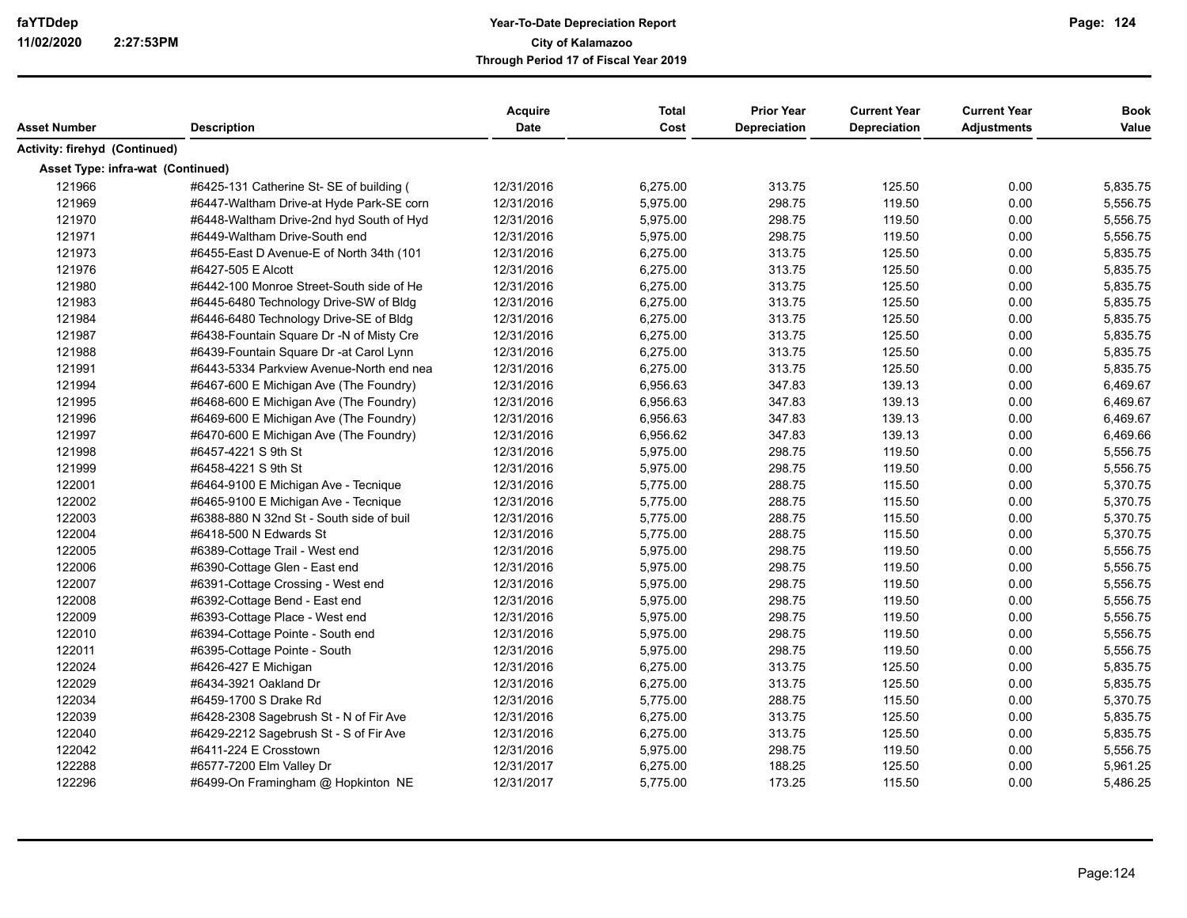| Asset Number                      |                                          | <b>Acquire</b><br><b>Date</b> | <b>Total</b><br>Cost | <b>Prior Year</b><br><b>Depreciation</b> | <b>Current Year</b><br><b>Depreciation</b> | <b>Current Year</b><br><b>Adjustments</b> | <b>Book</b><br>Value |
|-----------------------------------|------------------------------------------|-------------------------------|----------------------|------------------------------------------|--------------------------------------------|-------------------------------------------|----------------------|
|                                   | <b>Description</b>                       |                               |                      |                                          |                                            |                                           |                      |
| Activity: firehyd (Continued)     |                                          |                               |                      |                                          |                                            |                                           |                      |
| Asset Type: infra-wat (Continued) |                                          |                               |                      |                                          |                                            |                                           |                      |
| 121966                            | #6425-131 Catherine St- SE of building ( | 12/31/2016                    | 6,275.00             | 313.75                                   | 125.50                                     | 0.00                                      | 5,835.75             |
| 121969                            | #6447-Waltham Drive-at Hyde Park-SE corn | 12/31/2016                    | 5,975.00             | 298.75                                   | 119.50                                     | 0.00                                      | 5,556.75             |
| 121970                            | #6448-Waltham Drive-2nd hyd South of Hyd | 12/31/2016                    | 5,975.00             | 298.75                                   | 119.50                                     | 0.00                                      | 5,556.75             |
| 121971                            | #6449-Waltham Drive-South end            | 12/31/2016                    | 5,975.00             | 298.75                                   | 119.50                                     | 0.00                                      | 5,556.75             |
| 121973                            | #6455-East D Avenue-E of North 34th (101 | 12/31/2016                    | 6,275.00             | 313.75                                   | 125.50                                     | 0.00                                      | 5,835.75             |
| 121976                            | #6427-505 E Alcott                       | 12/31/2016                    | 6,275.00             | 313.75                                   | 125.50                                     | 0.00                                      | 5,835.75             |
| 121980                            | #6442-100 Monroe Street-South side of He | 12/31/2016                    | 6,275.00             | 313.75                                   | 125.50                                     | 0.00                                      | 5,835.75             |
| 121983                            | #6445-6480 Technology Drive-SW of Bldg   | 12/31/2016                    | 6,275.00             | 313.75                                   | 125.50                                     | 0.00                                      | 5,835.75             |
| 121984                            | #6446-6480 Technology Drive-SE of Bldg   | 12/31/2016                    | 6,275.00             | 313.75                                   | 125.50                                     | 0.00                                      | 5,835.75             |
| 121987                            | #6438-Fountain Square Dr -N of Misty Cre | 12/31/2016                    | 6,275.00             | 313.75                                   | 125.50                                     | 0.00                                      | 5,835.75             |
| 121988                            | #6439-Fountain Square Dr -at Carol Lynn  | 12/31/2016                    | 6,275.00             | 313.75                                   | 125.50                                     | 0.00                                      | 5,835.75             |
| 121991                            | #6443-5334 Parkview Avenue-North end nea | 12/31/2016                    | 6,275.00             | 313.75                                   | 125.50                                     | 0.00                                      | 5,835.75             |
| 121994                            | #6467-600 E Michigan Ave (The Foundry)   | 12/31/2016                    | 6,956.63             | 347.83                                   | 139.13                                     | 0.00                                      | 6,469.67             |
| 121995                            | #6468-600 E Michigan Ave (The Foundry)   | 12/31/2016                    | 6,956.63             | 347.83                                   | 139.13                                     | 0.00                                      | 6,469.67             |
| 121996                            | #6469-600 E Michigan Ave (The Foundry)   | 12/31/2016                    | 6,956.63             | 347.83                                   | 139.13                                     | 0.00                                      | 6,469.67             |
| 121997                            | #6470-600 E Michigan Ave (The Foundry)   | 12/31/2016                    | 6,956.62             | 347.83                                   | 139.13                                     | 0.00                                      | 6,469.66             |
| 121998                            | #6457-4221 S 9th St                      | 12/31/2016                    | 5,975.00             | 298.75                                   | 119.50                                     | 0.00                                      | 5,556.75             |
| 121999                            | #6458-4221 S 9th St                      | 12/31/2016                    | 5,975.00             | 298.75                                   | 119.50                                     | 0.00                                      | 5,556.75             |
| 122001                            | #6464-9100 E Michigan Ave - Tecnique     | 12/31/2016                    | 5,775.00             | 288.75                                   | 115.50                                     | 0.00                                      | 5,370.75             |
| 122002                            | #6465-9100 E Michigan Ave - Tecnique     | 12/31/2016                    | 5,775.00             | 288.75                                   | 115.50                                     | 0.00                                      | 5,370.75             |
| 122003                            | #6388-880 N 32nd St - South side of buil | 12/31/2016                    | 5,775.00             | 288.75                                   | 115.50                                     | 0.00                                      | 5,370.75             |
| 122004                            | #6418-500 N Edwards St                   | 12/31/2016                    | 5,775.00             | 288.75                                   | 115.50                                     | 0.00                                      | 5,370.75             |
| 122005                            | #6389-Cottage Trail - West end           | 12/31/2016                    | 5,975.00             | 298.75                                   | 119.50                                     | 0.00                                      | 5,556.75             |
| 122006                            | #6390-Cottage Glen - East end            | 12/31/2016                    | 5,975.00             | 298.75                                   | 119.50                                     | 0.00                                      | 5,556.75             |
| 122007                            | #6391-Cottage Crossing - West end        | 12/31/2016                    | 5,975.00             | 298.75                                   | 119.50                                     | 0.00                                      | 5,556.75             |
| 122008                            | #6392-Cottage Bend - East end            | 12/31/2016                    | 5,975.00             | 298.75                                   | 119.50                                     | 0.00                                      | 5,556.75             |
| 122009                            | #6393-Cottage Place - West end           | 12/31/2016                    | 5,975.00             | 298.75                                   | 119.50                                     | 0.00                                      | 5,556.75             |
| 122010                            | #6394-Cottage Pointe - South end         | 12/31/2016                    | 5,975.00             | 298.75                                   | 119.50                                     | 0.00                                      | 5,556.75             |
| 122011                            | #6395-Cottage Pointe - South             | 12/31/2016                    | 5,975.00             | 298.75                                   | 119.50                                     | 0.00                                      | 5,556.75             |
| 122024                            | #6426-427 E Michigan                     | 12/31/2016                    | 6,275.00             | 313.75                                   | 125.50                                     | 0.00                                      | 5,835.75             |
| 122029                            | #6434-3921 Oakland Dr                    | 12/31/2016                    | 6,275.00             | 313.75                                   | 125.50                                     | 0.00                                      | 5,835.75             |
| 122034                            | #6459-1700 S Drake Rd                    | 12/31/2016                    | 5,775.00             | 288.75                                   | 115.50                                     | 0.00                                      | 5,370.75             |
| 122039                            | #6428-2308 Sagebrush St - N of Fir Ave   | 12/31/2016                    | 6,275.00             | 313.75                                   | 125.50                                     | 0.00                                      | 5,835.75             |
| 122040                            | #6429-2212 Sagebrush St - S of Fir Ave   | 12/31/2016                    | 6,275.00             | 313.75                                   | 125.50                                     | 0.00                                      | 5,835.75             |
| 122042                            | #6411-224 E Crosstown                    | 12/31/2016                    | 5,975.00             | 298.75                                   | 119.50                                     | 0.00                                      | 5,556.75             |
| 122288                            | #6577-7200 Elm Valley Dr                 | 12/31/2017                    | 6,275.00             | 188.25                                   | 125.50                                     | 0.00                                      | 5,961.25             |
| 122296                            | #6499-On Framingham @ Hopkinton NE       | 12/31/2017                    | 5,775.00             | 173.25                                   | 115.50                                     | 0.00                                      | 5,486.25             |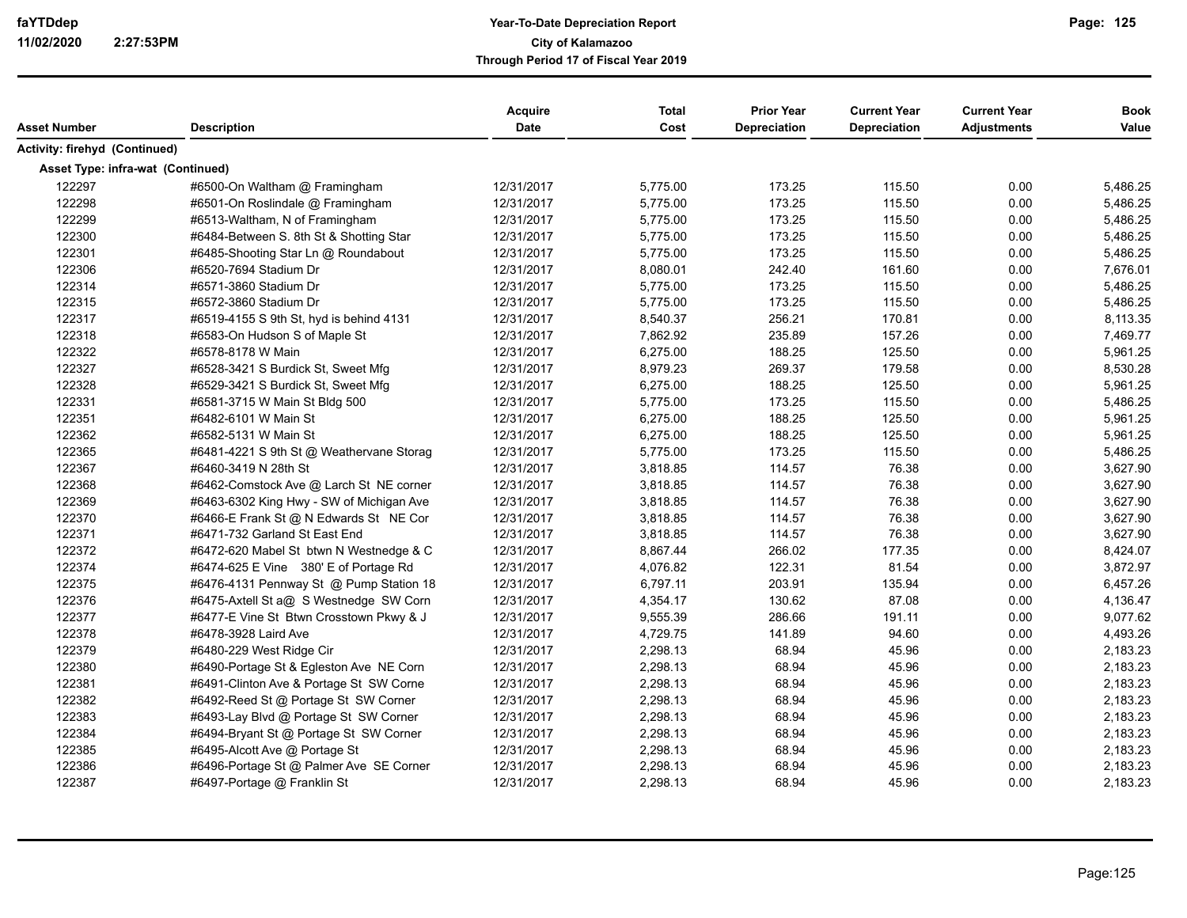|                                   |                                          | Acquire     | <b>Total</b> | <b>Prior Year</b>   | <b>Current Year</b> | <b>Current Year</b> | <b>Book</b> |
|-----------------------------------|------------------------------------------|-------------|--------------|---------------------|---------------------|---------------------|-------------|
| Asset Number                      | <b>Description</b>                       | <b>Date</b> | Cost         | <b>Depreciation</b> | Depreciation        | <b>Adjustments</b>  | Value       |
| Activity: firehyd (Continued)     |                                          |             |              |                     |                     |                     |             |
| Asset Type: infra-wat (Continued) |                                          |             |              |                     |                     |                     |             |
| 122297                            | #6500-On Waltham @ Framingham            | 12/31/2017  | 5,775.00     | 173.25              | 115.50              | 0.00                | 5,486.25    |
| 122298                            | #6501-On Roslindale @ Framingham         | 12/31/2017  | 5,775.00     | 173.25              | 115.50              | 0.00                | 5,486.25    |
| 122299                            | #6513-Waltham, N of Framingham           | 12/31/2017  | 5,775.00     | 173.25              | 115.50              | 0.00                | 5,486.25    |
| 122300                            | #6484-Between S. 8th St & Shotting Star  | 12/31/2017  | 5,775.00     | 173.25              | 115.50              | 0.00                | 5,486.25    |
| 122301                            | #6485-Shooting Star Ln @ Roundabout      | 12/31/2017  | 5,775.00     | 173.25              | 115.50              | 0.00                | 5,486.25    |
| 122306                            | #6520-7694 Stadium Dr                    | 12/31/2017  | 8,080.01     | 242.40              | 161.60              | 0.00                | 7,676.01    |
| 122314                            | #6571-3860 Stadium Dr                    | 12/31/2017  | 5,775.00     | 173.25              | 115.50              | 0.00                | 5,486.25    |
| 122315                            | #6572-3860 Stadium Dr                    | 12/31/2017  | 5,775.00     | 173.25              | 115.50              | 0.00                | 5,486.25    |
| 122317                            | #6519-4155 S 9th St, hyd is behind 4131  | 12/31/2017  | 8,540.37     | 256.21              | 170.81              | 0.00                | 8,113.35    |
| 122318                            | #6583-On Hudson S of Maple St            | 12/31/2017  | 7,862.92     | 235.89              | 157.26              | 0.00                | 7,469.77    |
| 122322                            | #6578-8178 W Main                        | 12/31/2017  | 6,275.00     | 188.25              | 125.50              | 0.00                | 5,961.25    |
| 122327                            | #6528-3421 S Burdick St, Sweet Mfg       | 12/31/2017  | 8,979.23     | 269.37              | 179.58              | 0.00                | 8,530.28    |
| 122328                            | #6529-3421 S Burdick St, Sweet Mfg       | 12/31/2017  | 6,275.00     | 188.25              | 125.50              | 0.00                | 5,961.25    |
| 122331                            | #6581-3715 W Main St Bldg 500            | 12/31/2017  | 5,775.00     | 173.25              | 115.50              | 0.00                | 5,486.25    |
| 122351                            | #6482-6101 W Main St                     | 12/31/2017  | 6,275.00     | 188.25              | 125.50              | 0.00                | 5,961.25    |
| 122362                            | #6582-5131 W Main St                     | 12/31/2017  | 6,275.00     | 188.25              | 125.50              | 0.00                | 5,961.25    |
| 122365                            | #6481-4221 S 9th St @ Weathervane Storag | 12/31/2017  | 5,775.00     | 173.25              | 115.50              | 0.00                | 5,486.25    |
| 122367                            | #6460-3419 N 28th St                     | 12/31/2017  | 3,818.85     | 114.57              | 76.38               | 0.00                | 3,627.90    |
| 122368                            | #6462-Comstock Ave @ Larch St NE corner  | 12/31/2017  | 3,818.85     | 114.57              | 76.38               | 0.00                | 3,627.90    |
| 122369                            | #6463-6302 King Hwy - SW of Michigan Ave | 12/31/2017  | 3,818.85     | 114.57              | 76.38               | 0.00                | 3,627.90    |
| 122370                            | #6466-E Frank St @ N Edwards St NE Cor   | 12/31/2017  | 3,818.85     | 114.57              | 76.38               | 0.00                | 3,627.90    |
| 122371                            | #6471-732 Garland St East End            | 12/31/2017  | 3,818.85     | 114.57              | 76.38               | 0.00                | 3,627.90    |
| 122372                            | #6472-620 Mabel St btwn N Westnedge & C  | 12/31/2017  | 8,867.44     | 266.02              | 177.35              | 0.00                | 8,424.07    |
| 122374                            | #6474-625 E Vine 380' E of Portage Rd    | 12/31/2017  | 4,076.82     | 122.31              | 81.54               | 0.00                | 3,872.97    |
| 122375                            | #6476-4131 Pennway St @ Pump Station 18  | 12/31/2017  | 6,797.11     | 203.91              | 135.94              | 0.00                | 6,457.26    |
| 122376                            | #6475-Axtell St a@ S Westnedge SW Corn   | 12/31/2017  | 4,354.17     | 130.62              | 87.08               | 0.00                | 4,136.47    |
| 122377                            | #6477-E Vine St Btwn Crosstown Pkwy & J  | 12/31/2017  | 9,555.39     | 286.66              | 191.11              | 0.00                | 9,077.62    |
| 122378                            | #6478-3928 Laird Ave                     | 12/31/2017  | 4,729.75     | 141.89              | 94.60               | 0.00                | 4,493.26    |
| 122379                            | #6480-229 West Ridge Cir                 | 12/31/2017  | 2,298.13     | 68.94               | 45.96               | 0.00                | 2,183.23    |
| 122380                            | #6490-Portage St & Egleston Ave NE Corn  | 12/31/2017  | 2,298.13     | 68.94               | 45.96               | 0.00                | 2,183.23    |
| 122381                            | #6491-Clinton Ave & Portage St SW Corne  | 12/31/2017  | 2,298.13     | 68.94               | 45.96               | 0.00                | 2,183.23    |
| 122382                            | #6492-Reed St @ Portage St SW Corner     | 12/31/2017  | 2,298.13     | 68.94               | 45.96               | 0.00                | 2,183.23    |
| 122383                            | #6493-Lay Blvd @ Portage St SW Corner    | 12/31/2017  | 2,298.13     | 68.94               | 45.96               | 0.00                | 2,183.23    |
| 122384                            | #6494-Bryant St @ Portage St SW Corner   | 12/31/2017  | 2,298.13     | 68.94               | 45.96               | 0.00                | 2,183.23    |
| 122385                            | #6495-Alcott Ave @ Portage St            | 12/31/2017  | 2,298.13     | 68.94               | 45.96               | 0.00                | 2,183.23    |
| 122386                            | #6496-Portage St @ Palmer Ave SE Corner  | 12/31/2017  | 2,298.13     | 68.94               | 45.96               | 0.00                | 2,183.23    |
| 122387                            | #6497-Portage @ Franklin St              | 12/31/2017  | 2,298.13     | 68.94               | 45.96               | 0.00                | 2,183.23    |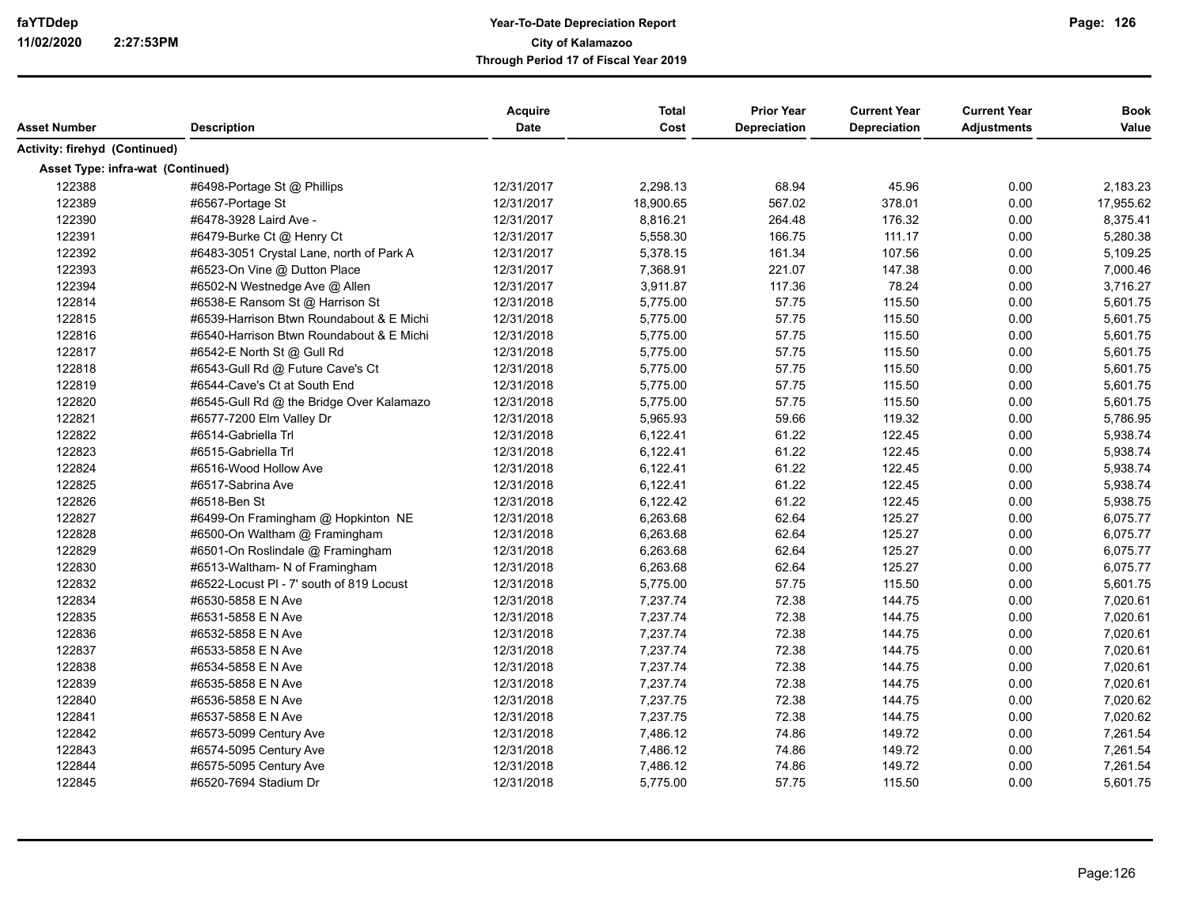| Asset Number                      | <b>Description</b>                       | Acquire<br><b>Date</b> | <b>Total</b><br>Cost | <b>Prior Year</b><br>Depreciation | <b>Current Year</b><br>Depreciation | <b>Current Year</b><br><b>Adjustments</b> | <b>Book</b><br>Value |
|-----------------------------------|------------------------------------------|------------------------|----------------------|-----------------------------------|-------------------------------------|-------------------------------------------|----------------------|
|                                   |                                          |                        |                      |                                   |                                     |                                           |                      |
| Activity: firehyd (Continued)     |                                          |                        |                      |                                   |                                     |                                           |                      |
| Asset Type: infra-wat (Continued) |                                          |                        |                      |                                   |                                     |                                           |                      |
| 122388                            | #6498-Portage St @ Phillips              | 12/31/2017             | 2,298.13             | 68.94                             | 45.96                               | 0.00                                      | 2,183.23             |
| 122389                            | #6567-Portage St                         | 12/31/2017             | 18,900.65            | 567.02                            | 378.01                              | 0.00                                      | 17,955.62            |
| 122390                            | #6478-3928 Laird Ave -                   | 12/31/2017             | 8,816.21             | 264.48                            | 176.32                              | 0.00                                      | 8,375.41             |
| 122391                            | #6479-Burke Ct @ Henry Ct                | 12/31/2017             | 5,558.30             | 166.75                            | 111.17                              | 0.00                                      | 5,280.38             |
| 122392                            | #6483-3051 Crystal Lane, north of Park A | 12/31/2017             | 5,378.15             | 161.34                            | 107.56                              | 0.00                                      | 5,109.25             |
| 122393                            | #6523-On Vine @ Dutton Place             | 12/31/2017             | 7,368.91             | 221.07                            | 147.38                              | 0.00                                      | 7,000.46             |
| 122394                            | #6502-N Westnedge Ave @ Allen            | 12/31/2017             | 3,911.87             | 117.36                            | 78.24                               | 0.00                                      | 3,716.27             |
| 122814                            | #6538-E Ransom St @ Harrison St          | 12/31/2018             | 5,775.00             | 57.75                             | 115.50                              | 0.00                                      | 5,601.75             |
| 122815                            | #6539-Harrison Btwn Roundabout & E Michi | 12/31/2018             | 5,775.00             | 57.75                             | 115.50                              | 0.00                                      | 5,601.75             |
| 122816                            | #6540-Harrison Btwn Roundabout & E Michi | 12/31/2018             | 5,775.00             | 57.75                             | 115.50                              | 0.00                                      | 5,601.75             |
| 122817                            | #6542-E North St @ Gull Rd               | 12/31/2018             | 5,775.00             | 57.75                             | 115.50                              | 0.00                                      | 5,601.75             |
| 122818                            | #6543-Gull Rd @ Future Cave's Ct         | 12/31/2018             | 5,775.00             | 57.75                             | 115.50                              | 0.00                                      | 5,601.75             |
| 122819                            | #6544-Cave's Ct at South End             | 12/31/2018             | 5,775.00             | 57.75                             | 115.50                              | 0.00                                      | 5,601.75             |
| 122820                            | #6545-Gull Rd @ the Bridge Over Kalamazo | 12/31/2018             | 5,775.00             | 57.75                             | 115.50                              | 0.00                                      | 5,601.75             |
| 122821                            | #6577-7200 Elm Valley Dr                 | 12/31/2018             | 5,965.93             | 59.66                             | 119.32                              | 0.00                                      | 5,786.95             |
| 122822                            | #6514-Gabriella Trl                      | 12/31/2018             | 6,122.41             | 61.22                             | 122.45                              | 0.00                                      | 5,938.74             |
| 122823                            | #6515-Gabriella Trl                      | 12/31/2018             | 6,122.41             | 61.22                             | 122.45                              | 0.00                                      | 5,938.74             |
| 122824                            | #6516-Wood Hollow Ave                    | 12/31/2018             | 6,122.41             | 61.22                             | 122.45                              | 0.00                                      | 5,938.74             |
| 122825                            | #6517-Sabrina Ave                        | 12/31/2018             | 6,122.41             | 61.22                             | 122.45                              | 0.00                                      | 5,938.74             |
| 122826                            | #6518-Ben St                             | 12/31/2018             | 6,122.42             | 61.22                             | 122.45                              | 0.00                                      | 5,938.75             |
| 122827                            | #6499-On Framingham @ Hopkinton NE       | 12/31/2018             | 6,263.68             | 62.64                             | 125.27                              | 0.00                                      | 6,075.77             |
| 122828                            | #6500-On Waltham @ Framingham            | 12/31/2018             | 6,263.68             | 62.64                             | 125.27                              | 0.00                                      | 6,075.77             |
| 122829                            | #6501-On Roslindale @ Framingham         | 12/31/2018             | 6,263.68             | 62.64                             | 125.27                              | 0.00                                      | 6,075.77             |
| 122830                            | #6513-Waltham- N of Framingham           | 12/31/2018             | 6,263.68             | 62.64                             | 125.27                              | 0.00                                      | 6,075.77             |
| 122832                            | #6522-Locust PI - 7' south of 819 Locust | 12/31/2018             | 5,775.00             | 57.75                             | 115.50                              | 0.00                                      | 5,601.75             |
| 122834                            | #6530-5858 E N Ave                       | 12/31/2018             | 7,237.74             | 72.38                             | 144.75                              | 0.00                                      | 7,020.61             |
| 122835                            | #6531-5858 E N Ave                       | 12/31/2018             | 7,237.74             | 72.38                             | 144.75                              | 0.00                                      | 7,020.61             |
| 122836                            | #6532-5858 E N Ave                       | 12/31/2018             | 7,237.74             | 72.38                             | 144.75                              | 0.00                                      | 7,020.61             |
| 122837                            | #6533-5858 E N Ave                       | 12/31/2018             | 7,237.74             | 72.38                             | 144.75                              | 0.00                                      | 7,020.61             |
| 122838                            | #6534-5858 E N Ave                       | 12/31/2018             | 7,237.74             | 72.38                             | 144.75                              | 0.00                                      | 7,020.61             |
| 122839                            | #6535-5858 E N Ave                       | 12/31/2018             | 7,237.74             | 72.38                             | 144.75                              | 0.00                                      | 7,020.61             |
| 122840                            | #6536-5858 E N Ave                       | 12/31/2018             | 7,237.75             | 72.38                             | 144.75                              | 0.00                                      | 7,020.62             |
| 122841                            | #6537-5858 E N Ave                       | 12/31/2018             | 7,237.75             | 72.38                             | 144.75                              | 0.00                                      | 7,020.62             |
| 122842                            | #6573-5099 Century Ave                   | 12/31/2018             | 7,486.12             | 74.86                             | 149.72                              | 0.00                                      | 7,261.54             |
| 122843                            | #6574-5095 Century Ave                   | 12/31/2018             | 7,486.12             | 74.86                             | 149.72                              | 0.00                                      | 7,261.54             |
| 122844                            | #6575-5095 Century Ave                   | 12/31/2018             | 7,486.12             | 74.86                             | 149.72                              | 0.00                                      | 7,261.54             |
| 122845                            | #6520-7694 Stadium Dr                    | 12/31/2018             | 5,775.00             | 57.75                             | 115.50                              | 0.00                                      | 5,601.75             |
|                                   |                                          |                        |                      |                                   |                                     |                                           |                      |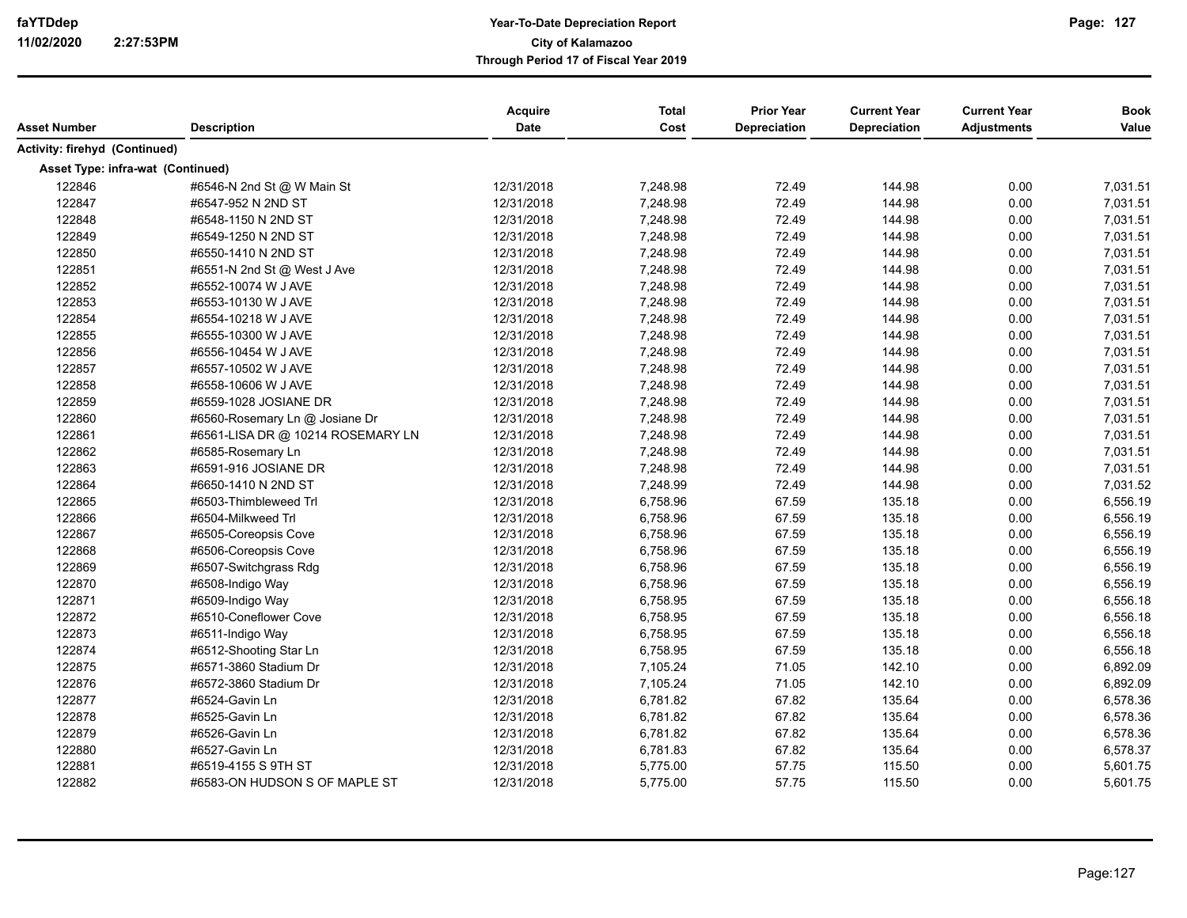| Asset Number                      | <b>Description</b>                | Acquire<br>Date | <b>Total</b><br>Cost | <b>Prior Year</b><br>Depreciation | <b>Current Year</b><br>Depreciation | <b>Current Year</b><br><b>Adjustments</b> | <b>Book</b><br>Value |
|-----------------------------------|-----------------------------------|-----------------|----------------------|-----------------------------------|-------------------------------------|-------------------------------------------|----------------------|
| Activity: firehyd (Continued)     |                                   |                 |                      |                                   |                                     |                                           |                      |
|                                   |                                   |                 |                      |                                   |                                     |                                           |                      |
| Asset Type: infra-wat (Continued) |                                   |                 |                      |                                   |                                     |                                           |                      |
| 122846                            | #6546-N 2nd St @ W Main St        | 12/31/2018      | 7,248.98             | 72.49                             | 144.98                              | 0.00                                      | 7,031.51             |
| 122847                            | #6547-952 N 2ND ST                | 12/31/2018      | 7,248.98             | 72.49                             | 144.98                              | 0.00                                      | 7,031.51             |
| 122848                            | #6548-1150 N 2ND ST               | 12/31/2018      | 7,248.98             | 72.49                             | 144.98                              | 0.00                                      | 7,031.51             |
| 122849                            | #6549-1250 N 2ND ST               | 12/31/2018      | 7,248.98             | 72.49                             | 144.98                              | 0.00                                      | 7,031.51             |
| 122850                            | #6550-1410 N 2ND ST               | 12/31/2018      | 7,248.98             | 72.49                             | 144.98                              | 0.00                                      | 7,031.51             |
| 122851                            | #6551-N 2nd St @ West J Ave       | 12/31/2018      | 7,248.98             | 72.49                             | 144.98                              | 0.00                                      | 7,031.51             |
| 122852                            | #6552-10074 W J AVE               | 12/31/2018      | 7,248.98             | 72.49                             | 144.98                              | 0.00                                      | 7,031.51             |
| 122853                            | #6553-10130 W J AVE               | 12/31/2018      | 7,248.98             | 72.49                             | 144.98                              | 0.00                                      | 7,031.51             |
| 122854                            | #6554-10218 W J AVE               | 12/31/2018      | 7,248.98             | 72.49                             | 144.98                              | 0.00                                      | 7,031.51             |
| 122855                            | #6555-10300 W J AVE               | 12/31/2018      | 7,248.98             | 72.49                             | 144.98                              | 0.00                                      | 7,031.51             |
| 122856                            | #6556-10454 W J AVE               | 12/31/2018      | 7,248.98             | 72.49                             | 144.98                              | 0.00                                      | 7,031.51             |
| 122857                            | #6557-10502 W J AVE               | 12/31/2018      | 7,248.98             | 72.49                             | 144.98                              | 0.00                                      | 7,031.51             |
| 122858                            | #6558-10606 W J AVE               | 12/31/2018      | 7,248.98             | 72.49                             | 144.98                              | 0.00                                      | 7,031.51             |
| 122859                            | #6559-1028 JOSIANE DR             | 12/31/2018      | 7,248.98             | 72.49                             | 144.98                              | 0.00                                      | 7,031.51             |
| 122860                            | #6560-Rosemary Ln @ Josiane Dr    | 12/31/2018      | 7,248.98             | 72.49                             | 144.98                              | 0.00                                      | 7,031.51             |
| 122861                            | #6561-LISA DR @ 10214 ROSEMARY LN | 12/31/2018      | 7,248.98             | 72.49                             | 144.98                              | 0.00                                      | 7,031.51             |
| 122862                            | #6585-Rosemary Ln                 | 12/31/2018      | 7,248.98             | 72.49                             | 144.98                              | 0.00                                      | 7,031.51             |
| 122863                            | #6591-916 JOSIANE DR              | 12/31/2018      | 7,248.98             | 72.49                             | 144.98                              | 0.00                                      | 7,031.51             |
| 122864                            | #6650-1410 N 2ND ST               | 12/31/2018      | 7,248.99             | 72.49                             | 144.98                              | 0.00                                      | 7,031.52             |
| 122865                            | #6503-Thimbleweed Trl             | 12/31/2018      | 6,758.96             | 67.59                             | 135.18                              | 0.00                                      | 6,556.19             |
| 122866                            | #6504-Milkweed Trl                | 12/31/2018      | 6,758.96             | 67.59                             | 135.18                              | 0.00                                      | 6,556.19             |
| 122867                            | #6505-Coreopsis Cove              | 12/31/2018      | 6,758.96             | 67.59                             | 135.18                              | 0.00                                      | 6,556.19             |
| 122868                            | #6506-Coreopsis Cove              | 12/31/2018      | 6,758.96             | 67.59                             | 135.18                              | 0.00                                      | 6,556.19             |
| 122869                            | #6507-Switchgrass Rdg             | 12/31/2018      | 6,758.96             | 67.59                             | 135.18                              | 0.00                                      | 6,556.19             |
| 122870                            | #6508-Indigo Way                  | 12/31/2018      | 6,758.96             | 67.59                             | 135.18                              | 0.00                                      | 6,556.19             |
| 122871                            | #6509-Indigo Way                  | 12/31/2018      | 6,758.95             | 67.59                             | 135.18                              | 0.00                                      | 6,556.18             |
| 122872                            | #6510-Coneflower Cove             | 12/31/2018      | 6,758.95             | 67.59                             | 135.18                              | 0.00                                      | 6,556.18             |
| 122873                            | #6511-Indigo Way                  | 12/31/2018      | 6,758.95             | 67.59                             | 135.18                              | 0.00                                      | 6,556.18             |
| 122874                            | #6512-Shooting Star Ln            | 12/31/2018      | 6,758.95             | 67.59                             | 135.18                              | 0.00                                      | 6,556.18             |
| 122875                            | #6571-3860 Stadium Dr             | 12/31/2018      | 7,105.24             | 71.05                             | 142.10                              | 0.00                                      | 6,892.09             |
| 122876                            | #6572-3860 Stadium Dr             | 12/31/2018      | 7,105.24             | 71.05                             | 142.10                              | 0.00                                      | 6,892.09             |
| 122877                            | #6524-Gavin Ln                    | 12/31/2018      | 6,781.82             | 67.82                             | 135.64                              | 0.00                                      | 6,578.36             |
| 122878                            | #6525-Gavin Ln                    | 12/31/2018      | 6,781.82             | 67.82                             | 135.64                              | 0.00                                      | 6,578.36             |
| 122879                            | #6526-Gavin Ln                    | 12/31/2018      | 6,781.82             | 67.82                             | 135.64                              | 0.00                                      | 6,578.36             |
| 122880                            | #6527-Gavin Ln                    | 12/31/2018      | 6,781.83             | 67.82                             | 135.64                              | 0.00                                      | 6,578.37             |
| 122881                            | #6519-4155 S 9TH ST               | 12/31/2018      | 5,775.00             | 57.75                             | 115.50                              | 0.00                                      | 5,601.75             |
| 122882                            | #6583-ON HUDSON S OF MAPLE ST     | 12/31/2018      | 5,775.00             | 57.75                             | 115.50                              | 0.00                                      | 5,601.75             |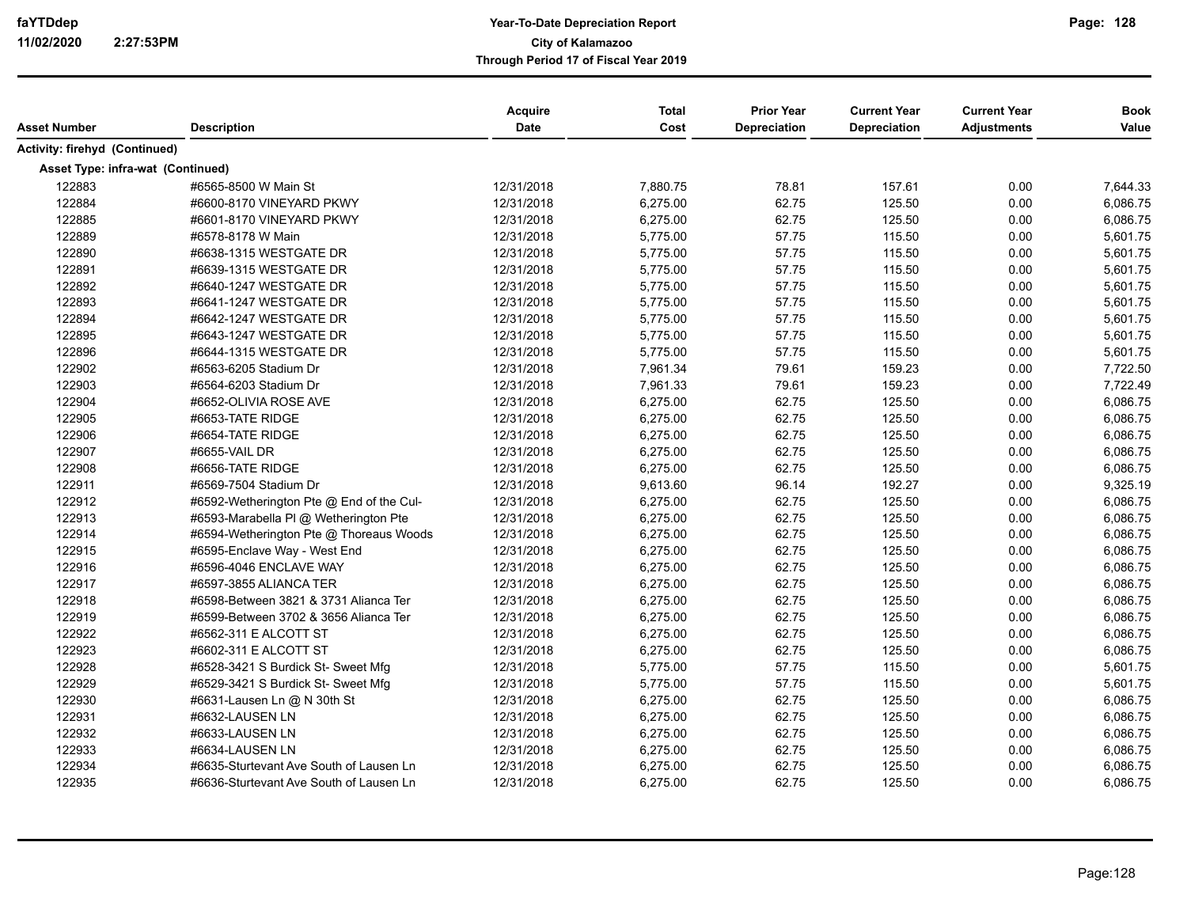|                                   |                                          | Acquire     | <b>Total</b> | <b>Prior Year</b> | <b>Current Year</b> | <b>Current Year</b> | <b>Book</b> |
|-----------------------------------|------------------------------------------|-------------|--------------|-------------------|---------------------|---------------------|-------------|
| <b>Asset Number</b>               | <b>Description</b>                       | <b>Date</b> | Cost         | Depreciation      | Depreciation        | <b>Adjustments</b>  | Value       |
| Activity: firehyd (Continued)     |                                          |             |              |                   |                     |                     |             |
| Asset Type: infra-wat (Continued) |                                          |             |              |                   |                     |                     |             |
| 122883                            | #6565-8500 W Main St                     | 12/31/2018  | 7,880.75     | 78.81             | 157.61              | 0.00                | 7,644.33    |
| 122884                            | #6600-8170 VINEYARD PKWY                 | 12/31/2018  | 6,275.00     | 62.75             | 125.50              | 0.00                | 6,086.75    |
| 122885                            | #6601-8170 VINEYARD PKWY                 | 12/31/2018  | 6,275.00     | 62.75             | 125.50              | 0.00                | 6,086.75    |
| 122889                            | #6578-8178 W Main                        | 12/31/2018  | 5,775.00     | 57.75             | 115.50              | 0.00                | 5,601.75    |
| 122890                            | #6638-1315 WESTGATE DR                   | 12/31/2018  | 5,775.00     | 57.75             | 115.50              | 0.00                | 5,601.75    |
| 122891                            | #6639-1315 WESTGATE DR                   | 12/31/2018  | 5,775.00     | 57.75             | 115.50              | 0.00                | 5,601.75    |
| 122892                            | #6640-1247 WESTGATE DR                   | 12/31/2018  | 5,775.00     | 57.75             | 115.50              | 0.00                | 5,601.75    |
| 122893                            | #6641-1247 WESTGATE DR                   | 12/31/2018  | 5,775.00     | 57.75             | 115.50              | 0.00                | 5,601.75    |
| 122894                            | #6642-1247 WESTGATE DR                   | 12/31/2018  | 5,775.00     | 57.75             | 115.50              | 0.00                | 5,601.75    |
| 122895                            | #6643-1247 WESTGATE DR                   | 12/31/2018  | 5,775.00     | 57.75             | 115.50              | 0.00                | 5,601.75    |
| 122896                            | #6644-1315 WESTGATE DR                   | 12/31/2018  | 5,775.00     | 57.75             | 115.50              | 0.00                | 5,601.75    |
| 122902                            | #6563-6205 Stadium Dr                    | 12/31/2018  | 7,961.34     | 79.61             | 159.23              | 0.00                | 7,722.50    |
| 122903                            | #6564-6203 Stadium Dr                    | 12/31/2018  | 7,961.33     | 79.61             | 159.23              | 0.00                | 7,722.49    |
| 122904                            | #6652-OLIVIA ROSE AVE                    | 12/31/2018  | 6,275.00     | 62.75             | 125.50              | 0.00                | 6,086.75    |
| 122905                            | #6653-TATE RIDGE                         | 12/31/2018  | 6,275.00     | 62.75             | 125.50              | 0.00                | 6,086.75    |
| 122906                            | #6654-TATE RIDGE                         | 12/31/2018  | 6,275.00     | 62.75             | 125.50              | 0.00                | 6,086.75    |
| 122907                            | #6655-VAIL DR                            | 12/31/2018  | 6,275.00     | 62.75             | 125.50              | 0.00                | 6,086.75    |
| 122908                            | #6656-TATE RIDGE                         | 12/31/2018  | 6,275.00     | 62.75             | 125.50              | 0.00                | 6,086.75    |
| 122911                            | #6569-7504 Stadium Dr                    | 12/31/2018  | 9,613.60     | 96.14             | 192.27              | 0.00                | 9,325.19    |
| 122912                            | #6592-Wetherington Pte @ End of the Cul- | 12/31/2018  | 6,275.00     | 62.75             | 125.50              | 0.00                | 6,086.75    |
| 122913                            | #6593-Marabella PI @ Wetherington Pte    | 12/31/2018  | 6,275.00     | 62.75             | 125.50              | 0.00                | 6,086.75    |
| 122914                            | #6594-Wetherington Pte @ Thoreaus Woods  | 12/31/2018  | 6,275.00     | 62.75             | 125.50              | 0.00                | 6,086.75    |
| 122915                            | #6595-Enclave Way - West End             | 12/31/2018  | 6,275.00     | 62.75             | 125.50              | 0.00                | 6,086.75    |
| 122916                            | #6596-4046 ENCLAVE WAY                   | 12/31/2018  | 6,275.00     | 62.75             | 125.50              | 0.00                | 6,086.75    |
| 122917                            | #6597-3855 ALIANCA TER                   | 12/31/2018  | 6,275.00     | 62.75             | 125.50              | 0.00                | 6,086.75    |
| 122918                            | #6598-Between 3821 & 3731 Alianca Ter    | 12/31/2018  | 6,275.00     | 62.75             | 125.50              | 0.00                | 6,086.75    |
| 122919                            | #6599-Between 3702 & 3656 Alianca Ter    | 12/31/2018  | 6,275.00     | 62.75             | 125.50              | 0.00                | 6,086.75    |
| 122922                            | #6562-311 E ALCOTT ST                    | 12/31/2018  | 6,275.00     | 62.75             | 125.50              | 0.00                | 6,086.75    |
| 122923                            | #6602-311 E ALCOTT ST                    | 12/31/2018  | 6,275.00     | 62.75             | 125.50              | 0.00                | 6,086.75    |
| 122928                            | #6528-3421 S Burdick St- Sweet Mfg       | 12/31/2018  | 5,775.00     | 57.75             | 115.50              | 0.00                | 5,601.75    |
| 122929                            | #6529-3421 S Burdick St- Sweet Mfg       | 12/31/2018  | 5,775.00     | 57.75             | 115.50              | 0.00                | 5,601.75    |
| 122930                            | #6631-Lausen Ln @ N 30th St              | 12/31/2018  | 6,275.00     | 62.75             | 125.50              | 0.00                | 6,086.75    |
| 122931                            | #6632-LAUSEN LN                          | 12/31/2018  | 6,275.00     | 62.75             | 125.50              | 0.00                | 6,086.75    |
| 122932                            | #6633-LAUSEN LN                          | 12/31/2018  | 6,275.00     | 62.75             | 125.50              | 0.00                | 6,086.75    |
| 122933                            | #6634-LAUSEN LN                          | 12/31/2018  | 6,275.00     | 62.75             | 125.50              | 0.00                | 6,086.75    |
| 122934                            | #6635-Sturtevant Ave South of Lausen Ln  | 12/31/2018  | 6,275.00     | 62.75             | 125.50              | 0.00                | 6,086.75    |
| 122935                            | #6636-Sturtevant Ave South of Lausen Ln  | 12/31/2018  | 6,275.00     | 62.75             | 125.50              | 0.00                | 6,086.75    |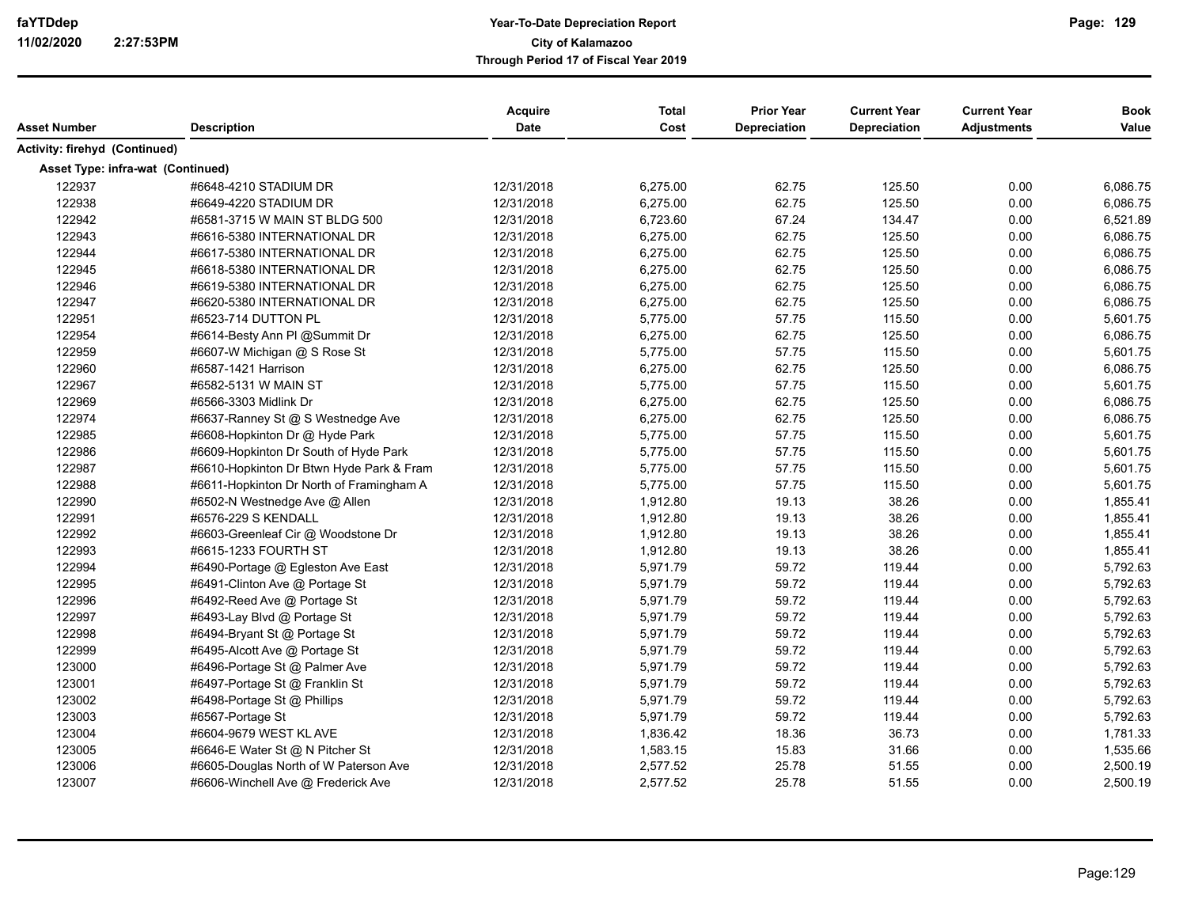| <b>Asset Number</b>               | <b>Description</b>                       | Acquire<br>Date | <b>Total</b><br>Cost | <b>Prior Year</b><br>Depreciation | <b>Current Year</b><br>Depreciation | <b>Current Year</b><br><b>Adjustments</b> | <b>Book</b><br>Value |
|-----------------------------------|------------------------------------------|-----------------|----------------------|-----------------------------------|-------------------------------------|-------------------------------------------|----------------------|
|                                   |                                          |                 |                      |                                   |                                     |                                           |                      |
| Activity: firehyd (Continued)     |                                          |                 |                      |                                   |                                     |                                           |                      |
| Asset Type: infra-wat (Continued) |                                          |                 |                      |                                   |                                     |                                           |                      |
| 122937                            | #6648-4210 STADIUM DR                    | 12/31/2018      | 6,275.00             | 62.75                             | 125.50                              | 0.00                                      | 6,086.75             |
| 122938                            | #6649-4220 STADIUM DR                    | 12/31/2018      | 6,275.00             | 62.75                             | 125.50                              | 0.00                                      | 6,086.75             |
| 122942                            | #6581-3715 W MAIN ST BLDG 500            | 12/31/2018      | 6,723.60             | 67.24                             | 134.47                              | 0.00                                      | 6,521.89             |
| 122943                            | #6616-5380 INTERNATIONAL DR              | 12/31/2018      | 6,275.00             | 62.75                             | 125.50                              | 0.00                                      | 6,086.75             |
| 122944                            | #6617-5380 INTERNATIONAL DR              | 12/31/2018      | 6,275.00             | 62.75                             | 125.50                              | 0.00                                      | 6,086.75             |
| 122945                            | #6618-5380 INTERNATIONAL DR              | 12/31/2018      | 6,275.00             | 62.75                             | 125.50                              | 0.00                                      | 6,086.75             |
| 122946                            | #6619-5380 INTERNATIONAL DR              | 12/31/2018      | 6,275.00             | 62.75                             | 125.50                              | 0.00                                      | 6,086.75             |
| 122947                            | #6620-5380 INTERNATIONAL DR              | 12/31/2018      | 6,275.00             | 62.75                             | 125.50                              | 0.00                                      | 6,086.75             |
| 122951                            | #6523-714 DUTTON PL                      | 12/31/2018      | 5,775.00             | 57.75                             | 115.50                              | 0.00                                      | 5,601.75             |
| 122954                            | #6614-Besty Ann Pl @Summit Dr            | 12/31/2018      | 6,275.00             | 62.75                             | 125.50                              | 0.00                                      | 6,086.75             |
| 122959                            | #6607-W Michigan @ S Rose St             | 12/31/2018      | 5,775.00             | 57.75                             | 115.50                              | 0.00                                      | 5,601.75             |
| 122960                            | #6587-1421 Harrison                      | 12/31/2018      | 6,275.00             | 62.75                             | 125.50                              | 0.00                                      | 6,086.75             |
| 122967                            | #6582-5131 W MAIN ST                     | 12/31/2018      | 5,775.00             | 57.75                             | 115.50                              | 0.00                                      | 5,601.75             |
| 122969                            | #6566-3303 Midlink Dr                    | 12/31/2018      | 6,275.00             | 62.75                             | 125.50                              | 0.00                                      | 6,086.75             |
| 122974                            | #6637-Ranney St @ S Westnedge Ave        | 12/31/2018      | 6,275.00             | 62.75                             | 125.50                              | 0.00                                      | 6,086.75             |
| 122985                            | #6608-Hopkinton Dr @ Hyde Park           | 12/31/2018      | 5,775.00             | 57.75                             | 115.50                              | 0.00                                      | 5,601.75             |
| 122986                            | #6609-Hopkinton Dr South of Hyde Park    | 12/31/2018      | 5,775.00             | 57.75                             | 115.50                              | 0.00                                      | 5,601.75             |
| 122987                            | #6610-Hopkinton Dr Btwn Hyde Park & Fram | 12/31/2018      | 5,775.00             | 57.75                             | 115.50                              | 0.00                                      | 5,601.75             |
| 122988                            | #6611-Hopkinton Dr North of Framingham A | 12/31/2018      | 5,775.00             | 57.75                             | 115.50                              | 0.00                                      | 5,601.75             |
| 122990                            | #6502-N Westnedge Ave @ Allen            | 12/31/2018      | 1,912.80             | 19.13                             | 38.26                               | 0.00                                      | 1,855.41             |
| 122991                            | #6576-229 S KENDALL                      | 12/31/2018      | 1,912.80             | 19.13                             | 38.26                               | 0.00                                      | 1,855.41             |
| 122992                            | #6603-Greenleaf Cir @ Woodstone Dr       | 12/31/2018      | 1,912.80             | 19.13                             | 38.26                               | 0.00                                      | 1,855.41             |
| 122993                            | #6615-1233 FOURTH ST                     | 12/31/2018      | 1,912.80             | 19.13                             | 38.26                               | 0.00                                      | 1,855.41             |
| 122994                            | #6490-Portage @ Egleston Ave East        | 12/31/2018      | 5,971.79             | 59.72                             | 119.44                              | 0.00                                      | 5,792.63             |
| 122995                            | #6491-Clinton Ave @ Portage St           | 12/31/2018      | 5,971.79             | 59.72                             | 119.44                              | 0.00                                      | 5,792.63             |
| 122996                            | #6492-Reed Ave @ Portage St              | 12/31/2018      | 5,971.79             | 59.72                             | 119.44                              | 0.00                                      | 5,792.63             |
| 122997                            | #6493-Lay Blvd @ Portage St              | 12/31/2018      | 5,971.79             | 59.72                             | 119.44                              | 0.00                                      | 5,792.63             |
| 122998                            | #6494-Bryant St @ Portage St             | 12/31/2018      | 5,971.79             | 59.72                             | 119.44                              | 0.00                                      | 5,792.63             |
| 122999                            | #6495-Alcott Ave @ Portage St            | 12/31/2018      | 5,971.79             | 59.72                             | 119.44                              | 0.00                                      | 5,792.63             |
| 123000                            | #6496-Portage St @ Palmer Ave            | 12/31/2018      | 5,971.79             | 59.72                             | 119.44                              | 0.00                                      | 5,792.63             |
| 123001                            | #6497-Portage St @ Franklin St           | 12/31/2018      | 5,971.79             | 59.72                             | 119.44                              | 0.00                                      | 5,792.63             |
| 123002                            | #6498-Portage St @ Phillips              | 12/31/2018      | 5,971.79             | 59.72                             | 119.44                              | 0.00                                      | 5,792.63             |
| 123003                            | #6567-Portage St                         | 12/31/2018      | 5,971.79             | 59.72                             | 119.44                              | 0.00                                      | 5,792.63             |
| 123004                            | #6604-9679 WEST KL AVE                   | 12/31/2018      | 1,836.42             | 18.36                             | 36.73                               | 0.00                                      | 1,781.33             |
| 123005                            | #6646-E Water St @ N Pitcher St          | 12/31/2018      | 1,583.15             | 15.83                             | 31.66                               | 0.00                                      | 1,535.66             |
| 123006                            | #6605-Douglas North of W Paterson Ave    | 12/31/2018      | 2,577.52             | 25.78                             | 51.55                               | 0.00                                      | 2,500.19             |
| 123007                            | #6606-Winchell Ave @ Frederick Ave       | 12/31/2018      | 2,577.52             | 25.78                             | 51.55                               | 0.00                                      | 2,500.19             |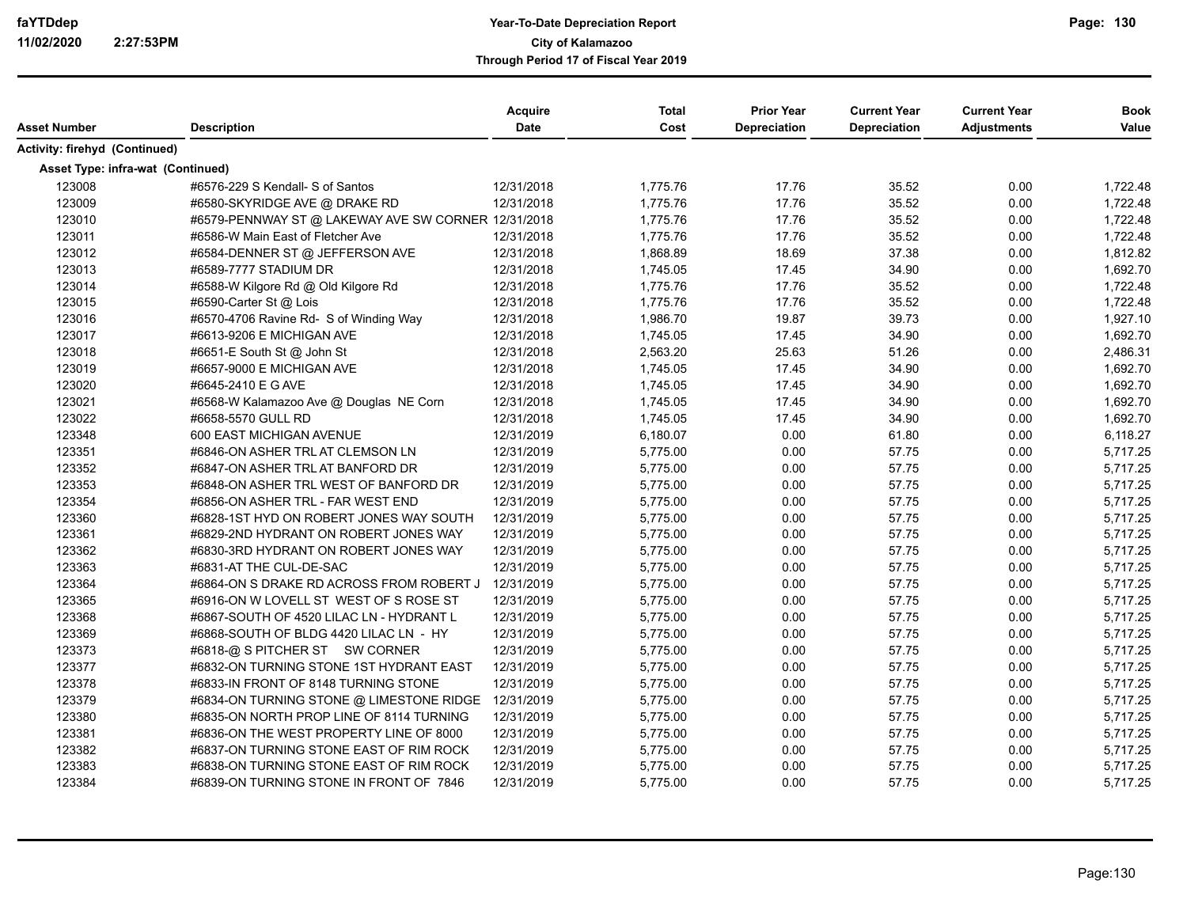| Asset Number                      | <b>Description</b>                                  | Acquire<br><b>Date</b> | <b>Total</b><br>Cost | <b>Prior Year</b><br><b>Depreciation</b> | <b>Current Year</b><br><b>Depreciation</b> | <b>Current Year</b><br><b>Adjustments</b> | <b>Book</b><br>Value |
|-----------------------------------|-----------------------------------------------------|------------------------|----------------------|------------------------------------------|--------------------------------------------|-------------------------------------------|----------------------|
| Activity: firehyd (Continued)     |                                                     |                        |                      |                                          |                                            |                                           |                      |
| Asset Type: infra-wat (Continued) |                                                     |                        |                      |                                          |                                            |                                           |                      |
| 123008                            | #6576-229 S Kendall- S of Santos                    | 12/31/2018             | 1,775.76             | 17.76                                    | 35.52                                      | 0.00                                      | 1,722.48             |
| 123009                            | #6580-SKYRIDGE AVE @ DRAKE RD                       | 12/31/2018             | 1,775.76             | 17.76                                    | 35.52                                      | 0.00                                      | 1,722.48             |
| 123010                            | #6579-PENNWAY ST @ LAKEWAY AVE SW CORNER 12/31/2018 |                        | 1,775.76             | 17.76                                    | 35.52                                      | 0.00                                      | 1,722.48             |
| 123011                            | #6586-W Main East of Fletcher Ave                   | 12/31/2018             | 1,775.76             | 17.76                                    | 35.52                                      | 0.00                                      | 1,722.48             |
| 123012                            | #6584-DENNER ST @ JEFFERSON AVE                     | 12/31/2018             | 1,868.89             | 18.69                                    | 37.38                                      | 0.00                                      | 1,812.82             |
| 123013                            | #6589-7777 STADIUM DR                               | 12/31/2018             | 1,745.05             | 17.45                                    | 34.90                                      | 0.00                                      | 1,692.70             |
| 123014                            | #6588-W Kilgore Rd @ Old Kilgore Rd                 | 12/31/2018             | 1,775.76             | 17.76                                    | 35.52                                      | 0.00                                      | 1,722.48             |
| 123015                            | #6590-Carter St @ Lois                              | 12/31/2018             | 1,775.76             | 17.76                                    | 35.52                                      | 0.00                                      | 1,722.48             |
| 123016                            | #6570-4706 Ravine Rd- S of Winding Way              | 12/31/2018             | 1,986.70             | 19.87                                    | 39.73                                      | 0.00                                      | 1,927.10             |
| 123017                            | #6613-9206 E MICHIGAN AVE                           | 12/31/2018             | 1,745.05             | 17.45                                    | 34.90                                      | 0.00                                      | 1,692.70             |
| 123018                            | #6651-E South St @ John St                          | 12/31/2018             | 2,563.20             | 25.63                                    | 51.26                                      | 0.00                                      | 2,486.31             |
| 123019                            | #6657-9000 E MICHIGAN AVE                           | 12/31/2018             | 1,745.05             | 17.45                                    | 34.90                                      | 0.00                                      | 1,692.70             |
| 123020                            | #6645-2410 E G AVE                                  | 12/31/2018             | 1,745.05             | 17.45                                    | 34.90                                      | 0.00                                      | 1,692.70             |
| 123021                            | #6568-W Kalamazoo Ave @ Douglas NE Corn             | 12/31/2018             | 1,745.05             | 17.45                                    | 34.90                                      | 0.00                                      | 1,692.70             |
| 123022                            | #6658-5570 GULL RD                                  | 12/31/2018             | 1,745.05             | 17.45                                    | 34.90                                      | 0.00                                      | 1,692.70             |
| 123348                            | 600 EAST MICHIGAN AVENUE                            | 12/31/2019             | 6,180.07             | 0.00                                     | 61.80                                      | 0.00                                      | 6,118.27             |
| 123351                            | #6846-ON ASHER TRL AT CLEMSON LN                    | 12/31/2019             | 5,775.00             | 0.00                                     | 57.75                                      | 0.00                                      | 5,717.25             |
| 123352                            | #6847-ON ASHER TRL AT BANFORD DR                    | 12/31/2019             | 5,775.00             | 0.00                                     | 57.75                                      | 0.00                                      | 5,717.25             |
| 123353                            | #6848-ON ASHER TRL WEST OF BANFORD DR               | 12/31/2019             | 5,775.00             | 0.00                                     | 57.75                                      | 0.00                                      | 5,717.25             |
| 123354                            | #6856-ON ASHER TRL - FAR WEST END                   | 12/31/2019             | 5,775.00             | 0.00                                     | 57.75                                      | 0.00                                      | 5,717.25             |
| 123360                            | #6828-1ST HYD ON ROBERT JONES WAY SOUTH             | 12/31/2019             | 5,775.00             | 0.00                                     | 57.75                                      | 0.00                                      | 5,717.25             |
| 123361                            | #6829-2ND HYDRANT ON ROBERT JONES WAY               | 12/31/2019             | 5,775.00             | 0.00                                     | 57.75                                      | 0.00                                      | 5,717.25             |
| 123362                            | #6830-3RD HYDRANT ON ROBERT JONES WAY               | 12/31/2019             | 5,775.00             | 0.00                                     | 57.75                                      | 0.00                                      | 5,717.25             |
| 123363                            | #6831-AT THE CUL-DE-SAC                             | 12/31/2019             | 5,775.00             | 0.00                                     | 57.75                                      | 0.00                                      | 5,717.25             |
| 123364                            | #6864-ON S DRAKE RD ACROSS FROM ROBERT J            | 12/31/2019             | 5,775.00             | 0.00                                     | 57.75                                      | 0.00                                      | 5,717.25             |
| 123365                            | #6916-ON W LOVELL ST WEST OF S ROSE ST              | 12/31/2019             | 5,775.00             | 0.00                                     | 57.75                                      | 0.00                                      | 5,717.25             |
| 123368                            | #6867-SOUTH OF 4520 LILAC LN - HYDRANT L            | 12/31/2019             | 5,775.00             | 0.00                                     | 57.75                                      | 0.00                                      | 5,717.25             |
| 123369                            | #6868-SOUTH OF BLDG 4420 LILAC LN - HY              | 12/31/2019             | 5,775.00             | 0.00                                     | 57.75                                      | 0.00                                      | 5,717.25             |
| 123373                            | #6818-@ S PITCHER ST SW CORNER                      | 12/31/2019             | 5,775.00             | 0.00                                     | 57.75                                      | 0.00                                      | 5,717.25             |
| 123377                            | #6832-ON TURNING STONE 1ST HYDRANT EAST             | 12/31/2019             | 5,775.00             | 0.00                                     | 57.75                                      | 0.00                                      | 5,717.25             |
| 123378                            | #6833-IN FRONT OF 8148 TURNING STONE                | 12/31/2019             | 5,775.00             | 0.00                                     | 57.75                                      | 0.00                                      | 5,717.25             |
| 123379                            | #6834-ON TURNING STONE @ LIMESTONE RIDGE            | 12/31/2019             | 5,775.00             | 0.00                                     | 57.75                                      | 0.00                                      | 5,717.25             |
| 123380                            | #6835-ON NORTH PROP LINE OF 8114 TURNING            | 12/31/2019             | 5,775.00             | 0.00                                     | 57.75                                      | 0.00                                      | 5,717.25             |
| 123381                            | #6836-ON THE WEST PROPERTY LINE OF 8000             | 12/31/2019             | 5,775.00             | 0.00                                     | 57.75                                      | 0.00                                      | 5,717.25             |
| 123382                            | #6837-ON TURNING STONE EAST OF RIM ROCK             | 12/31/2019             | 5,775.00             | 0.00                                     | 57.75                                      | 0.00                                      | 5,717.25             |
| 123383                            | #6838-ON TURNING STONE EAST OF RIM ROCK             | 12/31/2019             | 5,775.00             | 0.00                                     | 57.75                                      | 0.00                                      | 5,717.25             |
| 123384                            | #6839-ON TURNING STONE IN FRONT OF 7846             | 12/31/2019             | 5,775.00             | 0.00                                     | 57.75                                      | 0.00                                      | 5,717.25             |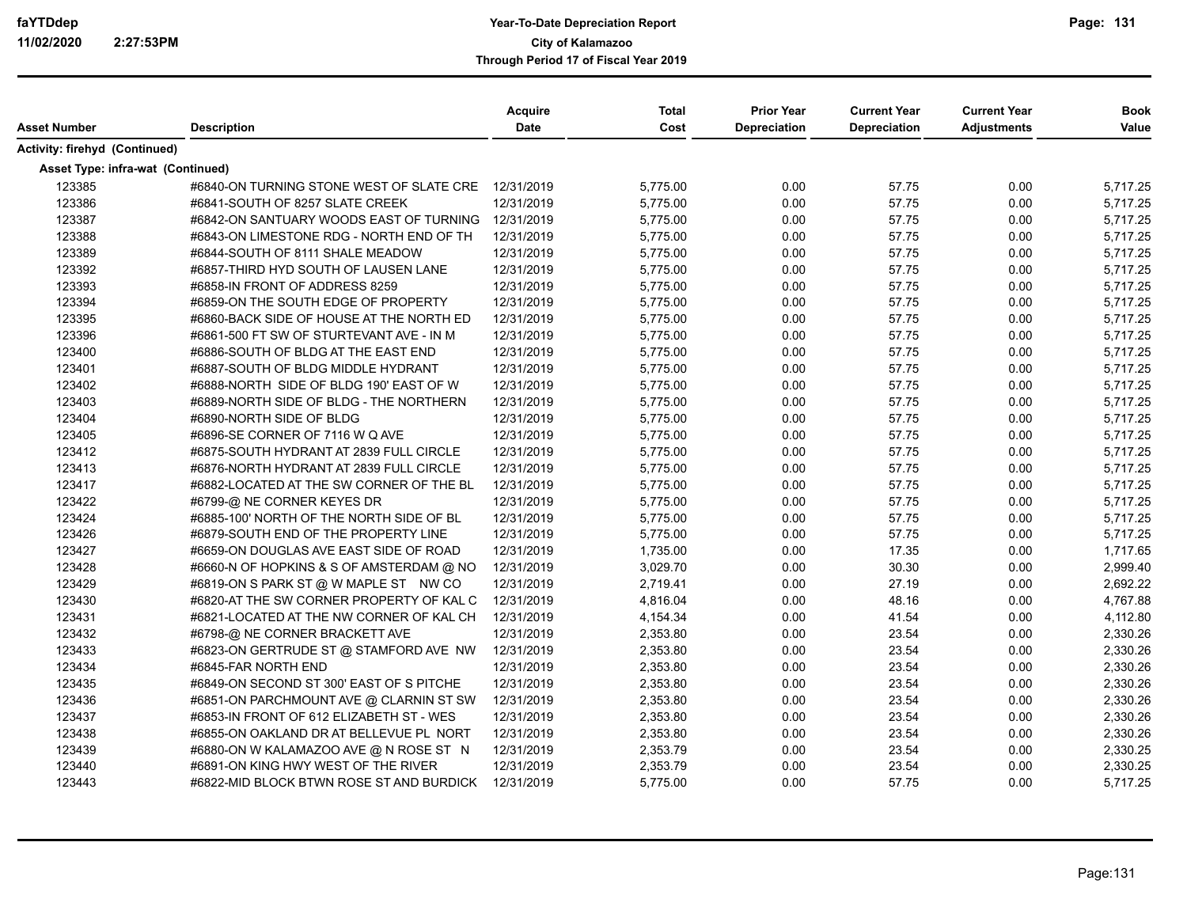| Asset Number                      | <b>Description</b>                                  | Acquire<br>Date | <b>Total</b><br>Cost | <b>Prior Year</b><br>Depreciation | <b>Current Year</b><br>Depreciation | <b>Current Year</b><br><b>Adjustments</b> | <b>Book</b><br>Value |
|-----------------------------------|-----------------------------------------------------|-----------------|----------------------|-----------------------------------|-------------------------------------|-------------------------------------------|----------------------|
| Activity: firehyd (Continued)     |                                                     |                 |                      |                                   |                                     |                                           |                      |
| Asset Type: infra-wat (Continued) |                                                     |                 |                      |                                   |                                     |                                           |                      |
| 123385                            | #6840-ON TURNING STONE WEST OF SLATE CRE 12/31/2019 |                 | 5,775.00             | 0.00                              | 57.75                               | 0.00                                      | 5,717.25             |
| 123386                            | #6841-SOUTH OF 8257 SLATE CREEK                     | 12/31/2019      | 5,775.00             | 0.00                              | 57.75                               | 0.00                                      | 5,717.25             |
| 123387                            | #6842-ON SANTUARY WOODS EAST OF TURNING             | 12/31/2019      | 5,775.00             | 0.00                              | 57.75                               | 0.00                                      | 5,717.25             |
| 123388                            | #6843-ON LIMESTONE RDG - NORTH END OF TH            | 12/31/2019      | 5,775.00             | 0.00                              | 57.75                               | 0.00                                      | 5,717.25             |
| 123389                            | #6844-SOUTH OF 8111 SHALE MEADOW                    | 12/31/2019      | 5,775.00             | 0.00                              | 57.75                               | 0.00                                      | 5,717.25             |
| 123392                            | #6857-THIRD HYD SOUTH OF LAUSEN LANE                | 12/31/2019      | 5,775.00             | 0.00                              | 57.75                               | 0.00                                      | 5,717.25             |
| 123393                            | #6858-IN FRONT OF ADDRESS 8259                      | 12/31/2019      | 5,775.00             | 0.00                              | 57.75                               | 0.00                                      | 5,717.25             |
| 123394                            | #6859-ON THE SOUTH EDGE OF PROPERTY                 | 12/31/2019      | 5,775.00             | 0.00                              | 57.75                               | 0.00                                      | 5,717.25             |
| 123395                            | #6860-BACK SIDE OF HOUSE AT THE NORTH ED            | 12/31/2019      | 5,775.00             | 0.00                              | 57.75                               | 0.00                                      | 5,717.25             |
| 123396                            | #6861-500 FT SW OF STURTEVANT AVE - IN M            | 12/31/2019      | 5,775.00             | 0.00                              | 57.75                               | 0.00                                      | 5,717.25             |
| 123400                            | #6886-SOUTH OF BLDG AT THE EAST END                 | 12/31/2019      | 5,775.00             | 0.00                              | 57.75                               | 0.00                                      | 5,717.25             |
| 123401                            | #6887-SOUTH OF BLDG MIDDLE HYDRANT                  | 12/31/2019      | 5,775.00             | 0.00                              | 57.75                               | 0.00                                      | 5,717.25             |
| 123402                            | #6888-NORTH SIDE OF BLDG 190' EAST OF W             | 12/31/2019      | 5,775.00             | 0.00                              | 57.75                               | 0.00                                      | 5,717.25             |
| 123403                            | #6889-NORTH SIDE OF BLDG - THE NORTHERN             | 12/31/2019      | 5,775.00             | 0.00                              | 57.75                               | 0.00                                      | 5,717.25             |
| 123404                            | #6890-NORTH SIDE OF BLDG                            | 12/31/2019      | 5,775.00             | 0.00                              | 57.75                               | 0.00                                      | 5,717.25             |
| 123405                            | #6896-SE CORNER OF 7116 W Q AVE                     | 12/31/2019      | 5,775.00             | 0.00                              | 57.75                               | 0.00                                      | 5,717.25             |
| 123412                            | #6875-SOUTH HYDRANT AT 2839 FULL CIRCLE             | 12/31/2019      | 5,775.00             | 0.00                              | 57.75                               | 0.00                                      | 5,717.25             |
| 123413                            | #6876-NORTH HYDRANT AT 2839 FULL CIRCLE             | 12/31/2019      | 5,775.00             | 0.00                              | 57.75                               | 0.00                                      | 5,717.25             |
| 123417                            | #6882-LOCATED AT THE SW CORNER OF THE BL            | 12/31/2019      | 5,775.00             | 0.00                              | 57.75                               | 0.00                                      | 5,717.25             |
| 123422                            | #6799-@ NE CORNER KEYES DR                          | 12/31/2019      | 5,775.00             | 0.00                              | 57.75                               | 0.00                                      | 5,717.25             |
| 123424                            | #6885-100' NORTH OF THE NORTH SIDE OF BL            | 12/31/2019      | 5,775.00             | 0.00                              | 57.75                               | 0.00                                      | 5,717.25             |
| 123426                            | #6879-SOUTH END OF THE PROPERTY LINE                | 12/31/2019      | 5,775.00             | 0.00                              | 57.75                               | 0.00                                      | 5,717.25             |
| 123427                            | #6659-ON DOUGLAS AVE EAST SIDE OF ROAD              | 12/31/2019      | 1,735.00             | 0.00                              | 17.35                               | 0.00                                      | 1,717.65             |
| 123428                            | #6660-N OF HOPKINS & S OF AMSTERDAM @ NO            | 12/31/2019      | 3,029.70             | 0.00                              | 30.30                               | 0.00                                      | 2,999.40             |
| 123429                            | #6819-ON S PARK ST @ W MAPLE ST NW CO               | 12/31/2019      | 2,719.41             | 0.00                              | 27.19                               | 0.00                                      | 2,692.22             |
| 123430                            | #6820-AT THE SW CORNER PROPERTY OF KAL C            | 12/31/2019      | 4,816.04             | 0.00                              | 48.16                               | 0.00                                      | 4,767.88             |
| 123431                            | #6821-LOCATED AT THE NW CORNER OF KAL CH            | 12/31/2019      | 4,154.34             | 0.00                              | 41.54                               | 0.00                                      | 4,112.80             |
| 123432                            | #6798-@ NE CORNER BRACKETT AVE                      | 12/31/2019      | 2,353.80             | 0.00                              | 23.54                               | 0.00                                      | 2,330.26             |
| 123433                            | #6823-ON GERTRUDE ST @ STAMFORD AVE NW              | 12/31/2019      | 2,353.80             | 0.00                              | 23.54                               | 0.00                                      | 2,330.26             |
| 123434                            | #6845-FAR NORTH END                                 | 12/31/2019      | 2,353.80             | 0.00                              | 23.54                               | 0.00                                      | 2,330.26             |
| 123435                            | #6849-ON SECOND ST 300' EAST OF S PITCHE            | 12/31/2019      | 2,353.80             | 0.00                              | 23.54                               | 0.00                                      | 2,330.26             |
| 123436                            | #6851-ON PARCHMOUNT AVE @ CLARNIN ST SW             | 12/31/2019      | 2,353.80             | 0.00                              | 23.54                               | 0.00                                      | 2,330.26             |
| 123437                            | #6853-IN FRONT OF 612 ELIZABETH ST - WES            | 12/31/2019      | 2,353.80             | 0.00                              | 23.54                               | 0.00                                      | 2,330.26             |
| 123438                            | #6855-ON OAKLAND DR AT BELLEVUE PL NORT             | 12/31/2019      | 2,353.80             | 0.00                              | 23.54                               | 0.00                                      | 2,330.26             |
| 123439                            | #6880-ON W KALAMAZOO AVE @ N ROSE ST N              | 12/31/2019      | 2,353.79             | 0.00                              | 23.54                               | 0.00                                      | 2,330.25             |
| 123440                            | #6891-ON KING HWY WEST OF THE RIVER                 | 12/31/2019      | 2,353.79             | 0.00                              | 23.54                               | 0.00                                      | 2,330.25             |
| 123443                            |                                                     |                 | 5,775.00             | 0.00                              | 57.75                               | 0.00                                      |                      |
|                                   | #6822-MID BLOCK BTWN ROSE ST AND BURDICK            | 12/31/2019      |                      |                                   |                                     |                                           | 5,717.25             |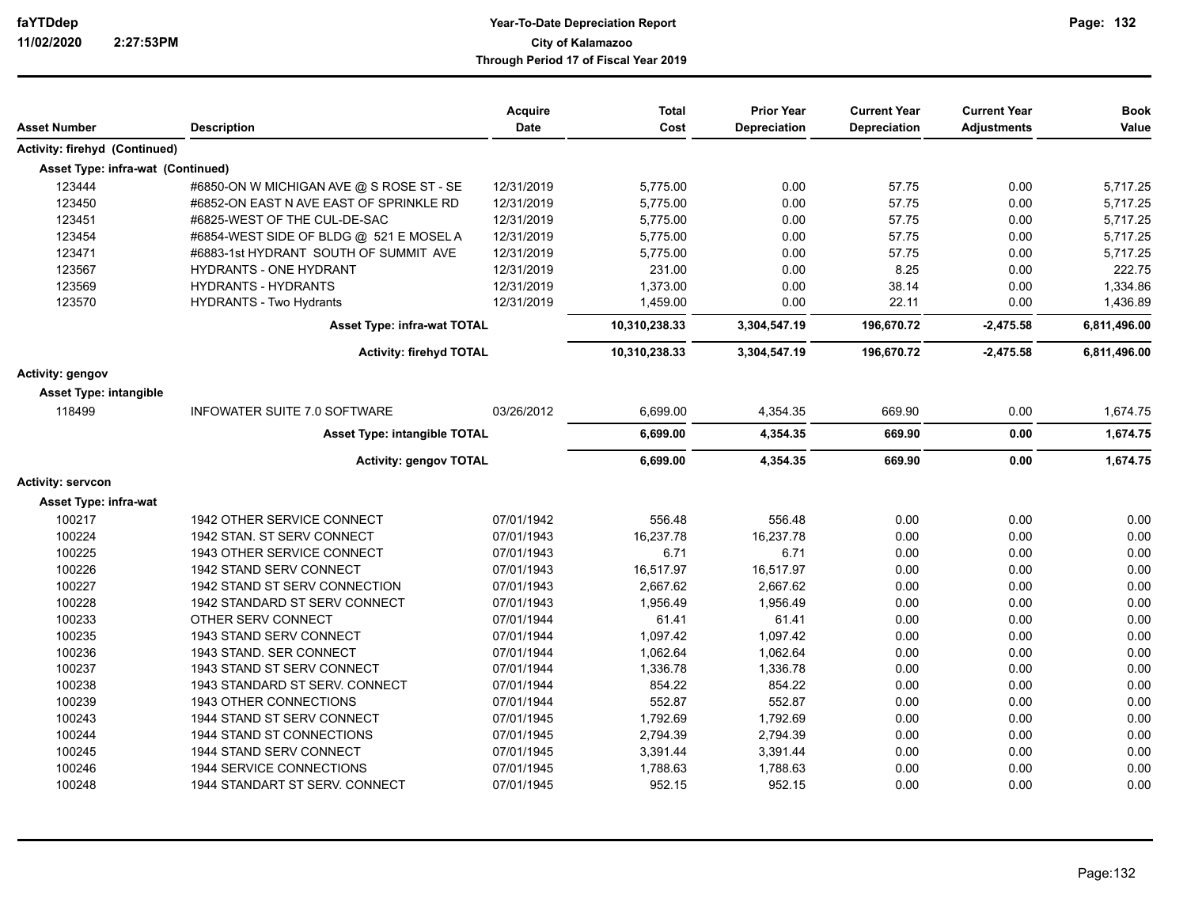| Asset Number                      | <b>Description</b>                       | <b>Acquire</b><br>Date | <b>Total</b><br>Cost | <b>Prior Year</b><br>Depreciation | <b>Current Year</b><br><b>Depreciation</b> | <b>Current Year</b><br><b>Adjustments</b> | <b>Book</b><br>Value |
|-----------------------------------|------------------------------------------|------------------------|----------------------|-----------------------------------|--------------------------------------------|-------------------------------------------|----------------------|
| Activity: firehyd (Continued)     |                                          |                        |                      |                                   |                                            |                                           |                      |
| Asset Type: infra-wat (Continued) |                                          |                        |                      |                                   |                                            |                                           |                      |
| 123444                            | #6850-ON W MICHIGAN AVE @ S ROSE ST - SE | 12/31/2019             | 5,775.00             | 0.00                              | 57.75                                      | 0.00                                      | 5,717.25             |
| 123450                            | #6852-ON EAST N AVE EAST OF SPRINKLE RD  | 12/31/2019             | 5.775.00             | 0.00                              | 57.75                                      | 0.00                                      | 5,717.25             |
| 123451                            | #6825-WEST OF THE CUL-DE-SAC             | 12/31/2019             | 5,775.00             | 0.00                              | 57.75                                      | 0.00                                      | 5,717.25             |
| 123454                            | #6854-WEST SIDE OF BLDG @ 521 E MOSEL A  | 12/31/2019             | 5,775.00             | 0.00                              | 57.75                                      | 0.00                                      | 5,717.25             |
| 123471                            | #6883-1st HYDRANT SOUTH OF SUMMIT AVE    | 12/31/2019             | 5,775.00             | 0.00                              | 57.75                                      | 0.00                                      | 5,717.25             |
| 123567                            | <b>HYDRANTS - ONE HYDRANT</b>            | 12/31/2019             | 231.00               | 0.00                              | 8.25                                       | 0.00                                      | 222.75               |
| 123569                            | <b>HYDRANTS - HYDRANTS</b>               | 12/31/2019             | 1,373.00             | 0.00                              | 38.14                                      | 0.00                                      | 1,334.86             |
| 123570                            | <b>HYDRANTS - Two Hydrants</b>           | 12/31/2019             | 1,459.00             | 0.00                              | 22.11                                      | 0.00                                      | 1,436.89             |
|                                   | <b>Asset Type: infra-wat TOTAL</b>       |                        | 10,310,238.33        | 3,304,547.19                      | 196,670.72                                 | $-2,475.58$                               | 6,811,496.00         |
|                                   | <b>Activity: firehyd TOTAL</b>           |                        | 10,310,238.33        | 3,304,547.19                      | 196,670.72                                 | $-2,475.58$                               | 6,811,496.00         |
| Activity: gengov                  |                                          |                        |                      |                                   |                                            |                                           |                      |
| <b>Asset Type: intangible</b>     |                                          |                        |                      |                                   |                                            |                                           |                      |
| 118499                            | INFOWATER SUITE 7.0 SOFTWARE             | 03/26/2012             | 6,699.00             | 4,354.35                          | 669.90                                     | 0.00                                      | 1,674.75             |
|                                   | Asset Type: intangible TOTAL             |                        | 6,699.00             | 4,354.35                          | 669.90                                     | 0.00                                      | 1,674.75             |
|                                   | <b>Activity: gengov TOTAL</b>            |                        | 6,699.00             | 4,354.35                          | 669.90                                     | 0.00                                      | 1,674.75             |
| <b>Activity: servcon</b>          |                                          |                        |                      |                                   |                                            |                                           |                      |
| <b>Asset Type: infra-wat</b>      |                                          |                        |                      |                                   |                                            |                                           |                      |
| 100217                            | 1942 OTHER SERVICE CONNECT               | 07/01/1942             | 556.48               | 556.48                            | 0.00                                       | 0.00                                      | 0.00                 |
| 100224                            | 1942 STAN. ST SERV CONNECT               | 07/01/1943             | 16,237.78            | 16,237.78                         | 0.00                                       | 0.00                                      | 0.00                 |
| 100225                            | 1943 OTHER SERVICE CONNECT               | 07/01/1943             | 6.71                 | 6.71                              | 0.00                                       | 0.00                                      | 0.00                 |
| 100226                            | 1942 STAND SERV CONNECT                  | 07/01/1943             | 16,517.97            | 16,517.97                         | 0.00                                       | 0.00                                      | 0.00                 |
| 100227                            | 1942 STAND ST SERV CONNECTION            | 07/01/1943             | 2,667.62             | 2,667.62                          | 0.00                                       | 0.00                                      | 0.00                 |
| 100228                            | 1942 STANDARD ST SERV CONNECT            | 07/01/1943             | 1,956.49             | 1,956.49                          | 0.00                                       | 0.00                                      | 0.00                 |
| 100233                            | OTHER SERV CONNECT                       | 07/01/1944             | 61.41                | 61.41                             | 0.00                                       | 0.00                                      | 0.00                 |
| 100235                            | 1943 STAND SERV CONNECT                  | 07/01/1944             | 1,097.42             | 1,097.42                          | 0.00                                       | 0.00                                      | 0.00                 |
| 100236                            | 1943 STAND. SER CONNECT                  | 07/01/1944             | 1.062.64             | 1.062.64                          | 0.00                                       | 0.00                                      | 0.00                 |
| 100237                            | 1943 STAND ST SERV CONNECT               | 07/01/1944             | 1,336.78             | 1,336.78                          | 0.00                                       | 0.00                                      | 0.00                 |
| 100238                            | 1943 STANDARD ST SERV. CONNECT           | 07/01/1944             | 854.22               | 854.22                            | 0.00                                       | 0.00                                      | 0.00                 |
| 100239                            | 1943 OTHER CONNECTIONS                   | 07/01/1944             | 552.87               | 552.87                            | 0.00                                       | 0.00                                      | 0.00                 |
| 100243                            | 1944 STAND ST SERV CONNECT               | 07/01/1945             | 1,792.69             | 1,792.69                          | 0.00                                       | 0.00                                      | 0.00                 |
| 100244                            | 1944 STAND ST CONNECTIONS                | 07/01/1945             | 2,794.39             | 2,794.39                          | 0.00                                       | 0.00                                      | 0.00                 |
| 100245                            | 1944 STAND SERV CONNECT                  | 07/01/1945             | 3,391.44             | 3,391.44                          | 0.00                                       | 0.00                                      | 0.00                 |
| 100246                            | 1944 SERVICE CONNECTIONS                 | 07/01/1945             | 1,788.63             | 1,788.63                          | 0.00                                       | 0.00                                      | 0.00                 |
| 100248                            | 1944 STANDART ST SERV. CONNECT           | 07/01/1945             | 952.15               | 952.15                            | 0.00                                       | 0.00                                      | 0.00                 |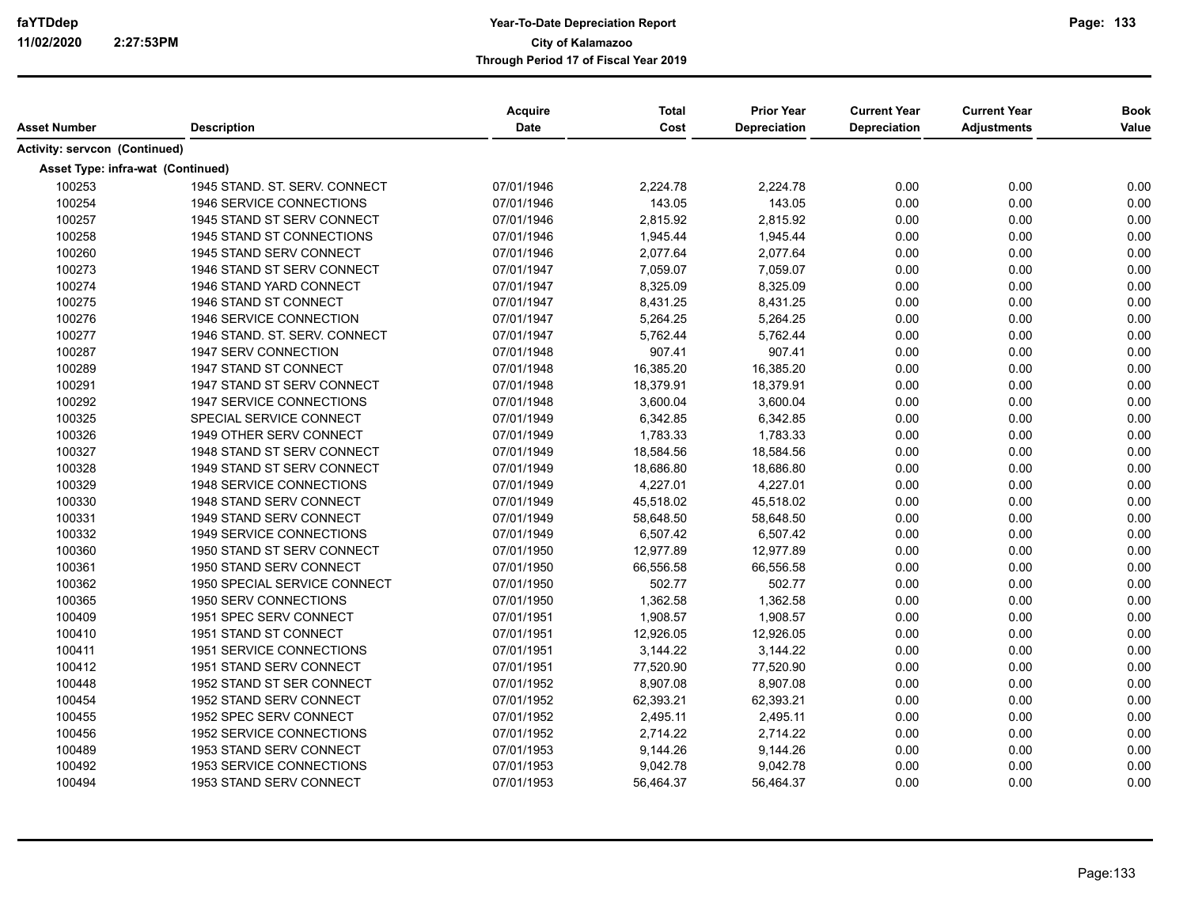|                                      |                                 | Acquire    | <b>Total</b> | <b>Prior Year</b>   | <b>Current Year</b> | <b>Current Year</b> | <b>Book</b> |
|--------------------------------------|---------------------------------|------------|--------------|---------------------|---------------------|---------------------|-------------|
| Asset Number                         | <b>Description</b>              | Date       | Cost         | <b>Depreciation</b> | Depreciation        | <b>Adjustments</b>  | Value       |
| <b>Activity: servcon (Continued)</b> |                                 |            |              |                     |                     |                     |             |
| Asset Type: infra-wat (Continued)    |                                 |            |              |                     |                     |                     |             |
| 100253                               | 1945 STAND, ST. SERV, CONNECT   | 07/01/1946 | 2,224.78     | 2,224.78            | 0.00                | 0.00                | 0.00        |
| 100254                               | 1946 SERVICE CONNECTIONS        | 07/01/1946 | 143.05       | 143.05              | 0.00                | 0.00                | 0.00        |
| 100257                               | 1945 STAND ST SERV CONNECT      | 07/01/1946 | 2,815.92     | 2,815.92            | 0.00                | 0.00                | 0.00        |
| 100258                               | 1945 STAND ST CONNECTIONS       | 07/01/1946 | 1,945.44     | 1,945.44            | 0.00                | 0.00                | 0.00        |
| 100260                               | 1945 STAND SERV CONNECT         | 07/01/1946 | 2,077.64     | 2,077.64            | 0.00                | 0.00                | 0.00        |
| 100273                               | 1946 STAND ST SERV CONNECT      | 07/01/1947 | 7,059.07     | 7,059.07            | 0.00                | 0.00                | 0.00        |
| 100274                               | 1946 STAND YARD CONNECT         | 07/01/1947 | 8,325.09     | 8,325.09            | 0.00                | 0.00                | 0.00        |
| 100275                               | 1946 STAND ST CONNECT           | 07/01/1947 | 8,431.25     | 8,431.25            | 0.00                | 0.00                | 0.00        |
| 100276                               | 1946 SERVICE CONNECTION         | 07/01/1947 | 5,264.25     | 5,264.25            | 0.00                | 0.00                | 0.00        |
| 100277                               | 1946 STAND. ST. SERV. CONNECT   | 07/01/1947 | 5,762.44     | 5,762.44            | 0.00                | 0.00                | 0.00        |
| 100287                               | 1947 SERV CONNECTION            | 07/01/1948 | 907.41       | 907.41              | 0.00                | 0.00                | 0.00        |
| 100289                               | 1947 STAND ST CONNECT           | 07/01/1948 | 16,385.20    | 16,385.20           | 0.00                | 0.00                | 0.00        |
| 100291                               | 1947 STAND ST SERV CONNECT      | 07/01/1948 | 18,379.91    | 18,379.91           | 0.00                | 0.00                | 0.00        |
| 100292                               | <b>1947 SERVICE CONNECTIONS</b> | 07/01/1948 | 3,600.04     | 3,600.04            | 0.00                | 0.00                | 0.00        |
| 100325                               | SPECIAL SERVICE CONNECT         | 07/01/1949 | 6,342.85     | 6,342.85            | 0.00                | 0.00                | 0.00        |
| 100326                               | 1949 OTHER SERV CONNECT         | 07/01/1949 | 1,783.33     | 1,783.33            | 0.00                | 0.00                | 0.00        |
| 100327                               | 1948 STAND ST SERV CONNECT      | 07/01/1949 | 18,584.56    | 18,584.56           | 0.00                | 0.00                | 0.00        |
| 100328                               | 1949 STAND ST SERV CONNECT      | 07/01/1949 | 18,686.80    | 18,686.80           | 0.00                | 0.00                | 0.00        |
| 100329                               | 1948 SERVICE CONNECTIONS        | 07/01/1949 | 4,227.01     | 4,227.01            | 0.00                | 0.00                | 0.00        |
| 100330                               | 1948 STAND SERV CONNECT         | 07/01/1949 | 45,518.02    | 45,518.02           | 0.00                | 0.00                | 0.00        |
| 100331                               | 1949 STAND SERV CONNECT         | 07/01/1949 | 58,648.50    | 58,648.50           | 0.00                | 0.00                | 0.00        |
| 100332                               | <b>1949 SERVICE CONNECTIONS</b> | 07/01/1949 | 6,507.42     | 6,507.42            | 0.00                | 0.00                | 0.00        |
| 100360                               | 1950 STAND ST SERV CONNECT      | 07/01/1950 | 12,977.89    | 12,977.89           | 0.00                | 0.00                | 0.00        |
| 100361                               | 1950 STAND SERV CONNECT         | 07/01/1950 | 66,556.58    | 66,556.58           | 0.00                | 0.00                | 0.00        |
| 100362                               | 1950 SPECIAL SERVICE CONNECT    | 07/01/1950 | 502.77       | 502.77              | 0.00                | 0.00                | 0.00        |
| 100365                               | 1950 SERV CONNECTIONS           | 07/01/1950 | 1,362.58     | 1,362.58            | 0.00                | 0.00                | 0.00        |
| 100409                               | 1951 SPEC SERV CONNECT          | 07/01/1951 | 1,908.57     | 1,908.57            | 0.00                | 0.00                | 0.00        |
| 100410                               | 1951 STAND ST CONNECT           | 07/01/1951 | 12,926.05    | 12,926.05           | 0.00                | 0.00                | 0.00        |
| 100411                               | 1951 SERVICE CONNECTIONS        | 07/01/1951 | 3,144.22     | 3,144.22            | 0.00                | 0.00                | 0.00        |
| 100412                               | 1951 STAND SERV CONNECT         | 07/01/1951 | 77,520.90    | 77,520.90           | 0.00                | 0.00                | 0.00        |
| 100448                               | 1952 STAND ST SER CONNECT       | 07/01/1952 | 8,907.08     | 8,907.08            | 0.00                | 0.00                | 0.00        |
| 100454                               | 1952 STAND SERV CONNECT         | 07/01/1952 | 62,393.21    | 62,393.21           | 0.00                | 0.00                | 0.00        |
| 100455                               | 1952 SPEC SERV CONNECT          | 07/01/1952 | 2,495.11     | 2,495.11            | 0.00                | 0.00                | 0.00        |
| 100456                               | 1952 SERVICE CONNECTIONS        | 07/01/1952 | 2,714.22     | 2,714.22            | 0.00                | 0.00                | 0.00        |
| 100489                               | 1953 STAND SERV CONNECT         | 07/01/1953 | 9,144.26     | 9,144.26            | 0.00                | 0.00                | 0.00        |
| 100492                               | 1953 SERVICE CONNECTIONS        | 07/01/1953 | 9,042.78     | 9,042.78            | 0.00                | 0.00                | 0.00        |
| 100494                               | 1953 STAND SERV CONNECT         | 07/01/1953 | 56,464.37    | 56,464.37           | 0.00                | 0.00                | 0.00        |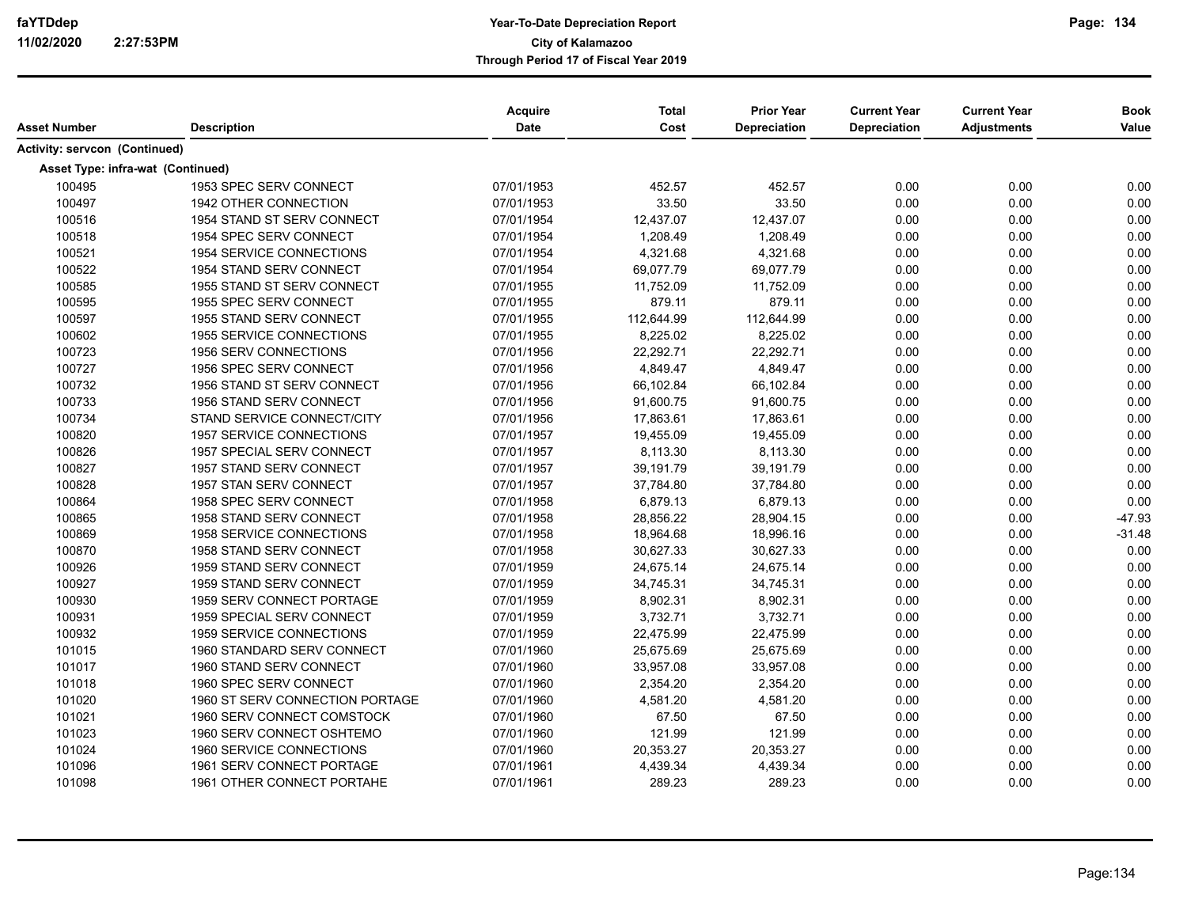| Asset Number                         | <b>Description</b>                | Acquire<br><b>Date</b> | <b>Total</b><br>Cost | <b>Prior Year</b><br>Depreciation | <b>Current Year</b><br>Depreciation | <b>Current Year</b><br><b>Adjustments</b> | <b>Book</b><br>Value |
|--------------------------------------|-----------------------------------|------------------------|----------------------|-----------------------------------|-------------------------------------|-------------------------------------------|----------------------|
| <b>Activity: servcon (Continued)</b> |                                   |                        |                      |                                   |                                     |                                           |                      |
| Asset Type: infra-wat (Continued)    |                                   |                        |                      |                                   |                                     |                                           |                      |
| 100495                               | 1953 SPEC SERV CONNECT            | 07/01/1953             | 452.57               | 452.57                            | 0.00                                | 0.00                                      | 0.00                 |
| 100497                               | 1942 OTHER CONNECTION             | 07/01/1953             | 33.50                | 33.50                             | 0.00                                | 0.00                                      | 0.00                 |
| 100516                               | 1954 STAND ST SERV CONNECT        | 07/01/1954             | 12,437.07            | 12,437.07                         | 0.00                                | 0.00                                      | 0.00                 |
| 100518                               | 1954 SPEC SERV CONNECT            | 07/01/1954             | 1,208.49             | 1,208.49                          | 0.00                                | 0.00                                      | 0.00                 |
| 100521                               | 1954 SERVICE CONNECTIONS          | 07/01/1954             | 4,321.68             | 4,321.68                          | 0.00                                | 0.00                                      | 0.00                 |
| 100522                               | 1954 STAND SERV CONNECT           | 07/01/1954             | 69,077.79            | 69,077.79                         | 0.00                                | 0.00                                      | 0.00                 |
| 100585                               | 1955 STAND ST SERV CONNECT        | 07/01/1955             | 11,752.09            | 11,752.09                         | 0.00                                | 0.00                                      | 0.00                 |
| 100595                               | 1955 SPEC SERV CONNECT            | 07/01/1955             | 879.11               | 879.11                            | 0.00                                | 0.00                                      | 0.00                 |
| 100597                               | 1955 STAND SERV CONNECT           | 07/01/1955             | 112,644.99           | 112,644.99                        | 0.00                                | 0.00                                      | 0.00                 |
| 100602                               | 1955 SERVICE CONNECTIONS          | 07/01/1955             | 8,225.02             | 8,225.02                          | 0.00                                | 0.00                                      | 0.00                 |
| 100723                               | 1956 SERV CONNECTIONS             | 07/01/1956             | 22,292.71            | 22,292.71                         | 0.00                                | 0.00                                      | 0.00                 |
| 100727                               | 1956 SPEC SERV CONNECT            | 07/01/1956             | 4,849.47             | 4,849.47                          | 0.00                                | 0.00                                      | 0.00                 |
| 100732                               | 1956 STAND ST SERV CONNECT        | 07/01/1956             | 66,102.84            | 66,102.84                         | 0.00                                | 0.00                                      | 0.00                 |
| 100733                               | 1956 STAND SERV CONNECT           | 07/01/1956             | 91,600.75            | 91,600.75                         | 0.00                                | 0.00                                      | 0.00                 |
| 100734                               | STAND SERVICE CONNECT/CITY        | 07/01/1956             | 17,863.61            | 17,863.61                         | 0.00                                | 0.00                                      | 0.00                 |
| 100820                               | <b>1957 SERVICE CONNECTIONS</b>   | 07/01/1957             | 19,455.09            | 19,455.09                         | 0.00                                | 0.00                                      | 0.00                 |
| 100826                               | 1957 SPECIAL SERV CONNECT         | 07/01/1957             | 8,113.30             | 8,113.30                          | 0.00                                | 0.00                                      | 0.00                 |
| 100827                               | 1957 STAND SERV CONNECT           | 07/01/1957             | 39,191.79            | 39,191.79                         | 0.00                                | 0.00                                      | 0.00                 |
| 100828                               | 1957 STAN SERV CONNECT            | 07/01/1957             | 37,784.80            | 37,784.80                         | 0.00                                | 0.00                                      | 0.00                 |
| 100864                               | 1958 SPEC SERV CONNECT            | 07/01/1958             | 6,879.13             | 6,879.13                          | 0.00                                | 0.00                                      | 0.00                 |
| 100865                               | 1958 STAND SERV CONNECT           | 07/01/1958             | 28,856.22            | 28,904.15                         | 0.00                                | 0.00                                      | $-47.93$             |
| 100869                               | 1958 SERVICE CONNECTIONS          | 07/01/1958             | 18,964.68            | 18,996.16                         | 0.00                                | 0.00                                      | $-31.48$             |
| 100870                               | 1958 STAND SERV CONNECT           | 07/01/1958             | 30,627.33            | 30,627.33                         | 0.00                                | 0.00                                      | 0.00                 |
| 100926                               | 1959 STAND SERV CONNECT           | 07/01/1959             | 24,675.14            | 24,675.14                         | 0.00                                | 0.00                                      | 0.00                 |
| 100927                               | 1959 STAND SERV CONNECT           | 07/01/1959             | 34,745.31            | 34,745.31                         | 0.00                                | 0.00                                      | 0.00                 |
| 100930                               | 1959 SERV CONNECT PORTAGE         | 07/01/1959             | 8,902.31             | 8,902.31                          | 0.00                                | 0.00                                      | 0.00                 |
| 100931                               | <b>1959 SPECIAL SERV CONNECT</b>  | 07/01/1959             | 3,732.71             | 3,732.71                          | 0.00                                | 0.00                                      | 0.00                 |
| 100932                               | 1959 SERVICE CONNECTIONS          | 07/01/1959             | 22,475.99            | 22,475.99                         | 0.00                                | 0.00                                      | 0.00                 |
| 101015                               | 1960 STANDARD SERV CONNECT        | 07/01/1960             | 25,675.69            | 25,675.69                         | 0.00                                | 0.00                                      | 0.00                 |
| 101017                               | 1960 STAND SERV CONNECT           | 07/01/1960             | 33,957.08            | 33,957.08                         | 0.00                                | 0.00                                      | 0.00                 |
| 101018                               | 1960 SPEC SERV CONNECT            | 07/01/1960             | 2,354.20             | 2,354.20                          | 0.00                                | 0.00                                      | 0.00                 |
| 101020                               | 1960 ST SERV CONNECTION PORTAGE   | 07/01/1960             | 4,581.20             | 4,581.20                          | 0.00                                | 0.00                                      | 0.00                 |
| 101021                               | 1960 SERV CONNECT COMSTOCK        | 07/01/1960             | 67.50                | 67.50                             | 0.00                                | 0.00                                      | 0.00                 |
| 101023                               | 1960 SERV CONNECT OSHTEMO         | 07/01/1960             | 121.99               | 121.99                            | 0.00                                | 0.00                                      | 0.00                 |
| 101024                               | 1960 SERVICE CONNECTIONS          | 07/01/1960             | 20,353.27            | 20,353.27                         | 0.00                                | 0.00                                      | 0.00                 |
| 101096                               | 1961 SERV CONNECT PORTAGE         | 07/01/1961             | 4,439.34             | 4,439.34                          | 0.00                                | 0.00                                      | 0.00                 |
| 101098                               | <b>1961 OTHER CONNECT PORTAHE</b> | 07/01/1961             | 289.23               | 289.23                            | 0.00                                | 0.00                                      | 0.00                 |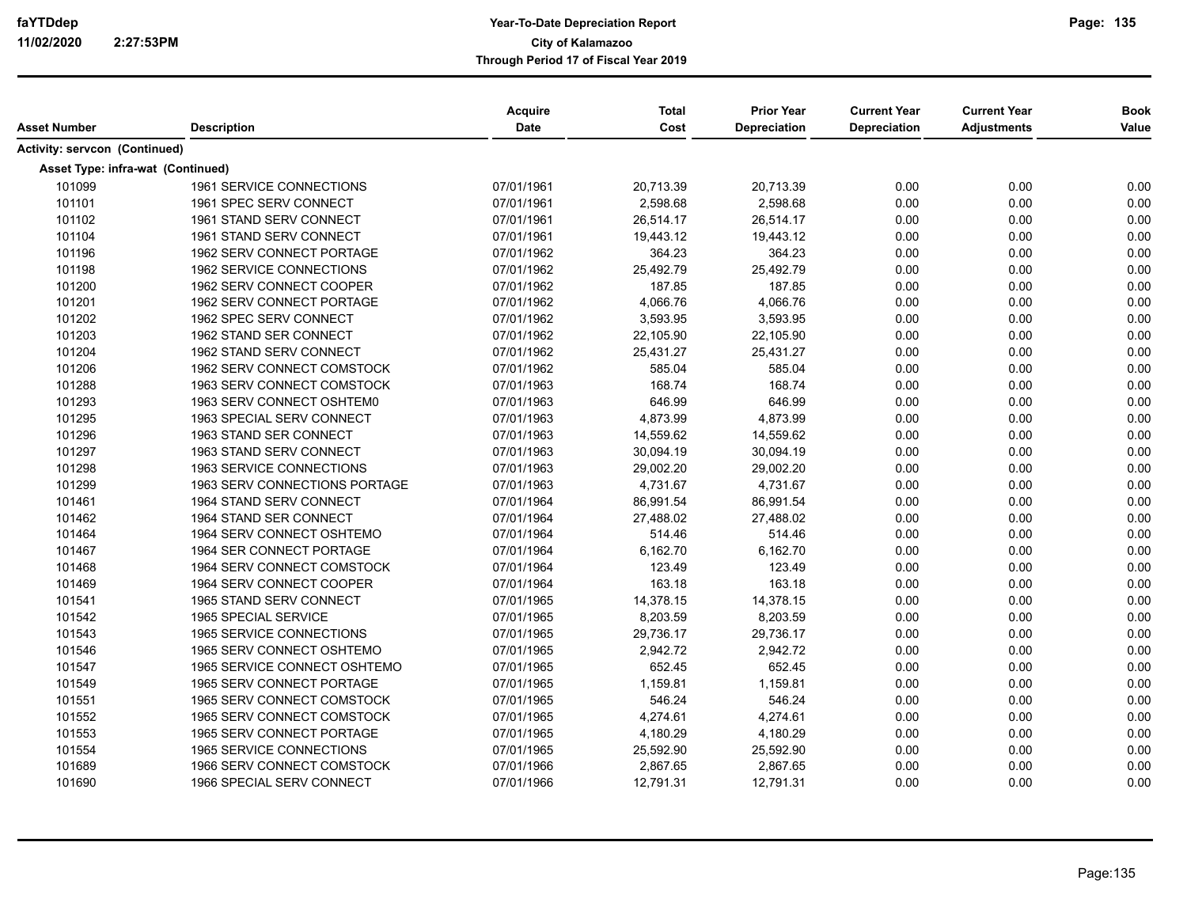| Asset Number                         | <b>Description</b>              | Acquire<br><b>Date</b> | <b>Total</b><br>Cost | <b>Prior Year</b><br><b>Depreciation</b> | <b>Current Year</b><br><b>Depreciation</b> | <b>Current Year</b><br><b>Adjustments</b> | <b>Book</b><br>Value |
|--------------------------------------|---------------------------------|------------------------|----------------------|------------------------------------------|--------------------------------------------|-------------------------------------------|----------------------|
| <b>Activity: servcon (Continued)</b> |                                 |                        |                      |                                          |                                            |                                           |                      |
| Asset Type: infra-wat (Continued)    |                                 |                        |                      |                                          |                                            |                                           |                      |
| 101099                               | 1961 SERVICE CONNECTIONS        | 07/01/1961             | 20,713.39            | 20,713.39                                | 0.00                                       | 0.00                                      | 0.00                 |
| 101101                               | 1961 SPEC SERV CONNECT          | 07/01/1961             | 2,598.68             | 2,598.68                                 | 0.00                                       | 0.00                                      | 0.00                 |
| 101102                               | 1961 STAND SERV CONNECT         | 07/01/1961             | 26,514.17            | 26,514.17                                | 0.00                                       | 0.00                                      | 0.00                 |
| 101104                               | 1961 STAND SERV CONNECT         | 07/01/1961             | 19,443.12            | 19,443.12                                | 0.00                                       | 0.00                                      | 0.00                 |
| 101196                               | 1962 SERV CONNECT PORTAGE       | 07/01/1962             | 364.23               | 364.23                                   | 0.00                                       | 0.00                                      | 0.00                 |
| 101198                               | 1962 SERVICE CONNECTIONS        | 07/01/1962             | 25,492.79            | 25,492.79                                | 0.00                                       | 0.00                                      | 0.00                 |
| 101200                               | 1962 SERV CONNECT COOPER        | 07/01/1962             | 187.85               | 187.85                                   | 0.00                                       | 0.00                                      | 0.00                 |
| 101201                               | 1962 SERV CONNECT PORTAGE       | 07/01/1962             | 4,066.76             | 4,066.76                                 | 0.00                                       | 0.00                                      | 0.00                 |
| 101202                               | 1962 SPEC SERV CONNECT          | 07/01/1962             | 3,593.95             | 3,593.95                                 | 0.00                                       | 0.00                                      | 0.00                 |
| 101203                               | 1962 STAND SER CONNECT          | 07/01/1962             | 22,105.90            | 22,105.90                                | 0.00                                       | 0.00                                      | 0.00                 |
| 101204                               | 1962 STAND SERV CONNECT         | 07/01/1962             | 25,431.27            | 25,431.27                                | 0.00                                       | 0.00                                      | 0.00                 |
| 101206                               | 1962 SERV CONNECT COMSTOCK      | 07/01/1962             | 585.04               | 585.04                                   | 0.00                                       | 0.00                                      | 0.00                 |
| 101288                               | 1963 SERV CONNECT COMSTOCK      | 07/01/1963             | 168.74               | 168.74                                   | 0.00                                       | 0.00                                      | 0.00                 |
| 101293                               | 1963 SERV CONNECT OSHTEM0       | 07/01/1963             | 646.99               | 646.99                                   | 0.00                                       | 0.00                                      | 0.00                 |
| 101295                               | 1963 SPECIAL SERV CONNECT       | 07/01/1963             | 4,873.99             | 4,873.99                                 | 0.00                                       | 0.00                                      | 0.00                 |
| 101296                               | 1963 STAND SER CONNECT          | 07/01/1963             | 14,559.62            | 14,559.62                                | 0.00                                       | 0.00                                      | 0.00                 |
| 101297                               | 1963 STAND SERV CONNECT         | 07/01/1963             | 30,094.19            | 30,094.19                                | 0.00                                       | 0.00                                      | 0.00                 |
| 101298                               | 1963 SERVICE CONNECTIONS        | 07/01/1963             | 29,002.20            | 29,002.20                                | 0.00                                       | 0.00                                      | 0.00                 |
| 101299                               | 1963 SERV CONNECTIONS PORTAGE   | 07/01/1963             | 4,731.67             | 4,731.67                                 | 0.00                                       | 0.00                                      | 0.00                 |
| 101461                               | 1964 STAND SERV CONNECT         | 07/01/1964             | 86,991.54            | 86,991.54                                | 0.00                                       | 0.00                                      | 0.00                 |
| 101462                               | 1964 STAND SER CONNECT          | 07/01/1964             | 27,488.02            | 27,488.02                                | 0.00                                       | 0.00                                      | 0.00                 |
| 101464                               | 1964 SERV CONNECT OSHTEMO       | 07/01/1964             | 514.46               | 514.46                                   | 0.00                                       | 0.00                                      | 0.00                 |
| 101467                               | 1964 SER CONNECT PORTAGE        | 07/01/1964             | 6,162.70             | 6,162.70                                 | 0.00                                       | 0.00                                      | 0.00                 |
| 101468                               | 1964 SERV CONNECT COMSTOCK      | 07/01/1964             | 123.49               | 123.49                                   | 0.00                                       | 0.00                                      | 0.00                 |
| 101469                               | 1964 SERV CONNECT COOPER        | 07/01/1964             | 163.18               | 163.18                                   | 0.00                                       | 0.00                                      | 0.00                 |
| 101541                               | 1965 STAND SERV CONNECT         | 07/01/1965             | 14,378.15            | 14,378.15                                | 0.00                                       | 0.00                                      | 0.00                 |
| 101542                               | 1965 SPECIAL SERVICE            | 07/01/1965             | 8,203.59             | 8,203.59                                 | 0.00                                       | 0.00                                      | 0.00                 |
| 101543                               | <b>1965 SERVICE CONNECTIONS</b> | 07/01/1965             | 29,736.17            | 29,736.17                                | 0.00                                       | 0.00                                      | 0.00                 |
| 101546                               | 1965 SERV CONNECT OSHTEMO       | 07/01/1965             | 2,942.72             | 2,942.72                                 | 0.00                                       | 0.00                                      | 0.00                 |
| 101547                               | 1965 SERVICE CONNECT OSHTEMO    | 07/01/1965             | 652.45               | 652.45                                   | 0.00                                       | 0.00                                      | 0.00                 |
| 101549                               | 1965 SERV CONNECT PORTAGE       | 07/01/1965             | 1,159.81             | 1,159.81                                 | 0.00                                       | 0.00                                      | 0.00                 |
| 101551                               | 1965 SERV CONNECT COMSTOCK      | 07/01/1965             | 546.24               | 546.24                                   | 0.00                                       | 0.00                                      | 0.00                 |
| 101552                               | 1965 SERV CONNECT COMSTOCK      | 07/01/1965             | 4,274.61             | 4,274.61                                 | 0.00                                       | 0.00                                      | 0.00                 |
| 101553                               | 1965 SERV CONNECT PORTAGE       | 07/01/1965             | 4,180.29             | 4,180.29                                 | 0.00                                       | 0.00                                      | 0.00                 |
| 101554                               | <b>1965 SERVICE CONNECTIONS</b> | 07/01/1965             | 25,592.90            | 25,592.90                                | 0.00                                       | 0.00                                      | 0.00                 |
| 101689                               | 1966 SERV CONNECT COMSTOCK      | 07/01/1966             | 2,867.65             | 2,867.65                                 | 0.00                                       | 0.00                                      | 0.00                 |
| 101690                               | 1966 SPECIAL SERV CONNECT       | 07/01/1966             | 12,791.31            | 12,791.31                                | 0.00                                       | 0.00                                      | 0.00                 |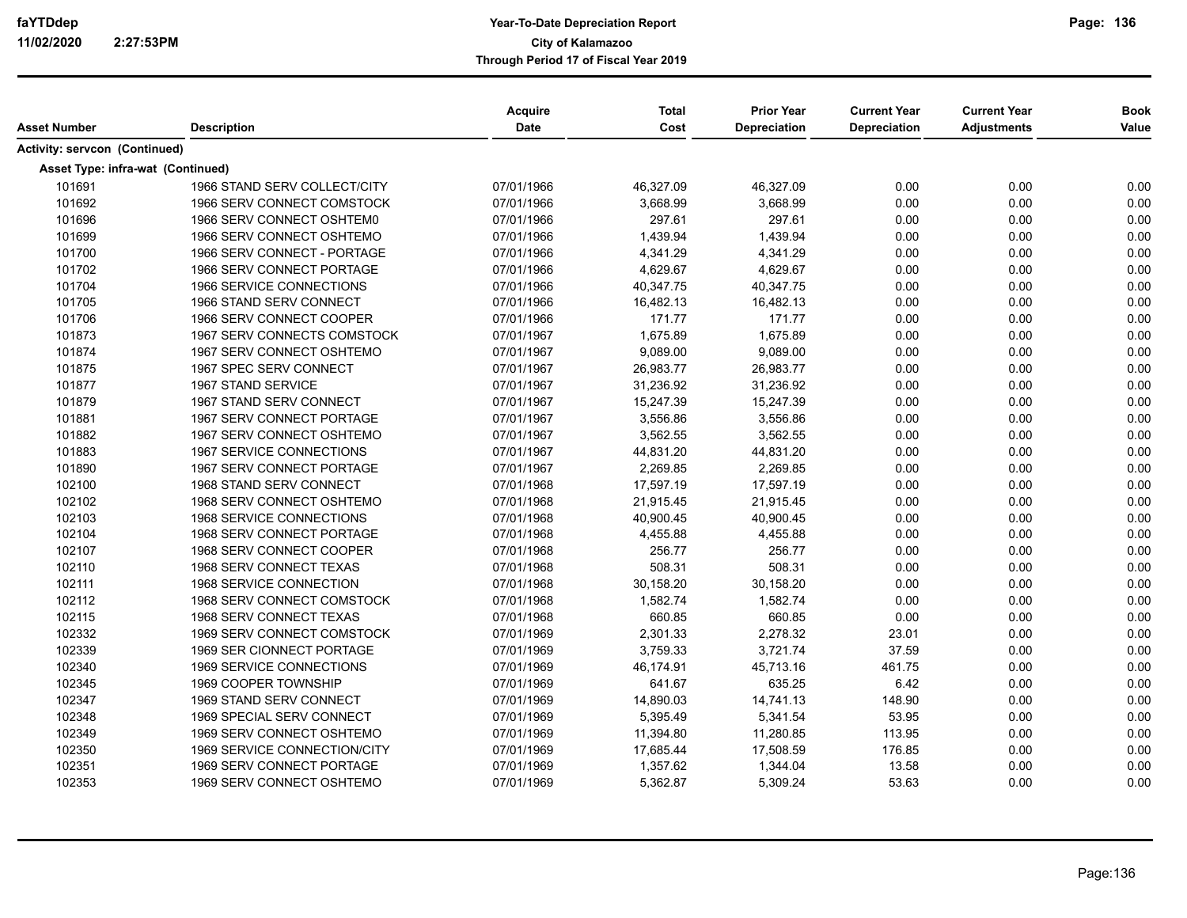| Asset Number                         | <b>Description</b>           | <b>Acquire</b><br>Date | <b>Total</b><br>Cost | <b>Prior Year</b><br>Depreciation | <b>Current Year</b><br>Depreciation | <b>Current Year</b><br><b>Adjustments</b> | <b>Book</b><br>Value |
|--------------------------------------|------------------------------|------------------------|----------------------|-----------------------------------|-------------------------------------|-------------------------------------------|----------------------|
|                                      |                              |                        |                      |                                   |                                     |                                           |                      |
| <b>Activity: servcon (Continued)</b> |                              |                        |                      |                                   |                                     |                                           |                      |
| Asset Type: infra-wat (Continued)    |                              |                        |                      |                                   |                                     |                                           |                      |
| 101691                               | 1966 STAND SERV COLLECT/CITY | 07/01/1966             | 46,327.09            | 46,327.09                         | 0.00                                | 0.00                                      | 0.00                 |
| 101692                               | 1966 SERV CONNECT COMSTOCK   | 07/01/1966             | 3,668.99             | 3,668.99                          | 0.00                                | 0.00                                      | 0.00                 |
| 101696                               | 1966 SERV CONNECT OSHTEM0    | 07/01/1966             | 297.61               | 297.61                            | 0.00                                | 0.00                                      | 0.00                 |
| 101699                               | 1966 SERV CONNECT OSHTEMO    | 07/01/1966             | 1,439.94             | 1,439.94                          | 0.00                                | 0.00                                      | 0.00                 |
| 101700                               | 1966 SERV CONNECT - PORTAGE  | 07/01/1966             | 4,341.29             | 4,341.29                          | 0.00                                | 0.00                                      | 0.00                 |
| 101702                               | 1966 SERV CONNECT PORTAGE    | 07/01/1966             | 4.629.67             | 4,629.67                          | 0.00                                | 0.00                                      | 0.00                 |
| 101704                               | 1966 SERVICE CONNECTIONS     | 07/01/1966             | 40,347.75            | 40,347.75                         | 0.00                                | 0.00                                      | 0.00                 |
| 101705                               | 1966 STAND SERV CONNECT      | 07/01/1966             | 16,482.13            | 16,482.13                         | 0.00                                | 0.00                                      | 0.00                 |
| 101706                               | 1966 SERV CONNECT COOPER     | 07/01/1966             | 171.77               | 171.77                            | 0.00                                | 0.00                                      | 0.00                 |
| 101873                               | 1967 SERV CONNECTS COMSTOCK  | 07/01/1967             | 1,675.89             | 1,675.89                          | 0.00                                | 0.00                                      | 0.00                 |
| 101874                               | 1967 SERV CONNECT OSHTEMO    | 07/01/1967             | 9,089.00             | 9,089.00                          | 0.00                                | 0.00                                      | 0.00                 |
| 101875                               | 1967 SPEC SERV CONNECT       | 07/01/1967             | 26,983.77            | 26,983.77                         | 0.00                                | 0.00                                      | 0.00                 |
| 101877                               | 1967 STAND SERVICE           | 07/01/1967             | 31,236.92            | 31,236.92                         | 0.00                                | 0.00                                      | 0.00                 |
| 101879                               | 1967 STAND SERV CONNECT      | 07/01/1967             | 15,247.39            | 15,247.39                         | 0.00                                | 0.00                                      | 0.00                 |
| 101881                               | 1967 SERV CONNECT PORTAGE    | 07/01/1967             | 3,556.86             | 3,556.86                          | 0.00                                | 0.00                                      | 0.00                 |
| 101882                               | 1967 SERV CONNECT OSHTEMO    | 07/01/1967             | 3,562.55             | 3,562.55                          | 0.00                                | 0.00                                      | 0.00                 |
| 101883                               | 1967 SERVICE CONNECTIONS     | 07/01/1967             | 44,831.20            | 44,831.20                         | 0.00                                | 0.00                                      | 0.00                 |
| 101890                               | 1967 SERV CONNECT PORTAGE    | 07/01/1967             | 2,269.85             | 2,269.85                          | 0.00                                | 0.00                                      | 0.00                 |
| 102100                               | 1968 STAND SERV CONNECT      | 07/01/1968             | 17,597.19            | 17,597.19                         | 0.00                                | 0.00                                      | 0.00                 |
| 102102                               | 1968 SERV CONNECT OSHTEMO    | 07/01/1968             | 21,915.45            | 21,915.45                         | 0.00                                | 0.00                                      | 0.00                 |
| 102103                               | 1968 SERVICE CONNECTIONS     | 07/01/1968             | 40,900.45            | 40,900.45                         | 0.00                                | 0.00                                      | 0.00                 |
| 102104                               | 1968 SERV CONNECT PORTAGE    | 07/01/1968             | 4,455.88             | 4,455.88                          | 0.00                                | 0.00                                      | 0.00                 |
| 102107                               | 1968 SERV CONNECT COOPER     | 07/01/1968             | 256.77               | 256.77                            | 0.00                                | 0.00                                      | 0.00                 |
| 102110                               | 1968 SERV CONNECT TEXAS      | 07/01/1968             | 508.31               | 508.31                            | 0.00                                | 0.00                                      | 0.00                 |
| 102111                               | 1968 SERVICE CONNECTION      | 07/01/1968             | 30,158.20            | 30,158.20                         | 0.00                                | 0.00                                      | 0.00                 |
| 102112                               | 1968 SERV CONNECT COMSTOCK   | 07/01/1968             | 1,582.74             | 1,582.74                          | 0.00                                | 0.00                                      | 0.00                 |
| 102115                               | 1968 SERV CONNECT TEXAS      | 07/01/1968             | 660.85               | 660.85                            | 0.00                                | 0.00                                      | 0.00                 |
| 102332                               | 1969 SERV CONNECT COMSTOCK   | 07/01/1969             | 2,301.33             | 2.278.32                          | 23.01                               | 0.00                                      | 0.00                 |
| 102339                               | 1969 SER CIONNECT PORTAGE    | 07/01/1969             | 3,759.33             | 3,721.74                          | 37.59                               | 0.00                                      | 0.00                 |
| 102340                               | 1969 SERVICE CONNECTIONS     | 07/01/1969             | 46,174.91            | 45,713.16                         | 461.75                              | 0.00                                      | 0.00                 |
| 102345                               | 1969 COOPER TOWNSHIP         | 07/01/1969             | 641.67               | 635.25                            | 6.42                                | 0.00                                      | 0.00                 |
| 102347                               | 1969 STAND SERV CONNECT      | 07/01/1969             | 14,890.03            | 14,741.13                         | 148.90                              | 0.00                                      | 0.00                 |
| 102348                               | 1969 SPECIAL SERV CONNECT    | 07/01/1969             | 5,395.49             | 5,341.54                          | 53.95                               | 0.00                                      | 0.00                 |
| 102349                               | 1969 SERV CONNECT OSHTEMO    | 07/01/1969             | 11,394.80            | 11,280.85                         | 113.95                              | 0.00                                      | 0.00                 |
| 102350                               | 1969 SERVICE CONNECTION/CITY | 07/01/1969             | 17,685.44            | 17,508.59                         | 176.85                              | 0.00                                      | 0.00                 |
| 102351                               | 1969 SERV CONNECT PORTAGE    | 07/01/1969             | 1,357.62             | 1,344.04                          | 13.58                               | 0.00                                      | 0.00                 |
| 102353                               | 1969 SERV CONNECT OSHTEMO    | 07/01/1969             | 5,362.87             | 5,309.24                          | 53.63                               | 0.00                                      | 0.00                 |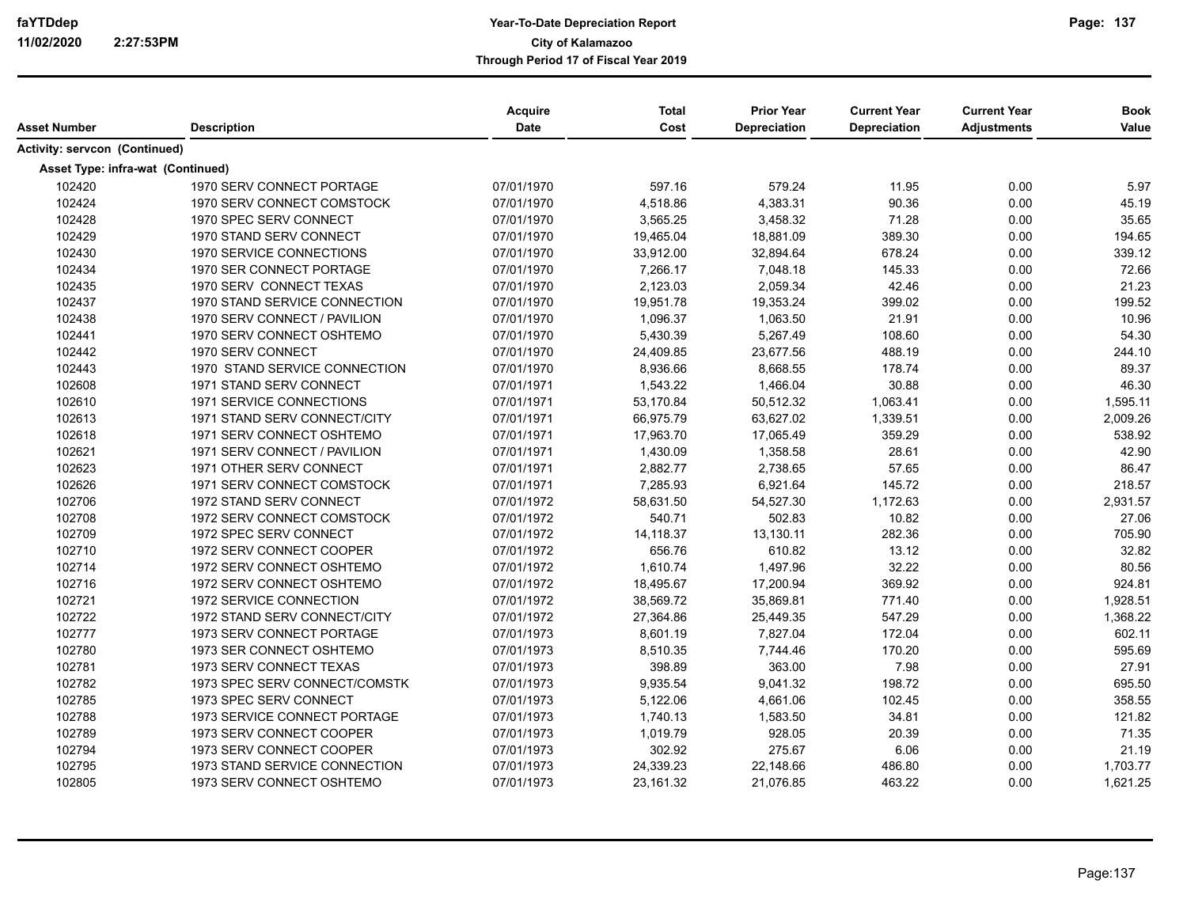| Asset Number                         | <b>Description</b>                | <b>Acquire</b><br>Date | <b>Total</b><br>Cost | <b>Prior Year</b><br>Depreciation | <b>Current Year</b><br>Depreciation | <b>Current Year</b><br><b>Adjustments</b> | <b>Book</b><br>Value |
|--------------------------------------|-----------------------------------|------------------------|----------------------|-----------------------------------|-------------------------------------|-------------------------------------------|----------------------|
| <b>Activity: servcon (Continued)</b> |                                   |                        |                      |                                   |                                     |                                           |                      |
|                                      | Asset Type: infra-wat (Continued) |                        |                      |                                   |                                     |                                           |                      |
| 102420                               | 1970 SERV CONNECT PORTAGE         | 07/01/1970             | 597.16               | 579.24                            | 11.95                               | 0.00                                      | 5.97                 |
| 102424                               | 1970 SERV CONNECT COMSTOCK        | 07/01/1970             | 4,518.86             | 4,383.31                          | 90.36                               | 0.00                                      | 45.19                |
| 102428                               | 1970 SPEC SERV CONNECT            | 07/01/1970             | 3,565.25             | 3,458.32                          | 71.28                               | 0.00                                      | 35.65                |
| 102429                               | 1970 STAND SERV CONNECT           | 07/01/1970             | 19,465.04            | 18,881.09                         | 389.30                              | 0.00                                      | 194.65               |
| 102430                               | 1970 SERVICE CONNECTIONS          | 07/01/1970             | 33,912.00            | 32,894.64                         | 678.24                              | 0.00                                      | 339.12               |
| 102434                               | 1970 SER CONNECT PORTAGE          | 07/01/1970             | 7,266.17             | 7,048.18                          | 145.33                              | 0.00                                      | 72.66                |
| 102435                               | 1970 SERV CONNECT TEXAS           | 07/01/1970             | 2,123.03             | 2,059.34                          | 42.46                               | 0.00                                      | 21.23                |
| 102437                               | 1970 STAND SERVICE CONNECTION     | 07/01/1970             | 19,951.78            | 19,353.24                         | 399.02                              | 0.00                                      | 199.52               |
| 102438                               | 1970 SERV CONNECT / PAVILION      | 07/01/1970             | 1,096.37             | 1,063.50                          | 21.91                               | 0.00                                      | 10.96                |
| 102441                               | 1970 SERV CONNECT OSHTEMO         | 07/01/1970             | 5,430.39             | 5,267.49                          | 108.60                              | 0.00                                      | 54.30                |
| 102442                               | 1970 SERV CONNECT                 | 07/01/1970             | 24,409.85            | 23,677.56                         | 488.19                              | 0.00                                      | 244.10               |
| 102443                               | 1970 STAND SERVICE CONNECTION     | 07/01/1970             | 8,936.66             | 8,668.55                          | 178.74                              | 0.00                                      | 89.37                |
| 102608                               | 1971 STAND SERV CONNECT           | 07/01/1971             | 1,543.22             | 1,466.04                          | 30.88                               | 0.00                                      | 46.30                |
| 102610                               | 1971 SERVICE CONNECTIONS          | 07/01/1971             | 53,170.84            | 50,512.32                         | 1,063.41                            | 0.00                                      | 1,595.11             |
| 102613                               | 1971 STAND SERV CONNECT/CITY      | 07/01/1971             | 66,975.79            | 63,627.02                         | 1,339.51                            | 0.00                                      | 2,009.26             |
| 102618                               | 1971 SERV CONNECT OSHTEMO         | 07/01/1971             | 17,963.70            | 17,065.49                         | 359.29                              | 0.00                                      | 538.92               |
| 102621                               | 1971 SERV CONNECT / PAVILION      | 07/01/1971             | 1,430.09             | 1,358.58                          | 28.61                               | 0.00                                      | 42.90                |
| 102623                               | 1971 OTHER SERV CONNECT           | 07/01/1971             | 2,882.77             | 2,738.65                          | 57.65                               | 0.00                                      | 86.47                |
| 102626                               | 1971 SERV CONNECT COMSTOCK        | 07/01/1971             | 7,285.93             | 6,921.64                          | 145.72                              | 0.00                                      | 218.57               |
| 102706                               | 1972 STAND SERV CONNECT           | 07/01/1972             | 58,631.50            | 54,527.30                         | 1,172.63                            | 0.00                                      | 2,931.57             |
| 102708                               | 1972 SERV CONNECT COMSTOCK        | 07/01/1972             | 540.71               | 502.83                            | 10.82                               | 0.00                                      | 27.06                |
| 102709                               | 1972 SPEC SERV CONNECT            | 07/01/1972             | 14,118.37            | 13,130.11                         | 282.36                              | 0.00                                      | 705.90               |
| 102710                               | 1972 SERV CONNECT COOPER          | 07/01/1972             | 656.76               | 610.82                            | 13.12                               | 0.00                                      | 32.82                |
| 102714                               | 1972 SERV CONNECT OSHTEMO         | 07/01/1972             | 1,610.74             | 1,497.96                          | 32.22                               | 0.00                                      | 80.56                |
| 102716                               | 1972 SERV CONNECT OSHTEMO         | 07/01/1972             | 18,495.67            | 17,200.94                         | 369.92                              | 0.00                                      | 924.81               |
| 102721                               | 1972 SERVICE CONNECTION           | 07/01/1972             | 38,569.72            | 35,869.81                         | 771.40                              | 0.00                                      | 1,928.51             |
| 102722                               | 1972 STAND SERV CONNECT/CITY      | 07/01/1972             | 27,364.86            | 25,449.35                         | 547.29                              | 0.00                                      | 1,368.22             |
| 102777                               | 1973 SERV CONNECT PORTAGE         | 07/01/1973             | 8,601.19             | 7,827.04                          | 172.04                              | 0.00                                      | 602.11               |
| 102780                               | 1973 SER CONNECT OSHTEMO          | 07/01/1973             | 8,510.35             | 7,744.46                          | 170.20                              | 0.00                                      | 595.69               |
| 102781                               | 1973 SERV CONNECT TEXAS           | 07/01/1973             | 398.89               | 363.00                            | 7.98                                | 0.00                                      | 27.91                |
| 102782                               | 1973 SPEC SERV CONNECT/COMSTK     | 07/01/1973             | 9,935.54             | 9,041.32                          | 198.72                              | 0.00                                      | 695.50               |
| 102785                               | 1973 SPEC SERV CONNECT            | 07/01/1973             | 5,122.06             | 4,661.06                          | 102.45                              | 0.00                                      | 358.55               |
| 102788                               | 1973 SERVICE CONNECT PORTAGE      | 07/01/1973             | 1,740.13             | 1,583.50                          | 34.81                               | 0.00                                      | 121.82               |
| 102789                               | 1973 SERV CONNECT COOPER          | 07/01/1973             | 1,019.79             | 928.05                            | 20.39                               | 0.00                                      | 71.35                |
| 102794                               | 1973 SERV CONNECT COOPER          | 07/01/1973             | 302.92               | 275.67                            | 6.06                                | 0.00                                      | 21.19                |
| 102795                               | 1973 STAND SERVICE CONNECTION     | 07/01/1973             | 24,339.23            | 22,148.66                         | 486.80                              | 0.00                                      | 1,703.77             |
| 102805                               | 1973 SERV CONNECT OSHTEMO         | 07/01/1973             | 23,161.32            | 21,076.85                         | 463.22                              | 0.00                                      | 1,621.25             |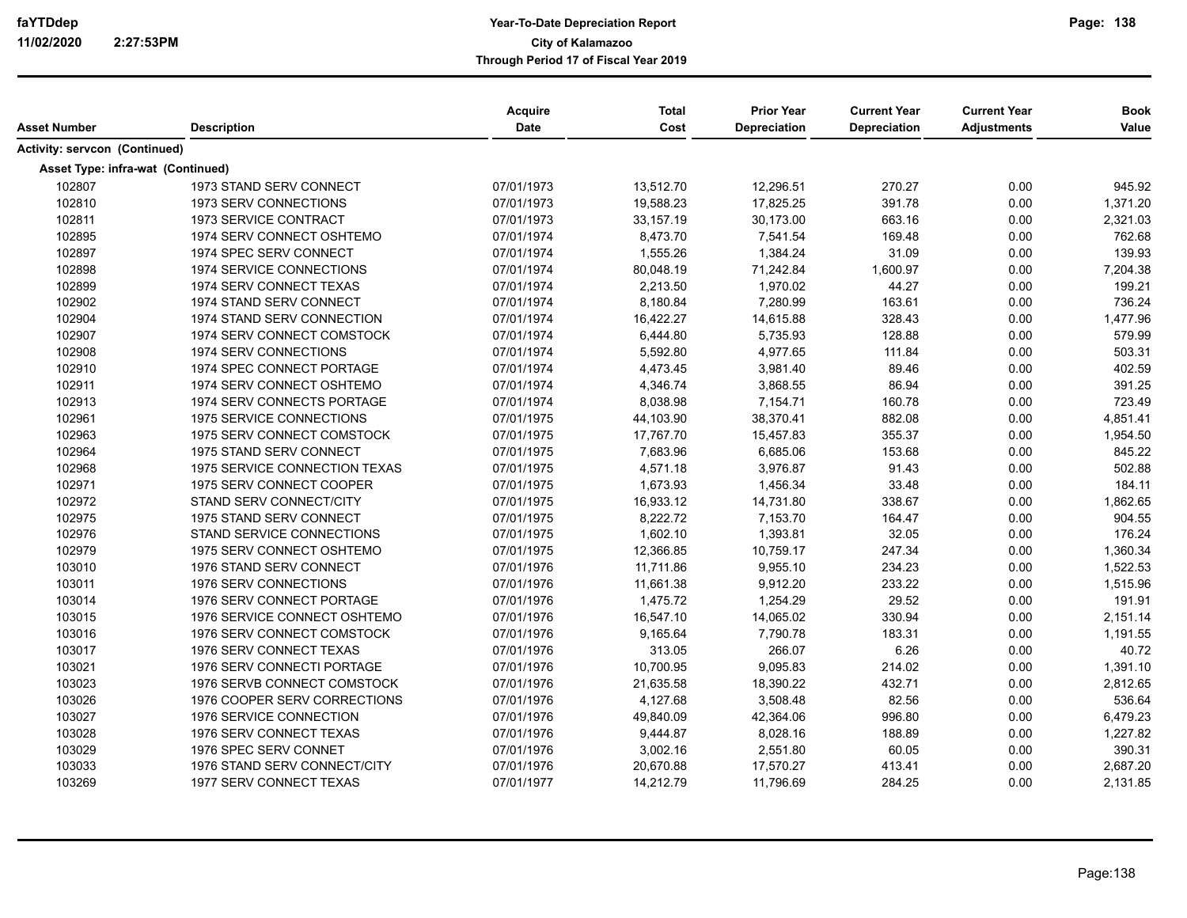| Asset Number                      | <b>Description</b>            | Acquire<br><b>Date</b> | <b>Total</b><br>Cost | <b>Prior Year</b><br>Depreciation | <b>Current Year</b><br>Depreciation | <b>Current Year</b><br><b>Adjustments</b> | <b>Book</b><br>Value |
|-----------------------------------|-------------------------------|------------------------|----------------------|-----------------------------------|-------------------------------------|-------------------------------------------|----------------------|
| Activity: servcon (Continued)     |                               |                        |                      |                                   |                                     |                                           |                      |
|                                   |                               |                        |                      |                                   |                                     |                                           |                      |
| Asset Type: infra-wat (Continued) |                               |                        |                      |                                   |                                     |                                           |                      |
| 102807                            | 1973 STAND SERV CONNECT       | 07/01/1973             | 13,512.70            | 12,296.51                         | 270.27                              | 0.00                                      | 945.92               |
| 102810                            | 1973 SERV CONNECTIONS         | 07/01/1973             | 19,588.23            | 17,825.25                         | 391.78                              | 0.00                                      | 1,371.20             |
| 102811                            | 1973 SERVICE CONTRACT         | 07/01/1973             | 33,157.19            | 30,173.00                         | 663.16                              | 0.00                                      | 2,321.03             |
| 102895                            | 1974 SERV CONNECT OSHTEMO     | 07/01/1974             | 8,473.70             | 7,541.54                          | 169.48                              | 0.00                                      | 762.68               |
| 102897                            | 1974 SPEC SERV CONNECT        | 07/01/1974             | 1,555.26             | 1,384.24                          | 31.09                               | 0.00                                      | 139.93               |
| 102898                            | 1974 SERVICE CONNECTIONS      | 07/01/1974             | 80,048.19            | 71,242.84                         | 1,600.97                            | 0.00                                      | 7,204.38             |
| 102899                            | 1974 SERV CONNECT TEXAS       | 07/01/1974             | 2,213.50             | 1,970.02                          | 44.27                               | 0.00                                      | 199.21               |
| 102902                            | 1974 STAND SERV CONNECT       | 07/01/1974             | 8,180.84             | 7,280.99                          | 163.61                              | 0.00                                      | 736.24               |
| 102904                            | 1974 STAND SERV CONNECTION    | 07/01/1974             | 16,422.27            | 14,615.88                         | 328.43                              | 0.00                                      | 1,477.96             |
| 102907                            | 1974 SERV CONNECT COMSTOCK    | 07/01/1974             | 6,444.80             | 5,735.93                          | 128.88                              | 0.00                                      | 579.99               |
| 102908                            | 1974 SERV CONNECTIONS         | 07/01/1974             | 5,592.80             | 4,977.65                          | 111.84                              | 0.00                                      | 503.31               |
| 102910                            | 1974 SPEC CONNECT PORTAGE     | 07/01/1974             | 4,473.45             | 3,981.40                          | 89.46                               | 0.00                                      | 402.59               |
| 102911                            | 1974 SERV CONNECT OSHTEMO     | 07/01/1974             | 4,346.74             | 3,868.55                          | 86.94                               | 0.00                                      | 391.25               |
| 102913                            | 1974 SERV CONNECTS PORTAGE    | 07/01/1974             | 8,038.98             | 7,154.71                          | 160.78                              | 0.00                                      | 723.49               |
| 102961                            | 1975 SERVICE CONNECTIONS      | 07/01/1975             | 44,103.90            | 38,370.41                         | 882.08                              | 0.00                                      | 4,851.41             |
| 102963                            | 1975 SERV CONNECT COMSTOCK    | 07/01/1975             | 17,767.70            | 15,457.83                         | 355.37                              | 0.00                                      | 1,954.50             |
| 102964                            | 1975 STAND SERV CONNECT       | 07/01/1975             | 7,683.96             | 6,685.06                          | 153.68                              | 0.00                                      | 845.22               |
| 102968                            | 1975 SERVICE CONNECTION TEXAS | 07/01/1975             | 4,571.18             | 3,976.87                          | 91.43                               | 0.00                                      | 502.88               |
| 102971                            | 1975 SERV CONNECT COOPER      | 07/01/1975             | 1,673.93             | 1,456.34                          | 33.48                               | 0.00                                      | 184.11               |
| 102972                            | STAND SERV CONNECT/CITY       | 07/01/1975             | 16,933.12            | 14,731.80                         | 338.67                              | 0.00                                      | 1,862.65             |
| 102975                            | 1975 STAND SERV CONNECT       | 07/01/1975             | 8,222.72             | 7,153.70                          | 164.47                              | 0.00                                      | 904.55               |
| 102976                            | STAND SERVICE CONNECTIONS     | 07/01/1975             | 1,602.10             | 1,393.81                          | 32.05                               | 0.00                                      | 176.24               |
| 102979                            | 1975 SERV CONNECT OSHTEMO     | 07/01/1975             | 12,366.85            | 10,759.17                         | 247.34                              | 0.00                                      | 1,360.34             |
| 103010                            | 1976 STAND SERV CONNECT       | 07/01/1976             | 11,711.86            | 9,955.10                          | 234.23                              | 0.00                                      | 1,522.53             |
| 103011                            | 1976 SERV CONNECTIONS         | 07/01/1976             | 11,661.38            | 9,912.20                          | 233.22                              | 0.00                                      | 1,515.96             |
| 103014                            | 1976 SERV CONNECT PORTAGE     | 07/01/1976             | 1,475.72             | 1,254.29                          | 29.52                               | 0.00                                      | 191.91               |
| 103015                            | 1976 SERVICE CONNECT OSHTEMO  | 07/01/1976             | 16,547.10            | 14,065.02                         | 330.94                              | 0.00                                      | 2,151.14             |
| 103016                            | 1976 SERV CONNECT COMSTOCK    | 07/01/1976             | 9,165.64             | 7,790.78                          | 183.31                              | 0.00                                      | 1,191.55             |
| 103017                            | 1976 SERV CONNECT TEXAS       | 07/01/1976             | 313.05               | 266.07                            | 6.26                                | 0.00                                      | 40.72                |
| 103021                            | 1976 SERV CONNECTI PORTAGE    | 07/01/1976             | 10,700.95            | 9,095.83                          | 214.02                              | 0.00                                      | 1,391.10             |
| 103023                            | 1976 SERVB CONNECT COMSTOCK   | 07/01/1976             | 21,635.58            | 18,390.22                         | 432.71                              | 0.00                                      | 2,812.65             |
| 103026                            | 1976 COOPER SERV CORRECTIONS  | 07/01/1976             | 4,127.68             | 3,508.48                          | 82.56                               | 0.00                                      | 536.64               |
| 103027                            | 1976 SERVICE CONNECTION       | 07/01/1976             | 49,840.09            | 42,364.06                         | 996.80                              | 0.00                                      | 6,479.23             |
|                                   |                               |                        |                      |                                   |                                     |                                           |                      |
| 103028                            | 1976 SERV CONNECT TEXAS       | 07/01/1976             | 9,444.87             | 8,028.16                          | 188.89                              | 0.00                                      | 1,227.82             |
| 103029                            | 1976 SPEC SERV CONNET         | 07/01/1976             | 3,002.16             | 2,551.80                          | 60.05                               | 0.00                                      | 390.31               |
| 103033                            | 1976 STAND SERV CONNECT/CITY  | 07/01/1976             | 20,670.88            | 17,570.27                         | 413.41                              | 0.00                                      | 2,687.20             |
| 103269                            | 1977 SERV CONNECT TEXAS       | 07/01/1977             | 14,212.79            | 11,796.69                         | 284.25                              | 0.00                                      | 2,131.85             |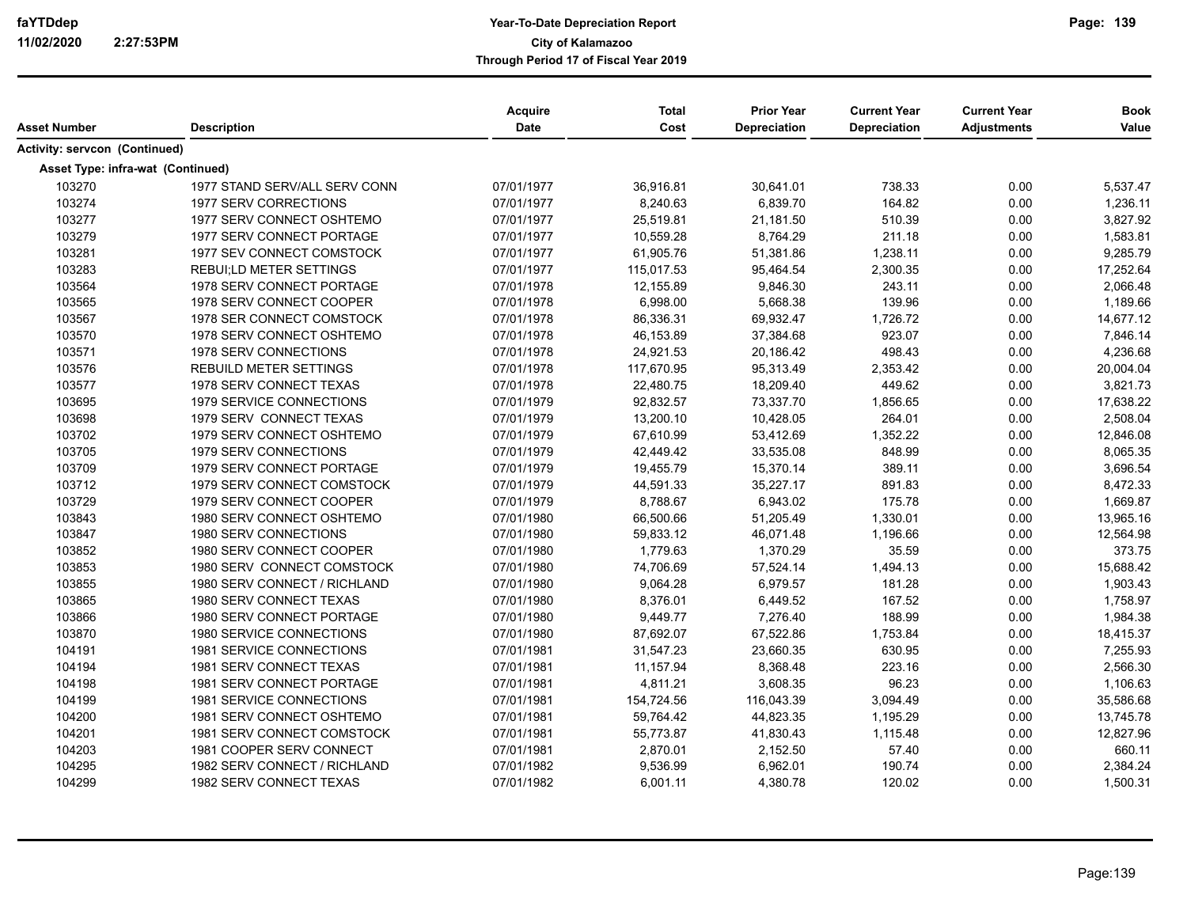| Asset Number                         | <b>Description</b>                | Acquire<br>Date | <b>Total</b><br>Cost | <b>Prior Year</b><br>Depreciation | <b>Current Year</b><br>Depreciation | <b>Current Year</b><br><b>Adjustments</b> | <b>Book</b><br>Value |
|--------------------------------------|-----------------------------------|-----------------|----------------------|-----------------------------------|-------------------------------------|-------------------------------------------|----------------------|
| <b>Activity: servcon (Continued)</b> |                                   |                 |                      |                                   |                                     |                                           |                      |
|                                      | Asset Type: infra-wat (Continued) |                 |                      |                                   |                                     |                                           |                      |
| 103270                               | 1977 STAND SERV/ALL SERV CONN     | 07/01/1977      | 36,916.81            | 30,641.01                         | 738.33                              | 0.00                                      | 5,537.47             |
| 103274                               | 1977 SERV CORRECTIONS             | 07/01/1977      | 8,240.63             | 6,839.70                          | 164.82                              | 0.00                                      | 1,236.11             |
| 103277                               | 1977 SERV CONNECT OSHTEMO         | 07/01/1977      | 25,519.81            | 21,181.50                         | 510.39                              | 0.00                                      | 3,827.92             |
| 103279                               | 1977 SERV CONNECT PORTAGE         | 07/01/1977      | 10,559.28            | 8,764.29                          | 211.18                              | 0.00                                      | 1,583.81             |
| 103281                               | 1977 SEV CONNECT COMSTOCK         | 07/01/1977      | 61,905.76            | 51,381.86                         | 1,238.11                            | 0.00                                      | 9,285.79             |
| 103283                               | <b>REBUI:LD METER SETTINGS</b>    | 07/01/1977      | 115,017.53           | 95,464.54                         | 2,300.35                            | 0.00                                      | 17,252.64            |
| 103564                               | 1978 SERV CONNECT PORTAGE         | 07/01/1978      | 12,155.89            | 9,846.30                          | 243.11                              | 0.00                                      | 2,066.48             |
| 103565                               | 1978 SERV CONNECT COOPER          | 07/01/1978      | 6,998.00             | 5,668.38                          | 139.96                              | 0.00                                      | 1,189.66             |
| 103567                               | 1978 SER CONNECT COMSTOCK         | 07/01/1978      | 86,336.31            | 69,932.47                         | 1,726.72                            | 0.00                                      | 14,677.12            |
| 103570                               | 1978 SERV CONNECT OSHTEMO         | 07/01/1978      | 46,153.89            | 37,384.68                         | 923.07                              | 0.00                                      | 7,846.14             |
| 103571                               | 1978 SERV CONNECTIONS             | 07/01/1978      | 24,921.53            | 20,186.42                         | 498.43                              | 0.00                                      | 4,236.68             |
| 103576                               | <b>REBUILD METER SETTINGS</b>     | 07/01/1978      | 117,670.95           | 95,313.49                         | 2,353.42                            | 0.00                                      | 20,004.04            |
| 103577                               | 1978 SERV CONNECT TEXAS           | 07/01/1978      | 22,480.75            | 18,209.40                         | 449.62                              | 0.00                                      | 3,821.73             |
| 103695                               | 1979 SERVICE CONNECTIONS          | 07/01/1979      | 92,832.57            | 73,337.70                         | 1,856.65                            | 0.00                                      | 17,638.22            |
| 103698                               | 1979 SERV CONNECT TEXAS           | 07/01/1979      | 13,200.10            | 10,428.05                         | 264.01                              | 0.00                                      | 2,508.04             |
| 103702                               | 1979 SERV CONNECT OSHTEMO         | 07/01/1979      | 67,610.99            | 53,412.69                         | 1,352.22                            | 0.00                                      | 12,846.08            |
| 103705                               | 1979 SERV CONNECTIONS             | 07/01/1979      | 42,449.42            | 33,535.08                         | 848.99                              | 0.00                                      | 8,065.35             |
| 103709                               | 1979 SERV CONNECT PORTAGE         | 07/01/1979      | 19,455.79            | 15,370.14                         | 389.11                              | 0.00                                      | 3,696.54             |
| 103712                               | 1979 SERV CONNECT COMSTOCK        | 07/01/1979      | 44,591.33            | 35,227.17                         | 891.83                              | 0.00                                      | 8,472.33             |
| 103729                               | 1979 SERV CONNECT COOPER          | 07/01/1979      | 8,788.67             | 6,943.02                          | 175.78                              | 0.00                                      | 1,669.87             |
| 103843                               | 1980 SERV CONNECT OSHTEMO         | 07/01/1980      | 66,500.66            | 51,205.49                         | 1,330.01                            | 0.00                                      | 13,965.16            |
| 103847                               | 1980 SERV CONNECTIONS             | 07/01/1980      | 59,833.12            | 46,071.48                         | 1,196.66                            | 0.00                                      | 12,564.98            |
| 103852                               | 1980 SERV CONNECT COOPER          | 07/01/1980      | 1,779.63             | 1,370.29                          | 35.59                               | 0.00                                      | 373.75               |
| 103853                               | 1980 SERV CONNECT COMSTOCK        | 07/01/1980      | 74,706.69            | 57,524.14                         | 1,494.13                            | 0.00                                      | 15,688.42            |
| 103855                               | 1980 SERV CONNECT / RICHLAND      | 07/01/1980      | 9,064.28             | 6,979.57                          | 181.28                              | 0.00                                      | 1,903.43             |
| 103865                               | 1980 SERV CONNECT TEXAS           | 07/01/1980      | 8,376.01             | 6,449.52                          | 167.52                              | 0.00                                      | 1,758.97             |
| 103866                               | 1980 SERV CONNECT PORTAGE         | 07/01/1980      | 9,449.77             | 7,276.40                          | 188.99                              | 0.00                                      | 1,984.38             |
| 103870                               | 1980 SERVICE CONNECTIONS          | 07/01/1980      | 87,692.07            | 67,522.86                         | 1,753.84                            | 0.00                                      | 18,415.37            |
| 104191                               | 1981 SERVICE CONNECTIONS          | 07/01/1981      | 31,547.23            | 23,660.35                         | 630.95                              | 0.00                                      | 7,255.93             |
| 104194                               | <b>1981 SERV CONNECT TEXAS</b>    | 07/01/1981      | 11,157.94            | 8,368.48                          | 223.16                              | 0.00                                      | 2,566.30             |
| 104198                               | 1981 SERV CONNECT PORTAGE         | 07/01/1981      | 4,811.21             | 3,608.35                          | 96.23                               | 0.00                                      | 1,106.63             |
| 104199                               | 1981 SERVICE CONNECTIONS          | 07/01/1981      | 154,724.56           | 116,043.39                        | 3,094.49                            | 0.00                                      | 35,586.68            |
| 104200                               | 1981 SERV CONNECT OSHTEMO         | 07/01/1981      | 59,764.42            | 44,823.35                         | 1,195.29                            | 0.00                                      | 13,745.78            |
| 104201                               | 1981 SERV CONNECT COMSTOCK        | 07/01/1981      | 55,773.87            | 41,830.43                         | 1,115.48                            | 0.00                                      | 12,827.96            |
| 104203                               | 1981 COOPER SERV CONNECT          | 07/01/1981      | 2,870.01             | 2,152.50                          | 57.40                               | 0.00                                      | 660.11               |
| 104295                               | 1982 SERV CONNECT / RICHLAND      | 07/01/1982      | 9,536.99             | 6,962.01                          | 190.74                              | 0.00                                      | 2,384.24             |
| 104299                               | 1982 SERV CONNECT TEXAS           | 07/01/1982      | 6,001.11             | 4,380.78                          | 120.02                              | 0.00                                      | 1,500.31             |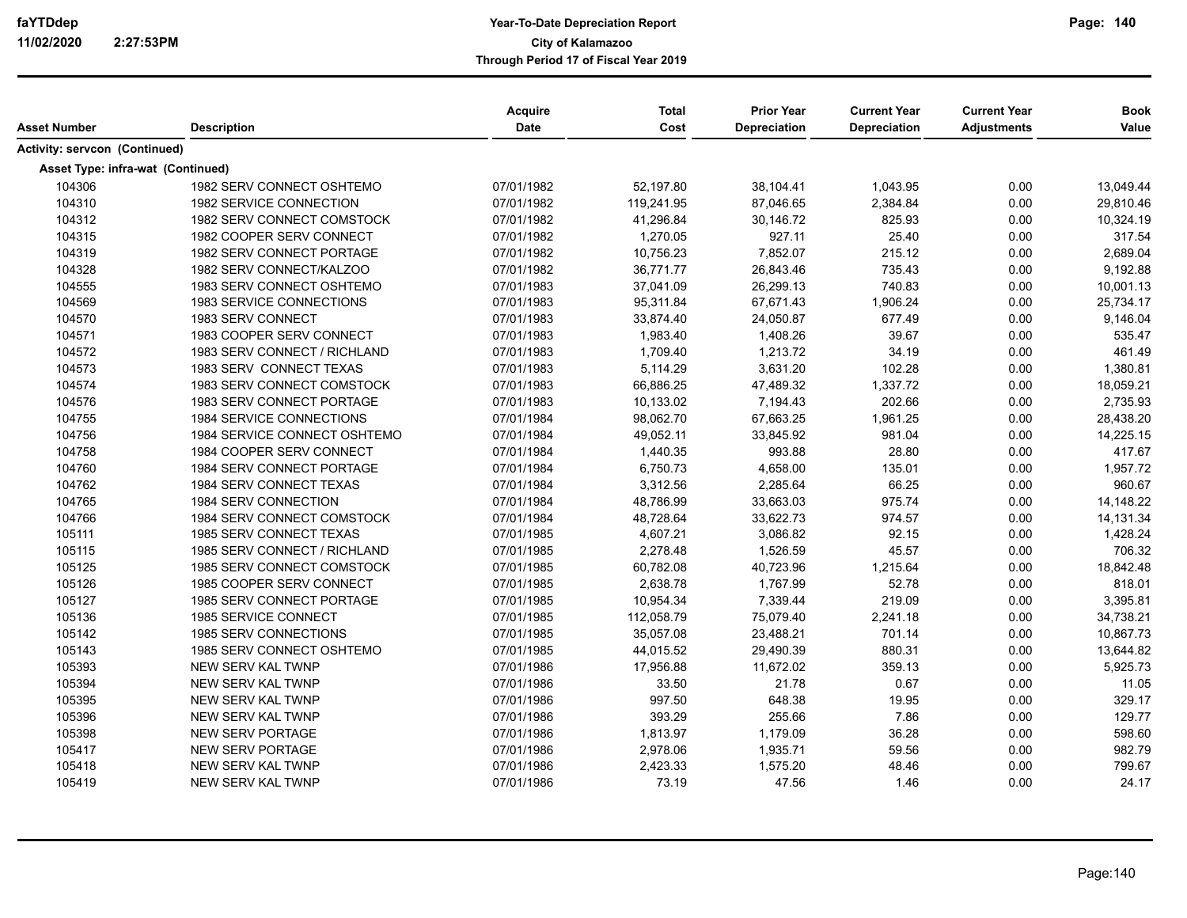|                                      |                              | <b>Acquire</b> | <b>Total</b> | <b>Prior Year</b>   | <b>Current Year</b> | <b>Current Year</b> | <b>Book</b> |
|--------------------------------------|------------------------------|----------------|--------------|---------------------|---------------------|---------------------|-------------|
| Asset Number                         | <b>Description</b>           | Date           | Cost         | <b>Depreciation</b> | <b>Depreciation</b> | <b>Adjustments</b>  | Value       |
| <b>Activity: servcon (Continued)</b> |                              |                |              |                     |                     |                     |             |
| Asset Type: infra-wat (Continued)    |                              |                |              |                     |                     |                     |             |
| 104306                               | 1982 SERV CONNECT OSHTEMO    | 07/01/1982     | 52,197.80    | 38,104.41           | 1,043.95            | 0.00                | 13,049.44   |
| 104310                               | 1982 SERVICE CONNECTION      | 07/01/1982     | 119,241.95   | 87,046.65           | 2,384.84            | 0.00                | 29,810.46   |
| 104312                               | 1982 SERV CONNECT COMSTOCK   | 07/01/1982     | 41,296.84    | 30,146.72           | 825.93              | 0.00                | 10,324.19   |
| 104315                               | 1982 COOPER SERV CONNECT     | 07/01/1982     | 1,270.05     | 927.11              | 25.40               | 0.00                | 317.54      |
| 104319                               | 1982 SERV CONNECT PORTAGE    | 07/01/1982     | 10,756.23    | 7,852.07            | 215.12              | 0.00                | 2,689.04    |
| 104328                               | 1982 SERV CONNECT/KALZOO     | 07/01/1982     | 36,771.77    | 26,843.46           | 735.43              | 0.00                | 9,192.88    |
| 104555                               | 1983 SERV CONNECT OSHTEMO    | 07/01/1983     | 37,041.09    | 26,299.13           | 740.83              | 0.00                | 10,001.13   |
| 104569                               | 1983 SERVICE CONNECTIONS     | 07/01/1983     | 95,311.84    | 67,671.43           | 1,906.24            | 0.00                | 25,734.17   |
| 104570                               | 1983 SERV CONNECT            | 07/01/1983     | 33,874.40    | 24,050.87           | 677.49              | 0.00                | 9,146.04    |
| 104571                               | 1983 COOPER SERV CONNECT     | 07/01/1983     | 1,983.40     | 1,408.26            | 39.67               | 0.00                | 535.47      |
| 104572                               | 1983 SERV CONNECT / RICHLAND | 07/01/1983     | 1,709.40     | 1,213.72            | 34.19               | 0.00                | 461.49      |
| 104573                               | 1983 SERV CONNECT TEXAS      | 07/01/1983     | 5,114.29     | 3,631.20            | 102.28              | 0.00                | 1,380.81    |
| 104574                               | 1983 SERV CONNECT COMSTOCK   | 07/01/1983     | 66,886.25    | 47,489.32           | 1,337.72            | 0.00                | 18,059.21   |
| 104576                               | 1983 SERV CONNECT PORTAGE    | 07/01/1983     | 10,133.02    | 7,194.43            | 202.66              | 0.00                | 2,735.93    |
| 104755                               | 1984 SERVICE CONNECTIONS     | 07/01/1984     | 98,062.70    | 67,663.25           | 1,961.25            | 0.00                | 28,438.20   |
| 104756                               | 1984 SERVICE CONNECT OSHTEMO | 07/01/1984     | 49,052.11    | 33,845.92           | 981.04              | 0.00                | 14,225.15   |
| 104758                               | 1984 COOPER SERV CONNECT     | 07/01/1984     | 1,440.35     | 993.88              | 28.80               | 0.00                | 417.67      |
| 104760                               | 1984 SERV CONNECT PORTAGE    | 07/01/1984     | 6,750.73     | 4,658.00            | 135.01              | 0.00                | 1,957.72    |
| 104762                               | 1984 SERV CONNECT TEXAS      | 07/01/1984     | 3,312.56     | 2,285.64            | 66.25               | 0.00                | 960.67      |
| 104765                               | 1984 SERV CONNECTION         | 07/01/1984     | 48,786.99    | 33,663.03           | 975.74              | 0.00                | 14,148.22   |
| 104766                               | 1984 SERV CONNECT COMSTOCK   | 07/01/1984     | 48,728.64    | 33,622.73           | 974.57              | 0.00                | 14,131.34   |
| 105111                               | 1985 SERV CONNECT TEXAS      | 07/01/1985     | 4,607.21     | 3,086.82            | 92.15               | 0.00                | 1,428.24    |
| 105115                               | 1985 SERV CONNECT / RICHLAND | 07/01/1985     | 2,278.48     | 1,526.59            | 45.57               | 0.00                | 706.32      |
| 105125                               | 1985 SERV CONNECT COMSTOCK   | 07/01/1985     | 60,782.08    | 40,723.96           | 1,215.64            | 0.00                | 18,842.48   |
| 105126                               | 1985 COOPER SERV CONNECT     | 07/01/1985     | 2,638.78     | 1,767.99            | 52.78               | 0.00                | 818.01      |
| 105127                               | 1985 SERV CONNECT PORTAGE    | 07/01/1985     | 10,954.34    | 7,339.44            | 219.09              | 0.00                | 3,395.81    |
| 105136                               | 1985 SERVICE CONNECT         | 07/01/1985     | 112,058.79   | 75,079.40           | 2,241.18            | 0.00                | 34,738.21   |
| 105142                               | 1985 SERV CONNECTIONS        | 07/01/1985     | 35.057.08    | 23,488.21           | 701.14              | 0.00                | 10.867.73   |
| 105143                               | 1985 SERV CONNECT OSHTEMO    | 07/01/1985     | 44,015.52    | 29,490.39           | 880.31              | 0.00                | 13,644.82   |
| 105393                               | <b>NEW SERV KAL TWNP</b>     | 07/01/1986     | 17,956.88    | 11,672.02           | 359.13              | 0.00                | 5,925.73    |
| 105394                               | <b>NEW SERV KAL TWNP</b>     | 07/01/1986     | 33.50        | 21.78               | 0.67                | 0.00                | 11.05       |
| 105395                               | <b>NEW SERV KAL TWNP</b>     | 07/01/1986     | 997.50       | 648.38              | 19.95               | 0.00                | 329.17      |
| 105396                               | <b>NEW SERV KAL TWNP</b>     | 07/01/1986     | 393.29       | 255.66              | 7.86                | 0.00                | 129.77      |
| 105398                               | <b>NEW SERV PORTAGE</b>      | 07/01/1986     | 1,813.97     | 1,179.09            | 36.28               | 0.00                | 598.60      |
| 105417                               | <b>NEW SERV PORTAGE</b>      | 07/01/1986     | 2,978.06     | 1,935.71            | 59.56               | 0.00                | 982.79      |
| 105418                               | NEW SERV KAL TWNP            | 07/01/1986     | 2,423.33     | 1,575.20            | 48.46               | 0.00                | 799.67      |
| 105419                               | <b>NEW SERV KAL TWNP</b>     | 07/01/1986     | 73.19        | 47.56               | 1.46                | 0.00                | 24.17       |
|                                      |                              |                |              |                     |                     |                     |             |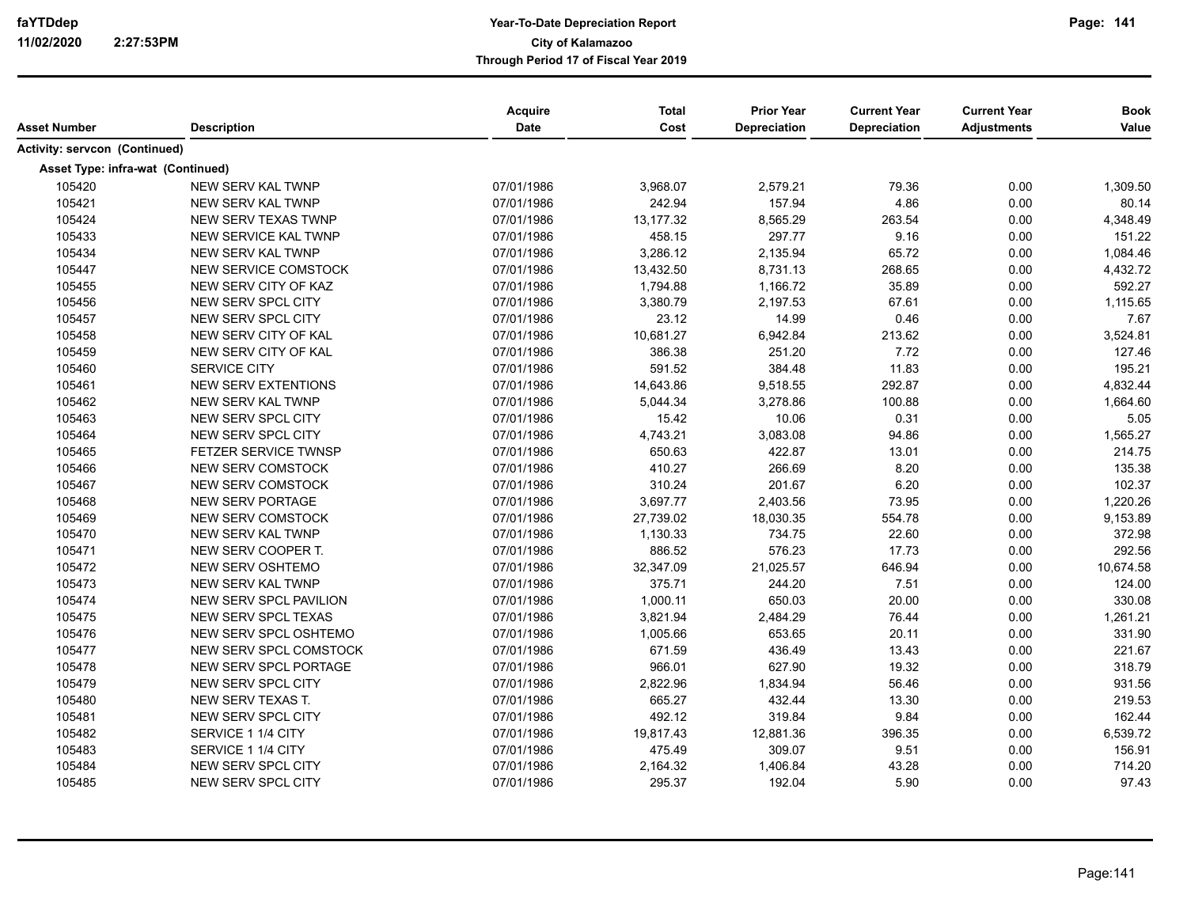| Asset Number                         | <b>Description</b>            | Acquire<br>Date | <b>Total</b><br>Cost | <b>Prior Year</b><br>Depreciation | <b>Current Year</b><br>Depreciation | <b>Current Year</b><br><b>Adjustments</b> | <b>Book</b><br>Value |
|--------------------------------------|-------------------------------|-----------------|----------------------|-----------------------------------|-------------------------------------|-------------------------------------------|----------------------|
|                                      |                               |                 |                      |                                   |                                     |                                           |                      |
| <b>Activity: servcon (Continued)</b> |                               |                 |                      |                                   |                                     |                                           |                      |
| Asset Type: infra-wat (Continued)    |                               |                 |                      |                                   |                                     |                                           |                      |
| 105420                               | NEW SERV KAL TWNP             | 07/01/1986      | 3,968.07             | 2,579.21                          | 79.36                               | 0.00                                      | 1,309.50             |
| 105421                               | <b>NEW SERV KAL TWNP</b>      | 07/01/1986      | 242.94               | 157.94                            | 4.86                                | 0.00                                      | 80.14                |
| 105424                               | NEW SERV TEXAS TWNP           | 07/01/1986      | 13,177.32            | 8,565.29                          | 263.54                              | 0.00                                      | 4,348.49             |
| 105433                               | <b>NEW SERVICE KAL TWNP</b>   | 07/01/1986      | 458.15               | 297.77                            | 9.16                                | 0.00                                      | 151.22               |
| 105434                               | <b>NEW SERV KAL TWNP</b>      | 07/01/1986      | 3,286.12             | 2,135.94                          | 65.72                               | 0.00                                      | 1,084.46             |
| 105447                               | <b>NEW SERVICE COMSTOCK</b>   | 07/01/1986      | 13,432.50            | 8,731.13                          | 268.65                              | 0.00                                      | 4,432.72             |
| 105455                               | NEW SERV CITY OF KAZ          | 07/01/1986      | 1,794.88             | 1,166.72                          | 35.89                               | 0.00                                      | 592.27               |
| 105456                               | NEW SERV SPCL CITY            | 07/01/1986      | 3,380.79             | 2,197.53                          | 67.61                               | 0.00                                      | 1,115.65             |
| 105457                               | NEW SERV SPCL CITY            | 07/01/1986      | 23.12                | 14.99                             | 0.46                                | 0.00                                      | 7.67                 |
| 105458                               | NEW SERV CITY OF KAL          | 07/01/1986      | 10,681.27            | 6,942.84                          | 213.62                              | 0.00                                      | 3,524.81             |
| 105459                               | NEW SERV CITY OF KAL          | 07/01/1986      | 386.38               | 251.20                            | 7.72                                | 0.00                                      | 127.46               |
| 105460                               | SERVICE CITY                  | 07/01/1986      | 591.52               | 384.48                            | 11.83                               | 0.00                                      | 195.21               |
| 105461                               | <b>NEW SERV EXTENTIONS</b>    | 07/01/1986      | 14,643.86            | 9,518.55                          | 292.87                              | 0.00                                      | 4,832.44             |
| 105462                               | <b>NEW SERV KAL TWNP</b>      | 07/01/1986      | 5,044.34             | 3,278.86                          | 100.88                              | 0.00                                      | 1,664.60             |
| 105463                               | <b>NEW SERV SPCL CITY</b>     | 07/01/1986      | 15.42                | 10.06                             | 0.31                                | 0.00                                      | 5.05                 |
| 105464                               | <b>NEW SERV SPCL CITY</b>     | 07/01/1986      | 4,743.21             | 3,083.08                          | 94.86                               | 0.00                                      | 1,565.27             |
| 105465                               | <b>FETZER SERVICE TWNSP</b>   | 07/01/1986      | 650.63               | 422.87                            | 13.01                               | 0.00                                      | 214.75               |
| 105466                               | <b>NEW SERV COMSTOCK</b>      | 07/01/1986      | 410.27               | 266.69                            | 8.20                                | 0.00                                      | 135.38               |
| 105467                               | NEW SERV COMSTOCK             | 07/01/1986      | 310.24               | 201.67                            | 6.20                                | 0.00                                      | 102.37               |
| 105468                               | <b>NEW SERV PORTAGE</b>       | 07/01/1986      | 3,697.77             | 2,403.56                          | 73.95                               | 0.00                                      | 1,220.26             |
| 105469                               | NEW SERV COMSTOCK             | 07/01/1986      | 27,739.02            | 18,030.35                         | 554.78                              | 0.00                                      | 9,153.89             |
| 105470                               | <b>NEW SERV KAL TWNP</b>      | 07/01/1986      | 1,130.33             | 734.75                            | 22.60                               | 0.00                                      | 372.98               |
| 105471                               | NEW SERV COOPER T.            | 07/01/1986      | 886.52               | 576.23                            | 17.73                               | 0.00                                      | 292.56               |
| 105472                               | NEW SERV OSHTEMO              | 07/01/1986      | 32,347.09            | 21,025.57                         | 646.94                              | 0.00                                      | 10,674.58            |
| 105473                               | <b>NEW SERV KAL TWNP</b>      | 07/01/1986      | 375.71               | 244.20                            | 7.51                                | 0.00                                      | 124.00               |
| 105474                               | NEW SERV SPCL PAVILION        | 07/01/1986      | 1,000.11             | 650.03                            | 20.00                               | 0.00                                      | 330.08               |
| 105475                               | <b>NEW SERV SPCL TEXAS</b>    | 07/01/1986      | 3,821.94             | 2,484.29                          | 76.44                               | 0.00                                      | 1,261.21             |
| 105476                               | NEW SERV SPCL OSHTEMO         | 07/01/1986      | 1,005.66             | 653.65                            | 20.11                               | 0.00                                      | 331.90               |
| 105477                               | <b>NEW SERV SPCL COMSTOCK</b> | 07/01/1986      | 671.59               | 436.49                            | 13.43                               | 0.00                                      | 221.67               |
| 105478                               | NEW SERV SPCL PORTAGE         | 07/01/1986      | 966.01               | 627.90                            | 19.32                               | 0.00                                      | 318.79               |
| 105479                               | NEW SERV SPCL CITY            | 07/01/1986      | 2,822.96             | 1,834.94                          | 56.46                               | 0.00                                      | 931.56               |
| 105480                               | NEW SERV TEXAS T.             | 07/01/1986      | 665.27               | 432.44                            | 13.30                               | 0.00                                      | 219.53               |
| 105481                               | NEW SERV SPCL CITY            | 07/01/1986      | 492.12               | 319.84                            | 9.84                                | 0.00                                      | 162.44               |
| 105482                               | SERVICE 1 1/4 CITY            | 07/01/1986      | 19,817.43            | 12,881.36                         | 396.35                              | 0.00                                      | 6,539.72             |
| 105483                               | SERVICE 1 1/4 CITY            | 07/01/1986      | 475.49               | 309.07                            | 9.51                                | 0.00                                      | 156.91               |
| 105484                               | NEW SERV SPCL CITY            | 07/01/1986      | 2,164.32             | 1,406.84                          | 43.28                               | 0.00                                      | 714.20               |
|                                      |                               |                 |                      |                                   |                                     |                                           |                      |
| 105485                               | <b>NEW SERV SPCL CITY</b>     | 07/01/1986      | 295.37               | 192.04                            | 5.90                                | 0.00                                      | 97.43                |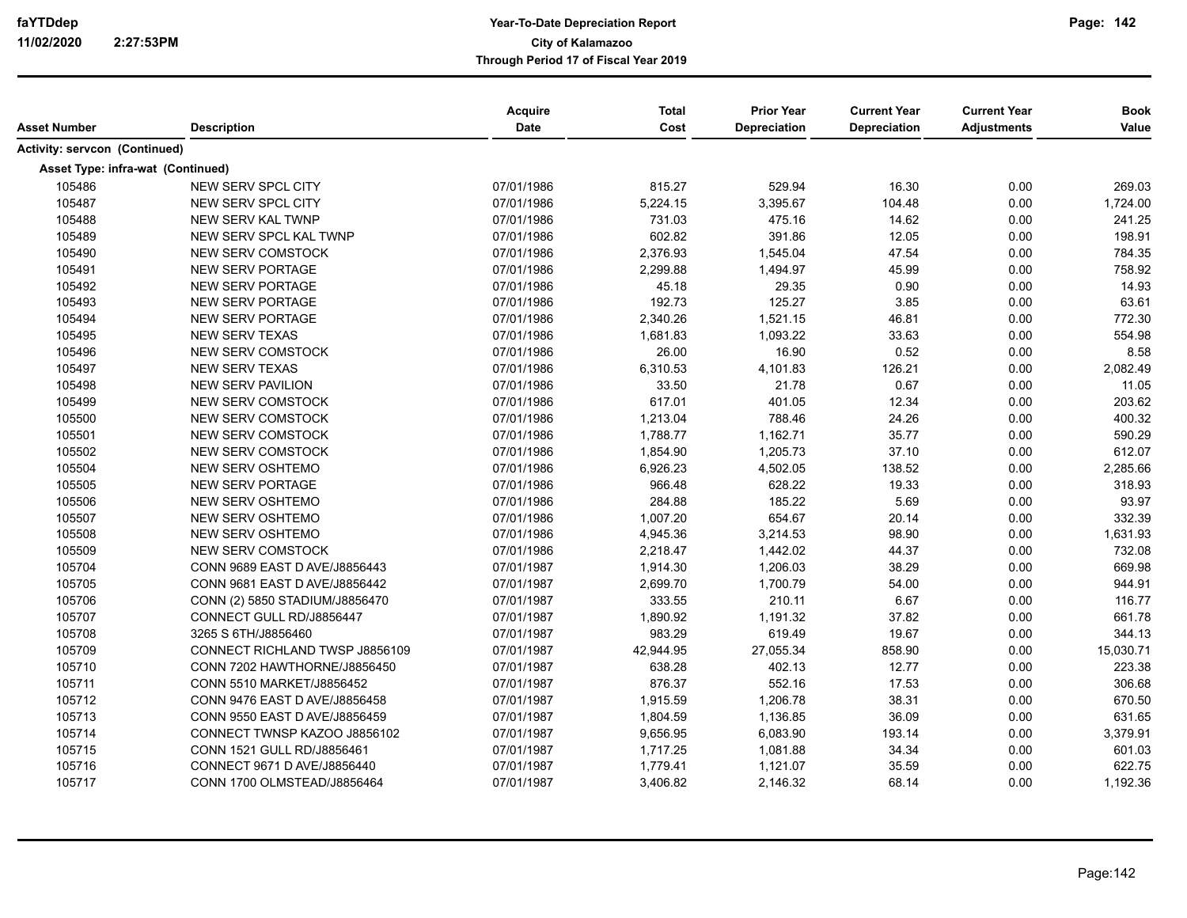| Asset Number                      | <b>Description</b>             | Acquire<br>Date | <b>Total</b><br>Cost | <b>Prior Year</b><br>Depreciation | <b>Current Year</b><br>Depreciation | <b>Current Year</b><br><b>Adjustments</b> | <b>Book</b><br>Value |
|-----------------------------------|--------------------------------|-----------------|----------------------|-----------------------------------|-------------------------------------|-------------------------------------------|----------------------|
| Activity: servcon (Continued)     |                                |                 |                      |                                   |                                     |                                           |                      |
|                                   |                                |                 |                      |                                   |                                     |                                           |                      |
| Asset Type: infra-wat (Continued) |                                |                 |                      |                                   |                                     |                                           |                      |
| 105486                            | NEW SERV SPCL CITY             | 07/01/1986      | 815.27               | 529.94                            | 16.30                               | 0.00                                      | 269.03               |
| 105487                            | <b>NEW SERV SPCL CITY</b>      | 07/01/1986      | 5,224.15             | 3,395.67                          | 104.48                              | 0.00                                      | 1,724.00             |
| 105488                            | <b>NEW SERV KAL TWNP</b>       | 07/01/1986      | 731.03               | 475.16                            | 14.62                               | 0.00                                      | 241.25               |
| 105489                            | NEW SERV SPCL KAL TWNP         | 07/01/1986      | 602.82               | 391.86                            | 12.05                               | 0.00                                      | 198.91               |
| 105490                            | <b>NEW SERV COMSTOCK</b>       | 07/01/1986      | 2,376.93             | 1,545.04                          | 47.54                               | 0.00                                      | 784.35               |
| 105491                            | <b>NEW SERV PORTAGE</b>        | 07/01/1986      | 2,299.88             | 1,494.97                          | 45.99                               | 0.00                                      | 758.92               |
| 105492                            | <b>NEW SERV PORTAGE</b>        | 07/01/1986      | 45.18                | 29.35                             | 0.90                                | 0.00                                      | 14.93                |
| 105493                            | <b>NEW SERV PORTAGE</b>        | 07/01/1986      | 192.73               | 125.27                            | 3.85                                | 0.00                                      | 63.61                |
| 105494                            | <b>NEW SERV PORTAGE</b>        | 07/01/1986      | 2,340.26             | 1,521.15                          | 46.81                               | 0.00                                      | 772.30               |
| 105495                            | NEW SERV TEXAS                 | 07/01/1986      | 1,681.83             | 1,093.22                          | 33.63                               | 0.00                                      | 554.98               |
| 105496                            | <b>NEW SERV COMSTOCK</b>       | 07/01/1986      | 26.00                | 16.90                             | 0.52                                | 0.00                                      | 8.58                 |
| 105497                            | <b>NEW SERV TEXAS</b>          | 07/01/1986      | 6,310.53             | 4,101.83                          | 126.21                              | 0.00                                      | 2,082.49             |
| 105498                            | <b>NEW SERV PAVILION</b>       | 07/01/1986      | 33.50                | 21.78                             | 0.67                                | 0.00                                      | 11.05                |
| 105499                            | <b>NEW SERV COMSTOCK</b>       | 07/01/1986      | 617.01               | 401.05                            | 12.34                               | 0.00                                      | 203.62               |
| 105500                            | <b>NEW SERV COMSTOCK</b>       | 07/01/1986      | 1,213.04             | 788.46                            | 24.26                               | 0.00                                      | 400.32               |
| 105501                            | NEW SERV COMSTOCK              | 07/01/1986      | 1,788.77             | 1,162.71                          | 35.77                               | 0.00                                      | 590.29               |
| 105502                            | NEW SERV COMSTOCK              | 07/01/1986      | 1,854.90             | 1,205.73                          | 37.10                               | 0.00                                      | 612.07               |
| 105504                            | <b>NEW SERV OSHTEMO</b>        | 07/01/1986      | 6,926.23             | 4,502.05                          | 138.52                              | 0.00                                      | 2,285.66             |
| 105505                            | <b>NEW SERV PORTAGE</b>        | 07/01/1986      | 966.48               | 628.22                            | 19.33                               | 0.00                                      | 318.93               |
| 105506                            | NEW SERV OSHTEMO               | 07/01/1986      | 284.88               | 185.22                            | 5.69                                | 0.00                                      | 93.97                |
| 105507                            | NEW SERV OSHTEMO               | 07/01/1986      | 1,007.20             | 654.67                            | 20.14                               | 0.00                                      | 332.39               |
| 105508                            | <b>NEW SERV OSHTEMO</b>        | 07/01/1986      | 4,945.36             | 3,214.53                          | 98.90                               | 0.00                                      | 1,631.93             |
| 105509                            | <b>NEW SERV COMSTOCK</b>       | 07/01/1986      | 2,218.47             | 1,442.02                          | 44.37                               | 0.00                                      | 732.08               |
| 105704                            | CONN 9689 EAST D AVE/J8856443  | 07/01/1987      | 1,914.30             | 1,206.03                          | 38.29                               | 0.00                                      | 669.98               |
| 105705                            | CONN 9681 EAST D AVE/J8856442  | 07/01/1987      | 2,699.70             | 1,700.79                          | 54.00                               | 0.00                                      | 944.91               |
| 105706                            | CONN (2) 5850 STADIUM/J8856470 | 07/01/1987      | 333.55               | 210.11                            | 6.67                                | 0.00                                      | 116.77               |
| 105707                            | CONNECT GULL RD/J8856447       | 07/01/1987      | 1,890.92             | 1,191.32                          | 37.82                               | 0.00                                      | 661.78               |
| 105708                            | 3265 S 6TH/J8856460            | 07/01/1987      | 983.29               | 619.49                            | 19.67                               | 0.00                                      | 344.13               |
| 105709                            | CONNECT RICHLAND TWSP J8856109 | 07/01/1987      | 42,944.95            | 27,055.34                         | 858.90                              | 0.00                                      | 15,030.71            |
| 105710                            | CONN 7202 HAWTHORNE/J8856450   | 07/01/1987      | 638.28               | 402.13                            | 12.77                               | 0.00                                      | 223.38               |
| 105711                            | CONN 5510 MARKET/J8856452      | 07/01/1987      | 876.37               | 552.16                            | 17.53                               | 0.00                                      | 306.68               |
| 105712                            | CONN 9476 EAST D AVE/J8856458  | 07/01/1987      | 1,915.59             | 1,206.78                          | 38.31                               | 0.00                                      | 670.50               |
| 105713                            | CONN 9550 EAST D AVE/J8856459  | 07/01/1987      | 1,804.59             | 1,136.85                          | 36.09                               | 0.00                                      | 631.65               |
| 105714                            | CONNECT TWNSP KAZOO J8856102   | 07/01/1987      | 9,656.95             | 6,083.90                          | 193.14                              | 0.00                                      | 3,379.91             |
| 105715                            | CONN 1521 GULL RD/J8856461     | 07/01/1987      | 1,717.25             | 1,081.88                          | 34.34                               | 0.00                                      | 601.03               |
| 105716                            | CONNECT 9671 D AVE/J8856440    | 07/01/1987      | 1,779.41             | 1,121.07                          | 35.59                               | 0.00                                      | 622.75               |
| 105717                            | CONN 1700 OLMSTEAD/J8856464    | 07/01/1987      | 3,406.82             | 2,146.32                          | 68.14                               | 0.00                                      | 1,192.36             |
|                                   |                                |                 |                      |                                   |                                     |                                           |                      |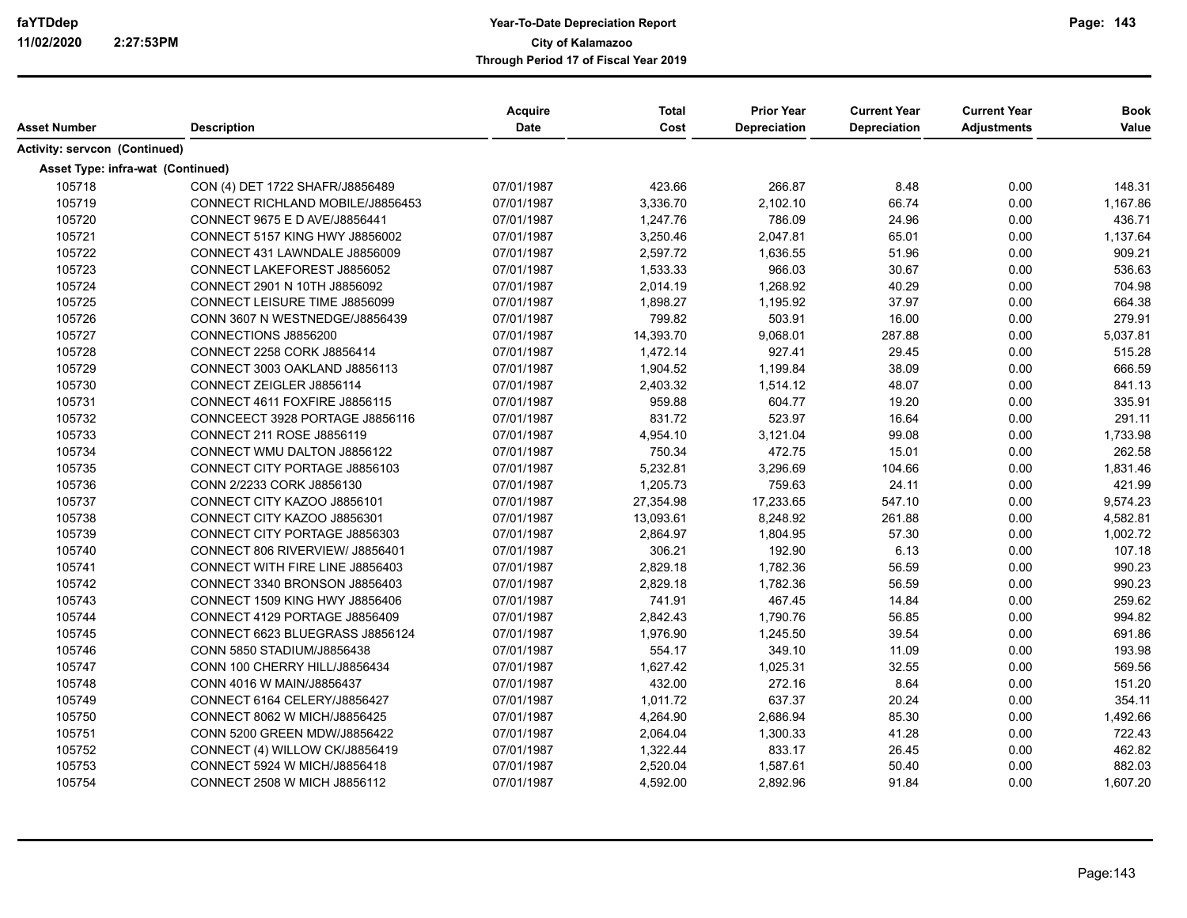|                                      |                                       | <b>Acquire</b><br>Date | <b>Total</b><br>Cost | <b>Prior Year</b>   | <b>Current Year</b> | <b>Current Year</b> | <b>Book</b> |
|--------------------------------------|---------------------------------------|------------------------|----------------------|---------------------|---------------------|---------------------|-------------|
| Asset Number                         | <b>Description</b>                    |                        |                      | <b>Depreciation</b> | <b>Depreciation</b> | <b>Adjustments</b>  | Value       |
| <b>Activity: servcon (Continued)</b> |                                       |                        |                      |                     |                     |                     |             |
| Asset Type: infra-wat (Continued)    |                                       |                        |                      |                     |                     |                     |             |
| 105718                               | CON (4) DET 1722 SHAFR/J8856489       | 07/01/1987             | 423.66               | 266.87              | 8.48                | 0.00                | 148.31      |
| 105719                               | CONNECT RICHLAND MOBILE/J8856453      | 07/01/1987             | 3,336.70             | 2,102.10            | 66.74               | 0.00                | 1,167.86    |
| 105720                               | CONNECT 9675 E D AVE/J8856441         | 07/01/1987             | 1,247.76             | 786.09              | 24.96               | 0.00                | 436.71      |
| 105721                               | CONNECT 5157 KING HWY J8856002        | 07/01/1987             | 3,250.46             | 2,047.81            | 65.01               | 0.00                | 1,137.64    |
| 105722                               | CONNECT 431 LAWNDALE J8856009         | 07/01/1987             | 2,597.72             | 1,636.55            | 51.96               | 0.00                | 909.21      |
| 105723                               | CONNECT LAKEFOREST J8856052           | 07/01/1987             | 1,533.33             | 966.03              | 30.67               | 0.00                | 536.63      |
| 105724                               | CONNECT 2901 N 10TH J8856092          | 07/01/1987             | 2,014.19             | 1.268.92            | 40.29               | 0.00                | 704.98      |
| 105725                               | CONNECT LEISURE TIME J8856099         | 07/01/1987             | 1,898.27             | 1,195.92            | 37.97               | 0.00                | 664.38      |
| 105726                               | CONN 3607 N WESTNEDGE/J8856439        | 07/01/1987             | 799.82               | 503.91              | 16.00               | 0.00                | 279.91      |
| 105727                               | CONNECTIONS J8856200                  | 07/01/1987             | 14,393.70            | 9,068.01            | 287.88              | 0.00                | 5,037.81    |
| 105728                               | CONNECT 2258 CORK J8856414            | 07/01/1987             | 1,472.14             | 927.41              | 29.45               | 0.00                | 515.28      |
| 105729                               | CONNECT 3003 OAKLAND J8856113         | 07/01/1987             | 1,904.52             | 1,199.84            | 38.09               | 0.00                | 666.59      |
| 105730                               | CONNECT ZEIGLER J8856114              | 07/01/1987             | 2,403.32             | 1,514.12            | 48.07               | 0.00                | 841.13      |
| 105731                               | <b>CONNECT 4611 FOXFIRE J8856115</b>  | 07/01/1987             | 959.88               | 604.77              | 19.20               | 0.00                | 335.91      |
| 105732                               | CONNCEECT 3928 PORTAGE J8856116       | 07/01/1987             | 831.72               | 523.97              | 16.64               | 0.00                | 291.11      |
| 105733                               | CONNECT 211 ROSE J8856119             | 07/01/1987             | 4,954.10             | 3,121.04            | 99.08               | 0.00                | 1,733.98    |
| 105734                               | CONNECT WMU DALTON J8856122           | 07/01/1987             | 750.34               | 472.75              | 15.01               | 0.00                | 262.58      |
| 105735                               | CONNECT CITY PORTAGE J8856103         | 07/01/1987             | 5,232.81             | 3,296.69            | 104.66              | 0.00                | 1,831.46    |
| 105736                               | CONN 2/2233 CORK J8856130             | 07/01/1987             | 1,205.73             | 759.63              | 24.11               | 0.00                | 421.99      |
| 105737                               | CONNECT CITY KAZOO J8856101           | 07/01/1987             | 27,354.98            | 17,233.65           | 547.10              | 0.00                | 9,574.23    |
| 105738                               | CONNECT CITY KAZOO J8856301           | 07/01/1987             | 13,093.61            | 8,248.92            | 261.88              | 0.00                | 4,582.81    |
| 105739                               | CONNECT CITY PORTAGE J8856303         | 07/01/1987             | 2,864.97             | 1,804.95            | 57.30               | 0.00                | 1,002.72    |
| 105740                               | CONNECT 806 RIVERVIEW/ J8856401       | 07/01/1987             | 306.21               | 192.90              | 6.13                | 0.00                | 107.18      |
| 105741                               | CONNECT WITH FIRE LINE J8856403       | 07/01/1987             | 2,829.18             | 1,782.36            | 56.59               | 0.00                | 990.23      |
| 105742                               | CONNECT 3340 BRONSON J8856403         | 07/01/1987             | 2,829.18             | 1,782.36            | 56.59               | 0.00                | 990.23      |
| 105743                               | <b>CONNECT 1509 KING HWY J8856406</b> | 07/01/1987             | 741.91               | 467.45              | 14.84               | 0.00                | 259.62      |
| 105744                               | CONNECT 4129 PORTAGE J8856409         | 07/01/1987             | 2,842.43             | 1,790.76            | 56.85               | 0.00                | 994.82      |
| 105745                               | CONNECT 6623 BLUEGRASS J8856124       | 07/01/1987             | 1,976.90             | 1,245.50            | 39.54               | 0.00                | 691.86      |
| 105746                               | CONN 5850 STADIUM/J8856438            | 07/01/1987             | 554.17               | 349.10              | 11.09               | 0.00                | 193.98      |
| 105747                               | CONN 100 CHERRY HILL/J8856434         | 07/01/1987             | 1,627.42             | 1,025.31            | 32.55               | 0.00                | 569.56      |
| 105748                               | CONN 4016 W MAIN/J8856437             | 07/01/1987             | 432.00               | 272.16              | 8.64                | 0.00                | 151.20      |
| 105749                               | CONNECT 6164 CELERY/J8856427          | 07/01/1987             | 1,011.72             | 637.37              | 20.24               | 0.00                | 354.11      |
| 105750                               | CONNECT 8062 W MICH/J8856425          | 07/01/1987             | 4,264.90             | 2,686.94            | 85.30               | 0.00                | 1,492.66    |
| 105751                               | CONN 5200 GREEN MDW/J8856422          | 07/01/1987             | 2,064.04             | 1,300.33            | 41.28               | 0.00                | 722.43      |
| 105752                               | CONNECT (4) WILLOW CK/J8856419        | 07/01/1987             | 1,322.44             | 833.17              | 26.45               | 0.00                | 462.82      |
| 105753                               | CONNECT 5924 W MICH/J8856418          | 07/01/1987             | 2,520.04             | 1,587.61            | 50.40               | 0.00                | 882.03      |
| 105754                               | CONNECT 2508 W MICH J8856112          | 07/01/1987             | 4,592.00             | 2,892.96            | 91.84               | 0.00                | 1,607.20    |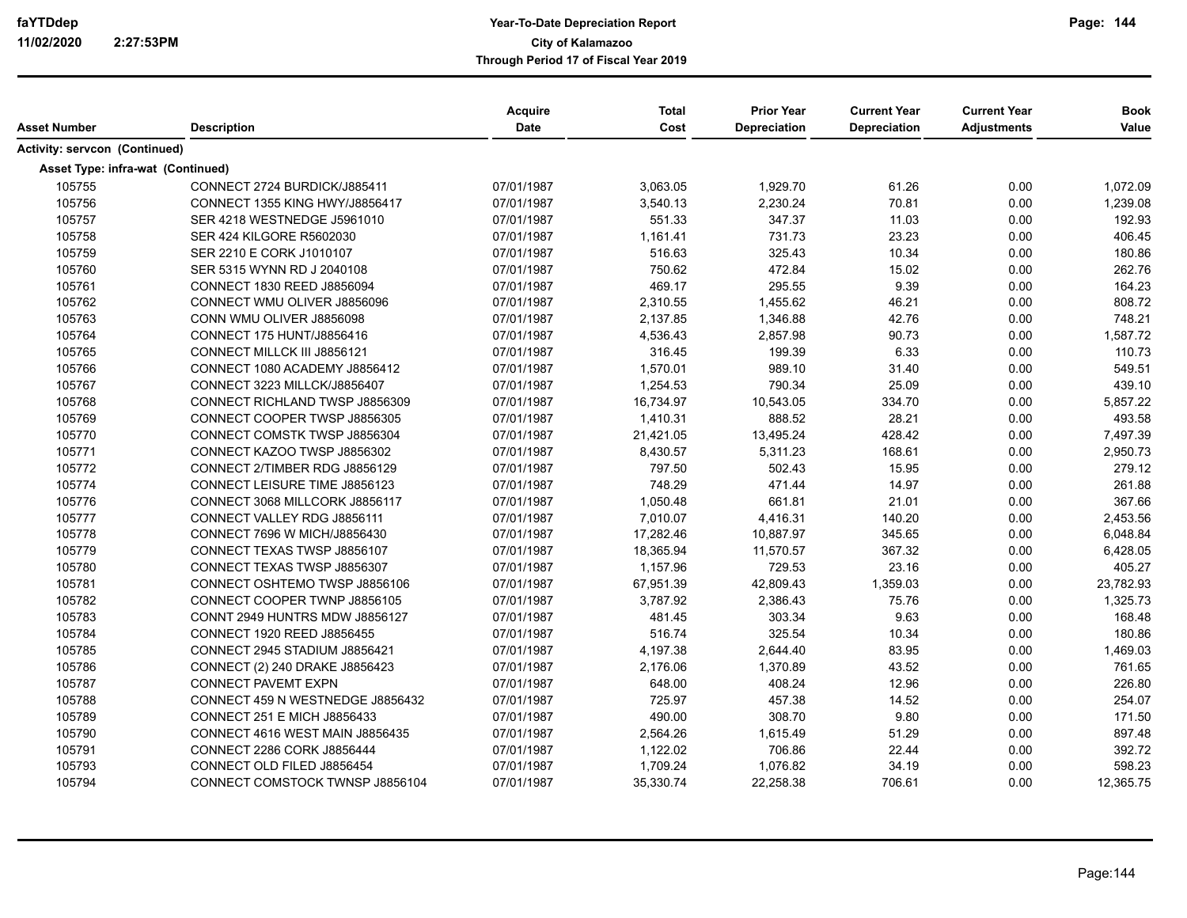| Asset Number                         | <b>Description</b>                     | Acquire<br>Date | <b>Total</b><br>Cost | <b>Prior Year</b><br>Depreciation | <b>Current Year</b><br>Depreciation | <b>Current Year</b><br><b>Adjustments</b> | <b>Book</b><br>Value |
|--------------------------------------|----------------------------------------|-----------------|----------------------|-----------------------------------|-------------------------------------|-------------------------------------------|----------------------|
| <b>Activity: servcon (Continued)</b> |                                        |                 |                      |                                   |                                     |                                           |                      |
|                                      | Asset Type: infra-wat (Continued)      |                 |                      |                                   |                                     |                                           |                      |
| 105755                               | CONNECT 2724 BURDICK/J885411           | 07/01/1987      | 3,063.05             | 1,929.70                          | 61.26                               | 0.00                                      | 1,072.09             |
| 105756                               | CONNECT 1355 KING HWY/J8856417         | 07/01/1987      | 3,540.13             | 2,230.24                          | 70.81                               | 0.00                                      | 1,239.08             |
| 105757                               | SER 4218 WESTNEDGE J5961010            | 07/01/1987      | 551.33               | 347.37                            | 11.03                               | 0.00                                      | 192.93               |
| 105758                               | SER 424 KILGORE R5602030               | 07/01/1987      | 1,161.41             | 731.73                            | 23.23                               | 0.00                                      | 406.45               |
| 105759                               | SER 2210 E CORK J1010107               | 07/01/1987      | 516.63               | 325.43                            | 10.34                               | 0.00                                      | 180.86               |
| 105760                               | SER 5315 WYNN RD J 2040108             | 07/01/1987      | 750.62               | 472.84                            | 15.02                               | 0.00                                      | 262.76               |
| 105761                               | CONNECT 1830 REED J8856094             | 07/01/1987      | 469.17               | 295.55                            | 9.39                                | 0.00                                      | 164.23               |
| 105762                               | CONNECT WMU OLIVER J8856096            | 07/01/1987      | 2,310.55             | 1,455.62                          | 46.21                               | 0.00                                      | 808.72               |
| 105763                               | CONN WMU OLIVER J8856098               | 07/01/1987      | 2,137.85             | 1,346.88                          | 42.76                               | 0.00                                      | 748.21               |
| 105764                               | CONNECT 175 HUNT/J8856416              | 07/01/1987      | 4,536.43             | 2,857.98                          | 90.73                               | 0.00                                      | 1,587.72             |
| 105765                               | CONNECT MILLCK III J8856121            | 07/01/1987      | 316.45               | 199.39                            | 6.33                                | 0.00                                      | 110.73               |
| 105766                               | CONNECT 1080 ACADEMY J8856412          | 07/01/1987      | 1,570.01             | 989.10                            | 31.40                               | 0.00                                      | 549.51               |
| 105767                               | CONNECT 3223 MILLCK/J8856407           | 07/01/1987      | 1,254.53             | 790.34                            | 25.09                               | 0.00                                      | 439.10               |
| 105768                               | CONNECT RICHLAND TWSP J8856309         | 07/01/1987      | 16,734.97            | 10,543.05                         | 334.70                              | 0.00                                      | 5,857.22             |
| 105769                               | CONNECT COOPER TWSP J8856305           | 07/01/1987      | 1,410.31             | 888.52                            | 28.21                               | 0.00                                      | 493.58               |
| 105770                               | CONNECT COMSTK TWSP J8856304           | 07/01/1987      | 21,421.05            | 13,495.24                         | 428.42                              | 0.00                                      | 7,497.39             |
| 105771                               | CONNECT KAZOO TWSP J8856302            | 07/01/1987      | 8,430.57             | 5,311.23                          | 168.61                              | 0.00                                      | 2,950.73             |
| 105772                               | CONNECT 2/TIMBER RDG J8856129          | 07/01/1987      | 797.50               | 502.43                            | 15.95                               | 0.00                                      | 279.12               |
| 105774                               | CONNECT LEISURE TIME J8856123          | 07/01/1987      | 748.29               | 471.44                            | 14.97                               | 0.00                                      | 261.88               |
| 105776                               | CONNECT 3068 MILLCORK J8856117         | 07/01/1987      | 1,050.48             | 661.81                            | 21.01                               | 0.00                                      | 367.66               |
| 105777                               | CONNECT VALLEY RDG J8856111            | 07/01/1987      | 7,010.07             | 4,416.31                          | 140.20                              | 0.00                                      | 2,453.56             |
| 105778                               | CONNECT 7696 W MICH/J8856430           | 07/01/1987      | 17,282.46            | 10,887.97                         | 345.65                              | 0.00                                      | 6,048.84             |
| 105779                               | CONNECT TEXAS TWSP J8856107            | 07/01/1987      | 18,365.94            | 11,570.57                         | 367.32                              | 0.00                                      | 6,428.05             |
| 105780                               | CONNECT TEXAS TWSP J8856307            | 07/01/1987      | 1,157.96             | 729.53                            | 23.16                               | 0.00                                      | 405.27               |
| 105781                               | CONNECT OSHTEMO TWSP J8856106          | 07/01/1987      | 67,951.39            | 42,809.43                         | 1,359.03                            | 0.00                                      | 23,782.93            |
| 105782                               | CONNECT COOPER TWNP J8856105           | 07/01/1987      | 3,787.92             | 2,386.43                          | 75.76                               | 0.00                                      | 1,325.73             |
| 105783                               | CONNT 2949 HUNTRS MDW J8856127         | 07/01/1987      | 481.45               | 303.34                            | 9.63                                | 0.00                                      | 168.48               |
| 105784                               | CONNECT 1920 REED J8856455             | 07/01/1987      | 516.74               | 325.54                            | 10.34                               | 0.00                                      | 180.86               |
| 105785                               | CONNECT 2945 STADIUM J8856421          | 07/01/1987      | 4,197.38             | 2,644.40                          | 83.95                               | 0.00                                      | 1,469.03             |
| 105786                               | CONNECT (2) 240 DRAKE J8856423         | 07/01/1987      | 2,176.06             | 1,370.89                          | 43.52                               | 0.00                                      | 761.65               |
| 105787                               | <b>CONNECT PAVEMT EXPN</b>             | 07/01/1987      | 648.00               | 408.24                            | 12.96                               | 0.00                                      | 226.80               |
| 105788                               | CONNECT 459 N WESTNEDGE J8856432       | 07/01/1987      | 725.97               | 457.38                            | 14.52                               | 0.00                                      | 254.07               |
| 105789                               | <b>CONNECT 251 E MICH J8856433</b>     | 07/01/1987      | 490.00               | 308.70                            | 9.80                                | 0.00                                      | 171.50               |
| 105790                               | <b>CONNECT 4616 WEST MAIN J8856435</b> | 07/01/1987      | 2,564.26             | 1,615.49                          | 51.29                               | 0.00                                      | 897.48               |
| 105791                               | CONNECT 2286 CORK J8856444             | 07/01/1987      | 1,122.02             | 706.86                            | 22.44                               | 0.00                                      | 392.72               |
| 105793                               | CONNECT OLD FILED J8856454             | 07/01/1987      | 1,709.24             | 1,076.82                          | 34.19                               | 0.00                                      | 598.23               |
| 105794                               | CONNECT COMSTOCK TWNSP J8856104        | 07/01/1987      | 35,330.74            | 22,258.38                         | 706.61                              | 0.00                                      | 12,365.75            |

Page:144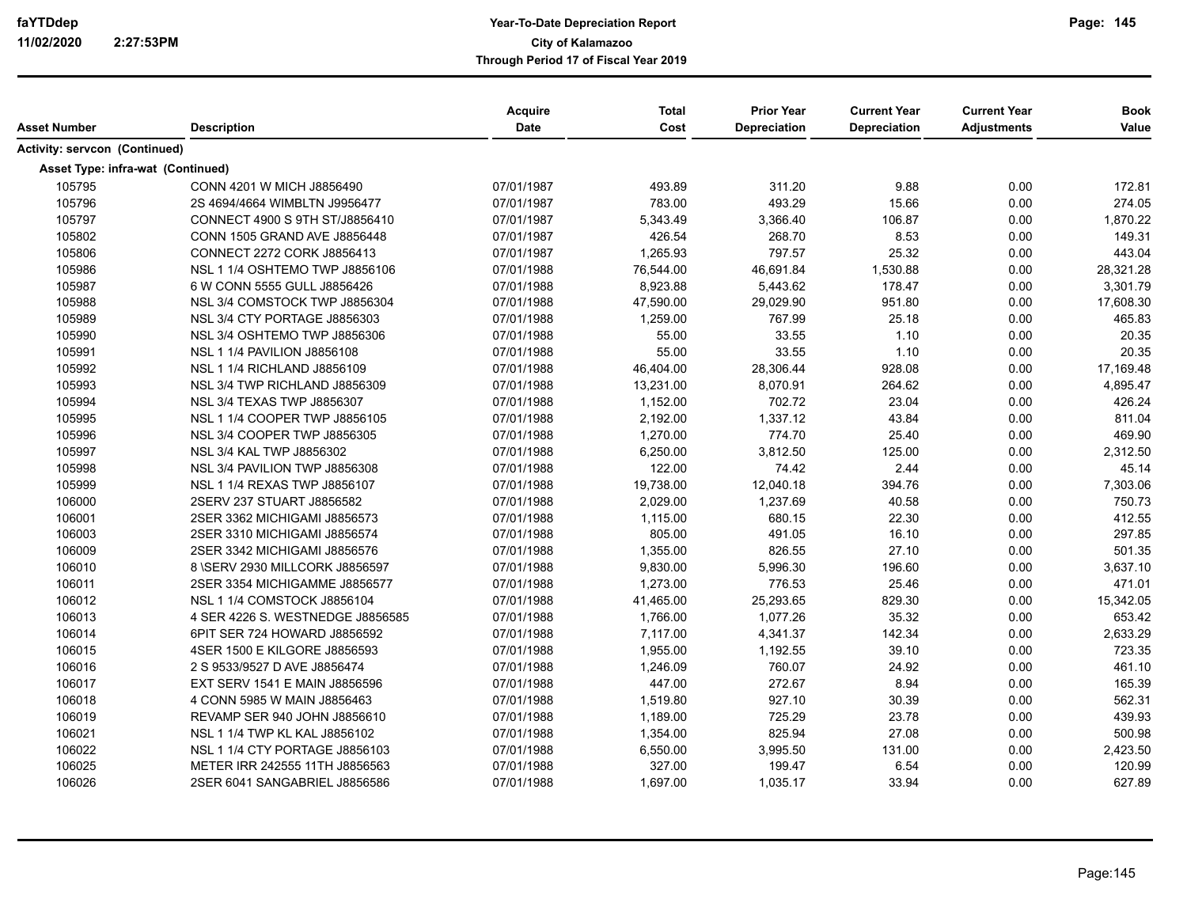| Asset Number                      | <b>Description</b>               | <b>Acquire</b><br>Date | <b>Total</b><br>Cost | <b>Prior Year</b><br>Depreciation | <b>Current Year</b><br>Depreciation | <b>Current Year</b><br><b>Adjustments</b> | <b>Book</b><br>Value |
|-----------------------------------|----------------------------------|------------------------|----------------------|-----------------------------------|-------------------------------------|-------------------------------------------|----------------------|
|                                   |                                  |                        |                      |                                   |                                     |                                           |                      |
| Activity: servcon (Continued)     |                                  |                        |                      |                                   |                                     |                                           |                      |
| Asset Type: infra-wat (Continued) |                                  |                        |                      |                                   |                                     |                                           |                      |
| 105795                            | CONN 4201 W MICH J8856490        | 07/01/1987             | 493.89               | 311.20                            | 9.88                                | 0.00                                      | 172.81               |
| 105796                            | 2S 4694/4664 WIMBLTN J9956477    | 07/01/1987             | 783.00               | 493.29                            | 15.66                               | 0.00                                      | 274.05               |
| 105797                            | CONNECT 4900 S 9TH ST/J8856410   | 07/01/1987             | 5.343.49             | 3.366.40                          | 106.87                              | 0.00                                      | 1,870.22             |
| 105802                            | CONN 1505 GRAND AVE J8856448     | 07/01/1987             | 426.54               | 268.70                            | 8.53                                | 0.00                                      | 149.31               |
| 105806                            | CONNECT 2272 CORK J8856413       | 07/01/1987             | 1,265.93             | 797.57                            | 25.32                               | 0.00                                      | 443.04               |
| 105986                            | NSL 1 1/4 OSHTEMO TWP J8856106   | 07/01/1988             | 76,544.00            | 46,691.84                         | 1,530.88                            | 0.00                                      | 28,321.28            |
| 105987                            | 6 W CONN 5555 GULL J8856426      | 07/01/1988             | 8.923.88             | 5,443.62                          | 178.47                              | 0.00                                      | 3,301.79             |
| 105988                            | NSL 3/4 COMSTOCK TWP J8856304    | 07/01/1988             | 47,590.00            | 29,029.90                         | 951.80                              | 0.00                                      | 17,608.30            |
| 105989                            | NSL 3/4 CTY PORTAGE J8856303     | 07/01/1988             | 1,259.00             | 767.99                            | 25.18                               | 0.00                                      | 465.83               |
| 105990                            | NSL 3/4 OSHTEMO TWP J8856306     | 07/01/1988             | 55.00                | 33.55                             | 1.10                                | 0.00                                      | 20.35                |
| 105991                            | NSL 1 1/4 PAVILION J8856108      | 07/01/1988             | 55.00                | 33.55                             | 1.10                                | 0.00                                      | 20.35                |
| 105992                            | NSL 1 1/4 RICHLAND J8856109      | 07/01/1988             | 46,404.00            | 28,306.44                         | 928.08                              | 0.00                                      | 17,169.48            |
| 105993                            | NSL 3/4 TWP RICHLAND J8856309    | 07/01/1988             | 13,231.00            | 8,070.91                          | 264.62                              | 0.00                                      | 4,895.47             |
| 105994                            | NSL 3/4 TEXAS TWP J8856307       | 07/01/1988             | 1,152.00             | 702.72                            | 23.04                               | 0.00                                      | 426.24               |
| 105995                            | NSL 1 1/4 COOPER TWP J8856105    | 07/01/1988             | 2,192.00             | 1.337.12                          | 43.84                               | 0.00                                      | 811.04               |
| 105996                            | NSL 3/4 COOPER TWP J8856305      | 07/01/1988             | 1,270.00             | 774.70                            | 25.40                               | 0.00                                      | 469.90               |
| 105997                            | NSL 3/4 KAL TWP J8856302         | 07/01/1988             | 6,250.00             | 3,812.50                          | 125.00                              | 0.00                                      | 2,312.50             |
| 105998                            | NSL 3/4 PAVILION TWP J8856308    | 07/01/1988             | 122.00               | 74.42                             | 2.44                                | 0.00                                      | 45.14                |
| 105999                            | NSL 1 1/4 REXAS TWP J8856107     | 07/01/1988             | 19,738.00            | 12,040.18                         | 394.76                              | 0.00                                      | 7,303.06             |
| 106000                            | 2SERV 237 STUART J8856582        | 07/01/1988             | 2,029.00             | 1,237.69                          | 40.58                               | 0.00                                      | 750.73               |
| 106001                            | 2SER 3362 MICHIGAMI J8856573     | 07/01/1988             | 1,115.00             | 680.15                            | 22.30                               | 0.00                                      | 412.55               |
| 106003                            | 2SER 3310 MICHIGAMI J8856574     | 07/01/1988             | 805.00               | 491.05                            | 16.10                               | 0.00                                      | 297.85               |
| 106009                            | 2SER 3342 MICHIGAMI J8856576     | 07/01/1988             | 1,355.00             | 826.55                            | 27.10                               | 0.00                                      | 501.35               |
| 106010                            | 8 \SERV 2930 MILLCORK J8856597   | 07/01/1988             | 9,830.00             | 5,996.30                          | 196.60                              | 0.00                                      | 3,637.10             |
| 106011                            | 2SER 3354 MICHIGAMME J8856577    | 07/01/1988             | 1,273.00             | 776.53                            | 25.46                               | 0.00                                      | 471.01               |
| 106012                            | NSL 1 1/4 COMSTOCK J8856104      | 07/01/1988             | 41,465.00            | 25,293.65                         | 829.30                              | 0.00                                      | 15,342.05            |
| 106013                            | 4 SER 4226 S. WESTNEDGE J8856585 | 07/01/1988             | 1,766.00             | 1.077.26                          | 35.32                               | 0.00                                      | 653.42               |
| 106014                            | 6PIT SER 724 HOWARD J8856592     | 07/01/1988             | 7,117.00             | 4,341.37                          | 142.34                              | 0.00                                      | 2,633.29             |
| 106015                            | 4SER 1500 E KILGORE J8856593     | 07/01/1988             | 1,955.00             | 1,192.55                          | 39.10                               | 0.00                                      | 723.35               |
| 106016                            | 2 S 9533/9527 D AVE J8856474     | 07/01/1988             | 1,246.09             | 760.07                            | 24.92                               | 0.00                                      | 461.10               |
| 106017                            | EXT SERV 1541 E MAIN J8856596    | 07/01/1988             | 447.00               | 272.67                            | 8.94                                | 0.00                                      | 165.39               |
| 106018                            | 4 CONN 5985 W MAIN J8856463      | 07/01/1988             | 1,519.80             | 927.10                            | 30.39                               | 0.00                                      | 562.31               |
| 106019                            | REVAMP SER 940 JOHN J8856610     | 07/01/1988             | 1,189.00             | 725.29                            | 23.78                               | 0.00                                      | 439.93               |
| 106021                            | NSL 1 1/4 TWP KL KAL J8856102    | 07/01/1988             | 1,354.00             | 825.94                            | 27.08                               | 0.00                                      | 500.98               |
| 106022                            | NSL 1 1/4 CTY PORTAGE J8856103   | 07/01/1988             | 6,550.00             | 3,995.50                          | 131.00                              | 0.00                                      | 2,423.50             |
| 106025                            | METER IRR 242555 11TH J8856563   | 07/01/1988             | 327.00               | 199.47                            | 6.54                                | 0.00                                      | 120.99               |
| 106026                            | 2SER 6041 SANGABRIEL J8856586    | 07/01/1988             | 1,697.00             | 1,035.17                          | 33.94                               | 0.00                                      | 627.89               |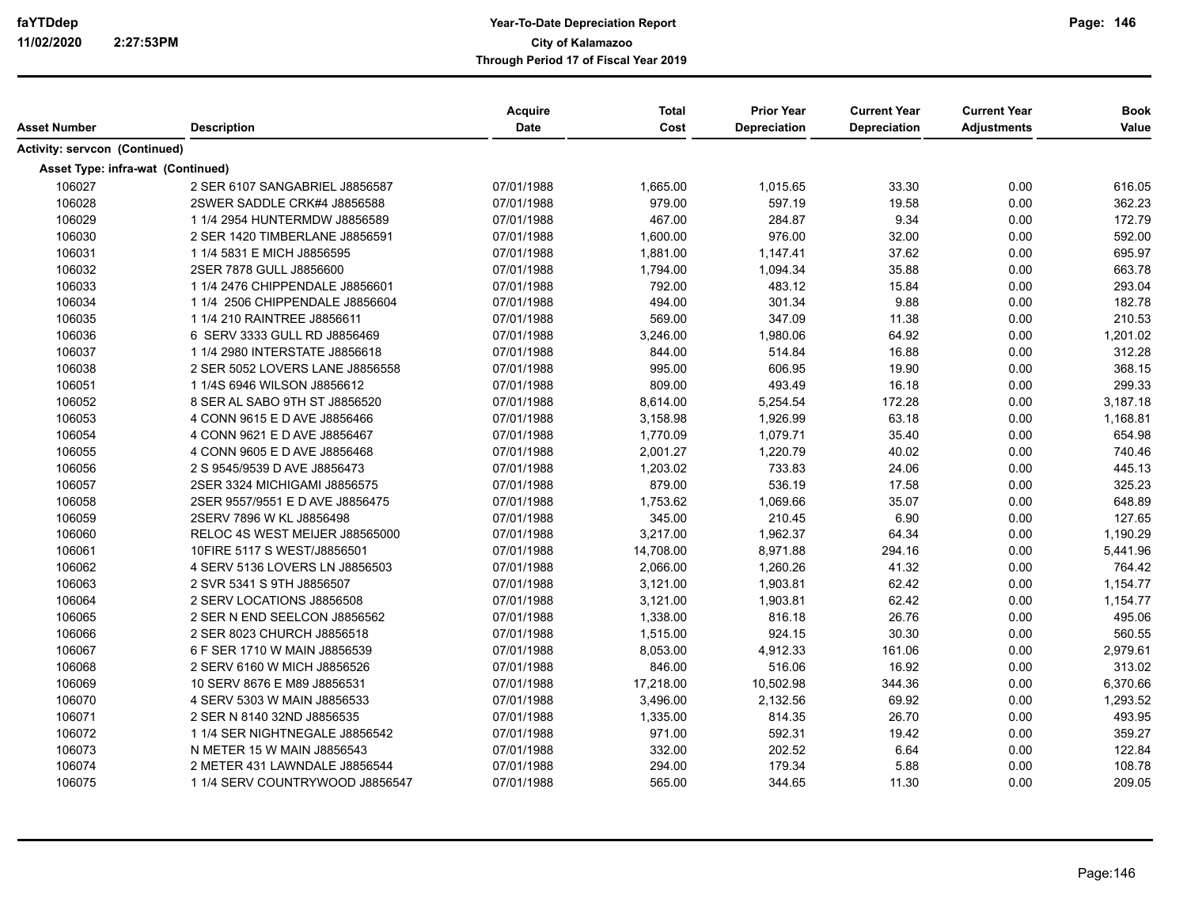| Asset Number                         | <b>Description</b>                | Acquire<br><b>Date</b> | <b>Total</b><br>Cost | <b>Prior Year</b><br>Depreciation | <b>Current Year</b><br>Depreciation | <b>Current Year</b><br><b>Adjustments</b> | <b>Book</b><br>Value |
|--------------------------------------|-----------------------------------|------------------------|----------------------|-----------------------------------|-------------------------------------|-------------------------------------------|----------------------|
| <b>Activity: servcon (Continued)</b> |                                   |                        |                      |                                   |                                     |                                           |                      |
|                                      | Asset Type: infra-wat (Continued) |                        |                      |                                   |                                     |                                           |                      |
| 106027                               | 2 SER 6107 SANGABRIEL J8856587    | 07/01/1988             | 1,665.00             | 1,015.65                          | 33.30                               | 0.00                                      | 616.05               |
| 106028                               | 2SWER SADDLE CRK#4 J8856588       | 07/01/1988             | 979.00               | 597.19                            | 19.58                               | 0.00                                      | 362.23               |
| 106029                               | 1 1/4 2954 HUNTERMDW J8856589     | 07/01/1988             | 467.00               | 284.87                            | 9.34                                | 0.00                                      | 172.79               |
| 106030                               | 2 SER 1420 TIMBERLANE J8856591    | 07/01/1988             | 1,600.00             | 976.00                            | 32.00                               | 0.00                                      | 592.00               |
| 106031                               | 1 1/4 5831 E MICH J8856595        | 07/01/1988             | 1,881.00             | 1,147.41                          | 37.62                               | 0.00                                      | 695.97               |
| 106032                               | 2SER 7878 GULL J8856600           | 07/01/1988             | 1,794.00             | 1,094.34                          | 35.88                               | 0.00                                      | 663.78               |
| 106033                               | 1 1/4 2476 CHIPPENDALE J8856601   | 07/01/1988             | 792.00               | 483.12                            | 15.84                               | 0.00                                      | 293.04               |
| 106034                               | 1 1/4 2506 CHIPPENDALE J8856604   | 07/01/1988             | 494.00               | 301.34                            | 9.88                                | 0.00                                      | 182.78               |
| 106035                               | 1 1/4 210 RAINTREE J8856611       | 07/01/1988             | 569.00               | 347.09                            | 11.38                               | 0.00                                      | 210.53               |
| 106036                               | 6 SERV 3333 GULL RD J8856469      | 07/01/1988             | 3,246.00             | 1,980.06                          | 64.92                               | 0.00                                      | 1,201.02             |
| 106037                               | 1 1/4 2980 INTERSTATE J8856618    | 07/01/1988             | 844.00               | 514.84                            | 16.88                               | 0.00                                      | 312.28               |
| 106038                               | 2 SER 5052 LOVERS LANE J8856558   | 07/01/1988             | 995.00               | 606.95                            | 19.90                               | 0.00                                      | 368.15               |
| 106051                               | 1 1/4S 6946 WILSON J8856612       | 07/01/1988             | 809.00               | 493.49                            | 16.18                               | 0.00                                      | 299.33               |
| 106052                               | 8 SER AL SABO 9TH ST J8856520     | 07/01/1988             | 8,614.00             | 5,254.54                          | 172.28                              | 0.00                                      | 3,187.18             |
| 106053                               | 4 CONN 9615 E D AVE J8856466      | 07/01/1988             | 3,158.98             | 1,926.99                          | 63.18                               | 0.00                                      | 1,168.81             |
| 106054                               | 4 CONN 9621 E D AVE J8856467      | 07/01/1988             | 1,770.09             | 1,079.71                          | 35.40                               | 0.00                                      | 654.98               |
| 106055                               | 4 CONN 9605 E D AVE J8856468      | 07/01/1988             | 2,001.27             | 1,220.79                          | 40.02                               | 0.00                                      | 740.46               |
| 106056                               | 2 S 9545/9539 D AVE J8856473      | 07/01/1988             | 1,203.02             | 733.83                            | 24.06                               | 0.00                                      | 445.13               |
| 106057                               | 2SER 3324 MICHIGAMI J8856575      | 07/01/1988             | 879.00               | 536.19                            | 17.58                               | 0.00                                      | 325.23               |
| 106058                               | 2SER 9557/9551 E D AVE J8856475   | 07/01/1988             | 1,753.62             | 1,069.66                          | 35.07                               | 0.00                                      | 648.89               |
| 106059                               | 2SERV 7896 W KL J8856498          | 07/01/1988             | 345.00               | 210.45                            | 6.90                                | 0.00                                      | 127.65               |
| 106060                               | RELOC 4S WEST MEIJER J88565000    | 07/01/1988             | 3,217.00             | 1,962.37                          | 64.34                               | 0.00                                      | 1,190.29             |
| 106061                               | 10FIRE 5117 S WEST/J8856501       | 07/01/1988             | 14,708.00            | 8,971.88                          | 294.16                              | 0.00                                      | 5,441.96             |
| 106062                               | 4 SERV 5136 LOVERS LN J8856503    | 07/01/1988             | 2,066.00             | 1,260.26                          | 41.32                               | 0.00                                      | 764.42               |
| 106063                               | 2 SVR 5341 S 9TH J8856507         | 07/01/1988             | 3,121.00             | 1,903.81                          | 62.42                               | 0.00                                      | 1,154.77             |
| 106064                               | 2 SERV LOCATIONS J8856508         | 07/01/1988             | 3,121.00             | 1,903.81                          | 62.42                               | 0.00                                      | 1,154.77             |
| 106065                               | 2 SER N END SEELCON J8856562      | 07/01/1988             | 1,338.00             | 816.18                            | 26.76                               | 0.00                                      | 495.06               |
| 106066                               | 2 SER 8023 CHURCH J8856518        | 07/01/1988             | 1,515.00             | 924.15                            | 30.30                               | 0.00                                      | 560.55               |
| 106067                               | 6 F SER 1710 W MAIN J8856539      | 07/01/1988             | 8,053.00             | 4,912.33                          | 161.06                              | 0.00                                      | 2,979.61             |
| 106068                               | 2 SERV 6160 W MICH J8856526       | 07/01/1988             | 846.00               | 516.06                            | 16.92                               | 0.00                                      | 313.02               |
| 106069                               | 10 SERV 8676 E M89 J8856531       | 07/01/1988             | 17,218.00            | 10,502.98                         | 344.36                              | 0.00                                      | 6,370.66             |
| 106070                               | 4 SERV 5303 W MAIN J8856533       | 07/01/1988             | 3,496.00             | 2,132.56                          | 69.92                               | 0.00                                      | 1,293.52             |
| 106071                               | 2 SER N 8140 32ND J8856535        | 07/01/1988             | 1,335.00             | 814.35                            | 26.70                               | 0.00                                      | 493.95               |
| 106072                               | 1 1/4 SER NIGHTNEGALE J8856542    | 07/01/1988             | 971.00               | 592.31                            | 19.42                               | 0.00                                      | 359.27               |
| 106073                               | N METER 15 W MAIN J8856543        | 07/01/1988             | 332.00               | 202.52                            | 6.64                                | 0.00                                      | 122.84               |
| 106074                               | 2 METER 431 LAWNDALE J8856544     | 07/01/1988             | 294.00               | 179.34                            | 5.88                                | 0.00                                      | 108.78               |
| 106075                               | 1 1/4 SERV COUNTRYWOOD J8856547   | 07/01/1988             | 565.00               | 344.65                            | 11.30                               | 0.00                                      | 209.05               |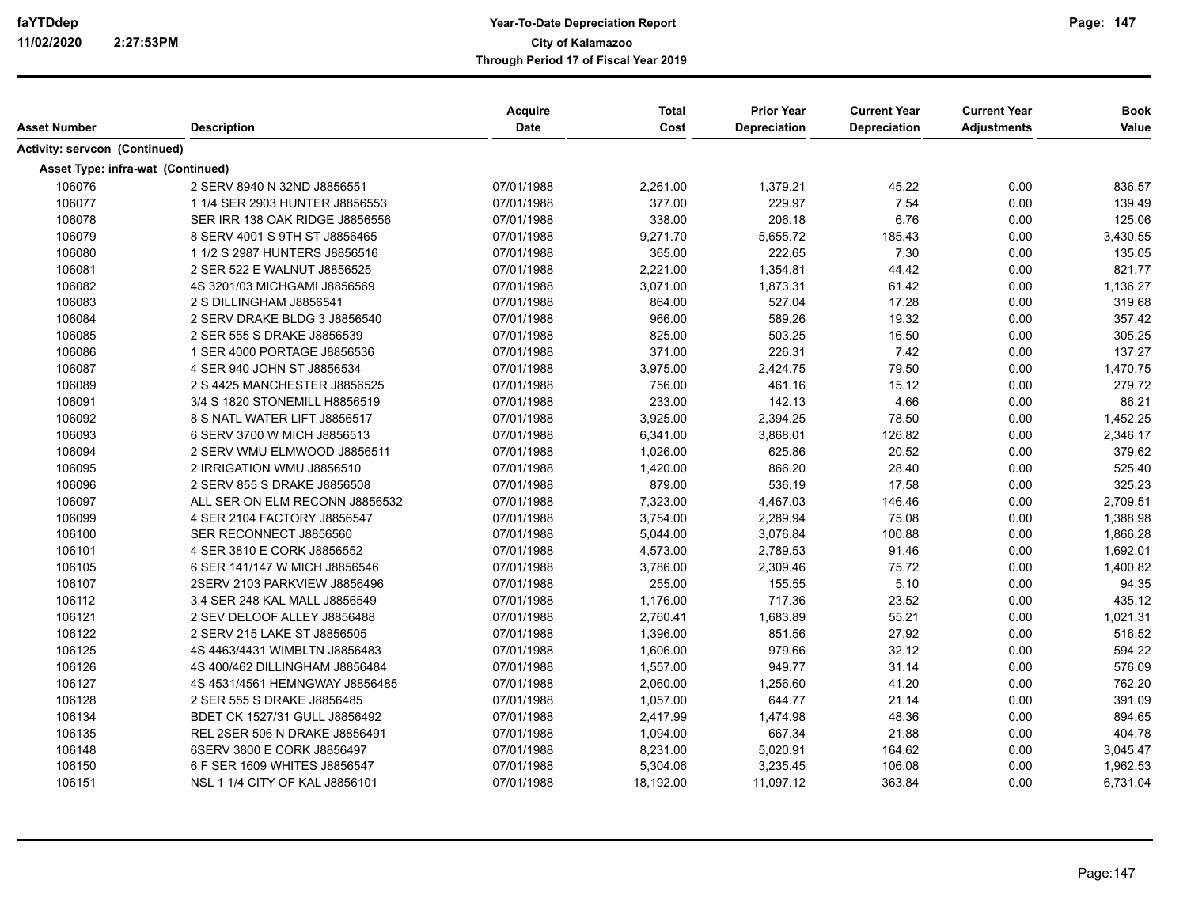|                                   |                                | <b>Acquire</b> | <b>Total</b> | <b>Prior Year</b> | <b>Current Year</b> | <b>Current Year</b> | <b>Book</b> |
|-----------------------------------|--------------------------------|----------------|--------------|-------------------|---------------------|---------------------|-------------|
| Asset Number                      | <b>Description</b>             | Date           | Cost         | Depreciation      | Depreciation        | <b>Adjustments</b>  | Value       |
| Activity: servcon (Continued)     |                                |                |              |                   |                     |                     |             |
| Asset Type: infra-wat (Continued) |                                |                |              |                   |                     |                     |             |
| 106076                            | 2 SERV 8940 N 32ND J8856551    | 07/01/1988     | 2,261.00     | 1,379.21          | 45.22               | 0.00                | 836.57      |
| 106077                            | 1 1/4 SER 2903 HUNTER J8856553 | 07/01/1988     | 377.00       | 229.97            | 7.54                | 0.00                | 139.49      |
| 106078                            | SER IRR 138 OAK RIDGE J8856556 | 07/01/1988     | 338.00       | 206.18            | 6.76                | 0.00                | 125.06      |
| 106079                            | 8 SERV 4001 S 9TH ST J8856465  | 07/01/1988     | 9,271.70     | 5,655.72          | 185.43              | 0.00                | 3,430.55    |
| 106080                            | 1 1/2 S 2987 HUNTERS J8856516  | 07/01/1988     | 365.00       | 222.65            | 7.30                | 0.00                | 135.05      |
| 106081                            | 2 SER 522 E WALNUT J8856525    | 07/01/1988     | 2,221.00     | 1,354.81          | 44.42               | 0.00                | 821.77      |
| 106082                            | 4S 3201/03 MICHGAMI J8856569   | 07/01/1988     | 3,071.00     | 1,873.31          | 61.42               | 0.00                | 1,136.27    |
| 106083                            | 2 S DILLINGHAM J8856541        | 07/01/1988     | 864.00       | 527.04            | 17.28               | 0.00                | 319.68      |
| 106084                            | 2 SERV DRAKE BLDG 3 J8856540   | 07/01/1988     | 966.00       | 589.26            | 19.32               | 0.00                | 357.42      |
| 106085                            | 2 SER 555 S DRAKE J8856539     | 07/01/1988     | 825.00       | 503.25            | 16.50               | 0.00                | 305.25      |
| 106086                            | 1 SER 4000 PORTAGE J8856536    | 07/01/1988     | 371.00       | 226.31            | 7.42                | 0.00                | 137.27      |
| 106087                            | 4 SER 940 JOHN ST J8856534     | 07/01/1988     | 3,975.00     | 2,424.75          | 79.50               | 0.00                | 1,470.75    |
| 106089                            | 2 S 4425 MANCHESTER J8856525   | 07/01/1988     | 756.00       | 461.16            | 15.12               | 0.00                | 279.72      |
| 106091                            | 3/4 S 1820 STONEMILL H8856519  | 07/01/1988     | 233.00       | 142.13            | 4.66                | 0.00                | 86.21       |
| 106092                            | 8 S NATL WATER LIFT J8856517   | 07/01/1988     | 3,925.00     | 2,394.25          | 78.50               | 0.00                | 1,452.25    |
| 106093                            | 6 SERV 3700 W MICH J8856513    | 07/01/1988     | 6,341.00     | 3,868.01          | 126.82              | 0.00                | 2,346.17    |
| 106094                            | 2 SERV WMU ELMWOOD J8856511    | 07/01/1988     | 1,026.00     | 625.86            | 20.52               | 0.00                | 379.62      |
| 106095                            | 2 IRRIGATION WMU J8856510      | 07/01/1988     | 1,420.00     | 866.20            | 28.40               | 0.00                | 525.40      |
| 106096                            | 2 SERV 855 S DRAKE J8856508    | 07/01/1988     | 879.00       | 536.19            | 17.58               | 0.00                | 325.23      |
| 106097                            | ALL SER ON ELM RECONN J8856532 | 07/01/1988     | 7,323.00     | 4,467.03          | 146.46              | 0.00                | 2,709.51    |
| 106099                            | 4 SER 2104 FACTORY J8856547    | 07/01/1988     | 3,754.00     | 2,289.94          | 75.08               | 0.00                | 1,388.98    |
| 106100                            | SER RECONNECT J8856560         | 07/01/1988     | 5,044.00     | 3,076.84          | 100.88              | 0.00                | 1,866.28    |
| 106101                            | 4 SER 3810 E CORK J8856552     | 07/01/1988     | 4,573.00     | 2,789.53          | 91.46               | 0.00                | 1,692.01    |
| 106105                            | 6 SER 141/147 W MICH J8856546  | 07/01/1988     | 3,786.00     | 2,309.46          | 75.72               | 0.00                | 1,400.82    |
| 106107                            | 2SERV 2103 PARKVIEW J8856496   | 07/01/1988     | 255.00       | 155.55            | 5.10                | 0.00                | 94.35       |
| 106112                            | 3.4 SER 248 KAL MALL J8856549  | 07/01/1988     | 1,176.00     | 717.36            | 23.52               | 0.00                | 435.12      |
| 106121                            | 2 SEV DELOOF ALLEY J8856488    | 07/01/1988     | 2,760.41     | 1,683.89          | 55.21               | 0.00                | 1,021.31    |
| 106122                            | 2 SERV 215 LAKE ST J8856505    | 07/01/1988     | 1,396.00     | 851.56            | 27.92               | 0.00                | 516.52      |
| 106125                            | 4S 4463/4431 WIMBLTN J8856483  | 07/01/1988     | 1,606.00     | 979.66            | 32.12               | 0.00                | 594.22      |
| 106126                            | 4S 400/462 DILLINGHAM J8856484 | 07/01/1988     | 1,557.00     | 949.77            | 31.14               | 0.00                | 576.09      |
| 106127                            | 4S 4531/4561 HEMNGWAY J8856485 | 07/01/1988     | 2,060.00     | 1,256.60          | 41.20               | 0.00                | 762.20      |
| 106128                            | 2 SER 555 S DRAKE J8856485     | 07/01/1988     | 1,057.00     | 644.77            | 21.14               | 0.00                | 391.09      |
| 106134                            | BDET CK 1527/31 GULL J8856492  | 07/01/1988     | 2,417.99     | 1,474.98          | 48.36               | 0.00                | 894.65      |
| 106135                            | REL 2SER 506 N DRAKE J8856491  | 07/01/1988     | 1,094.00     | 667.34            | 21.88               | 0.00                | 404.78      |
| 106148                            | 6SERV 3800 E CORK J8856497     | 07/01/1988     | 8,231.00     | 5,020.91          | 164.62              | 0.00                | 3,045.47    |
| 106150                            | 6 F SER 1609 WHITES J8856547   | 07/01/1988     | 5,304.06     | 3,235.45          | 106.08              | 0.00                | 1,962.53    |
| 106151                            | NSL 1 1/4 CITY OF KAL J8856101 | 07/01/1988     | 18,192.00    | 11,097.12         | 363.84              | 0.00                | 6,731.04    |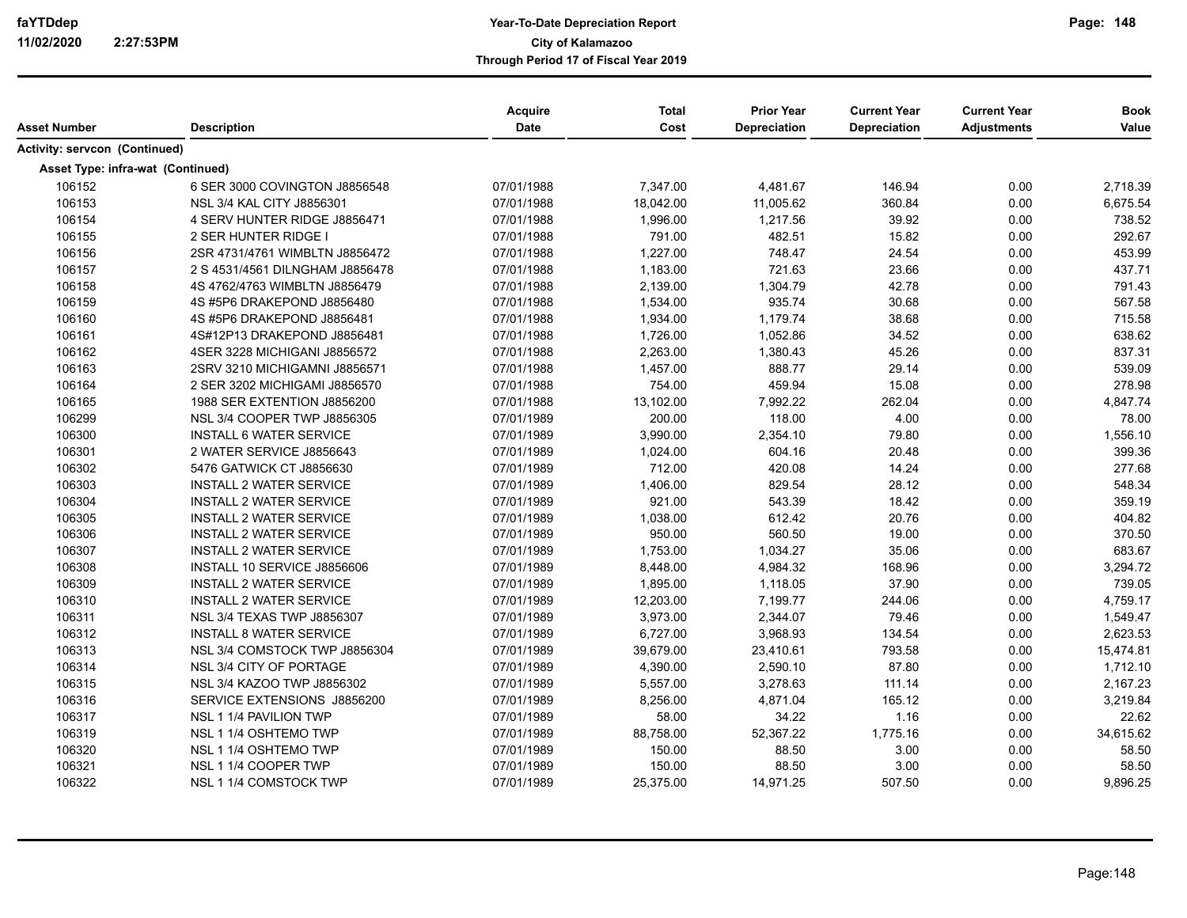|                                      |                                   | Acquire    | <b>Total</b> | <b>Prior Year</b>   | <b>Current Year</b> | <b>Current Year</b> | <b>Book</b> |
|--------------------------------------|-----------------------------------|------------|--------------|---------------------|---------------------|---------------------|-------------|
| <b>Asset Number</b>                  | <b>Description</b>                | Date       | Cost         | <b>Depreciation</b> | Depreciation        | <b>Adjustments</b>  | Value       |
| <b>Activity: servcon (Continued)</b> |                                   |            |              |                     |                     |                     |             |
| Asset Type: infra-wat (Continued)    |                                   |            |              |                     |                     |                     |             |
| 106152                               | 6 SER 3000 COVINGTON J8856548     | 07/01/1988 | 7,347.00     | 4,481.67            | 146.94              | 0.00                | 2,718.39    |
| 106153                               | NSL 3/4 KAL CITY J8856301         | 07/01/1988 | 18,042.00    | 11,005.62           | 360.84              | 0.00                | 6,675.54    |
| 106154                               | 4 SERV HUNTER RIDGE J8856471      | 07/01/1988 | 1,996.00     | 1,217.56            | 39.92               | 0.00                | 738.52      |
| 106155                               | 2 SER HUNTER RIDGE I              | 07/01/1988 | 791.00       | 482.51              | 15.82               | 0.00                | 292.67      |
| 106156                               | 2SR 4731/4761 WIMBLTN J8856472    | 07/01/1988 | 1,227.00     | 748.47              | 24.54               | 0.00                | 453.99      |
| 106157                               | 2 S 4531/4561 DILNGHAM J8856478   | 07/01/1988 | 1,183.00     | 721.63              | 23.66               | 0.00                | 437.71      |
| 106158                               | 4S 4762/4763 WIMBLTN J8856479     | 07/01/1988 | 2,139.00     | 1,304.79            | 42.78               | 0.00                | 791.43      |
| 106159                               | 4S #5P6 DRAKEPOND J8856480        | 07/01/1988 | 1,534.00     | 935.74              | 30.68               | 0.00                | 567.58      |
| 106160                               | 4S #5P6 DRAKEPOND J8856481        | 07/01/1988 | 1,934.00     | 1,179.74            | 38.68               | 0.00                | 715.58      |
| 106161                               | 4S#12P13 DRAKEPOND J8856481       | 07/01/1988 | 1,726.00     | 1,052.86            | 34.52               | 0.00                | 638.62      |
| 106162                               | 4SER 3228 MICHIGANI J8856572      | 07/01/1988 | 2,263.00     | 1,380.43            | 45.26               | 0.00                | 837.31      |
| 106163                               | 2SRV 3210 MICHIGAMNI J8856571     | 07/01/1988 | 1,457.00     | 888.77              | 29.14               | 0.00                | 539.09      |
| 106164                               | 2 SER 3202 MICHIGAMI J8856570     | 07/01/1988 | 754.00       | 459.94              | 15.08               | 0.00                | 278.98      |
| 106165                               | 1988 SER EXTENTION J8856200       | 07/01/1988 | 13,102.00    | 7,992.22            | 262.04              | 0.00                | 4,847.74    |
| 106299                               | NSL 3/4 COOPER TWP J8856305       | 07/01/1989 | 200.00       | 118.00              | 4.00                | 0.00                | 78.00       |
| 106300                               | <b>INSTALL 6 WATER SERVICE</b>    | 07/01/1989 | 3,990.00     | 2,354.10            | 79.80               | 0.00                | 1,556.10    |
| 106301                               | 2 WATER SERVICE J8856643          | 07/01/1989 | 1,024.00     | 604.16              | 20.48               | 0.00                | 399.36      |
| 106302                               | 5476 GATWICK CT J8856630          | 07/01/1989 | 712.00       | 420.08              | 14.24               | 0.00                | 277.68      |
| 106303                               | <b>INSTALL 2 WATER SERVICE</b>    | 07/01/1989 | 1,406.00     | 829.54              | 28.12               | 0.00                | 548.34      |
| 106304                               | <b>INSTALL 2 WATER SERVICE</b>    | 07/01/1989 | 921.00       | 543.39              | 18.42               | 0.00                | 359.19      |
| 106305                               | <b>INSTALL 2 WATER SERVICE</b>    | 07/01/1989 | 1,038.00     | 612.42              | 20.76               | 0.00                | 404.82      |
| 106306                               | <b>INSTALL 2 WATER SERVICE</b>    | 07/01/1989 | 950.00       | 560.50              | 19.00               | 0.00                | 370.50      |
| 106307                               | <b>INSTALL 2 WATER SERVICE</b>    | 07/01/1989 | 1,753.00     | 1,034.27            | 35.06               | 0.00                | 683.67      |
| 106308                               | INSTALL 10 SERVICE J8856606       | 07/01/1989 | 8,448.00     | 4,984.32            | 168.96              | 0.00                | 3,294.72    |
| 106309                               | <b>INSTALL 2 WATER SERVICE</b>    | 07/01/1989 | 1,895.00     | 1,118.05            | 37.90               | 0.00                | 739.05      |
| 106310                               | <b>INSTALL 2 WATER SERVICE</b>    | 07/01/1989 | 12,203.00    | 7,199.77            | 244.06              | 0.00                | 4,759.17    |
| 106311                               | <b>NSL 3/4 TEXAS TWP J8856307</b> | 07/01/1989 | 3,973.00     | 2,344.07            | 79.46               | 0.00                | 1,549.47    |
| 106312                               | <b>INSTALL 8 WATER SERVICE</b>    | 07/01/1989 | 6,727.00     | 3,968.93            | 134.54              | 0.00                | 2,623.53    |
| 106313                               | NSL 3/4 COMSTOCK TWP J8856304     | 07/01/1989 | 39,679.00    | 23,410.61           | 793.58              | 0.00                | 15,474.81   |
| 106314                               | NSL 3/4 CITY OF PORTAGE           | 07/01/1989 | 4,390.00     | 2,590.10            | 87.80               | 0.00                | 1,712.10    |
| 106315                               | NSL 3/4 KAZOO TWP J8856302        | 07/01/1989 | 5,557.00     | 3,278.63            | 111.14              | 0.00                | 2,167.23    |
| 106316                               | SERVICE EXTENSIONS J8856200       | 07/01/1989 | 8,256.00     | 4,871.04            | 165.12              | 0.00                | 3,219.84    |
| 106317                               | NSL 1 1/4 PAVILION TWP            | 07/01/1989 | 58.00        | 34.22               | 1.16                | 0.00                | 22.62       |
| 106319                               | NSL 1 1/4 OSHTEMO TWP             | 07/01/1989 | 88,758.00    | 52,367.22           | 1,775.16            | 0.00                | 34,615.62   |
| 106320                               | NSL 1 1/4 OSHTEMO TWP             | 07/01/1989 | 150.00       | 88.50               | 3.00                | 0.00                | 58.50       |
| 106321                               | NSL 1 1/4 COOPER TWP              | 07/01/1989 | 150.00       | 88.50               | 3.00                | 0.00                | 58.50       |
| 106322                               | NSL 1 1/4 COMSTOCK TWP            | 07/01/1989 | 25,375.00    | 14,971.25           | 507.50              | 0.00                | 9,896.25    |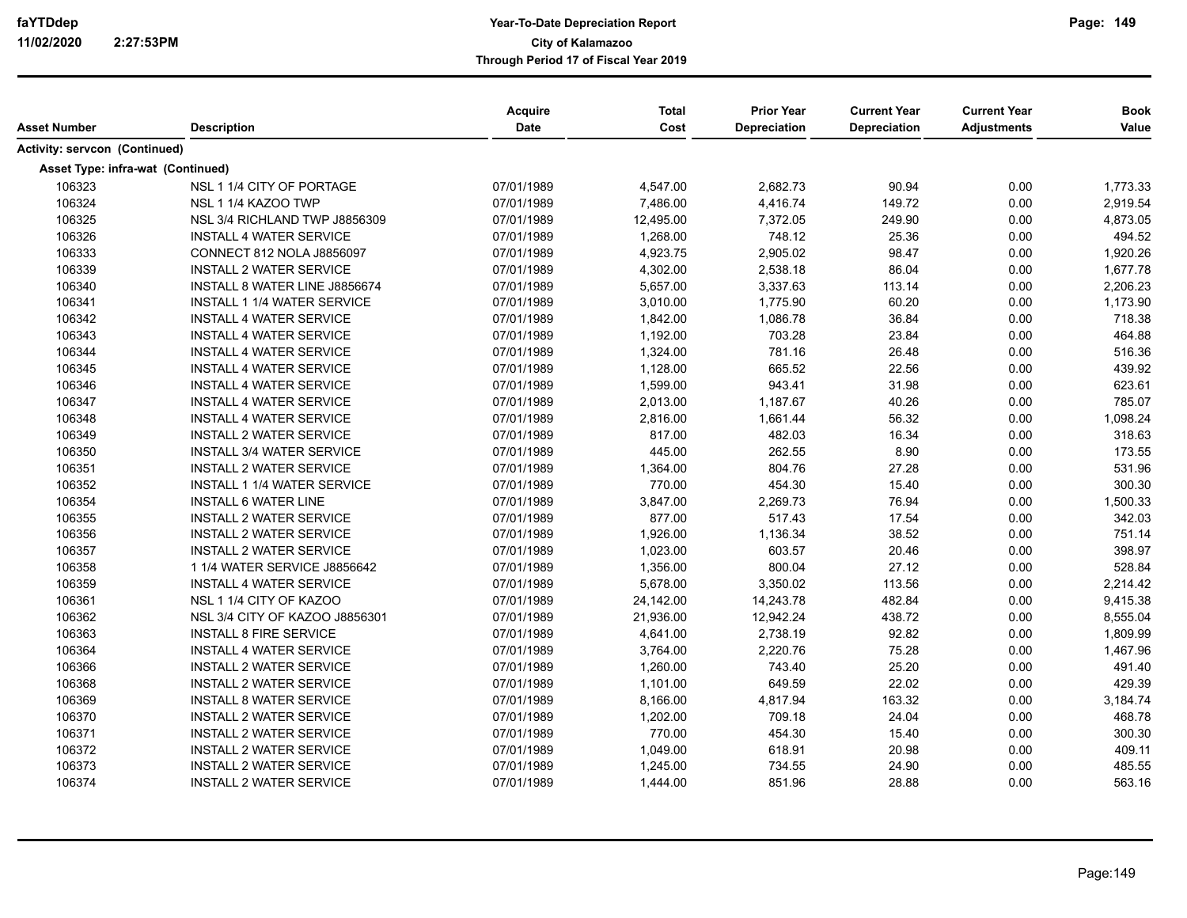| Asset Number                  | <b>Description</b>                 | Acquire<br>Date | <b>Total</b><br>Cost | <b>Prior Year</b><br><b>Depreciation</b> | <b>Current Year</b><br>Depreciation | <b>Current Year</b><br><b>Adjustments</b> | <b>Book</b><br>Value |
|-------------------------------|------------------------------------|-----------------|----------------------|------------------------------------------|-------------------------------------|-------------------------------------------|----------------------|
| Activity: servcon (Continued) |                                    |                 |                      |                                          |                                     |                                           |                      |
|                               | Asset Type: infra-wat (Continued)  |                 |                      |                                          |                                     |                                           |                      |
| 106323                        | NSL 1 1/4 CITY OF PORTAGE          | 07/01/1989      | 4,547.00             | 2,682.73                                 | 90.94                               | 0.00                                      | 1,773.33             |
| 106324                        | NSL 1 1/4 KAZOO TWP                | 07/01/1989      | 7,486.00             | 4,416.74                                 | 149.72                              | 0.00                                      | 2,919.54             |
| 106325                        | NSL 3/4 RICHLAND TWP J8856309      | 07/01/1989      | 12,495.00            | 7,372.05                                 | 249.90                              | 0.00                                      | 4,873.05             |
| 106326                        | <b>INSTALL 4 WATER SERVICE</b>     | 07/01/1989      | 1,268.00             | 748.12                                   | 25.36                               | 0.00                                      | 494.52               |
| 106333                        | CONNECT 812 NOLA J8856097          | 07/01/1989      | 4,923.75             | 2,905.02                                 | 98.47                               | 0.00                                      | 1,920.26             |
| 106339                        | <b>INSTALL 2 WATER SERVICE</b>     | 07/01/1989      | 4,302.00             | 2,538.18                                 | 86.04                               | 0.00                                      | 1,677.78             |
| 106340                        | INSTALL 8 WATER LINE J8856674      | 07/01/1989      | 5,657.00             | 3,337.63                                 | 113.14                              | 0.00                                      | 2,206.23             |
| 106341                        | <b>INSTALL 1 1/4 WATER SERVICE</b> | 07/01/1989      | 3,010.00             | 1,775.90                                 | 60.20                               | 0.00                                      | 1,173.90             |
| 106342                        | <b>INSTALL 4 WATER SERVICE</b>     | 07/01/1989      | 1,842.00             | 1,086.78                                 | 36.84                               | 0.00                                      | 718.38               |
| 106343                        | <b>INSTALL 4 WATER SERVICE</b>     | 07/01/1989      | 1,192.00             | 703.28                                   | 23.84                               | 0.00                                      | 464.88               |
| 106344                        | <b>INSTALL 4 WATER SERVICE</b>     | 07/01/1989      | 1,324.00             | 781.16                                   | 26.48                               | 0.00                                      | 516.36               |
| 106345                        | <b>INSTALL 4 WATER SERVICE</b>     | 07/01/1989      | 1,128.00             | 665.52                                   | 22.56                               | 0.00                                      | 439.92               |
| 106346                        | <b>INSTALL 4 WATER SERVICE</b>     | 07/01/1989      | 1,599.00             | 943.41                                   | 31.98                               | 0.00                                      | 623.61               |
| 106347                        | <b>INSTALL 4 WATER SERVICE</b>     | 07/01/1989      | 2,013.00             | 1,187.67                                 | 40.26                               | 0.00                                      | 785.07               |
| 106348                        | <b>INSTALL 4 WATER SERVICE</b>     | 07/01/1989      | 2,816.00             | 1,661.44                                 | 56.32                               | 0.00                                      | 1,098.24             |
| 106349                        | <b>INSTALL 2 WATER SERVICE</b>     | 07/01/1989      | 817.00               | 482.03                                   | 16.34                               | 0.00                                      | 318.63               |
| 106350                        | <b>INSTALL 3/4 WATER SERVICE</b>   | 07/01/1989      | 445.00               | 262.55                                   | 8.90                                | 0.00                                      | 173.55               |
| 106351                        | <b>INSTALL 2 WATER SERVICE</b>     | 07/01/1989      | 1,364.00             | 804.76                                   | 27.28                               | 0.00                                      | 531.96               |
| 106352                        | <b>INSTALL 1 1/4 WATER SERVICE</b> | 07/01/1989      | 770.00               | 454.30                                   | 15.40                               | 0.00                                      | 300.30               |
| 106354                        | <b>INSTALL 6 WATER LINE</b>        | 07/01/1989      | 3,847.00             | 2,269.73                                 | 76.94                               | 0.00                                      | 1,500.33             |
| 106355                        | <b>INSTALL 2 WATER SERVICE</b>     | 07/01/1989      | 877.00               | 517.43                                   | 17.54                               | 0.00                                      | 342.03               |
| 106356                        | <b>INSTALL 2 WATER SERVICE</b>     | 07/01/1989      | 1,926.00             | 1,136.34                                 | 38.52                               | 0.00                                      | 751.14               |
| 106357                        | <b>INSTALL 2 WATER SERVICE</b>     | 07/01/1989      | 1,023.00             | 603.57                                   | 20.46                               | 0.00                                      | 398.97               |
| 106358                        | 1 1/4 WATER SERVICE J8856642       | 07/01/1989      | 1,356.00             | 800.04                                   | 27.12                               | 0.00                                      | 528.84               |
| 106359                        | <b>INSTALL 4 WATER SERVICE</b>     | 07/01/1989      | 5,678.00             | 3,350.02                                 | 113.56                              | 0.00                                      | 2,214.42             |
| 106361                        | NSL 1 1/4 CITY OF KAZOO            | 07/01/1989      | 24,142.00            | 14,243.78                                | 482.84                              | 0.00                                      | 9,415.38             |
| 106362                        | NSL 3/4 CITY OF KAZOO J8856301     | 07/01/1989      | 21,936.00            | 12,942.24                                | 438.72                              | 0.00                                      | 8,555.04             |
| 106363                        | <b>INSTALL 8 FIRE SERVICE</b>      | 07/01/1989      | 4,641.00             | 2,738.19                                 | 92.82                               | 0.00                                      | 1,809.99             |
| 106364                        | <b>INSTALL 4 WATER SERVICE</b>     | 07/01/1989      | 3,764.00             | 2,220.76                                 | 75.28                               | 0.00                                      | 1,467.96             |
| 106366                        | <b>INSTALL 2 WATER SERVICE</b>     | 07/01/1989      | 1,260.00             | 743.40                                   | 25.20                               | 0.00                                      | 491.40               |
| 106368                        | <b>INSTALL 2 WATER SERVICE</b>     | 07/01/1989      | 1,101.00             | 649.59                                   | 22.02                               | 0.00                                      | 429.39               |
| 106369                        | <b>INSTALL 8 WATER SERVICE</b>     | 07/01/1989      | 8,166.00             | 4,817.94                                 | 163.32                              | 0.00                                      | 3,184.74             |
| 106370                        | <b>INSTALL 2 WATER SERVICE</b>     | 07/01/1989      | 1,202.00             | 709.18                                   | 24.04                               | 0.00                                      | 468.78               |
| 106371                        | <b>INSTALL 2 WATER SERVICE</b>     | 07/01/1989      | 770.00               | 454.30                                   | 15.40                               | 0.00                                      | 300.30               |
| 106372                        | <b>INSTALL 2 WATER SERVICE</b>     | 07/01/1989      | 1,049.00             | 618.91                                   | 20.98                               | 0.00                                      | 409.11               |
| 106373                        | <b>INSTALL 2 WATER SERVICE</b>     | 07/01/1989      | 1,245.00             | 734.55                                   | 24.90                               | 0.00                                      | 485.55               |
| 106374                        | <b>INSTALL 2 WATER SERVICE</b>     | 07/01/1989      | 1,444.00             | 851.96                                   | 28.88                               | 0.00                                      | 563.16               |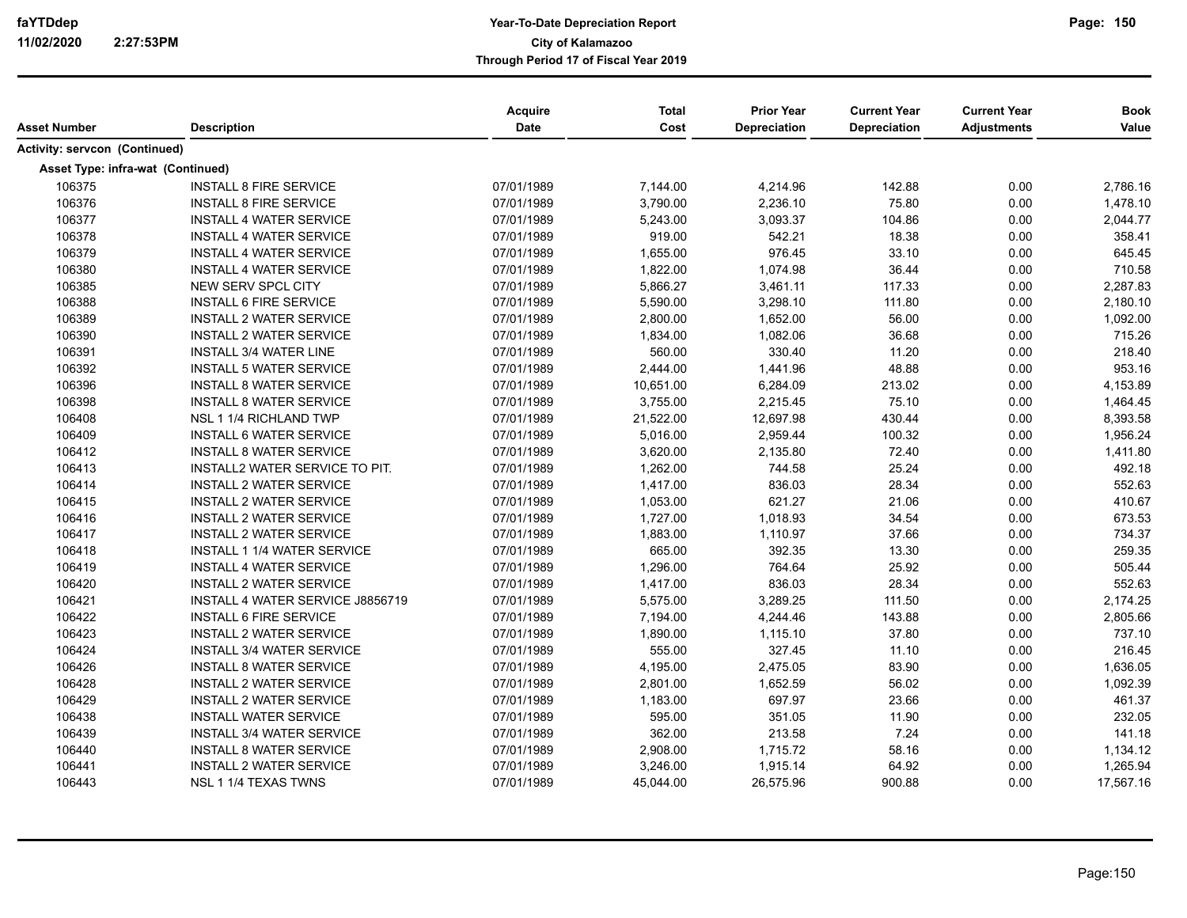| Asset Number                      | <b>Description</b>                 | Acquire<br>Date | <b>Total</b><br>Cost | <b>Prior Year</b><br>Depreciation | <b>Current Year</b><br>Depreciation | <b>Current Year</b><br><b>Adjustments</b> | <b>Book</b><br>Value |
|-----------------------------------|------------------------------------|-----------------|----------------------|-----------------------------------|-------------------------------------|-------------------------------------------|----------------------|
| Activity: servcon (Continued)     |                                    |                 |                      |                                   |                                     |                                           |                      |
|                                   |                                    |                 |                      |                                   |                                     |                                           |                      |
| Asset Type: infra-wat (Continued) |                                    |                 |                      |                                   |                                     |                                           |                      |
| 106375                            | <b>INSTALL 8 FIRE SERVICE</b>      | 07/01/1989      | 7,144.00             | 4,214.96                          | 142.88                              | 0.00                                      | 2,786.16             |
| 106376                            | <b>INSTALL 8 FIRE SERVICE</b>      | 07/01/1989      | 3,790.00             | 2,236.10                          | 75.80                               | 0.00                                      | 1,478.10             |
| 106377                            | <b>INSTALL 4 WATER SERVICE</b>     | 07/01/1989      | 5,243.00             | 3,093.37                          | 104.86                              | 0.00                                      | 2,044.77             |
| 106378                            | <b>INSTALL 4 WATER SERVICE</b>     | 07/01/1989      | 919.00               | 542.21                            | 18.38                               | 0.00                                      | 358.41               |
| 106379                            | <b>INSTALL 4 WATER SERVICE</b>     | 07/01/1989      | 1,655.00             | 976.45                            | 33.10                               | 0.00                                      | 645.45               |
| 106380                            | <b>INSTALL 4 WATER SERVICE</b>     | 07/01/1989      | 1,822.00             | 1,074.98                          | 36.44                               | 0.00                                      | 710.58               |
| 106385                            | NEW SERV SPCL CITY                 | 07/01/1989      | 5,866.27             | 3,461.11                          | 117.33                              | 0.00                                      | 2,287.83             |
| 106388                            | <b>INSTALL 6 FIRE SERVICE</b>      | 07/01/1989      | 5,590.00             | 3,298.10                          | 111.80                              | 0.00                                      | 2,180.10             |
| 106389                            | <b>INSTALL 2 WATER SERVICE</b>     | 07/01/1989      | 2,800.00             | 1,652.00                          | 56.00                               | 0.00                                      | 1,092.00             |
| 106390                            | <b>INSTALL 2 WATER SERVICE</b>     | 07/01/1989      | 1,834.00             | 1,082.06                          | 36.68                               | 0.00                                      | 715.26               |
| 106391                            | <b>INSTALL 3/4 WATER LINE</b>      | 07/01/1989      | 560.00               | 330.40                            | 11.20                               | 0.00                                      | 218.40               |
| 106392                            | <b>INSTALL 5 WATER SERVICE</b>     | 07/01/1989      | 2,444.00             | 1,441.96                          | 48.88                               | 0.00                                      | 953.16               |
| 106396                            | <b>INSTALL 8 WATER SERVICE</b>     | 07/01/1989      | 10,651.00            | 6,284.09                          | 213.02                              | 0.00                                      | 4,153.89             |
| 106398                            | <b>INSTALL 8 WATER SERVICE</b>     | 07/01/1989      | 3,755.00             | 2,215.45                          | 75.10                               | 0.00                                      | 1,464.45             |
| 106408                            | NSL 1 1/4 RICHLAND TWP             | 07/01/1989      | 21,522.00            | 12,697.98                         | 430.44                              | 0.00                                      | 8,393.58             |
| 106409                            | <b>INSTALL 6 WATER SERVICE</b>     | 07/01/1989      | 5,016.00             | 2,959.44                          | 100.32                              | 0.00                                      | 1,956.24             |
| 106412                            | <b>INSTALL 8 WATER SERVICE</b>     | 07/01/1989      | 3,620.00             | 2,135.80                          | 72.40                               | 0.00                                      | 1,411.80             |
| 106413                            | INSTALL2 WATER SERVICE TO PIT.     | 07/01/1989      | 1,262.00             | 744.58                            | 25.24                               | 0.00                                      | 492.18               |
| 106414                            | <b>INSTALL 2 WATER SERVICE</b>     | 07/01/1989      | 1,417.00             | 836.03                            | 28.34                               | 0.00                                      | 552.63               |
| 106415                            | <b>INSTALL 2 WATER SERVICE</b>     | 07/01/1989      | 1,053.00             | 621.27                            | 21.06                               | 0.00                                      | 410.67               |
| 106416                            | <b>INSTALL 2 WATER SERVICE</b>     | 07/01/1989      | 1,727.00             | 1,018.93                          | 34.54                               | 0.00                                      | 673.53               |
| 106417                            | <b>INSTALL 2 WATER SERVICE</b>     | 07/01/1989      | 1,883.00             | 1,110.97                          | 37.66                               | 0.00                                      | 734.37               |
| 106418                            | <b>INSTALL 1 1/4 WATER SERVICE</b> | 07/01/1989      | 665.00               | 392.35                            | 13.30                               | 0.00                                      | 259.35               |
| 106419                            | <b>INSTALL 4 WATER SERVICE</b>     | 07/01/1989      | 1,296.00             | 764.64                            | 25.92                               | 0.00                                      | 505.44               |
| 106420                            | <b>INSTALL 2 WATER SERVICE</b>     | 07/01/1989      | 1,417.00             | 836.03                            | 28.34                               | 0.00                                      | 552.63               |
| 106421                            | INSTALL 4 WATER SERVICE J8856719   | 07/01/1989      | 5,575.00             | 3,289.25                          | 111.50                              | 0.00                                      | 2,174.25             |
| 106422                            | <b>INSTALL 6 FIRE SERVICE</b>      | 07/01/1989      | 7,194.00             | 4,244.46                          | 143.88                              | 0.00                                      | 2,805.66             |
| 106423                            | <b>INSTALL 2 WATER SERVICE</b>     | 07/01/1989      | 1,890.00             | 1,115.10                          | 37.80                               | 0.00                                      | 737.10               |
| 106424                            | <b>INSTALL 3/4 WATER SERVICE</b>   | 07/01/1989      | 555.00               | 327.45                            | 11.10                               | 0.00                                      | 216.45               |
| 106426                            | <b>INSTALL 8 WATER SERVICE</b>     | 07/01/1989      | 4,195.00             | 2,475.05                          | 83.90                               | 0.00                                      | 1,636.05             |
| 106428                            | <b>INSTALL 2 WATER SERVICE</b>     | 07/01/1989      | 2,801.00             | 1,652.59                          | 56.02                               | 0.00                                      | 1,092.39             |
| 106429                            | <b>INSTALL 2 WATER SERVICE</b>     | 07/01/1989      | 1,183.00             | 697.97                            | 23.66                               | 0.00                                      | 461.37               |
| 106438                            | <b>INSTALL WATER SERVICE</b>       | 07/01/1989      | 595.00               | 351.05                            | 11.90                               | 0.00                                      | 232.05               |
| 106439                            | <b>INSTALL 3/4 WATER SERVICE</b>   | 07/01/1989      | 362.00               | 213.58                            | 7.24                                | 0.00                                      | 141.18               |
| 106440                            | <b>INSTALL 8 WATER SERVICE</b>     | 07/01/1989      | 2,908.00             | 1,715.72                          | 58.16                               | 0.00                                      | 1,134.12             |
| 106441                            | <b>INSTALL 2 WATER SERVICE</b>     | 07/01/1989      | 3,246.00             | 1,915.14                          | 64.92                               | 0.00                                      | 1,265.94             |
| 106443                            | NSL 1 1/4 TEXAS TWNS               | 07/01/1989      | 45,044.00            | 26,575.96                         | 900.88                              | 0.00                                      | 17,567.16            |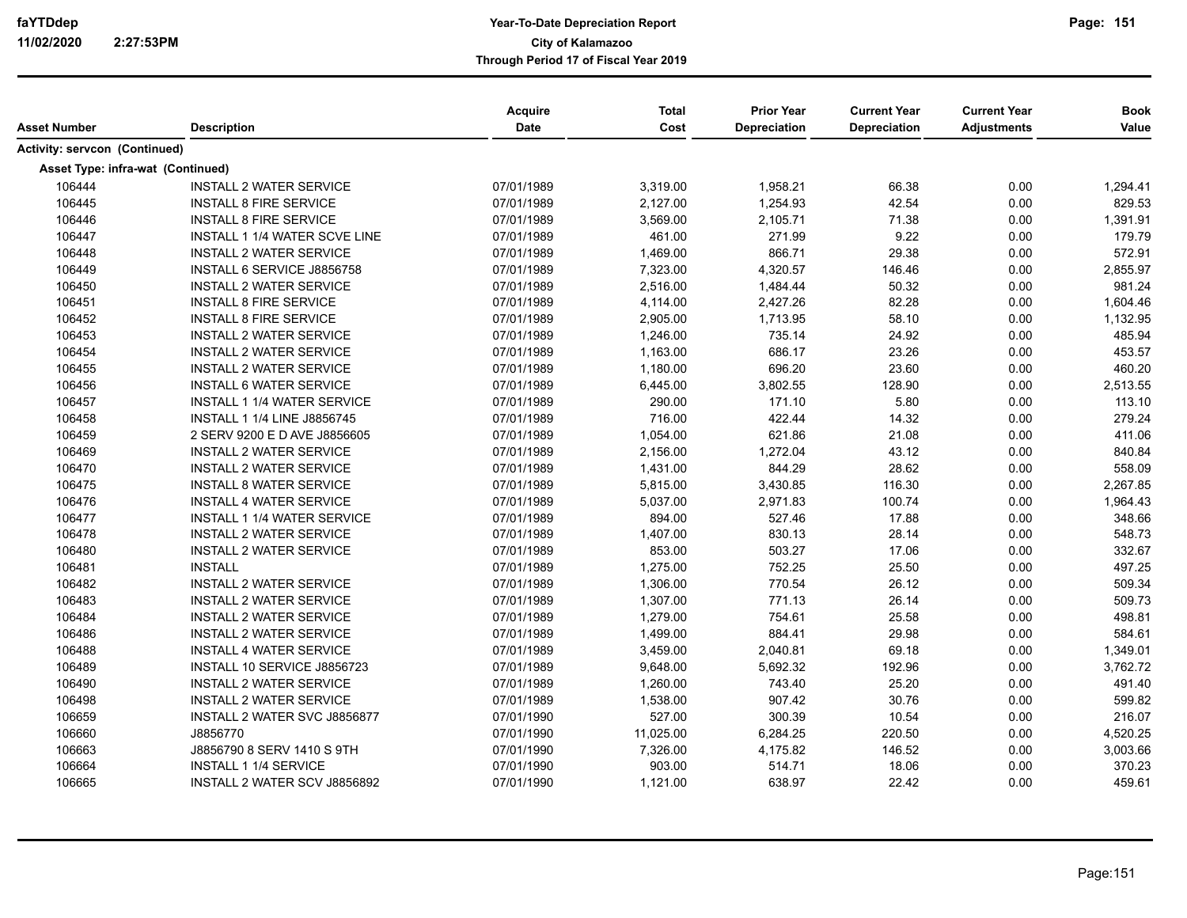|                                      |                                      | Acquire    | <b>Total</b> | <b>Prior Year</b> | <b>Current Year</b> | <b>Current Year</b> | <b>Book</b> |
|--------------------------------------|--------------------------------------|------------|--------------|-------------------|---------------------|---------------------|-------------|
| <b>Asset Number</b>                  | <b>Description</b>                   | Date       | Cost         | Depreciation      | Depreciation        | <b>Adjustments</b>  | Value       |
| <b>Activity: servcon (Continued)</b> |                                      |            |              |                   |                     |                     |             |
| Asset Type: infra-wat (Continued)    |                                      |            |              |                   |                     |                     |             |
| 106444                               | <b>INSTALL 2 WATER SERVICE</b>       | 07/01/1989 | 3,319.00     | 1,958.21          | 66.38               | 0.00                | 1,294.41    |
| 106445                               | <b>INSTALL 8 FIRE SERVICE</b>        | 07/01/1989 | 2,127.00     | 1,254.93          | 42.54               | 0.00                | 829.53      |
| 106446                               | <b>INSTALL 8 FIRE SERVICE</b>        | 07/01/1989 | 3,569.00     | 2,105.71          | 71.38               | 0.00                | 1,391.91    |
| 106447                               | <b>INSTALL 1 1/4 WATER SCVE LINE</b> | 07/01/1989 | 461.00       | 271.99            | 9.22                | 0.00                | 179.79      |
| 106448                               | <b>INSTALL 2 WATER SERVICE</b>       | 07/01/1989 | 1,469.00     | 866.71            | 29.38               | 0.00                | 572.91      |
| 106449                               | INSTALL 6 SERVICE J8856758           | 07/01/1989 | 7,323.00     | 4,320.57          | 146.46              | 0.00                | 2,855.97    |
| 106450                               | <b>INSTALL 2 WATER SERVICE</b>       | 07/01/1989 | 2,516.00     | 1,484.44          | 50.32               | 0.00                | 981.24      |
| 106451                               | <b>INSTALL 8 FIRE SERVICE</b>        | 07/01/1989 | 4,114.00     | 2,427.26          | 82.28               | 0.00                | 1,604.46    |
| 106452                               | <b>INSTALL 8 FIRE SERVICE</b>        | 07/01/1989 | 2,905.00     | 1,713.95          | 58.10               | 0.00                | 1,132.95    |
| 106453                               | <b>INSTALL 2 WATER SERVICE</b>       | 07/01/1989 | 1,246.00     | 735.14            | 24.92               | 0.00                | 485.94      |
| 106454                               | <b>INSTALL 2 WATER SERVICE</b>       | 07/01/1989 | 1,163.00     | 686.17            | 23.26               | 0.00                | 453.57      |
| 106455                               | <b>INSTALL 2 WATER SERVICE</b>       | 07/01/1989 | 1,180.00     | 696.20            | 23.60               | 0.00                | 460.20      |
| 106456                               | <b>INSTALL 6 WATER SERVICE</b>       | 07/01/1989 | 6,445.00     | 3,802.55          | 128.90              | 0.00                | 2,513.55    |
| 106457                               | <b>INSTALL 1 1/4 WATER SERVICE</b>   | 07/01/1989 | 290.00       | 171.10            | 5.80                | 0.00                | 113.10      |
| 106458                               | <b>INSTALL 1 1/4 LINE J8856745</b>   | 07/01/1989 | 716.00       | 422.44            | 14.32               | 0.00                | 279.24      |
| 106459                               | 2 SERV 9200 E D AVE J8856605         | 07/01/1989 | 1,054.00     | 621.86            | 21.08               | 0.00                | 411.06      |
| 106469                               | <b>INSTALL 2 WATER SERVICE</b>       | 07/01/1989 | 2,156.00     | 1,272.04          | 43.12               | 0.00                | 840.84      |
| 106470                               | <b>INSTALL 2 WATER SERVICE</b>       | 07/01/1989 | 1,431.00     | 844.29            | 28.62               | 0.00                | 558.09      |
| 106475                               | <b>INSTALL 8 WATER SERVICE</b>       | 07/01/1989 | 5,815.00     | 3,430.85          | 116.30              | 0.00                | 2,267.85    |
| 106476                               | <b>INSTALL 4 WATER SERVICE</b>       | 07/01/1989 | 5,037.00     | 2,971.83          | 100.74              | 0.00                | 1,964.43    |
| 106477                               | <b>INSTALL 1 1/4 WATER SERVICE</b>   | 07/01/1989 | 894.00       | 527.46            | 17.88               | 0.00                | 348.66      |
| 106478                               | <b>INSTALL 2 WATER SERVICE</b>       | 07/01/1989 | 1,407.00     | 830.13            | 28.14               | 0.00                | 548.73      |
| 106480                               | <b>INSTALL 2 WATER SERVICE</b>       | 07/01/1989 | 853.00       | 503.27            | 17.06               | 0.00                | 332.67      |
| 106481                               | <b>INSTALL</b>                       | 07/01/1989 | 1,275.00     | 752.25            | 25.50               | 0.00                | 497.25      |
| 106482                               | <b>INSTALL 2 WATER SERVICE</b>       | 07/01/1989 | 1,306.00     | 770.54            | 26.12               | 0.00                | 509.34      |
| 106483                               | <b>INSTALL 2 WATER SERVICE</b>       | 07/01/1989 | 1,307.00     | 771.13            | 26.14               | 0.00                | 509.73      |
| 106484                               | <b>INSTALL 2 WATER SERVICE</b>       | 07/01/1989 | 1,279.00     | 754.61            | 25.58               | 0.00                | 498.81      |
| 106486                               | <b>INSTALL 2 WATER SERVICE</b>       | 07/01/1989 | 1,499.00     | 884.41            | 29.98               | 0.00                | 584.61      |
| 106488                               | <b>INSTALL 4 WATER SERVICE</b>       | 07/01/1989 | 3,459.00     | 2,040.81          | 69.18               | 0.00                | 1,349.01    |
| 106489                               | INSTALL 10 SERVICE J8856723          | 07/01/1989 | 9,648.00     | 5,692.32          | 192.96              | 0.00                | 3,762.72    |
| 106490                               | <b>INSTALL 2 WATER SERVICE</b>       | 07/01/1989 | 1,260.00     | 743.40            | 25.20               | 0.00                | 491.40      |
| 106498                               | <b>INSTALL 2 WATER SERVICE</b>       | 07/01/1989 | 1,538.00     | 907.42            | 30.76               | 0.00                | 599.82      |
| 106659                               | INSTALL 2 WATER SVC J8856877         | 07/01/1990 | 527.00       | 300.39            | 10.54               | 0.00                | 216.07      |
| 106660                               | J8856770                             | 07/01/1990 | 11,025.00    | 6,284.25          | 220.50              | 0.00                | 4,520.25    |
| 106663                               | J8856790 8 SERV 1410 S 9TH           | 07/01/1990 | 7,326.00     | 4,175.82          | 146.52              | 0.00                | 3,003.66    |
| 106664                               | <b>INSTALL 1 1/4 SERVICE</b>         | 07/01/1990 | 903.00       | 514.71            | 18.06               | 0.00                | 370.23      |
| 106665                               | INSTALL 2 WATER SCV J8856892         | 07/01/1990 | 1,121.00     | 638.97            | 22.42               | 0.00                | 459.61      |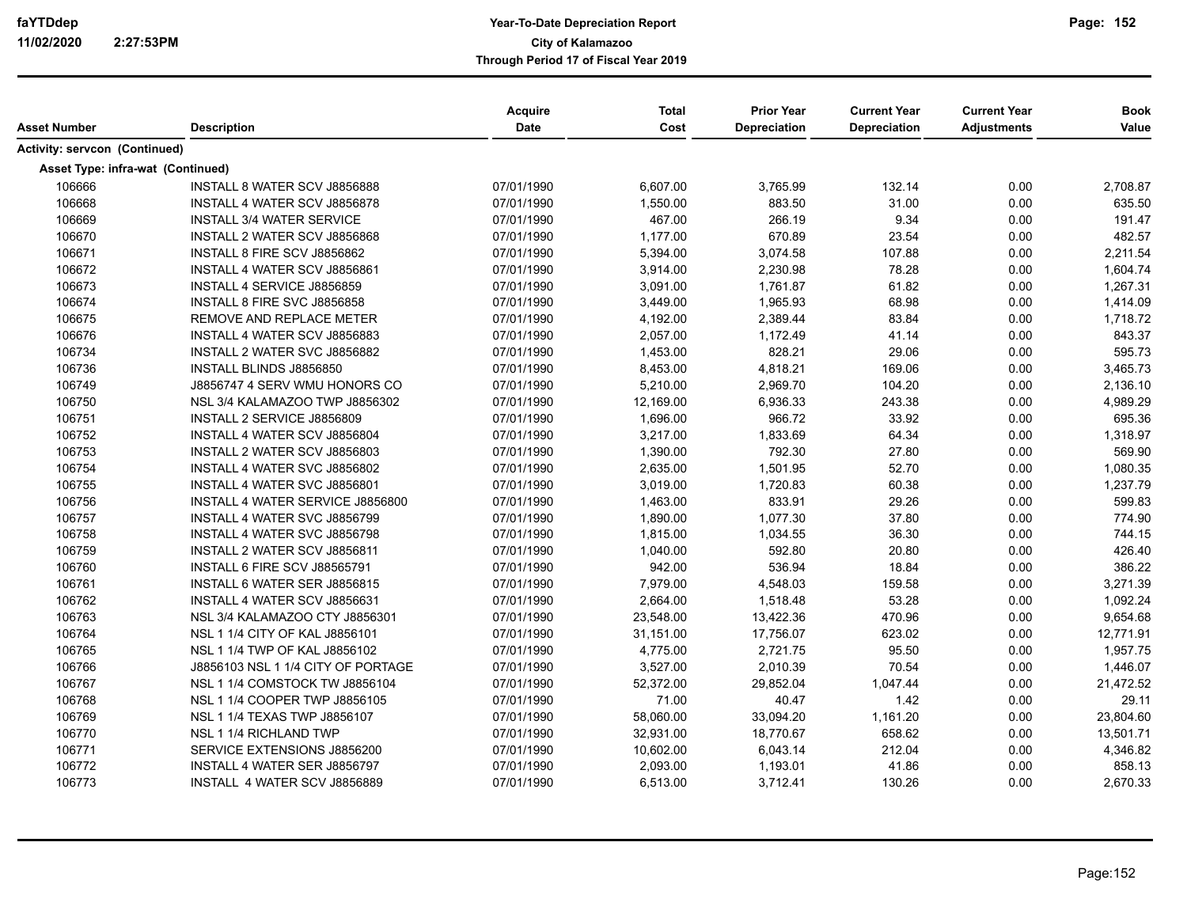| Asset Number                         | <b>Description</b>                  | Acquire<br>Date | <b>Total</b><br>Cost | <b>Prior Year</b><br>Depreciation | <b>Current Year</b><br>Depreciation | <b>Current Year</b><br><b>Adjustments</b> | <b>Book</b><br>Value |
|--------------------------------------|-------------------------------------|-----------------|----------------------|-----------------------------------|-------------------------------------|-------------------------------------------|----------------------|
| <b>Activity: servcon (Continued)</b> |                                     |                 |                      |                                   |                                     |                                           |                      |
|                                      | Asset Type: infra-wat (Continued)   |                 |                      |                                   |                                     |                                           |                      |
| 106666                               | INSTALL 8 WATER SCV J8856888        | 07/01/1990      | 6,607.00             | 3,765.99                          | 132.14                              | 0.00                                      | 2,708.87             |
| 106668                               | <b>INSTALL 4 WATER SCV J8856878</b> | 07/01/1990      | 1,550.00             | 883.50                            | 31.00                               | 0.00                                      | 635.50               |
| 106669                               | <b>INSTALL 3/4 WATER SERVICE</b>    | 07/01/1990      | 467.00               | 266.19                            | 9.34                                | 0.00                                      | 191.47               |
| 106670                               | INSTALL 2 WATER SCV J8856868        | 07/01/1990      | 1,177.00             | 670.89                            | 23.54                               | 0.00                                      | 482.57               |
| 106671                               | INSTALL 8 FIRE SCV J8856862         | 07/01/1990      | 5,394.00             | 3,074.58                          | 107.88                              | 0.00                                      | 2,211.54             |
| 106672                               | INSTALL 4 WATER SCV J8856861        | 07/01/1990      | 3,914.00             | 2,230.98                          | 78.28                               | 0.00                                      | 1,604.74             |
| 106673                               | INSTALL 4 SERVICE J8856859          | 07/01/1990      | 3,091.00             | 1,761.87                          | 61.82                               | 0.00                                      | 1,267.31             |
| 106674                               | INSTALL 8 FIRE SVC J8856858         | 07/01/1990      | 3,449.00             | 1,965.93                          | 68.98                               | 0.00                                      | 1,414.09             |
| 106675                               | REMOVE AND REPLACE METER            | 07/01/1990      | 4,192.00             | 2,389.44                          | 83.84                               | 0.00                                      | 1,718.72             |
| 106676                               | INSTALL 4 WATER SCV J8856883        | 07/01/1990      | 2,057.00             | 1,172.49                          | 41.14                               | 0.00                                      | 843.37               |
| 106734                               | INSTALL 2 WATER SVC J8856882        | 07/01/1990      | 1,453.00             | 828.21                            | 29.06                               | 0.00                                      | 595.73               |
| 106736                               | INSTALL BLINDS J8856850             | 07/01/1990      | 8,453.00             | 4,818.21                          | 169.06                              | 0.00                                      | 3,465.73             |
| 106749                               | J8856747 4 SERV WMU HONORS CO       | 07/01/1990      | 5,210.00             | 2,969.70                          | 104.20                              | 0.00                                      | 2,136.10             |
| 106750                               | NSL 3/4 KALAMAZOO TWP J8856302      | 07/01/1990      | 12,169.00            | 6,936.33                          | 243.38                              | 0.00                                      | 4,989.29             |
| 106751                               | INSTALL 2 SERVICE J8856809          | 07/01/1990      | 1,696.00             | 966.72                            | 33.92                               | 0.00                                      | 695.36               |
| 106752                               | INSTALL 4 WATER SCV J8856804        | 07/01/1990      | 3,217.00             | 1,833.69                          | 64.34                               | 0.00                                      | 1,318.97             |
| 106753                               | INSTALL 2 WATER SCV J8856803        | 07/01/1990      | 1,390.00             | 792.30                            | 27.80                               | 0.00                                      | 569.90               |
| 106754                               | INSTALL 4 WATER SVC J8856802        | 07/01/1990      | 2,635.00             | 1,501.95                          | 52.70                               | 0.00                                      | 1,080.35             |
| 106755                               | INSTALL 4 WATER SVC J8856801        | 07/01/1990      | 3,019.00             | 1,720.83                          | 60.38                               | 0.00                                      | 1,237.79             |
| 106756                               | INSTALL 4 WATER SERVICE J8856800    | 07/01/1990      | 1,463.00             | 833.91                            | 29.26                               | 0.00                                      | 599.83               |
| 106757                               | INSTALL 4 WATER SVC J8856799        | 07/01/1990      | 1,890.00             | 1,077.30                          | 37.80                               | 0.00                                      | 774.90               |
| 106758                               | INSTALL 4 WATER SVC J8856798        | 07/01/1990      | 1,815.00             | 1,034.55                          | 36.30                               | 0.00                                      | 744.15               |
| 106759                               | INSTALL 2 WATER SCV J8856811        | 07/01/1990      | 1,040.00             | 592.80                            | 20.80                               | 0.00                                      | 426.40               |
| 106760                               | INSTALL 6 FIRE SCV J88565791        | 07/01/1990      | 942.00               | 536.94                            | 18.84                               | 0.00                                      | 386.22               |
| 106761                               | INSTALL 6 WATER SER J8856815        | 07/01/1990      | 7,979.00             | 4,548.03                          | 159.58                              | 0.00                                      | 3,271.39             |
| 106762                               | INSTALL 4 WATER SCV J8856631        | 07/01/1990      | 2,664.00             | 1,518.48                          | 53.28                               | 0.00                                      | 1,092.24             |
| 106763                               | NSL 3/4 KALAMAZOO CTY J8856301      | 07/01/1990      | 23,548.00            | 13,422.36                         | 470.96                              | 0.00                                      | 9,654.68             |
| 106764                               | NSL 1 1/4 CITY OF KAL J8856101      | 07/01/1990      | 31,151.00            | 17,756.07                         | 623.02                              | 0.00                                      | 12,771.91            |
| 106765                               | NSL 1 1/4 TWP OF KAL J8856102       | 07/01/1990      | 4,775.00             | 2,721.75                          | 95.50                               | 0.00                                      | 1,957.75             |
| 106766                               | J8856103 NSL 1 1/4 CITY OF PORTAGE  | 07/01/1990      | 3,527.00             | 2,010.39                          | 70.54                               | 0.00                                      | 1,446.07             |
| 106767                               | NSL 1 1/4 COMSTOCK TW J8856104      | 07/01/1990      | 52,372.00            | 29,852.04                         | 1,047.44                            | 0.00                                      | 21,472.52            |
| 106768                               | NSL 1 1/4 COOPER TWP J8856105       | 07/01/1990      | 71.00                | 40.47                             | 1.42                                | 0.00                                      | 29.11                |
| 106769                               | NSL 1 1/4 TEXAS TWP J8856107        | 07/01/1990      | 58,060.00            | 33,094.20                         | 1,161.20                            | 0.00                                      | 23,804.60            |
| 106770                               | NSL 1 1/4 RICHLAND TWP              | 07/01/1990      | 32,931.00            | 18,770.67                         | 658.62                              | 0.00                                      | 13,501.71            |
| 106771                               | SERVICE EXTENSIONS J8856200         | 07/01/1990      | 10,602.00            | 6,043.14                          | 212.04                              | 0.00                                      | 4,346.82             |
| 106772                               | INSTALL 4 WATER SER J8856797        | 07/01/1990      | 2,093.00             | 1,193.01                          | 41.86                               | 0.00                                      | 858.13               |
| 106773                               | INSTALL 4 WATER SCV J8856889        | 07/01/1990      | 6,513.00             | 3,712.41                          | 130.26                              | 0.00                                      | 2,670.33             |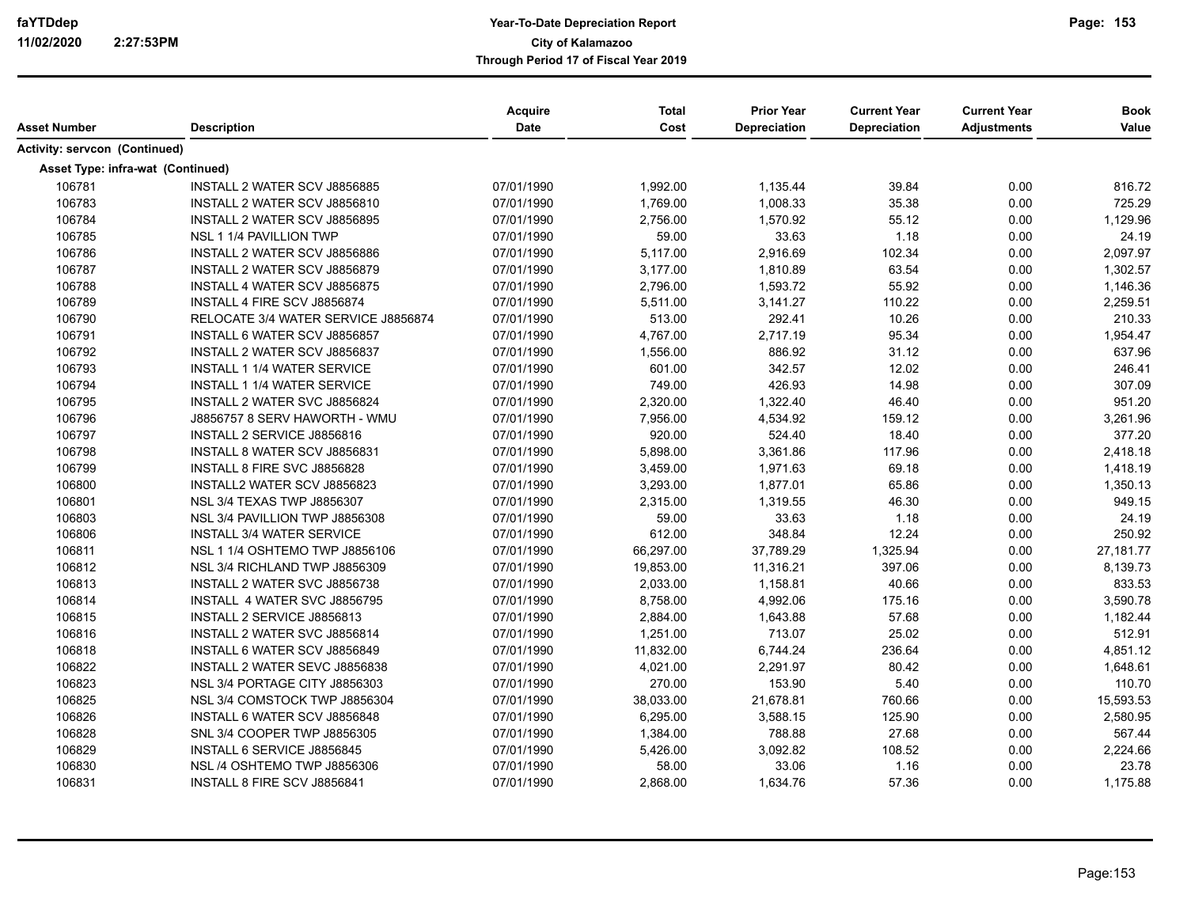| Asset Number                  | <b>Description</b>                  | <b>Acquire</b><br><b>Date</b> | <b>Total</b><br>Cost | <b>Prior Year</b><br><b>Depreciation</b> | <b>Current Year</b><br>Depreciation | <b>Current Year</b><br><b>Adjustments</b> | <b>Book</b><br>Value |
|-------------------------------|-------------------------------------|-------------------------------|----------------------|------------------------------------------|-------------------------------------|-------------------------------------------|----------------------|
| Activity: servcon (Continued) |                                     |                               |                      |                                          |                                     |                                           |                      |
|                               | Asset Type: infra-wat (Continued)   |                               |                      |                                          |                                     |                                           |                      |
| 106781                        | INSTALL 2 WATER SCV J8856885        | 07/01/1990                    | 1,992.00             | 1,135.44                                 | 39.84                               | 0.00                                      | 816.72               |
| 106783                        | INSTALL 2 WATER SCV J8856810        | 07/01/1990                    | 1,769.00             | 1,008.33                                 | 35.38                               | 0.00                                      | 725.29               |
| 106784                        | INSTALL 2 WATER SCV J8856895        | 07/01/1990                    | 2,756.00             | 1,570.92                                 | 55.12                               | 0.00                                      | 1,129.96             |
| 106785                        | NSL 1 1/4 PAVILLION TWP             | 07/01/1990                    | 59.00                | 33.63                                    | 1.18                                | 0.00                                      | 24.19                |
| 106786                        | INSTALL 2 WATER SCV J8856886        | 07/01/1990                    | 5,117.00             | 2,916.69                                 | 102.34                              | 0.00                                      | 2,097.97             |
| 106787                        | INSTALL 2 WATER SCV J8856879        | 07/01/1990                    | 3,177.00             | 1,810.89                                 | 63.54                               | 0.00                                      | 1,302.57             |
| 106788                        | INSTALL 4 WATER SCV J8856875        | 07/01/1990                    | 2,796.00             | 1,593.72                                 | 55.92                               | 0.00                                      | 1,146.36             |
| 106789                        | INSTALL 4 FIRE SCV J8856874         | 07/01/1990                    | 5,511.00             | 3,141.27                                 | 110.22                              | 0.00                                      | 2,259.51             |
| 106790                        | RELOCATE 3/4 WATER SERVICE J8856874 | 07/01/1990                    | 513.00               | 292.41                                   | 10.26                               | 0.00                                      | 210.33               |
| 106791                        | INSTALL 6 WATER SCV J8856857        | 07/01/1990                    | 4,767.00             | 2,717.19                                 | 95.34                               | 0.00                                      | 1,954.47             |
| 106792                        | INSTALL 2 WATER SCV J8856837        | 07/01/1990                    | 1,556.00             | 886.92                                   | 31.12                               | 0.00                                      | 637.96               |
| 106793                        | <b>INSTALL 1 1/4 WATER SERVICE</b>  | 07/01/1990                    | 601.00               | 342.57                                   | 12.02                               | 0.00                                      | 246.41               |
| 106794                        | <b>INSTALL 1 1/4 WATER SERVICE</b>  | 07/01/1990                    | 749.00               | 426.93                                   | 14.98                               | 0.00                                      | 307.09               |
| 106795                        | INSTALL 2 WATER SVC J8856824        | 07/01/1990                    | 2,320.00             | 1,322.40                                 | 46.40                               | 0.00                                      | 951.20               |
| 106796                        | J8856757 8 SERV HAWORTH - WMU       | 07/01/1990                    | 7,956.00             | 4,534.92                                 | 159.12                              | 0.00                                      | 3,261.96             |
| 106797                        | INSTALL 2 SERVICE J8856816          | 07/01/1990                    | 920.00               | 524.40                                   | 18.40                               | 0.00                                      | 377.20               |
| 106798                        | INSTALL 8 WATER SCV J8856831        | 07/01/1990                    | 5,898.00             | 3,361.86                                 | 117.96                              | 0.00                                      | 2,418.18             |
| 106799                        | INSTALL 8 FIRE SVC J8856828         | 07/01/1990                    | 3,459.00             | 1,971.63                                 | 69.18                               | 0.00                                      | 1,418.19             |
| 106800                        | INSTALL2 WATER SCV J8856823         | 07/01/1990                    | 3,293.00             | 1,877.01                                 | 65.86                               | 0.00                                      | 1,350.13             |
| 106801                        | <b>NSL 3/4 TEXAS TWP J8856307</b>   | 07/01/1990                    | 2,315.00             | 1,319.55                                 | 46.30                               | 0.00                                      | 949.15               |
| 106803                        | NSL 3/4 PAVILLION TWP J8856308      | 07/01/1990                    | 59.00                | 33.63                                    | 1.18                                | 0.00                                      | 24.19                |
| 106806                        | <b>INSTALL 3/4 WATER SERVICE</b>    | 07/01/1990                    | 612.00               | 348.84                                   | 12.24                               | 0.00                                      | 250.92               |
| 106811                        | NSL 1 1/4 OSHTEMO TWP J8856106      | 07/01/1990                    | 66,297.00            | 37,789.29                                | 1,325.94                            | 0.00                                      | 27,181.77            |
| 106812                        | NSL 3/4 RICHLAND TWP J8856309       | 07/01/1990                    | 19,853.00            | 11,316.21                                | 397.06                              | 0.00                                      | 8,139.73             |
| 106813                        | INSTALL 2 WATER SVC J8856738        | 07/01/1990                    | 2,033.00             | 1,158.81                                 | 40.66                               | 0.00                                      | 833.53               |
| 106814                        | INSTALL 4 WATER SVC J8856795        | 07/01/1990                    | 8,758.00             | 4,992.06                                 | 175.16                              | 0.00                                      | 3,590.78             |
| 106815                        | INSTALL 2 SERVICE J8856813          | 07/01/1990                    | 2,884.00             | 1,643.88                                 | 57.68                               | 0.00                                      | 1,182.44             |
| 106816                        | INSTALL 2 WATER SVC J8856814        | 07/01/1990                    | 1,251.00             | 713.07                                   | 25.02                               | 0.00                                      | 512.91               |
| 106818                        | INSTALL 6 WATER SCV J8856849        | 07/01/1990                    | 11,832.00            | 6,744.24                                 | 236.64                              | 0.00                                      | 4,851.12             |
| 106822                        | INSTALL 2 WATER SEVC J8856838       | 07/01/1990                    | 4,021.00             | 2,291.97                                 | 80.42                               | 0.00                                      | 1,648.61             |
| 106823                        | NSL 3/4 PORTAGE CITY J8856303       | 07/01/1990                    | 270.00               | 153.90                                   | 5.40                                | 0.00                                      | 110.70               |
| 106825                        | NSL 3/4 COMSTOCK TWP J8856304       | 07/01/1990                    | 38,033.00            | 21,678.81                                | 760.66                              | 0.00                                      | 15,593.53            |
| 106826                        | INSTALL 6 WATER SCV J8856848        | 07/01/1990                    | 6,295.00             | 3,588.15                                 | 125.90                              | 0.00                                      | 2,580.95             |
| 106828                        | SNL 3/4 COOPER TWP J8856305         | 07/01/1990                    | 1,384.00             | 788.88                                   | 27.68                               | 0.00                                      | 567.44               |
| 106829                        | INSTALL 6 SERVICE J8856845          | 07/01/1990                    | 5,426.00             | 3,092.82                                 | 108.52                              | 0.00                                      | 2.224.66             |
| 106830                        | NSL /4 OSHTEMO TWP J8856306         | 07/01/1990                    | 58.00                | 33.06                                    | 1.16                                | 0.00                                      | 23.78                |
| 106831                        | INSTALL 8 FIRE SCV J8856841         | 07/01/1990                    | 2,868.00             | 1,634.76                                 | 57.36                               | 0.00                                      | 1,175.88             |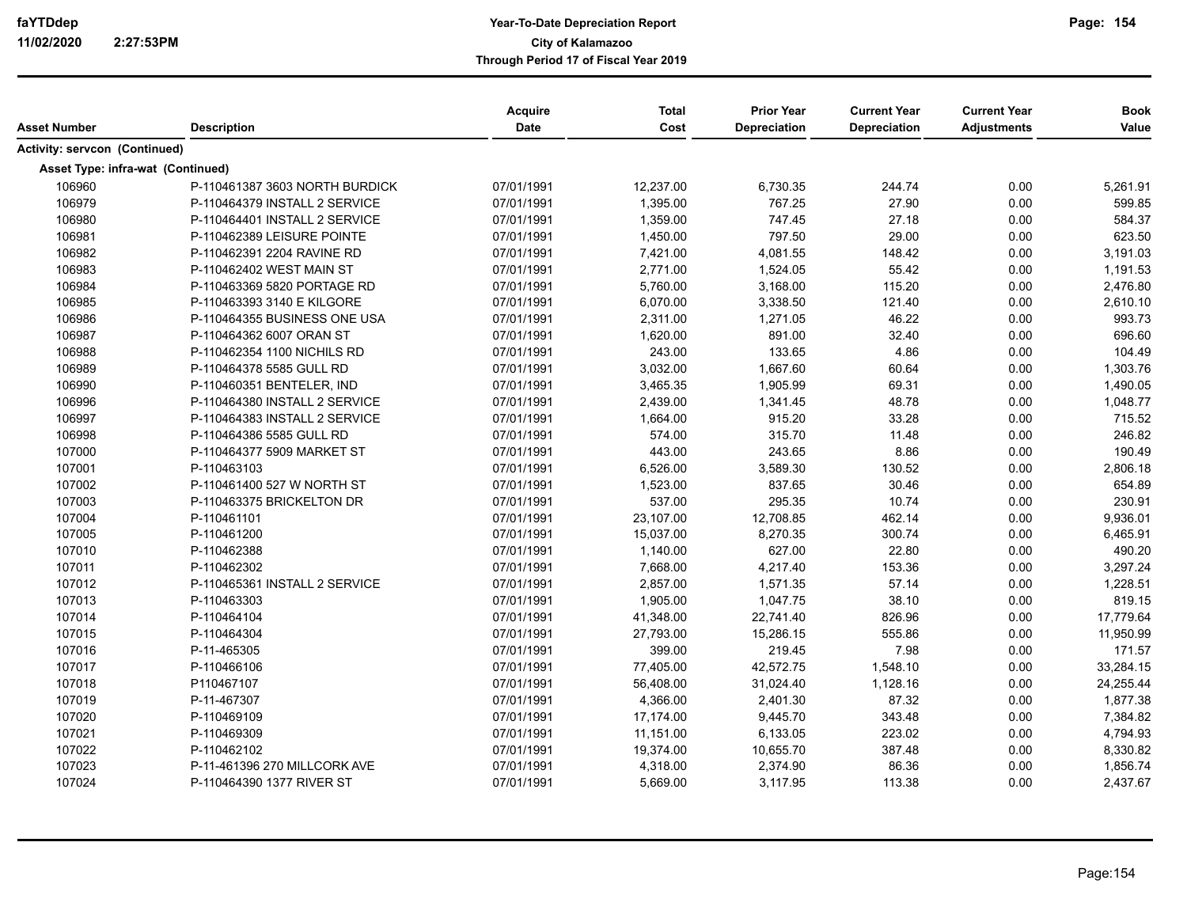| Asset Number                         | <b>Description</b>             | Acquire<br>Date | <b>Total</b><br>Cost | <b>Prior Year</b><br>Depreciation | <b>Current Year</b><br><b>Depreciation</b> | <b>Current Year</b><br><b>Adjustments</b> | <b>Book</b><br>Value |
|--------------------------------------|--------------------------------|-----------------|----------------------|-----------------------------------|--------------------------------------------|-------------------------------------------|----------------------|
| <b>Activity: servcon (Continued)</b> |                                |                 |                      |                                   |                                            |                                           |                      |
| Asset Type: infra-wat (Continued)    |                                |                 |                      |                                   |                                            |                                           |                      |
| 106960                               | P-110461387 3603 NORTH BURDICK | 07/01/1991      | 12,237.00            | 6,730.35                          | 244.74                                     | 0.00                                      | 5,261.91             |
| 106979                               | P-110464379 INSTALL 2 SERVICE  | 07/01/1991      | 1,395.00             | 767.25                            | 27.90                                      | 0.00                                      | 599.85               |
| 106980                               | P-110464401 INSTALL 2 SERVICE  | 07/01/1991      | 1,359.00             | 747.45                            | 27.18                                      | 0.00                                      | 584.37               |
| 106981                               | P-110462389 LEISURE POINTE     | 07/01/1991      | 1,450.00             | 797.50                            | 29.00                                      | 0.00                                      | 623.50               |
| 106982                               | P-110462391 2204 RAVINE RD     | 07/01/1991      | 7,421.00             | 4,081.55                          | 148.42                                     | 0.00                                      | 3,191.03             |
| 106983                               | P-110462402 WEST MAIN ST       | 07/01/1991      | 2,771.00             | 1,524.05                          | 55.42                                      | 0.00                                      | 1,191.53             |
| 106984                               | P-110463369 5820 PORTAGE RD    | 07/01/1991      | 5,760.00             | 3,168.00                          | 115.20                                     | 0.00                                      | 2,476.80             |
| 106985                               | P-110463393 3140 E KILGORE     | 07/01/1991      | 6,070.00             | 3,338.50                          | 121.40                                     | 0.00                                      | 2,610.10             |
| 106986                               | P-110464355 BUSINESS ONE USA   | 07/01/1991      | 2,311.00             | 1,271.05                          | 46.22                                      | 0.00                                      | 993.73               |
| 106987                               | P-110464362 6007 ORAN ST       | 07/01/1991      | 1,620.00             | 891.00                            | 32.40                                      | 0.00                                      | 696.60               |
| 106988                               | P-110462354 1100 NICHILS RD    | 07/01/1991      | 243.00               | 133.65                            | 4.86                                       | 0.00                                      | 104.49               |
| 106989                               | P-110464378 5585 GULL RD       | 07/01/1991      | 3,032.00             | 1,667.60                          | 60.64                                      | 0.00                                      | 1,303.76             |
| 106990                               | P-110460351 BENTELER, IND      | 07/01/1991      | 3,465.35             | 1,905.99                          | 69.31                                      | 0.00                                      | 1,490.05             |
| 106996                               | P-110464380 INSTALL 2 SERVICE  | 07/01/1991      | 2,439.00             | 1,341.45                          | 48.78                                      | 0.00                                      | 1,048.77             |
| 106997                               | P-110464383 INSTALL 2 SERVICE  | 07/01/1991      | 1,664.00             | 915.20                            | 33.28                                      | 0.00                                      | 715.52               |
| 106998                               | P-110464386 5585 GULL RD       | 07/01/1991      | 574.00               | 315.70                            | 11.48                                      | 0.00                                      | 246.82               |
| 107000                               | P-110464377 5909 MARKET ST     | 07/01/1991      | 443.00               | 243.65                            | 8.86                                       | 0.00                                      | 190.49               |
| 107001                               | P-110463103                    | 07/01/1991      | 6,526.00             | 3,589.30                          | 130.52                                     | 0.00                                      | 2,806.18             |
| 107002                               | P-110461400 527 W NORTH ST     | 07/01/1991      | 1,523.00             | 837.65                            | 30.46                                      | 0.00                                      | 654.89               |
| 107003                               | P-110463375 BRICKELTON DR      | 07/01/1991      | 537.00               | 295.35                            | 10.74                                      | 0.00                                      | 230.91               |
| 107004                               | P-110461101                    | 07/01/1991      | 23,107.00            | 12,708.85                         | 462.14                                     | 0.00                                      | 9,936.01             |
| 107005                               | P-110461200                    | 07/01/1991      | 15,037.00            | 8,270.35                          | 300.74                                     | 0.00                                      | 6,465.91             |
| 107010                               | P-110462388                    | 07/01/1991      | 1,140.00             | 627.00                            | 22.80                                      | 0.00                                      | 490.20               |
| 107011                               | P-110462302                    | 07/01/1991      | 7,668.00             | 4,217.40                          | 153.36                                     | 0.00                                      | 3,297.24             |
| 107012                               | P-110465361 INSTALL 2 SERVICE  | 07/01/1991      | 2,857.00             | 1,571.35                          | 57.14                                      | 0.00                                      | 1,228.51             |
| 107013                               | P-110463303                    | 07/01/1991      | 1,905.00             | 1,047.75                          | 38.10                                      | 0.00                                      | 819.15               |
| 107014                               | P-110464104                    | 07/01/1991      | 41,348.00            | 22,741.40                         | 826.96                                     | 0.00                                      | 17,779.64            |
| 107015                               | P-110464304                    | 07/01/1991      | 27,793.00            | 15,286.15                         | 555.86                                     | 0.00                                      | 11,950.99            |
| 107016                               | P-11-465305                    | 07/01/1991      | 399.00               | 219.45                            | 7.98                                       | 0.00                                      | 171.57               |
| 107017                               | P-110466106                    | 07/01/1991      | 77,405.00            | 42,572.75                         | 1,548.10                                   | 0.00                                      | 33,284.15            |
| 107018                               | P110467107                     | 07/01/1991      | 56,408.00            | 31,024.40                         | 1,128.16                                   | 0.00                                      | 24,255.44            |
| 107019                               | P-11-467307                    | 07/01/1991      | 4,366.00             | 2,401.30                          | 87.32                                      | 0.00                                      | 1,877.38             |
| 107020                               | P-110469109                    | 07/01/1991      | 17,174.00            | 9,445.70                          | 343.48                                     | 0.00                                      | 7,384.82             |
| 107021                               | P-110469309                    | 07/01/1991      | 11,151.00            | 6,133.05                          | 223.02                                     | 0.00                                      | 4,794.93             |
| 107022                               | P-110462102                    | 07/01/1991      | 19,374.00            | 10,655.70                         | 387.48                                     | 0.00                                      | 8,330.82             |
| 107023                               | P-11-461396 270 MILLCORK AVE   | 07/01/1991      | 4,318.00             | 2,374.90                          | 86.36                                      | 0.00                                      | 1,856.74             |
| 107024                               | P-110464390 1377 RIVER ST      | 07/01/1991      | 5,669.00             | 3,117.95                          | 113.38                                     | 0.00                                      | 2,437.67             |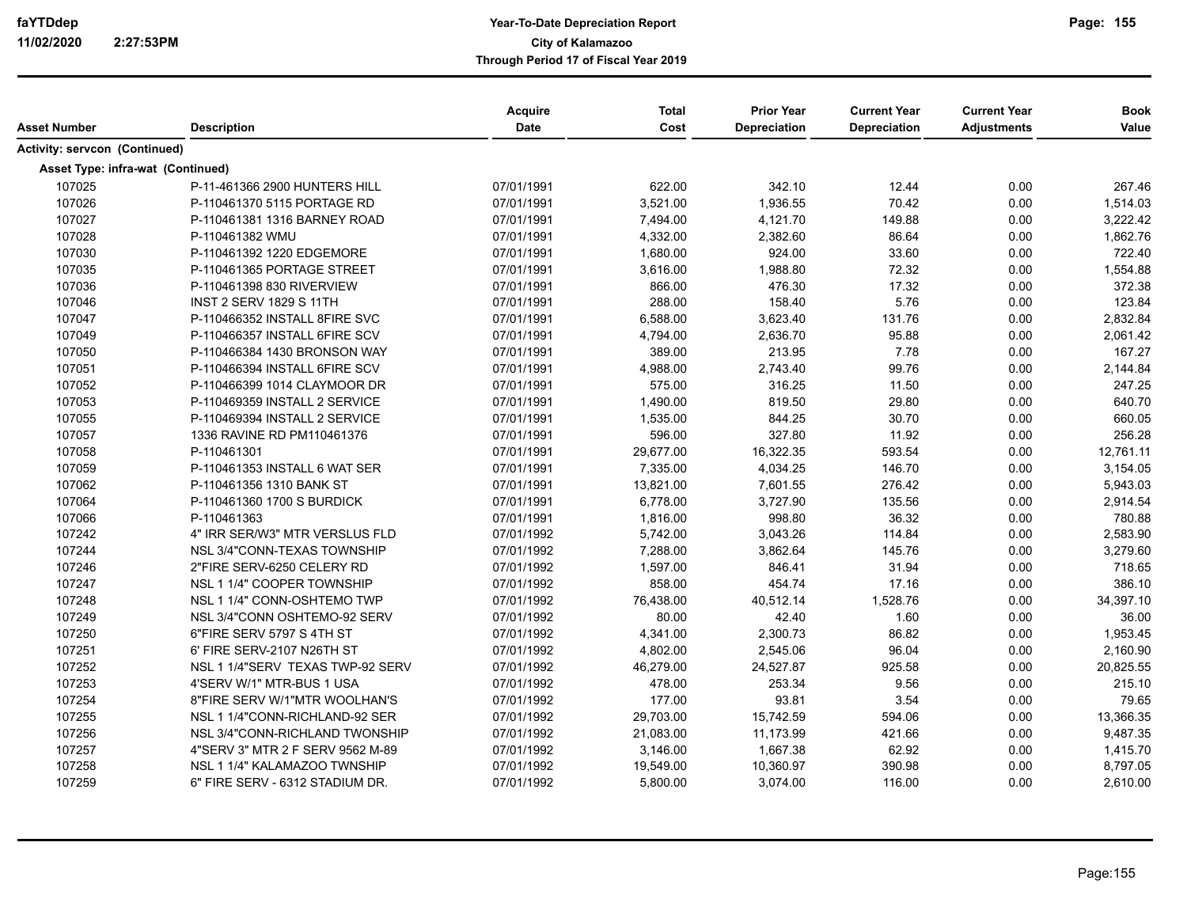| Asset Number                      | <b>Description</b>               | Acquire<br>Date | <b>Total</b><br>Cost | <b>Prior Year</b><br>Depreciation | <b>Current Year</b><br>Depreciation | <b>Current Year</b><br><b>Adjustments</b> | <b>Book</b><br>Value |
|-----------------------------------|----------------------------------|-----------------|----------------------|-----------------------------------|-------------------------------------|-------------------------------------------|----------------------|
| Activity: servcon (Continued)     |                                  |                 |                      |                                   |                                     |                                           |                      |
|                                   |                                  |                 |                      |                                   |                                     |                                           |                      |
| Asset Type: infra-wat (Continued) |                                  |                 |                      |                                   |                                     |                                           |                      |
| 107025                            | P-11-461366 2900 HUNTERS HILL    | 07/01/1991      | 622.00               | 342.10                            | 12.44                               | 0.00                                      | 267.46               |
| 107026                            | P-110461370 5115 PORTAGE RD      | 07/01/1991      | 3,521.00             | 1,936.55                          | 70.42                               | 0.00                                      | 1,514.03             |
| 107027                            | P-110461381 1316 BARNEY ROAD     | 07/01/1991      | 7,494.00             | 4,121.70                          | 149.88                              | 0.00                                      | 3,222.42             |
| 107028                            | P-110461382 WMU                  | 07/01/1991      | 4,332.00             | 2,382.60                          | 86.64                               | 0.00                                      | 1,862.76             |
| 107030                            | P-110461392 1220 EDGEMORE        | 07/01/1991      | 1,680.00             | 924.00                            | 33.60                               | 0.00                                      | 722.40               |
| 107035                            | P-110461365 PORTAGE STREET       | 07/01/1991      | 3,616.00             | 1,988.80                          | 72.32                               | 0.00                                      | 1,554.88             |
| 107036                            | P-110461398 830 RIVERVIEW        | 07/01/1991      | 866.00               | 476.30                            | 17.32                               | 0.00                                      | 372.38               |
| 107046                            | <b>INST 2 SERV 1829 S 11TH</b>   | 07/01/1991      | 288.00               | 158.40                            | 5.76                                | 0.00                                      | 123.84               |
| 107047                            | P-110466352 INSTALL 8FIRE SVC    | 07/01/1991      | 6,588.00             | 3,623.40                          | 131.76                              | 0.00                                      | 2,832.84             |
| 107049                            | P-110466357 INSTALL 6FIRE SCV    | 07/01/1991      | 4,794.00             | 2,636.70                          | 95.88                               | 0.00                                      | 2,061.42             |
| 107050                            | P-110466384 1430 BRONSON WAY     | 07/01/1991      | 389.00               | 213.95                            | 7.78                                | 0.00                                      | 167.27               |
| 107051                            | P-110466394 INSTALL 6FIRE SCV    | 07/01/1991      | 4,988.00             | 2,743.40                          | 99.76                               | 0.00                                      | 2,144.84             |
| 107052                            | P-110466399 1014 CLAYMOOR DR     | 07/01/1991      | 575.00               | 316.25                            | 11.50                               | 0.00                                      | 247.25               |
| 107053                            | P-110469359 INSTALL 2 SERVICE    | 07/01/1991      | 1,490.00             | 819.50                            | 29.80                               | 0.00                                      | 640.70               |
| 107055                            | P-110469394 INSTALL 2 SERVICE    | 07/01/1991      | 1,535.00             | 844.25                            | 30.70                               | 0.00                                      | 660.05               |
| 107057                            | 1336 RAVINE RD PM110461376       | 07/01/1991      | 596.00               | 327.80                            | 11.92                               | 0.00                                      | 256.28               |
| 107058                            | P-110461301                      | 07/01/1991      | 29,677.00            | 16,322.35                         | 593.54                              | 0.00                                      | 12,761.11            |
| 107059                            | P-110461353 INSTALL 6 WAT SER    | 07/01/1991      | 7,335.00             | 4,034.25                          | 146.70                              | 0.00                                      | 3,154.05             |
| 107062                            | P-110461356 1310 BANK ST         | 07/01/1991      | 13,821.00            | 7,601.55                          | 276.42                              | 0.00                                      | 5,943.03             |
| 107064                            | P-110461360 1700 S BURDICK       | 07/01/1991      | 6,778.00             | 3,727.90                          | 135.56                              | 0.00                                      | 2,914.54             |
| 107066                            | P-110461363                      | 07/01/1991      | 1,816.00             | 998.80                            | 36.32                               | 0.00                                      | 780.88               |
| 107242                            | 4" IRR SER/W3" MTR VERSLUS FLD   | 07/01/1992      | 5,742.00             | 3,043.26                          | 114.84                              | 0.00                                      | 2,583.90             |
| 107244                            | NSL 3/4"CONN-TEXAS TOWNSHIP      | 07/01/1992      | 7,288.00             | 3,862.64                          | 145.76                              | 0.00                                      | 3,279.60             |
| 107246                            | 2"FIRE SERV-6250 CELERY RD       | 07/01/1992      | 1,597.00             | 846.41                            | 31.94                               | 0.00                                      | 718.65               |
| 107247                            | NSL 1 1/4" COOPER TOWNSHIP       | 07/01/1992      | 858.00               | 454.74                            | 17.16                               | 0.00                                      | 386.10               |
| 107248                            | NSL 1 1/4" CONN-OSHTEMO TWP      | 07/01/1992      | 76,438.00            | 40,512.14                         | 1,528.76                            | 0.00                                      | 34,397.10            |
| 107249                            | NSL 3/4"CONN OSHTEMO-92 SERV     | 07/01/1992      | 80.00                | 42.40                             | 1.60                                | 0.00                                      | 36.00                |
| 107250                            | 6"FIRE SERV 5797 S 4TH ST        | 07/01/1992      | 4,341.00             | 2,300.73                          | 86.82                               | 0.00                                      | 1,953.45             |
| 107251                            | 6' FIRE SERV-2107 N26TH ST       | 07/01/1992      | 4,802.00             | 2,545.06                          | 96.04                               | 0.00                                      | 2,160.90             |
| 107252                            | NSL 1 1/4"SERV TEXAS TWP-92 SERV | 07/01/1992      | 46,279.00            | 24,527.87                         | 925.58                              | 0.00                                      | 20,825.55            |
| 107253                            | 4'SERV W/1" MTR-BUS 1 USA        | 07/01/1992      | 478.00               | 253.34                            | 9.56                                | 0.00                                      | 215.10               |
| 107254                            | 8"FIRE SERV W/1"MTR WOOLHAN'S    | 07/01/1992      | 177.00               | 93.81                             | 3.54                                | 0.00                                      | 79.65                |
| 107255                            | NSL 1 1/4"CONN-RICHLAND-92 SER   | 07/01/1992      | 29,703.00            | 15,742.59                         | 594.06                              | 0.00                                      | 13,366.35            |
| 107256                            | NSL 3/4"CONN-RICHLAND TWONSHIP   | 07/01/1992      | 21,083.00            | 11,173.99                         | 421.66                              | 0.00                                      | 9,487.35             |
| 107257                            | 4"SERV 3" MTR 2 F SERV 9562 M-89 | 07/01/1992      | 3,146.00             | 1,667.38                          | 62.92                               | 0.00                                      | 1,415.70             |
| 107258                            | NSL 1 1/4" KALAMAZOO TWNSHIP     | 07/01/1992      | 19,549.00            | 10,360.97                         | 390.98                              | 0.00                                      | 8,797.05             |
| 107259                            | 6" FIRE SERV - 6312 STADIUM DR.  | 07/01/1992      | 5,800.00             | 3,074.00                          | 116.00                              | 0.00                                      | 2,610.00             |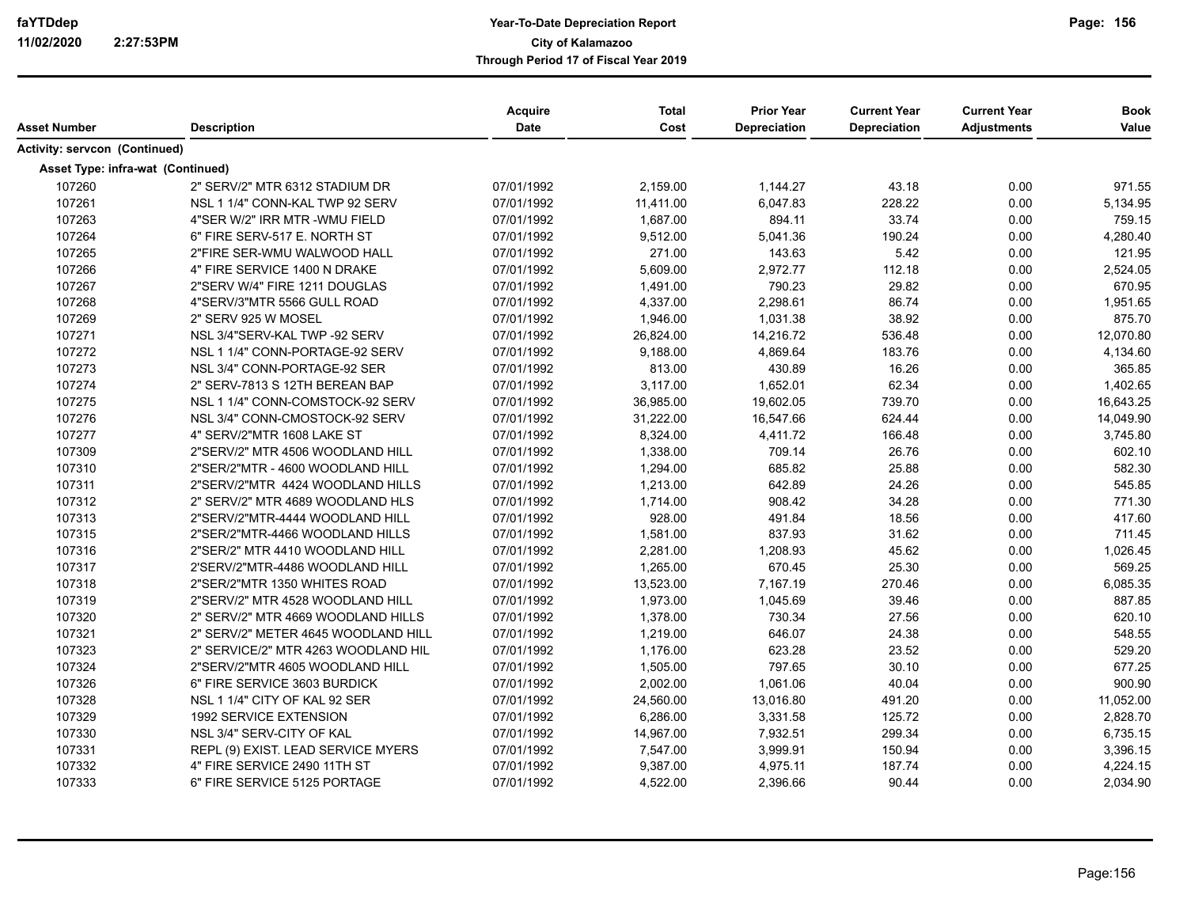| Asset Number                  | <b>Description</b>                  | Acquire<br><b>Date</b> | <b>Total</b><br>Cost | <b>Prior Year</b><br><b>Depreciation</b> | <b>Current Year</b><br>Depreciation | <b>Current Year</b><br><b>Adjustments</b> | <b>Book</b><br>Value |
|-------------------------------|-------------------------------------|------------------------|----------------------|------------------------------------------|-------------------------------------|-------------------------------------------|----------------------|
| Activity: servcon (Continued) |                                     |                        |                      |                                          |                                     |                                           |                      |
|                               | Asset Type: infra-wat (Continued)   |                        |                      |                                          |                                     |                                           |                      |
| 107260                        | 2" SERV/2" MTR 6312 STADIUM DR      | 07/01/1992             | 2,159.00             | 1,144.27                                 | 43.18                               | 0.00                                      | 971.55               |
| 107261                        | NSL 1 1/4" CONN-KAL TWP 92 SERV     | 07/01/1992             | 11,411.00            | 6,047.83                                 | 228.22                              | 0.00                                      | 5,134.95             |
| 107263                        | 4"SER W/2" IRR MTR -WMU FIELD       | 07/01/1992             | 1,687.00             | 894.11                                   | 33.74                               | 0.00                                      | 759.15               |
| 107264                        | 6" FIRE SERV-517 E. NORTH ST        | 07/01/1992             | 9,512.00             | 5,041.36                                 | 190.24                              | 0.00                                      | 4,280.40             |
| 107265                        | 2"FIRE SER-WMU WALWOOD HALL         | 07/01/1992             | 271.00               | 143.63                                   | 5.42                                | 0.00                                      | 121.95               |
| 107266                        | 4" FIRE SERVICE 1400 N DRAKE        | 07/01/1992             | 5,609.00             | 2,972.77                                 | 112.18                              | 0.00                                      | 2,524.05             |
| 107267                        | 2"SERV W/4" FIRE 1211 DOUGLAS       | 07/01/1992             | 1,491.00             | 790.23                                   | 29.82                               | 0.00                                      | 670.95               |
| 107268                        | 4"SERV/3"MTR 5566 GULL ROAD         | 07/01/1992             | 4,337.00             | 2,298.61                                 | 86.74                               | 0.00                                      | 1,951.65             |
| 107269                        | 2" SERV 925 W MOSEL                 | 07/01/1992             | 1,946.00             | 1,031.38                                 | 38.92                               | 0.00                                      | 875.70               |
| 107271                        | NSL 3/4"SERV-KAL TWP -92 SERV       | 07/01/1992             | 26,824.00            | 14,216.72                                | 536.48                              | 0.00                                      | 12,070.80            |
| 107272                        | NSL 1 1/4" CONN-PORTAGE-92 SERV     | 07/01/1992             | 9,188.00             | 4,869.64                                 | 183.76                              | 0.00                                      | 4,134.60             |
| 107273                        | NSL 3/4" CONN-PORTAGE-92 SER        | 07/01/1992             | 813.00               | 430.89                                   | 16.26                               | 0.00                                      | 365.85               |
| 107274                        | 2" SERV-7813 S 12TH BEREAN BAP      | 07/01/1992             | 3,117.00             | 1,652.01                                 | 62.34                               | 0.00                                      | 1,402.65             |
| 107275                        | NSL 1 1/4" CONN-COMSTOCK-92 SERV    | 07/01/1992             | 36,985.00            | 19,602.05                                | 739.70                              | 0.00                                      | 16,643.25            |
| 107276                        | NSL 3/4" CONN-CMOSTOCK-92 SERV      | 07/01/1992             | 31,222.00            | 16,547.66                                | 624.44                              | 0.00                                      | 14,049.90            |
| 107277                        | 4" SERV/2"MTR 1608 LAKE ST          | 07/01/1992             | 8,324.00             | 4,411.72                                 | 166.48                              | 0.00                                      | 3,745.80             |
| 107309                        | 2"SERV/2" MTR 4506 WOODLAND HILL    | 07/01/1992             | 1,338.00             | 709.14                                   | 26.76                               | 0.00                                      | 602.10               |
| 107310                        | 2"SER/2"MTR - 4600 WOODLAND HILL    | 07/01/1992             | 1,294.00             | 685.82                                   | 25.88                               | 0.00                                      | 582.30               |
| 107311                        | 2"SERV/2"MTR 4424 WOODLAND HILLS    | 07/01/1992             | 1,213.00             | 642.89                                   | 24.26                               | 0.00                                      | 545.85               |
| 107312                        | 2" SERV/2" MTR 4689 WOODLAND HLS    | 07/01/1992             | 1,714.00             | 908.42                                   | 34.28                               | 0.00                                      | 771.30               |
| 107313                        | 2"SERV/2"MTR-4444 WOODLAND HILL     | 07/01/1992             | 928.00               | 491.84                                   | 18.56                               | 0.00                                      | 417.60               |
| 107315                        | 2"SER/2"MTR-4466 WOODLAND HILLS     | 07/01/1992             | 1,581.00             | 837.93                                   | 31.62                               | 0.00                                      | 711.45               |
| 107316                        | 2"SER/2" MTR 4410 WOODLAND HILL     | 07/01/1992             | 2,281.00             | 1,208.93                                 | 45.62                               | 0.00                                      | 1,026.45             |
| 107317                        | 2'SERV/2"MTR-4486 WOODLAND HILL     | 07/01/1992             | 1,265.00             | 670.45                                   | 25.30                               | 0.00                                      | 569.25               |
| 107318                        | 2"SER/2"MTR 1350 WHITES ROAD        | 07/01/1992             | 13,523.00            | 7,167.19                                 | 270.46                              | 0.00                                      | 6,085.35             |
| 107319                        | 2"SERV/2" MTR 4528 WOODLAND HILL    | 07/01/1992             | 1,973.00             | 1,045.69                                 | 39.46                               | 0.00                                      | 887.85               |
| 107320                        | 2" SERV/2" MTR 4669 WOODLAND HILLS  | 07/01/1992             | 1,378.00             | 730.34                                   | 27.56                               | 0.00                                      | 620.10               |
| 107321                        | 2" SERV/2" METER 4645 WOODLAND HILL | 07/01/1992             | 1,219.00             | 646.07                                   | 24.38                               | 0.00                                      | 548.55               |
| 107323                        | 2" SERVICE/2" MTR 4263 WOODLAND HIL | 07/01/1992             | 1,176.00             | 623.28                                   | 23.52                               | 0.00                                      | 529.20               |
| 107324                        | 2"SERV/2"MTR 4605 WOODLAND HILL     | 07/01/1992             | 1,505.00             | 797.65                                   | 30.10                               | 0.00                                      | 677.25               |
| 107326                        | 6" FIRE SERVICE 3603 BURDICK        | 07/01/1992             | 2,002.00             | 1,061.06                                 | 40.04                               | 0.00                                      | 900.90               |
| 107328                        | NSL 1 1/4" CITY OF KAL 92 SER       | 07/01/1992             | 24,560.00            | 13,016.80                                | 491.20                              | 0.00                                      | 11,052.00            |
| 107329                        | 1992 SERVICE EXTENSION              | 07/01/1992             | 6,286.00             | 3,331.58                                 | 125.72                              | 0.00                                      | 2,828.70             |
| 107330                        | NSL 3/4" SERV-CITY OF KAL           | 07/01/1992             | 14,967.00            | 7,932.51                                 | 299.34                              | 0.00                                      | 6,735.15             |
| 107331                        | REPL (9) EXIST. LEAD SERVICE MYERS  | 07/01/1992             | 7,547.00             | 3,999.91                                 | 150.94                              | 0.00                                      | 3,396.15             |
| 107332                        | 4" FIRE SERVICE 2490 11TH ST        | 07/01/1992             | 9,387.00             | 4,975.11                                 | 187.74                              | 0.00                                      | 4,224.15             |
| 107333                        | 6" FIRE SERVICE 5125 PORTAGE        | 07/01/1992             | 4,522.00             | 2,396.66                                 | 90.44                               | 0.00                                      | 2,034.90             |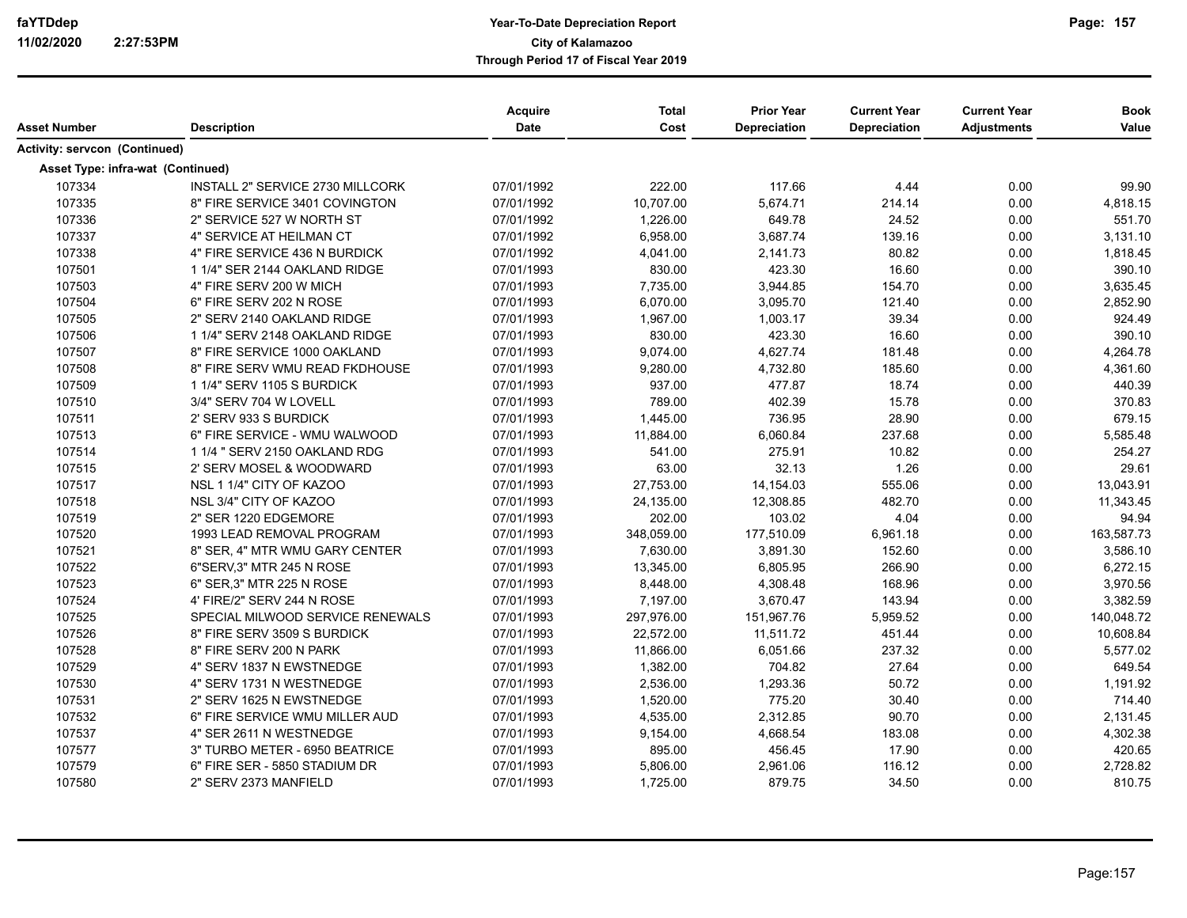| Asset Number                             | <b>Description</b>               | <b>Acquire</b><br><b>Date</b> | <b>Total</b><br>Cost | <b>Prior Year</b><br><b>Depreciation</b> | <b>Current Year</b><br>Depreciation | <b>Current Year</b><br><b>Adjustments</b> | <b>Book</b><br>Value |
|------------------------------------------|----------------------------------|-------------------------------|----------------------|------------------------------------------|-------------------------------------|-------------------------------------------|----------------------|
|                                          |                                  |                               |                      |                                          |                                     |                                           |                      |
| <b>Activity: servcon (Continued)</b>     |                                  |                               |                      |                                          |                                     |                                           |                      |
| <b>Asset Type: infra-wat (Continued)</b> |                                  |                               |                      |                                          |                                     |                                           |                      |
| 107334                                   | INSTALL 2" SERVICE 2730 MILLCORK | 07/01/1992                    | 222.00               | 117.66                                   | 4.44                                | 0.00                                      | 99.90                |
| 107335                                   | 8" FIRE SERVICE 3401 COVINGTON   | 07/01/1992                    | 10,707.00            | 5,674.71                                 | 214.14                              | 0.00                                      | 4,818.15             |
| 107336                                   | 2" SERVICE 527 W NORTH ST        | 07/01/1992                    | 1,226.00             | 649.78                                   | 24.52                               | 0.00                                      | 551.70               |
| 107337                                   | 4" SERVICE AT HEILMAN CT         | 07/01/1992                    | 6,958.00             | 3,687.74                                 | 139.16                              | 0.00                                      | 3,131.10             |
| 107338                                   | 4" FIRE SERVICE 436 N BURDICK    | 07/01/1992                    | 4,041.00             | 2,141.73                                 | 80.82                               | 0.00                                      | 1,818.45             |
| 107501                                   | 1 1/4" SER 2144 OAKLAND RIDGE    | 07/01/1993                    | 830.00               | 423.30                                   | 16.60                               | 0.00                                      | 390.10               |
| 107503                                   | 4" FIRE SERV 200 W MICH          | 07/01/1993                    | 7,735.00             | 3,944.85                                 | 154.70                              | 0.00                                      | 3,635.45             |
| 107504                                   | 6" FIRE SERV 202 N ROSE          | 07/01/1993                    | 6,070.00             | 3,095.70                                 | 121.40                              | 0.00                                      | 2,852.90             |
| 107505                                   | 2" SERV 2140 OAKLAND RIDGE       | 07/01/1993                    | 1,967.00             | 1,003.17                                 | 39.34                               | 0.00                                      | 924.49               |
| 107506                                   | 1 1/4" SERV 2148 OAKLAND RIDGE   | 07/01/1993                    | 830.00               | 423.30                                   | 16.60                               | 0.00                                      | 390.10               |
| 107507                                   | 8" FIRE SERVICE 1000 OAKLAND     | 07/01/1993                    | 9,074.00             | 4,627.74                                 | 181.48                              | 0.00                                      | 4,264.78             |
| 107508                                   | 8" FIRE SERV WMU READ FKDHOUSE   | 07/01/1993                    | 9,280.00             | 4,732.80                                 | 185.60                              | 0.00                                      | 4,361.60             |
| 107509                                   | 1 1/4" SERV 1105 S BURDICK       | 07/01/1993                    | 937.00               | 477.87                                   | 18.74                               | 0.00                                      | 440.39               |
| 107510                                   | 3/4" SERV 704 W LOVELL           | 07/01/1993                    | 789.00               | 402.39                                   | 15.78                               | 0.00                                      | 370.83               |
| 107511                                   | 2' SERV 933 S BURDICK            | 07/01/1993                    | 1,445.00             | 736.95                                   | 28.90                               | 0.00                                      | 679.15               |
| 107513                                   | 6" FIRE SERVICE - WMU WALWOOD    | 07/01/1993                    | 11,884.00            | 6,060.84                                 | 237.68                              | 0.00                                      | 5,585.48             |
| 107514                                   | 1 1/4 " SERV 2150 OAKLAND RDG    | 07/01/1993                    | 541.00               | 275.91                                   | 10.82                               | 0.00                                      | 254.27               |
| 107515                                   | 2' SERV MOSEL & WOODWARD         | 07/01/1993                    | 63.00                | 32.13                                    | 1.26                                | 0.00                                      | 29.61                |
| 107517                                   | NSL 1 1/4" CITY OF KAZOO         | 07/01/1993                    | 27,753.00            | 14,154.03                                | 555.06                              | 0.00                                      | 13,043.91            |
| 107518                                   | NSL 3/4" CITY OF KAZOO           | 07/01/1993                    | 24,135.00            | 12,308.85                                | 482.70                              | 0.00                                      | 11,343.45            |
| 107519                                   | 2" SER 1220 EDGEMORE             | 07/01/1993                    | 202.00               | 103.02                                   | 4.04                                | 0.00                                      | 94.94                |
| 107520                                   | 1993 LEAD REMOVAL PROGRAM        | 07/01/1993                    | 348,059.00           | 177,510.09                               | 6,961.18                            | 0.00                                      | 163,587.73           |
| 107521                                   | 8" SER, 4" MTR WMU GARY CENTER   | 07/01/1993                    | 7,630.00             | 3,891.30                                 | 152.60                              | 0.00                                      | 3,586.10             |
| 107522                                   | 6"SERV.3" MTR 245 N ROSE         | 07/01/1993                    | 13,345.00            | 6,805.95                                 | 266.90                              | 0.00                                      | 6,272.15             |
| 107523                                   | 6" SER, 3" MTR 225 N ROSE        | 07/01/1993                    | 8,448.00             | 4,308.48                                 | 168.96                              | 0.00                                      | 3,970.56             |
| 107524                                   | 4' FIRE/2" SERV 244 N ROSE       | 07/01/1993                    | 7,197.00             | 3,670.47                                 | 143.94                              | 0.00                                      | 3,382.59             |
| 107525                                   | SPECIAL MILWOOD SERVICE RENEWALS | 07/01/1993                    | 297,976.00           | 151,967.76                               | 5,959.52                            | 0.00                                      | 140,048.72           |
| 107526                                   | 8" FIRE SERV 3509 S BURDICK      | 07/01/1993                    | 22,572.00            | 11,511.72                                | 451.44                              | 0.00                                      | 10,608.84            |
| 107528                                   | 8" FIRE SERV 200 N PARK          | 07/01/1993                    | 11,866.00            | 6,051.66                                 | 237.32                              | 0.00                                      | 5,577.02             |
| 107529                                   | 4" SERV 1837 N EWSTNEDGE         | 07/01/1993                    | 1,382.00             | 704.82                                   | 27.64                               | 0.00                                      | 649.54               |
| 107530                                   | 4" SERV 1731 N WESTNEDGE         | 07/01/1993                    | 2,536.00             | 1,293.36                                 | 50.72                               | 0.00                                      | 1,191.92             |
| 107531                                   | 2" SERV 1625 N EWSTNEDGE         | 07/01/1993                    | 1,520.00             | 775.20                                   | 30.40                               | 0.00                                      | 714.40               |
| 107532                                   | 6" FIRE SERVICE WMU MILLER AUD   | 07/01/1993                    | 4,535.00             | 2,312.85                                 | 90.70                               | 0.00                                      | 2,131.45             |
| 107537                                   | 4" SER 2611 N WESTNEDGE          | 07/01/1993                    | 9,154.00             | 4,668.54                                 | 183.08                              | 0.00                                      | 4,302.38             |
| 107577                                   | 3" TURBO METER - 6950 BEATRICE   | 07/01/1993                    | 895.00               | 456.45                                   | 17.90                               | 0.00                                      | 420.65               |
| 107579                                   | 6" FIRE SER - 5850 STADIUM DR    | 07/01/1993                    | 5,806.00             | 2,961.06                                 | 116.12                              | 0.00                                      | 2,728.82             |
| 107580                                   | 2" SERV 2373 MANFIELD            | 07/01/1993                    | 1,725.00             | 879.75                                   | 34.50                               | 0.00                                      | 810.75               |
|                                          |                                  |                               |                      |                                          |                                     |                                           |                      |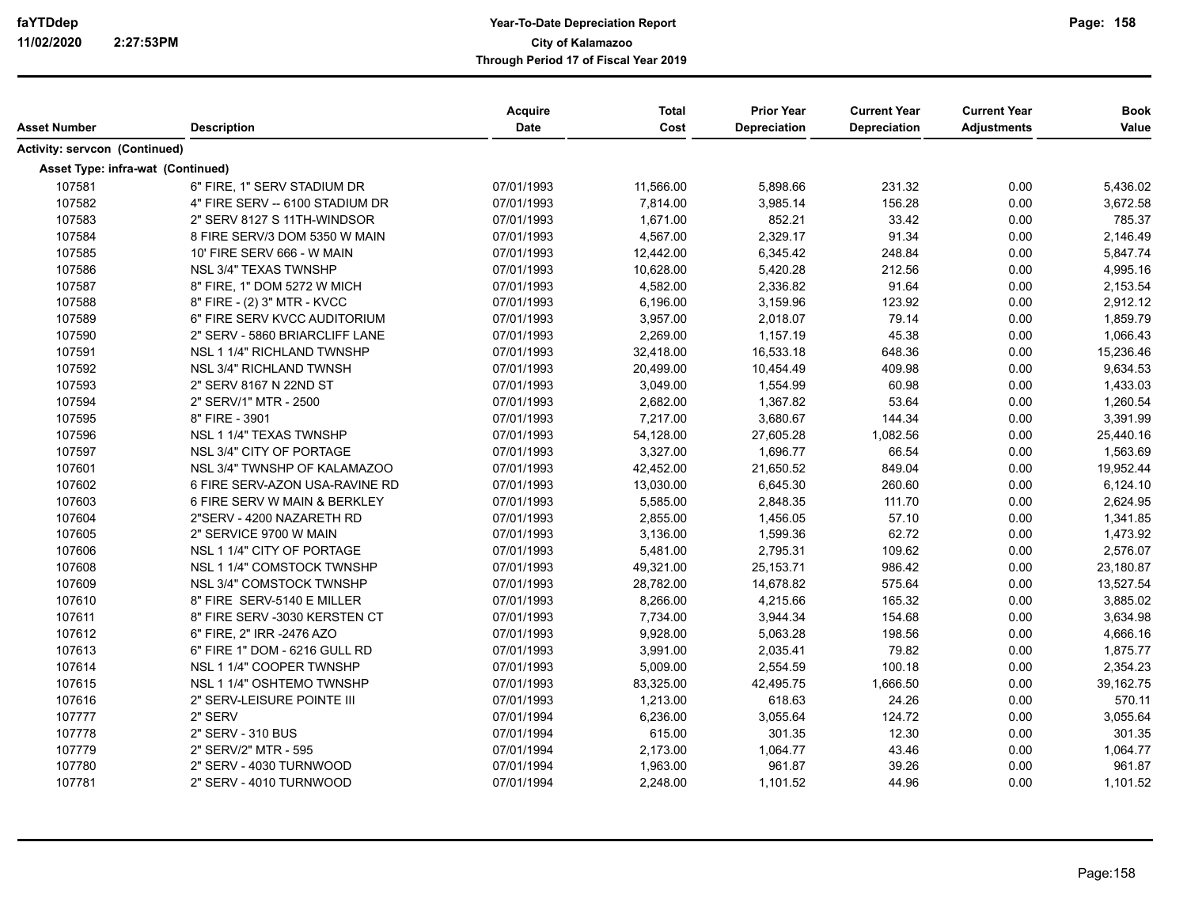| Asset Number                      | <b>Description</b>              | Acquire<br>Date | <b>Total</b><br>Cost | <b>Prior Year</b><br>Depreciation | <b>Current Year</b><br>Depreciation | <b>Current Year</b><br><b>Adjustments</b> | <b>Book</b><br>Value |
|-----------------------------------|---------------------------------|-----------------|----------------------|-----------------------------------|-------------------------------------|-------------------------------------------|----------------------|
| Activity: servcon (Continued)     |                                 |                 |                      |                                   |                                     |                                           |                      |
| Asset Type: infra-wat (Continued) |                                 |                 |                      |                                   |                                     |                                           |                      |
| 107581                            | 6" FIRE, 1" SERV STADIUM DR     | 07/01/1993      | 11,566.00            | 5,898.66                          | 231.32                              | 0.00                                      | 5,436.02             |
| 107582                            | 4" FIRE SERV -- 6100 STADIUM DR | 07/01/1993      | 7,814.00             | 3,985.14                          | 156.28                              | 0.00                                      | 3,672.58             |
| 107583                            | 2" SERV 8127 S 11TH-WINDSOR     | 07/01/1993      | 1,671.00             | 852.21                            | 33.42                               | 0.00                                      | 785.37               |
| 107584                            | 8 FIRE SERV/3 DOM 5350 W MAIN   | 07/01/1993      | 4,567.00             | 2,329.17                          | 91.34                               | 0.00                                      | 2,146.49             |
| 107585                            | 10' FIRE SERV 666 - W MAIN      | 07/01/1993      | 12,442.00            | 6,345.42                          | 248.84                              | 0.00                                      | 5,847.74             |
| 107586                            | NSL 3/4" TEXAS TWNSHP           | 07/01/1993      | 10,628.00            | 5,420.28                          | 212.56                              | 0.00                                      | 4,995.16             |
| 107587                            | 8" FIRE, 1" DOM 5272 W MICH     | 07/01/1993      | 4,582.00             | 2,336.82                          | 91.64                               | 0.00                                      | 2,153.54             |
| 107588                            | 8" FIRE - (2) 3" MTR - KVCC     | 07/01/1993      | 6,196.00             | 3,159.96                          | 123.92                              | 0.00                                      | 2,912.12             |
| 107589                            | 6" FIRE SERV KVCC AUDITORIUM    | 07/01/1993      | 3,957.00             | 2,018.07                          | 79.14                               | 0.00                                      | 1,859.79             |
| 107590                            | 2" SERV - 5860 BRIARCLIFF LANE  | 07/01/1993      | 2,269.00             | 1,157.19                          | 45.38                               | 0.00                                      | 1,066.43             |
| 107591                            | NSL 1 1/4" RICHLAND TWNSHP      | 07/01/1993      | 32,418.00            | 16,533.18                         | 648.36                              | 0.00                                      | 15,236.46            |
| 107592                            | NSL 3/4" RICHLAND TWNSH         | 07/01/1993      | 20,499.00            | 10,454.49                         | 409.98                              | 0.00                                      | 9,634.53             |
| 107593                            | 2" SERV 8167 N 22ND ST          | 07/01/1993      | 3,049.00             | 1,554.99                          | 60.98                               | 0.00                                      | 1,433.03             |
| 107594                            | 2" SERV/1" MTR - 2500           | 07/01/1993      | 2,682.00             | 1,367.82                          | 53.64                               | 0.00                                      | 1,260.54             |
| 107595                            | 8" FIRE - 3901                  | 07/01/1993      | 7,217.00             | 3,680.67                          | 144.34                              | 0.00                                      | 3,391.99             |
| 107596                            | NSL 1 1/4" TEXAS TWNSHP         | 07/01/1993      | 54,128.00            | 27,605.28                         | 1,082.56                            | 0.00                                      | 25,440.16            |
| 107597                            | NSL 3/4" CITY OF PORTAGE        | 07/01/1993      | 3,327.00             | 1,696.77                          | 66.54                               | 0.00                                      | 1,563.69             |
| 107601                            | NSL 3/4" TWNSHP OF KALAMAZOO    | 07/01/1993      | 42,452.00            | 21,650.52                         | 849.04                              | 0.00                                      | 19,952.44            |
| 107602                            | 6 FIRE SERV-AZON USA-RAVINE RD  | 07/01/1993      | 13,030.00            | 6,645.30                          | 260.60                              | 0.00                                      | 6,124.10             |
| 107603                            | 6 FIRE SERV W MAIN & BERKLEY    | 07/01/1993      | 5,585.00             | 2,848.35                          | 111.70                              | 0.00                                      | 2,624.95             |
| 107604                            | 2"SERV - 4200 NAZARETH RD       | 07/01/1993      | 2,855.00             | 1,456.05                          | 57.10                               | 0.00                                      | 1,341.85             |
| 107605                            | 2" SERVICE 9700 W MAIN          | 07/01/1993      | 3,136.00             | 1,599.36                          | 62.72                               | 0.00                                      | 1,473.92             |
| 107606                            | NSL 1 1/4" CITY OF PORTAGE      | 07/01/1993      | 5,481.00             | 2,795.31                          | 109.62                              | 0.00                                      | 2,576.07             |
| 107608                            | NSL 1 1/4" COMSTOCK TWNSHP      | 07/01/1993      | 49,321.00            | 25,153.71                         | 986.42                              | 0.00                                      | 23,180.87            |
| 107609                            | NSL 3/4" COMSTOCK TWNSHP        | 07/01/1993      | 28,782.00            | 14,678.82                         | 575.64                              | 0.00                                      | 13,527.54            |
| 107610                            |                                 |                 |                      |                                   | 165.32                              | 0.00                                      |                      |
| 107611                            | 8" FIRE SERV-5140 E MILLER      | 07/01/1993      | 8,266.00             | 4,215.66                          | 154.68                              |                                           | 3,885.02             |
|                                   | 8" FIRE SERV -3030 KERSTEN CT   | 07/01/1993      | 7,734.00             | 3,944.34                          |                                     | 0.00                                      | 3,634.98             |
| 107612                            | 6" FIRE, 2" IRR -2476 AZO       | 07/01/1993      | 9,928.00             | 5,063.28                          | 198.56                              | 0.00                                      | 4,666.16             |
| 107613                            | 6" FIRE 1" DOM - 6216 GULL RD   | 07/01/1993      | 3,991.00             | 2,035.41                          | 79.82                               | 0.00                                      | 1,875.77             |
| 107614                            | NSL 1 1/4" COOPER TWNSHP        | 07/01/1993      | 5,009.00             | 2,554.59                          | 100.18                              | 0.00                                      | 2,354.23             |
| 107615                            | NSL 1 1/4" OSHTEMO TWNSHP       | 07/01/1993      | 83,325.00            | 42,495.75                         | 1,666.50                            | 0.00                                      | 39,162.75            |
| 107616                            | 2" SERV-LEISURE POINTE III      | 07/01/1993      | 1,213.00             | 618.63                            | 24.26                               | 0.00                                      | 570.11               |
| 107777                            | 2" SERV                         | 07/01/1994      | 6,236.00             | 3,055.64                          | 124.72                              | 0.00                                      | 3,055.64             |
| 107778                            | 2" SERV - 310 BUS               | 07/01/1994      | 615.00               | 301.35                            | 12.30                               | 0.00                                      | 301.35               |
| 107779                            | 2" SERV/2" MTR - 595            | 07/01/1994      | 2,173.00             | 1,064.77                          | 43.46                               | 0.00                                      | 1,064.77             |
| 107780                            | 2" SERV - 4030 TURNWOOD         | 07/01/1994      | 1,963.00             | 961.87                            | 39.26                               | 0.00                                      | 961.87               |
| 107781                            | 2" SERV - 4010 TURNWOOD         | 07/01/1994      | 2,248.00             | 1,101.52                          | 44.96                               | 0.00                                      | 1,101.52             |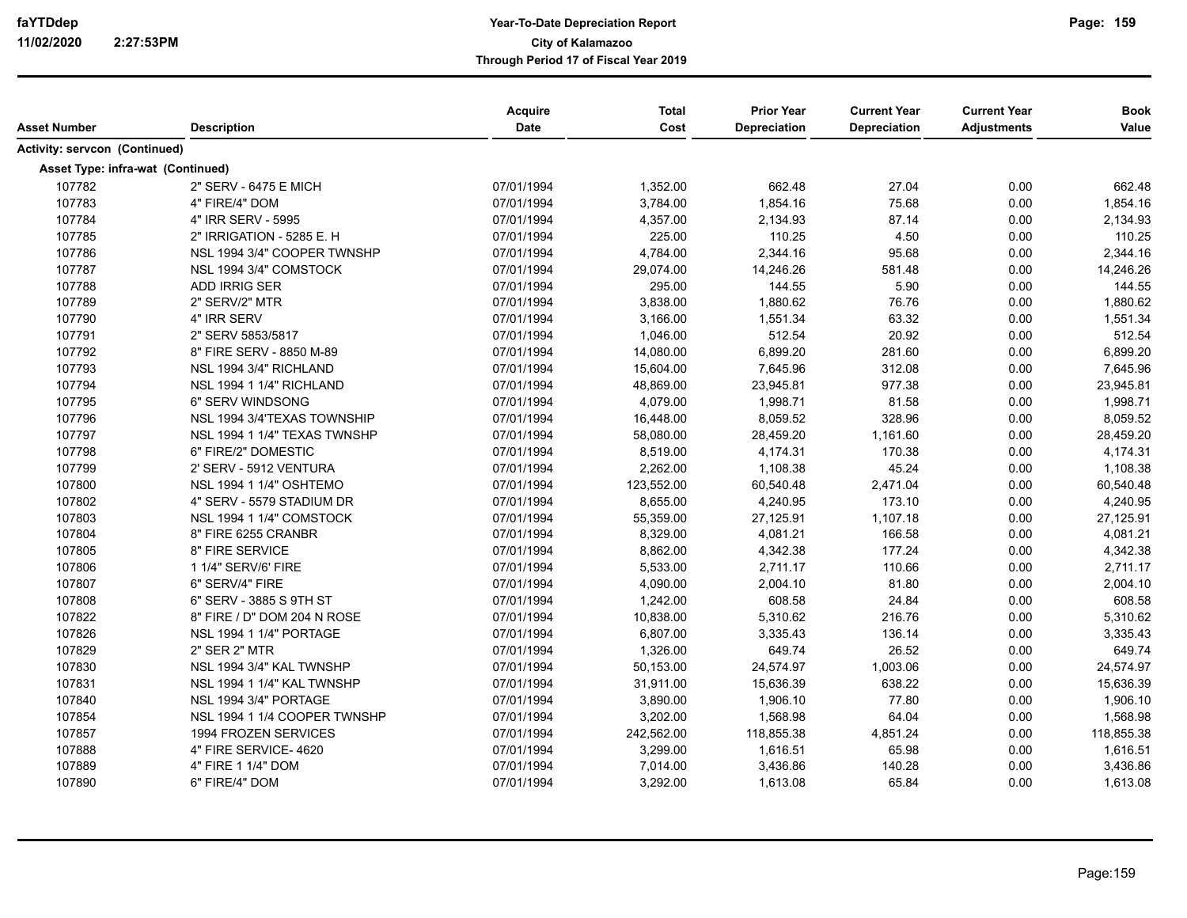| Asset Number                  | <b>Description</b>                | Acquire<br>Date | <b>Total</b><br>Cost | <b>Prior Year</b><br>Depreciation | <b>Current Year</b><br>Depreciation | <b>Current Year</b><br><b>Adjustments</b> | <b>Book</b><br>Value |
|-------------------------------|-----------------------------------|-----------------|----------------------|-----------------------------------|-------------------------------------|-------------------------------------------|----------------------|
| Activity: servcon (Continued) |                                   |                 |                      |                                   |                                     |                                           |                      |
|                               | Asset Type: infra-wat (Continued) |                 |                      |                                   |                                     |                                           |                      |
| 107782                        | 2" SERV - 6475 E MICH             | 07/01/1994      | 1,352.00             | 662.48                            | 27.04                               | 0.00                                      | 662.48               |
| 107783                        | 4" FIRE/4" DOM                    | 07/01/1994      | 3,784.00             | 1,854.16                          | 75.68                               | 0.00                                      | 1,854.16             |
| 107784                        | 4" IRR SERV - 5995                | 07/01/1994      | 4,357.00             | 2,134.93                          | 87.14                               | 0.00                                      | 2,134.93             |
| 107785                        | 2" IRRIGATION - 5285 E. H         | 07/01/1994      | 225.00               | 110.25                            | 4.50                                | 0.00                                      | 110.25               |
| 107786                        | NSL 1994 3/4" COOPER TWNSHP       | 07/01/1994      | 4,784.00             | 2,344.16                          | 95.68                               | 0.00                                      | 2,344.16             |
| 107787                        | NSL 1994 3/4" COMSTOCK            | 07/01/1994      | 29,074.00            | 14,246.26                         | 581.48                              | 0.00                                      | 14,246.26            |
| 107788                        | ADD IRRIG SER                     | 07/01/1994      | 295.00               | 144.55                            | 5.90                                | 0.00                                      | 144.55               |
| 107789                        | 2" SERV/2" MTR                    | 07/01/1994      | 3,838.00             | 1,880.62                          | 76.76                               | 0.00                                      | 1,880.62             |
| 107790                        | 4" IRR SERV                       | 07/01/1994      | 3,166.00             | 1,551.34                          | 63.32                               | 0.00                                      | 1,551.34             |
| 107791                        | 2" SERV 5853/5817                 | 07/01/1994      | 1,046.00             | 512.54                            | 20.92                               | 0.00                                      | 512.54               |
| 107792                        | 8" FIRE SERV - 8850 M-89          | 07/01/1994      | 14,080.00            | 6,899.20                          | 281.60                              | 0.00                                      | 6,899.20             |
| 107793                        | NSL 1994 3/4" RICHLAND            | 07/01/1994      | 15,604.00            | 7,645.96                          | 312.08                              | 0.00                                      | 7,645.96             |
| 107794                        | NSL 1994 1 1/4" RICHLAND          | 07/01/1994      | 48,869.00            | 23,945.81                         | 977.38                              | 0.00                                      | 23,945.81            |
| 107795                        | 6" SERV WINDSONG                  | 07/01/1994      | 4,079.00             | 1,998.71                          | 81.58                               | 0.00                                      | 1,998.71             |
| 107796                        | NSL 1994 3/4'TEXAS TOWNSHIP       | 07/01/1994      | 16,448.00            | 8,059.52                          | 328.96                              | 0.00                                      | 8,059.52             |
| 107797                        | NSL 1994 1 1/4" TEXAS TWNSHP      | 07/01/1994      | 58,080.00            | 28,459.20                         | 1,161.60                            | 0.00                                      | 28,459.20            |
| 107798                        | 6" FIRE/2" DOMESTIC               | 07/01/1994      | 8,519.00             | 4,174.31                          | 170.38                              | 0.00                                      | 4,174.31             |
| 107799                        | 2' SERV - 5912 VENTURA            | 07/01/1994      | 2,262.00             | 1,108.38                          | 45.24                               | 0.00                                      | 1,108.38             |
| 107800                        | NSL 1994 1 1/4" OSHTEMO           | 07/01/1994      | 123,552.00           | 60,540.48                         | 2,471.04                            | 0.00                                      | 60,540.48            |
| 107802                        | 4" SERV - 5579 STADIUM DR         | 07/01/1994      | 8,655.00             | 4,240.95                          | 173.10                              | 0.00                                      | 4,240.95             |
| 107803                        | NSL 1994 1 1/4" COMSTOCK          | 07/01/1994      | 55,359.00            | 27,125.91                         | 1,107.18                            | 0.00                                      | 27,125.91            |
| 107804                        | 8" FIRE 6255 CRANBR               | 07/01/1994      | 8,329.00             | 4,081.21                          | 166.58                              | 0.00                                      | 4,081.21             |
| 107805                        | 8" FIRE SERVICE                   | 07/01/1994      | 8,862.00             | 4,342.38                          | 177.24                              | 0.00                                      | 4,342.38             |
| 107806                        | 1 1/4" SERV/6' FIRE               | 07/01/1994      | 5,533.00             | 2,711.17                          | 110.66                              | 0.00                                      | 2,711.17             |
| 107807                        | 6" SERV/4" FIRE                   | 07/01/1994      | 4,090.00             | 2,004.10                          | 81.80                               | 0.00                                      | 2,004.10             |
| 107808                        | 6" SERV - 3885 S 9TH ST           | 07/01/1994      | 1,242.00             | 608.58                            | 24.84                               | 0.00                                      | 608.58               |
| 107822                        | 8" FIRE / D" DOM 204 N ROSE       | 07/01/1994      | 10,838.00            | 5,310.62                          | 216.76                              | 0.00                                      | 5,310.62             |
| 107826                        | <b>NSL 1994 1 1/4" PORTAGE</b>    | 07/01/1994      | 6,807.00             | 3,335.43                          | 136.14                              | 0.00                                      | 3,335.43             |
| 107829                        | 2" SER 2" MTR                     | 07/01/1994      | 1,326.00             | 649.74                            | 26.52                               | 0.00                                      | 649.74               |
| 107830                        | NSL 1994 3/4" KAL TWNSHP          | 07/01/1994      | 50,153.00            | 24,574.97                         | 1,003.06                            | 0.00                                      | 24,574.97            |
| 107831                        | NSL 1994 1 1/4" KAL TWNSHP        | 07/01/1994      | 31,911.00            | 15,636.39                         | 638.22                              | 0.00                                      | 15,636.39            |
| 107840                        | NSL 1994 3/4" PORTAGE             | 07/01/1994      | 3,890.00             | 1,906.10                          | 77.80                               | 0.00                                      | 1,906.10             |
| 107854                        | NSL 1994 1 1/4 COOPER TWNSHP      | 07/01/1994      | 3,202.00             | 1,568.98                          | 64.04                               | 0.00                                      | 1,568.98             |
| 107857                        | 1994 FROZEN SERVICES              | 07/01/1994      | 242,562.00           | 118,855.38                        | 4,851.24                            | 0.00                                      | 118,855.38           |
| 107888                        | 4" FIRE SERVICE-4620              | 07/01/1994      | 3,299.00             | 1,616.51                          | 65.98                               | 0.00                                      | 1,616.51             |
| 107889                        | 4" FIRE 1 1/4" DOM                | 07/01/1994      | 7,014.00             | 3,436.86                          | 140.28                              | 0.00                                      | 3,436.86             |
| 107890                        | 6" FIRE/4" DOM                    | 07/01/1994      | 3,292.00             | 1,613.08                          | 65.84                               | 0.00                                      | 1,613.08             |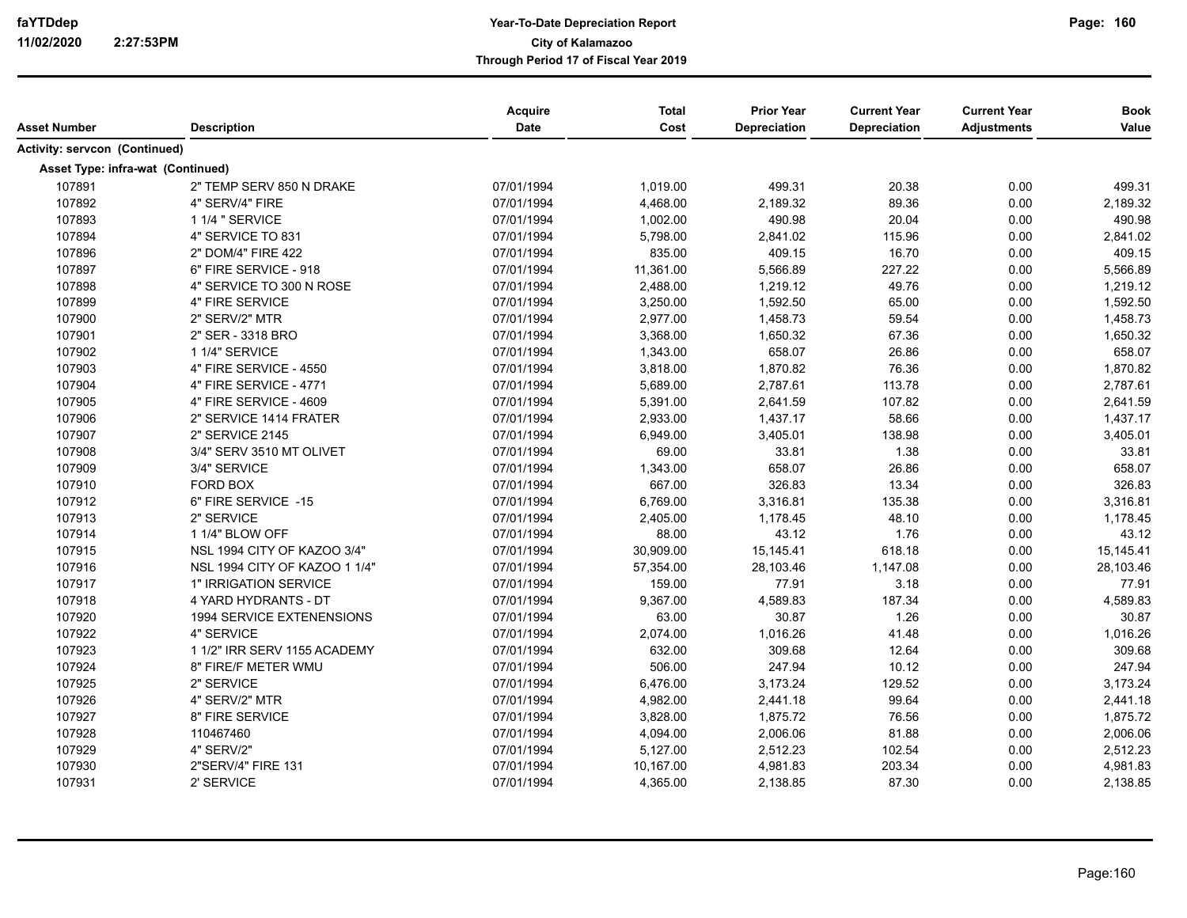| Asset Number                         | <b>Description</b>            | Acquire<br>Date | <b>Total</b><br>Cost | <b>Prior Year</b><br>Depreciation | <b>Current Year</b><br><b>Depreciation</b> | <b>Current Year</b><br><b>Adjustments</b> | <b>Book</b><br>Value |
|--------------------------------------|-------------------------------|-----------------|----------------------|-----------------------------------|--------------------------------------------|-------------------------------------------|----------------------|
| <b>Activity: servcon (Continued)</b> |                               |                 |                      |                                   |                                            |                                           |                      |
| Asset Type: infra-wat (Continued)    |                               |                 |                      |                                   |                                            |                                           |                      |
| 107891                               | 2" TEMP SERV 850 N DRAKE      | 07/01/1994      | 1,019.00             | 499.31                            | 20.38                                      | 0.00                                      | 499.31               |
| 107892                               | 4" SERV/4" FIRE               | 07/01/1994      | 4,468.00             | 2,189.32                          | 89.36                                      | 0.00                                      | 2,189.32             |
| 107893                               | 1 1/4 " SERVICE               | 07/01/1994      | 1,002.00             | 490.98                            | 20.04                                      | 0.00                                      | 490.98               |
| 107894                               | 4" SERVICE TO 831             | 07/01/1994      | 5,798.00             | 2,841.02                          | 115.96                                     | 0.00                                      | 2,841.02             |
| 107896                               | 2" DOM/4" FIRE 422            | 07/01/1994      | 835.00               | 409.15                            | 16.70                                      | 0.00                                      | 409.15               |
| 107897                               | 6" FIRE SERVICE - 918         | 07/01/1994      | 11,361.00            | 5,566.89                          | 227.22                                     | 0.00                                      | 5,566.89             |
| 107898                               | 4" SERVICE TO 300 N ROSE      | 07/01/1994      | 2,488.00             | 1,219.12                          | 49.76                                      | 0.00                                      | 1,219.12             |
| 107899                               | 4" FIRE SERVICE               | 07/01/1994      | 3,250.00             | 1,592.50                          | 65.00                                      | 0.00                                      | 1,592.50             |
| 107900                               | 2" SERV/2" MTR                | 07/01/1994      | 2,977.00             | 1,458.73                          | 59.54                                      | 0.00                                      | 1,458.73             |
| 107901                               | 2" SER - 3318 BRO             | 07/01/1994      | 3,368.00             | 1,650.32                          | 67.36                                      | 0.00                                      | 1,650.32             |
| 107902                               | 1 1/4" SERVICE                | 07/01/1994      | 1,343.00             | 658.07                            | 26.86                                      | 0.00                                      | 658.07               |
| 107903                               | 4" FIRE SERVICE - 4550        | 07/01/1994      | 3,818.00             | 1,870.82                          | 76.36                                      | 0.00                                      | 1,870.82             |
| 107904                               | 4" FIRE SERVICE - 4771        | 07/01/1994      | 5,689.00             | 2,787.61                          | 113.78                                     | 0.00                                      | 2,787.61             |
| 107905                               | 4" FIRE SERVICE - 4609        | 07/01/1994      | 5,391.00             | 2,641.59                          | 107.82                                     | 0.00                                      | 2,641.59             |
| 107906                               | 2" SERVICE 1414 FRATER        | 07/01/1994      | 2,933.00             | 1,437.17                          | 58.66                                      | 0.00                                      | 1,437.17             |
| 107907                               | 2" SERVICE 2145               | 07/01/1994      | 6,949.00             | 3,405.01                          | 138.98                                     | 0.00                                      | 3,405.01             |
| 107908                               | 3/4" SERV 3510 MT OLIVET      | 07/01/1994      | 69.00                | 33.81                             | 1.38                                       | 0.00                                      | 33.81                |
| 107909                               | 3/4" SERVICE                  | 07/01/1994      | 1,343.00             | 658.07                            | 26.86                                      | 0.00                                      | 658.07               |
| 107910                               | FORD BOX                      | 07/01/1994      | 667.00               | 326.83                            | 13.34                                      | 0.00                                      | 326.83               |
| 107912                               | 6" FIRE SERVICE -15           | 07/01/1994      | 6,769.00             | 3,316.81                          | 135.38                                     | 0.00                                      | 3,316.81             |
| 107913                               | 2" SERVICE                    | 07/01/1994      | 2,405.00             | 1,178.45                          | 48.10                                      | 0.00                                      | 1,178.45             |
| 107914                               | 1 1/4" BLOW OFF               | 07/01/1994      | 88.00                | 43.12                             | 1.76                                       | 0.00                                      | 43.12                |
| 107915                               | NSL 1994 CITY OF KAZOO 3/4"   | 07/01/1994      | 30,909.00            | 15,145.41                         | 618.18                                     | 0.00                                      | 15,145.41            |
| 107916                               | NSL 1994 CITY OF KAZOO 1 1/4" | 07/01/1994      | 57,354.00            | 28,103.46                         | 1,147.08                                   | 0.00                                      | 28,103.46            |
| 107917                               | 1" IRRIGATION SERVICE         | 07/01/1994      | 159.00               | 77.91                             | 3.18                                       | 0.00                                      | 77.91                |
| 107918                               | 4 YARD HYDRANTS - DT          | 07/01/1994      | 9,367.00             | 4,589.83                          | 187.34                                     | 0.00                                      | 4,589.83             |
| 107920                               | 1994 SERVICE EXTENENSIONS     | 07/01/1994      | 63.00                | 30.87                             | 1.26                                       | 0.00                                      | 30.87                |
| 107922                               | 4" SERVICE                    | 07/01/1994      | 2,074.00             | 1,016.26                          | 41.48                                      | 0.00                                      | 1,016.26             |
| 107923                               | 1 1/2" IRR SERV 1155 ACADEMY  | 07/01/1994      | 632.00               | 309.68                            | 12.64                                      | 0.00                                      | 309.68               |
| 107924                               | 8" FIRE/F METER WMU           | 07/01/1994      | 506.00               | 247.94                            | 10.12                                      | 0.00                                      | 247.94               |
| 107925                               | 2" SERVICE                    | 07/01/1994      | 6,476.00             | 3,173.24                          | 129.52                                     | 0.00                                      | 3,173.24             |
| 107926                               | 4" SERV/2" MTR                | 07/01/1994      | 4,982.00             | 2,441.18                          | 99.64                                      | 0.00                                      | 2,441.18             |
| 107927                               | 8" FIRE SERVICE               | 07/01/1994      | 3,828.00             | 1,875.72                          | 76.56                                      | 0.00                                      | 1,875.72             |
| 107928                               | 110467460                     | 07/01/1994      | 4,094.00             | 2,006.06                          | 81.88                                      | 0.00                                      | 2,006.06             |
| 107929                               | 4" SERV/2"                    | 07/01/1994      | 5,127.00             | 2,512.23                          | 102.54                                     | 0.00                                      | 2,512.23             |
| 107930                               | 2"SERV/4" FIRE 131            | 07/01/1994      | 10,167.00            | 4,981.83                          | 203.34                                     | 0.00                                      | 4,981.83             |
| 107931                               | 2' SERVICE                    | 07/01/1994      | 4,365.00             | 2,138.85                          | 87.30                                      | 0.00                                      | 2,138.85             |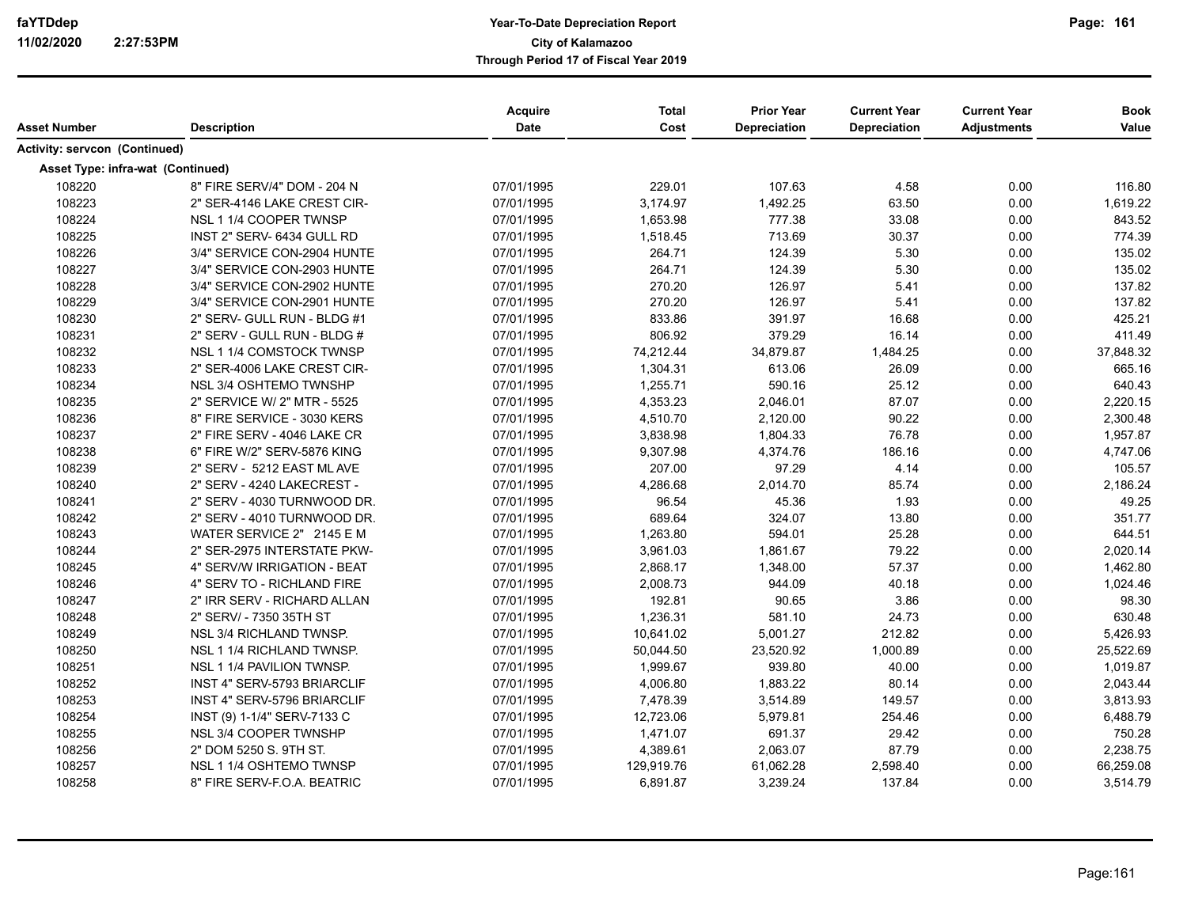| Asset Number                      | <b>Description</b>          | Acquire<br>Date | <b>Total</b><br>Cost | <b>Prior Year</b><br>Depreciation | <b>Current Year</b><br>Depreciation | <b>Current Year</b><br><b>Adjustments</b> | <b>Book</b><br>Value |
|-----------------------------------|-----------------------------|-----------------|----------------------|-----------------------------------|-------------------------------------|-------------------------------------------|----------------------|
|                                   |                             |                 |                      |                                   |                                     |                                           |                      |
| Activity: servcon (Continued)     |                             |                 |                      |                                   |                                     |                                           |                      |
| Asset Type: infra-wat (Continued) |                             |                 |                      |                                   |                                     |                                           |                      |
| 108220                            | 8" FIRE SERV/4" DOM - 204 N | 07/01/1995      | 229.01               | 107.63                            | 4.58                                | 0.00                                      | 116.80               |
| 108223                            | 2" SER-4146 LAKE CREST CIR- | 07/01/1995      | 3,174.97             | 1,492.25                          | 63.50                               | 0.00                                      | 1,619.22             |
| 108224                            | NSL 1 1/4 COOPER TWNSP      | 07/01/1995      | 1,653.98             | 777.38                            | 33.08                               | 0.00                                      | 843.52               |
| 108225                            | INST 2" SERV- 6434 GULL RD  | 07/01/1995      | 1,518.45             | 713.69                            | 30.37                               | 0.00                                      | 774.39               |
| 108226                            | 3/4" SERVICE CON-2904 HUNTE | 07/01/1995      | 264.71               | 124.39                            | 5.30                                | 0.00                                      | 135.02               |
| 108227                            | 3/4" SERVICE CON-2903 HUNTE | 07/01/1995      | 264.71               | 124.39                            | 5.30                                | 0.00                                      | 135.02               |
| 108228                            | 3/4" SERVICE CON-2902 HUNTE | 07/01/1995      | 270.20               | 126.97                            | 5.41                                | 0.00                                      | 137.82               |
| 108229                            | 3/4" SERVICE CON-2901 HUNTE | 07/01/1995      | 270.20               | 126.97                            | 5.41                                | 0.00                                      | 137.82               |
| 108230                            | 2" SERV- GULL RUN - BLDG #1 | 07/01/1995      | 833.86               | 391.97                            | 16.68                               | 0.00                                      | 425.21               |
| 108231                            | 2" SERV - GULL RUN - BLDG # | 07/01/1995      | 806.92               | 379.29                            | 16.14                               | 0.00                                      | 411.49               |
| 108232                            | NSL 1 1/4 COMSTOCK TWNSP    | 07/01/1995      | 74,212.44            | 34,879.87                         | 1,484.25                            | 0.00                                      | 37,848.32            |
| 108233                            | 2" SER-4006 LAKE CREST CIR- | 07/01/1995      | 1,304.31             | 613.06                            | 26.09                               | 0.00                                      | 665.16               |
| 108234                            | NSL 3/4 OSHTEMO TWNSHP      | 07/01/1995      | 1,255.71             | 590.16                            | 25.12                               | 0.00                                      | 640.43               |
| 108235                            | 2" SERVICE W/ 2" MTR - 5525 | 07/01/1995      | 4,353.23             | 2,046.01                          | 87.07                               | 0.00                                      | 2,220.15             |
| 108236                            | 8" FIRE SERVICE - 3030 KERS | 07/01/1995      | 4,510.70             | 2,120.00                          | 90.22                               | 0.00                                      | 2,300.48             |
| 108237                            | 2" FIRE SERV - 4046 LAKE CR | 07/01/1995      | 3,838.98             | 1,804.33                          | 76.78                               | 0.00                                      | 1,957.87             |
| 108238                            | 6" FIRE W/2" SERV-5876 KING | 07/01/1995      | 9,307.98             | 4,374.76                          | 186.16                              | 0.00                                      | 4,747.06             |
| 108239                            | 2" SERV - 5212 EAST ML AVE  | 07/01/1995      | 207.00               | 97.29                             | 4.14                                | 0.00                                      | 105.57               |
| 108240                            | 2" SERV - 4240 LAKECREST -  | 07/01/1995      | 4,286.68             | 2,014.70                          | 85.74                               | 0.00                                      | 2,186.24             |
| 108241                            | 2" SERV - 4030 TURNWOOD DR. | 07/01/1995      | 96.54                | 45.36                             | 1.93                                | 0.00                                      | 49.25                |
| 108242                            | 2" SERV - 4010 TURNWOOD DR. | 07/01/1995      | 689.64               | 324.07                            | 13.80                               | 0.00                                      | 351.77               |
| 108243                            | WATER SERVICE 2" 2145 E M   | 07/01/1995      | 1,263.80             | 594.01                            | 25.28                               | 0.00                                      | 644.51               |
| 108244                            | 2" SER-2975 INTERSTATE PKW- | 07/01/1995      | 3,961.03             | 1,861.67                          | 79.22                               | 0.00                                      | 2,020.14             |
| 108245                            | 4" SERV/W IRRIGATION - BEAT | 07/01/1995      | 2,868.17             | 1,348.00                          | 57.37                               | 0.00                                      | 1,462.80             |
| 108246                            | 4" SERV TO - RICHLAND FIRE  | 07/01/1995      | 2,008.73             | 944.09                            | 40.18                               | 0.00                                      | 1,024.46             |
| 108247                            | 2" IRR SERV - RICHARD ALLAN | 07/01/1995      | 192.81               | 90.65                             | 3.86                                | 0.00                                      | 98.30                |
| 108248                            | 2" SERV/ - 7350 35TH ST     | 07/01/1995      | 1,236.31             | 581.10                            | 24.73                               | 0.00                                      | 630.48               |
| 108249                            | NSL 3/4 RICHLAND TWNSP.     | 07/01/1995      | 10,641.02            | 5,001.27                          | 212.82                              | 0.00                                      | 5,426.93             |
| 108250                            | NSL 1 1/4 RICHLAND TWNSP.   | 07/01/1995      | 50,044.50            | 23,520.92                         | 1,000.89                            | 0.00                                      | 25,522.69            |
| 108251                            | NSL 1 1/4 PAVILION TWNSP.   | 07/01/1995      | 1,999.67             | 939.80                            | 40.00                               | 0.00                                      | 1,019.87             |
| 108252                            | INST 4" SERV-5793 BRIARCLIF | 07/01/1995      | 4,006.80             | 1,883.22                          | 80.14                               | 0.00                                      | 2,043.44             |
| 108253                            | INST 4" SERV-5796 BRIARCLIF | 07/01/1995      | 7,478.39             | 3,514.89                          | 149.57                              | 0.00                                      | 3,813.93             |
| 108254                            | INST (9) 1-1/4" SERV-7133 C | 07/01/1995      | 12,723.06            | 5,979.81                          | 254.46                              | 0.00                                      | 6,488.79             |
| 108255                            | NSL 3/4 COOPER TWNSHP       | 07/01/1995      | 1,471.07             | 691.37                            | 29.42                               | 0.00                                      | 750.28               |
| 108256                            | 2" DOM 5250 S. 9TH ST.      | 07/01/1995      | 4,389.61             | 2,063.07                          | 87.79                               | 0.00                                      | 2,238.75             |
| 108257                            | NSL 1 1/4 OSHTEMO TWNSP     | 07/01/1995      | 129,919.76           | 61,062.28                         | 2,598.40                            | 0.00                                      | 66,259.08            |
| 108258                            | 8" FIRE SERV-F.O.A. BEATRIC | 07/01/1995      | 6,891.87             | 3,239.24                          | 137.84                              | 0.00                                      | 3,514.79             |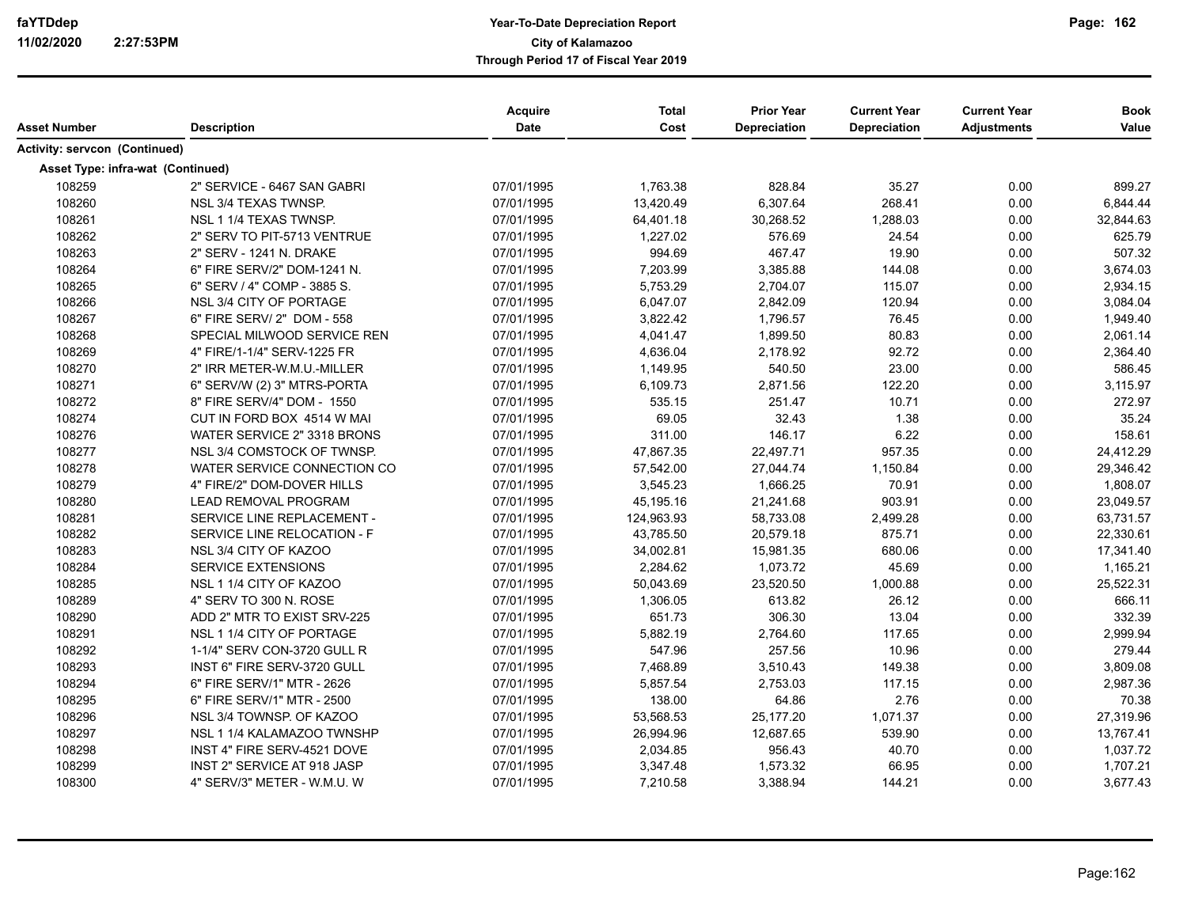| Asset Number                         | <b>Description</b>                | Acquire<br><b>Date</b> | <b>Total</b><br>Cost | <b>Prior Year</b><br>Depreciation | <b>Current Year</b><br><b>Depreciation</b> | <b>Current Year</b><br><b>Adjustments</b> | <b>Book</b><br>Value |
|--------------------------------------|-----------------------------------|------------------------|----------------------|-----------------------------------|--------------------------------------------|-------------------------------------------|----------------------|
| <b>Activity: servcon (Continued)</b> |                                   |                        |                      |                                   |                                            |                                           |                      |
|                                      | Asset Type: infra-wat (Continued) |                        |                      |                                   |                                            |                                           |                      |
| 108259                               | 2" SERVICE - 6467 SAN GABRI       | 07/01/1995             | 1,763.38             | 828.84                            | 35.27                                      | 0.00                                      | 899.27               |
| 108260                               | NSL 3/4 TEXAS TWNSP.              | 07/01/1995             | 13,420.49            | 6,307.64                          | 268.41                                     | 0.00                                      | 6,844.44             |
| 108261                               | NSL 1 1/4 TEXAS TWNSP.            | 07/01/1995             | 64,401.18            | 30,268.52                         | 1,288.03                                   | 0.00                                      | 32,844.63            |
| 108262                               | 2" SERV TO PIT-5713 VENTRUE       | 07/01/1995             | 1,227.02             | 576.69                            | 24.54                                      | 0.00                                      | 625.79               |
| 108263                               | 2" SERV - 1241 N. DRAKE           | 07/01/1995             | 994.69               | 467.47                            | 19.90                                      | 0.00                                      | 507.32               |
| 108264                               | 6" FIRE SERV/2" DOM-1241 N.       | 07/01/1995             | 7,203.99             | 3,385.88                          | 144.08                                     | 0.00                                      | 3,674.03             |
| 108265                               | 6" SERV / 4" COMP - 3885 S.       | 07/01/1995             | 5,753.29             | 2,704.07                          | 115.07                                     | 0.00                                      | 2,934.15             |
| 108266                               | NSL 3/4 CITY OF PORTAGE           | 07/01/1995             | 6,047.07             | 2,842.09                          | 120.94                                     | 0.00                                      | 3,084.04             |
| 108267                               | 6" FIRE SERV/ 2" DOM - 558        | 07/01/1995             | 3,822.42             | 1,796.57                          | 76.45                                      | 0.00                                      | 1,949.40             |
| 108268                               | SPECIAL MILWOOD SERVICE REN       | 07/01/1995             | 4,041.47             | 1,899.50                          | 80.83                                      | 0.00                                      | 2,061.14             |
| 108269                               | 4" FIRE/1-1/4" SERV-1225 FR       | 07/01/1995             | 4,636.04             | 2,178.92                          | 92.72                                      | 0.00                                      | 2,364.40             |
| 108270                               | 2" IRR METER-W.M.U.-MILLER        | 07/01/1995             | 1,149.95             | 540.50                            | 23.00                                      | 0.00                                      | 586.45               |
| 108271                               | 6" SERV/W (2) 3" MTRS-PORTA       | 07/01/1995             | 6,109.73             | 2,871.56                          | 122.20                                     | 0.00                                      | 3,115.97             |
| 108272                               | 8" FIRE SERV/4" DOM - 1550        | 07/01/1995             | 535.15               | 251.47                            | 10.71                                      | 0.00                                      | 272.97               |
| 108274                               | CUT IN FORD BOX 4514 W MAI        | 07/01/1995             | 69.05                | 32.43                             | 1.38                                       | 0.00                                      | 35.24                |
| 108276                               | WATER SERVICE 2" 3318 BRONS       | 07/01/1995             | 311.00               | 146.17                            | 6.22                                       | 0.00                                      | 158.61               |
| 108277                               | NSL 3/4 COMSTOCK OF TWNSP.        | 07/01/1995             | 47,867.35            | 22,497.71                         | 957.35                                     | 0.00                                      | 24,412.29            |
| 108278                               | WATER SERVICE CONNECTION CO       | 07/01/1995             | 57,542.00            | 27,044.74                         | 1,150.84                                   | 0.00                                      | 29,346.42            |
| 108279                               | 4" FIRE/2" DOM-DOVER HILLS        | 07/01/1995             | 3,545.23             | 1,666.25                          | 70.91                                      | 0.00                                      | 1,808.07             |
| 108280                               | <b>LEAD REMOVAL PROGRAM</b>       | 07/01/1995             | 45,195.16            | 21,241.68                         | 903.91                                     | 0.00                                      | 23,049.57            |
| 108281                               | SERVICE LINE REPLACEMENT -        | 07/01/1995             | 124,963.93           | 58,733.08                         | 2,499.28                                   | 0.00                                      | 63,731.57            |
| 108282                               | SERVICE LINE RELOCATION - F       | 07/01/1995             | 43,785.50            | 20,579.18                         | 875.71                                     | 0.00                                      | 22,330.61            |
| 108283                               | NSL 3/4 CITY OF KAZOO             | 07/01/1995             | 34,002.81            | 15,981.35                         | 680.06                                     | 0.00                                      | 17,341.40            |
| 108284                               | <b>SERVICE EXTENSIONS</b>         | 07/01/1995             | 2,284.62             | 1,073.72                          | 45.69                                      | 0.00                                      | 1,165.21             |
| 108285                               | NSL 1 1/4 CITY OF KAZOO           | 07/01/1995             | 50,043.69            | 23,520.50                         | 1,000.88                                   | 0.00                                      | 25,522.31            |
| 108289                               | 4" SERV TO 300 N. ROSE            | 07/01/1995             | 1,306.05             | 613.82                            | 26.12                                      | 0.00                                      | 666.11               |
| 108290                               | ADD 2" MTR TO EXIST SRV-225       | 07/01/1995             | 651.73               | 306.30                            | 13.04                                      | 0.00                                      | 332.39               |
| 108291                               | NSL 1 1/4 CITY OF PORTAGE         | 07/01/1995             | 5,882.19             | 2,764.60                          | 117.65                                     | 0.00                                      | 2,999.94             |
| 108292                               | 1-1/4" SERV CON-3720 GULL R       | 07/01/1995             | 547.96               | 257.56                            | 10.96                                      | 0.00                                      | 279.44               |
| 108293                               | INST 6" FIRE SERV-3720 GULL       | 07/01/1995             | 7,468.89             | 3,510.43                          | 149.38                                     | 0.00                                      | 3,809.08             |
| 108294                               | 6" FIRE SERV/1" MTR - 2626        | 07/01/1995             | 5,857.54             | 2,753.03                          | 117.15                                     | 0.00                                      | 2,987.36             |
| 108295                               | 6" FIRE SERV/1" MTR - 2500        | 07/01/1995             | 138.00               | 64.86                             | 2.76                                       | 0.00                                      | 70.38                |
| 108296                               | NSL 3/4 TOWNSP, OF KAZOO          | 07/01/1995             | 53,568.53            | 25,177.20                         | 1,071.37                                   | 0.00                                      | 27,319.96            |
| 108297                               | NSL 1 1/4 KALAMAZOO TWNSHP        | 07/01/1995             | 26,994.96            | 12,687.65                         | 539.90                                     | 0.00                                      | 13,767.41            |
| 108298                               | INST 4" FIRE SERV-4521 DOVE       | 07/01/1995             | 2,034.85             | 956.43                            | 40.70                                      | 0.00                                      | 1,037.72             |
| 108299                               | INST 2" SERVICE AT 918 JASP       | 07/01/1995             | 3,347.48             | 1,573.32                          | 66.95                                      | 0.00                                      | 1,707.21             |
| 108300                               | 4" SERV/3" METER - W.M.U. W       | 07/01/1995             | 7,210.58             | 3,388.94                          | 144.21                                     | 0.00                                      | 3,677.43             |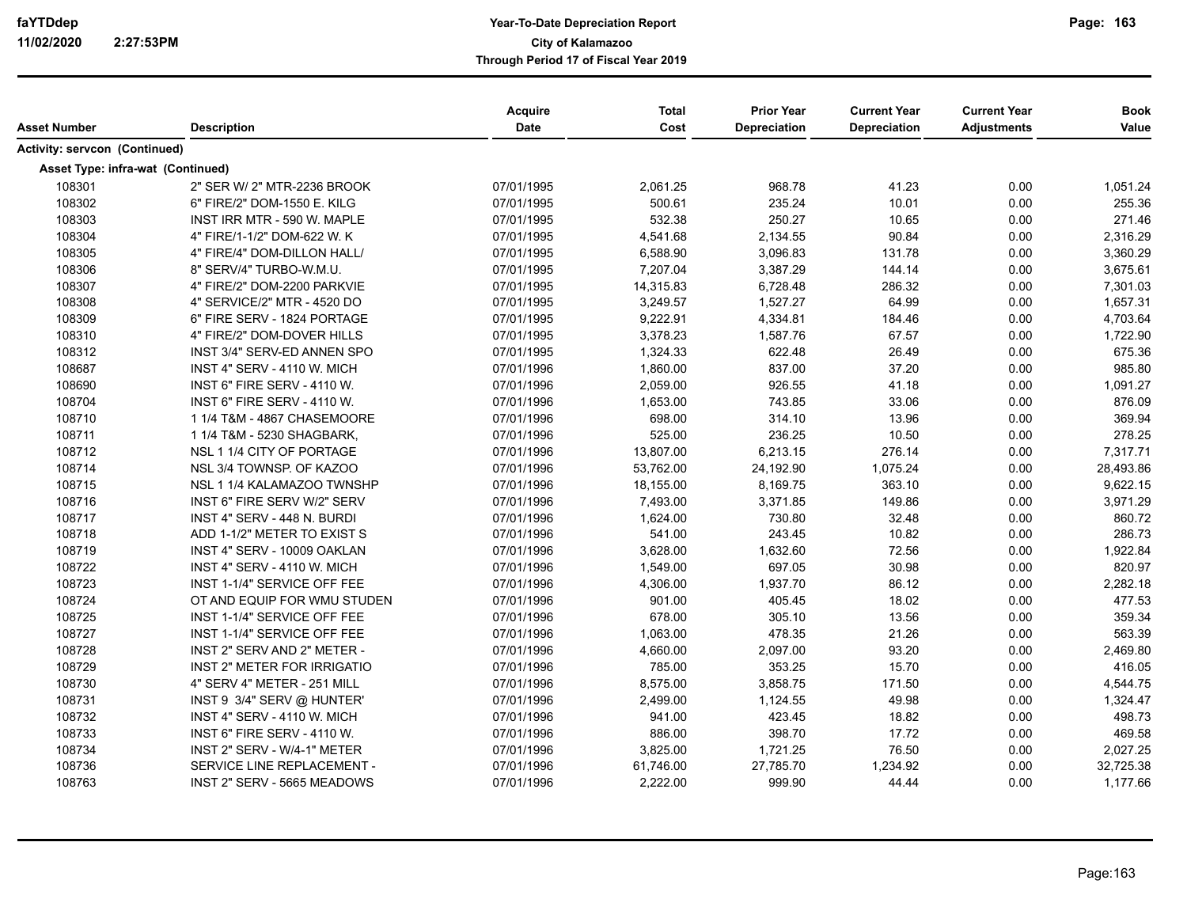| Asset Number                         | <b>Description</b>                 | Acquire<br><b>Date</b> | <b>Total</b><br>Cost | <b>Prior Year</b><br>Depreciation | <b>Current Year</b><br><b>Depreciation</b> | <b>Current Year</b><br><b>Adjustments</b> | <b>Book</b><br>Value |
|--------------------------------------|------------------------------------|------------------------|----------------------|-----------------------------------|--------------------------------------------|-------------------------------------------|----------------------|
| <b>Activity: servcon (Continued)</b> |                                    |                        |                      |                                   |                                            |                                           |                      |
|                                      | Asset Type: infra-wat (Continued)  |                        |                      |                                   |                                            |                                           |                      |
| 108301                               | 2" SER W/ 2" MTR-2236 BROOK        | 07/01/1995             | 2,061.25             | 968.78                            | 41.23                                      | 0.00                                      | 1,051.24             |
| 108302                               | 6" FIRE/2" DOM-1550 E. KILG        | 07/01/1995             | 500.61               | 235.24                            | 10.01                                      | 0.00                                      | 255.36               |
| 108303                               | INST IRR MTR - 590 W. MAPLE        | 07/01/1995             | 532.38               | 250.27                            | 10.65                                      | 0.00                                      | 271.46               |
| 108304                               | 4" FIRE/1-1/2" DOM-622 W. K        | 07/01/1995             | 4,541.68             | 2,134.55                          | 90.84                                      | 0.00                                      | 2,316.29             |
| 108305                               | 4" FIRE/4" DOM-DILLON HALL/        | 07/01/1995             | 6,588.90             | 3,096.83                          | 131.78                                     | 0.00                                      | 3,360.29             |
| 108306                               | 8" SERV/4" TURBO-W.M.U.            | 07/01/1995             | 7,207.04             | 3,387.29                          | 144.14                                     | 0.00                                      | 3,675.61             |
| 108307                               | 4" FIRE/2" DOM-2200 PARKVIE        | 07/01/1995             | 14,315.83            | 6,728.48                          | 286.32                                     | 0.00                                      | 7,301.03             |
| 108308                               | 4" SERVICE/2" MTR - 4520 DO        | 07/01/1995             | 3,249.57             | 1,527.27                          | 64.99                                      | 0.00                                      | 1,657.31             |
| 108309                               | 6" FIRE SERV - 1824 PORTAGE        | 07/01/1995             | 9,222.91             | 4,334.81                          | 184.46                                     | 0.00                                      | 4,703.64             |
| 108310                               | 4" FIRE/2" DOM-DOVER HILLS         | 07/01/1995             | 3,378.23             | 1,587.76                          | 67.57                                      | 0.00                                      | 1,722.90             |
| 108312                               | INST 3/4" SERV-ED ANNEN SPO        | 07/01/1995             | 1,324.33             | 622.48                            | 26.49                                      | 0.00                                      | 675.36               |
| 108687                               | INST 4" SERV - 4110 W. MICH        | 07/01/1996             | 1,860.00             | 837.00                            | 37.20                                      | 0.00                                      | 985.80               |
| 108690                               | INST 6" FIRE SERV - 4110 W.        | 07/01/1996             | 2,059.00             | 926.55                            | 41.18                                      | 0.00                                      | 1,091.27             |
| 108704                               | INST 6" FIRE SERV - 4110 W.        | 07/01/1996             | 1,653.00             | 743.85                            | 33.06                                      | 0.00                                      | 876.09               |
| 108710                               | 1 1/4 T&M - 4867 CHASEMOORE        | 07/01/1996             | 698.00               | 314.10                            | 13.96                                      | 0.00                                      | 369.94               |
| 108711                               | 1 1/4 T&M - 5230 SHAGBARK,         | 07/01/1996             | 525.00               | 236.25                            | 10.50                                      | 0.00                                      | 278.25               |
| 108712                               | NSL 1 1/4 CITY OF PORTAGE          | 07/01/1996             | 13,807.00            | 6,213.15                          | 276.14                                     | 0.00                                      | 7,317.71             |
| 108714                               | NSL 3/4 TOWNSP. OF KAZOO           | 07/01/1996             | 53,762.00            | 24,192.90                         | 1,075.24                                   | 0.00                                      | 28,493.86            |
| 108715                               | NSL 1 1/4 KALAMAZOO TWNSHP         | 07/01/1996             | 18,155.00            | 8,169.75                          | 363.10                                     | 0.00                                      | 9,622.15             |
| 108716                               | INST 6" FIRE SERV W/2" SERV        | 07/01/1996             | 7,493.00             | 3,371.85                          | 149.86                                     | 0.00                                      | 3,971.29             |
| 108717                               | INST 4" SERV - 448 N. BURDI        | 07/01/1996             | 1,624.00             | 730.80                            | 32.48                                      | 0.00                                      | 860.72               |
| 108718                               | ADD 1-1/2" METER TO EXIST S        | 07/01/1996             | 541.00               | 243.45                            | 10.82                                      | 0.00                                      | 286.73               |
| 108719                               | INST 4" SERV - 10009 OAKLAN        | 07/01/1996             | 3,628.00             | 1,632.60                          | 72.56                                      | 0.00                                      | 1,922.84             |
| 108722                               | INST 4" SERV - 4110 W. MICH        | 07/01/1996             | 1,549.00             | 697.05                            | 30.98                                      | 0.00                                      | 820.97               |
| 108723                               | INST 1-1/4" SERVICE OFF FEE        | 07/01/1996             | 4,306.00             | 1,937.70                          | 86.12                                      | 0.00                                      | 2,282.18             |
| 108724                               | OT AND EQUIP FOR WMU STUDEN        | 07/01/1996             | 901.00               | 405.45                            | 18.02                                      | 0.00                                      | 477.53               |
| 108725                               | INST 1-1/4" SERVICE OFF FEE        | 07/01/1996             | 678.00               | 305.10                            | 13.56                                      | 0.00                                      | 359.34               |
| 108727                               | INST 1-1/4" SERVICE OFF FEE        | 07/01/1996             | 1,063.00             | 478.35                            | 21.26                                      | 0.00                                      | 563.39               |
| 108728                               | INST 2" SERV AND 2" METER -        | 07/01/1996             | 4,660.00             | 2,097.00                          | 93.20                                      | 0.00                                      | 2,469.80             |
| 108729                               | <b>INST 2" METER FOR IRRIGATIO</b> | 07/01/1996             | 785.00               | 353.25                            | 15.70                                      | 0.00                                      | 416.05               |
| 108730                               | 4" SERV 4" METER - 251 MILL        | 07/01/1996             | 8,575.00             | 3,858.75                          | 171.50                                     | 0.00                                      | 4,544.75             |
| 108731                               | INST 9 3/4" SERV @ HUNTER'         | 07/01/1996             | 2,499.00             | 1,124.55                          | 49.98                                      | 0.00                                      | 1,324.47             |
| 108732                               | INST 4" SERV - 4110 W. MICH        | 07/01/1996             | 941.00               | 423.45                            | 18.82                                      | 0.00                                      | 498.73               |
| 108733                               | INST 6" FIRE SERV - 4110 W.        | 07/01/1996             | 886.00               | 398.70                            | 17.72                                      | 0.00                                      | 469.58               |
| 108734                               | INST 2" SERV - W/4-1" METER        | 07/01/1996             | 3,825.00             | 1,721.25                          | 76.50                                      | 0.00                                      | 2,027.25             |
| 108736                               | SERVICE LINE REPLACEMENT -         | 07/01/1996             | 61,746.00            | 27,785.70                         | 1,234.92                                   | 0.00                                      | 32,725.38            |
| 108763                               | INST 2" SERV - 5665 MEADOWS        | 07/01/1996             | 2,222.00             | 999.90                            | 44.44                                      | 0.00                                      | 1,177.66             |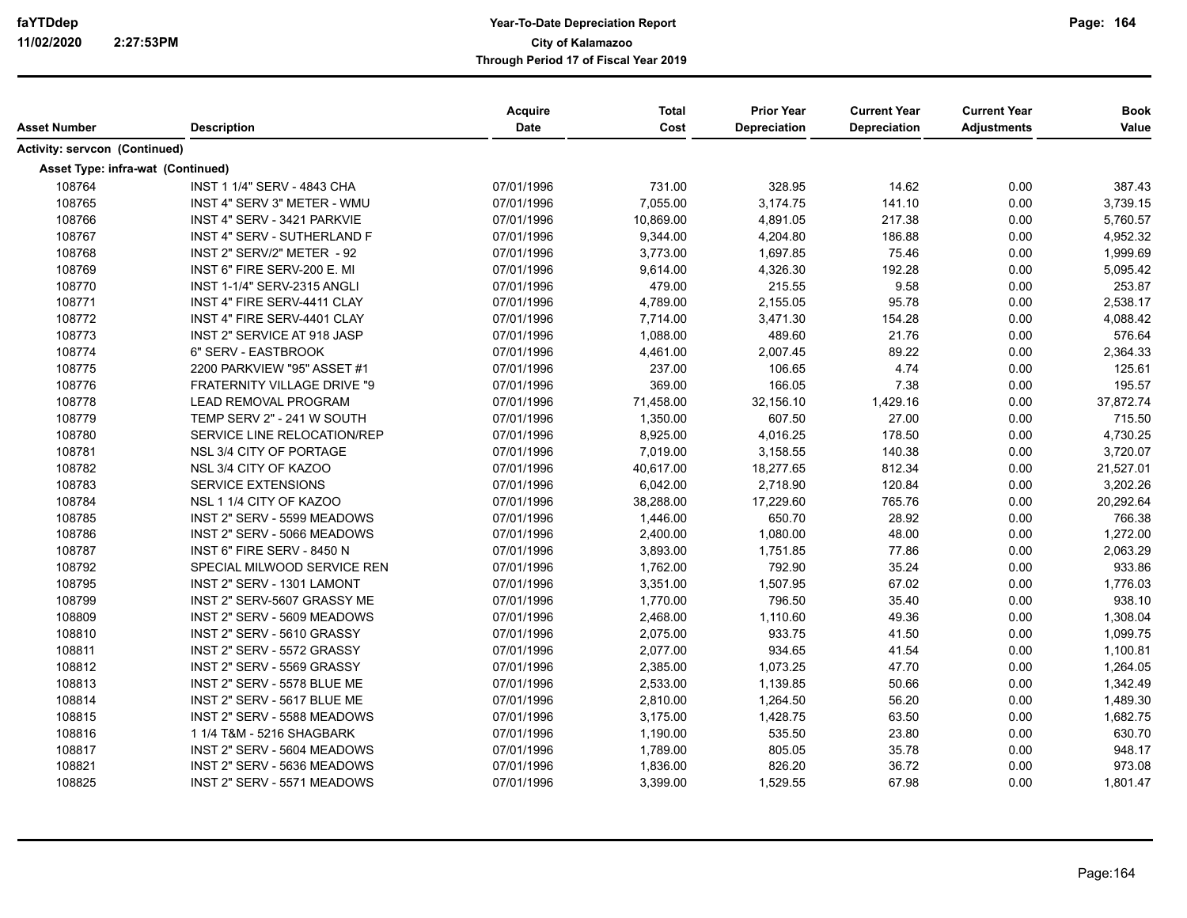| Asset Number                         | <b>Description</b>                 | Acquire<br>Date | <b>Total</b><br>Cost | <b>Prior Year</b><br>Depreciation | <b>Current Year</b><br><b>Depreciation</b> | <b>Current Year</b><br><b>Adjustments</b> | <b>Book</b><br>Value |
|--------------------------------------|------------------------------------|-----------------|----------------------|-----------------------------------|--------------------------------------------|-------------------------------------------|----------------------|
| <b>Activity: servcon (Continued)</b> |                                    |                 |                      |                                   |                                            |                                           |                      |
|                                      | Asset Type: infra-wat (Continued)  |                 |                      |                                   |                                            |                                           |                      |
| 108764                               | INST 1 1/4" SERV - 4843 CHA        | 07/01/1996      | 731.00               | 328.95                            | 14.62                                      | 0.00                                      | 387.43               |
| 108765                               | INST 4" SERV 3" METER - WMU        | 07/01/1996      | 7,055.00             | 3,174.75                          | 141.10                                     | 0.00                                      | 3,739.15             |
| 108766                               | INST 4" SERV - 3421 PARKVIE        | 07/01/1996      | 10,869.00            | 4,891.05                          | 217.38                                     | 0.00                                      | 5,760.57             |
| 108767                               | <b>INST 4" SERV - SUTHERLAND F</b> | 07/01/1996      | 9,344.00             | 4,204.80                          | 186.88                                     | 0.00                                      | 4,952.32             |
| 108768                               | INST 2" SERV/2" METER - 92         | 07/01/1996      | 3,773.00             | 1,697.85                          | 75.46                                      | 0.00                                      | 1,999.69             |
| 108769                               | INST 6" FIRE SERV-200 E. MI        | 07/01/1996      | 9,614.00             | 4,326.30                          | 192.28                                     | 0.00                                      | 5,095.42             |
| 108770                               | INST 1-1/4" SERV-2315 ANGLI        | 07/01/1996      | 479.00               | 215.55                            | 9.58                                       | 0.00                                      | 253.87               |
| 108771                               | INST 4" FIRE SERV-4411 CLAY        | 07/01/1996      | 4,789.00             | 2,155.05                          | 95.78                                      | 0.00                                      | 2,538.17             |
| 108772                               | INST 4" FIRE SERV-4401 CLAY        | 07/01/1996      | 7,714.00             | 3,471.30                          | 154.28                                     | 0.00                                      | 4,088.42             |
| 108773                               | INST 2" SERVICE AT 918 JASP        | 07/01/1996      | 1,088.00             | 489.60                            | 21.76                                      | 0.00                                      | 576.64               |
| 108774                               | 6" SERV - EASTBROOK                | 07/01/1996      | 4,461.00             | 2,007.45                          | 89.22                                      | 0.00                                      | 2,364.33             |
| 108775                               | 2200 PARKVIEW "95" ASSET #1        | 07/01/1996      | 237.00               | 106.65                            | 4.74                                       | 0.00                                      | 125.61               |
| 108776                               | FRATERNITY VILLAGE DRIVE "9        | 07/01/1996      | 369.00               | 166.05                            | 7.38                                       | 0.00                                      | 195.57               |
| 108778                               | LEAD REMOVAL PROGRAM               | 07/01/1996      | 71,458.00            | 32,156.10                         | 1,429.16                                   | 0.00                                      | 37,872.74            |
| 108779                               | TEMP SERV 2" - 241 W SOUTH         | 07/01/1996      | 1,350.00             | 607.50                            | 27.00                                      | 0.00                                      | 715.50               |
| 108780                               | SERVICE LINE RELOCATION/REP        | 07/01/1996      | 8,925.00             | 4,016.25                          | 178.50                                     | 0.00                                      | 4,730.25             |
| 108781                               | NSL 3/4 CITY OF PORTAGE            | 07/01/1996      | 7,019.00             | 3,158.55                          | 140.38                                     | 0.00                                      | 3,720.07             |
| 108782                               | NSL 3/4 CITY OF KAZOO              | 07/01/1996      | 40,617.00            | 18,277.65                         | 812.34                                     | 0.00                                      | 21,527.01            |
| 108783                               | <b>SERVICE EXTENSIONS</b>          | 07/01/1996      | 6,042.00             | 2,718.90                          | 120.84                                     | 0.00                                      | 3,202.26             |
| 108784                               | NSL 1 1/4 CITY OF KAZOO            | 07/01/1996      | 38,288.00            | 17,229.60                         | 765.76                                     | 0.00                                      | 20,292.64            |
| 108785                               | INST 2" SERV - 5599 MEADOWS        | 07/01/1996      | 1,446.00             | 650.70                            | 28.92                                      | 0.00                                      | 766.38               |
| 108786                               | INST 2" SERV - 5066 MEADOWS        | 07/01/1996      | 2,400.00             | 1,080.00                          | 48.00                                      | 0.00                                      | 1,272.00             |
| 108787                               | INST 6" FIRE SERV - 8450 N         | 07/01/1996      | 3,893.00             | 1,751.85                          | 77.86                                      | 0.00                                      | 2,063.29             |
| 108792                               | SPECIAL MILWOOD SERVICE REN        | 07/01/1996      | 1,762.00             | 792.90                            | 35.24                                      | 0.00                                      | 933.86               |
| 108795                               | INST 2" SERV - 1301 LAMONT         | 07/01/1996      | 3,351.00             | 1,507.95                          | 67.02                                      | 0.00                                      | 1,776.03             |
| 108799                               | INST 2" SERV-5607 GRASSY ME        | 07/01/1996      | 1,770.00             | 796.50                            | 35.40                                      | 0.00                                      | 938.10               |
| 108809                               | INST 2" SERV - 5609 MEADOWS        | 07/01/1996      | 2,468.00             | 1,110.60                          | 49.36                                      | 0.00                                      | 1,308.04             |
| 108810                               | INST 2" SERV - 5610 GRASSY         | 07/01/1996      | 2,075.00             | 933.75                            | 41.50                                      | 0.00                                      | 1,099.75             |
| 108811                               | INST 2" SERV - 5572 GRASSY         | 07/01/1996      | 2,077.00             | 934.65                            | 41.54                                      | 0.00                                      | 1,100.81             |
| 108812                               | INST 2" SERV - 5569 GRASSY         | 07/01/1996      | 2,385.00             | 1,073.25                          | 47.70                                      | 0.00                                      | 1,264.05             |
| 108813                               | INST 2" SERV - 5578 BLUE ME        | 07/01/1996      | 2,533.00             | 1,139.85                          | 50.66                                      | 0.00                                      | 1,342.49             |
| 108814                               | INST 2" SERV - 5617 BLUE ME        | 07/01/1996      | 2,810.00             | 1,264.50                          | 56.20                                      | 0.00                                      | 1,489.30             |
| 108815                               | INST 2" SERV - 5588 MEADOWS        | 07/01/1996      | 3,175.00             | 1,428.75                          | 63.50                                      | 0.00                                      | 1,682.75             |
| 108816                               | 1 1/4 T&M - 5216 SHAGBARK          | 07/01/1996      | 1,190.00             | 535.50                            | 23.80                                      | 0.00                                      | 630.70               |
| 108817                               | INST 2" SERV - 5604 MEADOWS        | 07/01/1996      | 1,789.00             | 805.05                            | 35.78                                      | 0.00                                      | 948.17               |
| 108821                               | INST 2" SERV - 5636 MEADOWS        | 07/01/1996      | 1,836.00             | 826.20                            | 36.72                                      | 0.00                                      | 973.08               |
| 108825                               | INST 2" SERV - 5571 MEADOWS        | 07/01/1996      | 3,399.00             | 1,529.55                          | 67.98                                      | 0.00                                      | 1,801.47             |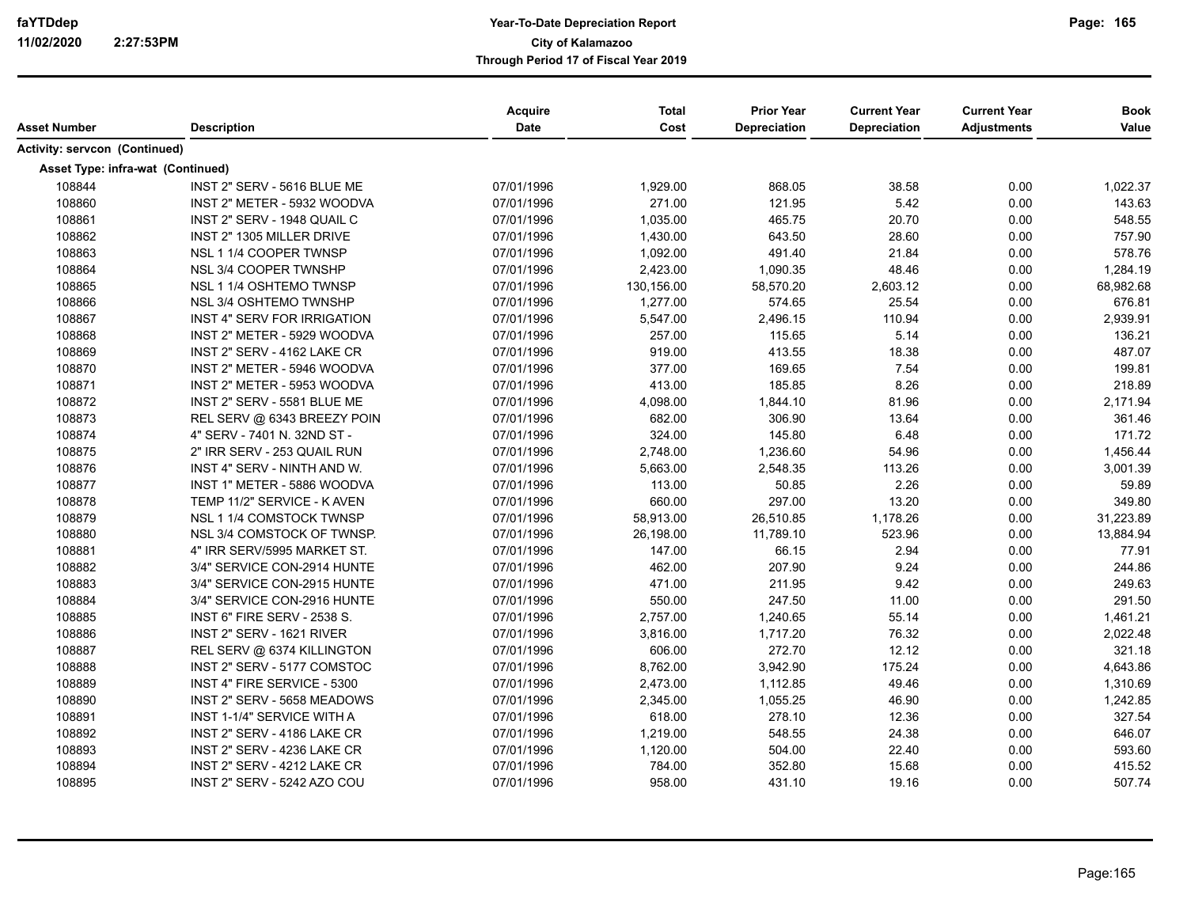| Asset Number                  | <b>Description</b>                 | Acquire<br>Date | <b>Total</b><br>Cost | <b>Prior Year</b><br><b>Depreciation</b> | <b>Current Year</b><br>Depreciation | <b>Current Year</b><br><b>Adjustments</b> | <b>Book</b><br>Value |
|-------------------------------|------------------------------------|-----------------|----------------------|------------------------------------------|-------------------------------------|-------------------------------------------|----------------------|
| Activity: servcon (Continued) |                                    |                 |                      |                                          |                                     |                                           |                      |
|                               | Asset Type: infra-wat (Continued)  |                 |                      |                                          |                                     |                                           |                      |
| 108844                        | INST 2" SERV - 5616 BLUE ME        | 07/01/1996      | 1,929.00             | 868.05                                   | 38.58                               | 0.00                                      | 1,022.37             |
| 108860                        | INST 2" METER - 5932 WOODVA        | 07/01/1996      | 271.00               | 121.95                                   | 5.42                                | 0.00                                      | 143.63               |
| 108861                        | INST 2" SERV - 1948 QUAIL C        | 07/01/1996      | 1,035.00             | 465.75                                   | 20.70                               | 0.00                                      | 548.55               |
| 108862                        | INST 2" 1305 MILLER DRIVE          | 07/01/1996      | 1,430.00             | 643.50                                   | 28.60                               | 0.00                                      | 757.90               |
| 108863                        | NSL 1 1/4 COOPER TWNSP             | 07/01/1996      | 1,092.00             | 491.40                                   | 21.84                               | 0.00                                      | 578.76               |
| 108864                        | NSL 3/4 COOPER TWNSHP              | 07/01/1996      | 2,423.00             | 1,090.35                                 | 48.46                               | 0.00                                      | 1,284.19             |
| 108865                        | NSL 1 1/4 OSHTEMO TWNSP            | 07/01/1996      | 130,156.00           | 58,570.20                                | 2,603.12                            | 0.00                                      | 68,982.68            |
| 108866                        | NSL 3/4 OSHTEMO TWNSHP             | 07/01/1996      | 1,277.00             | 574.65                                   | 25.54                               | 0.00                                      | 676.81               |
| 108867                        | <b>INST 4" SERV FOR IRRIGATION</b> | 07/01/1996      | 5,547.00             | 2,496.15                                 | 110.94                              | 0.00                                      | 2,939.91             |
| 108868                        | INST 2" METER - 5929 WOODVA        | 07/01/1996      | 257.00               | 115.65                                   | 5.14                                | 0.00                                      | 136.21               |
| 108869                        | INST 2" SERV - 4162 LAKE CR        | 07/01/1996      | 919.00               | 413.55                                   | 18.38                               | 0.00                                      | 487.07               |
| 108870                        | INST 2" METER - 5946 WOODVA        | 07/01/1996      | 377.00               | 169.65                                   | 7.54                                | 0.00                                      | 199.81               |
| 108871                        | INST 2" METER - 5953 WOODVA        | 07/01/1996      | 413.00               | 185.85                                   | 8.26                                | 0.00                                      | 218.89               |
| 108872                        | INST 2" SERV - 5581 BLUE ME        | 07/01/1996      | 4,098.00             | 1,844.10                                 | 81.96                               | 0.00                                      | 2,171.94             |
| 108873                        | REL SERV @ 6343 BREEZY POIN        | 07/01/1996      | 682.00               | 306.90                                   | 13.64                               | 0.00                                      | 361.46               |
| 108874                        | 4" SERV - 7401 N. 32ND ST -        | 07/01/1996      | 324.00               | 145.80                                   | 6.48                                | 0.00                                      | 171.72               |
| 108875                        | 2" IRR SERV - 253 QUAIL RUN        | 07/01/1996      | 2,748.00             | 1,236.60                                 | 54.96                               | 0.00                                      | 1,456.44             |
| 108876                        | INST 4" SERV - NINTH AND W.        | 07/01/1996      | 5,663.00             | 2,548.35                                 | 113.26                              | 0.00                                      | 3,001.39             |
| 108877                        | INST 1" METER - 5886 WOODVA        | 07/01/1996      | 113.00               | 50.85                                    | 2.26                                | 0.00                                      | 59.89                |
| 108878                        | TEMP 11/2" SERVICE - K AVEN        | 07/01/1996      | 660.00               | 297.00                                   | 13.20                               | 0.00                                      | 349.80               |
| 108879                        | NSL 1 1/4 COMSTOCK TWNSP           | 07/01/1996      | 58,913.00            | 26,510.85                                | 1,178.26                            | 0.00                                      | 31,223.89            |
| 108880                        | NSL 3/4 COMSTOCK OF TWNSP.         | 07/01/1996      | 26,198.00            | 11,789.10                                | 523.96                              | 0.00                                      | 13,884.94            |
| 108881                        | 4" IRR SERV/5995 MARKET ST.        | 07/01/1996      | 147.00               | 66.15                                    | 2.94                                | 0.00                                      | 77.91                |
| 108882                        | 3/4" SERVICE CON-2914 HUNTE        | 07/01/1996      | 462.00               | 207.90                                   | 9.24                                | 0.00                                      | 244.86               |
| 108883                        | 3/4" SERVICE CON-2915 HUNTE        | 07/01/1996      | 471.00               | 211.95                                   | 9.42                                | 0.00                                      | 249.63               |
| 108884                        | 3/4" SERVICE CON-2916 HUNTE        | 07/01/1996      | 550.00               | 247.50                                   | 11.00                               | 0.00                                      | 291.50               |
| 108885                        | <b>INST 6" FIRE SERV - 2538 S.</b> | 07/01/1996      | 2,757.00             | 1,240.65                                 | 55.14                               | 0.00                                      | 1,461.21             |
| 108886                        | INST 2" SERV - 1621 RIVER          | 07/01/1996      | 3,816.00             | 1,717.20                                 | 76.32                               | 0.00                                      | 2,022.48             |
| 108887                        | REL SERV @ 6374 KILLINGTON         | 07/01/1996      | 606.00               | 272.70                                   | 12.12                               | 0.00                                      | 321.18               |
| 108888                        | INST 2" SERV - 5177 COMSTOC        | 07/01/1996      | 8,762.00             | 3,942.90                                 | 175.24                              | 0.00                                      | 4,643.86             |
| 108889                        | INST 4" FIRE SERVICE - 5300        | 07/01/1996      | 2,473.00             | 1,112.85                                 | 49.46                               | 0.00                                      | 1,310.69             |
| 108890                        | INST 2" SERV - 5658 MEADOWS        | 07/01/1996      | 2,345.00             | 1,055.25                                 | 46.90                               | 0.00                                      | 1,242.85             |
| 108891                        | INST 1-1/4" SERVICE WITH A         | 07/01/1996      | 618.00               | 278.10                                   | 12.36                               | 0.00                                      | 327.54               |
| 108892                        | INST 2" SERV - 4186 LAKE CR        | 07/01/1996      | 1,219.00             | 548.55                                   | 24.38                               | 0.00                                      | 646.07               |
| 108893                        | INST 2" SERV - 4236 LAKE CR        | 07/01/1996      | 1,120.00             | 504.00                                   | 22.40                               | 0.00                                      | 593.60               |
| 108894                        | INST 2" SERV - 4212 LAKE CR        | 07/01/1996      | 784.00               | 352.80                                   | 15.68                               | 0.00                                      | 415.52               |
| 108895                        | INST 2" SERV - 5242 AZO COU        | 07/01/1996      | 958.00               | 431.10                                   | 19.16                               | 0.00                                      | 507.74               |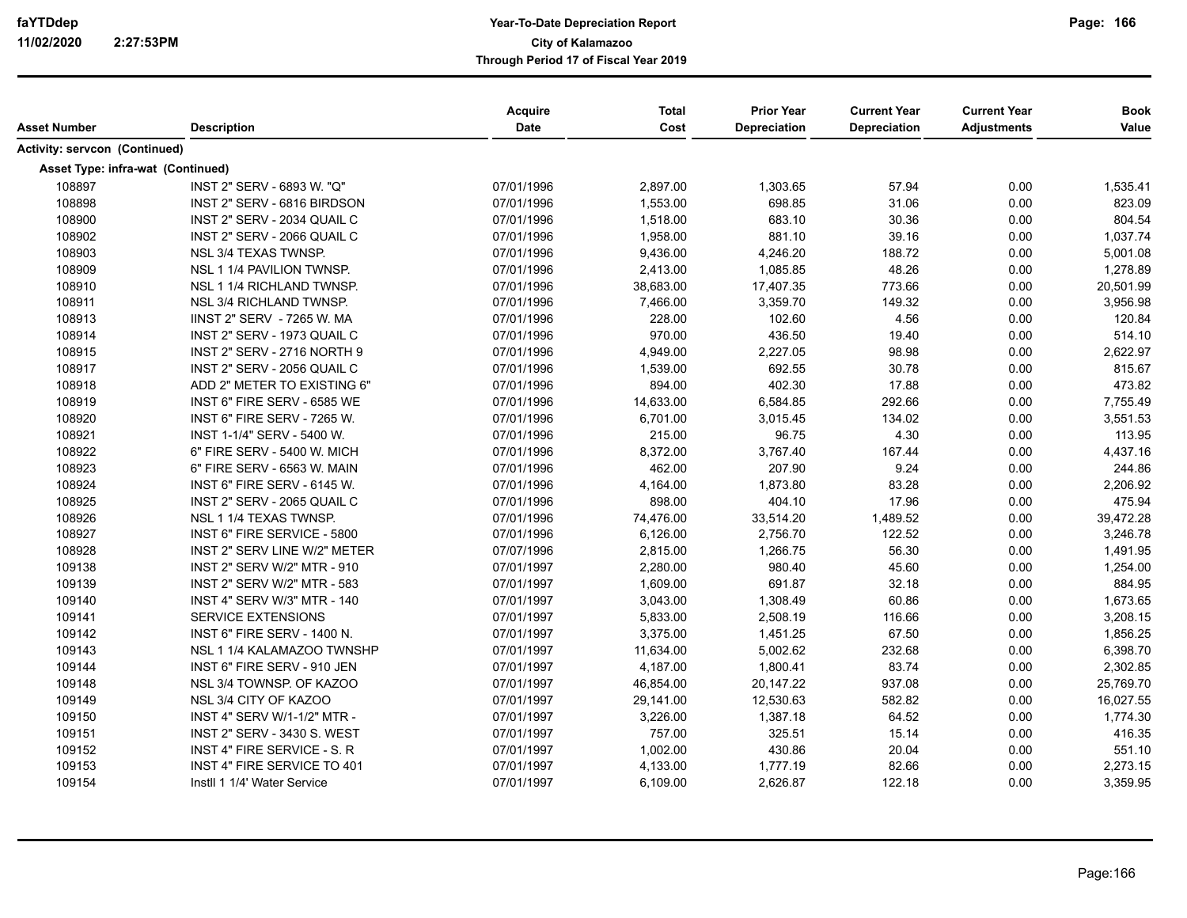| Asset Number                         | <b>Description</b>                 | Acquire<br>Date | <b>Total</b><br>Cost | <b>Prior Year</b><br>Depreciation | <b>Current Year</b><br><b>Depreciation</b> | <b>Current Year</b><br><b>Adjustments</b> | <b>Book</b><br>Value |
|--------------------------------------|------------------------------------|-----------------|----------------------|-----------------------------------|--------------------------------------------|-------------------------------------------|----------------------|
| <b>Activity: servcon (Continued)</b> |                                    |                 |                      |                                   |                                            |                                           |                      |
| Asset Type: infra-wat (Continued)    |                                    |                 |                      |                                   |                                            |                                           |                      |
| 108897                               | INST 2" SERV - 6893 W. "Q"         | 07/01/1996      | 2,897.00             | 1,303.65                          | 57.94                                      | 0.00                                      | 1,535.41             |
| 108898                               | INST 2" SERV - 6816 BIRDSON        | 07/01/1996      | 1,553.00             | 698.85                            | 31.06                                      | 0.00                                      | 823.09               |
| 108900                               | INST 2" SERV - 2034 QUAIL C        | 07/01/1996      | 1,518.00             | 683.10                            | 30.36                                      | 0.00                                      | 804.54               |
| 108902                               | INST 2" SERV - 2066 QUAIL C        | 07/01/1996      | 1,958.00             | 881.10                            | 39.16                                      | 0.00                                      | 1,037.74             |
| 108903                               | NSL 3/4 TEXAS TWNSP.               | 07/01/1996      | 9,436.00             | 4,246.20                          | 188.72                                     | 0.00                                      | 5,001.08             |
| 108909                               | NSL 1 1/4 PAVILION TWNSP.          | 07/01/1996      | 2,413.00             | 1,085.85                          | 48.26                                      | 0.00                                      | 1,278.89             |
| 108910                               | NSL 1 1/4 RICHLAND TWNSP.          | 07/01/1996      | 38,683.00            | 17,407.35                         | 773.66                                     | 0.00                                      | 20,501.99            |
| 108911                               | NSL 3/4 RICHLAND TWNSP.            | 07/01/1996      | 7,466.00             | 3,359.70                          | 149.32                                     | 0.00                                      | 3,956.98             |
| 108913                               | IINST 2" SERV - 7265 W. MA         | 07/01/1996      | 228.00               | 102.60                            | 4.56                                       | 0.00                                      | 120.84               |
| 108914                               | INST 2" SERV - 1973 QUAIL C        | 07/01/1996      | 970.00               | 436.50                            | 19.40                                      | 0.00                                      | 514.10               |
| 108915                               | INST 2" SERV - 2716 NORTH 9        | 07/01/1996      | 4,949.00             | 2,227.05                          | 98.98                                      | 0.00                                      | 2,622.97             |
| 108917                               | INST 2" SERV - 2056 QUAIL C        | 07/01/1996      | 1,539.00             | 692.55                            | 30.78                                      | 0.00                                      | 815.67               |
| 108918                               | ADD 2" METER TO EXISTING 6"        | 07/01/1996      | 894.00               | 402.30                            | 17.88                                      | 0.00                                      | 473.82               |
| 108919                               | INST 6" FIRE SERV - 6585 WE        | 07/01/1996      | 14,633.00            | 6,584.85                          | 292.66                                     | 0.00                                      | 7,755.49             |
| 108920                               | INST 6" FIRE SERV - 7265 W.        | 07/01/1996      | 6,701.00             | 3,015.45                          | 134.02                                     | 0.00                                      | 3,551.53             |
| 108921                               | INST 1-1/4" SERV - 5400 W.         | 07/01/1996      | 215.00               | 96.75                             | 4.30                                       | 0.00                                      | 113.95               |
| 108922                               | 6" FIRE SERV - 5400 W. MICH        | 07/01/1996      | 8,372.00             | 3,767.40                          | 167.44                                     | 0.00                                      | 4,437.16             |
| 108923                               | 6" FIRE SERV - 6563 W. MAIN        | 07/01/1996      | 462.00               | 207.90                            | 9.24                                       | 0.00                                      | 244.86               |
| 108924                               | INST 6" FIRE SERV - 6145 W.        | 07/01/1996      | 4,164.00             | 1,873.80                          | 83.28                                      | 0.00                                      | 2,206.92             |
| 108925                               | INST 2" SERV - 2065 QUAIL C        | 07/01/1996      | 898.00               | 404.10                            | 17.96                                      | 0.00                                      | 475.94               |
| 108926                               | NSL 1 1/4 TEXAS TWNSP.             | 07/01/1996      | 74,476.00            | 33,514.20                         | 1,489.52                                   | 0.00                                      | 39,472.28            |
| 108927                               | INST 6" FIRE SERVICE - 5800        | 07/01/1996      | 6,126.00             | 2,756.70                          | 122.52                                     | 0.00                                      | 3,246.78             |
| 108928                               | INST 2" SERV LINE W/2" METER       | 07/07/1996      | 2,815.00             | 1,266.75                          | 56.30                                      | 0.00                                      | 1,491.95             |
| 109138                               | INST 2" SERV W/2" MTR - 910        | 07/01/1997      | 2,280.00             | 980.40                            | 45.60                                      | 0.00                                      | 1,254.00             |
| 109139                               | INST 2" SERV W/2" MTR - 583        | 07/01/1997      | 1,609.00             | 691.87                            | 32.18                                      | 0.00                                      | 884.95               |
| 109140                               | INST 4" SERV W/3" MTR - 140        | 07/01/1997      | 3,043.00             | 1,308.49                          | 60.86                                      | 0.00                                      | 1,673.65             |
| 109141                               | <b>SERVICE EXTENSIONS</b>          | 07/01/1997      | 5,833.00             | 2,508.19                          | 116.66                                     | 0.00                                      | 3,208.15             |
| 109142                               | INST 6" FIRE SERV - 1400 N.        | 07/01/1997      | 3,375.00             | 1,451.25                          | 67.50                                      | 0.00                                      | 1,856.25             |
| 109143                               | NSL 1 1/4 KALAMAZOO TWNSHP         | 07/01/1997      | 11,634.00            | 5,002.62                          | 232.68                                     | 0.00                                      | 6,398.70             |
| 109144                               | INST 6" FIRE SERV - 910 JEN        | 07/01/1997      | 4,187.00             | 1,800.41                          | 83.74                                      | 0.00                                      | 2,302.85             |
| 109148                               | NSL 3/4 TOWNSP. OF KAZOO           | 07/01/1997      | 46,854.00            | 20,147.22                         | 937.08                                     | 0.00                                      | 25,769.70            |
| 109149                               | NSL 3/4 CITY OF KAZOO              | 07/01/1997      | 29,141.00            | 12,530.63                         | 582.82                                     | 0.00                                      | 16,027.55            |
| 109150                               | INST 4" SERV W/1-1/2" MTR -        | 07/01/1997      | 3,226.00             | 1,387.18                          | 64.52                                      | 0.00                                      | 1,774.30             |
| 109151                               | <b>INST 2" SERV - 3430 S. WEST</b> | 07/01/1997      | 757.00               | 325.51                            | 15.14                                      | 0.00                                      | 416.35               |
| 109152                               | INST 4" FIRE SERVICE - S. R        | 07/01/1997      | 1,002.00             | 430.86                            | 20.04                                      | 0.00                                      | 551.10               |
| 109153                               | INST 4" FIRE SERVICE TO 401        | 07/01/1997      | 4,133.00             | 1,777.19                          | 82.66                                      | 0.00                                      | 2,273.15             |
| 109154                               | Instll 1 1/4' Water Service        | 07/01/1997      | 6,109.00             | 2,626.87                          | 122.18                                     | 0.00                                      | 3,359.95             |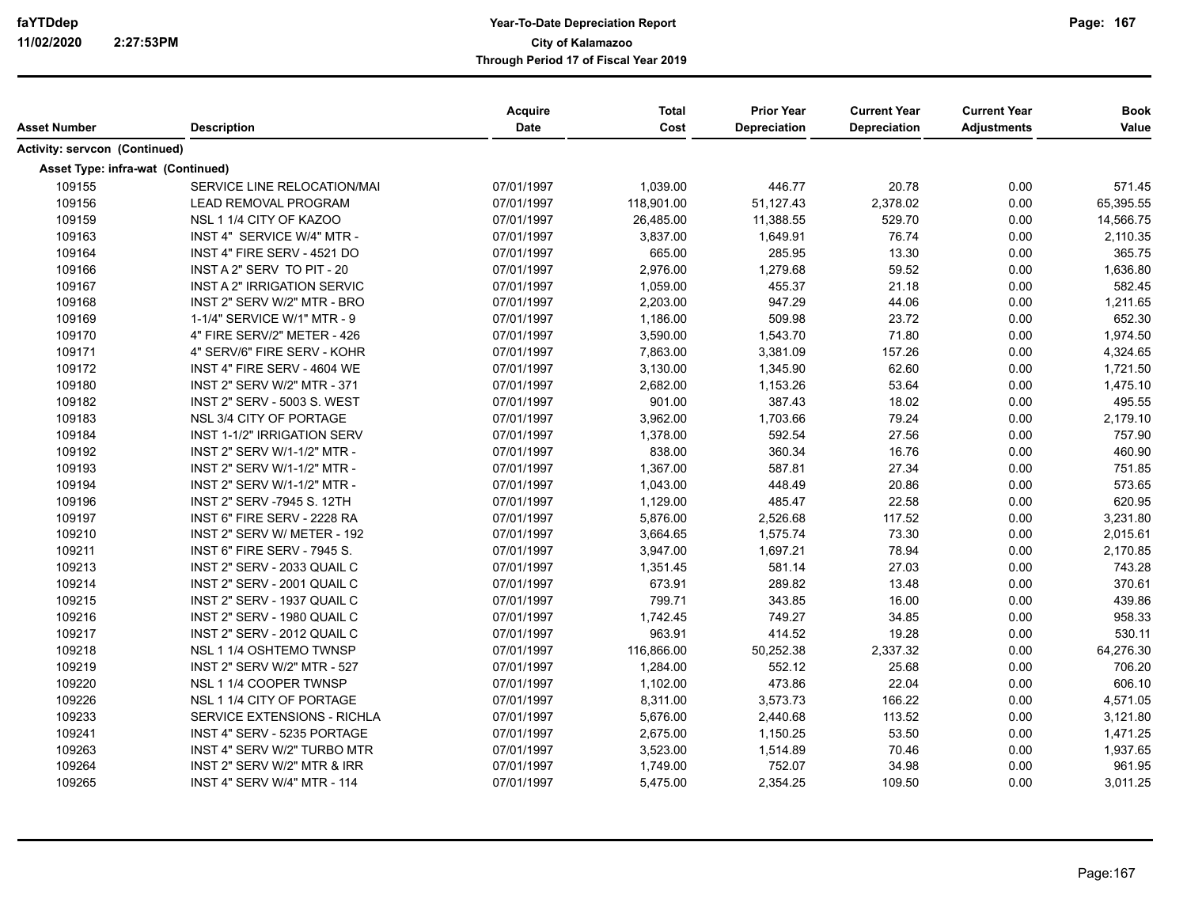| Asset Number                  | <b>Description</b>                 | <b>Acquire</b><br><b>Date</b> | <b>Total</b><br>Cost | <b>Prior Year</b><br><b>Depreciation</b> | <b>Current Year</b><br>Depreciation | <b>Current Year</b><br><b>Adjustments</b> | <b>Book</b><br>Value |
|-------------------------------|------------------------------------|-------------------------------|----------------------|------------------------------------------|-------------------------------------|-------------------------------------------|----------------------|
|                               |                                    |                               |                      |                                          |                                     |                                           |                      |
| Activity: servcon (Continued) |                                    |                               |                      |                                          |                                     |                                           |                      |
|                               | Asset Type: infra-wat (Continued)  |                               |                      |                                          |                                     |                                           |                      |
| 109155                        | SERVICE LINE RELOCATION/MAI        | 07/01/1997                    | 1,039.00             | 446.77                                   | 20.78                               | 0.00                                      | 571.45               |
| 109156                        | <b>LEAD REMOVAL PROGRAM</b>        | 07/01/1997                    | 118,901.00           | 51,127.43                                | 2,378.02                            | 0.00                                      | 65,395.55            |
| 109159                        | NSL 1 1/4 CITY OF KAZOO            | 07/01/1997                    | 26,485.00            | 11,388.55                                | 529.70                              | 0.00                                      | 14,566.75            |
| 109163                        | INST 4" SERVICE W/4" MTR -         | 07/01/1997                    | 3,837.00             | 1,649.91                                 | 76.74                               | 0.00                                      | 2,110.35             |
| 109164                        | INST 4" FIRE SERV - 4521 DO        | 07/01/1997                    | 665.00               | 285.95                                   | 13.30                               | 0.00                                      | 365.75               |
| 109166                        | INST A 2" SERV TO PIT - 20         | 07/01/1997                    | 2,976.00             | 1,279.68                                 | 59.52                               | 0.00                                      | 1,636.80             |
| 109167                        | INST A 2" IRRIGATION SERVIC        | 07/01/1997                    | 1,059.00             | 455.37                                   | 21.18                               | 0.00                                      | 582.45               |
| 109168                        | INST 2" SERV W/2" MTR - BRO        | 07/01/1997                    | 2,203.00             | 947.29                                   | 44.06                               | 0.00                                      | 1,211.65             |
| 109169                        | 1-1/4" SERVICE W/1" MTR - 9        | 07/01/1997                    | 1,186.00             | 509.98                                   | 23.72                               | 0.00                                      | 652.30               |
| 109170                        | 4" FIRE SERV/2" METER - 426        | 07/01/1997                    | 3,590.00             | 1,543.70                                 | 71.80                               | 0.00                                      | 1,974.50             |
| 109171                        | 4" SERV/6" FIRE SERV - KOHR        | 07/01/1997                    | 7,863.00             | 3,381.09                                 | 157.26                              | 0.00                                      | 4,324.65             |
| 109172                        | INST 4" FIRE SERV - 4604 WE        | 07/01/1997                    | 3,130.00             | 1,345.90                                 | 62.60                               | 0.00                                      | 1,721.50             |
| 109180                        | INST 2" SERV W/2" MTR - 371        | 07/01/1997                    | 2,682.00             | 1,153.26                                 | 53.64                               | 0.00                                      | 1,475.10             |
| 109182                        | INST 2" SERV - 5003 S. WEST        | 07/01/1997                    | 901.00               | 387.43                                   | 18.02                               | 0.00                                      | 495.55               |
| 109183                        | NSL 3/4 CITY OF PORTAGE            | 07/01/1997                    | 3,962.00             | 1,703.66                                 | 79.24                               | 0.00                                      | 2,179.10             |
| 109184                        | INST 1-1/2" IRRIGATION SERV        | 07/01/1997                    | 1,378.00             | 592.54                                   | 27.56                               | 0.00                                      | 757.90               |
| 109192                        | INST 2" SERV W/1-1/2" MTR -        | 07/01/1997                    | 838.00               | 360.34                                   | 16.76                               | 0.00                                      | 460.90               |
| 109193                        | INST 2" SERV W/1-1/2" MTR -        | 07/01/1997                    | 1,367.00             | 587.81                                   | 27.34                               | 0.00                                      | 751.85               |
| 109194                        | INST 2" SERV W/1-1/2" MTR -        | 07/01/1997                    | 1,043.00             | 448.49                                   | 20.86                               | 0.00                                      | 573.65               |
| 109196                        | INST 2" SERV -7945 S. 12TH         | 07/01/1997                    | 1,129.00             | 485.47                                   | 22.58                               | 0.00                                      | 620.95               |
| 109197                        | INST 6" FIRE SERV - 2228 RA        | 07/01/1997                    | 5,876.00             | 2,526.68                                 | 117.52                              | 0.00                                      | 3,231.80             |
| 109210                        | INST 2" SERV W/ METER - 192        | 07/01/1997                    | 3,664.65             | 1,575.74                                 | 73.30                               | 0.00                                      | 2,015.61             |
| 109211                        | INST 6" FIRE SERV - 7945 S.        | 07/01/1997                    | 3,947.00             | 1,697.21                                 | 78.94                               | 0.00                                      | 2,170.85             |
| 109213                        | INST 2" SERV - 2033 QUAIL C        | 07/01/1997                    | 1,351.45             | 581.14                                   | 27.03                               | 0.00                                      | 743.28               |
| 109214                        | INST 2" SERV - 2001 QUAIL C        | 07/01/1997                    | 673.91               | 289.82                                   | 13.48                               | 0.00                                      | 370.61               |
| 109215                        | INST 2" SERV - 1937 QUAIL C        | 07/01/1997                    | 799.71               | 343.85                                   | 16.00                               | 0.00                                      | 439.86               |
| 109216                        | INST 2" SERV - 1980 QUAIL C        | 07/01/1997                    | 1,742.45             | 749.27                                   | 34.85                               | 0.00                                      | 958.33               |
| 109217                        | INST 2" SERV - 2012 QUAIL C        | 07/01/1997                    | 963.91               | 414.52                                   | 19.28                               | 0.00                                      | 530.11               |
| 109218                        | NSL 1 1/4 OSHTEMO TWNSP            | 07/01/1997                    | 116,866.00           | 50,252.38                                | 2,337.32                            | 0.00                                      | 64,276.30            |
| 109219                        | INST 2" SERV W/2" MTR - 527        | 07/01/1997                    | 1,284.00             | 552.12                                   | 25.68                               | 0.00                                      | 706.20               |
| 109220                        | NSL 1 1/4 COOPER TWNSP             | 07/01/1997                    | 1,102.00             | 473.86                                   | 22.04                               | 0.00                                      | 606.10               |
| 109226                        | NSL 1 1/4 CITY OF PORTAGE          | 07/01/1997                    | 8,311.00             | 3,573.73                                 | 166.22                              | 0.00                                      | 4,571.05             |
| 109233                        | <b>SERVICE EXTENSIONS - RICHLA</b> | 07/01/1997                    | 5,676.00             | 2,440.68                                 | 113.52                              | 0.00                                      | 3,121.80             |
| 109241                        | INST 4" SERV - 5235 PORTAGE        | 07/01/1997                    | 2,675.00             | 1,150.25                                 | 53.50                               | 0.00                                      | 1,471.25             |
| 109263                        | INST 4" SERV W/2" TURBO MTR        | 07/01/1997                    | 3,523.00             | 1,514.89                                 | 70.46                               | 0.00                                      | 1,937.65             |
| 109264                        | INST 2" SERV W/2" MTR & IRR        | 07/01/1997                    | 1,749.00             | 752.07                                   | 34.98                               | 0.00                                      | 961.95               |
| 109265                        | <b>INST 4" SERV W/4" MTR - 114</b> | 07/01/1997                    | 5,475.00             | 2,354.25                                 | 109.50                              | 0.00                                      | 3,011.25             |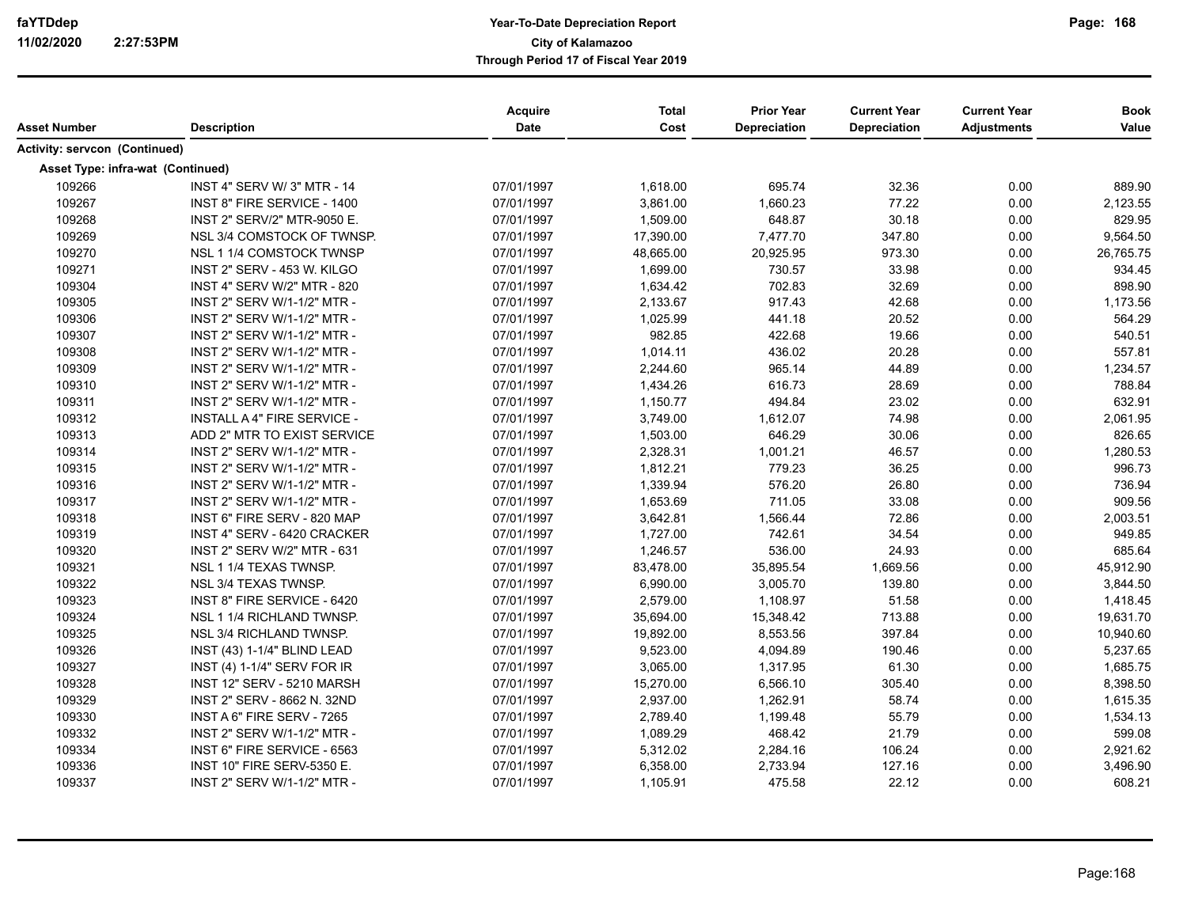| Asset Number                         | <b>Description</b>                 | Acquire<br>Date | <b>Total</b><br>Cost | <b>Prior Year</b><br>Depreciation | <b>Current Year</b><br><b>Depreciation</b> | <b>Current Year</b><br><b>Adjustments</b> | <b>Book</b><br>Value |
|--------------------------------------|------------------------------------|-----------------|----------------------|-----------------------------------|--------------------------------------------|-------------------------------------------|----------------------|
| <b>Activity: servcon (Continued)</b> |                                    |                 |                      |                                   |                                            |                                           |                      |
|                                      | Asset Type: infra-wat (Continued)  |                 |                      |                                   |                                            |                                           |                      |
| 109266                               | INST 4" SERV W/ 3" MTR - 14        | 07/01/1997      | 1,618.00             | 695.74                            | 32.36                                      | 0.00                                      | 889.90               |
| 109267                               | INST 8" FIRE SERVICE - 1400        | 07/01/1997      | 3,861.00             | 1,660.23                          | 77.22                                      | 0.00                                      | 2,123.55             |
| 109268                               | INST 2" SERV/2" MTR-9050 E.        | 07/01/1997      | 1,509.00             | 648.87                            | 30.18                                      | 0.00                                      | 829.95               |
| 109269                               | NSL 3/4 COMSTOCK OF TWNSP.         | 07/01/1997      | 17,390.00            | 7,477.70                          | 347.80                                     | 0.00                                      | 9,564.50             |
| 109270                               | NSL 1 1/4 COMSTOCK TWNSP           | 07/01/1997      | 48,665.00            | 20,925.95                         | 973.30                                     | 0.00                                      | 26,765.75            |
| 109271                               | INST 2" SERV - 453 W. KILGO        | 07/01/1997      | 1,699.00             | 730.57                            | 33.98                                      | 0.00                                      | 934.45               |
| 109304                               | INST 4" SERV W/2" MTR - 820        | 07/01/1997      | 1,634.42             | 702.83                            | 32.69                                      | 0.00                                      | 898.90               |
| 109305                               | INST 2" SERV W/1-1/2" MTR -        | 07/01/1997      | 2,133.67             | 917.43                            | 42.68                                      | 0.00                                      | 1,173.56             |
| 109306                               | INST 2" SERV W/1-1/2" MTR -        | 07/01/1997      | 1,025.99             | 441.18                            | 20.52                                      | 0.00                                      | 564.29               |
| 109307                               | INST 2" SERV W/1-1/2" MTR -        | 07/01/1997      | 982.85               | 422.68                            | 19.66                                      | 0.00                                      | 540.51               |
| 109308                               | INST 2" SERV W/1-1/2" MTR -        | 07/01/1997      | 1,014.11             | 436.02                            | 20.28                                      | 0.00                                      | 557.81               |
| 109309                               | INST 2" SERV W/1-1/2" MTR -        | 07/01/1997      | 2,244.60             | 965.14                            | 44.89                                      | 0.00                                      | 1,234.57             |
| 109310                               | INST 2" SERV W/1-1/2" MTR -        | 07/01/1997      | 1,434.26             | 616.73                            | 28.69                                      | 0.00                                      | 788.84               |
| 109311                               | INST 2" SERV W/1-1/2" MTR -        | 07/01/1997      | 1,150.77             | 494.84                            | 23.02                                      | 0.00                                      | 632.91               |
| 109312                               | INSTALL A 4" FIRE SERVICE -        | 07/01/1997      | 3,749.00             | 1,612.07                          | 74.98                                      | 0.00                                      | 2,061.95             |
| 109313                               | ADD 2" MTR TO EXIST SERVICE        | 07/01/1997      | 1,503.00             | 646.29                            | 30.06                                      | 0.00                                      | 826.65               |
| 109314                               | INST 2" SERV W/1-1/2" MTR -        | 07/01/1997      | 2,328.31             | 1,001.21                          | 46.57                                      | 0.00                                      | 1,280.53             |
| 109315                               | INST 2" SERV W/1-1/2" MTR -        | 07/01/1997      | 1,812.21             | 779.23                            | 36.25                                      | 0.00                                      | 996.73               |
| 109316                               | INST 2" SERV W/1-1/2" MTR -        | 07/01/1997      | 1,339.94             | 576.20                            | 26.80                                      | 0.00                                      | 736.94               |
| 109317                               | INST 2" SERV W/1-1/2" MTR -        | 07/01/1997      | 1,653.69             | 711.05                            | 33.08                                      | 0.00                                      | 909.56               |
| 109318                               | INST 6" FIRE SERV - 820 MAP        | 07/01/1997      | 3,642.81             | 1,566.44                          | 72.86                                      | 0.00                                      | 2,003.51             |
| 109319                               | INST 4" SERV - 6420 CRACKER        | 07/01/1997      | 1,727.00             | 742.61                            | 34.54                                      | 0.00                                      | 949.85               |
| 109320                               | <b>INST 2" SERV W/2" MTR - 631</b> | 07/01/1997      | 1,246.57             | 536.00                            | 24.93                                      | 0.00                                      | 685.64               |
| 109321                               | NSL 1 1/4 TEXAS TWNSP.             | 07/01/1997      | 83,478.00            | 35,895.54                         | 1,669.56                                   | 0.00                                      | 45,912.90            |
| 109322                               | NSL 3/4 TEXAS TWNSP.               | 07/01/1997      | 6,990.00             | 3,005.70                          | 139.80                                     | 0.00                                      | 3,844.50             |
| 109323                               | INST 8" FIRE SERVICE - 6420        | 07/01/1997      | 2,579.00             | 1,108.97                          | 51.58                                      | 0.00                                      | 1,418.45             |
| 109324                               | NSL 1 1/4 RICHLAND TWNSP.          | 07/01/1997      | 35,694.00            | 15,348.42                         | 713.88                                     | 0.00                                      | 19,631.70            |
| 109325                               | NSL 3/4 RICHLAND TWNSP.            | 07/01/1997      | 19,892.00            | 8,553.56                          | 397.84                                     | 0.00                                      | 10,940.60            |
| 109326                               | INST (43) 1-1/4" BLIND LEAD        | 07/01/1997      | 9,523.00             | 4,094.89                          | 190.46                                     | 0.00                                      | 5,237.65             |
| 109327                               | INST (4) 1-1/4" SERV FOR IR        | 07/01/1997      | 3,065.00             | 1,317.95                          | 61.30                                      | 0.00                                      | 1,685.75             |
| 109328                               | INST 12" SERV - 5210 MARSH         | 07/01/1997      | 15,270.00            | 6,566.10                          | 305.40                                     | 0.00                                      | 8,398.50             |
| 109329                               | INST 2" SERV - 8662 N. 32ND        | 07/01/1997      | 2,937.00             | 1,262.91                          | 58.74                                      | 0.00                                      | 1,615.35             |
| 109330                               | INST A 6" FIRE SERV - 7265         | 07/01/1997      | 2,789.40             | 1,199.48                          | 55.79                                      | 0.00                                      | 1,534.13             |
| 109332                               | INST 2" SERV W/1-1/2" MTR -        | 07/01/1997      | 1,089.29             | 468.42                            | 21.79                                      | 0.00                                      | 599.08               |
| 109334                               | INST 6" FIRE SERVICE - 6563        | 07/01/1997      | 5,312.02             | 2,284.16                          | 106.24                                     | 0.00                                      | 2,921.62             |
| 109336                               | INST 10" FIRE SERV-5350 E.         | 07/01/1997      | 6,358.00             | 2,733.94                          | 127.16                                     | 0.00                                      | 3,496.90             |
| 109337                               | INST 2" SERV W/1-1/2" MTR -        | 07/01/1997      | 1,105.91             | 475.58                            | 22.12                                      | 0.00                                      | 608.21               |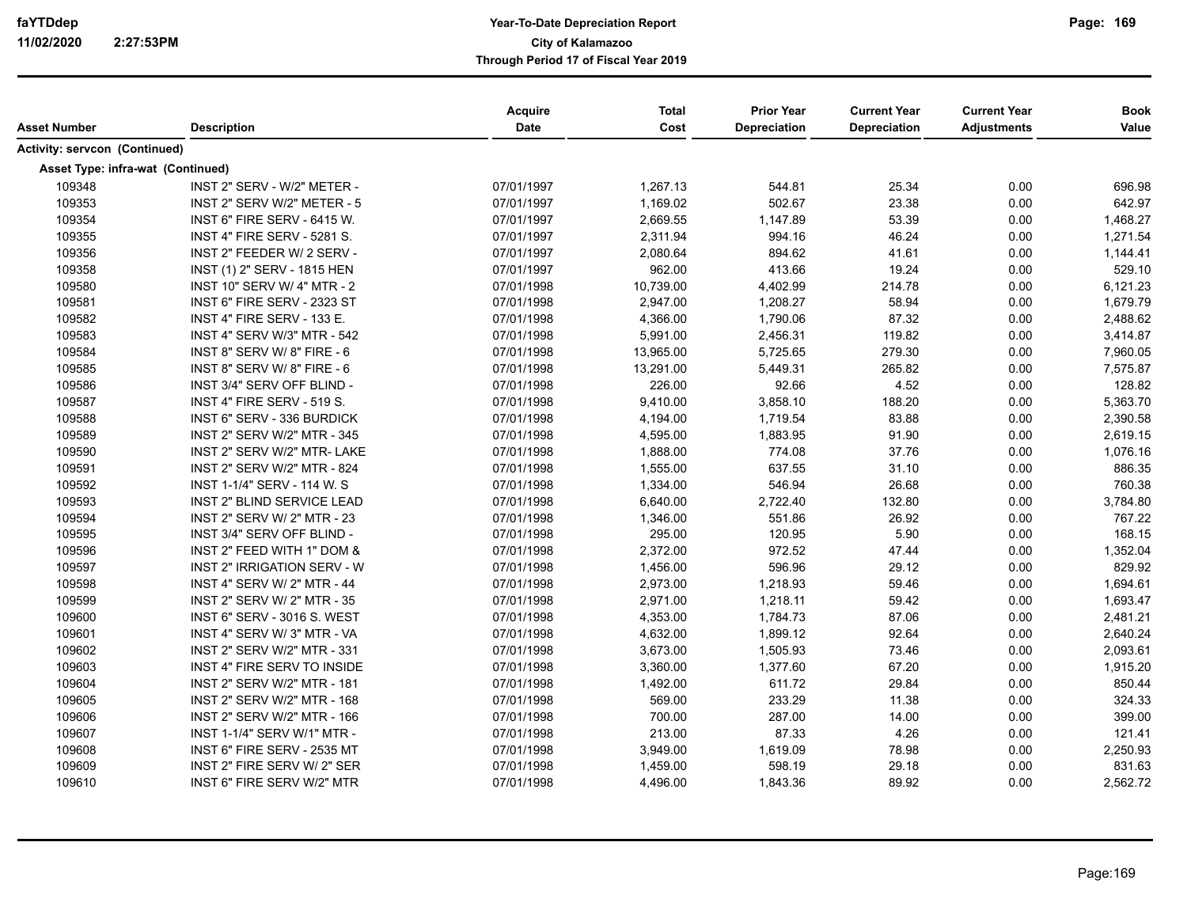| Asset Number                         | <b>Description</b>                 | Acquire<br>Date | <b>Total</b><br>Cost | <b>Prior Year</b><br><b>Depreciation</b> | <b>Current Year</b><br><b>Depreciation</b> | <b>Current Year</b><br><b>Adjustments</b> | <b>Book</b><br>Value |
|--------------------------------------|------------------------------------|-----------------|----------------------|------------------------------------------|--------------------------------------------|-------------------------------------------|----------------------|
| <b>Activity: servcon (Continued)</b> |                                    |                 |                      |                                          |                                            |                                           |                      |
|                                      | Asset Type: infra-wat (Continued)  |                 |                      |                                          |                                            |                                           |                      |
| 109348                               | INST 2" SERV - W/2" METER -        | 07/01/1997      | 1,267.13             | 544.81                                   | 25.34                                      | 0.00                                      | 696.98               |
| 109353                               | INST 2" SERV W/2" METER - 5        | 07/01/1997      | 1,169.02             | 502.67                                   | 23.38                                      | 0.00                                      | 642.97               |
| 109354                               | INST 6" FIRE SERV - 6415 W.        | 07/01/1997      | 2,669.55             | 1,147.89                                 | 53.39                                      | 0.00                                      | 1,468.27             |
| 109355                               | INST 4" FIRE SERV - 5281 S.        | 07/01/1997      | 2,311.94             | 994.16                                   | 46.24                                      | 0.00                                      | 1,271.54             |
| 109356                               | INST 2" FEEDER W/ 2 SERV -         | 07/01/1997      | 2,080.64             | 894.62                                   | 41.61                                      | 0.00                                      | 1,144.41             |
| 109358                               | INST (1) 2" SERV - 1815 HEN        | 07/01/1997      | 962.00               | 413.66                                   | 19.24                                      | 0.00                                      | 529.10               |
| 109580                               | INST 10" SERV W/ 4" MTR - 2        | 07/01/1998      | 10,739.00            | 4,402.99                                 | 214.78                                     | 0.00                                      | 6,121.23             |
| 109581                               | INST 6" FIRE SERV - 2323 ST        | 07/01/1998      | 2,947.00             | 1,208.27                                 | 58.94                                      | 0.00                                      | 1,679.79             |
| 109582                               | INST 4" FIRE SERV - 133 E.         | 07/01/1998      | 4,366.00             | 1,790.06                                 | 87.32                                      | 0.00                                      | 2,488.62             |
| 109583                               | INST 4" SERV W/3" MTR - 542        | 07/01/1998      | 5,991.00             | 2,456.31                                 | 119.82                                     | 0.00                                      | 3,414.87             |
| 109584                               | <b>INST 8" SERV W/ 8" FIRE - 6</b> | 07/01/1998      | 13,965.00            | 5,725.65                                 | 279.30                                     | 0.00                                      | 7,960.05             |
| 109585                               | INST 8" SERV W/8" FIRE - 6         | 07/01/1998      | 13,291.00            | 5,449.31                                 | 265.82                                     | 0.00                                      | 7,575.87             |
| 109586                               | INST 3/4" SERV OFF BLIND -         | 07/01/1998      | 226.00               | 92.66                                    | 4.52                                       | 0.00                                      | 128.82               |
| 109587                               | INST 4" FIRE SERV - 519 S.         | 07/01/1998      | 9,410.00             | 3,858.10                                 | 188.20                                     | 0.00                                      | 5,363.70             |
| 109588                               | INST 6" SERV - 336 BURDICK         | 07/01/1998      | 4,194.00             | 1,719.54                                 | 83.88                                      | 0.00                                      | 2,390.58             |
| 109589                               | INST 2" SERV W/2" MTR - 345        | 07/01/1998      | 4,595.00             | 1,883.95                                 | 91.90                                      | 0.00                                      | 2,619.15             |
| 109590                               | INST 2" SERV W/2" MTR- LAKE        | 07/01/1998      | 1,888.00             | 774.08                                   | 37.76                                      | 0.00                                      | 1,076.16             |
| 109591                               | INST 2" SERV W/2" MTR - 824        | 07/01/1998      | 1,555.00             | 637.55                                   | 31.10                                      | 0.00                                      | 886.35               |
| 109592                               | INST 1-1/4" SERV - 114 W. S        | 07/01/1998      | 1,334.00             | 546.94                                   | 26.68                                      | 0.00                                      | 760.38               |
| 109593                               | INST 2" BLIND SERVICE LEAD         | 07/01/1998      | 6,640.00             | 2,722.40                                 | 132.80                                     | 0.00                                      | 3,784.80             |
| 109594                               | INST 2" SERV W/ 2" MTR - 23        | 07/01/1998      | 1,346.00             | 551.86                                   | 26.92                                      | 0.00                                      | 767.22               |
| 109595                               | INST 3/4" SERV OFF BLIND -         | 07/01/1998      | 295.00               | 120.95                                   | 5.90                                       | 0.00                                      | 168.15               |
| 109596                               | INST 2" FEED WITH 1" DOM &         | 07/01/1998      | 2,372.00             | 972.52                                   | 47.44                                      | 0.00                                      | 1,352.04             |
| 109597                               | INST 2" IRRIGATION SERV - W        | 07/01/1998      | 1,456.00             | 596.96                                   | 29.12                                      | 0.00                                      | 829.92               |
| 109598                               | INST 4" SERV W/ 2" MTR - 44        | 07/01/1998      | 2,973.00             | 1,218.93                                 | 59.46                                      | 0.00                                      | 1,694.61             |
| 109599                               | INST 2" SERV W/ 2" MTR - 35        | 07/01/1998      | 2,971.00             | 1,218.11                                 | 59.42                                      | 0.00                                      | 1,693.47             |
| 109600                               | <b>INST 6" SERV - 3016 S. WEST</b> | 07/01/1998      | 4,353.00             | 1,784.73                                 | 87.06                                      | 0.00                                      | 2,481.21             |
| 109601                               | INST 4" SERV W/ 3" MTR - VA        | 07/01/1998      | 4,632.00             | 1,899.12                                 | 92.64                                      | 0.00                                      | 2,640.24             |
| 109602                               | INST 2" SERV W/2" MTR - 331        | 07/01/1998      | 3,673.00             | 1,505.93                                 | 73.46                                      | 0.00                                      | 2,093.61             |
| 109603                               | INST 4" FIRE SERV TO INSIDE        | 07/01/1998      | 3,360.00             | 1,377.60                                 | 67.20                                      | 0.00                                      | 1,915.20             |
| 109604                               | INST 2" SERV W/2" MTR - 181        | 07/01/1998      | 1,492.00             | 611.72                                   | 29.84                                      | 0.00                                      | 850.44               |
| 109605                               | INST 2" SERV W/2" MTR - 168        | 07/01/1998      | 569.00               | 233.29                                   | 11.38                                      | 0.00                                      | 324.33               |
| 109606                               | INST 2" SERV W/2" MTR - 166        | 07/01/1998      | 700.00               | 287.00                                   | 14.00                                      | 0.00                                      | 399.00               |
| 109607                               | INST 1-1/4" SERV W/1" MTR -        | 07/01/1998      | 213.00               | 87.33                                    | 4.26                                       | 0.00                                      | 121.41               |
| 109608                               | INST 6" FIRE SERV - 2535 MT        | 07/01/1998      | 3,949.00             | 1,619.09                                 | 78.98                                      | 0.00                                      | 2,250.93             |
| 109609                               | INST 2" FIRE SERV W/ 2" SER        | 07/01/1998      | 1,459.00             | 598.19                                   | 29.18                                      | 0.00                                      | 831.63               |
| 109610                               | INST 6" FIRE SERV W/2" MTR         | 07/01/1998      | 4,496.00             | 1,843.36                                 | 89.92                                      | 0.00                                      | 2,562.72             |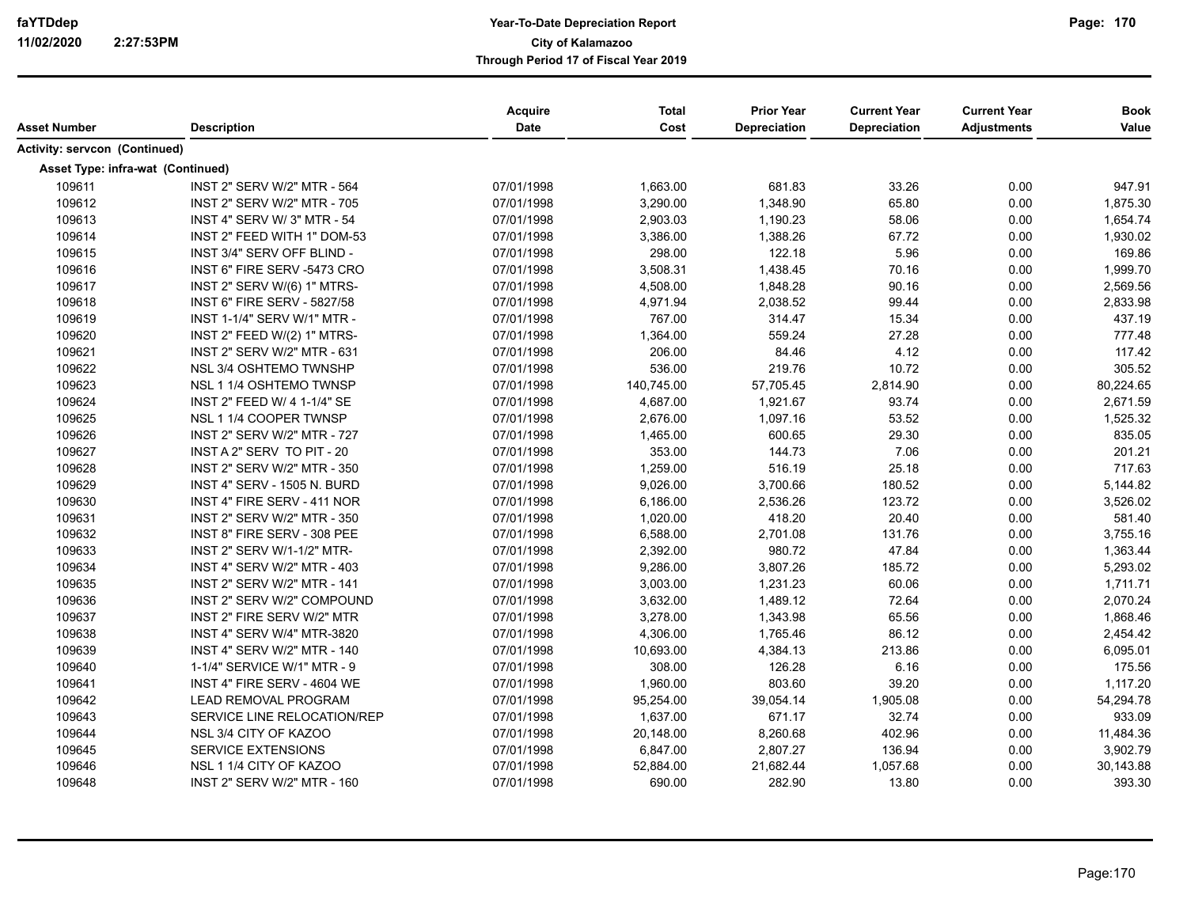| Asset Number                         | <b>Description</b>                 | Acquire<br><b>Date</b> | <b>Total</b><br>Cost | <b>Prior Year</b><br><b>Depreciation</b> | <b>Current Year</b><br><b>Depreciation</b> | <b>Current Year</b><br><b>Adjustments</b> | <b>Book</b><br>Value |
|--------------------------------------|------------------------------------|------------------------|----------------------|------------------------------------------|--------------------------------------------|-------------------------------------------|----------------------|
| <b>Activity: servcon (Continued)</b> |                                    |                        |                      |                                          |                                            |                                           |                      |
|                                      | Asset Type: infra-wat (Continued)  |                        |                      |                                          |                                            |                                           |                      |
| 109611                               | INST 2" SERV W/2" MTR - 564        | 07/01/1998             | 1,663.00             | 681.83                                   | 33.26                                      | 0.00                                      | 947.91               |
| 109612                               | INST 2" SERV W/2" MTR - 705        | 07/01/1998             | 3,290.00             | 1,348.90                                 | 65.80                                      | 0.00                                      | 1,875.30             |
| 109613                               | INST 4" SERV W/ 3" MTR - 54        | 07/01/1998             | 2,903.03             | 1,190.23                                 | 58.06                                      | 0.00                                      | 1,654.74             |
| 109614                               | INST 2" FEED WITH 1" DOM-53        | 07/01/1998             | 3,386.00             | 1,388.26                                 | 67.72                                      | 0.00                                      | 1,930.02             |
| 109615                               | INST 3/4" SERV OFF BLIND -         | 07/01/1998             | 298.00               | 122.18                                   | 5.96                                       | 0.00                                      | 169.86               |
| 109616                               | INST 6" FIRE SERV -5473 CRO        | 07/01/1998             | 3,508.31             | 1,438.45                                 | 70.16                                      | 0.00                                      | 1,999.70             |
| 109617                               | INST 2" SERV W/(6) 1" MTRS-        | 07/01/1998             | 4,508.00             | 1,848.28                                 | 90.16                                      | 0.00                                      | 2,569.56             |
| 109618                               | INST 6" FIRE SERV - 5827/58        | 07/01/1998             | 4,971.94             | 2,038.52                                 | 99.44                                      | 0.00                                      | 2,833.98             |
| 109619                               | INST 1-1/4" SERV W/1" MTR -        | 07/01/1998             | 767.00               | 314.47                                   | 15.34                                      | 0.00                                      | 437.19               |
| 109620                               | INST 2" FEED W/(2) 1" MTRS-        | 07/01/1998             | 1,364.00             | 559.24                                   | 27.28                                      | 0.00                                      | 777.48               |
| 109621                               | INST 2" SERV W/2" MTR - 631        | 07/01/1998             | 206.00               | 84.46                                    | 4.12                                       | 0.00                                      | 117.42               |
| 109622                               | NSL 3/4 OSHTEMO TWNSHP             | 07/01/1998             | 536.00               | 219.76                                   | 10.72                                      | 0.00                                      | 305.52               |
| 109623                               | NSL 1 1/4 OSHTEMO TWNSP            | 07/01/1998             | 140,745.00           | 57,705.45                                | 2,814.90                                   | 0.00                                      | 80,224.65            |
| 109624                               | INST 2" FEED W/ 4 1-1/4" SE        | 07/01/1998             | 4,687.00             | 1,921.67                                 | 93.74                                      | 0.00                                      | 2,671.59             |
| 109625                               | NSL 1 1/4 COOPER TWNSP             | 07/01/1998             | 2,676.00             | 1,097.16                                 | 53.52                                      | 0.00                                      | 1,525.32             |
| 109626                               | INST 2" SERV W/2" MTR - 727        | 07/01/1998             | 1,465.00             | 600.65                                   | 29.30                                      | 0.00                                      | 835.05               |
| 109627                               | INST A 2" SERV TO PIT - 20         | 07/01/1998             | 353.00               | 144.73                                   | 7.06                                       | 0.00                                      | 201.21               |
| 109628                               | INST 2" SERV W/2" MTR - 350        | 07/01/1998             | 1,259.00             | 516.19                                   | 25.18                                      | 0.00                                      | 717.63               |
| 109629                               | INST 4" SERV - 1505 N. BURD        | 07/01/1998             | 9,026.00             | 3,700.66                                 | 180.52                                     | 0.00                                      | 5,144.82             |
| 109630                               | INST 4" FIRE SERV - 411 NOR        | 07/01/1998             | 6,186.00             | 2,536.26                                 | 123.72                                     | 0.00                                      | 3,526.02             |
| 109631                               | INST 2" SERV W/2" MTR - 350        | 07/01/1998             | 1,020.00             | 418.20                                   | 20.40                                      | 0.00                                      | 581.40               |
| 109632                               | INST 8" FIRE SERV - 308 PEE        | 07/01/1998             | 6,588.00             | 2,701.08                                 | 131.76                                     | 0.00                                      | 3,755.16             |
| 109633                               | INST 2" SERV W/1-1/2" MTR-         | 07/01/1998             | 2,392.00             | 980.72                                   | 47.84                                      | 0.00                                      | 1,363.44             |
| 109634                               | <b>INST 4" SERV W/2" MTR - 403</b> | 07/01/1998             | 9,286.00             | 3,807.26                                 | 185.72                                     | 0.00                                      | 5,293.02             |
| 109635                               | <b>INST 2" SERV W/2" MTR - 141</b> | 07/01/1998             | 3,003.00             | 1,231.23                                 | 60.06                                      | 0.00                                      | 1,711.71             |
| 109636                               | INST 2" SERV W/2" COMPOUND         | 07/01/1998             | 3,632.00             | 1,489.12                                 | 72.64                                      | 0.00                                      | 2,070.24             |
| 109637                               | INST 2" FIRE SERV W/2" MTR         | 07/01/1998             | 3,278.00             | 1,343.98                                 | 65.56                                      | 0.00                                      | 1,868.46             |
| 109638                               | INST 4" SERV W/4" MTR-3820         | 07/01/1998             | 4,306.00             | 1,765.46                                 | 86.12                                      | 0.00                                      | 2,454.42             |
| 109639                               | INST 4" SERV W/2" MTR - 140        | 07/01/1998             | 10,693.00            | 4,384.13                                 | 213.86                                     | 0.00                                      | 6,095.01             |
| 109640                               | 1-1/4" SERVICE W/1" MTR - 9        | 07/01/1998             | 308.00               | 126.28                                   | 6.16                                       | 0.00                                      | 175.56               |
| 109641                               | INST 4" FIRE SERV - 4604 WE        | 07/01/1998             | 1,960.00             | 803.60                                   | 39.20                                      | 0.00                                      | 1,117.20             |
| 109642                               | LEAD REMOVAL PROGRAM               | 07/01/1998             | 95,254.00            | 39,054.14                                | 1,905.08                                   | 0.00                                      | 54,294.78            |
| 109643                               | SERVICE LINE RELOCATION/REP        | 07/01/1998             | 1,637.00             | 671.17                                   | 32.74                                      | 0.00                                      | 933.09               |
| 109644                               | NSL 3/4 CITY OF KAZOO              | 07/01/1998             | 20,148.00            | 8,260.68                                 | 402.96                                     | 0.00                                      | 11,484.36            |
| 109645                               | SERVICE EXTENSIONS                 | 07/01/1998             | 6,847.00             | 2,807.27                                 | 136.94                                     | 0.00                                      | 3,902.79             |
| 109646                               | NSL 1 1/4 CITY OF KAZOO            | 07/01/1998             | 52,884.00            | 21,682.44                                | 1,057.68                                   | 0.00                                      | 30,143.88            |
| 109648                               | INST 2" SERV W/2" MTR - 160        | 07/01/1998             | 690.00               | 282.90                                   | 13.80                                      | 0.00                                      | 393.30               |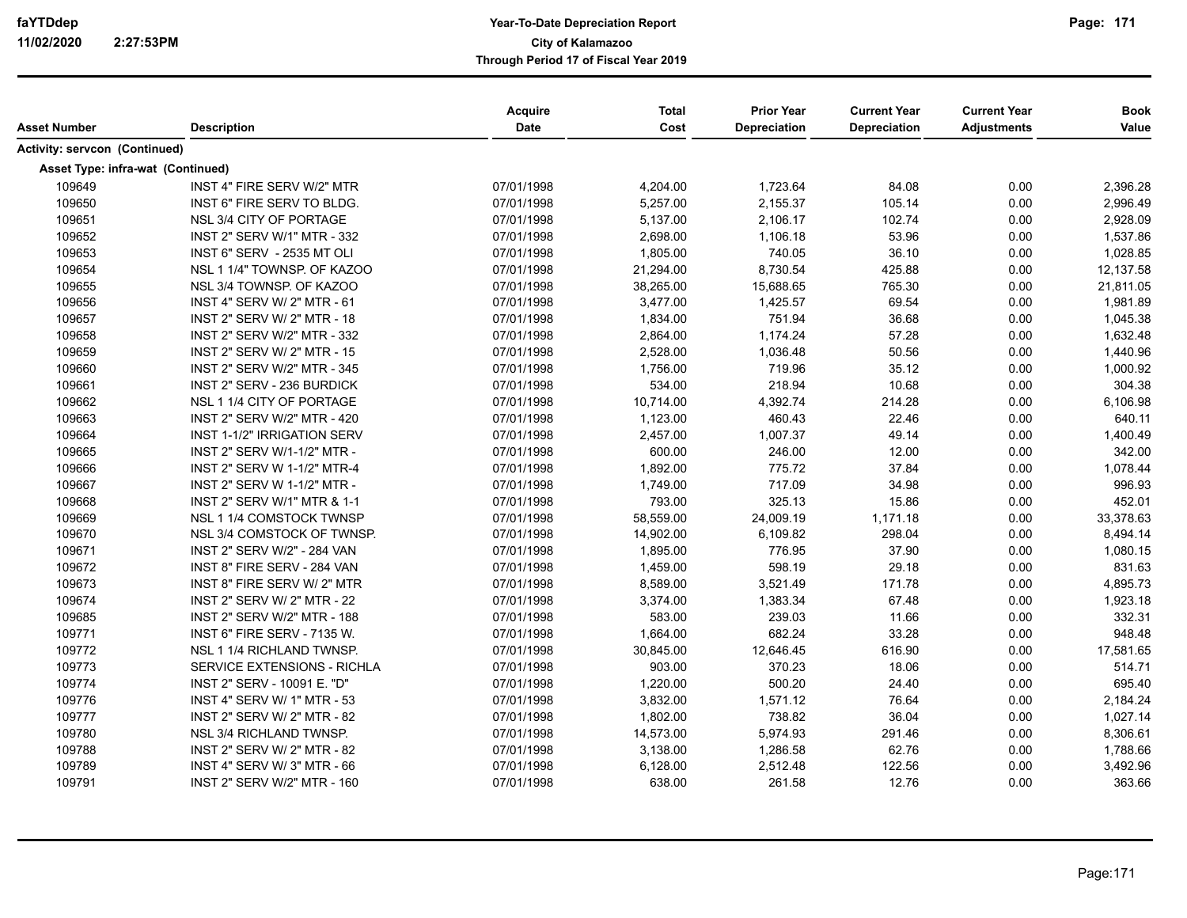| Asset Number                         | <b>Description</b>                 | Acquire<br>Date | <b>Total</b><br>Cost | <b>Prior Year</b><br><b>Depreciation</b> | <b>Current Year</b><br><b>Depreciation</b> | <b>Current Year</b><br><b>Adjustments</b> | <b>Book</b><br>Value |
|--------------------------------------|------------------------------------|-----------------|----------------------|------------------------------------------|--------------------------------------------|-------------------------------------------|----------------------|
| <b>Activity: servcon (Continued)</b> |                                    |                 |                      |                                          |                                            |                                           |                      |
|                                      |                                    |                 |                      |                                          |                                            |                                           |                      |
| Asset Type: infra-wat (Continued)    |                                    |                 |                      |                                          |                                            |                                           |                      |
| 109649                               | INST 4" FIRE SERV W/2" MTR         | 07/01/1998      | 4,204.00             | 1,723.64                                 | 84.08                                      | 0.00                                      | 2,396.28             |
| 109650                               | INST 6" FIRE SERV TO BLDG.         | 07/01/1998      | 5,257.00             | 2,155.37                                 | 105.14                                     | 0.00                                      | 2,996.49             |
| 109651                               | NSL 3/4 CITY OF PORTAGE            | 07/01/1998      | 5,137.00             | 2,106.17                                 | 102.74                                     | 0.00                                      | 2,928.09             |
| 109652                               | INST 2" SERV W/1" MTR - 332        | 07/01/1998      | 2,698.00             | 1,106.18                                 | 53.96                                      | 0.00                                      | 1,537.86             |
| 109653                               | INST 6" SERV - 2535 MT OLI         | 07/01/1998      | 1,805.00             | 740.05                                   | 36.10                                      | 0.00                                      | 1,028.85             |
| 109654                               | NSL 1 1/4" TOWNSP. OF KAZOO        | 07/01/1998      | 21,294.00            | 8,730.54                                 | 425.88                                     | 0.00                                      | 12,137.58            |
| 109655                               | NSL 3/4 TOWNSP. OF KAZOO           | 07/01/1998      | 38,265.00            | 15,688.65                                | 765.30                                     | 0.00                                      | 21,811.05            |
| 109656                               | INST 4" SERV W/ 2" MTR - 61        | 07/01/1998      | 3,477.00             | 1,425.57                                 | 69.54                                      | 0.00                                      | 1,981.89             |
| 109657                               | INST 2" SERV W/ 2" MTR - 18        | 07/01/1998      | 1,834.00             | 751.94                                   | 36.68                                      | 0.00                                      | 1,045.38             |
| 109658                               | INST 2" SERV W/2" MTR - 332        | 07/01/1998      | 2,864.00             | 1,174.24                                 | 57.28                                      | 0.00                                      | 1,632.48             |
| 109659                               | <b>INST 2" SERV W/ 2" MTR - 15</b> | 07/01/1998      | 2,528.00             | 1,036.48                                 | 50.56                                      | 0.00                                      | 1,440.96             |
| 109660                               | INST 2" SERV W/2" MTR - 345        | 07/01/1998      | 1,756.00             | 719.96                                   | 35.12                                      | 0.00                                      | 1,000.92             |
| 109661                               | INST 2" SERV - 236 BURDICK         | 07/01/1998      | 534.00               | 218.94                                   | 10.68                                      | 0.00                                      | 304.38               |
| 109662                               | NSL 1 1/4 CITY OF PORTAGE          | 07/01/1998      | 10,714.00            | 4,392.74                                 | 214.28                                     | 0.00                                      | 6,106.98             |
| 109663                               | INST 2" SERV W/2" MTR - 420        | 07/01/1998      | 1,123.00             | 460.43                                   | 22.46                                      | 0.00                                      | 640.11               |
| 109664                               | INST 1-1/2" IRRIGATION SERV        | 07/01/1998      | 2,457.00             | 1,007.37                                 | 49.14                                      | 0.00                                      | 1,400.49             |
| 109665                               | INST 2" SERV W/1-1/2" MTR -        | 07/01/1998      | 600.00               | 246.00                                   | 12.00                                      | 0.00                                      | 342.00               |
| 109666                               | INST 2" SERV W 1-1/2" MTR-4        | 07/01/1998      | 1,892.00             | 775.72                                   | 37.84                                      | 0.00                                      | 1,078.44             |
| 109667                               | INST 2" SERV W 1-1/2" MTR -        | 07/01/1998      | 1,749.00             | 717.09                                   | 34.98                                      | 0.00                                      | 996.93               |
| 109668                               | INST 2" SERV W/1" MTR & 1-1        | 07/01/1998      | 793.00               | 325.13                                   | 15.86                                      | 0.00                                      | 452.01               |
| 109669                               | NSL 1 1/4 COMSTOCK TWNSP           | 07/01/1998      | 58,559.00            | 24,009.19                                | 1,171.18                                   | 0.00                                      | 33,378.63            |
| 109670                               | NSL 3/4 COMSTOCK OF TWNSP.         | 07/01/1998      | 14,902.00            | 6,109.82                                 | 298.04                                     | 0.00                                      | 8,494.14             |
| 109671                               | INST 2" SERV W/2" - 284 VAN        | 07/01/1998      | 1,895.00             | 776.95                                   | 37.90                                      | 0.00                                      | 1,080.15             |
| 109672                               | INST 8" FIRE SERV - 284 VAN        | 07/01/1998      | 1,459.00             | 598.19                                   | 29.18                                      | 0.00                                      | 831.63               |
| 109673                               | INST 8" FIRE SERV W/ 2" MTR        | 07/01/1998      | 8,589.00             | 3,521.49                                 | 171.78                                     | 0.00                                      | 4,895.73             |
| 109674                               | INST 2" SERV W/ 2" MTR - 22        | 07/01/1998      | 3,374.00             | 1,383.34                                 | 67.48                                      | 0.00                                      | 1,923.18             |
| 109685                               | INST 2" SERV W/2" MTR - 188        | 07/01/1998      | 583.00               | 239.03                                   | 11.66                                      | 0.00                                      | 332.31               |
| 109771                               | INST 6" FIRE SERV - 7135 W.        | 07/01/1998      | 1,664.00             | 682.24                                   | 33.28                                      | 0.00                                      | 948.48               |
| 109772                               | NSL 1 1/4 RICHLAND TWNSP.          | 07/01/1998      | 30,845.00            | 12,646.45                                | 616.90                                     | 0.00                                      | 17,581.65            |
| 109773                               | SERVICE EXTENSIONS - RICHLA        | 07/01/1998      | 903.00               | 370.23                                   | 18.06                                      | 0.00                                      | 514.71               |
| 109774                               | INST 2" SERV - 10091 E. "D"        | 07/01/1998      | 1,220.00             | 500.20                                   | 24.40                                      | 0.00                                      | 695.40               |
| 109776                               | INST 4" SERV W/ 1" MTR - 53        | 07/01/1998      | 3,832.00             | 1,571.12                                 | 76.64                                      | 0.00                                      | 2,184.24             |
| 109777                               | INST 2" SERV W/ 2" MTR - 82        | 07/01/1998      | 1,802.00             | 738.82                                   | 36.04                                      | 0.00                                      | 1,027.14             |
| 109780                               | NSL 3/4 RICHLAND TWNSP.            | 07/01/1998      | 14,573.00            | 5,974.93                                 | 291.46                                     | 0.00                                      | 8,306.61             |
| 109788                               | INST 2" SERV W/ 2" MTR - 82        | 07/01/1998      | 3,138.00             | 1,286.58                                 | 62.76                                      | 0.00                                      | 1,788.66             |
| 109789                               | INST 4" SERV W/ 3" MTR - 66        | 07/01/1998      | 6,128.00             | 2,512.48                                 | 122.56                                     | 0.00                                      | 3,492.96             |
| 109791                               | INST 2" SERV W/2" MTR - 160        | 07/01/1998      | 638.00               | 261.58                                   | 12.76                                      | 0.00                                      | 363.66               |
|                                      |                                    |                 |                      |                                          |                                            |                                           |                      |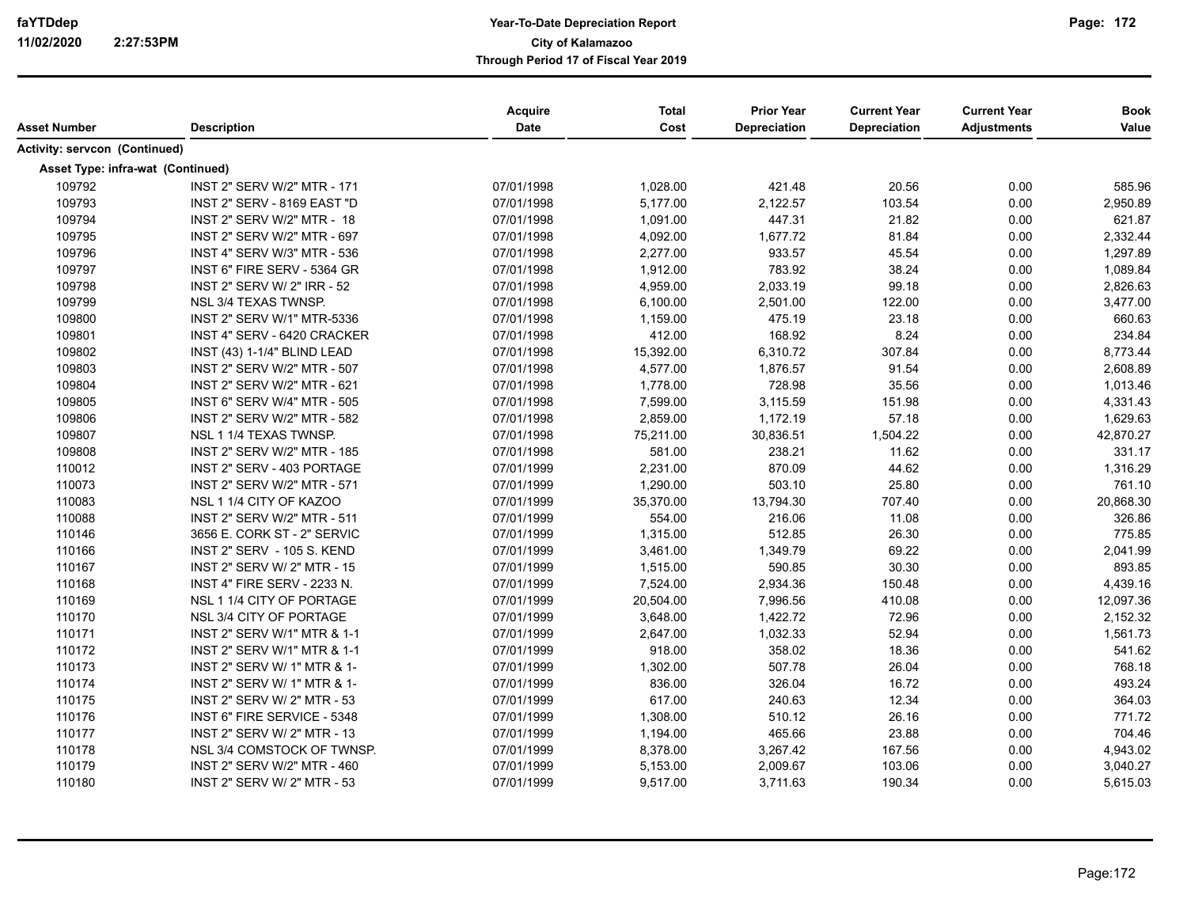| Asset Number                         | <b>Description</b>                | Acquire<br><b>Date</b> | <b>Total</b><br>Cost | <b>Prior Year</b><br><b>Depreciation</b> | <b>Current Year</b><br><b>Depreciation</b> | <b>Current Year</b><br><b>Adjustments</b> | <b>Book</b><br>Value |
|--------------------------------------|-----------------------------------|------------------------|----------------------|------------------------------------------|--------------------------------------------|-------------------------------------------|----------------------|
| <b>Activity: servcon (Continued)</b> |                                   |                        |                      |                                          |                                            |                                           |                      |
| Asset Type: infra-wat (Continued)    |                                   |                        |                      |                                          |                                            |                                           |                      |
| 109792                               | INST 2" SERV W/2" MTR - 171       | 07/01/1998             | 1,028.00             | 421.48                                   | 20.56                                      | 0.00                                      | 585.96               |
| 109793                               | INST 2" SERV - 8169 EAST "D       | 07/01/1998             | 5,177.00             | 2,122.57                                 | 103.54                                     | 0.00                                      | 2,950.89             |
| 109794                               | INST 2" SERV W/2" MTR - 18        | 07/01/1998             | 1,091.00             | 447.31                                   | 21.82                                      | 0.00                                      | 621.87               |
| 109795                               | INST 2" SERV W/2" MTR - 697       | 07/01/1998             | 4,092.00             | 1,677.72                                 | 81.84                                      | 0.00                                      | 2,332.44             |
| 109796                               | INST 4" SERV W/3" MTR - 536       | 07/01/1998             | 2,277.00             | 933.57                                   | 45.54                                      | 0.00                                      | 1,297.89             |
| 109797                               | INST 6" FIRE SERV - 5364 GR       | 07/01/1998             | 1,912.00             | 783.92                                   | 38.24                                      | 0.00                                      | 1,089.84             |
| 109798                               | INST 2" SERV W/ 2" IRR - 52       | 07/01/1998             | 4,959.00             | 2,033.19                                 | 99.18                                      | 0.00                                      | 2,826.63             |
| 109799                               | NSL 3/4 TEXAS TWNSP.              | 07/01/1998             | 6,100.00             | 2,501.00                                 | 122.00                                     | 0.00                                      | 3,477.00             |
| 109800                               | <b>INST 2" SERV W/1" MTR-5336</b> | 07/01/1998             | 1,159.00             | 475.19                                   | 23.18                                      | 0.00                                      | 660.63               |
| 109801                               | INST 4" SERV - 6420 CRACKER       | 07/01/1998             | 412.00               | 168.92                                   | 8.24                                       | 0.00                                      | 234.84               |
| 109802                               | INST (43) 1-1/4" BLIND LEAD       | 07/01/1998             | 15,392.00            | 6,310.72                                 | 307.84                                     | 0.00                                      | 8,773.44             |
| 109803                               | INST 2" SERV W/2" MTR - 507       | 07/01/1998             | 4,577.00             | 1,876.57                                 | 91.54                                      | 0.00                                      | 2,608.89             |
| 109804                               | INST 2" SERV W/2" MTR - 621       | 07/01/1998             | 1,778.00             | 728.98                                   | 35.56                                      | 0.00                                      | 1,013.46             |
| 109805                               | INST 6" SERV W/4" MTR - 505       | 07/01/1998             | 7,599.00             | 3,115.59                                 | 151.98                                     | 0.00                                      | 4,331.43             |
| 109806                               | INST 2" SERV W/2" MTR - 582       | 07/01/1998             | 2,859.00             | 1,172.19                                 | 57.18                                      | 0.00                                      | 1,629.63             |
| 109807                               | NSL 1 1/4 TEXAS TWNSP.            | 07/01/1998             | 75,211.00            | 30,836.51                                | 1,504.22                                   | 0.00                                      | 42,870.27            |
| 109808                               | INST 2" SERV W/2" MTR - 185       | 07/01/1998             | 581.00               | 238.21                                   | 11.62                                      | 0.00                                      | 331.17               |
| 110012                               | INST 2" SERV - 403 PORTAGE        | 07/01/1999             | 2,231.00             | 870.09                                   | 44.62                                      | 0.00                                      | 1,316.29             |
| 110073                               | INST 2" SERV W/2" MTR - 571       | 07/01/1999             | 1,290.00             | 503.10                                   | 25.80                                      | 0.00                                      | 761.10               |
| 110083                               | NSL 1 1/4 CITY OF KAZOO           | 07/01/1999             | 35,370.00            | 13,794.30                                | 707.40                                     | 0.00                                      | 20,868.30            |
| 110088                               | INST 2" SERV W/2" MTR - 511       | 07/01/1999             | 554.00               | 216.06                                   | 11.08                                      | 0.00                                      | 326.86               |
| 110146                               | 3656 E. CORK ST - 2" SERVIC       | 07/01/1999             | 1,315.00             | 512.85                                   | 26.30                                      | 0.00                                      | 775.85               |
| 110166                               | INST 2" SERV - 105 S. KEND        | 07/01/1999             | 3,461.00             | 1,349.79                                 | 69.22                                      | 0.00                                      | 2,041.99             |
| 110167                               | INST 2" SERV W/ 2" MTR - 15       | 07/01/1999             | 1,515.00             | 590.85                                   | 30.30                                      | 0.00                                      | 893.85               |
| 110168                               | INST 4" FIRE SERV - 2233 N.       | 07/01/1999             | 7,524.00             | 2,934.36                                 | 150.48                                     | 0.00                                      | 4,439.16             |
| 110169                               | NSL 1 1/4 CITY OF PORTAGE         | 07/01/1999             | 20,504.00            | 7,996.56                                 | 410.08                                     | 0.00                                      | 12,097.36            |
| 110170                               | NSL 3/4 CITY OF PORTAGE           | 07/01/1999             | 3,648.00             | 1,422.72                                 | 72.96                                      | 0.00                                      | 2,152.32             |
| 110171                               | INST 2" SERV W/1" MTR & 1-1       | 07/01/1999             | 2,647.00             | 1,032.33                                 | 52.94                                      | 0.00                                      | 1,561.73             |
| 110172                               | INST 2" SERV W/1" MTR & 1-1       | 07/01/1999             | 918.00               | 358.02                                   | 18.36                                      | 0.00                                      | 541.62               |
| 110173                               | INST 2" SERV W/ 1" MTR & 1-       | 07/01/1999             | 1,302.00             | 507.78                                   | 26.04                                      | 0.00                                      | 768.18               |
| 110174                               | INST 2" SERV W/ 1" MTR & 1-       | 07/01/1999             | 836.00               | 326.04                                   | 16.72                                      | 0.00                                      | 493.24               |
| 110175                               | INST 2" SERV W/ 2" MTR - 53       | 07/01/1999             | 617.00               | 240.63                                   | 12.34                                      | 0.00                                      | 364.03               |
| 110176                               | INST 6" FIRE SERVICE - 5348       | 07/01/1999             | 1,308.00             | 510.12                                   | 26.16                                      | 0.00                                      | 771.72               |
| 110177                               | INST 2" SERV W/ 2" MTR - 13       | 07/01/1999             | 1,194.00             | 465.66                                   | 23.88                                      | 0.00                                      | 704.46               |
| 110178                               | NSL 3/4 COMSTOCK OF TWNSP.        | 07/01/1999             | 8,378.00             | 3,267.42                                 | 167.56                                     | 0.00                                      | 4,943.02             |
| 110179                               | INST 2" SERV W/2" MTR - 460       | 07/01/1999             | 5,153.00             | 2,009.67                                 | 103.06                                     | 0.00                                      | 3,040.27             |
| 110180                               | INST 2" SERV W/ 2" MTR - 53       | 07/01/1999             | 9,517.00             | 3,711.63                                 | 190.34                                     | 0.00                                      | 5,615.03             |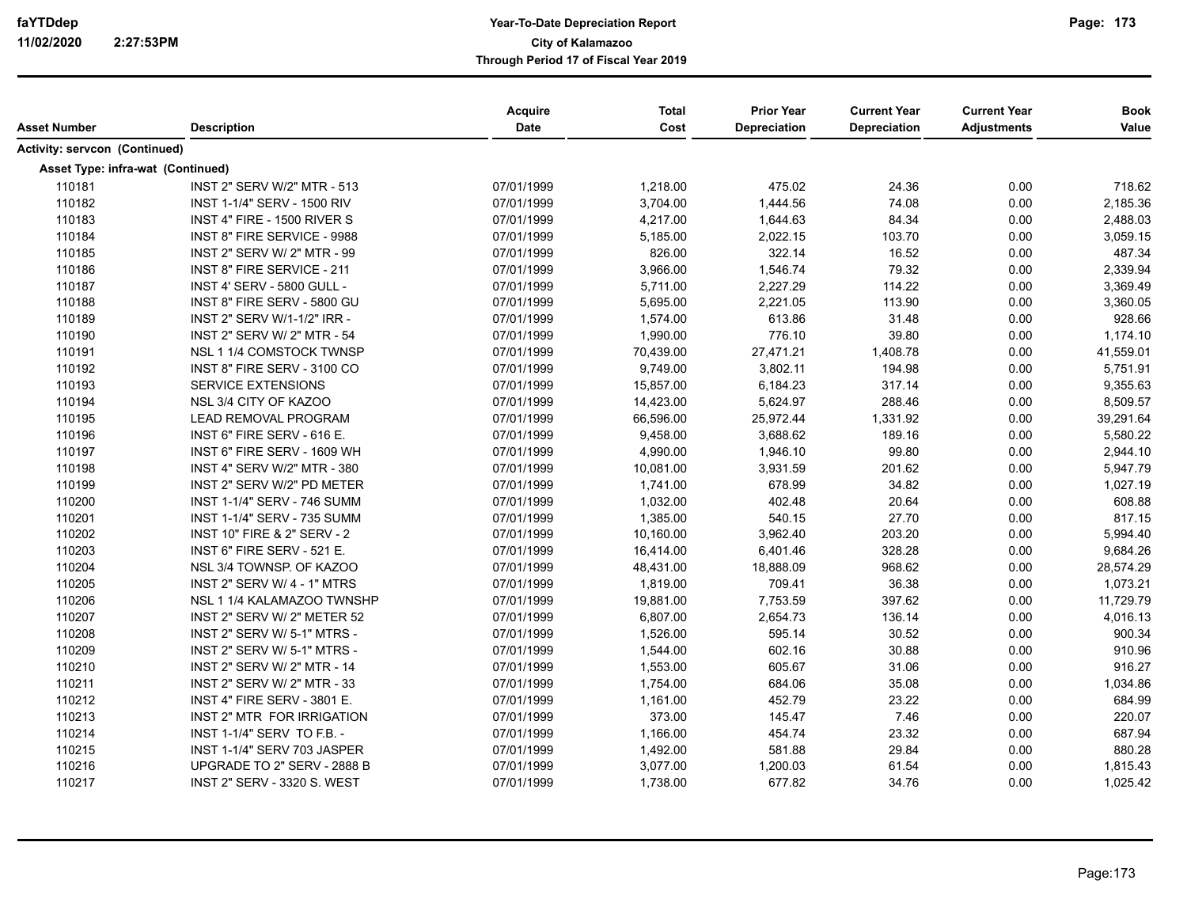| Asset Number                         | <b>Description</b>                     | Acquire<br>Date | <b>Total</b><br>Cost | <b>Prior Year</b><br><b>Depreciation</b> | <b>Current Year</b><br><b>Depreciation</b> | <b>Current Year</b><br><b>Adjustments</b> | <b>Book</b><br>Value |
|--------------------------------------|----------------------------------------|-----------------|----------------------|------------------------------------------|--------------------------------------------|-------------------------------------------|----------------------|
| <b>Activity: servcon (Continued)</b> |                                        |                 |                      |                                          |                                            |                                           |                      |
|                                      | Asset Type: infra-wat (Continued)      |                 |                      |                                          |                                            |                                           |                      |
| 110181                               | <b>INST 2" SERV W/2" MTR - 513</b>     | 07/01/1999      | 1,218.00             | 475.02                                   | 24.36                                      | 0.00                                      | 718.62               |
| 110182                               | INST 1-1/4" SERV - 1500 RIV            | 07/01/1999      | 3,704.00             | 1,444.56                                 | 74.08                                      | 0.00                                      | 2,185.36             |
| 110183                               | INST 4" FIRE - 1500 RIVER S            | 07/01/1999      | 4,217.00             | 1,644.63                                 | 84.34                                      | 0.00                                      | 2,488.03             |
| 110184                               | INST 8" FIRE SERVICE - 9988            | 07/01/1999      | 5,185.00             | 2,022.15                                 | 103.70                                     | 0.00                                      | 3,059.15             |
| 110185                               | INST 2" SERV W/ 2" MTR - 99            | 07/01/1999      | 826.00               | 322.14                                   | 16.52                                      | 0.00                                      | 487.34               |
| 110186                               | INST 8" FIRE SERVICE - 211             | 07/01/1999      | 3,966.00             | 1,546.74                                 | 79.32                                      | 0.00                                      | 2,339.94             |
| 110187                               | <b>INST 4' SERV - 5800 GULL -</b>      | 07/01/1999      | 5,711.00             | 2,227.29                                 | 114.22                                     | 0.00                                      | 3,369.49             |
| 110188                               | INST 8" FIRE SERV - 5800 GU            | 07/01/1999      | 5,695.00             | 2,221.05                                 | 113.90                                     | 0.00                                      | 3,360.05             |
| 110189                               | INST 2" SERV W/1-1/2" IRR -            | 07/01/1999      | 1,574.00             | 613.86                                   | 31.48                                      | 0.00                                      | 928.66               |
| 110190                               | INST 2" SERV W/ 2" MTR - 54            | 07/01/1999      | 1,990.00             | 776.10                                   | 39.80                                      | 0.00                                      | 1,174.10             |
| 110191                               | NSL 1 1/4 COMSTOCK TWNSP               | 07/01/1999      | 70,439.00            | 27,471.21                                | 1,408.78                                   | 0.00                                      | 41,559.01            |
| 110192                               | INST 8" FIRE SERV - 3100 CO            | 07/01/1999      | 9,749.00             | 3,802.11                                 | 194.98                                     | 0.00                                      | 5,751.91             |
| 110193                               | <b>SERVICE EXTENSIONS</b>              | 07/01/1999      | 15,857.00            | 6,184.23                                 | 317.14                                     | 0.00                                      | 9,355.63             |
| 110194                               | NSL 3/4 CITY OF KAZOO                  | 07/01/1999      | 14,423.00            | 5,624.97                                 | 288.46                                     | 0.00                                      | 8,509.57             |
| 110195                               | <b>LEAD REMOVAL PROGRAM</b>            | 07/01/1999      | 66,596.00            | 25,972.44                                | 1,331.92                                   | 0.00                                      | 39,291.64            |
| 110196                               | INST 6" FIRE SERV - 616 E.             | 07/01/1999      | 9,458.00             | 3,688.62                                 | 189.16                                     | 0.00                                      | 5,580.22             |
| 110197                               | INST 6" FIRE SERV - 1609 WH            | 07/01/1999      | 4,990.00             | 1,946.10                                 | 99.80                                      | 0.00                                      | 2,944.10             |
| 110198                               | INST 4" SERV W/2" MTR - 380            | 07/01/1999      | 10,081.00            | 3,931.59                                 | 201.62                                     | 0.00                                      | 5,947.79             |
| 110199                               | INST 2" SERV W/2" PD METER             | 07/01/1999      | 1,741.00             | 678.99                                   | 34.82                                      | 0.00                                      | 1,027.19             |
| 110200                               | INST 1-1/4" SERV - 746 SUMM            | 07/01/1999      | 1,032.00             | 402.48                                   | 20.64                                      | 0.00                                      | 608.88               |
| 110201                               | INST 1-1/4" SERV - 735 SUMM            | 07/01/1999      | 1,385.00             | 540.15                                   | 27.70                                      | 0.00                                      | 817.15               |
| 110202                               | <b>INST 10" FIRE &amp; 2" SERV - 2</b> | 07/01/1999      | 10,160.00            | 3,962.40                                 | 203.20                                     | 0.00                                      | 5,994.40             |
| 110203                               | INST 6" FIRE SERV - 521 E.             | 07/01/1999      | 16,414.00            | 6,401.46                                 | 328.28                                     | 0.00                                      | 9,684.26             |
| 110204                               | NSL 3/4 TOWNSP. OF KAZOO               | 07/01/1999      | 48,431.00            | 18,888.09                                | 968.62                                     | 0.00                                      | 28,574.29            |
| 110205                               | INST 2" SERV W/ 4 - 1" MTRS            | 07/01/1999      | 1,819.00             | 709.41                                   | 36.38                                      | 0.00                                      | 1,073.21             |
| 110206                               | NSL 1 1/4 KALAMAZOO TWNSHP             | 07/01/1999      | 19,881.00            | 7,753.59                                 | 397.62                                     | 0.00                                      | 11,729.79            |
| 110207                               | INST 2" SERV W/ 2" METER 52            | 07/01/1999      | 6,807.00             | 2,654.73                                 | 136.14                                     | 0.00                                      | 4,016.13             |
| 110208                               | INST 2" SERV W/ 5-1" MTRS -            | 07/01/1999      | 1,526.00             | 595.14                                   | 30.52                                      | 0.00                                      | 900.34               |
| 110209                               | INST 2" SERV W/ 5-1" MTRS -            | 07/01/1999      | 1,544.00             | 602.16                                   | 30.88                                      | 0.00                                      | 910.96               |
| 110210                               | INST 2" SERV W/ 2" MTR - 14            | 07/01/1999      | 1,553.00             | 605.67                                   | 31.06                                      | 0.00                                      | 916.27               |
| 110211                               | INST 2" SERV W/ 2" MTR - 33            | 07/01/1999      | 1,754.00             | 684.06                                   | 35.08                                      | 0.00                                      | 1,034.86             |
| 110212                               | INST 4" FIRE SERV - 3801 E.            | 07/01/1999      | 1,161.00             | 452.79                                   | 23.22                                      | 0.00                                      | 684.99               |
| 110213                               | INST 2" MTR FOR IRRIGATION             | 07/01/1999      | 373.00               | 145.47                                   | 7.46                                       | 0.00                                      | 220.07               |
| 110214                               | INST 1-1/4" SERV TO F.B. -             | 07/01/1999      | 1,166.00             | 454.74                                   | 23.32                                      | 0.00                                      | 687.94               |
| 110215                               | INST 1-1/4" SERV 703 JASPER            | 07/01/1999      | 1,492.00             | 581.88                                   | 29.84                                      | 0.00                                      | 880.28               |
| 110216                               | UPGRADE TO 2" SERV - 2888 B            | 07/01/1999      | 3,077.00             | 1,200.03                                 | 61.54                                      | 0.00                                      | 1,815.43             |
| 110217                               | <b>INST 2" SERV - 3320 S. WEST</b>     | 07/01/1999      | 1,738.00             | 677.82                                   | 34.76                                      | 0.00                                      | 1,025.42             |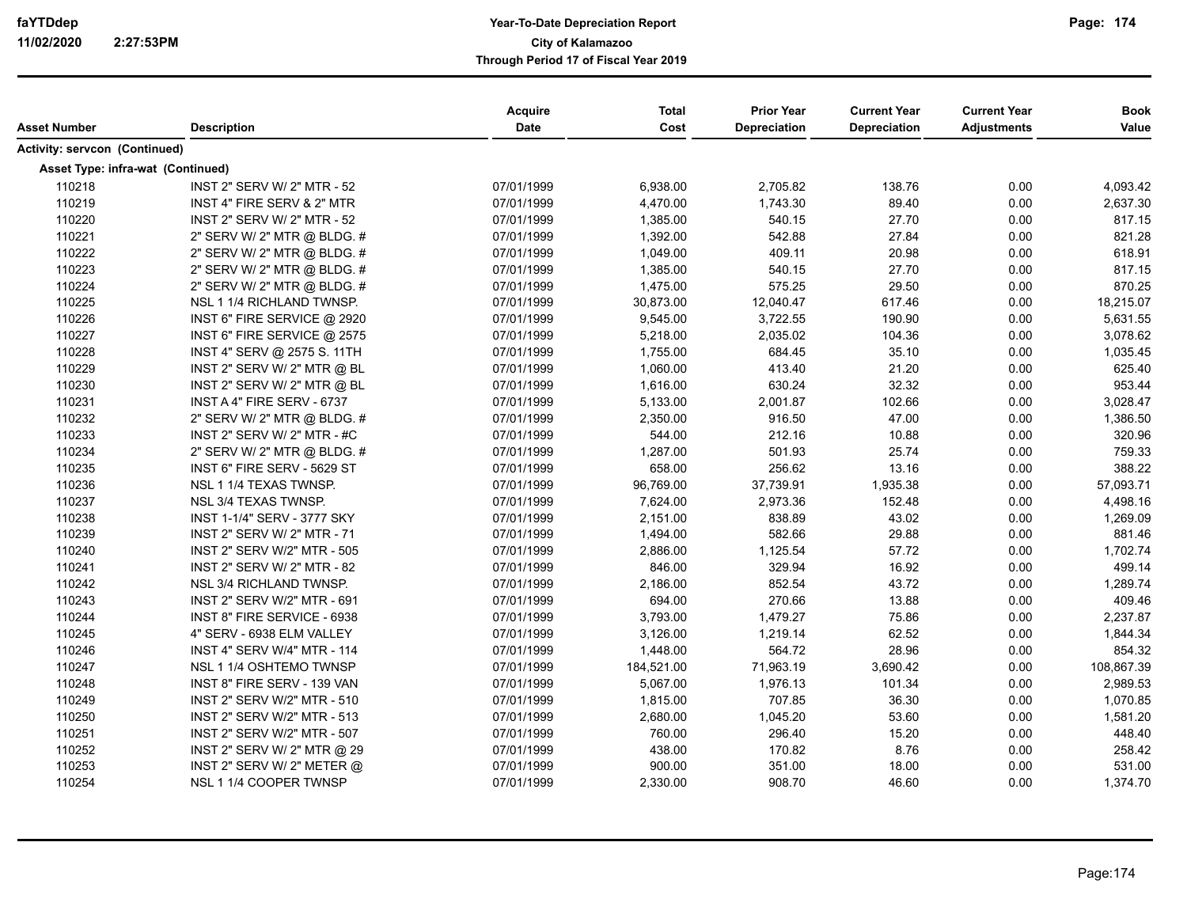| Asset Number                         | <b>Description</b>                 | <b>Acquire</b><br><b>Date</b> | <b>Total</b><br>Cost | <b>Prior Year</b><br><b>Depreciation</b> | <b>Current Year</b><br><b>Depreciation</b> | <b>Current Year</b><br><b>Adjustments</b> | <b>Book</b><br>Value |
|--------------------------------------|------------------------------------|-------------------------------|----------------------|------------------------------------------|--------------------------------------------|-------------------------------------------|----------------------|
| <b>Activity: servcon (Continued)</b> |                                    |                               |                      |                                          |                                            |                                           |                      |
|                                      | Asset Type: infra-wat (Continued)  |                               |                      |                                          |                                            |                                           |                      |
| 110218                               | INST 2" SERV W/ 2" MTR - 52        | 07/01/1999                    | 6,938.00             | 2,705.82                                 | 138.76                                     | 0.00                                      | 4,093.42             |
| 110219                               | INST 4" FIRE SERV & 2" MTR         | 07/01/1999                    | 4,470.00             | 1,743.30                                 | 89.40                                      | 0.00                                      | 2,637.30             |
| 110220                               | INST 2" SERV W/ 2" MTR - 52        | 07/01/1999                    | 1,385.00             | 540.15                                   | 27.70                                      | 0.00                                      | 817.15               |
| 110221                               | 2" SERV W/ 2" MTR @ BLDG. #        | 07/01/1999                    | 1,392.00             | 542.88                                   | 27.84                                      | 0.00                                      | 821.28               |
| 110222                               | 2" SERV W/ 2" MTR @ BLDG. #        | 07/01/1999                    | 1,049.00             | 409.11                                   | 20.98                                      | 0.00                                      | 618.91               |
| 110223                               | 2" SERV W/ 2" MTR @ BLDG. #        | 07/01/1999                    | 1,385.00             | 540.15                                   | 27.70                                      | 0.00                                      | 817.15               |
| 110224                               | 2" SERV W/ 2" MTR @ BLDG. #        | 07/01/1999                    | 1,475.00             | 575.25                                   | 29.50                                      | 0.00                                      | 870.25               |
| 110225                               | NSL 1 1/4 RICHLAND TWNSP.          | 07/01/1999                    | 30,873.00            | 12,040.47                                | 617.46                                     | 0.00                                      | 18,215.07            |
| 110226                               | INST 6" FIRE SERVICE @ 2920        | 07/01/1999                    | 9,545.00             | 3,722.55                                 | 190.90                                     | 0.00                                      | 5,631.55             |
| 110227                               | INST 6" FIRE SERVICE @ 2575        | 07/01/1999                    | 5,218.00             | 2,035.02                                 | 104.36                                     | 0.00                                      | 3,078.62             |
| 110228                               | INST 4" SERV @ 2575 S. 11TH        | 07/01/1999                    | 1,755.00             | 684.45                                   | 35.10                                      | 0.00                                      | 1,035.45             |
| 110229                               | INST 2" SERV W/ 2" MTR @ BL        | 07/01/1999                    | 1,060.00             | 413.40                                   | 21.20                                      | 0.00                                      | 625.40               |
| 110230                               | INST 2" SERV W/ 2" MTR @ BL        | 07/01/1999                    | 1,616.00             | 630.24                                   | 32.32                                      | 0.00                                      | 953.44               |
| 110231                               | INST A 4" FIRE SERV - 6737         | 07/01/1999                    | 5,133.00             | 2,001.87                                 | 102.66                                     | 0.00                                      | 3,028.47             |
| 110232                               | 2" SERV W/ 2" MTR @ BLDG. #        | 07/01/1999                    | 2,350.00             | 916.50                                   | 47.00                                      | 0.00                                      | 1,386.50             |
| 110233                               | INST 2" SERV W/ 2" MTR - #C        | 07/01/1999                    | 544.00               | 212.16                                   | 10.88                                      | 0.00                                      | 320.96               |
| 110234                               | 2" SERV W/ 2" MTR @ BLDG. #        | 07/01/1999                    | 1,287.00             | 501.93                                   | 25.74                                      | 0.00                                      | 759.33               |
| 110235                               | INST 6" FIRE SERV - 5629 ST        | 07/01/1999                    | 658.00               | 256.62                                   | 13.16                                      | 0.00                                      | 388.22               |
| 110236                               | NSL 1 1/4 TEXAS TWNSP.             | 07/01/1999                    | 96,769.00            | 37,739.91                                | 1,935.38                                   | 0.00                                      | 57,093.71            |
| 110237                               | NSL 3/4 TEXAS TWNSP.               | 07/01/1999                    | 7,624.00             | 2,973.36                                 | 152.48                                     | 0.00                                      | 4,498.16             |
| 110238                               | INST 1-1/4" SERV - 3777 SKY        | 07/01/1999                    | 2,151.00             | 838.89                                   | 43.02                                      | 0.00                                      | 1,269.09             |
| 110239                               | INST 2" SERV W/ 2" MTR - 71        | 07/01/1999                    | 1,494.00             | 582.66                                   | 29.88                                      | 0.00                                      | 881.46               |
| 110240                               | INST 2" SERV W/2" MTR - 505        | 07/01/1999                    | 2,886.00             | 1,125.54                                 | 57.72                                      | 0.00                                      | 1,702.74             |
| 110241                               | INST 2" SERV W/ 2" MTR - 82        | 07/01/1999                    | 846.00               | 329.94                                   | 16.92                                      | 0.00                                      | 499.14               |
| 110242                               | NSL 3/4 RICHLAND TWNSP.            | 07/01/1999                    | 2,186.00             | 852.54                                   | 43.72                                      | 0.00                                      | 1,289.74             |
| 110243                               | INST 2" SERV W/2" MTR - 691        | 07/01/1999                    | 694.00               | 270.66                                   | 13.88                                      | 0.00                                      | 409.46               |
| 110244                               | INST 8" FIRE SERVICE - 6938        | 07/01/1999                    | 3,793.00             | 1,479.27                                 | 75.86                                      | 0.00                                      | 2,237.87             |
| 110245                               | 4" SERV - 6938 ELM VALLEY          | 07/01/1999                    | 3,126.00             | 1,219.14                                 | 62.52                                      | 0.00                                      | 1,844.34             |
| 110246                               | <b>INST 4" SERV W/4" MTR - 114</b> | 07/01/1999                    | 1,448.00             | 564.72                                   | 28.96                                      | 0.00                                      | 854.32               |
| 110247                               | NSL 1 1/4 OSHTEMO TWNSP            | 07/01/1999                    | 184,521.00           | 71,963.19                                | 3,690.42                                   | 0.00                                      | 108,867.39           |
| 110248                               | INST 8" FIRE SERV - 139 VAN        | 07/01/1999                    | 5,067.00             | 1,976.13                                 | 101.34                                     | 0.00                                      | 2,989.53             |
| 110249                               | INST 2" SERV W/2" MTR - 510        | 07/01/1999                    | 1,815.00             | 707.85                                   | 36.30                                      | 0.00                                      | 1,070.85             |
| 110250                               | INST 2" SERV W/2" MTR - 513        | 07/01/1999                    | 2,680.00             | 1,045.20                                 | 53.60                                      | 0.00                                      | 1,581.20             |
| 110251                               | INST 2" SERV W/2" MTR - 507        | 07/01/1999                    | 760.00               | 296.40                                   | 15.20                                      | 0.00                                      | 448.40               |
| 110252                               | INST 2" SERV W/ 2" MTR @ 29        | 07/01/1999                    | 438.00               | 170.82                                   | 8.76                                       | 0.00                                      | 258.42               |
| 110253                               | INST 2" SERV W/ 2" METER $@$       | 07/01/1999                    | 900.00               | 351.00                                   | 18.00                                      | 0.00                                      | 531.00               |
| 110254                               | NSL 1 1/4 COOPER TWNSP             | 07/01/1999                    | 2,330.00             | 908.70                                   | 46.60                                      | 0.00                                      | 1,374.70             |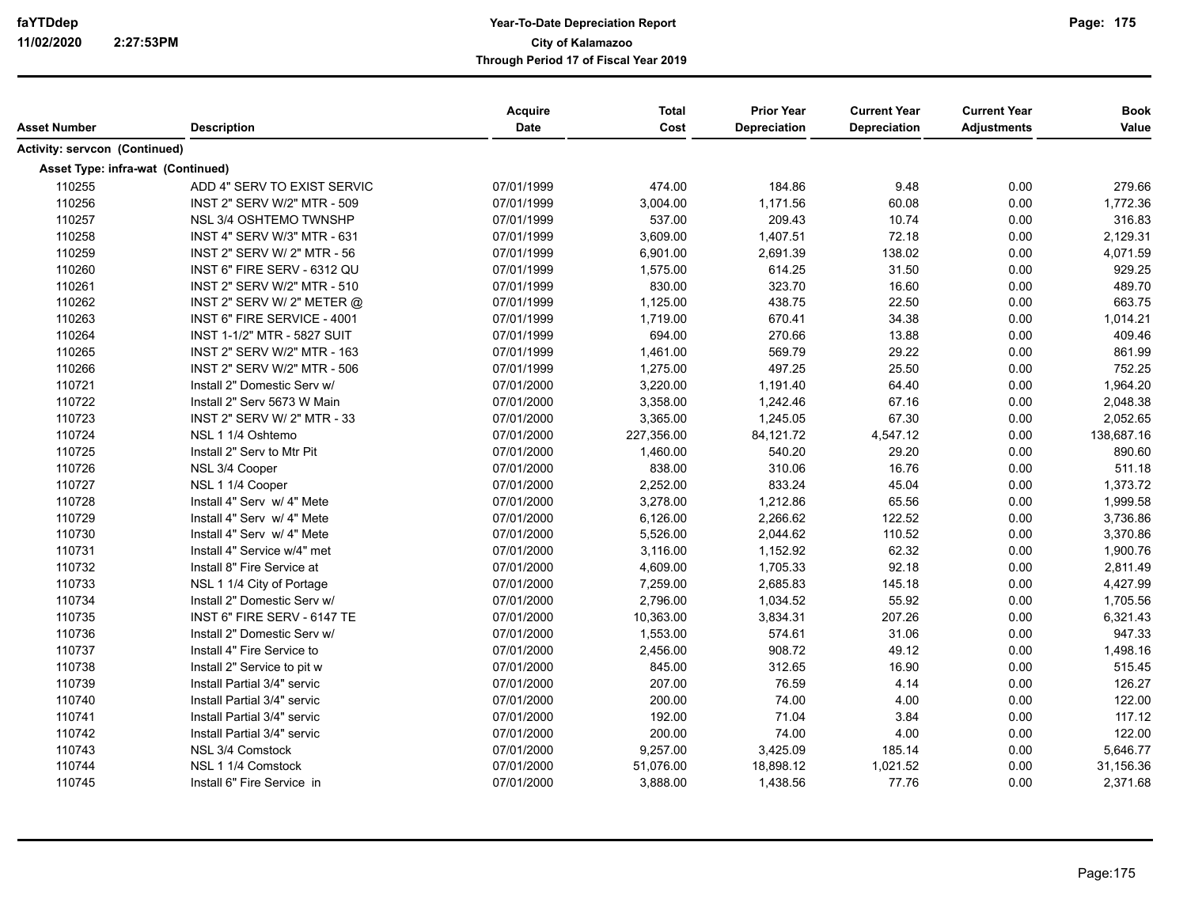| Asset Number                         | <b>Description</b>                 | <b>Acquire</b><br><b>Date</b> | <b>Total</b><br>Cost | <b>Prior Year</b><br><b>Depreciation</b> | <b>Current Year</b><br><b>Depreciation</b> | <b>Current Year</b><br><b>Adjustments</b> | <b>Book</b><br>Value |
|--------------------------------------|------------------------------------|-------------------------------|----------------------|------------------------------------------|--------------------------------------------|-------------------------------------------|----------------------|
| <b>Activity: servcon (Continued)</b> |                                    |                               |                      |                                          |                                            |                                           |                      |
|                                      | Asset Type: infra-wat (Continued)  |                               |                      |                                          |                                            |                                           |                      |
| 110255                               | ADD 4" SERV TO EXIST SERVIC        | 07/01/1999                    | 474.00               | 184.86                                   | 9.48                                       | 0.00                                      | 279.66               |
| 110256                               | INST 2" SERV W/2" MTR - 509        | 07/01/1999                    | 3,004.00             | 1,171.56                                 | 60.08                                      | 0.00                                      | 1,772.36             |
| 110257                               | NSL 3/4 OSHTEMO TWNSHP             | 07/01/1999                    | 537.00               | 209.43                                   | 10.74                                      | 0.00                                      | 316.83               |
| 110258                               | INST 4" SERV W/3" MTR - 631        | 07/01/1999                    | 3,609.00             | 1,407.51                                 | 72.18                                      | 0.00                                      | 2,129.31             |
| 110259                               | INST 2" SERV W/ 2" MTR - 56        | 07/01/1999                    | 6,901.00             | 2,691.39                                 | 138.02                                     | 0.00                                      | 4,071.59             |
| 110260                               | INST 6" FIRE SERV - 6312 QU        | 07/01/1999                    | 1,575.00             | 614.25                                   | 31.50                                      | 0.00                                      | 929.25               |
| 110261                               | INST 2" SERV W/2" MTR - 510        | 07/01/1999                    | 830.00               | 323.70                                   | 16.60                                      | 0.00                                      | 489.70               |
| 110262                               | INST 2" SERV W/ 2" METER $@$       | 07/01/1999                    | 1,125.00             | 438.75                                   | 22.50                                      | 0.00                                      | 663.75               |
| 110263                               | INST 6" FIRE SERVICE - 4001        | 07/01/1999                    | 1,719.00             | 670.41                                   | 34.38                                      | 0.00                                      | 1,014.21             |
| 110264                               | <b>INST 1-1/2" MTR - 5827 SUIT</b> | 07/01/1999                    | 694.00               | 270.66                                   | 13.88                                      | 0.00                                      | 409.46               |
| 110265                               | INST 2" SERV W/2" MTR - 163        | 07/01/1999                    | 1,461.00             | 569.79                                   | 29.22                                      | 0.00                                      | 861.99               |
| 110266                               | INST 2" SERV W/2" MTR - 506        | 07/01/1999                    | 1,275.00             | 497.25                                   | 25.50                                      | 0.00                                      | 752.25               |
| 110721                               | Install 2" Domestic Serv w/        | 07/01/2000                    | 3,220.00             | 1,191.40                                 | 64.40                                      | 0.00                                      | 1,964.20             |
| 110722                               | Install 2" Serv 5673 W Main        | 07/01/2000                    | 3,358.00             | 1,242.46                                 | 67.16                                      | 0.00                                      | 2,048.38             |
| 110723                               | INST 2" SERV W/ 2" MTR - 33        | 07/01/2000                    | 3,365.00             | 1,245.05                                 | 67.30                                      | 0.00                                      | 2,052.65             |
| 110724                               | NSL 1 1/4 Oshtemo                  | 07/01/2000                    | 227,356.00           | 84,121.72                                | 4,547.12                                   | 0.00                                      | 138,687.16           |
| 110725                               | Install 2" Serv to Mtr Pit         | 07/01/2000                    | 1,460.00             | 540.20                                   | 29.20                                      | 0.00                                      | 890.60               |
| 110726                               | NSL 3/4 Cooper                     | 07/01/2000                    | 838.00               | 310.06                                   | 16.76                                      | 0.00                                      | 511.18               |
| 110727                               | NSL 1 1/4 Cooper                   | 07/01/2000                    | 2,252.00             | 833.24                                   | 45.04                                      | 0.00                                      | 1,373.72             |
| 110728                               | Install 4" Serv w/ 4" Mete         | 07/01/2000                    | 3,278.00             | 1,212.86                                 | 65.56                                      | 0.00                                      | 1,999.58             |
| 110729                               | Install 4" Serv w/ 4" Mete         | 07/01/2000                    | 6,126.00             | 2,266.62                                 | 122.52                                     | 0.00                                      | 3,736.86             |
| 110730                               | Install 4" Serv w/ 4" Mete         | 07/01/2000                    | 5,526.00             | 2,044.62                                 | 110.52                                     | 0.00                                      | 3,370.86             |
| 110731                               | Install 4" Service w/4" met        | 07/01/2000                    | 3,116.00             | 1,152.92                                 | 62.32                                      | 0.00                                      | 1,900.76             |
| 110732                               | Install 8" Fire Service at         | 07/01/2000                    | 4,609.00             | 1,705.33                                 | 92.18                                      | 0.00                                      | 2,811.49             |
| 110733                               | NSL 1 1/4 City of Portage          | 07/01/2000                    | 7,259.00             | 2,685.83                                 | 145.18                                     | 0.00                                      | 4,427.99             |
| 110734                               | Install 2" Domestic Serv w/        | 07/01/2000                    | 2,796.00             | 1,034.52                                 | 55.92                                      | 0.00                                      | 1,705.56             |
| 110735                               | INST 6" FIRE SERV - 6147 TE        | 07/01/2000                    | 10,363.00            | 3,834.31                                 | 207.26                                     | 0.00                                      | 6,321.43             |
| 110736                               | Install 2" Domestic Serv w/        | 07/01/2000                    | 1,553.00             | 574.61                                   | 31.06                                      | 0.00                                      | 947.33               |
| 110737                               | Install 4" Fire Service to         | 07/01/2000                    | 2,456.00             | 908.72                                   | 49.12                                      | 0.00                                      | 1,498.16             |
| 110738                               | Install 2" Service to pit w        | 07/01/2000                    | 845.00               | 312.65                                   | 16.90                                      | 0.00                                      | 515.45               |
| 110739                               | Install Partial 3/4" servic        | 07/01/2000                    | 207.00               | 76.59                                    | 4.14                                       | 0.00                                      | 126.27               |
| 110740                               | Install Partial 3/4" servic        | 07/01/2000                    | 200.00               | 74.00                                    | 4.00                                       | 0.00                                      | 122.00               |
| 110741                               | Install Partial 3/4" servic        | 07/01/2000                    | 192.00               | 71.04                                    | 3.84                                       | 0.00                                      | 117.12               |
| 110742                               | Install Partial 3/4" servic        | 07/01/2000                    | 200.00               | 74.00                                    | 4.00                                       | 0.00                                      | 122.00               |
| 110743                               | NSL 3/4 Comstock                   | 07/01/2000                    | 9,257.00             | 3,425.09                                 | 185.14                                     | 0.00                                      | 5,646.77             |
| 110744                               | NSL 1 1/4 Comstock                 | 07/01/2000                    | 51,076.00            | 18,898.12                                | 1,021.52                                   | 0.00                                      | 31,156.36            |
| 110745                               | Install 6" Fire Service in         | 07/01/2000                    | 3,888.00             | 1,438.56                                 | 77.76                                      | 0.00                                      | 2,371.68             |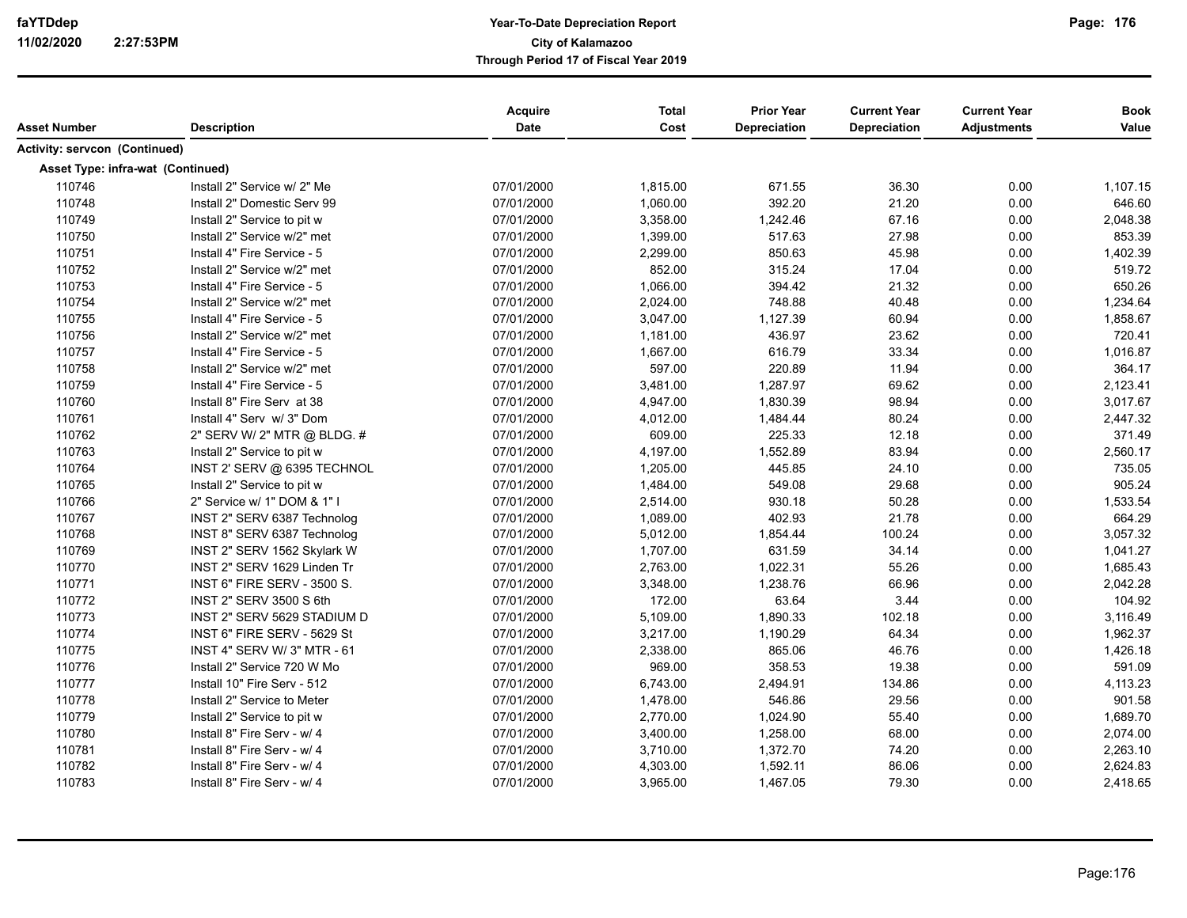| Asset Number                         | <b>Description</b>                 | <b>Acquire</b><br><b>Date</b> | <b>Total</b><br>Cost | <b>Prior Year</b><br><b>Depreciation</b> | <b>Current Year</b><br><b>Depreciation</b> | <b>Current Year</b><br><b>Adjustments</b> | <b>Book</b><br>Value |
|--------------------------------------|------------------------------------|-------------------------------|----------------------|------------------------------------------|--------------------------------------------|-------------------------------------------|----------------------|
| <b>Activity: servcon (Continued)</b> |                                    |                               |                      |                                          |                                            |                                           |                      |
| Asset Type: infra-wat (Continued)    |                                    |                               |                      |                                          |                                            |                                           |                      |
| 110746                               | Install 2" Service w/ 2" Me        | 07/01/2000                    | 1,815.00             | 671.55                                   | 36.30                                      | 0.00                                      | 1,107.15             |
| 110748                               | Install 2" Domestic Serv 99        | 07/01/2000                    | 1,060.00             | 392.20                                   | 21.20                                      | 0.00                                      | 646.60               |
| 110749                               | Install 2" Service to pit w        | 07/01/2000                    | 3,358.00             | 1,242.46                                 | 67.16                                      | 0.00                                      | 2,048.38             |
| 110750                               | Install 2" Service w/2" met        | 07/01/2000                    | 1,399.00             | 517.63                                   | 27.98                                      | 0.00                                      | 853.39               |
| 110751                               | Install 4" Fire Service - 5        | 07/01/2000                    | 2,299.00             | 850.63                                   | 45.98                                      | 0.00                                      | 1,402.39             |
| 110752                               | Install 2" Service w/2" met        | 07/01/2000                    | 852.00               | 315.24                                   | 17.04                                      | 0.00                                      | 519.72               |
| 110753                               | Install 4" Fire Service - 5        | 07/01/2000                    | 1,066.00             | 394.42                                   | 21.32                                      | 0.00                                      | 650.26               |
| 110754                               | Install 2" Service w/2" met        | 07/01/2000                    | 2,024.00             | 748.88                                   | 40.48                                      | 0.00                                      | 1,234.64             |
| 110755                               | Install 4" Fire Service - 5        | 07/01/2000                    | 3,047.00             | 1,127.39                                 | 60.94                                      | 0.00                                      | 1,858.67             |
| 110756                               | Install 2" Service w/2" met        | 07/01/2000                    | 1,181.00             | 436.97                                   | 23.62                                      | 0.00                                      | 720.41               |
| 110757                               | Install 4" Fire Service - 5        | 07/01/2000                    | 1,667.00             | 616.79                                   | 33.34                                      | 0.00                                      | 1,016.87             |
| 110758                               | Install 2" Service w/2" met        | 07/01/2000                    | 597.00               | 220.89                                   | 11.94                                      | 0.00                                      | 364.17               |
| 110759                               | Install 4" Fire Service - 5        | 07/01/2000                    | 3,481.00             | 1,287.97                                 | 69.62                                      | 0.00                                      | 2,123.41             |
| 110760                               | Install 8" Fire Serv at 38         | 07/01/2000                    | 4,947.00             | 1,830.39                                 | 98.94                                      | 0.00                                      | 3,017.67             |
| 110761                               | Install 4" Serv w/ 3" Dom          | 07/01/2000                    | 4,012.00             | 1,484.44                                 | 80.24                                      | 0.00                                      | 2,447.32             |
| 110762                               | 2" SERV W/ 2" MTR @ BLDG. #        | 07/01/2000                    | 609.00               | 225.33                                   | 12.18                                      | 0.00                                      | 371.49               |
| 110763                               | Install 2" Service to pit w        | 07/01/2000                    | 4,197.00             | 1,552.89                                 | 83.94                                      | 0.00                                      | 2,560.17             |
| 110764                               | INST 2' SERV @ 6395 TECHNOL        | 07/01/2000                    | 1,205.00             | 445.85                                   | 24.10                                      | 0.00                                      | 735.05               |
| 110765                               | Install 2" Service to pit w        | 07/01/2000                    | 1,484.00             | 549.08                                   | 29.68                                      | 0.00                                      | 905.24               |
| 110766                               | 2" Service w/ 1" DOM & 1" I        | 07/01/2000                    | 2,514.00             | 930.18                                   | 50.28                                      | 0.00                                      | 1,533.54             |
| 110767                               | INST 2" SERV 6387 Technolog        | 07/01/2000                    | 1,089.00             | 402.93                                   | 21.78                                      | 0.00                                      | 664.29               |
| 110768                               | INST 8" SERV 6387 Technolog        | 07/01/2000                    | 5,012.00             | 1,854.44                                 | 100.24                                     | 0.00                                      | 3,057.32             |
| 110769                               | INST 2" SERV 1562 Skylark W        | 07/01/2000                    | 1,707.00             | 631.59                                   | 34.14                                      | 0.00                                      | 1,041.27             |
| 110770                               | INST 2" SERV 1629 Linden Tr        | 07/01/2000                    | 2,763.00             | 1,022.31                                 | 55.26                                      | 0.00                                      | 1,685.43             |
| 110771                               | <b>INST 6" FIRE SERV - 3500 S.</b> | 07/01/2000                    | 3,348.00             | 1,238.76                                 | 66.96                                      | 0.00                                      | 2,042.28             |
| 110772                               | INST 2" SERV 3500 S 6th            | 07/01/2000                    | 172.00               | 63.64                                    | 3.44                                       | 0.00                                      | 104.92               |
| 110773                               | INST 2" SERV 5629 STADIUM D        | 07/01/2000                    | 5,109.00             | 1,890.33                                 | 102.18                                     | 0.00                                      | 3,116.49             |
| 110774                               | INST 6" FIRE SERV - 5629 St        | 07/01/2000                    | 3,217.00             | 1,190.29                                 | 64.34                                      | 0.00                                      | 1,962.37             |
| 110775                               | <b>INST 4" SERV W/ 3" MTR - 61</b> | 07/01/2000                    | 2,338.00             | 865.06                                   | 46.76                                      | 0.00                                      | 1,426.18             |
| 110776                               | Install 2" Service 720 W Mo        | 07/01/2000                    | 969.00               | 358.53                                   | 19.38                                      | 0.00                                      | 591.09               |
| 110777                               | Install 10" Fire Serv - 512        | 07/01/2000                    | 6,743.00             | 2,494.91                                 | 134.86                                     | 0.00                                      | 4,113.23             |
| 110778                               | Install 2" Service to Meter        | 07/01/2000                    | 1,478.00             | 546.86                                   | 29.56                                      | 0.00                                      | 901.58               |
| 110779                               | Install 2" Service to pit w        | 07/01/2000                    | 2,770.00             | 1,024.90                                 | 55.40                                      | 0.00                                      | 1,689.70             |
| 110780                               | Install 8" Fire Serv - w/ 4        | 07/01/2000                    | 3,400.00             | 1,258.00                                 | 68.00                                      | 0.00                                      | 2,074.00             |
| 110781                               | Install 8" Fire Serv - w/ 4        | 07/01/2000                    | 3,710.00             | 1,372.70                                 | 74.20                                      | 0.00                                      | 2,263.10             |
| 110782                               | Install 8" Fire Serv - w/ 4        | 07/01/2000                    | 4,303.00             | 1,592.11                                 | 86.06                                      | 0.00                                      | 2,624.83             |
| 110783                               | Install 8" Fire Serv - w/ 4        | 07/01/2000                    | 3,965.00             | 1,467.05                                 | 79.30                                      | 0.00                                      | 2,418.65             |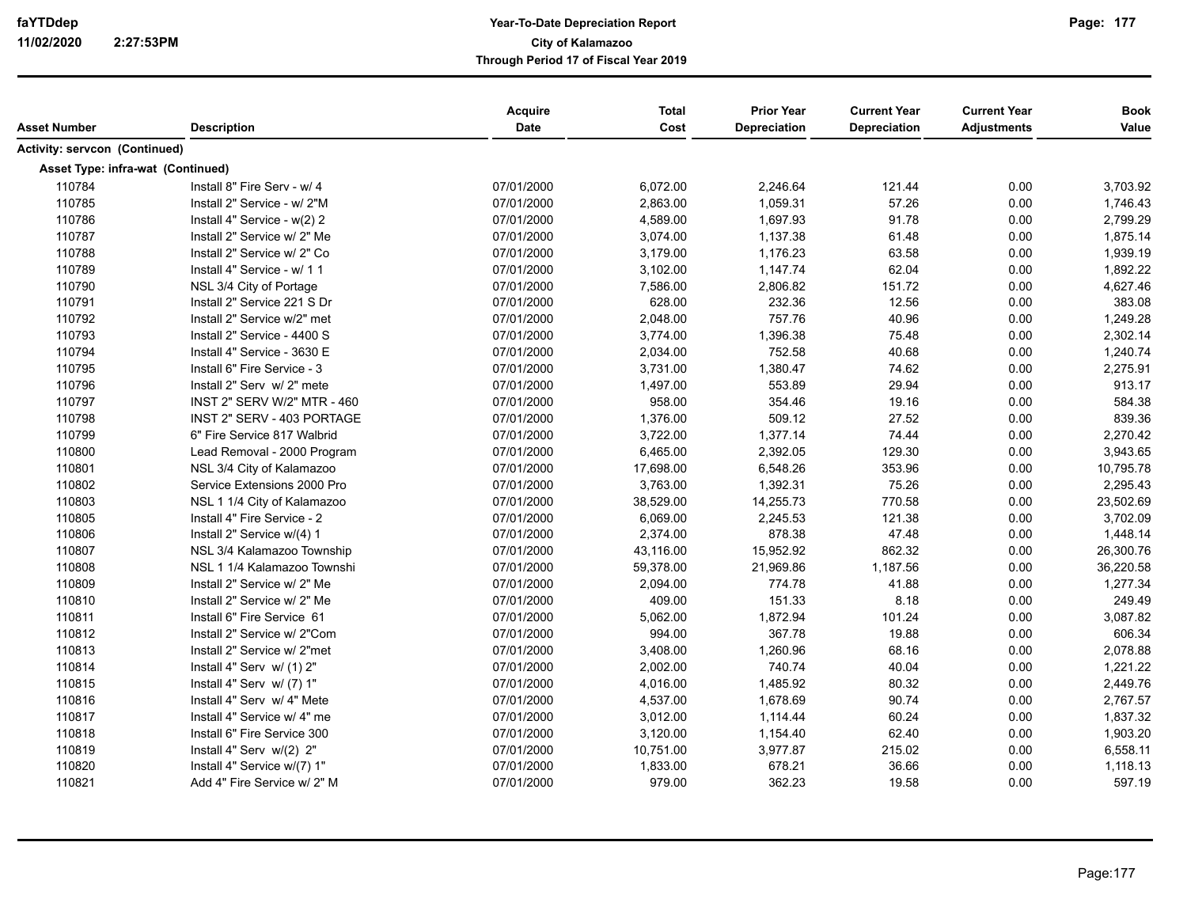| Asset Number                      | <b>Description</b>          | Acquire<br>Date | <b>Total</b><br>Cost | <b>Prior Year</b><br>Depreciation | <b>Current Year</b><br>Depreciation | <b>Current Year</b><br><b>Adjustments</b> | <b>Book</b><br>Value |
|-----------------------------------|-----------------------------|-----------------|----------------------|-----------------------------------|-------------------------------------|-------------------------------------------|----------------------|
|                                   |                             |                 |                      |                                   |                                     |                                           |                      |
| Activity: servcon (Continued)     |                             |                 |                      |                                   |                                     |                                           |                      |
| Asset Type: infra-wat (Continued) |                             |                 |                      |                                   |                                     |                                           |                      |
| 110784                            | Install 8" Fire Serv - w/ 4 | 07/01/2000      | 6,072.00             | 2,246.64                          | 121.44                              | 0.00                                      | 3,703.92             |
| 110785                            | Install 2" Service - w/ 2"M | 07/01/2000      | 2,863.00             | 1,059.31                          | 57.26                               | 0.00                                      | 1,746.43             |
| 110786                            | Install 4" Service - w(2) 2 | 07/01/2000      | 4,589.00             | 1,697.93                          | 91.78                               | 0.00                                      | 2,799.29             |
| 110787                            | Install 2" Service w/ 2" Me | 07/01/2000      | 3,074.00             | 1,137.38                          | 61.48                               | 0.00                                      | 1,875.14             |
| 110788                            | Install 2" Service w/ 2" Co | 07/01/2000      | 3,179.00             | 1,176.23                          | 63.58                               | 0.00                                      | 1,939.19             |
| 110789                            | Install 4" Service - w/ 1 1 | 07/01/2000      | 3,102.00             | 1,147.74                          | 62.04                               | 0.00                                      | 1,892.22             |
| 110790                            | NSL 3/4 City of Portage     | 07/01/2000      | 7,586.00             | 2,806.82                          | 151.72                              | 0.00                                      | 4,627.46             |
| 110791                            | Install 2" Service 221 S Dr | 07/01/2000      | 628.00               | 232.36                            | 12.56                               | 0.00                                      | 383.08               |
| 110792                            | Install 2" Service w/2" met | 07/01/2000      | 2,048.00             | 757.76                            | 40.96                               | 0.00                                      | 1,249.28             |
| 110793                            | Install 2" Service - 4400 S | 07/01/2000      | 3,774.00             | 1,396.38                          | 75.48                               | 0.00                                      | 2,302.14             |
| 110794                            | Install 4" Service - 3630 E | 07/01/2000      | 2,034.00             | 752.58                            | 40.68                               | 0.00                                      | 1,240.74             |
| 110795                            | Install 6" Fire Service - 3 | 07/01/2000      | 3,731.00             | 1,380.47                          | 74.62                               | 0.00                                      | 2,275.91             |
| 110796                            | Install 2" Serv w/ 2" mete  | 07/01/2000      | 1,497.00             | 553.89                            | 29.94                               | 0.00                                      | 913.17               |
| 110797                            | INST 2" SERV W/2" MTR - 460 | 07/01/2000      | 958.00               | 354.46                            | 19.16                               | 0.00                                      | 584.38               |
| 110798                            | INST 2" SERV - 403 PORTAGE  | 07/01/2000      | 1,376.00             | 509.12                            | 27.52                               | 0.00                                      | 839.36               |
| 110799                            | 6" Fire Service 817 Walbrid | 07/01/2000      | 3,722.00             | 1,377.14                          | 74.44                               | 0.00                                      | 2,270.42             |
| 110800                            | Lead Removal - 2000 Program | 07/01/2000      | 6,465.00             | 2,392.05                          | 129.30                              | 0.00                                      | 3,943.65             |
| 110801                            | NSL 3/4 City of Kalamazoo   | 07/01/2000      | 17,698.00            | 6,548.26                          | 353.96                              | 0.00                                      | 10,795.78            |
| 110802                            | Service Extensions 2000 Pro | 07/01/2000      | 3,763.00             | 1,392.31                          | 75.26                               | 0.00                                      | 2,295.43             |
| 110803                            | NSL 1 1/4 City of Kalamazoo | 07/01/2000      | 38,529.00            | 14,255.73                         | 770.58                              | 0.00                                      | 23,502.69            |
| 110805                            | Install 4" Fire Service - 2 | 07/01/2000      | 6,069.00             | 2,245.53                          | 121.38                              | 0.00                                      | 3,702.09             |
| 110806                            | Install 2" Service w/(4) 1  | 07/01/2000      | 2,374.00             | 878.38                            | 47.48                               | 0.00                                      | 1,448.14             |
| 110807                            | NSL 3/4 Kalamazoo Township  | 07/01/2000      | 43,116.00            | 15,952.92                         | 862.32                              | 0.00                                      | 26,300.76            |
| 110808                            | NSL 1 1/4 Kalamazoo Townshi | 07/01/2000      | 59,378.00            | 21,969.86                         | 1,187.56                            | 0.00                                      | 36,220.58            |
| 110809                            | Install 2" Service w/ 2" Me | 07/01/2000      | 2,094.00             | 774.78                            | 41.88                               | 0.00                                      | 1,277.34             |
| 110810                            | Install 2" Service w/ 2" Me | 07/01/2000      | 409.00               | 151.33                            | 8.18                                | 0.00                                      | 249.49               |
| 110811                            | Install 6" Fire Service 61  | 07/01/2000      | 5,062.00             | 1,872.94                          | 101.24                              | 0.00                                      | 3,087.82             |
| 110812                            | Install 2" Service w/ 2"Com | 07/01/2000      | 994.00               | 367.78                            | 19.88                               | 0.00                                      | 606.34               |
| 110813                            | Install 2" Service w/ 2"met | 07/01/2000      | 3,408.00             | 1,260.96                          | 68.16                               | 0.00                                      | 2,078.88             |
| 110814                            | Install 4" Serv w/ (1) 2"   | 07/01/2000      | 2,002.00             | 740.74                            | 40.04                               | 0.00                                      | 1,221.22             |
| 110815                            | Install 4" Serv w/ (7) 1"   | 07/01/2000      | 4,016.00             | 1,485.92                          | 80.32                               | 0.00                                      | 2,449.76             |
| 110816                            | Install 4" Serv w/ 4" Mete  | 07/01/2000      | 4,537.00             | 1,678.69                          | 90.74                               | 0.00                                      | 2,767.57             |
| 110817                            | Install 4" Service w/ 4" me | 07/01/2000      | 3,012.00             | 1,114.44                          | 60.24                               | 0.00                                      | 1,837.32             |
| 110818                            | Install 6" Fire Service 300 | 07/01/2000      | 3,120.00             | 1,154.40                          | 62.40                               | 0.00                                      | 1,903.20             |
| 110819                            | Install 4" Serv w/(2) 2"    | 07/01/2000      | 10,751.00            | 3,977.87                          | 215.02                              | 0.00                                      | 6,558.11             |
| 110820                            | Install 4" Service w/(7) 1" | 07/01/2000      | 1,833.00             | 678.21                            | 36.66                               | 0.00                                      | 1,118.13             |
| 110821                            | Add 4" Fire Service w/ 2" M | 07/01/2000      | 979.00               | 362.23                            | 19.58                               | 0.00                                      | 597.19               |
|                                   |                             |                 |                      |                                   |                                     |                                           |                      |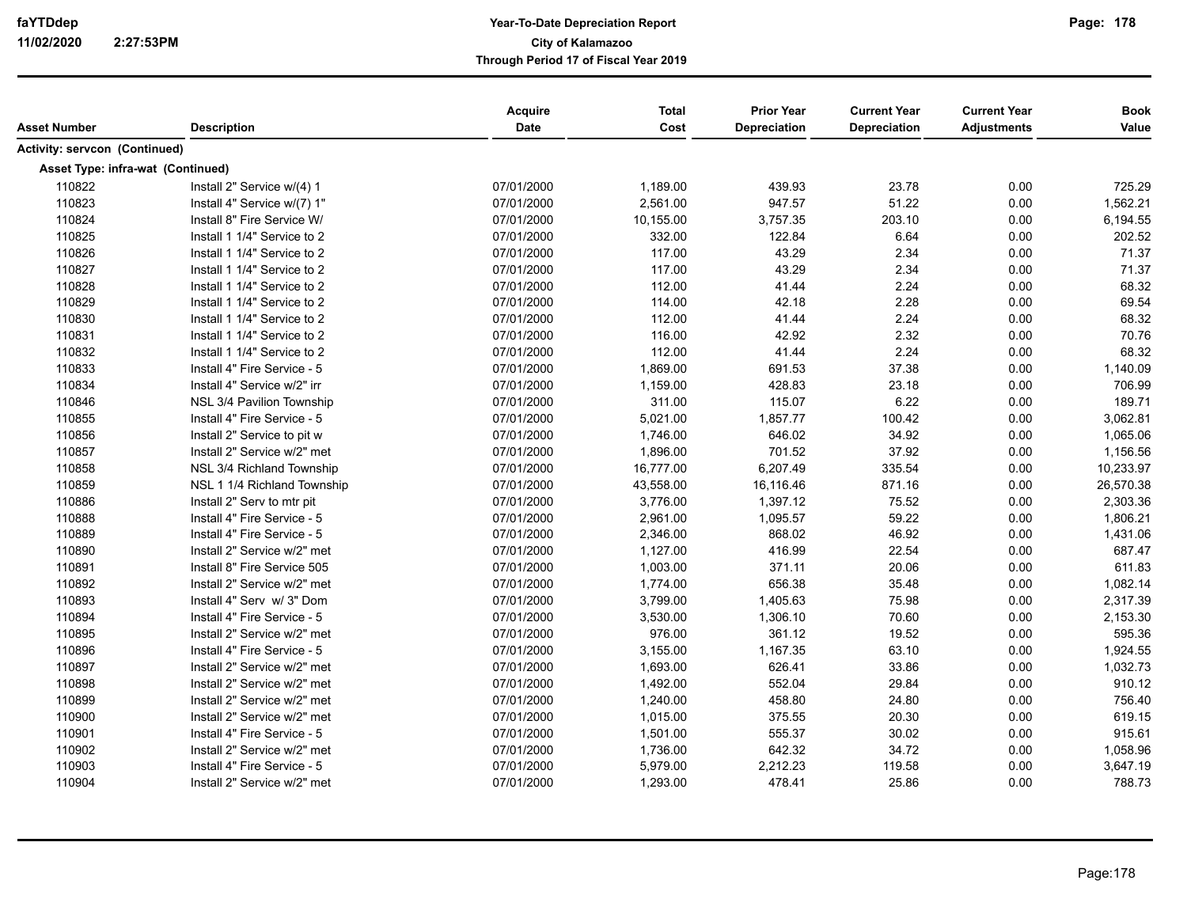| Asset Number                         | <b>Description</b>          | <b>Acquire</b><br><b>Date</b> | <b>Total</b><br>Cost | <b>Prior Year</b><br><b>Depreciation</b> | <b>Current Year</b><br><b>Depreciation</b> | <b>Current Year</b><br><b>Adjustments</b> | <b>Book</b><br>Value |
|--------------------------------------|-----------------------------|-------------------------------|----------------------|------------------------------------------|--------------------------------------------|-------------------------------------------|----------------------|
| <b>Activity: servcon (Continued)</b> |                             |                               |                      |                                          |                                            |                                           |                      |
| Asset Type: infra-wat (Continued)    |                             |                               |                      |                                          |                                            |                                           |                      |
| 110822                               | Install 2" Service w/(4) 1  | 07/01/2000                    | 1,189.00             | 439.93                                   | 23.78                                      | 0.00                                      | 725.29               |
| 110823                               | Install 4" Service w/(7) 1" | 07/01/2000                    | 2,561.00             | 947.57                                   | 51.22                                      | 0.00                                      | 1,562.21             |
| 110824                               | Install 8" Fire Service W/  | 07/01/2000                    | 10,155.00            | 3,757.35                                 | 203.10                                     | 0.00                                      | 6,194.55             |
| 110825                               | Install 1 1/4" Service to 2 | 07/01/2000                    | 332.00               | 122.84                                   | 6.64                                       | 0.00                                      | 202.52               |
| 110826                               | Install 1 1/4" Service to 2 | 07/01/2000                    | 117.00               | 43.29                                    | 2.34                                       | 0.00                                      | 71.37                |
| 110827                               | Install 1 1/4" Service to 2 | 07/01/2000                    | 117.00               | 43.29                                    | 2.34                                       | 0.00                                      | 71.37                |
| 110828                               | Install 1 1/4" Service to 2 | 07/01/2000                    | 112.00               | 41.44                                    | 2.24                                       | 0.00                                      | 68.32                |
| 110829                               | Install 1 1/4" Service to 2 | 07/01/2000                    | 114.00               | 42.18                                    | 2.28                                       | 0.00                                      | 69.54                |
| 110830                               | Install 1 1/4" Service to 2 | 07/01/2000                    | 112.00               | 41.44                                    | 2.24                                       | 0.00                                      | 68.32                |
| 110831                               | Install 1 1/4" Service to 2 | 07/01/2000                    | 116.00               | 42.92                                    | 2.32                                       | 0.00                                      | 70.76                |
| 110832                               | Install 1 1/4" Service to 2 | 07/01/2000                    | 112.00               | 41.44                                    | 2.24                                       | 0.00                                      | 68.32                |
| 110833                               | Install 4" Fire Service - 5 | 07/01/2000                    | 1,869.00             | 691.53                                   | 37.38                                      | 0.00                                      | 1,140.09             |
| 110834                               | Install 4" Service w/2" irr | 07/01/2000                    | 1,159.00             | 428.83                                   | 23.18                                      | 0.00                                      | 706.99               |
| 110846                               | NSL 3/4 Pavilion Township   | 07/01/2000                    | 311.00               | 115.07                                   | 6.22                                       | 0.00                                      | 189.71               |
| 110855                               | Install 4" Fire Service - 5 | 07/01/2000                    | 5,021.00             | 1,857.77                                 | 100.42                                     | 0.00                                      | 3,062.81             |
| 110856                               | Install 2" Service to pit w | 07/01/2000                    | 1,746.00             | 646.02                                   | 34.92                                      | 0.00                                      | 1,065.06             |
| 110857                               | Install 2" Service w/2" met | 07/01/2000                    | 1,896.00             | 701.52                                   | 37.92                                      | 0.00                                      | 1,156.56             |
| 110858                               | NSL 3/4 Richland Township   | 07/01/2000                    | 16,777.00            | 6,207.49                                 | 335.54                                     | 0.00                                      | 10,233.97            |
| 110859                               | NSL 1 1/4 Richland Township | 07/01/2000                    | 43,558.00            | 16,116.46                                | 871.16                                     | 0.00                                      | 26,570.38            |
| 110886                               | Install 2" Serv to mtr pit  | 07/01/2000                    | 3,776.00             | 1,397.12                                 | 75.52                                      | 0.00                                      | 2,303.36             |
| 110888                               | Install 4" Fire Service - 5 | 07/01/2000                    | 2,961.00             | 1,095.57                                 | 59.22                                      | 0.00                                      | 1,806.21             |
| 110889                               | Install 4" Fire Service - 5 | 07/01/2000                    | 2,346.00             | 868.02                                   | 46.92                                      | 0.00                                      | 1,431.06             |
| 110890                               | Install 2" Service w/2" met | 07/01/2000                    | 1,127.00             | 416.99                                   | 22.54                                      | 0.00                                      | 687.47               |
| 110891                               | Install 8" Fire Service 505 | 07/01/2000                    | 1,003.00             | 371.11                                   | 20.06                                      | 0.00                                      | 611.83               |
| 110892                               | Install 2" Service w/2" met | 07/01/2000                    | 1,774.00             | 656.38                                   | 35.48                                      | 0.00                                      | 1,082.14             |
| 110893                               | Install 4" Serv w/ 3" Dom   | 07/01/2000                    | 3,799.00             | 1,405.63                                 | 75.98                                      | 0.00                                      | 2,317.39             |
| 110894                               | Install 4" Fire Service - 5 | 07/01/2000                    | 3,530.00             | 1,306.10                                 | 70.60                                      | 0.00                                      | 2,153.30             |
| 110895                               | Install 2" Service w/2" met | 07/01/2000                    | 976.00               | 361.12                                   | 19.52                                      | 0.00                                      | 595.36               |
| 110896                               | Install 4" Fire Service - 5 | 07/01/2000                    | 3,155.00             | 1,167.35                                 | 63.10                                      | 0.00                                      | 1,924.55             |
| 110897                               | Install 2" Service w/2" met | 07/01/2000                    | 1,693.00             | 626.41                                   | 33.86                                      | 0.00                                      | 1,032.73             |
| 110898                               | Install 2" Service w/2" met | 07/01/2000                    | 1,492.00             | 552.04                                   | 29.84                                      | 0.00                                      | 910.12               |
| 110899                               | Install 2" Service w/2" met | 07/01/2000                    | 1,240.00             | 458.80                                   | 24.80                                      | 0.00                                      | 756.40               |
| 110900                               | Install 2" Service w/2" met | 07/01/2000                    | 1,015.00             | 375.55                                   | 20.30                                      | 0.00                                      | 619.15               |
| 110901                               | Install 4" Fire Service - 5 | 07/01/2000                    | 1,501.00             | 555.37                                   | 30.02                                      | 0.00                                      | 915.61               |
| 110902                               | Install 2" Service w/2" met | 07/01/2000                    | 1,736.00             | 642.32                                   | 34.72                                      | 0.00                                      | 1,058.96             |
| 110903                               | Install 4" Fire Service - 5 | 07/01/2000                    | 5,979.00             | 2,212.23                                 | 119.58                                     | 0.00                                      | 3,647.19             |
| 110904                               | Install 2" Service w/2" met | 07/01/2000                    | 1,293.00             | 478.41                                   | 25.86                                      | 0.00                                      | 788.73               |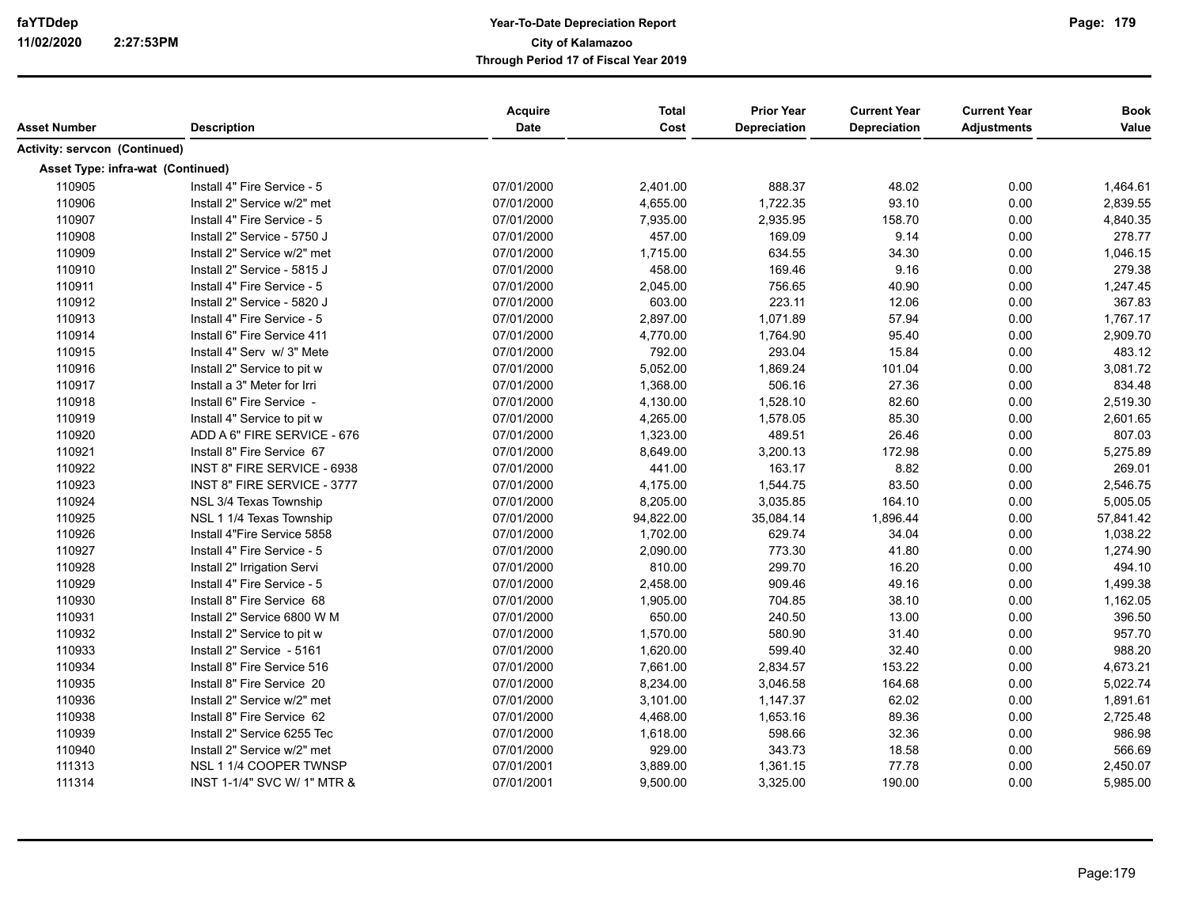| Asset Number                         | <b>Description</b>          | Acquire<br>Date | <b>Total</b><br>Cost | <b>Prior Year</b><br>Depreciation | <b>Current Year</b><br><b>Depreciation</b> | <b>Current Year</b><br><b>Adjustments</b> | <b>Book</b><br>Value |
|--------------------------------------|-----------------------------|-----------------|----------------------|-----------------------------------|--------------------------------------------|-------------------------------------------|----------------------|
| <b>Activity: servcon (Continued)</b> |                             |                 |                      |                                   |                                            |                                           |                      |
| Asset Type: infra-wat (Continued)    |                             |                 |                      |                                   |                                            |                                           |                      |
| 110905                               | Install 4" Fire Service - 5 | 07/01/2000      | 2,401.00             | 888.37                            | 48.02                                      | 0.00                                      | 1,464.61             |
| 110906                               | Install 2" Service w/2" met | 07/01/2000      | 4,655.00             | 1,722.35                          | 93.10                                      | 0.00                                      | 2,839.55             |
| 110907                               | Install 4" Fire Service - 5 | 07/01/2000      | 7,935.00             | 2,935.95                          | 158.70                                     | 0.00                                      | 4,840.35             |
| 110908                               | Install 2" Service - 5750 J | 07/01/2000      | 457.00               | 169.09                            | 9.14                                       | 0.00                                      | 278.77               |
| 110909                               | Install 2" Service w/2" met | 07/01/2000      | 1,715.00             | 634.55                            | 34.30                                      | 0.00                                      | 1,046.15             |
| 110910                               | Install 2" Service - 5815 J | 07/01/2000      | 458.00               | 169.46                            | 9.16                                       | 0.00                                      | 279.38               |
| 110911                               | Install 4" Fire Service - 5 | 07/01/2000      | 2,045.00             | 756.65                            | 40.90                                      | 0.00                                      | 1,247.45             |
| 110912                               | Install 2" Service - 5820 J | 07/01/2000      | 603.00               | 223.11                            | 12.06                                      | 0.00                                      | 367.83               |
| 110913                               | Install 4" Fire Service - 5 | 07/01/2000      | 2,897.00             | 1,071.89                          | 57.94                                      | 0.00                                      | 1,767.17             |
| 110914                               | Install 6" Fire Service 411 | 07/01/2000      | 4,770.00             | 1,764.90                          | 95.40                                      | 0.00                                      | 2,909.70             |
| 110915                               | Install 4" Serv w/ 3" Mete  | 07/01/2000      | 792.00               | 293.04                            | 15.84                                      | 0.00                                      | 483.12               |
| 110916                               | Install 2" Service to pit w | 07/01/2000      | 5,052.00             | 1,869.24                          | 101.04                                     | 0.00                                      | 3,081.72             |
| 110917                               | Install a 3" Meter for Irri | 07/01/2000      | 1,368.00             | 506.16                            | 27.36                                      | 0.00                                      | 834.48               |
| 110918                               | Install 6" Fire Service -   | 07/01/2000      | 4,130.00             | 1,528.10                          | 82.60                                      | 0.00                                      | 2,519.30             |
| 110919                               | Install 4" Service to pit w | 07/01/2000      | 4,265.00             | 1,578.05                          | 85.30                                      | 0.00                                      | 2,601.65             |
| 110920                               | ADD A 6" FIRE SERVICE - 676 | 07/01/2000      | 1,323.00             | 489.51                            | 26.46                                      | 0.00                                      | 807.03               |
| 110921                               | Install 8" Fire Service 67  | 07/01/2000      | 8,649.00             | 3,200.13                          | 172.98                                     | 0.00                                      | 5,275.89             |
| 110922                               | INST 8" FIRE SERVICE - 6938 | 07/01/2000      | 441.00               | 163.17                            | 8.82                                       | 0.00                                      | 269.01               |
| 110923                               | INST 8" FIRE SERVICE - 3777 | 07/01/2000      | 4,175.00             | 1,544.75                          | 83.50                                      | 0.00                                      | 2,546.75             |
| 110924                               | NSL 3/4 Texas Township      | 07/01/2000      | 8,205.00             | 3,035.85                          | 164.10                                     | 0.00                                      | 5,005.05             |
| 110925                               | NSL 1 1/4 Texas Township    | 07/01/2000      | 94,822.00            | 35,084.14                         | 1,896.44                                   | 0.00                                      | 57,841.42            |
| 110926                               | Install 4"Fire Service 5858 | 07/01/2000      | 1,702.00             | 629.74                            | 34.04                                      | 0.00                                      | 1,038.22             |
| 110927                               | Install 4" Fire Service - 5 | 07/01/2000      | 2,090.00             | 773.30                            | 41.80                                      | 0.00                                      | 1,274.90             |
| 110928                               | Install 2" Irrigation Servi | 07/01/2000      | 810.00               | 299.70                            | 16.20                                      | 0.00                                      | 494.10               |
| 110929                               | Install 4" Fire Service - 5 | 07/01/2000      | 2,458.00             | 909.46                            | 49.16                                      | 0.00                                      | 1,499.38             |
| 110930                               | Install 8" Fire Service 68  | 07/01/2000      | 1,905.00             | 704.85                            | 38.10                                      | 0.00                                      | 1,162.05             |
| 110931                               | Install 2" Service 6800 W M | 07/01/2000      | 650.00               | 240.50                            | 13.00                                      | 0.00                                      | 396.50               |
| 110932                               | Install 2" Service to pit w | 07/01/2000      | 1,570.00             | 580.90                            | 31.40                                      | 0.00                                      | 957.70               |
| 110933                               | Install 2" Service - 5161   | 07/01/2000      | 1,620.00             | 599.40                            | 32.40                                      | 0.00                                      | 988.20               |
| 110934                               | Install 8" Fire Service 516 | 07/01/2000      | 7,661.00             | 2,834.57                          | 153.22                                     | 0.00                                      | 4,673.21             |
| 110935                               | Install 8" Fire Service 20  | 07/01/2000      | 8,234.00             | 3,046.58                          | 164.68                                     | 0.00                                      | 5,022.74             |
| 110936                               | Install 2" Service w/2" met | 07/01/2000      | 3,101.00             | 1,147.37                          | 62.02                                      | 0.00                                      | 1,891.61             |
| 110938                               | Install 8" Fire Service 62  | 07/01/2000      | 4,468.00             | 1,653.16                          | 89.36                                      | 0.00                                      | 2,725.48             |
| 110939                               | Install 2" Service 6255 Tec | 07/01/2000      | 1,618.00             | 598.66                            | 32.36                                      | 0.00                                      | 986.98               |
| 110940                               | Install 2" Service w/2" met | 07/01/2000      | 929.00               | 343.73                            | 18.58                                      | 0.00                                      | 566.69               |
| 111313                               | NSL 1 1/4 COOPER TWNSP      | 07/01/2001      | 3,889.00             | 1,361.15                          | 77.78                                      | 0.00                                      | 2,450.07             |
| 111314                               | INST 1-1/4" SVC W/ 1" MTR & | 07/01/2001      | 9,500.00             | 3,325.00                          | 190.00                                     | 0.00                                      | 5,985.00             |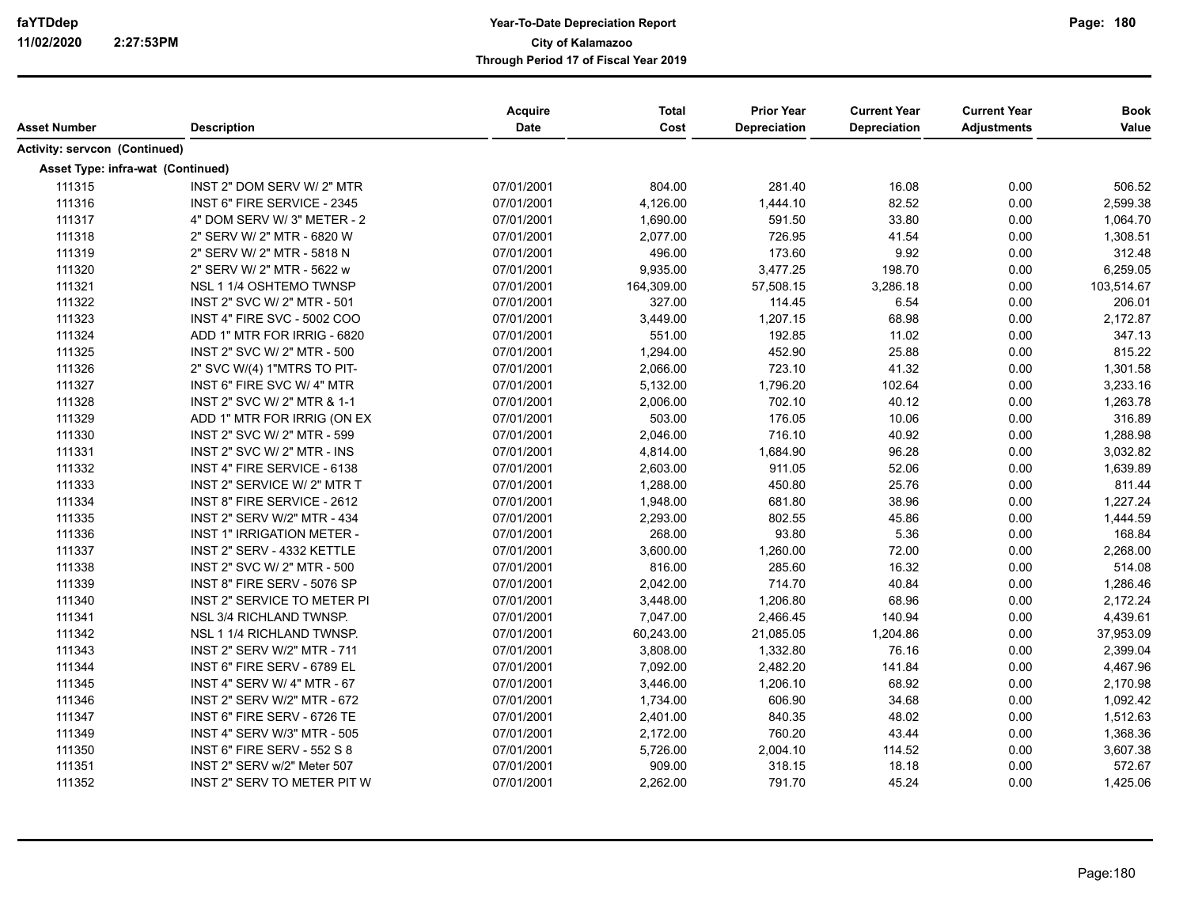| Asset Number                         | <b>Description</b>                 | Acquire<br>Date | <b>Total</b><br>Cost | <b>Prior Year</b><br>Depreciation | <b>Current Year</b><br><b>Depreciation</b> | <b>Current Year</b><br><b>Adjustments</b> | <b>Book</b><br>Value |
|--------------------------------------|------------------------------------|-----------------|----------------------|-----------------------------------|--------------------------------------------|-------------------------------------------|----------------------|
| <b>Activity: servcon (Continued)</b> |                                    |                 |                      |                                   |                                            |                                           |                      |
|                                      | Asset Type: infra-wat (Continued)  |                 |                      |                                   |                                            |                                           |                      |
| 111315                               | INST 2" DOM SERV W/ 2" MTR         | 07/01/2001      | 804.00               | 281.40                            | 16.08                                      | 0.00                                      | 506.52               |
| 111316                               | INST 6" FIRE SERVICE - 2345        | 07/01/2001      | 4,126.00             | 1,444.10                          | 82.52                                      | 0.00                                      | 2,599.38             |
| 111317                               | 4" DOM SERV W/ 3" METER - 2        | 07/01/2001      | 1,690.00             | 591.50                            | 33.80                                      | 0.00                                      | 1,064.70             |
| 111318                               | 2" SERV W/ 2" MTR - 6820 W         | 07/01/2001      | 2,077.00             | 726.95                            | 41.54                                      | 0.00                                      | 1,308.51             |
| 111319                               | 2" SERV W/ 2" MTR - 5818 N         | 07/01/2001      | 496.00               | 173.60                            | 9.92                                       | 0.00                                      | 312.48               |
| 111320                               | 2" SERV W/ 2" MTR - 5622 w         | 07/01/2001      | 9,935.00             | 3,477.25                          | 198.70                                     | 0.00                                      | 6,259.05             |
| 111321                               | NSL 1 1/4 OSHTEMO TWNSP            | 07/01/2001      | 164,309.00           | 57,508.15                         | 3,286.18                                   | 0.00                                      | 103,514.67           |
| 111322                               | INST 2" SVC W/ 2" MTR - 501        | 07/01/2001      | 327.00               | 114.45                            | 6.54                                       | 0.00                                      | 206.01               |
| 111323                               | <b>INST 4" FIRE SVC - 5002 COO</b> | 07/01/2001      | 3,449.00             | 1,207.15                          | 68.98                                      | 0.00                                      | 2,172.87             |
| 111324                               | ADD 1" MTR FOR IRRIG - 6820        | 07/01/2001      | 551.00               | 192.85                            | 11.02                                      | 0.00                                      | 347.13               |
| 111325                               | INST 2" SVC W/ 2" MTR - 500        | 07/01/2001      | 1,294.00             | 452.90                            | 25.88                                      | 0.00                                      | 815.22               |
| 111326                               | 2" SVC W/(4) 1"MTRS TO PIT-        | 07/01/2001      | 2,066.00             | 723.10                            | 41.32                                      | 0.00                                      | 1,301.58             |
| 111327                               | INST 6" FIRE SVC W/4" MTR          | 07/01/2001      | 5,132.00             | 1,796.20                          | 102.64                                     | 0.00                                      | 3,233.16             |
| 111328                               | INST 2" SVC W/ 2" MTR & 1-1        | 07/01/2001      | 2,006.00             | 702.10                            | 40.12                                      | 0.00                                      | 1,263.78             |
| 111329                               | ADD 1" MTR FOR IRRIG (ON EX        | 07/01/2001      | 503.00               | 176.05                            | 10.06                                      | 0.00                                      | 316.89               |
| 111330                               | INST 2" SVC W/ 2" MTR - 599        | 07/01/2001      | 2,046.00             | 716.10                            | 40.92                                      | 0.00                                      | 1,288.98             |
| 111331                               | INST 2" SVC W/ 2" MTR - INS        | 07/01/2001      | 4,814.00             | 1,684.90                          | 96.28                                      | 0.00                                      | 3,032.82             |
| 111332                               | INST 4" FIRE SERVICE - 6138        | 07/01/2001      | 2,603.00             | 911.05                            | 52.06                                      | 0.00                                      | 1,639.89             |
| 111333                               | INST 2" SERVICE W/ 2" MTR T        | 07/01/2001      | 1,288.00             | 450.80                            | 25.76                                      | 0.00                                      | 811.44               |
| 111334                               | INST 8" FIRE SERVICE - 2612        | 07/01/2001      | 1,948.00             | 681.80                            | 38.96                                      | 0.00                                      | 1,227.24             |
| 111335                               | INST 2" SERV W/2" MTR - 434        | 07/01/2001      | 2,293.00             | 802.55                            | 45.86                                      | 0.00                                      | 1,444.59             |
| 111336                               | INST 1" IRRIGATION METER -         | 07/01/2001      | 268.00               | 93.80                             | 5.36                                       | 0.00                                      | 168.84               |
| 111337                               | INST 2" SERV - 4332 KETTLE         | 07/01/2001      | 3,600.00             | 1,260.00                          | 72.00                                      | 0.00                                      | 2,268.00             |
| 111338                               | INST 2" SVC W/ 2" MTR - 500        | 07/01/2001      | 816.00               | 285.60                            | 16.32                                      | 0.00                                      | 514.08               |
| 111339                               | INST 8" FIRE SERV - 5076 SP        | 07/01/2001      | 2,042.00             | 714.70                            | 40.84                                      | 0.00                                      | 1,286.46             |
| 111340                               | INST 2" SERVICE TO METER PI        | 07/01/2001      | 3,448.00             | 1,206.80                          | 68.96                                      | 0.00                                      | 2,172.24             |
| 111341                               | NSL 3/4 RICHLAND TWNSP.            | 07/01/2001      | 7,047.00             | 2,466.45                          | 140.94                                     | 0.00                                      | 4,439.61             |
| 111342                               | NSL 1 1/4 RICHLAND TWNSP.          | 07/01/2001      | 60,243.00            | 21,085.05                         | 1,204.86                                   | 0.00                                      | 37,953.09            |
| 111343                               | INST 2" SERV W/2" MTR - 711        | 07/01/2001      | 3,808.00             | 1,332.80                          | 76.16                                      | 0.00                                      | 2,399.04             |
| 111344                               | INST 6" FIRE SERV - 6789 EL        | 07/01/2001      | 7,092.00             | 2,482.20                          | 141.84                                     | 0.00                                      | 4,467.96             |
| 111345                               | INST 4" SERV W/ 4" MTR - 67        | 07/01/2001      | 3,446.00             | 1,206.10                          | 68.92                                      | 0.00                                      | 2,170.98             |
| 111346                               | INST 2" SERV W/2" MTR - 672        | 07/01/2001      | 1,734.00             | 606.90                            | 34.68                                      | 0.00                                      | 1,092.42             |
| 111347                               | INST 6" FIRE SERV - 6726 TE        | 07/01/2001      | 2,401.00             | 840.35                            | 48.02                                      | 0.00                                      | 1,512.63             |
| 111349                               | INST 4" SERV W/3" MTR - 505        | 07/01/2001      | 2,172.00             | 760.20                            | 43.44                                      | 0.00                                      | 1,368.36             |
| 111350                               | <b>INST 6" FIRE SERV - 552 S 8</b> | 07/01/2001      | 5,726.00             | 2,004.10                          | 114.52                                     | 0.00                                      | 3,607.38             |
| 111351                               | INST 2" SERV w/2" Meter 507        | 07/01/2001      | 909.00               | 318.15                            | 18.18                                      | 0.00                                      | 572.67               |
| 111352                               | INST 2" SERV TO METER PIT W        | 07/01/2001      | 2,262.00             | 791.70                            | 45.24                                      | 0.00                                      | 1,425.06             |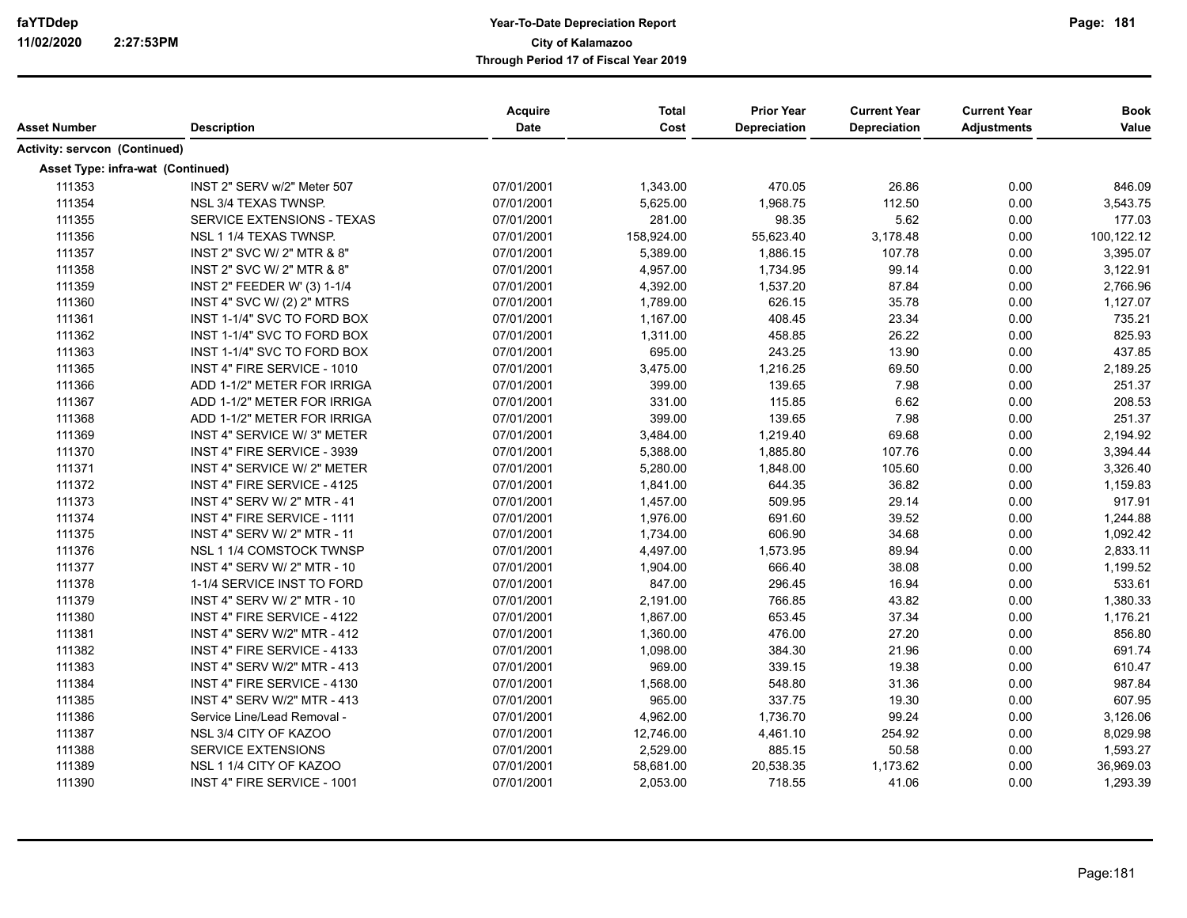| Asset Number                  | <b>Description</b>                 | Acquire<br>Date | <b>Total</b><br>Cost | <b>Prior Year</b><br>Depreciation | <b>Current Year</b><br>Depreciation | <b>Current Year</b><br><b>Adjustments</b> | <b>Book</b><br>Value |
|-------------------------------|------------------------------------|-----------------|----------------------|-----------------------------------|-------------------------------------|-------------------------------------------|----------------------|
| Activity: servcon (Continued) |                                    |                 |                      |                                   |                                     |                                           |                      |
|                               | Asset Type: infra-wat (Continued)  |                 |                      |                                   |                                     |                                           |                      |
| 111353                        | INST 2" SERV w/2" Meter 507        | 07/01/2001      | 1,343.00             | 470.05                            | 26.86                               | 0.00                                      | 846.09               |
| 111354                        | NSL 3/4 TEXAS TWNSP.               | 07/01/2001      | 5,625.00             | 1,968.75                          | 112.50                              | 0.00                                      | 3,543.75             |
| 111355                        | SERVICE EXTENSIONS - TEXAS         | 07/01/2001      | 281.00               | 98.35                             | 5.62                                | 0.00                                      | 177.03               |
| 111356                        | NSL 1 1/4 TEXAS TWNSP.             | 07/01/2001      | 158,924.00           | 55,623.40                         | 3,178.48                            | 0.00                                      | 100,122.12           |
| 111357                        | INST 2" SVC W/ 2" MTR & 8"         | 07/01/2001      | 5,389.00             | 1,886.15                          | 107.78                              | 0.00                                      | 3,395.07             |
| 111358                        | INST 2" SVC W/ 2" MTR & 8"         | 07/01/2001      | 4,957.00             | 1,734.95                          | 99.14                               | 0.00                                      | 3,122.91             |
| 111359                        | INST 2" FEEDER W' (3) 1-1/4        | 07/01/2001      | 4,392.00             | 1,537.20                          | 87.84                               | 0.00                                      | 2,766.96             |
| 111360                        | INST 4" SVC W/ (2) 2" MTRS         | 07/01/2001      | 1,789.00             | 626.15                            | 35.78                               | 0.00                                      | 1,127.07             |
| 111361                        | INST 1-1/4" SVC TO FORD BOX        | 07/01/2001      | 1,167.00             | 408.45                            | 23.34                               | 0.00                                      | 735.21               |
| 111362                        | INST 1-1/4" SVC TO FORD BOX        | 07/01/2001      | 1,311.00             | 458.85                            | 26.22                               | 0.00                                      | 825.93               |
| 111363                        | INST 1-1/4" SVC TO FORD BOX        | 07/01/2001      | 695.00               | 243.25                            | 13.90                               | 0.00                                      | 437.85               |
| 111365                        | INST 4" FIRE SERVICE - 1010        | 07/01/2001      | 3,475.00             | 1,216.25                          | 69.50                               | 0.00                                      | 2,189.25             |
| 111366                        | ADD 1-1/2" METER FOR IRRIGA        | 07/01/2001      | 399.00               | 139.65                            | 7.98                                | 0.00                                      | 251.37               |
| 111367                        | ADD 1-1/2" METER FOR IRRIGA        | 07/01/2001      | 331.00               | 115.85                            | 6.62                                | 0.00                                      | 208.53               |
| 111368                        | ADD 1-1/2" METER FOR IRRIGA        | 07/01/2001      | 399.00               | 139.65                            | 7.98                                | 0.00                                      | 251.37               |
| 111369                        | INST 4" SERVICE W/ 3" METER        | 07/01/2001      | 3,484.00             | 1,219.40                          | 69.68                               | 0.00                                      | 2,194.92             |
| 111370                        | INST 4" FIRE SERVICE - 3939        | 07/01/2001      | 5,388.00             | 1,885.80                          | 107.76                              | 0.00                                      | 3,394.44             |
| 111371                        | INST 4" SERVICE W/2" METER         | 07/01/2001      | 5,280.00             | 1,848.00                          | 105.60                              | 0.00                                      | 3,326.40             |
| 111372                        | INST 4" FIRE SERVICE - 4125        | 07/01/2001      | 1,841.00             | 644.35                            | 36.82                               | 0.00                                      | 1,159.83             |
| 111373                        | INST 4" SERV W/ 2" MTR - 41        | 07/01/2001      | 1,457.00             | 509.95                            | 29.14                               | 0.00                                      | 917.91               |
| 111374                        | INST 4" FIRE SERVICE - 1111        | 07/01/2001      | 1,976.00             | 691.60                            | 39.52                               | 0.00                                      | 1,244.88             |
| 111375                        | <b>INST 4" SERV W/ 2" MTR - 11</b> | 07/01/2001      | 1,734.00             | 606.90                            | 34.68                               | 0.00                                      | 1,092.42             |
| 111376                        | NSL 1 1/4 COMSTOCK TWNSP           | 07/01/2001      | 4,497.00             | 1,573.95                          | 89.94                               | 0.00                                      | 2,833.11             |
| 111377                        | INST 4" SERV W/ 2" MTR - 10        | 07/01/2001      | 1,904.00             | 666.40                            | 38.08                               | 0.00                                      | 1,199.52             |
| 111378                        | 1-1/4 SERVICE INST TO FORD         | 07/01/2001      | 847.00               | 296.45                            | 16.94                               | 0.00                                      | 533.61               |
| 111379                        | INST 4" SERV W/ 2" MTR - 10        | 07/01/2001      | 2,191.00             | 766.85                            | 43.82                               | 0.00                                      | 1,380.33             |
| 111380                        | INST 4" FIRE SERVICE - 4122        | 07/01/2001      | 1,867.00             | 653.45                            | 37.34                               | 0.00                                      | 1,176.21             |
| 111381                        | INST 4" SERV W/2" MTR - 412        | 07/01/2001      | 1,360.00             | 476.00                            | 27.20                               | 0.00                                      | 856.80               |
| 111382                        | INST 4" FIRE SERVICE - 4133        | 07/01/2001      | 1,098.00             | 384.30                            | 21.96                               | 0.00                                      | 691.74               |
| 111383                        | INST 4" SERV W/2" MTR - 413        | 07/01/2001      | 969.00               | 339.15                            | 19.38                               | 0.00                                      | 610.47               |
| 111384                        | INST 4" FIRE SERVICE - 4130        | 07/01/2001      | 1,568.00             | 548.80                            | 31.36                               | 0.00                                      | 987.84               |
| 111385                        | INST 4" SERV W/2" MTR - 413        | 07/01/2001      | 965.00               | 337.75                            | 19.30                               | 0.00                                      | 607.95               |
| 111386                        | Service Line/Lead Removal -        | 07/01/2001      | 4,962.00             | 1,736.70                          | 99.24                               | 0.00                                      | 3,126.06             |
| 111387                        | NSL 3/4 CITY OF KAZOO              | 07/01/2001      | 12,746.00            | 4,461.10                          | 254.92                              | 0.00                                      | 8,029.98             |
| 111388                        | <b>SERVICE EXTENSIONS</b>          | 07/01/2001      | 2,529.00             | 885.15                            | 50.58                               | 0.00                                      | 1,593.27             |
| 111389                        | NSL 1 1/4 CITY OF KAZOO            | 07/01/2001      | 58,681.00            | 20,538.35                         | 1,173.62                            | 0.00                                      | 36,969.03            |
| 111390                        | INST 4" FIRE SERVICE - 1001        | 07/01/2001      | 2,053.00             | 718.55                            | 41.06                               | 0.00                                      | 1,293.39             |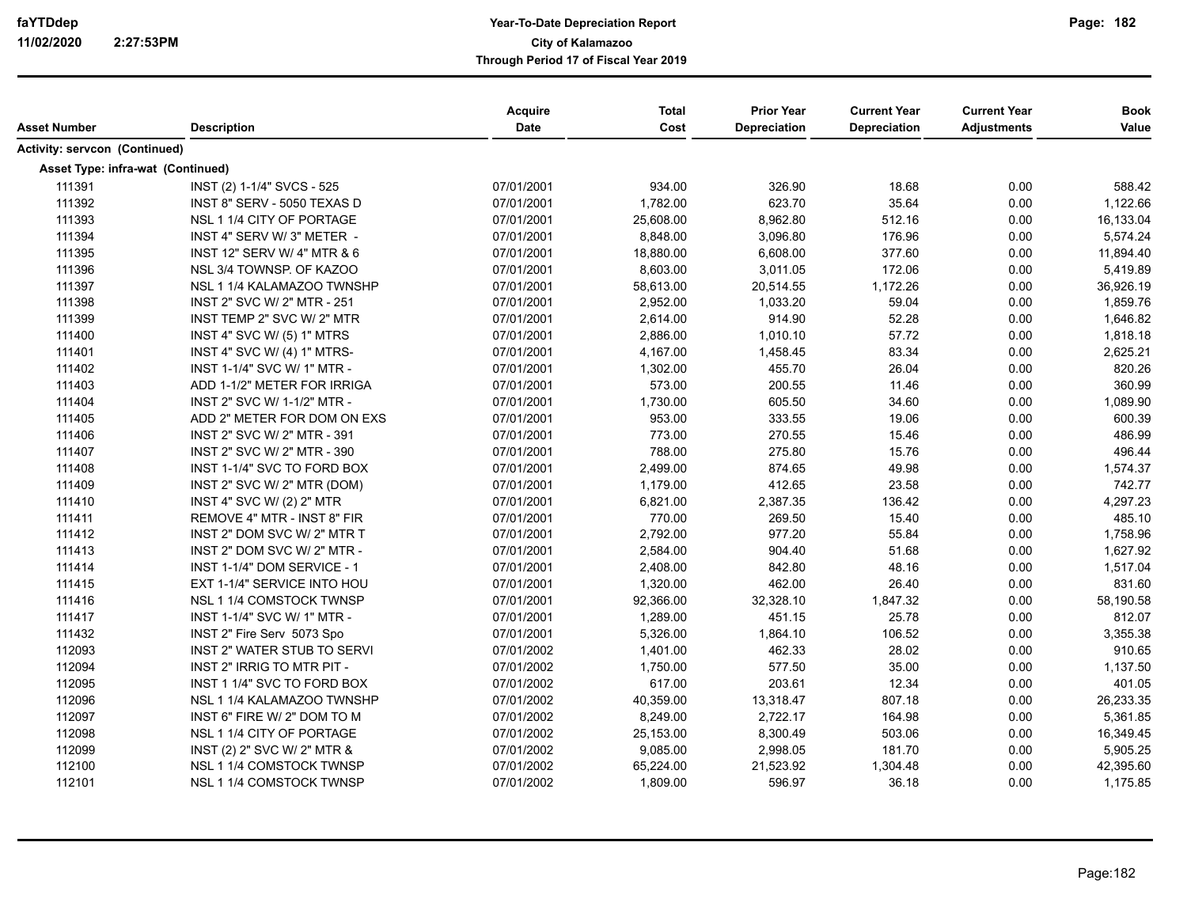|                                   |                             | Acquire    | <b>Total</b> | <b>Prior Year</b> | <b>Current Year</b> | <b>Current Year</b> | <b>Book</b> |
|-----------------------------------|-----------------------------|------------|--------------|-------------------|---------------------|---------------------|-------------|
| <b>Asset Number</b>               | <b>Description</b>          | Date       | Cost         | Depreciation      | Depreciation        | <b>Adjustments</b>  | Value       |
| Activity: servcon (Continued)     |                             |            |              |                   |                     |                     |             |
| Asset Type: infra-wat (Continued) |                             |            |              |                   |                     |                     |             |
| 111391                            | INST (2) 1-1/4" SVCS - 525  | 07/01/2001 | 934.00       | 326.90            | 18.68               | 0.00                | 588.42      |
| 111392                            | INST 8" SERV - 5050 TEXAS D | 07/01/2001 | 1,782.00     | 623.70            | 35.64               | 0.00                | 1,122.66    |
| 111393                            | NSL 1 1/4 CITY OF PORTAGE   | 07/01/2001 | 25,608.00    | 8,962.80          | 512.16              | 0.00                | 16,133.04   |
| 111394                            | INST 4" SERV W/ 3" METER -  | 07/01/2001 | 8,848.00     | 3,096.80          | 176.96              | 0.00                | 5,574.24    |
| 111395                            | INST 12" SERV W/ 4" MTR & 6 | 07/01/2001 | 18,880.00    | 6,608.00          | 377.60              | 0.00                | 11,894.40   |
| 111396                            | NSL 3/4 TOWNSP. OF KAZOO    | 07/01/2001 | 8,603.00     | 3,011.05          | 172.06              | 0.00                | 5,419.89    |
| 111397                            | NSL 1 1/4 KALAMAZOO TWNSHP  | 07/01/2001 | 58,613.00    | 20,514.55         | 1,172.26            | 0.00                | 36,926.19   |
| 111398                            | INST 2" SVC W/ 2" MTR - 251 | 07/01/2001 | 2,952.00     | 1,033.20          | 59.04               | 0.00                | 1,859.76    |
| 111399                            | INST TEMP 2" SVC W/ 2" MTR  | 07/01/2001 | 2,614.00     | 914.90            | 52.28               | 0.00                | 1,646.82    |
| 111400                            | INST 4" SVC W/ (5) 1" MTRS  | 07/01/2001 | 2,886.00     | 1,010.10          | 57.72               | 0.00                | 1,818.18    |
| 111401                            | INST 4" SVC W/ (4) 1" MTRS- | 07/01/2001 | 4,167.00     | 1,458.45          | 83.34               | 0.00                | 2,625.21    |
| 111402                            | INST 1-1/4" SVC W/ 1" MTR - | 07/01/2001 | 1,302.00     | 455.70            | 26.04               | 0.00                | 820.26      |
| 111403                            | ADD 1-1/2" METER FOR IRRIGA | 07/01/2001 | 573.00       | 200.55            | 11.46               | 0.00                | 360.99      |
| 111404                            | INST 2" SVC W/ 1-1/2" MTR - | 07/01/2001 | 1,730.00     | 605.50            | 34.60               | 0.00                | 1,089.90    |
| 111405                            | ADD 2" METER FOR DOM ON EXS | 07/01/2001 | 953.00       | 333.55            | 19.06               | 0.00                | 600.39      |
| 111406                            | INST 2" SVC W/ 2" MTR - 391 | 07/01/2001 | 773.00       | 270.55            | 15.46               | 0.00                | 486.99      |
| 111407                            | INST 2" SVC W/ 2" MTR - 390 | 07/01/2001 | 788.00       | 275.80            | 15.76               | 0.00                | 496.44      |
| 111408                            | INST 1-1/4" SVC TO FORD BOX | 07/01/2001 | 2,499.00     | 874.65            | 49.98               | 0.00                | 1,574.37    |
| 111409                            | INST 2" SVC W/ 2" MTR (DOM) | 07/01/2001 | 1,179.00     | 412.65            | 23.58               | 0.00                | 742.77      |
| 111410                            | INST 4" SVC W/ (2) 2" MTR   | 07/01/2001 | 6,821.00     | 2,387.35          | 136.42              | 0.00                | 4,297.23    |
| 111411                            | REMOVE 4" MTR - INST 8" FIR | 07/01/2001 | 770.00       | 269.50            | 15.40               | 0.00                | 485.10      |
| 111412                            | INST 2" DOM SVC W/ 2" MTR T | 07/01/2001 | 2,792.00     | 977.20            | 55.84               | 0.00                | 1,758.96    |
| 111413                            | INST 2" DOM SVC W/ 2" MTR - | 07/01/2001 | 2,584.00     | 904.40            | 51.68               | 0.00                | 1,627.92    |
| 111414                            | INST 1-1/4" DOM SERVICE - 1 | 07/01/2001 | 2,408.00     | 842.80            | 48.16               | 0.00                | 1,517.04    |
| 111415                            | EXT 1-1/4" SERVICE INTO HOU | 07/01/2001 | 1,320.00     | 462.00            | 26.40               | 0.00                | 831.60      |
| 111416                            | NSL 1 1/4 COMSTOCK TWNSP    | 07/01/2001 | 92,366.00    | 32,328.10         | 1,847.32            | 0.00                | 58,190.58   |
| 111417                            | INST 1-1/4" SVC W/ 1" MTR - | 07/01/2001 | 1,289.00     | 451.15            | 25.78               | 0.00                | 812.07      |
| 111432                            | INST 2" Fire Serv 5073 Spo  | 07/01/2001 | 5,326.00     | 1,864.10          | 106.52              | 0.00                | 3,355.38    |
| 112093                            | INST 2" WATER STUB TO SERVI | 07/01/2002 | 1,401.00     | 462.33            | 28.02               | 0.00                | 910.65      |
| 112094                            | INST 2" IRRIG TO MTR PIT -  | 07/01/2002 | 1,750.00     | 577.50            | 35.00               | 0.00                | 1,137.50    |
| 112095                            | INST 1 1/4" SVC TO FORD BOX | 07/01/2002 | 617.00       | 203.61            | 12.34               | 0.00                | 401.05      |
| 112096                            | NSL 1 1/4 KALAMAZOO TWNSHP  | 07/01/2002 | 40,359.00    | 13,318.47         | 807.18              | 0.00                | 26,233.35   |
| 112097                            | INST 6" FIRE W/ 2" DOM TO M | 07/01/2002 | 8,249.00     | 2,722.17          | 164.98              | 0.00                | 5,361.85    |
| 112098                            | NSL 1 1/4 CITY OF PORTAGE   | 07/01/2002 | 25,153.00    | 8,300.49          | 503.06              | 0.00                | 16,349.45   |
| 112099                            | INST (2) 2" SVC W/ 2" MTR & | 07/01/2002 | 9,085.00     | 2,998.05          | 181.70              | 0.00                | 5,905.25    |
| 112100                            | NSL 1 1/4 COMSTOCK TWNSP    | 07/01/2002 | 65,224.00    | 21,523.92         | 1,304.48            | 0.00                | 42,395.60   |
| 112101                            | NSL 1 1/4 COMSTOCK TWNSP    | 07/01/2002 | 1,809.00     | 596.97            | 36.18               | 0.00                | 1,175.85    |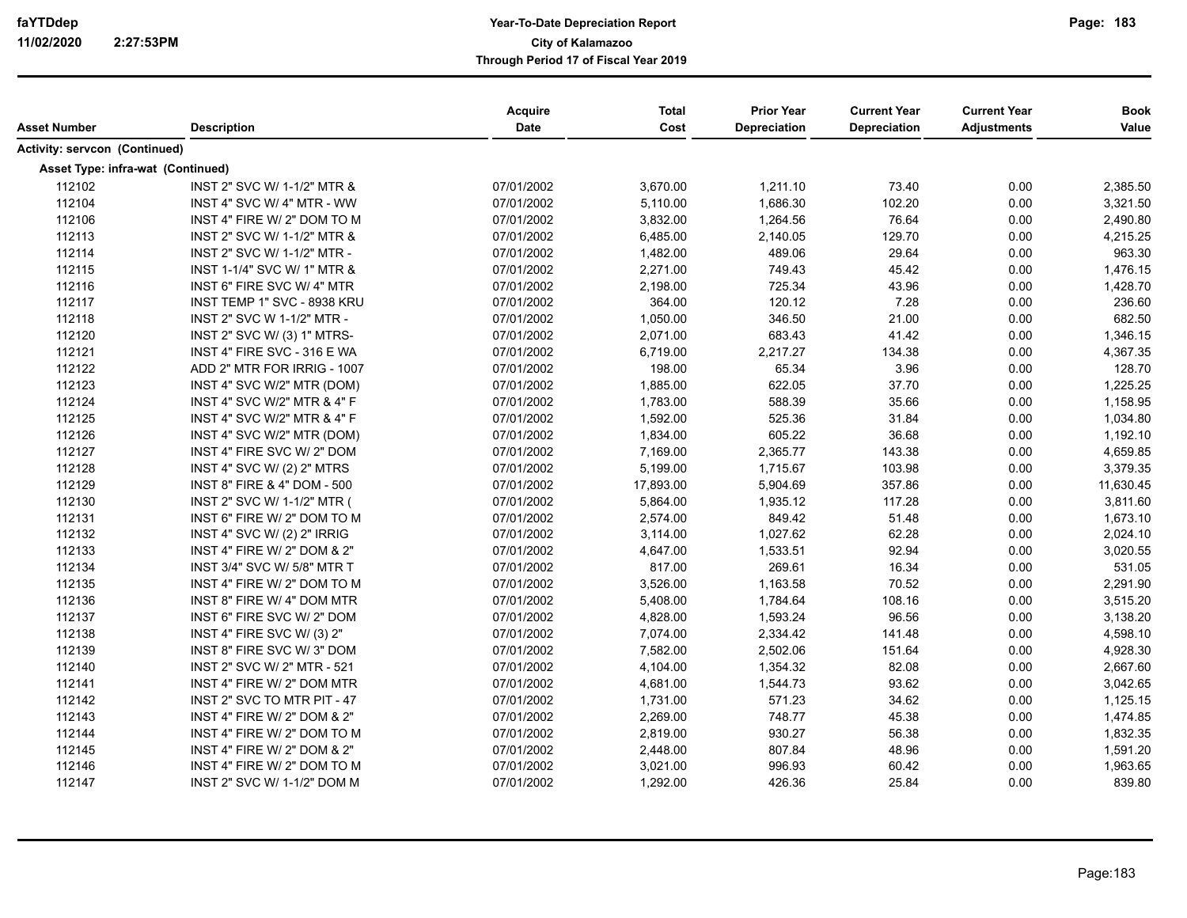| Asset Number                         | <b>Description</b>                     | <b>Acquire</b><br>Date | <b>Total</b><br>Cost | <b>Prior Year</b><br>Depreciation | <b>Current Year</b><br>Depreciation | <b>Current Year</b><br><b>Adjustments</b> | <b>Book</b><br>Value |
|--------------------------------------|----------------------------------------|------------------------|----------------------|-----------------------------------|-------------------------------------|-------------------------------------------|----------------------|
|                                      |                                        |                        |                      |                                   |                                     |                                           |                      |
| <b>Activity: servcon (Continued)</b> |                                        |                        |                      |                                   |                                     |                                           |                      |
| Asset Type: infra-wat (Continued)    |                                        |                        |                      |                                   |                                     |                                           |                      |
| 112102                               | INST 2" SVC W/ 1-1/2" MTR &            | 07/01/2002             | 3,670.00             | 1,211.10                          | 73.40                               | 0.00                                      | 2,385.50             |
| 112104                               | INST 4" SVC W/ 4" MTR - WW             | 07/01/2002             | 5,110.00             | 1,686.30                          | 102.20                              | 0.00                                      | 3,321.50             |
| 112106                               | INST 4" FIRE W/ 2" DOM TO M            | 07/01/2002             | 3,832.00             | 1,264.56                          | 76.64                               | 0.00                                      | 2,490.80             |
| 112113                               | INST 2" SVC W/ 1-1/2" MTR &            | 07/01/2002             | 6,485.00             | 2,140.05                          | 129.70                              | 0.00                                      | 4,215.25             |
| 112114                               | INST 2" SVC W/ 1-1/2" MTR -            | 07/01/2002             | 1,482.00             | 489.06                            | 29.64                               | 0.00                                      | 963.30               |
| 112115                               | INST 1-1/4" SVC W/ 1" MTR &            | 07/01/2002             | 2,271.00             | 749.43                            | 45.42                               | 0.00                                      | 1,476.15             |
| 112116                               | INST 6" FIRE SVC W/ 4" MTR             | 07/01/2002             | 2,198.00             | 725.34                            | 43.96                               | 0.00                                      | 1,428.70             |
| 112117                               | INST TEMP 1" SVC - 8938 KRU            | 07/01/2002             | 364.00               | 120.12                            | 7.28                                | 0.00                                      | 236.60               |
| 112118                               | INST 2" SVC W 1-1/2" MTR -             | 07/01/2002             | 1,050.00             | 346.50                            | 21.00                               | 0.00                                      | 682.50               |
| 112120                               | INST 2" SVC W/ (3) 1" MTRS-            | 07/01/2002             | 2,071.00             | 683.43                            | 41.42                               | 0.00                                      | 1,346.15             |
| 112121                               | INST 4" FIRE SVC - 316 E WA            | 07/01/2002             | 6,719.00             | 2,217.27                          | 134.38                              | 0.00                                      | 4,367.35             |
| 112122                               | ADD 2" MTR FOR IRRIG - 1007            | 07/01/2002             | 198.00               | 65.34                             | 3.96                                | 0.00                                      | 128.70               |
| 112123                               | INST 4" SVC W/2" MTR (DOM)             | 07/01/2002             | 1,885.00             | 622.05                            | 37.70                               | 0.00                                      | 1,225.25             |
| 112124                               | <b>INST 4" SVC W/2" MTR &amp; 4" F</b> | 07/01/2002             | 1,783.00             | 588.39                            | 35.66                               | 0.00                                      | 1,158.95             |
| 112125                               | <b>INST 4" SVC W/2" MTR &amp; 4" F</b> | 07/01/2002             | 1,592.00             | 525.36                            | 31.84                               | 0.00                                      | 1,034.80             |
| 112126                               | INST 4" SVC W/2" MTR (DOM)             | 07/01/2002             | 1,834.00             | 605.22                            | 36.68                               | 0.00                                      | 1,192.10             |
| 112127                               | INST 4" FIRE SVC W/ 2" DOM             | 07/01/2002             | 7,169.00             | 2,365.77                          | 143.38                              | 0.00                                      | 4,659.85             |
| 112128                               | INST 4" SVC W/ (2) 2" MTRS             | 07/01/2002             | 5,199.00             | 1,715.67                          | 103.98                              | 0.00                                      | 3,379.35             |
| 112129                               | INST 8" FIRE & 4" DOM - 500            | 07/01/2002             | 17,893.00            | 5,904.69                          | 357.86                              | 0.00                                      | 11,630.45            |
| 112130                               | INST 2" SVC W/ 1-1/2" MTR (            | 07/01/2002             | 5,864.00             | 1,935.12                          | 117.28                              | 0.00                                      | 3,811.60             |
| 112131                               | INST 6" FIRE W/ 2" DOM TO M            | 07/01/2002             | 2,574.00             | 849.42                            | 51.48                               | 0.00                                      | 1,673.10             |
| 112132                               | INST 4" SVC W/ (2) 2" IRRIG            | 07/01/2002             | 3,114.00             | 1,027.62                          | 62.28                               | 0.00                                      | 2,024.10             |
| 112133                               | INST 4" FIRE W/ 2" DOM & 2"            | 07/01/2002             | 4,647.00             | 1,533.51                          | 92.94                               | 0.00                                      | 3,020.55             |
| 112134                               | INST 3/4" SVC W/ 5/8" MTR T            | 07/01/2002             | 817.00               | 269.61                            | 16.34                               | 0.00                                      | 531.05               |
| 112135                               | INST 4" FIRE W/ 2" DOM TO M            | 07/01/2002             | 3,526.00             | 1,163.58                          | 70.52                               | 0.00                                      | 2,291.90             |
| 112136                               | INST 8" FIRE W/ 4" DOM MTR             | 07/01/2002             | 5,408.00             | 1,784.64                          | 108.16                              | 0.00                                      | 3,515.20             |
| 112137                               | INST 6" FIRE SVC W/ 2" DOM             | 07/01/2002             | 4,828.00             | 1,593.24                          | 96.56                               | 0.00                                      | 3,138.20             |
| 112138                               | INST 4" FIRE SVC W/ (3) 2"             | 07/01/2002             | 7,074.00             | 2,334.42                          | 141.48                              | 0.00                                      | 4,598.10             |
| 112139                               | INST 8" FIRE SVC W/3" DOM              | 07/01/2002             | 7,582.00             | 2,502.06                          | 151.64                              | 0.00                                      | 4,928.30             |
| 112140                               | INST 2" SVC W/ 2" MTR - 521            | 07/01/2002             | 4,104.00             | 1,354.32                          | 82.08                               | 0.00                                      | 2,667.60             |
| 112141                               | INST 4" FIRE W/ 2" DOM MTR             | 07/01/2002             | 4,681.00             | 1,544.73                          | 93.62                               | 0.00                                      | 3,042.65             |
| 112142                               | INST 2" SVC TO MTR PIT - 47            | 07/01/2002             | 1,731.00             | 571.23                            | 34.62                               | 0.00                                      | 1,125.15             |
| 112143                               | INST 4" FIRE W/ 2" DOM & 2"            | 07/01/2002             | 2,269.00             | 748.77                            | 45.38                               | 0.00                                      | 1,474.85             |
| 112144                               | INST 4" FIRE W/ 2" DOM TO M            | 07/01/2002             | 2,819.00             | 930.27                            | 56.38                               | 0.00                                      | 1,832.35             |
| 112145                               | INST 4" FIRE W/ 2" DOM & 2"            | 07/01/2002             | 2,448.00             | 807.84                            | 48.96                               | 0.00                                      | 1,591.20             |
| 112146                               | INST 4" FIRE W/ 2" DOM TO M            | 07/01/2002             | 3,021.00             | 996.93                            | 60.42                               | 0.00                                      | 1,963.65             |
| 112147                               | INST 2" SVC W/ 1-1/2" DOM M            | 07/01/2002             | 1,292.00             | 426.36                            | 25.84                               | 0.00                                      | 839.80               |
|                                      |                                        |                        |                      |                                   |                                     |                                           |                      |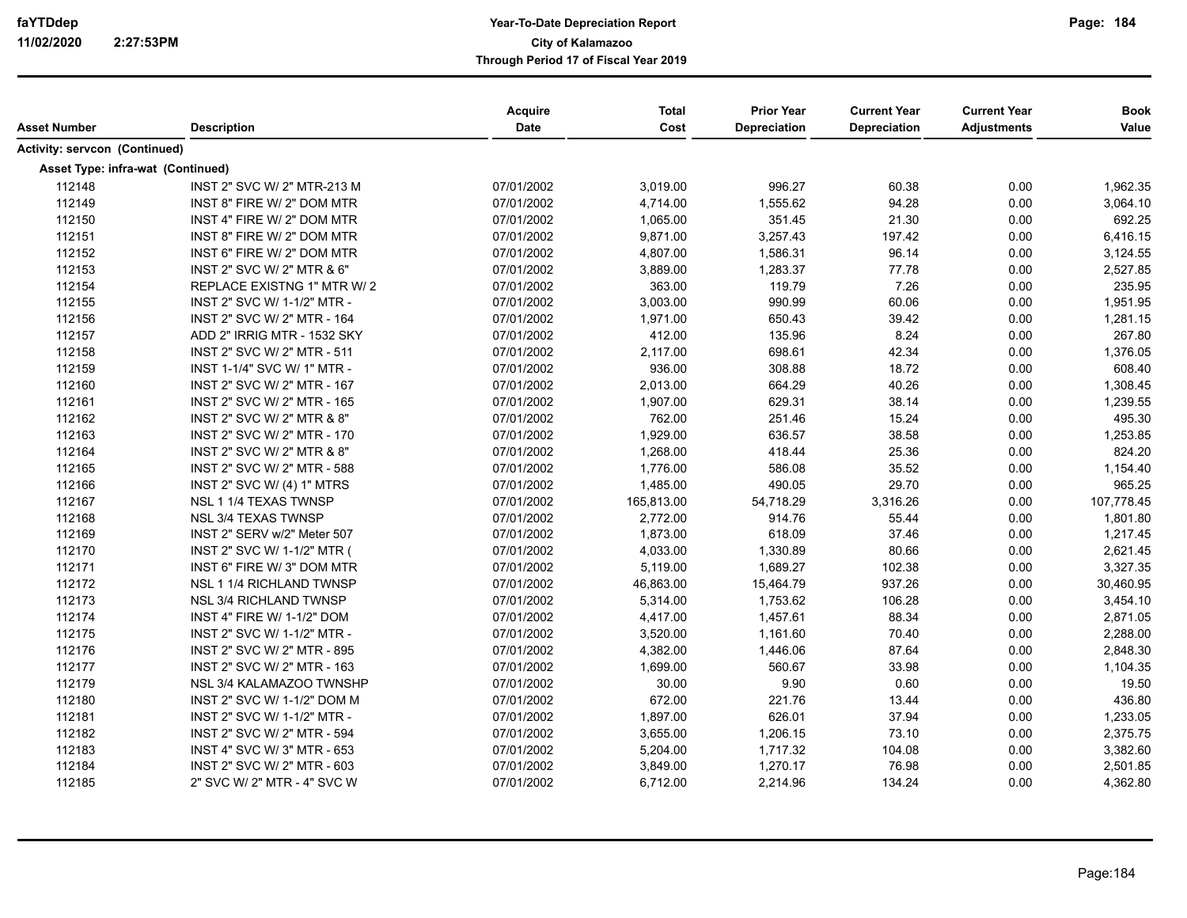| Asset Number                      | <b>Description</b>          | Acquire<br>Date | <b>Total</b><br>Cost | <b>Prior Year</b><br>Depreciation | <b>Current Year</b><br>Depreciation | <b>Current Year</b><br><b>Adjustments</b> | <b>Book</b><br>Value |
|-----------------------------------|-----------------------------|-----------------|----------------------|-----------------------------------|-------------------------------------|-------------------------------------------|----------------------|
| Activity: servcon (Continued)     |                             |                 |                      |                                   |                                     |                                           |                      |
| Asset Type: infra-wat (Continued) |                             |                 |                      |                                   |                                     |                                           |                      |
| 112148                            | INST 2" SVC W/ 2" MTR-213 M | 07/01/2002      | 3,019.00             | 996.27                            | 60.38                               | 0.00                                      | 1,962.35             |
| 112149                            | INST 8" FIRE W/ 2" DOM MTR  | 07/01/2002      | 4,714.00             | 1,555.62                          | 94.28                               | 0.00                                      | 3,064.10             |
| 112150                            | INST 4" FIRE W/ 2" DOM MTR  | 07/01/2002      | 1,065.00             | 351.45                            | 21.30                               | 0.00                                      | 692.25               |
| 112151                            | INST 8" FIRE W/ 2" DOM MTR  | 07/01/2002      | 9,871.00             | 3,257.43                          | 197.42                              | 0.00                                      | 6,416.15             |
| 112152                            | INST 6" FIRE W/ 2" DOM MTR  | 07/01/2002      | 4,807.00             | 1,586.31                          | 96.14                               | 0.00                                      | 3,124.55             |
| 112153                            | INST 2" SVC W/ 2" MTR & 6"  | 07/01/2002      | 3,889.00             | 1,283.37                          | 77.78                               | 0.00                                      | 2,527.85             |
| 112154                            | REPLACE EXISTNG 1" MTR W/2  | 07/01/2002      | 363.00               | 119.79                            | 7.26                                | 0.00                                      | 235.95               |
| 112155                            | INST 2" SVC W/ 1-1/2" MTR - | 07/01/2002      | 3,003.00             | 990.99                            | 60.06                               | 0.00                                      | 1,951.95             |
| 112156                            | INST 2" SVC W/ 2" MTR - 164 | 07/01/2002      | 1,971.00             | 650.43                            | 39.42                               | 0.00                                      | 1,281.15             |
| 112157                            | ADD 2" IRRIG MTR - 1532 SKY | 07/01/2002      | 412.00               | 135.96                            | 8.24                                | 0.00                                      | 267.80               |
| 112158                            | INST 2" SVC W/ 2" MTR - 511 | 07/01/2002      | 2,117.00             | 698.61                            | 42.34                               | 0.00                                      | 1,376.05             |
| 112159                            | INST 1-1/4" SVC W/ 1" MTR - | 07/01/2002      | 936.00               | 308.88                            | 18.72                               | 0.00                                      | 608.40               |
| 112160                            | INST 2" SVC W/ 2" MTR - 167 | 07/01/2002      | 2,013.00             | 664.29                            | 40.26                               | 0.00                                      | 1,308.45             |
| 112161                            | INST 2" SVC W/ 2" MTR - 165 | 07/01/2002      | 1,907.00             | 629.31                            | 38.14                               | 0.00                                      | 1,239.55             |
| 112162                            | INST 2" SVC W/ 2" MTR & 8"  | 07/01/2002      | 762.00               | 251.46                            | 15.24                               | 0.00                                      | 495.30               |
| 112163                            | INST 2" SVC W/ 2" MTR - 170 | 07/01/2002      | 1,929.00             | 636.57                            | 38.58                               | 0.00                                      | 1,253.85             |
| 112164                            | INST 2" SVC W/ 2" MTR & 8"  | 07/01/2002      | 1,268.00             | 418.44                            | 25.36                               | 0.00                                      | 824.20               |
| 112165                            | INST 2" SVC W/ 2" MTR - 588 | 07/01/2002      | 1,776.00             | 586.08                            | 35.52                               | 0.00                                      | 1,154.40             |
| 112166                            | INST 2" SVC W/ (4) 1" MTRS  | 07/01/2002      | 1,485.00             | 490.05                            | 29.70                               | 0.00                                      | 965.25               |
| 112167                            | NSL 1 1/4 TEXAS TWNSP       | 07/01/2002      | 165,813.00           | 54,718.29                         | 3,316.26                            | 0.00                                      | 107,778.45           |
| 112168                            | <b>NSL 3/4 TEXAS TWNSP</b>  | 07/01/2002      | 2,772.00             | 914.76                            | 55.44                               | 0.00                                      | 1,801.80             |
| 112169                            | INST 2" SERV w/2" Meter 507 | 07/01/2002      | 1,873.00             | 618.09                            | 37.46                               | 0.00                                      | 1,217.45             |
| 112170                            | INST 2" SVC W/ 1-1/2" MTR ( | 07/01/2002      | 4,033.00             | 1,330.89                          | 80.66                               | 0.00                                      | 2,621.45             |
| 112171                            | INST 6" FIRE W/ 3" DOM MTR  | 07/01/2002      | 5,119.00             | 1,689.27                          | 102.38                              | 0.00                                      | 3,327.35             |
| 112172                            | NSL 1 1/4 RICHLAND TWNSP    | 07/01/2002      | 46,863.00            | 15,464.79                         | 937.26                              | 0.00                                      | 30,460.95            |
| 112173                            | NSL 3/4 RICHLAND TWNSP      | 07/01/2002      | 5,314.00             | 1,753.62                          | 106.28                              | 0.00                                      | 3,454.10             |
| 112174                            | INST 4" FIRE W/ 1-1/2" DOM  | 07/01/2002      | 4,417.00             | 1,457.61                          | 88.34                               | 0.00                                      | 2,871.05             |
| 112175                            | INST 2" SVC W/ 1-1/2" MTR - | 07/01/2002      | 3,520.00             | 1,161.60                          | 70.40                               | 0.00                                      | 2,288.00             |
| 112176                            | INST 2" SVC W/ 2" MTR - 895 | 07/01/2002      | 4,382.00             | 1,446.06                          | 87.64                               | 0.00                                      | 2,848.30             |
| 112177                            | INST 2" SVC W/ 2" MTR - 163 | 07/01/2002      | 1,699.00             | 560.67                            | 33.98                               | 0.00                                      | 1,104.35             |
| 112179                            | NSL 3/4 KALAMAZOO TWNSHP    | 07/01/2002      | 30.00                | 9.90                              | 0.60                                | 0.00                                      | 19.50                |
| 112180                            | INST 2" SVC W/ 1-1/2" DOM M | 07/01/2002      | 672.00               | 221.76                            | 13.44                               | 0.00                                      | 436.80               |
| 112181                            | INST 2" SVC W/ 1-1/2" MTR - | 07/01/2002      | 1,897.00             | 626.01                            | 37.94                               | 0.00                                      | 1,233.05             |
| 112182                            | INST 2" SVC W/ 2" MTR - 594 | 07/01/2002      | 3,655.00             | 1,206.15                          | 73.10                               | 0.00                                      | 2,375.75             |
| 112183                            | INST 4" SVC W/ 3" MTR - 653 | 07/01/2002      | 5,204.00             | 1,717.32                          | 104.08                              | 0.00                                      | 3,382.60             |
| 112184                            | INST 2" SVC W/ 2" MTR - 603 | 07/01/2002      | 3,849.00             | 1,270.17                          | 76.98                               | 0.00                                      | 2,501.85             |
| 112185                            | 2" SVC W/ 2" MTR - 4" SVC W | 07/01/2002      | 6,712.00             | 2,214.96                          | 134.24                              | 0.00                                      | 4,362.80             |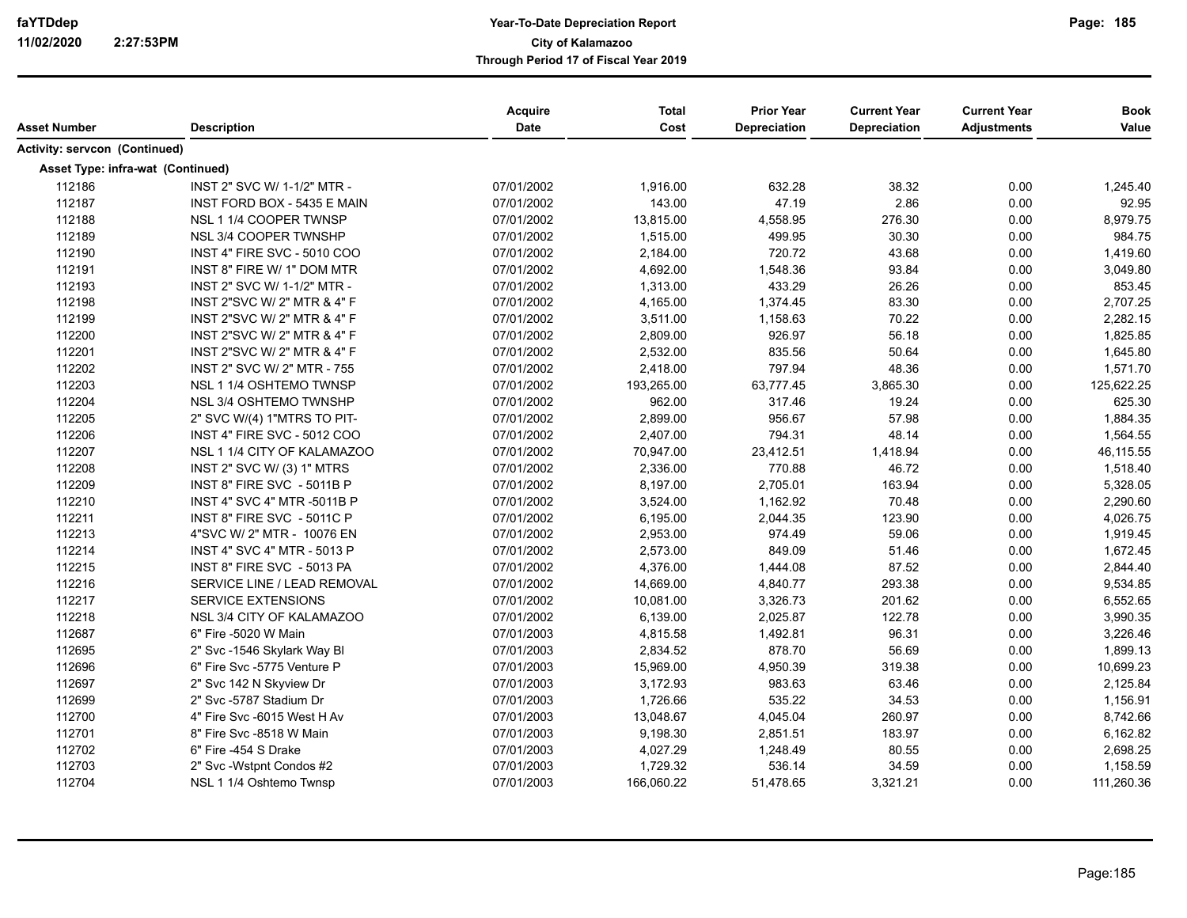|                                      |                                    | <b>Acquire</b> | <b>Total</b> | <b>Prior Year</b>   | <b>Current Year</b> | <b>Current Year</b> | <b>Book</b> |
|--------------------------------------|------------------------------------|----------------|--------------|---------------------|---------------------|---------------------|-------------|
| <b>Asset Number</b>                  | <b>Description</b>                 | Date           | Cost         | <b>Depreciation</b> | Depreciation        | <b>Adjustments</b>  | Value       |
| <b>Activity: servcon (Continued)</b> |                                    |                |              |                     |                     |                     |             |
| Asset Type: infra-wat (Continued)    |                                    |                |              |                     |                     |                     |             |
| 112186                               | INST 2" SVC W/ 1-1/2" MTR -        | 07/01/2002     | 1,916.00     | 632.28              | 38.32               | 0.00                | 1,245.40    |
| 112187                               | INST FORD BOX - 5435 E MAIN        | 07/01/2002     | 143.00       | 47.19               | 2.86                | 0.00                | 92.95       |
| 112188                               | NSL 1 1/4 COOPER TWNSP             | 07/01/2002     | 13,815.00    | 4,558.95            | 276.30              | 0.00                | 8,979.75    |
| 112189                               | NSL 3/4 COOPER TWNSHP              | 07/01/2002     | 1,515.00     | 499.95              | 30.30               | 0.00                | 984.75      |
| 112190                               | INST 4" FIRE SVC - 5010 COO        | 07/01/2002     | 2,184.00     | 720.72              | 43.68               | 0.00                | 1,419.60    |
| 112191                               | INST 8" FIRE W/ 1" DOM MTR         | 07/01/2002     | 4,692.00     | 1,548.36            | 93.84               | 0.00                | 3,049.80    |
| 112193                               | INST 2" SVC W/ 1-1/2" MTR -        | 07/01/2002     | 1,313.00     | 433.29              | 26.26               | 0.00                | 853.45      |
| 112198                               | INST 2"SVC W/ 2" MTR & 4" F        | 07/01/2002     | 4,165.00     | 1,374.45            | 83.30               | 0.00                | 2,707.25    |
| 112199                               | INST 2"SVC W/ 2" MTR & 4" F        | 07/01/2002     | 3,511.00     | 1,158.63            | 70.22               | 0.00                | 2,282.15    |
| 112200                               | INST 2"SVC W/ 2" MTR & 4" F        | 07/01/2002     | 2,809.00     | 926.97              | 56.18               | 0.00                | 1,825.85    |
| 112201                               | INST 2"SVC W/ 2" MTR & 4" F        | 07/01/2002     | 2,532.00     | 835.56              | 50.64               | 0.00                | 1,645.80    |
| 112202                               | INST 2" SVC W/ 2" MTR - 755        | 07/01/2002     | 2,418.00     | 797.94              | 48.36               | 0.00                | 1,571.70    |
| 112203                               | NSL 1 1/4 OSHTEMO TWNSP            | 07/01/2002     | 193,265.00   | 63,777.45           | 3,865.30            | 0.00                | 125,622.25  |
| 112204                               | NSL 3/4 OSHTEMO TWNSHP             | 07/01/2002     | 962.00       | 317.46              | 19.24               | 0.00                | 625.30      |
| 112205                               | 2" SVC W/(4) 1"MTRS TO PIT-        | 07/01/2002     | 2,899.00     | 956.67              | 57.98               | 0.00                | 1,884.35    |
| 112206                               | <b>INST 4" FIRE SVC - 5012 COO</b> | 07/01/2002     | 2,407.00     | 794.31              | 48.14               | 0.00                | 1,564.55    |
| 112207                               | NSL 1 1/4 CITY OF KALAMAZOO        | 07/01/2002     | 70,947.00    | 23,412.51           | 1,418.94            | 0.00                | 46,115.55   |
| 112208                               | INST 2" SVC W/ (3) 1" MTRS         | 07/01/2002     | 2,336.00     | 770.88              | 46.72               | 0.00                | 1,518.40    |
| 112209                               | INST 8" FIRE SVC - 5011B P         | 07/01/2002     | 8,197.00     | 2,705.01            | 163.94              | 0.00                | 5,328.05    |
| 112210                               | <b>INST 4" SVC 4" MTR -5011B P</b> | 07/01/2002     | 3,524.00     | 1,162.92            | 70.48               | 0.00                | 2,290.60    |
| 112211                               | INST 8" FIRE SVC - 5011C P         | 07/01/2002     | 6,195.00     | 2,044.35            | 123.90              | 0.00                | 4,026.75    |
| 112213                               | 4"SVC W/ 2" MTR - 10076 EN         | 07/01/2002     | 2,953.00     | 974.49              | 59.06               | 0.00                | 1,919.45    |
| 112214                               | <b>INST 4" SVC 4" MTR - 5013 P</b> | 07/01/2002     | 2,573.00     | 849.09              | 51.46               | 0.00                | 1,672.45    |
| 112215                               | INST 8" FIRE SVC - 5013 PA         | 07/01/2002     | 4,376.00     | 1,444.08            | 87.52               | 0.00                | 2,844.40    |
| 112216                               | SERVICE LINE / LEAD REMOVAL        | 07/01/2002     | 14,669.00    | 4,840.77            | 293.38              | 0.00                | 9,534.85    |
| 112217                               | <b>SERVICE EXTENSIONS</b>          | 07/01/2002     | 10,081.00    | 3,326.73            | 201.62              | 0.00                | 6,552.65    |
| 112218                               | NSL 3/4 CITY OF KALAMAZOO          | 07/01/2002     | 6,139.00     | 2,025.87            | 122.78              | 0.00                | 3,990.35    |
| 112687                               | 6" Fire -5020 W Main               | 07/01/2003     | 4,815.58     | 1,492.81            | 96.31               | 0.00                | 3,226.46    |
| 112695                               | 2" Svc -1546 Skylark Way Bl        | 07/01/2003     | 2,834.52     | 878.70              | 56.69               | 0.00                | 1,899.13    |
| 112696                               | 6" Fire Svc -5775 Venture P        | 07/01/2003     | 15,969.00    | 4,950.39            | 319.38              | 0.00                | 10,699.23   |
| 112697                               | 2" Svc 142 N Skyview Dr            | 07/01/2003     | 3,172.93     | 983.63              | 63.46               | 0.00                | 2,125.84    |
| 112699                               | 2" Svc -5787 Stadium Dr            | 07/01/2003     | 1,726.66     | 535.22              | 34.53               | 0.00                | 1,156.91    |
| 112700                               | 4" Fire Svc -6015 West H Av        | 07/01/2003     | 13,048.67    | 4,045.04            | 260.97              | 0.00                | 8,742.66    |
| 112701                               | 8" Fire Svc -8518 W Main           | 07/01/2003     | 9,198.30     | 2,851.51            | 183.97              | 0.00                | 6,162.82    |
| 112702                               | 6" Fire -454 S Drake               | 07/01/2003     | 4,027.29     | 1,248.49            | 80.55               | 0.00                | 2,698.25    |
| 112703                               | 2" Svc - Wstpnt Condos #2          | 07/01/2003     | 1,729.32     | 536.14              | 34.59               | 0.00                | 1,158.59    |
| 112704                               | NSL 1 1/4 Oshtemo Twnsp            | 07/01/2003     | 166,060.22   | 51,478.65           | 3,321.21            | 0.00                | 111,260.36  |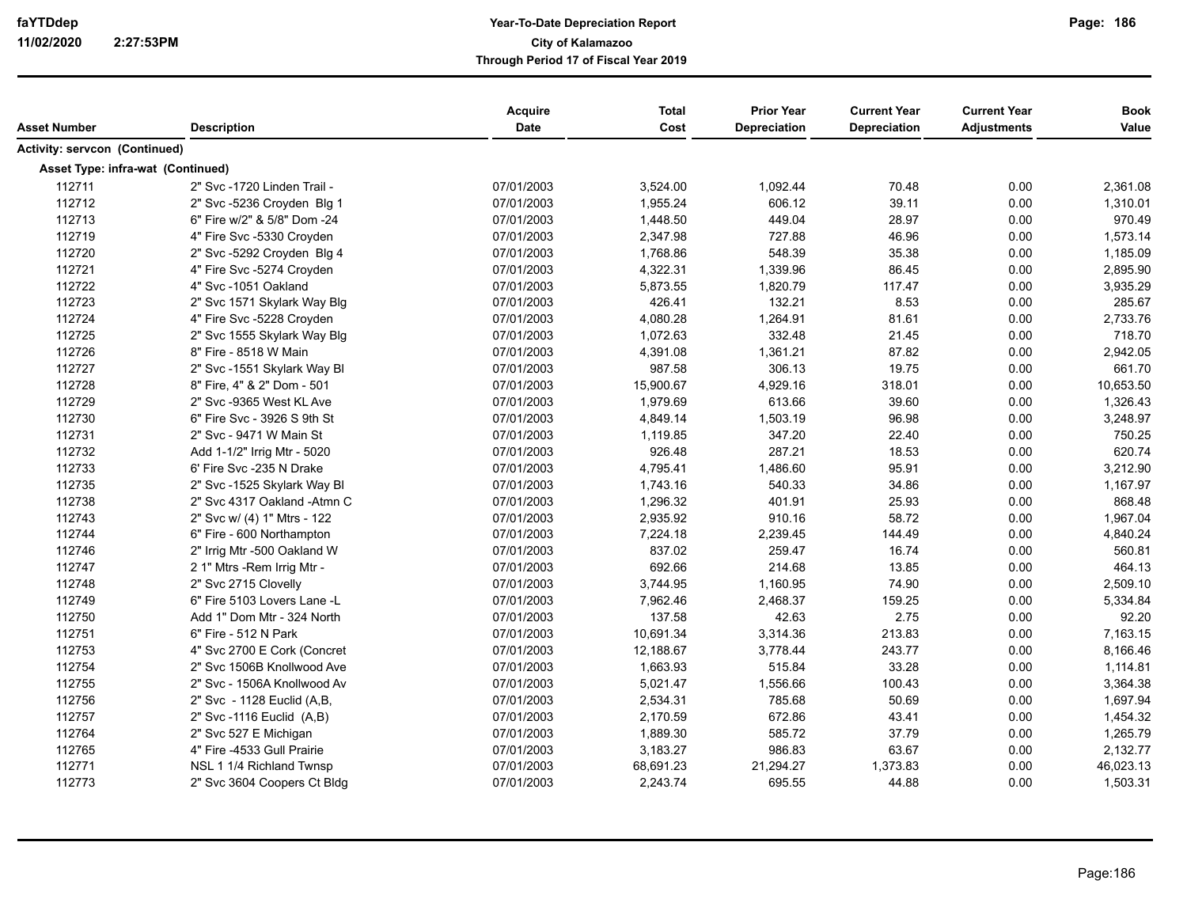| Asset Number                      | <b>Description</b>          | Acquire<br>Date | <b>Total</b><br>Cost | <b>Prior Year</b><br>Depreciation | <b>Current Year</b><br>Depreciation | <b>Current Year</b><br><b>Adjustments</b> | <b>Book</b><br>Value |
|-----------------------------------|-----------------------------|-----------------|----------------------|-----------------------------------|-------------------------------------|-------------------------------------------|----------------------|
|                                   |                             |                 |                      |                                   |                                     |                                           |                      |
| Activity: servcon (Continued)     |                             |                 |                      |                                   |                                     |                                           |                      |
| Asset Type: infra-wat (Continued) |                             |                 |                      |                                   |                                     |                                           |                      |
| 112711                            | 2" Svc -1720 Linden Trail - | 07/01/2003      | 3,524.00             | 1,092.44                          | 70.48                               | 0.00                                      | 2,361.08             |
| 112712                            | 2" Svc -5236 Croyden Blg 1  | 07/01/2003      | 1,955.24             | 606.12                            | 39.11                               | 0.00                                      | 1,310.01             |
| 112713                            | 6" Fire w/2" & 5/8" Dom -24 | 07/01/2003      | 1,448.50             | 449.04                            | 28.97                               | 0.00                                      | 970.49               |
| 112719                            | 4" Fire Svc -5330 Croyden   | 07/01/2003      | 2,347.98             | 727.88                            | 46.96                               | 0.00                                      | 1,573.14             |
| 112720                            | 2" Svc -5292 Croyden Blg 4  | 07/01/2003      | 1,768.86             | 548.39                            | 35.38                               | 0.00                                      | 1,185.09             |
| 112721                            | 4" Fire Svc -5274 Croyden   | 07/01/2003      | 4,322.31             | 1,339.96                          | 86.45                               | 0.00                                      | 2,895.90             |
| 112722                            | 4" Svc -1051 Oakland        | 07/01/2003      | 5,873.55             | 1,820.79                          | 117.47                              | 0.00                                      | 3,935.29             |
| 112723                            | 2" Svc 1571 Skylark Way Blg | 07/01/2003      | 426.41               | 132.21                            | 8.53                                | 0.00                                      | 285.67               |
| 112724                            | 4" Fire Svc -5228 Croyden   | 07/01/2003      | 4,080.28             | 1,264.91                          | 81.61                               | 0.00                                      | 2,733.76             |
| 112725                            | 2" Svc 1555 Skylark Way Blg | 07/01/2003      | 1,072.63             | 332.48                            | 21.45                               | 0.00                                      | 718.70               |
| 112726                            | 8" Fire - 8518 W Main       | 07/01/2003      | 4,391.08             | 1,361.21                          | 87.82                               | 0.00                                      | 2,942.05             |
| 112727                            | 2" Svc -1551 Skylark Way Bl | 07/01/2003      | 987.58               | 306.13                            | 19.75                               | 0.00                                      | 661.70               |
| 112728                            | 8" Fire, 4" & 2" Dom - 501  | 07/01/2003      | 15,900.67            | 4,929.16                          | 318.01                              | 0.00                                      | 10,653.50            |
| 112729                            | 2" Svc -9365 West KL Ave    | 07/01/2003      | 1,979.69             | 613.66                            | 39.60                               | 0.00                                      | 1,326.43             |
| 112730                            | 6" Fire Svc - 3926 S 9th St | 07/01/2003      | 4,849.14             | 1,503.19                          | 96.98                               | 0.00                                      | 3,248.97             |
| 112731                            | 2" Svc - 9471 W Main St     | 07/01/2003      | 1,119.85             | 347.20                            | 22.40                               | 0.00                                      | 750.25               |
| 112732                            | Add 1-1/2" Irrig Mtr - 5020 | 07/01/2003      | 926.48               | 287.21                            | 18.53                               | 0.00                                      | 620.74               |
| 112733                            | 6' Fire Svc -235 N Drake    | 07/01/2003      | 4,795.41             | 1,486.60                          | 95.91                               | 0.00                                      | 3,212.90             |
| 112735                            | 2" Svc -1525 Skylark Way Bl | 07/01/2003      | 1,743.16             | 540.33                            | 34.86                               | 0.00                                      | 1,167.97             |
| 112738                            | 2" Svc 4317 Oakland -Atmn C | 07/01/2003      | 1,296.32             | 401.91                            | 25.93                               | 0.00                                      | 868.48               |
| 112743                            | 2" Svc w/ (4) 1" Mtrs - 122 | 07/01/2003      | 2,935.92             | 910.16                            | 58.72                               | 0.00                                      | 1,967.04             |
| 112744                            | 6" Fire - 600 Northampton   | 07/01/2003      | 7,224.18             | 2,239.45                          | 144.49                              | 0.00                                      | 4,840.24             |
| 112746                            | 2" Irrig Mtr -500 Oakland W | 07/01/2003      | 837.02               | 259.47                            | 16.74                               | 0.00                                      | 560.81               |
| 112747                            | 2 1" Mtrs - Rem Irrig Mtr - | 07/01/2003      | 692.66               | 214.68                            | 13.85                               | 0.00                                      | 464.13               |
| 112748                            | 2" Svc 2715 Clovelly        | 07/01/2003      | 3,744.95             | 1,160.95                          | 74.90                               | 0.00                                      | 2,509.10             |
| 112749                            | 6" Fire 5103 Lovers Lane -L | 07/01/2003      | 7,962.46             | 2,468.37                          | 159.25                              | 0.00                                      | 5,334.84             |
| 112750                            | Add 1" Dom Mtr - 324 North  | 07/01/2003      | 137.58               | 42.63                             | 2.75                                | 0.00                                      | 92.20                |
| 112751                            | 6" Fire - 512 N Park        | 07/01/2003      | 10,691.34            | 3,314.36                          | 213.83                              | 0.00                                      | 7,163.15             |
| 112753                            | 4" Svc 2700 E Cork (Concret | 07/01/2003      | 12,188.67            | 3,778.44                          | 243.77                              | 0.00                                      | 8,166.46             |
| 112754                            | 2" Svc 1506B Knollwood Ave  | 07/01/2003      | 1,663.93             | 515.84                            | 33.28                               | 0.00                                      | 1,114.81             |
| 112755                            | 2" Svc - 1506A Knollwood Av | 07/01/2003      | 5,021.47             | 1,556.66                          | 100.43                              | 0.00                                      | 3,364.38             |
| 112756                            | 2" Svc - 1128 Euclid (A,B,  | 07/01/2003      | 2,534.31             | 785.68                            | 50.69                               | 0.00                                      | 1,697.94             |
| 112757                            | 2" Svc -1116 Euclid (A,B)   | 07/01/2003      | 2,170.59             | 672.86                            | 43.41                               | 0.00                                      | 1,454.32             |
| 112764                            | 2" Svc 527 E Michigan       | 07/01/2003      | 1,889.30             | 585.72                            | 37.79                               | 0.00                                      | 1,265.79             |
| 112765                            | 4" Fire -4533 Gull Prairie  | 07/01/2003      | 3,183.27             | 986.83                            | 63.67                               | 0.00                                      | 2,132.77             |
| 112771                            | NSL 1 1/4 Richland Twnsp    | 07/01/2003      | 68,691.23            | 21,294.27                         | 1,373.83                            | 0.00                                      | 46,023.13            |
| 112773                            | 2" Svc 3604 Coopers Ct Bldg | 07/01/2003      | 2,243.74             | 695.55                            | 44.88                               | 0.00                                      | 1,503.31             |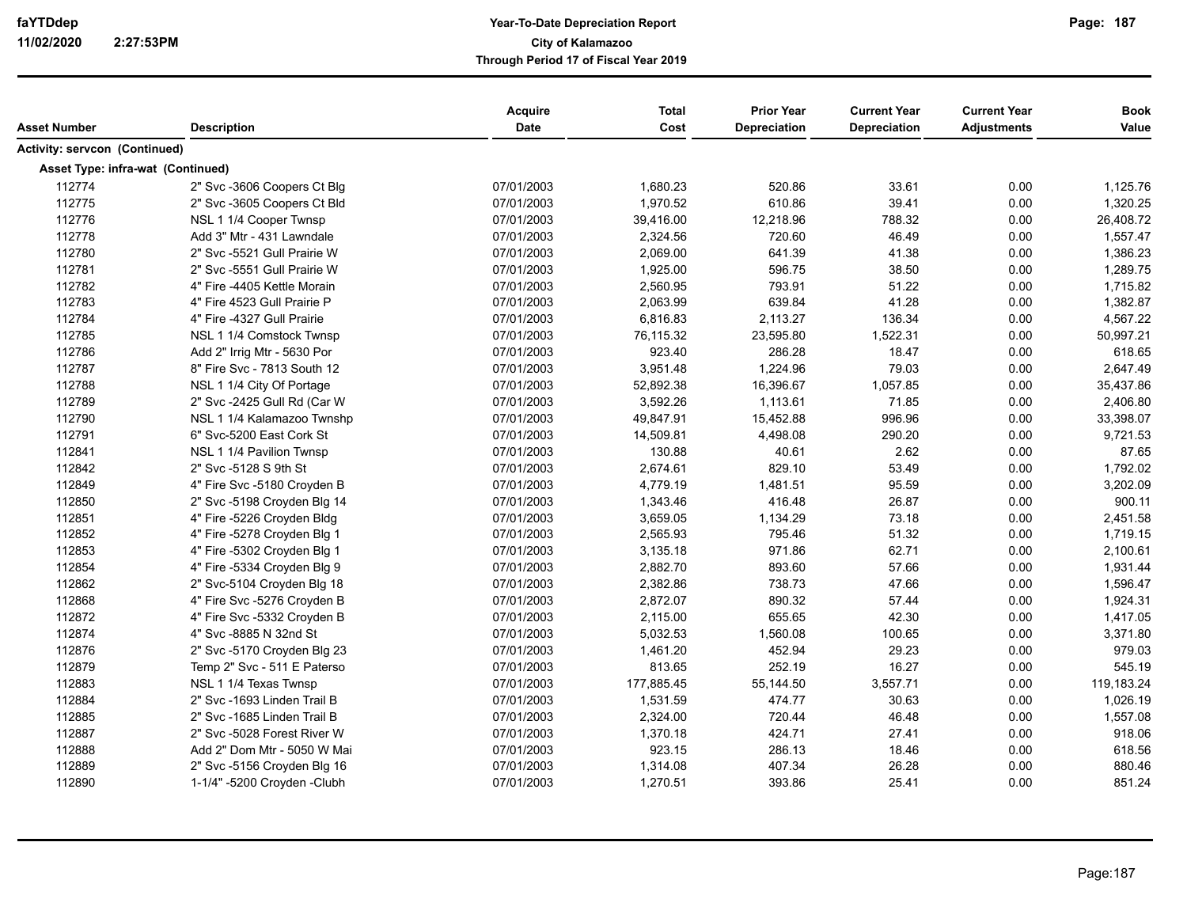|                                   |                             | <b>Acquire</b> | <b>Total</b> | <b>Prior Year</b>   | <b>Current Year</b> | <b>Current Year</b> | <b>Book</b> |
|-----------------------------------|-----------------------------|----------------|--------------|---------------------|---------------------|---------------------|-------------|
| <b>Asset Number</b>               | <b>Description</b>          | Date           | Cost         | <b>Depreciation</b> | <b>Depreciation</b> | <b>Adjustments</b>  | Value       |
| Activity: servcon (Continued)     |                             |                |              |                     |                     |                     |             |
| Asset Type: infra-wat (Continued) |                             |                |              |                     |                     |                     |             |
| 112774                            | 2" Svc -3606 Coopers Ct Blg | 07/01/2003     | 1,680.23     | 520.86              | 33.61               | 0.00                | 1,125.76    |
| 112775                            | 2" Svc -3605 Coopers Ct Bld | 07/01/2003     | 1,970.52     | 610.86              | 39.41               | 0.00                | 1,320.25    |
| 112776                            | NSL 1 1/4 Cooper Twnsp      | 07/01/2003     | 39,416.00    | 12,218.96           | 788.32              | 0.00                | 26,408.72   |
| 112778                            | Add 3" Mtr - 431 Lawndale   | 07/01/2003     | 2,324.56     | 720.60              | 46.49               | 0.00                | 1,557.47    |
| 112780                            | 2" Svc -5521 Gull Prairie W | 07/01/2003     | 2,069.00     | 641.39              | 41.38               | 0.00                | 1,386.23    |
| 112781                            | 2" Svc -5551 Gull Prairie W | 07/01/2003     | 1,925.00     | 596.75              | 38.50               | 0.00                | 1,289.75    |
| 112782                            | 4" Fire -4405 Kettle Morain | 07/01/2003     | 2,560.95     | 793.91              | 51.22               | 0.00                | 1,715.82    |
| 112783                            | 4" Fire 4523 Gull Prairie P | 07/01/2003     | 2,063.99     | 639.84              | 41.28               | 0.00                | 1,382.87    |
| 112784                            | 4" Fire -4327 Gull Prairie  | 07/01/2003     | 6,816.83     | 2,113.27            | 136.34              | 0.00                | 4,567.22    |
| 112785                            | NSL 1 1/4 Comstock Twnsp    | 07/01/2003     | 76,115.32    | 23,595.80           | 1,522.31            | 0.00                | 50,997.21   |
| 112786                            | Add 2" Irrig Mtr - 5630 Por | 07/01/2003     | 923.40       | 286.28              | 18.47               | 0.00                | 618.65      |
| 112787                            | 8" Fire Svc - 7813 South 12 | 07/01/2003     | 3,951.48     | 1,224.96            | 79.03               | 0.00                | 2,647.49    |
| 112788                            | NSL 1 1/4 City Of Portage   | 07/01/2003     | 52,892.38    | 16,396.67           | 1,057.85            | 0.00                | 35,437.86   |
| 112789                            | 2" Svc -2425 Gull Rd (Car W | 07/01/2003     | 3,592.26     | 1,113.61            | 71.85               | 0.00                | 2,406.80    |
| 112790                            | NSL 1 1/4 Kalamazoo Twnshp  | 07/01/2003     | 49,847.91    | 15,452.88           | 996.96              | 0.00                | 33,398.07   |
| 112791                            | 6" Svc-5200 East Cork St    | 07/01/2003     | 14,509.81    | 4,498.08            | 290.20              | 0.00                | 9,721.53    |
| 112841                            | NSL 1 1/4 Pavilion Twnsp    | 07/01/2003     | 130.88       | 40.61               | 2.62                | 0.00                | 87.65       |
| 112842                            | 2" Svc -5128 S 9th St       | 07/01/2003     | 2,674.61     | 829.10              | 53.49               | 0.00                | 1,792.02    |
| 112849                            | 4" Fire Svc -5180 Croyden B | 07/01/2003     | 4,779.19     | 1,481.51            | 95.59               | 0.00                | 3,202.09    |
| 112850                            | 2" Svc -5198 Croyden Blg 14 | 07/01/2003     | 1,343.46     | 416.48              | 26.87               | 0.00                | 900.11      |
| 112851                            | 4" Fire -5226 Croyden Bldg  | 07/01/2003     | 3,659.05     | 1,134.29            | 73.18               | 0.00                | 2,451.58    |
| 112852                            | 4" Fire -5278 Croyden Blg 1 | 07/01/2003     | 2,565.93     | 795.46              | 51.32               | 0.00                | 1,719.15    |
| 112853                            | 4" Fire -5302 Croyden Blg 1 | 07/01/2003     | 3,135.18     | 971.86              | 62.71               | 0.00                | 2,100.61    |
| 112854                            | 4" Fire -5334 Croyden Blg 9 | 07/01/2003     | 2,882.70     | 893.60              | 57.66               | 0.00                | 1,931.44    |
| 112862                            | 2" Svc-5104 Croyden Blg 18  | 07/01/2003     | 2,382.86     | 738.73              | 47.66               | 0.00                | 1,596.47    |
| 112868                            | 4" Fire Svc -5276 Croyden B | 07/01/2003     | 2,872.07     | 890.32              | 57.44               | 0.00                | 1,924.31    |
| 112872                            | 4" Fire Svc -5332 Croyden B | 07/01/2003     | 2,115.00     | 655.65              | 42.30               | 0.00                | 1,417.05    |
| 112874                            | 4" Svc -8885 N 32nd St      | 07/01/2003     | 5,032.53     | 1,560.08            | 100.65              | 0.00                | 3,371.80    |
| 112876                            | 2" Svc -5170 Croyden Blg 23 | 07/01/2003     | 1,461.20     | 452.94              | 29.23               | 0.00                | 979.03      |
| 112879                            | Temp 2" Svc - 511 E Paterso | 07/01/2003     | 813.65       | 252.19              | 16.27               | 0.00                | 545.19      |
| 112883                            | NSL 1 1/4 Texas Twnsp       | 07/01/2003     | 177,885.45   | 55,144.50           | 3,557.71            | 0.00                | 119,183.24  |
| 112884                            | 2" Svc -1693 Linden Trail B | 07/01/2003     | 1,531.59     | 474.77              | 30.63               | 0.00                | 1,026.19    |
| 112885                            | 2" Svc -1685 Linden Trail B | 07/01/2003     | 2,324.00     | 720.44              | 46.48               | 0.00                | 1,557.08    |
| 112887                            | 2" Svc -5028 Forest River W | 07/01/2003     | 1,370.18     | 424.71              | 27.41               | 0.00                | 918.06      |
| 112888                            | Add 2" Dom Mtr - 5050 W Mai | 07/01/2003     | 923.15       | 286.13              | 18.46               | 0.00                | 618.56      |
| 112889                            | 2" Svc -5156 Croyden Blg 16 | 07/01/2003     | 1,314.08     | 407.34              | 26.28               | 0.00                | 880.46      |
| 112890                            | 1-1/4" -5200 Croyden -Clubh | 07/01/2003     | 1,270.51     | 393.86              | 25.41               | 0.00                | 851.24      |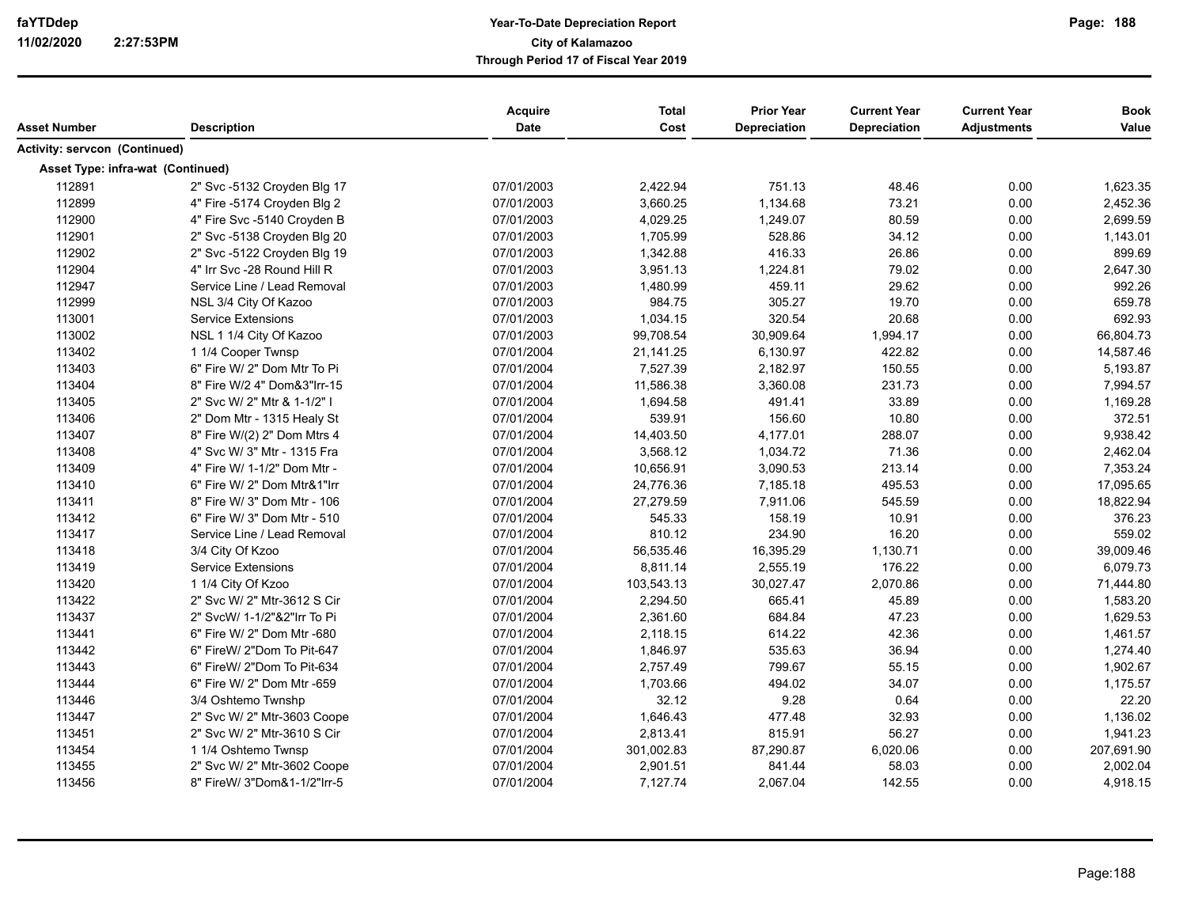|                                   |                              | <b>Acquire</b> | <b>Total</b> | <b>Prior Year</b> | <b>Current Year</b> | <b>Current Year</b> | <b>Book</b> |
|-----------------------------------|------------------------------|----------------|--------------|-------------------|---------------------|---------------------|-------------|
| Asset Number                      | <b>Description</b>           | Date           | Cost         | Depreciation      | <b>Depreciation</b> | <b>Adjustments</b>  | Value       |
| Activity: servcon (Continued)     |                              |                |              |                   |                     |                     |             |
| Asset Type: infra-wat (Continued) |                              |                |              |                   |                     |                     |             |
| 112891                            | 2" Svc -5132 Croyden Blg 17  | 07/01/2003     | 2,422.94     | 751.13            | 48.46               | 0.00                | 1,623.35    |
| 112899                            | 4" Fire -5174 Croyden Blg 2  | 07/01/2003     | 3,660.25     | 1,134.68          | 73.21               | 0.00                | 2,452.36    |
| 112900                            | 4" Fire Svc -5140 Croyden B  | 07/01/2003     | 4,029.25     | 1,249.07          | 80.59               | 0.00                | 2,699.59    |
| 112901                            | 2" Svc -5138 Croyden Blg 20  | 07/01/2003     | 1,705.99     | 528.86            | 34.12               | 0.00                | 1,143.01    |
| 112902                            | 2" Svc -5122 Croyden Blg 19  | 07/01/2003     | 1,342.88     | 416.33            | 26.86               | 0.00                | 899.69      |
| 112904                            | 4" Irr Svc -28 Round Hill R  | 07/01/2003     | 3,951.13     | 1,224.81          | 79.02               | 0.00                | 2,647.30    |
| 112947                            | Service Line / Lead Removal  | 07/01/2003     | 1,480.99     | 459.11            | 29.62               | 0.00                | 992.26      |
| 112999                            | NSL 3/4 City Of Kazoo        | 07/01/2003     | 984.75       | 305.27            | 19.70               | 0.00                | 659.78      |
| 113001                            | <b>Service Extensions</b>    | 07/01/2003     | 1,034.15     | 320.54            | 20.68               | 0.00                | 692.93      |
| 113002                            | NSL 1 1/4 City Of Kazoo      | 07/01/2003     | 99,708.54    | 30,909.64         | 1,994.17            | 0.00                | 66,804.73   |
| 113402                            | 1 1/4 Cooper Twnsp           | 07/01/2004     | 21,141.25    | 6,130.97          | 422.82              | 0.00                | 14,587.46   |
| 113403                            | 6" Fire W/ 2" Dom Mtr To Pi  | 07/01/2004     | 7,527.39     | 2,182.97          | 150.55              | 0.00                | 5,193.87    |
| 113404                            | 8" Fire W/2 4" Dom&3" Irr-15 | 07/01/2004     | 11,586.38    | 3,360.08          | 231.73              | 0.00                | 7,994.57    |
| 113405                            | 2" Svc W/ 2" Mtr & 1-1/2" I  | 07/01/2004     | 1,694.58     | 491.41            | 33.89               | 0.00                | 1,169.28    |
| 113406                            | 2" Dom Mtr - 1315 Healy St   | 07/01/2004     | 539.91       | 156.60            | 10.80               | 0.00                | 372.51      |
| 113407                            | 8" Fire W/(2) 2" Dom Mtrs 4  | 07/01/2004     | 14,403.50    | 4,177.01          | 288.07              | 0.00                | 9,938.42    |
| 113408                            | 4" Svc W/ 3" Mtr - 1315 Fra  | 07/01/2004     | 3,568.12     | 1,034.72          | 71.36               | 0.00                | 2,462.04    |
| 113409                            | 4" Fire W/ 1-1/2" Dom Mtr -  | 07/01/2004     | 10,656.91    | 3,090.53          | 213.14              | 0.00                | 7,353.24    |
| 113410                            | 6" Fire W/ 2" Dom Mtr&1"Irr  | 07/01/2004     | 24,776.36    | 7,185.18          | 495.53              | 0.00                | 17,095.65   |
| 113411                            | 8" Fire W/ 3" Dom Mtr - 106  | 07/01/2004     | 27,279.59    | 7,911.06          | 545.59              | 0.00                | 18,822.94   |
| 113412                            | 6" Fire W/ 3" Dom Mtr - 510  | 07/01/2004     | 545.33       | 158.19            | 10.91               | 0.00                | 376.23      |
| 113417                            | Service Line / Lead Removal  | 07/01/2004     | 810.12       | 234.90            | 16.20               | 0.00                | 559.02      |
| 113418                            | 3/4 City Of Kzoo             | 07/01/2004     | 56,535.46    | 16,395.29         | 1,130.71            | 0.00                | 39,009.46   |
| 113419                            | <b>Service Extensions</b>    | 07/01/2004     | 8,811.14     | 2,555.19          | 176.22              | 0.00                | 6,079.73    |
| 113420                            | 1 1/4 City Of Kzoo           | 07/01/2004     | 103,543.13   | 30,027.47         | 2,070.86            | 0.00                | 71,444.80   |
| 113422                            | 2" Svc W/ 2" Mtr-3612 S Cir  | 07/01/2004     | 2,294.50     | 665.41            | 45.89               | 0.00                | 1,583.20    |
| 113437                            | 2" SvcW/ 1-1/2"&2"Irr To Pi  | 07/01/2004     | 2,361.60     | 684.84            | 47.23               | 0.00                | 1,629.53    |
| 113441                            | 6" Fire W/ 2" Dom Mtr -680   | 07/01/2004     | 2,118.15     | 614.22            | 42.36               | 0.00                | 1,461.57    |
| 113442                            | 6" FireW/ 2"Dom To Pit-647   | 07/01/2004     | 1,846.97     | 535.63            | 36.94               | 0.00                | 1,274.40    |
| 113443                            | 6" FireW/ 2"Dom To Pit-634   | 07/01/2004     | 2,757.49     | 799.67            | 55.15               | 0.00                | 1,902.67    |
| 113444                            | 6" Fire W/ 2" Dom Mtr -659   | 07/01/2004     | 1,703.66     | 494.02            | 34.07               | 0.00                | 1,175.57    |
| 113446                            | 3/4 Oshtemo Twnshp           | 07/01/2004     | 32.12        | 9.28              | 0.64                | 0.00                | 22.20       |
| 113447                            | 2" Svc W/ 2" Mtr-3603 Coope  | 07/01/2004     | 1,646.43     | 477.48            | 32.93               | 0.00                | 1,136.02    |
| 113451                            | 2" Svc W/ 2" Mtr-3610 S Cir  | 07/01/2004     | 2,813.41     | 815.91            | 56.27               | 0.00                | 1,941.23    |
| 113454                            | 1 1/4 Oshtemo Twnsp          | 07/01/2004     | 301,002.83   | 87,290.87         | 6,020.06            | 0.00                | 207,691.90  |
| 113455                            | 2" Svc W/ 2" Mtr-3602 Coope  | 07/01/2004     | 2,901.51     | 841.44            | 58.03               | 0.00                | 2,002.04    |
| 113456                            | 8" FireW/ 3"Dom&1-1/2"Irr-5  | 07/01/2004     | 7,127.74     | 2,067.04          | 142.55              | 0.00                | 4,918.15    |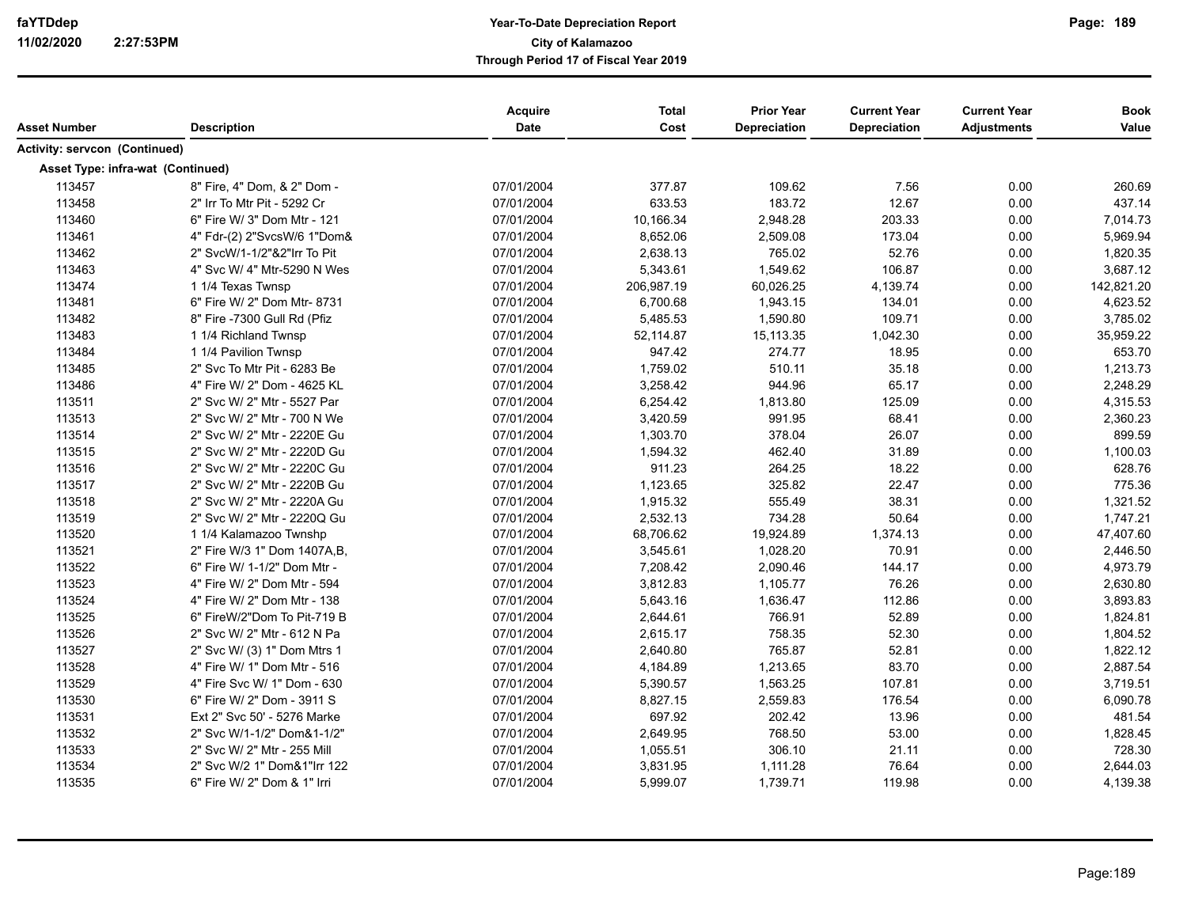| Asset Number                      | <b>Description</b>          | Acquire<br><b>Date</b> | <b>Total</b><br>Cost | <b>Prior Year</b><br><b>Depreciation</b> | <b>Current Year</b><br><b>Depreciation</b> | <b>Current Year</b><br><b>Adjustments</b> | <b>Book</b><br>Value |
|-----------------------------------|-----------------------------|------------------------|----------------------|------------------------------------------|--------------------------------------------|-------------------------------------------|----------------------|
| Activity: servcon (Continued)     |                             |                        |                      |                                          |                                            |                                           |                      |
| Asset Type: infra-wat (Continued) |                             |                        |                      |                                          |                                            |                                           |                      |
| 113457                            | 8" Fire, 4" Dom, & 2" Dom - | 07/01/2004             | 377.87               | 109.62                                   | 7.56                                       | 0.00                                      | 260.69               |
| 113458                            | 2" Irr To Mtr Pit - 5292 Cr | 07/01/2004             | 633.53               | 183.72                                   | 12.67                                      | 0.00                                      | 437.14               |
| 113460                            | 6" Fire W/ 3" Dom Mtr - 121 | 07/01/2004             | 10,166.34            | 2,948.28                                 | 203.33                                     | 0.00                                      | 7,014.73             |
| 113461                            | 4" Fdr-(2) 2"SvcsW/6 1"Dom& | 07/01/2004             | 8,652.06             | 2,509.08                                 | 173.04                                     | 0.00                                      | 5,969.94             |
| 113462                            | 2" SvcW/1-1/2"&2"Irr To Pit | 07/01/2004             | 2,638.13             | 765.02                                   | 52.76                                      | 0.00                                      | 1,820.35             |
| 113463                            | 4" Svc W/ 4" Mtr-5290 N Wes | 07/01/2004             | 5,343.61             | 1,549.62                                 | 106.87                                     | 0.00                                      | 3,687.12             |
| 113474                            | 1 1/4 Texas Twnsp           | 07/01/2004             | 206,987.19           | 60,026.25                                | 4,139.74                                   | 0.00                                      | 142,821.20           |
| 113481                            | 6" Fire W/ 2" Dom Mtr- 8731 | 07/01/2004             | 6,700.68             | 1,943.15                                 | 134.01                                     | 0.00                                      | 4,623.52             |
| 113482                            | 8" Fire -7300 Gull Rd (Pfiz | 07/01/2004             | 5,485.53             | 1,590.80                                 | 109.71                                     | 0.00                                      | 3,785.02             |
| 113483                            | 1 1/4 Richland Twnsp        | 07/01/2004             | 52,114.87            | 15, 113.35                               | 1,042.30                                   | 0.00                                      | 35,959.22            |
| 113484                            | 1 1/4 Pavilion Twnsp        | 07/01/2004             | 947.42               | 274.77                                   | 18.95                                      | 0.00                                      | 653.70               |
| 113485                            | 2" Svc To Mtr Pit - 6283 Be | 07/01/2004             | 1,759.02             | 510.11                                   | 35.18                                      | 0.00                                      | 1,213.73             |
| 113486                            | 4" Fire W/ 2" Dom - 4625 KL | 07/01/2004             | 3,258.42             | 944.96                                   | 65.17                                      | 0.00                                      | 2,248.29             |
| 113511                            | 2" Svc W/ 2" Mtr - 5527 Par | 07/01/2004             | 6,254.42             | 1,813.80                                 | 125.09                                     | 0.00                                      | 4,315.53             |
| 113513                            | 2" Svc W/ 2" Mtr - 700 N We | 07/01/2004             | 3,420.59             | 991.95                                   | 68.41                                      | 0.00                                      | 2,360.23             |
| 113514                            | 2" Svc W/ 2" Mtr - 2220E Gu | 07/01/2004             | 1,303.70             | 378.04                                   | 26.07                                      | 0.00                                      | 899.59               |
| 113515                            | 2" Svc W/ 2" Mtr - 2220D Gu | 07/01/2004             | 1,594.32             | 462.40                                   | 31.89                                      | 0.00                                      | 1,100.03             |
| 113516                            | 2" Svc W/ 2" Mtr - 2220C Gu | 07/01/2004             | 911.23               | 264.25                                   | 18.22                                      | 0.00                                      | 628.76               |
| 113517                            | 2" Svc W/ 2" Mtr - 2220B Gu | 07/01/2004             | 1,123.65             | 325.82                                   | 22.47                                      | 0.00                                      | 775.36               |
| 113518                            | 2" Svc W/ 2" Mtr - 2220A Gu | 07/01/2004             | 1,915.32             | 555.49                                   | 38.31                                      | 0.00                                      | 1,321.52             |
| 113519                            | 2" Svc W/ 2" Mtr - 2220Q Gu | 07/01/2004             | 2,532.13             | 734.28                                   | 50.64                                      | 0.00                                      | 1,747.21             |
| 113520                            | 1 1/4 Kalamazoo Twnshp      | 07/01/2004             | 68,706.62            | 19,924.89                                | 1,374.13                                   | 0.00                                      | 47,407.60            |
| 113521                            | 2" Fire W/3 1" Dom 1407A,B, | 07/01/2004             | 3,545.61             | 1,028.20                                 | 70.91                                      | 0.00                                      | 2,446.50             |
| 113522                            | 6" Fire W/ 1-1/2" Dom Mtr - | 07/01/2004             | 7,208.42             | 2,090.46                                 | 144.17                                     | 0.00                                      | 4,973.79             |
| 113523                            | 4" Fire W/ 2" Dom Mtr - 594 | 07/01/2004             | 3,812.83             | 1,105.77                                 | 76.26                                      | 0.00                                      | 2,630.80             |
| 113524                            | 4" Fire W/ 2" Dom Mtr - 138 | 07/01/2004             | 5,643.16             | 1,636.47                                 | 112.86                                     | 0.00                                      | 3,893.83             |
| 113525                            | 6" FireW/2"Dom To Pit-719 B | 07/01/2004             | 2,644.61             | 766.91                                   | 52.89                                      | 0.00                                      | 1,824.81             |
| 113526                            | 2" Svc W/ 2" Mtr - 612 N Pa | 07/01/2004             | 2,615.17             | 758.35                                   | 52.30                                      | 0.00                                      | 1,804.52             |
| 113527                            | 2" Svc W/ (3) 1" Dom Mtrs 1 | 07/01/2004             | 2,640.80             | 765.87                                   | 52.81                                      | 0.00                                      | 1,822.12             |
| 113528                            | 4" Fire W/ 1" Dom Mtr - 516 | 07/01/2004             | 4,184.89             | 1,213.65                                 | 83.70                                      | 0.00                                      | 2,887.54             |
| 113529                            | 4" Fire Svc W/ 1" Dom - 630 | 07/01/2004             | 5,390.57             | 1,563.25                                 | 107.81                                     | 0.00                                      | 3,719.51             |
| 113530                            | 6" Fire W/ 2" Dom - 3911 S  | 07/01/2004             | 8,827.15             | 2,559.83                                 | 176.54                                     | 0.00                                      | 6,090.78             |
| 113531                            | Ext 2" Svc 50' - 5276 Marke | 07/01/2004             | 697.92               | 202.42                                   | 13.96                                      | 0.00                                      | 481.54               |
| 113532                            | 2" Svc W/1-1/2" Dom&1-1/2"  | 07/01/2004             | 2,649.95             | 768.50                                   | 53.00                                      | 0.00                                      | 1,828.45             |
| 113533                            | 2" Svc W/ 2" Mtr - 255 Mill | 07/01/2004             | 1,055.51             | 306.10                                   | 21.11                                      | 0.00                                      | 728.30               |
| 113534                            | 2" Svc W/2 1" Dom&1"Irr 122 | 07/01/2004             | 3,831.95             | 1,111.28                                 | 76.64                                      | 0.00                                      | 2,644.03             |
| 113535                            | 6" Fire W/ 2" Dom & 1" Irri | 07/01/2004             | 5,999.07             | 1,739.71                                 | 119.98                                     | 0.00                                      | 4,139.38             |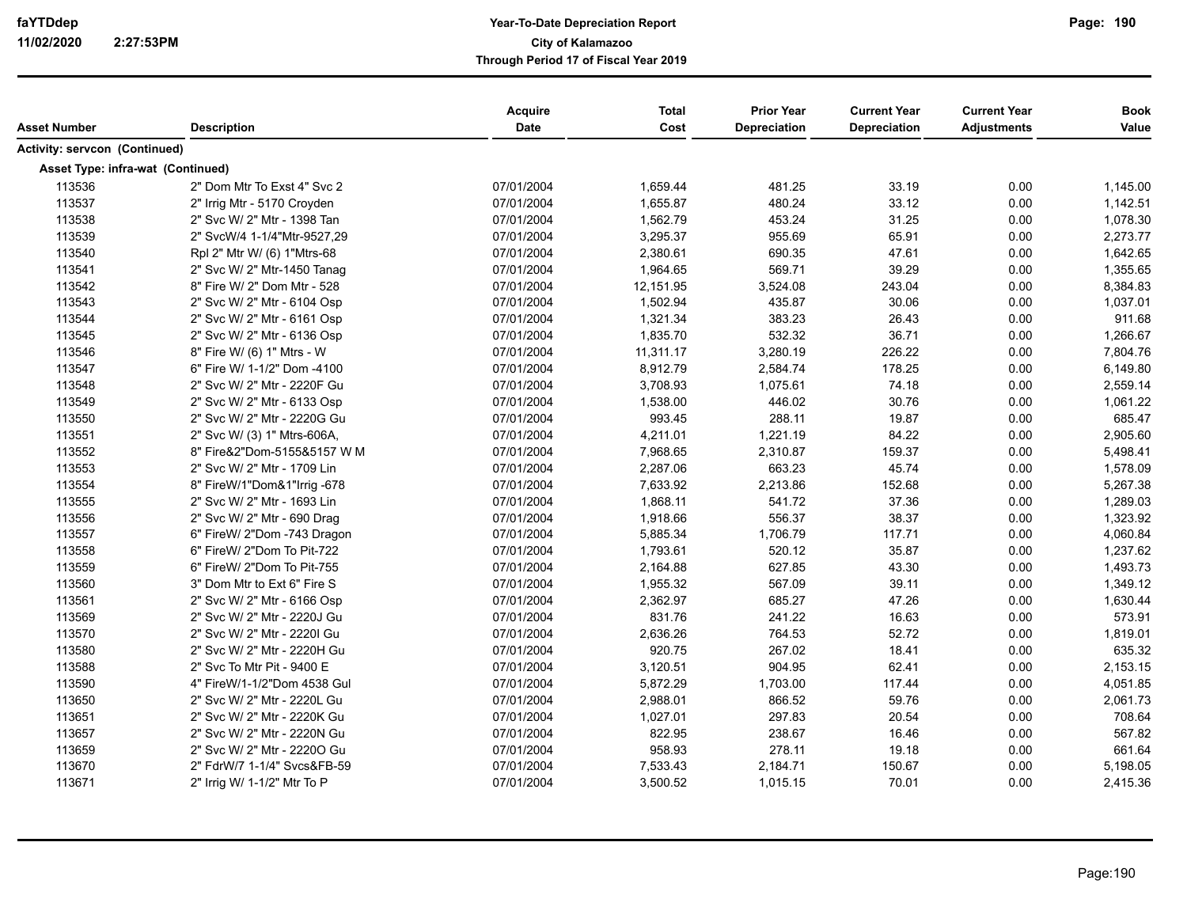| Asset Number                      | <b>Description</b>                                         | Acquire<br><b>Date</b>   | <b>Total</b><br>Cost | <b>Prior Year</b><br><b>Depreciation</b> | <b>Current Year</b><br><b>Depreciation</b> | <b>Current Year</b><br><b>Adjustments</b> | <b>Book</b><br>Value |
|-----------------------------------|------------------------------------------------------------|--------------------------|----------------------|------------------------------------------|--------------------------------------------|-------------------------------------------|----------------------|
| Activity: servcon (Continued)     |                                                            |                          |                      |                                          |                                            |                                           |                      |
| Asset Type: infra-wat (Continued) |                                                            |                          |                      |                                          |                                            |                                           |                      |
| 113536                            | 2" Dom Mtr To Exst 4" Svc 2                                | 07/01/2004               | 1,659.44             | 481.25                                   | 33.19                                      | 0.00                                      | 1,145.00             |
| 113537                            | 2" Irrig Mtr - 5170 Croyden                                | 07/01/2004               | 1,655.87             | 480.24                                   | 33.12                                      | 0.00                                      | 1,142.51             |
| 113538                            | 2" Svc W/ 2" Mtr - 1398 Tan                                | 07/01/2004               | 1,562.79             | 453.24                                   | 31.25                                      | 0.00                                      | 1,078.30             |
| 113539                            | 2" SvcW/4 1-1/4"Mtr-9527,29                                | 07/01/2004               | 3,295.37             | 955.69                                   | 65.91                                      | 0.00                                      | 2,273.77             |
| 113540                            | Rpl 2" Mtr W/ (6) 1"Mtrs-68                                | 07/01/2004               | 2,380.61             | 690.35                                   | 47.61                                      | 0.00                                      | 1,642.65             |
| 113541                            | 2" Svc W/ 2" Mtr-1450 Tanag                                | 07/01/2004               | 1,964.65             | 569.71                                   | 39.29                                      | 0.00                                      | 1,355.65             |
| 113542                            | 8" Fire W/ 2" Dom Mtr - 528                                | 07/01/2004               | 12,151.95            | 3,524.08                                 | 243.04                                     | 0.00                                      | 8,384.83             |
| 113543                            | 2" Svc W/ 2" Mtr - 6104 Osp                                | 07/01/2004               | 1,502.94             | 435.87                                   | 30.06                                      | 0.00                                      | 1,037.01             |
| 113544                            | 2" Svc W/ 2" Mtr - 6161 Osp                                | 07/01/2004               | 1,321.34             | 383.23                                   | 26.43                                      | 0.00                                      | 911.68               |
| 113545                            | 2" Svc W/ 2" Mtr - 6136 Osp                                | 07/01/2004               | 1,835.70             | 532.32                                   | 36.71                                      | 0.00                                      | 1,266.67             |
| 113546                            | 8" Fire W/ (6) 1" Mtrs - W                                 | 07/01/2004               | 11,311.17            | 3,280.19                                 | 226.22                                     | 0.00                                      | 7,804.76             |
| 113547                            | 6" Fire W/ 1-1/2" Dom -4100                                | 07/01/2004               | 8,912.79             | 2,584.74                                 | 178.25                                     | 0.00                                      | 6,149.80             |
| 113548                            | 2" Svc W/ 2" Mtr - 2220F Gu                                | 07/01/2004               | 3,708.93             | 1,075.61                                 | 74.18                                      | 0.00                                      | 2,559.14             |
| 113549                            | 2" Svc W/ 2" Mtr - 6133 Osp                                | 07/01/2004               | 1,538.00             | 446.02                                   | 30.76                                      | 0.00                                      | 1,061.22             |
| 113550                            | 2" Svc W/ 2" Mtr - 2220G Gu                                | 07/01/2004               | 993.45               | 288.11                                   | 19.87                                      | 0.00                                      | 685.47               |
| 113551                            | 2" Svc W/ (3) 1" Mtrs-606A,                                | 07/01/2004               | 4,211.01             | 1,221.19                                 | 84.22                                      | 0.00                                      | 2,905.60             |
| 113552                            | 8" Fire&2"Dom-5155&5157 W M                                | 07/01/2004               | 7,968.65             | 2,310.87                                 | 159.37                                     | 0.00                                      | 5,498.41             |
| 113553                            | 2" Svc W/ 2" Mtr - 1709 Lin                                | 07/01/2004               | 2,287.06             | 663.23                                   | 45.74                                      | 0.00                                      | 1,578.09             |
| 113554                            | 8" FireW/1"Dom&1"Irrig -678                                | 07/01/2004               | 7,633.92             | 2,213.86                                 | 152.68                                     | 0.00                                      | 5,267.38             |
| 113555                            | 2" Svc W/ 2" Mtr - 1693 Lin                                | 07/01/2004               | 1,868.11             | 541.72                                   | 37.36                                      | 0.00                                      | 1,289.03             |
| 113556                            | 2" Svc W/ 2" Mtr - 690 Drag                                | 07/01/2004               | 1,918.66             | 556.37                                   | 38.37                                      | 0.00                                      | 1,323.92             |
| 113557                            | 6" FireW/ 2"Dom -743 Dragon                                | 07/01/2004               | 5,885.34             | 1,706.79                                 | 117.71                                     | 0.00                                      | 4,060.84             |
| 113558                            | 6" FireW/ 2"Dom To Pit-722                                 | 07/01/2004               | 1,793.61             | 520.12                                   | 35.87                                      | 0.00                                      | 1,237.62             |
| 113559                            | 6" FireW/ 2"Dom To Pit-755                                 | 07/01/2004               | 2,164.88             | 627.85                                   | 43.30                                      | 0.00                                      | 1,493.73             |
| 113560                            | 3" Dom Mtr to Ext 6" Fire S                                | 07/01/2004               | 1,955.32             | 567.09                                   | 39.11                                      | 0.00                                      | 1,349.12             |
| 113561                            | 2" Svc W/ 2" Mtr - 6166 Osp                                | 07/01/2004               | 2,362.97             | 685.27                                   | 47.26                                      | 0.00                                      | 1,630.44             |
| 113569                            | 2" Svc W/ 2" Mtr - 2220J Gu                                | 07/01/2004               | 831.76               | 241.22                                   | 16.63                                      | 0.00                                      | 573.91               |
| 113570                            | 2" Svc W/ 2" Mtr - 2220I Gu                                | 07/01/2004               | 2,636.26             | 764.53                                   | 52.72                                      | 0.00                                      | 1,819.01             |
| 113580                            | 2" Svc W/ 2" Mtr - 2220H Gu                                | 07/01/2004               | 920.75               | 267.02                                   | 18.41                                      | 0.00                                      | 635.32               |
| 113588                            | 2" Svc To Mtr Pit - 9400 E                                 | 07/01/2004               | 3,120.51             | 904.95                                   | 62.41                                      | 0.00                                      | 2,153.15             |
| 113590                            | 4" FireW/1-1/2"Dom 4538 Gul                                | 07/01/2004               | 5,872.29             | 1,703.00                                 | 117.44                                     | 0.00                                      | 4,051.85             |
| 113650                            | 2" Svc W/ 2" Mtr - 2220L Gu                                | 07/01/2004               | 2,988.01             | 866.52                                   | 59.76                                      | 0.00                                      | 2,061.73             |
| 113651                            |                                                            | 07/01/2004               | 1,027.01             | 297.83                                   | 20.54                                      | 0.00                                      | 708.64               |
| 113657                            | 2" Svc W/ 2" Mtr - 2220K Gu                                |                          |                      |                                          |                                            |                                           |                      |
| 113659                            | 2" Svc W/ 2" Mtr - 2220N Gu                                | 07/01/2004               | 822.95               | 238.67<br>278.11                         | 16.46                                      | 0.00                                      | 567.82               |
| 113670                            | 2" Svc W/ 2" Mtr - 22200 Gu<br>2" FdrW/7 1-1/4" Svcs&FB-59 | 07/01/2004<br>07/01/2004 | 958.93               |                                          | 19.18<br>150.67                            | 0.00<br>0.00                              | 661.64               |
|                                   |                                                            |                          | 7,533.43             | 2,184.71                                 |                                            |                                           | 5,198.05             |
| 113671                            | 2" Irrig W/ 1-1/2" Mtr To P                                | 07/01/2004               | 3,500.52             | 1,015.15                                 | 70.01                                      | 0.00                                      | 2,415.36             |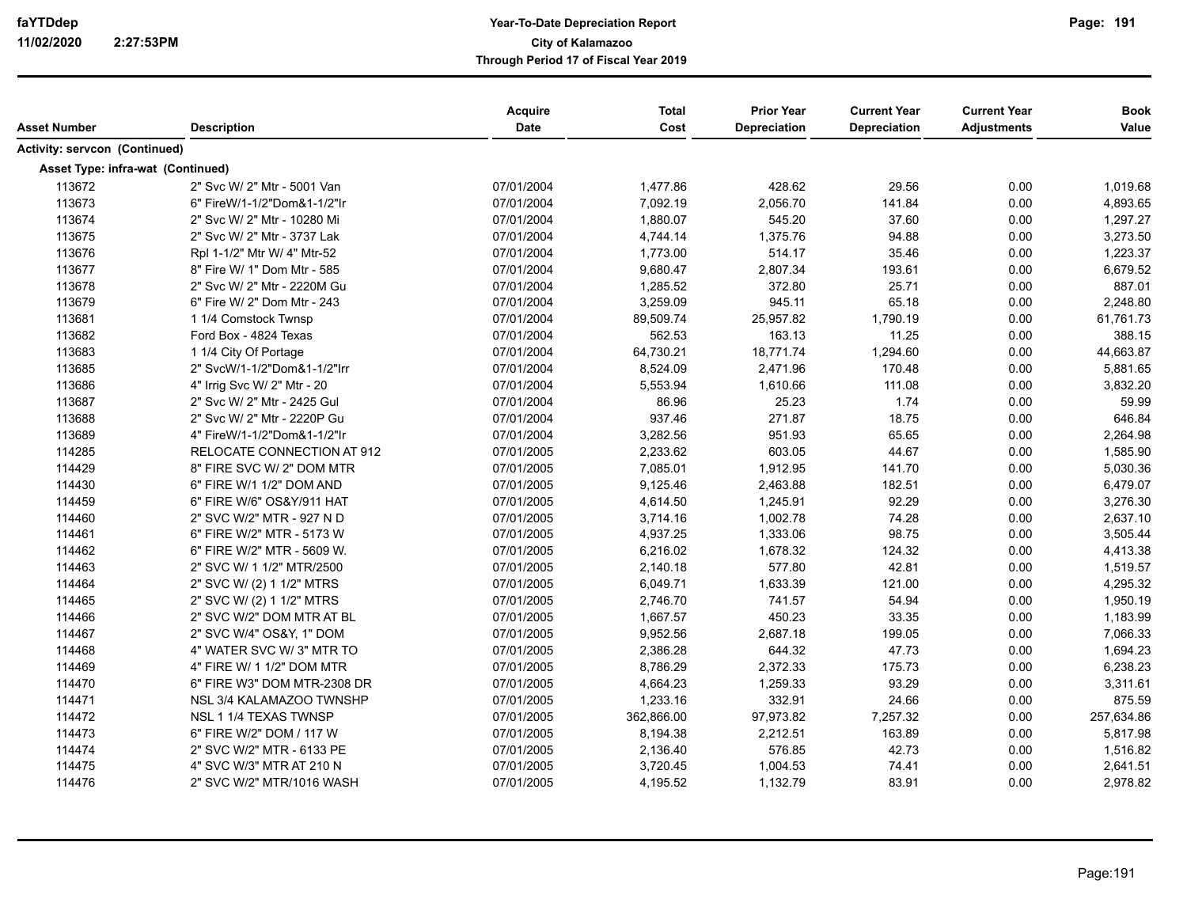| Asset Number                      | <b>Description</b>          | Acquire<br>Date | <b>Total</b><br>Cost | <b>Prior Year</b><br>Depreciation | <b>Current Year</b><br><b>Depreciation</b> | <b>Current Year</b><br><b>Adjustments</b> | <b>Book</b><br>Value |
|-----------------------------------|-----------------------------|-----------------|----------------------|-----------------------------------|--------------------------------------------|-------------------------------------------|----------------------|
| Activity: servcon (Continued)     |                             |                 |                      |                                   |                                            |                                           |                      |
| Asset Type: infra-wat (Continued) |                             |                 |                      |                                   |                                            |                                           |                      |
| 113672                            | 2" Svc W/ 2" Mtr - 5001 Van | 07/01/2004      | 1,477.86             | 428.62                            | 29.56                                      | 0.00                                      | 1,019.68             |
| 113673                            | 6" FireW/1-1/2"Dom&1-1/2"Ir | 07/01/2004      | 7,092.19             | 2,056.70                          | 141.84                                     | 0.00                                      | 4,893.65             |
| 113674                            | 2" Svc W/ 2" Mtr - 10280 Mi | 07/01/2004      | 1,880.07             | 545.20                            | 37.60                                      | 0.00                                      | 1,297.27             |
| 113675                            | 2" Svc W/ 2" Mtr - 3737 Lak | 07/01/2004      | 4,744.14             | 1,375.76                          | 94.88                                      | 0.00                                      | 3,273.50             |
| 113676                            | Rpl 1-1/2" Mtr W/ 4" Mtr-52 | 07/01/2004      | 1,773.00             | 514.17                            | 35.46                                      | 0.00                                      | 1,223.37             |
| 113677                            | 8" Fire W/ 1" Dom Mtr - 585 | 07/01/2004      | 9,680.47             | 2,807.34                          | 193.61                                     | 0.00                                      | 6,679.52             |
| 113678                            | 2" Svc W/ 2" Mtr - 2220M Gu | 07/01/2004      | 1,285.52             | 372.80                            | 25.71                                      | 0.00                                      | 887.01               |
| 113679                            | 6" Fire W/ 2" Dom Mtr - 243 | 07/01/2004      | 3,259.09             | 945.11                            | 65.18                                      | 0.00                                      | 2,248.80             |
| 113681                            | 1 1/4 Comstock Twnsp        | 07/01/2004      | 89,509.74            | 25,957.82                         | 1,790.19                                   | 0.00                                      | 61,761.73            |
| 113682                            | Ford Box - 4824 Texas       | 07/01/2004      | 562.53               | 163.13                            | 11.25                                      | 0.00                                      | 388.15               |
| 113683                            | 1 1/4 City Of Portage       | 07/01/2004      | 64,730.21            | 18,771.74                         | 1,294.60                                   | 0.00                                      | 44,663.87            |
| 113685                            | 2" SvcW/1-1/2"Dom&1-1/2"Irr | 07/01/2004      | 8,524.09             | 2,471.96                          | 170.48                                     | 0.00                                      | 5,881.65             |
| 113686                            | 4" Irrig Svc W/ 2" Mtr - 20 | 07/01/2004      | 5,553.94             | 1,610.66                          | 111.08                                     | 0.00                                      | 3,832.20             |
| 113687                            | 2" Svc W/ 2" Mtr - 2425 Gul | 07/01/2004      | 86.96                | 25.23                             | 1.74                                       | 0.00                                      | 59.99                |
| 113688                            | 2" Svc W/ 2" Mtr - 2220P Gu | 07/01/2004      | 937.46               | 271.87                            | 18.75                                      | 0.00                                      | 646.84               |
| 113689                            | 4" FireW/1-1/2"Dom&1-1/2"Ir | 07/01/2004      | 3,282.56             | 951.93                            | 65.65                                      | 0.00                                      | 2,264.98             |
| 114285                            | RELOCATE CONNECTION AT 912  | 07/01/2005      | 2,233.62             | 603.05                            | 44.67                                      | 0.00                                      | 1,585.90             |
| 114429                            | 8" FIRE SVC W/ 2" DOM MTR   | 07/01/2005      | 7,085.01             | 1,912.95                          | 141.70                                     | 0.00                                      | 5,030.36             |
| 114430                            | 6" FIRE W/1 1/2" DOM AND    | 07/01/2005      | 9,125.46             | 2,463.88                          | 182.51                                     | 0.00                                      | 6,479.07             |
| 114459                            | 6" FIRE W/6" OS&Y/911 HAT   | 07/01/2005      | 4,614.50             | 1,245.91                          | 92.29                                      | 0.00                                      | 3,276.30             |
| 114460                            | 2" SVC W/2" MTR - 927 N D   | 07/01/2005      | 3,714.16             | 1,002.78                          | 74.28                                      | 0.00                                      | 2,637.10             |
| 114461                            | 6" FIRE W/2" MTR - 5173 W   | 07/01/2005      | 4,937.25             | 1,333.06                          | 98.75                                      | 0.00                                      | 3,505.44             |
| 114462                            | 6" FIRE W/2" MTR - 5609 W.  | 07/01/2005      | 6,216.02             | 1,678.32                          | 124.32                                     | 0.00                                      | 4,413.38             |
| 114463                            | 2" SVC W/ 1 1/2" MTR/2500   | 07/01/2005      | 2,140.18             | 577.80                            | 42.81                                      | 0.00                                      | 1,519.57             |
| 114464                            | 2" SVC W/ (2) 1 1/2" MTRS   | 07/01/2005      | 6,049.71             | 1,633.39                          | 121.00                                     | 0.00                                      | 4,295.32             |
| 114465                            | 2" SVC W/ (2) 1 1/2" MTRS   | 07/01/2005      | 2,746.70             | 741.57                            | 54.94                                      | 0.00                                      | 1,950.19             |
| 114466                            | 2" SVC W/2" DOM MTR AT BL   | 07/01/2005      | 1,667.57             | 450.23                            | 33.35                                      | 0.00                                      | 1,183.99             |
| 114467                            | 2" SVC W/4" OS&Y, 1" DOM    | 07/01/2005      | 9,952.56             | 2,687.18                          | 199.05                                     | 0.00                                      | 7,066.33             |
| 114468                            | 4" WATER SVC W/3" MTR TO    | 07/01/2005      | 2,386.28             | 644.32                            | 47.73                                      | 0.00                                      | 1,694.23             |
| 114469                            | 4" FIRE W/ 1 1/2" DOM MTR   | 07/01/2005      | 8,786.29             | 2,372.33                          | 175.73                                     | 0.00                                      | 6,238.23             |
| 114470                            | 6" FIRE W3" DOM MTR-2308 DR | 07/01/2005      | 4,664.23             | 1,259.33                          | 93.29                                      | 0.00                                      | 3,311.61             |
| 114471                            | NSL 3/4 KALAMAZOO TWNSHP    | 07/01/2005      | 1,233.16             | 332.91                            | 24.66                                      | 0.00                                      | 875.59               |
| 114472                            | NSL 1 1/4 TEXAS TWNSP       | 07/01/2005      | 362,866.00           | 97,973.82                         | 7,257.32                                   | 0.00                                      | 257,634.86           |
| 114473                            | 6" FIRE W/2" DOM / 117 W    | 07/01/2005      | 8,194.38             | 2,212.51                          | 163.89                                     | 0.00                                      | 5,817.98             |
| 114474                            | 2" SVC W/2" MTR - 6133 PE   | 07/01/2005      | 2,136.40             | 576.85                            | 42.73                                      | 0.00                                      | 1,516.82             |
| 114475                            | 4" SVC W/3" MTR AT 210 N    | 07/01/2005      | 3,720.45             | 1,004.53                          | 74.41                                      | 0.00                                      | 2,641.51             |
| 114476                            | 2" SVC W/2" MTR/1016 WASH   | 07/01/2005      | 4,195.52             | 1,132.79                          | 83.91                                      | 0.00                                      | 2,978.82             |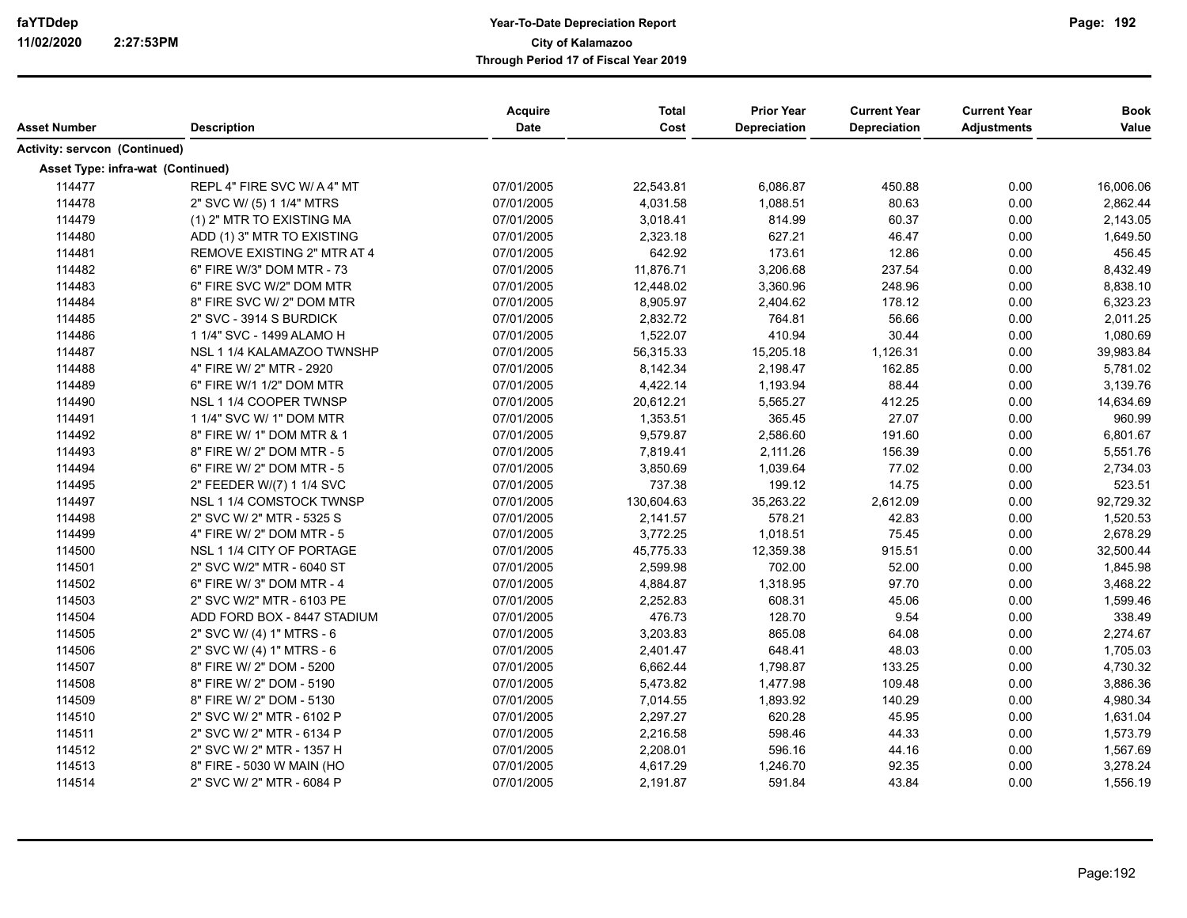| Asset Number                      | <b>Description</b>          | Acquire<br><b>Date</b> | <b>Total</b><br>Cost | <b>Prior Year</b><br><b>Depreciation</b> | <b>Current Year</b><br><b>Depreciation</b> | <b>Current Year</b><br><b>Adjustments</b> | <b>Book</b><br>Value |
|-----------------------------------|-----------------------------|------------------------|----------------------|------------------------------------------|--------------------------------------------|-------------------------------------------|----------------------|
| Activity: servcon (Continued)     |                             |                        |                      |                                          |                                            |                                           |                      |
| Asset Type: infra-wat (Continued) |                             |                        |                      |                                          |                                            |                                           |                      |
| 114477                            | REPL 4" FIRE SVC W/ A 4" MT | 07/01/2005             | 22,543.81            | 6,086.87                                 | 450.88                                     | 0.00                                      | 16,006.06            |
| 114478                            | 2" SVC W/ (5) 1 1/4" MTRS   | 07/01/2005             | 4,031.58             | 1,088.51                                 | 80.63                                      | 0.00                                      | 2,862.44             |
| 114479                            | (1) 2" MTR TO EXISTING MA   | 07/01/2005             | 3,018.41             | 814.99                                   | 60.37                                      | 0.00                                      | 2,143.05             |
| 114480                            | ADD (1) 3" MTR TO EXISTING  | 07/01/2005             | 2,323.18             | 627.21                                   | 46.47                                      | 0.00                                      | 1,649.50             |
| 114481                            | REMOVE EXISTING 2" MTR AT 4 | 07/01/2005             | 642.92               | 173.61                                   | 12.86                                      | 0.00                                      | 456.45               |
| 114482                            | 6" FIRE W/3" DOM MTR - 73   | 07/01/2005             | 11,876.71            | 3,206.68                                 | 237.54                                     | 0.00                                      | 8,432.49             |
| 114483                            | 6" FIRE SVC W/2" DOM MTR    | 07/01/2005             | 12,448.02            | 3,360.96                                 | 248.96                                     | 0.00                                      | 8,838.10             |
| 114484                            | 8" FIRE SVC W/ 2" DOM MTR   | 07/01/2005             | 8,905.97             | 2,404.62                                 | 178.12                                     | 0.00                                      | 6,323.23             |
| 114485                            | 2" SVC - 3914 S BURDICK     | 07/01/2005             | 2,832.72             | 764.81                                   | 56.66                                      | 0.00                                      | 2,011.25             |
| 114486                            | 1 1/4" SVC - 1499 ALAMO H   | 07/01/2005             | 1,522.07             | 410.94                                   | 30.44                                      | 0.00                                      | 1,080.69             |
| 114487                            | NSL 1 1/4 KALAMAZOO TWNSHP  | 07/01/2005             | 56,315.33            | 15,205.18                                | 1,126.31                                   | 0.00                                      | 39,983.84            |
| 114488                            | 4" FIRE W/ 2" MTR - 2920    | 07/01/2005             | 8,142.34             | 2,198.47                                 | 162.85                                     | 0.00                                      | 5,781.02             |
| 114489                            | 6" FIRE W/1 1/2" DOM MTR    | 07/01/2005             | 4,422.14             | 1,193.94                                 | 88.44                                      | 0.00                                      | 3,139.76             |
| 114490                            | NSL 1 1/4 COOPER TWNSP      | 07/01/2005             | 20,612.21            | 5,565.27                                 | 412.25                                     | 0.00                                      | 14,634.69            |
| 114491                            | 1 1/4" SVC W/ 1" DOM MTR    | 07/01/2005             | 1,353.51             | 365.45                                   | 27.07                                      | 0.00                                      | 960.99               |
| 114492                            | 8" FIRE W/ 1" DOM MTR & 1   | 07/01/2005             | 9,579.87             | 2,586.60                                 | 191.60                                     | 0.00                                      | 6,801.67             |
| 114493                            | 8" FIRE W/ 2" DOM MTR - 5   | 07/01/2005             | 7,819.41             | 2,111.26                                 | 156.39                                     | 0.00                                      | 5,551.76             |
| 114494                            | 6" FIRE W/ 2" DOM MTR - 5   | 07/01/2005             | 3,850.69             | 1,039.64                                 | 77.02                                      | 0.00                                      | 2,734.03             |
| 114495                            | 2" FEEDER W/(7) 1 1/4 SVC   | 07/01/2005             | 737.38               | 199.12                                   | 14.75                                      | 0.00                                      | 523.51               |
| 114497                            | NSL 1 1/4 COMSTOCK TWNSP    | 07/01/2005             | 130,604.63           | 35,263.22                                | 2,612.09                                   | 0.00                                      | 92,729.32            |
| 114498                            | 2" SVC W/ 2" MTR - 5325 S   | 07/01/2005             | 2,141.57             | 578.21                                   | 42.83                                      | 0.00                                      | 1,520.53             |
| 114499                            | 4" FIRE W/ 2" DOM MTR - 5   | 07/01/2005             | 3,772.25             | 1,018.51                                 | 75.45                                      | 0.00                                      | 2,678.29             |
| 114500                            | NSL 1 1/4 CITY OF PORTAGE   | 07/01/2005             | 45,775.33            | 12,359.38                                | 915.51                                     | 0.00                                      | 32,500.44            |
| 114501                            | 2" SVC W/2" MTR - 6040 ST   | 07/01/2005             | 2,599.98             | 702.00                                   | 52.00                                      | 0.00                                      | 1,845.98             |
| 114502                            | 6" FIRE W/ 3" DOM MTR - 4   | 07/01/2005             | 4,884.87             | 1,318.95                                 | 97.70                                      | 0.00                                      | 3,468.22             |
| 114503                            | 2" SVC W/2" MTR - 6103 PE   | 07/01/2005             | 2,252.83             | 608.31                                   | 45.06                                      | 0.00                                      | 1,599.46             |
| 114504                            | ADD FORD BOX - 8447 STADIUM | 07/01/2005             | 476.73               | 128.70                                   | 9.54                                       | 0.00                                      | 338.49               |
| 114505                            | 2" SVC W/ (4) 1" MTRS - 6   | 07/01/2005             | 3,203.83             | 865.08                                   | 64.08                                      | 0.00                                      | 2,274.67             |
| 114506                            | 2" SVC W/ (4) 1" MTRS - 6   | 07/01/2005             | 2,401.47             | 648.41                                   | 48.03                                      | 0.00                                      | 1,705.03             |
| 114507                            | 8" FIRE W/ 2" DOM - 5200    | 07/01/2005             | 6,662.44             | 1,798.87                                 | 133.25                                     | 0.00                                      | 4,730.32             |
| 114508                            | 8" FIRE W/ 2" DOM - 5190    | 07/01/2005             | 5,473.82             | 1,477.98                                 | 109.48                                     | 0.00                                      | 3,886.36             |
| 114509                            | 8" FIRE W/ 2" DOM - 5130    | 07/01/2005             | 7,014.55             | 1,893.92                                 | 140.29                                     | 0.00                                      | 4,980.34             |
| 114510                            | 2" SVC W/ 2" MTR - 6102 P   | 07/01/2005             | 2,297.27             | 620.28                                   | 45.95                                      | 0.00                                      | 1,631.04             |
| 114511                            | 2" SVC W/ 2" MTR - 6134 P   | 07/01/2005             | 2,216.58             | 598.46                                   | 44.33                                      | 0.00                                      | 1,573.79             |
| 114512                            | 2" SVC W/ 2" MTR - 1357 H   | 07/01/2005             | 2,208.01             | 596.16                                   | 44.16                                      | 0.00                                      | 1,567.69             |
| 114513                            | 8" FIRE - 5030 W MAIN (HO   | 07/01/2005             | 4,617.29             | 1,246.70                                 | 92.35                                      | 0.00                                      | 3,278.24             |
| 114514                            | 2" SVC W/ 2" MTR - 6084 P   | 07/01/2005             | 2,191.87             | 591.84                                   | 43.84                                      | 0.00                                      | 1,556.19             |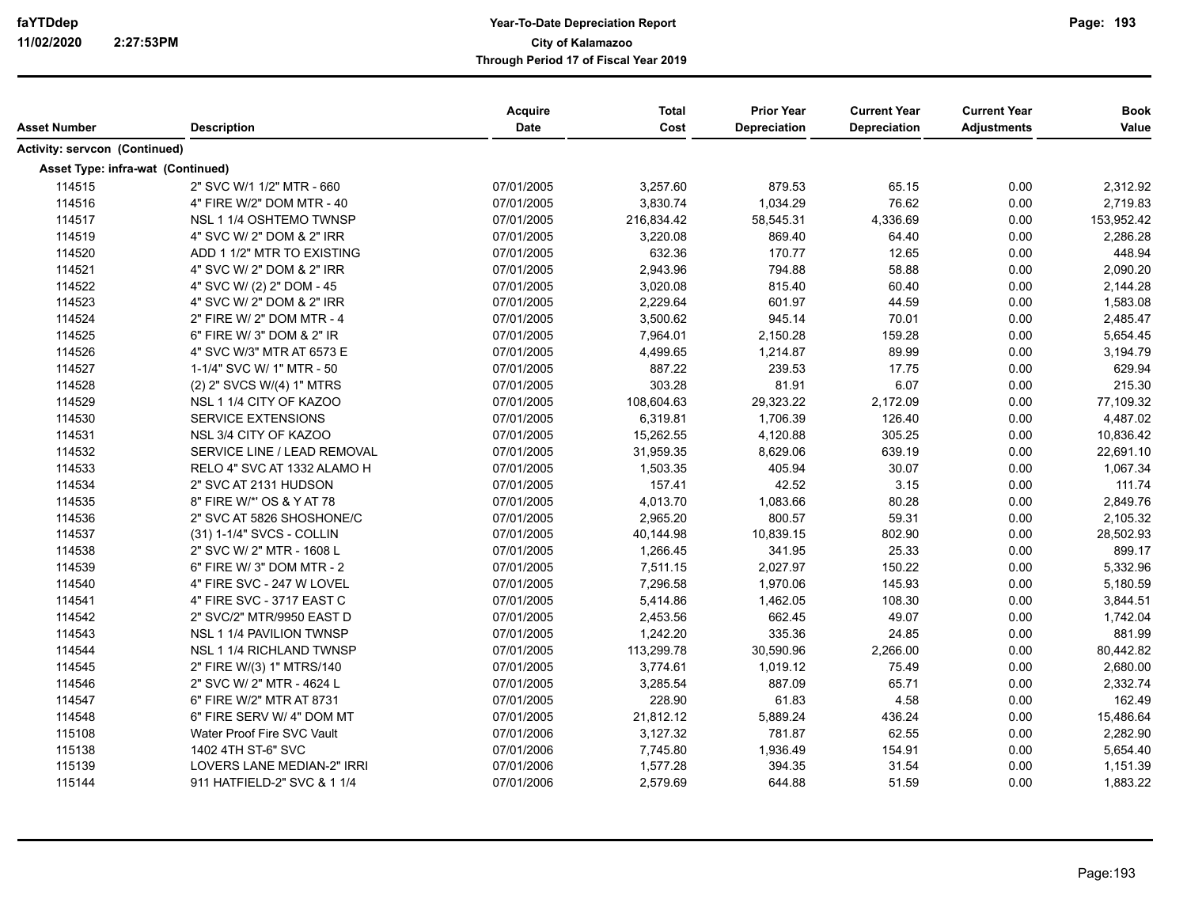| Asset Number                         | <b>Description</b>          | Acquire<br>Date | <b>Total</b><br>Cost | <b>Prior Year</b><br>Depreciation | <b>Current Year</b><br>Depreciation | <b>Current Year</b><br><b>Adjustments</b> | <b>Book</b><br>Value |
|--------------------------------------|-----------------------------|-----------------|----------------------|-----------------------------------|-------------------------------------|-------------------------------------------|----------------------|
| <b>Activity: servcon (Continued)</b> |                             |                 |                      |                                   |                                     |                                           |                      |
| Asset Type: infra-wat (Continued)    |                             |                 |                      |                                   |                                     |                                           |                      |
| 114515                               | 2" SVC W/1 1/2" MTR - 660   | 07/01/2005      | 3,257.60             | 879.53                            | 65.15                               | 0.00                                      | 2,312.92             |
| 114516                               | 4" FIRE W/2" DOM MTR - 40   | 07/01/2005      | 3,830.74             | 1,034.29                          | 76.62                               | 0.00                                      | 2,719.83             |
| 114517                               | NSL 1 1/4 OSHTEMO TWNSP     | 07/01/2005      | 216,834.42           | 58,545.31                         | 4,336.69                            | 0.00                                      | 153,952.42           |
| 114519                               | 4" SVC W/ 2" DOM & 2" IRR   | 07/01/2005      | 3,220.08             | 869.40                            | 64.40                               | 0.00                                      | 2,286.28             |
| 114520                               | ADD 1 1/2" MTR TO EXISTING  | 07/01/2005      | 632.36               | 170.77                            | 12.65                               | 0.00                                      | 448.94               |
| 114521                               | 4" SVC W/ 2" DOM & 2" IRR   | 07/01/2005      | 2,943.96             | 794.88                            | 58.88                               | 0.00                                      | 2,090.20             |
| 114522                               | 4" SVC W/ (2) 2" DOM - 45   | 07/01/2005      | 3,020.08             | 815.40                            | 60.40                               | 0.00                                      | 2,144.28             |
| 114523                               | 4" SVC W/ 2" DOM & 2" IRR   | 07/01/2005      | 2,229.64             | 601.97                            | 44.59                               | 0.00                                      | 1,583.08             |
| 114524                               | 2" FIRE W/ 2" DOM MTR - 4   | 07/01/2005      | 3,500.62             | 945.14                            | 70.01                               | 0.00                                      | 2,485.47             |
| 114525                               | 6" FIRE W/ 3" DOM & 2" IR   | 07/01/2005      | 7,964.01             | 2,150.28                          | 159.28                              | 0.00                                      | 5,654.45             |
| 114526                               | 4" SVC W/3" MTR AT 6573 E   | 07/01/2005      | 4,499.65             | 1,214.87                          | 89.99                               | 0.00                                      | 3,194.79             |
| 114527                               | 1-1/4" SVC W/ 1" MTR - 50   | 07/01/2005      | 887.22               | 239.53                            | 17.75                               | 0.00                                      | 629.94               |
| 114528                               | (2) 2" SVCS W/(4) 1" MTRS   | 07/01/2005      | 303.28               | 81.91                             | 6.07                                | 0.00                                      | 215.30               |
| 114529                               | NSL 1 1/4 CITY OF KAZOO     | 07/01/2005      | 108,604.63           | 29,323.22                         | 2,172.09                            | 0.00                                      | 77,109.32            |
| 114530                               | <b>SERVICE EXTENSIONS</b>   | 07/01/2005      | 6,319.81             | 1,706.39                          | 126.40                              | 0.00                                      | 4,487.02             |
| 114531                               | NSL 3/4 CITY OF KAZOO       | 07/01/2005      | 15,262.55            | 4,120.88                          | 305.25                              | 0.00                                      | 10,836.42            |
| 114532                               | SERVICE LINE / LEAD REMOVAL | 07/01/2005      | 31,959.35            | 8,629.06                          | 639.19                              | 0.00                                      | 22,691.10            |
| 114533                               | RELO 4" SVC AT 1332 ALAMO H | 07/01/2005      | 1,503.35             | 405.94                            | 30.07                               | 0.00                                      | 1,067.34             |
| 114534                               | 2" SVC AT 2131 HUDSON       | 07/01/2005      | 157.41               | 42.52                             | 3.15                                | 0.00                                      | 111.74               |
| 114535                               | 8" FIRE W/*' OS & Y AT 78   | 07/01/2005      | 4,013.70             | 1,083.66                          | 80.28                               | 0.00                                      | 2,849.76             |
| 114536                               | 2" SVC AT 5826 SHOSHONE/C   | 07/01/2005      | 2,965.20             | 800.57                            | 59.31                               | 0.00                                      | 2,105.32             |
| 114537                               | (31) 1-1/4" SVCS - COLLIN   | 07/01/2005      | 40,144.98            | 10,839.15                         | 802.90                              | 0.00                                      | 28,502.93            |
| 114538                               | 2" SVC W/ 2" MTR - 1608 L   | 07/01/2005      | 1,266.45             | 341.95                            | 25.33                               | 0.00                                      | 899.17               |
| 114539                               | 6" FIRE W/ 3" DOM MTR - 2   | 07/01/2005      | 7,511.15             | 2,027.97                          | 150.22                              | 0.00                                      | 5,332.96             |
| 114540                               | 4" FIRE SVC - 247 W LOVEL   | 07/01/2005      | 7,296.58             | 1,970.06                          | 145.93                              | 0.00                                      | 5,180.59             |
| 114541                               | 4" FIRE SVC - 3717 EAST C   | 07/01/2005      | 5,414.86             | 1,462.05                          | 108.30                              | 0.00                                      | 3,844.51             |
| 114542                               | 2" SVC/2" MTR/9950 EAST D   | 07/01/2005      | 2,453.56             | 662.45                            | 49.07                               | 0.00                                      | 1,742.04             |
| 114543                               | NSL 1 1/4 PAVILION TWNSP    | 07/01/2005      | 1,242.20             | 335.36                            | 24.85                               | 0.00                                      | 881.99               |
| 114544                               | NSL 1 1/4 RICHLAND TWNSP    | 07/01/2005      | 113,299.78           | 30,590.96                         | 2,266.00                            | 0.00                                      | 80,442.82            |
| 114545                               | 2" FIRE W/(3) 1" MTRS/140   | 07/01/2005      | 3,774.61             | 1,019.12                          | 75.49                               | 0.00                                      | 2,680.00             |
| 114546                               | 2" SVC W/ 2" MTR - 4624 L   | 07/01/2005      | 3,285.54             | 887.09                            | 65.71                               | 0.00                                      | 2,332.74             |
| 114547                               | 6" FIRE W/2" MTR AT 8731    | 07/01/2005      | 228.90               | 61.83                             | 4.58                                | 0.00                                      | 162.49               |
| 114548                               | 6" FIRE SERV W/ 4" DOM MT   | 07/01/2005      | 21,812.12            | 5,889.24                          | 436.24                              | 0.00                                      | 15,486.64            |
| 115108                               | Water Proof Fire SVC Vault  | 07/01/2006      | 3,127.32             | 781.87                            | 62.55                               | 0.00                                      | 2,282.90             |
| 115138                               | 1402 4TH ST-6" SVC          | 07/01/2006      | 7,745.80             | 1,936.49                          | 154.91                              | 0.00                                      | 5,654.40             |
| 115139                               | LOVERS LANE MEDIAN-2" IRRI  | 07/01/2006      | 1,577.28             | 394.35                            | 31.54                               | 0.00                                      | 1,151.39             |
| 115144                               | 911 HATFIELD-2" SVC & 1 1/4 | 07/01/2006      | 2,579.69             | 644.88                            | 51.59                               | 0.00                                      | 1,883.22             |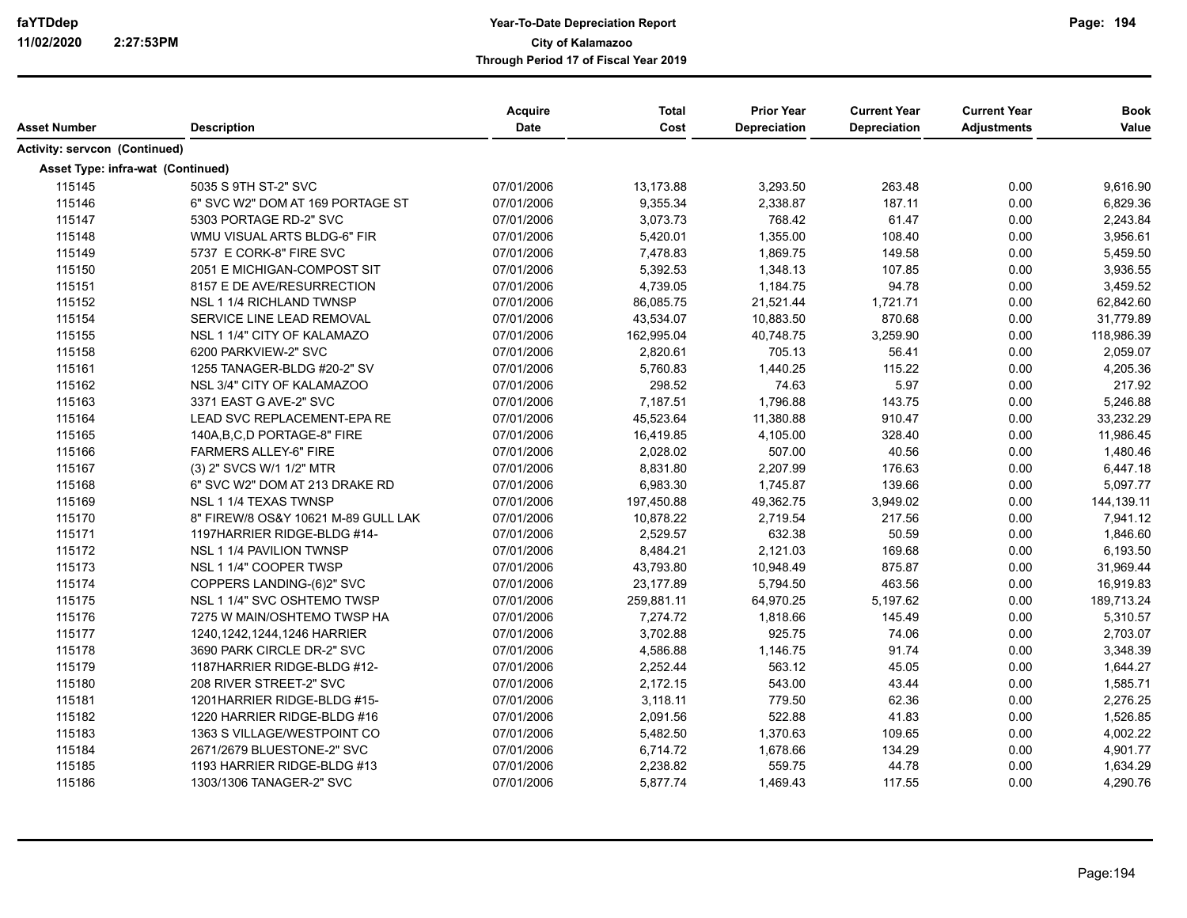|                                      |                                     | <b>Acquire</b><br><b>Date</b> | <b>Total</b><br>Cost | <b>Prior Year</b><br><b>Depreciation</b> | <b>Current Year</b> | <b>Current Year</b> | <b>Book</b> |
|--------------------------------------|-------------------------------------|-------------------------------|----------------------|------------------------------------------|---------------------|---------------------|-------------|
| Asset Number                         | <b>Description</b>                  |                               |                      |                                          | Depreciation        | <b>Adjustments</b>  | Value       |
| <b>Activity: servcon (Continued)</b> |                                     |                               |                      |                                          |                     |                     |             |
|                                      | Asset Type: infra-wat (Continued)   |                               |                      |                                          |                     |                     |             |
| 115145                               | 5035 S 9TH ST-2" SVC                | 07/01/2006                    | 13,173.88            | 3,293.50                                 | 263.48              | 0.00                | 9,616.90    |
| 115146                               | 6" SVC W2" DOM AT 169 PORTAGE ST    | 07/01/2006                    | 9,355.34             | 2,338.87                                 | 187.11              | 0.00                | 6,829.36    |
| 115147                               | 5303 PORTAGE RD-2" SVC              | 07/01/2006                    | 3,073.73             | 768.42                                   | 61.47               | 0.00                | 2,243.84    |
| 115148                               | WMU VISUAL ARTS BLDG-6" FIR         | 07/01/2006                    | 5,420.01             | 1,355.00                                 | 108.40              | 0.00                | 3,956.61    |
| 115149                               | 5737 E CORK-8" FIRE SVC             | 07/01/2006                    | 7,478.83             | 1,869.75                                 | 149.58              | 0.00                | 5,459.50    |
| 115150                               | 2051 E MICHIGAN-COMPOST SIT         | 07/01/2006                    | 5,392.53             | 1,348.13                                 | 107.85              | 0.00                | 3,936.55    |
| 115151                               | 8157 E DE AVE/RESURRECTION          | 07/01/2006                    | 4,739.05             | 1,184.75                                 | 94.78               | 0.00                | 3,459.52    |
| 115152                               | NSL 1 1/4 RICHLAND TWNSP            | 07/01/2006                    | 86,085.75            | 21,521.44                                | 1,721.71            | 0.00                | 62,842.60   |
| 115154                               | SERVICE LINE LEAD REMOVAL           | 07/01/2006                    | 43,534.07            | 10,883.50                                | 870.68              | 0.00                | 31,779.89   |
| 115155                               | NSL 1 1/4" CITY OF KALAMAZO         | 07/01/2006                    | 162,995.04           | 40,748.75                                | 3,259.90            | 0.00                | 118,986.39  |
| 115158                               | 6200 PARKVIEW-2" SVC                | 07/01/2006                    | 2,820.61             | 705.13                                   | 56.41               | 0.00                | 2,059.07    |
| 115161                               | 1255 TANAGER-BLDG #20-2" SV         | 07/01/2006                    | 5,760.83             | 1,440.25                                 | 115.22              | 0.00                | 4,205.36    |
| 115162                               | NSL 3/4" CITY OF KALAMAZOO          | 07/01/2006                    | 298.52               | 74.63                                    | 5.97                | 0.00                | 217.92      |
| 115163                               | 3371 EAST G AVE-2" SVC              | 07/01/2006                    | 7,187.51             | 1,796.88                                 | 143.75              | 0.00                | 5,246.88    |
| 115164                               | LEAD SVC REPLACEMENT-EPA RE         | 07/01/2006                    | 45,523.64            | 11,380.88                                | 910.47              | 0.00                | 33,232.29   |
| 115165                               | 140A, B, C, D PORTAGE-8" FIRE       | 07/01/2006                    | 16,419.85            | 4,105.00                                 | 328.40              | 0.00                | 11,986.45   |
| 115166                               | <b>FARMERS ALLEY-6" FIRE</b>        | 07/01/2006                    | 2,028.02             | 507.00                                   | 40.56               | 0.00                | 1,480.46    |
| 115167                               | (3) 2" SVCS W/1 1/2" MTR            | 07/01/2006                    | 8,831.80             | 2,207.99                                 | 176.63              | 0.00                | 6,447.18    |
| 115168                               | 6" SVC W2" DOM AT 213 DRAKE RD      | 07/01/2006                    | 6,983.30             | 1,745.87                                 | 139.66              | 0.00                | 5,097.77    |
| 115169                               | NSL 1 1/4 TEXAS TWNSP               | 07/01/2006                    | 197,450.88           | 49,362.75                                | 3,949.02            | 0.00                | 144,139.11  |
| 115170                               | 8" FIREW/8 OS&Y 10621 M-89 GULL LAK | 07/01/2006                    | 10,878.22            | 2,719.54                                 | 217.56              | 0.00                | 7,941.12    |
| 115171                               | 1197HARRIER RIDGE-BLDG #14-         | 07/01/2006                    | 2,529.57             | 632.38                                   | 50.59               | 0.00                | 1,846.60    |
| 115172                               | NSL 1 1/4 PAVILION TWNSP            | 07/01/2006                    | 8,484.21             | 2,121.03                                 | 169.68              | 0.00                | 6,193.50    |
| 115173                               | NSL 1 1/4" COOPER TWSP              | 07/01/2006                    | 43,793.80            | 10,948.49                                | 875.87              | 0.00                | 31,969.44   |
| 115174                               | COPPERS LANDING-(6)2" SVC           | 07/01/2006                    | 23,177.89            | 5,794.50                                 | 463.56              | 0.00                | 16,919.83   |
| 115175                               | NSL 1 1/4" SVC OSHTEMO TWSP         | 07/01/2006                    | 259,881.11           | 64,970.25                                | 5,197.62            | 0.00                | 189,713.24  |
| 115176                               | 7275 W MAIN/OSHTEMO TWSP HA         | 07/01/2006                    | 7,274.72             | 1,818.66                                 | 145.49              | 0.00                | 5,310.57    |
| 115177                               | 1240,1242,1244,1246 HARRIER         | 07/01/2006                    | 3,702.88             | 925.75                                   | 74.06               | 0.00                | 2,703.07    |
| 115178                               | 3690 PARK CIRCLE DR-2" SVC          | 07/01/2006                    | 4,586.88             | 1,146.75                                 | 91.74               | 0.00                | 3,348.39    |
| 115179                               | 1187HARRIER RIDGE-BLDG #12-         | 07/01/2006                    | 2,252.44             | 563.12                                   | 45.05               | 0.00                | 1,644.27    |
| 115180                               | 208 RIVER STREET-2" SVC             | 07/01/2006                    | 2,172.15             | 543.00                                   | 43.44               | 0.00                | 1,585.71    |
| 115181                               | 1201HARRIER RIDGE-BLDG #15-         | 07/01/2006                    | 3,118.11             | 779.50                                   | 62.36               | 0.00                | 2,276.25    |
| 115182                               | 1220 HARRIER RIDGE-BLDG #16         | 07/01/2006                    | 2,091.56             | 522.88                                   | 41.83               | 0.00                | 1,526.85    |
| 115183                               | 1363 S VILLAGE/WESTPOINT CO         | 07/01/2006                    | 5,482.50             | 1,370.63                                 | 109.65              | 0.00                | 4,002.22    |
| 115184                               | 2671/2679 BLUESTONE-2" SVC          | 07/01/2006                    | 6,714.72             | 1,678.66                                 | 134.29              | 0.00                | 4,901.77    |
| 115185                               | 1193 HARRIER RIDGE-BLDG #13         | 07/01/2006                    | 2,238.82             | 559.75                                   | 44.78               | 0.00                | 1,634.29    |
| 115186                               | 1303/1306 TANAGER-2" SVC            | 07/01/2006                    | 5,877.74             | 1,469.43                                 | 117.55              | 0.00                | 4,290.76    |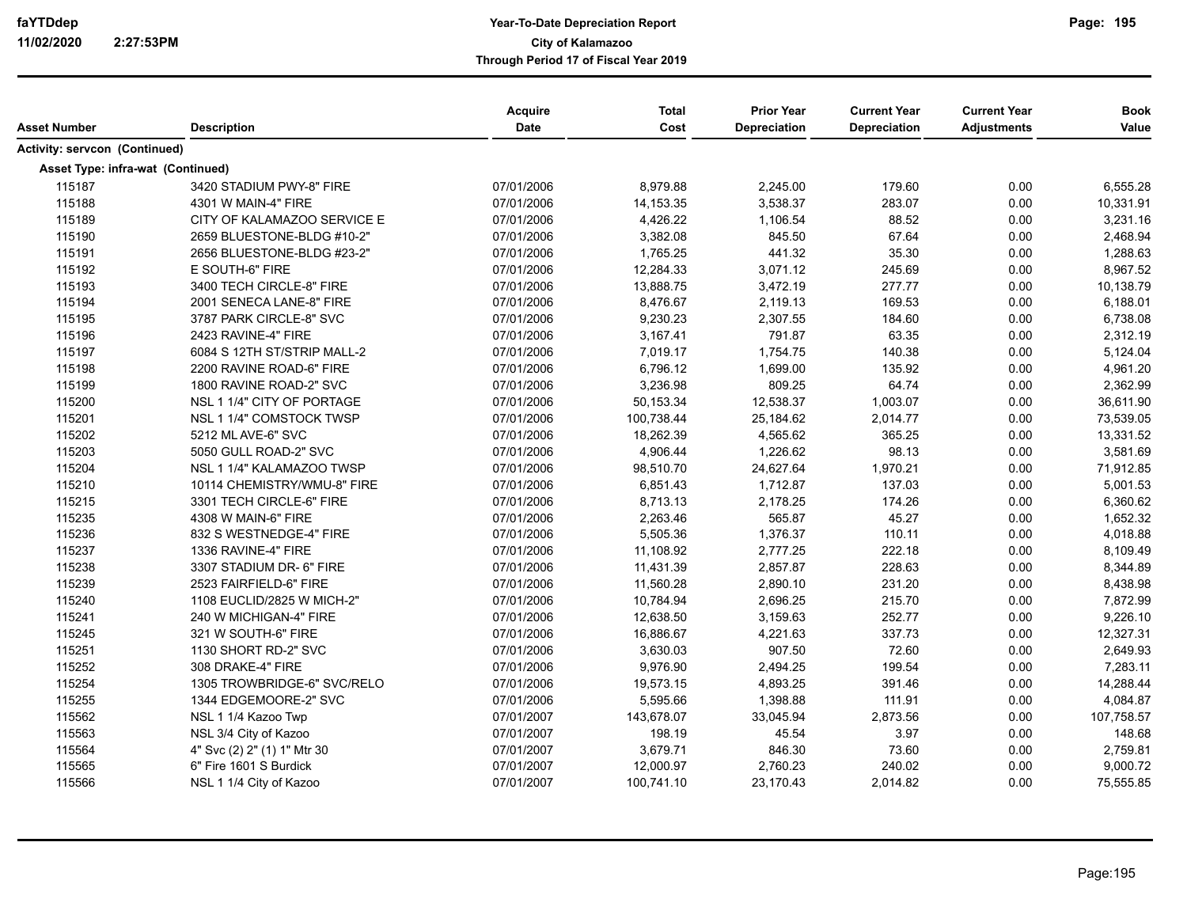| <b>Asset Number</b>               | <b>Description</b>          | Acquire<br><b>Date</b> | <b>Total</b><br>Cost | <b>Prior Year</b><br>Depreciation | <b>Current Year</b><br>Depreciation | <b>Current Year</b><br><b>Adjustments</b> | <b>Book</b><br>Value |
|-----------------------------------|-----------------------------|------------------------|----------------------|-----------------------------------|-------------------------------------|-------------------------------------------|----------------------|
| Activity: servcon (Continued)     |                             |                        |                      |                                   |                                     |                                           |                      |
|                                   |                             |                        |                      |                                   |                                     |                                           |                      |
| Asset Type: infra-wat (Continued) |                             |                        |                      |                                   |                                     |                                           |                      |
| 115187                            | 3420 STADIUM PWY-8" FIRE    | 07/01/2006             | 8,979.88             | 2,245.00                          | 179.60                              | 0.00                                      | 6,555.28             |
| 115188                            | 4301 W MAIN-4" FIRE         | 07/01/2006             | 14, 153. 35          | 3,538.37                          | 283.07                              | 0.00                                      | 10,331.91            |
| 115189                            | CITY OF KALAMAZOO SERVICE E | 07/01/2006             | 4,426.22             | 1,106.54                          | 88.52                               | 0.00                                      | 3,231.16             |
| 115190                            | 2659 BLUESTONE-BLDG #10-2"  | 07/01/2006             | 3,382.08             | 845.50                            | 67.64                               | 0.00                                      | 2,468.94             |
| 115191                            | 2656 BLUESTONE-BLDG #23-2"  | 07/01/2006             | 1,765.25             | 441.32                            | 35.30                               | 0.00                                      | 1,288.63             |
| 115192                            | E SOUTH-6" FIRE             | 07/01/2006             | 12,284.33            | 3,071.12                          | 245.69                              | 0.00                                      | 8,967.52             |
| 115193                            | 3400 TECH CIRCLE-8" FIRE    | 07/01/2006             | 13,888.75            | 3,472.19                          | 277.77                              | 0.00                                      | 10,138.79            |
| 115194                            | 2001 SENECA LANE-8" FIRE    | 07/01/2006             | 8,476.67             | 2,119.13                          | 169.53                              | 0.00                                      | 6,188.01             |
| 115195                            | 3787 PARK CIRCLE-8" SVC     | 07/01/2006             | 9,230.23             | 2,307.55                          | 184.60                              | 0.00                                      | 6,738.08             |
| 115196                            | 2423 RAVINE-4" FIRE         | 07/01/2006             | 3,167.41             | 791.87                            | 63.35                               | 0.00                                      | 2,312.19             |
| 115197                            | 6084 S 12TH ST/STRIP MALL-2 | 07/01/2006             | 7,019.17             | 1,754.75                          | 140.38                              | 0.00                                      | 5,124.04             |
| 115198                            | 2200 RAVINE ROAD-6" FIRE    | 07/01/2006             | 6,796.12             | 1,699.00                          | 135.92                              | 0.00                                      | 4,961.20             |
| 115199                            | 1800 RAVINE ROAD-2" SVC     | 07/01/2006             | 3,236.98             | 809.25                            | 64.74                               | 0.00                                      | 2,362.99             |
| 115200                            | NSL 1 1/4" CITY OF PORTAGE  | 07/01/2006             | 50,153.34            | 12,538.37                         | 1,003.07                            | 0.00                                      | 36,611.90            |
| 115201                            | NSL 1 1/4" COMSTOCK TWSP    | 07/01/2006             | 100,738.44           | 25,184.62                         | 2,014.77                            | 0.00                                      | 73,539.05            |
| 115202                            | 5212 ML AVE-6" SVC          | 07/01/2006             | 18,262.39            | 4,565.62                          | 365.25                              | 0.00                                      | 13,331.52            |
| 115203                            | 5050 GULL ROAD-2" SVC       | 07/01/2006             | 4,906.44             | 1,226.62                          | 98.13                               | 0.00                                      | 3,581.69             |
| 115204                            | NSL 1 1/4" KALAMAZOO TWSP   | 07/01/2006             | 98,510.70            | 24,627.64                         | 1,970.21                            | 0.00                                      | 71,912.85            |
| 115210                            | 10114 CHEMISTRY/WMU-8" FIRE | 07/01/2006             | 6,851.43             | 1,712.87                          | 137.03                              | 0.00                                      | 5,001.53             |
| 115215                            | 3301 TECH CIRCLE-6" FIRE    | 07/01/2006             | 8,713.13             | 2,178.25                          | 174.26                              | 0.00                                      | 6,360.62             |
| 115235                            | 4308 W MAIN-6" FIRE         | 07/01/2006             | 2,263.46             | 565.87                            | 45.27                               | 0.00                                      | 1,652.32             |
| 115236                            | 832 S WESTNEDGE-4" FIRE     | 07/01/2006             | 5,505.36             | 1,376.37                          | 110.11                              | 0.00                                      | 4,018.88             |
| 115237                            | 1336 RAVINE-4" FIRE         | 07/01/2006             | 11,108.92            | 2,777.25                          | 222.18                              | 0.00                                      | 8,109.49             |
| 115238                            | 3307 STADIUM DR- 6" FIRE    | 07/01/2006             | 11,431.39            | 2,857.87                          | 228.63                              | 0.00                                      | 8,344.89             |
| 115239                            | 2523 FAIRFIELD-6" FIRE      | 07/01/2006             | 11,560.28            | 2,890.10                          | 231.20                              | 0.00                                      | 8,438.98             |
| 115240                            | 1108 EUCLID/2825 W MICH-2"  | 07/01/2006             | 10,784.94            | 2,696.25                          | 215.70                              | 0.00                                      | 7,872.99             |
| 115241                            | 240 W MICHIGAN-4" FIRE      | 07/01/2006             | 12,638.50            | 3,159.63                          | 252.77                              | 0.00                                      | 9,226.10             |
| 115245                            | 321 W SOUTH-6" FIRE         | 07/01/2006             | 16,886.67            | 4,221.63                          | 337.73                              | 0.00                                      | 12,327.31            |
| 115251                            | 1130 SHORT RD-2" SVC        | 07/01/2006             | 3,630.03             | 907.50                            | 72.60                               | 0.00                                      | 2,649.93             |
| 115252                            | 308 DRAKE-4" FIRE           | 07/01/2006             | 9,976.90             | 2,494.25                          | 199.54                              | 0.00                                      | 7,283.11             |
| 115254                            | 1305 TROWBRIDGE-6" SVC/RELO | 07/01/2006             | 19,573.15            | 4,893.25                          | 391.46                              | 0.00                                      | 14,288.44            |
| 115255                            | 1344 EDGEMOORE-2" SVC       | 07/01/2006             | 5,595.66             | 1,398.88                          | 111.91                              | 0.00                                      | 4,084.87             |
| 115562                            | NSL 1 1/4 Kazoo Twp         | 07/01/2007             | 143,678.07           | 33,045.94                         | 2,873.56                            | 0.00                                      | 107,758.57           |
| 115563                            | NSL 3/4 City of Kazoo       | 07/01/2007             | 198.19               | 45.54                             | 3.97                                | 0.00                                      | 148.68               |
| 115564                            | 4" Svc (2) 2" (1) 1" Mtr 30 | 07/01/2007             | 3,679.71             | 846.30                            | 73.60                               | 0.00                                      | 2,759.81             |
| 115565                            | 6" Fire 1601 S Burdick      | 07/01/2007             | 12,000.97            | 2,760.23                          | 240.02                              | 0.00                                      | 9,000.72             |
| 115566                            | NSL 1 1/4 City of Kazoo     | 07/01/2007             | 100,741.10           | 23,170.43                         | 2,014.82                            | 0.00                                      | 75,555.85            |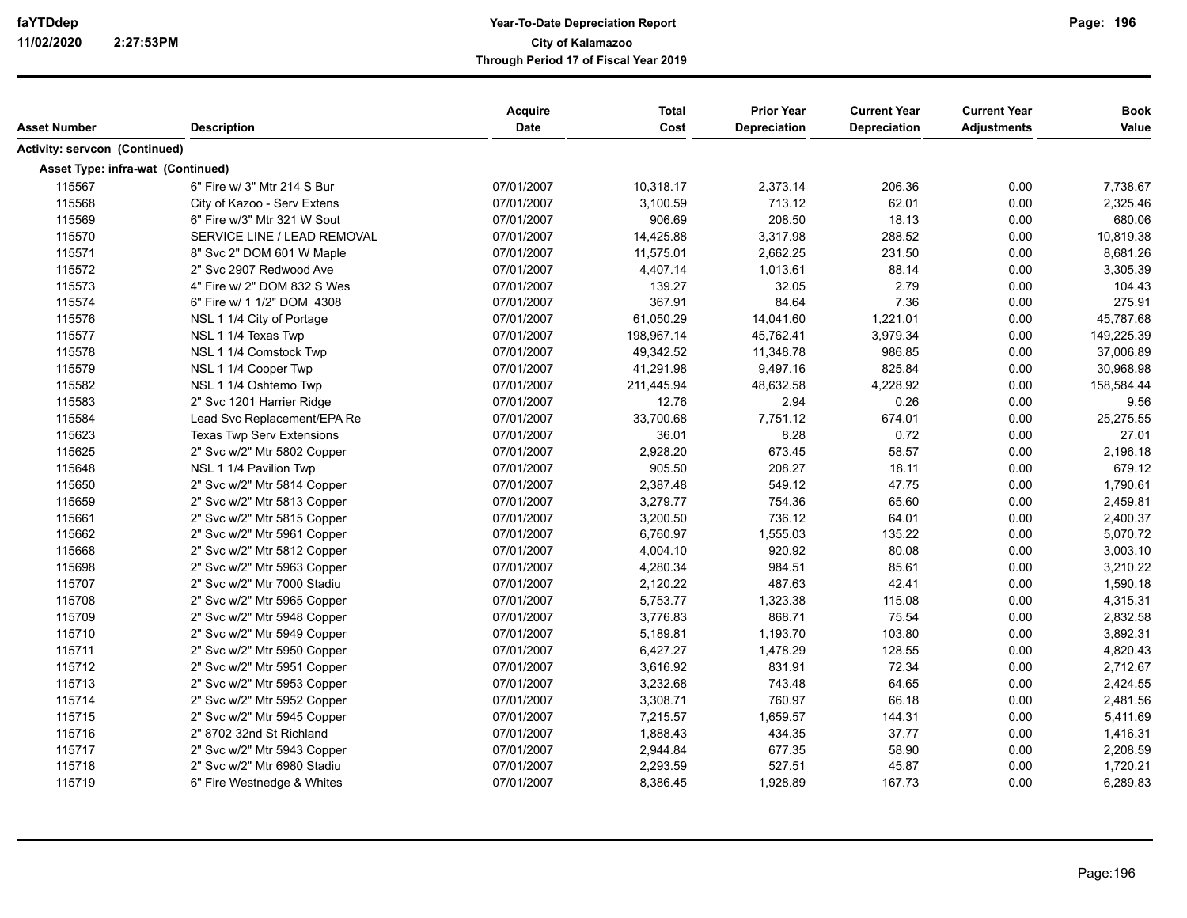|                                   |                                  | <b>Acquire</b> | <b>Total</b> | <b>Prior Year</b> | <b>Current Year</b> | <b>Current Year</b> | <b>Book</b> |
|-----------------------------------|----------------------------------|----------------|--------------|-------------------|---------------------|---------------------|-------------|
| Asset Number                      | <b>Description</b>               | Date           | Cost         | Depreciation      | <b>Depreciation</b> | <b>Adjustments</b>  | Value       |
| Activity: servcon (Continued)     |                                  |                |              |                   |                     |                     |             |
| Asset Type: infra-wat (Continued) |                                  |                |              |                   |                     |                     |             |
| 115567                            | 6" Fire w/ 3" Mtr 214 S Bur      | 07/01/2007     | 10,318.17    | 2,373.14          | 206.36              | 0.00                | 7,738.67    |
| 115568                            | City of Kazoo - Serv Extens      | 07/01/2007     | 3,100.59     | 713.12            | 62.01               | 0.00                | 2,325.46    |
| 115569                            | 6" Fire w/3" Mtr 321 W Sout      | 07/01/2007     | 906.69       | 208.50            | 18.13               | 0.00                | 680.06      |
| 115570                            | SERVICE LINE / LEAD REMOVAL      | 07/01/2007     | 14,425.88    | 3,317.98          | 288.52              | 0.00                | 10,819.38   |
| 115571                            | 8" Svc 2" DOM 601 W Maple        | 07/01/2007     | 11,575.01    | 2,662.25          | 231.50              | 0.00                | 8,681.26    |
| 115572                            | 2" Svc 2907 Redwood Ave          | 07/01/2007     | 4,407.14     | 1,013.61          | 88.14               | 0.00                | 3,305.39    |
| 115573                            | 4" Fire w/ 2" DOM 832 S Wes      | 07/01/2007     | 139.27       | 32.05             | 2.79                | 0.00                | 104.43      |
| 115574                            | 6" Fire w/ 1 1/2" DOM 4308       | 07/01/2007     | 367.91       | 84.64             | 7.36                | 0.00                | 275.91      |
| 115576                            | NSL 1 1/4 City of Portage        | 07/01/2007     | 61,050.29    | 14,041.60         | 1,221.01            | 0.00                | 45,787.68   |
| 115577                            | NSL 1 1/4 Texas Twp              | 07/01/2007     | 198,967.14   | 45,762.41         | 3,979.34            | 0.00                | 149,225.39  |
| 115578                            | NSL 1 1/4 Comstock Twp           | 07/01/2007     | 49,342.52    | 11,348.78         | 986.85              | 0.00                | 37,006.89   |
| 115579                            | NSL 1 1/4 Cooper Twp             | 07/01/2007     | 41,291.98    | 9,497.16          | 825.84              | 0.00                | 30,968.98   |
| 115582                            | NSL 1 1/4 Oshtemo Twp            | 07/01/2007     | 211,445.94   | 48,632.58         | 4,228.92            | 0.00                | 158,584.44  |
| 115583                            | 2" Svc 1201 Harrier Ridge        | 07/01/2007     | 12.76        | 2.94              | 0.26                | 0.00                | 9.56        |
| 115584                            | Lead Svc Replacement/EPA Re      | 07/01/2007     | 33,700.68    | 7,751.12          | 674.01              | 0.00                | 25,275.55   |
| 115623                            | <b>Texas Twp Serv Extensions</b> | 07/01/2007     | 36.01        | 8.28              | 0.72                | 0.00                | 27.01       |
| 115625                            | 2" Svc w/2" Mtr 5802 Copper      | 07/01/2007     | 2,928.20     | 673.45            | 58.57               | 0.00                | 2,196.18    |
| 115648                            | NSL 1 1/4 Pavilion Twp           | 07/01/2007     | 905.50       | 208.27            | 18.11               | 0.00                | 679.12      |
| 115650                            | 2" Svc w/2" Mtr 5814 Copper      | 07/01/2007     | 2,387.48     | 549.12            | 47.75               | 0.00                | 1,790.61    |
| 115659                            | 2" Svc w/2" Mtr 5813 Copper      | 07/01/2007     | 3,279.77     | 754.36            | 65.60               | 0.00                | 2,459.81    |
| 115661                            | 2" Svc w/2" Mtr 5815 Copper      | 07/01/2007     | 3,200.50     | 736.12            | 64.01               | 0.00                | 2,400.37    |
| 115662                            | 2" Svc w/2" Mtr 5961 Copper      | 07/01/2007     | 6,760.97     | 1,555.03          | 135.22              | 0.00                | 5,070.72    |
| 115668                            | 2" Svc w/2" Mtr 5812 Copper      | 07/01/2007     | 4,004.10     | 920.92            | 80.08               | 0.00                | 3,003.10    |
| 115698                            | 2" Svc w/2" Mtr 5963 Copper      | 07/01/2007     | 4,280.34     | 984.51            | 85.61               | 0.00                | 3,210.22    |
| 115707                            | 2" Svc w/2" Mtr 7000 Stadiu      | 07/01/2007     | 2,120.22     | 487.63            | 42.41               | 0.00                | 1,590.18    |
| 115708                            | 2" Svc w/2" Mtr 5965 Copper      | 07/01/2007     | 5,753.77     | 1,323.38          | 115.08              | 0.00                | 4,315.31    |
| 115709                            | 2" Svc w/2" Mtr 5948 Copper      | 07/01/2007     | 3,776.83     | 868.71            | 75.54               | 0.00                | 2,832.58    |
| 115710                            | 2" Svc w/2" Mtr 5949 Copper      | 07/01/2007     | 5,189.81     | 1,193.70          | 103.80              | 0.00                | 3,892.31    |
| 115711                            | 2" Svc w/2" Mtr 5950 Copper      | 07/01/2007     | 6,427.27     | 1,478.29          | 128.55              | 0.00                | 4,820.43    |
| 115712                            | 2" Svc w/2" Mtr 5951 Copper      | 07/01/2007     | 3,616.92     | 831.91            | 72.34               | 0.00                | 2,712.67    |
| 115713                            | 2" Svc w/2" Mtr 5953 Copper      | 07/01/2007     | 3,232.68     | 743.48            | 64.65               | 0.00                | 2,424.55    |
| 115714                            | 2" Svc w/2" Mtr 5952 Copper      | 07/01/2007     | 3,308.71     | 760.97            | 66.18               | 0.00                | 2,481.56    |
| 115715                            | 2" Svc w/2" Mtr 5945 Copper      | 07/01/2007     | 7,215.57     | 1,659.57          | 144.31              | 0.00                | 5,411.69    |
| 115716                            | 2" 8702 32nd St Richland         | 07/01/2007     | 1,888.43     | 434.35            | 37.77               | 0.00                | 1,416.31    |
| 115717                            | 2" Svc w/2" Mtr 5943 Copper      | 07/01/2007     | 2,944.84     | 677.35            | 58.90               | 0.00                | 2,208.59    |
| 115718                            | 2" Svc w/2" Mtr 6980 Stadiu      | 07/01/2007     | 2,293.59     | 527.51            | 45.87               | 0.00                | 1,720.21    |
| 115719                            | 6" Fire Westnedge & Whites       | 07/01/2007     | 8,386.45     | 1,928.89          | 167.73              | 0.00                | 6,289.83    |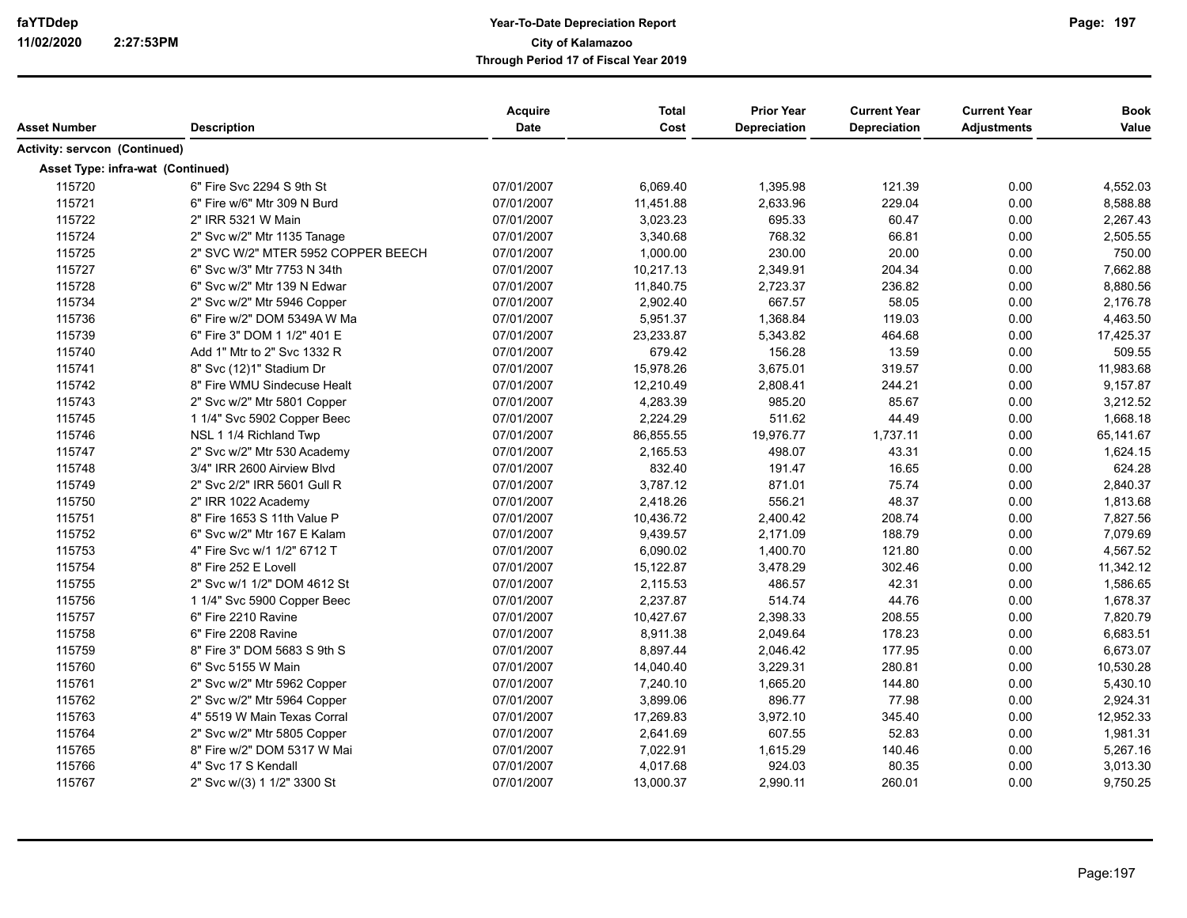| Asset Number                  | <b>Description</b>                 | Acquire<br><b>Date</b> | <b>Total</b><br>Cost | <b>Prior Year</b><br>Depreciation | <b>Current Year</b><br><b>Depreciation</b> | <b>Current Year</b><br><b>Adjustments</b> | <b>Book</b><br>Value |
|-------------------------------|------------------------------------|------------------------|----------------------|-----------------------------------|--------------------------------------------|-------------------------------------------|----------------------|
| Activity: servcon (Continued) |                                    |                        |                      |                                   |                                            |                                           |                      |
|                               | Asset Type: infra-wat (Continued)  |                        |                      |                                   |                                            |                                           |                      |
| 115720                        | 6" Fire Svc 2294 S 9th St          | 07/01/2007             | 6,069.40             | 1,395.98                          | 121.39                                     | 0.00                                      | 4,552.03             |
| 115721                        | 6" Fire w/6" Mtr 309 N Burd        | 07/01/2007             | 11,451.88            | 2,633.96                          | 229.04                                     | 0.00                                      | 8,588.88             |
| 115722                        | 2" IRR 5321 W Main                 | 07/01/2007             | 3,023.23             | 695.33                            | 60.47                                      | 0.00                                      | 2,267.43             |
| 115724                        | 2" Svc w/2" Mtr 1135 Tanage        | 07/01/2007             | 3,340.68             | 768.32                            | 66.81                                      | 0.00                                      | 2,505.55             |
| 115725                        | 2" SVC W/2" MTER 5952 COPPER BEECH | 07/01/2007             | 1,000.00             | 230.00                            | 20.00                                      | 0.00                                      | 750.00               |
| 115727                        | 6" Svc w/3" Mtr 7753 N 34th        | 07/01/2007             | 10,217.13            | 2,349.91                          | 204.34                                     | 0.00                                      | 7,662.88             |
| 115728                        | 6" Svc w/2" Mtr 139 N Edwar        | 07/01/2007             | 11,840.75            | 2,723.37                          | 236.82                                     | 0.00                                      | 8,880.56             |
| 115734                        | 2" Svc w/2" Mtr 5946 Copper        | 07/01/2007             | 2,902.40             | 667.57                            | 58.05                                      | 0.00                                      | 2,176.78             |
| 115736                        | 6" Fire w/2" DOM 5349A W Ma        | 07/01/2007             | 5,951.37             | 1,368.84                          | 119.03                                     | 0.00                                      | 4,463.50             |
| 115739                        | 6" Fire 3" DOM 1 1/2" 401 E        | 07/01/2007             | 23,233.87            | 5,343.82                          | 464.68                                     | 0.00                                      | 17,425.37            |
| 115740                        | Add 1" Mtr to 2" Svc 1332 R        | 07/01/2007             | 679.42               | 156.28                            | 13.59                                      | 0.00                                      | 509.55               |
| 115741                        | 8" Svc (12)1" Stadium Dr           | 07/01/2007             | 15,978.26            | 3,675.01                          | 319.57                                     | 0.00                                      | 11,983.68            |
| 115742                        | 8" Fire WMU Sindecuse Healt        | 07/01/2007             | 12,210.49            | 2,808.41                          | 244.21                                     | 0.00                                      | 9,157.87             |
| 115743                        | 2" Svc w/2" Mtr 5801 Copper        | 07/01/2007             | 4,283.39             | 985.20                            | 85.67                                      | 0.00                                      | 3,212.52             |
| 115745                        | 1 1/4" Svc 5902 Copper Beec        | 07/01/2007             | 2,224.29             | 511.62                            | 44.49                                      | 0.00                                      | 1,668.18             |
| 115746                        | NSL 1 1/4 Richland Twp             | 07/01/2007             | 86,855.55            | 19,976.77                         | 1,737.11                                   | 0.00                                      | 65,141.67            |
| 115747                        | 2" Svc w/2" Mtr 530 Academy        | 07/01/2007             | 2,165.53             | 498.07                            | 43.31                                      | 0.00                                      | 1,624.15             |
| 115748                        | 3/4" IRR 2600 Airview Blvd         | 07/01/2007             | 832.40               | 191.47                            | 16.65                                      | 0.00                                      | 624.28               |
| 115749                        | 2" Svc 2/2" IRR 5601 Gull R        | 07/01/2007             | 3,787.12             | 871.01                            | 75.74                                      | 0.00                                      | 2,840.37             |
| 115750                        | 2" IRR 1022 Academy                | 07/01/2007             | 2,418.26             | 556.21                            | 48.37                                      | 0.00                                      | 1,813.68             |
| 115751                        | 8" Fire 1653 S 11th Value P        | 07/01/2007             | 10,436.72            | 2,400.42                          | 208.74                                     | 0.00                                      | 7,827.56             |
| 115752                        | 6" Svc w/2" Mtr 167 E Kalam        | 07/01/2007             | 9,439.57             | 2,171.09                          | 188.79                                     | 0.00                                      | 7,079.69             |
| 115753                        | 4" Fire Svc w/1 1/2" 6712 T        | 07/01/2007             | 6,090.02             | 1,400.70                          | 121.80                                     | 0.00                                      | 4,567.52             |
| 115754                        | 8" Fire 252 E Lovell               | 07/01/2007             | 15,122.87            | 3,478.29                          | 302.46                                     | 0.00                                      | 11,342.12            |
| 115755                        | 2" Svc w/1 1/2" DOM 4612 St        | 07/01/2007             | 2,115.53             | 486.57                            | 42.31                                      | 0.00                                      | 1,586.65             |
| 115756                        | 1 1/4" Svc 5900 Copper Beec        | 07/01/2007             | 2,237.87             | 514.74                            | 44.76                                      | 0.00                                      | 1,678.37             |
| 115757                        | 6" Fire 2210 Ravine                | 07/01/2007             | 10,427.67            | 2,398.33                          | 208.55                                     | 0.00                                      | 7,820.79             |
| 115758                        | 6" Fire 2208 Ravine                | 07/01/2007             | 8,911.38             | 2,049.64                          | 178.23                                     | 0.00                                      | 6,683.51             |
| 115759                        | 8" Fire 3" DOM 5683 S 9th S        | 07/01/2007             | 8,897.44             | 2,046.42                          | 177.95                                     | 0.00                                      | 6,673.07             |
| 115760                        | 6" Svc 5155 W Main                 | 07/01/2007             | 14,040.40            | 3,229.31                          | 280.81                                     | 0.00                                      | 10,530.28            |
| 115761                        | 2" Svc w/2" Mtr 5962 Copper        | 07/01/2007             | 7,240.10             | 1,665.20                          | 144.80                                     | 0.00                                      | 5,430.10             |
| 115762                        | 2" Svc w/2" Mtr 5964 Copper        | 07/01/2007             | 3,899.06             | 896.77                            | 77.98                                      | 0.00                                      | 2,924.31             |
| 115763                        | 4" 5519 W Main Texas Corral        | 07/01/2007             | 17,269.83            | 3,972.10                          | 345.40                                     | 0.00                                      | 12,952.33            |
| 115764                        | 2" Svc w/2" Mtr 5805 Copper        | 07/01/2007             | 2,641.69             | 607.55                            | 52.83                                      | 0.00                                      | 1,981.31             |
| 115765                        | 8" Fire w/2" DOM 5317 W Mai        | 07/01/2007             | 7,022.91             | 1,615.29                          | 140.46                                     | 0.00                                      | 5,267.16             |
| 115766                        | 4" Svc 17 S Kendall                | 07/01/2007             | 4,017.68             | 924.03                            | 80.35                                      | 0.00                                      | 3,013.30             |
| 115767                        | 2" Svc w/(3) 1 1/2" 3300 St        | 07/01/2007             | 13,000.37            | 2,990.11                          | 260.01                                     | 0.00                                      | 9,750.25             |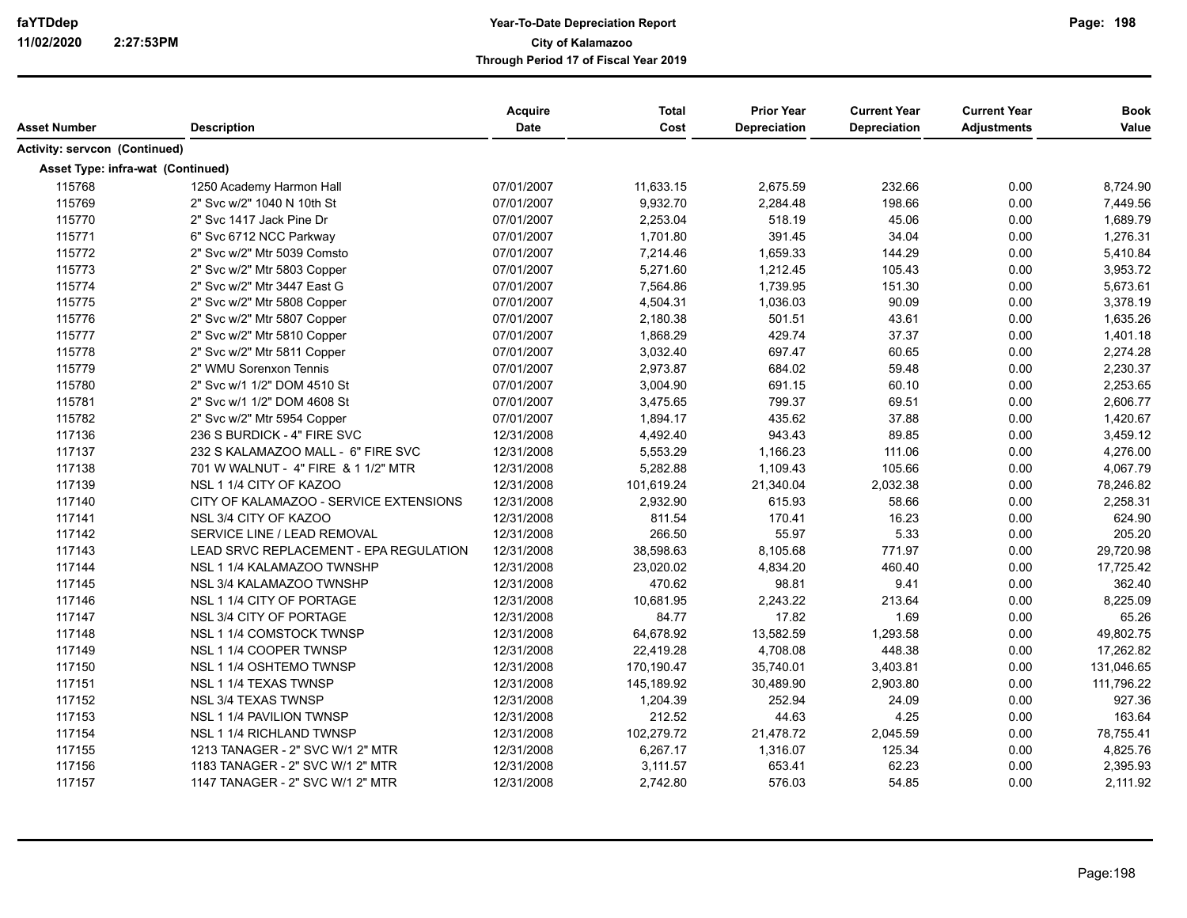| Asset Number                             | <b>Description</b>                     | Acquire<br><b>Date</b> | <b>Total</b><br>Cost | <b>Prior Year</b><br>Depreciation | <b>Current Year</b><br>Depreciation | <b>Current Year</b><br><b>Adjustments</b> | <b>Book</b><br>Value |
|------------------------------------------|----------------------------------------|------------------------|----------------------|-----------------------------------|-------------------------------------|-------------------------------------------|----------------------|
| Activity: servcon (Continued)            |                                        |                        |                      |                                   |                                     |                                           |                      |
|                                          |                                        |                        |                      |                                   |                                     |                                           |                      |
| <b>Asset Type: infra-wat (Continued)</b> |                                        |                        |                      |                                   |                                     |                                           |                      |
| 115768                                   | 1250 Academy Harmon Hall               | 07/01/2007             | 11,633.15            | 2,675.59                          | 232.66                              | 0.00                                      | 8,724.90             |
| 115769                                   | 2" Svc w/2" 1040 N 10th St             | 07/01/2007             | 9,932.70             | 2,284.48                          | 198.66                              | 0.00                                      | 7,449.56             |
| 115770                                   | 2" Svc 1417 Jack Pine Dr               | 07/01/2007             | 2,253.04             | 518.19                            | 45.06                               | 0.00                                      | 1,689.79             |
| 115771                                   | 6" Svc 6712 NCC Parkway                | 07/01/2007             | 1,701.80             | 391.45                            | 34.04                               | 0.00                                      | 1,276.31             |
| 115772                                   | 2" Svc w/2" Mtr 5039 Comsto            | 07/01/2007             | 7,214.46             | 1,659.33                          | 144.29                              | 0.00                                      | 5,410.84             |
| 115773                                   | 2" Svc w/2" Mtr 5803 Copper            | 07/01/2007             | 5,271.60             | 1,212.45                          | 105.43                              | 0.00                                      | 3,953.72             |
| 115774                                   | 2" Svc w/2" Mtr 3447 East G            | 07/01/2007             | 7,564.86             | 1,739.95                          | 151.30                              | 0.00                                      | 5,673.61             |
| 115775                                   | 2" Svc w/2" Mtr 5808 Copper            | 07/01/2007             | 4,504.31             | 1,036.03                          | 90.09                               | 0.00                                      | 3,378.19             |
| 115776                                   | 2" Svc w/2" Mtr 5807 Copper            | 07/01/2007             | 2,180.38             | 501.51                            | 43.61                               | 0.00                                      | 1,635.26             |
| 115777                                   | 2" Svc w/2" Mtr 5810 Copper            | 07/01/2007             | 1,868.29             | 429.74                            | 37.37                               | 0.00                                      | 1,401.18             |
| 115778                                   | 2" Svc w/2" Mtr 5811 Copper            | 07/01/2007             | 3,032.40             | 697.47                            | 60.65                               | 0.00                                      | 2,274.28             |
| 115779                                   | 2" WMU Sorenxon Tennis                 | 07/01/2007             | 2,973.87             | 684.02                            | 59.48                               | 0.00                                      | 2,230.37             |
| 115780                                   | 2" Svc w/1 1/2" DOM 4510 St            | 07/01/2007             | 3,004.90             | 691.15                            | 60.10                               | 0.00                                      | 2,253.65             |
| 115781                                   | 2" Svc w/1 1/2" DOM 4608 St            | 07/01/2007             | 3,475.65             | 799.37                            | 69.51                               | 0.00                                      | 2,606.77             |
| 115782                                   | 2" Svc w/2" Mtr 5954 Copper            | 07/01/2007             | 1,894.17             | 435.62                            | 37.88                               | 0.00                                      | 1,420.67             |
| 117136                                   | 236 S BURDICK - 4" FIRE SVC            | 12/31/2008             | 4,492.40             | 943.43                            | 89.85                               | 0.00                                      | 3,459.12             |
| 117137                                   | 232 S KALAMAZOO MALL - 6" FIRE SVC     | 12/31/2008             | 5,553.29             | 1,166.23                          | 111.06                              | 0.00                                      | 4,276.00             |
| 117138                                   | 701 W WALNUT - 4" FIRE & 1 1/2" MTR    | 12/31/2008             | 5,282.88             | 1,109.43                          | 105.66                              | 0.00                                      | 4,067.79             |
| 117139                                   | NSL 1 1/4 CITY OF KAZOO                | 12/31/2008             | 101,619.24           | 21,340.04                         | 2,032.38                            | 0.00                                      | 78,246.82            |
| 117140                                   | CITY OF KALAMAZOO - SERVICE EXTENSIONS | 12/31/2008             | 2,932.90             | 615.93                            | 58.66                               | 0.00                                      | 2,258.31             |
| 117141                                   | NSL 3/4 CITY OF KAZOO                  | 12/31/2008             | 811.54               | 170.41                            | 16.23                               | 0.00                                      | 624.90               |
| 117142                                   | SERVICE LINE / LEAD REMOVAL            | 12/31/2008             | 266.50               | 55.97                             | 5.33                                | 0.00                                      | 205.20               |
| 117143                                   | LEAD SRVC REPLACEMENT - EPA REGULATION | 12/31/2008             | 38,598.63            | 8,105.68                          | 771.97                              | 0.00                                      | 29,720.98            |
| 117144                                   | NSL 1 1/4 KALAMAZOO TWNSHP             | 12/31/2008             | 23,020.02            | 4,834.20                          | 460.40                              | 0.00                                      | 17,725.42            |
| 117145                                   | NSL 3/4 KALAMAZOO TWNSHP               | 12/31/2008             | 470.62               | 98.81                             | 9.41                                | 0.00                                      | 362.40               |
| 117146                                   | NSL 1 1/4 CITY OF PORTAGE              | 12/31/2008             | 10,681.95            | 2,243.22                          | 213.64                              | 0.00                                      | 8,225.09             |
| 117147                                   | NSL 3/4 CITY OF PORTAGE                | 12/31/2008             | 84.77                | 17.82                             | 1.69                                | 0.00                                      | 65.26                |
| 117148                                   | NSL 1 1/4 COMSTOCK TWNSP               | 12/31/2008             | 64,678.92            | 13,582.59                         | 1,293.58                            | 0.00                                      | 49,802.75            |
| 117149                                   | NSL 1 1/4 COOPER TWNSP                 | 12/31/2008             | 22,419.28            | 4,708.08                          | 448.38                              | 0.00                                      | 17,262.82            |
| 117150                                   | NSL 1 1/4 OSHTEMO TWNSP                | 12/31/2008             | 170,190.47           | 35,740.01                         | 3,403.81                            | 0.00                                      | 131,046.65           |
| 117151                                   | NSL 1 1/4 TEXAS TWNSP                  | 12/31/2008             | 145,189.92           | 30,489.90                         | 2,903.80                            | 0.00                                      | 111,796.22           |
| 117152                                   | <b>NSL 3/4 TEXAS TWNSP</b>             | 12/31/2008             | 1,204.39             | 252.94                            | 24.09                               | 0.00                                      | 927.36               |
| 117153                                   | NSL 1 1/4 PAVILION TWNSP               | 12/31/2008             | 212.52               | 44.63                             | 4.25                                | 0.00                                      | 163.64               |
| 117154                                   | NSL 1 1/4 RICHLAND TWNSP               | 12/31/2008             | 102,279.72           | 21,478.72                         | 2,045.59                            | 0.00                                      | 78,755.41            |
| 117155                                   | 1213 TANAGER - 2" SVC W/1 2" MTR       | 12/31/2008             | 6,267.17             | 1,316.07                          | 125.34                              | 0.00                                      | 4,825.76             |
| 117156                                   | 1183 TANAGER - 2" SVC W/1 2" MTR       | 12/31/2008             | 3,111.57             | 653.41                            | 62.23                               | 0.00                                      | 2,395.93             |
| 117157                                   | 1147 TANAGER - 2" SVC W/1 2" MTR       | 12/31/2008             | 2,742.80             | 576.03                            | 54.85                               | 0.00                                      | 2,111.92             |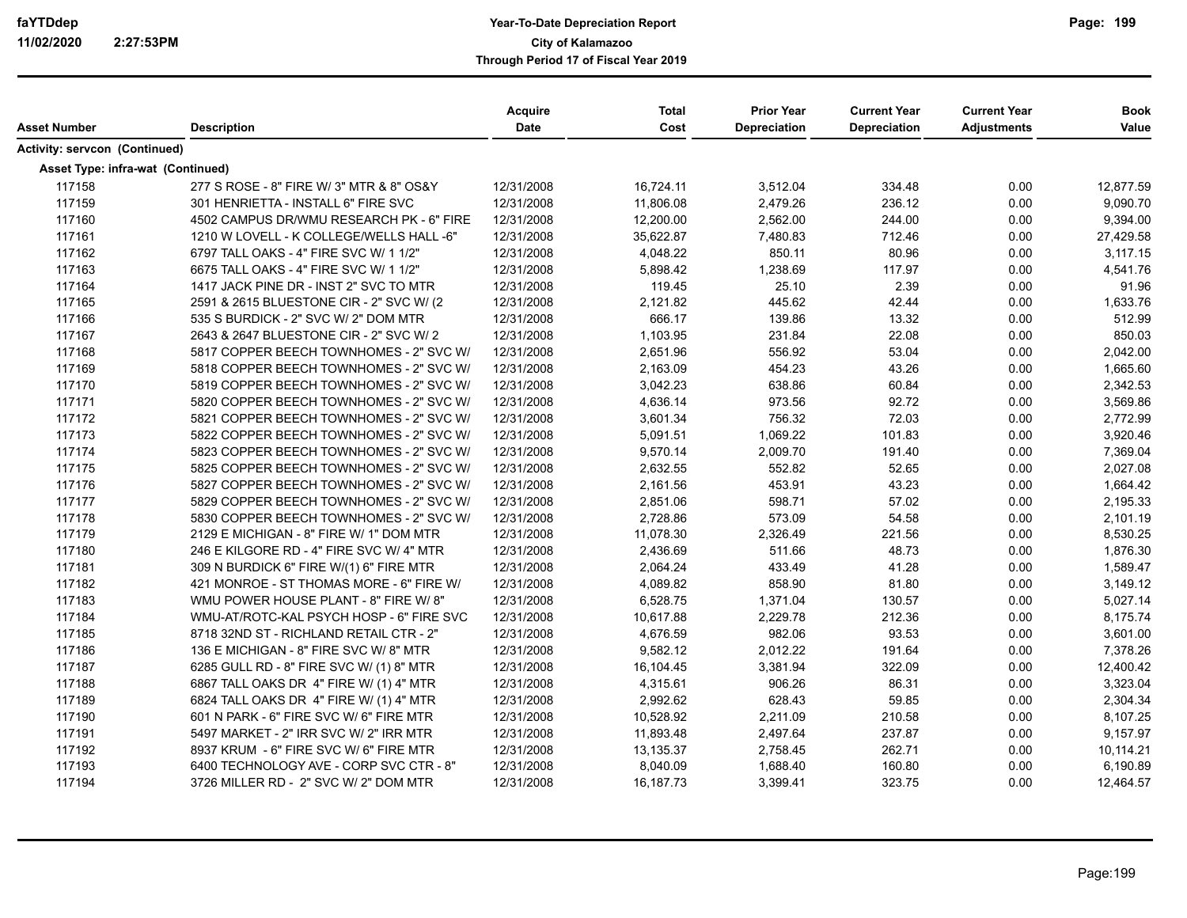|                                      |                                          | <b>Acquire</b> | <b>Total</b> | <b>Prior Year</b> | <b>Current Year</b> | <b>Current Year</b> | <b>Book</b> |
|--------------------------------------|------------------------------------------|----------------|--------------|-------------------|---------------------|---------------------|-------------|
| Asset Number                         | <b>Description</b>                       | Date           | Cost         | Depreciation      | <b>Depreciation</b> | <b>Adjustments</b>  | Value       |
| <b>Activity: servcon (Continued)</b> |                                          |                |              |                   |                     |                     |             |
| Asset Type: infra-wat (Continued)    |                                          |                |              |                   |                     |                     |             |
| 117158                               | 277 S ROSE - 8" FIRE W/ 3" MTR & 8" OS&Y | 12/31/2008     | 16,724.11    | 3,512.04          | 334.48              | 0.00                | 12,877.59   |
| 117159                               | 301 HENRIETTA - INSTALL 6" FIRE SVC      | 12/31/2008     | 11,806.08    | 2,479.26          | 236.12              | 0.00                | 9,090.70    |
| 117160                               | 4502 CAMPUS DR/WMU RESEARCH PK - 6" FIRE | 12/31/2008     | 12,200.00    | 2,562.00          | 244.00              | 0.00                | 9,394.00    |
| 117161                               | 1210 W LOVELL - K COLLEGE/WELLS HALL -6" | 12/31/2008     | 35,622.87    | 7,480.83          | 712.46              | 0.00                | 27,429.58   |
| 117162                               | 6797 TALL OAKS - 4" FIRE SVC W/ 1 1/2"   | 12/31/2008     | 4,048.22     | 850.11            | 80.96               | 0.00                | 3,117.15    |
| 117163                               | 6675 TALL OAKS - 4" FIRE SVC W/ 1 1/2"   | 12/31/2008     | 5,898.42     | 1,238.69          | 117.97              | 0.00                | 4,541.76    |
| 117164                               | 1417 JACK PINE DR - INST 2" SVC TO MTR   | 12/31/2008     | 119.45       | 25.10             | 2.39                | 0.00                | 91.96       |
| 117165                               | 2591 & 2615 BLUESTONE CIR - 2" SVC W/ (2 | 12/31/2008     | 2,121.82     | 445.62            | 42.44               | 0.00                | 1,633.76    |
| 117166                               | 535 S BURDICK - 2" SVC W/ 2" DOM MTR     | 12/31/2008     | 666.17       | 139.86            | 13.32               | 0.00                | 512.99      |
| 117167                               | 2643 & 2647 BLUESTONE CIR - 2" SVC W/ 2  | 12/31/2008     | 1,103.95     | 231.84            | 22.08               | 0.00                | 850.03      |
| 117168                               | 5817 COPPER BEECH TOWNHOMES - 2" SVC W/  | 12/31/2008     | 2,651.96     | 556.92            | 53.04               | 0.00                | 2,042.00    |
| 117169                               | 5818 COPPER BEECH TOWNHOMES - 2" SVC W/  | 12/31/2008     | 2,163.09     | 454.23            | 43.26               | 0.00                | 1,665.60    |
| 117170                               | 5819 COPPER BEECH TOWNHOMES - 2" SVC W/  | 12/31/2008     | 3,042.23     | 638.86            | 60.84               | 0.00                | 2,342.53    |
| 117171                               | 5820 COPPER BEECH TOWNHOMES - 2" SVC W/  | 12/31/2008     | 4,636.14     | 973.56            | 92.72               | 0.00                | 3,569.86    |
| 117172                               | 5821 COPPER BEECH TOWNHOMES - 2" SVC W/  | 12/31/2008     | 3,601.34     | 756.32            | 72.03               | 0.00                | 2,772.99    |
| 117173                               | 5822 COPPER BEECH TOWNHOMES - 2" SVC W/  | 12/31/2008     | 5,091.51     | 1,069.22          | 101.83              | 0.00                | 3,920.46    |
| 117174                               | 5823 COPPER BEECH TOWNHOMES - 2" SVC W/  | 12/31/2008     | 9,570.14     | 2,009.70          | 191.40              | 0.00                | 7,369.04    |
| 117175                               | 5825 COPPER BEECH TOWNHOMES - 2" SVC W/  | 12/31/2008     | 2,632.55     | 552.82            | 52.65               | 0.00                | 2,027.08    |
| 117176                               | 5827 COPPER BEECH TOWNHOMES - 2" SVC W/  | 12/31/2008     | 2,161.56     | 453.91            | 43.23               | 0.00                | 1,664.42    |
| 117177                               | 5829 COPPER BEECH TOWNHOMES - 2" SVC W/  | 12/31/2008     | 2,851.06     | 598.71            | 57.02               | 0.00                | 2,195.33    |
| 117178                               | 5830 COPPER BEECH TOWNHOMES - 2" SVC W/  | 12/31/2008     | 2,728.86     | 573.09            | 54.58               | 0.00                | 2,101.19    |
| 117179                               | 2129 E MICHIGAN - 8" FIRE W/ 1" DOM MTR  | 12/31/2008     | 11,078.30    | 2,326.49          | 221.56              | 0.00                | 8,530.25    |
| 117180                               | 246 E KILGORE RD - 4" FIRE SVC W/ 4" MTR | 12/31/2008     | 2,436.69     | 511.66            | 48.73               | 0.00                | 1,876.30    |
| 117181                               | 309 N BURDICK 6" FIRE W/(1) 6" FIRE MTR  | 12/31/2008     | 2,064.24     | 433.49            | 41.28               | 0.00                | 1,589.47    |
| 117182                               | 421 MONROE - ST THOMAS MORE - 6" FIRE W/ | 12/31/2008     | 4,089.82     | 858.90            | 81.80               | 0.00                | 3,149.12    |
| 117183                               | WMU POWER HOUSE PLANT - 8" FIRE W/8"     | 12/31/2008     | 6,528.75     | 1,371.04          | 130.57              | 0.00                | 5,027.14    |
| 117184                               | WMU-AT/ROTC-KAL PSYCH HOSP - 6" FIRE SVC | 12/31/2008     | 10,617.88    | 2,229.78          | 212.36              | 0.00                | 8,175.74    |
| 117185                               | 8718 32ND ST - RICHLAND RETAIL CTR - 2"  | 12/31/2008     | 4,676.59     | 982.06            | 93.53               | 0.00                | 3,601.00    |
| 117186                               | 136 E MICHIGAN - 8" FIRE SVC W/8" MTR    | 12/31/2008     | 9,582.12     | 2,012.22          | 191.64              | 0.00                | 7,378.26    |
| 117187                               | 6285 GULL RD - 8" FIRE SVC W/ (1) 8" MTR | 12/31/2008     | 16,104.45    | 3,381.94          | 322.09              | 0.00                | 12,400.42   |
| 117188                               | 6867 TALL OAKS DR 4" FIRE W/ (1) 4" MTR  | 12/31/2008     | 4,315.61     | 906.26            | 86.31               | 0.00                | 3,323.04    |
| 117189                               | 6824 TALL OAKS DR 4" FIRE W/ (1) 4" MTR  | 12/31/2008     | 2,992.62     | 628.43            | 59.85               | 0.00                | 2,304.34    |
| 117190                               | 601 N PARK - 6" FIRE SVC W/ 6" FIRE MTR  | 12/31/2008     | 10,528.92    | 2,211.09          | 210.58              | 0.00                | 8,107.25    |
| 117191                               | 5497 MARKET - 2" IRR SVC W/ 2" IRR MTR   | 12/31/2008     | 11,893.48    | 2,497.64          | 237.87              | 0.00                | 9,157.97    |
| 117192                               | 8937 KRUM - 6" FIRE SVC W/ 6" FIRE MTR   | 12/31/2008     | 13,135.37    | 2,758.45          | 262.71              | 0.00                | 10,114.21   |
| 117193                               | 6400 TECHNOLOGY AVE - CORP SVC CTR - 8"  | 12/31/2008     | 8,040.09     | 1,688.40          | 160.80              | 0.00                | 6,190.89    |
| 117194                               | 3726 MILLER RD - 2" SVC W/ 2" DOM MTR    | 12/31/2008     | 16,187.73    | 3,399.41          | 323.75              | 0.00                | 12,464.57   |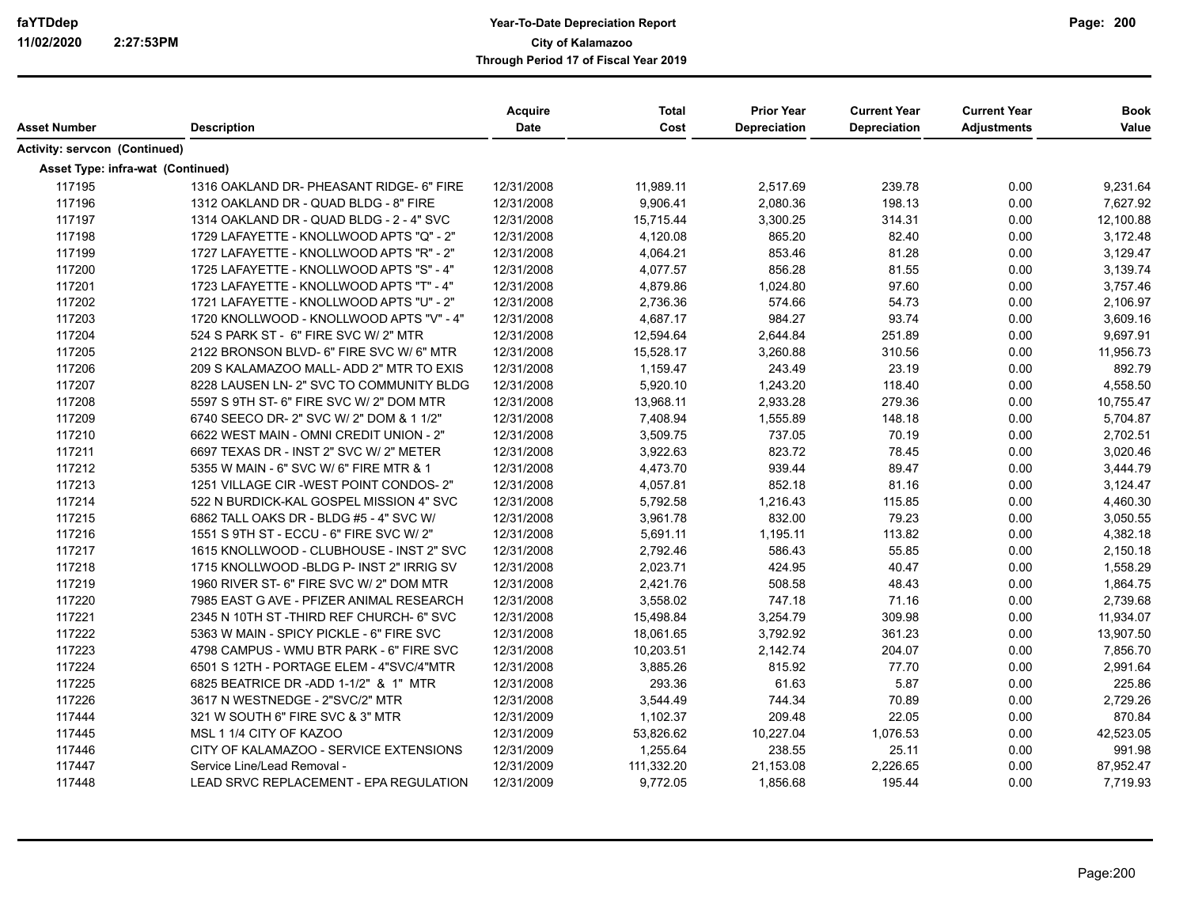|                                          |                                           | <b>Acquire</b> | <b>Total</b> | <b>Prior Year</b> | <b>Current Year</b> | <b>Current Year</b> | <b>Book</b> |
|------------------------------------------|-------------------------------------------|----------------|--------------|-------------------|---------------------|---------------------|-------------|
| Asset Number                             | <b>Description</b>                        | <b>Date</b>    | Cost         | Depreciation      | <b>Depreciation</b> | <b>Adjustments</b>  | Value       |
| Activity: servcon (Continued)            |                                           |                |              |                   |                     |                     |             |
| <b>Asset Type: infra-wat (Continued)</b> |                                           |                |              |                   |                     |                     |             |
| 117195                                   | 1316 OAKLAND DR- PHEASANT RIDGE- 6" FIRE  | 12/31/2008     | 11,989.11    | 2,517.69          | 239.78              | 0.00                | 9,231.64    |
| 117196                                   | 1312 OAKLAND DR - QUAD BLDG - 8" FIRE     | 12/31/2008     | 9,906.41     | 2,080.36          | 198.13              | 0.00                | 7,627.92    |
| 117197                                   | 1314 OAKLAND DR - QUAD BLDG - 2 - 4" SVC  | 12/31/2008     | 15,715.44    | 3,300.25          | 314.31              | 0.00                | 12,100.88   |
| 117198                                   | 1729 LAFAYETTE - KNOLLWOOD APTS "Q" - 2"  | 12/31/2008     | 4,120.08     | 865.20            | 82.40               | 0.00                | 3,172.48    |
| 117199                                   | 1727 LAFAYETTE - KNOLLWOOD APTS "R" - 2"  | 12/31/2008     | 4,064.21     | 853.46            | 81.28               | 0.00                | 3,129.47    |
| 117200                                   | 1725 LAFAYETTE - KNOLLWOOD APTS "S" - 4"  | 12/31/2008     | 4,077.57     | 856.28            | 81.55               | 0.00                | 3,139.74    |
| 117201                                   | 1723 LAFAYETTE - KNOLLWOOD APTS "T" - 4"  | 12/31/2008     | 4,879.86     | 1,024.80          | 97.60               | 0.00                | 3,757.46    |
| 117202                                   | 1721 LAFAYETTE - KNOLLWOOD APTS "U" - 2"  | 12/31/2008     | 2,736.36     | 574.66            | 54.73               | 0.00                | 2,106.97    |
| 117203                                   | 1720 KNOLLWOOD - KNOLLWOOD APTS "V" - 4"  | 12/31/2008     | 4,687.17     | 984.27            | 93.74               | 0.00                | 3,609.16    |
| 117204                                   | 524 S PARK ST - 6" FIRE SVC W/ 2" MTR     | 12/31/2008     | 12,594.64    | 2,644.84          | 251.89              | 0.00                | 9,697.91    |
| 117205                                   | 2122 BRONSON BLVD- 6" FIRE SVC W/ 6" MTR  | 12/31/2008     | 15,528.17    | 3,260.88          | 310.56              | 0.00                | 11,956.73   |
| 117206                                   | 209 S KALAMAZOO MALL- ADD 2" MTR TO EXIS  | 12/31/2008     | 1,159.47     | 243.49            | 23.19               | 0.00                | 892.79      |
| 117207                                   | 8228 LAUSEN LN- 2" SVC TO COMMUNITY BLDG  | 12/31/2008     | 5,920.10     | 1,243.20          | 118.40              | 0.00                | 4,558.50    |
| 117208                                   | 5597 S 9TH ST- 6" FIRE SVC W/ 2" DOM MTR  | 12/31/2008     | 13,968.11    | 2,933.28          | 279.36              | 0.00                | 10,755.47   |
| 117209                                   | 6740 SEECO DR- 2" SVC W/ 2" DOM & 1 1/2"  | 12/31/2008     | 7,408.94     | 1,555.89          | 148.18              | 0.00                | 5,704.87    |
| 117210                                   | 6622 WEST MAIN - OMNI CREDIT UNION - 2"   | 12/31/2008     | 3,509.75     | 737.05            | 70.19               | 0.00                | 2,702.51    |
| 117211                                   | 6697 TEXAS DR - INST 2" SVC W/ 2" METER   | 12/31/2008     | 3,922.63     | 823.72            | 78.45               | 0.00                | 3,020.46    |
| 117212                                   | 5355 W MAIN - 6" SVC W/ 6" FIRE MTR & 1   | 12/31/2008     | 4,473.70     | 939.44            | 89.47               | 0.00                | 3,444.79    |
| 117213                                   | 1251 VILLAGE CIR -WEST POINT CONDOS-2"    | 12/31/2008     | 4,057.81     | 852.18            | 81.16               | 0.00                | 3,124.47    |
| 117214                                   | 522 N BURDICK-KAL GOSPEL MISSION 4" SVC   | 12/31/2008     | 5,792.58     | 1,216.43          | 115.85              | 0.00                | 4,460.30    |
| 117215                                   | 6862 TALL OAKS DR - BLDG #5 - 4" SVC W/   | 12/31/2008     | 3,961.78     | 832.00            | 79.23               | 0.00                | 3,050.55    |
| 117216                                   | 1551 S 9TH ST - ECCU - 6" FIRE SVC W/ 2"  | 12/31/2008     | 5,691.11     | 1,195.11          | 113.82              | 0.00                | 4,382.18    |
| 117217                                   | 1615 KNOLLWOOD - CLUBHOUSE - INST 2" SVC  | 12/31/2008     | 2,792.46     | 586.43            | 55.85               | 0.00                | 2,150.18    |
| 117218                                   | 1715 KNOLLWOOD - BLDG P- INST 2" IRRIG SV | 12/31/2008     | 2,023.71     | 424.95            | 40.47               | 0.00                | 1,558.29    |
| 117219                                   | 1960 RIVER ST- 6" FIRE SVC W/ 2" DOM MTR  | 12/31/2008     | 2,421.76     | 508.58            | 48.43               | 0.00                | 1,864.75    |
| 117220                                   | 7985 EAST G AVE - PFIZER ANIMAL RESEARCH  | 12/31/2008     | 3,558.02     | 747.18            | 71.16               | 0.00                | 2,739.68    |
| 117221                                   | 2345 N 10TH ST-THIRD REF CHURCH- 6" SVC   | 12/31/2008     | 15,498.84    | 3,254.79          | 309.98              | 0.00                | 11,934.07   |
| 117222                                   | 5363 W MAIN - SPICY PICKLE - 6" FIRE SVC  | 12/31/2008     | 18,061.65    | 3,792.92          | 361.23              | 0.00                | 13,907.50   |
| 117223                                   | 4798 CAMPUS - WMU BTR PARK - 6" FIRE SVC  | 12/31/2008     | 10,203.51    | 2,142.74          | 204.07              | 0.00                | 7,856.70    |
| 117224                                   | 6501 S 12TH - PORTAGE ELEM - 4"SVC/4"MTR  | 12/31/2008     | 3,885.26     | 815.92            | 77.70               | 0.00                | 2,991.64    |
| 117225                                   | 6825 BEATRICE DR -ADD 1-1/2" & 1" MTR     | 12/31/2008     | 293.36       | 61.63             | 5.87                | 0.00                | 225.86      |
| 117226                                   | 3617 N WESTNEDGE - 2"SVC/2" MTR           | 12/31/2008     | 3,544.49     | 744.34            | 70.89               | 0.00                | 2,729.26    |
| 117444                                   | 321 W SOUTH 6" FIRE SVC & 3" MTR          | 12/31/2009     | 1,102.37     | 209.48            | 22.05               | 0.00                | 870.84      |
| 117445                                   | MSL 1 1/4 CITY OF KAZOO                   | 12/31/2009     | 53,826.62    | 10,227.04         | 1,076.53            | 0.00                | 42,523.05   |
| 117446                                   | CITY OF KALAMAZOO - SERVICE EXTENSIONS    | 12/31/2009     | 1,255.64     | 238.55            | 25.11               | 0.00                | 991.98      |
| 117447                                   | Service Line/Lead Removal -               | 12/31/2009     | 111,332.20   | 21,153.08         | 2,226.65            | 0.00                | 87,952.47   |
| 117448                                   | LEAD SRVC REPLACEMENT - EPA REGULATION    | 12/31/2009     | 9,772.05     | 1,856.68          | 195.44              | 0.00                | 7,719.93    |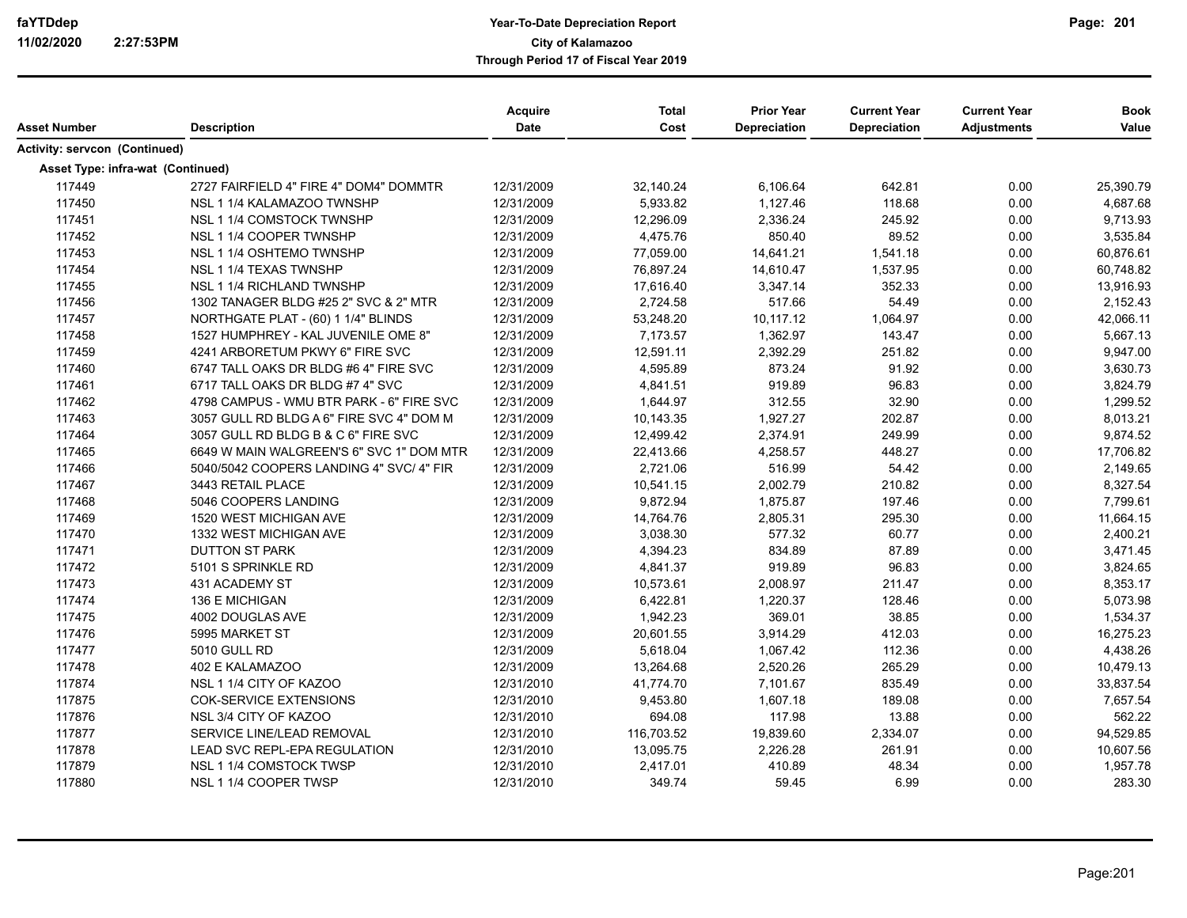|                                          |                                          | Acquire<br><b>Date</b> | <b>Total</b><br>Cost | <b>Prior Year</b><br><b>Depreciation</b> | <b>Current Year</b><br><b>Depreciation</b> | <b>Current Year</b> | <b>Book</b><br>Value |
|------------------------------------------|------------------------------------------|------------------------|----------------------|------------------------------------------|--------------------------------------------|---------------------|----------------------|
| Asset Number                             | <b>Description</b>                       |                        |                      |                                          |                                            | <b>Adjustments</b>  |                      |
| <b>Activity: servcon (Continued)</b>     |                                          |                        |                      |                                          |                                            |                     |                      |
| <b>Asset Type: infra-wat (Continued)</b> |                                          |                        |                      |                                          |                                            |                     |                      |
| 117449                                   | 2727 FAIRFIELD 4" FIRE 4" DOM4" DOMMTR   | 12/31/2009             | 32,140.24            | 6,106.64                                 | 642.81                                     | 0.00                | 25,390.79            |
| 117450                                   | NSL 1 1/4 KALAMAZOO TWNSHP               | 12/31/2009             | 5,933.82             | 1,127.46                                 | 118.68                                     | 0.00                | 4,687.68             |
| 117451                                   | NSL 1 1/4 COMSTOCK TWNSHP                | 12/31/2009             | 12,296.09            | 2,336.24                                 | 245.92                                     | 0.00                | 9,713.93             |
| 117452                                   | NSL 1 1/4 COOPER TWNSHP                  | 12/31/2009             | 4,475.76             | 850.40                                   | 89.52                                      | 0.00                | 3,535.84             |
| 117453                                   | NSL 1 1/4 OSHTEMO TWNSHP                 | 12/31/2009             | 77,059.00            | 14,641.21                                | 1,541.18                                   | 0.00                | 60,876.61            |
| 117454                                   | NSL 1 1/4 TEXAS TWNSHP                   | 12/31/2009             | 76,897.24            | 14,610.47                                | 1,537.95                                   | 0.00                | 60,748.82            |
| 117455                                   | <b>NSL 1 1/4 RICHLAND TWNSHP</b>         | 12/31/2009             | 17,616.40            | 3,347.14                                 | 352.33                                     | 0.00                | 13,916.93            |
| 117456                                   | 1302 TANAGER BLDG #25 2" SVC & 2" MTR    | 12/31/2009             | 2,724.58             | 517.66                                   | 54.49                                      | 0.00                | 2,152.43             |
| 117457                                   | NORTHGATE PLAT - (60) 1 1/4" BLINDS      | 12/31/2009             | 53,248.20            | 10,117.12                                | 1,064.97                                   | 0.00                | 42,066.11            |
| 117458                                   | 1527 HUMPHREY - KAL JUVENILE OME 8"      | 12/31/2009             | 7,173.57             | 1,362.97                                 | 143.47                                     | 0.00                | 5,667.13             |
| 117459                                   | 4241 ARBORETUM PKWY 6" FIRE SVC          | 12/31/2009             | 12,591.11            | 2,392.29                                 | 251.82                                     | 0.00                | 9,947.00             |
| 117460                                   | 6747 TALL OAKS DR BLDG #6 4" FIRE SVC    | 12/31/2009             | 4,595.89             | 873.24                                   | 91.92                                      | 0.00                | 3,630.73             |
| 117461                                   | 6717 TALL OAKS DR BLDG #7 4" SVC         | 12/31/2009             | 4,841.51             | 919.89                                   | 96.83                                      | 0.00                | 3,824.79             |
| 117462                                   | 4798 CAMPUS - WMU BTR PARK - 6" FIRE SVC | 12/31/2009             | 1,644.97             | 312.55                                   | 32.90                                      | 0.00                | 1,299.52             |
| 117463                                   | 3057 GULL RD BLDG A 6" FIRE SVC 4" DOM M | 12/31/2009             | 10,143.35            | 1,927.27                                 | 202.87                                     | 0.00                | 8,013.21             |
| 117464                                   | 3057 GULL RD BLDG B & C 6" FIRE SVC      | 12/31/2009             | 12,499.42            | 2,374.91                                 | 249.99                                     | 0.00                | 9,874.52             |
| 117465                                   | 6649 W MAIN WALGREEN'S 6" SVC 1" DOM MTR | 12/31/2009             | 22,413.66            | 4,258.57                                 | 448.27                                     | 0.00                | 17,706.82            |
| 117466                                   | 5040/5042 COOPERS LANDING 4" SVC/ 4" FIR | 12/31/2009             | 2,721.06             | 516.99                                   | 54.42                                      | 0.00                | 2,149.65             |
| 117467                                   | 3443 RETAIL PLACE                        | 12/31/2009             | 10,541.15            | 2,002.79                                 | 210.82                                     | 0.00                | 8,327.54             |
| 117468                                   | 5046 COOPERS LANDING                     | 12/31/2009             | 9,872.94             | 1,875.87                                 | 197.46                                     | 0.00                | 7,799.61             |
| 117469                                   | 1520 WEST MICHIGAN AVE                   | 12/31/2009             | 14,764.76            | 2,805.31                                 | 295.30                                     | 0.00                | 11,664.15            |
| 117470                                   | 1332 WEST MICHIGAN AVE                   | 12/31/2009             | 3,038.30             | 577.32                                   | 60.77                                      | 0.00                | 2,400.21             |
| 117471                                   | <b>DUTTON ST PARK</b>                    | 12/31/2009             | 4,394.23             | 834.89                                   | 87.89                                      | 0.00                | 3,471.45             |
| 117472                                   | 5101 S SPRINKLE RD                       | 12/31/2009             | 4,841.37             | 919.89                                   | 96.83                                      | 0.00                | 3,824.65             |
| 117473                                   | 431 ACADEMY ST                           | 12/31/2009             | 10,573.61            | 2,008.97                                 | 211.47                                     | 0.00                | 8,353.17             |
| 117474                                   | 136 E MICHIGAN                           | 12/31/2009             | 6,422.81             | 1,220.37                                 | 128.46                                     | 0.00                | 5,073.98             |
| 117475                                   | 4002 DOUGLAS AVE                         | 12/31/2009             | 1,942.23             | 369.01                                   | 38.85                                      | 0.00                | 1,534.37             |
| 117476                                   | 5995 MARKET ST                           | 12/31/2009             | 20,601.55            | 3,914.29                                 | 412.03                                     | 0.00                | 16,275.23            |
| 117477                                   | 5010 GULL RD                             | 12/31/2009             | 5,618.04             | 1,067.42                                 | 112.36                                     | 0.00                | 4,438.26             |
| 117478                                   | 402 E KALAMAZOO                          | 12/31/2009             | 13,264.68            | 2,520.26                                 | 265.29                                     | 0.00                | 10,479.13            |
| 117874                                   | NSL 1 1/4 CITY OF KAZOO                  | 12/31/2010             | 41,774.70            | 7,101.67                                 | 835.49                                     | 0.00                | 33,837.54            |
| 117875                                   | COK-SERVICE EXTENSIONS                   | 12/31/2010             | 9,453.80             | 1,607.18                                 | 189.08                                     | 0.00                | 7,657.54             |
| 117876                                   | NSL 3/4 CITY OF KAZOO                    | 12/31/2010             | 694.08               | 117.98                                   | 13.88                                      | 0.00                | 562.22               |
| 117877                                   | SERVICE LINE/LEAD REMOVAL                | 12/31/2010             | 116,703.52           | 19,839.60                                | 2,334.07                                   | 0.00                | 94,529.85            |
| 117878                                   | LEAD SVC REPL-EPA REGULATION             | 12/31/2010             | 13,095.75            | 2,226.28                                 | 261.91                                     | 0.00                | 10,607.56            |
| 117879                                   | NSL 1 1/4 COMSTOCK TWSP                  | 12/31/2010             | 2,417.01             | 410.89                                   | 48.34                                      | 0.00                | 1,957.78             |
| 117880                                   | NSL 1 1/4 COOPER TWSP                    | 12/31/2010             | 349.74               | 59.45                                    | 6.99                                       | 0.00                | 283.30               |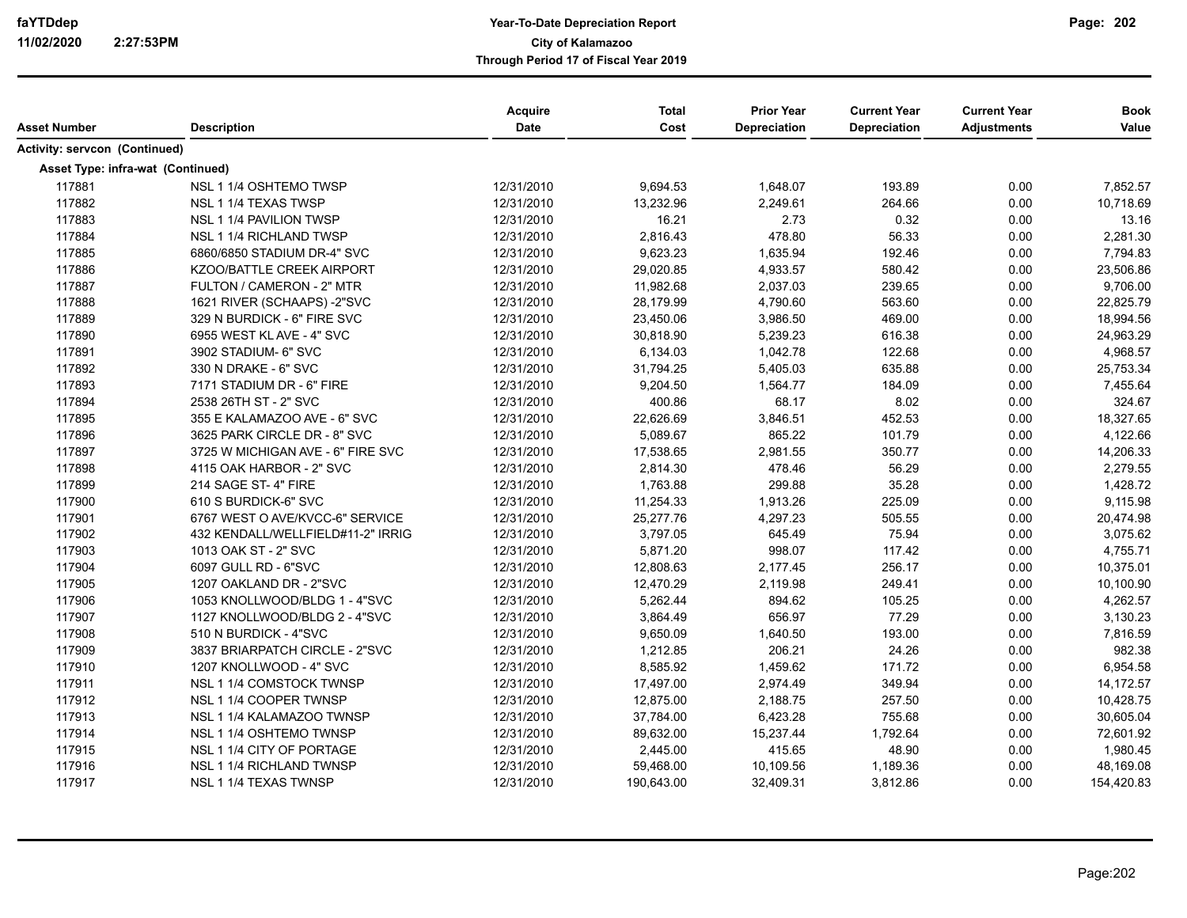|                                   |                                   | Acquire<br>Date | <b>Total</b><br>Cost | <b>Prior Year</b><br>Depreciation | <b>Current Year</b> | <b>Current Year</b> | <b>Book</b> |
|-----------------------------------|-----------------------------------|-----------------|----------------------|-----------------------------------|---------------------|---------------------|-------------|
| <b>Asset Number</b>               | <b>Description</b>                |                 |                      |                                   | Depreciation        | <b>Adjustments</b>  | Value       |
| Activity: servcon (Continued)     |                                   |                 |                      |                                   |                     |                     |             |
| Asset Type: infra-wat (Continued) |                                   |                 |                      |                                   |                     |                     |             |
| 117881                            | NSL 1 1/4 OSHTEMO TWSP            | 12/31/2010      | 9,694.53             | 1,648.07                          | 193.89              | 0.00                | 7,852.57    |
| 117882                            | NSL 1 1/4 TEXAS TWSP              | 12/31/2010      | 13,232.96            | 2,249.61                          | 264.66              | 0.00                | 10,718.69   |
| 117883                            | NSL 1 1/4 PAVILION TWSP           | 12/31/2010      | 16.21                | 2.73                              | 0.32                | 0.00                | 13.16       |
| 117884                            | NSL 1 1/4 RICHLAND TWSP           | 12/31/2010      | 2,816.43             | 478.80                            | 56.33               | 0.00                | 2,281.30    |
| 117885                            | 6860/6850 STADIUM DR-4" SVC       | 12/31/2010      | 9,623.23             | 1,635.94                          | 192.46              | 0.00                | 7,794.83    |
| 117886                            | KZOO/BATTLE CREEK AIRPORT         | 12/31/2010      | 29,020.85            | 4,933.57                          | 580.42              | 0.00                | 23,506.86   |
| 117887                            | FULTON / CAMERON - 2" MTR         | 12/31/2010      | 11,982.68            | 2,037.03                          | 239.65              | 0.00                | 9,706.00    |
| 117888                            | 1621 RIVER (SCHAAPS) -2"SVC       | 12/31/2010      | 28,179.99            | 4,790.60                          | 563.60              | 0.00                | 22,825.79   |
| 117889                            | 329 N BURDICK - 6" FIRE SVC       | 12/31/2010      | 23,450.06            | 3,986.50                          | 469.00              | 0.00                | 18,994.56   |
| 117890                            | 6955 WEST KL AVE - 4" SVC         | 12/31/2010      | 30,818.90            | 5,239.23                          | 616.38              | 0.00                | 24,963.29   |
| 117891                            | 3902 STADIUM- 6" SVC              | 12/31/2010      | 6,134.03             | 1,042.78                          | 122.68              | 0.00                | 4,968.57    |
| 117892                            | 330 N DRAKE - 6" SVC              | 12/31/2010      | 31,794.25            | 5,405.03                          | 635.88              | 0.00                | 25,753.34   |
| 117893                            | 7171 STADIUM DR - 6" FIRE         | 12/31/2010      | 9,204.50             | 1,564.77                          | 184.09              | 0.00                | 7,455.64    |
| 117894                            | 2538 26TH ST - 2" SVC             | 12/31/2010      | 400.86               | 68.17                             | 8.02                | 0.00                | 324.67      |
| 117895                            | 355 E KALAMAZOO AVE - 6" SVC      | 12/31/2010      | 22,626.69            | 3,846.51                          | 452.53              | 0.00                | 18,327.65   |
| 117896                            | 3625 PARK CIRCLE DR - 8" SVC      | 12/31/2010      | 5,089.67             | 865.22                            | 101.79              | 0.00                | 4,122.66    |
| 117897                            | 3725 W MICHIGAN AVE - 6" FIRE SVC | 12/31/2010      | 17,538.65            | 2,981.55                          | 350.77              | 0.00                | 14,206.33   |
| 117898                            | 4115 OAK HARBOR - 2" SVC          | 12/31/2010      | 2,814.30             | 478.46                            | 56.29               | 0.00                | 2,279.55    |
| 117899                            | 214 SAGE ST-4" FIRE               | 12/31/2010      | 1,763.88             | 299.88                            | 35.28               | 0.00                | 1,428.72    |
| 117900                            | 610 S BURDICK-6" SVC              | 12/31/2010      | 11,254.33            | 1,913.26                          | 225.09              | 0.00                | 9,115.98    |
| 117901                            | 6767 WEST O AVE/KVCC-6" SERVICE   | 12/31/2010      | 25,277.76            | 4,297.23                          | 505.55              | 0.00                | 20,474.98   |
| 117902                            | 432 KENDALL/WELLFIELD#11-2" IRRIG | 12/31/2010      | 3,797.05             | 645.49                            | 75.94               | 0.00                | 3,075.62    |
| 117903                            | 1013 OAK ST - 2" SVC              | 12/31/2010      | 5,871.20             | 998.07                            | 117.42              | 0.00                | 4,755.71    |
| 117904                            | 6097 GULL RD - 6"SVC              | 12/31/2010      | 12,808.63            | 2,177.45                          | 256.17              | 0.00                | 10,375.01   |
| 117905                            | 1207 OAKLAND DR - 2"SVC           | 12/31/2010      | 12,470.29            | 2,119.98                          | 249.41              | 0.00                | 10,100.90   |
| 117906                            | 1053 KNOLLWOOD/BLDG 1 - 4"SVC     | 12/31/2010      | 5,262.44             | 894.62                            | 105.25              | 0.00                | 4,262.57    |
| 117907                            | 1127 KNOLLWOOD/BLDG 2 - 4"SVC     | 12/31/2010      | 3,864.49             | 656.97                            | 77.29               | 0.00                | 3,130.23    |
| 117908                            | 510 N BURDICK - 4"SVC             | 12/31/2010      | 9,650.09             | 1,640.50                          | 193.00              | 0.00                | 7,816.59    |
| 117909                            | 3837 BRIARPATCH CIRCLE - 2"SVC    | 12/31/2010      | 1,212.85             | 206.21                            | 24.26               | 0.00                | 982.38      |
| 117910                            | 1207 KNOLLWOOD - 4" SVC           | 12/31/2010      | 8,585.92             | 1,459.62                          | 171.72              | 0.00                | 6,954.58    |
| 117911                            | NSL 1 1/4 COMSTOCK TWNSP          | 12/31/2010      | 17,497.00            | 2,974.49                          | 349.94              | 0.00                | 14,172.57   |
| 117912                            | NSL 1 1/4 COOPER TWNSP            | 12/31/2010      | 12,875.00            | 2,188.75                          | 257.50              | 0.00                | 10,428.75   |
| 117913                            | NSL 1 1/4 KALAMAZOO TWNSP         | 12/31/2010      | 37,784.00            | 6,423.28                          | 755.68              | 0.00                | 30,605.04   |
| 117914                            | NSL 1 1/4 OSHTEMO TWNSP           | 12/31/2010      | 89,632.00            | 15,237.44                         | 1,792.64            | 0.00                | 72,601.92   |
| 117915                            | NSL 1 1/4 CITY OF PORTAGE         | 12/31/2010      | 2,445.00             | 415.65                            | 48.90               | 0.00                | 1,980.45    |
| 117916                            | NSL 1 1/4 RICHLAND TWNSP          | 12/31/2010      | 59,468.00            | 10,109.56                         | 1,189.36            | 0.00                | 48,169.08   |
| 117917                            | NSL 1 1/4 TEXAS TWNSP             | 12/31/2010      | 190,643.00           | 32,409.31                         | 3,812.86            | 0.00                | 154,420.83  |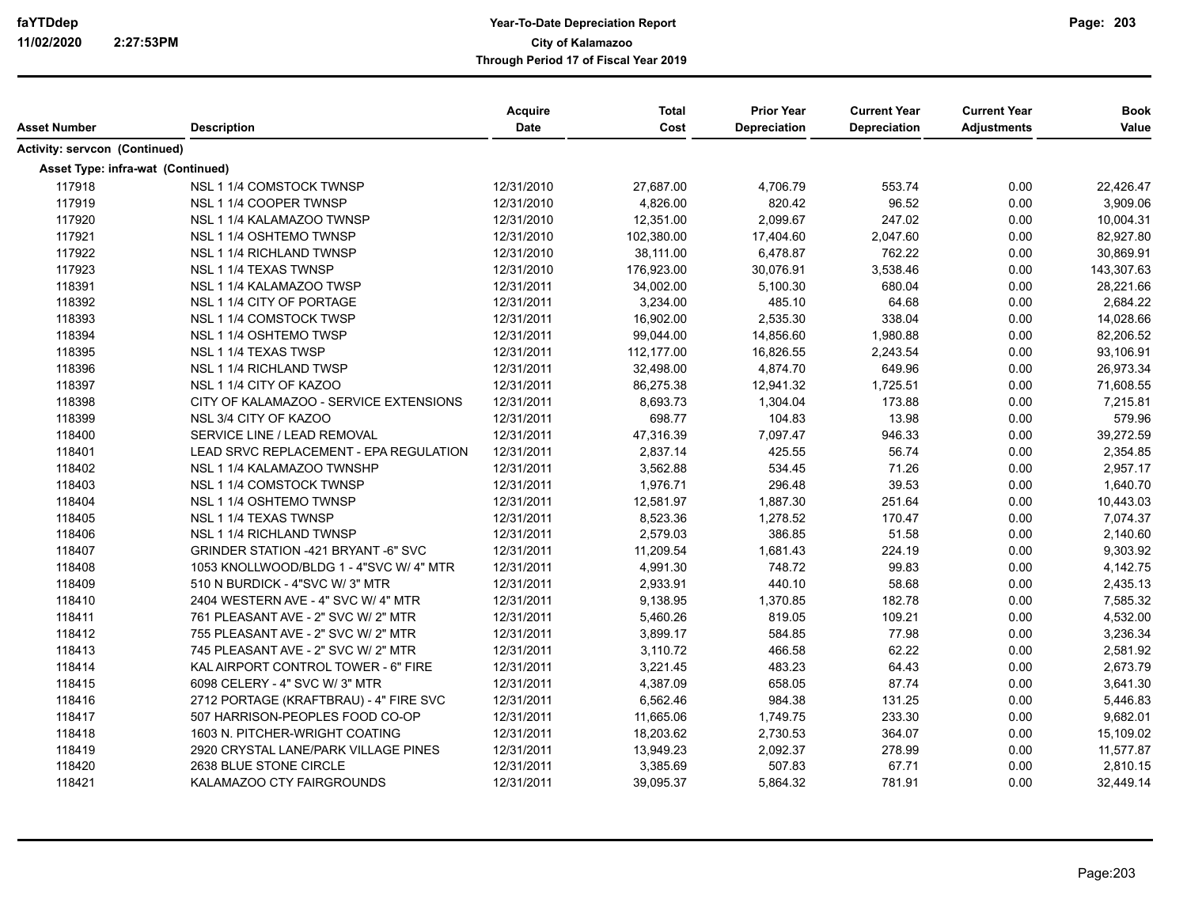|                                   |                                            | Acquire     | <b>Total</b> | <b>Prior Year</b> | <b>Current Year</b> | <b>Current Year</b> | <b>Book</b> |
|-----------------------------------|--------------------------------------------|-------------|--------------|-------------------|---------------------|---------------------|-------------|
| <b>Asset Number</b>               | <b>Description</b>                         | <b>Date</b> | Cost         | Depreciation      | Depreciation        | <b>Adjustments</b>  | Value       |
| Activity: servcon (Continued)     |                                            |             |              |                   |                     |                     |             |
| Asset Type: infra-wat (Continued) |                                            |             |              |                   |                     |                     |             |
| 117918                            | NSL 1 1/4 COMSTOCK TWNSP                   | 12/31/2010  | 27,687.00    | 4,706.79          | 553.74              | 0.00                | 22,426.47   |
| 117919                            | NSL 1 1/4 COOPER TWNSP                     | 12/31/2010  | 4,826.00     | 820.42            | 96.52               | 0.00                | 3,909.06    |
| 117920                            | NSL 1 1/4 KALAMAZOO TWNSP                  | 12/31/2010  | 12,351.00    | 2,099.67          | 247.02              | 0.00                | 10,004.31   |
| 117921                            | NSL 1 1/4 OSHTEMO TWNSP                    | 12/31/2010  | 102,380.00   | 17,404.60         | 2,047.60            | 0.00                | 82,927.80   |
| 117922                            | NSL 1 1/4 RICHLAND TWNSP                   | 12/31/2010  | 38,111.00    | 6,478.87          | 762.22              | 0.00                | 30,869.91   |
| 117923                            | NSL 1 1/4 TEXAS TWNSP                      | 12/31/2010  | 176,923.00   | 30,076.91         | 3,538.46            | 0.00                | 143,307.63  |
| 118391                            | NSL 1 1/4 KALAMAZOO TWSP                   | 12/31/2011  | 34,002.00    | 5,100.30          | 680.04              | 0.00                | 28,221.66   |
| 118392                            | NSL 1 1/4 CITY OF PORTAGE                  | 12/31/2011  | 3,234.00     | 485.10            | 64.68               | 0.00                | 2,684.22    |
| 118393                            | NSL 1 1/4 COMSTOCK TWSP                    | 12/31/2011  | 16,902.00    | 2,535.30          | 338.04              | 0.00                | 14,028.66   |
| 118394                            | NSL 1 1/4 OSHTEMO TWSP                     | 12/31/2011  | 99,044.00    | 14,856.60         | 1,980.88            | 0.00                | 82,206.52   |
| 118395                            | NSL 1 1/4 TEXAS TWSP                       | 12/31/2011  | 112,177.00   | 16,826.55         | 2,243.54            | 0.00                | 93,106.91   |
| 118396                            | NSL 1 1/4 RICHLAND TWSP                    | 12/31/2011  | 32,498.00    | 4,874.70          | 649.96              | 0.00                | 26,973.34   |
| 118397                            | NSL 1 1/4 CITY OF KAZOO                    | 12/31/2011  | 86,275.38    | 12,941.32         | 1,725.51            | 0.00                | 71,608.55   |
| 118398                            | CITY OF KALAMAZOO - SERVICE EXTENSIONS     | 12/31/2011  | 8,693.73     | 1,304.04          | 173.88              | 0.00                | 7,215.81    |
| 118399                            | NSL 3/4 CITY OF KAZOO                      | 12/31/2011  | 698.77       | 104.83            | 13.98               | 0.00                | 579.96      |
| 118400                            | SERVICE LINE / LEAD REMOVAL                | 12/31/2011  | 47,316.39    | 7,097.47          | 946.33              | 0.00                | 39,272.59   |
| 118401                            | LEAD SRVC REPLACEMENT - EPA REGULATION     | 12/31/2011  | 2,837.14     | 425.55            | 56.74               | 0.00                | 2,354.85    |
| 118402                            | NSL 1 1/4 KALAMAZOO TWNSHP                 | 12/31/2011  | 3,562.88     | 534.45            | 71.26               | 0.00                | 2,957.17    |
| 118403                            | NSL 1 1/4 COMSTOCK TWNSP                   | 12/31/2011  | 1,976.71     | 296.48            | 39.53               | 0.00                | 1,640.70    |
| 118404                            | NSL 1 1/4 OSHTEMO TWNSP                    | 12/31/2011  | 12,581.97    | 1,887.30          | 251.64              | 0.00                | 10,443.03   |
| 118405                            | NSL 1 1/4 TEXAS TWNSP                      | 12/31/2011  | 8,523.36     | 1,278.52          | 170.47              | 0.00                | 7,074.37    |
| 118406                            | NSL 1 1/4 RICHLAND TWNSP                   | 12/31/2011  | 2,579.03     | 386.85            | 51.58               | 0.00                | 2,140.60    |
| 118407                            | <b>GRINDER STATION -421 BRYANT -6" SVC</b> | 12/31/2011  | 11,209.54    | 1,681.43          | 224.19              | 0.00                | 9,303.92    |
| 118408                            | 1053 KNOLLWOOD/BLDG 1 - 4"SVC W/ 4" MTR    | 12/31/2011  | 4,991.30     | 748.72            | 99.83               | 0.00                | 4,142.75    |
| 118409                            | 510 N BURDICK - 4"SVC W/3" MTR             | 12/31/2011  | 2,933.91     | 440.10            | 58.68               | 0.00                | 2,435.13    |
| 118410                            | 2404 WESTERN AVE - 4" SVC W/ 4" MTR        | 12/31/2011  | 9,138.95     | 1,370.85          | 182.78              | 0.00                | 7,585.32    |
| 118411                            | 761 PLEASANT AVE - 2" SVC W/ 2" MTR        | 12/31/2011  | 5,460.26     | 819.05            | 109.21              | 0.00                | 4,532.00    |
| 118412                            | 755 PLEASANT AVE - 2" SVC W/ 2" MTR        | 12/31/2011  | 3,899.17     | 584.85            | 77.98               | 0.00                | 3,236.34    |
| 118413                            | 745 PLEASANT AVE - 2" SVC W/ 2" MTR        | 12/31/2011  | 3,110.72     | 466.58            | 62.22               | 0.00                | 2,581.92    |
| 118414                            | KAL AIRPORT CONTROL TOWER - 6" FIRE        | 12/31/2011  | 3,221.45     | 483.23            | 64.43               | 0.00                | 2,673.79    |
| 118415                            | 6098 CELERY - 4" SVC W/ 3" MTR             | 12/31/2011  | 4,387.09     | 658.05            | 87.74               | 0.00                | 3,641.30    |
| 118416                            | 2712 PORTAGE (KRAFTBRAU) - 4" FIRE SVC     | 12/31/2011  | 6,562.46     | 984.38            | 131.25              | 0.00                | 5,446.83    |
| 118417                            | 507 HARRISON-PEOPLES FOOD CO-OP            | 12/31/2011  | 11,665.06    | 1,749.75          | 233.30              | 0.00                | 9,682.01    |
| 118418                            | 1603 N. PITCHER-WRIGHT COATING             | 12/31/2011  | 18,203.62    | 2,730.53          | 364.07              | 0.00                | 15,109.02   |
| 118419                            | 2920 CRYSTAL LANE/PARK VILLAGE PINES       | 12/31/2011  | 13,949.23    | 2,092.37          | 278.99              | 0.00                | 11,577.87   |
| 118420                            | 2638 BLUE STONE CIRCLE                     | 12/31/2011  | 3,385.69     | 507.83            | 67.71               | 0.00                | 2,810.15    |
| 118421                            | KALAMAZOO CTY FAIRGROUNDS                  | 12/31/2011  | 39,095.37    | 5,864.32          | 781.91              | 0.00                | 32,449.14   |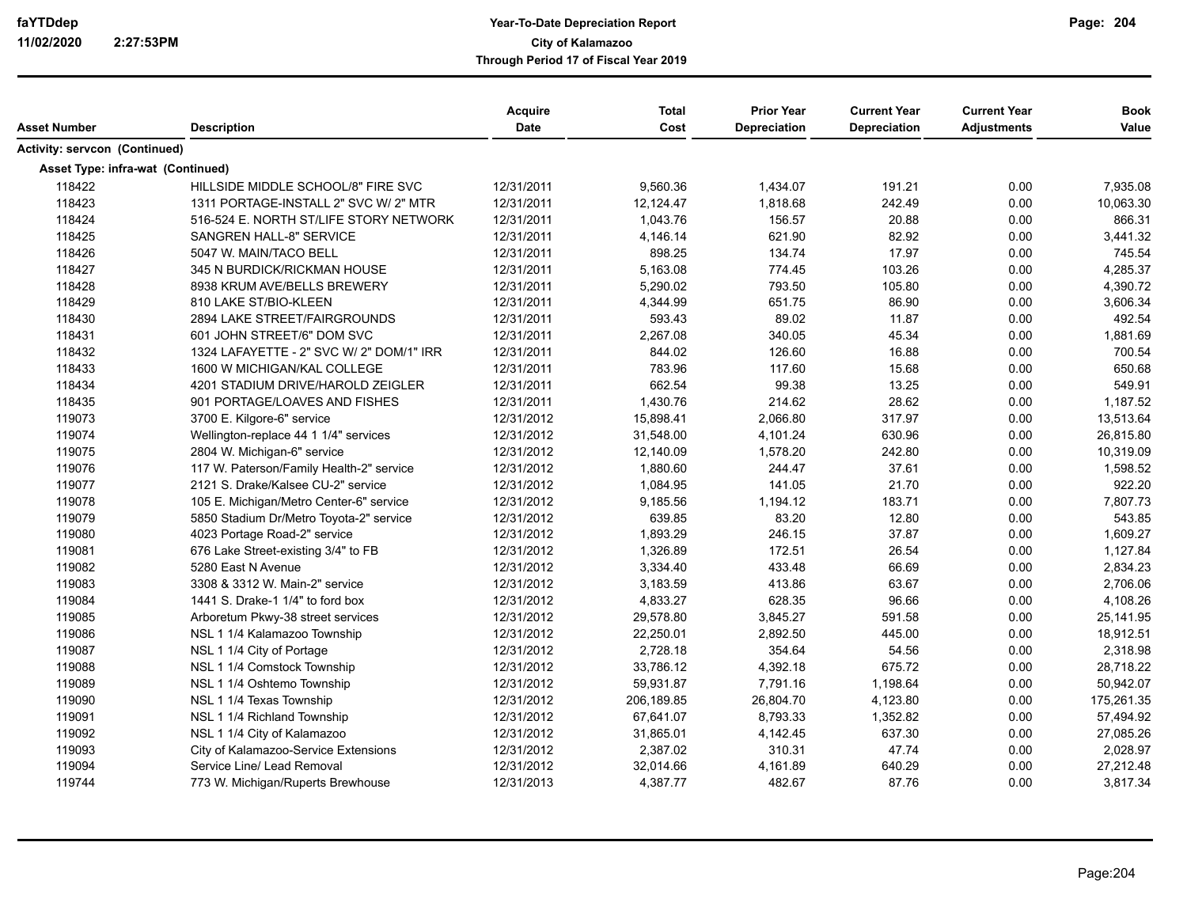|                                      |                                          | <b>Acquire</b> | <b>Total</b> | <b>Prior Year</b>   | <b>Current Year</b> | <b>Current Year</b> | <b>Book</b> |
|--------------------------------------|------------------------------------------|----------------|--------------|---------------------|---------------------|---------------------|-------------|
| Asset Number                         | <b>Description</b>                       | Date           | Cost         | <b>Depreciation</b> | Depreciation        | <b>Adjustments</b>  | Value       |
| <b>Activity: servcon (Continued)</b> |                                          |                |              |                     |                     |                     |             |
| Asset Type: infra-wat (Continued)    |                                          |                |              |                     |                     |                     |             |
| 118422                               | HILLSIDE MIDDLE SCHOOL/8" FIRE SVC       | 12/31/2011     | 9,560.36     | 1,434.07            | 191.21              | 0.00                | 7,935.08    |
| 118423                               | 1311 PORTAGE-INSTALL 2" SVC W/ 2" MTR    | 12/31/2011     | 12,124.47    | 1,818.68            | 242.49              | 0.00                | 10,063.30   |
| 118424                               | 516-524 E. NORTH ST/LIFE STORY NETWORK   | 12/31/2011     | 1,043.76     | 156.57              | 20.88               | 0.00                | 866.31      |
| 118425                               | SANGREN HALL-8" SERVICE                  | 12/31/2011     | 4,146.14     | 621.90              | 82.92               | 0.00                | 3,441.32    |
| 118426                               | 5047 W. MAIN/TACO BELL                   | 12/31/2011     | 898.25       | 134.74              | 17.97               | 0.00                | 745.54      |
| 118427                               | 345 N BURDICK/RICKMAN HOUSE              | 12/31/2011     | 5,163.08     | 774.45              | 103.26              | 0.00                | 4,285.37    |
| 118428                               | 8938 KRUM AVE/BELLS BREWERY              | 12/31/2011     | 5,290.02     | 793.50              | 105.80              | 0.00                | 4,390.72    |
| 118429                               | 810 LAKE ST/BIO-KLEEN                    | 12/31/2011     | 4,344.99     | 651.75              | 86.90               | 0.00                | 3,606.34    |
| 118430                               | 2894 LAKE STREET/FAIRGROUNDS             | 12/31/2011     | 593.43       | 89.02               | 11.87               | 0.00                | 492.54      |
| 118431                               | 601 JOHN STREET/6" DOM SVC               | 12/31/2011     | 2,267.08     | 340.05              | 45.34               | 0.00                | 1,881.69    |
| 118432                               | 1324 LAFAYETTE - 2" SVC W/ 2" DOM/1" IRR | 12/31/2011     | 844.02       | 126.60              | 16.88               | 0.00                | 700.54      |
| 118433                               | 1600 W MICHIGAN/KAL COLLEGE              | 12/31/2011     | 783.96       | 117.60              | 15.68               | 0.00                | 650.68      |
| 118434                               | 4201 STADIUM DRIVE/HAROLD ZEIGLER        | 12/31/2011     | 662.54       | 99.38               | 13.25               | 0.00                | 549.91      |
| 118435                               | 901 PORTAGE/LOAVES AND FISHES            | 12/31/2011     | 1,430.76     | 214.62              | 28.62               | 0.00                | 1,187.52    |
| 119073                               | 3700 E. Kilgore-6" service               | 12/31/2012     | 15,898.41    | 2,066.80            | 317.97              | 0.00                | 13,513.64   |
| 119074                               | Wellington-replace 44 1 1/4" services    | 12/31/2012     | 31,548.00    | 4,101.24            | 630.96              | 0.00                | 26,815.80   |
| 119075                               | 2804 W. Michigan-6" service              | 12/31/2012     | 12,140.09    | 1,578.20            | 242.80              | 0.00                | 10,319.09   |
| 119076                               | 117 W. Paterson/Family Health-2" service | 12/31/2012     | 1,880.60     | 244.47              | 37.61               | 0.00                | 1,598.52    |
| 119077                               | 2121 S. Drake/Kalsee CU-2" service       | 12/31/2012     | 1,084.95     | 141.05              | 21.70               | 0.00                | 922.20      |
| 119078                               | 105 E. Michigan/Metro Center-6" service  | 12/31/2012     | 9,185.56     | 1,194.12            | 183.71              | 0.00                | 7,807.73    |
| 119079                               | 5850 Stadium Dr/Metro Toyota-2" service  | 12/31/2012     | 639.85       | 83.20               | 12.80               | 0.00                | 543.85      |
| 119080                               | 4023 Portage Road-2" service             | 12/31/2012     | 1,893.29     | 246.15              | 37.87               | 0.00                | 1,609.27    |
| 119081                               | 676 Lake Street-existing 3/4" to FB      | 12/31/2012     | 1,326.89     | 172.51              | 26.54               | 0.00                | 1,127.84    |
| 119082                               | 5280 East N Avenue                       | 12/31/2012     | 3,334.40     | 433.48              | 66.69               | 0.00                | 2,834.23    |
| 119083                               | 3308 & 3312 W. Main-2" service           | 12/31/2012     | 3,183.59     | 413.86              | 63.67               | 0.00                | 2,706.06    |
| 119084                               | 1441 S. Drake-1 1/4" to ford box         | 12/31/2012     | 4,833.27     | 628.35              | 96.66               | 0.00                | 4,108.26    |
| 119085                               | Arboretum Pkwy-38 street services        | 12/31/2012     | 29,578.80    | 3,845.27            | 591.58              | 0.00                | 25,141.95   |
| 119086                               | NSL 1 1/4 Kalamazoo Township             | 12/31/2012     | 22,250.01    | 2,892.50            | 445.00              | 0.00                | 18,912.51   |
| 119087                               | NSL 1 1/4 City of Portage                | 12/31/2012     | 2,728.18     | 354.64              | 54.56               | 0.00                | 2,318.98    |
| 119088                               | NSL 1 1/4 Comstock Township              | 12/31/2012     | 33,786.12    | 4,392.18            | 675.72              | 0.00                | 28,718.22   |
| 119089                               | NSL 1 1/4 Oshtemo Township               | 12/31/2012     | 59,931.87    | 7,791.16            | 1,198.64            | 0.00                | 50,942.07   |
| 119090                               | NSL 1 1/4 Texas Township                 | 12/31/2012     | 206,189.85   | 26,804.70           | 4,123.80            | 0.00                | 175,261.35  |
| 119091                               | NSL 1 1/4 Richland Township              | 12/31/2012     | 67,641.07    | 8,793.33            | 1,352.82            | 0.00                | 57,494.92   |
| 119092                               | NSL 1 1/4 City of Kalamazoo              | 12/31/2012     | 31,865.01    | 4,142.45            | 637.30              | 0.00                | 27,085.26   |
| 119093                               | City of Kalamazoo-Service Extensions     | 12/31/2012     | 2,387.02     | 310.31              | 47.74               | 0.00                | 2,028.97    |
| 119094                               | Service Line/ Lead Removal               | 12/31/2012     | 32,014.66    | 4,161.89            | 640.29              | 0.00                | 27,212.48   |
| 119744                               | 773 W. Michigan/Ruperts Brewhouse        | 12/31/2013     | 4,387.77     | 482.67              | 87.76               | 0.00                | 3,817.34    |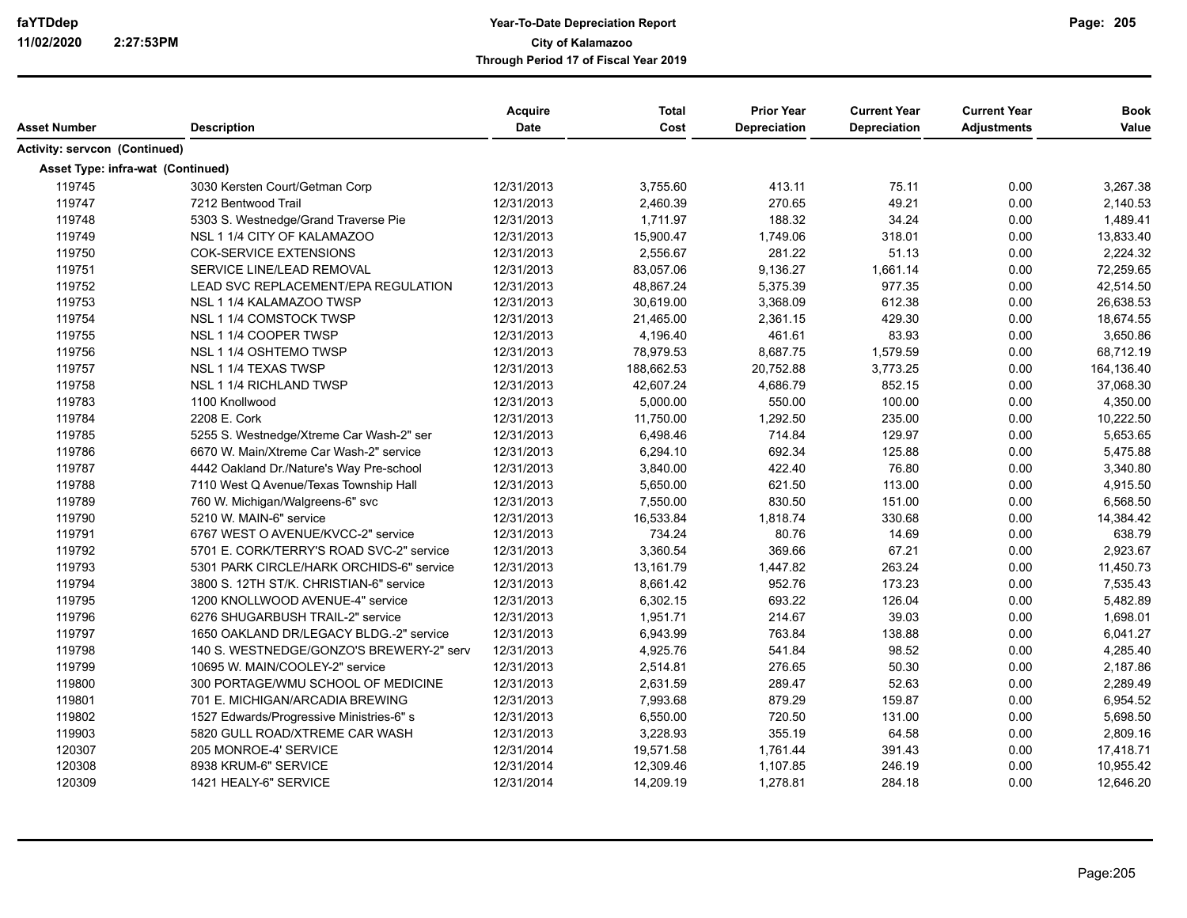| Asset Number                      | <b>Description</b>                       | Acquire<br>Date | <b>Total</b><br>Cost | <b>Prior Year</b><br>Depreciation | <b>Current Year</b><br>Depreciation | <b>Current Year</b><br><b>Adjustments</b> | <b>Book</b><br>Value |
|-----------------------------------|------------------------------------------|-----------------|----------------------|-----------------------------------|-------------------------------------|-------------------------------------------|----------------------|
|                                   |                                          |                 |                      |                                   |                                     |                                           |                      |
| Activity: servcon (Continued)     |                                          |                 |                      |                                   |                                     |                                           |                      |
| Asset Type: infra-wat (Continued) |                                          |                 |                      |                                   |                                     |                                           |                      |
| 119745                            | 3030 Kersten Court/Getman Corp           | 12/31/2013      | 3,755.60             | 413.11                            | 75.11                               | 0.00                                      | 3,267.38             |
| 119747                            | 7212 Bentwood Trail                      | 12/31/2013      | 2,460.39             | 270.65                            | 49.21                               | 0.00                                      | 2,140.53             |
| 119748                            | 5303 S. Westnedge/Grand Traverse Pie     | 12/31/2013      | 1,711.97             | 188.32                            | 34.24                               | 0.00                                      | 1,489.41             |
| 119749                            | NSL 1 1/4 CITY OF KALAMAZOO              | 12/31/2013      | 15,900.47            | 1,749.06                          | 318.01                              | 0.00                                      | 13,833.40            |
| 119750                            | <b>COK-SERVICE EXTENSIONS</b>            | 12/31/2013      | 2,556.67             | 281.22                            | 51.13                               | 0.00                                      | 2,224.32             |
| 119751                            | SERVICE LINE/LEAD REMOVAL                | 12/31/2013      | 83,057.06            | 9,136.27                          | 1,661.14                            | 0.00                                      | 72,259.65            |
| 119752                            | LEAD SVC REPLACEMENT/EPA REGULATION      | 12/31/2013      | 48,867.24            | 5,375.39                          | 977.35                              | 0.00                                      | 42,514.50            |
| 119753                            | NSL 1 1/4 KALAMAZOO TWSP                 | 12/31/2013      | 30,619.00            | 3,368.09                          | 612.38                              | 0.00                                      | 26,638.53            |
| 119754                            | NSL 1 1/4 COMSTOCK TWSP                  | 12/31/2013      | 21,465.00            | 2,361.15                          | 429.30                              | 0.00                                      | 18,674.55            |
| 119755                            | NSL 1 1/4 COOPER TWSP                    | 12/31/2013      | 4,196.40             | 461.61                            | 83.93                               | 0.00                                      | 3,650.86             |
| 119756                            | NSL 1 1/4 OSHTEMO TWSP                   | 12/31/2013      | 78,979.53            | 8,687.75                          | 1,579.59                            | 0.00                                      | 68,712.19            |
| 119757                            | NSL 1 1/4 TEXAS TWSP                     | 12/31/2013      | 188,662.53           | 20,752.88                         | 3,773.25                            | 0.00                                      | 164,136.40           |
| 119758                            | NSL 1 1/4 RICHLAND TWSP                  | 12/31/2013      | 42,607.24            | 4,686.79                          | 852.15                              | 0.00                                      | 37,068.30            |
| 119783                            | 1100 Knollwood                           | 12/31/2013      | 5,000.00             | 550.00                            | 100.00                              | 0.00                                      | 4,350.00             |
| 119784                            | 2208 E. Cork                             | 12/31/2013      | 11,750.00            | 1,292.50                          | 235.00                              | 0.00                                      | 10,222.50            |
| 119785                            | 5255 S. Westnedge/Xtreme Car Wash-2" ser | 12/31/2013      | 6,498.46             | 714.84                            | 129.97                              | 0.00                                      | 5,653.65             |
| 119786                            | 6670 W. Main/Xtreme Car Wash-2" service  | 12/31/2013      | 6,294.10             | 692.34                            | 125.88                              | 0.00                                      | 5,475.88             |
| 119787                            | 4442 Oakland Dr./Nature's Way Pre-school | 12/31/2013      | 3,840.00             | 422.40                            | 76.80                               | 0.00                                      | 3,340.80             |
| 119788                            | 7110 West Q Avenue/Texas Township Hall   | 12/31/2013      | 5,650.00             | 621.50                            | 113.00                              | 0.00                                      | 4,915.50             |
| 119789                            | 760 W. Michigan/Walgreens-6" svc         | 12/31/2013      | 7,550.00             | 830.50                            | 151.00                              | 0.00                                      | 6,568.50             |
| 119790                            | 5210 W. MAIN-6" service                  | 12/31/2013      | 16,533.84            | 1,818.74                          | 330.68                              | 0.00                                      | 14,384.42            |
| 119791                            | 6767 WEST O AVENUE/KVCC-2" service       | 12/31/2013      | 734.24               | 80.76                             | 14.69                               | 0.00                                      | 638.79               |
| 119792                            | 5701 E. CORK/TERRY'S ROAD SVC-2" service | 12/31/2013      | 3,360.54             | 369.66                            | 67.21                               | 0.00                                      | 2,923.67             |
| 119793                            | 5301 PARK CIRCLE/HARK ORCHIDS-6" service | 12/31/2013      | 13,161.79            | 1,447.82                          | 263.24                              | 0.00                                      | 11,450.73            |
| 119794                            | 3800 S. 12TH ST/K. CHRISTIAN-6" service  | 12/31/2013      | 8,661.42             | 952.76                            | 173.23                              | 0.00                                      | 7,535.43             |
| 119795                            | 1200 KNOLLWOOD AVENUE-4" service         | 12/31/2013      | 6,302.15             | 693.22                            | 126.04                              | 0.00                                      | 5,482.89             |
| 119796                            | 6276 SHUGARBUSH TRAIL-2" service         | 12/31/2013      | 1,951.71             | 214.67                            | 39.03                               | 0.00                                      | 1,698.01             |
| 119797                            | 1650 OAKLAND DR/LEGACY BLDG.-2" service  | 12/31/2013      | 6,943.99             | 763.84                            | 138.88                              | 0.00                                      | 6,041.27             |
| 119798                            | 140 S. WESTNEDGE/GONZO'S BREWERY-2" serv | 12/31/2013      | 4,925.76             | 541.84                            | 98.52                               | 0.00                                      | 4,285.40             |
| 119799                            | 10695 W. MAIN/COOLEY-2" service          | 12/31/2013      | 2,514.81             | 276.65                            | 50.30                               | 0.00                                      | 2,187.86             |
| 119800                            | 300 PORTAGE/WMU SCHOOL OF MEDICINE       | 12/31/2013      | 2,631.59             | 289.47                            | 52.63                               | 0.00                                      | 2,289.49             |
| 119801                            | 701 E. MICHIGAN/ARCADIA BREWING          | 12/31/2013      | 7,993.68             | 879.29                            | 159.87                              | 0.00                                      | 6,954.52             |
| 119802                            | 1527 Edwards/Progressive Ministries-6" s | 12/31/2013      | 6,550.00             | 720.50                            | 131.00                              | 0.00                                      | 5,698.50             |
| 119903                            | 5820 GULL ROAD/XTREME CAR WASH           | 12/31/2013      | 3,228.93             | 355.19                            | 64.58                               | 0.00                                      | 2,809.16             |
| 120307                            | 205 MONROE-4' SERVICE                    | 12/31/2014      | 19,571.58            | 1,761.44                          | 391.43                              | 0.00                                      | 17,418.71            |
| 120308                            | 8938 KRUM-6" SERVICE                     | 12/31/2014      | 12,309.46            | 1,107.85                          | 246.19                              | 0.00                                      | 10,955.42            |
| 120309                            | 1421 HEALY-6" SERVICE                    | 12/31/2014      | 14,209.19            | 1,278.81                          | 284.18                              | 0.00                                      | 12,646.20            |
|                                   |                                          |                 |                      |                                   |                                     |                                           |                      |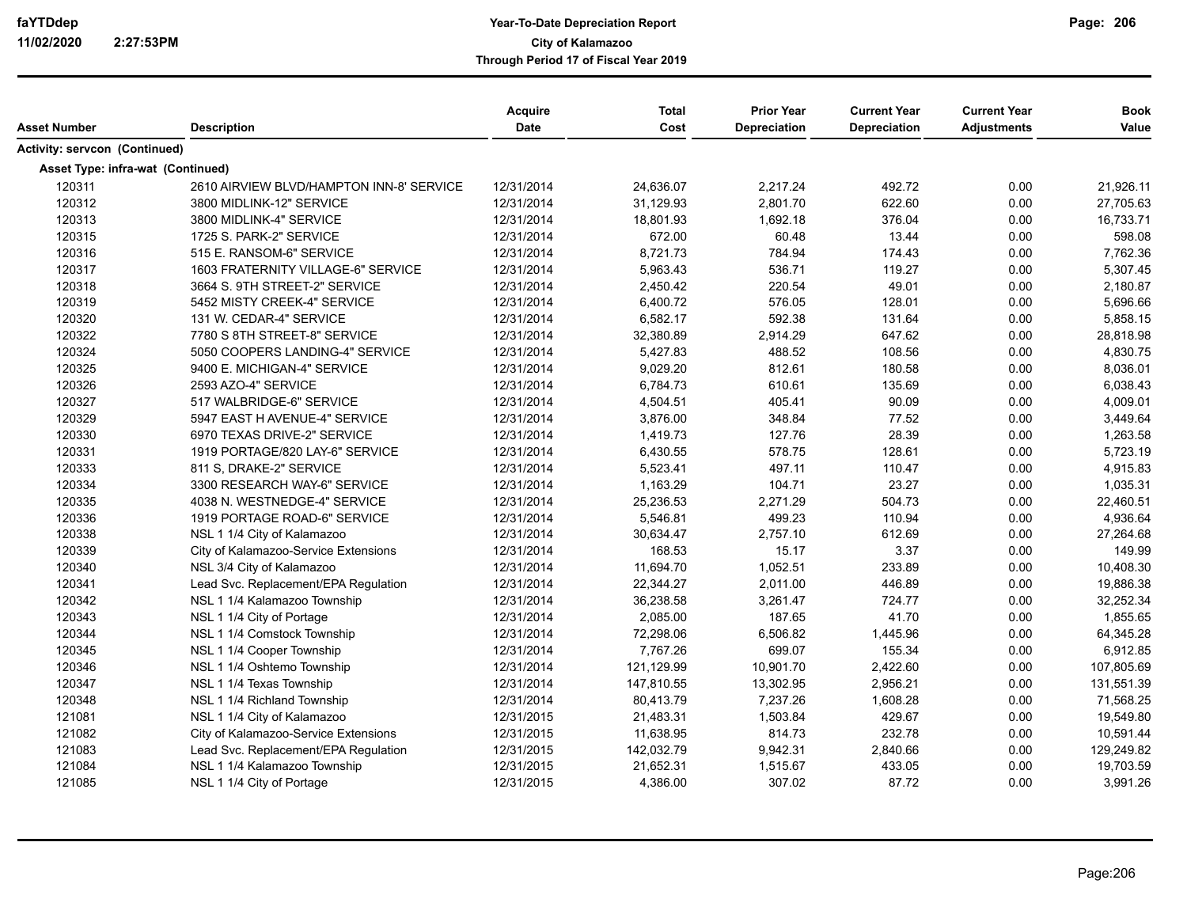|                                   |                                          | Acquire<br><b>Date</b> | <b>Total</b><br>Cost | <b>Prior Year</b><br><b>Depreciation</b> | <b>Current Year</b><br><b>Depreciation</b> | <b>Current Year</b><br><b>Adjustments</b> | <b>Book</b> |
|-----------------------------------|------------------------------------------|------------------------|----------------------|------------------------------------------|--------------------------------------------|-------------------------------------------|-------------|
| <b>Asset Number</b>               | <b>Description</b>                       |                        |                      |                                          |                                            |                                           | Value       |
| Activity: servcon (Continued)     |                                          |                        |                      |                                          |                                            |                                           |             |
| Asset Type: infra-wat (Continued) |                                          |                        |                      |                                          |                                            |                                           |             |
| 120311                            | 2610 AIRVIEW BLVD/HAMPTON INN-8' SERVICE | 12/31/2014             | 24,636.07            | 2,217.24                                 | 492.72                                     | 0.00                                      | 21,926.11   |
| 120312                            | 3800 MIDLINK-12" SERVICE                 | 12/31/2014             | 31,129.93            | 2,801.70                                 | 622.60                                     | 0.00                                      | 27,705.63   |
| 120313                            | 3800 MIDLINK-4" SERVICE                  | 12/31/2014             | 18,801.93            | 1,692.18                                 | 376.04                                     | 0.00                                      | 16,733.71   |
| 120315                            | 1725 S. PARK-2" SERVICE                  | 12/31/2014             | 672.00               | 60.48                                    | 13.44                                      | 0.00                                      | 598.08      |
| 120316                            | 515 E. RANSOM-6" SERVICE                 | 12/31/2014             | 8,721.73             | 784.94                                   | 174.43                                     | 0.00                                      | 7,762.36    |
| 120317                            | 1603 FRATERNITY VILLAGE-6" SERVICE       | 12/31/2014             | 5,963.43             | 536.71                                   | 119.27                                     | 0.00                                      | 5,307.45    |
| 120318                            | 3664 S. 9TH STREET-2" SERVICE            | 12/31/2014             | 2,450.42             | 220.54                                   | 49.01                                      | 0.00                                      | 2,180.87    |
| 120319                            | 5452 MISTY CREEK-4" SERVICE              | 12/31/2014             | 6,400.72             | 576.05                                   | 128.01                                     | 0.00                                      | 5,696.66    |
| 120320                            | 131 W. CEDAR-4" SERVICE                  | 12/31/2014             | 6,582.17             | 592.38                                   | 131.64                                     | 0.00                                      | 5,858.15    |
| 120322                            | 7780 S 8TH STREET-8" SERVICE             | 12/31/2014             | 32,380.89            | 2,914.29                                 | 647.62                                     | 0.00                                      | 28,818.98   |
| 120324                            | 5050 COOPERS LANDING-4" SERVICE          | 12/31/2014             | 5,427.83             | 488.52                                   | 108.56                                     | 0.00                                      | 4,830.75    |
| 120325                            | 9400 E. MICHIGAN-4" SERVICE              | 12/31/2014             | 9,029.20             | 812.61                                   | 180.58                                     | 0.00                                      | 8,036.01    |
| 120326                            | 2593 AZO-4" SERVICE                      | 12/31/2014             | 6,784.73             | 610.61                                   | 135.69                                     | 0.00                                      | 6,038.43    |
| 120327                            | 517 WALBRIDGE-6" SERVICE                 | 12/31/2014             | 4,504.51             | 405.41                                   | 90.09                                      | 0.00                                      | 4,009.01    |
| 120329                            | 5947 EAST H AVENUE-4" SERVICE            | 12/31/2014             | 3,876.00             | 348.84                                   | 77.52                                      | 0.00                                      | 3,449.64    |
| 120330                            | 6970 TEXAS DRIVE-2" SERVICE              | 12/31/2014             | 1,419.73             | 127.76                                   | 28.39                                      | 0.00                                      | 1,263.58    |
| 120331                            | 1919 PORTAGE/820 LAY-6" SERVICE          | 12/31/2014             | 6,430.55             | 578.75                                   | 128.61                                     | 0.00                                      | 5,723.19    |
| 120333                            | 811 S, DRAKE-2" SERVICE                  | 12/31/2014             | 5,523.41             | 497.11                                   | 110.47                                     | 0.00                                      | 4,915.83    |
| 120334                            | 3300 RESEARCH WAY-6" SERVICE             | 12/31/2014             | 1,163.29             | 104.71                                   | 23.27                                      | 0.00                                      | 1,035.31    |
| 120335                            | 4038 N. WESTNEDGE-4" SERVICE             | 12/31/2014             | 25,236.53            | 2,271.29                                 | 504.73                                     | 0.00                                      | 22,460.51   |
| 120336                            | 1919 PORTAGE ROAD-6" SERVICE             | 12/31/2014             | 5,546.81             | 499.23                                   | 110.94                                     | 0.00                                      | 4,936.64    |
| 120338                            | NSL 1 1/4 City of Kalamazoo              | 12/31/2014             | 30,634.47            | 2,757.10                                 | 612.69                                     | 0.00                                      | 27,264.68   |
| 120339                            | City of Kalamazoo-Service Extensions     | 12/31/2014             | 168.53               | 15.17                                    | 3.37                                       | 0.00                                      | 149.99      |
| 120340                            | NSL 3/4 City of Kalamazoo                | 12/31/2014             | 11,694.70            | 1,052.51                                 | 233.89                                     | 0.00                                      | 10,408.30   |
| 120341                            | Lead Svc. Replacement/EPA Regulation     | 12/31/2014             | 22,344.27            | 2,011.00                                 | 446.89                                     | 0.00                                      | 19,886.38   |
| 120342                            | NSL 1 1/4 Kalamazoo Township             | 12/31/2014             | 36,238.58            | 3,261.47                                 | 724.77                                     | 0.00                                      | 32,252.34   |
| 120343                            | NSL 1 1/4 City of Portage                | 12/31/2014             | 2,085.00             | 187.65                                   | 41.70                                      | 0.00                                      | 1,855.65    |
| 120344                            | NSL 1 1/4 Comstock Township              | 12/31/2014             | 72,298.06            | 6,506.82                                 | 1,445.96                                   | 0.00                                      | 64,345.28   |
| 120345                            | NSL 1 1/4 Cooper Township                | 12/31/2014             | 7,767.26             | 699.07                                   | 155.34                                     | 0.00                                      | 6,912.85    |
| 120346                            | NSL 1 1/4 Oshtemo Township               | 12/31/2014             | 121,129.99           | 10,901.70                                | 2,422.60                                   | 0.00                                      | 107,805.69  |
| 120347                            | NSL 1 1/4 Texas Township                 | 12/31/2014             | 147,810.55           | 13,302.95                                | 2,956.21                                   | 0.00                                      | 131,551.39  |
| 120348                            | NSL 1 1/4 Richland Township              | 12/31/2014             | 80,413.79            | 7,237.26                                 | 1,608.28                                   | 0.00                                      | 71,568.25   |
| 121081                            | NSL 1 1/4 City of Kalamazoo              | 12/31/2015             | 21,483.31            | 1,503.84                                 | 429.67                                     | 0.00                                      | 19,549.80   |
| 121082                            | City of Kalamazoo-Service Extensions     | 12/31/2015             | 11,638.95            | 814.73                                   | 232.78                                     | 0.00                                      | 10,591.44   |
| 121083                            | Lead Svc. Replacement/EPA Regulation     | 12/31/2015             | 142,032.79           | 9,942.31                                 | 2,840.66                                   | 0.00                                      | 129,249.82  |
| 121084                            | NSL 1 1/4 Kalamazoo Township             | 12/31/2015             | 21,652.31            | 1,515.67                                 | 433.05                                     | 0.00                                      | 19,703.59   |
| 121085                            | NSL 1 1/4 City of Portage                | 12/31/2015             | 4,386.00             | 307.02                                   | 87.72                                      | 0.00                                      | 3,991.26    |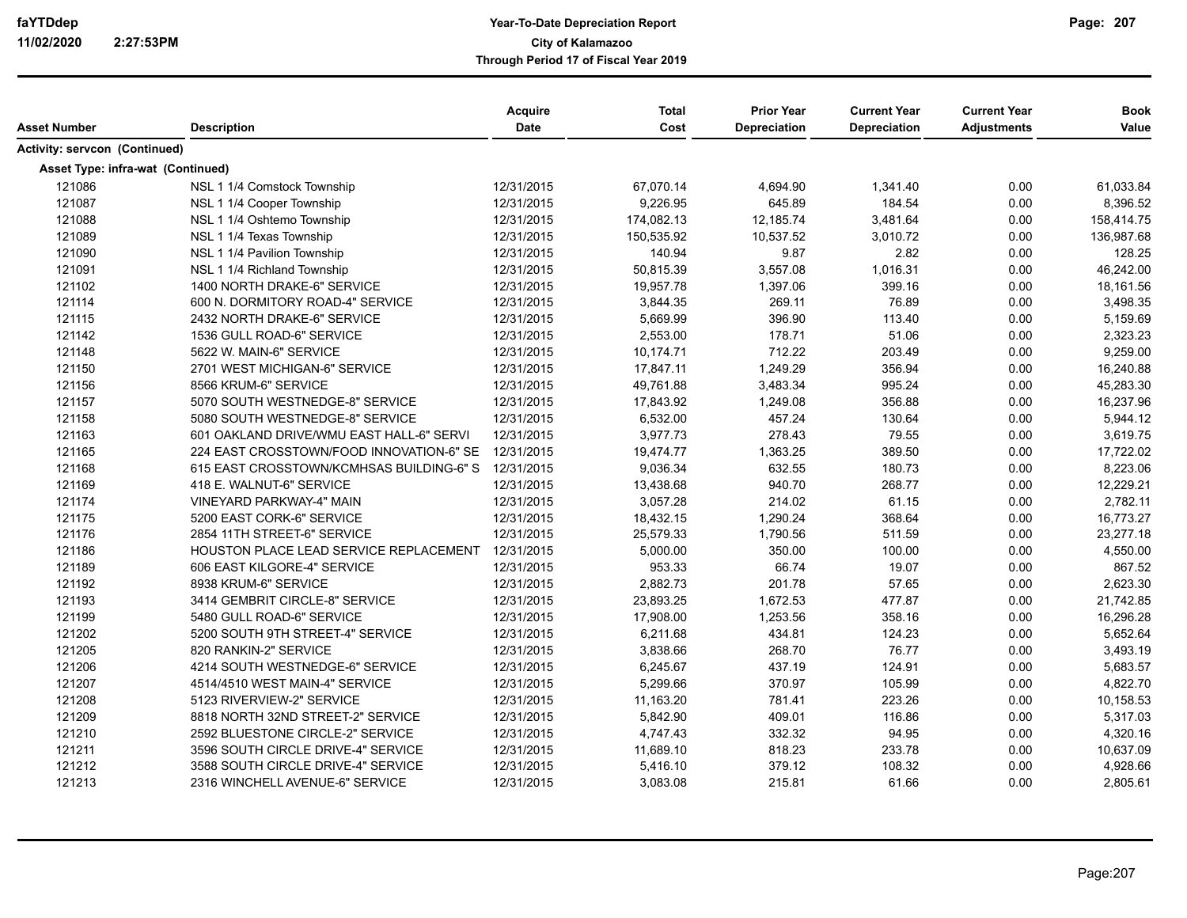| Asset Number                         | <b>Description</b>                       | Acquire<br>Date | <b>Total</b><br>Cost | <b>Prior Year</b><br>Depreciation | <b>Current Year</b><br><b>Depreciation</b> | <b>Current Year</b><br><b>Adjustments</b> | <b>Book</b><br>Value |
|--------------------------------------|------------------------------------------|-----------------|----------------------|-----------------------------------|--------------------------------------------|-------------------------------------------|----------------------|
| <b>Activity: servcon (Continued)</b> |                                          |                 |                      |                                   |                                            |                                           |                      |
|                                      | Asset Type: infra-wat (Continued)        |                 |                      |                                   |                                            |                                           |                      |
| 121086                               | NSL 1 1/4 Comstock Township              | 12/31/2015      | 67,070.14            | 4,694.90                          | 1,341.40                                   | 0.00                                      | 61,033.84            |
| 121087                               | NSL 1 1/4 Cooper Township                | 12/31/2015      | 9,226.95             | 645.89                            | 184.54                                     | 0.00                                      | 8,396.52             |
| 121088                               | NSL 1 1/4 Oshtemo Township               | 12/31/2015      | 174,082.13           | 12,185.74                         | 3,481.64                                   | 0.00                                      | 158,414.75           |
| 121089                               | NSL 1 1/4 Texas Township                 | 12/31/2015      | 150,535.92           | 10,537.52                         | 3,010.72                                   | 0.00                                      | 136,987.68           |
| 121090                               | NSL 1 1/4 Pavilion Township              | 12/31/2015      | 140.94               | 9.87                              | 2.82                                       | 0.00                                      | 128.25               |
| 121091                               | NSL 1 1/4 Richland Township              | 12/31/2015      | 50,815.39            | 3,557.08                          | 1,016.31                                   | 0.00                                      | 46,242.00            |
| 121102                               | 1400 NORTH DRAKE-6" SERVICE              | 12/31/2015      | 19,957.78            | 1,397.06                          | 399.16                                     | 0.00                                      | 18,161.56            |
| 121114                               | 600 N. DORMITORY ROAD-4" SERVICE         | 12/31/2015      | 3,844.35             | 269.11                            | 76.89                                      | 0.00                                      | 3,498.35             |
| 121115                               | 2432 NORTH DRAKE-6" SERVICE              | 12/31/2015      | 5,669.99             | 396.90                            | 113.40                                     | 0.00                                      | 5,159.69             |
| 121142                               | 1536 GULL ROAD-6" SERVICE                | 12/31/2015      | 2,553.00             | 178.71                            | 51.06                                      | 0.00                                      | 2,323.23             |
| 121148                               | 5622 W. MAIN-6" SERVICE                  | 12/31/2015      | 10,174.71            | 712.22                            | 203.49                                     | 0.00                                      | 9,259.00             |
| 121150                               | 2701 WEST MICHIGAN-6" SERVICE            | 12/31/2015      | 17,847.11            | 1,249.29                          | 356.94                                     | 0.00                                      | 16,240.88            |
| 121156                               | 8566 KRUM-6" SERVICE                     | 12/31/2015      | 49,761.88            | 3,483.34                          | 995.24                                     | 0.00                                      | 45,283.30            |
| 121157                               | 5070 SOUTH WESTNEDGE-8" SERVICE          | 12/31/2015      | 17,843.92            | 1,249.08                          | 356.88                                     | 0.00                                      | 16,237.96            |
| 121158                               | 5080 SOUTH WESTNEDGE-8" SERVICE          | 12/31/2015      | 6,532.00             | 457.24                            | 130.64                                     | 0.00                                      | 5,944.12             |
| 121163                               | 601 OAKLAND DRIVE/WMU EAST HALL-6" SERVI | 12/31/2015      | 3,977.73             | 278.43                            | 79.55                                      | 0.00                                      | 3,619.75             |
| 121165                               | 224 EAST CROSSTOWN/FOOD INNOVATION-6" SE | 12/31/2015      | 19,474.77            | 1,363.25                          | 389.50                                     | 0.00                                      | 17,722.02            |
| 121168                               | 615 EAST CROSSTOWN/KCMHSAS BUILDING-6" S | 12/31/2015      | 9,036.34             | 632.55                            | 180.73                                     | 0.00                                      | 8,223.06             |
| 121169                               | 418 E. WALNUT-6" SERVICE                 | 12/31/2015      | 13,438.68            | 940.70                            | 268.77                                     | 0.00                                      | 12,229.21            |
| 121174                               | VINEYARD PARKWAY-4" MAIN                 | 12/31/2015      | 3,057.28             | 214.02                            | 61.15                                      | 0.00                                      | 2,782.11             |
| 121175                               | 5200 EAST CORK-6" SERVICE                | 12/31/2015      | 18,432.15            | 1,290.24                          | 368.64                                     | 0.00                                      | 16,773.27            |
| 121176                               | 2854 11TH STREET-6" SERVICE              | 12/31/2015      | 25,579.33            | 1,790.56                          | 511.59                                     | 0.00                                      | 23,277.18            |
| 121186                               | HOUSTON PLACE LEAD SERVICE REPLACEMENT   | 12/31/2015      | 5,000.00             | 350.00                            | 100.00                                     | 0.00                                      | 4,550.00             |
| 121189                               | 606 EAST KILGORE-4" SERVICE              | 12/31/2015      | 953.33               | 66.74                             | 19.07                                      | 0.00                                      | 867.52               |
| 121192                               | 8938 KRUM-6" SERVICE                     | 12/31/2015      | 2,882.73             | 201.78                            | 57.65                                      | 0.00                                      | 2,623.30             |
| 121193                               | 3414 GEMBRIT CIRCLE-8" SERVICE           | 12/31/2015      | 23,893.25            | 1,672.53                          | 477.87                                     | 0.00                                      | 21,742.85            |
| 121199                               | 5480 GULL ROAD-6" SERVICE                | 12/31/2015      | 17,908.00            | 1,253.56                          | 358.16                                     | 0.00                                      | 16,296.28            |
| 121202                               | 5200 SOUTH 9TH STREET-4" SERVICE         | 12/31/2015      | 6,211.68             | 434.81                            | 124.23                                     | 0.00                                      | 5,652.64             |
| 121205                               | 820 RANKIN-2" SERVICE                    | 12/31/2015      | 3,838.66             | 268.70                            | 76.77                                      | 0.00                                      | 3,493.19             |
| 121206                               | 4214 SOUTH WESTNEDGE-6" SERVICE          | 12/31/2015      | 6,245.67             | 437.19                            | 124.91                                     | 0.00                                      | 5,683.57             |
| 121207                               | 4514/4510 WEST MAIN-4" SERVICE           | 12/31/2015      | 5,299.66             | 370.97                            | 105.99                                     | 0.00                                      | 4,822.70             |
| 121208                               | 5123 RIVERVIEW-2" SERVICE                | 12/31/2015      | 11,163.20            | 781.41                            | 223.26                                     | 0.00                                      | 10,158.53            |
| 121209                               | 8818 NORTH 32ND STREET-2" SERVICE        | 12/31/2015      | 5.842.90             | 409.01                            | 116.86                                     | 0.00                                      | 5,317.03             |
| 121210                               | 2592 BLUESTONE CIRCLE-2" SERVICE         | 12/31/2015      | 4,747.43             | 332.32                            | 94.95                                      | 0.00                                      | 4,320.16             |
| 121211                               | 3596 SOUTH CIRCLE DRIVE-4" SERVICE       | 12/31/2015      | 11,689.10            | 818.23                            | 233.78                                     | 0.00                                      | 10,637.09            |
| 121212                               | 3588 SOUTH CIRCLE DRIVE-4" SERVICE       | 12/31/2015      | 5,416.10             | 379.12                            | 108.32                                     | 0.00                                      | 4,928.66             |
| 121213                               | 2316 WINCHELL AVENUE-6" SERVICE          | 12/31/2015      | 3,083.08             | 215.81                            | 61.66                                      | 0.00                                      | 2,805.61             |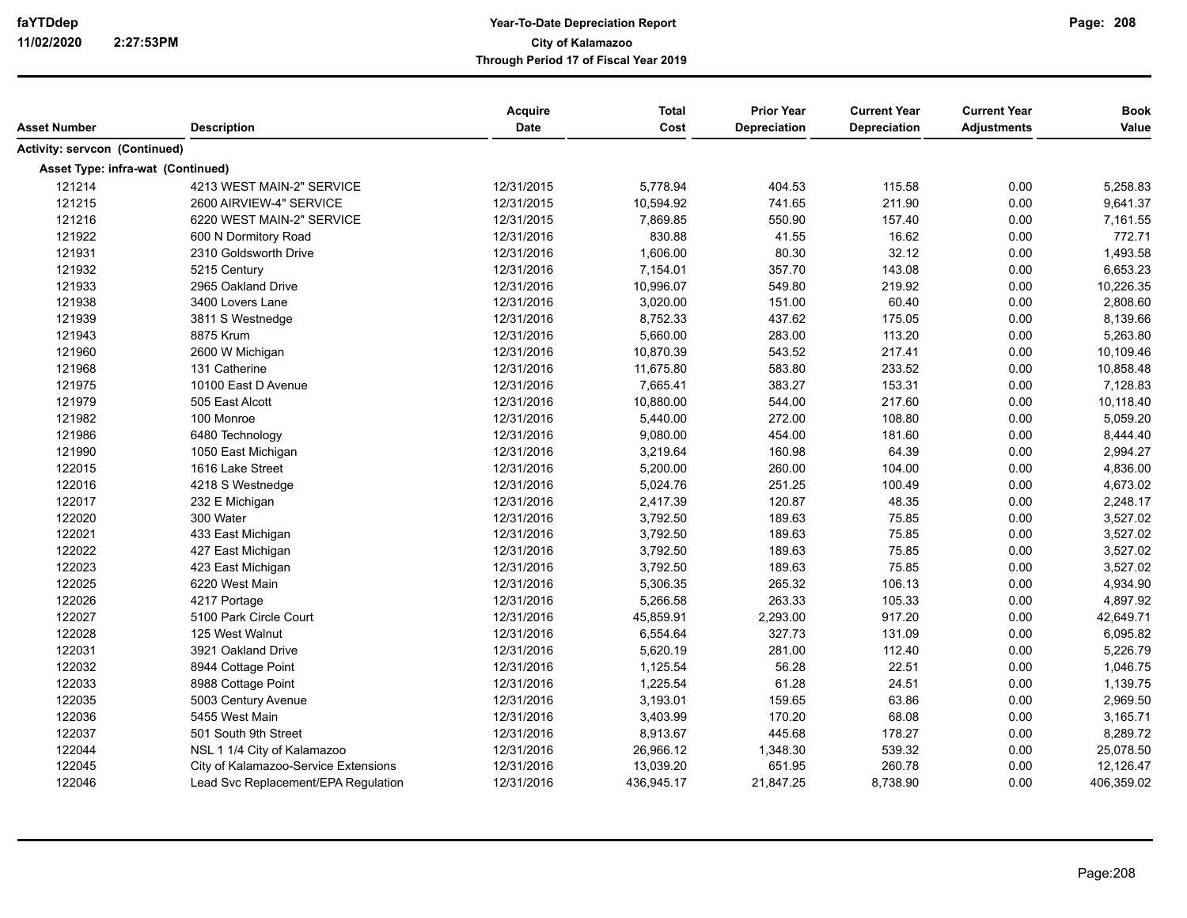| Depreciation<br><b>Date</b><br>Cost<br>Depreciation<br><b>Adjustments</b><br>Asset Number<br><b>Description</b><br>Activity: servcon (Continued)<br><b>Asset Type: infra-wat (Continued)</b><br>121214<br>4213 WEST MAIN-2" SERVICE<br>12/31/2015<br>5,778.94<br>404.53<br>115.58<br>0.00<br>121215<br>211.90<br>2600 AIRVIEW-4" SERVICE<br>12/31/2015<br>10,594.92<br>741.65<br>0.00<br>121216<br>6220 WEST MAIN-2" SERVICE<br>12/31/2015<br>7,869.85<br>550.90<br>157.40<br>0.00<br>121922<br>830.88<br>41.55<br>16.62<br>600 N Dormitory Road<br>12/31/2016<br>0.00<br>121931<br>12/31/2016<br>1,606.00<br>80.30<br>32.12<br>2310 Goldsworth Drive<br>0.00<br>121932<br>143.08<br>0.00<br>5215 Century<br>12/31/2016<br>7,154.01<br>357.70 | Value<br>5,258.83<br>9,641.37<br>7,161.55<br>772.71<br>1,493.58<br>6,653.23<br>10,226.35<br>2,808.60<br>8,139.66<br>5,263.80 |
|-----------------------------------------------------------------------------------------------------------------------------------------------------------------------------------------------------------------------------------------------------------------------------------------------------------------------------------------------------------------------------------------------------------------------------------------------------------------------------------------------------------------------------------------------------------------------------------------------------------------------------------------------------------------------------------------------------------------------------------------------|------------------------------------------------------------------------------------------------------------------------------|
|                                                                                                                                                                                                                                                                                                                                                                                                                                                                                                                                                                                                                                                                                                                                               |                                                                                                                              |
|                                                                                                                                                                                                                                                                                                                                                                                                                                                                                                                                                                                                                                                                                                                                               |                                                                                                                              |
|                                                                                                                                                                                                                                                                                                                                                                                                                                                                                                                                                                                                                                                                                                                                               |                                                                                                                              |
|                                                                                                                                                                                                                                                                                                                                                                                                                                                                                                                                                                                                                                                                                                                                               |                                                                                                                              |
|                                                                                                                                                                                                                                                                                                                                                                                                                                                                                                                                                                                                                                                                                                                                               |                                                                                                                              |
|                                                                                                                                                                                                                                                                                                                                                                                                                                                                                                                                                                                                                                                                                                                                               |                                                                                                                              |
|                                                                                                                                                                                                                                                                                                                                                                                                                                                                                                                                                                                                                                                                                                                                               |                                                                                                                              |
|                                                                                                                                                                                                                                                                                                                                                                                                                                                                                                                                                                                                                                                                                                                                               |                                                                                                                              |
|                                                                                                                                                                                                                                                                                                                                                                                                                                                                                                                                                                                                                                                                                                                                               |                                                                                                                              |
| 121933<br>12/31/2016<br>10,996.07<br>549.80<br>219.92<br>0.00<br>2965 Oakland Drive                                                                                                                                                                                                                                                                                                                                                                                                                                                                                                                                                                                                                                                           |                                                                                                                              |
| 0.00<br>121938<br>3400 Lovers Lane<br>12/31/2016<br>3,020.00<br>151.00<br>60.40                                                                                                                                                                                                                                                                                                                                                                                                                                                                                                                                                                                                                                                               |                                                                                                                              |
| 8,752.33<br>175.05<br>121939<br>3811 S Westnedge<br>12/31/2016<br>437.62<br>0.00                                                                                                                                                                                                                                                                                                                                                                                                                                                                                                                                                                                                                                                              |                                                                                                                              |
| 121943<br>8875 Krum<br>12/31/2016<br>5,660.00<br>283.00<br>113.20<br>0.00                                                                                                                                                                                                                                                                                                                                                                                                                                                                                                                                                                                                                                                                     |                                                                                                                              |
| 543.52<br>217.41<br>121960<br>2600 W Michigan<br>12/31/2016<br>10,870.39<br>0.00                                                                                                                                                                                                                                                                                                                                                                                                                                                                                                                                                                                                                                                              | 10,109.46                                                                                                                    |
| 121968<br>131 Catherine<br>12/31/2016<br>11,675.80<br>583.80<br>233.52<br>0.00                                                                                                                                                                                                                                                                                                                                                                                                                                                                                                                                                                                                                                                                | 10,858.48                                                                                                                    |
| 121975<br>10100 East D Avenue<br>7,665.41<br>383.27<br>153.31<br>0.00<br>12/31/2016                                                                                                                                                                                                                                                                                                                                                                                                                                                                                                                                                                                                                                                           | 7,128.83                                                                                                                     |
| 121979<br>12/31/2016<br>10,880.00<br>544.00<br>217.60<br>505 East Alcott<br>0.00                                                                                                                                                                                                                                                                                                                                                                                                                                                                                                                                                                                                                                                              | 10,118.40                                                                                                                    |
| 121982<br>100 Monroe<br>12/31/2016<br>5,440.00<br>272.00<br>108.80<br>0.00                                                                                                                                                                                                                                                                                                                                                                                                                                                                                                                                                                                                                                                                    | 5,059.20                                                                                                                     |
| 121986<br>12/31/2016<br>9,080.00<br>454.00<br>181.60<br>0.00<br>6480 Technology                                                                                                                                                                                                                                                                                                                                                                                                                                                                                                                                                                                                                                                               | 8,444.40                                                                                                                     |
| 64.39<br>0.00<br>121990<br>12/31/2016<br>3,219.64<br>160.98<br>1050 East Michigan                                                                                                                                                                                                                                                                                                                                                                                                                                                                                                                                                                                                                                                             | 2,994.27                                                                                                                     |
| 122015<br>104.00<br>1616 Lake Street<br>12/31/2016<br>5,200.00<br>260.00<br>0.00                                                                                                                                                                                                                                                                                                                                                                                                                                                                                                                                                                                                                                                              | 4,836.00                                                                                                                     |
| 122016<br>4218 S Westnedge<br>12/31/2016<br>5,024.76<br>251.25<br>100.49<br>0.00                                                                                                                                                                                                                                                                                                                                                                                                                                                                                                                                                                                                                                                              | 4,673.02                                                                                                                     |
| 122017<br>2,417.39<br>232 E Michigan<br>12/31/2016<br>120.87<br>48.35<br>0.00                                                                                                                                                                                                                                                                                                                                                                                                                                                                                                                                                                                                                                                                 | 2,248.17                                                                                                                     |
| 122020<br>300 Water<br>12/31/2016<br>3,792.50<br>189.63<br>75.85<br>0.00                                                                                                                                                                                                                                                                                                                                                                                                                                                                                                                                                                                                                                                                      | 3,527.02                                                                                                                     |
| 122021<br>3,792.50<br>189.63<br>0.00<br>433 East Michigan<br>12/31/2016<br>75.85                                                                                                                                                                                                                                                                                                                                                                                                                                                                                                                                                                                                                                                              | 3,527.02                                                                                                                     |
| 122022<br>12/31/2016<br>3,792.50<br>189.63<br>75.85<br>427 East Michigan<br>0.00                                                                                                                                                                                                                                                                                                                                                                                                                                                                                                                                                                                                                                                              | 3,527.02                                                                                                                     |
| 122023<br>12/31/2016<br>3,792.50<br>189.63<br>75.85<br>0.00<br>423 East Michigan                                                                                                                                                                                                                                                                                                                                                                                                                                                                                                                                                                                                                                                              | 3,527.02                                                                                                                     |
| 122025<br>12/31/2016<br>5,306.35<br>265.32<br>106.13<br>0.00<br>6220 West Main                                                                                                                                                                                                                                                                                                                                                                                                                                                                                                                                                                                                                                                                | 4,934.90                                                                                                                     |
| 122026<br>263.33<br>105.33<br>0.00<br>4217 Portage<br>12/31/2016<br>5,266.58                                                                                                                                                                                                                                                                                                                                                                                                                                                                                                                                                                                                                                                                  | 4,897.92                                                                                                                     |
| 122027<br>45,859.91<br>2,293.00<br>917.20<br>5100 Park Circle Court<br>12/31/2016<br>0.00                                                                                                                                                                                                                                                                                                                                                                                                                                                                                                                                                                                                                                                     | 42,649.71                                                                                                                    |
| 122028<br>6,554.64<br>327.73<br>131.09<br>125 West Walnut<br>12/31/2016<br>0.00                                                                                                                                                                                                                                                                                                                                                                                                                                                                                                                                                                                                                                                               | 6,095.82                                                                                                                     |
| 122031<br>281.00<br>3921 Oakland Drive<br>12/31/2016<br>5,620.19<br>112.40<br>0.00                                                                                                                                                                                                                                                                                                                                                                                                                                                                                                                                                                                                                                                            | 5,226.79                                                                                                                     |
| 122032<br>8944 Cottage Point<br>1,125.54<br>56.28<br>22.51<br>0.00<br>12/31/2016                                                                                                                                                                                                                                                                                                                                                                                                                                                                                                                                                                                                                                                              | 1,046.75                                                                                                                     |
| 122033<br>1,225.54<br>61.28<br>24.51<br>0.00<br>8988 Cottage Point<br>12/31/2016                                                                                                                                                                                                                                                                                                                                                                                                                                                                                                                                                                                                                                                              | 1,139.75                                                                                                                     |
| 122035<br>12/31/2016<br>3,193.01<br>159.65<br>63.86<br>0.00<br>5003 Century Avenue                                                                                                                                                                                                                                                                                                                                                                                                                                                                                                                                                                                                                                                            | 2,969.50                                                                                                                     |
| 122036<br>5455 West Main<br>12/31/2016<br>3,403.99<br>170.20<br>68.08<br>0.00                                                                                                                                                                                                                                                                                                                                                                                                                                                                                                                                                                                                                                                                 | 3,165.71                                                                                                                     |
| 122037<br>501 South 9th Street<br>12/31/2016<br>8,913.67<br>445.68<br>178.27<br>0.00                                                                                                                                                                                                                                                                                                                                                                                                                                                                                                                                                                                                                                                          | 8,289.72                                                                                                                     |
| 122044<br>26,966.12<br>1,348.30<br>539.32<br>0.00<br>NSL 1 1/4 City of Kalamazoo<br>12/31/2016                                                                                                                                                                                                                                                                                                                                                                                                                                                                                                                                                                                                                                                | 25,078.50                                                                                                                    |
| 122045<br>12/31/2016<br>651.95<br>260.78<br>0.00<br>City of Kalamazoo-Service Extensions<br>13,039.20                                                                                                                                                                                                                                                                                                                                                                                                                                                                                                                                                                                                                                         | 12,126.47                                                                                                                    |
| 122046<br>21,847.25<br>8,738.90<br>0.00<br>Lead Svc Replacement/EPA Regulation<br>12/31/2016<br>436,945.17                                                                                                                                                                                                                                                                                                                                                                                                                                                                                                                                                                                                                                    | 406,359.02                                                                                                                   |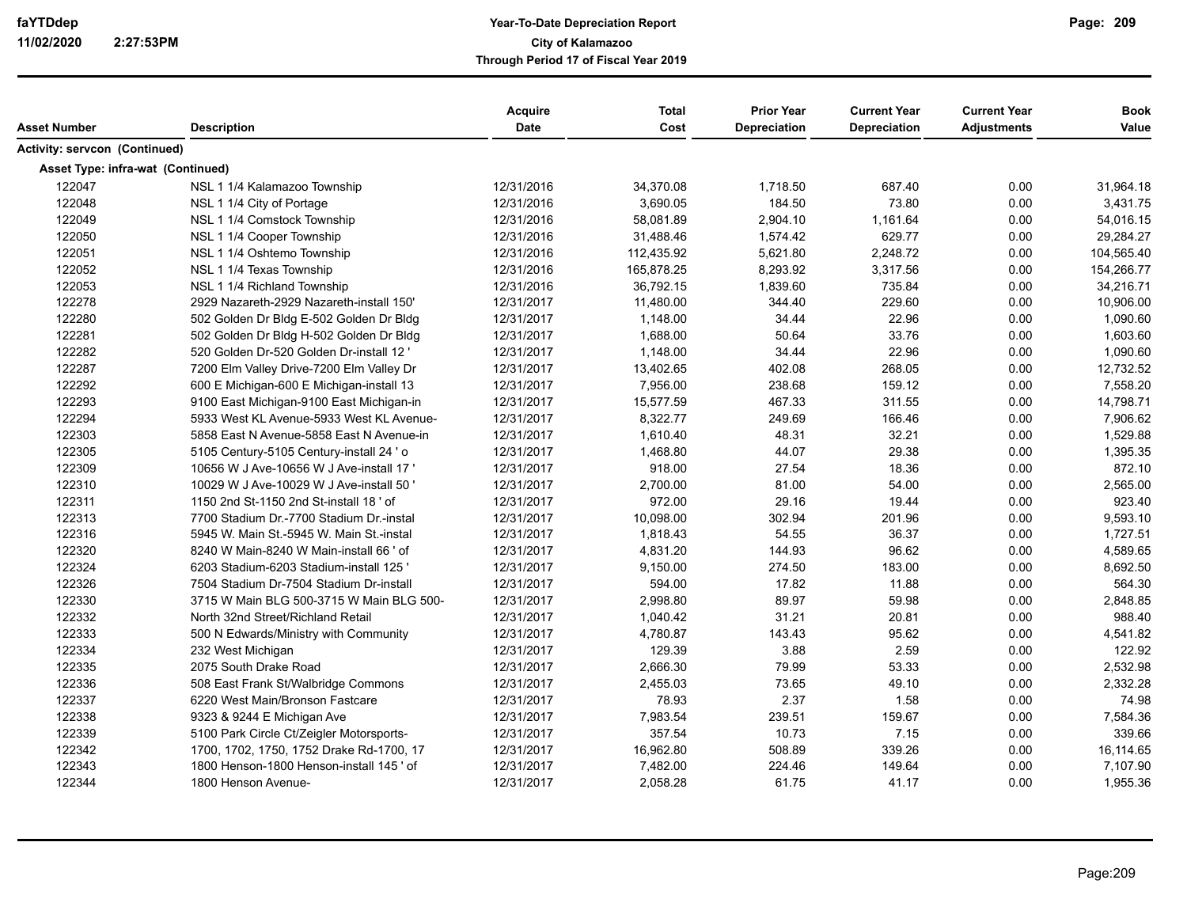|                                      |                                          | <b>Acquire</b> | <b>Total</b> | <b>Prior Year</b>   | <b>Current Year</b> | <b>Current Year</b> | <b>Book</b> |
|--------------------------------------|------------------------------------------|----------------|--------------|---------------------|---------------------|---------------------|-------------|
| Asset Number                         | <b>Description</b>                       | Date           | Cost         | <b>Depreciation</b> | <b>Depreciation</b> | <b>Adjustments</b>  | Value       |
| <b>Activity: servcon (Continued)</b> |                                          |                |              |                     |                     |                     |             |
| Asset Type: infra-wat (Continued)    |                                          |                |              |                     |                     |                     |             |
| 122047                               | NSL 1 1/4 Kalamazoo Township             | 12/31/2016     | 34,370.08    | 1,718.50            | 687.40              | 0.00                | 31,964.18   |
| 122048                               | NSL 1 1/4 City of Portage                | 12/31/2016     | 3,690.05     | 184.50              | 73.80               | 0.00                | 3,431.75    |
| 122049                               | NSL 1 1/4 Comstock Township              | 12/31/2016     | 58,081.89    | 2,904.10            | 1,161.64            | 0.00                | 54,016.15   |
| 122050                               | NSL 1 1/4 Cooper Township                | 12/31/2016     | 31,488.46    | 1,574.42            | 629.77              | 0.00                | 29,284.27   |
| 122051                               | NSL 1 1/4 Oshtemo Township               | 12/31/2016     | 112,435.92   | 5,621.80            | 2,248.72            | 0.00                | 104,565.40  |
| 122052                               | NSL 1 1/4 Texas Township                 | 12/31/2016     | 165,878.25   | 8,293.92            | 3,317.56            | 0.00                | 154,266.77  |
| 122053                               | NSL 1 1/4 Richland Township              | 12/31/2016     | 36,792.15    | 1,839.60            | 735.84              | 0.00                | 34,216.71   |
| 122278                               | 2929 Nazareth-2929 Nazareth-install 150' | 12/31/2017     | 11,480.00    | 344.40              | 229.60              | 0.00                | 10,906.00   |
| 122280                               | 502 Golden Dr Bldg E-502 Golden Dr Bldg  | 12/31/2017     | 1,148.00     | 34.44               | 22.96               | 0.00                | 1,090.60    |
| 122281                               | 502 Golden Dr Bldg H-502 Golden Dr Bldg  | 12/31/2017     | 1,688.00     | 50.64               | 33.76               | 0.00                | 1,603.60    |
| 122282                               | 520 Golden Dr-520 Golden Dr-install 12 ' | 12/31/2017     | 1,148.00     | 34.44               | 22.96               | 0.00                | 1,090.60    |
| 122287                               | 7200 Elm Valley Drive-7200 Elm Valley Dr | 12/31/2017     | 13,402.65    | 402.08              | 268.05              | 0.00                | 12,732.52   |
| 122292                               | 600 E Michigan-600 E Michigan-install 13 | 12/31/2017     | 7,956.00     | 238.68              | 159.12              | 0.00                | 7,558.20    |
| 122293                               | 9100 East Michigan-9100 East Michigan-in | 12/31/2017     | 15,577.59    | 467.33              | 311.55              | 0.00                | 14,798.71   |
| 122294                               | 5933 West KL Avenue-5933 West KL Avenue- | 12/31/2017     | 8,322.77     | 249.69              | 166.46              | 0.00                | 7,906.62    |
| 122303                               | 5858 East N Avenue-5858 East N Avenue-in | 12/31/2017     | 1,610.40     | 48.31               | 32.21               | 0.00                | 1,529.88    |
| 122305                               | 5105 Century-5105 Century-install 24 ' o | 12/31/2017     | 1,468.80     | 44.07               | 29.38               | 0.00                | 1,395.35    |
| 122309                               | 10656 W J Ave-10656 W J Ave-install 17 ' | 12/31/2017     | 918.00       | 27.54               | 18.36               | 0.00                | 872.10      |
| 122310                               | 10029 W J Ave-10029 W J Ave-install 50   | 12/31/2017     | 2,700.00     | 81.00               | 54.00               | 0.00                | 2,565.00    |
| 122311                               | 1150 2nd St-1150 2nd St-install 18 ' of  | 12/31/2017     | 972.00       | 29.16               | 19.44               | 0.00                | 923.40      |
| 122313                               | 7700 Stadium Dr.-7700 Stadium Dr.-instal | 12/31/2017     | 10,098.00    | 302.94              | 201.96              | 0.00                | 9,593.10    |
| 122316                               | 5945 W. Main St.-5945 W. Main St.-instal | 12/31/2017     | 1,818.43     | 54.55               | 36.37               | 0.00                | 1,727.51    |
| 122320                               | 8240 W Main-8240 W Main-install 66 ' of  | 12/31/2017     | 4,831.20     | 144.93              | 96.62               | 0.00                | 4,589.65    |
| 122324                               | 6203 Stadium-6203 Stadium-install 125 '  | 12/31/2017     | 9,150.00     | 274.50              | 183.00              | 0.00                | 8,692.50    |
| 122326                               | 7504 Stadium Dr-7504 Stadium Dr-install  | 12/31/2017     | 594.00       | 17.82               | 11.88               | 0.00                | 564.30      |
| 122330                               | 3715 W Main BLG 500-3715 W Main BLG 500- | 12/31/2017     | 2,998.80     | 89.97               | 59.98               | 0.00                | 2,848.85    |
| 122332                               | North 32nd Street/Richland Retail        | 12/31/2017     | 1,040.42     | 31.21               | 20.81               | 0.00                | 988.40      |
| 122333                               | 500 N Edwards/Ministry with Community    | 12/31/2017     | 4,780.87     | 143.43              | 95.62               | 0.00                | 4,541.82    |
| 122334                               | 232 West Michigan                        | 12/31/2017     | 129.39       | 3.88                | 2.59                | 0.00                | 122.92      |
| 122335                               | 2075 South Drake Road                    | 12/31/2017     | 2.666.30     | 79.99               | 53.33               | 0.00                | 2,532.98    |
| 122336                               | 508 East Frank St/Walbridge Commons      | 12/31/2017     | 2,455.03     | 73.65               | 49.10               | 0.00                | 2,332.28    |
| 122337                               | 6220 West Main/Bronson Fastcare          | 12/31/2017     | 78.93        | 2.37                | 1.58                | 0.00                | 74.98       |
| 122338                               | 9323 & 9244 E Michigan Ave               | 12/31/2017     | 7,983.54     | 239.51              | 159.67              | 0.00                | 7,584.36    |
| 122339                               | 5100 Park Circle Ct/Zeigler Motorsports- | 12/31/2017     | 357.54       | 10.73               | 7.15                | 0.00                | 339.66      |
| 122342                               | 1700, 1702, 1750, 1752 Drake Rd-1700, 17 | 12/31/2017     | 16,962.80    | 508.89              | 339.26              | 0.00                | 16,114.65   |
| 122343                               | 1800 Henson-1800 Henson-install 145 ' of | 12/31/2017     | 7,482.00     | 224.46              | 149.64              | 0.00                | 7,107.90    |
| 122344                               | 1800 Henson Avenue-                      | 12/31/2017     | 2,058.28     | 61.75               | 41.17               | 0.00                | 1,955.36    |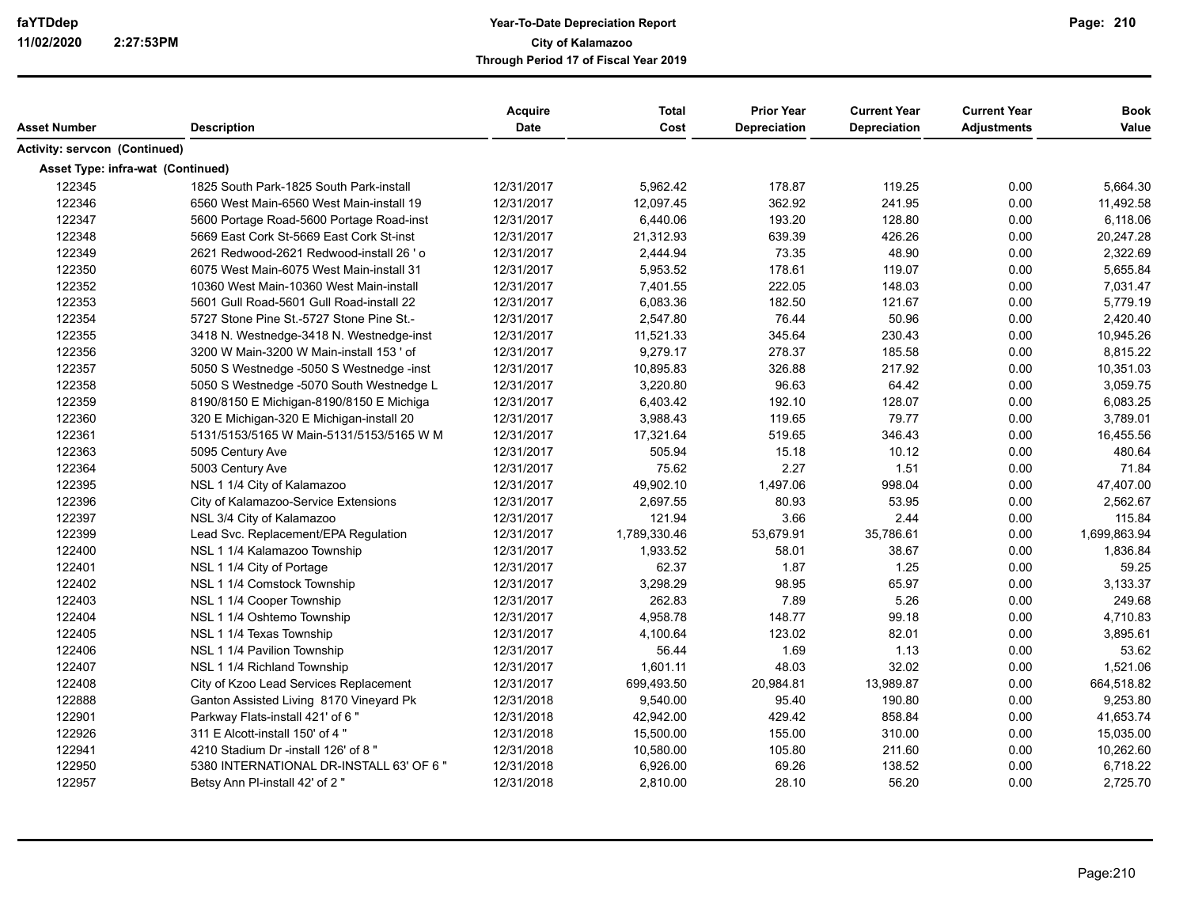| Asset Number                      | <b>Description</b>                       | Acquire<br><b>Date</b> | <b>Total</b><br>Cost | <b>Prior Year</b><br>Depreciation | <b>Current Year</b><br>Depreciation | <b>Current Year</b><br><b>Adjustments</b> | <b>Book</b><br>Value |
|-----------------------------------|------------------------------------------|------------------------|----------------------|-----------------------------------|-------------------------------------|-------------------------------------------|----------------------|
| Activity: servcon (Continued)     |                                          |                        |                      |                                   |                                     |                                           |                      |
| Asset Type: infra-wat (Continued) |                                          |                        |                      |                                   |                                     |                                           |                      |
| 122345                            | 1825 South Park-1825 South Park-install  | 12/31/2017             | 5,962.42             | 178.87                            | 119.25                              | 0.00                                      | 5,664.30             |
| 122346                            | 6560 West Main-6560 West Main-install 19 | 12/31/2017             | 12,097.45            | 362.92                            | 241.95                              | 0.00                                      | 11,492.58            |
| 122347                            | 5600 Portage Road-5600 Portage Road-inst | 12/31/2017             | 6,440.06             | 193.20                            | 128.80                              | 0.00                                      | 6,118.06             |
| 122348                            | 5669 East Cork St-5669 East Cork St-inst | 12/31/2017             | 21,312.93            | 639.39                            | 426.26                              | 0.00                                      | 20,247.28            |
| 122349                            | 2621 Redwood-2621 Redwood-install 26 ' o | 12/31/2017             | 2,444.94             | 73.35                             | 48.90                               | 0.00                                      | 2,322.69             |
| 122350                            | 6075 West Main-6075 West Main-install 31 | 12/31/2017             | 5,953.52             | 178.61                            | 119.07                              | 0.00                                      | 5,655.84             |
| 122352                            | 10360 West Main-10360 West Main-install  | 12/31/2017             | 7,401.55             | 222.05                            | 148.03                              | 0.00                                      | 7,031.47             |
| 122353                            | 5601 Gull Road-5601 Gull Road-install 22 | 12/31/2017             | 6,083.36             | 182.50                            | 121.67                              | 0.00                                      | 5,779.19             |
| 122354                            | 5727 Stone Pine St.-5727 Stone Pine St.- | 12/31/2017             | 2,547.80             | 76.44                             | 50.96                               | 0.00                                      | 2,420.40             |
| 122355                            | 3418 N. Westnedge-3418 N. Westnedge-inst | 12/31/2017             | 11,521.33            | 345.64                            | 230.43                              | 0.00                                      | 10,945.26            |
| 122356                            | 3200 W Main-3200 W Main-install 153 ' of | 12/31/2017             | 9,279.17             | 278.37                            | 185.58                              | 0.00                                      | 8,815.22             |
| 122357                            | 5050 S Westnedge -5050 S Westnedge -inst | 12/31/2017             | 10,895.83            | 326.88                            | 217.92                              | 0.00                                      | 10,351.03            |
| 122358                            | 5050 S Westnedge -5070 South Westnedge L | 12/31/2017             | 3,220.80             | 96.63                             | 64.42                               | 0.00                                      | 3,059.75             |
| 122359                            | 8190/8150 E Michigan-8190/8150 E Michiga | 12/31/2017             | 6,403.42             | 192.10                            | 128.07                              | 0.00                                      | 6,083.25             |
| 122360                            | 320 E Michigan-320 E Michigan-install 20 | 12/31/2017             | 3,988.43             | 119.65                            | 79.77                               | 0.00                                      | 3,789.01             |
| 122361                            | 5131/5153/5165 W Main-5131/5153/5165 W M | 12/31/2017             | 17,321.64            | 519.65                            | 346.43                              | 0.00                                      | 16,455.56            |
| 122363                            | 5095 Century Ave                         | 12/31/2017             | 505.94               | 15.18                             | 10.12                               | 0.00                                      | 480.64               |
| 122364                            | 5003 Century Ave                         | 12/31/2017             | 75.62                | 2.27                              | 1.51                                | 0.00                                      | 71.84                |
| 122395                            | NSL 1 1/4 City of Kalamazoo              | 12/31/2017             | 49,902.10            | 1,497.06                          | 998.04                              | 0.00                                      | 47,407.00            |
| 122396                            | City of Kalamazoo-Service Extensions     | 12/31/2017             | 2,697.55             | 80.93                             | 53.95                               | 0.00                                      | 2,562.67             |
| 122397                            | NSL 3/4 City of Kalamazoo                | 12/31/2017             | 121.94               | 3.66                              | 2.44                                | 0.00                                      | 115.84               |
| 122399                            | Lead Svc. Replacement/EPA Regulation     | 12/31/2017             | 1,789,330.46         | 53,679.91                         | 35,786.61                           | 0.00                                      | 1,699,863.94         |
| 122400                            | NSL 1 1/4 Kalamazoo Township             | 12/31/2017             | 1,933.52             | 58.01                             | 38.67                               | 0.00                                      | 1,836.84             |
| 122401                            | NSL 1 1/4 City of Portage                | 12/31/2017             | 62.37                | 1.87                              | 1.25                                | 0.00                                      | 59.25                |
| 122402                            | NSL 1 1/4 Comstock Township              | 12/31/2017             | 3,298.29             | 98.95                             | 65.97                               | 0.00                                      | 3,133.37             |
| 122403                            | NSL 1 1/4 Cooper Township                | 12/31/2017             | 262.83               | 7.89                              | 5.26                                | 0.00                                      | 249.68               |
| 122404                            | NSL 1 1/4 Oshtemo Township               | 12/31/2017             | 4,958.78             | 148.77                            | 99.18                               | 0.00                                      | 4,710.83             |
| 122405                            | NSL 1 1/4 Texas Township                 | 12/31/2017             | 4,100.64             | 123.02                            | 82.01                               | 0.00                                      | 3,895.61             |
| 122406                            | NSL 1 1/4 Pavilion Township              | 12/31/2017             | 56.44                | 1.69                              | 1.13                                | 0.00                                      | 53.62                |
| 122407                            | NSL 1 1/4 Richland Township              | 12/31/2017             | 1,601.11             | 48.03                             | 32.02                               | 0.00                                      | 1,521.06             |
| 122408                            | City of Kzoo Lead Services Replacement   | 12/31/2017             | 699,493.50           | 20,984.81                         | 13,989.87                           | 0.00                                      | 664,518.82           |
| 122888                            | Ganton Assisted Living 8170 Vineyard Pk  | 12/31/2018             | 9,540.00             | 95.40                             | 190.80                              | 0.00                                      | 9,253.80             |
| 122901                            | Parkway Flats-install 421' of 6"         | 12/31/2018             | 42,942.00            | 429.42                            | 858.84                              | 0.00                                      | 41,653.74            |
| 122926                            | 311 E Alcott-install 150' of 4 "         | 12/31/2018             | 15,500.00            | 155.00                            | 310.00                              | 0.00                                      | 15,035.00            |
| 122941                            | 4210 Stadium Dr -install 126' of 8"      | 12/31/2018             | 10,580.00            | 105.80                            | 211.60                              | 0.00                                      | 10,262.60            |
| 122950                            | 5380 INTERNATIONAL DR-INSTALL 63' OF 6"  | 12/31/2018             | 6,926.00             | 69.26                             | 138.52                              | 0.00                                      | 6,718.22             |
| 122957                            | Betsy Ann Pl-install 42' of 2"           | 12/31/2018             | 2,810.00             | 28.10                             | 56.20                               | 0.00                                      | 2,725.70             |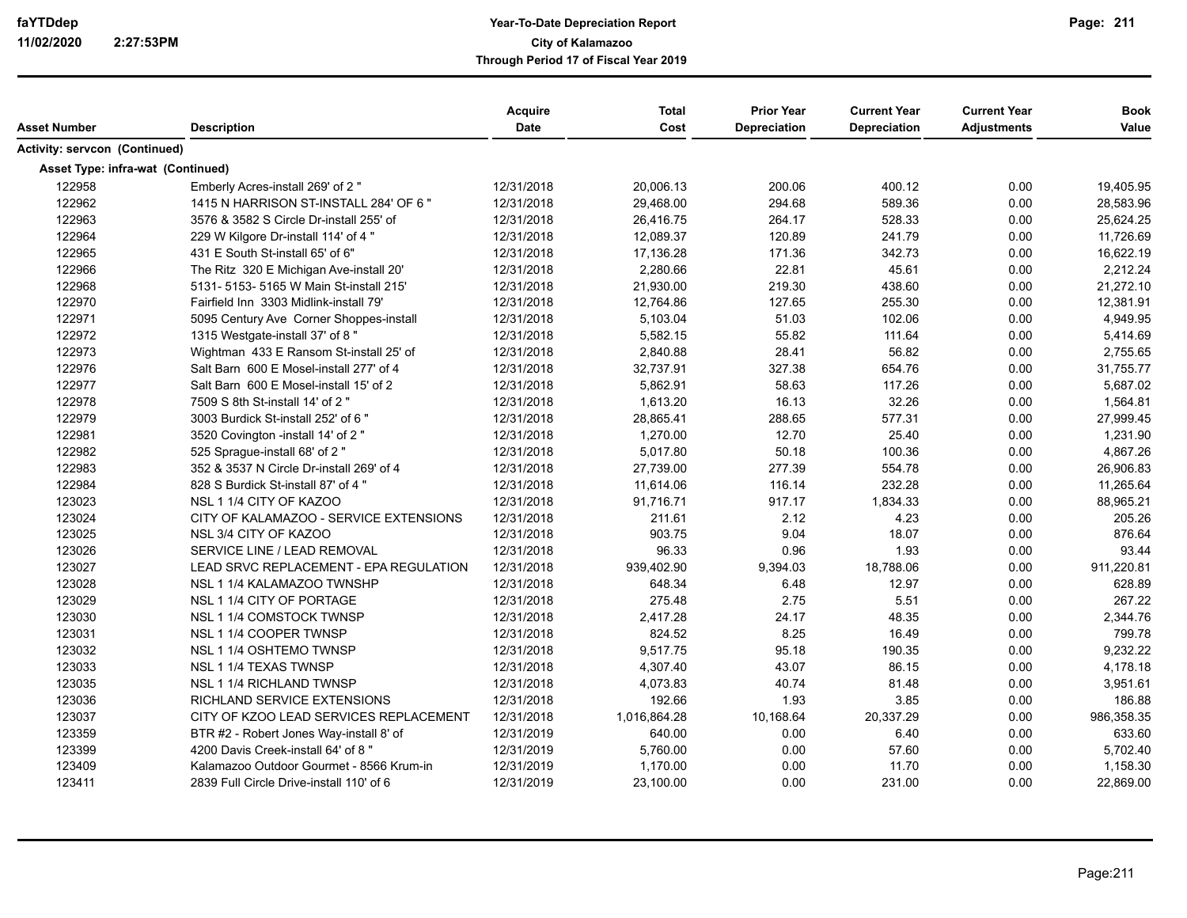| Asset Number                         | <b>Description</b>                       | Acquire<br><b>Date</b> | <b>Total</b><br>Cost | <b>Prior Year</b><br>Depreciation | <b>Current Year</b><br><b>Depreciation</b> | <b>Current Year</b><br><b>Adjustments</b> | <b>Book</b><br>Value |
|--------------------------------------|------------------------------------------|------------------------|----------------------|-----------------------------------|--------------------------------------------|-------------------------------------------|----------------------|
| <b>Activity: servcon (Continued)</b> |                                          |                        |                      |                                   |                                            |                                           |                      |
|                                      | Asset Type: infra-wat (Continued)        |                        |                      |                                   |                                            |                                           |                      |
| 122958                               | Emberly Acres-install 269' of 2"         | 12/31/2018             | 20,006.13            | 200.06                            | 400.12                                     | 0.00                                      | 19,405.95            |
| 122962                               | 1415 N HARRISON ST-INSTALL 284' OF 6 "   | 12/31/2018             | 29,468.00            | 294.68                            | 589.36                                     | 0.00                                      | 28,583.96            |
| 122963                               | 3576 & 3582 S Circle Dr-install 255' of  | 12/31/2018             | 26,416.75            | 264.17                            | 528.33                                     | 0.00                                      | 25,624.25            |
| 122964                               | 229 W Kilgore Dr-install 114' of 4 "     | 12/31/2018             | 12,089.37            | 120.89                            | 241.79                                     | 0.00                                      | 11,726.69            |
| 122965                               | 431 E South St-install 65' of 6"         | 12/31/2018             | 17,136.28            | 171.36                            | 342.73                                     | 0.00                                      | 16,622.19            |
| 122966                               | The Ritz 320 E Michigan Ave-install 20'  | 12/31/2018             | 2,280.66             | 22.81                             | 45.61                                      | 0.00                                      | 2,212.24             |
| 122968                               | 5131- 5153- 5165 W Main St-install 215'  | 12/31/2018             | 21,930.00            | 219.30                            | 438.60                                     | 0.00                                      | 21,272.10            |
| 122970                               | Fairfield Inn 3303 Midlink-install 79'   | 12/31/2018             | 12,764.86            | 127.65                            | 255.30                                     | 0.00                                      | 12,381.91            |
| 122971                               | 5095 Century Ave Corner Shoppes-install  | 12/31/2018             | 5,103.04             | 51.03                             | 102.06                                     | 0.00                                      | 4,949.95             |
| 122972                               | 1315 Westgate-install 37' of 8"          | 12/31/2018             | 5,582.15             | 55.82                             | 111.64                                     | 0.00                                      | 5,414.69             |
| 122973                               | Wightman 433 E Ransom St-install 25' of  | 12/31/2018             | 2,840.88             | 28.41                             | 56.82                                      | 0.00                                      | 2,755.65             |
| 122976                               | Salt Barn 600 E Mosel-install 277' of 4  | 12/31/2018             | 32,737.91            | 327.38                            | 654.76                                     | 0.00                                      | 31,755.77            |
| 122977                               | Salt Barn 600 E Mosel-install 15' of 2   | 12/31/2018             | 5,862.91             | 58.63                             | 117.26                                     | 0.00                                      | 5,687.02             |
| 122978                               | 7509 S 8th St-install 14' of 2 "         | 12/31/2018             | 1,613.20             | 16.13                             | 32.26                                      | 0.00                                      | 1,564.81             |
| 122979                               | 3003 Burdick St-install 252' of 6 "      | 12/31/2018             | 28,865.41            | 288.65                            | 577.31                                     | 0.00                                      | 27,999.45            |
| 122981                               | 3520 Covington -install 14' of 2 "       | 12/31/2018             | 1,270.00             | 12.70                             | 25.40                                      | 0.00                                      | 1,231.90             |
| 122982                               | 525 Sprague-install 68' of 2 "           | 12/31/2018             | 5,017.80             | 50.18                             | 100.36                                     | 0.00                                      | 4,867.26             |
| 122983                               | 352 & 3537 N Circle Dr-install 269' of 4 | 12/31/2018             | 27,739.00            | 277.39                            | 554.78                                     | 0.00                                      | 26,906.83            |
| 122984                               | 828 S Burdick St-install 87' of 4"       | 12/31/2018             | 11,614.06            | 116.14                            | 232.28                                     | 0.00                                      | 11,265.64            |
| 123023                               | NSL 1 1/4 CITY OF KAZOO                  | 12/31/2018             | 91,716.71            | 917.17                            | 1,834.33                                   | 0.00                                      | 88,965.21            |
| 123024                               | CITY OF KALAMAZOO - SERVICE EXTENSIONS   | 12/31/2018             | 211.61               | 2.12                              | 4.23                                       | 0.00                                      | 205.26               |
| 123025                               | NSL 3/4 CITY OF KAZOO                    | 12/31/2018             | 903.75               | 9.04                              | 18.07                                      | 0.00                                      | 876.64               |
| 123026                               | SERVICE LINE / LEAD REMOVAL              | 12/31/2018             | 96.33                | 0.96                              | 1.93                                       | 0.00                                      | 93.44                |
| 123027                               | LEAD SRVC REPLACEMENT - EPA REGULATION   | 12/31/2018             | 939,402.90           | 9,394.03                          | 18,788.06                                  | 0.00                                      | 911,220.81           |
| 123028                               | NSL 1 1/4 KALAMAZOO TWNSHP               | 12/31/2018             | 648.34               | 6.48                              | 12.97                                      | 0.00                                      | 628.89               |
| 123029                               | NSL 1 1/4 CITY OF PORTAGE                | 12/31/2018             | 275.48               | 2.75                              | 5.51                                       | 0.00                                      | 267.22               |
| 123030                               | NSL 1 1/4 COMSTOCK TWNSP                 | 12/31/2018             | 2,417.28             | 24.17                             | 48.35                                      | 0.00                                      | 2,344.76             |
| 123031                               | NSL 1 1/4 COOPER TWNSP                   | 12/31/2018             | 824.52               | 8.25                              | 16.49                                      | 0.00                                      | 799.78               |
| 123032                               | NSL 1 1/4 OSHTEMO TWNSP                  | 12/31/2018             | 9,517.75             | 95.18                             | 190.35                                     | 0.00                                      | 9,232.22             |
| 123033                               | NSL 1 1/4 TEXAS TWNSP                    | 12/31/2018             | 4,307.40             | 43.07                             | 86.15                                      | 0.00                                      | 4,178.18             |
| 123035                               | NSL 1 1/4 RICHLAND TWNSP                 | 12/31/2018             | 4,073.83             | 40.74                             | 81.48                                      | 0.00                                      | 3,951.61             |
| 123036                               | RICHLAND SERVICE EXTENSIONS              | 12/31/2018             | 192.66               | 1.93                              | 3.85                                       | 0.00                                      | 186.88               |
| 123037                               | CITY OF KZOO LEAD SERVICES REPLACEMENT   | 12/31/2018             | 1,016,864.28         | 10,168.64                         | 20,337.29                                  | 0.00                                      | 986,358.35           |
| 123359                               | BTR #2 - Robert Jones Way-install 8' of  | 12/31/2019             | 640.00               | 0.00                              | 6.40                                       | 0.00                                      | 633.60               |
| 123399                               | 4200 Davis Creek-install 64' of 8"       | 12/31/2019             | 5,760.00             | 0.00                              | 57.60                                      | 0.00                                      | 5,702.40             |
| 123409                               | Kalamazoo Outdoor Gourmet - 8566 Krum-in | 12/31/2019             | 1,170.00             | 0.00                              | 11.70                                      | 0.00                                      | 1,158.30             |
| 123411                               | 2839 Full Circle Drive-install 110' of 6 | 12/31/2019             | 23,100.00            | 0.00                              | 231.00                                     | 0.00                                      | 22,869.00            |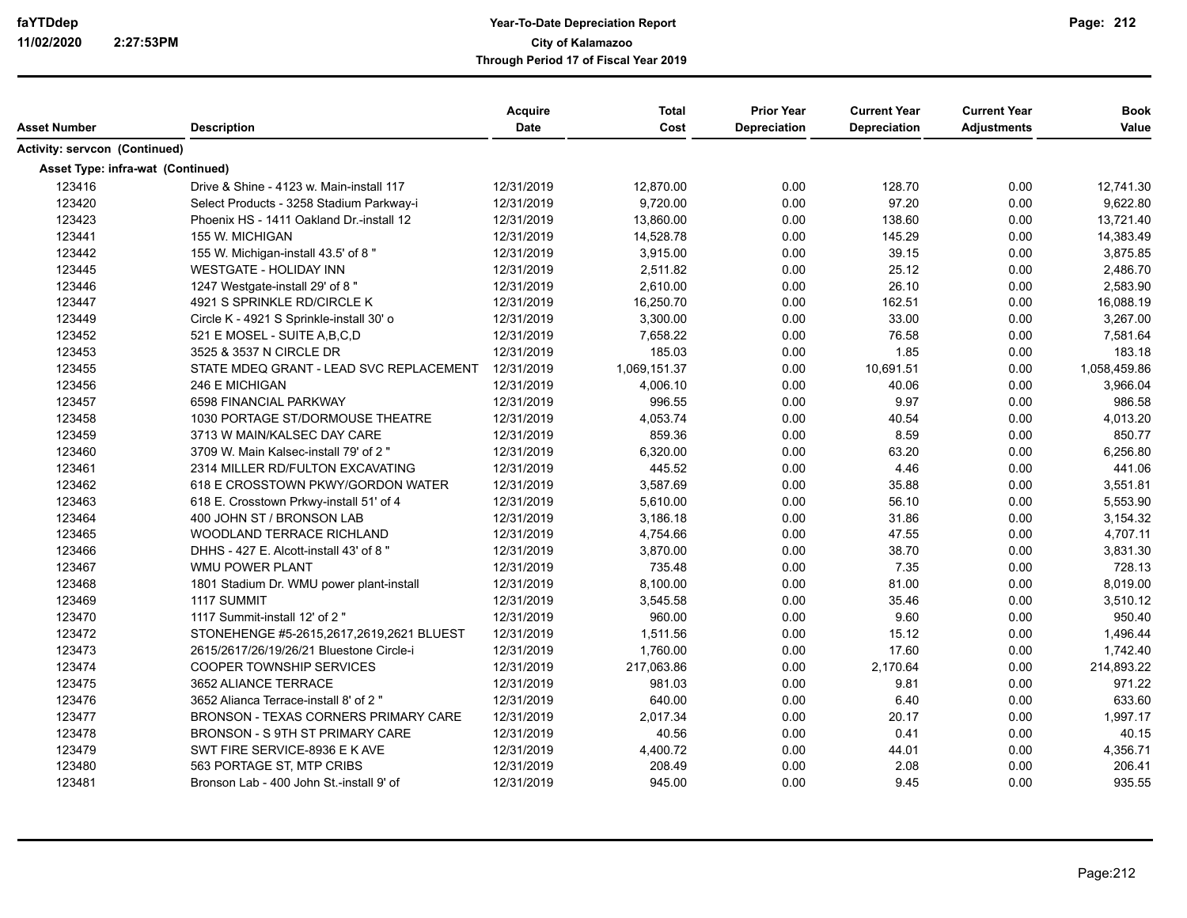| Asset Number                             | <b>Description</b>                       | Acquire<br><b>Date</b> | <b>Total</b><br>Cost | <b>Prior Year</b><br><b>Depreciation</b> | <b>Current Year</b><br>Depreciation | <b>Current Year</b><br><b>Adjustments</b> | <b>Book</b><br>Value |
|------------------------------------------|------------------------------------------|------------------------|----------------------|------------------------------------------|-------------------------------------|-------------------------------------------|----------------------|
|                                          |                                          |                        |                      |                                          |                                     |                                           |                      |
| <b>Activity: servcon (Continued)</b>     |                                          |                        |                      |                                          |                                     |                                           |                      |
| <b>Asset Type: infra-wat (Continued)</b> |                                          |                        |                      |                                          |                                     |                                           |                      |
| 123416                                   | Drive & Shine - 4123 w. Main-install 117 | 12/31/2019             | 12,870.00            | 0.00                                     | 128.70                              | 0.00                                      | 12,741.30            |
| 123420                                   | Select Products - 3258 Stadium Parkway-i | 12/31/2019             | 9,720.00             | 0.00                                     | 97.20                               | 0.00                                      | 9,622.80             |
| 123423                                   | Phoenix HS - 1411 Oakland Dr.-install 12 | 12/31/2019             | 13,860.00            | 0.00                                     | 138.60                              | 0.00                                      | 13,721.40            |
| 123441                                   | 155 W. MICHIGAN                          | 12/31/2019             | 14,528.78            | 0.00                                     | 145.29                              | 0.00                                      | 14,383.49            |
| 123442                                   | 155 W. Michigan-install 43.5' of 8"      | 12/31/2019             | 3,915.00             | 0.00                                     | 39.15                               | 0.00                                      | 3,875.85             |
| 123445                                   | WESTGATE - HOLIDAY INN                   | 12/31/2019             | 2,511.82             | 0.00                                     | 25.12                               | 0.00                                      | 2,486.70             |
| 123446                                   | 1247 Westgate-install 29' of 8"          | 12/31/2019             | 2,610.00             | 0.00                                     | 26.10                               | 0.00                                      | 2,583.90             |
| 123447                                   | 4921 S SPRINKLE RD/CIRCLE K              | 12/31/2019             | 16,250.70            | 0.00                                     | 162.51                              | 0.00                                      | 16,088.19            |
| 123449                                   | Circle K - 4921 S Sprinkle-install 30' o | 12/31/2019             | 3,300.00             | 0.00                                     | 33.00                               | 0.00                                      | 3,267.00             |
| 123452                                   | 521 E MOSEL - SUITE A, B, C, D           | 12/31/2019             | 7,658.22             | 0.00                                     | 76.58                               | 0.00                                      | 7,581.64             |
| 123453                                   | 3525 & 3537 N CIRCLE DR                  | 12/31/2019             | 185.03               | 0.00                                     | 1.85                                | 0.00                                      | 183.18               |
| 123455                                   | STATE MDEQ GRANT - LEAD SVC REPLACEMENT  | 12/31/2019             | 1,069,151.37         | 0.00                                     | 10,691.51                           | 0.00                                      | 1,058,459.86         |
| 123456                                   | 246 E MICHIGAN                           | 12/31/2019             | 4,006.10             | 0.00                                     | 40.06                               | 0.00                                      | 3,966.04             |
| 123457                                   | 6598 FINANCIAL PARKWAY                   | 12/31/2019             | 996.55               | 0.00                                     | 9.97                                | 0.00                                      | 986.58               |
| 123458                                   | 1030 PORTAGE ST/DORMOUSE THEATRE         | 12/31/2019             | 4,053.74             | 0.00                                     | 40.54                               | 0.00                                      | 4,013.20             |
| 123459                                   | 3713 W MAIN/KALSEC DAY CARE              | 12/31/2019             | 859.36               | 0.00                                     | 8.59                                | 0.00                                      | 850.77               |
| 123460                                   | 3709 W. Main Kalsec-install 79' of 2 "   | 12/31/2019             | 6,320.00             | 0.00                                     | 63.20                               | 0.00                                      | 6,256.80             |
| 123461                                   | 2314 MILLER RD/FULTON EXCAVATING         | 12/31/2019             | 445.52               | 0.00                                     | 4.46                                | 0.00                                      | 441.06               |
| 123462                                   | 618 E CROSSTOWN PKWY/GORDON WATER        | 12/31/2019             | 3,587.69             | 0.00                                     | 35.88                               | 0.00                                      | 3,551.81             |
| 123463                                   | 618 E. Crosstown Prkwy-install 51' of 4  | 12/31/2019             | 5,610.00             | 0.00                                     | 56.10                               | 0.00                                      | 5,553.90             |
| 123464                                   | 400 JOHN ST / BRONSON LAB                | 12/31/2019             | 3,186.18             | 0.00                                     | 31.86                               | 0.00                                      | 3,154.32             |
| 123465                                   | <b>WOODLAND TERRACE RICHLAND</b>         | 12/31/2019             | 4,754.66             | 0.00                                     | 47.55                               | 0.00                                      | 4,707.11             |
| 123466                                   | DHHS - 427 E. Alcott-install 43' of 8 "  | 12/31/2019             | 3,870.00             | 0.00                                     | 38.70                               | 0.00                                      | 3,831.30             |
| 123467                                   | <b>WMU POWER PLANT</b>                   | 12/31/2019             | 735.48               | 0.00                                     | 7.35                                | 0.00                                      | 728.13               |
| 123468                                   | 1801 Stadium Dr. WMU power plant-install | 12/31/2019             | 8,100.00             | 0.00                                     | 81.00                               | 0.00                                      | 8,019.00             |
| 123469                                   | 1117 SUMMIT                              | 12/31/2019             | 3,545.58             | 0.00                                     | 35.46                               | 0.00                                      | 3,510.12             |
| 123470                                   | 1117 Summit-install 12' of 2"            | 12/31/2019             | 960.00               | 0.00                                     | 9.60                                | 0.00                                      | 950.40               |
| 123472                                   | STONEHENGE #5-2615,2617,2619,2621 BLUEST | 12/31/2019             | 1,511.56             | 0.00                                     | 15.12                               | 0.00                                      | 1,496.44             |
| 123473                                   | 2615/2617/26/19/26/21 Bluestone Circle-i | 12/31/2019             | 1,760.00             | 0.00                                     | 17.60                               | 0.00                                      | 1,742.40             |
| 123474                                   | <b>COOPER TOWNSHIP SERVICES</b>          | 12/31/2019             | 217,063.86           | 0.00                                     | 2,170.64                            | 0.00                                      | 214,893.22           |
| 123475                                   | 3652 ALIANCE TERRACE                     | 12/31/2019             | 981.03               | 0.00                                     | 9.81                                | 0.00                                      | 971.22               |
| 123476                                   | 3652 Alianca Terrace-install 8' of 2"    | 12/31/2019             | 640.00               | 0.00                                     | 6.40                                | 0.00                                      | 633.60               |
| 123477                                   | BRONSON - TEXAS CORNERS PRIMARY CARE     | 12/31/2019             | 2,017.34             | 0.00                                     | 20.17                               | 0.00                                      | 1,997.17             |
| 123478                                   | <b>BRONSON - S 9TH ST PRIMARY CARE</b>   | 12/31/2019             | 40.56                | 0.00                                     | 0.41                                | 0.00                                      | 40.15                |
| 123479                                   | SWT FIRE SERVICE-8936 E K AVE            | 12/31/2019             | 4,400.72             | 0.00                                     | 44.01                               | 0.00                                      | 4,356.71             |
| 123480                                   | 563 PORTAGE ST, MTP CRIBS                | 12/31/2019             | 208.49               | 0.00                                     | 2.08                                | 0.00                                      | 206.41               |
| 123481                                   | Bronson Lab - 400 John St.-install 9' of | 12/31/2019             | 945.00               | 0.00                                     | 9.45                                | 0.00                                      | 935.55               |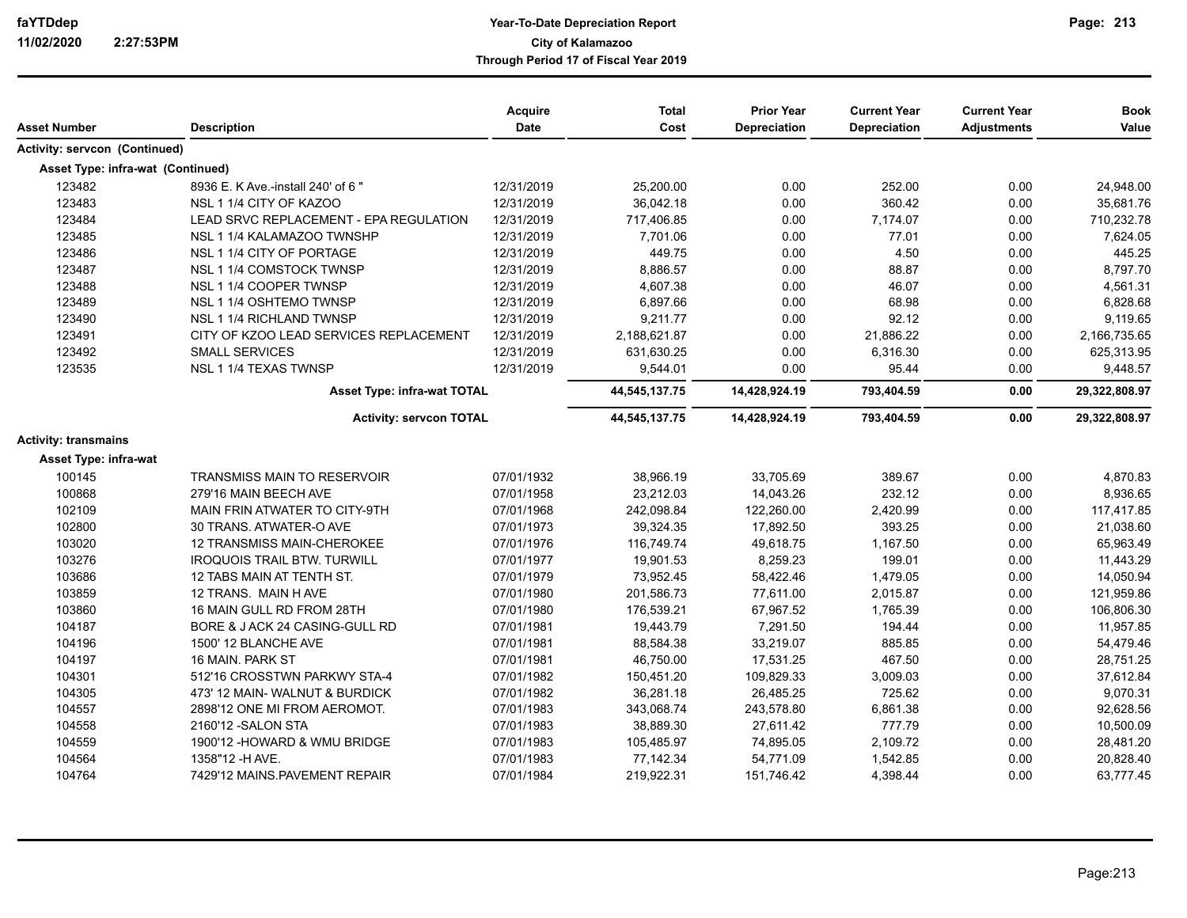| Asset Number                      | <b>Description</b>                     | <b>Acquire</b><br><b>Date</b> | <b>Total</b><br>Cost | <b>Prior Year</b><br><b>Depreciation</b> | <b>Current Year</b><br>Depreciation | <b>Current Year</b><br><b>Adjustments</b> | <b>Book</b><br>Value |
|-----------------------------------|----------------------------------------|-------------------------------|----------------------|------------------------------------------|-------------------------------------|-------------------------------------------|----------------------|
| Activity: servcon (Continued)     |                                        |                               |                      |                                          |                                     |                                           |                      |
| Asset Type: infra-wat (Continued) |                                        |                               |                      |                                          |                                     |                                           |                      |
| 123482                            | 8936 E. K Ave -install 240' of 6"      | 12/31/2019                    | 25,200.00            | 0.00                                     | 252.00                              | 0.00                                      | 24,948.00            |
| 123483                            | NSL 1 1/4 CITY OF KAZOO                | 12/31/2019                    | 36,042.18            | 0.00                                     | 360.42                              | 0.00                                      | 35,681.76            |
| 123484                            | LEAD SRVC REPLACEMENT - EPA REGULATION | 12/31/2019                    | 717,406.85           | 0.00                                     | 7,174.07                            | 0.00                                      | 710,232.78           |
| 123485                            | NSL 1 1/4 KALAMAZOO TWNSHP             | 12/31/2019                    | 7,701.06             | 0.00                                     | 77.01                               | 0.00                                      | 7,624.05             |
| 123486                            | NSL 1 1/4 CITY OF PORTAGE              | 12/31/2019                    | 449.75               | 0.00                                     | 4.50                                | 0.00                                      | 445.25               |
| 123487                            | NSL 1 1/4 COMSTOCK TWNSP               | 12/31/2019                    | 8,886.57             | 0.00                                     | 88.87                               | 0.00                                      | 8,797.70             |
| 123488                            | NSL 1 1/4 COOPER TWNSP                 | 12/31/2019                    | 4,607.38             | 0.00                                     | 46.07                               | 0.00                                      | 4,561.31             |
| 123489                            | NSL 1 1/4 OSHTEMO TWNSP                | 12/31/2019                    | 6,897.66             | 0.00                                     | 68.98                               | 0.00                                      | 6,828.68             |
| 123490                            | NSL 1 1/4 RICHLAND TWNSP               | 12/31/2019                    | 9,211.77             | 0.00                                     | 92.12                               | 0.00                                      | 9,119.65             |
| 123491                            | CITY OF KZOO LEAD SERVICES REPLACEMENT | 12/31/2019                    | 2,188,621.87         | 0.00                                     | 21,886.22                           | 0.00                                      | 2,166,735.65         |
| 123492                            | <b>SMALL SERVICES</b>                  | 12/31/2019                    | 631,630.25           | 0.00                                     | 6,316.30                            | 0.00                                      | 625,313.95           |
| 123535                            | NSL 1 1/4 TEXAS TWNSP                  | 12/31/2019                    | 9,544.01             | 0.00                                     | 95.44                               | 0.00                                      | 9,448.57             |
|                                   | <b>Asset Type: infra-wat TOTAL</b>     |                               | 44,545,137.75        | 14,428,924.19                            | 793,404.59                          | 0.00                                      | 29,322,808.97        |
|                                   | <b>Activity: servcon TOTAL</b>         |                               | 44,545,137.75        | 14,428,924.19                            | 793,404.59                          | 0.00                                      | 29,322,808.97        |
| <b>Activity: transmains</b>       |                                        |                               |                      |                                          |                                     |                                           |                      |
| Asset Type: infra-wat             |                                        |                               |                      |                                          |                                     |                                           |                      |
| 100145                            | <b>TRANSMISS MAIN TO RESERVOIR</b>     | 07/01/1932                    | 38,966.19            | 33,705.69                                | 389.67                              | 0.00                                      | 4,870.83             |
| 100868                            | 279'16 MAIN BEECH AVE                  | 07/01/1958                    | 23,212.03            | 14,043.26                                | 232.12                              | 0.00                                      | 8,936.65             |
| 102109                            | MAIN FRIN ATWATER TO CITY-9TH          | 07/01/1968                    | 242,098.84           | 122,260.00                               | 2,420.99                            | 0.00                                      | 117,417.85           |
| 102800                            | 30 TRANS. ATWATER-O AVE                | 07/01/1973                    | 39,324.35            | 17,892.50                                | 393.25                              | 0.00                                      | 21,038.60            |
| 103020                            | 12 TRANSMISS MAIN-CHEROKEE             | 07/01/1976                    | 116,749.74           | 49,618.75                                | 1,167.50                            | 0.00                                      | 65,963.49            |
| 103276                            | <b>IROQUOIS TRAIL BTW. TURWILL</b>     | 07/01/1977                    | 19,901.53            | 8,259.23                                 | 199.01                              | 0.00                                      | 11,443.29            |
| 103686                            | 12 TABS MAIN AT TENTH ST.              | 07/01/1979                    | 73,952.45            | 58,422.46                                | 1,479.05                            | 0.00                                      | 14,050.94            |
| 103859                            | 12 TRANS. MAIN HAVE                    | 07/01/1980                    | 201,586.73           | 77,611.00                                | 2,015.87                            | 0.00                                      | 121,959.86           |
| 103860                            | 16 MAIN GULL RD FROM 28TH              | 07/01/1980                    | 176,539.21           | 67,967.52                                | 1,765.39                            | 0.00                                      | 106,806.30           |
| 104187                            | BORE & J ACK 24 CASING-GULL RD         | 07/01/1981                    | 19,443.79            | 7,291.50                                 | 194.44                              | 0.00                                      | 11,957.85            |
| 104196                            | 1500' 12 BLANCHE AVE                   | 07/01/1981                    | 88,584.38            | 33,219.07                                | 885.85                              | 0.00                                      | 54,479.46            |
| 104197                            | 16 MAIN, PARK ST                       | 07/01/1981                    | 46,750.00            | 17,531.25                                | 467.50                              | 0.00                                      | 28,751.25            |
| 104301                            | 512'16 CROSSTWN PARKWY STA-4           | 07/01/1982                    | 150,451.20           | 109,829.33                               | 3,009.03                            | 0.00                                      | 37,612.84            |
| 104305                            | 473' 12 MAIN- WALNUT & BURDICK         | 07/01/1982                    | 36,281.18            | 26,485.25                                | 725.62                              | 0.00                                      | 9,070.31             |
| 104557                            | 2898'12 ONE MI FROM AEROMOT.           | 07/01/1983                    | 343,068.74           | 243,578.80                               | 6,861.38                            | 0.00                                      | 92,628.56            |
| 104558                            | 2160'12 -SALON STA                     | 07/01/1983                    | 38,889.30            | 27,611.42                                | 777.79                              | 0.00                                      | 10,500.09            |
| 104559                            | 1900'12 - HOWARD & WMU BRIDGE          | 07/01/1983                    | 105,485.97           | 74,895.05                                | 2,109.72                            | 0.00                                      | 28,481.20            |
| 104564                            | 1358"12 - HAVE.                        | 07/01/1983                    | 77,142.34            | 54,771.09                                | 1,542.85                            | 0.00                                      | 20,828.40            |
| 104764                            | 7429'12 MAINS PAVEMENT REPAIR          | 07/01/1984                    | 219,922.31           | 151,746.42                               | 4,398.44                            | 0.00                                      | 63,777.45            |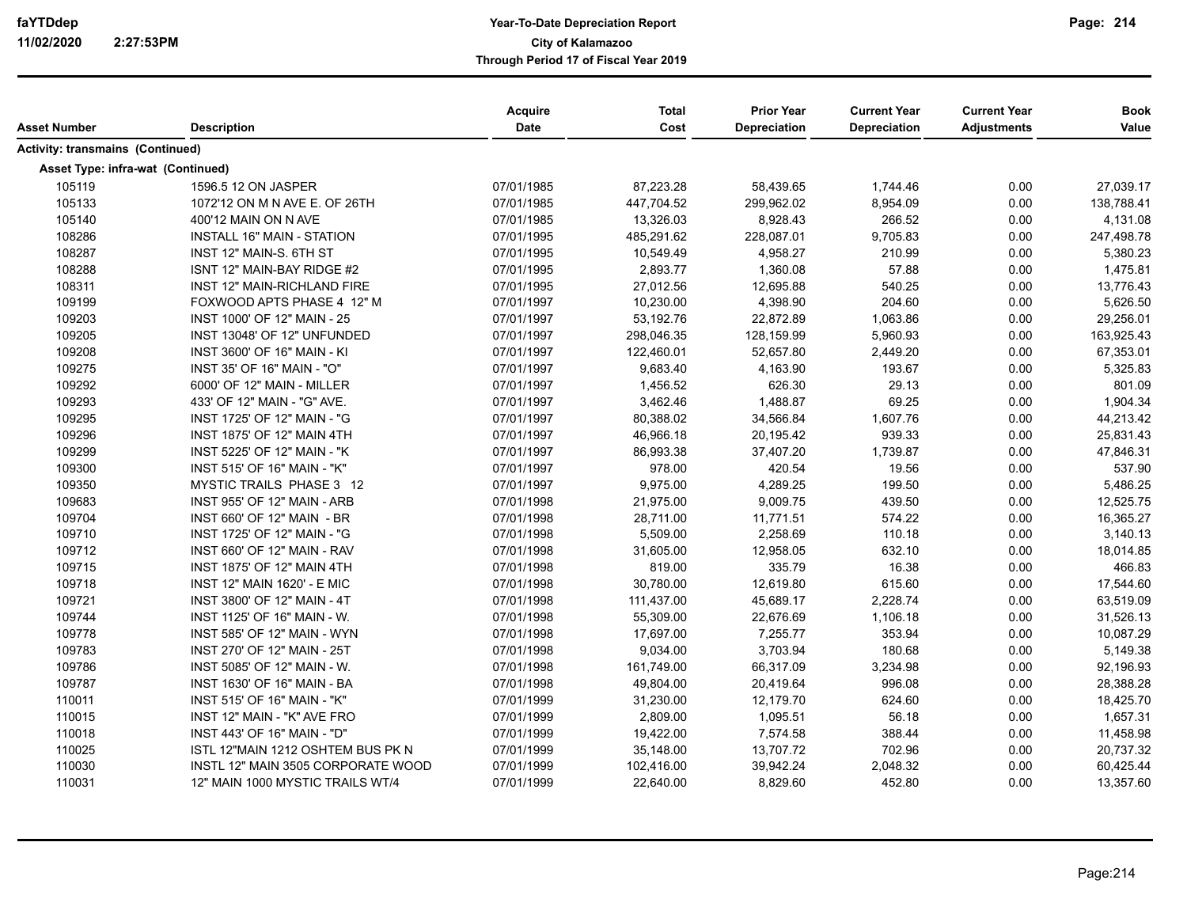|                                         |                                    | Acquire     | <b>Total</b> | <b>Prior Year</b>   | <b>Current Year</b> | <b>Current Year</b> | <b>Book</b> |
|-----------------------------------------|------------------------------------|-------------|--------------|---------------------|---------------------|---------------------|-------------|
| Asset Number                            | <b>Description</b>                 | <b>Date</b> | Cost         | <b>Depreciation</b> | Depreciation        | <b>Adjustments</b>  | Value       |
| <b>Activity: transmains (Continued)</b> |                                    |             |              |                     |                     |                     |             |
| Asset Type: infra-wat (Continued)       |                                    |             |              |                     |                     |                     |             |
| 105119                                  | 1596.5 12 ON JASPER                | 07/01/1985  | 87,223.28    | 58,439.65           | 1,744.46            | 0.00                | 27,039.17   |
| 105133                                  | 1072'12 ON M N AVE E. OF 26TH      | 07/01/1985  | 447,704.52   | 299,962.02          | 8,954.09            | 0.00                | 138,788.41  |
| 105140                                  | 400'12 MAIN ON N AVE               | 07/01/1985  | 13,326.03    | 8,928.43            | 266.52              | 0.00                | 4,131.08    |
| 108286                                  | <b>INSTALL 16" MAIN - STATION</b>  | 07/01/1995  | 485,291.62   | 228,087.01          | 9,705.83            | 0.00                | 247,498.78  |
| 108287                                  | INST 12" MAIN-S. 6TH ST            | 07/01/1995  | 10,549.49    | 4,958.27            | 210.99              | 0.00                | 5,380.23    |
| 108288                                  | ISNT 12" MAIN-BAY RIDGE #2         | 07/01/1995  | 2,893.77     | 1,360.08            | 57.88               | 0.00                | 1,475.81    |
| 108311                                  | INST 12" MAIN-RICHLAND FIRE        | 07/01/1995  | 27,012.56    | 12,695.88           | 540.25              | 0.00                | 13,776.43   |
| 109199                                  | FOXWOOD APTS PHASE 4 12" M         | 07/01/1997  | 10,230.00    | 4,398.90            | 204.60              | 0.00                | 5,626.50    |
| 109203                                  | INST 1000' OF 12" MAIN - 25        | 07/01/1997  | 53,192.76    | 22,872.89           | 1,063.86            | 0.00                | 29,256.01   |
| 109205                                  | INST 13048' OF 12" UNFUNDED        | 07/01/1997  | 298,046.35   | 128,159.99          | 5,960.93            | 0.00                | 163,925.43  |
| 109208                                  | <b>INST 3600' OF 16" MAIN - KI</b> | 07/01/1997  | 122,460.01   | 52,657.80           | 2,449.20            | 0.00                | 67,353.01   |
| 109275                                  | INST 35' OF 16" MAIN - "O"         | 07/01/1997  | 9,683.40     | 4,163.90            | 193.67              | 0.00                | 5,325.83    |
| 109292                                  | 6000' OF 12" MAIN - MILLER         | 07/01/1997  | 1,456.52     | 626.30              | 29.13               | 0.00                | 801.09      |
| 109293                                  | 433' OF 12" MAIN - "G" AVE.        | 07/01/1997  | 3,462.46     | 1,488.87            | 69.25               | 0.00                | 1,904.34    |
| 109295                                  | INST 1725' OF 12" MAIN - "G        | 07/01/1997  | 80,388.02    | 34,566.84           | 1,607.76            | 0.00                | 44,213.42   |
| 109296                                  | <b>INST 1875' OF 12" MAIN 4TH</b>  | 07/01/1997  | 46,966.18    | 20,195.42           | 939.33              | 0.00                | 25,831.43   |
| 109299                                  | INST 5225' OF 12" MAIN - "K        | 07/01/1997  | 86,993.38    | 37,407.20           | 1,739.87            | 0.00                | 47,846.31   |
| 109300                                  | <b>INST 515' OF 16" MAIN - "K"</b> | 07/01/1997  | 978.00       | 420.54              | 19.56               | 0.00                | 537.90      |
| 109350                                  | MYSTIC TRAILS PHASE 3 12           | 07/01/1997  | 9,975.00     | 4,289.25            | 199.50              | 0.00                | 5,486.25    |
| 109683                                  | INST 955' OF 12" MAIN - ARB        | 07/01/1998  | 21,975.00    | 9,009.75            | 439.50              | 0.00                | 12,525.75   |
| 109704                                  | INST 660' OF 12" MAIN - BR         | 07/01/1998  | 28,711.00    | 11,771.51           | 574.22              | 0.00                | 16,365.27   |
| 109710                                  | INST 1725' OF 12" MAIN - "G        | 07/01/1998  | 5,509.00     | 2,258.69            | 110.18              | 0.00                | 3,140.13    |
| 109712                                  | INST 660' OF 12" MAIN - RAV        | 07/01/1998  | 31,605.00    | 12,958.05           | 632.10              | 0.00                | 18,014.85   |
| 109715                                  | INST 1875' OF 12" MAIN 4TH         | 07/01/1998  | 819.00       | 335.79              | 16.38               | 0.00                | 466.83      |
| 109718                                  | <b>INST 12" MAIN 1620' - E MIC</b> | 07/01/1998  | 30,780.00    | 12,619.80           | 615.60              | 0.00                | 17,544.60   |
| 109721                                  | INST 3800' OF 12" MAIN - 4T        | 07/01/1998  | 111,437.00   | 45,689.17           | 2,228.74            | 0.00                | 63,519.09   |
| 109744                                  | INST 1125' OF 16" MAIN - W.        | 07/01/1998  | 55,309.00    | 22,676.69           | 1,106.18            | 0.00                | 31,526.13   |
| 109778                                  | INST 585' OF 12" MAIN - WYN        | 07/01/1998  | 17,697.00    | 7,255.77            | 353.94              | 0.00                | 10,087.29   |
| 109783                                  | INST 270' OF 12" MAIN - 25T        | 07/01/1998  | 9,034.00     | 3,703.94            | 180.68              | 0.00                | 5,149.38    |
| 109786                                  | INST 5085' OF 12" MAIN - W.        | 07/01/1998  | 161,749.00   | 66,317.09           | 3,234.98            | 0.00                | 92,196.93   |
| 109787                                  | INST 1630' OF 16" MAIN - BA        | 07/01/1998  | 49,804.00    | 20,419.64           | 996.08              | 0.00                | 28,388.28   |
| 110011                                  | INST 515' OF 16" MAIN - "K"        | 07/01/1999  | 31,230.00    | 12,179.70           | 624.60              | 0.00                | 18,425.70   |
| 110015                                  | INST 12" MAIN - "K" AVE FRO        | 07/01/1999  | 2,809.00     | 1,095.51            | 56.18               | 0.00                | 1,657.31    |
| 110018                                  | INST 443' OF 16" MAIN - "D"        | 07/01/1999  | 19,422.00    | 7,574.58            | 388.44              | 0.00                | 11,458.98   |
| 110025                                  | ISTL 12"MAIN 1212 OSHTEM BUS PK N  | 07/01/1999  | 35,148.00    | 13,707.72           | 702.96              | 0.00                | 20,737.32   |
| 110030                                  | INSTL 12" MAIN 3505 CORPORATE WOOD | 07/01/1999  | 102,416.00   | 39,942.24           | 2,048.32            | 0.00                | 60,425.44   |
| 110031                                  | 12" MAIN 1000 MYSTIC TRAILS WT/4   | 07/01/1999  | 22,640.00    | 8,829.60            | 452.80              | 0.00                | 13,357.60   |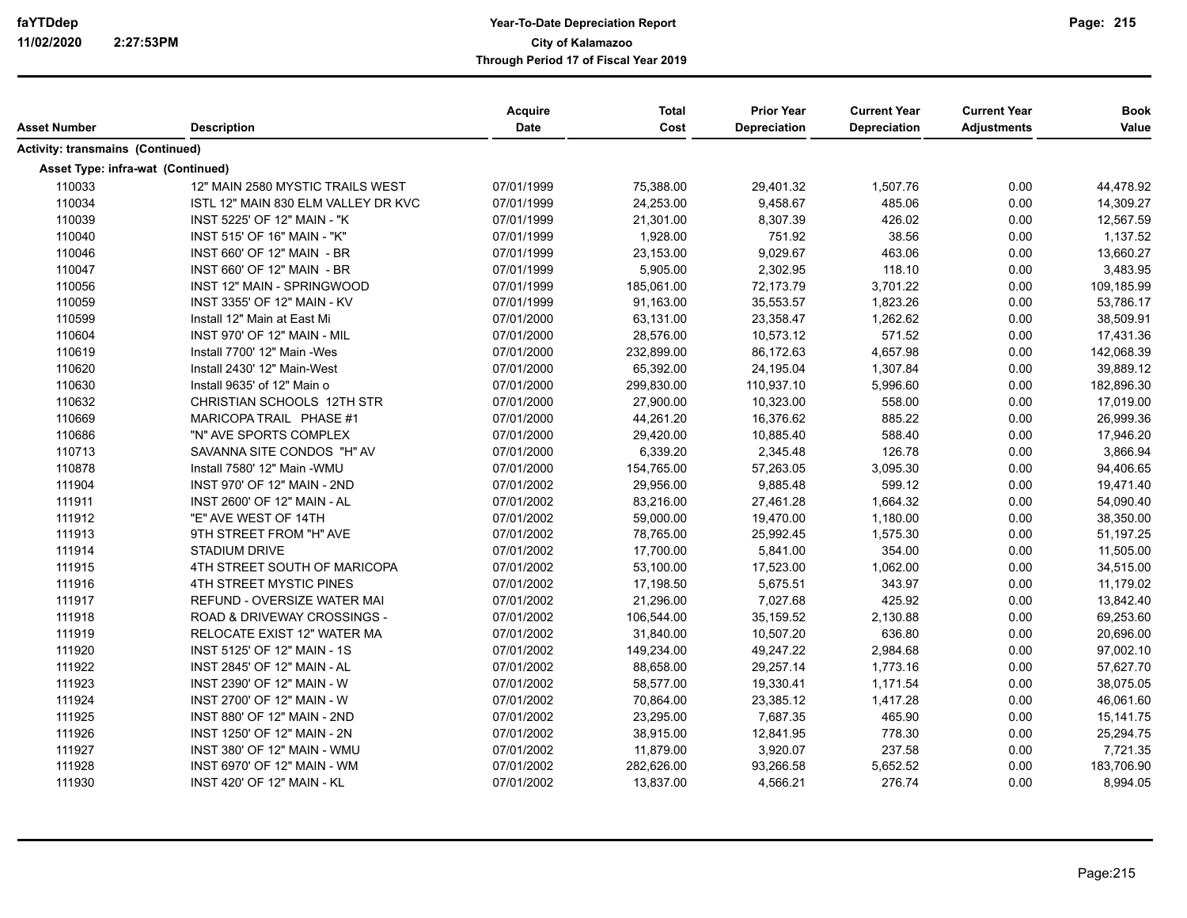|                                         |                                     | <b>Acquire</b> | <b>Total</b> | <b>Prior Year</b> | <b>Current Year</b> | <b>Current Year</b> | <b>Book</b> |
|-----------------------------------------|-------------------------------------|----------------|--------------|-------------------|---------------------|---------------------|-------------|
| Asset Number                            | <b>Description</b>                  | Date           | Cost         | Depreciation      | <b>Depreciation</b> | <b>Adjustments</b>  | Value       |
| <b>Activity: transmains (Continued)</b> |                                     |                |              |                   |                     |                     |             |
| Asset Type: infra-wat (Continued)       |                                     |                |              |                   |                     |                     |             |
| 110033                                  | 12" MAIN 2580 MYSTIC TRAILS WEST    | 07/01/1999     | 75,388.00    | 29,401.32         | 1,507.76            | 0.00                | 44,478.92   |
| 110034                                  | ISTL 12" MAIN 830 ELM VALLEY DR KVC | 07/01/1999     | 24,253.00    | 9,458.67          | 485.06              | 0.00                | 14,309.27   |
| 110039                                  | INST 5225' OF 12" MAIN - "K         | 07/01/1999     | 21,301.00    | 8.307.39          | 426.02              | 0.00                | 12,567.59   |
| 110040                                  | INST 515' OF 16" MAIN - "K"         | 07/01/1999     | 1,928.00     | 751.92            | 38.56               | 0.00                | 1,137.52    |
| 110046                                  | INST 660' OF 12" MAIN - BR          | 07/01/1999     | 23,153.00    | 9,029.67          | 463.06              | 0.00                | 13,660.27   |
| 110047                                  | INST 660' OF 12" MAIN - BR          | 07/01/1999     | 5,905.00     | 2,302.95          | 118.10              | 0.00                | 3,483.95    |
| 110056                                  | INST 12" MAIN - SPRINGWOOD          | 07/01/1999     | 185,061.00   | 72,173.79         | 3.701.22            | 0.00                | 109,185.99  |
| 110059                                  | INST 3355' OF 12" MAIN - KV         | 07/01/1999     | 91,163.00    | 35,553.57         | 1,823.26            | 0.00                | 53,786.17   |
| 110599                                  | Install 12" Main at East Mi         | 07/01/2000     | 63,131.00    | 23,358.47         | 1,262.62            | 0.00                | 38,509.91   |
| 110604                                  | <b>INST 970' OF 12" MAIN - MIL</b>  | 07/01/2000     | 28,576.00    | 10,573.12         | 571.52              | 0.00                | 17,431.36   |
| 110619                                  | Install 7700' 12" Main - Wes        | 07/01/2000     | 232,899.00   | 86,172.63         | 4,657.98            | 0.00                | 142,068.39  |
| 110620                                  | Install 2430' 12" Main-West         | 07/01/2000     | 65,392.00    | 24,195.04         | 1,307.84            | 0.00                | 39,889.12   |
| 110630                                  | Install 9635' of 12" Main o         | 07/01/2000     | 299,830.00   | 110,937.10        | 5,996.60            | 0.00                | 182,896.30  |
| 110632                                  | CHRISTIAN SCHOOLS 12TH STR          | 07/01/2000     | 27,900.00    | 10,323.00         | 558.00              | 0.00                | 17,019.00   |
| 110669                                  | MARICOPA TRAIL PHASE #1             | 07/01/2000     | 44,261.20    | 16,376.62         | 885.22              | 0.00                | 26,999.36   |
| 110686                                  | "N" AVE SPORTS COMPLEX              | 07/01/2000     | 29,420.00    | 10,885.40         | 588.40              | 0.00                | 17,946.20   |
| 110713                                  | SAVANNA SITE CONDOS "H" AV          | 07/01/2000     | 6,339.20     | 2,345.48          | 126.78              | 0.00                | 3,866.94    |
| 110878                                  | Install 7580' 12" Main - WMU        | 07/01/2000     | 154,765.00   | 57,263.05         | 3,095.30            | 0.00                | 94,406.65   |
| 111904                                  | INST 970' OF 12" MAIN - 2ND         | 07/01/2002     | 29,956.00    | 9,885.48          | 599.12              | 0.00                | 19,471.40   |
| 111911                                  | INST 2600' OF 12" MAIN - AL         | 07/01/2002     | 83,216.00    | 27,461.28         | 1,664.32            | 0.00                | 54,090.40   |
| 111912                                  | "E" AVE WEST OF 14TH                | 07/01/2002     | 59,000.00    | 19,470.00         | 1,180.00            | 0.00                | 38,350.00   |
| 111913                                  | 9TH STREET FROM "H" AVE             | 07/01/2002     | 78,765.00    | 25,992.45         | 1,575.30            | 0.00                | 51,197.25   |
| 111914                                  | <b>STADIUM DRIVE</b>                | 07/01/2002     | 17,700.00    | 5,841.00          | 354.00              | 0.00                | 11,505.00   |
| 111915                                  | 4TH STREET SOUTH OF MARICOPA        | 07/01/2002     | 53,100.00    | 17,523.00         | 1,062.00            | 0.00                | 34,515.00   |
| 111916                                  | 4TH STREET MYSTIC PINES             | 07/01/2002     | 17,198.50    | 5,675.51          | 343.97              | 0.00                | 11,179.02   |
| 111917                                  | <b>REFUND - OVERSIZE WATER MAI</b>  | 07/01/2002     | 21,296.00    | 7,027.68          | 425.92              | 0.00                | 13,842.40   |
| 111918                                  | ROAD & DRIVEWAY CROSSINGS -         | 07/01/2002     | 106,544.00   | 35,159.52         | 2,130.88            | 0.00                | 69,253.60   |
| 111919                                  | RELOCATE EXIST 12" WATER MA         | 07/01/2002     | 31,840.00    | 10,507.20         | 636.80              | 0.00                | 20,696.00   |
| 111920                                  | INST 5125' OF 12" MAIN - 1S         | 07/01/2002     | 149,234.00   | 49,247.22         | 2,984.68            | 0.00                | 97,002.10   |
| 111922                                  | INST 2845' OF 12" MAIN - AL         | 07/01/2002     | 88,658.00    | 29,257.14         | 1,773.16            | 0.00                | 57,627.70   |
| 111923                                  | INST 2390' OF 12" MAIN - W          | 07/01/2002     | 58,577.00    | 19,330.41         | 1,171.54            | 0.00                | 38,075.05   |
| 111924                                  | INST 2700' OF 12" MAIN - W          | 07/01/2002     | 70,864.00    | 23,385.12         | 1,417.28            | 0.00                | 46,061.60   |
| 111925                                  | INST 880' OF 12" MAIN - 2ND         | 07/01/2002     | 23,295.00    | 7,687.35          | 465.90              | 0.00                | 15,141.75   |
| 111926                                  | INST 1250' OF 12" MAIN - 2N         | 07/01/2002     | 38,915.00    | 12,841.95         | 778.30              | 0.00                | 25,294.75   |
| 111927                                  | INST 380' OF 12" MAIN - WMU         | 07/01/2002     | 11,879.00    | 3,920.07          | 237.58              | 0.00                | 7,721.35    |
| 111928                                  | INST 6970' OF 12" MAIN - WM         | 07/01/2002     | 282,626.00   | 93,266.58         | 5,652.52            | 0.00                | 183,706.90  |
| 111930                                  | <b>INST 420' OF 12" MAIN - KL</b>   | 07/01/2002     | 13,837.00    | 4,566.21          | 276.74              | 0.00                | 8,994.05    |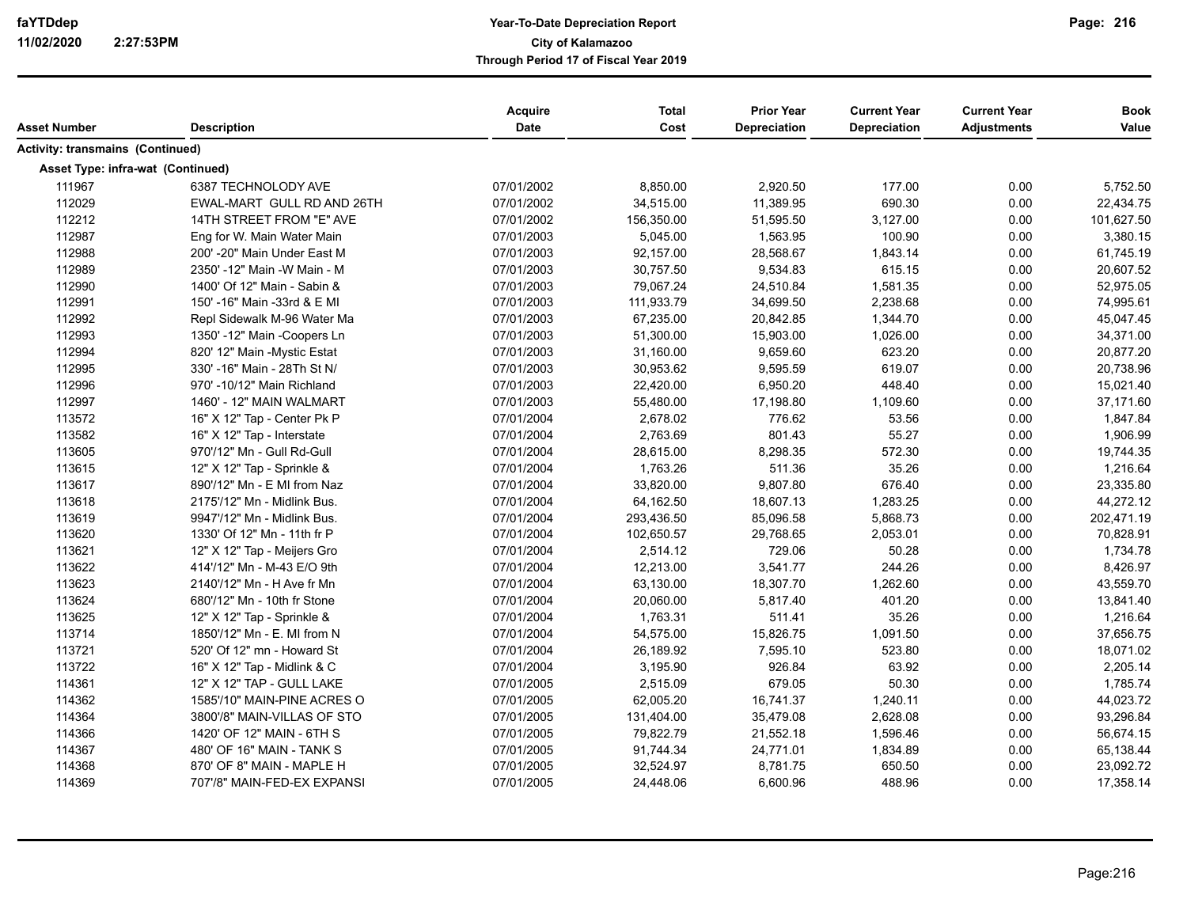| Asset Number                            | <b>Description</b>           | Acquire<br>Date | <b>Total</b><br>Cost | <b>Prior Year</b><br>Depreciation | <b>Current Year</b><br>Depreciation | <b>Current Year</b><br><b>Adjustments</b> | <b>Book</b><br>Value |
|-----------------------------------------|------------------------------|-----------------|----------------------|-----------------------------------|-------------------------------------|-------------------------------------------|----------------------|
| <b>Activity: transmains (Continued)</b> |                              |                 |                      |                                   |                                     |                                           |                      |
| Asset Type: infra-wat (Continued)       |                              |                 |                      |                                   |                                     |                                           |                      |
| 111967                                  | 6387 TECHNOLODY AVE          | 07/01/2002      | 8,850.00             | 2,920.50                          | 177.00                              | 0.00                                      | 5,752.50             |
| 112029                                  | EWAL-MART GULL RD AND 26TH   | 07/01/2002      | 34,515.00            | 11,389.95                         | 690.30                              | 0.00                                      | 22,434.75            |
| 112212                                  | 14TH STREET FROM "E" AVE     | 07/01/2002      | 156,350.00           | 51,595.50                         | 3,127.00                            | 0.00                                      | 101,627.50           |
| 112987                                  | Eng for W. Main Water Main   | 07/01/2003      | 5,045.00             | 1,563.95                          | 100.90                              | 0.00                                      | 3,380.15             |
| 112988                                  | 200'-20" Main Under East M   | 07/01/2003      | 92,157.00            | 28,568.67                         | 1,843.14                            | 0.00                                      | 61,745.19            |
| 112989                                  | 2350' -12" Main -W Main - M  | 07/01/2003      | 30,757.50            | 9,534.83                          | 615.15                              | 0.00                                      | 20,607.52            |
| 112990                                  | 1400' Of 12" Main - Sabin &  | 07/01/2003      | 79,067.24            | 24,510.84                         | 1,581.35                            | 0.00                                      | 52,975.05            |
| 112991                                  | 150' -16" Main -33rd & E MI  | 07/01/2003      | 111,933.79           | 34,699.50                         | 2,238.68                            | 0.00                                      | 74,995.61            |
| 112992                                  | Repl Sidewalk M-96 Water Ma  | 07/01/2003      | 67,235.00            | 20,842.85                         | 1,344.70                            | 0.00                                      | 45,047.45            |
| 112993                                  | 1350' -12" Main -Coopers Ln  | 07/01/2003      | 51,300.00            | 15,903.00                         | 1,026.00                            | 0.00                                      | 34,371.00            |
| 112994                                  | 820' 12" Main - Mystic Estat | 07/01/2003      | 31,160.00            | 9,659.60                          | 623.20                              | 0.00                                      | 20,877.20            |
| 112995                                  | 330' -16" Main - 28Th St N/  | 07/01/2003      | 30,953.62            | 9,595.59                          | 619.07                              | 0.00                                      | 20,738.96            |
| 112996                                  | 970' -10/12" Main Richland   | 07/01/2003      | 22,420.00            | 6,950.20                          | 448.40                              | 0.00                                      | 15,021.40            |
| 112997                                  | 1460' - 12" MAIN WALMART     | 07/01/2003      | 55,480.00            | 17,198.80                         | 1,109.60                            | 0.00                                      | 37,171.60            |
| 113572                                  | 16" X 12" Tap - Center Pk P  | 07/01/2004      | 2,678.02             | 776.62                            | 53.56                               | 0.00                                      | 1,847.84             |
| 113582                                  | 16" X 12" Tap - Interstate   | 07/01/2004      | 2,763.69             | 801.43                            | 55.27                               | 0.00                                      | 1,906.99             |
| 113605                                  | 970'/12" Mn - Gull Rd-Gull   | 07/01/2004      | 28,615.00            | 8,298.35                          | 572.30                              | 0.00                                      | 19,744.35            |
| 113615                                  | 12" X 12" Tap - Sprinkle &   | 07/01/2004      | 1,763.26             | 511.36                            | 35.26                               | 0.00                                      | 1,216.64             |
| 113617                                  | 890'/12" Mn - E MI from Naz  | 07/01/2004      | 33,820.00            | 9,807.80                          | 676.40                              | 0.00                                      | 23,335.80            |
| 113618                                  | 2175'/12" Mn - Midlink Bus.  | 07/01/2004      | 64,162.50            | 18,607.13                         | 1,283.25                            | 0.00                                      | 44,272.12            |
| 113619                                  | 9947'/12" Mn - Midlink Bus.  | 07/01/2004      | 293,436.50           | 85,096.58                         | 5,868.73                            | 0.00                                      | 202,471.19           |
| 113620                                  | 1330' Of 12" Mn - 11th fr P  | 07/01/2004      | 102,650.57           | 29,768.65                         | 2,053.01                            | 0.00                                      | 70,828.91            |
| 113621                                  | 12" X 12" Tap - Meijers Gro  | 07/01/2004      | 2,514.12             | 729.06                            | 50.28                               | 0.00                                      | 1,734.78             |
| 113622                                  | 414'/12" Mn - M-43 E/O 9th   | 07/01/2004      | 12,213.00            | 3,541.77                          | 244.26                              | 0.00                                      | 8,426.97             |
| 113623                                  | 2140'/12" Mn - H Ave fr Mn   | 07/01/2004      | 63,130.00            | 18,307.70                         | 1,262.60                            | 0.00                                      | 43,559.70            |
| 113624                                  | 680'/12" Mn - 10th fr Stone  | 07/01/2004      | 20,060.00            | 5,817.40                          | 401.20                              | 0.00                                      | 13,841.40            |
| 113625                                  | 12" X 12" Tap - Sprinkle &   | 07/01/2004      | 1,763.31             | 511.41                            | 35.26                               | 0.00                                      | 1,216.64             |
| 113714                                  | 1850'/12" Mn - E. MI from N  | 07/01/2004      | 54,575.00            | 15,826.75                         | 1,091.50                            | 0.00                                      | 37,656.75            |
| 113721                                  | 520' Of 12" mn - Howard St   | 07/01/2004      | 26,189.92            | 7,595.10                          | 523.80                              | 0.00                                      | 18,071.02            |
| 113722                                  | 16" X 12" Tap - Midlink & C  | 07/01/2004      | 3,195.90             | 926.84                            | 63.92                               | 0.00                                      | 2,205.14             |
| 114361                                  | 12" X 12" TAP - GULL LAKE    | 07/01/2005      | 2,515.09             | 679.05                            | 50.30                               | 0.00                                      | 1,785.74             |
| 114362                                  | 1585'/10" MAIN-PINE ACRES O  | 07/01/2005      | 62,005.20            | 16,741.37                         | 1,240.11                            | 0.00                                      | 44,023.72            |
| 114364                                  | 3800'/8" MAIN-VILLAS OF STO  | 07/01/2005      | 131,404.00           | 35,479.08                         | 2,628.08                            | 0.00                                      | 93,296.84            |
| 114366                                  | 1420' OF 12" MAIN - 6TH S    | 07/01/2005      | 79,822.79            | 21,552.18                         | 1,596.46                            | 0.00                                      | 56,674.15            |
| 114367                                  | 480' OF 16" MAIN - TANK S    | 07/01/2005      | 91,744.34            | 24,771.01                         | 1,834.89                            | 0.00                                      | 65,138.44            |
| 114368                                  | 870' OF 8" MAIN - MAPLE H    | 07/01/2005      | 32,524.97            | 8,781.75                          | 650.50                              | 0.00                                      | 23,092.72            |
| 114369                                  | 707'/8" MAIN-FED-EX EXPANSI  | 07/01/2005      | 24,448.06            | 6,600.96                          | 488.96                              | 0.00                                      | 17,358.14            |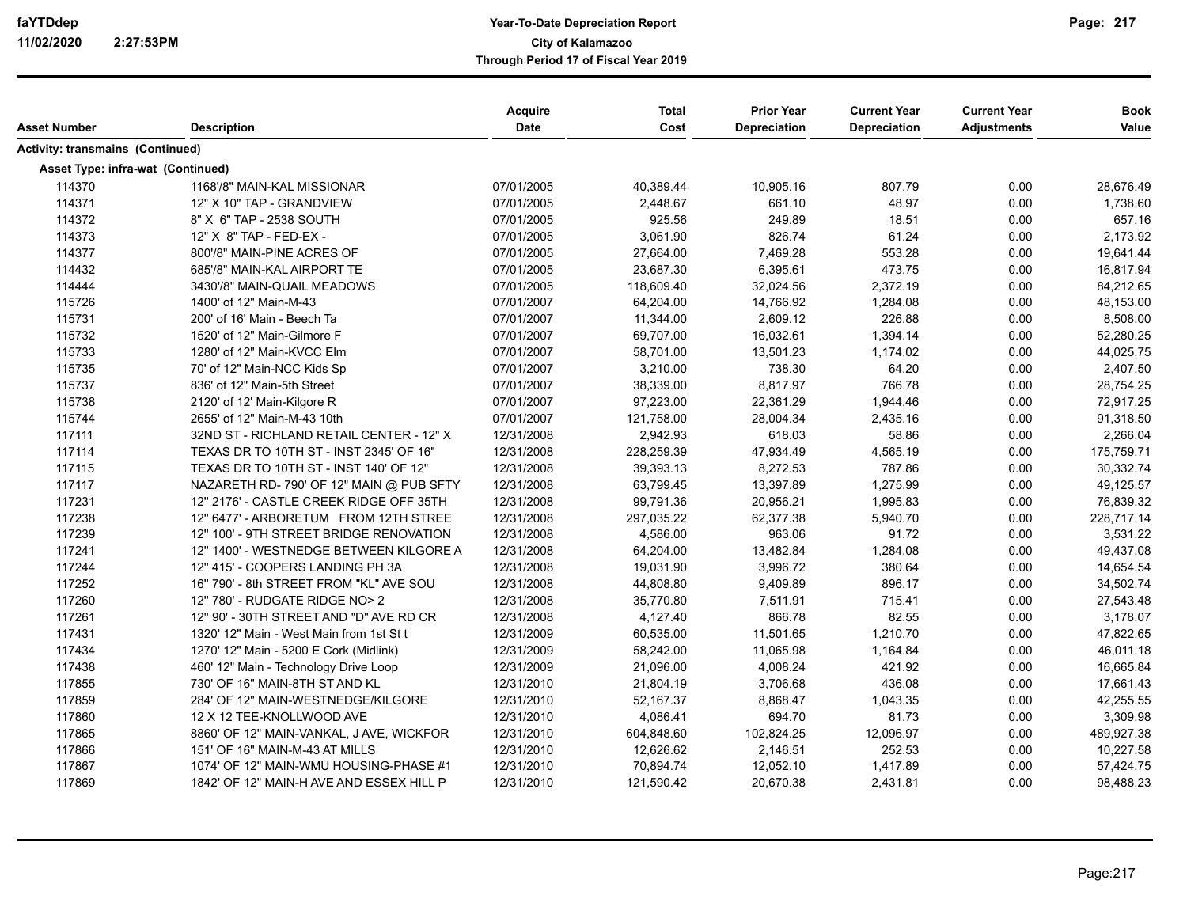| Asset Number                            | <b>Description</b>                       | <b>Acquire</b><br>Date | <b>Total</b><br>Cost | <b>Prior Year</b><br>Depreciation | <b>Current Year</b><br><b>Depreciation</b> | <b>Current Year</b><br><b>Adjustments</b> | <b>Book</b><br>Value |
|-----------------------------------------|------------------------------------------|------------------------|----------------------|-----------------------------------|--------------------------------------------|-------------------------------------------|----------------------|
| <b>Activity: transmains (Continued)</b> |                                          |                        |                      |                                   |                                            |                                           |                      |
| Asset Type: infra-wat (Continued)       |                                          |                        |                      |                                   |                                            |                                           |                      |
| 114370                                  | 1168'/8" MAIN-KAL MISSIONAR              | 07/01/2005             | 40,389.44            | 10,905.16                         | 807.79                                     | 0.00                                      | 28,676.49            |
| 114371                                  | 12" X 10" TAP - GRANDVIEW                | 07/01/2005             | 2,448.67             | 661.10                            | 48.97                                      | 0.00                                      | 1,738.60             |
| 114372                                  | 8" X 6" TAP - 2538 SOUTH                 | 07/01/2005             | 925.56               | 249.89                            | 18.51                                      | 0.00                                      | 657.16               |
| 114373                                  | 12" X 8" TAP - FED-EX -                  | 07/01/2005             | 3,061.90             | 826.74                            | 61.24                                      | 0.00                                      | 2,173.92             |
| 114377                                  | 800'/8" MAIN-PINE ACRES OF               | 07/01/2005             | 27,664.00            | 7,469.28                          | 553.28                                     | 0.00                                      | 19,641.44            |
| 114432                                  | 685'/8" MAIN-KAL AIRPORT TE              | 07/01/2005             | 23,687.30            | 6,395.61                          | 473.75                                     | 0.00                                      | 16,817.94            |
| 114444                                  | 3430'/8" MAIN-QUAIL MEADOWS              | 07/01/2005             | 118,609.40           | 32,024.56                         | 2,372.19                                   | 0.00                                      | 84,212.65            |
| 115726                                  | 1400' of 12" Main-M-43                   | 07/01/2007             | 64,204.00            | 14,766.92                         | 1,284.08                                   | 0.00                                      | 48,153.00            |
| 115731                                  | 200' of 16' Main - Beech Ta              | 07/01/2007             | 11,344.00            | 2,609.12                          | 226.88                                     | 0.00                                      | 8,508.00             |
| 115732                                  | 1520' of 12" Main-Gilmore F              | 07/01/2007             | 69,707.00            | 16,032.61                         | 1,394.14                                   | 0.00                                      | 52,280.25            |
| 115733                                  | 1280' of 12" Main-KVCC Elm               | 07/01/2007             | 58,701.00            | 13,501.23                         | 1,174.02                                   | 0.00                                      | 44,025.75            |
| 115735                                  | 70' of 12" Main-NCC Kids Sp              | 07/01/2007             | 3,210.00             | 738.30                            | 64.20                                      | 0.00                                      | 2,407.50             |
| 115737                                  | 836' of 12" Main-5th Street              | 07/01/2007             | 38,339.00            | 8,817.97                          | 766.78                                     | 0.00                                      | 28,754.25            |
| 115738                                  | 2120' of 12' Main-Kilgore R              | 07/01/2007             | 97,223.00            | 22,361.29                         | 1,944.46                                   | 0.00                                      | 72,917.25            |
| 115744                                  | 2655' of 12" Main-M-43 10th              | 07/01/2007             | 121,758.00           | 28,004.34                         | 2,435.16                                   | 0.00                                      | 91,318.50            |
| 117111                                  | 32ND ST - RICHLAND RETAIL CENTER - 12" X | 12/31/2008             | 2,942.93             | 618.03                            | 58.86                                      | 0.00                                      | 2,266.04             |
| 117114                                  | TEXAS DR TO 10TH ST - INST 2345' OF 16"  | 12/31/2008             | 228,259.39           | 47,934.49                         | 4,565.19                                   | 0.00                                      | 175,759.71           |
| 117115                                  | TEXAS DR TO 10TH ST - INST 140' OF 12"   | 12/31/2008             | 39,393.13            | 8,272.53                          | 787.86                                     | 0.00                                      | 30,332.74            |
| 117117                                  | NAZARETH RD-790' OF 12" MAIN @ PUB SFTY  | 12/31/2008             | 63,799.45            | 13,397.89                         | 1,275.99                                   | 0.00                                      | 49,125.57            |
| 117231                                  | 12" 2176' - CASTLE CREEK RIDGE OFF 35TH  | 12/31/2008             | 99,791.36            | 20,956.21                         | 1,995.83                                   | 0.00                                      | 76,839.32            |
| 117238                                  | 12" 6477' - ARBORETUM FROM 12TH STREE    | 12/31/2008             | 297,035.22           | 62,377.38                         | 5,940.70                                   | 0.00                                      | 228,717.14           |
| 117239                                  | 12" 100' - 9TH STREET BRIDGE RENOVATION  | 12/31/2008             | 4,586.00             | 963.06                            | 91.72                                      | 0.00                                      | 3,531.22             |
| 117241                                  | 12" 1400' - WESTNEDGE BETWEEN KILGORE A  | 12/31/2008             | 64,204.00            | 13,482.84                         | 1,284.08                                   | 0.00                                      | 49,437.08            |
| 117244                                  | 12" 415' - COOPERS LANDING PH 3A         | 12/31/2008             | 19,031.90            | 3,996.72                          | 380.64                                     | 0.00                                      | 14,654.54            |
| 117252                                  | 16" 790' - 8th STREET FROM "KL" AVE SOU  | 12/31/2008             | 44,808.80            | 9,409.89                          | 896.17                                     | 0.00                                      | 34,502.74            |
| 117260                                  | 12" 780' - RUDGATE RIDGE NO> 2           | 12/31/2008             | 35,770.80            | 7,511.91                          | 715.41                                     | 0.00                                      | 27,543.48            |
| 117261                                  | 12" 90' - 30TH STREET AND "D" AVE RD CR  | 12/31/2008             | 4,127.40             | 866.78                            | 82.55                                      | 0.00                                      | 3,178.07             |
| 117431                                  | 1320' 12" Main - West Main from 1st St t | 12/31/2009             | 60,535.00            | 11,501.65                         | 1,210.70                                   | 0.00                                      | 47,822.65            |
| 117434                                  | 1270' 12" Main - 5200 E Cork (Midlink)   | 12/31/2009             | 58,242.00            | 11,065.98                         | 1,164.84                                   | 0.00                                      | 46,011.18            |
| 117438                                  | 460' 12" Main - Technology Drive Loop    | 12/31/2009             | 21,096.00            | 4,008.24                          | 421.92                                     | 0.00                                      | 16,665.84            |
| 117855                                  | 730' OF 16" MAIN-8TH ST AND KL           | 12/31/2010             | 21,804.19            | 3,706.68                          | 436.08                                     | 0.00                                      | 17,661.43            |
| 117859                                  | 284' OF 12" MAIN-WESTNEDGE/KILGORE       | 12/31/2010             | 52,167.37            | 8,868.47                          | 1,043.35                                   | 0.00                                      | 42,255.55            |
| 117860                                  | 12 X 12 TEE-KNOLLWOOD AVE                | 12/31/2010             | 4,086.41             | 694.70                            | 81.73                                      | 0.00                                      | 3,309.98             |
| 117865                                  | 8860' OF 12" MAIN-VANKAL, J AVE, WICKFOR | 12/31/2010             | 604,848.60           | 102,824.25                        | 12,096.97                                  | 0.00                                      | 489,927.38           |
| 117866                                  | 151' OF 16" MAIN-M-43 AT MILLS           | 12/31/2010             | 12,626.62            | 2,146.51                          | 252.53                                     | 0.00                                      | 10,227.58            |
| 117867                                  | 1074' OF 12" MAIN-WMU HOUSING-PHASE #1   | 12/31/2010             | 70,894.74            | 12,052.10                         | 1,417.89                                   | 0.00                                      | 57,424.75            |
| 117869                                  | 1842' OF 12" MAIN-H AVE AND ESSEX HILL P | 12/31/2010             | 121,590.42           | 20,670.38                         | 2,431.81                                   | 0.00                                      | 98,488.23            |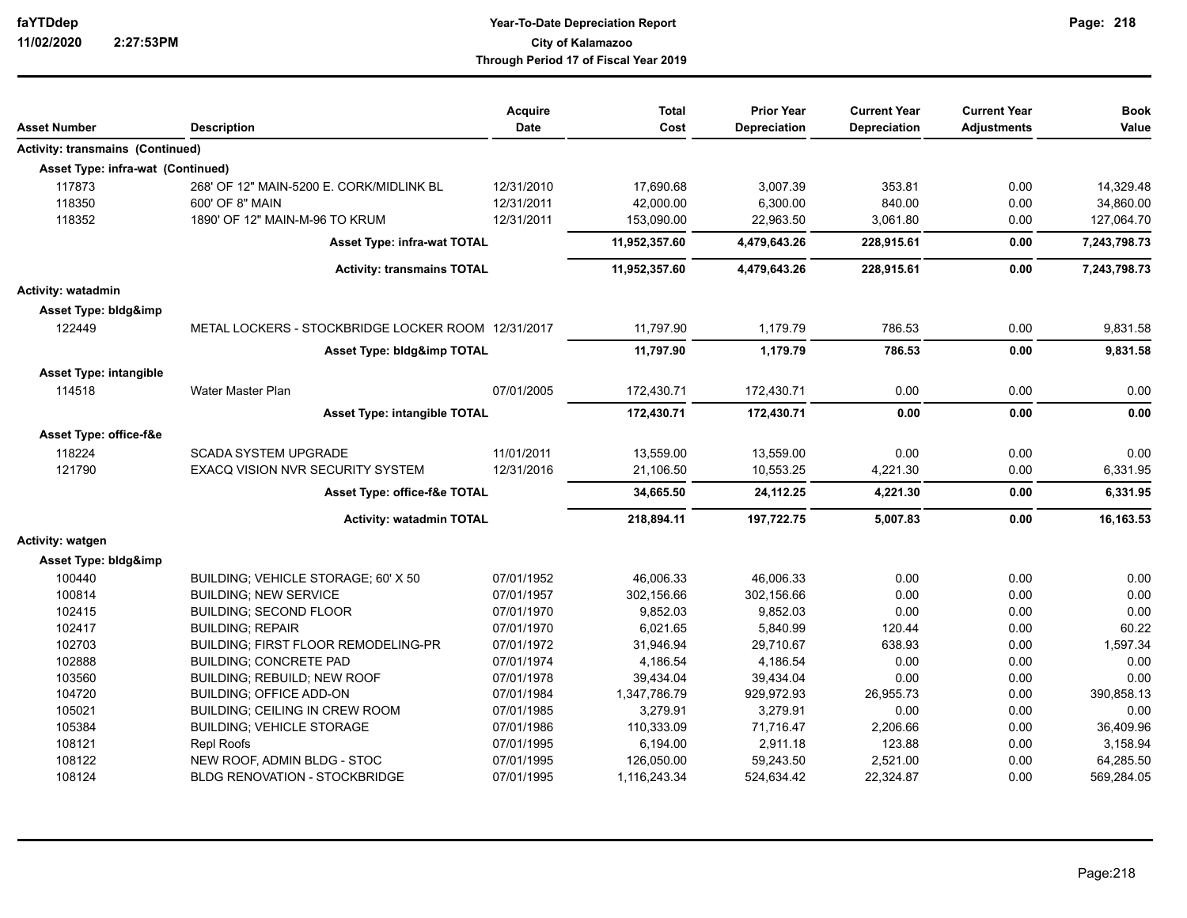| Asset Number                            | <b>Description</b>                                 | Acquire<br>Date | <b>Total</b><br>Cost | <b>Prior Year</b><br>Depreciation | <b>Current Year</b><br>Depreciation | <b>Current Year</b><br><b>Adjustments</b> | <b>Book</b><br>Value |
|-----------------------------------------|----------------------------------------------------|-----------------|----------------------|-----------------------------------|-------------------------------------|-------------------------------------------|----------------------|
| <b>Activity: transmains (Continued)</b> |                                                    |                 |                      |                                   |                                     |                                           |                      |
| Asset Type: infra-wat (Continued)       |                                                    |                 |                      |                                   |                                     |                                           |                      |
| 117873                                  | 268' OF 12" MAIN-5200 E. CORK/MIDLINK BL           | 12/31/2010      | 17,690.68            | 3,007.39                          | 353.81                              | 0.00                                      | 14,329.48            |
| 118350                                  | 600' OF 8" MAIN                                    | 12/31/2011      | 42,000.00            | 6,300.00                          | 840.00                              | 0.00                                      | 34,860.00            |
| 118352                                  | 1890' OF 12" MAIN-M-96 TO KRUM                     | 12/31/2011      | 153,090.00           | 22,963.50                         | 3,061.80                            | 0.00                                      | 127,064.70           |
|                                         | <b>Asset Type: infra-wat TOTAL</b>                 |                 | 11,952,357.60        | 4,479,643.26                      | 228,915.61                          | 0.00                                      | 7,243,798.73         |
|                                         | <b>Activity: transmains TOTAL</b>                  |                 | 11,952,357.60        | 4,479,643.26                      | 228,915.61                          | 0.00                                      | 7,243,798.73         |
| Activity: watadmin                      |                                                    |                 |                      |                                   |                                     |                                           |                      |
| Asset Type: bldg&imp                    |                                                    |                 |                      |                                   |                                     |                                           |                      |
| 122449                                  | METAL LOCKERS - STOCKBRIDGE LOCKER ROOM 12/31/2017 |                 | 11,797.90            | 1,179.79                          | 786.53                              | 0.00                                      | 9,831.58             |
|                                         | Asset Type: bldg&imp TOTAL                         |                 | 11,797.90            | 1,179.79                          | 786.53                              | 0.00                                      | 9,831.58             |
| <b>Asset Type: intangible</b>           |                                                    |                 |                      |                                   |                                     |                                           |                      |
| 114518                                  | Water Master Plan                                  | 07/01/2005      | 172,430.71           | 172,430.71                        | 0.00                                | 0.00                                      | 0.00                 |
|                                         | <b>Asset Type: intangible TOTAL</b>                |                 | 172,430.71           | 172,430.71                        | 0.00                                | 0.00                                      | 0.00                 |
| Asset Type: office-f&e                  |                                                    |                 |                      |                                   |                                     |                                           |                      |
| 118224                                  | <b>SCADA SYSTEM UPGRADE</b>                        | 11/01/2011      | 13,559.00            | 13.559.00                         | 0.00                                | 0.00                                      | 0.00                 |
| 121790                                  | EXACQ VISION NVR SECURITY SYSTEM                   | 12/31/2016      | 21,106.50            | 10,553.25                         | 4,221.30                            | 0.00                                      | 6,331.95             |
|                                         | Asset Type: office-f&e TOTAL                       |                 | 34,665.50            | 24,112.25                         | 4,221.30                            | 0.00                                      | 6,331.95             |
|                                         | <b>Activity: watadmin TOTAL</b>                    |                 | 218,894.11           | 197,722.75                        | 5,007.83                            | 0.00                                      | 16,163.53            |
| Activity: watgen                        |                                                    |                 |                      |                                   |                                     |                                           |                      |
| Asset Type: bldg&imp                    |                                                    |                 |                      |                                   |                                     |                                           |                      |
| 100440                                  | BUILDING: VEHICLE STORAGE: 60' X 50                | 07/01/1952      | 46,006.33            | 46.006.33                         | 0.00                                | 0.00                                      | 0.00                 |
| 100814                                  | <b>BUILDING: NEW SERVICE</b>                       | 07/01/1957      | 302,156.66           | 302,156.66                        | 0.00                                | 0.00                                      | 0.00                 |
| 102415                                  | <b>BUILDING: SECOND FLOOR</b>                      | 07/01/1970      | 9,852.03             | 9,852.03                          | 0.00                                | 0.00                                      | 0.00                 |
| 102417                                  | <b>BUILDING: REPAIR</b>                            | 07/01/1970      | 6,021.65             | 5,840.99                          | 120.44                              | 0.00                                      | 60.22                |
| 102703                                  | BUILDING; FIRST FLOOR REMODELING-PR                | 07/01/1972      | 31,946.94            | 29,710.67                         | 638.93                              | 0.00                                      | 1,597.34             |
| 102888                                  | <b>BUILDING; CONCRETE PAD</b>                      | 07/01/1974      | 4,186.54             | 4,186.54                          | 0.00                                | 0.00                                      | 0.00                 |
| 103560                                  | BUILDING; REBUILD; NEW ROOF                        | 07/01/1978      | 39,434.04            | 39,434.04                         | 0.00                                | 0.00                                      | 0.00                 |
| 104720                                  | <b>BUILDING; OFFICE ADD-ON</b>                     | 07/01/1984      | 1,347,786.79         | 929,972.93                        | 26,955.73                           | 0.00                                      | 390,858.13           |
| 105021                                  | <b>BUILDING: CEILING IN CREW ROOM</b>              | 07/01/1985      | 3,279.91             | 3,279.91                          | 0.00                                | 0.00                                      | 0.00                 |
| 105384                                  | <b>BUILDING; VEHICLE STORAGE</b>                   | 07/01/1986      | 110,333.09           | 71,716.47                         | 2,206.66                            | 0.00                                      | 36,409.96            |
| 108121                                  | <b>Repl Roofs</b>                                  | 07/01/1995      | 6,194.00             | 2,911.18                          | 123.88                              | 0.00                                      | 3,158.94             |
| 108122                                  | NEW ROOF, ADMIN BLDG - STOC                        | 07/01/1995      | 126,050.00           | 59,243.50                         | 2,521.00                            | 0.00                                      | 64,285.50            |
| 108124                                  | <b>BLDG RENOVATION - STOCKBRIDGE</b>               | 07/01/1995      | 1,116,243.34         | 524,634.42                        | 22,324.87                           | 0.00                                      | 569,284.05           |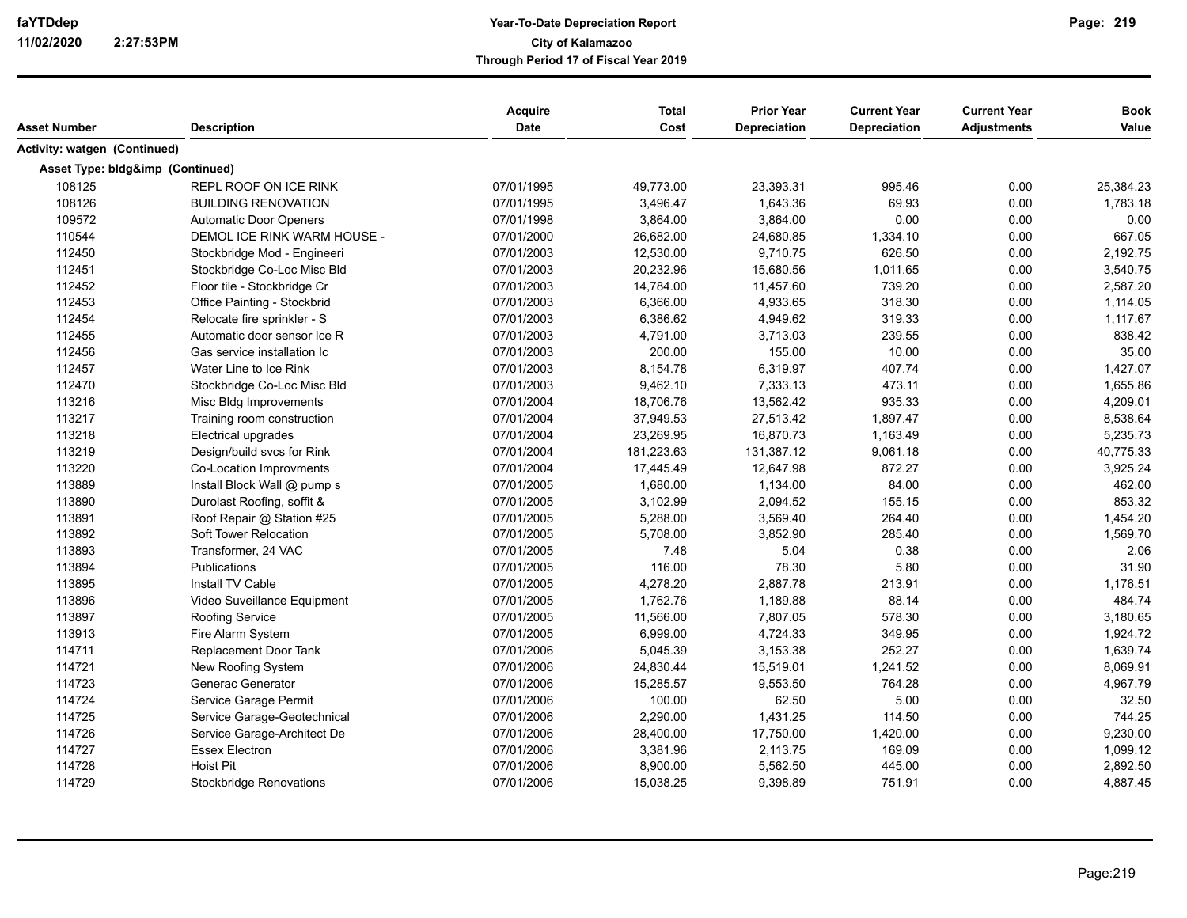| Asset Number                     |                                | Acquire<br>Date | <b>Total</b><br>Cost | <b>Prior Year</b><br><b>Depreciation</b> | <b>Current Year</b><br><b>Depreciation</b> | <b>Current Year</b> | <b>Book</b> |
|----------------------------------|--------------------------------|-----------------|----------------------|------------------------------------------|--------------------------------------------|---------------------|-------------|
|                                  | <b>Description</b>             |                 |                      |                                          |                                            | <b>Adjustments</b>  | Value       |
| Activity: watgen (Continued)     |                                |                 |                      |                                          |                                            |                     |             |
| Asset Type: bldg&imp (Continued) |                                |                 |                      |                                          |                                            |                     |             |
| 108125                           | REPL ROOF ON ICE RINK          | 07/01/1995      | 49,773.00            | 23,393.31                                | 995.46                                     | 0.00                | 25,384.23   |
| 108126                           | <b>BUILDING RENOVATION</b>     | 07/01/1995      | 3,496.47             | 1,643.36                                 | 69.93                                      | 0.00                | 1,783.18    |
| 109572                           | <b>Automatic Door Openers</b>  | 07/01/1998      | 3,864.00             | 3,864.00                                 | 0.00                                       | 0.00                | 0.00        |
| 110544                           | DEMOL ICE RINK WARM HOUSE -    | 07/01/2000      | 26,682.00            | 24,680.85                                | 1,334.10                                   | 0.00                | 667.05      |
| 112450                           | Stockbridge Mod - Engineeri    | 07/01/2003      | 12,530.00            | 9,710.75                                 | 626.50                                     | 0.00                | 2,192.75    |
| 112451                           | Stockbridge Co-Loc Misc Bld    | 07/01/2003      | 20,232.96            | 15,680.56                                | 1,011.65                                   | 0.00                | 3,540.75    |
| 112452                           | Floor tile - Stockbridge Cr    | 07/01/2003      | 14,784.00            | 11,457.60                                | 739.20                                     | 0.00                | 2,587.20    |
| 112453                           | Office Painting - Stockbrid    | 07/01/2003      | 6,366.00             | 4,933.65                                 | 318.30                                     | 0.00                | 1,114.05    |
| 112454                           | Relocate fire sprinkler - S    | 07/01/2003      | 6,386.62             | 4,949.62                                 | 319.33                                     | 0.00                | 1,117.67    |
| 112455                           | Automatic door sensor Ice R    | 07/01/2003      | 4,791.00             | 3,713.03                                 | 239.55                                     | 0.00                | 838.42      |
| 112456                           | Gas service installation Ic    | 07/01/2003      | 200.00               | 155.00                                   | 10.00                                      | 0.00                | 35.00       |
| 112457                           | Water Line to Ice Rink         | 07/01/2003      | 8,154.78             | 6,319.97                                 | 407.74                                     | 0.00                | 1,427.07    |
| 112470                           | Stockbridge Co-Loc Misc Bld    | 07/01/2003      | 9,462.10             | 7,333.13                                 | 473.11                                     | 0.00                | 1,655.86    |
| 113216                           | Misc Bldg Improvements         | 07/01/2004      | 18,706.76            | 13,562.42                                | 935.33                                     | 0.00                | 4,209.01    |
| 113217                           | Training room construction     | 07/01/2004      | 37,949.53            | 27,513.42                                | 1,897.47                                   | 0.00                | 8,538.64    |
| 113218                           | Electrical upgrades            | 07/01/2004      | 23,269.95            | 16,870.73                                | 1,163.49                                   | 0.00                | 5,235.73    |
| 113219                           | Design/build svcs for Rink     | 07/01/2004      | 181,223.63           | 131,387.12                               | 9,061.18                                   | 0.00                | 40,775.33   |
| 113220                           | Co-Location Improvments        | 07/01/2004      | 17,445.49            | 12,647.98                                | 872.27                                     | 0.00                | 3,925.24    |
| 113889                           | Install Block Wall @ pump s    | 07/01/2005      | 1,680.00             | 1,134.00                                 | 84.00                                      | 0.00                | 462.00      |
| 113890                           | Durolast Roofing, soffit &     | 07/01/2005      | 3,102.99             | 2,094.52                                 | 155.15                                     | 0.00                | 853.32      |
| 113891                           | Roof Repair @ Station #25      | 07/01/2005      | 5,288.00             | 3,569.40                                 | 264.40                                     | 0.00                | 1,454.20    |
| 113892                           | Soft Tower Relocation          | 07/01/2005      | 5,708.00             | 3,852.90                                 | 285.40                                     | 0.00                | 1,569.70    |
| 113893                           | Transformer, 24 VAC            | 07/01/2005      | 7.48                 | 5.04                                     | 0.38                                       | 0.00                | 2.06        |
| 113894                           | Publications                   | 07/01/2005      | 116.00               | 78.30                                    | 5.80                                       | 0.00                | 31.90       |
| 113895                           | Install TV Cable               | 07/01/2005      | 4,278.20             | 2,887.78                                 | 213.91                                     | 0.00                | 1,176.51    |
| 113896                           | Video Suveillance Equipment    | 07/01/2005      | 1,762.76             | 1,189.88                                 | 88.14                                      | 0.00                | 484.74      |
| 113897                           | <b>Roofing Service</b>         | 07/01/2005      | 11,566.00            | 7,807.05                                 | 578.30                                     | 0.00                | 3,180.65    |
| 113913                           | Fire Alarm System              | 07/01/2005      | 6,999.00             | 4,724.33                                 | 349.95                                     | 0.00                | 1,924.72    |
| 114711                           | Replacement Door Tank          | 07/01/2006      | 5,045.39             | 3,153.38                                 | 252.27                                     | 0.00                | 1,639.74    |
| 114721                           | New Roofing System             | 07/01/2006      | 24,830.44            | 15,519.01                                | 1,241.52                                   | 0.00                | 8,069.91    |
| 114723                           | Generac Generator              | 07/01/2006      | 15,285.57            | 9,553.50                                 | 764.28                                     | 0.00                | 4,967.79    |
| 114724                           | Service Garage Permit          | 07/01/2006      | 100.00               | 62.50                                    | 5.00                                       | 0.00                | 32.50       |
| 114725                           | Service Garage-Geotechnical    | 07/01/2006      | 2,290.00             | 1,431.25                                 | 114.50                                     | 0.00                | 744.25      |
| 114726                           | Service Garage-Architect De    | 07/01/2006      | 28,400.00            | 17,750.00                                | 1,420.00                                   | 0.00                | 9,230.00    |
| 114727                           | <b>Essex Electron</b>          | 07/01/2006      | 3,381.96             | 2,113.75                                 | 169.09                                     | 0.00                | 1,099.12    |
| 114728                           | <b>Hoist Pit</b>               | 07/01/2006      | 8,900.00             | 5,562.50                                 | 445.00                                     | 0.00                | 2,892.50    |
| 114729                           | <b>Stockbridge Renovations</b> | 07/01/2006      | 15,038.25            | 9,398.89                                 | 751.91                                     | 0.00                | 4,887.45    |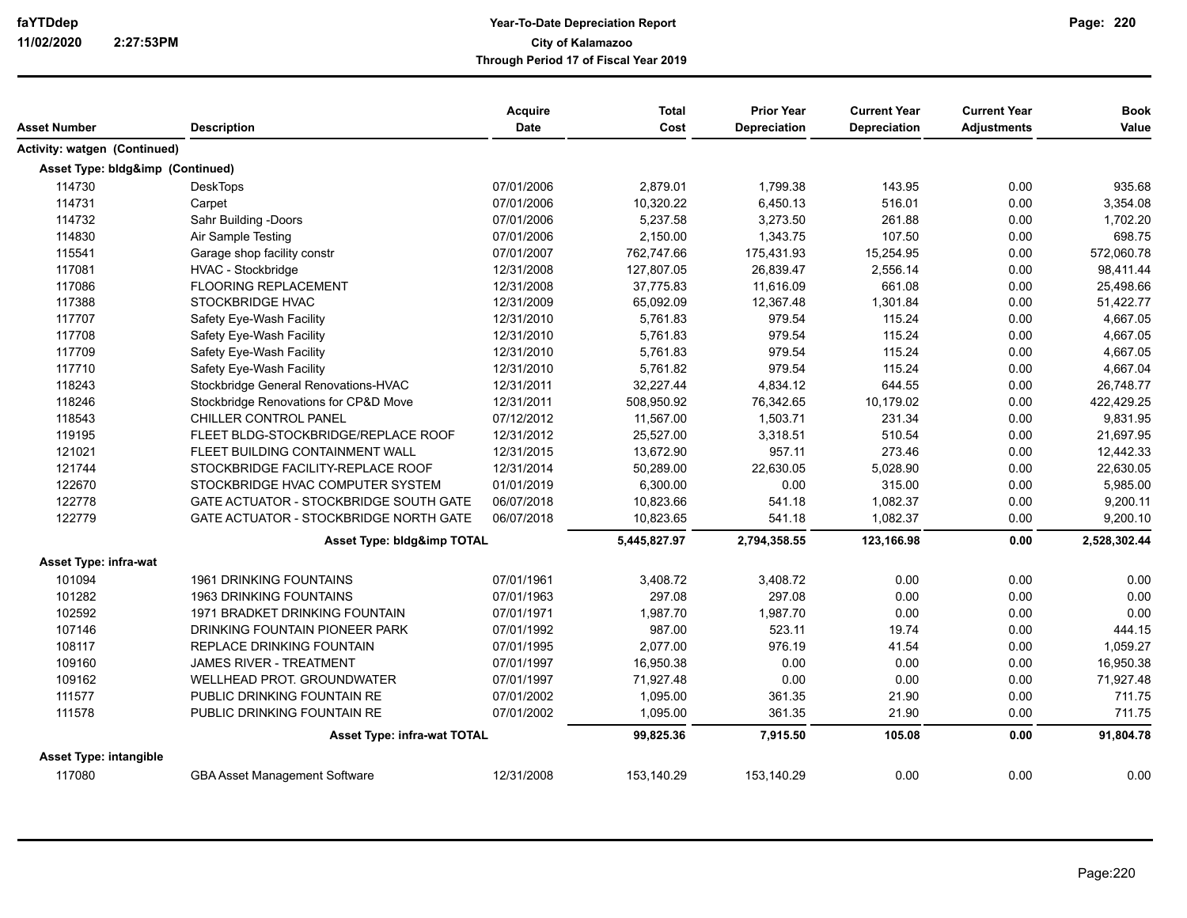| Asset Number                     | <b>Description</b>                            | Acquire<br>Date | <b>Total</b><br>Cost | <b>Prior Year</b><br><b>Depreciation</b> | <b>Current Year</b><br><b>Depreciation</b> | <b>Current Year</b><br><b>Adjustments</b> | <b>Book</b><br>Value |
|----------------------------------|-----------------------------------------------|-----------------|----------------------|------------------------------------------|--------------------------------------------|-------------------------------------------|----------------------|
| Activity: watgen (Continued)     |                                               |                 |                      |                                          |                                            |                                           |                      |
| Asset Type: bldg&imp (Continued) |                                               |                 |                      |                                          |                                            |                                           |                      |
| 114730                           | <b>DeskTops</b>                               | 07/01/2006      | 2,879.01             | 1,799.38                                 | 143.95                                     | 0.00                                      | 935.68               |
| 114731                           | Carpet                                        | 07/01/2006      | 10,320.22            | 6,450.13                                 | 516.01                                     | 0.00                                      | 3,354.08             |
| 114732                           | Sahr Building -Doors                          | 07/01/2006      | 5,237.58             | 3,273.50                                 | 261.88                                     | 0.00                                      | 1,702.20             |
| 114830                           | Air Sample Testing                            | 07/01/2006      | 2,150.00             | 1,343.75                                 | 107.50                                     | 0.00                                      | 698.75               |
| 115541                           | Garage shop facility constr                   | 07/01/2007      | 762,747.66           | 175,431.93                               | 15,254.95                                  | 0.00                                      | 572,060.78           |
| 117081                           | HVAC - Stockbridge                            | 12/31/2008      | 127,807.05           | 26,839.47                                | 2,556.14                                   | 0.00                                      | 98,411.44            |
|                                  |                                               |                 |                      |                                          |                                            |                                           |                      |
| 117086                           | <b>FLOORING REPLACEMENT</b>                   | 12/31/2008      | 37,775.83            | 11,616.09                                | 661.08                                     | 0.00                                      | 25,498.66            |
| 117388                           | STOCKBRIDGE HVAC                              | 12/31/2009      | 65,092.09            | 12,367.48                                | 1,301.84                                   | 0.00                                      | 51,422.77            |
| 117707                           | Safety Eye-Wash Facility                      | 12/31/2010      | 5,761.83             | 979.54                                   | 115.24                                     | 0.00                                      | 4,667.05             |
| 117708                           | Safety Eye-Wash Facility                      | 12/31/2010      | 5,761.83             | 979.54                                   | 115.24                                     | 0.00                                      | 4,667.05             |
| 117709                           | Safety Eye-Wash Facility                      | 12/31/2010      | 5,761.83             | 979.54                                   | 115.24                                     | 0.00                                      | 4,667.05             |
| 117710                           | Safety Eye-Wash Facility                      | 12/31/2010      | 5,761.82             | 979.54                                   | 115.24                                     | 0.00                                      | 4,667.04             |
| 118243                           | Stockbridge General Renovations-HVAC          | 12/31/2011      | 32,227.44            | 4,834.12                                 | 644.55                                     | 0.00                                      | 26,748.77            |
| 118246                           | Stockbridge Renovations for CP&D Move         | 12/31/2011      | 508,950.92           | 76,342.65                                | 10,179.02                                  | 0.00                                      | 422,429.25           |
| 118543                           | CHILLER CONTROL PANEL                         | 07/12/2012      | 11,567.00            | 1,503.71                                 | 231.34                                     | 0.00                                      | 9,831.95             |
| 119195                           | FLEET BLDG-STOCKBRIDGE/REPLACE ROOF           | 12/31/2012      | 25,527.00            | 3,318.51                                 | 510.54                                     | 0.00                                      | 21,697.95            |
| 121021                           | FLEET BUILDING CONTAINMENT WALL               | 12/31/2015      | 13,672.90            | 957.11                                   | 273.46                                     | 0.00                                      | 12,442.33            |
| 121744                           | STOCKBRIDGE FACILITY-REPLACE ROOF             | 12/31/2014      | 50,289.00            | 22,630.05                                | 5,028.90                                   | 0.00                                      | 22,630.05            |
| 122670                           | STOCKBRIDGE HVAC COMPUTER SYSTEM              | 01/01/2019      | 6,300.00             | 0.00                                     | 315.00                                     | 0.00                                      | 5,985.00             |
| 122778                           | <b>GATE ACTUATOR - STOCKBRIDGE SOUTH GATE</b> | 06/07/2018      | 10,823.66            | 541.18                                   | 1,082.37                                   | 0.00                                      | 9,200.11             |
| 122779                           | <b>GATE ACTUATOR - STOCKBRIDGE NORTH GATE</b> | 06/07/2018      | 10,823.65            | 541.18                                   | 1,082.37                                   | 0.00                                      | 9,200.10             |
|                                  | Asset Type: bldg&imp TOTAL                    |                 | 5,445,827.97         | 2,794,358.55                             | 123,166.98                                 | $0.00\,$                                  | 2,528,302.44         |
| Asset Type: infra-wat            |                                               |                 |                      |                                          |                                            |                                           |                      |
| 101094                           | <b>1961 DRINKING FOUNTAINS</b>                | 07/01/1961      | 3,408.72             | 3,408.72                                 | 0.00                                       | 0.00                                      | 0.00                 |
| 101282                           | <b>1963 DRINKING FOUNTAINS</b>                | 07/01/1963      | 297.08               | 297.08                                   | 0.00                                       | 0.00                                      | 0.00                 |
| 102592                           | 1971 BRADKET DRINKING FOUNTAIN                | 07/01/1971      | 1,987.70             | 1,987.70                                 | 0.00                                       | 0.00                                      | 0.00                 |
| 107146                           | DRINKING FOUNTAIN PIONEER PARK                | 07/01/1992      | 987.00               | 523.11                                   | 19.74                                      | 0.00                                      | 444.15               |
| 108117                           | REPLACE DRINKING FOUNTAIN                     | 07/01/1995      | 2,077.00             | 976.19                                   | 41.54                                      | 0.00                                      | 1,059.27             |
| 109160                           | JAMES RIVER - TREATMENT                       | 07/01/1997      | 16,950.38            | 0.00                                     | 0.00                                       | 0.00                                      | 16,950.38            |
| 109162                           | WELLHEAD PROT. GROUNDWATER                    | 07/01/1997      | 71,927.48            | 0.00                                     | 0.00                                       | 0.00                                      | 71,927.48            |
| 111577                           | PUBLIC DRINKING FOUNTAIN RE                   | 07/01/2002      | 1,095.00             | 361.35                                   | 21.90                                      | 0.00                                      | 711.75               |
| 111578                           | PUBLIC DRINKING FOUNTAIN RE                   | 07/01/2002      | 1,095.00             | 361.35                                   | 21.90                                      | 0.00                                      | 711.75               |
|                                  | Asset Type: infra-wat TOTAL                   |                 | 99,825.36            | 7,915.50                                 | 105.08                                     | 0.00                                      | 91,804.78            |
| <b>Asset Type: intangible</b>    |                                               |                 |                      |                                          |                                            |                                           |                      |
| 117080                           | <b>GBA Asset Management Software</b>          | 12/31/2008      | 153,140.29           | 153,140.29                               | 0.00                                       | 0.00                                      | 0.00                 |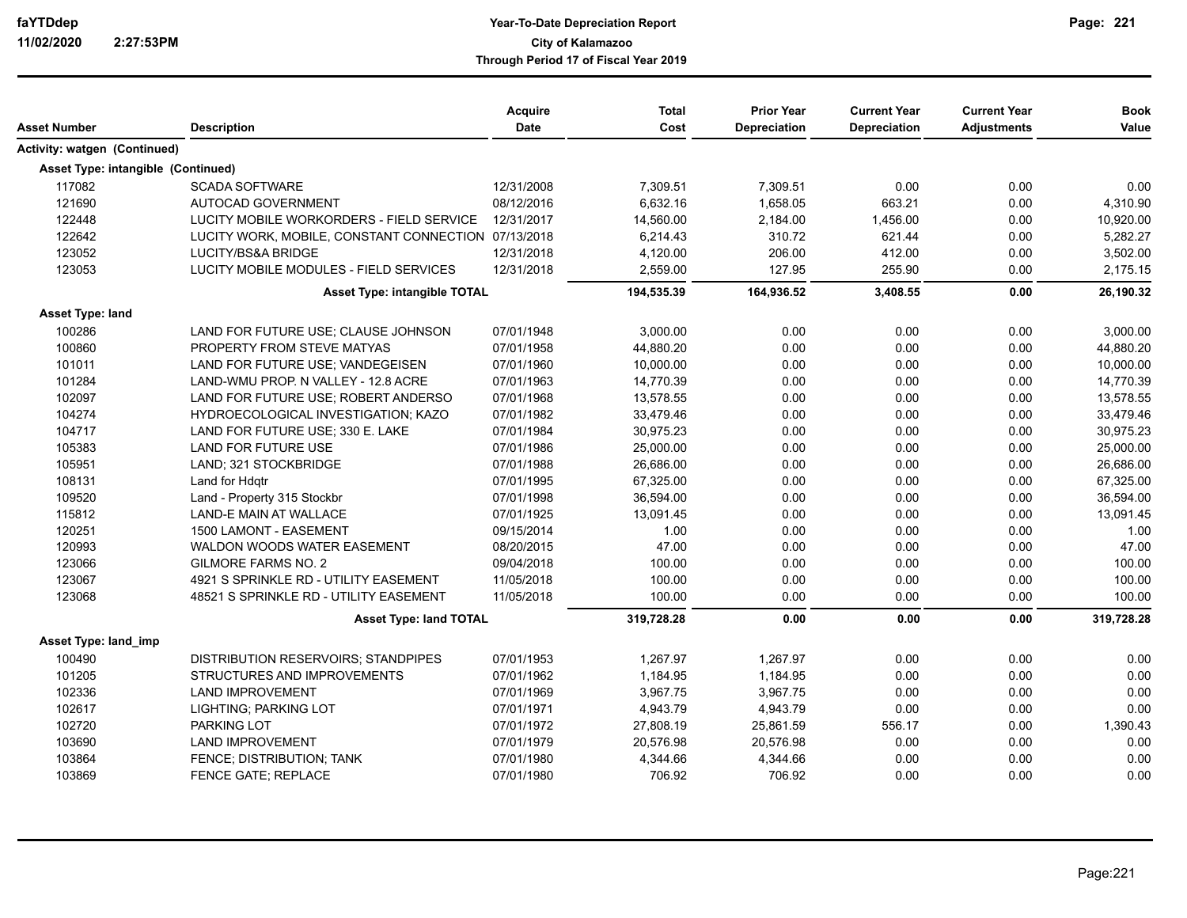# **Year-To-Date Depreciation Report faYTDdep Page: City of Kalamazoo Through Period 17 of Fiscal Year 2019**

| Asset Number                       | <b>Description</b>                                  | Acquire<br><b>Date</b> | <b>Total</b><br>Cost | <b>Prior Year</b><br><b>Depreciation</b> | <b>Current Year</b><br><b>Depreciation</b> | <b>Current Year</b><br><b>Adjustments</b> | <b>Book</b><br>Value |
|------------------------------------|-----------------------------------------------------|------------------------|----------------------|------------------------------------------|--------------------------------------------|-------------------------------------------|----------------------|
| Activity: watgen (Continued)       |                                                     |                        |                      |                                          |                                            |                                           |                      |
| Asset Type: intangible (Continued) |                                                     |                        |                      |                                          |                                            |                                           |                      |
|                                    |                                                     |                        |                      |                                          |                                            |                                           |                      |
| 117082<br>121690                   | <b>SCADA SOFTWARE</b>                               | 12/31/2008             | 7,309.51             | 7.309.51                                 | 0.00                                       | 0.00                                      | 0.00                 |
|                                    | AUTOCAD GOVERNMENT                                  | 08/12/2016             | 6,632.16             | 1.658.05                                 | 663.21                                     | 0.00                                      | 4,310.90             |
| 122448                             | LUCITY MOBILE WORKORDERS - FIELD SERVICE            | 12/31/2017             | 14,560.00            | 2,184.00                                 | 1,456.00                                   | 0.00                                      | 10,920.00            |
| 122642                             | LUCITY WORK, MOBILE, CONSTANT CONNECTION 07/13/2018 |                        | 6,214.43             | 310.72                                   | 621.44                                     | 0.00                                      | 5,282.27             |
| 123052                             | LUCITY/BS&A BRIDGE                                  | 12/31/2018             | 4,120.00             | 206.00                                   | 412.00                                     | 0.00                                      | 3,502.00             |
| 123053                             | LUCITY MOBILE MODULES - FIELD SERVICES              | 12/31/2018             | 2,559.00             | 127.95                                   | 255.90                                     | 0.00                                      | 2,175.15             |
|                                    | <b>Asset Type: intangible TOTAL</b>                 |                        | 194,535.39           | 164,936.52                               | 3,408.55                                   | 0.00                                      | 26,190.32            |
| Asset Type: land                   |                                                     |                        |                      |                                          |                                            |                                           |                      |
| 100286                             | LAND FOR FUTURE USE; CLAUSE JOHNSON                 | 07/01/1948             | 3,000.00             | 0.00                                     | 0.00                                       | 0.00                                      | 3,000.00             |
| 100860                             | PROPERTY FROM STEVE MATYAS                          | 07/01/1958             | 44,880.20            | 0.00                                     | 0.00                                       | 0.00                                      | 44,880.20            |
| 101011                             | LAND FOR FUTURE USE; VANDEGEISEN                    | 07/01/1960             | 10,000.00            | 0.00                                     | 0.00                                       | 0.00                                      | 10,000.00            |
| 101284                             | LAND-WMU PROP. N VALLEY - 12.8 ACRE                 | 07/01/1963             | 14,770.39            | 0.00                                     | 0.00                                       | 0.00                                      | 14,770.39            |
| 102097                             | LAND FOR FUTURE USE; ROBERT ANDERSO                 | 07/01/1968             | 13,578.55            | 0.00                                     | 0.00                                       | 0.00                                      | 13,578.55            |
| 104274                             | HYDROECOLOGICAL INVESTIGATION; KAZO                 | 07/01/1982             | 33,479.46            | 0.00                                     | 0.00                                       | 0.00                                      | 33,479.46            |
| 104717                             | LAND FOR FUTURE USE; 330 E. LAKE                    | 07/01/1984             | 30,975.23            | 0.00                                     | 0.00                                       | 0.00                                      | 30,975.23            |
| 105383                             | LAND FOR FUTURE USE                                 | 07/01/1986             | 25,000.00            | 0.00                                     | 0.00                                       | 0.00                                      | 25,000.00            |
| 105951                             | LAND; 321 STOCKBRIDGE                               | 07/01/1988             | 26,686.00            | 0.00                                     | 0.00                                       | 0.00                                      | 26,686.00            |
| 108131                             | Land for Hdgtr                                      | 07/01/1995             | 67,325.00            | 0.00                                     | 0.00                                       | 0.00                                      | 67,325.00            |
| 109520                             | Land - Property 315 Stockbr                         | 07/01/1998             | 36,594.00            | 0.00                                     | 0.00                                       | 0.00                                      | 36,594.00            |
| 115812                             | LAND-E MAIN AT WALLACE                              | 07/01/1925             | 13,091.45            | 0.00                                     | 0.00                                       | 0.00                                      | 13,091.45            |
| 120251                             | 1500 LAMONT - EASEMENT                              | 09/15/2014             | 1.00                 | 0.00                                     | 0.00                                       | 0.00                                      | 1.00                 |
| 120993                             | WALDON WOODS WATER EASEMENT                         | 08/20/2015             | 47.00                | 0.00                                     | 0.00                                       | 0.00                                      | 47.00                |
| 123066                             | <b>GILMORE FARMS NO. 2</b>                          | 09/04/2018             | 100.00               | 0.00                                     | 0.00                                       | 0.00                                      | 100.00               |
| 123067                             | 4921 S SPRINKLE RD - UTILITY EASEMENT               | 11/05/2018             | 100.00               | 0.00                                     | 0.00                                       | 0.00                                      | 100.00               |
| 123068                             | 48521 S SPRINKLE RD - UTILITY EASEMENT              | 11/05/2018             | 100.00               | 0.00                                     | 0.00                                       | 0.00                                      | 100.00               |
|                                    | <b>Asset Type: land TOTAL</b>                       |                        | 319,728.28           | 0.00                                     | 0.00                                       | 0.00                                      | 319,728.28           |
| Asset Type: land imp               |                                                     |                        |                      |                                          |                                            |                                           |                      |
| 100490                             | <b>DISTRIBUTION RESERVOIRS; STANDPIPES</b>          | 07/01/1953             | 1,267.97             | 1,267.97                                 | 0.00                                       | 0.00                                      | 0.00                 |
| 101205                             | STRUCTURES AND IMPROVEMENTS                         | 07/01/1962             | 1,184.95             | 1,184.95                                 | 0.00                                       | 0.00                                      | 0.00                 |
| 102336                             | <b>LAND IMPROVEMENT</b>                             | 07/01/1969             | 3,967.75             | 3,967.75                                 | 0.00                                       | 0.00                                      | 0.00                 |
| 102617                             | LIGHTING; PARKING LOT                               | 07/01/1971             | 4,943.79             | 4,943.79                                 | 0.00                                       | 0.00                                      | 0.00                 |
| 102720                             | PARKING LOT                                         | 07/01/1972             | 27,808.19            | 25,861.59                                | 556.17                                     | 0.00                                      | 1,390.43             |
| 103690                             | <b>LAND IMPROVEMENT</b>                             | 07/01/1979             | 20,576.98            | 20,576.98                                | 0.00                                       | 0.00                                      | 0.00                 |
| 103864                             | FENCE; DISTRIBUTION; TANK                           | 07/01/1980             | 4,344.66             | 4,344.66                                 | 0.00                                       | 0.00                                      | 0.00                 |
| 103869                             | <b>FENCE GATE: REPLACE</b>                          | 07/01/1980             | 706.92               | 706.92                                   | 0.00                                       | 0.00                                      | 0.00                 |

**221**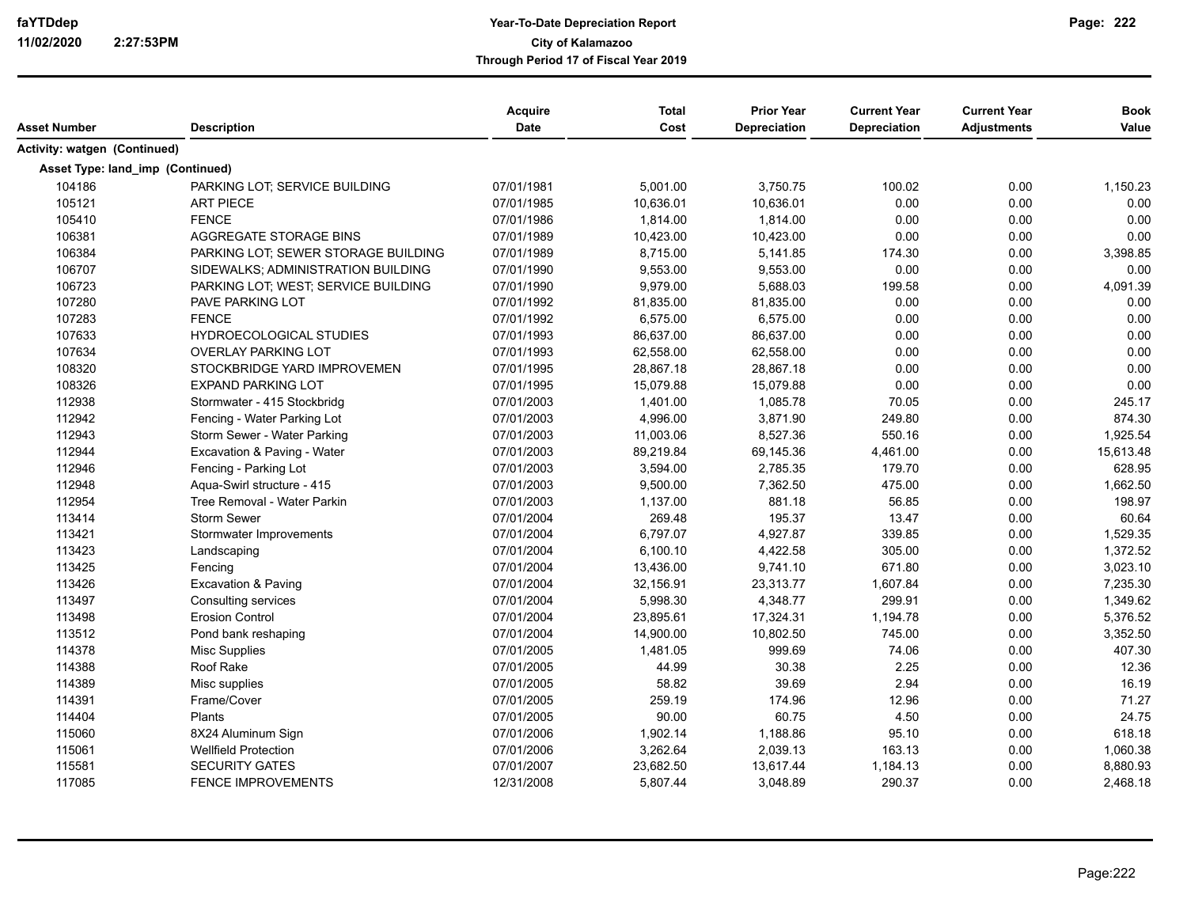| Asset Number                     | <b>Description</b>                  | Acquire<br><b>Date</b> | <b>Total</b><br>Cost | <b>Prior Year</b><br><b>Depreciation</b> | <b>Current Year</b><br>Depreciation | <b>Current Year</b><br><b>Adjustments</b> | <b>Book</b><br>Value |
|----------------------------------|-------------------------------------|------------------------|----------------------|------------------------------------------|-------------------------------------|-------------------------------------------|----------------------|
|                                  |                                     |                        |                      |                                          |                                     |                                           |                      |
| Activity: watgen (Continued)     |                                     |                        |                      |                                          |                                     |                                           |                      |
| Asset Type: land_imp (Continued) |                                     |                        |                      |                                          |                                     |                                           |                      |
| 104186                           | PARKING LOT; SERVICE BUILDING       | 07/01/1981             | 5,001.00             | 3,750.75                                 | 100.02                              | 0.00                                      | 1,150.23             |
| 105121                           | <b>ART PIECE</b>                    | 07/01/1985             | 10,636.01            | 10,636.01                                | 0.00                                | 0.00                                      | 0.00                 |
| 105410                           | <b>FENCE</b>                        | 07/01/1986             | 1,814.00             | 1,814.00                                 | 0.00                                | 0.00                                      | 0.00                 |
| 106381                           | AGGREGATE STORAGE BINS              | 07/01/1989             | 10,423.00            | 10,423.00                                | 0.00                                | 0.00                                      | 0.00                 |
| 106384                           | PARKING LOT; SEWER STORAGE BUILDING | 07/01/1989             | 8,715.00             | 5,141.85                                 | 174.30                              | 0.00                                      | 3,398.85             |
| 106707                           | SIDEWALKS; ADMINISTRATION BUILDING  | 07/01/1990             | 9,553.00             | 9,553.00                                 | 0.00                                | 0.00                                      | 0.00                 |
| 106723                           | PARKING LOT; WEST; SERVICE BUILDING | 07/01/1990             | 9,979.00             | 5,688.03                                 | 199.58                              | 0.00                                      | 4,091.39             |
| 107280                           | <b>PAVE PARKING LOT</b>             | 07/01/1992             | 81,835.00            | 81,835.00                                | 0.00                                | 0.00                                      | 0.00                 |
| 107283                           | <b>FENCE</b>                        | 07/01/1992             | 6,575.00             | 6,575.00                                 | 0.00                                | 0.00                                      | 0.00                 |
| 107633                           | <b>HYDROECOLOGICAL STUDIES</b>      | 07/01/1993             | 86,637.00            | 86,637.00                                | 0.00                                | 0.00                                      | 0.00                 |
| 107634                           | <b>OVERLAY PARKING LOT</b>          | 07/01/1993             | 62,558.00            | 62,558.00                                | 0.00                                | 0.00                                      | 0.00                 |
| 108320                           | STOCKBRIDGE YARD IMPROVEMEN         | 07/01/1995             | 28,867.18            | 28,867.18                                | 0.00                                | 0.00                                      | 0.00                 |
| 108326                           | <b>EXPAND PARKING LOT</b>           | 07/01/1995             | 15,079.88            | 15,079.88                                | 0.00                                | 0.00                                      | 0.00                 |
| 112938                           | Stormwater - 415 Stockbridg         | 07/01/2003             | 1,401.00             | 1,085.78                                 | 70.05                               | 0.00                                      | 245.17               |
| 112942                           | Fencing - Water Parking Lot         | 07/01/2003             | 4,996.00             | 3,871.90                                 | 249.80                              | 0.00                                      | 874.30               |
| 112943                           | Storm Sewer - Water Parking         | 07/01/2003             | 11,003.06            | 8,527.36                                 | 550.16                              | 0.00                                      | 1,925.54             |
| 112944                           | Excavation & Paving - Water         | 07/01/2003             | 89,219.84            | 69,145.36                                | 4,461.00                            | 0.00                                      | 15,613.48            |
| 112946                           | Fencing - Parking Lot               | 07/01/2003             | 3,594.00             | 2,785.35                                 | 179.70                              | 0.00                                      | 628.95               |
| 112948                           | Aqua-Swirl structure - 415          | 07/01/2003             | 9,500.00             | 7,362.50                                 | 475.00                              | 0.00                                      | 1,662.50             |
| 112954                           | Tree Removal - Water Parkin         | 07/01/2003             | 1,137.00             | 881.18                                   | 56.85                               | 0.00                                      | 198.97               |
| 113414                           | <b>Storm Sewer</b>                  | 07/01/2004             | 269.48               | 195.37                                   | 13.47                               | 0.00                                      | 60.64                |
| 113421                           | Stormwater Improvements             | 07/01/2004             | 6,797.07             | 4,927.87                                 | 339.85                              | 0.00                                      | 1,529.35             |
| 113423                           | Landscaping                         | 07/01/2004             | 6,100.10             | 4,422.58                                 | 305.00                              | 0.00                                      | 1,372.52             |
| 113425                           | Fencing                             | 07/01/2004             | 13,436.00            | 9,741.10                                 | 671.80                              | 0.00                                      | 3,023.10             |
| 113426                           | Excavation & Paving                 | 07/01/2004             | 32,156.91            | 23,313.77                                | 1,607.84                            | 0.00                                      | 7,235.30             |
| 113497                           | Consulting services                 | 07/01/2004             | 5,998.30             | 4,348.77                                 | 299.91                              | 0.00                                      | 1,349.62             |
| 113498                           | <b>Erosion Control</b>              | 07/01/2004             | 23,895.61            | 17,324.31                                | 1,194.78                            | 0.00                                      | 5,376.52             |
| 113512                           | Pond bank reshaping                 | 07/01/2004             | 14,900.00            | 10,802.50                                | 745.00                              | 0.00                                      | 3,352.50             |
| 114378                           | <b>Misc Supplies</b>                | 07/01/2005             | 1,481.05             | 999.69                                   | 74.06                               | 0.00                                      | 407.30               |
| 114388                           | Roof Rake                           | 07/01/2005             | 44.99                | 30.38                                    | 2.25                                | 0.00                                      | 12.36                |
| 114389                           | Misc supplies                       | 07/01/2005             | 58.82                | 39.69                                    | 2.94                                | 0.00                                      | 16.19                |
| 114391                           | Frame/Cover                         | 07/01/2005             | 259.19               | 174.96                                   | 12.96                               | 0.00                                      | 71.27                |
| 114404                           | Plants                              | 07/01/2005             | 90.00                | 60.75                                    | 4.50                                | 0.00                                      | 24.75                |
| 115060                           | 8X24 Aluminum Sign                  | 07/01/2006             | 1,902.14             | 1,188.86                                 | 95.10                               | 0.00                                      | 618.18               |
| 115061                           | <b>Wellfield Protection</b>         | 07/01/2006             | 3,262.64             | 2,039.13                                 | 163.13                              | 0.00                                      | 1,060.38             |
| 115581                           | <b>SECURITY GATES</b>               | 07/01/2007             | 23,682.50            | 13,617.44                                | 1,184.13                            | 0.00                                      | 8,880.93             |
| 117085                           | <b>FENCE IMPROVEMENTS</b>           | 12/31/2008             | 5,807.44             | 3,048.89                                 | 290.37                              | 0.00                                      | 2,468.18             |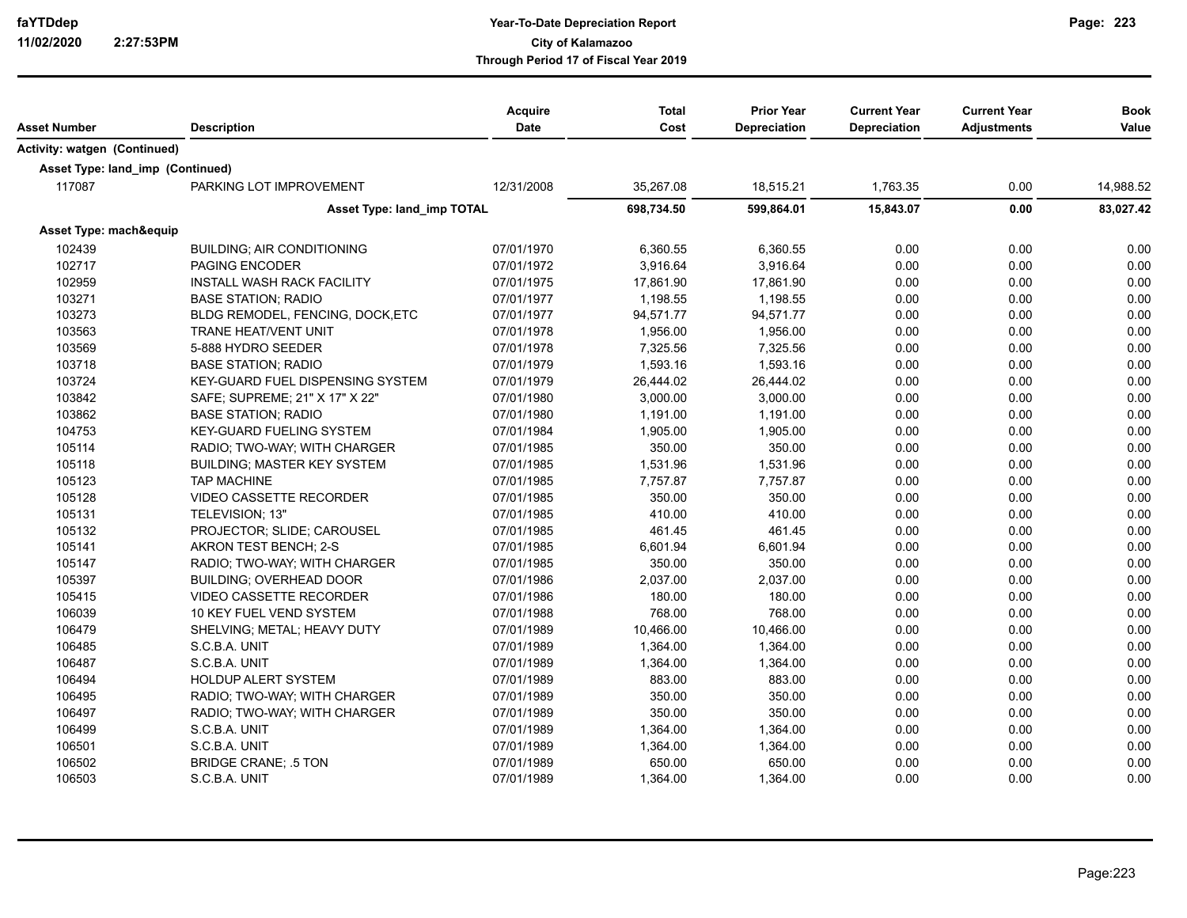| Asset Number                     | <b>Description</b>                      | <b>Acquire</b><br><b>Date</b> | <b>Total</b><br>Cost | <b>Prior Year</b><br><b>Depreciation</b> | <b>Current Year</b><br><b>Depreciation</b> | <b>Current Year</b><br><b>Adjustments</b> | <b>Book</b><br>Value |
|----------------------------------|-----------------------------------------|-------------------------------|----------------------|------------------------------------------|--------------------------------------------|-------------------------------------------|----------------------|
| Activity: watgen (Continued)     |                                         |                               |                      |                                          |                                            |                                           |                      |
| Asset Type: land_imp (Continued) |                                         |                               |                      |                                          |                                            |                                           |                      |
| 117087                           | PARKING LOT IMPROVEMENT                 | 12/31/2008                    | 35,267.08            | 18,515.21                                | 1,763.35                                   | 0.00                                      | 14,988.52            |
|                                  | Asset Type: land_imp TOTAL              |                               | 698,734.50           | 599,864.01                               | 15,843.07                                  | 0.00                                      | 83,027.42            |
| Asset Type: mach&equip           |                                         |                               |                      |                                          |                                            |                                           |                      |
| 102439                           | <b>BUILDING; AIR CONDITIONING</b>       | 07/01/1970                    | 6,360.55             | 6,360.55                                 | 0.00                                       | 0.00                                      | 0.00                 |
| 102717                           | <b>PAGING ENCODER</b>                   | 07/01/1972                    | 3,916.64             | 3,916.64                                 | 0.00                                       | 0.00                                      | 0.00                 |
| 102959                           | <b>INSTALL WASH RACK FACILITY</b>       | 07/01/1975                    | 17,861.90            | 17,861.90                                | 0.00                                       | 0.00                                      | 0.00                 |
| 103271                           | <b>BASE STATION; RADIO</b>              | 07/01/1977                    | 1,198.55             | 1,198.55                                 | 0.00                                       | 0.00                                      | 0.00                 |
| 103273                           | BLDG REMODEL, FENCING, DOCK, ETC        | 07/01/1977                    | 94,571.77            | 94,571.77                                | 0.00                                       | 0.00                                      | 0.00                 |
| 103563                           | <b>TRANE HEAT/VENT UNIT</b>             | 07/01/1978                    | 1,956.00             | 1,956.00                                 | 0.00                                       | 0.00                                      | 0.00                 |
| 103569                           | 5-888 HYDRO SEEDER                      | 07/01/1978                    | 7,325.56             | 7,325.56                                 | 0.00                                       | 0.00                                      | 0.00                 |
| 103718                           | <b>BASE STATION: RADIO</b>              | 07/01/1979                    | 1,593.16             | 1,593.16                                 | 0.00                                       | 0.00                                      | 0.00                 |
| 103724                           | <b>KEY-GUARD FUEL DISPENSING SYSTEM</b> | 07/01/1979                    | 26,444.02            | 26,444.02                                | 0.00                                       | 0.00                                      | 0.00                 |
| 103842                           | SAFE; SUPREME; 21" X 17" X 22"          | 07/01/1980                    | 3,000.00             | 3,000.00                                 | 0.00                                       | 0.00                                      | 0.00                 |
| 103862                           | <b>BASE STATION; RADIO</b>              | 07/01/1980                    | 1.191.00             | 1.191.00                                 | 0.00                                       | 0.00                                      | 0.00                 |
| 104753                           | KEY-GUARD FUELING SYSTEM                | 07/01/1984                    | 1,905.00             | 1,905.00                                 | 0.00                                       | 0.00                                      | 0.00                 |
| 105114                           | RADIO; TWO-WAY; WITH CHARGER            | 07/01/1985                    | 350.00               | 350.00                                   | 0.00                                       | 0.00                                      | 0.00                 |
| 105118                           | BUILDING; MASTER KEY SYSTEM             | 07/01/1985                    | 1,531.96             | 1,531.96                                 | 0.00                                       | 0.00                                      | 0.00                 |
| 105123                           | <b>TAP MACHINE</b>                      | 07/01/1985                    | 7,757.87             | 7,757.87                                 | 0.00                                       | 0.00                                      | 0.00                 |
| 105128                           | VIDEO CASSETTE RECORDER                 | 07/01/1985                    | 350.00               | 350.00                                   | 0.00                                       | 0.00                                      | 0.00                 |
| 105131                           | TELEVISION; 13"                         | 07/01/1985                    | 410.00               | 410.00                                   | 0.00                                       | 0.00                                      | 0.00                 |
| 105132                           | PROJECTOR; SLIDE; CAROUSEL              | 07/01/1985                    | 461.45               | 461.45                                   | 0.00                                       | 0.00                                      | 0.00                 |
| 105141                           | AKRON TEST BENCH; 2-S                   | 07/01/1985                    | 6,601.94             | 6,601.94                                 | 0.00                                       | 0.00                                      | 0.00                 |
| 105147                           | RADIO; TWO-WAY; WITH CHARGER            | 07/01/1985                    | 350.00               | 350.00                                   | 0.00                                       | 0.00                                      | 0.00                 |
| 105397                           | <b>BUILDING: OVERHEAD DOOR</b>          | 07/01/1986                    | 2,037.00             | 2,037.00                                 | 0.00                                       | 0.00                                      | 0.00                 |
| 105415                           | <b>VIDEO CASSETTE RECORDER</b>          | 07/01/1986                    | 180.00               | 180.00                                   | 0.00                                       | 0.00                                      | 0.00                 |
| 106039                           | 10 KEY FUEL VEND SYSTEM                 | 07/01/1988                    | 768.00               | 768.00                                   | 0.00                                       | 0.00                                      | 0.00                 |
| 106479                           | SHELVING; METAL; HEAVY DUTY             | 07/01/1989                    | 10,466.00            | 10.466.00                                | 0.00                                       | 0.00                                      | 0.00                 |
| 106485                           | S.C.B.A. UNIT                           | 07/01/1989                    | 1,364.00             | 1,364.00                                 | 0.00                                       | 0.00                                      | 0.00                 |
| 106487                           | S.C.B.A. UNIT                           | 07/01/1989                    | 1,364.00             | 1,364.00                                 | 0.00                                       | 0.00                                      | 0.00                 |
| 106494                           | <b>HOLDUP ALERT SYSTEM</b>              | 07/01/1989                    | 883.00               | 883.00                                   | 0.00                                       | 0.00                                      | 0.00                 |
| 106495                           | RADIO; TWO-WAY; WITH CHARGER            | 07/01/1989                    | 350.00               | 350.00                                   | 0.00                                       | 0.00                                      | 0.00                 |
| 106497                           | RADIO; TWO-WAY; WITH CHARGER            | 07/01/1989                    | 350.00               | 350.00                                   | 0.00                                       | 0.00                                      | 0.00                 |
| 106499                           | S.C.B.A. UNIT                           | 07/01/1989                    | 1,364.00             | 1,364.00                                 | 0.00                                       | 0.00                                      | 0.00                 |
| 106501                           | S.C.B.A. UNIT                           | 07/01/1989                    | 1,364.00             | 1,364.00                                 | 0.00                                       | 0.00                                      | 0.00                 |
| 106502                           | <b>BRIDGE CRANE; .5 TON</b>             | 07/01/1989                    | 650.00               | 650.00                                   | 0.00                                       | 0.00                                      | 0.00                 |
| 106503                           | S.C.B.A. UNIT                           | 07/01/1989                    | 1,364.00             | 1,364.00                                 | 0.00                                       | 0.00                                      | 0.00                 |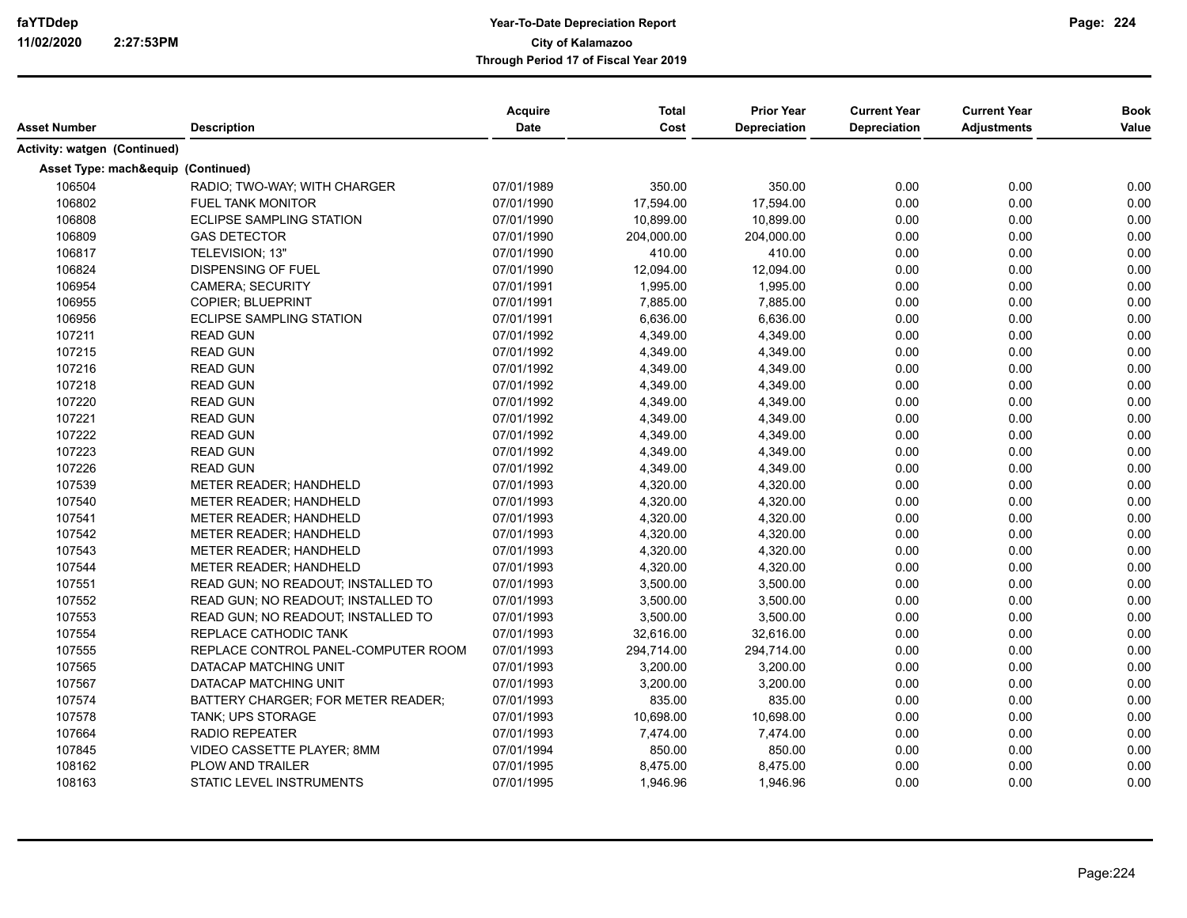| Asset Number                       | <b>Description</b>                  | <b>Acquire</b><br>Date | <b>Total</b><br>Cost | <b>Prior Year</b><br>Depreciation | <b>Current Year</b><br><b>Depreciation</b> | <b>Current Year</b><br><b>Adjustments</b> | <b>Book</b><br>Value |
|------------------------------------|-------------------------------------|------------------------|----------------------|-----------------------------------|--------------------------------------------|-------------------------------------------|----------------------|
| Activity: watgen (Continued)       |                                     |                        |                      |                                   |                                            |                                           |                      |
| Asset Type: mach&equip (Continued) |                                     |                        |                      |                                   |                                            |                                           |                      |
| 106504                             | RADIO; TWO-WAY; WITH CHARGER        | 07/01/1989             | 350.00               | 350.00                            | 0.00                                       | 0.00                                      | 0.00                 |
| 106802                             | <b>FUEL TANK MONITOR</b>            | 07/01/1990             | 17,594.00            | 17,594.00                         | 0.00                                       | 0.00                                      | 0.00                 |
| 106808                             | <b>ECLIPSE SAMPLING STATION</b>     | 07/01/1990             | 10,899.00            | 10,899.00                         | 0.00                                       | 0.00                                      | 0.00                 |
| 106809                             | <b>GAS DETECTOR</b>                 | 07/01/1990             | 204,000.00           | 204,000.00                        | 0.00                                       | 0.00                                      | 0.00                 |
| 106817                             | TELEVISION; 13"                     | 07/01/1990             | 410.00               | 410.00                            | 0.00                                       | 0.00                                      | 0.00                 |
| 106824                             | DISPENSING OF FUEL                  | 07/01/1990             | 12,094.00            | 12,094.00                         | 0.00                                       | 0.00                                      | 0.00                 |
| 106954                             | <b>CAMERA: SECURITY</b>             | 07/01/1991             | 1,995.00             | 1,995.00                          | 0.00                                       | 0.00                                      | 0.00                 |
| 106955                             | <b>COPIER: BLUEPRINT</b>            | 07/01/1991             | 7,885.00             | 7,885.00                          | 0.00                                       | 0.00                                      | 0.00                 |
| 106956                             | <b>ECLIPSE SAMPLING STATION</b>     | 07/01/1991             | 6,636.00             | 6,636.00                          | 0.00                                       | 0.00                                      | 0.00                 |
| 107211                             | <b>READ GUN</b>                     | 07/01/1992             | 4,349.00             | 4,349.00                          | 0.00                                       | 0.00                                      | 0.00                 |
| 107215                             | <b>READ GUN</b>                     | 07/01/1992             | 4,349.00             | 4,349.00                          | 0.00                                       | 0.00                                      | 0.00                 |
| 107216                             | <b>READ GUN</b>                     | 07/01/1992             | 4,349.00             | 4,349.00                          | 0.00                                       | 0.00                                      | 0.00                 |
| 107218                             | <b>READ GUN</b>                     | 07/01/1992             | 4,349.00             | 4,349.00                          | 0.00                                       | 0.00                                      | 0.00                 |
| 107220                             | <b>READ GUN</b>                     | 07/01/1992             | 4,349.00             | 4,349.00                          | 0.00                                       | 0.00                                      | 0.00                 |
| 107221                             | <b>READ GUN</b>                     | 07/01/1992             | 4,349.00             | 4,349.00                          | 0.00                                       | 0.00                                      | 0.00                 |
| 107222                             | <b>READ GUN</b>                     | 07/01/1992             | 4,349.00             | 4,349.00                          | 0.00                                       | 0.00                                      | 0.00                 |
| 107223                             | <b>READ GUN</b>                     | 07/01/1992             | 4,349.00             | 4,349.00                          | 0.00                                       | 0.00                                      | 0.00                 |
| 107226                             | <b>READ GUN</b>                     | 07/01/1992             | 4,349.00             | 4,349.00                          | 0.00                                       | 0.00                                      | 0.00                 |
| 107539                             | METER READER; HANDHELD              | 07/01/1993             | 4,320.00             | 4,320.00                          | 0.00                                       | 0.00                                      | 0.00                 |
| 107540                             | <b>METER READER: HANDHELD</b>       | 07/01/1993             | 4,320.00             | 4,320.00                          | 0.00                                       | 0.00                                      | 0.00                 |
| 107541                             | <b>METER READER: HANDHELD</b>       | 07/01/1993             | 4,320.00             | 4,320.00                          | 0.00                                       | 0.00                                      | 0.00                 |
| 107542                             | <b>METER READER: HANDHELD</b>       | 07/01/1993             | 4,320.00             | 4,320.00                          | 0.00                                       | 0.00                                      | 0.00                 |
| 107543                             | <b>METER READER: HANDHELD</b>       | 07/01/1993             | 4,320.00             | 4,320.00                          | 0.00                                       | 0.00                                      | 0.00                 |
| 107544                             | <b>METER READER: HANDHELD</b>       | 07/01/1993             | 4,320.00             | 4,320.00                          | 0.00                                       | 0.00                                      | 0.00                 |
| 107551                             | READ GUN; NO READOUT; INSTALLED TO  | 07/01/1993             | 3,500.00             | 3,500.00                          | 0.00                                       | 0.00                                      | 0.00                 |
| 107552                             | READ GUN; NO READOUT; INSTALLED TO  | 07/01/1993             | 3,500.00             | 3,500.00                          | 0.00                                       | 0.00                                      | 0.00                 |
| 107553                             | READ GUN; NO READOUT; INSTALLED TO  | 07/01/1993             | 3,500.00             | 3,500.00                          | 0.00                                       | 0.00                                      | 0.00                 |
| 107554                             | REPLACE CATHODIC TANK               | 07/01/1993             | 32,616.00            | 32,616.00                         | 0.00                                       | 0.00                                      | 0.00                 |
| 107555                             | REPLACE CONTROL PANEL-COMPUTER ROOM | 07/01/1993             | 294,714.00           | 294,714.00                        | 0.00                                       | 0.00                                      | 0.00                 |
| 107565                             | DATACAP MATCHING UNIT               | 07/01/1993             | 3,200.00             | 3,200.00                          | 0.00                                       | 0.00                                      | 0.00                 |
| 107567                             | DATACAP MATCHING UNIT               | 07/01/1993             | 3,200.00             | 3,200.00                          | 0.00                                       | 0.00                                      | 0.00                 |
| 107574                             | BATTERY CHARGER; FOR METER READER;  | 07/01/1993             | 835.00               | 835.00                            | 0.00                                       | 0.00                                      | 0.00                 |
| 107578                             | TANK; UPS STORAGE                   | 07/01/1993             | 10,698.00            | 10,698.00                         | 0.00                                       | 0.00                                      | 0.00                 |
| 107664                             | <b>RADIO REPEATER</b>               | 07/01/1993             | 7,474.00             | 7,474.00                          | 0.00                                       | 0.00                                      | 0.00                 |
| 107845                             | VIDEO CASSETTE PLAYER; 8MM          | 07/01/1994             | 850.00               | 850.00                            | 0.00                                       | 0.00                                      | 0.00                 |
| 108162                             | PLOW AND TRAILER                    | 07/01/1995             | 8,475.00             | 8,475.00                          | 0.00                                       | 0.00                                      | 0.00                 |
| 108163                             | STATIC LEVEL INSTRUMENTS            | 07/01/1995             | 1,946.96             | 1,946.96                          | 0.00                                       | 0.00                                      | 0.00                 |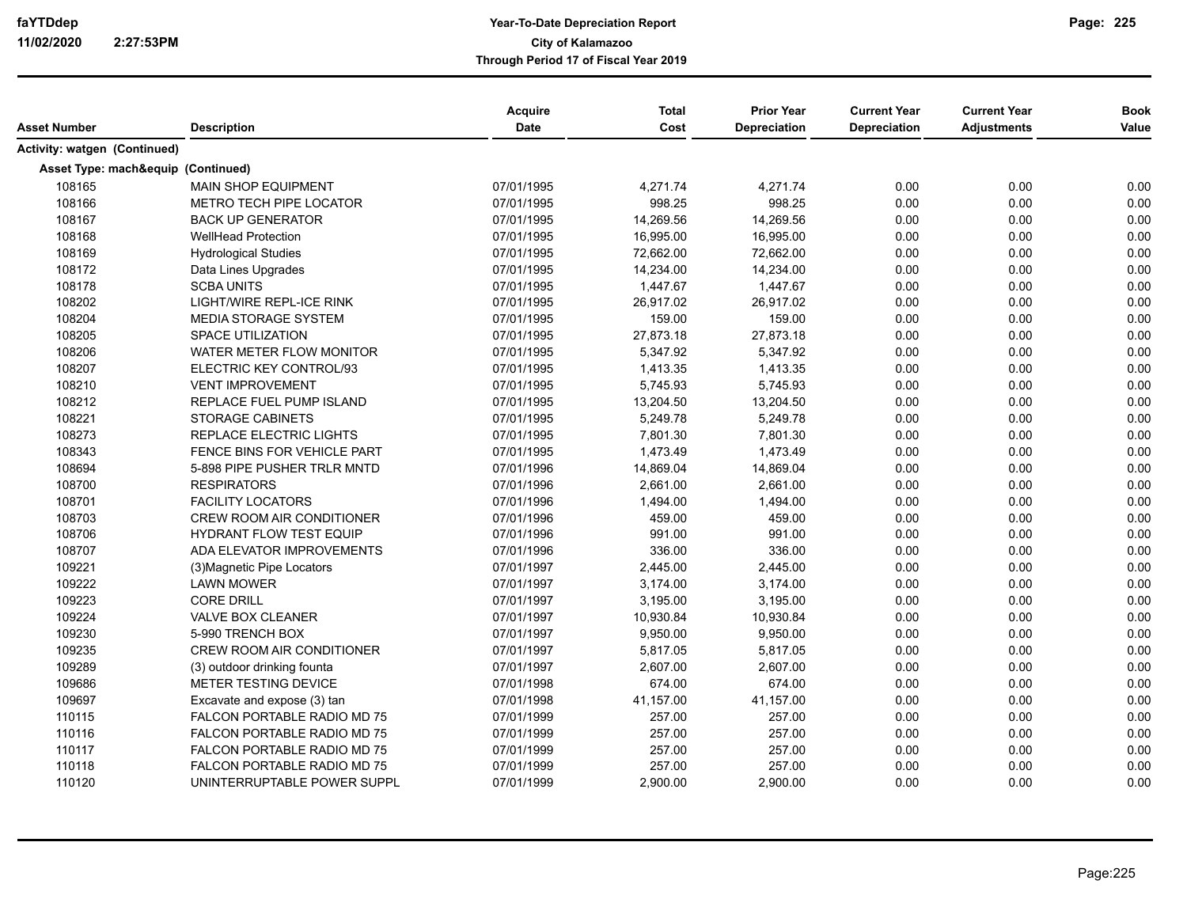| Asset Number                 | <b>Description</b>                 | Acquire<br><b>Date</b> | <b>Total</b><br>Cost | <b>Prior Year</b><br><b>Depreciation</b> | <b>Current Year</b><br>Depreciation | <b>Current Year</b><br><b>Adjustments</b> | <b>Book</b><br>Value |
|------------------------------|------------------------------------|------------------------|----------------------|------------------------------------------|-------------------------------------|-------------------------------------------|----------------------|
|                              |                                    |                        |                      |                                          |                                     |                                           |                      |
| Activity: watgen (Continued) |                                    |                        |                      |                                          |                                     |                                           |                      |
|                              | Asset Type: mach&equip (Continued) |                        |                      |                                          |                                     |                                           |                      |
| 108165                       | <b>MAIN SHOP EQUIPMENT</b>         | 07/01/1995             | 4,271.74             | 4,271.74                                 | 0.00                                | 0.00                                      | 0.00                 |
| 108166                       | METRO TECH PIPE LOCATOR            | 07/01/1995             | 998.25               | 998.25                                   | 0.00                                | 0.00                                      | 0.00                 |
| 108167                       | <b>BACK UP GENERATOR</b>           | 07/01/1995             | 14,269.56            | 14,269.56                                | 0.00                                | 0.00                                      | 0.00                 |
| 108168                       | <b>WellHead Protection</b>         | 07/01/1995             | 16,995.00            | 16,995.00                                | 0.00                                | 0.00                                      | 0.00                 |
| 108169                       | <b>Hydrological Studies</b>        | 07/01/1995             | 72,662.00            | 72,662.00                                | 0.00                                | 0.00                                      | 0.00                 |
| 108172                       | Data Lines Upgrades                | 07/01/1995             | 14,234.00            | 14,234.00                                | 0.00                                | 0.00                                      | 0.00                 |
| 108178                       | <b>SCBA UNITS</b>                  | 07/01/1995             | 1,447.67             | 1,447.67                                 | 0.00                                | 0.00                                      | 0.00                 |
| 108202                       | LIGHT/WIRE REPL-ICE RINK           | 07/01/1995             | 26,917.02            | 26,917.02                                | 0.00                                | 0.00                                      | 0.00                 |
| 108204                       | <b>MEDIA STORAGE SYSTEM</b>        | 07/01/1995             | 159.00               | 159.00                                   | 0.00                                | 0.00                                      | 0.00                 |
| 108205                       | <b>SPACE UTILIZATION</b>           | 07/01/1995             | 27,873.18            | 27,873.18                                | 0.00                                | 0.00                                      | 0.00                 |
| 108206                       | WATER METER FLOW MONITOR           | 07/01/1995             | 5,347.92             | 5,347.92                                 | 0.00                                | 0.00                                      | 0.00                 |
| 108207                       | ELECTRIC KEY CONTROL/93            | 07/01/1995             | 1,413.35             | 1,413.35                                 | 0.00                                | 0.00                                      | 0.00                 |
| 108210                       | <b>VENT IMPROVEMENT</b>            | 07/01/1995             | 5,745.93             | 5,745.93                                 | 0.00                                | 0.00                                      | 0.00                 |
| 108212                       | REPLACE FUEL PUMP ISLAND           | 07/01/1995             | 13,204.50            | 13,204.50                                | 0.00                                | 0.00                                      | 0.00                 |
| 108221                       | <b>STORAGE CABINETS</b>            | 07/01/1995             | 5,249.78             | 5,249.78                                 | 0.00                                | 0.00                                      | 0.00                 |
| 108273                       | REPLACE ELECTRIC LIGHTS            | 07/01/1995             | 7,801.30             | 7,801.30                                 | 0.00                                | 0.00                                      | 0.00                 |
| 108343                       | FENCE BINS FOR VEHICLE PART        | 07/01/1995             | 1,473.49             | 1,473.49                                 | 0.00                                | 0.00                                      | 0.00                 |
| 108694                       | 5-898 PIPE PUSHER TRLR MNTD        | 07/01/1996             | 14,869.04            | 14,869.04                                | 0.00                                | 0.00                                      | 0.00                 |
| 108700                       | <b>RESPIRATORS</b>                 | 07/01/1996             | 2,661.00             | 2,661.00                                 | 0.00                                | 0.00                                      | 0.00                 |
| 108701                       | <b>FACILITY LOCATORS</b>           | 07/01/1996             | 1,494.00             | 1,494.00                                 | 0.00                                | 0.00                                      | 0.00                 |
| 108703                       | CREW ROOM AIR CONDITIONER          | 07/01/1996             | 459.00               | 459.00                                   | 0.00                                | 0.00                                      | 0.00                 |
| 108706                       | <b>HYDRANT FLOW TEST EQUIP</b>     | 07/01/1996             | 991.00               | 991.00                                   | 0.00                                | 0.00                                      | 0.00                 |
| 108707                       | ADA ELEVATOR IMPROVEMENTS          | 07/01/1996             | 336.00               | 336.00                                   | 0.00                                | 0.00                                      | 0.00                 |
| 109221                       | (3) Magnetic Pipe Locators         | 07/01/1997             | 2,445.00             | 2,445.00                                 | 0.00                                | 0.00                                      | 0.00                 |
| 109222                       | <b>LAWN MOWER</b>                  | 07/01/1997             | 3,174.00             | 3,174.00                                 | 0.00                                | 0.00                                      | 0.00                 |
| 109223                       | <b>CORE DRILL</b>                  | 07/01/1997             | 3,195.00             | 3,195.00                                 | 0.00                                | 0.00                                      | 0.00                 |
| 109224                       | <b>VALVE BOX CLEANER</b>           | 07/01/1997             | 10,930.84            | 10,930.84                                | 0.00                                | 0.00                                      | 0.00                 |
| 109230                       | 5-990 TRENCH BOX                   | 07/01/1997             | 9,950.00             | 9,950.00                                 | 0.00                                | 0.00                                      | 0.00                 |
| 109235                       | <b>CREW ROOM AIR CONDITIONER</b>   | 07/01/1997             | 5,817.05             | 5,817.05                                 | 0.00                                | 0.00                                      | 0.00                 |
| 109289                       | (3) outdoor drinking founta        | 07/01/1997             | 2,607.00             | 2,607.00                                 | 0.00                                | 0.00                                      | 0.00                 |
| 109686                       | <b>METER TESTING DEVICE</b>        | 07/01/1998             | 674.00               | 674.00                                   | 0.00                                | 0.00                                      | 0.00                 |
| 109697                       | Excavate and expose (3) tan        | 07/01/1998             | 41,157.00            | 41,157.00                                | 0.00                                | 0.00                                      | 0.00                 |
| 110115                       | FALCON PORTABLE RADIO MD 75        | 07/01/1999             | 257.00               | 257.00                                   | 0.00                                | 0.00                                      | 0.00                 |
| 110116                       | FALCON PORTABLE RADIO MD 75        | 07/01/1999             | 257.00               | 257.00                                   | 0.00                                | 0.00                                      | 0.00                 |
| 110117                       | FALCON PORTABLE RADIO MD 75        | 07/01/1999             | 257.00               | 257.00                                   | 0.00                                | 0.00                                      | 0.00                 |
| 110118                       | FALCON PORTABLE RADIO MD 75        | 07/01/1999             | 257.00               | 257.00                                   | 0.00                                | 0.00                                      | 0.00                 |
| 110120                       | UNINTERRUPTABLE POWER SUPPL        | 07/01/1999             | 2,900.00             | 2,900.00                                 | 0.00                                | 0.00                                      | 0.00                 |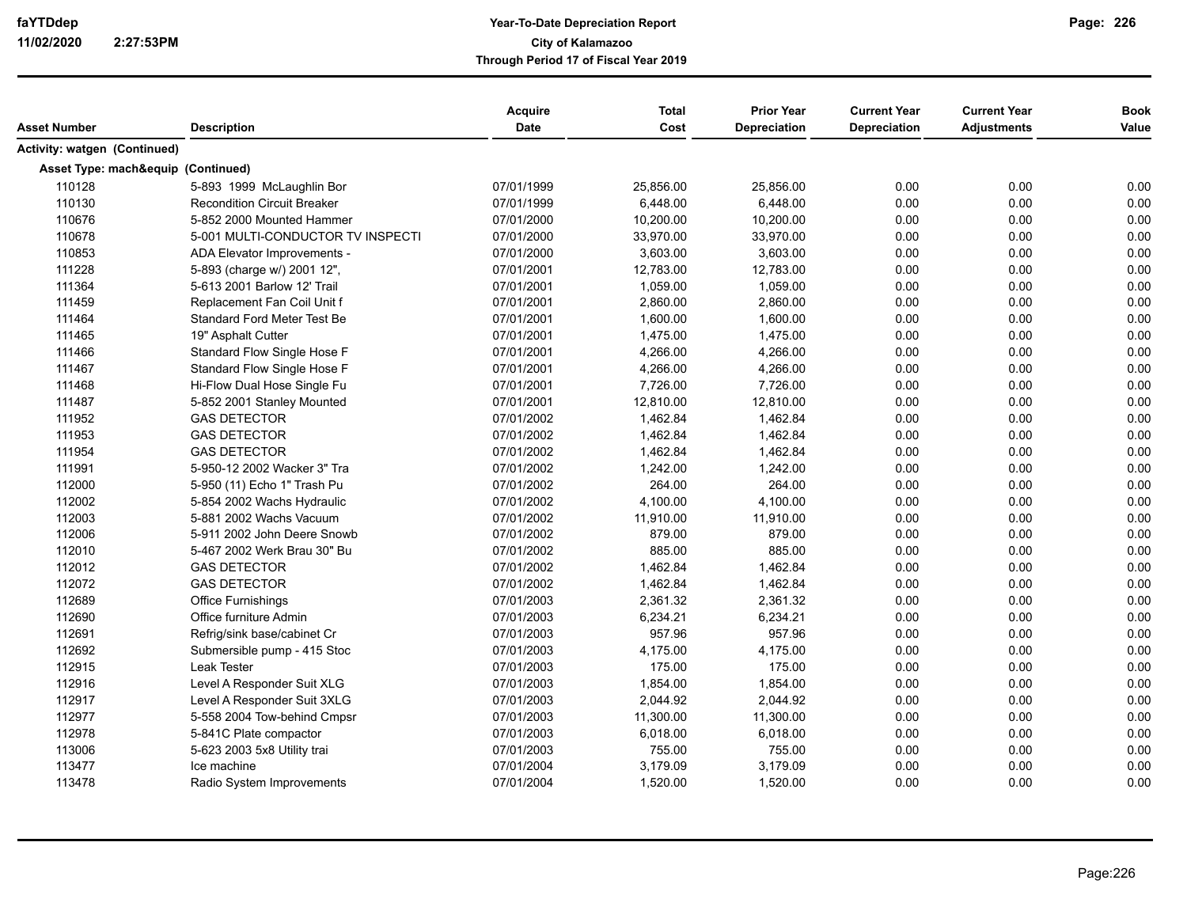| Asset Number                 | <b>Description</b>                 | <b>Acquire</b><br>Date | <b>Total</b><br>Cost | <b>Prior Year</b><br>Depreciation | <b>Current Year</b><br>Depreciation | <b>Current Year</b><br><b>Adjustments</b> | <b>Book</b><br>Value |
|------------------------------|------------------------------------|------------------------|----------------------|-----------------------------------|-------------------------------------|-------------------------------------------|----------------------|
| Activity: watgen (Continued) |                                    |                        |                      |                                   |                                     |                                           |                      |
|                              |                                    |                        |                      |                                   |                                     |                                           |                      |
|                              | Asset Type: mach&equip (Continued) |                        |                      |                                   |                                     |                                           |                      |
| 110128                       | 5-893 1999 McLaughlin Bor          | 07/01/1999             | 25,856.00            | 25,856.00                         | 0.00                                | 0.00                                      | 0.00                 |
| 110130                       | <b>Recondition Circuit Breaker</b> | 07/01/1999             | 6,448.00             | 6,448.00                          | 0.00                                | 0.00                                      | 0.00                 |
| 110676                       | 5-852 2000 Mounted Hammer          | 07/01/2000             | 10,200.00            | 10,200.00                         | 0.00                                | 0.00                                      | 0.00                 |
| 110678                       | 5-001 MULTI-CONDUCTOR TV INSPECTI  | 07/01/2000             | 33,970.00            | 33,970.00                         | 0.00                                | 0.00                                      | 0.00                 |
| 110853                       | ADA Elevator Improvements -        | 07/01/2000             | 3,603.00             | 3,603.00                          | 0.00                                | 0.00                                      | 0.00                 |
| 111228                       | 5-893 (charge w/) 2001 12",        | 07/01/2001             | 12,783.00            | 12,783.00                         | 0.00                                | 0.00                                      | 0.00                 |
| 111364                       | 5-613 2001 Barlow 12' Trail        | 07/01/2001             | 1,059.00             | 1,059.00                          | 0.00                                | 0.00                                      | 0.00                 |
| 111459                       | Replacement Fan Coil Unit f        | 07/01/2001             | 2,860.00             | 2,860.00                          | 0.00                                | 0.00                                      | 0.00                 |
| 111464                       | <b>Standard Ford Meter Test Be</b> | 07/01/2001             | 1,600.00             | 1,600.00                          | 0.00                                | 0.00                                      | 0.00                 |
| 111465                       | 19" Asphalt Cutter                 | 07/01/2001             | 1,475.00             | 1,475.00                          | 0.00                                | 0.00                                      | 0.00                 |
| 111466                       | Standard Flow Single Hose F        | 07/01/2001             | 4,266.00             | 4,266.00                          | 0.00                                | 0.00                                      | 0.00                 |
| 111467                       | Standard Flow Single Hose F        | 07/01/2001             | 4,266.00             | 4,266.00                          | 0.00                                | 0.00                                      | 0.00                 |
| 111468                       | Hi-Flow Dual Hose Single Fu        | 07/01/2001             | 7,726.00             | 7,726.00                          | 0.00                                | 0.00                                      | 0.00                 |
| 111487                       | 5-852 2001 Stanley Mounted         | 07/01/2001             | 12,810.00            | 12,810.00                         | 0.00                                | 0.00                                      | 0.00                 |
| 111952                       | <b>GAS DETECTOR</b>                | 07/01/2002             | 1,462.84             | 1,462.84                          | 0.00                                | 0.00                                      | 0.00                 |
| 111953                       | <b>GAS DETECTOR</b>                | 07/01/2002             | 1,462.84             | 1,462.84                          | 0.00                                | 0.00                                      | 0.00                 |
| 111954                       | <b>GAS DETECTOR</b>                | 07/01/2002             | 1,462.84             | 1,462.84                          | 0.00                                | 0.00                                      | 0.00                 |
| 111991                       | 5-950-12 2002 Wacker 3" Tra        | 07/01/2002             | 1,242.00             | 1,242.00                          | 0.00                                | 0.00                                      | 0.00                 |
| 112000                       | 5-950 (11) Echo 1" Trash Pu        | 07/01/2002             | 264.00               | 264.00                            | 0.00                                | 0.00                                      | 0.00                 |
| 112002                       | 5-854 2002 Wachs Hydraulic         | 07/01/2002             | 4,100.00             | 4,100.00                          | 0.00                                | 0.00                                      | 0.00                 |
| 112003                       | 5-881 2002 Wachs Vacuum            | 07/01/2002             | 11,910.00            | 11,910.00                         | 0.00                                | 0.00                                      | 0.00                 |
| 112006                       | 5-911 2002 John Deere Snowb        | 07/01/2002             | 879.00               | 879.00                            | 0.00                                | 0.00                                      | 0.00                 |
| 112010                       | 5-467 2002 Werk Brau 30" Bu        | 07/01/2002             | 885.00               | 885.00                            | 0.00                                | 0.00                                      | 0.00                 |
| 112012                       | <b>GAS DETECTOR</b>                | 07/01/2002             | 1,462.84             | 1,462.84                          | 0.00                                | 0.00                                      | 0.00                 |
| 112072                       | <b>GAS DETECTOR</b>                | 07/01/2002             | 1,462.84             | 1,462.84                          | 0.00                                | 0.00                                      | 0.00                 |
| 112689                       | <b>Office Furnishings</b>          | 07/01/2003             | 2,361.32             | 2,361.32                          | 0.00                                | 0.00                                      | 0.00                 |
| 112690                       | Office furniture Admin             | 07/01/2003             | 6,234.21             | 6,234.21                          | 0.00                                | 0.00                                      | 0.00                 |
| 112691                       | Refrig/sink base/cabinet Cr        | 07/01/2003             | 957.96               | 957.96                            | 0.00                                | 0.00                                      | 0.00                 |
| 112692                       | Submersible pump - 415 Stoc        | 07/01/2003             | 4,175.00             | 4,175.00                          | 0.00                                | 0.00                                      | 0.00                 |
| 112915                       | Leak Tester                        | 07/01/2003             | 175.00               | 175.00                            | 0.00                                | 0.00                                      | 0.00                 |
| 112916                       | Level A Responder Suit XLG         | 07/01/2003             | 1,854.00             | 1,854.00                          | 0.00                                | 0.00                                      | 0.00                 |
| 112917                       | Level A Responder Suit 3XLG        | 07/01/2003             | 2,044.92             | 2,044.92                          | 0.00                                | 0.00                                      | 0.00                 |
| 112977                       | 5-558 2004 Tow-behind Cmpsr        | 07/01/2003             | 11,300.00            | 11,300.00                         | 0.00                                | 0.00                                      | 0.00                 |
| 112978                       | 5-841C Plate compactor             | 07/01/2003             | 6,018.00             | 6,018.00                          | 0.00                                | 0.00                                      | 0.00                 |
| 113006                       | 5-623 2003 5x8 Utility trai        | 07/01/2003             | 755.00               | 755.00                            | 0.00                                | 0.00                                      | 0.00                 |
| 113477                       | Ice machine                        | 07/01/2004             | 3,179.09             | 3,179.09                          | 0.00                                | 0.00                                      | 0.00                 |
| 113478                       | Radio System Improvements          | 07/01/2004             | 1,520.00             | 1,520.00                          | 0.00                                | 0.00                                      | 0.00                 |
|                              |                                    |                        |                      |                                   |                                     |                                           |                      |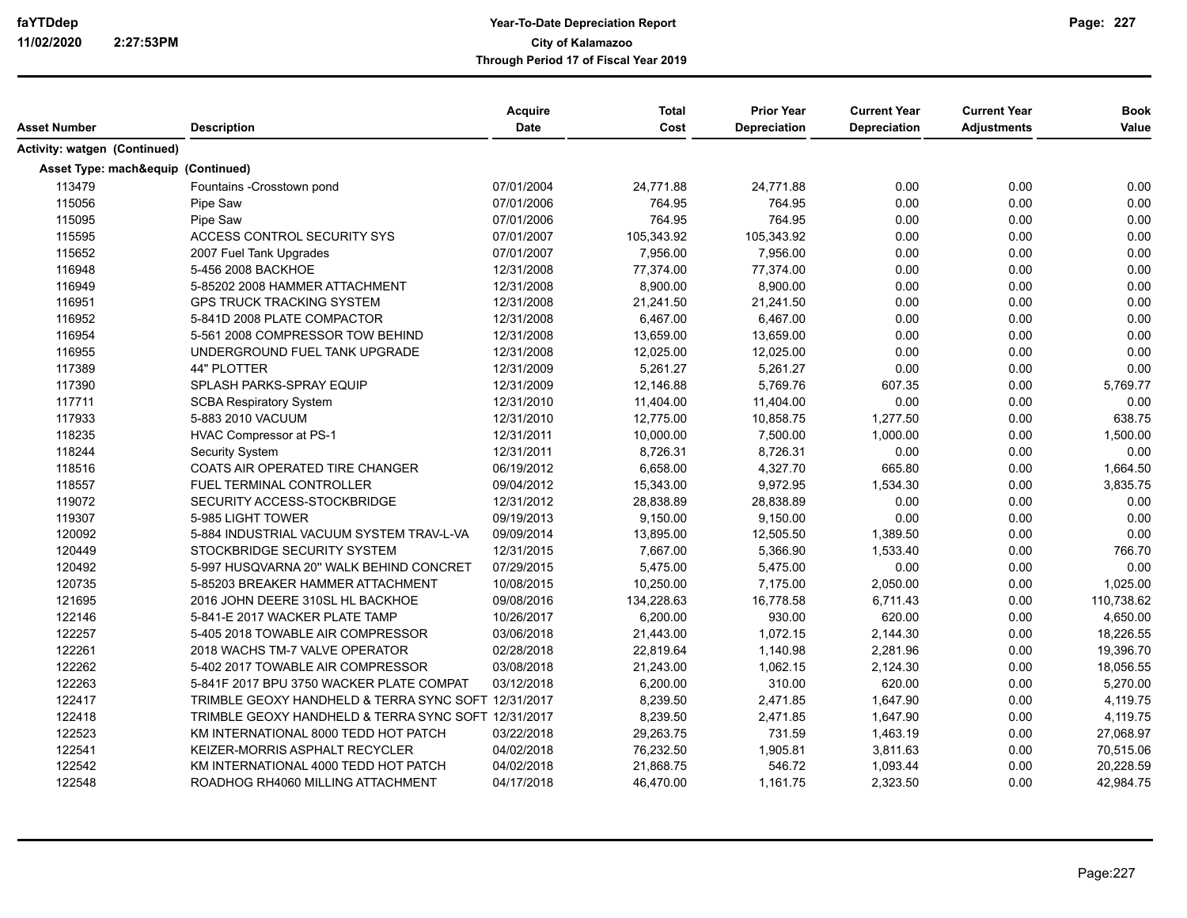| Asset Number                 | <b>Description</b>                                  | Acquire<br>Date | <b>Total</b><br>Cost | <b>Prior Year</b><br>Depreciation | <b>Current Year</b><br>Depreciation | <b>Current Year</b><br><b>Adjustments</b> | <b>Book</b><br>Value |
|------------------------------|-----------------------------------------------------|-----------------|----------------------|-----------------------------------|-------------------------------------|-------------------------------------------|----------------------|
| Activity: watgen (Continued) |                                                     |                 |                      |                                   |                                     |                                           |                      |
|                              |                                                     |                 |                      |                                   |                                     |                                           |                      |
|                              | Asset Type: mach&equip (Continued)                  |                 |                      |                                   |                                     |                                           |                      |
| 113479                       | Fountains -Crosstown pond                           | 07/01/2004      | 24,771.88            | 24,771.88                         | 0.00                                | 0.00                                      | 0.00                 |
| 115056                       | Pipe Saw                                            | 07/01/2006      | 764.95               | 764.95                            | 0.00                                | 0.00                                      | 0.00                 |
| 115095                       | Pipe Saw                                            | 07/01/2006      | 764.95               | 764.95                            | 0.00                                | 0.00                                      | 0.00                 |
| 115595                       | ACCESS CONTROL SECURITY SYS                         | 07/01/2007      | 105,343.92           | 105,343.92                        | 0.00                                | 0.00                                      | 0.00                 |
| 115652                       | 2007 Fuel Tank Upgrades                             | 07/01/2007      | 7,956.00             | 7,956.00                          | 0.00                                | 0.00                                      | 0.00                 |
| 116948                       | 5-456 2008 BACKHOE                                  | 12/31/2008      | 77,374.00            | 77,374.00                         | 0.00                                | 0.00                                      | 0.00                 |
| 116949                       | 5-85202 2008 HAMMER ATTACHMENT                      | 12/31/2008      | 8,900.00             | 8,900.00                          | 0.00                                | 0.00                                      | 0.00                 |
| 116951                       | <b>GPS TRUCK TRACKING SYSTEM</b>                    | 12/31/2008      | 21,241.50            | 21,241.50                         | 0.00                                | 0.00                                      | 0.00                 |
| 116952                       | 5-841D 2008 PLATE COMPACTOR                         | 12/31/2008      | 6,467.00             | 6,467.00                          | 0.00                                | 0.00                                      | 0.00                 |
| 116954                       | 5-561 2008 COMPRESSOR TOW BEHIND                    | 12/31/2008      | 13,659.00            | 13,659.00                         | 0.00                                | 0.00                                      | 0.00                 |
| 116955                       | UNDERGROUND FUEL TANK UPGRADE                       | 12/31/2008      | 12,025.00            | 12,025.00                         | 0.00                                | 0.00                                      | 0.00                 |
| 117389                       | 44" PLOTTER                                         | 12/31/2009      | 5,261.27             | 5,261.27                          | 0.00                                | 0.00                                      | 0.00                 |
| 117390                       | SPLASH PARKS-SPRAY EQUIP                            | 12/31/2009      | 12,146.88            | 5,769.76                          | 607.35                              | 0.00                                      | 5,769.77             |
| 117711                       | <b>SCBA Respiratory System</b>                      | 12/31/2010      | 11,404.00            | 11,404.00                         | 0.00                                | 0.00                                      | 0.00                 |
| 117933                       | 5-883 2010 VACUUM                                   | 12/31/2010      | 12,775.00            | 10,858.75                         | 1,277.50                            | 0.00                                      | 638.75               |
| 118235                       | <b>HVAC Compressor at PS-1</b>                      | 12/31/2011      | 10,000.00            | 7,500.00                          | 1,000.00                            | 0.00                                      | 1,500.00             |
| 118244                       | Security System                                     | 12/31/2011      | 8,726.31             | 8,726.31                          | 0.00                                | 0.00                                      | 0.00                 |
| 118516                       | COATS AIR OPERATED TIRE CHANGER                     | 06/19/2012      | 6,658.00             | 4,327.70                          | 665.80                              | 0.00                                      | 1,664.50             |
| 118557                       | FUEL TERMINAL CONTROLLER                            | 09/04/2012      | 15,343.00            | 9,972.95                          | 1,534.30                            | 0.00                                      | 3,835.75             |
| 119072                       | SECURITY ACCESS-STOCKBRIDGE                         | 12/31/2012      | 28,838.89            | 28,838.89                         | 0.00                                | 0.00                                      | 0.00                 |
| 119307                       | 5-985 LIGHT TOWER                                   | 09/19/2013      | 9,150.00             | 9,150.00                          | 0.00                                | 0.00                                      | 0.00                 |
| 120092                       | 5-884 INDUSTRIAL VACUUM SYSTEM TRAV-L-VA            | 09/09/2014      | 13,895.00            | 12,505.50                         | 1,389.50                            | 0.00                                      | 0.00                 |
| 120449                       | STOCKBRIDGE SECURITY SYSTEM                         | 12/31/2015      | 7,667.00             | 5,366.90                          | 1,533.40                            | 0.00                                      | 766.70               |
| 120492                       | 5-997 HUSQVARNA 20" WALK BEHIND CONCRET             | 07/29/2015      | 5,475.00             | 5,475.00                          | 0.00                                | 0.00                                      | 0.00                 |
| 120735                       | 5-85203 BREAKER HAMMER ATTACHMENT                   | 10/08/2015      | 10,250.00            | 7,175.00                          | 2,050.00                            | 0.00                                      | 1,025.00             |
| 121695                       | 2016 JOHN DEERE 310SL HL BACKHOE                    | 09/08/2016      | 134,228.63           | 16,778.58                         | 6.711.43                            | 0.00                                      | 110,738.62           |
| 122146                       | 5-841-E 2017 WACKER PLATE TAMP                      | 10/26/2017      | 6,200.00             | 930.00                            | 620.00                              | 0.00                                      | 4,650.00             |
| 122257                       | 5-405 2018 TOWABLE AIR COMPRESSOR                   | 03/06/2018      | 21,443.00            | 1,072.15                          | 2,144.30                            | 0.00                                      | 18,226.55            |
| 122261                       | 2018 WACHS TM-7 VALVE OPERATOR                      | 02/28/2018      | 22,819.64            | 1,140.98                          | 2,281.96                            | 0.00                                      | 19,396.70            |
| 122262                       | 5-402 2017 TOWABLE AIR COMPRESSOR                   | 03/08/2018      | 21,243.00            | 1,062.15                          | 2,124.30                            | 0.00                                      | 18,056.55            |
| 122263                       | 5-841F 2017 BPU 3750 WACKER PLATE COMPAT            | 03/12/2018      | 6,200.00             | 310.00                            | 620.00                              | 0.00                                      | 5,270.00             |
| 122417                       | TRIMBLE GEOXY HANDHELD & TERRA SYNC SOFT 12/31/2017 |                 | 8,239.50             | 2,471.85                          | 1,647.90                            | 0.00                                      | 4,119.75             |
| 122418                       | TRIMBLE GEOXY HANDHELD & TERRA SYNC SOFT 12/31/2017 |                 | 8,239.50             | 2,471.85                          | 1,647.90                            | 0.00                                      | 4,119.75             |
| 122523                       | KM INTERNATIONAL 8000 TEDD HOT PATCH                | 03/22/2018      | 29,263.75            | 731.59                            | 1,463.19                            | 0.00                                      | 27,068.97            |
| 122541                       | KEIZER-MORRIS ASPHALT RECYCLER                      | 04/02/2018      | 76,232.50            | 1,905.81                          | 3,811.63                            | 0.00                                      | 70,515.06            |
| 122542                       | KM INTERNATIONAL 4000 TEDD HOT PATCH                | 04/02/2018      | 21,868.75            | 546.72                            | 1,093.44                            | 0.00                                      | 20,228.59            |
| 122548                       |                                                     | 04/17/2018      | 46,470.00            | 1,161.75                          | 2,323.50                            | 0.00                                      | 42,984.75            |
|                              | ROADHOG RH4060 MILLING ATTACHMENT                   |                 |                      |                                   |                                     |                                           |                      |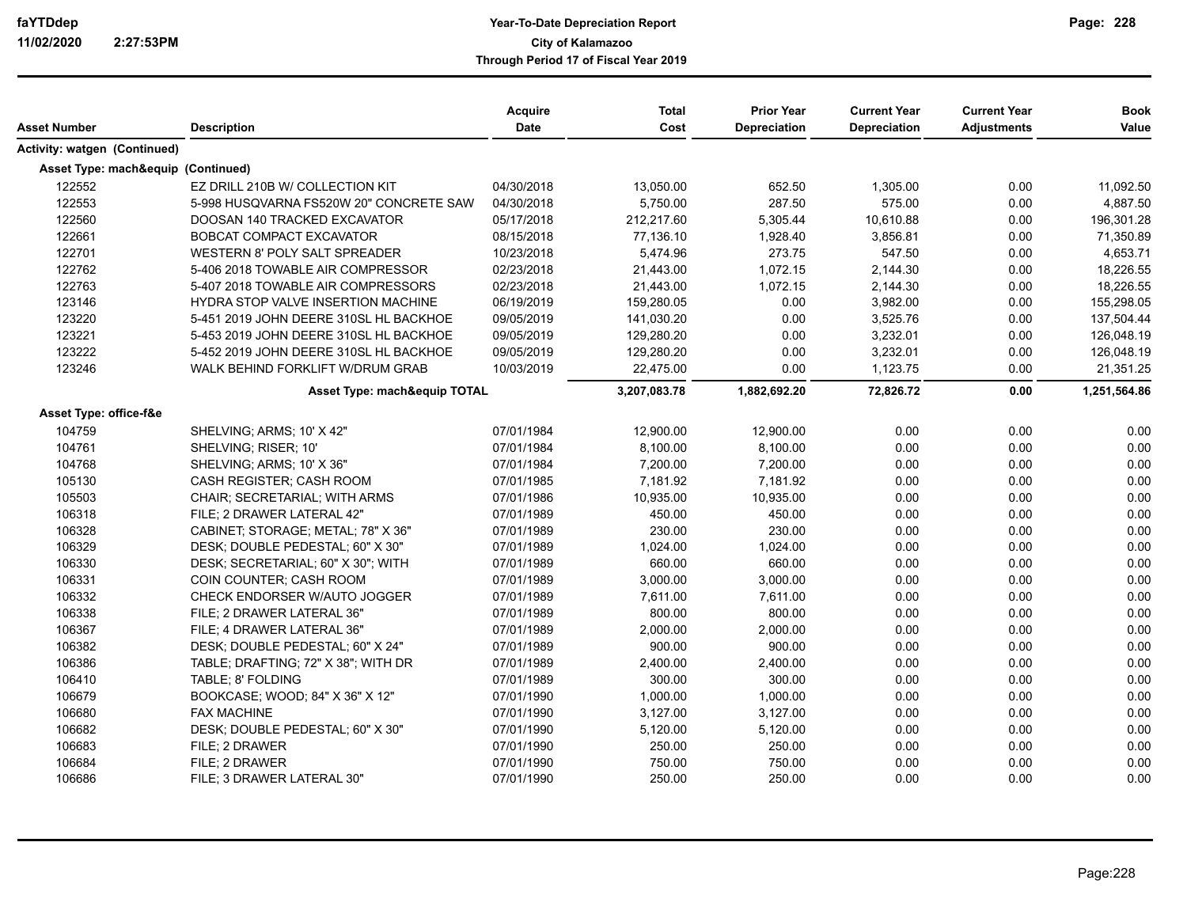| Asset Number                       | <b>Description</b>                      | Acquire<br><b>Date</b> | <b>Total</b><br>Cost | <b>Prior Year</b><br>Depreciation | <b>Current Year</b><br><b>Depreciation</b> | <b>Current Year</b><br><b>Adjustments</b> | <b>Book</b><br>Value |
|------------------------------------|-----------------------------------------|------------------------|----------------------|-----------------------------------|--------------------------------------------|-------------------------------------------|----------------------|
| Activity: watgen (Continued)       |                                         |                        |                      |                                   |                                            |                                           |                      |
| Asset Type: mach&equip (Continued) |                                         |                        |                      |                                   |                                            |                                           |                      |
| 122552                             | EZ DRILL 210B W/ COLLECTION KIT         | 04/30/2018             | 13,050.00            | 652.50                            | 1,305.00                                   | 0.00                                      | 11,092.50            |
| 122553                             | 5-998 HUSQVARNA FS520W 20" CONCRETE SAW | 04/30/2018             | 5,750.00             | 287.50                            | 575.00                                     | 0.00                                      | 4,887.50             |
| 122560                             | DOOSAN 140 TRACKED EXCAVATOR            | 05/17/2018             | 212,217.60           | 5,305.44                          | 10,610.88                                  | 0.00                                      | 196,301.28           |
| 122661                             | BOBCAT COMPACT EXCAVATOR                | 08/15/2018             | 77,136.10            | 1,928.40                          | 3,856.81                                   | 0.00                                      | 71,350.89            |
| 122701                             | <b>WESTERN 8' POLY SALT SPREADER</b>    | 10/23/2018             | 5,474.96             | 273.75                            | 547.50                                     | 0.00                                      | 4,653.71             |
| 122762                             | 5-406 2018 TOWABLE AIR COMPRESSOR       | 02/23/2018             | 21,443.00            | 1,072.15                          | 2,144.30                                   | 0.00                                      | 18,226.55            |
| 122763                             | 5-407 2018 TOWABLE AIR COMPRESSORS      | 02/23/2018             | 21,443.00            | 1,072.15                          | 2,144.30                                   | 0.00                                      | 18,226.55            |
| 123146                             | HYDRA STOP VALVE INSERTION MACHINE      | 06/19/2019             | 159,280.05           | 0.00                              | 3,982.00                                   | 0.00                                      | 155,298.05           |
| 123220                             | 5-451 2019 JOHN DEERE 310SL HL BACKHOE  | 09/05/2019             | 141,030.20           | 0.00                              | 3,525.76                                   | 0.00                                      | 137,504.44           |
| 123221                             | 5-453 2019 JOHN DEERE 310SL HL BACKHOE  | 09/05/2019             | 129,280.20           | 0.00                              | 3,232.01                                   | 0.00                                      | 126,048.19           |
| 123222                             | 5-452 2019 JOHN DEERE 310SL HL BACKHOE  | 09/05/2019             | 129,280.20           | 0.00                              | 3,232.01                                   | 0.00                                      | 126,048.19           |
| 123246                             | WALK BEHIND FORKLIFT W/DRUM GRAB        | 10/03/2019             | 22,475.00            | 0.00                              | 1,123.75                                   | 0.00                                      | 21,351.25            |
|                                    | Asset Type: mach&equip TOTAL            |                        | 3,207,083.78         | 1,882,692.20                      | 72,826.72                                  | 0.00                                      | 1,251,564.86         |
| Asset Type: office-f&e             |                                         |                        |                      |                                   |                                            |                                           |                      |
| 104759                             | SHELVING; ARMS; 10' X 42"               | 07/01/1984             | 12,900.00            | 12,900.00                         | 0.00                                       | 0.00                                      | 0.00                 |
| 104761                             | SHELVING: RISER: 10'                    | 07/01/1984             | 8,100.00             | 8,100.00                          | 0.00                                       | 0.00                                      | 0.00                 |
| 104768                             | SHELVING; ARMS; 10' X 36"               | 07/01/1984             | 7,200.00             | 7,200.00                          | 0.00                                       | 0.00                                      | 0.00                 |
| 105130                             | <b>CASH REGISTER: CASH ROOM</b>         | 07/01/1985             | 7,181.92             | 7,181.92                          | 0.00                                       | 0.00                                      | 0.00                 |
| 105503                             | CHAIR: SECRETARIAL: WITH ARMS           | 07/01/1986             | 10,935.00            | 10,935.00                         | 0.00                                       | 0.00                                      | 0.00                 |
| 106318                             | FILE; 2 DRAWER LATERAL 42"              | 07/01/1989             | 450.00               | 450.00                            | 0.00                                       | 0.00                                      | 0.00                 |
| 106328                             | CABINET; STORAGE; METAL; 78" X 36"      | 07/01/1989             | 230.00               | 230.00                            | 0.00                                       | 0.00                                      | 0.00                 |
| 106329                             | DESK; DOUBLE PEDESTAL; 60" X 30"        | 07/01/1989             | 1,024.00             | 1,024.00                          | 0.00                                       | 0.00                                      | 0.00                 |
| 106330                             | DESK; SECRETARIAL; 60" X 30"; WITH      | 07/01/1989             | 660.00               | 660.00                            | 0.00                                       | 0.00                                      | 0.00                 |
| 106331                             | COIN COUNTER; CASH ROOM                 | 07/01/1989             | 3,000.00             | 3,000.00                          | 0.00                                       | 0.00                                      | 0.00                 |
| 106332                             | CHECK ENDORSER W/AUTO JOGGER            | 07/01/1989             | 7,611.00             | 7,611.00                          | 0.00                                       | 0.00                                      | 0.00                 |
| 106338                             | FILE; 2 DRAWER LATERAL 36"              | 07/01/1989             | 800.00               | 800.00                            | 0.00                                       | 0.00                                      | 0.00                 |
| 106367                             | FILE; 4 DRAWER LATERAL 36"              | 07/01/1989             | 2,000.00             | 2,000.00                          | 0.00                                       | 0.00                                      | 0.00                 |
| 106382                             | DESK; DOUBLE PEDESTAL; 60" X 24"        | 07/01/1989             | 900.00               | 900.00                            | 0.00                                       | 0.00                                      | 0.00                 |
| 106386                             | TABLE; DRAFTING; 72" X 38"; WITH DR     | 07/01/1989             | 2,400.00             | 2,400.00                          | 0.00                                       | 0.00                                      | 0.00                 |
| 106410                             | TABLE: 8' FOLDING                       | 07/01/1989             | 300.00               | 300.00                            | 0.00                                       | 0.00                                      | 0.00                 |
| 106679                             | BOOKCASE; WOOD; 84" X 36" X 12"         | 07/01/1990             | 1,000.00             | 1,000.00                          | 0.00                                       | 0.00                                      | 0.00                 |
| 106680                             | <b>FAX MACHINE</b>                      | 07/01/1990             | 3,127.00             | 3,127.00                          | 0.00                                       | 0.00                                      | 0.00                 |
| 106682                             | DESK; DOUBLE PEDESTAL; 60" X 30"        | 07/01/1990             | 5,120.00             | 5,120.00                          | 0.00                                       | 0.00                                      | 0.00                 |
| 106683                             | FILE; 2 DRAWER                          | 07/01/1990             | 250.00               | 250.00                            | 0.00                                       | 0.00                                      | 0.00                 |
| 106684                             | FILE; 2 DRAWER                          | 07/01/1990             | 750.00               | 750.00                            | 0.00                                       | 0.00                                      | 0.00                 |
| 106686                             | FILE; 3 DRAWER LATERAL 30"              | 07/01/1990             | 250.00               | 250.00                            | 0.00                                       | 0.00                                      | 0.00                 |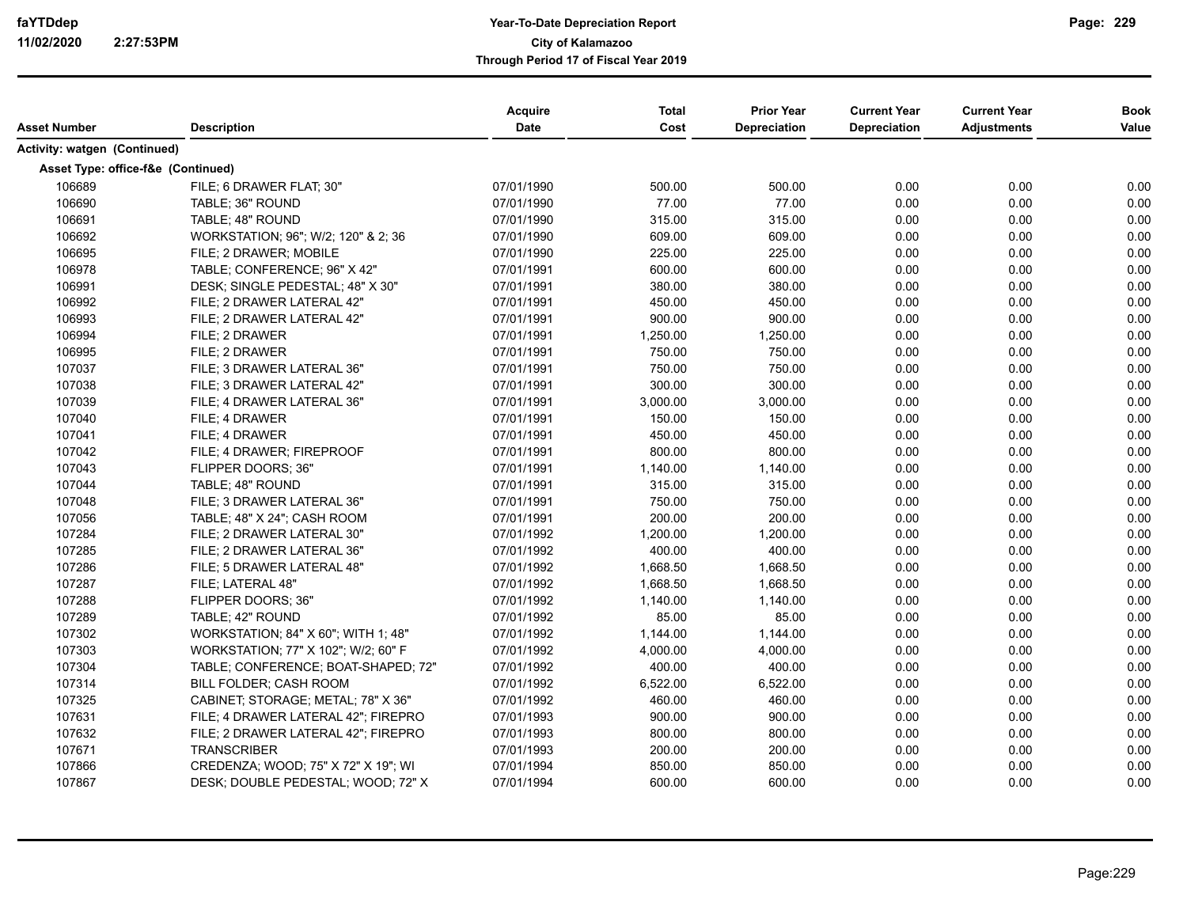|                                    |                                     | Acquire    | <b>Total</b> | <b>Prior Year</b>   | <b>Current Year</b> | <b>Current Year</b> | <b>Book</b> |
|------------------------------------|-------------------------------------|------------|--------------|---------------------|---------------------|---------------------|-------------|
| <b>Asset Number</b>                | <b>Description</b>                  | Date       | Cost         | <b>Depreciation</b> | <b>Depreciation</b> | <b>Adjustments</b>  | Value       |
| Activity: watgen (Continued)       |                                     |            |              |                     |                     |                     |             |
| Asset Type: office-f&e (Continued) |                                     |            |              |                     |                     |                     |             |
| 106689                             | FILE; 6 DRAWER FLAT; 30"            | 07/01/1990 | 500.00       | 500.00              | 0.00                | 0.00                | 0.00        |
| 106690                             | TABLE; 36" ROUND                    | 07/01/1990 | 77.00        | 77.00               | 0.00                | 0.00                | 0.00        |
| 106691                             | TABLE; 48" ROUND                    | 07/01/1990 | 315.00       | 315.00              | 0.00                | 0.00                | 0.00        |
| 106692                             | WORKSTATION; 96"; W/2; 120" & 2; 36 | 07/01/1990 | 609.00       | 609.00              | 0.00                | 0.00                | 0.00        |
| 106695                             | FILE; 2 DRAWER; MOBILE              | 07/01/1990 | 225.00       | 225.00              | 0.00                | 0.00                | 0.00        |
| 106978                             | TABLE; CONFERENCE; 96" X 42"        | 07/01/1991 | 600.00       | 600.00              | 0.00                | 0.00                | 0.00        |
| 106991                             | DESK; SINGLE PEDESTAL; 48" X 30"    | 07/01/1991 | 380.00       | 380.00              | 0.00                | 0.00                | 0.00        |
| 106992                             | FILE; 2 DRAWER LATERAL 42"          | 07/01/1991 | 450.00       | 450.00              | 0.00                | 0.00                | 0.00        |
| 106993                             | FILE; 2 DRAWER LATERAL 42"          | 07/01/1991 | 900.00       | 900.00              | 0.00                | 0.00                | 0.00        |
| 106994                             | FILE; 2 DRAWER                      | 07/01/1991 | 1,250.00     | 1,250.00            | 0.00                | 0.00                | 0.00        |
| 106995                             | FILE; 2 DRAWER                      | 07/01/1991 | 750.00       | 750.00              | 0.00                | 0.00                | 0.00        |
| 107037                             | FILE: 3 DRAWER LATERAL 36"          | 07/01/1991 | 750.00       | 750.00              | 0.00                | 0.00                | 0.00        |
| 107038                             | FILE: 3 DRAWER LATERAL 42"          | 07/01/1991 | 300.00       | 300.00              | 0.00                | 0.00                | 0.00        |
| 107039                             | FILE: 4 DRAWER LATERAL 36"          | 07/01/1991 | 3,000.00     | 3,000.00            | 0.00                | 0.00                | 0.00        |
| 107040                             | FILE; 4 DRAWER                      | 07/01/1991 | 150.00       | 150.00              | 0.00                | 0.00                | 0.00        |
| 107041                             | FILE; 4 DRAWER                      | 07/01/1991 | 450.00       | 450.00              | 0.00                | 0.00                | 0.00        |
| 107042                             | FILE; 4 DRAWER; FIREPROOF           | 07/01/1991 | 800.00       | 800.00              | 0.00                | 0.00                | 0.00        |
| 107043                             | FLIPPER DOORS: 36"                  | 07/01/1991 | 1,140.00     | 1,140.00            | 0.00                | 0.00                | 0.00        |
| 107044                             | TABLE; 48" ROUND                    | 07/01/1991 | 315.00       | 315.00              | 0.00                | 0.00                | 0.00        |
| 107048                             | FILE; 3 DRAWER LATERAL 36"          | 07/01/1991 | 750.00       | 750.00              | 0.00                | 0.00                | 0.00        |
| 107056                             | TABLE; 48" X 24"; CASH ROOM         | 07/01/1991 | 200.00       | 200.00              | 0.00                | 0.00                | 0.00        |
| 107284                             | FILE; 2 DRAWER LATERAL 30"          | 07/01/1992 | 1,200.00     | 1,200.00            | 0.00                | 0.00                | 0.00        |
| 107285                             | FILE; 2 DRAWER LATERAL 36"          | 07/01/1992 | 400.00       | 400.00              | 0.00                | 0.00                | 0.00        |
| 107286                             | FILE; 5 DRAWER LATERAL 48"          | 07/01/1992 | 1,668.50     | 1,668.50            | 0.00                | 0.00                | 0.00        |
| 107287                             | FILE; LATERAL 48"                   | 07/01/1992 | 1,668.50     | 1,668.50            | 0.00                | 0.00                | 0.00        |
| 107288                             | FLIPPER DOORS; 36"                  | 07/01/1992 | 1,140.00     | 1,140.00            | 0.00                | 0.00                | 0.00        |
| 107289                             | TABLE; 42" ROUND                    | 07/01/1992 | 85.00        | 85.00               | 0.00                | 0.00                | 0.00        |
| 107302                             | WORKSTATION; 84" X 60"; WITH 1; 48" | 07/01/1992 | 1,144.00     | 1,144.00            | 0.00                | 0.00                | 0.00        |
| 107303                             | WORKSTATION; 77" X 102"; W/2; 60" F | 07/01/1992 | 4,000.00     | 4,000.00            | 0.00                | 0.00                | 0.00        |
| 107304                             | TABLE; CONFERENCE; BOAT-SHAPED; 72" | 07/01/1992 | 400.00       | 400.00              | 0.00                | 0.00                | 0.00        |
| 107314                             | <b>BILL FOLDER: CASH ROOM</b>       | 07/01/1992 | 6,522.00     | 6,522.00            | 0.00                | 0.00                | 0.00        |
| 107325                             | CABINET; STORAGE; METAL; 78" X 36"  | 07/01/1992 | 460.00       | 460.00              | 0.00                | 0.00                | 0.00        |
| 107631                             | FILE; 4 DRAWER LATERAL 42"; FIREPRO | 07/01/1993 | 900.00       | 900.00              | 0.00                | 0.00                | 0.00        |
| 107632                             | FILE; 2 DRAWER LATERAL 42"; FIREPRO | 07/01/1993 | 800.00       | 800.00              | 0.00                | 0.00                | 0.00        |
| 107671                             | <b>TRANSCRIBER</b>                  | 07/01/1993 | 200.00       | 200.00              | 0.00                | 0.00                | 0.00        |
| 107866                             | CREDENZA; WOOD; 75" X 72" X 19"; WI | 07/01/1994 | 850.00       | 850.00              | 0.00                | 0.00                | 0.00        |
| 107867                             | DESK; DOUBLE PEDESTAL; WOOD; 72" X  | 07/01/1994 | 600.00       | 600.00              | 0.00                | 0.00                | 0.00        |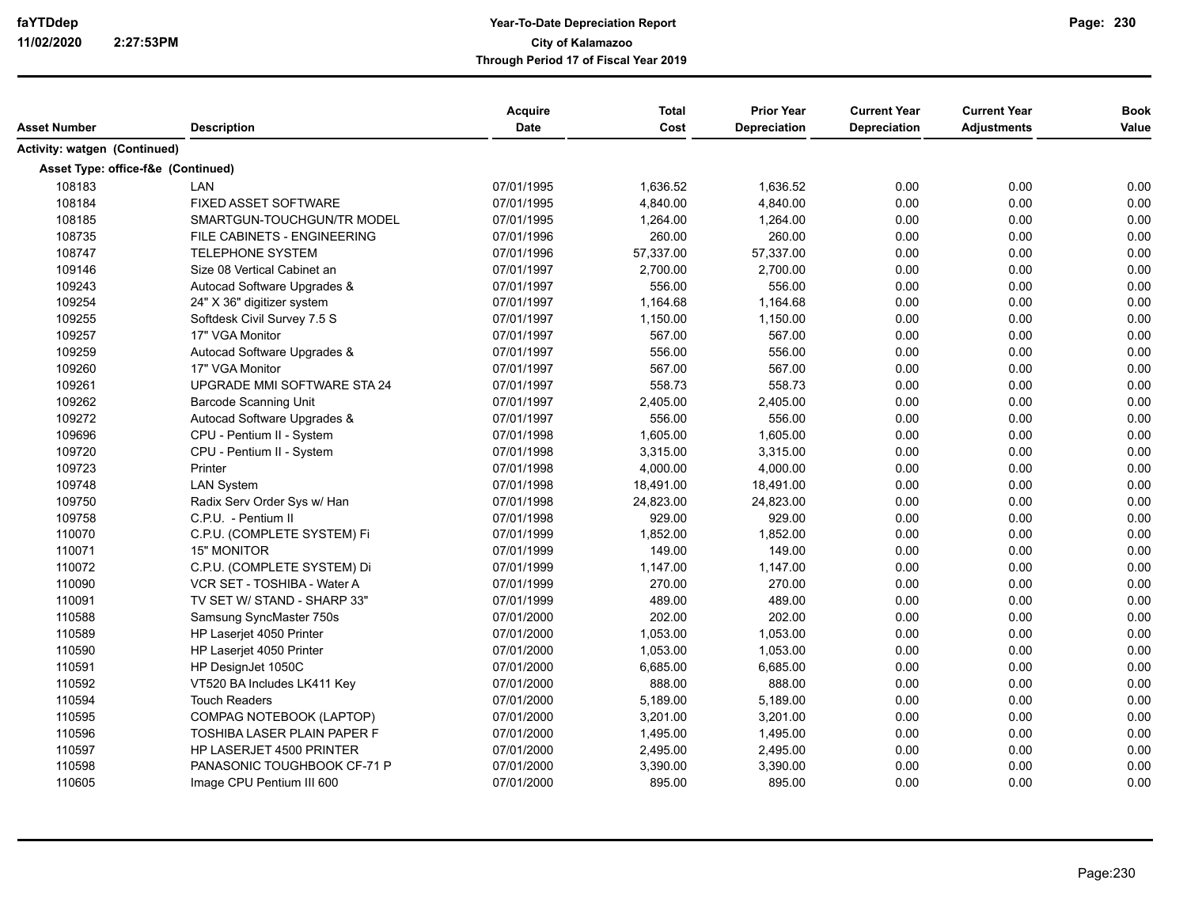| Asset Number                 | <b>Description</b>                 | <b>Acquire</b><br><b>Date</b> | <b>Total</b><br>Cost | <b>Prior Year</b><br><b>Depreciation</b> | <b>Current Year</b><br>Depreciation | <b>Current Year</b><br><b>Adjustments</b> | <b>Book</b><br>Value |
|------------------------------|------------------------------------|-------------------------------|----------------------|------------------------------------------|-------------------------------------|-------------------------------------------|----------------------|
| Activity: watgen (Continued) |                                    |                               |                      |                                          |                                     |                                           |                      |
|                              | Asset Type: office-f&e (Continued) |                               |                      |                                          |                                     |                                           |                      |
| 108183                       | LAN                                | 07/01/1995                    | 1,636.52             | 1.636.52                                 | 0.00                                | 0.00                                      | 0.00                 |
| 108184                       | <b>FIXED ASSET SOFTWARE</b>        | 07/01/1995                    | 4,840.00             | 4,840.00                                 | 0.00                                | 0.00                                      | 0.00                 |
| 108185                       | SMARTGUN-TOUCHGUN/TR MODEL         | 07/01/1995                    | 1,264.00             | 1,264.00                                 | 0.00                                | 0.00                                      | 0.00                 |
| 108735                       | FILE CABINETS - ENGINEERING        | 07/01/1996                    | 260.00               | 260.00                                   | 0.00                                | 0.00                                      | 0.00                 |
| 108747                       | <b>TELEPHONE SYSTEM</b>            | 07/01/1996                    | 57,337.00            | 57,337.00                                | 0.00                                | 0.00                                      | 0.00                 |
| 109146                       | Size 08 Vertical Cabinet an        | 07/01/1997                    | 2,700.00             | 2,700.00                                 | 0.00                                | 0.00                                      | 0.00                 |
| 109243                       | Autocad Software Upgrades &        | 07/01/1997                    | 556.00               | 556.00                                   | 0.00                                | 0.00                                      | 0.00                 |
| 109254                       | 24" X 36" digitizer system         | 07/01/1997                    | 1,164.68             | 1,164.68                                 | 0.00                                | 0.00                                      | 0.00                 |
| 109255                       | Softdesk Civil Survey 7.5 S        | 07/01/1997                    | 1,150.00             | 1,150.00                                 | 0.00                                | 0.00                                      | 0.00                 |
| 109257                       | 17" VGA Monitor                    | 07/01/1997                    | 567.00               | 567.00                                   | 0.00                                | 0.00                                      | 0.00                 |
| 109259                       | Autocad Software Upgrades &        | 07/01/1997                    | 556.00               | 556.00                                   | 0.00                                | 0.00                                      | 0.00                 |
| 109260                       | 17" VGA Monitor                    | 07/01/1997                    | 567.00               | 567.00                                   | 0.00                                | 0.00                                      | 0.00                 |
| 109261                       | UPGRADE MMI SOFTWARE STA 24        | 07/01/1997                    | 558.73               | 558.73                                   | 0.00                                | 0.00                                      | 0.00                 |
| 109262                       | <b>Barcode Scanning Unit</b>       | 07/01/1997                    | 2,405.00             | 2,405.00                                 | 0.00                                | 0.00                                      | 0.00                 |
| 109272                       | Autocad Software Upgrades &        | 07/01/1997                    | 556.00               | 556.00                                   | 0.00                                | 0.00                                      | 0.00                 |
| 109696                       | CPU - Pentium II - System          | 07/01/1998                    | 1,605.00             | 1,605.00                                 | 0.00                                | 0.00                                      | 0.00                 |
| 109720                       | CPU - Pentium II - System          | 07/01/1998                    | 3,315.00             | 3,315.00                                 | 0.00                                | 0.00                                      | 0.00                 |
| 109723                       | Printer                            | 07/01/1998                    | 4,000.00             | 4,000.00                                 | 0.00                                | 0.00                                      | 0.00                 |
| 109748                       | <b>LAN System</b>                  | 07/01/1998                    | 18,491.00            | 18,491.00                                | 0.00                                | 0.00                                      | 0.00                 |
| 109750                       | Radix Serv Order Sys w/ Han        | 07/01/1998                    | 24,823.00            | 24,823.00                                | 0.00                                | 0.00                                      | 0.00                 |
| 109758                       | C.P.U. - Pentium II                | 07/01/1998                    | 929.00               | 929.00                                   | 0.00                                | 0.00                                      | 0.00                 |
| 110070                       | C.P.U. (COMPLETE SYSTEM) Fi        | 07/01/1999                    | 1,852.00             | 1,852.00                                 | 0.00                                | 0.00                                      | 0.00                 |
| 110071                       | <b>15" MONITOR</b>                 | 07/01/1999                    | 149.00               | 149.00                                   | 0.00                                | 0.00                                      | 0.00                 |
| 110072                       | C.P.U. (COMPLETE SYSTEM) Di        | 07/01/1999                    | 1,147.00             | 1,147.00                                 | 0.00                                | 0.00                                      | 0.00                 |
| 110090                       | VCR SET - TOSHIBA - Water A        | 07/01/1999                    | 270.00               | 270.00                                   | 0.00                                | 0.00                                      | 0.00                 |
| 110091                       | TV SET W/ STAND - SHARP 33"        | 07/01/1999                    | 489.00               | 489.00                                   | 0.00                                | 0.00                                      | 0.00                 |
| 110588                       | Samsung SyncMaster 750s            | 07/01/2000                    | 202.00               | 202.00                                   | 0.00                                | 0.00                                      | 0.00                 |
| 110589                       | HP Laserjet 4050 Printer           | 07/01/2000                    | 1,053.00             | 1,053.00                                 | 0.00                                | 0.00                                      | 0.00                 |
| 110590                       | HP Laserjet 4050 Printer           | 07/01/2000                    | 1,053.00             | 1,053.00                                 | 0.00                                | 0.00                                      | 0.00                 |
| 110591                       | HP DesignJet 1050C                 | 07/01/2000                    | 6,685.00             | 6,685.00                                 | 0.00                                | 0.00                                      | 0.00                 |
| 110592                       | VT520 BA Includes LK411 Key        | 07/01/2000                    | 888.00               | 888.00                                   | 0.00                                | 0.00                                      | 0.00                 |
| 110594                       | <b>Touch Readers</b>               | 07/01/2000                    | 5,189.00             | 5,189.00                                 | 0.00                                | 0.00                                      | 0.00                 |
| 110595                       | COMPAG NOTEBOOK (LAPTOP)           | 07/01/2000                    | 3,201.00             | 3,201.00                                 | 0.00                                | 0.00                                      | 0.00                 |
| 110596                       | TOSHIBA LASER PLAIN PAPER F        | 07/01/2000                    | 1,495.00             | 1,495.00                                 | 0.00                                | 0.00                                      | 0.00                 |
| 110597                       | HP LASERJET 4500 PRINTER           | 07/01/2000                    | 2,495.00             | 2,495.00                                 | 0.00                                | 0.00                                      | 0.00                 |
| 110598                       | PANASONIC TOUGHBOOK CF-71 P        | 07/01/2000                    | 3,390.00             | 3,390.00                                 | 0.00                                | 0.00                                      | 0.00                 |
| 110605                       | Image CPU Pentium III 600          | 07/01/2000                    | 895.00               | 895.00                                   | 0.00                                | 0.00                                      | 0.00                 |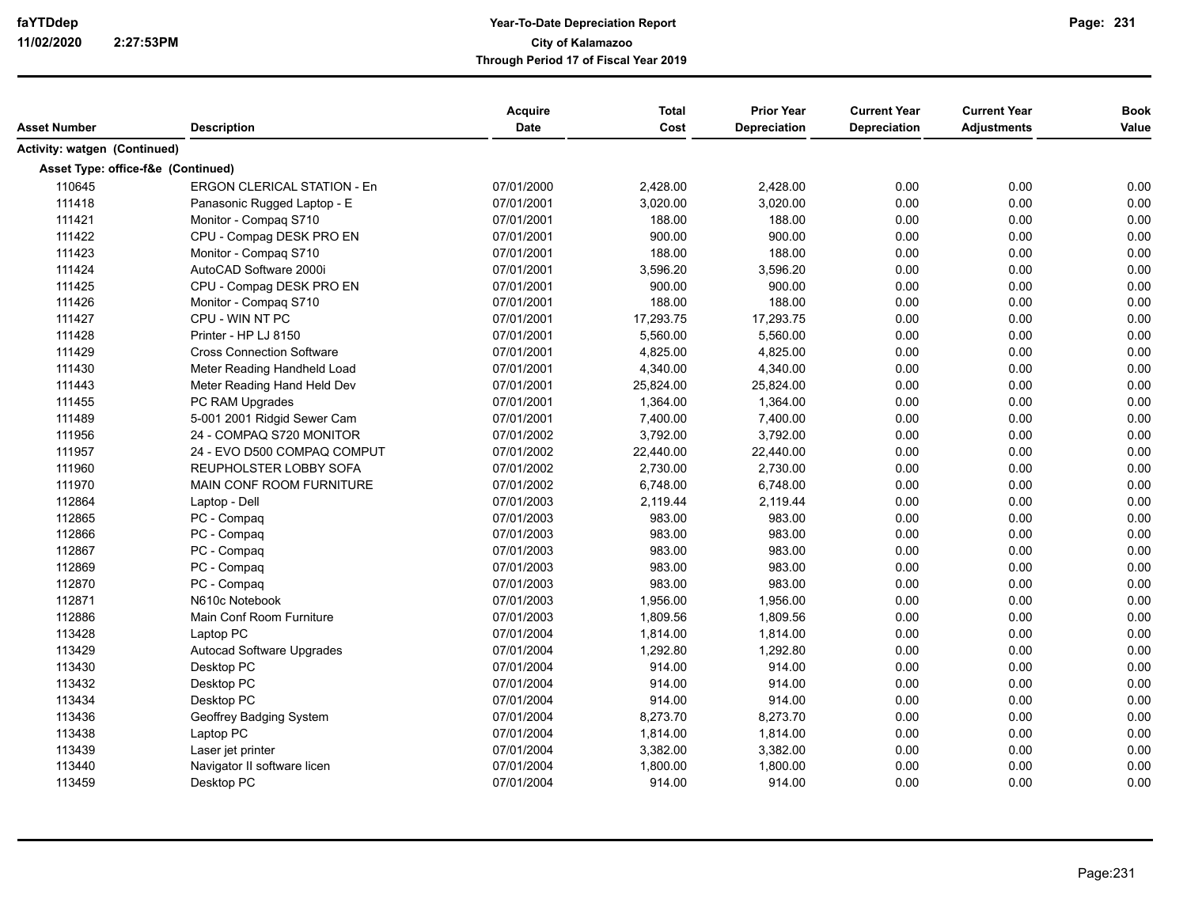| Asset Number                 | <b>Description</b>                 | <b>Acquire</b><br><b>Date</b> | <b>Total</b><br>Cost | <b>Prior Year</b><br><b>Depreciation</b> | <b>Current Year</b><br>Depreciation | <b>Current Year</b><br><b>Adjustments</b> | <b>Book</b><br>Value |
|------------------------------|------------------------------------|-------------------------------|----------------------|------------------------------------------|-------------------------------------|-------------------------------------------|----------------------|
| Activity: watgen (Continued) |                                    |                               |                      |                                          |                                     |                                           |                      |
|                              | Asset Type: office-f&e (Continued) |                               |                      |                                          |                                     |                                           |                      |
| 110645                       | <b>ERGON CLERICAL STATION - En</b> | 07/01/2000                    | 2,428.00             | 2,428.00                                 | 0.00                                | 0.00                                      | 0.00                 |
| 111418                       | Panasonic Rugged Laptop - E        | 07/01/2001                    | 3,020.00             | 3,020.00                                 | 0.00                                | 0.00                                      | 0.00                 |
| 111421                       | Monitor - Compaq S710              | 07/01/2001                    | 188.00               | 188.00                                   | 0.00                                | 0.00                                      | 0.00                 |
| 111422                       | CPU - Compag DESK PRO EN           | 07/01/2001                    | 900.00               | 900.00                                   | 0.00                                | 0.00                                      | 0.00                 |
| 111423                       | Monitor - Compag S710              | 07/01/2001                    | 188.00               | 188.00                                   | 0.00                                | 0.00                                      | 0.00                 |
| 111424                       | AutoCAD Software 2000i             | 07/01/2001                    | 3,596.20             | 3,596.20                                 | 0.00                                | 0.00                                      | 0.00                 |
| 111425                       | CPU - Compag DESK PRO EN           | 07/01/2001                    | 900.00               | 900.00                                   | 0.00                                | 0.00                                      | 0.00                 |
| 111426                       | Monitor - Compaq S710              | 07/01/2001                    | 188.00               | 188.00                                   | 0.00                                | 0.00                                      | 0.00                 |
| 111427                       | CPU - WIN NT PC                    | 07/01/2001                    | 17,293.75            | 17,293.75                                | 0.00                                | 0.00                                      | 0.00                 |
| 111428                       | Printer - HP LJ 8150               | 07/01/2001                    | 5,560.00             | 5,560.00                                 | 0.00                                | 0.00                                      | 0.00                 |
| 111429                       | <b>Cross Connection Software</b>   | 07/01/2001                    | 4,825.00             | 4,825.00                                 | 0.00                                | 0.00                                      | 0.00                 |
| 111430                       | Meter Reading Handheld Load        | 07/01/2001                    | 4,340.00             | 4,340.00                                 | 0.00                                | 0.00                                      | 0.00                 |
| 111443                       | Meter Reading Hand Held Dev        | 07/01/2001                    | 25,824.00            | 25,824.00                                | 0.00                                | 0.00                                      | 0.00                 |
| 111455                       | PC RAM Upgrades                    | 07/01/2001                    | 1,364.00             | 1,364.00                                 | 0.00                                | 0.00                                      | 0.00                 |
| 111489                       | 5-001 2001 Ridgid Sewer Cam        | 07/01/2001                    | 7,400.00             | 7,400.00                                 | 0.00                                | 0.00                                      | 0.00                 |
| 111956                       | 24 - COMPAQ S720 MONITOR           | 07/01/2002                    | 3,792.00             | 3,792.00                                 | 0.00                                | 0.00                                      | 0.00                 |
| 111957                       | 24 - EVO D500 COMPAQ COMPUT        | 07/01/2002                    | 22,440.00            | 22,440.00                                | 0.00                                | 0.00                                      | 0.00                 |
| 111960                       | REUPHOLSTER LOBBY SOFA             | 07/01/2002                    | 2,730.00             | 2,730.00                                 | 0.00                                | 0.00                                      | 0.00                 |
| 111970                       | MAIN CONF ROOM FURNITURE           | 07/01/2002                    | 6,748.00             | 6,748.00                                 | 0.00                                | 0.00                                      | 0.00                 |
| 112864                       | Laptop - Dell                      | 07/01/2003                    | 2,119.44             | 2,119.44                                 | 0.00                                | 0.00                                      | 0.00                 |
| 112865                       | PC - Compaq                        | 07/01/2003                    | 983.00               | 983.00                                   | 0.00                                | 0.00                                      | 0.00                 |
| 112866                       | PC - Compaq                        | 07/01/2003                    | 983.00               | 983.00                                   | 0.00                                | 0.00                                      | 0.00                 |
| 112867                       | PC - Compaq                        | 07/01/2003                    | 983.00               | 983.00                                   | 0.00                                | 0.00                                      | 0.00                 |
| 112869                       | PC - Compaq                        | 07/01/2003                    | 983.00               | 983.00                                   | 0.00                                | 0.00                                      | 0.00                 |
| 112870                       | PC - Compaq                        | 07/01/2003                    | 983.00               | 983.00                                   | 0.00                                | 0.00                                      | 0.00                 |
| 112871                       | N610c Notebook                     | 07/01/2003                    | 1,956.00             | 1,956.00                                 | 0.00                                | 0.00                                      | 0.00                 |
| 112886                       | Main Conf Room Furniture           | 07/01/2003                    | 1,809.56             | 1,809.56                                 | 0.00                                | 0.00                                      | 0.00                 |
| 113428                       | Laptop PC                          | 07/01/2004                    | 1,814.00             | 1,814.00                                 | 0.00                                | 0.00                                      | 0.00                 |
| 113429                       | <b>Autocad Software Upgrades</b>   | 07/01/2004                    | 1,292.80             | 1,292.80                                 | 0.00                                | 0.00                                      | 0.00                 |
| 113430                       | Desktop PC                         | 07/01/2004                    | 914.00               | 914.00                                   | 0.00                                | 0.00                                      | 0.00                 |
| 113432                       | Desktop PC                         | 07/01/2004                    | 914.00               | 914.00                                   | 0.00                                | 0.00                                      | 0.00                 |
| 113434                       | Desktop PC                         | 07/01/2004                    | 914.00               | 914.00                                   | 0.00                                | 0.00                                      | 0.00                 |
| 113436                       | Geoffrey Badging System            | 07/01/2004                    | 8,273.70             | 8,273.70                                 | 0.00                                | 0.00                                      | 0.00                 |
| 113438                       | Laptop PC                          | 07/01/2004                    | 1,814.00             | 1,814.00                                 | 0.00                                | 0.00                                      | 0.00                 |
| 113439                       | Laser jet printer                  | 07/01/2004                    | 3,382.00             | 3,382.00                                 | 0.00                                | 0.00                                      | 0.00                 |
| 113440                       | Navigator II software licen        | 07/01/2004                    | 1,800.00             | 1,800.00                                 | 0.00                                | 0.00                                      | 0.00                 |
| 113459                       | Desktop PC                         | 07/01/2004                    | 914.00               | 914.00                                   | 0.00                                | 0.00                                      | 0.00                 |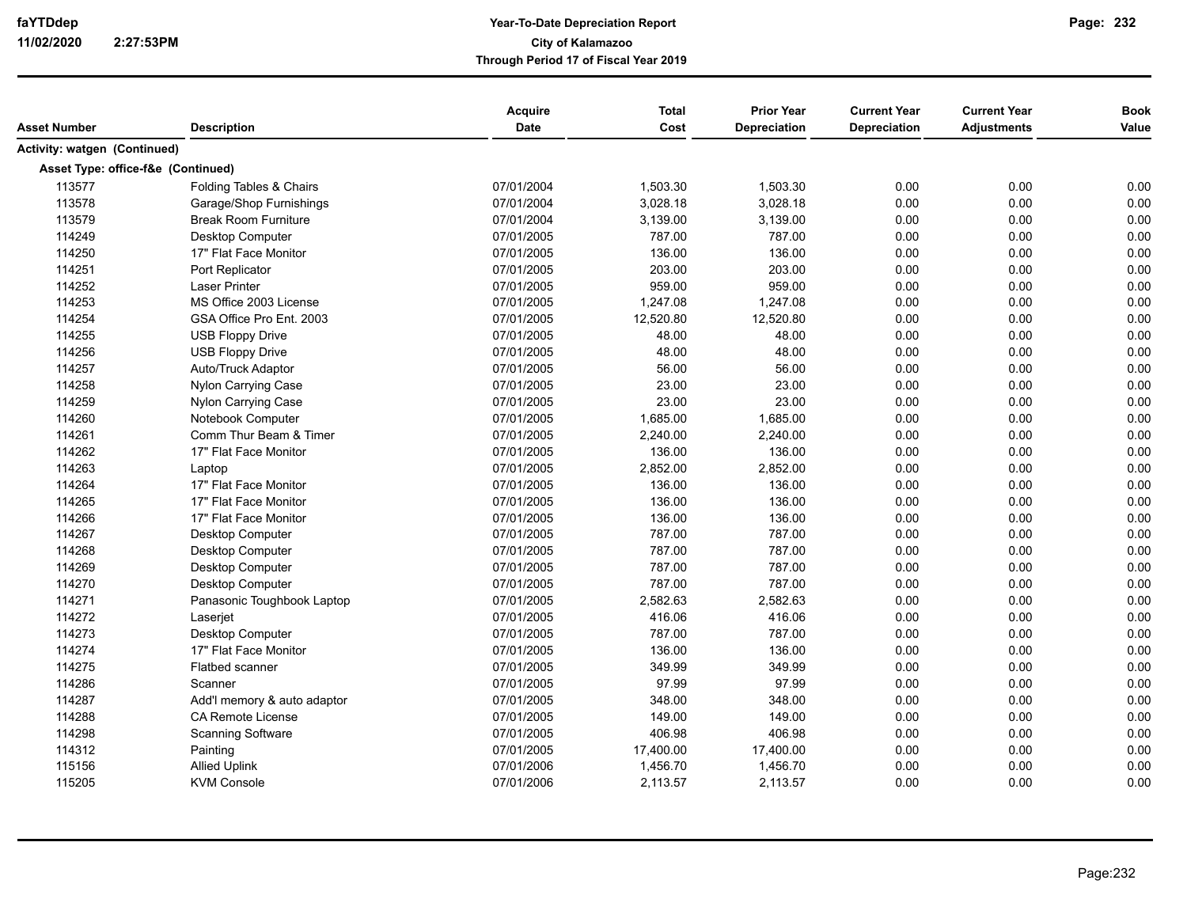|                                     |                             | <b>Acquire</b> | <b>Total</b> | <b>Prior Year</b>   | <b>Current Year</b> | <b>Current Year</b> | <b>Book</b> |
|-------------------------------------|-----------------------------|----------------|--------------|---------------------|---------------------|---------------------|-------------|
| Asset Number                        | <b>Description</b>          | Date           | Cost         | <b>Depreciation</b> | <b>Depreciation</b> | <b>Adjustments</b>  | Value       |
| <b>Activity: watgen (Continued)</b> |                             |                |              |                     |                     |                     |             |
| Asset Type: office-f&e (Continued)  |                             |                |              |                     |                     |                     |             |
| 113577                              | Folding Tables & Chairs     | 07/01/2004     | 1,503.30     | 1,503.30            | 0.00                | 0.00                | 0.00        |
| 113578                              | Garage/Shop Furnishings     | 07/01/2004     | 3,028.18     | 3,028.18            | 0.00                | 0.00                | 0.00        |
| 113579                              | <b>Break Room Furniture</b> | 07/01/2004     | 3,139.00     | 3,139.00            | 0.00                | 0.00                | 0.00        |
| 114249                              | Desktop Computer            | 07/01/2005     | 787.00       | 787.00              | 0.00                | 0.00                | 0.00        |
| 114250                              | 17" Flat Face Monitor       | 07/01/2005     | 136.00       | 136.00              | 0.00                | 0.00                | 0.00        |
| 114251                              | Port Replicator             | 07/01/2005     | 203.00       | 203.00              | 0.00                | 0.00                | 0.00        |
| 114252                              | <b>Laser Printer</b>        | 07/01/2005     | 959.00       | 959.00              | 0.00                | 0.00                | 0.00        |
| 114253                              | MS Office 2003 License      | 07/01/2005     | 1,247.08     | 1,247.08            | 0.00                | 0.00                | 0.00        |
| 114254                              | GSA Office Pro Ent. 2003    | 07/01/2005     | 12,520.80    | 12,520.80           | 0.00                | 0.00                | 0.00        |
| 114255                              | <b>USB Floppy Drive</b>     | 07/01/2005     | 48.00        | 48.00               | 0.00                | 0.00                | 0.00        |
| 114256                              | <b>USB Floppy Drive</b>     | 07/01/2005     | 48.00        | 48.00               | 0.00                | 0.00                | 0.00        |
| 114257                              | <b>Auto/Truck Adaptor</b>   | 07/01/2005     | 56.00        | 56.00               | 0.00                | 0.00                | 0.00        |
| 114258                              | Nylon Carrying Case         | 07/01/2005     | 23.00        | 23.00               | 0.00                | 0.00                | 0.00        |
| 114259                              | Nylon Carrying Case         | 07/01/2005     | 23.00        | 23.00               | 0.00                | 0.00                | 0.00        |
| 114260                              | Notebook Computer           | 07/01/2005     | 1,685.00     | 1,685.00            | 0.00                | 0.00                | 0.00        |
| 114261                              | Comm Thur Beam & Timer      | 07/01/2005     | 2,240.00     | 2,240.00            | 0.00                | 0.00                | 0.00        |
| 114262                              | 17" Flat Face Monitor       | 07/01/2005     | 136.00       | 136.00              | 0.00                | 0.00                | 0.00        |
| 114263                              | Laptop                      | 07/01/2005     | 2,852.00     | 2,852.00            | 0.00                | 0.00                | 0.00        |
| 114264                              | 17" Flat Face Monitor       | 07/01/2005     | 136.00       | 136.00              | 0.00                | 0.00                | 0.00        |
| 114265                              | 17" Flat Face Monitor       | 07/01/2005     | 136.00       | 136.00              | 0.00                | 0.00                | 0.00        |
| 114266                              | 17" Flat Face Monitor       | 07/01/2005     | 136.00       | 136.00              | 0.00                | 0.00                | 0.00        |
| 114267                              | <b>Desktop Computer</b>     | 07/01/2005     | 787.00       | 787.00              | 0.00                | 0.00                | 0.00        |
| 114268                              | Desktop Computer            | 07/01/2005     | 787.00       | 787.00              | 0.00                | 0.00                | 0.00        |
| 114269                              | Desktop Computer            | 07/01/2005     | 787.00       | 787.00              | 0.00                | 0.00                | 0.00        |
| 114270                              | Desktop Computer            | 07/01/2005     | 787.00       | 787.00              | 0.00                | 0.00                | 0.00        |
| 114271                              | Panasonic Toughbook Laptop  | 07/01/2005     | 2,582.63     | 2,582.63            | 0.00                | 0.00                | 0.00        |
| 114272                              | Laserjet                    | 07/01/2005     | 416.06       | 416.06              | 0.00                | 0.00                | 0.00        |
| 114273                              | Desktop Computer            | 07/01/2005     | 787.00       | 787.00              | 0.00                | 0.00                | 0.00        |
| 114274                              | 17" Flat Face Monitor       | 07/01/2005     | 136.00       | 136.00              | 0.00                | 0.00                | 0.00        |
| 114275                              | <b>Flatbed scanner</b>      | 07/01/2005     | 349.99       | 349.99              | 0.00                | 0.00                | 0.00        |
| 114286                              | Scanner                     | 07/01/2005     | 97.99        | 97.99               | 0.00                | 0.00                | 0.00        |
| 114287                              | Add'l memory & auto adaptor | 07/01/2005     | 348.00       | 348.00              | 0.00                | 0.00                | 0.00        |
| 114288                              | CA Remote License           | 07/01/2005     | 149.00       | 149.00              | 0.00                | 0.00                | 0.00        |
| 114298                              | <b>Scanning Software</b>    | 07/01/2005     | 406.98       | 406.98              | 0.00                | 0.00                | 0.00        |
| 114312                              | Painting                    | 07/01/2005     | 17,400.00    | 17,400.00           | 0.00                | 0.00                | 0.00        |
| 115156                              | <b>Allied Uplink</b>        | 07/01/2006     | 1,456.70     | 1,456.70            | 0.00                | 0.00                | 0.00        |
| 115205                              | <b>KVM Console</b>          | 07/01/2006     | 2,113.57     | 2,113.57            | 0.00                | 0.00                | 0.00        |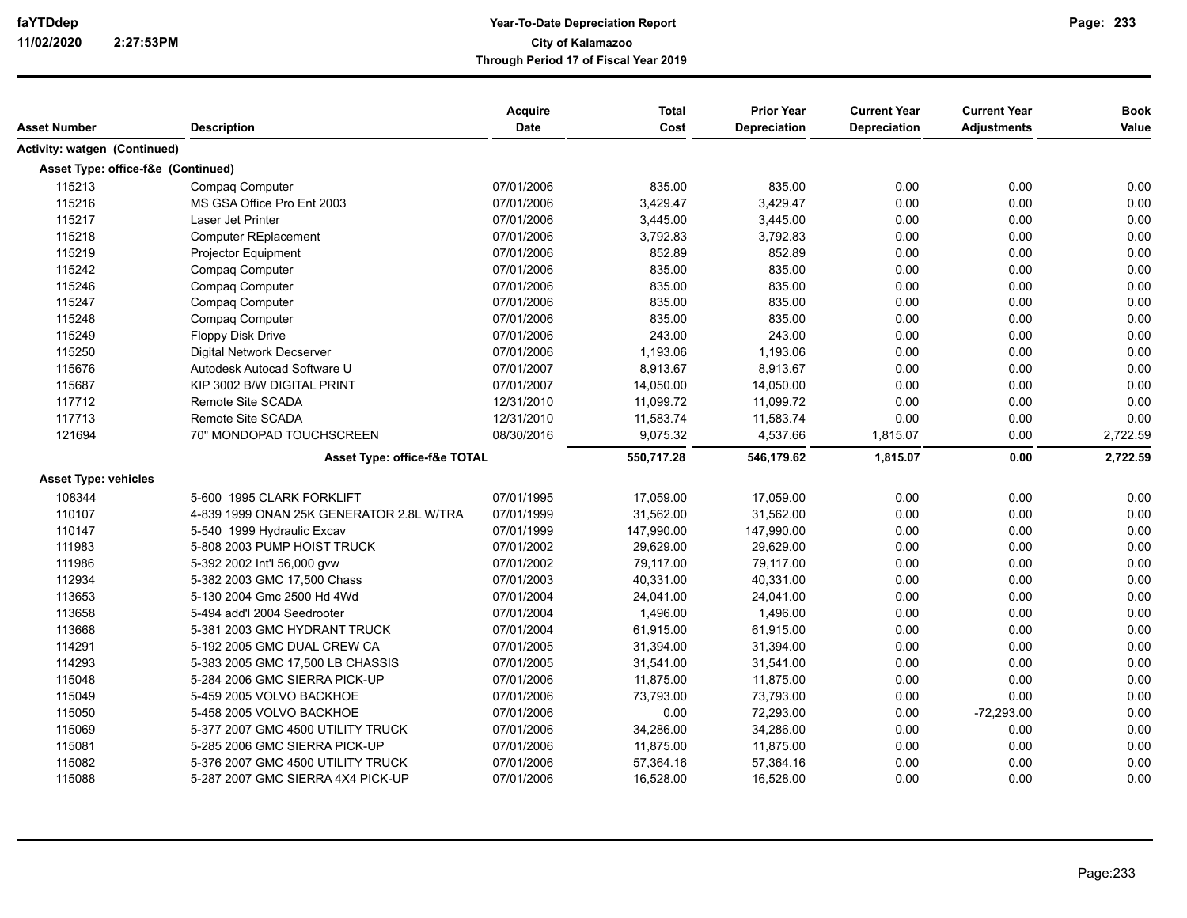| Asset Number                       | <b>Description</b>                       | Acquire<br>Date | <b>Total</b><br>Cost | <b>Prior Year</b><br>Depreciation | <b>Current Year</b><br><b>Depreciation</b> | <b>Current Year</b><br><b>Adjustments</b> | <b>Book</b><br>Value |
|------------------------------------|------------------------------------------|-----------------|----------------------|-----------------------------------|--------------------------------------------|-------------------------------------------|----------------------|
|                                    |                                          |                 |                      |                                   |                                            |                                           |                      |
| Activity: watgen (Continued)       |                                          |                 |                      |                                   |                                            |                                           |                      |
| Asset Type: office-f&e (Continued) |                                          |                 |                      |                                   |                                            |                                           |                      |
| 115213                             | Compaq Computer                          | 07/01/2006      | 835.00               | 835.00                            | 0.00                                       | 0.00                                      | 0.00                 |
| 115216                             | MS GSA Office Pro Ent 2003               | 07/01/2006      | 3,429.47             | 3,429.47                          | 0.00                                       | 0.00                                      | 0.00                 |
| 115217                             | Laser Jet Printer                        | 07/01/2006      | 3,445.00             | 3,445.00                          | 0.00                                       | 0.00                                      | 0.00                 |
| 115218                             | <b>Computer REplacement</b>              | 07/01/2006      | 3,792.83             | 3,792.83                          | 0.00                                       | 0.00                                      | 0.00                 |
| 115219                             | Projector Equipment                      | 07/01/2006      | 852.89               | 852.89                            | 0.00                                       | 0.00                                      | 0.00                 |
| 115242                             | Compaq Computer                          | 07/01/2006      | 835.00               | 835.00                            | 0.00                                       | 0.00                                      | 0.00                 |
| 115246                             | Compaq Computer                          | 07/01/2006      | 835.00               | 835.00                            | 0.00                                       | 0.00                                      | 0.00                 |
| 115247                             | Compaq Computer                          | 07/01/2006      | 835.00               | 835.00                            | 0.00                                       | 0.00                                      | 0.00                 |
| 115248                             | Compaq Computer                          | 07/01/2006      | 835.00               | 835.00                            | 0.00                                       | 0.00                                      | 0.00                 |
| 115249                             | <b>Floppy Disk Drive</b>                 | 07/01/2006      | 243.00               | 243.00                            | 0.00                                       | 0.00                                      | 0.00                 |
| 115250                             | <b>Digital Network Decserver</b>         | 07/01/2006      | 1,193.06             | 1,193.06                          | 0.00                                       | 0.00                                      | 0.00                 |
| 115676                             | Autodesk Autocad Software U              | 07/01/2007      | 8,913.67             | 8,913.67                          | 0.00                                       | 0.00                                      | 0.00                 |
| 115687                             | KIP 3002 B/W DIGITAL PRINT               | 07/01/2007      | 14,050.00            | 14,050.00                         | 0.00                                       | 0.00                                      | 0.00                 |
| 117712                             | Remote Site SCADA                        | 12/31/2010      | 11,099.72            | 11,099.72                         | 0.00                                       | 0.00                                      | 0.00                 |
| 117713                             | Remote Site SCADA                        | 12/31/2010      | 11,583.74            | 11,583.74                         | 0.00                                       | 0.00                                      | 0.00                 |
| 121694                             | 70" MONDOPAD TOUCHSCREEN                 | 08/30/2016      | 9,075.32             | 4,537.66                          | 1,815.07                                   | 0.00                                      | 2,722.59             |
|                                    | Asset Type: office-f&e TOTAL             |                 | 550,717.28           | 546,179.62                        | 1,815.07                                   | 0.00                                      | 2,722.59             |
| <b>Asset Type: vehicles</b>        |                                          |                 |                      |                                   |                                            |                                           |                      |
| 108344                             | 5-600 1995 CLARK FORKLIFT                | 07/01/1995      | 17,059.00            | 17,059.00                         | 0.00                                       | 0.00                                      | 0.00                 |
| 110107                             | 4-839 1999 ONAN 25K GENERATOR 2.8L W/TRA | 07/01/1999      | 31,562.00            | 31,562.00                         | 0.00                                       | 0.00                                      | 0.00                 |
| 110147                             | 5-540 1999 Hydraulic Excav               | 07/01/1999      | 147,990.00           | 147,990.00                        | 0.00                                       | 0.00                                      | 0.00                 |
| 111983                             | 5-808 2003 PUMP HOIST TRUCK              | 07/01/2002      | 29,629.00            | 29,629.00                         | 0.00                                       | 0.00                                      | 0.00                 |
| 111986                             | 5-392 2002 Int'l 56,000 gvw              | 07/01/2002      | 79,117.00            | 79,117.00                         | 0.00                                       | 0.00                                      | 0.00                 |
| 112934                             | 5-382 2003 GMC 17,500 Chass              | 07/01/2003      | 40,331.00            | 40,331.00                         | 0.00                                       | 0.00                                      | 0.00                 |
| 113653                             | 5-130 2004 Gmc 2500 Hd 4Wd               | 07/01/2004      | 24,041.00            | 24,041.00                         | 0.00                                       | 0.00                                      | 0.00                 |
| 113658                             | 5-494 add'l 2004 Seedrooter              | 07/01/2004      | 1,496.00             | 1,496.00                          | 0.00                                       | 0.00                                      | 0.00                 |
| 113668                             | 5-381 2003 GMC HYDRANT TRUCK             | 07/01/2004      | 61,915.00            | 61,915.00                         | 0.00                                       | 0.00                                      | 0.00                 |
| 114291                             | 5-192 2005 GMC DUAL CREW CA              | 07/01/2005      | 31,394.00            | 31,394.00                         | 0.00                                       | 0.00                                      | 0.00                 |
| 114293                             | 5-383 2005 GMC 17,500 LB CHASSIS         | 07/01/2005      | 31,541.00            | 31,541.00                         | 0.00                                       | 0.00                                      | 0.00                 |
| 115048                             | 5-284 2006 GMC SIERRA PICK-UP            | 07/01/2006      | 11,875.00            | 11,875.00                         | 0.00                                       | 0.00                                      | 0.00                 |
| 115049                             | 5-459 2005 VOLVO BACKHOE                 | 07/01/2006      | 73,793.00            | 73,793.00                         | 0.00                                       | 0.00                                      | 0.00                 |
| 115050                             | 5-458 2005 VOLVO BACKHOE                 | 07/01/2006      | 0.00                 | 72,293.00                         | 0.00                                       | $-72,293.00$                              | 0.00                 |
| 115069                             | 5-377 2007 GMC 4500 UTILITY TRUCK        | 07/01/2006      | 34,286.00            | 34,286.00                         | 0.00                                       | 0.00                                      | 0.00                 |
| 115081                             | 5-285 2006 GMC SIERRA PICK-UP            | 07/01/2006      | 11,875.00            | 11,875.00                         | 0.00                                       | 0.00                                      | 0.00                 |
| 115082                             | 5-376 2007 GMC 4500 UTILITY TRUCK        | 07/01/2006      | 57,364.16            | 57,364.16                         | 0.00                                       | 0.00                                      | 0.00                 |
| 115088                             | 5-287 2007 GMC SIERRA 4X4 PICK-UP        | 07/01/2006      | 16,528.00            | 16,528.00                         | 0.00                                       | 0.00                                      | 0.00                 |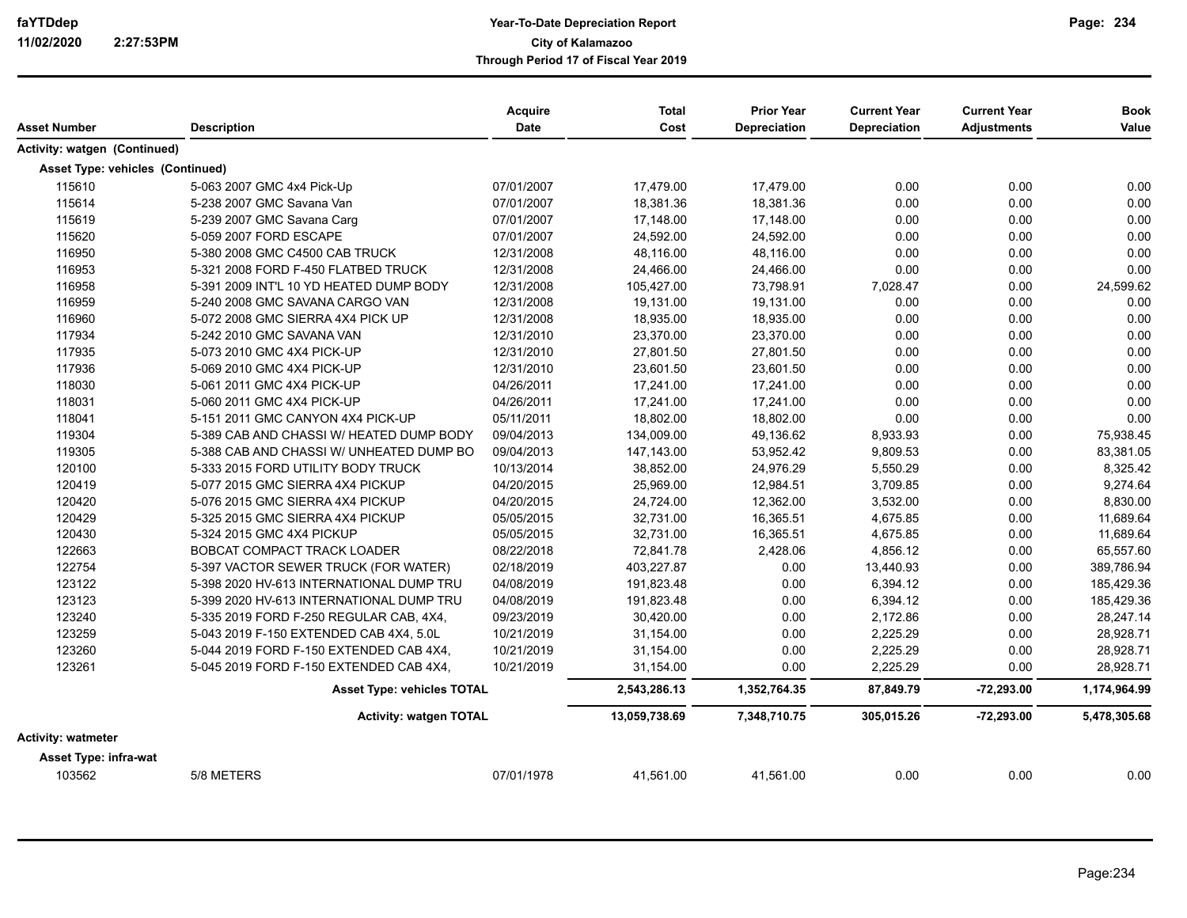|                                         |                                          | Acquire     | <b>Total</b>  | <b>Prior Year</b>   | <b>Current Year</b> | <b>Current Year</b> | <b>Book</b>  |
|-----------------------------------------|------------------------------------------|-------------|---------------|---------------------|---------------------|---------------------|--------------|
| Asset Number                            | <b>Description</b>                       | <b>Date</b> | Cost          | <b>Depreciation</b> | <b>Depreciation</b> | <b>Adjustments</b>  | Value        |
| <b>Activity: watgen (Continued)</b>     |                                          |             |               |                     |                     |                     |              |
| <b>Asset Type: vehicles (Continued)</b> |                                          |             |               |                     |                     |                     |              |
| 115610                                  | 5-063 2007 GMC 4x4 Pick-Up               | 07/01/2007  | 17,479.00     | 17,479.00           | 0.00                | 0.00                | 0.00         |
| 115614                                  | 5-238 2007 GMC Savana Van                | 07/01/2007  | 18,381.36     | 18,381.36           | 0.00                | 0.00                | 0.00         |
| 115619                                  | 5-239 2007 GMC Savana Carq               | 07/01/2007  | 17,148.00     | 17,148.00           | 0.00                | 0.00                | 0.00         |
| 115620                                  | 5-059 2007 FORD ESCAPE                   | 07/01/2007  | 24,592.00     | 24,592.00           | 0.00                | 0.00                | 0.00         |
| 116950                                  | 5-380 2008 GMC C4500 CAB TRUCK           | 12/31/2008  | 48,116.00     | 48,116.00           | 0.00                | 0.00                | 0.00         |
| 116953                                  | 5-321 2008 FORD F-450 FLATBED TRUCK      | 12/31/2008  | 24,466.00     | 24,466.00           | 0.00                | 0.00                | 0.00         |
| 116958                                  | 5-391 2009 INT'L 10 YD HEATED DUMP BODY  | 12/31/2008  | 105,427.00    | 73,798.91           | 7,028.47            | 0.00                | 24,599.62    |
| 116959                                  | 5-240 2008 GMC SAVANA CARGO VAN          | 12/31/2008  | 19,131.00     | 19,131.00           | 0.00                | 0.00                | 0.00         |
| 116960                                  | 5-072 2008 GMC SIERRA 4X4 PICK UP        | 12/31/2008  | 18,935.00     | 18,935.00           | 0.00                | 0.00                | 0.00         |
| 117934                                  | 5-242 2010 GMC SAVANA VAN                | 12/31/2010  | 23,370.00     | 23,370.00           | 0.00                | 0.00                | 0.00         |
| 117935                                  | 5-073 2010 GMC 4X4 PICK-UP               | 12/31/2010  | 27,801.50     | 27,801.50           | 0.00                | 0.00                | 0.00         |
| 117936                                  | 5-069 2010 GMC 4X4 PICK-UP               | 12/31/2010  | 23,601.50     | 23,601.50           | 0.00                | 0.00                | 0.00         |
| 118030                                  | 5-061 2011 GMC 4X4 PICK-UP               | 04/26/2011  | 17,241.00     | 17,241.00           | 0.00                | 0.00                | 0.00         |
| 118031                                  | 5-060 2011 GMC 4X4 PICK-UP               | 04/26/2011  | 17,241.00     | 17,241.00           | 0.00                | 0.00                | 0.00         |
| 118041                                  | 5-151 2011 GMC CANYON 4X4 PICK-UP        | 05/11/2011  | 18,802.00     | 18,802.00           | 0.00                | 0.00                | 0.00         |
| 119304                                  | 5-389 CAB AND CHASSI W/ HEATED DUMP BODY | 09/04/2013  | 134,009.00    | 49,136.62           | 8,933.93            | 0.00                | 75,938.45    |
| 119305                                  | 5-388 CAB AND CHASSI W/ UNHEATED DUMP BO | 09/04/2013  | 147,143.00    | 53,952.42           | 9,809.53            | 0.00                | 83,381.05    |
| 120100                                  | 5-333 2015 FORD UTILITY BODY TRUCK       | 10/13/2014  | 38,852.00     | 24,976.29           | 5,550.29            | 0.00                | 8,325.42     |
| 120419                                  | 5-077 2015 GMC SIERRA 4X4 PICKUP         | 04/20/2015  | 25,969.00     | 12,984.51           | 3,709.85            | 0.00                | 9,274.64     |
| 120420                                  | 5-076 2015 GMC SIERRA 4X4 PICKUP         | 04/20/2015  | 24,724.00     | 12,362.00           | 3,532.00            | 0.00                | 8,830.00     |
| 120429                                  | 5-325 2015 GMC SIERRA 4X4 PICKUP         | 05/05/2015  | 32,731.00     | 16,365.51           | 4,675.85            | 0.00                | 11,689.64    |
| 120430                                  | 5-324 2015 GMC 4X4 PICKUP                | 05/05/2015  | 32,731.00     | 16,365.51           | 4,675.85            | 0.00                | 11,689.64    |
| 122663                                  | BOBCAT COMPACT TRACK LOADER              | 08/22/2018  | 72,841.78     | 2,428.06            | 4,856.12            | 0.00                | 65,557.60    |
| 122754                                  | 5-397 VACTOR SEWER TRUCK (FOR WATER)     | 02/18/2019  | 403,227.87    | 0.00                | 13,440.93           | 0.00                | 389,786.94   |
| 123122                                  | 5-398 2020 HV-613 INTERNATIONAL DUMP TRU | 04/08/2019  | 191,823.48    | 0.00                | 6,394.12            | 0.00                | 185,429.36   |
| 123123                                  | 5-399 2020 HV-613 INTERNATIONAL DUMP TRU | 04/08/2019  | 191,823.48    | 0.00                | 6,394.12            | 0.00                | 185,429.36   |
| 123240                                  | 5-335 2019 FORD F-250 REGULAR CAB, 4X4,  | 09/23/2019  | 30,420.00     | 0.00                | 2,172.86            | 0.00                | 28,247.14    |
| 123259                                  | 5-043 2019 F-150 EXTENDED CAB 4X4, 5.0L  | 10/21/2019  | 31,154.00     | 0.00                | 2,225.29            | 0.00                | 28,928.71    |
| 123260                                  | 5-044 2019 FORD F-150 EXTENDED CAB 4X4,  | 10/21/2019  | 31,154.00     | 0.00                | 2,225.29            | 0.00                | 28,928.71    |
| 123261                                  | 5-045 2019 FORD F-150 EXTENDED CAB 4X4,  | 10/21/2019  | 31,154.00     | 0.00                | 2,225.29            | 0.00                | 28,928.71    |
|                                         | <b>Asset Type: vehicles TOTAL</b>        |             | 2,543,286.13  | 1,352,764.35        | 87,849.79           | -72,293.00          | 1,174,964.99 |
|                                         | <b>Activity: watgen TOTAL</b>            |             | 13,059,738.69 | 7,348,710.75        | 305,015.26          | $-72,293.00$        | 5,478,305.68 |
| Activity: watmeter                      |                                          |             |               |                     |                     |                     |              |
| Asset Type: infra-wat                   |                                          |             |               |                     |                     |                     |              |
| 103562                                  | 5/8 METERS                               | 07/01/1978  | 41,561.00     | 41,561.00           | 0.00                | 0.00                | 0.00         |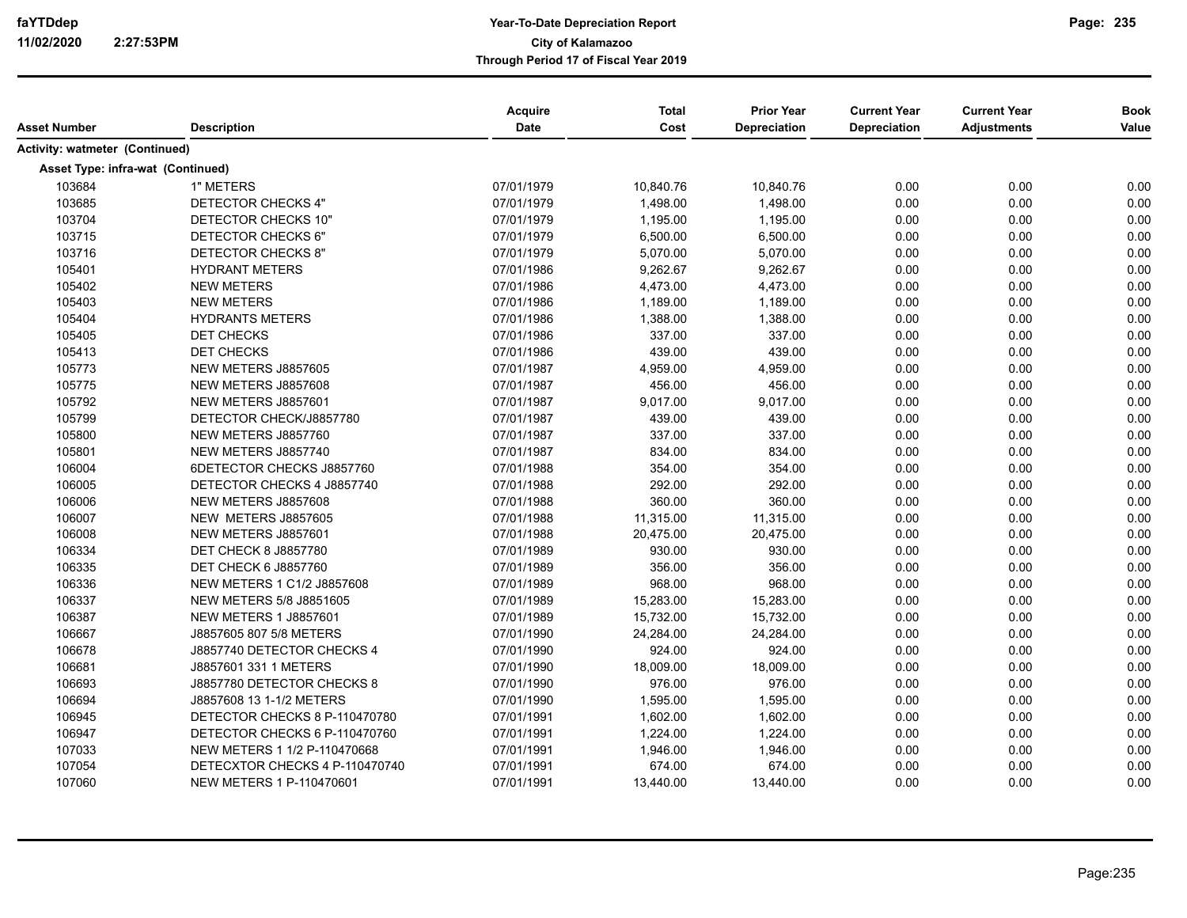| <b>Activity: watmeter (Continued)</b><br><b>Asset Type: infra-wat (Continued)</b><br>07/01/1979<br>103684<br>1" METERS<br>10,840.76<br>10,840.76<br>0.00<br>0.00<br>103685<br>0.00<br>DETECTOR CHECKS 4"<br>07/01/1979<br>1,498.00<br>1,498.00<br>0.00<br>0.00<br>103704<br>0.00<br>0.00<br>DETECTOR CHECKS 10"<br>07/01/1979<br>1,195.00<br>1,195.00<br>103715<br>0.00<br>DETECTOR CHECKS 6"<br>07/01/1979<br>6,500.00<br>6,500.00<br>0.00<br>0.00<br>103716<br>DETECTOR CHECKS 8"<br>07/01/1979<br>5,070.00<br>5,070.00<br>0.00<br>0.00<br>105401<br><b>HYDRANT METERS</b><br>07/01/1986<br>9,262.67<br>9,262.67<br>0.00<br>0.00<br>105402<br><b>NEW METERS</b><br>07/01/1986<br>4,473.00<br>4,473.00<br>0.00<br>0.00<br>105403<br>0.00<br><b>NEW METERS</b><br>07/01/1986<br>1,189.00<br>1,189.00<br>0.00<br>105404<br>1,388.00<br>0.00<br><b>HYDRANTS METERS</b><br>07/01/1986<br>1,388.00<br>0.00<br>105405<br>337.00<br>0.00<br><b>DET CHECKS</b><br>07/01/1986<br>337.00<br>0.00<br>105413<br>DET CHECKS<br>439.00<br>439.00<br>0.00<br>07/01/1986<br>0.00<br>105773<br>NEW METERS J8857605<br>07/01/1987<br>4,959.00<br>4,959.00<br>0.00<br>0.00<br>105775<br>NEW METERS J8857608<br>456.00<br>0.00<br>0.00<br>07/01/1987<br>456.00<br>105792<br>NEW METERS J8857601<br>07/01/1987<br>9,017.00<br>9,017.00<br>0.00<br>0.00<br>105799<br>DETECTOR CHECK/J8857780<br>07/01/1987<br>439.00<br>439.00<br>0.00<br>0.00<br>105800<br>337.00<br>337.00<br>0.00<br>NEW METERS J8857760<br>07/01/1987<br>0.00<br>105801<br>834.00<br>834.00<br>0.00<br>NEW METERS J8857740<br>07/01/1987<br>0.00<br>106004<br>354.00<br>354.00<br>0.00<br>0.00<br>6DETECTOR CHECKS J8857760<br>07/01/1988<br>106005<br>DETECTOR CHECKS 4 J8857740<br>292.00<br>292.00<br>0.00<br>0.00<br>07/01/1988<br>106006<br>NEW METERS J8857608<br>360.00<br>360.00<br>0.00<br>0.00<br>07/01/1988<br>106007<br>NEW METERS J8857605<br>11,315.00<br>0.00<br>0.00<br>07/01/1988<br>11,315.00<br>106008<br>NEW METERS J8857601<br>20,475.00<br>20,475.00<br>0.00<br>0.00<br>07/01/1988<br>106334<br><b>DET CHECK 8 J8857780</b><br>930.00<br>930.00<br>0.00<br>0.00<br>07/01/1989<br>106335<br><b>DET CHECK 6 J8857760</b><br>07/01/1989<br>356.00<br>356.00<br>0.00<br>0.00<br>106336<br>NEW METERS 1 C1/2 J8857608<br>07/01/1989<br>968.00<br>968.00<br>0.00<br>0.00<br>106337<br>NEW METERS 5/8 J8851605<br>07/01/1989<br>15,283.00<br>15,283.00<br>0.00<br>0.00<br>106387<br><b>NEW METERS 1 J8857601</b><br>07/01/1989<br>15,732.00<br>15,732.00<br>0.00<br>0.00<br>106667<br>J8857605 807 5/8 METERS<br>07/01/1990<br>24,284.00<br>24,284.00<br>0.00<br>0.00<br>106678<br>J8857740 DETECTOR CHECKS 4<br>924.00<br>924.00<br>0.00<br>07/01/1990<br>0.00<br>106681<br>J8857601 331 1 METERS<br>18,009.00<br>18,009.00<br>0.00<br>0.00<br>07/01/1990<br>106693<br>J8857780 DETECTOR CHECKS 8<br>976.00<br>976.00<br>07/01/1990<br>0.00<br>0.00<br>106694<br>J8857608 13 1-1/2 METERS<br>07/01/1990<br>1,595.00<br>1,595.00<br>0.00<br>0.00<br>106945<br>DETECTOR CHECKS 8 P-110470780<br>07/01/1991<br>1,602.00<br>1,602.00<br>0.00<br>0.00<br>106947<br>DETECTOR CHECKS 6 P-110470760<br>07/01/1991<br>1,224.00<br>1,224.00<br>0.00<br>0.00<br>107033<br>NEW METERS 1 1/2 P-110470668<br>07/01/1991<br>1,946.00<br>1,946.00<br>0.00<br>0.00<br>107054<br>DETECXTOR CHECKS 4 P-110470740<br>07/01/1991<br>674.00<br>674.00<br>0.00<br>0.00<br>107060<br>0.00<br>0.00<br>NEW METERS 1 P-110470601<br>07/01/1991<br>13,440.00<br>13,440.00 | Asset Number | <b>Description</b> | Acquire<br>Date | <b>Total</b><br>Cost | <b>Prior Year</b><br>Depreciation | <b>Current Year</b><br>Depreciation | <b>Current Year</b><br><b>Adjustments</b> | <b>Book</b><br>Value |
|--------------------------------------------------------------------------------------------------------------------------------------------------------------------------------------------------------------------------------------------------------------------------------------------------------------------------------------------------------------------------------------------------------------------------------------------------------------------------------------------------------------------------------------------------------------------------------------------------------------------------------------------------------------------------------------------------------------------------------------------------------------------------------------------------------------------------------------------------------------------------------------------------------------------------------------------------------------------------------------------------------------------------------------------------------------------------------------------------------------------------------------------------------------------------------------------------------------------------------------------------------------------------------------------------------------------------------------------------------------------------------------------------------------------------------------------------------------------------------------------------------------------------------------------------------------------------------------------------------------------------------------------------------------------------------------------------------------------------------------------------------------------------------------------------------------------------------------------------------------------------------------------------------------------------------------------------------------------------------------------------------------------------------------------------------------------------------------------------------------------------------------------------------------------------------------------------------------------------------------------------------------------------------------------------------------------------------------------------------------------------------------------------------------------------------------------------------------------------------------------------------------------------------------------------------------------------------------------------------------------------------------------------------------------------------------------------------------------------------------------------------------------------------------------------------------------------------------------------------------------------------------------------------------------------------------------------------------------------------------------------------------------------------------------------------------------------------------------------------------------------------------------------------------------------------------------------------------------------------------------------------------------------------------------------------------------------------------------------------------------------------------------------------------------------------------------------------------------------------------------------------------|--------------|--------------------|-----------------|----------------------|-----------------------------------|-------------------------------------|-------------------------------------------|----------------------|
|                                                                                                                                                                                                                                                                                                                                                                                                                                                                                                                                                                                                                                                                                                                                                                                                                                                                                                                                                                                                                                                                                                                                                                                                                                                                                                                                                                                                                                                                                                                                                                                                                                                                                                                                                                                                                                                                                                                                                                                                                                                                                                                                                                                                                                                                                                                                                                                                                                                                                                                                                                                                                                                                                                                                                                                                                                                                                                                                                                                                                                                                                                                                                                                                                                                                                                                                                                                                                                                                                                              |              |                    |                 |                      |                                   |                                     |                                           |                      |
|                                                                                                                                                                                                                                                                                                                                                                                                                                                                                                                                                                                                                                                                                                                                                                                                                                                                                                                                                                                                                                                                                                                                                                                                                                                                                                                                                                                                                                                                                                                                                                                                                                                                                                                                                                                                                                                                                                                                                                                                                                                                                                                                                                                                                                                                                                                                                                                                                                                                                                                                                                                                                                                                                                                                                                                                                                                                                                                                                                                                                                                                                                                                                                                                                                                                                                                                                                                                                                                                                                              |              |                    |                 |                      |                                   |                                     |                                           |                      |
|                                                                                                                                                                                                                                                                                                                                                                                                                                                                                                                                                                                                                                                                                                                                                                                                                                                                                                                                                                                                                                                                                                                                                                                                                                                                                                                                                                                                                                                                                                                                                                                                                                                                                                                                                                                                                                                                                                                                                                                                                                                                                                                                                                                                                                                                                                                                                                                                                                                                                                                                                                                                                                                                                                                                                                                                                                                                                                                                                                                                                                                                                                                                                                                                                                                                                                                                                                                                                                                                                                              |              |                    |                 |                      |                                   |                                     |                                           |                      |
|                                                                                                                                                                                                                                                                                                                                                                                                                                                                                                                                                                                                                                                                                                                                                                                                                                                                                                                                                                                                                                                                                                                                                                                                                                                                                                                                                                                                                                                                                                                                                                                                                                                                                                                                                                                                                                                                                                                                                                                                                                                                                                                                                                                                                                                                                                                                                                                                                                                                                                                                                                                                                                                                                                                                                                                                                                                                                                                                                                                                                                                                                                                                                                                                                                                                                                                                                                                                                                                                                                              |              |                    |                 |                      |                                   |                                     |                                           | 0.00                 |
|                                                                                                                                                                                                                                                                                                                                                                                                                                                                                                                                                                                                                                                                                                                                                                                                                                                                                                                                                                                                                                                                                                                                                                                                                                                                                                                                                                                                                                                                                                                                                                                                                                                                                                                                                                                                                                                                                                                                                                                                                                                                                                                                                                                                                                                                                                                                                                                                                                                                                                                                                                                                                                                                                                                                                                                                                                                                                                                                                                                                                                                                                                                                                                                                                                                                                                                                                                                                                                                                                                              |              |                    |                 |                      |                                   |                                     |                                           |                      |
|                                                                                                                                                                                                                                                                                                                                                                                                                                                                                                                                                                                                                                                                                                                                                                                                                                                                                                                                                                                                                                                                                                                                                                                                                                                                                                                                                                                                                                                                                                                                                                                                                                                                                                                                                                                                                                                                                                                                                                                                                                                                                                                                                                                                                                                                                                                                                                                                                                                                                                                                                                                                                                                                                                                                                                                                                                                                                                                                                                                                                                                                                                                                                                                                                                                                                                                                                                                                                                                                                                              |              |                    |                 |                      |                                   |                                     |                                           | 0.00                 |
|                                                                                                                                                                                                                                                                                                                                                                                                                                                                                                                                                                                                                                                                                                                                                                                                                                                                                                                                                                                                                                                                                                                                                                                                                                                                                                                                                                                                                                                                                                                                                                                                                                                                                                                                                                                                                                                                                                                                                                                                                                                                                                                                                                                                                                                                                                                                                                                                                                                                                                                                                                                                                                                                                                                                                                                                                                                                                                                                                                                                                                                                                                                                                                                                                                                                                                                                                                                                                                                                                                              |              |                    |                 |                      |                                   |                                     |                                           |                      |
|                                                                                                                                                                                                                                                                                                                                                                                                                                                                                                                                                                                                                                                                                                                                                                                                                                                                                                                                                                                                                                                                                                                                                                                                                                                                                                                                                                                                                                                                                                                                                                                                                                                                                                                                                                                                                                                                                                                                                                                                                                                                                                                                                                                                                                                                                                                                                                                                                                                                                                                                                                                                                                                                                                                                                                                                                                                                                                                                                                                                                                                                                                                                                                                                                                                                                                                                                                                                                                                                                                              |              |                    |                 |                      |                                   |                                     |                                           | 0.00                 |
|                                                                                                                                                                                                                                                                                                                                                                                                                                                                                                                                                                                                                                                                                                                                                                                                                                                                                                                                                                                                                                                                                                                                                                                                                                                                                                                                                                                                                                                                                                                                                                                                                                                                                                                                                                                                                                                                                                                                                                                                                                                                                                                                                                                                                                                                                                                                                                                                                                                                                                                                                                                                                                                                                                                                                                                                                                                                                                                                                                                                                                                                                                                                                                                                                                                                                                                                                                                                                                                                                                              |              |                    |                 |                      |                                   |                                     |                                           | 0.00                 |
|                                                                                                                                                                                                                                                                                                                                                                                                                                                                                                                                                                                                                                                                                                                                                                                                                                                                                                                                                                                                                                                                                                                                                                                                                                                                                                                                                                                                                                                                                                                                                                                                                                                                                                                                                                                                                                                                                                                                                                                                                                                                                                                                                                                                                                                                                                                                                                                                                                                                                                                                                                                                                                                                                                                                                                                                                                                                                                                                                                                                                                                                                                                                                                                                                                                                                                                                                                                                                                                                                                              |              |                    |                 |                      |                                   |                                     |                                           | 0.00                 |
|                                                                                                                                                                                                                                                                                                                                                                                                                                                                                                                                                                                                                                                                                                                                                                                                                                                                                                                                                                                                                                                                                                                                                                                                                                                                                                                                                                                                                                                                                                                                                                                                                                                                                                                                                                                                                                                                                                                                                                                                                                                                                                                                                                                                                                                                                                                                                                                                                                                                                                                                                                                                                                                                                                                                                                                                                                                                                                                                                                                                                                                                                                                                                                                                                                                                                                                                                                                                                                                                                                              |              |                    |                 |                      |                                   |                                     |                                           | 0.00                 |
|                                                                                                                                                                                                                                                                                                                                                                                                                                                                                                                                                                                                                                                                                                                                                                                                                                                                                                                                                                                                                                                                                                                                                                                                                                                                                                                                                                                                                                                                                                                                                                                                                                                                                                                                                                                                                                                                                                                                                                                                                                                                                                                                                                                                                                                                                                                                                                                                                                                                                                                                                                                                                                                                                                                                                                                                                                                                                                                                                                                                                                                                                                                                                                                                                                                                                                                                                                                                                                                                                                              |              |                    |                 |                      |                                   |                                     |                                           | 0.00                 |
|                                                                                                                                                                                                                                                                                                                                                                                                                                                                                                                                                                                                                                                                                                                                                                                                                                                                                                                                                                                                                                                                                                                                                                                                                                                                                                                                                                                                                                                                                                                                                                                                                                                                                                                                                                                                                                                                                                                                                                                                                                                                                                                                                                                                                                                                                                                                                                                                                                                                                                                                                                                                                                                                                                                                                                                                                                                                                                                                                                                                                                                                                                                                                                                                                                                                                                                                                                                                                                                                                                              |              |                    |                 |                      |                                   |                                     |                                           | 0.00                 |
|                                                                                                                                                                                                                                                                                                                                                                                                                                                                                                                                                                                                                                                                                                                                                                                                                                                                                                                                                                                                                                                                                                                                                                                                                                                                                                                                                                                                                                                                                                                                                                                                                                                                                                                                                                                                                                                                                                                                                                                                                                                                                                                                                                                                                                                                                                                                                                                                                                                                                                                                                                                                                                                                                                                                                                                                                                                                                                                                                                                                                                                                                                                                                                                                                                                                                                                                                                                                                                                                                                              |              |                    |                 |                      |                                   |                                     |                                           | 0.00                 |
|                                                                                                                                                                                                                                                                                                                                                                                                                                                                                                                                                                                                                                                                                                                                                                                                                                                                                                                                                                                                                                                                                                                                                                                                                                                                                                                                                                                                                                                                                                                                                                                                                                                                                                                                                                                                                                                                                                                                                                                                                                                                                                                                                                                                                                                                                                                                                                                                                                                                                                                                                                                                                                                                                                                                                                                                                                                                                                                                                                                                                                                                                                                                                                                                                                                                                                                                                                                                                                                                                                              |              |                    |                 |                      |                                   |                                     |                                           | 0.00                 |
|                                                                                                                                                                                                                                                                                                                                                                                                                                                                                                                                                                                                                                                                                                                                                                                                                                                                                                                                                                                                                                                                                                                                                                                                                                                                                                                                                                                                                                                                                                                                                                                                                                                                                                                                                                                                                                                                                                                                                                                                                                                                                                                                                                                                                                                                                                                                                                                                                                                                                                                                                                                                                                                                                                                                                                                                                                                                                                                                                                                                                                                                                                                                                                                                                                                                                                                                                                                                                                                                                                              |              |                    |                 |                      |                                   |                                     |                                           | 0.00                 |
|                                                                                                                                                                                                                                                                                                                                                                                                                                                                                                                                                                                                                                                                                                                                                                                                                                                                                                                                                                                                                                                                                                                                                                                                                                                                                                                                                                                                                                                                                                                                                                                                                                                                                                                                                                                                                                                                                                                                                                                                                                                                                                                                                                                                                                                                                                                                                                                                                                                                                                                                                                                                                                                                                                                                                                                                                                                                                                                                                                                                                                                                                                                                                                                                                                                                                                                                                                                                                                                                                                              |              |                    |                 |                      |                                   |                                     |                                           | 0.00                 |
|                                                                                                                                                                                                                                                                                                                                                                                                                                                                                                                                                                                                                                                                                                                                                                                                                                                                                                                                                                                                                                                                                                                                                                                                                                                                                                                                                                                                                                                                                                                                                                                                                                                                                                                                                                                                                                                                                                                                                                                                                                                                                                                                                                                                                                                                                                                                                                                                                                                                                                                                                                                                                                                                                                                                                                                                                                                                                                                                                                                                                                                                                                                                                                                                                                                                                                                                                                                                                                                                                                              |              |                    |                 |                      |                                   |                                     |                                           | 0.00                 |
|                                                                                                                                                                                                                                                                                                                                                                                                                                                                                                                                                                                                                                                                                                                                                                                                                                                                                                                                                                                                                                                                                                                                                                                                                                                                                                                                                                                                                                                                                                                                                                                                                                                                                                                                                                                                                                                                                                                                                                                                                                                                                                                                                                                                                                                                                                                                                                                                                                                                                                                                                                                                                                                                                                                                                                                                                                                                                                                                                                                                                                                                                                                                                                                                                                                                                                                                                                                                                                                                                                              |              |                    |                 |                      |                                   |                                     |                                           | 0.00                 |
|                                                                                                                                                                                                                                                                                                                                                                                                                                                                                                                                                                                                                                                                                                                                                                                                                                                                                                                                                                                                                                                                                                                                                                                                                                                                                                                                                                                                                                                                                                                                                                                                                                                                                                                                                                                                                                                                                                                                                                                                                                                                                                                                                                                                                                                                                                                                                                                                                                                                                                                                                                                                                                                                                                                                                                                                                                                                                                                                                                                                                                                                                                                                                                                                                                                                                                                                                                                                                                                                                                              |              |                    |                 |                      |                                   |                                     |                                           | 0.00                 |
|                                                                                                                                                                                                                                                                                                                                                                                                                                                                                                                                                                                                                                                                                                                                                                                                                                                                                                                                                                                                                                                                                                                                                                                                                                                                                                                                                                                                                                                                                                                                                                                                                                                                                                                                                                                                                                                                                                                                                                                                                                                                                                                                                                                                                                                                                                                                                                                                                                                                                                                                                                                                                                                                                                                                                                                                                                                                                                                                                                                                                                                                                                                                                                                                                                                                                                                                                                                                                                                                                                              |              |                    |                 |                      |                                   |                                     |                                           | 0.00                 |
|                                                                                                                                                                                                                                                                                                                                                                                                                                                                                                                                                                                                                                                                                                                                                                                                                                                                                                                                                                                                                                                                                                                                                                                                                                                                                                                                                                                                                                                                                                                                                                                                                                                                                                                                                                                                                                                                                                                                                                                                                                                                                                                                                                                                                                                                                                                                                                                                                                                                                                                                                                                                                                                                                                                                                                                                                                                                                                                                                                                                                                                                                                                                                                                                                                                                                                                                                                                                                                                                                                              |              |                    |                 |                      |                                   |                                     |                                           | 0.00                 |
|                                                                                                                                                                                                                                                                                                                                                                                                                                                                                                                                                                                                                                                                                                                                                                                                                                                                                                                                                                                                                                                                                                                                                                                                                                                                                                                                                                                                                                                                                                                                                                                                                                                                                                                                                                                                                                                                                                                                                                                                                                                                                                                                                                                                                                                                                                                                                                                                                                                                                                                                                                                                                                                                                                                                                                                                                                                                                                                                                                                                                                                                                                                                                                                                                                                                                                                                                                                                                                                                                                              |              |                    |                 |                      |                                   |                                     |                                           | 0.00                 |
|                                                                                                                                                                                                                                                                                                                                                                                                                                                                                                                                                                                                                                                                                                                                                                                                                                                                                                                                                                                                                                                                                                                                                                                                                                                                                                                                                                                                                                                                                                                                                                                                                                                                                                                                                                                                                                                                                                                                                                                                                                                                                                                                                                                                                                                                                                                                                                                                                                                                                                                                                                                                                                                                                                                                                                                                                                                                                                                                                                                                                                                                                                                                                                                                                                                                                                                                                                                                                                                                                                              |              |                    |                 |                      |                                   |                                     |                                           | 0.00                 |
|                                                                                                                                                                                                                                                                                                                                                                                                                                                                                                                                                                                                                                                                                                                                                                                                                                                                                                                                                                                                                                                                                                                                                                                                                                                                                                                                                                                                                                                                                                                                                                                                                                                                                                                                                                                                                                                                                                                                                                                                                                                                                                                                                                                                                                                                                                                                                                                                                                                                                                                                                                                                                                                                                                                                                                                                                                                                                                                                                                                                                                                                                                                                                                                                                                                                                                                                                                                                                                                                                                              |              |                    |                 |                      |                                   |                                     |                                           | 0.00                 |
|                                                                                                                                                                                                                                                                                                                                                                                                                                                                                                                                                                                                                                                                                                                                                                                                                                                                                                                                                                                                                                                                                                                                                                                                                                                                                                                                                                                                                                                                                                                                                                                                                                                                                                                                                                                                                                                                                                                                                                                                                                                                                                                                                                                                                                                                                                                                                                                                                                                                                                                                                                                                                                                                                                                                                                                                                                                                                                                                                                                                                                                                                                                                                                                                                                                                                                                                                                                                                                                                                                              |              |                    |                 |                      |                                   |                                     |                                           | 0.00                 |
|                                                                                                                                                                                                                                                                                                                                                                                                                                                                                                                                                                                                                                                                                                                                                                                                                                                                                                                                                                                                                                                                                                                                                                                                                                                                                                                                                                                                                                                                                                                                                                                                                                                                                                                                                                                                                                                                                                                                                                                                                                                                                                                                                                                                                                                                                                                                                                                                                                                                                                                                                                                                                                                                                                                                                                                                                                                                                                                                                                                                                                                                                                                                                                                                                                                                                                                                                                                                                                                                                                              |              |                    |                 |                      |                                   |                                     |                                           | 0.00                 |
|                                                                                                                                                                                                                                                                                                                                                                                                                                                                                                                                                                                                                                                                                                                                                                                                                                                                                                                                                                                                                                                                                                                                                                                                                                                                                                                                                                                                                                                                                                                                                                                                                                                                                                                                                                                                                                                                                                                                                                                                                                                                                                                                                                                                                                                                                                                                                                                                                                                                                                                                                                                                                                                                                                                                                                                                                                                                                                                                                                                                                                                                                                                                                                                                                                                                                                                                                                                                                                                                                                              |              |                    |                 |                      |                                   |                                     |                                           | 0.00                 |
|                                                                                                                                                                                                                                                                                                                                                                                                                                                                                                                                                                                                                                                                                                                                                                                                                                                                                                                                                                                                                                                                                                                                                                                                                                                                                                                                                                                                                                                                                                                                                                                                                                                                                                                                                                                                                                                                                                                                                                                                                                                                                                                                                                                                                                                                                                                                                                                                                                                                                                                                                                                                                                                                                                                                                                                                                                                                                                                                                                                                                                                                                                                                                                                                                                                                                                                                                                                                                                                                                                              |              |                    |                 |                      |                                   |                                     |                                           | 0.00                 |
|                                                                                                                                                                                                                                                                                                                                                                                                                                                                                                                                                                                                                                                                                                                                                                                                                                                                                                                                                                                                                                                                                                                                                                                                                                                                                                                                                                                                                                                                                                                                                                                                                                                                                                                                                                                                                                                                                                                                                                                                                                                                                                                                                                                                                                                                                                                                                                                                                                                                                                                                                                                                                                                                                                                                                                                                                                                                                                                                                                                                                                                                                                                                                                                                                                                                                                                                                                                                                                                                                                              |              |                    |                 |                      |                                   |                                     |                                           | 0.00                 |
|                                                                                                                                                                                                                                                                                                                                                                                                                                                                                                                                                                                                                                                                                                                                                                                                                                                                                                                                                                                                                                                                                                                                                                                                                                                                                                                                                                                                                                                                                                                                                                                                                                                                                                                                                                                                                                                                                                                                                                                                                                                                                                                                                                                                                                                                                                                                                                                                                                                                                                                                                                                                                                                                                                                                                                                                                                                                                                                                                                                                                                                                                                                                                                                                                                                                                                                                                                                                                                                                                                              |              |                    |                 |                      |                                   |                                     |                                           | 0.00                 |
|                                                                                                                                                                                                                                                                                                                                                                                                                                                                                                                                                                                                                                                                                                                                                                                                                                                                                                                                                                                                                                                                                                                                                                                                                                                                                                                                                                                                                                                                                                                                                                                                                                                                                                                                                                                                                                                                                                                                                                                                                                                                                                                                                                                                                                                                                                                                                                                                                                                                                                                                                                                                                                                                                                                                                                                                                                                                                                                                                                                                                                                                                                                                                                                                                                                                                                                                                                                                                                                                                                              |              |                    |                 |                      |                                   |                                     |                                           | 0.00                 |
|                                                                                                                                                                                                                                                                                                                                                                                                                                                                                                                                                                                                                                                                                                                                                                                                                                                                                                                                                                                                                                                                                                                                                                                                                                                                                                                                                                                                                                                                                                                                                                                                                                                                                                                                                                                                                                                                                                                                                                                                                                                                                                                                                                                                                                                                                                                                                                                                                                                                                                                                                                                                                                                                                                                                                                                                                                                                                                                                                                                                                                                                                                                                                                                                                                                                                                                                                                                                                                                                                                              |              |                    |                 |                      |                                   |                                     |                                           | 0.00                 |
|                                                                                                                                                                                                                                                                                                                                                                                                                                                                                                                                                                                                                                                                                                                                                                                                                                                                                                                                                                                                                                                                                                                                                                                                                                                                                                                                                                                                                                                                                                                                                                                                                                                                                                                                                                                                                                                                                                                                                                                                                                                                                                                                                                                                                                                                                                                                                                                                                                                                                                                                                                                                                                                                                                                                                                                                                                                                                                                                                                                                                                                                                                                                                                                                                                                                                                                                                                                                                                                                                                              |              |                    |                 |                      |                                   |                                     |                                           | 0.00                 |
|                                                                                                                                                                                                                                                                                                                                                                                                                                                                                                                                                                                                                                                                                                                                                                                                                                                                                                                                                                                                                                                                                                                                                                                                                                                                                                                                                                                                                                                                                                                                                                                                                                                                                                                                                                                                                                                                                                                                                                                                                                                                                                                                                                                                                                                                                                                                                                                                                                                                                                                                                                                                                                                                                                                                                                                                                                                                                                                                                                                                                                                                                                                                                                                                                                                                                                                                                                                                                                                                                                              |              |                    |                 |                      |                                   |                                     |                                           | 0.00                 |
|                                                                                                                                                                                                                                                                                                                                                                                                                                                                                                                                                                                                                                                                                                                                                                                                                                                                                                                                                                                                                                                                                                                                                                                                                                                                                                                                                                                                                                                                                                                                                                                                                                                                                                                                                                                                                                                                                                                                                                                                                                                                                                                                                                                                                                                                                                                                                                                                                                                                                                                                                                                                                                                                                                                                                                                                                                                                                                                                                                                                                                                                                                                                                                                                                                                                                                                                                                                                                                                                                                              |              |                    |                 |                      |                                   |                                     |                                           | 0.00                 |
|                                                                                                                                                                                                                                                                                                                                                                                                                                                                                                                                                                                                                                                                                                                                                                                                                                                                                                                                                                                                                                                                                                                                                                                                                                                                                                                                                                                                                                                                                                                                                                                                                                                                                                                                                                                                                                                                                                                                                                                                                                                                                                                                                                                                                                                                                                                                                                                                                                                                                                                                                                                                                                                                                                                                                                                                                                                                                                                                                                                                                                                                                                                                                                                                                                                                                                                                                                                                                                                                                                              |              |                    |                 |                      |                                   |                                     |                                           | 0.00                 |
|                                                                                                                                                                                                                                                                                                                                                                                                                                                                                                                                                                                                                                                                                                                                                                                                                                                                                                                                                                                                                                                                                                                                                                                                                                                                                                                                                                                                                                                                                                                                                                                                                                                                                                                                                                                                                                                                                                                                                                                                                                                                                                                                                                                                                                                                                                                                                                                                                                                                                                                                                                                                                                                                                                                                                                                                                                                                                                                                                                                                                                                                                                                                                                                                                                                                                                                                                                                                                                                                                                              |              |                    |                 |                      |                                   |                                     |                                           | 0.00                 |
|                                                                                                                                                                                                                                                                                                                                                                                                                                                                                                                                                                                                                                                                                                                                                                                                                                                                                                                                                                                                                                                                                                                                                                                                                                                                                                                                                                                                                                                                                                                                                                                                                                                                                                                                                                                                                                                                                                                                                                                                                                                                                                                                                                                                                                                                                                                                                                                                                                                                                                                                                                                                                                                                                                                                                                                                                                                                                                                                                                                                                                                                                                                                                                                                                                                                                                                                                                                                                                                                                                              |              |                    |                 |                      |                                   |                                     |                                           | 0.00                 |
|                                                                                                                                                                                                                                                                                                                                                                                                                                                                                                                                                                                                                                                                                                                                                                                                                                                                                                                                                                                                                                                                                                                                                                                                                                                                                                                                                                                                                                                                                                                                                                                                                                                                                                                                                                                                                                                                                                                                                                                                                                                                                                                                                                                                                                                                                                                                                                                                                                                                                                                                                                                                                                                                                                                                                                                                                                                                                                                                                                                                                                                                                                                                                                                                                                                                                                                                                                                                                                                                                                              |              |                    |                 |                      |                                   |                                     |                                           | 0.00                 |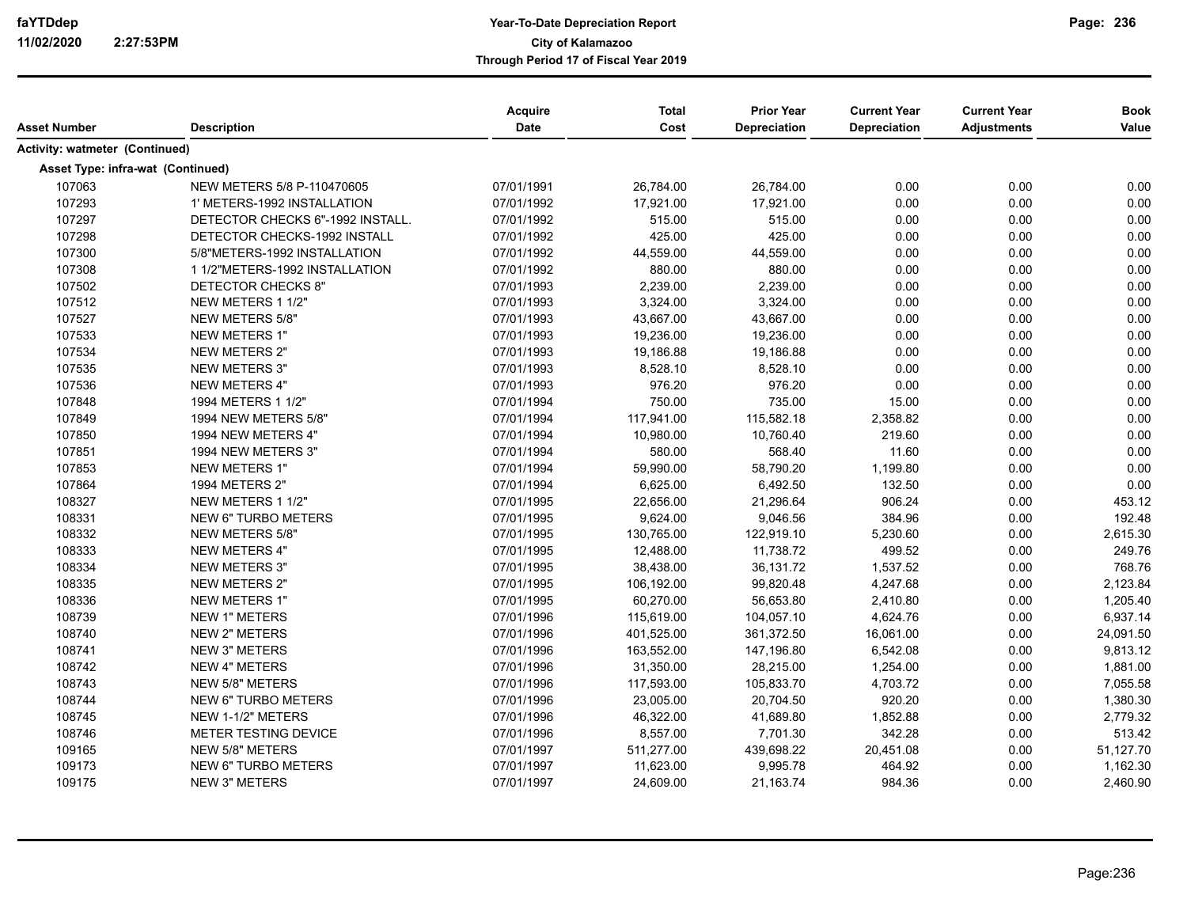| Asset Number                          | <b>Description</b>               | Acquire<br>Date | <b>Total</b><br>Cost | <b>Prior Year</b><br><b>Depreciation</b> | <b>Current Year</b><br>Depreciation | <b>Current Year</b><br><b>Adjustments</b> | <b>Book</b><br>Value |
|---------------------------------------|----------------------------------|-----------------|----------------------|------------------------------------------|-------------------------------------|-------------------------------------------|----------------------|
| <b>Activity: watmeter (Continued)</b> |                                  |                 |                      |                                          |                                     |                                           |                      |
| Asset Type: infra-wat (Continued)     |                                  |                 |                      |                                          |                                     |                                           |                      |
| 107063                                | NEW METERS 5/8 P-110470605       | 07/01/1991      | 26,784.00            | 26,784.00                                | 0.00                                | 0.00                                      | 0.00                 |
| 107293                                | 1' METERS-1992 INSTALLATION      | 07/01/1992      | 17,921.00            | 17,921.00                                | 0.00                                | 0.00                                      | 0.00                 |
| 107297                                | DETECTOR CHECKS 6"-1992 INSTALL. | 07/01/1992      | 515.00               | 515.00                                   | 0.00                                | 0.00                                      | 0.00                 |
| 107298                                | DETECTOR CHECKS-1992 INSTALL     | 07/01/1992      | 425.00               | 425.00                                   | 0.00                                | 0.00                                      | 0.00                 |
| 107300                                | 5/8"METERS-1992 INSTALLATION     | 07/01/1992      | 44,559.00            | 44,559.00                                | 0.00                                | 0.00                                      | 0.00                 |
| 107308                                | 1 1/2"METERS-1992 INSTALLATION   | 07/01/1992      | 880.00               | 880.00                                   | 0.00                                | 0.00                                      | 0.00                 |
| 107502                                | DETECTOR CHECKS 8"               | 07/01/1993      | 2,239.00             | 2,239.00                                 | 0.00                                | 0.00                                      | 0.00                 |
| 107512                                | NEW METERS 1 1/2"                | 07/01/1993      | 3,324.00             | 3,324.00                                 | 0.00                                | 0.00                                      | 0.00                 |
| 107527                                | NEW METERS 5/8"                  | 07/01/1993      | 43,667.00            | 43,667.00                                | 0.00                                | 0.00                                      | 0.00                 |
| 107533                                | NEW METERS 1"                    | 07/01/1993      | 19,236.00            | 19,236.00                                | 0.00                                | 0.00                                      | 0.00                 |
| 107534                                | <b>NEW METERS 2"</b>             | 07/01/1993      | 19,186.88            | 19,186.88                                | 0.00                                | 0.00                                      | 0.00                 |
| 107535                                | NEW METERS 3"                    | 07/01/1993      | 8,528.10             | 8,528.10                                 | 0.00                                | 0.00                                      | 0.00                 |
| 107536                                | <b>NEW METERS 4"</b>             | 07/01/1993      | 976.20               | 976.20                                   | 0.00                                | 0.00                                      | 0.00                 |
| 107848                                | 1994 METERS 1 1/2"               | 07/01/1994      | 750.00               | 735.00                                   | 15.00                               | 0.00                                      | 0.00                 |
| 107849                                | 1994 NEW METERS 5/8"             | 07/01/1994      | 117,941.00           | 115,582.18                               | 2,358.82                            | 0.00                                      | 0.00                 |
| 107850                                | 1994 NEW METERS 4"               | 07/01/1994      | 10,980.00            | 10,760.40                                | 219.60                              | 0.00                                      | 0.00                 |
| 107851                                | 1994 NEW METERS 3"               | 07/01/1994      | 580.00               | 568.40                                   | 11.60                               | 0.00                                      | 0.00                 |
| 107853                                | <b>NEW METERS 1"</b>             | 07/01/1994      | 59,990.00            | 58,790.20                                | 1,199.80                            | 0.00                                      | 0.00                 |
| 107864                                | 1994 METERS 2"                   | 07/01/1994      | 6,625.00             | 6,492.50                                 | 132.50                              | 0.00                                      | 0.00                 |
| 108327                                | NEW METERS 1 1/2"                | 07/01/1995      | 22,656.00            | 21,296.64                                | 906.24                              | 0.00                                      | 453.12               |
| 108331                                | NEW 6" TURBO METERS              | 07/01/1995      | 9,624.00             | 9,046.56                                 | 384.96                              | 0.00                                      | 192.48               |
| 108332                                | <b>NEW METERS 5/8"</b>           | 07/01/1995      | 130,765.00           | 122,919.10                               | 5,230.60                            | 0.00                                      | 2,615.30             |
| 108333                                | <b>NEW METERS 4"</b>             | 07/01/1995      | 12,488.00            | 11,738.72                                | 499.52                              | 0.00                                      | 249.76               |
| 108334                                | NEW METERS 3"                    | 07/01/1995      | 38,438.00            | 36,131.72                                | 1,537.52                            | 0.00                                      | 768.76               |
| 108335                                | NEW METERS 2"                    | 07/01/1995      | 106,192.00           | 99,820.48                                | 4,247.68                            | 0.00                                      | 2,123.84             |
| 108336                                | NEW METERS 1"                    | 07/01/1995      | 60,270.00            | 56,653.80                                | 2,410.80                            | 0.00                                      | 1,205.40             |
| 108739                                | NEW 1" METERS                    | 07/01/1996      | 115,619.00           | 104,057.10                               | 4,624.76                            | 0.00                                      | 6,937.14             |
| 108740                                | <b>NEW 2" METERS</b>             | 07/01/1996      | 401,525.00           | 361,372.50                               | 16,061.00                           | 0.00                                      | 24,091.50            |
| 108741                                | <b>NEW 3" METERS</b>             | 07/01/1996      | 163,552.00           | 147,196.80                               | 6,542.08                            | 0.00                                      | 9,813.12             |
| 108742                                | <b>NEW 4" METERS</b>             | 07/01/1996      | 31,350.00            | 28,215.00                                | 1,254.00                            | 0.00                                      | 1,881.00             |
| 108743                                | <b>NEW 5/8" METERS</b>           | 07/01/1996      | 117,593.00           | 105,833.70                               | 4,703.72                            | 0.00                                      | 7,055.58             |
| 108744                                | <b>NEW 6" TURBO METERS</b>       | 07/01/1996      | 23,005.00            | 20,704.50                                | 920.20                              | 0.00                                      | 1,380.30             |
| 108745                                | NEW 1-1/2" METERS                | 07/01/1996      | 46,322.00            | 41,689.80                                | 1,852.88                            | 0.00                                      | 2,779.32             |
| 108746                                | METER TESTING DEVICE             | 07/01/1996      | 8,557.00             | 7,701.30                                 | 342.28                              | 0.00                                      | 513.42               |
| 109165                                | <b>NEW 5/8" METERS</b>           | 07/01/1997      | 511,277.00           | 439,698.22                               | 20,451.08                           | 0.00                                      | 51,127.70            |
| 109173                                | <b>NEW 6" TURBO METERS</b>       | 07/01/1997      | 11,623.00            | 9,995.78                                 | 464.92                              | 0.00                                      | 1,162.30             |
| 109175                                | <b>NEW 3" METERS</b>             | 07/01/1997      | 24,609.00            | 21,163.74                                | 984.36                              | 0.00                                      | 2,460.90             |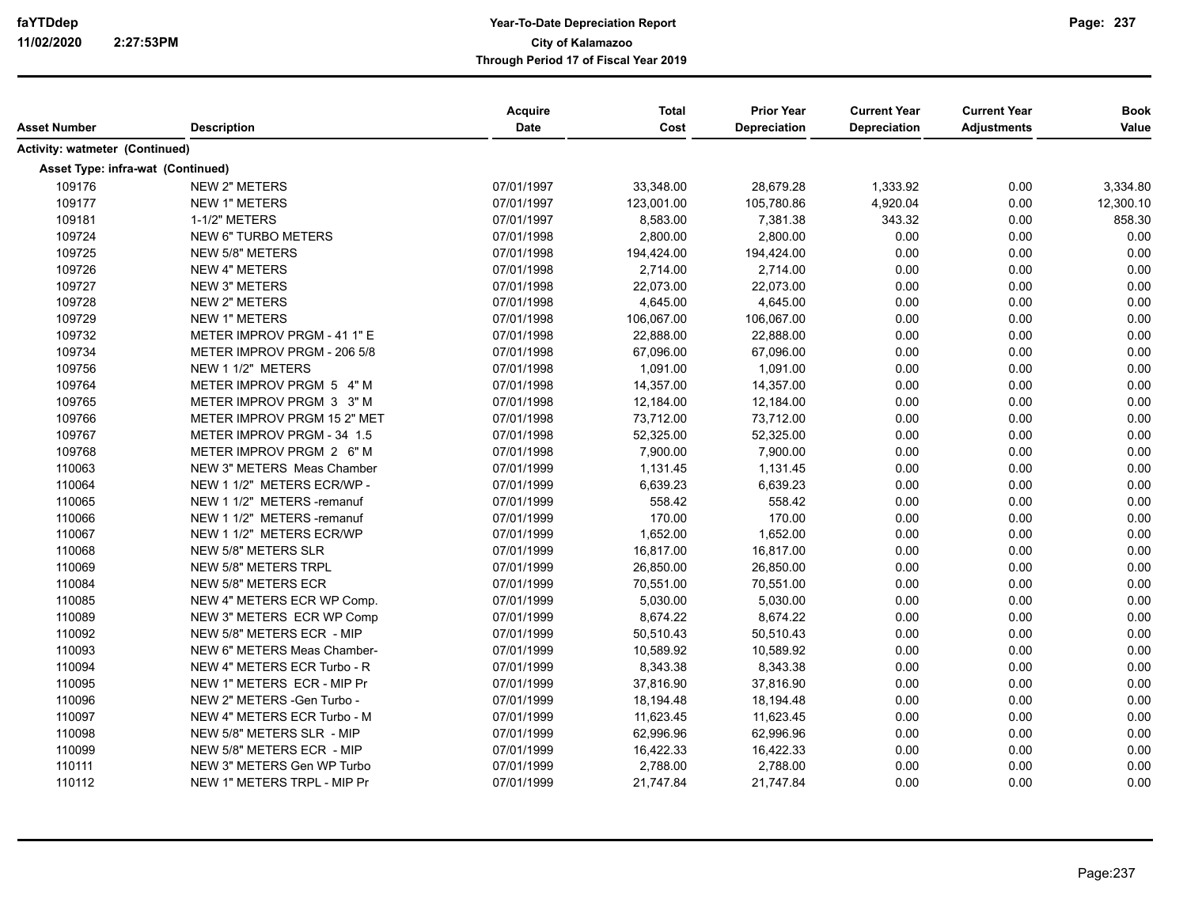| Asset Number                          | <b>Description</b>          | Acquire<br><b>Date</b> | <b>Total</b><br>Cost | <b>Prior Year</b><br><b>Depreciation</b> | <b>Current Year</b><br>Depreciation | <b>Current Year</b><br><b>Adjustments</b> | <b>Book</b><br>Value |
|---------------------------------------|-----------------------------|------------------------|----------------------|------------------------------------------|-------------------------------------|-------------------------------------------|----------------------|
| <b>Activity: watmeter (Continued)</b> |                             |                        |                      |                                          |                                     |                                           |                      |
| Asset Type: infra-wat (Continued)     |                             |                        |                      |                                          |                                     |                                           |                      |
| 109176                                | <b>NEW 2" METERS</b>        | 07/01/1997             | 33,348.00            | 28,679.28                                | 1,333.92                            | 0.00                                      | 3,334.80             |
| 109177                                | <b>NEW 1" METERS</b>        | 07/01/1997             | 123,001.00           | 105,780.86                               | 4,920.04                            | 0.00                                      | 12,300.10            |
| 109181                                | 1-1/2" METERS               | 07/01/1997             | 8,583.00             | 7,381.38                                 | 343.32                              | 0.00                                      | 858.30               |
| 109724                                | <b>NEW 6" TURBO METERS</b>  | 07/01/1998             | 2,800.00             | 2,800.00                                 | 0.00                                | 0.00                                      | 0.00                 |
| 109725                                | <b>NEW 5/8" METERS</b>      | 07/01/1998             | 194,424.00           | 194,424.00                               | 0.00                                | 0.00                                      | 0.00                 |
| 109726                                | <b>NEW 4" METERS</b>        | 07/01/1998             | 2,714.00             | 2,714.00                                 | 0.00                                | 0.00                                      | 0.00                 |
| 109727                                | <b>NEW 3" METERS</b>        | 07/01/1998             | 22,073.00            | 22,073.00                                | 0.00                                | 0.00                                      | 0.00                 |
| 109728                                | <b>NEW 2" METERS</b>        | 07/01/1998             | 4,645.00             | 4,645.00                                 | 0.00                                | 0.00                                      | 0.00                 |
| 109729                                | <b>NEW 1" METERS</b>        | 07/01/1998             | 106,067.00           | 106,067.00                               | 0.00                                | 0.00                                      | 0.00                 |
| 109732                                | METER IMPROV PRGM - 41 1" E | 07/01/1998             | 22,888.00            | 22,888.00                                | 0.00                                | 0.00                                      | 0.00                 |
| 109734                                | METER IMPROV PRGM - 206 5/8 | 07/01/1998             | 67,096.00            | 67,096.00                                | 0.00                                | 0.00                                      | 0.00                 |
| 109756                                | NEW 1 1/2" METERS           | 07/01/1998             | 1,091.00             | 1,091.00                                 | 0.00                                | 0.00                                      | 0.00                 |
| 109764                                | METER IMPROV PRGM 5 4" M    | 07/01/1998             | 14,357.00            | 14,357.00                                | 0.00                                | 0.00                                      | 0.00                 |
| 109765                                | METER IMPROV PRGM 3 3" M    | 07/01/1998             | 12,184.00            | 12,184.00                                | 0.00                                | 0.00                                      | 0.00                 |
| 109766                                | METER IMPROV PRGM 15 2" MET | 07/01/1998             | 73,712.00            | 73,712.00                                | 0.00                                | 0.00                                      | 0.00                 |
| 109767                                | METER IMPROV PRGM - 34 1.5  | 07/01/1998             | 52,325.00            | 52,325.00                                | 0.00                                | 0.00                                      | 0.00                 |
| 109768                                | METER IMPROV PRGM 2 6" M    | 07/01/1998             | 7,900.00             | 7,900.00                                 | 0.00                                | 0.00                                      | 0.00                 |
| 110063                                | NEW 3" METERS Meas Chamber  | 07/01/1999             | 1,131.45             | 1,131.45                                 | 0.00                                | 0.00                                      | 0.00                 |
| 110064                                | NEW 1 1/2" METERS ECR/WP -  | 07/01/1999             | 6,639.23             | 6,639.23                                 | 0.00                                | 0.00                                      | 0.00                 |
| 110065                                | NEW 1 1/2" METERS -remanuf  | 07/01/1999             | 558.42               | 558.42                                   | 0.00                                | 0.00                                      | 0.00                 |
| 110066                                | NEW 1 1/2" METERS -remanuf  | 07/01/1999             | 170.00               | 170.00                                   | 0.00                                | 0.00                                      | 0.00                 |
| 110067                                | NEW 1 1/2" METERS ECR/WP    | 07/01/1999             | 1,652.00             | 1,652.00                                 | 0.00                                | 0.00                                      | 0.00                 |
| 110068                                | NEW 5/8" METERS SLR         | 07/01/1999             | 16,817.00            | 16,817.00                                | 0.00                                | 0.00                                      | 0.00                 |
| 110069                                | <b>NEW 5/8" METERS TRPL</b> | 07/01/1999             | 26,850.00            | 26,850.00                                | 0.00                                | 0.00                                      | 0.00                 |
| 110084                                | NEW 5/8" METERS ECR         | 07/01/1999             | 70,551.00            | 70,551.00                                | 0.00                                | 0.00                                      | 0.00                 |
| 110085                                | NEW 4" METERS ECR WP Comp.  | 07/01/1999             | 5,030.00             | 5,030.00                                 | 0.00                                | 0.00                                      | 0.00                 |
| 110089                                | NEW 3" METERS ECR WP Comp   | 07/01/1999             | 8,674.22             | 8,674.22                                 | 0.00                                | 0.00                                      | 0.00                 |
| 110092                                | NEW 5/8" METERS ECR - MIP   | 07/01/1999             | 50,510.43            | 50,510.43                                | 0.00                                | 0.00                                      | 0.00                 |
| 110093                                | NEW 6" METERS Meas Chamber- | 07/01/1999             | 10,589.92            | 10,589.92                                | 0.00                                | 0.00                                      | 0.00                 |
| 110094                                | NEW 4" METERS ECR Turbo - R | 07/01/1999             | 8,343.38             | 8,343.38                                 | 0.00                                | 0.00                                      | 0.00                 |
| 110095                                | NEW 1" METERS ECR - MIP Pr  | 07/01/1999             | 37,816.90            | 37,816.90                                | 0.00                                | 0.00                                      | 0.00                 |
| 110096                                | NEW 2" METERS -Gen Turbo -  | 07/01/1999             | 18,194.48            | 18,194.48                                | 0.00                                | 0.00                                      | 0.00                 |
| 110097                                | NEW 4" METERS ECR Turbo - M | 07/01/1999             | 11,623.45            | 11,623.45                                | 0.00                                | 0.00                                      | 0.00                 |
| 110098                                | NEW 5/8" METERS SLR - MIP   | 07/01/1999             | 62,996.96            | 62,996.96                                | 0.00                                | 0.00                                      | 0.00                 |
| 110099                                | NEW 5/8" METERS ECR - MIP   | 07/01/1999             | 16,422.33            | 16,422.33                                | 0.00                                | 0.00                                      | 0.00                 |
| 110111                                | NEW 3" METERS Gen WP Turbo  | 07/01/1999             | 2,788.00             | 2,788.00                                 | 0.00                                | 0.00                                      | 0.00                 |
| 110112                                | NEW 1" METERS TRPL - MIP Pr | 07/01/1999             | 21,747.84            | 21,747.84                                | 0.00                                | 0.00                                      | 0.00                 |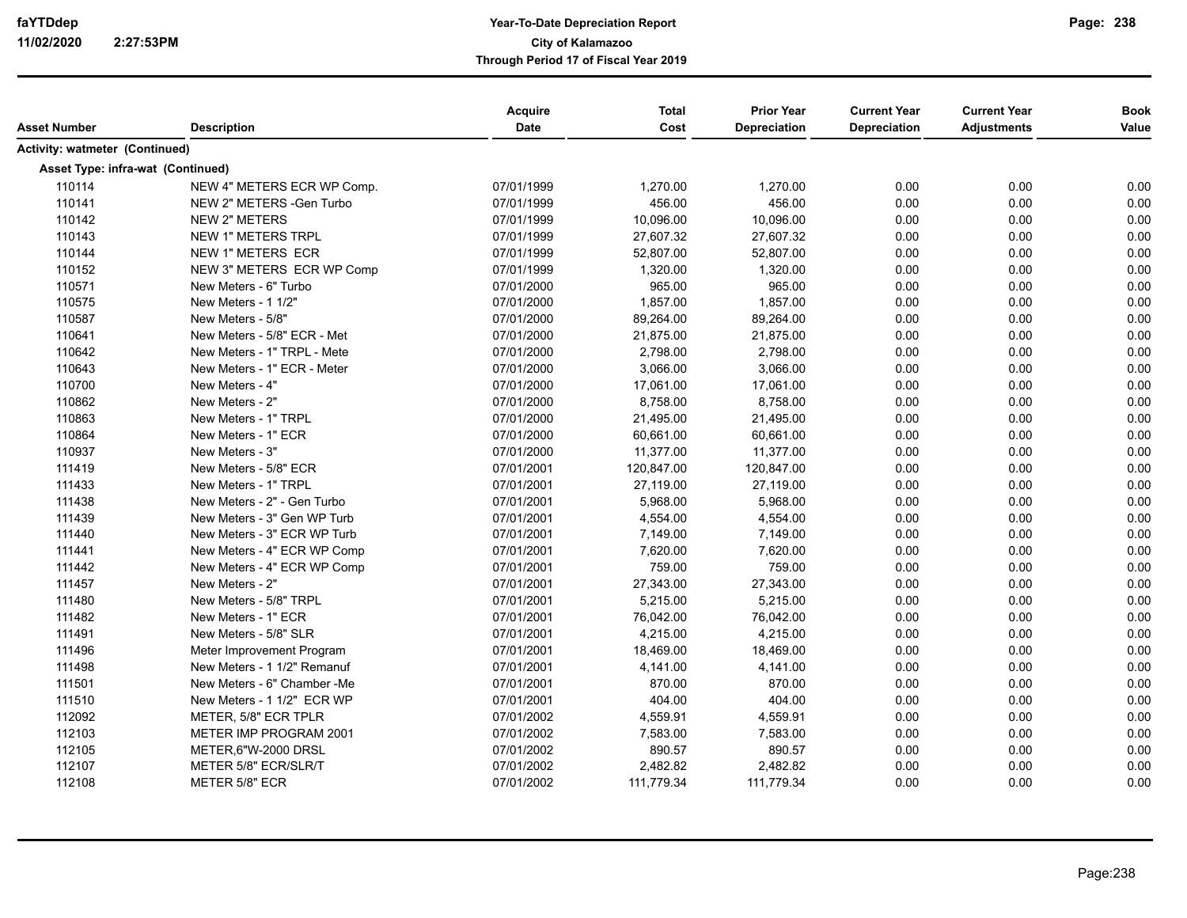| Asset Number                          | <b>Description</b>           | Acquire<br><b>Date</b> | <b>Total</b><br>Cost | <b>Prior Year</b><br>Depreciation | <b>Current Year</b><br><b>Depreciation</b> | <b>Current Year</b><br><b>Adjustments</b> | <b>Book</b><br>Value |
|---------------------------------------|------------------------------|------------------------|----------------------|-----------------------------------|--------------------------------------------|-------------------------------------------|----------------------|
| <b>Activity: watmeter (Continued)</b> |                              |                        |                      |                                   |                                            |                                           |                      |
| Asset Type: infra-wat (Continued)     |                              |                        |                      |                                   |                                            |                                           |                      |
| 110114                                | NEW 4" METERS ECR WP Comp.   | 07/01/1999             | 1,270.00             | 1,270.00                          | 0.00                                       | 0.00                                      | 0.00                 |
| 110141                                | NEW 2" METERS - Gen Turbo    | 07/01/1999             | 456.00               | 456.00                            | 0.00                                       | 0.00                                      | 0.00                 |
| 110142                                | <b>NEW 2" METERS</b>         | 07/01/1999             | 10,096.00            | 10,096.00                         | 0.00                                       | 0.00                                      | 0.00                 |
| 110143                                | NEW 1" METERS TRPL           | 07/01/1999             | 27,607.32            | 27,607.32                         | 0.00                                       | 0.00                                      | 0.00                 |
| 110144                                | NEW 1" METERS ECR            | 07/01/1999             | 52,807.00            | 52,807.00                         | 0.00                                       | 0.00                                      | 0.00                 |
| 110152                                | NEW 3" METERS ECR WP Comp    | 07/01/1999             | 1,320.00             | 1,320.00                          | 0.00                                       | 0.00                                      | 0.00                 |
| 110571                                | New Meters - 6" Turbo        | 07/01/2000             | 965.00               | 965.00                            | 0.00                                       | 0.00                                      | 0.00                 |
| 110575                                | New Meters - 1 1/2"          | 07/01/2000             | 1,857.00             | 1,857.00                          | 0.00                                       | 0.00                                      | 0.00                 |
| 110587                                | New Meters - 5/8"            | 07/01/2000             | 89,264.00            | 89,264.00                         | 0.00                                       | 0.00                                      | 0.00                 |
| 110641                                | New Meters - 5/8" ECR - Met  | 07/01/2000             | 21,875.00            | 21,875.00                         | 0.00                                       | 0.00                                      | 0.00                 |
| 110642                                | New Meters - 1" TRPL - Mete  | 07/01/2000             | 2,798.00             | 2,798.00                          | 0.00                                       | 0.00                                      | 0.00                 |
| 110643                                | New Meters - 1" ECR - Meter  | 07/01/2000             | 3,066.00             | 3,066.00                          | 0.00                                       | 0.00                                      | 0.00                 |
| 110700                                | New Meters - 4"              | 07/01/2000             | 17,061.00            | 17,061.00                         | 0.00                                       | 0.00                                      | 0.00                 |
| 110862                                | New Meters - 2"              | 07/01/2000             | 8,758.00             | 8,758.00                          | 0.00                                       | 0.00                                      | 0.00                 |
| 110863                                | New Meters - 1" TRPL         | 07/01/2000             | 21,495.00            | 21,495.00                         | 0.00                                       | 0.00                                      | 0.00                 |
| 110864                                | New Meters - 1" ECR          | 07/01/2000             | 60,661.00            | 60,661.00                         | 0.00                                       | 0.00                                      | 0.00                 |
| 110937                                | New Meters - 3"              | 07/01/2000             | 11,377.00            | 11,377.00                         | 0.00                                       | 0.00                                      | 0.00                 |
| 111419                                | New Meters - 5/8" ECR        | 07/01/2001             | 120,847.00           | 120,847.00                        | 0.00                                       | 0.00                                      | 0.00                 |
| 111433                                | New Meters - 1" TRPL         | 07/01/2001             | 27,119.00            | 27,119.00                         | 0.00                                       | 0.00                                      | 0.00                 |
| 111438                                | New Meters - 2" - Gen Turbo  | 07/01/2001             | 5,968.00             | 5,968.00                          | 0.00                                       | 0.00                                      | 0.00                 |
| 111439                                | New Meters - 3" Gen WP Turb  | 07/01/2001             | 4,554.00             | 4,554.00                          | 0.00                                       | 0.00                                      | 0.00                 |
| 111440                                | New Meters - 3" ECR WP Turb  | 07/01/2001             | 7,149.00             | 7,149.00                          | 0.00                                       | 0.00                                      | 0.00                 |
| 111441                                | New Meters - 4" ECR WP Comp  | 07/01/2001             | 7,620.00             | 7,620.00                          | 0.00                                       | 0.00                                      | 0.00                 |
| 111442                                | New Meters - 4" ECR WP Comp  | 07/01/2001             | 759.00               | 759.00                            | 0.00                                       | 0.00                                      | 0.00                 |
| 111457                                | New Meters - 2"              | 07/01/2001             | 27,343.00            | 27,343.00                         | 0.00                                       | 0.00                                      | 0.00                 |
| 111480                                | New Meters - 5/8" TRPL       | 07/01/2001             | 5,215.00             | 5,215.00                          | 0.00                                       | 0.00                                      | 0.00                 |
| 111482                                | New Meters - 1" ECR          | 07/01/2001             | 76,042.00            | 76,042.00                         | 0.00                                       | 0.00                                      | 0.00                 |
| 111491                                | New Meters - 5/8" SLR        | 07/01/2001             | 4,215.00             | 4,215.00                          | 0.00                                       | 0.00                                      | 0.00                 |
| 111496                                | Meter Improvement Program    | 07/01/2001             | 18,469.00            | 18,469.00                         | 0.00                                       | 0.00                                      | 0.00                 |
| 111498                                | New Meters - 1 1/2" Remanuf  | 07/01/2001             | 4,141.00             | 4,141.00                          | 0.00                                       | 0.00                                      | 0.00                 |
| 111501                                | New Meters - 6" Chamber - Me | 07/01/2001             | 870.00               | 870.00                            | 0.00                                       | 0.00                                      | 0.00                 |
| 111510                                | New Meters - 1 1/2" ECR WP   | 07/01/2001             | 404.00               | 404.00                            | 0.00                                       | 0.00                                      | 0.00                 |
| 112092                                | METER, 5/8" ECR TPLR         | 07/01/2002             | 4,559.91             | 4,559.91                          | 0.00                                       | 0.00                                      | 0.00                 |
| 112103                                | METER IMP PROGRAM 2001       | 07/01/2002             | 7,583.00             | 7,583.00                          | 0.00                                       | 0.00                                      | 0.00                 |
| 112105                                | METER, 6"W-2000 DRSL         | 07/01/2002             | 890.57               | 890.57                            | 0.00                                       | 0.00                                      | 0.00                 |
| 112107                                | METER 5/8" ECR/SLR/T         | 07/01/2002             | 2,482.82             | 2,482.82                          | 0.00                                       | 0.00                                      | 0.00                 |
| 112108                                | METER 5/8" ECR               | 07/01/2002             | 111,779.34           | 111,779.34                        | 0.00                                       | 0.00                                      | 0.00                 |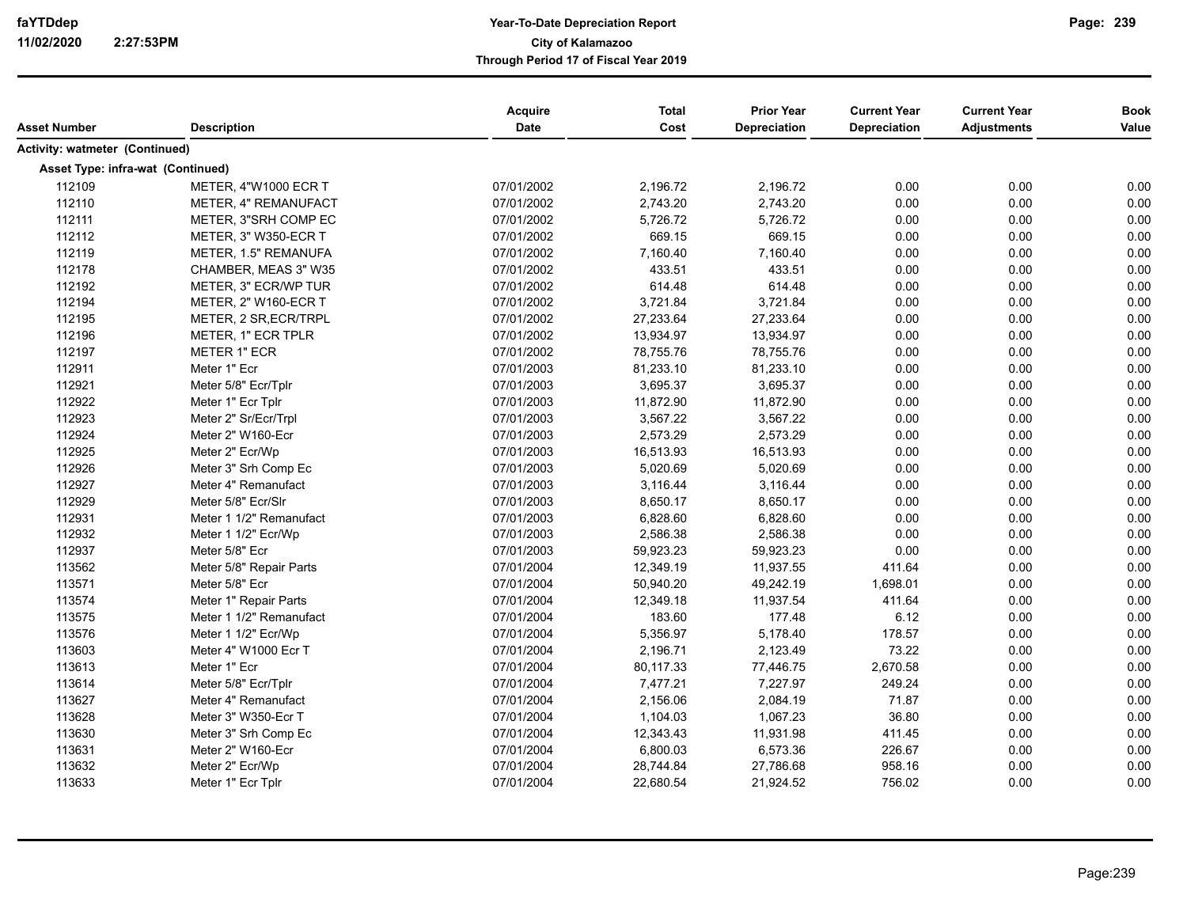|                                       |                         | <b>Acquire</b> | <b>Total</b> | <b>Prior Year</b> | <b>Current Year</b> | <b>Current Year</b> | <b>Book</b> |
|---------------------------------------|-------------------------|----------------|--------------|-------------------|---------------------|---------------------|-------------|
| Asset Number                          | <b>Description</b>      | Date           | Cost         | Depreciation      | <b>Depreciation</b> | <b>Adjustments</b>  | Value       |
| <b>Activity: watmeter (Continued)</b> |                         |                |              |                   |                     |                     |             |
| Asset Type: infra-wat (Continued)     |                         |                |              |                   |                     |                     |             |
| 112109                                | METER, 4"W1000 ECR T    | 07/01/2002     | 2,196.72     | 2,196.72          | 0.00                | 0.00                | 0.00        |
| 112110                                | METER, 4" REMANUFACT    | 07/01/2002     | 2,743.20     | 2,743.20          | 0.00                | 0.00                | 0.00        |
| 112111                                | METER, 3"SRH COMP EC    | 07/01/2002     | 5,726.72     | 5,726.72          | 0.00                | 0.00                | 0.00        |
| 112112                                | METER, 3" W350-ECR T    | 07/01/2002     | 669.15       | 669.15            | 0.00                | 0.00                | 0.00        |
| 112119                                | METER, 1.5" REMANUFA    | 07/01/2002     | 7,160.40     | 7,160.40          | 0.00                | 0.00                | 0.00        |
| 112178                                | CHAMBER, MEAS 3" W35    | 07/01/2002     | 433.51       | 433.51            | 0.00                | 0.00                | 0.00        |
| 112192                                | METER, 3" ECR/WP TUR    | 07/01/2002     | 614.48       | 614.48            | 0.00                | 0.00                | 0.00        |
| 112194                                | METER, 2" W160-ECR T    | 07/01/2002     | 3,721.84     | 3,721.84          | 0.00                | 0.00                | 0.00        |
| 112195                                | METER, 2 SR, ECR/TRPL   | 07/01/2002     | 27,233.64    | 27,233.64         | 0.00                | 0.00                | 0.00        |
| 112196                                | METER, 1" ECR TPLR      | 07/01/2002     | 13,934.97    | 13,934.97         | 0.00                | 0.00                | 0.00        |
| 112197                                | <b>METER 1" ECR</b>     | 07/01/2002     | 78,755.76    | 78,755.76         | 0.00                | 0.00                | 0.00        |
| 112911                                | Meter 1" Ecr            | 07/01/2003     | 81,233.10    | 81,233.10         | 0.00                | 0.00                | 0.00        |
| 112921                                | Meter 5/8" Ecr/Tplr     | 07/01/2003     | 3,695.37     | 3,695.37          | 0.00                | 0.00                | 0.00        |
| 112922                                | Meter 1" Ecr Tplr       | 07/01/2003     | 11,872.90    | 11,872.90         | 0.00                | 0.00                | 0.00        |
| 112923                                | Meter 2" Sr/Ecr/Trpl    | 07/01/2003     | 3,567.22     | 3,567.22          | 0.00                | 0.00                | 0.00        |
| 112924                                | Meter 2" W160-Ecr       | 07/01/2003     | 2,573.29     | 2,573.29          | 0.00                | 0.00                | 0.00        |
| 112925                                | Meter 2" Ecr/Wp         | 07/01/2003     | 16,513.93    | 16,513.93         | 0.00                | 0.00                | 0.00        |
| 112926                                | Meter 3" Srh Comp Ec    | 07/01/2003     | 5,020.69     | 5,020.69          | 0.00                | 0.00                | 0.00        |
| 112927                                | Meter 4" Remanufact     | 07/01/2003     | 3,116.44     | 3,116.44          | 0.00                | 0.00                | 0.00        |
| 112929                                | Meter 5/8" Ecr/Slr      | 07/01/2003     | 8,650.17     | 8,650.17          | 0.00                | 0.00                | 0.00        |
| 112931                                | Meter 1 1/2" Remanufact | 07/01/2003     | 6,828.60     | 6,828.60          | 0.00                | 0.00                | 0.00        |
| 112932                                | Meter 1 1/2" Ecr/Wp     | 07/01/2003     | 2,586.38     | 2,586.38          | 0.00                | 0.00                | 0.00        |
| 112937                                | Meter 5/8" Ecr          | 07/01/2003     | 59,923.23    | 59,923.23         | 0.00                | 0.00                | 0.00        |
| 113562                                | Meter 5/8" Repair Parts | 07/01/2004     | 12,349.19    | 11,937.55         | 411.64              | 0.00                | 0.00        |
| 113571                                | Meter 5/8" Ecr          | 07/01/2004     | 50,940.20    | 49,242.19         | 1,698.01            | 0.00                | 0.00        |
| 113574                                | Meter 1" Repair Parts   | 07/01/2004     | 12,349.18    | 11,937.54         | 411.64              | 0.00                | 0.00        |
| 113575                                | Meter 1 1/2" Remanufact | 07/01/2004     | 183.60       | 177.48            | 6.12                | 0.00                | 0.00        |
| 113576                                | Meter 1 1/2" Ecr/Wp     | 07/01/2004     | 5,356.97     | 5,178.40          | 178.57              | 0.00                | 0.00        |
| 113603                                | Meter 4" W1000 Ecr T    | 07/01/2004     | 2,196.71     | 2,123.49          | 73.22               | 0.00                | 0.00        |
| 113613                                | Meter 1" Ecr            | 07/01/2004     | 80,117.33    | 77,446.75         | 2,670.58            | 0.00                | 0.00        |
| 113614                                | Meter 5/8" Ecr/Tplr     | 07/01/2004     | 7,477.21     | 7,227.97          | 249.24              | 0.00                | 0.00        |
| 113627                                | Meter 4" Remanufact     | 07/01/2004     | 2,156.06     | 2,084.19          | 71.87               | 0.00                | 0.00        |
| 113628                                | Meter 3" W350-Ecr T     | 07/01/2004     | 1,104.03     | 1,067.23          | 36.80               | 0.00                | 0.00        |
| 113630                                | Meter 3" Srh Comp Ec    | 07/01/2004     | 12,343.43    | 11,931.98         | 411.45              | 0.00                | 0.00        |
| 113631                                | Meter 2" W160-Ecr       | 07/01/2004     | 6,800.03     | 6,573.36          | 226.67              | 0.00                | 0.00        |
| 113632                                | Meter 2" Ecr/Wp         | 07/01/2004     | 28,744.84    | 27,786.68         | 958.16              | 0.00                | 0.00        |
| 113633                                | Meter 1" Ecr Tplr       | 07/01/2004     | 22,680.54    | 21,924.52         | 756.02              | 0.00                | 0.00        |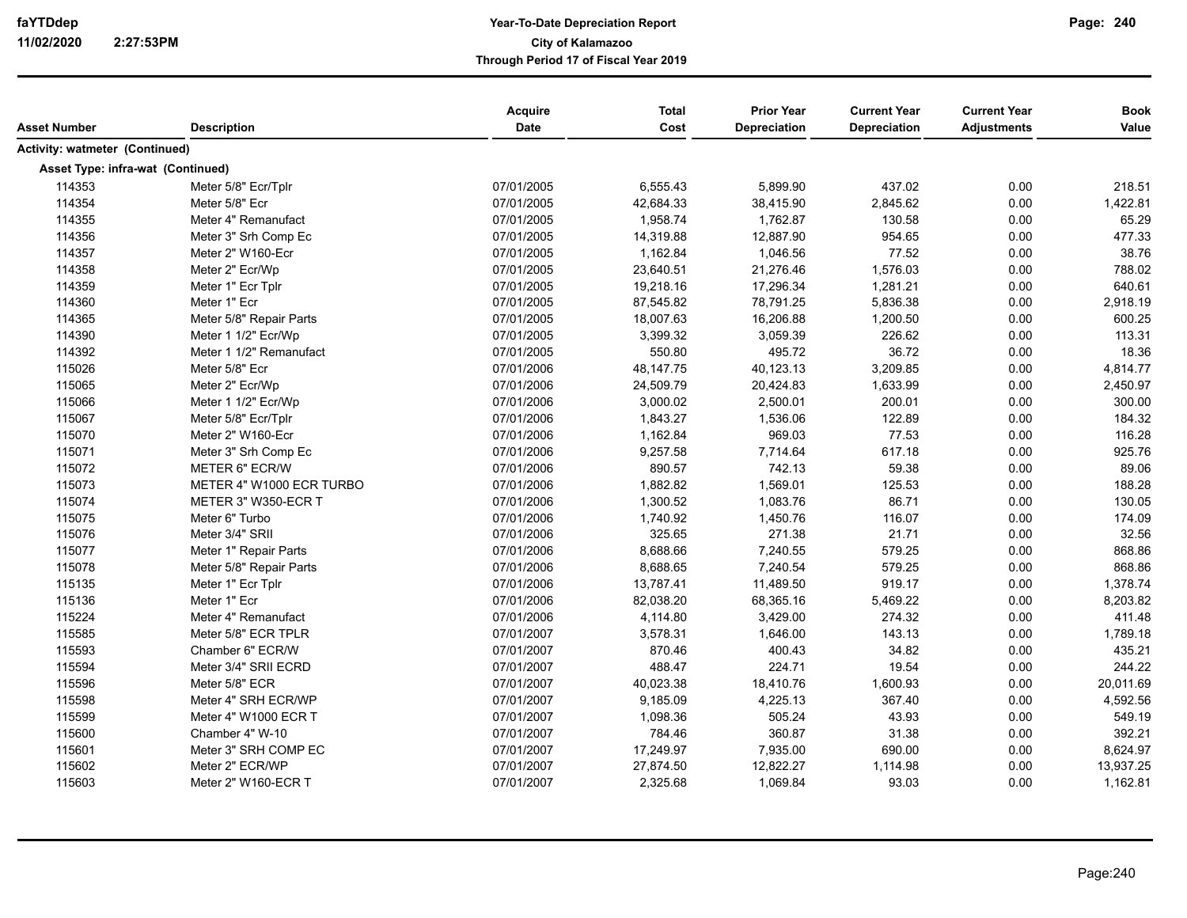| Asset Number                          | <b>Description</b>       | Acquire<br>Date | <b>Total</b><br>Cost | <b>Prior Year</b><br><b>Depreciation</b> | <b>Current Year</b><br>Depreciation | <b>Current Year</b><br><b>Adjustments</b> | <b>Book</b><br>Value |
|---------------------------------------|--------------------------|-----------------|----------------------|------------------------------------------|-------------------------------------|-------------------------------------------|----------------------|
| <b>Activity: watmeter (Continued)</b> |                          |                 |                      |                                          |                                     |                                           |                      |
| Asset Type: infra-wat (Continued)     |                          |                 |                      |                                          |                                     |                                           |                      |
| 114353                                | Meter 5/8" Ecr/Tplr      | 07/01/2005      | 6,555.43             | 5,899.90                                 | 437.02                              | 0.00                                      | 218.51               |
| 114354                                | Meter 5/8" Ecr           | 07/01/2005      | 42,684.33            | 38,415.90                                | 2,845.62                            | 0.00                                      | 1,422.81             |
| 114355                                | Meter 4" Remanufact      | 07/01/2005      | 1,958.74             | 1,762.87                                 | 130.58                              | 0.00                                      | 65.29                |
| 114356                                | Meter 3" Srh Comp Ec     | 07/01/2005      | 14,319.88            | 12,887.90                                | 954.65                              | 0.00                                      | 477.33               |
| 114357                                | Meter 2" W160-Ecr        | 07/01/2005      | 1,162.84             | 1,046.56                                 | 77.52                               | 0.00                                      | 38.76                |
| 114358                                | Meter 2" Ecr/Wp          | 07/01/2005      | 23,640.51            | 21,276.46                                | 1,576.03                            | 0.00                                      | 788.02               |
| 114359                                | Meter 1" Ecr Tplr        | 07/01/2005      | 19,218.16            | 17,296.34                                | 1,281.21                            | 0.00                                      | 640.61               |
| 114360                                | Meter 1" Ecr             | 07/01/2005      | 87,545.82            | 78,791.25                                | 5,836.38                            | 0.00                                      | 2,918.19             |
| 114365                                | Meter 5/8" Repair Parts  | 07/01/2005      | 18,007.63            | 16,206.88                                | 1,200.50                            | 0.00                                      | 600.25               |
| 114390                                | Meter 1 1/2" Ecr/Wp      | 07/01/2005      | 3,399.32             | 3,059.39                                 | 226.62                              | 0.00                                      | 113.31               |
| 114392                                | Meter 1 1/2" Remanufact  | 07/01/2005      | 550.80               | 495.72                                   | 36.72                               | 0.00                                      | 18.36                |
| 115026                                | Meter 5/8" Ecr           | 07/01/2006      | 48,147.75            | 40,123.13                                | 3,209.85                            | 0.00                                      | 4,814.77             |
| 115065                                | Meter 2" Ecr/Wp          | 07/01/2006      | 24,509.79            | 20,424.83                                | 1,633.99                            | 0.00                                      | 2,450.97             |
| 115066                                | Meter 1 1/2" Ecr/Wp      | 07/01/2006      | 3,000.02             | 2,500.01                                 | 200.01                              | 0.00                                      | 300.00               |
| 115067                                | Meter 5/8" Ecr/Tplr      | 07/01/2006      | 1,843.27             | 1,536.06                                 | 122.89                              | 0.00                                      | 184.32               |
| 115070                                | Meter 2" W160-Ecr        | 07/01/2006      | 1,162.84             | 969.03                                   | 77.53                               | 0.00                                      | 116.28               |
| 115071                                | Meter 3" Srh Comp Ec     | 07/01/2006      | 9,257.58             | 7,714.64                                 | 617.18                              | 0.00                                      | 925.76               |
| 115072                                | METER 6" ECR/W           | 07/01/2006      | 890.57               | 742.13                                   | 59.38                               | 0.00                                      | 89.06                |
| 115073                                | METER 4" W1000 ECR TURBO | 07/01/2006      | 1,882.82             | 1,569.01                                 | 125.53                              | 0.00                                      | 188.28               |
| 115074                                | METER 3" W350-ECR T      | 07/01/2006      | 1,300.52             | 1,083.76                                 | 86.71                               | 0.00                                      | 130.05               |
| 115075                                | Meter 6" Turbo           | 07/01/2006      | 1,740.92             | 1,450.76                                 | 116.07                              | 0.00                                      | 174.09               |
| 115076                                | Meter 3/4" SRII          | 07/01/2006      | 325.65               | 271.38                                   | 21.71                               | 0.00                                      | 32.56                |
| 115077                                | Meter 1" Repair Parts    | 07/01/2006      | 8,688.66             | 7,240.55                                 | 579.25                              | 0.00                                      | 868.86               |
| 115078                                | Meter 5/8" Repair Parts  | 07/01/2006      | 8,688.65             | 7,240.54                                 | 579.25                              | 0.00                                      | 868.86               |
| 115135                                | Meter 1" Ecr Tplr        | 07/01/2006      | 13,787.41            | 11,489.50                                | 919.17                              | 0.00                                      | 1,378.74             |
| 115136                                | Meter 1" Ecr             | 07/01/2006      | 82,038.20            | 68,365.16                                | 5,469.22                            | 0.00                                      | 8,203.82             |
| 115224                                | Meter 4" Remanufact      | 07/01/2006      | 4,114.80             | 3,429.00                                 | 274.32                              | 0.00                                      | 411.48               |
| 115585                                | Meter 5/8" ECR TPLR      | 07/01/2007      | 3,578.31             | 1,646.00                                 | 143.13                              | 0.00                                      | 1,789.18             |
| 115593                                | Chamber 6" ECR/W         | 07/01/2007      | 870.46               | 400.43                                   | 34.82                               | 0.00                                      | 435.21               |
| 115594                                | Meter 3/4" SRII ECRD     | 07/01/2007      | 488.47               | 224.71                                   | 19.54                               | 0.00                                      | 244.22               |
| 115596                                | Meter 5/8" ECR           | 07/01/2007      | 40,023.38            | 18,410.76                                | 1,600.93                            | 0.00                                      | 20,011.69            |
| 115598                                | Meter 4" SRH ECR/WP      | 07/01/2007      | 9,185.09             | 4,225.13                                 | 367.40                              | 0.00                                      | 4,592.56             |
| 115599                                | Meter 4" W1000 ECR T     | 07/01/2007      | 1,098.36             | 505.24                                   | 43.93                               | 0.00                                      | 549.19               |
| 115600                                | Chamber 4" W-10          | 07/01/2007      | 784.46               | 360.87                                   | 31.38                               | 0.00                                      | 392.21               |
| 115601                                | Meter 3" SRH COMP EC     | 07/01/2007      | 17,249.97            | 7,935.00                                 | 690.00                              | 0.00                                      | 8,624.97             |
| 115602                                | Meter 2" ECR/WP          | 07/01/2007      | 27,874.50            | 12,822.27                                | 1,114.98                            | 0.00                                      | 13,937.25            |
| 115603                                | Meter 2" W160-ECR T      | 07/01/2007      | 2,325.68             | 1,069.84                                 | 93.03                               | 0.00                                      | 1,162.81             |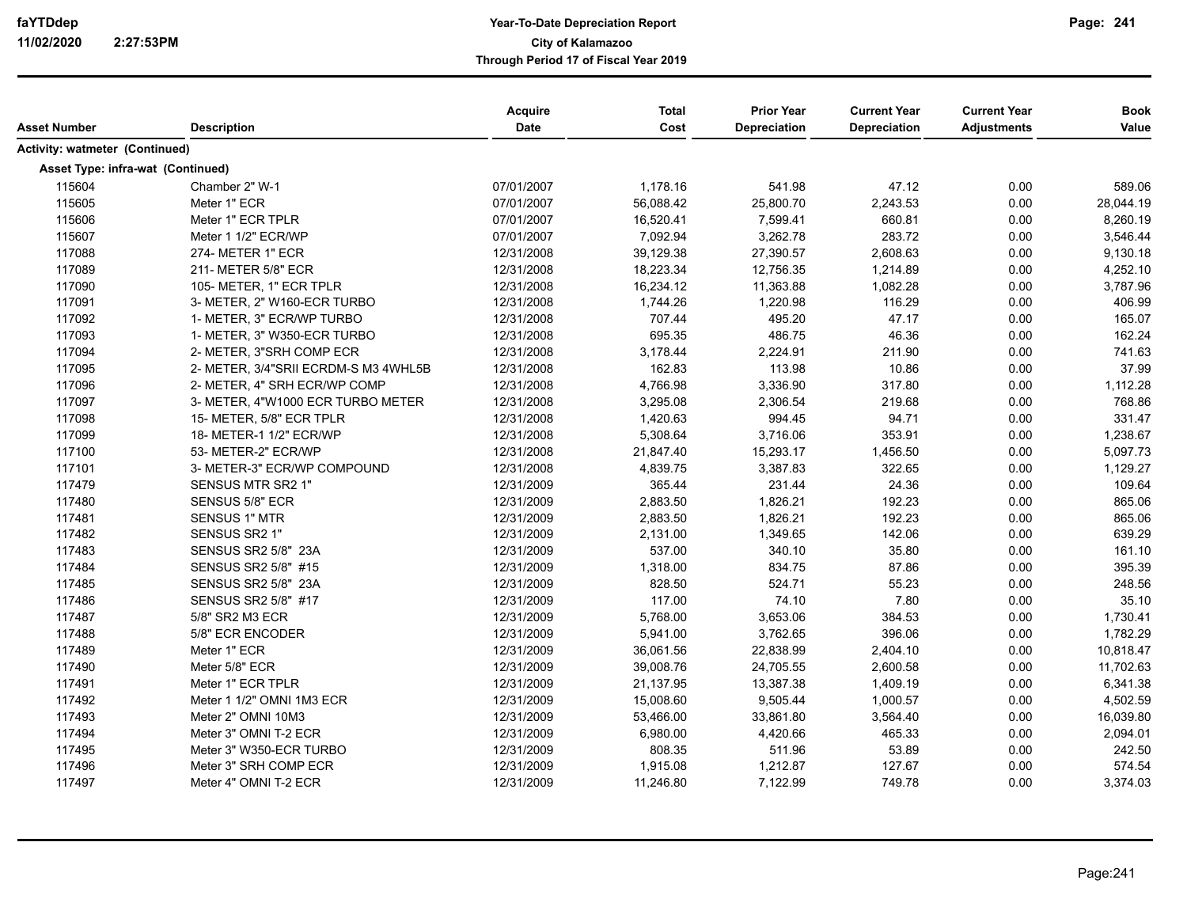| Asset Number                      | <b>Description</b>                   | Acquire<br><b>Date</b> | <b>Total</b><br>Cost | <b>Prior Year</b><br><b>Depreciation</b> | <b>Current Year</b><br><b>Depreciation</b> | <b>Current Year</b><br><b>Adjustments</b> | <b>Book</b><br>Value |
|-----------------------------------|--------------------------------------|------------------------|----------------------|------------------------------------------|--------------------------------------------|-------------------------------------------|----------------------|
| Activity: watmeter (Continued)    |                                      |                        |                      |                                          |                                            |                                           |                      |
| Asset Type: infra-wat (Continued) |                                      |                        |                      |                                          |                                            |                                           |                      |
| 115604                            | Chamber 2" W-1                       | 07/01/2007             | 1,178.16             | 541.98                                   | 47.12                                      | 0.00                                      | 589.06               |
| 115605                            | Meter 1" ECR                         | 07/01/2007             | 56,088.42            | 25,800.70                                | 2,243.53                                   | 0.00                                      | 28,044.19            |
| 115606                            | Meter 1" ECR TPLR                    | 07/01/2007             | 16,520.41            | 7,599.41                                 | 660.81                                     | 0.00                                      | 8,260.19             |
| 115607                            | Meter 1 1/2" ECR/WP                  | 07/01/2007             | 7,092.94             | 3,262.78                                 | 283.72                                     | 0.00                                      | 3,546.44             |
| 117088                            | 274- METER 1" ECR                    | 12/31/2008             | 39,129.38            | 27,390.57                                | 2,608.63                                   | 0.00                                      | 9,130.18             |
| 117089                            | 211- METER 5/8" ECR                  | 12/31/2008             | 18,223.34            | 12,756.35                                | 1,214.89                                   | 0.00                                      | 4,252.10             |
| 117090                            | 105- METER, 1" ECR TPLR              | 12/31/2008             | 16,234.12            | 11,363.88                                | 1,082.28                                   | 0.00                                      | 3,787.96             |
| 117091                            | 3- METER, 2" W160-ECR TURBO          | 12/31/2008             | 1,744.26             | 1,220.98                                 | 116.29                                     | 0.00                                      | 406.99               |
| 117092                            | 1- METER, 3" ECR/WP TURBO            | 12/31/2008             | 707.44               | 495.20                                   | 47.17                                      | 0.00                                      | 165.07               |
| 117093                            | 1- METER, 3" W350-ECR TURBO          | 12/31/2008             | 695.35               | 486.75                                   | 46.36                                      | 0.00                                      | 162.24               |
| 117094                            | 2- METER, 3"SRH COMP ECR             | 12/31/2008             | 3,178.44             | 2,224.91                                 | 211.90                                     | 0.00                                      | 741.63               |
| 117095                            | 2- METER, 3/4"SRII ECRDM-S M3 4WHL5B | 12/31/2008             | 162.83               | 113.98                                   | 10.86                                      | 0.00                                      | 37.99                |
| 117096                            | 2- METER, 4" SRH ECR/WP COMP         | 12/31/2008             | 4,766.98             | 3,336.90                                 | 317.80                                     | 0.00                                      | 1,112.28             |
| 117097                            | 3- METER, 4"W1000 ECR TURBO METER    | 12/31/2008             | 3,295.08             | 2,306.54                                 | 219.68                                     | 0.00                                      | 768.86               |
| 117098                            | 15- METER, 5/8" ECR TPLR             | 12/31/2008             | 1,420.63             | 994.45                                   | 94.71                                      | 0.00                                      | 331.47               |
| 117099                            | 18- METER-1 1/2" ECR/WP              | 12/31/2008             | 5,308.64             | 3,716.06                                 | 353.91                                     | 0.00                                      | 1,238.67             |
| 117100                            | 53- METER-2" ECR/WP                  | 12/31/2008             | 21,847.40            | 15,293.17                                | 1,456.50                                   | 0.00                                      | 5,097.73             |
| 117101                            | 3- METER-3" ECR/WP COMPOUND          | 12/31/2008             | 4,839.75             | 3,387.83                                 | 322.65                                     | 0.00                                      | 1,129.27             |
| 117479                            | SENSUS MTR SR2 1"                    | 12/31/2009             | 365.44               | 231.44                                   | 24.36                                      | 0.00                                      | 109.64               |
| 117480                            | <b>SENSUS 5/8" ECR</b>               | 12/31/2009             | 2,883.50             | 1,826.21                                 | 192.23                                     | 0.00                                      | 865.06               |
| 117481                            | <b>SENSUS 1" MTR</b>                 | 12/31/2009             | 2,883.50             | 1,826.21                                 | 192.23                                     | 0.00                                      | 865.06               |
| 117482                            | SENSUS SR2 1"                        | 12/31/2009             | 2,131.00             | 1,349.65                                 | 142.06                                     | 0.00                                      | 639.29               |
| 117483                            | <b>SENSUS SR2 5/8" 23A</b>           | 12/31/2009             | 537.00               | 340.10                                   | 35.80                                      | 0.00                                      | 161.10               |
| 117484                            | SENSUS SR2 5/8" #15                  | 12/31/2009             | 1,318.00             | 834.75                                   | 87.86                                      | 0.00                                      | 395.39               |
| 117485                            | <b>SENSUS SR2 5/8" 23A</b>           | 12/31/2009             | 828.50               | 524.71                                   | 55.23                                      | 0.00                                      | 248.56               |
| 117486                            | SENSUS SR2 5/8" #17                  | 12/31/2009             | 117.00               | 74.10                                    | 7.80                                       | 0.00                                      | 35.10                |
| 117487                            | 5/8" SR2 M3 ECR                      | 12/31/2009             | 5,768.00             | 3,653.06                                 | 384.53                                     | 0.00                                      | 1,730.41             |
| 117488                            | 5/8" ECR ENCODER                     | 12/31/2009             | 5,941.00             | 3,762.65                                 | 396.06                                     | 0.00                                      | 1,782.29             |
| 117489                            | Meter 1" ECR                         | 12/31/2009             | 36,061.56            | 22,838.99                                | 2,404.10                                   | 0.00                                      | 10,818.47            |
| 117490                            | Meter 5/8" ECR                       | 12/31/2009             | 39,008.76            | 24,705.55                                | 2,600.58                                   | 0.00                                      | 11,702.63            |
| 117491                            | Meter 1" ECR TPLR                    | 12/31/2009             | 21,137.95            | 13,387.38                                | 1,409.19                                   | 0.00                                      | 6,341.38             |
| 117492                            | Meter 1 1/2" OMNI 1M3 ECR            | 12/31/2009             | 15,008.60            | 9,505.44                                 | 1,000.57                                   | 0.00                                      | 4,502.59             |
| 117493                            | Meter 2" OMNI 10M3                   | 12/31/2009             | 53,466.00            | 33,861.80                                | 3,564.40                                   | 0.00                                      | 16,039.80            |
| 117494                            | Meter 3" OMNI T-2 ECR                | 12/31/2009             | 6,980.00             | 4,420.66                                 | 465.33                                     | 0.00                                      | 2,094.01             |
| 117495                            | Meter 3" W350-ECR TURBO              | 12/31/2009             | 808.35               | 511.96                                   | 53.89                                      | 0.00                                      | 242.50               |
| 117496                            | Meter 3" SRH COMP ECR                | 12/31/2009             | 1,915.08             | 1,212.87                                 | 127.67                                     | 0.00                                      | 574.54               |
| 117497                            | Meter 4" OMNI T-2 ECR                | 12/31/2009             | 11,246.80            | 7,122.99                                 | 749.78                                     | 0.00                                      | 3,374.03             |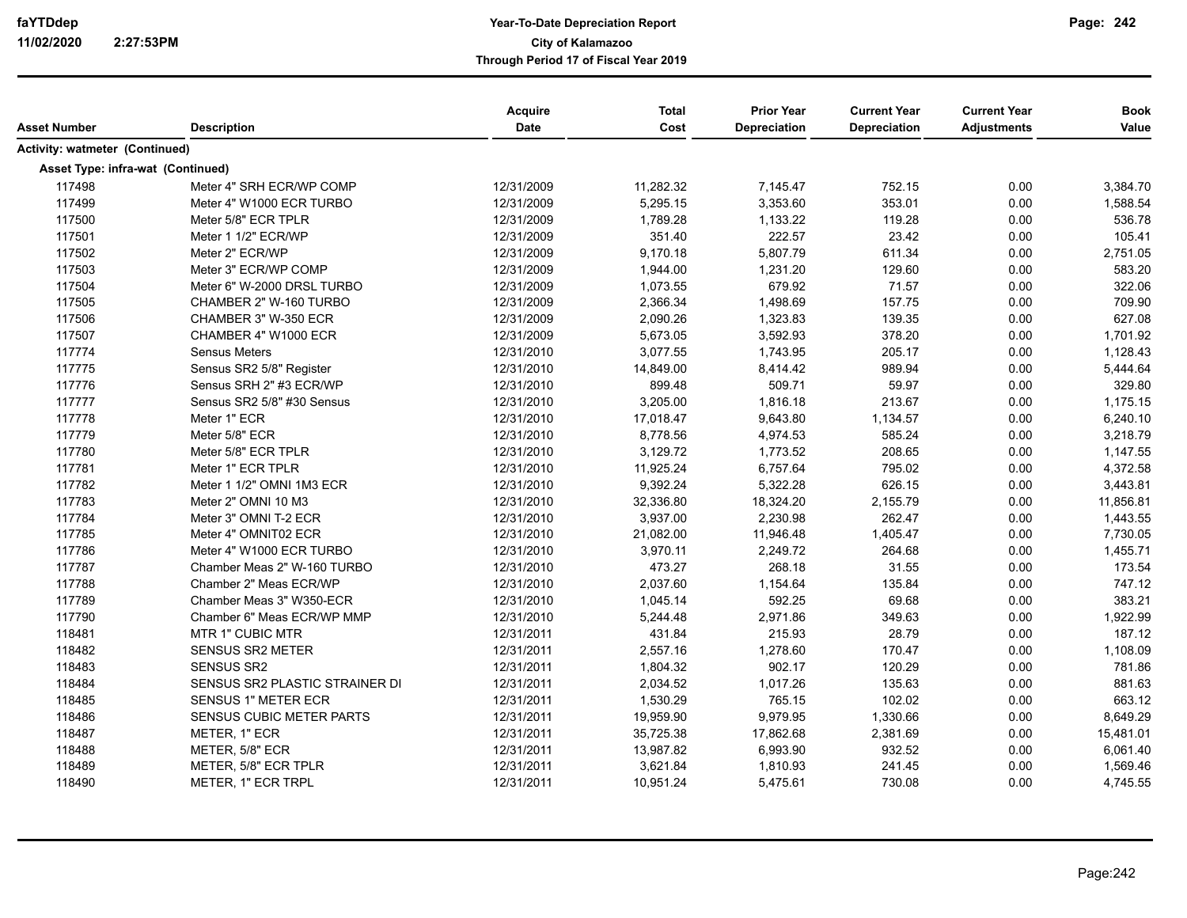|                                       |                                 | Acquire     | <b>Total</b> | <b>Prior Year</b> | <b>Current Year</b> | <b>Current Year</b> | <b>Book</b> |
|---------------------------------------|---------------------------------|-------------|--------------|-------------------|---------------------|---------------------|-------------|
| <b>Asset Number</b>                   | <b>Description</b>              | <b>Date</b> | Cost         | Depreciation      | <b>Depreciation</b> | <b>Adjustments</b>  | Value       |
| <b>Activity: watmeter (Continued)</b> |                                 |             |              |                   |                     |                     |             |
| Asset Type: infra-wat (Continued)     |                                 |             |              |                   |                     |                     |             |
| 117498                                | Meter 4" SRH ECR/WP COMP        | 12/31/2009  | 11,282.32    | 7,145.47          | 752.15              | 0.00                | 3,384.70    |
| 117499                                | Meter 4" W1000 ECR TURBO        | 12/31/2009  | 5,295.15     | 3,353.60          | 353.01              | 0.00                | 1,588.54    |
| 117500                                | Meter 5/8" ECR TPLR             | 12/31/2009  | 1,789.28     | 1,133.22          | 119.28              | 0.00                | 536.78      |
| 117501                                | Meter 1 1/2" ECR/WP             | 12/31/2009  | 351.40       | 222.57            | 23.42               | 0.00                | 105.41      |
| 117502                                | Meter 2" ECR/WP                 | 12/31/2009  | 9,170.18     | 5,807.79          | 611.34              | 0.00                | 2,751.05    |
| 117503                                | Meter 3" ECR/WP COMP            | 12/31/2009  | 1,944.00     | 1,231.20          | 129.60              | 0.00                | 583.20      |
| 117504                                | Meter 6" W-2000 DRSL TURBO      | 12/31/2009  | 1,073.55     | 679.92            | 71.57               | 0.00                | 322.06      |
| 117505                                | CHAMBER 2" W-160 TURBO          | 12/31/2009  | 2,366.34     | 1,498.69          | 157.75              | 0.00                | 709.90      |
| 117506                                | CHAMBER 3" W-350 ECR            | 12/31/2009  | 2,090.26     | 1,323.83          | 139.35              | 0.00                | 627.08      |
| 117507                                | CHAMBER 4" W1000 ECR            | 12/31/2009  | 5,673.05     | 3,592.93          | 378.20              | 0.00                | 1,701.92    |
| 117774                                | <b>Sensus Meters</b>            | 12/31/2010  | 3,077.55     | 1,743.95          | 205.17              | 0.00                | 1,128.43    |
| 117775                                | Sensus SR2 5/8" Register        | 12/31/2010  | 14,849.00    | 8,414.42          | 989.94              | 0.00                | 5,444.64    |
| 117776                                | Sensus SRH 2" #3 ECR/WP         | 12/31/2010  | 899.48       | 509.71            | 59.97               | 0.00                | 329.80      |
| 117777                                | Sensus SR2 5/8" #30 Sensus      | 12/31/2010  | 3,205.00     | 1,816.18          | 213.67              | 0.00                | 1,175.15    |
| 117778                                | Meter 1" ECR                    | 12/31/2010  | 17,018.47    | 9,643.80          | 1,134.57            | 0.00                | 6,240.10    |
| 117779                                | Meter 5/8" ECR                  | 12/31/2010  | 8,778.56     | 4,974.53          | 585.24              | 0.00                | 3,218.79    |
| 117780                                | Meter 5/8" ECR TPLR             | 12/31/2010  | 3,129.72     | 1,773.52          | 208.65              | 0.00                | 1,147.55    |
| 117781                                | Meter 1" ECR TPLR               | 12/31/2010  | 11,925.24    | 6,757.64          | 795.02              | 0.00                | 4,372.58    |
| 117782                                | Meter 1 1/2" OMNI 1M3 ECR       | 12/31/2010  | 9,392.24     | 5,322.28          | 626.15              | 0.00                | 3,443.81    |
| 117783                                | Meter 2" OMNI 10 M3             | 12/31/2010  | 32,336.80    | 18,324.20         | 2,155.79            | 0.00                | 11,856.81   |
| 117784                                | Meter 3" OMNI T-2 ECR           | 12/31/2010  | 3,937.00     | 2,230.98          | 262.47              | 0.00                | 1,443.55    |
| 117785                                | Meter 4" OMNIT02 ECR            | 12/31/2010  | 21,082.00    | 11,946.48         | 1,405.47            | 0.00                | 7,730.05    |
| 117786                                | Meter 4" W1000 ECR TURBO        | 12/31/2010  | 3,970.11     | 2,249.72          | 264.68              | 0.00                | 1,455.71    |
| 117787                                | Chamber Meas 2" W-160 TURBO     | 12/31/2010  | 473.27       | 268.18            | 31.55               | 0.00                | 173.54      |
| 117788                                | Chamber 2" Meas ECR/WP          | 12/31/2010  | 2,037.60     | 1,154.64          | 135.84              | 0.00                | 747.12      |
| 117789                                | Chamber Meas 3" W350-ECR        | 12/31/2010  | 1,045.14     | 592.25            | 69.68               | 0.00                | 383.21      |
| 117790                                | Chamber 6" Meas ECR/WP MMP      | 12/31/2010  | 5,244.48     | 2,971.86          | 349.63              | 0.00                | 1,922.99    |
| 118481                                | MTR 1" CUBIC MTR                | 12/31/2011  | 431.84       | 215.93            | 28.79               | 0.00                | 187.12      |
| 118482                                | <b>SENSUS SR2 METER</b>         | 12/31/2011  | 2,557.16     | 1,278.60          | 170.47              | 0.00                | 1,108.09    |
| 118483                                | <b>SENSUS SR2</b>               | 12/31/2011  | 1,804.32     | 902.17            | 120.29              | 0.00                | 781.86      |
| 118484                                | SENSUS SR2 PLASTIC STRAINER DI  | 12/31/2011  | 2,034.52     | 1,017.26          | 135.63              | 0.00                | 881.63      |
| 118485                                | <b>SENSUS 1" METER ECR</b>      | 12/31/2011  | 1,530.29     | 765.15            | 102.02              | 0.00                | 663.12      |
| 118486                                | <b>SENSUS CUBIC METER PARTS</b> | 12/31/2011  | 19,959.90    | 9,979.95          | 1,330.66            | 0.00                | 8,649.29    |
| 118487                                | METER, 1" ECR                   | 12/31/2011  | 35,725.38    | 17,862.68         | 2,381.69            | 0.00                | 15,481.01   |
| 118488                                | METER, 5/8" ECR                 | 12/31/2011  | 13,987.82    | 6,993.90          | 932.52              | 0.00                | 6,061.40    |
| 118489                                | METER, 5/8" ECR TPLR            | 12/31/2011  | 3,621.84     | 1,810.93          | 241.45              | 0.00                | 1,569.46    |
| 118490                                | METER, 1" ECR TRPL              | 12/31/2011  | 10,951.24    | 5,475.61          | 730.08              | 0.00                | 4,745.55    |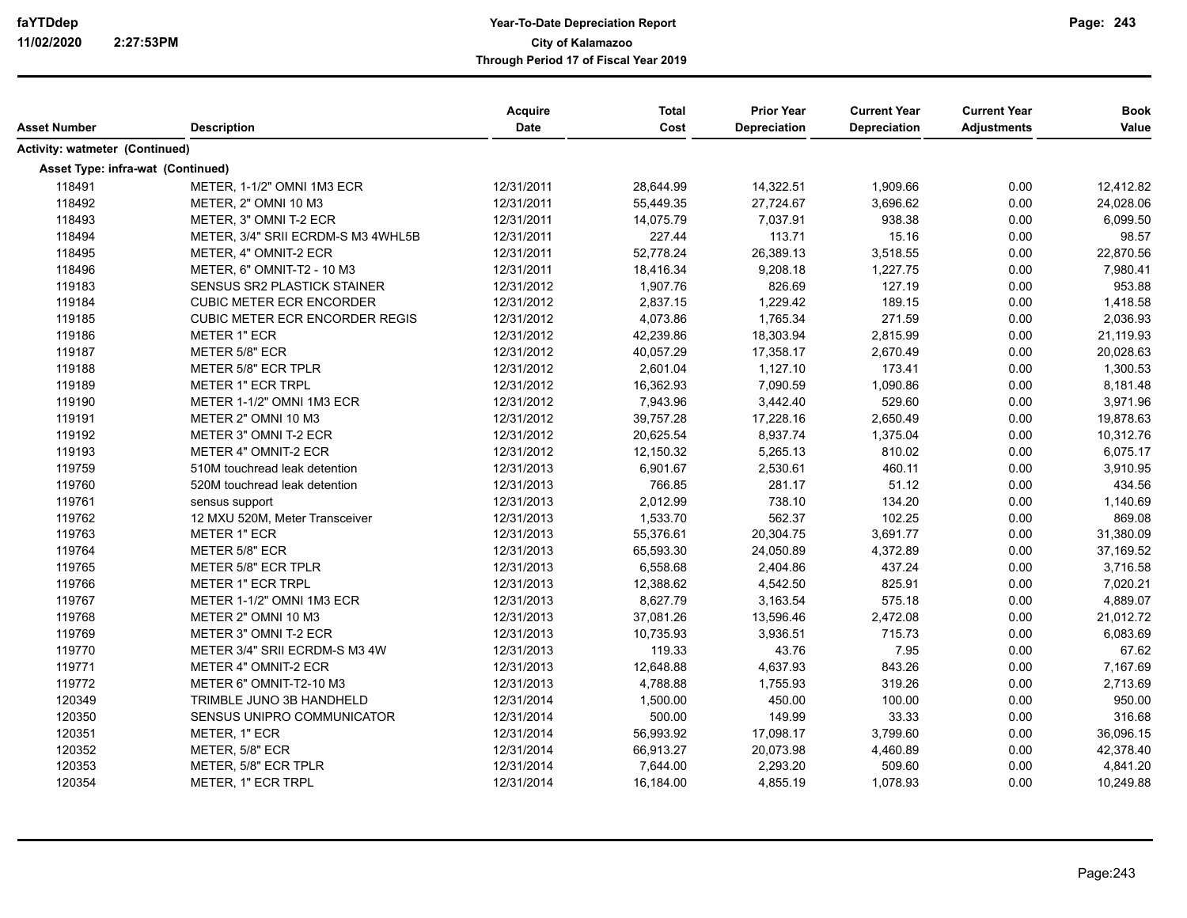|                                   |                                       | Acquire     | <b>Total</b> | <b>Prior Year</b> | <b>Current Year</b> | <b>Current Year</b> | <b>Book</b> |
|-----------------------------------|---------------------------------------|-------------|--------------|-------------------|---------------------|---------------------|-------------|
| <b>Asset Number</b>               | <b>Description</b>                    | <b>Date</b> | Cost         | Depreciation      | <b>Depreciation</b> | <b>Adjustments</b>  | Value       |
| Activity: watmeter (Continued)    |                                       |             |              |                   |                     |                     |             |
| Asset Type: infra-wat (Continued) |                                       |             |              |                   |                     |                     |             |
| 118491                            | METER, 1-1/2" OMNI 1M3 ECR            | 12/31/2011  | 28,644.99    | 14,322.51         | 1,909.66            | 0.00                | 12,412.82   |
| 118492                            | METER, 2" OMNI 10 M3                  | 12/31/2011  | 55,449.35    | 27,724.67         | 3,696.62            | 0.00                | 24,028.06   |
| 118493                            | METER, 3" OMNI T-2 ECR                | 12/31/2011  | 14,075.79    | 7,037.91          | 938.38              | 0.00                | 6,099.50    |
| 118494                            | METER, 3/4" SRII ECRDM-S M3 4WHL5B    | 12/31/2011  | 227.44       | 113.71            | 15.16               | 0.00                | 98.57       |
| 118495                            | METER, 4" OMNIT-2 ECR                 | 12/31/2011  | 52,778.24    | 26,389.13         | 3,518.55            | 0.00                | 22,870.56   |
| 118496                            | METER, 6" OMNIT-T2 - 10 M3            | 12/31/2011  | 18,416.34    | 9,208.18          | 1,227.75            | 0.00                | 7,980.41    |
| 119183                            | SENSUS SR2 PLASTICK STAINER           | 12/31/2012  | 1,907.76     | 826.69            | 127.19              | 0.00                | 953.88      |
| 119184                            | <b>CUBIC METER ECR ENCORDER</b>       | 12/31/2012  | 2,837.15     | 1,229.42          | 189.15              | 0.00                | 1,418.58    |
| 119185                            | <b>CUBIC METER ECR ENCORDER REGIS</b> | 12/31/2012  | 4,073.86     | 1,765.34          | 271.59              | 0.00                | 2,036.93    |
| 119186                            | <b>METER 1" ECR</b>                   | 12/31/2012  | 42,239.86    | 18,303.94         | 2,815.99            | 0.00                | 21,119.93   |
| 119187                            | METER 5/8" ECR                        | 12/31/2012  | 40,057.29    | 17,358.17         | 2,670.49            | 0.00                | 20,028.63   |
| 119188                            | METER 5/8" ECR TPLR                   | 12/31/2012  | 2,601.04     | 1,127.10          | 173.41              | 0.00                | 1,300.53    |
| 119189                            | <b>METER 1" ECR TRPL</b>              | 12/31/2012  | 16,362.93    | 7,090.59          | 1,090.86            | 0.00                | 8,181.48    |
| 119190                            | METER 1-1/2" OMNI 1M3 ECR             | 12/31/2012  | 7,943.96     | 3,442.40          | 529.60              | 0.00                | 3,971.96    |
| 119191                            | METER 2" OMNI 10 M3                   | 12/31/2012  | 39,757.28    | 17,228.16         | 2,650.49            | 0.00                | 19,878.63   |
| 119192                            | METER 3" OMNI T-2 ECR                 | 12/31/2012  | 20,625.54    | 8,937.74          | 1,375.04            | 0.00                | 10,312.76   |
| 119193                            | METER 4" OMNIT-2 ECR                  | 12/31/2012  | 12,150.32    | 5,265.13          | 810.02              | 0.00                | 6,075.17    |
| 119759                            | 510M touchread leak detention         | 12/31/2013  | 6,901.67     | 2,530.61          | 460.11              | 0.00                | 3,910.95    |
| 119760                            | 520M touchread leak detention         | 12/31/2013  | 766.85       | 281.17            | 51.12               | 0.00                | 434.56      |
| 119761                            | sensus support                        | 12/31/2013  | 2,012.99     | 738.10            | 134.20              | 0.00                | 1,140.69    |
| 119762                            | 12 MXU 520M, Meter Transceiver        | 12/31/2013  | 1,533.70     | 562.37            | 102.25              | 0.00                | 869.08      |
| 119763                            | <b>METER 1" ECR</b>                   | 12/31/2013  | 55,376.61    | 20,304.75         | 3,691.77            | 0.00                | 31,380.09   |
| 119764                            | METER 5/8" ECR                        | 12/31/2013  | 65,593.30    | 24,050.89         | 4,372.89            | 0.00                | 37,169.52   |
| 119765                            | METER 5/8" ECR TPLR                   | 12/31/2013  | 6,558.68     | 2,404.86          | 437.24              | 0.00                | 3,716.58    |
| 119766                            | <b>METER 1" ECR TRPL</b>              | 12/31/2013  | 12,388.62    | 4,542.50          | 825.91              | 0.00                | 7,020.21    |
| 119767                            | METER 1-1/2" OMNI 1M3 ECR             | 12/31/2013  | 8,627.79     | 3,163.54          | 575.18              | 0.00                | 4,889.07    |
| 119768                            | METER 2" OMNI 10 M3                   | 12/31/2013  | 37,081.26    | 13,596.46         | 2,472.08            | 0.00                | 21,012.72   |
| 119769                            | METER 3" OMNI T-2 ECR                 | 12/31/2013  | 10,735.93    | 3,936.51          | 715.73              | 0.00                | 6,083.69    |
| 119770                            | METER 3/4" SRII ECRDM-S M3 4W         | 12/31/2013  | 119.33       | 43.76             | 7.95                | 0.00                | 67.62       |
| 119771                            | METER 4" OMNIT-2 ECR                  | 12/31/2013  | 12,648.88    | 4,637.93          | 843.26              | 0.00                | 7,167.69    |
| 119772                            | METER 6" OMNIT-T2-10 M3               | 12/31/2013  | 4,788.88     | 1,755.93          | 319.26              | 0.00                | 2,713.69    |
| 120349                            | TRIMBLE JUNO 3B HANDHELD              | 12/31/2014  | 1,500.00     | 450.00            | 100.00              | 0.00                | 950.00      |
| 120350                            | SENSUS UNIPRO COMMUNICATOR            | 12/31/2014  | 500.00       | 149.99            | 33.33               | 0.00                | 316.68      |
| 120351                            | METER, 1" ECR                         | 12/31/2014  | 56,993.92    | 17,098.17         | 3,799.60            | 0.00                | 36,096.15   |
| 120352                            | METER, 5/8" ECR                       | 12/31/2014  | 66,913.27    | 20,073.98         | 4,460.89            | 0.00                | 42,378.40   |
| 120353                            | METER, 5/8" ECR TPLR                  | 12/31/2014  | 7,644.00     | 2,293.20          | 509.60              | 0.00                | 4,841.20    |
| 120354                            | METER, 1" ECR TRPL                    | 12/31/2014  | 16,184.00    | 4,855.19          | 1,078.93            | 0.00                | 10,249.88   |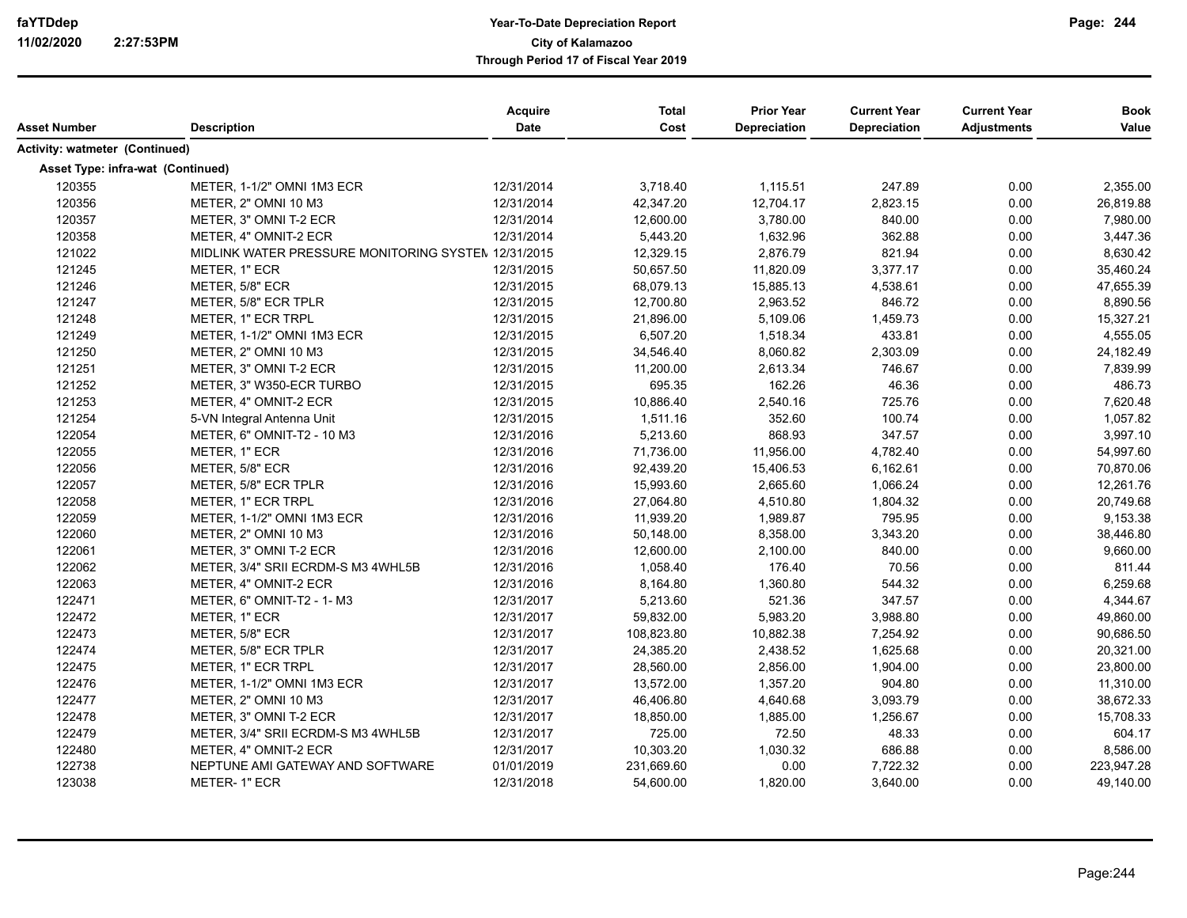| Asset Number                      | <b>Description</b>                                  | <b>Acquire</b><br>Date | <b>Total</b><br>Cost | <b>Prior Year</b><br>Depreciation | <b>Current Year</b><br><b>Depreciation</b> | <b>Current Year</b><br><b>Adjustments</b> | <b>Book</b><br>Value |
|-----------------------------------|-----------------------------------------------------|------------------------|----------------------|-----------------------------------|--------------------------------------------|-------------------------------------------|----------------------|
| Activity: watmeter (Continued)    |                                                     |                        |                      |                                   |                                            |                                           |                      |
| Asset Type: infra-wat (Continued) |                                                     |                        |                      |                                   |                                            |                                           |                      |
| 120355                            | METER, 1-1/2" OMNI 1M3 ECR                          | 12/31/2014             | 3,718.40             | 1,115.51                          | 247.89                                     | 0.00                                      | 2,355.00             |
| 120356                            | METER, 2" OMNI 10 M3                                | 12/31/2014             | 42,347.20            | 12,704.17                         | 2,823.15                                   | 0.00                                      | 26,819.88            |
| 120357                            | METER, 3" OMNI T-2 ECR                              | 12/31/2014             | 12,600.00            | 3,780.00                          | 840.00                                     | 0.00                                      | 7,980.00             |
| 120358                            | METER, 4" OMNIT-2 ECR                               | 12/31/2014             | 5,443.20             | 1,632.96                          | 362.88                                     | 0.00                                      | 3,447.36             |
| 121022                            | MIDLINK WATER PRESSURE MONITORING SYSTEM 12/31/2015 |                        | 12,329.15            | 2,876.79                          | 821.94                                     | 0.00                                      | 8,630.42             |
| 121245                            | METER, 1" ECR                                       | 12/31/2015             | 50,657.50            | 11,820.09                         | 3,377.17                                   | 0.00                                      | 35,460.24            |
| 121246                            | METER, 5/8" ECR                                     | 12/31/2015             | 68,079.13            | 15,885.13                         | 4,538.61                                   | 0.00                                      | 47,655.39            |
| 121247                            | METER, 5/8" ECR TPLR                                | 12/31/2015             | 12,700.80            | 2,963.52                          | 846.72                                     | 0.00                                      | 8,890.56             |
| 121248                            | METER, 1" ECR TRPL                                  | 12/31/2015             | 21,896.00            | 5,109.06                          | 1,459.73                                   | 0.00                                      | 15,327.21            |
| 121249                            | METER, 1-1/2" OMNI 1M3 ECR                          | 12/31/2015             | 6,507.20             | 1,518.34                          | 433.81                                     | 0.00                                      | 4,555.05             |
| 121250                            | METER, 2" OMNI 10 M3                                | 12/31/2015             | 34,546.40            | 8,060.82                          | 2,303.09                                   | 0.00                                      | 24,182.49            |
| 121251                            | METER, 3" OMNI T-2 ECR                              | 12/31/2015             | 11,200.00            | 2,613.34                          | 746.67                                     | 0.00                                      | 7,839.99             |
| 121252                            | METER, 3" W350-ECR TURBO                            | 12/31/2015             | 695.35               | 162.26                            | 46.36                                      | 0.00                                      | 486.73               |
| 121253                            | METER, 4" OMNIT-2 ECR                               | 12/31/2015             | 10,886.40            | 2,540.16                          | 725.76                                     | 0.00                                      | 7,620.48             |
| 121254                            | 5-VN Integral Antenna Unit                          | 12/31/2015             | 1,511.16             | 352.60                            | 100.74                                     | 0.00                                      | 1,057.82             |
| 122054                            | METER, 6" OMNIT-T2 - 10 M3                          | 12/31/2016             | 5,213.60             | 868.93                            | 347.57                                     | 0.00                                      | 3,997.10             |
| 122055                            | METER, 1" ECR                                       | 12/31/2016             | 71,736.00            | 11,956.00                         | 4,782.40                                   | 0.00                                      | 54,997.60            |
| 122056                            | METER, 5/8" ECR                                     | 12/31/2016             | 92,439.20            | 15,406.53                         | 6,162.61                                   | 0.00                                      | 70,870.06            |
| 122057                            | METER, 5/8" ECR TPLR                                | 12/31/2016             | 15,993.60            | 2,665.60                          | 1,066.24                                   | 0.00                                      | 12,261.76            |
| 122058                            | METER, 1" ECR TRPL                                  | 12/31/2016             | 27,064.80            | 4,510.80                          | 1,804.32                                   | 0.00                                      | 20,749.68            |
| 122059                            | METER, 1-1/2" OMNI 1M3 ECR                          | 12/31/2016             | 11,939.20            | 1,989.87                          | 795.95                                     | 0.00                                      | 9,153.38             |
| 122060                            | METER, 2" OMNI 10 M3                                | 12/31/2016             | 50,148.00            | 8,358.00                          | 3,343.20                                   | 0.00                                      | 38,446.80            |
| 122061                            | METER, 3" OMNI T-2 ECR                              | 12/31/2016             | 12,600.00            | 2,100.00                          | 840.00                                     | 0.00                                      | 9,660.00             |
| 122062                            | METER, 3/4" SRII ECRDM-S M3 4WHL5B                  | 12/31/2016             | 1,058.40             | 176.40                            | 70.56                                      | 0.00                                      | 811.44               |
| 122063                            | METER, 4" OMNIT-2 ECR                               | 12/31/2016             | 8,164.80             | 1,360.80                          | 544.32                                     | 0.00                                      | 6,259.68             |
| 122471                            | METER, 6" OMNIT-T2 - 1-M3                           | 12/31/2017             | 5,213.60             | 521.36                            | 347.57                                     | 0.00                                      | 4,344.67             |
| 122472                            | METER, 1" ECR                                       | 12/31/2017             | 59,832.00            | 5,983.20                          | 3,988.80                                   | 0.00                                      | 49,860.00            |
| 122473                            | METER, 5/8" ECR                                     | 12/31/2017             | 108,823.80           | 10,882.38                         | 7,254.92                                   | 0.00                                      | 90,686.50            |
| 122474                            | METER, 5/8" ECR TPLR                                | 12/31/2017             | 24,385.20            | 2,438.52                          | 1,625.68                                   | 0.00                                      | 20,321.00            |
| 122475                            | METER, 1" ECR TRPL                                  | 12/31/2017             | 28,560.00            | 2,856.00                          | 1,904.00                                   | 0.00                                      | 23,800.00            |
| 122476                            | METER, 1-1/2" OMNI 1M3 ECR                          | 12/31/2017             | 13,572.00            | 1,357.20                          | 904.80                                     | 0.00                                      | 11,310.00            |
| 122477                            | METER, 2" OMNI 10 M3                                | 12/31/2017             | 46,406.80            | 4,640.68                          | 3,093.79                                   | 0.00                                      | 38,672.33            |
| 122478                            | METER, 3" OMNI T-2 ECR                              | 12/31/2017             | 18,850.00            | 1,885.00                          | 1,256.67                                   | 0.00                                      | 15,708.33            |
| 122479                            | METER, 3/4" SRII ECRDM-S M3 4WHL5B                  | 12/31/2017             | 725.00               | 72.50                             | 48.33                                      | 0.00                                      | 604.17               |
| 122480                            | METER, 4" OMNIT-2 ECR                               | 12/31/2017             | 10,303.20            | 1,030.32                          | 686.88                                     | 0.00                                      | 8,586.00             |
| 122738                            | NEPTUNE AMI GATEWAY AND SOFTWARE                    | 01/01/2019             | 231,669.60           | 0.00                              | 7,722.32                                   | 0.00                                      | 223,947.28           |
| 123038                            | METER-1" ECR                                        | 12/31/2018             | 54,600.00            | 1,820.00                          | 3,640.00                                   | 0.00                                      | 49,140.00            |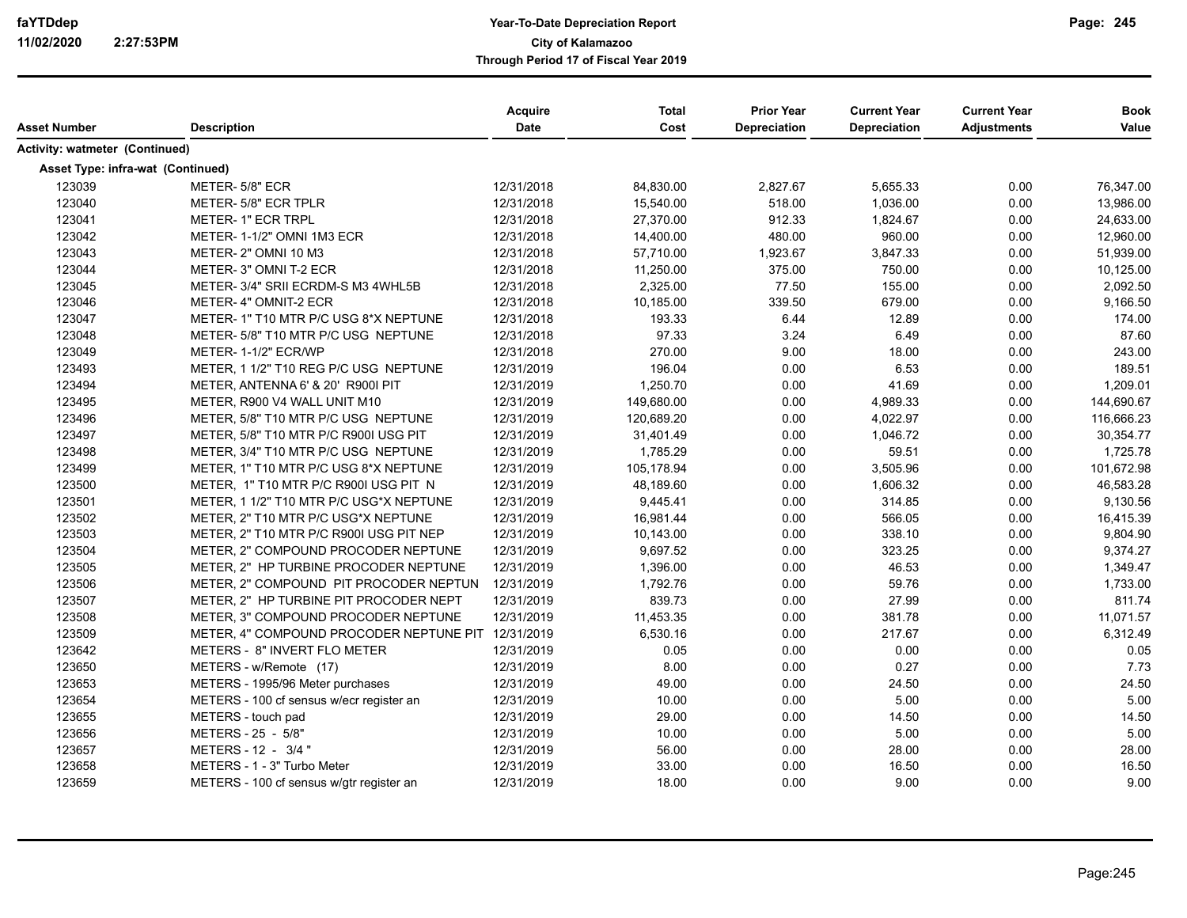| Asset Number                      | <b>Description</b>                                 | <b>Acquire</b><br><b>Date</b> | <b>Total</b><br>Cost | <b>Prior Year</b><br>Depreciation | <b>Current Year</b><br><b>Depreciation</b> | <b>Current Year</b><br><b>Adjustments</b> | <b>Book</b><br>Value |
|-----------------------------------|----------------------------------------------------|-------------------------------|----------------------|-----------------------------------|--------------------------------------------|-------------------------------------------|----------------------|
| Activity: watmeter (Continued)    |                                                    |                               |                      |                                   |                                            |                                           |                      |
| Asset Type: infra-wat (Continued) |                                                    |                               |                      |                                   |                                            |                                           |                      |
| 123039                            | METER-5/8" ECR                                     | 12/31/2018                    | 84,830.00            | 2,827.67                          | 5,655.33                                   | 0.00                                      | 76,347.00            |
| 123040                            | METER- 5/8" ECR TPLR                               | 12/31/2018                    | 15,540.00            | 518.00                            | 1,036.00                                   | 0.00                                      | 13,986.00            |
| 123041                            | METER- 1" ECR TRPL                                 | 12/31/2018                    | 27,370.00            | 912.33                            | 1,824.67                                   | 0.00                                      | 24,633.00            |
| 123042                            | METER-1-1/2" OMNI 1M3 ECR                          | 12/31/2018                    | 14,400.00            | 480.00                            | 960.00                                     | 0.00                                      | 12,960.00            |
| 123043                            | METER-2" OMNI 10 M3                                | 12/31/2018                    | 57,710.00            | 1,923.67                          | 3,847.33                                   | 0.00                                      | 51,939.00            |
| 123044                            | METER-3" OMNI T-2 ECR                              | 12/31/2018                    | 11,250.00            | 375.00                            | 750.00                                     | 0.00                                      | 10,125.00            |
| 123045                            | METER-3/4" SRII ECRDM-S M3 4WHL5B                  | 12/31/2018                    | 2,325.00             | 77.50                             | 155.00                                     | 0.00                                      | 2.092.50             |
| 123046                            | METER-4" OMNIT-2 ECR                               | 12/31/2018                    | 10,185.00            | 339.50                            | 679.00                                     | 0.00                                      | 9,166.50             |
| 123047                            | METER-1" T10 MTR P/C USG 8*X NEPTUNE               | 12/31/2018                    | 193.33               | 6.44                              | 12.89                                      | 0.00                                      | 174.00               |
| 123048                            | METER- 5/8" T10 MTR P/C USG NEPTUNE                | 12/31/2018                    | 97.33                | 3.24                              | 6.49                                       | 0.00                                      | 87.60                |
| 123049                            | METER-1-1/2" ECR/WP                                | 12/31/2018                    | 270.00               | 9.00                              | 18.00                                      | 0.00                                      | 243.00               |
| 123493                            | METER, 1 1/2" T10 REG P/C USG NEPTUNE              | 12/31/2019                    | 196.04               | 0.00                              | 6.53                                       | 0.00                                      | 189.51               |
| 123494                            | METER, ANTENNA 6' & 20' R900I PIT                  | 12/31/2019                    | 1,250.70             | 0.00                              | 41.69                                      | 0.00                                      | 1,209.01             |
| 123495                            | METER, R900 V4 WALL UNIT M10                       | 12/31/2019                    | 149,680.00           | 0.00                              | 4,989.33                                   | 0.00                                      | 144,690.67           |
| 123496                            | METER, 5/8" T10 MTR P/C USG NEPTUNE                | 12/31/2019                    | 120,689.20           | 0.00                              | 4,022.97                                   | 0.00                                      | 116,666.23           |
| 123497                            | METER, 5/8" T10 MTR P/C R900I USG PIT              | 12/31/2019                    | 31,401.49            | 0.00                              | 1,046.72                                   | 0.00                                      | 30,354.77            |
| 123498                            | METER, 3/4" T10 MTR P/C USG NEPTUNE                | 12/31/2019                    | 1,785.29             | 0.00                              | 59.51                                      | 0.00                                      | 1,725.78             |
| 123499                            | METER, 1" T10 MTR P/C USG 8*X NEPTUNE              | 12/31/2019                    | 105,178.94           | 0.00                              | 3,505.96                                   | 0.00                                      | 101,672.98           |
| 123500                            | METER, 1" T10 MTR P/C R900I USG PIT N              | 12/31/2019                    | 48,189.60            | 0.00                              | 1,606.32                                   | 0.00                                      | 46,583.28            |
| 123501                            | METER, 1 1/2" T10 MTR P/C USG*X NEPTUNE            | 12/31/2019                    | 9,445.41             | 0.00                              | 314.85                                     | 0.00                                      | 9,130.56             |
| 123502                            | METER, 2" T10 MTR P/C USG*X NEPTUNE                | 12/31/2019                    | 16,981.44            | 0.00                              | 566.05                                     | 0.00                                      | 16,415.39            |
| 123503                            | METER, 2" T10 MTR P/C R900I USG PIT NEP            | 12/31/2019                    | 10,143.00            | 0.00                              | 338.10                                     | 0.00                                      | 9,804.90             |
| 123504                            | METER, 2" COMPOUND PROCODER NEPTUNE                | 12/31/2019                    | 9,697.52             | 0.00                              | 323.25                                     | 0.00                                      | 9,374.27             |
| 123505                            | METER, 2" HP TURBINE PROCODER NEPTUNE              | 12/31/2019                    | 1,396.00             | 0.00                              | 46.53                                      | 0.00                                      | 1,349.47             |
| 123506                            | METER, 2" COMPOUND PIT PROCODER NEPTUN             | 12/31/2019                    | 1,792.76             | 0.00                              | 59.76                                      | 0.00                                      | 1,733.00             |
| 123507                            | METER, 2" HP TURBINE PIT PROCODER NEPT             | 12/31/2019                    | 839.73               | 0.00                              | 27.99                                      | 0.00                                      | 811.74               |
| 123508                            | METER, 3" COMPOUND PROCODER NEPTUNE                | 12/31/2019                    | 11,453.35            | 0.00                              | 381.78                                     | 0.00                                      | 11,071.57            |
| 123509                            | METER, 4" COMPOUND PROCODER NEPTUNE PIT 12/31/2019 |                               | 6,530.16             | 0.00                              | 217.67                                     | 0.00                                      | 6,312.49             |
| 123642                            | METERS - 8" INVERT FLO METER                       | 12/31/2019                    | 0.05                 | 0.00                              | 0.00                                       | 0.00                                      | 0.05                 |
| 123650                            | METERS - w/Remote (17)                             | 12/31/2019                    | 8.00                 | 0.00                              | 0.27                                       | 0.00                                      | 7.73                 |
| 123653                            | METERS - 1995/96 Meter purchases                   | 12/31/2019                    | 49.00                | 0.00                              | 24.50                                      | 0.00                                      | 24.50                |
| 123654                            | METERS - 100 cf sensus w/ecr register an           | 12/31/2019                    | 10.00                | 0.00                              | 5.00                                       | 0.00                                      | 5.00                 |
| 123655                            | METERS - touch pad                                 | 12/31/2019                    | 29.00                | 0.00                              | 14.50                                      | 0.00                                      | 14.50                |
| 123656                            | METERS - 25 - 5/8"                                 | 12/31/2019                    | 10.00                | 0.00                              | 5.00                                       | 0.00                                      | 5.00                 |
| 123657                            | METERS - 12 - 3/4"                                 | 12/31/2019                    | 56.00                | 0.00                              | 28.00                                      | 0.00                                      | 28.00                |
| 123658                            | METERS - 1 - 3" Turbo Meter                        | 12/31/2019                    | 33.00                | 0.00                              | 16.50                                      | 0.00                                      | 16.50                |
| 123659                            | METERS - 100 cf sensus w/gtr register an           | 12/31/2019                    | 18.00                | 0.00                              | 9.00                                       | 0.00                                      | 9.00                 |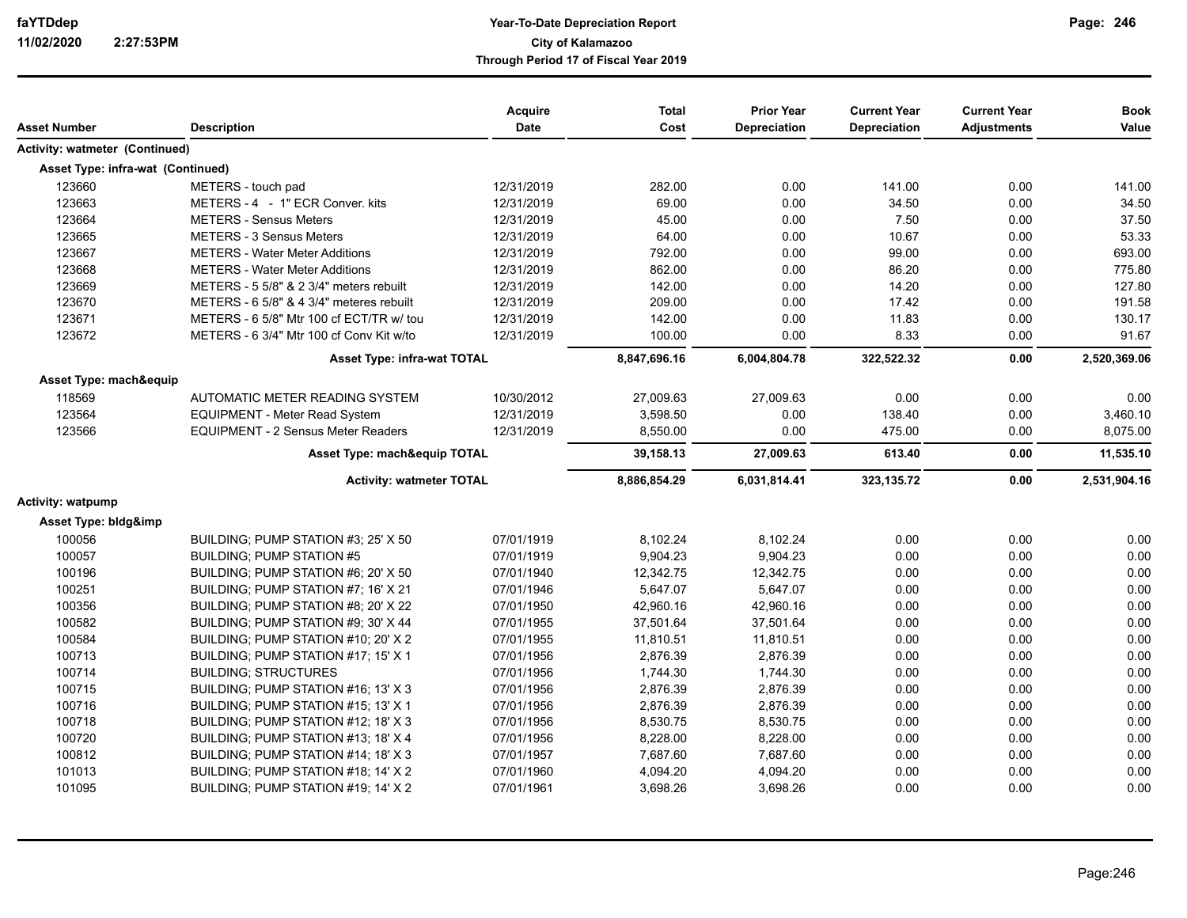| Asset Number                      | <b>Description</b>                        | <b>Acquire</b><br><b>Date</b> | <b>Total</b><br>Cost | <b>Prior Year</b><br><b>Depreciation</b> | <b>Current Year</b><br><b>Depreciation</b> | <b>Current Year</b><br><b>Adjustments</b> | <b>Book</b><br>Value |
|-----------------------------------|-------------------------------------------|-------------------------------|----------------------|------------------------------------------|--------------------------------------------|-------------------------------------------|----------------------|
| Activity: watmeter (Continued)    |                                           |                               |                      |                                          |                                            |                                           |                      |
|                                   |                                           |                               |                      |                                          |                                            |                                           |                      |
| Asset Type: infra-wat (Continued) |                                           |                               |                      |                                          |                                            |                                           |                      |
| 123660                            | METERS - touch pad                        | 12/31/2019                    | 282.00               | 0.00                                     | 141.00                                     | 0.00                                      | 141.00               |
| 123663                            | METERS - 4 - 1" ECR Conver. kits          | 12/31/2019                    | 69.00                | 0.00                                     | 34.50                                      | 0.00                                      | 34.50                |
| 123664                            | <b>METERS - Sensus Meters</b>             | 12/31/2019                    | 45.00                | 0.00                                     | 7.50                                       | 0.00                                      | 37.50                |
| 123665                            | <b>METERS - 3 Sensus Meters</b>           | 12/31/2019                    | 64.00                | 0.00                                     | 10.67                                      | 0.00                                      | 53.33                |
| 123667                            | <b>METERS - Water Meter Additions</b>     | 12/31/2019                    | 792.00               | 0.00                                     | 99.00                                      | 0.00                                      | 693.00               |
| 123668                            | <b>METERS - Water Meter Additions</b>     | 12/31/2019                    | 862.00               | 0.00                                     | 86.20                                      | 0.00                                      | 775.80               |
| 123669                            | METERS - 5 5/8" & 2 3/4" meters rebuilt   | 12/31/2019                    | 142.00               | 0.00                                     | 14.20                                      | 0.00                                      | 127.80               |
| 123670                            | METERS - 6 5/8" & 4 3/4" meteres rebuilt  | 12/31/2019                    | 209.00               | 0.00                                     | 17.42                                      | 0.00                                      | 191.58               |
| 123671                            | METERS - 6 5/8" Mtr 100 cf ECT/TR w/ tou  | 12/31/2019                    | 142.00               | 0.00                                     | 11.83                                      | 0.00                                      | 130.17               |
| 123672                            | METERS - 6 3/4" Mtr 100 cf Conv Kit w/to  | 12/31/2019                    | 100.00               | 0.00                                     | 8.33                                       | 0.00                                      | 91.67                |
|                                   | <b>Asset Type: infra-wat TOTAL</b>        |                               | 8,847,696.16         | 6,004,804.78                             | 322,522.32                                 | 0.00                                      | 2,520,369.06         |
| Asset Type: mach&equip            |                                           |                               |                      |                                          |                                            |                                           |                      |
| 118569                            | AUTOMATIC METER READING SYSTEM            | 10/30/2012                    | 27,009.63            | 27,009.63                                | 0.00                                       | 0.00                                      | 0.00                 |
| 123564                            | <b>EQUIPMENT - Meter Read System</b>      | 12/31/2019                    | 3,598.50             | 0.00                                     | 138.40                                     | 0.00                                      | 3,460.10             |
| 123566                            | <b>EQUIPMENT - 2 Sensus Meter Readers</b> | 12/31/2019                    | 8,550.00             | 0.00                                     | 475.00                                     | 0.00                                      | 8,075.00             |
|                                   | Asset Type: mach&equip TOTAL              |                               | 39,158.13            | 27,009.63                                | 613.40                                     | 0.00                                      | 11,535.10            |
|                                   | <b>Activity: watmeter TOTAL</b>           |                               | 8,886,854.29         | 6,031,814.41                             | 323, 135. 72                               | 0.00                                      | 2,531,904.16         |
| Activity: watpump                 |                                           |                               |                      |                                          |                                            |                                           |                      |
| Asset Type: bldg&imp              |                                           |                               |                      |                                          |                                            |                                           |                      |
| 100056                            | BUILDING: PUMP STATION #3: 25' X 50       | 07/01/1919                    | 8,102.24             | 8,102.24                                 | 0.00                                       | 0.00                                      | 0.00                 |
| 100057                            | <b>BUILDING: PUMP STATION #5</b>          | 07/01/1919                    | 9,904.23             | 9,904.23                                 | 0.00                                       | 0.00                                      | 0.00                 |
| 100196                            | BUILDING; PUMP STATION #6; 20' X 50       | 07/01/1940                    | 12,342.75            | 12,342.75                                | 0.00                                       | 0.00                                      | 0.00                 |
| 100251                            | BUILDING; PUMP STATION #7; 16' X 21       | 07/01/1946                    | 5,647.07             | 5,647.07                                 | 0.00                                       | 0.00                                      | 0.00                 |
| 100356                            | BUILDING: PUMP STATION #8: 20' X 22       | 07/01/1950                    | 42,960.16            | 42,960.16                                | 0.00                                       | 0.00                                      | 0.00                 |
| 100582                            | BUILDING; PUMP STATION #9; 30' X 44       | 07/01/1955                    | 37,501.64            | 37,501.64                                | 0.00                                       | 0.00                                      | 0.00                 |
| 100584                            | BUILDING; PUMP STATION #10; 20' X 2       | 07/01/1955                    | 11,810.51            | 11,810.51                                | 0.00                                       | 0.00                                      | 0.00                 |
| 100713                            | BUILDING; PUMP STATION #17; 15' X 1       | 07/01/1956                    | 2.876.39             | 2,876.39                                 | 0.00                                       | 0.00                                      | 0.00                 |
| 100714                            | <b>BUILDING: STRUCTURES</b>               | 07/01/1956                    | 1,744.30             | 1,744.30                                 | 0.00                                       | 0.00                                      | 0.00                 |
| 100715                            | BUILDING; PUMP STATION #16; 13' X 3       | 07/01/1956                    | 2,876.39             | 2,876.39                                 | 0.00                                       | 0.00                                      | 0.00                 |
| 100716                            | BUILDING; PUMP STATION #15; 13' X 1       | 07/01/1956                    | 2,876.39             | 2,876.39                                 | 0.00                                       | 0.00                                      | 0.00                 |
| 100718                            | BUILDING; PUMP STATION #12; 18' X 3       | 07/01/1956                    | 8,530.75             | 8,530.75                                 | 0.00                                       | 0.00                                      | 0.00                 |
| 100720                            | BUILDING; PUMP STATION #13; 18' X 4       | 07/01/1956                    | 8,228.00             | 8,228.00                                 | 0.00                                       | 0.00                                      | 0.00                 |
| 100812                            | BUILDING: PUMP STATION #14: 18' X 3       | 07/01/1957                    | 7,687.60             | 7,687.60                                 | 0.00                                       | 0.00                                      | 0.00                 |
| 101013                            | BUILDING; PUMP STATION #18; 14' X 2       | 07/01/1960                    | 4,094.20             | 4,094.20                                 | 0.00                                       | 0.00                                      | 0.00                 |
| 101095                            | BUILDING; PUMP STATION #19; 14' X 2       | 07/01/1961                    | 3,698.26             | 3,698.26                                 | 0.00                                       | 0.00                                      | 0.00                 |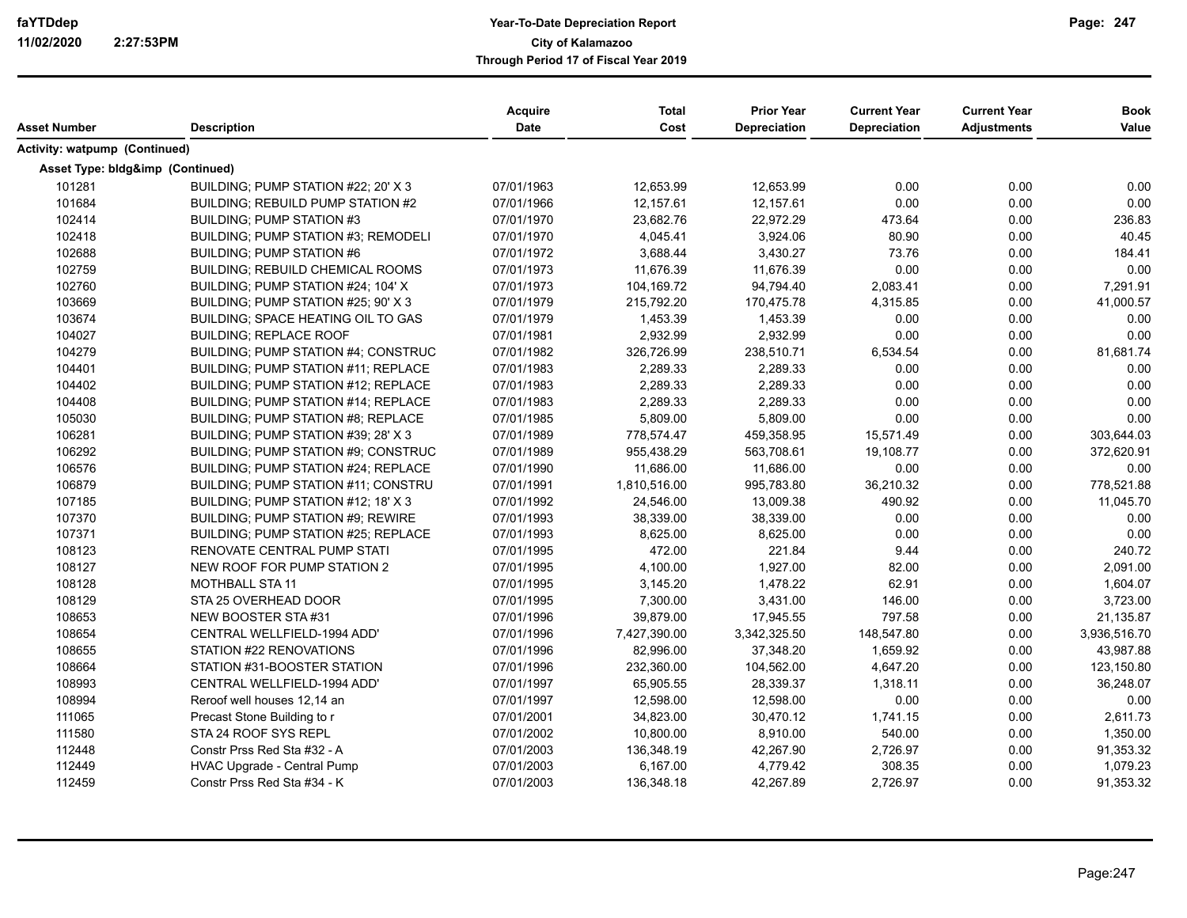|                                  |                                            | Acquire     | <b>Total</b> | <b>Prior Year</b>   | <b>Current Year</b> | <b>Current Year</b> | <b>Book</b>  |
|----------------------------------|--------------------------------------------|-------------|--------------|---------------------|---------------------|---------------------|--------------|
| Asset Number                     | <b>Description</b>                         | <b>Date</b> | Cost         | <b>Depreciation</b> | Depreciation        | <b>Adjustments</b>  | Value        |
| Activity: watpump (Continued)    |                                            |             |              |                     |                     |                     |              |
| Asset Type: bldg&imp (Continued) |                                            |             |              |                     |                     |                     |              |
| 101281                           | BUILDING; PUMP STATION #22; 20' X 3        | 07/01/1963  | 12,653.99    | 12,653.99           | 0.00                | 0.00                | 0.00         |
| 101684                           | BUILDING; REBUILD PUMP STATION #2          | 07/01/1966  | 12,157.61    | 12,157.61           | 0.00                | 0.00                | 0.00         |
| 102414                           | <b>BUILDING: PUMP STATION #3</b>           | 07/01/1970  | 23,682.76    | 22,972.29           | 473.64              | 0.00                | 236.83       |
| 102418                           | BUILDING; PUMP STATION #3; REMODELI        | 07/01/1970  | 4,045.41     | 3,924.06            | 80.90               | 0.00                | 40.45        |
| 102688                           | <b>BUILDING: PUMP STATION #6</b>           | 07/01/1972  | 3,688.44     | 3,430.27            | 73.76               | 0.00                | 184.41       |
| 102759                           | <b>BUILDING: REBUILD CHEMICAL ROOMS</b>    | 07/01/1973  | 11,676.39    | 11,676.39           | 0.00                | 0.00                | 0.00         |
| 102760                           | BUILDING; PUMP STATION #24; 104' X         | 07/01/1973  | 104,169.72   | 94,794.40           | 2,083.41            | 0.00                | 7,291.91     |
| 103669                           | BUILDING; PUMP STATION #25; 90' X 3        | 07/01/1979  | 215,792.20   | 170,475.78          | 4,315.85            | 0.00                | 41,000.57    |
| 103674                           | <b>BUILDING: SPACE HEATING OIL TO GAS</b>  | 07/01/1979  | 1,453.39     | 1,453.39            | 0.00                | 0.00                | 0.00         |
| 104027                           | <b>BUILDING: REPLACE ROOF</b>              | 07/01/1981  | 2,932.99     | 2,932.99            | 0.00                | 0.00                | 0.00         |
| 104279                           | <b>BUILDING: PUMP STATION #4: CONSTRUC</b> | 07/01/1982  | 326,726.99   | 238,510.71          | 6,534.54            | 0.00                | 81,681.74    |
| 104401                           | BUILDING; PUMP STATION #11; REPLACE        | 07/01/1983  | 2,289.33     | 2,289.33            | 0.00                | 0.00                | 0.00         |
| 104402                           | BUILDING; PUMP STATION #12; REPLACE        | 07/01/1983  | 2,289.33     | 2,289.33            | 0.00                | 0.00                | 0.00         |
| 104408                           | <b>BUILDING: PUMP STATION #14: REPLACE</b> | 07/01/1983  | 2,289.33     | 2,289.33            | 0.00                | 0.00                | 0.00         |
| 105030                           | <b>BUILDING: PUMP STATION #8: REPLACE</b>  | 07/01/1985  | 5,809.00     | 5,809.00            | 0.00                | 0.00                | 0.00         |
| 106281                           | BUILDING; PUMP STATION #39; 28' X 3        | 07/01/1989  | 778,574.47   | 459,358.95          | 15,571.49           | 0.00                | 303,644.03   |
| 106292                           | BUILDING; PUMP STATION #9; CONSTRUC        | 07/01/1989  | 955,438.29   | 563,708.61          | 19,108.77           | 0.00                | 372,620.91   |
| 106576                           | BUILDING; PUMP STATION #24; REPLACE        | 07/01/1990  | 11,686.00    | 11,686.00           | 0.00                | 0.00                | 0.00         |
| 106879                           | BUILDING; PUMP STATION #11; CONSTRU        | 07/01/1991  | 1,810,516.00 | 995,783.80          | 36,210.32           | 0.00                | 778,521.88   |
| 107185                           | BUILDING; PUMP STATION #12; 18' X 3        | 07/01/1992  | 24,546.00    | 13,009.38           | 490.92              | 0.00                | 11,045.70    |
| 107370                           | BUILDING; PUMP STATION #9; REWIRE          | 07/01/1993  | 38,339.00    | 38,339.00           | 0.00                | 0.00                | 0.00         |
| 107371                           | <b>BUILDING: PUMP STATION #25: REPLACE</b> | 07/01/1993  | 8,625.00     | 8,625.00            | 0.00                | 0.00                | 0.00         |
| 108123                           | RENOVATE CENTRAL PUMP STATI                | 07/01/1995  | 472.00       | 221.84              | 9.44                | 0.00                | 240.72       |
| 108127                           | NEW ROOF FOR PUMP STATION 2                | 07/01/1995  | 4,100.00     | 1,927.00            | 82.00               | 0.00                | 2,091.00     |
| 108128                           | <b>MOTHBALL STA 11</b>                     | 07/01/1995  | 3,145.20     | 1,478.22            | 62.91               | 0.00                | 1,604.07     |
| 108129                           | STA 25 OVERHEAD DOOR                       | 07/01/1995  | 7,300.00     | 3,431.00            | 146.00              | 0.00                | 3,723.00     |
| 108653                           | NEW BOOSTER STA#31                         | 07/01/1996  | 39,879.00    | 17,945.55           | 797.58              | 0.00                | 21,135.87    |
| 108654                           | CENTRAL WELLFIELD-1994 ADD'                | 07/01/1996  | 7,427,390.00 | 3,342,325.50        | 148,547.80          | 0.00                | 3,936,516.70 |
| 108655                           | STATION #22 RENOVATIONS                    | 07/01/1996  | 82,996.00    | 37,348.20           | 1,659.92            | 0.00                | 43,987.88    |
| 108664                           | STATION #31-BOOSTER STATION                | 07/01/1996  | 232,360.00   | 104,562.00          | 4,647.20            | 0.00                | 123,150.80   |
| 108993                           | CENTRAL WELLFIELD-1994 ADD'                | 07/01/1997  | 65,905.55    | 28,339.37           | 1,318.11            | 0.00                | 36,248.07    |
| 108994                           | Reroof well houses 12,14 an                | 07/01/1997  | 12,598.00    | 12,598.00           | 0.00                | 0.00                | 0.00         |
| 111065                           | Precast Stone Building to r                | 07/01/2001  | 34,823.00    | 30,470.12           | 1,741.15            | 0.00                | 2,611.73     |
| 111580                           | STA 24 ROOF SYS REPL                       | 07/01/2002  | 10,800.00    | 8,910.00            | 540.00              | 0.00                | 1,350.00     |
| 112448                           | Constr Prss Red Sta #32 - A                | 07/01/2003  | 136,348.19   | 42,267.90           | 2,726.97            | 0.00                | 91,353.32    |
| 112449                           | HVAC Upgrade - Central Pump                | 07/01/2003  | 6,167.00     | 4,779.42            | 308.35              | 0.00                | 1,079.23     |
| 112459                           | Constr Prss Red Sta #34 - K                | 07/01/2003  | 136,348.18   | 42,267.89           | 2,726.97            | 0.00                | 91,353.32    |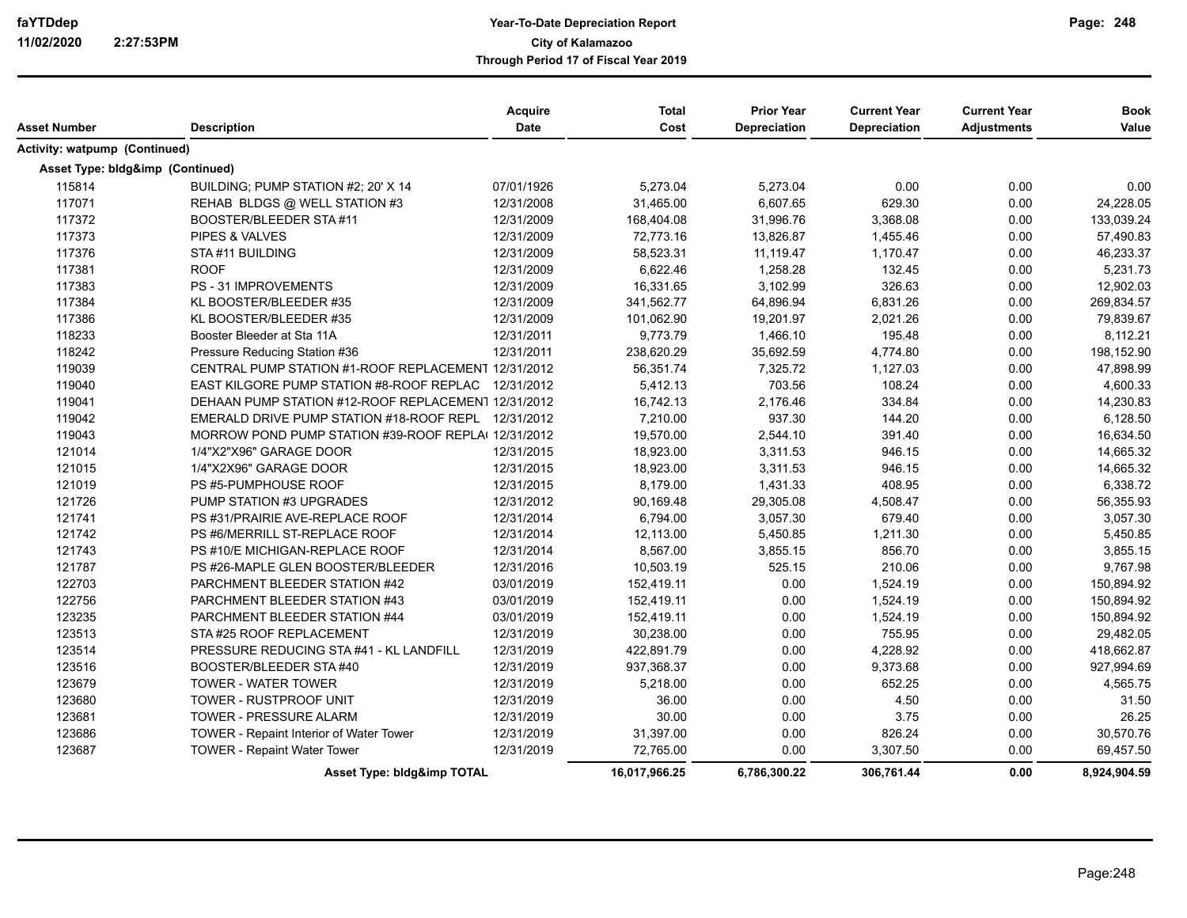| Asset Number                     | <b>Description</b>                                  | <b>Acquire</b><br>Date | <b>Total</b><br>Cost | <b>Prior Year</b><br><b>Depreciation</b> | <b>Current Year</b><br>Depreciation | <b>Current Year</b><br><b>Adjustments</b> | <b>Book</b><br>Value |
|----------------------------------|-----------------------------------------------------|------------------------|----------------------|------------------------------------------|-------------------------------------|-------------------------------------------|----------------------|
|                                  |                                                     |                        |                      |                                          |                                     |                                           |                      |
| Activity: watpump (Continued)    |                                                     |                        |                      |                                          |                                     |                                           |                      |
| Asset Type: bldg&imp (Continued) |                                                     |                        |                      |                                          |                                     |                                           |                      |
| 115814                           | BUILDING: PUMP STATION #2; 20' X 14                 | 07/01/1926             | 5,273.04             | 5,273.04                                 | 0.00                                | 0.00                                      | 0.00                 |
| 117071                           | REHAB BLDGS @ WELL STATION #3                       | 12/31/2008             | 31,465.00            | 6,607.65                                 | 629.30                              | 0.00                                      | 24,228.05            |
| 117372                           | BOOSTER/BLEEDER STA#11                              | 12/31/2009             | 168,404.08           | 31,996.76                                | 3,368.08                            | 0.00                                      | 133,039.24           |
| 117373                           | PIPES & VALVES                                      | 12/31/2009             | 72,773.16            | 13,826.87                                | 1,455.46                            | 0.00                                      | 57,490.83            |
| 117376                           | STA#11 BUILDING                                     | 12/31/2009             | 58,523.31            | 11,119.47                                | 1,170.47                            | 0.00                                      | 46,233.37            |
| 117381                           | <b>ROOF</b>                                         | 12/31/2009             | 6,622.46             | 1,258.28                                 | 132.45                              | 0.00                                      | 5,231.73             |
| 117383                           | <b>PS - 31 IMPROVEMENTS</b>                         | 12/31/2009             | 16,331.65            | 3,102.99                                 | 326.63                              | 0.00                                      | 12,902.03            |
| 117384                           | KL BOOSTER/BLEEDER #35                              | 12/31/2009             | 341,562.77           | 64,896.94                                | 6,831.26                            | 0.00                                      | 269,834.57           |
| 117386                           | KL BOOSTER/BLEEDER #35                              | 12/31/2009             | 101,062.90           | 19,201.97                                | 2,021.26                            | 0.00                                      | 79,839.67            |
| 118233                           | Booster Bleeder at Sta 11A                          | 12/31/2011             | 9,773.79             | 1,466.10                                 | 195.48                              | 0.00                                      | 8,112.21             |
| 118242                           | Pressure Reducing Station #36                       | 12/31/2011             | 238,620.29           | 35,692.59                                | 4,774.80                            | 0.00                                      | 198,152.90           |
| 119039                           | CENTRAL PUMP STATION #1-ROOF REPLACEMENT 12/31/2012 |                        | 56,351.74            | 7,325.72                                 | 1,127.03                            | 0.00                                      | 47,898.99            |
| 119040                           | EAST KILGORE PUMP STATION #8-ROOF REPLAC            | 12/31/2012             | 5,412.13             | 703.56                                   | 108.24                              | 0.00                                      | 4,600.33             |
| 119041                           | DEHAAN PUMP STATION #12-ROOF REPLACEMEN1 12/31/2012 |                        | 16,742.13            | 2,176.46                                 | 334.84                              | 0.00                                      | 14,230.83            |
| 119042                           | EMERALD DRIVE PUMP STATION #18-ROOF REPL 12/31/2012 |                        | 7,210.00             | 937.30                                   | 144.20                              | 0.00                                      | 6,128.50             |
| 119043                           | MORROW POND PUMP STATION #39-ROOF REPLA(12/31/2012  |                        | 19,570.00            | 2,544.10                                 | 391.40                              | 0.00                                      | 16,634.50            |
| 121014                           | 1/4"X2"X96" GARAGE DOOR                             | 12/31/2015             | 18,923.00            | 3,311.53                                 | 946.15                              | 0.00                                      | 14,665.32            |
| 121015                           | 1/4"X2X96" GARAGE DOOR                              | 12/31/2015             | 18,923.00            | 3,311.53                                 | 946.15                              | 0.00                                      | 14,665.32            |
| 121019                           | PS #5-PUMPHOUSE ROOF                                | 12/31/2015             | 8,179.00             | 1,431.33                                 | 408.95                              | 0.00                                      | 6,338.72             |
| 121726                           | PUMP STATION #3 UPGRADES                            | 12/31/2012             | 90,169.48            | 29,305.08                                | 4,508.47                            | 0.00                                      | 56,355.93            |
| 121741                           | PS #31/PRAIRIE AVE-REPLACE ROOF                     | 12/31/2014             | 6,794.00             | 3,057.30                                 | 679.40                              | 0.00                                      | 3,057.30             |
| 121742                           | PS #6/MERRILL ST-REPLACE ROOF                       | 12/31/2014             | 12,113.00            | 5,450.85                                 | 1,211.30                            | 0.00                                      | 5,450.85             |
| 121743                           | PS #10/E MICHIGAN-REPLACE ROOF                      | 12/31/2014             | 8,567.00             | 3,855.15                                 | 856.70                              | 0.00                                      | 3,855.15             |
| 121787                           | PS #26-MAPLE GLEN BOOSTER/BLEEDER                   | 12/31/2016             | 10,503.19            | 525.15                                   | 210.06                              | 0.00                                      | 9,767.98             |
| 122703                           | PARCHMENT BLEEDER STATION #42                       | 03/01/2019             | 152,419.11           | 0.00                                     | 1,524.19                            | 0.00                                      | 150,894.92           |
| 122756                           | PARCHMENT BLEEDER STATION #43                       | 03/01/2019             | 152,419.11           | 0.00                                     | 1,524.19                            | 0.00                                      | 150,894.92           |
| 123235                           | PARCHMENT BLEEDER STATION #44                       | 03/01/2019             | 152,419.11           | 0.00                                     | 1,524.19                            | 0.00                                      | 150,894.92           |
| 123513                           | STA #25 ROOF REPLACEMENT                            | 12/31/2019             | 30,238.00            | 0.00                                     | 755.95                              | 0.00                                      | 29,482.05            |
| 123514                           | PRESSURE REDUCING STA #41 - KL LANDFILL             | 12/31/2019             | 422,891.79           | 0.00                                     | 4,228.92                            | 0.00                                      | 418,662.87           |
| 123516                           | BOOSTER/BLEEDER STA#40                              | 12/31/2019             | 937,368.37           | 0.00                                     | 9,373.68                            | 0.00                                      | 927,994.69           |
| 123679                           | <b>TOWER - WATER TOWER</b>                          | 12/31/2019             | 5,218.00             | 0.00                                     | 652.25                              | 0.00                                      | 4,565.75             |
| 123680                           | TOWER - RUSTPROOF UNIT                              | 12/31/2019             | 36.00                | 0.00                                     | 4.50                                | 0.00                                      | 31.50                |
| 123681                           | <b>TOWER - PRESSURE ALARM</b>                       | 12/31/2019             | 30.00                | 0.00                                     | 3.75                                | 0.00                                      | 26.25                |
| 123686                           | TOWER - Repaint Interior of Water Tower             | 12/31/2019             | 31,397.00            | 0.00                                     | 826.24                              | 0.00                                      | 30,570.76            |
| 123687                           | <b>TOWER - Repaint Water Tower</b>                  | 12/31/2019             | 72.765.00            | 0.00                                     | 3,307.50                            | 0.00                                      | 69,457.50            |
|                                  |                                                     |                        |                      |                                          |                                     |                                           |                      |
|                                  | Asset Type: bldg&imp TOTAL                          |                        | 16,017,966.25        | 6,786,300.22                             | 306,761.44                          | 0.00                                      | 8,924,904.59         |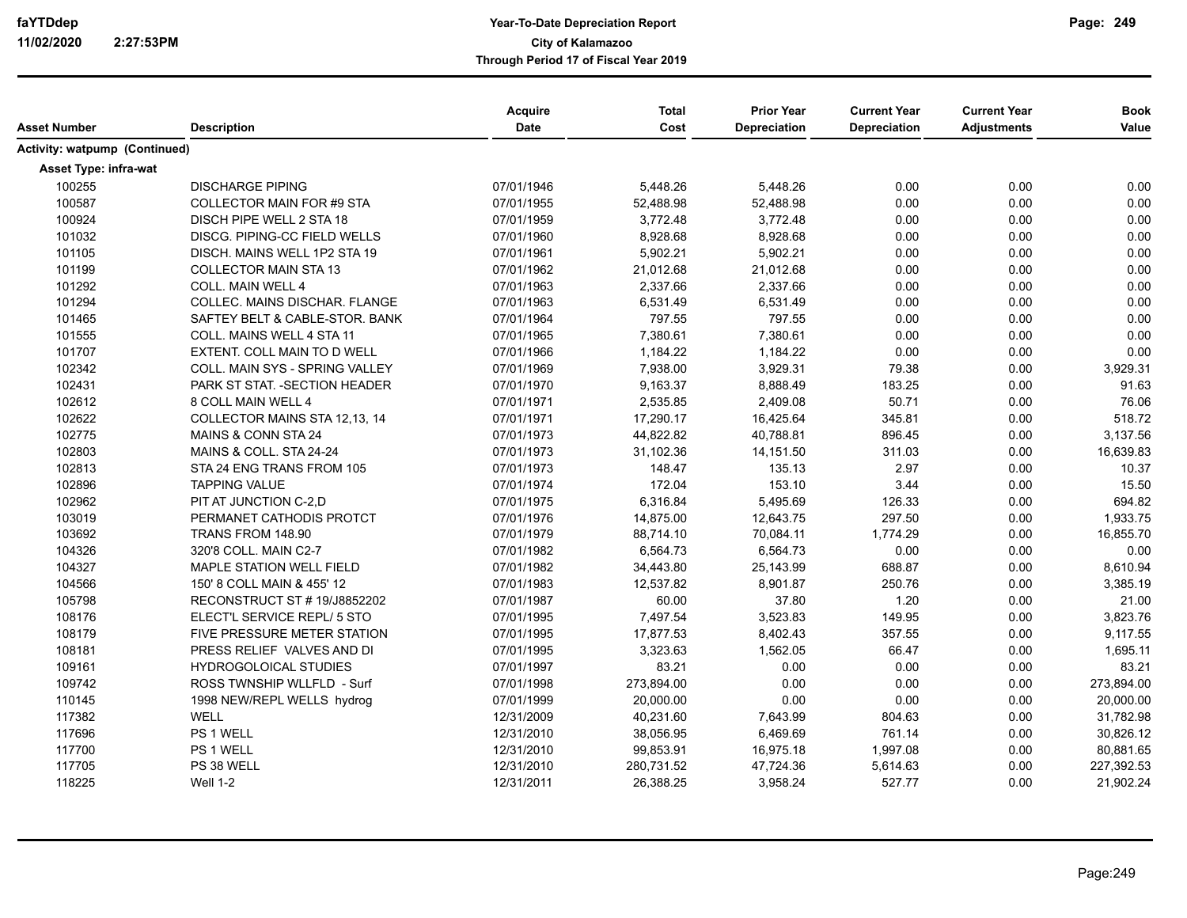| Asset Number                         | <b>Description</b>                 | Acquire<br>Date | <b>Total</b><br>Cost | <b>Prior Year</b><br><b>Depreciation</b> | <b>Current Year</b><br><b>Depreciation</b> | <b>Current Year</b><br><b>Adjustments</b> | <b>Book</b><br>Value |
|--------------------------------------|------------------------------------|-----------------|----------------------|------------------------------------------|--------------------------------------------|-------------------------------------------|----------------------|
| <b>Activity: watpump (Continued)</b> |                                    |                 |                      |                                          |                                            |                                           |                      |
| Asset Type: infra-wat                |                                    |                 |                      |                                          |                                            |                                           |                      |
| 100255                               | <b>DISCHARGE PIPING</b>            | 07/01/1946      | 5,448.26             | 5,448.26                                 | 0.00                                       | 0.00                                      | 0.00                 |
| 100587                               | <b>COLLECTOR MAIN FOR #9 STA</b>   | 07/01/1955      | 52,488.98            | 52,488.98                                | 0.00                                       | 0.00                                      | 0.00                 |
| 100924                               | DISCH PIPE WELL 2 STA 18           | 07/01/1959      | 3,772.48             | 3,772.48                                 | 0.00                                       | 0.00                                      | 0.00                 |
| 101032                               | DISCG. PIPING-CC FIELD WELLS       | 07/01/1960      | 8,928.68             | 8,928.68                                 | 0.00                                       | 0.00                                      | 0.00                 |
| 101105                               | DISCH. MAINS WELL 1P2 STA 19       | 07/01/1961      | 5,902.21             | 5,902.21                                 | 0.00                                       | 0.00                                      | 0.00                 |
| 101199                               | <b>COLLECTOR MAIN STA 13</b>       | 07/01/1962      | 21,012.68            | 21,012.68                                | 0.00                                       | 0.00                                      | 0.00                 |
| 101292                               | COLL. MAIN WELL 4                  | 07/01/1963      | 2,337.66             | 2,337.66                                 | 0.00                                       | 0.00                                      | 0.00                 |
| 101294                               | COLLEC. MAINS DISCHAR. FLANGE      | 07/01/1963      | 6,531.49             | 6,531.49                                 | 0.00                                       | 0.00                                      | 0.00                 |
| 101465                               | SAFTEY BELT & CABLE-STOR. BANK     | 07/01/1964      | 797.55               | 797.55                                   | 0.00                                       | 0.00                                      | 0.00                 |
| 101555                               | COLL. MAINS WELL 4 STA 11          | 07/01/1965      | 7,380.61             | 7,380.61                                 | 0.00                                       | 0.00                                      | 0.00                 |
| 101707                               | EXTENT. COLL MAIN TO D WELL        | 07/01/1966      | 1,184.22             | 1,184.22                                 | 0.00                                       | 0.00                                      | 0.00                 |
| 102342                               | COLL. MAIN SYS - SPRING VALLEY     | 07/01/1969      | 7,938.00             | 3,929.31                                 | 79.38                                      | 0.00                                      | 3,929.31             |
| 102431                               | PARK ST STAT. - SECTION HEADER     | 07/01/1970      | 9,163.37             | 8,888.49                                 | 183.25                                     | 0.00                                      | 91.63                |
| 102612                               | 8 COLL MAIN WELL 4                 | 07/01/1971      | 2,535.85             | 2,409.08                                 | 50.71                                      | 0.00                                      | 76.06                |
| 102622                               | COLLECTOR MAINS STA 12,13, 14      | 07/01/1971      | 17,290.17            | 16,425.64                                | 345.81                                     | 0.00                                      | 518.72               |
| 102775                               | MAINS & CONN STA 24                | 07/01/1973      | 44,822.82            | 40,788.81                                | 896.45                                     | 0.00                                      | 3,137.56             |
| 102803                               | MAINS & COLL. STA 24-24            | 07/01/1973      | 31,102.36            | 14,151.50                                | 311.03                                     | 0.00                                      | 16,639.83            |
| 102813                               | STA 24 ENG TRANS FROM 105          | 07/01/1973      | 148.47               | 135.13                                   | 2.97                                       | 0.00                                      | 10.37                |
| 102896                               | <b>TAPPING VALUE</b>               | 07/01/1974      | 172.04               | 153.10                                   | 3.44                                       | 0.00                                      | 15.50                |
| 102962                               | PIT AT JUNCTION C-2,D              | 07/01/1975      | 6,316.84             | 5,495.69                                 | 126.33                                     | 0.00                                      | 694.82               |
| 103019                               | PERMANET CATHODIS PROTCT           | 07/01/1976      | 14,875.00            | 12,643.75                                | 297.50                                     | 0.00                                      | 1,933.75             |
| 103692                               | TRANS FROM 148.90                  | 07/01/1979      | 88,714.10            | 70,084.11                                | 1,774.29                                   | 0.00                                      | 16,855.70            |
| 104326                               | 320'8 COLL. MAIN C2-7              | 07/01/1982      | 6,564.73             | 6,564.73                                 | 0.00                                       | 0.00                                      | 0.00                 |
| 104327                               | MAPLE STATION WELL FIELD           | 07/01/1982      | 34,443.80            | 25,143.99                                | 688.87                                     | 0.00                                      | 8,610.94             |
| 104566                               | 150' 8 COLL MAIN & 455' 12         | 07/01/1983      | 12,537.82            | 8,901.87                                 | 250.76                                     | 0.00                                      | 3,385.19             |
| 105798                               | RECONSTRUCT ST # 19/J8852202       | 07/01/1987      | 60.00                | 37.80                                    | 1.20                                       | 0.00                                      | 21.00                |
| 108176                               | ELECT'L SERVICE REPL/ 5 STO        | 07/01/1995      | 7,497.54             | 3,523.83                                 | 149.95                                     | 0.00                                      | 3,823.76             |
| 108179                               | <b>FIVE PRESSURE METER STATION</b> | 07/01/1995      | 17,877.53            | 8,402.43                                 | 357.55                                     | 0.00                                      | 9,117.55             |
| 108181                               | PRESS RELIEF VALVES AND DI         | 07/01/1995      | 3,323.63             | 1,562.05                                 | 66.47                                      | 0.00                                      | 1,695.11             |
| 109161                               | <b>HYDROGOLOICAL STUDIES</b>       | 07/01/1997      | 83.21                | 0.00                                     | 0.00                                       | 0.00                                      | 83.21                |
| 109742                               | ROSS TWNSHIP WLLFLD - Surf         | 07/01/1998      | 273,894.00           | 0.00                                     | 0.00                                       | 0.00                                      | 273,894.00           |
| 110145                               | 1998 NEW/REPL WELLS hydrog         | 07/01/1999      | 20,000.00            | 0.00                                     | 0.00                                       | 0.00                                      | 20,000.00            |
| 117382                               | <b>WELL</b>                        | 12/31/2009      | 40,231.60            | 7,643.99                                 | 804.63                                     | 0.00                                      | 31,782.98            |
| 117696                               | PS 1 WELL                          | 12/31/2010      | 38,056.95            | 6,469.69                                 | 761.14                                     | 0.00                                      | 30,826.12            |
| 117700                               | PS 1 WELL                          | 12/31/2010      | 99,853.91            | 16,975.18                                | 1,997.08                                   | 0.00                                      | 80,881.65            |
| 117705                               | PS 38 WELL                         | 12/31/2010      | 280,731.52           | 47,724.36                                | 5,614.63                                   | 0.00                                      | 227,392.53           |
| 118225                               | <b>Well 1-2</b>                    | 12/31/2011      | 26,388.25            | 3,958.24                                 | 527.77                                     | 0.00                                      | 21,902.24            |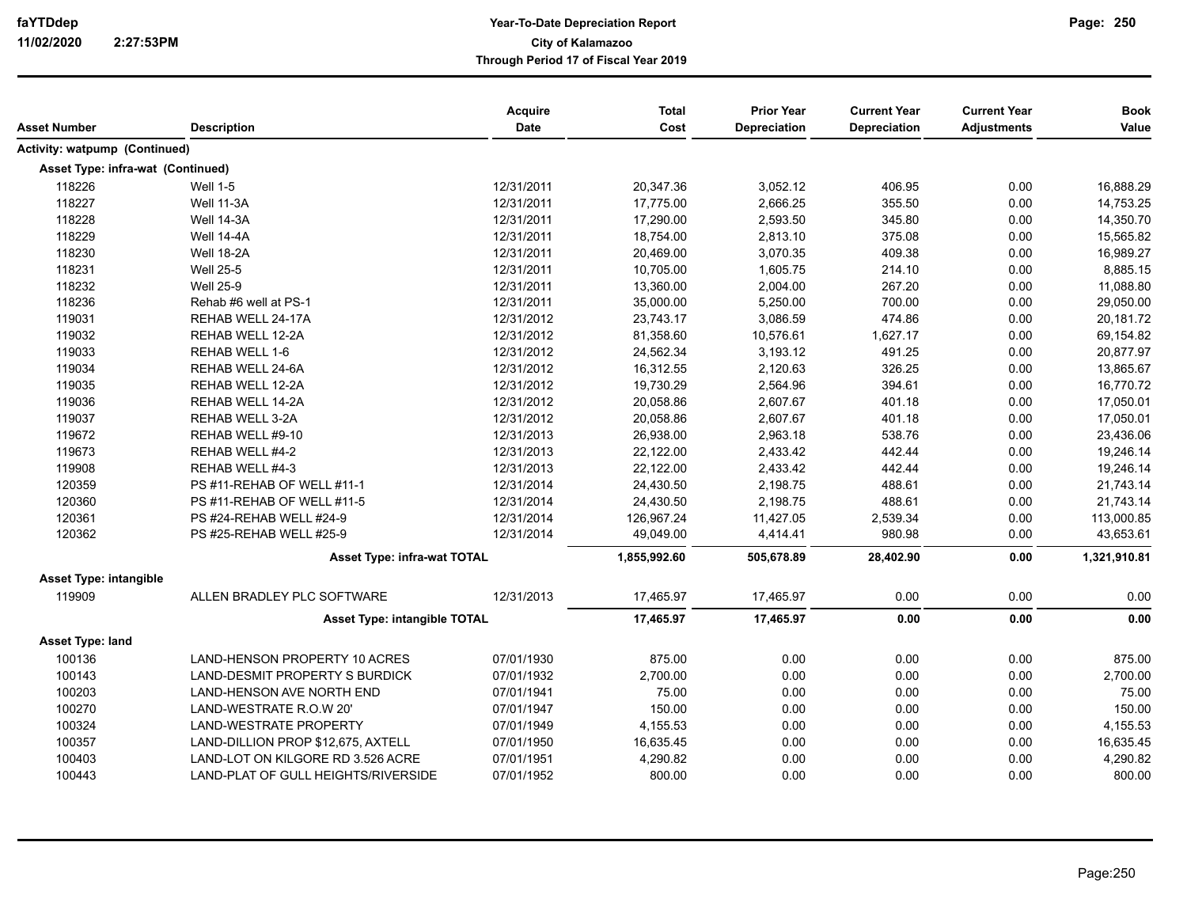| Asset Number                         | <b>Description</b>                  | <b>Acquire</b><br><b>Date</b> | <b>Total</b><br>Cost | <b>Prior Year</b><br><b>Depreciation</b> | <b>Current Year</b><br>Depreciation | <b>Current Year</b><br><b>Adjustments</b> | <b>Book</b><br>Value |
|--------------------------------------|-------------------------------------|-------------------------------|----------------------|------------------------------------------|-------------------------------------|-------------------------------------------|----------------------|
| <b>Activity: watpump (Continued)</b> |                                     |                               |                      |                                          |                                     |                                           |                      |
| Asset Type: infra-wat (Continued)    |                                     |                               |                      |                                          |                                     |                                           |                      |
| 118226                               | <b>Well 1-5</b>                     | 12/31/2011                    | 20,347.36            | 3,052.12                                 | 406.95                              | 0.00                                      | 16,888.29            |
| 118227                               | Well 11-3A                          | 12/31/2011                    | 17,775.00            | 2,666.25                                 | 355.50                              | 0.00                                      | 14,753.25            |
| 118228                               | Well 14-3A                          | 12/31/2011                    | 17,290.00            | 2,593.50                                 | 345.80                              | 0.00                                      | 14,350.70            |
| 118229                               | <b>Well 14-4A</b>                   | 12/31/2011                    | 18,754.00            | 2,813.10                                 | 375.08                              | 0.00                                      | 15,565.82            |
| 118230                               | <b>Well 18-2A</b>                   | 12/31/2011                    | 20,469.00            | 3,070.35                                 | 409.38                              | 0.00                                      | 16,989.27            |
| 118231                               | <b>Well 25-5</b>                    | 12/31/2011                    | 10,705.00            | 1,605.75                                 | 214.10                              | 0.00                                      | 8,885.15             |
| 118232                               | <b>Well 25-9</b>                    | 12/31/2011                    | 13,360.00            | 2,004.00                                 | 267.20                              | 0.00                                      | 11,088.80            |
| 118236                               | Rehab #6 well at PS-1               | 12/31/2011                    | 35,000.00            | 5,250.00                                 | 700.00                              | 0.00                                      | 29,050.00            |
| 119031                               | REHAB WELL 24-17A                   | 12/31/2012                    | 23,743.17            | 3,086.59                                 | 474.86                              | 0.00                                      | 20,181.72            |
| 119032                               | REHAB WELL 12-2A                    | 12/31/2012                    | 81,358.60            | 10,576.61                                | 1,627.17                            | 0.00                                      | 69,154.82            |
| 119033                               | REHAB WELL 1-6                      | 12/31/2012                    | 24,562.34            | 3,193.12                                 | 491.25                              | 0.00                                      | 20,877.97            |
| 119034                               | REHAB WELL 24-6A                    | 12/31/2012                    | 16,312.55            | 2,120.63                                 | 326.25                              | 0.00                                      | 13,865.67            |
| 119035                               | REHAB WELL 12-2A                    | 12/31/2012                    | 19,730.29            | 2,564.96                                 | 394.61                              | 0.00                                      | 16,770.72            |
| 119036                               | REHAB WELL 14-2A                    | 12/31/2012                    | 20,058.86            | 2,607.67                                 | 401.18                              | 0.00                                      | 17,050.01            |
| 119037                               | <b>REHAB WELL 3-2A</b>              | 12/31/2012                    | 20,058.86            | 2,607.67                                 | 401.18                              | 0.00                                      | 17,050.01            |
| 119672                               | REHAB WELL #9-10                    | 12/31/2013                    | 26,938.00            | 2,963.18                                 | 538.76                              | 0.00                                      | 23,436.06            |
| 119673                               | REHAB WELL #4-2                     | 12/31/2013                    | 22,122.00            | 2,433.42                                 | 442.44                              | 0.00                                      | 19,246.14            |
| 119908                               | REHAB WELL #4-3                     | 12/31/2013                    | 22,122.00            | 2,433.42                                 | 442.44                              | 0.00                                      | 19,246.14            |
| 120359                               | PS #11-REHAB OF WELL #11-1          | 12/31/2014                    | 24,430.50            | 2,198.75                                 | 488.61                              | 0.00                                      | 21,743.14            |
| 120360                               | PS #11-REHAB OF WELL #11-5          | 12/31/2014                    | 24,430.50            | 2,198.75                                 | 488.61                              | 0.00                                      | 21,743.14            |
| 120361                               | PS #24-REHAB WELL #24-9             | 12/31/2014                    | 126,967.24           | 11,427.05                                | 2,539.34                            | 0.00                                      | 113,000.85           |
| 120362                               | PS #25-REHAB WELL #25-9             | 12/31/2014                    | 49,049.00            | 4,414.41                                 | 980.98                              | 0.00                                      | 43,653.61            |
|                                      | <b>Asset Type: infra-wat TOTAL</b>  |                               | 1,855,992.60         | 505,678.89                               | 28,402.90                           | 0.00                                      | 1,321,910.81         |
| <b>Asset Type: intangible</b>        |                                     |                               |                      |                                          |                                     |                                           |                      |
| 119909                               | ALLEN BRADLEY PLC SOFTWARE          | 12/31/2013                    | 17,465.97            | 17,465.97                                | 0.00                                | 0.00                                      | 0.00                 |
|                                      | <b>Asset Type: intangible TOTAL</b> |                               | 17,465.97            | 17,465.97                                | 0.00                                | 0.00                                      | 0.00                 |
| Asset Type: land                     |                                     |                               |                      |                                          |                                     |                                           |                      |
| 100136                               | LAND-HENSON PROPERTY 10 ACRES       | 07/01/1930                    | 875.00               | 0.00                                     | 0.00                                | 0.00                                      | 875.00               |
| 100143                               | LAND-DESMIT PROPERTY S BURDICK      | 07/01/1932                    | 2,700.00             | 0.00                                     | 0.00                                | 0.00                                      | 2,700.00             |
| 100203                               | LAND-HENSON AVE NORTH END           | 07/01/1941                    | 75.00                | 0.00                                     | 0.00                                | 0.00                                      | 75.00                |
| 100270                               | LAND-WESTRATE R.O.W 20'             | 07/01/1947                    | 150.00               | 0.00                                     | 0.00                                | 0.00                                      | 150.00               |
| 100324                               | <b>LAND-WESTRATE PROPERTY</b>       | 07/01/1949                    | 4,155.53             | 0.00                                     | 0.00                                | 0.00                                      | 4,155.53             |
| 100357                               | LAND-DILLION PROP \$12,675, AXTELL  | 07/01/1950                    | 16,635.45            | 0.00                                     | 0.00                                | 0.00                                      | 16,635.45            |
| 100403                               | LAND-LOT ON KILGORE RD 3.526 ACRE   | 07/01/1951                    | 4,290.82             | 0.00                                     | 0.00                                | 0.00                                      | 4,290.82             |
| 100443                               | LAND-PLAT OF GULL HEIGHTS/RIVERSIDE | 07/01/1952                    | 800.00               | 0.00                                     | 0.00                                | 0.00                                      | 800.00               |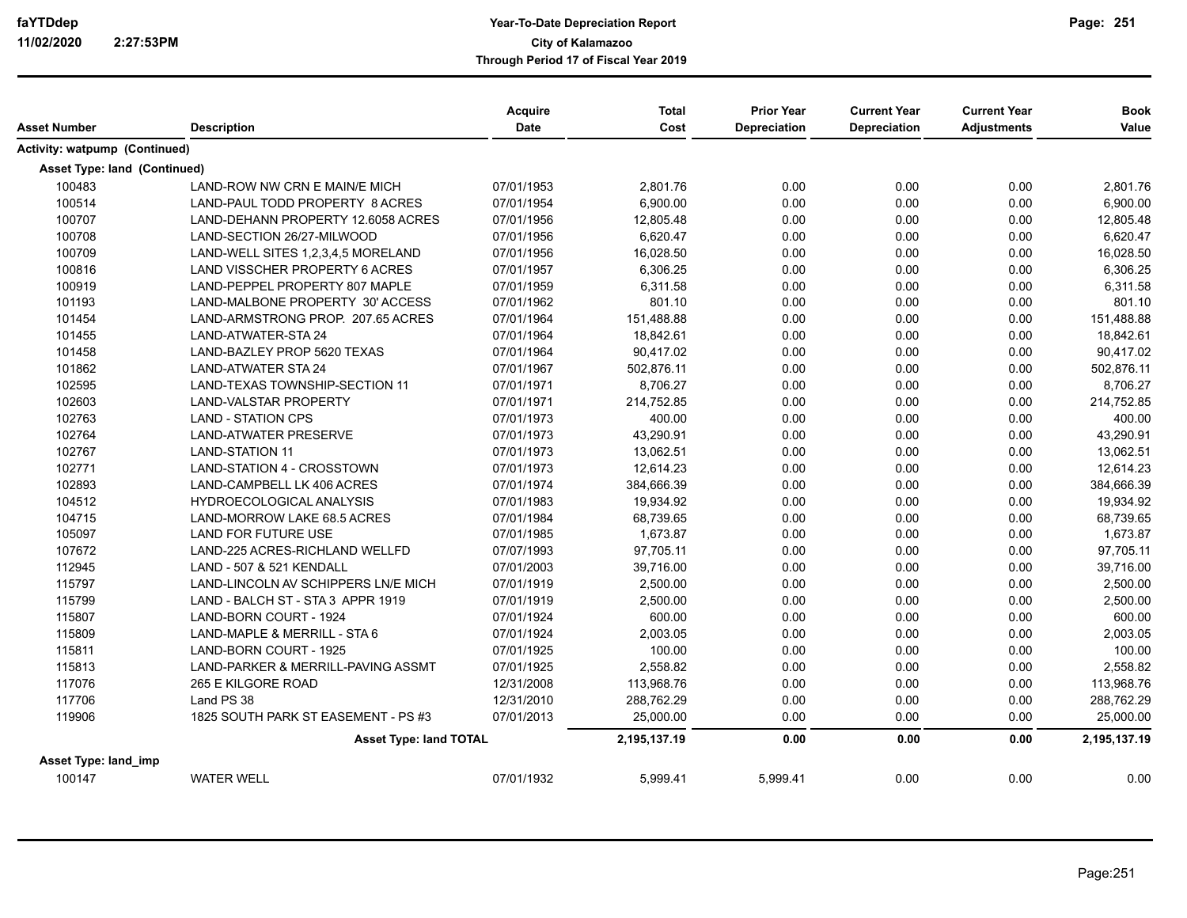| Asset Number                        | <b>Description</b>                    | Acquire<br>Date | <b>Total</b><br>Cost | <b>Prior Year</b><br>Depreciation | <b>Current Year</b><br><b>Depreciation</b> | <b>Current Year</b><br><b>Adjustments</b> | <b>Book</b><br>Value |
|-------------------------------------|---------------------------------------|-----------------|----------------------|-----------------------------------|--------------------------------------------|-------------------------------------------|----------------------|
| Activity: watpump (Continued)       |                                       |                 |                      |                                   |                                            |                                           |                      |
|                                     |                                       |                 |                      |                                   |                                            |                                           |                      |
| <b>Asset Type: land (Continued)</b> |                                       |                 |                      |                                   |                                            |                                           |                      |
| 100483                              | LAND-ROW NW CRN E MAIN/E MICH         | 07/01/1953      | 2,801.76             | 0.00                              | 0.00                                       | 0.00                                      | 2,801.76             |
| 100514                              | LAND-PAUL TODD PROPERTY 8 ACRES       | 07/01/1954      | 6,900.00             | 0.00                              | 0.00                                       | 0.00                                      | 6,900.00             |
| 100707                              | LAND-DEHANN PROPERTY 12.6058 ACRES    | 07/01/1956      | 12,805.48            | 0.00                              | 0.00                                       | 0.00                                      | 12,805.48            |
| 100708                              | LAND-SECTION 26/27-MILWOOD            | 07/01/1956      | 6,620.47             | 0.00                              | 0.00                                       | 0.00                                      | 6,620.47             |
| 100709                              | LAND-WELL SITES 1,2,3,4,5 MORELAND    | 07/01/1956      | 16,028.50            | 0.00                              | 0.00                                       | 0.00                                      | 16,028.50            |
| 100816                              | LAND VISSCHER PROPERTY 6 ACRES        | 07/01/1957      | 6,306.25             | 0.00                              | 0.00                                       | 0.00                                      | 6,306.25             |
| 100919                              | LAND-PEPPEL PROPERTY 807 MAPLE        | 07/01/1959      | 6,311.58             | 0.00                              | 0.00                                       | 0.00                                      | 6,311.58             |
| 101193                              | LAND-MALBONE PROPERTY 30' ACCESS      | 07/01/1962      | 801.10               | 0.00                              | 0.00                                       | 0.00                                      | 801.10               |
| 101454                              | LAND-ARMSTRONG PROP. 207.65 ACRES     | 07/01/1964      | 151,488.88           | 0.00                              | 0.00                                       | 0.00                                      | 151,488.88           |
| 101455                              | <b>LAND-ATWATER-STA 24</b>            | 07/01/1964      | 18,842.61            | 0.00                              | 0.00                                       | 0.00                                      | 18,842.61            |
| 101458                              | LAND-BAZLEY PROP 5620 TEXAS           | 07/01/1964      | 90,417.02            | 0.00                              | 0.00                                       | 0.00                                      | 90,417.02            |
| 101862                              | LAND-ATWATER STA 24                   | 07/01/1967      | 502,876.11           | 0.00                              | 0.00                                       | 0.00                                      | 502,876.11           |
| 102595                              | <b>LAND-TEXAS TOWNSHIP-SECTION 11</b> | 07/01/1971      | 8,706.27             | 0.00                              | 0.00                                       | 0.00                                      | 8,706.27             |
| 102603                              | LAND-VALSTAR PROPERTY                 | 07/01/1971      | 214,752.85           | 0.00                              | 0.00                                       | 0.00                                      | 214,752.85           |
| 102763                              | <b>LAND - STATION CPS</b>             | 07/01/1973      | 400.00               | 0.00                              | 0.00                                       | 0.00                                      | 400.00               |
| 102764                              | <b>LAND-ATWATER PRESERVE</b>          | 07/01/1973      | 43,290.91            | 0.00                              | 0.00                                       | 0.00                                      | 43,290.91            |
| 102767                              | <b>LAND-STATION 11</b>                | 07/01/1973      | 13,062.51            | 0.00                              | 0.00                                       | 0.00                                      | 13,062.51            |
| 102771                              | LAND-STATION 4 - CROSSTOWN            | 07/01/1973      | 12,614.23            | 0.00                              | 0.00                                       | 0.00                                      | 12,614.23            |
| 102893                              | LAND-CAMPBELL LK 406 ACRES            | 07/01/1974      | 384,666.39           | 0.00                              | 0.00                                       | 0.00                                      | 384,666.39           |
| 104512                              | HYDROECOLOGICAL ANALYSIS              | 07/01/1983      | 19,934.92            | 0.00                              | 0.00                                       | 0.00                                      | 19,934.92            |
| 104715                              | LAND-MORROW LAKE 68.5 ACRES           | 07/01/1984      | 68,739.65            | 0.00                              | 0.00                                       | 0.00                                      | 68,739.65            |
| 105097                              | LAND FOR FUTURE USE                   | 07/01/1985      | 1,673.87             | 0.00                              | 0.00                                       | 0.00                                      | 1,673.87             |
| 107672                              | LAND-225 ACRES-RICHLAND WELLFD        | 07/07/1993      | 97,705.11            | 0.00                              | 0.00                                       | 0.00                                      | 97,705.11            |
| 112945                              | LAND - 507 & 521 KENDALL              | 07/01/2003      | 39,716.00            | 0.00                              | 0.00                                       | 0.00                                      | 39,716.00            |
| 115797                              | LAND-LINCOLN AV SCHIPPERS LN/E MICH   | 07/01/1919      | 2,500.00             | 0.00                              | 0.00                                       | 0.00                                      | 2,500.00             |
| 115799                              | LAND - BALCH ST - STA 3 APPR 1919     | 07/01/1919      | 2,500.00             | 0.00                              | 0.00                                       | 0.00                                      | 2,500.00             |
| 115807                              | LAND-BORN COURT - 1924                | 07/01/1924      | 600.00               | 0.00                              | 0.00                                       | 0.00                                      | 600.00               |
| 115809                              | LAND-MAPLE & MERRILL - STA 6          | 07/01/1924      | 2,003.05             | 0.00                              | 0.00                                       | 0.00                                      | 2,003.05             |
| 115811                              | LAND-BORN COURT - 1925                | 07/01/1925      | 100.00               | 0.00                              | 0.00                                       | 0.00                                      | 100.00               |
| 115813                              | LAND-PARKER & MERRILL-PAVING ASSMT    | 07/01/1925      | 2,558.82             | 0.00                              | 0.00                                       | 0.00                                      | 2,558.82             |
| 117076                              | 265 E KILGORE ROAD                    | 12/31/2008      | 113,968.76           | 0.00                              | 0.00                                       | 0.00                                      | 113,968.76           |
| 117706                              | Land PS 38                            | 12/31/2010      | 288,762.29           | 0.00                              | 0.00                                       | 0.00                                      | 288,762.29           |
| 119906                              | 1825 SOUTH PARK ST EASEMENT - PS #3   | 07/01/2013      | 25,000.00            | 0.00                              | 0.00                                       | 0.00                                      | 25,000.00            |
|                                     |                                       |                 |                      |                                   |                                            |                                           |                      |
|                                     | <b>Asset Type: land TOTAL</b>         |                 | 2,195,137.19         | 0.00                              | 0.00                                       | 0.00                                      | 2,195,137.19         |
| Asset Type: land imp                |                                       |                 |                      |                                   |                                            |                                           |                      |
| 100147                              | <b>WATER WELL</b>                     | 07/01/1932      | 5,999.41             | 5,999.41                          | 0.00                                       | 0.00                                      | 0.00                 |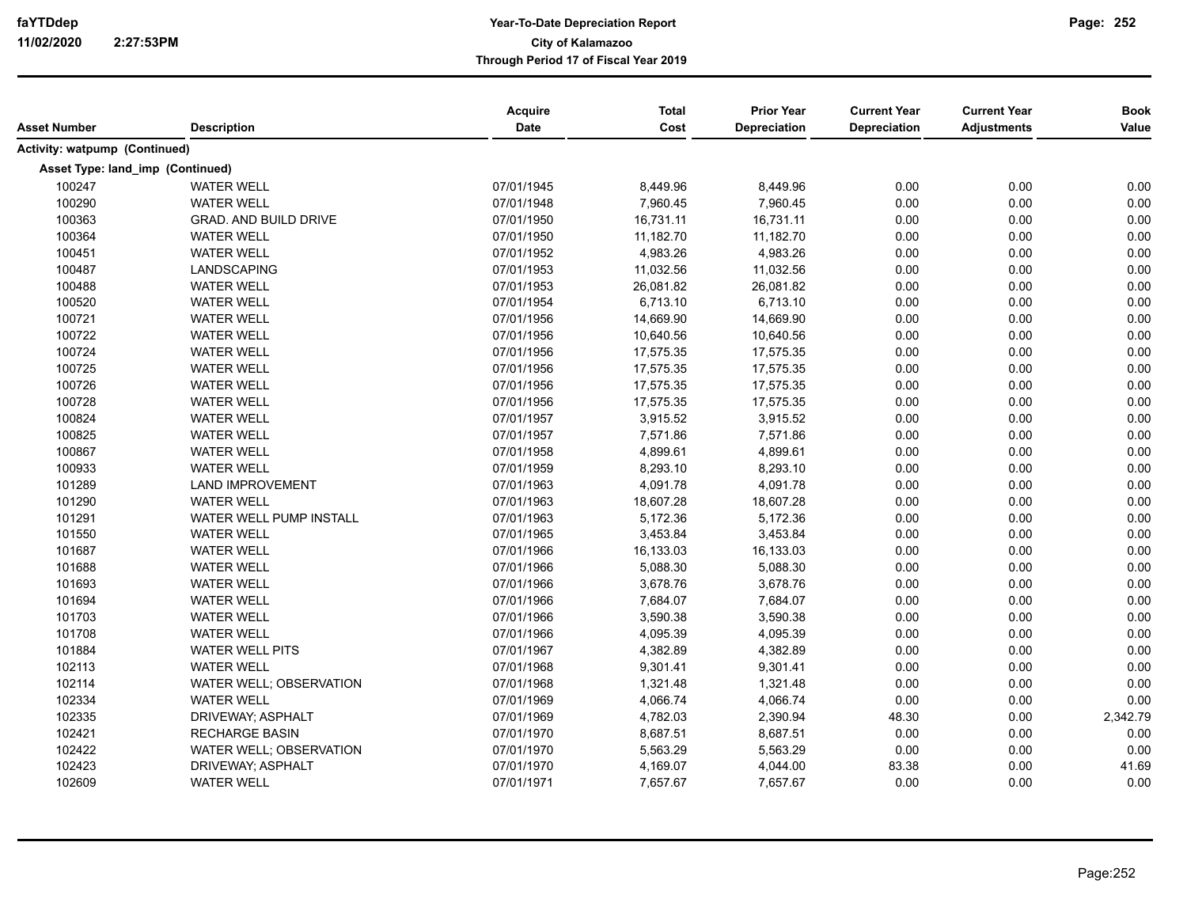| <b>Asset Number</b>              | <b>Description</b>           | Acquire<br><b>Date</b> | <b>Total</b><br>Cost | <b>Prior Year</b><br>Depreciation | <b>Current Year</b><br>Depreciation | <b>Current Year</b><br><b>Adjustments</b> | <b>Book</b><br>Value |
|----------------------------------|------------------------------|------------------------|----------------------|-----------------------------------|-------------------------------------|-------------------------------------------|----------------------|
|                                  |                              |                        |                      |                                   |                                     |                                           |                      |
| Activity: watpump (Continued)    |                              |                        |                      |                                   |                                     |                                           |                      |
| Asset Type: land_imp (Continued) |                              |                        |                      |                                   |                                     |                                           |                      |
| 100247                           | <b>WATER WELL</b>            | 07/01/1945             | 8,449.96             | 8,449.96                          | 0.00                                | 0.00                                      | 0.00                 |
| 100290                           | <b>WATER WELL</b>            | 07/01/1948             | 7,960.45             | 7,960.45                          | 0.00                                | 0.00                                      | 0.00                 |
| 100363                           | <b>GRAD. AND BUILD DRIVE</b> | 07/01/1950             | 16,731.11            | 16,731.11                         | 0.00                                | 0.00                                      | 0.00                 |
| 100364                           | <b>WATER WELL</b>            | 07/01/1950             | 11,182.70            | 11,182.70                         | 0.00                                | 0.00                                      | 0.00                 |
| 100451                           | <b>WATER WELL</b>            | 07/01/1952             | 4,983.26             | 4,983.26                          | 0.00                                | 0.00                                      | 0.00                 |
| 100487                           | <b>LANDSCAPING</b>           | 07/01/1953             | 11,032.56            | 11,032.56                         | 0.00                                | 0.00                                      | 0.00                 |
| 100488                           | <b>WATER WELL</b>            | 07/01/1953             | 26,081.82            | 26,081.82                         | 0.00                                | 0.00                                      | 0.00                 |
| 100520                           | <b>WATER WELL</b>            | 07/01/1954             | 6,713.10             | 6,713.10                          | 0.00                                | 0.00                                      | 0.00                 |
| 100721                           | <b>WATER WELL</b>            | 07/01/1956             | 14,669.90            | 14,669.90                         | 0.00                                | 0.00                                      | 0.00                 |
| 100722                           | <b>WATER WELL</b>            | 07/01/1956             | 10,640.56            | 10,640.56                         | 0.00                                | 0.00                                      | 0.00                 |
| 100724                           | <b>WATER WELL</b>            | 07/01/1956             | 17,575.35            | 17,575.35                         | 0.00                                | 0.00                                      | 0.00                 |
| 100725                           | <b>WATER WELL</b>            | 07/01/1956             | 17,575.35            | 17,575.35                         | 0.00                                | 0.00                                      | 0.00                 |
| 100726                           | <b>WATER WELL</b>            | 07/01/1956             | 17,575.35            | 17,575.35                         | 0.00                                | 0.00                                      | 0.00                 |
| 100728                           | <b>WATER WELL</b>            | 07/01/1956             | 17,575.35            | 17,575.35                         | 0.00                                | 0.00                                      | 0.00                 |
| 100824                           | <b>WATER WELL</b>            | 07/01/1957             | 3,915.52             | 3,915.52                          | 0.00                                | 0.00                                      | 0.00                 |
| 100825                           | <b>WATER WELL</b>            | 07/01/1957             | 7,571.86             | 7,571.86                          | 0.00                                | 0.00                                      | 0.00                 |
| 100867                           | <b>WATER WELL</b>            | 07/01/1958             | 4,899.61             | 4,899.61                          | 0.00                                | 0.00                                      | 0.00                 |
| 100933                           | <b>WATER WELL</b>            | 07/01/1959             | 8,293.10             | 8,293.10                          | 0.00                                | 0.00                                      | 0.00                 |
| 101289                           | <b>LAND IMPROVEMENT</b>      | 07/01/1963             | 4,091.78             | 4,091.78                          | 0.00                                | 0.00                                      | 0.00                 |
| 101290                           | <b>WATER WELL</b>            | 07/01/1963             | 18,607.28            | 18,607.28                         | 0.00                                | 0.00                                      | 0.00                 |
| 101291                           | WATER WELL PUMP INSTALL      | 07/01/1963             | 5,172.36             | 5,172.36                          | 0.00                                | 0.00                                      | 0.00                 |
| 101550                           | <b>WATER WELL</b>            | 07/01/1965             | 3,453.84             | 3,453.84                          | 0.00                                | 0.00                                      | 0.00                 |
| 101687                           | <b>WATER WELL</b>            | 07/01/1966             | 16,133.03            | 16,133.03                         | 0.00                                | 0.00                                      | 0.00                 |
| 101688                           | <b>WATER WELL</b>            | 07/01/1966             | 5,088.30             | 5,088.30                          | 0.00                                | 0.00                                      | 0.00                 |
| 101693                           | <b>WATER WELL</b>            | 07/01/1966             | 3,678.76             | 3,678.76                          | 0.00                                | 0.00                                      | 0.00                 |
| 101694                           | <b>WATER WELL</b>            | 07/01/1966             | 7,684.07             | 7,684.07                          | 0.00                                | 0.00                                      | 0.00                 |
| 101703                           | <b>WATER WELL</b>            | 07/01/1966             | 3,590.38             | 3,590.38                          | 0.00                                | 0.00                                      | 0.00                 |
| 101708                           | <b>WATER WELL</b>            | 07/01/1966             | 4,095.39             | 4,095.39                          | 0.00                                | 0.00                                      | 0.00                 |
| 101884                           | <b>WATER WELL PITS</b>       | 07/01/1967             | 4,382.89             | 4,382.89                          | 0.00                                | 0.00                                      | 0.00                 |
| 102113                           | <b>WATER WELL</b>            | 07/01/1968             | 9,301.41             | 9,301.41                          | 0.00                                | 0.00                                      | 0.00                 |
| 102114                           | WATER WELL; OBSERVATION      | 07/01/1968             | 1,321.48             | 1,321.48                          | 0.00                                | 0.00                                      | 0.00                 |
| 102334                           | <b>WATER WELL</b>            | 07/01/1969             | 4,066.74             | 4,066.74                          | 0.00                                | 0.00                                      | 0.00                 |
| 102335                           | DRIVEWAY; ASPHALT            | 07/01/1969             | 4,782.03             | 2,390.94                          | 48.30                               | 0.00                                      | 2,342.79             |
| 102421                           | <b>RECHARGE BASIN</b>        | 07/01/1970             | 8,687.51             | 8,687.51                          | 0.00                                | 0.00                                      | 0.00                 |
| 102422                           | WATER WELL; OBSERVATION      | 07/01/1970             | 5,563.29             | 5,563.29                          | 0.00                                | 0.00                                      | 0.00                 |
| 102423                           | DRIVEWAY; ASPHALT            | 07/01/1970             | 4,169.07             | 4,044.00                          | 83.38                               | 0.00                                      | 41.69                |
|                                  |                              |                        |                      |                                   |                                     |                                           |                      |
| 102609                           | <b>WATER WELL</b>            | 07/01/1971             | 7,657.67             | 7,657.67                          | 0.00                                | 0.00                                      | 0.00                 |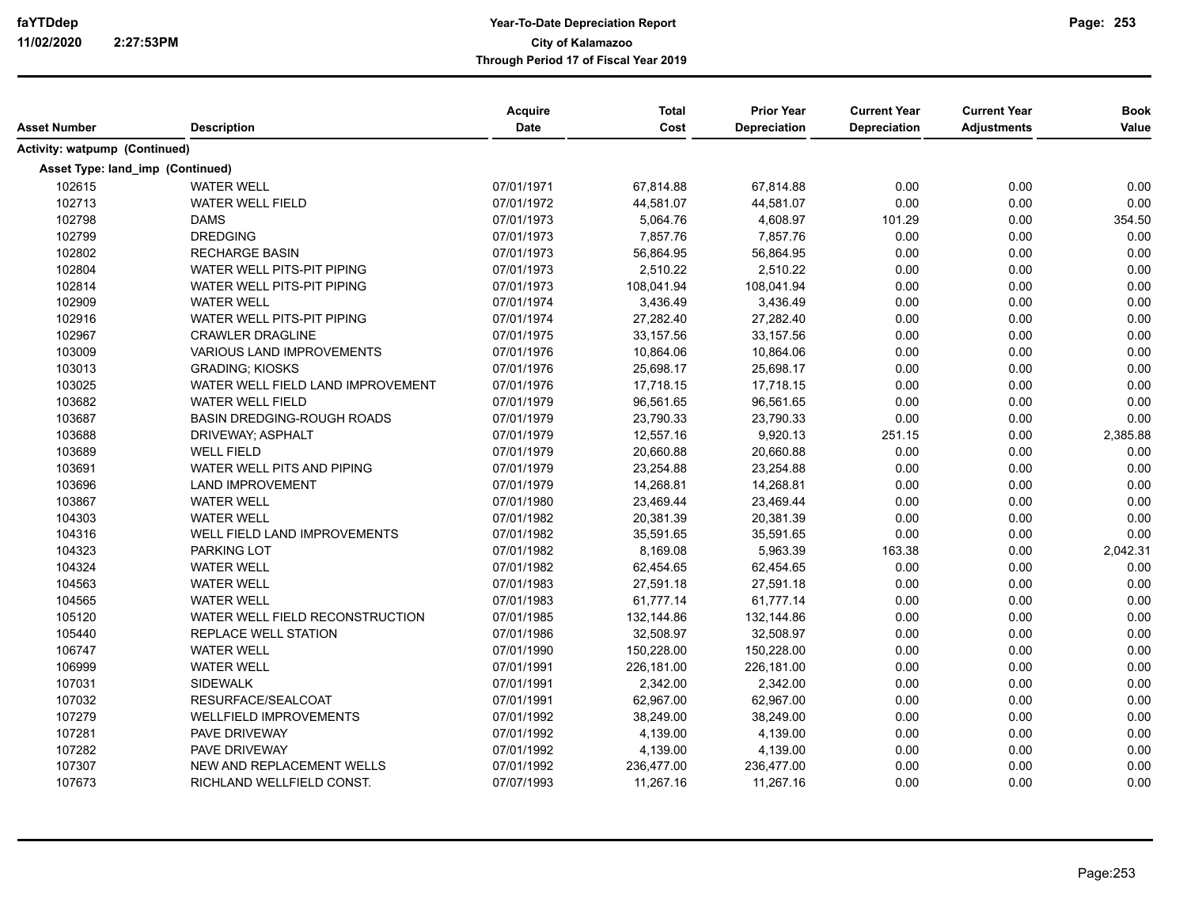| Asset Number                         | <b>Description</b>                | Acquire<br>Date | <b>Total</b><br>Cost | <b>Prior Year</b><br>Depreciation | <b>Current Year</b><br>Depreciation | <b>Current Year</b><br><b>Adjustments</b> | <b>Book</b><br>Value |
|--------------------------------------|-----------------------------------|-----------------|----------------------|-----------------------------------|-------------------------------------|-------------------------------------------|----------------------|
| <b>Activity: watpump (Continued)</b> |                                   |                 |                      |                                   |                                     |                                           |                      |
| Asset Type: land imp (Continued)     |                                   |                 |                      |                                   |                                     |                                           |                      |
| 102615                               | <b>WATER WELL</b>                 | 07/01/1971      | 67,814.88            | 67,814.88                         | 0.00                                | 0.00                                      | 0.00                 |
| 102713                               | <b>WATER WELL FIELD</b>           | 07/01/1972      | 44,581.07            | 44,581.07                         | 0.00                                | 0.00                                      | 0.00                 |
| 102798                               | <b>DAMS</b>                       | 07/01/1973      | 5,064.76             | 4,608.97                          | 101.29                              | 0.00                                      | 354.50               |
| 102799                               | <b>DREDGING</b>                   | 07/01/1973      | 7,857.76             | 7,857.76                          | 0.00                                | 0.00                                      | 0.00                 |
| 102802                               | <b>RECHARGE BASIN</b>             | 07/01/1973      | 56,864.95            | 56,864.95                         | 0.00                                | 0.00                                      | 0.00                 |
| 102804                               | WATER WELL PITS-PIT PIPING        | 07/01/1973      | 2,510.22             | 2,510.22                          | 0.00                                | 0.00                                      | 0.00                 |
| 102814                               | <b>WATER WELL PITS-PIT PIPING</b> | 07/01/1973      | 108,041.94           | 108,041.94                        | 0.00                                | 0.00                                      | 0.00                 |
| 102909                               | <b>WATER WELL</b>                 | 07/01/1974      | 3,436.49             | 3,436.49                          | 0.00                                | 0.00                                      | 0.00                 |
| 102916                               | WATER WELL PITS-PIT PIPING        | 07/01/1974      | 27,282.40            | 27,282.40                         | 0.00                                | 0.00                                      | 0.00                 |
| 102967                               | <b>CRAWLER DRAGLINE</b>           | 07/01/1975      | 33,157.56            | 33,157.56                         | 0.00                                | 0.00                                      | 0.00                 |
| 103009                               | <b>VARIOUS LAND IMPROVEMENTS</b>  | 07/01/1976      | 10,864.06            | 10,864.06                         | 0.00                                | 0.00                                      | 0.00                 |
| 103013                               | <b>GRADING: KIOSKS</b>            | 07/01/1976      | 25,698.17            | 25,698.17                         | 0.00                                | 0.00                                      | 0.00                 |
| 103025                               | WATER WELL FIELD LAND IMPROVEMENT | 07/01/1976      | 17,718.15            | 17,718.15                         | 0.00                                | 0.00                                      | 0.00                 |
| 103682                               | <b>WATER WELL FIELD</b>           | 07/01/1979      | 96,561.65            | 96,561.65                         | 0.00                                | 0.00                                      | 0.00                 |
| 103687                               | <b>BASIN DREDGING-ROUGH ROADS</b> | 07/01/1979      | 23,790.33            | 23,790.33                         | 0.00                                | 0.00                                      | 0.00                 |
| 103688                               | DRIVEWAY; ASPHALT                 | 07/01/1979      | 12,557.16            | 9,920.13                          | 251.15                              | 0.00                                      | 2,385.88             |
| 103689                               | <b>WELL FIELD</b>                 | 07/01/1979      | 20,660.88            | 20,660.88                         | 0.00                                | 0.00                                      | 0.00                 |
| 103691                               | WATER WELL PITS AND PIPING        | 07/01/1979      | 23,254.88            | 23,254.88                         | 0.00                                | 0.00                                      | 0.00                 |
| 103696                               | <b>LAND IMPROVEMENT</b>           | 07/01/1979      | 14,268.81            | 14,268.81                         | 0.00                                | 0.00                                      | 0.00                 |
| 103867                               | <b>WATER WELL</b>                 | 07/01/1980      | 23,469.44            | 23,469.44                         | 0.00                                | 0.00                                      | 0.00                 |
| 104303                               | <b>WATER WELL</b>                 | 07/01/1982      | 20,381.39            | 20,381.39                         | 0.00                                | 0.00                                      | 0.00                 |
| 104316                               | WELL FIELD LAND IMPROVEMENTS      | 07/01/1982      | 35,591.65            | 35,591.65                         | 0.00                                | 0.00                                      | 0.00                 |
| 104323                               | <b>PARKING LOT</b>                | 07/01/1982      | 8,169.08             | 5,963.39                          | 163.38                              | 0.00                                      | 2,042.31             |
| 104324                               | <b>WATER WELL</b>                 | 07/01/1982      | 62,454.65            | 62,454.65                         | 0.00                                | 0.00                                      | 0.00                 |
| 104563                               | <b>WATER WELL</b>                 | 07/01/1983      | 27,591.18            | 27,591.18                         | 0.00                                | 0.00                                      | 0.00                 |
| 104565                               | <b>WATER WELL</b>                 | 07/01/1983      | 61,777.14            | 61,777.14                         | 0.00                                | 0.00                                      | 0.00                 |
| 105120                               | WATER WELL FIELD RECONSTRUCTION   | 07/01/1985      | 132,144.86           | 132,144.86                        | 0.00                                | 0.00                                      | 0.00                 |
| 105440                               | REPLACE WELL STATION              | 07/01/1986      | 32,508.97            | 32,508.97                         | 0.00                                | 0.00                                      | 0.00                 |
| 106747                               | <b>WATER WELL</b>                 | 07/01/1990      | 150,228.00           | 150,228.00                        | 0.00                                | 0.00                                      | 0.00                 |
| 106999                               | WATER WELL                        | 07/01/1991      | 226,181.00           | 226,181.00                        | 0.00                                | 0.00                                      | 0.00                 |
| 107031                               | SIDEWALK                          | 07/01/1991      | 2,342.00             | 2,342.00                          | 0.00                                | 0.00                                      | 0.00                 |
| 107032                               | RESURFACE/SEALCOAT                | 07/01/1991      | 62,967.00            | 62,967.00                         | 0.00                                | 0.00                                      | 0.00                 |
| 107279                               | <b>WELLFIELD IMPROVEMENTS</b>     | 07/01/1992      | 38,249.00            | 38,249.00                         | 0.00                                | 0.00                                      | 0.00                 |
| 107281                               | PAVE DRIVEWAY                     | 07/01/1992      | 4,139.00             | 4,139.00                          | 0.00                                | 0.00                                      | 0.00                 |
| 107282                               | PAVE DRIVEWAY                     | 07/01/1992      | 4,139.00             | 4,139.00                          | 0.00                                | 0.00                                      | 0.00                 |
| 107307                               | NEW AND REPLACEMENT WELLS         | 07/01/1992      | 236,477.00           | 236,477.00                        | 0.00                                | 0.00                                      | 0.00                 |
| 107673                               | RICHLAND WELLFIELD CONST.         | 07/07/1993      | 11,267.16            | 11,267.16                         | 0.00                                | 0.00                                      | 0.00                 |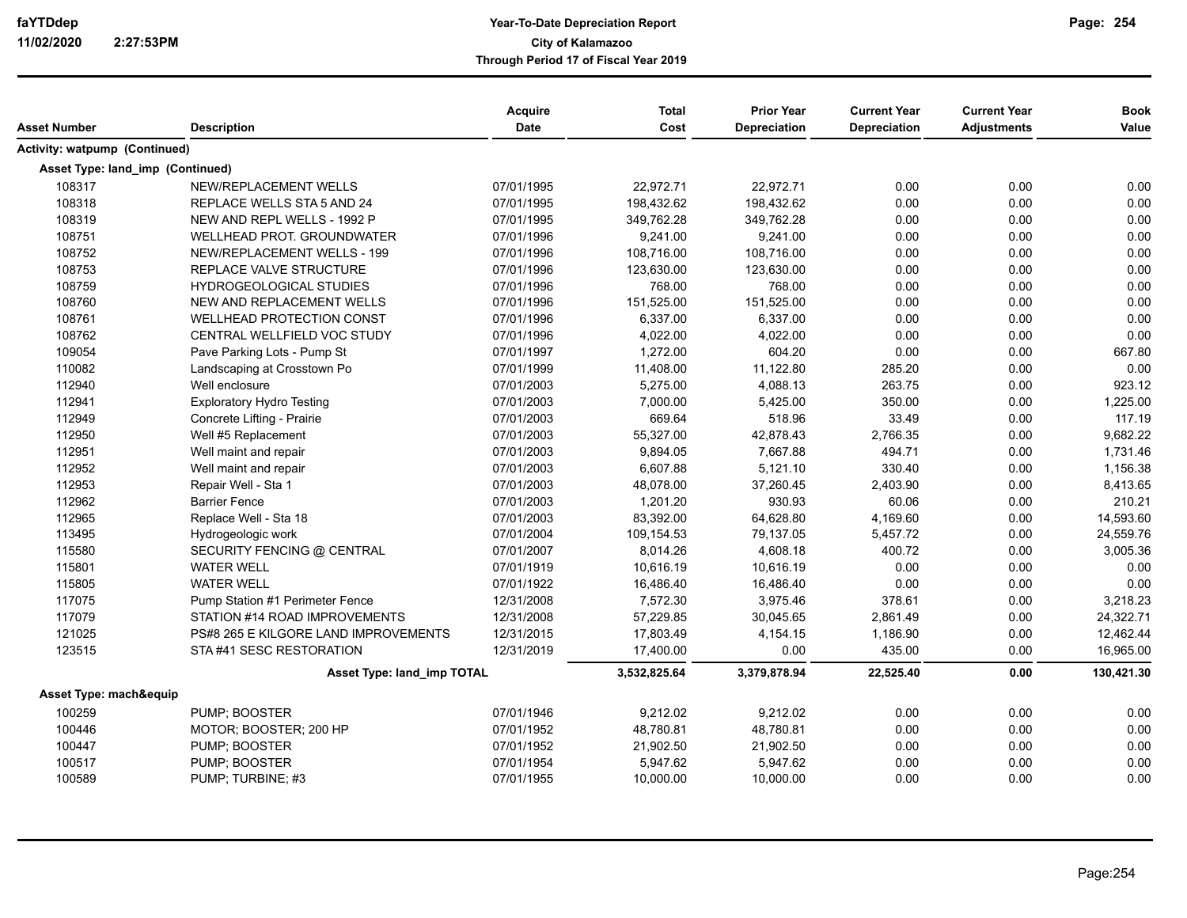| Asset Number                     | <b>Description</b>                   | <b>Acquire</b><br><b>Date</b> | <b>Total</b><br>Cost | <b>Prior Year</b><br><b>Depreciation</b> | <b>Current Year</b><br><b>Depreciation</b> | <b>Current Year</b><br><b>Adjustments</b> | <b>Book</b><br>Value |
|----------------------------------|--------------------------------------|-------------------------------|----------------------|------------------------------------------|--------------------------------------------|-------------------------------------------|----------------------|
| Activity: watpump (Continued)    |                                      |                               |                      |                                          |                                            |                                           |                      |
| Asset Type: land imp (Continued) |                                      |                               |                      |                                          |                                            |                                           |                      |
| 108317                           | NEW/REPLACEMENT WELLS                | 07/01/1995                    | 22,972.71            | 22,972.71                                | 0.00                                       | 0.00                                      | 0.00                 |
| 108318                           | REPLACE WELLS STA 5 AND 24           | 07/01/1995                    | 198,432.62           | 198,432.62                               | 0.00                                       | 0.00                                      | 0.00                 |
| 108319                           | NEW AND REPL WELLS - 1992 P          | 07/01/1995                    | 349,762.28           | 349,762.28                               | 0.00                                       | 0.00                                      | 0.00                 |
| 108751                           | WELLHEAD PROT. GROUNDWATER           | 07/01/1996                    | 9,241.00             | 9,241.00                                 | 0.00                                       | 0.00                                      | 0.00                 |
| 108752                           | <b>NEW/REPLACEMENT WELLS - 199</b>   | 07/01/1996                    | 108,716.00           | 108,716.00                               | 0.00                                       | 0.00                                      | 0.00                 |
| 108753                           | REPLACE VALVE STRUCTURE              | 07/01/1996                    | 123,630.00           | 123,630.00                               | 0.00                                       | 0.00                                      | 0.00                 |
| 108759                           | <b>HYDROGEOLOGICAL STUDIES</b>       | 07/01/1996                    | 768.00               | 768.00                                   | 0.00                                       | 0.00                                      | 0.00                 |
| 108760                           | NEW AND REPLACEMENT WELLS            | 07/01/1996                    | 151,525.00           | 151,525.00                               | 0.00                                       | 0.00                                      | 0.00                 |
| 108761                           | WELLHEAD PROTECTION CONST            | 07/01/1996                    | 6,337.00             | 6,337.00                                 | 0.00                                       | 0.00                                      | 0.00                 |
| 108762                           | CENTRAL WELLFIELD VOC STUDY          | 07/01/1996                    | 4,022.00             | 4,022.00                                 | 0.00                                       | 0.00                                      | 0.00                 |
| 109054                           | Pave Parking Lots - Pump St          | 07/01/1997                    | 1.272.00             | 604.20                                   | 0.00                                       | 0.00                                      | 667.80               |
| 110082                           | Landscaping at Crosstown Po          | 07/01/1999                    | 11,408.00            | 11,122.80                                | 285.20                                     | 0.00                                      | 0.00                 |
| 112940                           | Well enclosure                       | 07/01/2003                    | 5,275.00             | 4,088.13                                 | 263.75                                     | 0.00                                      | 923.12               |
| 112941                           | <b>Exploratory Hydro Testing</b>     | 07/01/2003                    | 7,000.00             | 5,425.00                                 | 350.00                                     | 0.00                                      | 1,225.00             |
| 112949                           | Concrete Lifting - Prairie           | 07/01/2003                    | 669.64               | 518.96                                   | 33.49                                      | 0.00                                      | 117.19               |
| 112950                           | Well #5 Replacement                  | 07/01/2003                    | 55,327.00            | 42,878.43                                | 2,766.35                                   | 0.00                                      | 9,682.22             |
| 112951                           | Well maint and repair                | 07/01/2003                    | 9,894.05             | 7,667.88                                 | 494.71                                     | 0.00                                      | 1,731.46             |
| 112952                           | Well maint and repair                | 07/01/2003                    | 6,607.88             | 5,121.10                                 | 330.40                                     | 0.00                                      | 1,156.38             |
| 112953                           | Repair Well - Sta 1                  | 07/01/2003                    | 48,078.00            | 37,260.45                                | 2,403.90                                   | 0.00                                      | 8,413.65             |
| 112962                           | <b>Barrier Fence</b>                 | 07/01/2003                    | 1,201.20             | 930.93                                   | 60.06                                      | 0.00                                      | 210.21               |
| 112965                           | Replace Well - Sta 18                | 07/01/2003                    | 83,392.00            | 64,628.80                                | 4,169.60                                   | 0.00                                      | 14,593.60            |
| 113495                           | Hydrogeologic work                   | 07/01/2004                    | 109,154.53           | 79,137.05                                | 5,457.72                                   | 0.00                                      | 24,559.76            |
| 115580                           | SECURITY FENCING @ CENTRAL           | 07/01/2007                    | 8,014.26             | 4,608.18                                 | 400.72                                     | 0.00                                      | 3,005.36             |
| 115801                           | <b>WATER WELL</b>                    | 07/01/1919                    | 10,616.19            | 10,616.19                                | 0.00                                       | 0.00                                      | 0.00                 |
| 115805                           | <b>WATER WELL</b>                    | 07/01/1922                    | 16,486.40            | 16,486.40                                | 0.00                                       | 0.00                                      | 0.00                 |
| 117075                           | Pump Station #1 Perimeter Fence      | 12/31/2008                    | 7,572.30             | 3,975.46                                 | 378.61                                     | 0.00                                      | 3,218.23             |
| 117079                           | STATION #14 ROAD IMPROVEMENTS        | 12/31/2008                    | 57,229.85            | 30,045.65                                | 2,861.49                                   | 0.00                                      | 24,322.71            |
| 121025                           | PS#8 265 E KILGORE LAND IMPROVEMENTS | 12/31/2015                    | 17,803.49            | 4,154.15                                 | 1,186.90                                   | 0.00                                      | 12,462.44            |
| 123515                           | STA#41 SESC RESTORATION              | 12/31/2019                    | 17,400.00            | 0.00                                     | 435.00                                     | 0.00                                      | 16,965.00            |
|                                  | Asset Type: land_imp TOTAL           |                               | 3,532,825.64         | 3,379,878.94                             | 22,525.40                                  | 0.00                                      | 130,421.30           |
| Asset Type: mach&equip           |                                      |                               |                      |                                          |                                            |                                           |                      |
| 100259                           | PUMP; BOOSTER                        | 07/01/1946                    | 9,212.02             | 9,212.02                                 | 0.00                                       | 0.00                                      | 0.00                 |
| 100446                           | MOTOR; BOOSTER; 200 HP               | 07/01/1952                    | 48,780.81            | 48,780.81                                | 0.00                                       | 0.00                                      | 0.00                 |
| 100447                           | PUMP; BOOSTER                        | 07/01/1952                    | 21,902.50            | 21,902.50                                | 0.00                                       | 0.00                                      | 0.00                 |
| 100517                           | PUMP; BOOSTER                        | 07/01/1954                    | 5,947.62             | 5,947.62                                 | 0.00                                       | 0.00                                      | 0.00                 |
| 100589                           | PUMP; TURBINE; #3                    | 07/01/1955                    | 10,000.00            | 10,000.00                                | 0.00                                       | 0.00                                      | 0.00                 |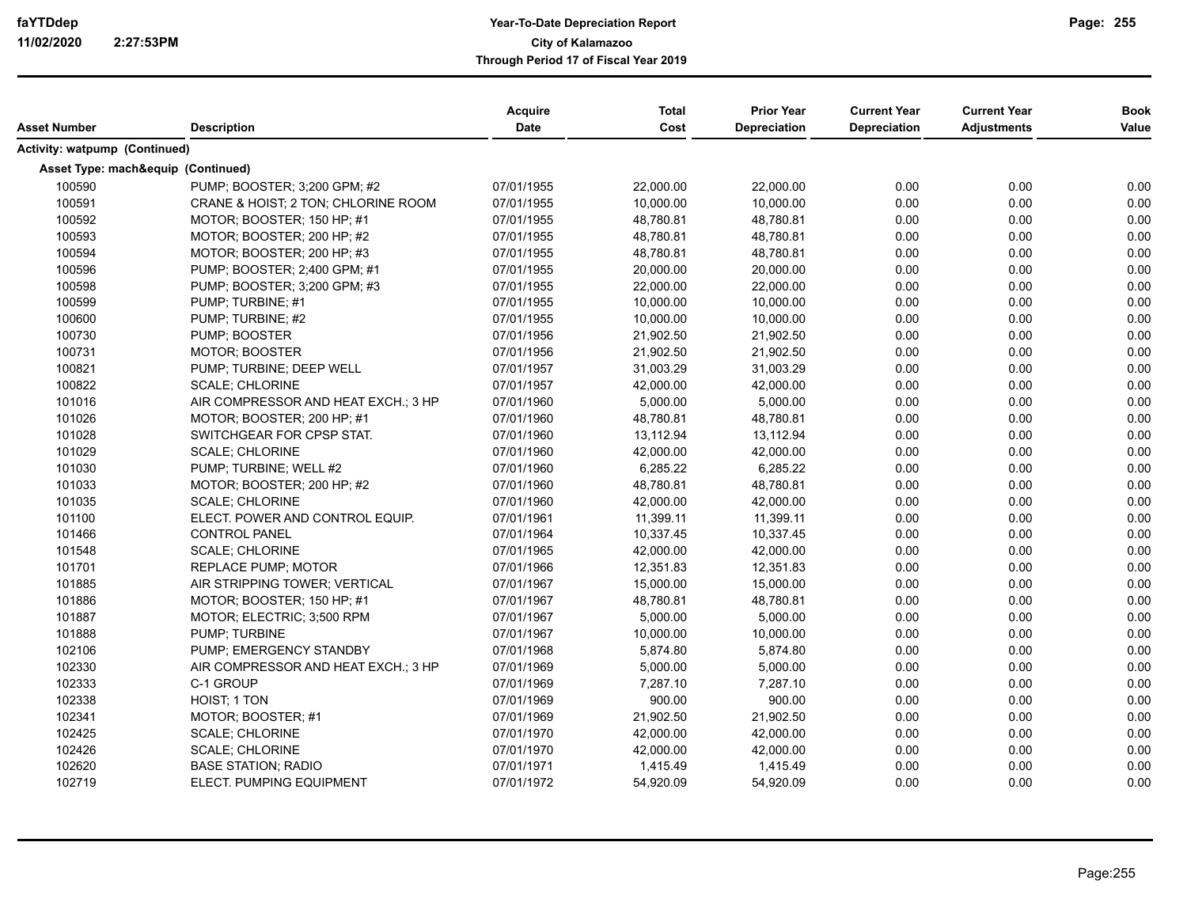| Asset Number                         | <b>Description</b>                                      | Acquire<br><b>Date</b> | <b>Total</b><br>Cost | <b>Prior Year</b><br>Depreciation | <b>Current Year</b><br>Depreciation | <b>Current Year</b><br><b>Adjustments</b> | <b>Book</b><br>Value |
|--------------------------------------|---------------------------------------------------------|------------------------|----------------------|-----------------------------------|-------------------------------------|-------------------------------------------|----------------------|
| <b>Activity: watpump (Continued)</b> |                                                         |                        |                      |                                   |                                     |                                           |                      |
|                                      | Asset Type: mach&equip (Continued)                      |                        |                      |                                   |                                     |                                           |                      |
| 100590                               | PUMP: BOOSTER: 3:200 GPM: #2                            | 07/01/1955             | 22,000.00            | 22,000.00                         | 0.00                                | 0.00                                      | 0.00                 |
| 100591                               | CRANE & HOIST; 2 TON; CHLORINE ROOM                     | 07/01/1955             | 10,000.00            | 10,000.00                         | 0.00                                | 0.00                                      | 0.00                 |
| 100592                               | MOTOR; BOOSTER; 150 HP; #1                              | 07/01/1955             | 48,780.81            | 48,780.81                         | 0.00                                | 0.00                                      | 0.00                 |
| 100593                               | MOTOR; BOOSTER; 200 HP; #2                              | 07/01/1955             | 48,780.81            | 48,780.81                         | 0.00                                | 0.00                                      | 0.00                 |
| 100594                               | MOTOR: BOOSTER: 200 HP: #3                              | 07/01/1955             | 48,780.81            | 48,780.81                         | 0.00                                | 0.00                                      | 0.00                 |
| 100596                               | PUMP; BOOSTER; 2;400 GPM; #1                            | 07/01/1955             | 20,000.00            | 20,000.00                         | 0.00                                | 0.00                                      | 0.00                 |
| 100598                               | PUMP; BOOSTER; 3:200 GPM; #3                            | 07/01/1955             | 22,000.00            | 22,000.00                         | 0.00                                | 0.00                                      | 0.00                 |
| 100599                               | PUMP; TURBINE; #1                                       | 07/01/1955             | 10,000.00            | 10,000.00                         | 0.00                                | 0.00                                      | 0.00                 |
| 100600                               | PUMP; TURBINE; #2                                       | 07/01/1955             | 10,000.00            | 10,000.00                         | 0.00                                | 0.00                                      | 0.00                 |
| 100730                               | PUMP; BOOSTER                                           | 07/01/1956             | 21,902.50            | 21,902.50                         | 0.00                                | 0.00                                      | 0.00                 |
| 100731                               | <b>MOTOR: BOOSTER</b>                                   | 07/01/1956             | 21,902.50            | 21,902.50                         | 0.00                                | 0.00                                      | 0.00                 |
| 100821                               | PUMP; TURBINE; DEEP WELL                                | 07/01/1957             | 31,003.29            | 31,003.29                         | 0.00                                | 0.00                                      | 0.00                 |
| 100822                               | <b>SCALE: CHLORINE</b>                                  | 07/01/1957             | 42,000.00            | 42,000.00                         | 0.00                                | 0.00                                      | 0.00                 |
| 101016                               | AIR COMPRESSOR AND HEAT EXCH.; 3 HP                     | 07/01/1960             | 5,000.00             | 5,000.00                          | 0.00                                | 0.00                                      | 0.00                 |
| 101026                               | MOTOR: BOOSTER: 200 HP: #1                              | 07/01/1960             | 48,780.81            | 48,780.81                         | 0.00                                | 0.00                                      | 0.00                 |
| 101028                               | SWITCHGEAR FOR CPSP STAT.                               | 07/01/1960             | 13,112.94            | 13,112.94                         | 0.00                                | 0.00                                      | 0.00                 |
| 101029                               | <b>SCALE: CHLORINE</b>                                  | 07/01/1960             | 42,000.00            | 42,000.00                         | 0.00                                | 0.00                                      | 0.00                 |
| 101030                               |                                                         | 07/01/1960             | 6,285.22             | 6,285.22                          | 0.00                                | 0.00                                      | 0.00                 |
| 101033                               | PUMP; TURBINE; WELL #2<br>MOTOR; BOOSTER; 200 HP; #2    | 07/01/1960             | 48,780.81            | 48,780.81                         | 0.00                                | 0.00                                      | 0.00                 |
| 101035                               |                                                         | 07/01/1960             |                      |                                   |                                     |                                           | 0.00                 |
|                                      | <b>SCALE: CHLORINE</b>                                  |                        | 42,000.00            | 42,000.00                         | 0.00                                | 0.00                                      | 0.00                 |
| 101100                               | ELECT. POWER AND CONTROL EQUIP.<br><b>CONTROL PANEL</b> | 07/01/1961             | 11,399.11            | 11,399.11                         | 0.00                                | 0.00                                      | 0.00                 |
| 101466                               |                                                         | 07/01/1964             | 10,337.45            | 10,337.45                         | 0.00                                | 0.00                                      |                      |
| 101548                               | <b>SCALE; CHLORINE</b>                                  | 07/01/1965             | 42,000.00            | 42,000.00                         | 0.00                                | 0.00                                      | 0.00                 |
| 101701                               | <b>REPLACE PUMP; MOTOR</b>                              | 07/01/1966             | 12,351.83            | 12,351.83                         | 0.00                                | 0.00                                      | 0.00<br>0.00         |
| 101885                               | AIR STRIPPING TOWER; VERTICAL                           | 07/01/1967             | 15,000.00            | 15,000.00                         | 0.00                                | 0.00                                      |                      |
| 101886                               | MOTOR; BOOSTER; 150 HP; #1                              | 07/01/1967             | 48,780.81            | 48,780.81                         | 0.00                                | 0.00                                      | 0.00<br>0.00         |
| 101887                               | MOTOR; ELECTRIC; 3;500 RPM                              | 07/01/1967             | 5,000.00             | 5,000.00                          | 0.00                                | 0.00                                      |                      |
| 101888                               | <b>PUMP: TURBINE</b>                                    | 07/01/1967             | 10,000.00            | 10,000.00                         | 0.00                                | 0.00                                      | 0.00                 |
| 102106                               | PUMP; EMERGENCY STANDBY                                 | 07/01/1968             | 5,874.80             | 5,874.80                          | 0.00                                | 0.00                                      | 0.00                 |
| 102330                               | AIR COMPRESSOR AND HEAT EXCH.; 3 HP                     | 07/01/1969             | 5,000.00             | 5,000.00                          | 0.00                                | 0.00                                      | 0.00                 |
| 102333                               | C-1 GROUP                                               | 07/01/1969             | 7,287.10             | 7,287.10                          | 0.00                                | 0.00                                      | 0.00                 |
| 102338                               | HOIST: 1 TON                                            | 07/01/1969             | 900.00               | 900.00                            | 0.00                                | 0.00                                      | 0.00                 |
| 102341                               | MOTOR; BOOSTER; #1                                      | 07/01/1969             | 21,902.50            | 21,902.50                         | 0.00                                | 0.00                                      | 0.00                 |
| 102425                               | <b>SCALE; CHLORINE</b>                                  | 07/01/1970             | 42,000.00            | 42,000.00                         | 0.00                                | 0.00                                      | 0.00                 |
| 102426                               | <b>SCALE; CHLORINE</b>                                  | 07/01/1970             | 42,000.00            | 42,000.00                         | 0.00                                | 0.00                                      | 0.00                 |
| 102620                               | <b>BASE STATION; RADIO</b>                              | 07/01/1971             | 1,415.49             | 1,415.49                          | 0.00                                | 0.00                                      | 0.00                 |
| 102719                               | ELECT. PUMPING EQUIPMENT                                | 07/01/1972             | 54,920.09            | 54,920.09                         | 0.00                                | 0.00                                      | 0.00                 |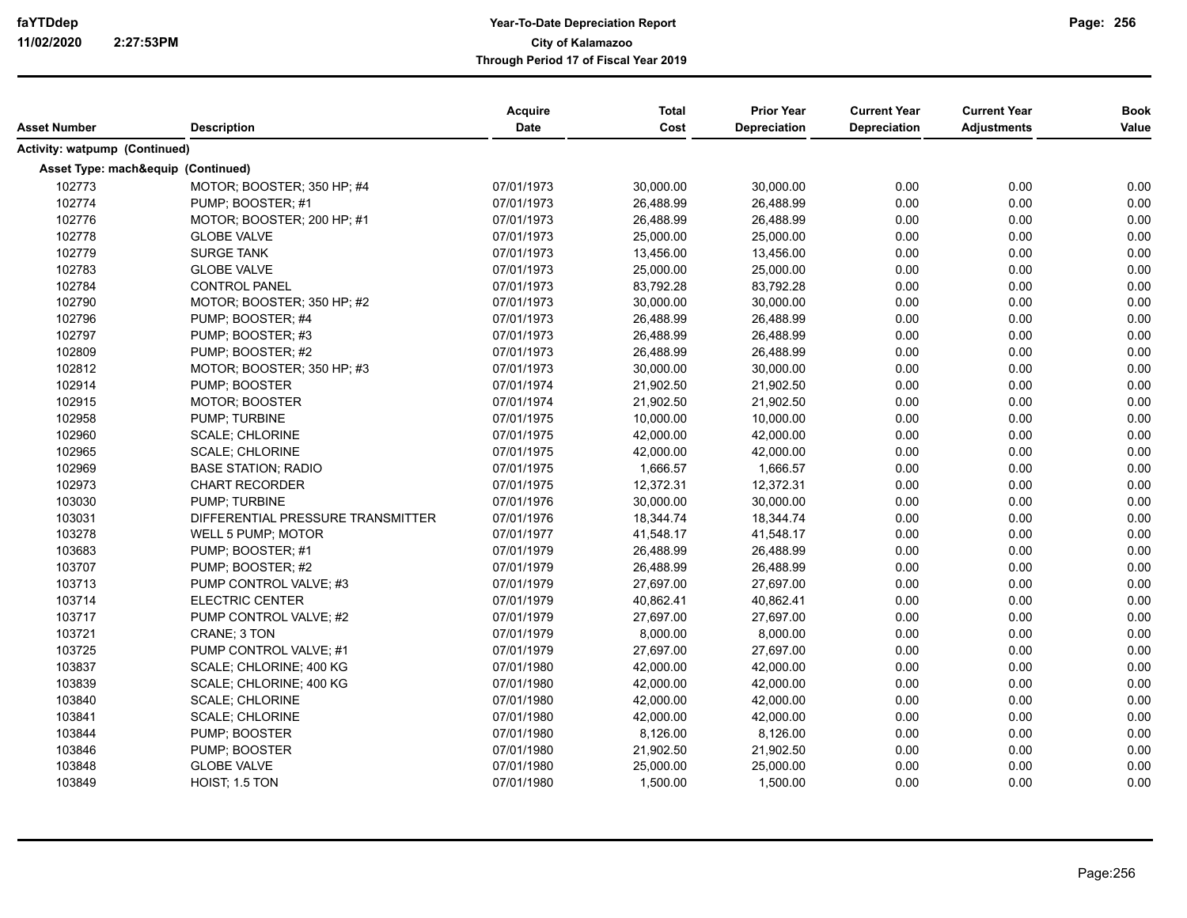| Activity: watpump (Continued)<br>Asset Type: mach&equip (Continued)<br>102773<br>30,000.00<br>30,000.00<br>0.00<br>0.00<br>MOTOR; BOOSTER; 350 HP; #4<br>07/01/1973<br>0.00<br>102774<br>07/01/1973<br>26,488.99<br>26,488.99<br>0.00<br>0.00<br>0.00<br>PUMP; BOOSTER; #1<br>102776<br>0.00<br>MOTOR; BOOSTER; 200 HP; #1<br>07/01/1973<br>26,488.99<br>26,488.99<br>0.00<br>0.00<br>102778<br>0.00<br><b>GLOBE VALVE</b><br>25,000.00<br>0.00<br>0.00<br>07/01/1973<br>25,000.00<br>0.00<br>102779<br><b>SURGE TANK</b><br>07/01/1973<br>13,456.00<br>13,456.00<br>0.00<br>0.00<br>0.00<br>102783<br><b>GLOBE VALVE</b><br>25,000.00<br>25,000.00<br>0.00<br>07/01/1973<br>0.00<br>0.00<br>102784<br><b>CONTROL PANEL</b><br>07/01/1973<br>83,792.28<br>83,792.28<br>0.00<br>0.00<br>0.00<br>102790<br>0.00<br>MOTOR: BOOSTER: 350 HP: #2<br>07/01/1973<br>30,000.00<br>30,000.00<br>0.00<br>102796<br>0.00<br>PUMP; BOOSTER; #4<br>07/01/1973<br>26,488.99<br>26,488.99<br>0.00<br>0.00<br>102797<br>26,488.99<br>0.00<br>PUMP; BOOSTER; #3<br>07/01/1973<br>26,488.99<br>0.00<br>0.00<br>102809<br>07/01/1973<br>26,488.99<br>26,488.99<br>0.00<br>0.00<br>0.00<br>PUMP; BOOSTER; #2<br>102812<br>07/01/1973<br>30,000.00<br>30,000.00<br>0.00<br>0.00<br>0.00<br>MOTOR: BOOSTER: 350 HP: #3<br>102914<br>0.00<br>0.00<br>PUMP; BOOSTER<br>07/01/1974<br>21,902.50<br>21,902.50<br>0.00<br>102915<br>21,902.50<br>21,902.50<br>0.00<br>0.00<br><b>MOTOR: BOOSTER</b><br>07/01/1974<br>0.00<br>0.00<br>102958<br>PUMP; TURBINE<br>07/01/1975<br>10,000.00<br>10,000.00<br>0.00<br>0.00<br>102960<br>0.00<br><b>SCALE; CHLORINE</b><br>07/01/1975<br>42,000.00<br>42,000.00<br>0.00<br>0.00<br>0.00<br>102965<br>07/01/1975<br>42,000.00<br>42,000.00<br>0.00<br>0.00<br><b>SCALE: CHLORINE</b><br>0.00<br>102969<br>1,666.57<br>1,666.57<br>0.00<br><b>BASE STATION; RADIO</b><br>07/01/1975<br>0.00<br>0.00<br>102973<br><b>CHART RECORDER</b><br>12,372.31<br>12,372.31<br>0.00<br>0.00<br>07/01/1975<br>0.00<br>103030<br><b>PUMP: TURBINE</b><br>07/01/1976<br>30,000.00<br>30,000.00<br>0.00<br>0.00<br>0.00<br>103031<br>DIFFERENTIAL PRESSURE TRANSMITTER<br>18,344.74<br>0.00<br>07/01/1976<br>18,344.74<br>0.00<br>0.00<br>103278<br>WELL 5 PUMP; MOTOR<br>07/01/1977<br>41,548.17<br>41,548.17<br>0.00<br>0.00<br>0.00<br>103683<br>PUMP; BOOSTER; #1<br>07/01/1979<br>26,488.99<br>26,488.99<br>0.00<br>0.00<br>103707<br>07/01/1979<br>26,488.99<br>26,488.99<br>0.00<br>0.00<br>0.00<br>PUMP; BOOSTER; #2<br>103713<br>0.00<br>0.00<br>PUMP CONTROL VALVE: #3<br>07/01/1979<br>27,697.00<br>27,697.00<br>0.00<br>0.00<br>103714<br><b>ELECTRIC CENTER</b><br>07/01/1979<br>40,862.41<br>40.862.41<br>0.00<br>0.00<br>0.00<br>103717<br>PUMP CONTROL VALVE; #2<br>07/01/1979<br>27,697.00<br>27,697.00<br>0.00<br>0.00<br>103721<br>07/01/1979<br>8,000.00<br>8,000.00<br>0.00<br>0.00<br>0.00<br><b>CRANE: 3 TON</b><br>103725<br>07/01/1979<br>27,697.00<br>27,697.00<br>0.00<br>0.00<br>PUMP CONTROL VALVE; #1<br>0.00<br>0.00<br>103837<br>SCALE; CHLORINE; 400 KG<br>07/01/1980<br>42,000.00<br>42,000.00<br>0.00<br>0.00<br>103839<br>42,000.00<br>0.00<br>SCALE; CHLORINE; 400 KG<br>07/01/1980<br>42,000.00<br>0.00<br>0.00<br>103840<br>07/01/1980<br>0.00<br>0.00<br><b>SCALE; CHLORINE</b><br>42,000.00<br>42,000.00<br>0.00<br>103841<br>07/01/1980<br>42,000.00<br>42,000.00<br>0.00<br>0.00<br><b>SCALE: CHLORINE</b><br>0.00<br>0.00<br>103844<br>07/01/1980<br>8,126.00<br>8,126.00<br>0.00<br>0.00<br>PUMP; BOOSTER<br>0.00<br>103846<br>PUMP; BOOSTER<br>07/01/1980<br>21,902.50<br>21,902.50<br>0.00<br>0.00<br>103848<br>0.00<br><b>GLOBE VALVE</b><br>07/01/1980<br>25,000.00<br>25,000.00<br>0.00<br>0.00<br>0.00<br>103849<br>0.00<br>HOIST: 1.5 TON<br>07/01/1980<br>1,500.00<br>1,500.00<br>0.00 | Asset Number | <b>Description</b> | <b>Acquire</b><br><b>Date</b> | <b>Total</b><br>Cost | <b>Prior Year</b><br><b>Depreciation</b> | <b>Current Year</b><br>Depreciation | <b>Current Year</b><br><b>Adjustments</b> | <b>Book</b><br>Value |
|------------------------------------------------------------------------------------------------------------------------------------------------------------------------------------------------------------------------------------------------------------------------------------------------------------------------------------------------------------------------------------------------------------------------------------------------------------------------------------------------------------------------------------------------------------------------------------------------------------------------------------------------------------------------------------------------------------------------------------------------------------------------------------------------------------------------------------------------------------------------------------------------------------------------------------------------------------------------------------------------------------------------------------------------------------------------------------------------------------------------------------------------------------------------------------------------------------------------------------------------------------------------------------------------------------------------------------------------------------------------------------------------------------------------------------------------------------------------------------------------------------------------------------------------------------------------------------------------------------------------------------------------------------------------------------------------------------------------------------------------------------------------------------------------------------------------------------------------------------------------------------------------------------------------------------------------------------------------------------------------------------------------------------------------------------------------------------------------------------------------------------------------------------------------------------------------------------------------------------------------------------------------------------------------------------------------------------------------------------------------------------------------------------------------------------------------------------------------------------------------------------------------------------------------------------------------------------------------------------------------------------------------------------------------------------------------------------------------------------------------------------------------------------------------------------------------------------------------------------------------------------------------------------------------------------------------------------------------------------------------------------------------------------------------------------------------------------------------------------------------------------------------------------------------------------------------------------------------------------------------------------------------------------------------------------------------------------------------------------------------------------------------------------------------------------------------------------------------------------------------------------------------------------------------------------------------------------------------------------------------------------------------------------------------------------------------------------------------------------------------------------------------------------------------------------------------------------------|--------------|--------------------|-------------------------------|----------------------|------------------------------------------|-------------------------------------|-------------------------------------------|----------------------|
|                                                                                                                                                                                                                                                                                                                                                                                                                                                                                                                                                                                                                                                                                                                                                                                                                                                                                                                                                                                                                                                                                                                                                                                                                                                                                                                                                                                                                                                                                                                                                                                                                                                                                                                                                                                                                                                                                                                                                                                                                                                                                                                                                                                                                                                                                                                                                                                                                                                                                                                                                                                                                                                                                                                                                                                                                                                                                                                                                                                                                                                                                                                                                                                                                                                                                                                                                                                                                                                                                                                                                                                                                                                                                                                                                                                                                                          |              |                    |                               |                      |                                          |                                     |                                           |                      |
|                                                                                                                                                                                                                                                                                                                                                                                                                                                                                                                                                                                                                                                                                                                                                                                                                                                                                                                                                                                                                                                                                                                                                                                                                                                                                                                                                                                                                                                                                                                                                                                                                                                                                                                                                                                                                                                                                                                                                                                                                                                                                                                                                                                                                                                                                                                                                                                                                                                                                                                                                                                                                                                                                                                                                                                                                                                                                                                                                                                                                                                                                                                                                                                                                                                                                                                                                                                                                                                                                                                                                                                                                                                                                                                                                                                                                                          |              |                    |                               |                      |                                          |                                     |                                           |                      |
|                                                                                                                                                                                                                                                                                                                                                                                                                                                                                                                                                                                                                                                                                                                                                                                                                                                                                                                                                                                                                                                                                                                                                                                                                                                                                                                                                                                                                                                                                                                                                                                                                                                                                                                                                                                                                                                                                                                                                                                                                                                                                                                                                                                                                                                                                                                                                                                                                                                                                                                                                                                                                                                                                                                                                                                                                                                                                                                                                                                                                                                                                                                                                                                                                                                                                                                                                                                                                                                                                                                                                                                                                                                                                                                                                                                                                                          |              |                    |                               |                      |                                          |                                     |                                           |                      |
|                                                                                                                                                                                                                                                                                                                                                                                                                                                                                                                                                                                                                                                                                                                                                                                                                                                                                                                                                                                                                                                                                                                                                                                                                                                                                                                                                                                                                                                                                                                                                                                                                                                                                                                                                                                                                                                                                                                                                                                                                                                                                                                                                                                                                                                                                                                                                                                                                                                                                                                                                                                                                                                                                                                                                                                                                                                                                                                                                                                                                                                                                                                                                                                                                                                                                                                                                                                                                                                                                                                                                                                                                                                                                                                                                                                                                                          |              |                    |                               |                      |                                          |                                     |                                           |                      |
|                                                                                                                                                                                                                                                                                                                                                                                                                                                                                                                                                                                                                                                                                                                                                                                                                                                                                                                                                                                                                                                                                                                                                                                                                                                                                                                                                                                                                                                                                                                                                                                                                                                                                                                                                                                                                                                                                                                                                                                                                                                                                                                                                                                                                                                                                                                                                                                                                                                                                                                                                                                                                                                                                                                                                                                                                                                                                                                                                                                                                                                                                                                                                                                                                                                                                                                                                                                                                                                                                                                                                                                                                                                                                                                                                                                                                                          |              |                    |                               |                      |                                          |                                     |                                           |                      |
|                                                                                                                                                                                                                                                                                                                                                                                                                                                                                                                                                                                                                                                                                                                                                                                                                                                                                                                                                                                                                                                                                                                                                                                                                                                                                                                                                                                                                                                                                                                                                                                                                                                                                                                                                                                                                                                                                                                                                                                                                                                                                                                                                                                                                                                                                                                                                                                                                                                                                                                                                                                                                                                                                                                                                                                                                                                                                                                                                                                                                                                                                                                                                                                                                                                                                                                                                                                                                                                                                                                                                                                                                                                                                                                                                                                                                                          |              |                    |                               |                      |                                          |                                     |                                           |                      |
|                                                                                                                                                                                                                                                                                                                                                                                                                                                                                                                                                                                                                                                                                                                                                                                                                                                                                                                                                                                                                                                                                                                                                                                                                                                                                                                                                                                                                                                                                                                                                                                                                                                                                                                                                                                                                                                                                                                                                                                                                                                                                                                                                                                                                                                                                                                                                                                                                                                                                                                                                                                                                                                                                                                                                                                                                                                                                                                                                                                                                                                                                                                                                                                                                                                                                                                                                                                                                                                                                                                                                                                                                                                                                                                                                                                                                                          |              |                    |                               |                      |                                          |                                     |                                           |                      |
|                                                                                                                                                                                                                                                                                                                                                                                                                                                                                                                                                                                                                                                                                                                                                                                                                                                                                                                                                                                                                                                                                                                                                                                                                                                                                                                                                                                                                                                                                                                                                                                                                                                                                                                                                                                                                                                                                                                                                                                                                                                                                                                                                                                                                                                                                                                                                                                                                                                                                                                                                                                                                                                                                                                                                                                                                                                                                                                                                                                                                                                                                                                                                                                                                                                                                                                                                                                                                                                                                                                                                                                                                                                                                                                                                                                                                                          |              |                    |                               |                      |                                          |                                     |                                           |                      |
|                                                                                                                                                                                                                                                                                                                                                                                                                                                                                                                                                                                                                                                                                                                                                                                                                                                                                                                                                                                                                                                                                                                                                                                                                                                                                                                                                                                                                                                                                                                                                                                                                                                                                                                                                                                                                                                                                                                                                                                                                                                                                                                                                                                                                                                                                                                                                                                                                                                                                                                                                                                                                                                                                                                                                                                                                                                                                                                                                                                                                                                                                                                                                                                                                                                                                                                                                                                                                                                                                                                                                                                                                                                                                                                                                                                                                                          |              |                    |                               |                      |                                          |                                     |                                           |                      |
|                                                                                                                                                                                                                                                                                                                                                                                                                                                                                                                                                                                                                                                                                                                                                                                                                                                                                                                                                                                                                                                                                                                                                                                                                                                                                                                                                                                                                                                                                                                                                                                                                                                                                                                                                                                                                                                                                                                                                                                                                                                                                                                                                                                                                                                                                                                                                                                                                                                                                                                                                                                                                                                                                                                                                                                                                                                                                                                                                                                                                                                                                                                                                                                                                                                                                                                                                                                                                                                                                                                                                                                                                                                                                                                                                                                                                                          |              |                    |                               |                      |                                          |                                     |                                           |                      |
|                                                                                                                                                                                                                                                                                                                                                                                                                                                                                                                                                                                                                                                                                                                                                                                                                                                                                                                                                                                                                                                                                                                                                                                                                                                                                                                                                                                                                                                                                                                                                                                                                                                                                                                                                                                                                                                                                                                                                                                                                                                                                                                                                                                                                                                                                                                                                                                                                                                                                                                                                                                                                                                                                                                                                                                                                                                                                                                                                                                                                                                                                                                                                                                                                                                                                                                                                                                                                                                                                                                                                                                                                                                                                                                                                                                                                                          |              |                    |                               |                      |                                          |                                     |                                           |                      |
|                                                                                                                                                                                                                                                                                                                                                                                                                                                                                                                                                                                                                                                                                                                                                                                                                                                                                                                                                                                                                                                                                                                                                                                                                                                                                                                                                                                                                                                                                                                                                                                                                                                                                                                                                                                                                                                                                                                                                                                                                                                                                                                                                                                                                                                                                                                                                                                                                                                                                                                                                                                                                                                                                                                                                                                                                                                                                                                                                                                                                                                                                                                                                                                                                                                                                                                                                                                                                                                                                                                                                                                                                                                                                                                                                                                                                                          |              |                    |                               |                      |                                          |                                     |                                           |                      |
|                                                                                                                                                                                                                                                                                                                                                                                                                                                                                                                                                                                                                                                                                                                                                                                                                                                                                                                                                                                                                                                                                                                                                                                                                                                                                                                                                                                                                                                                                                                                                                                                                                                                                                                                                                                                                                                                                                                                                                                                                                                                                                                                                                                                                                                                                                                                                                                                                                                                                                                                                                                                                                                                                                                                                                                                                                                                                                                                                                                                                                                                                                                                                                                                                                                                                                                                                                                                                                                                                                                                                                                                                                                                                                                                                                                                                                          |              |                    |                               |                      |                                          |                                     |                                           |                      |
|                                                                                                                                                                                                                                                                                                                                                                                                                                                                                                                                                                                                                                                                                                                                                                                                                                                                                                                                                                                                                                                                                                                                                                                                                                                                                                                                                                                                                                                                                                                                                                                                                                                                                                                                                                                                                                                                                                                                                                                                                                                                                                                                                                                                                                                                                                                                                                                                                                                                                                                                                                                                                                                                                                                                                                                                                                                                                                                                                                                                                                                                                                                                                                                                                                                                                                                                                                                                                                                                                                                                                                                                                                                                                                                                                                                                                                          |              |                    |                               |                      |                                          |                                     |                                           |                      |
|                                                                                                                                                                                                                                                                                                                                                                                                                                                                                                                                                                                                                                                                                                                                                                                                                                                                                                                                                                                                                                                                                                                                                                                                                                                                                                                                                                                                                                                                                                                                                                                                                                                                                                                                                                                                                                                                                                                                                                                                                                                                                                                                                                                                                                                                                                                                                                                                                                                                                                                                                                                                                                                                                                                                                                                                                                                                                                                                                                                                                                                                                                                                                                                                                                                                                                                                                                                                                                                                                                                                                                                                                                                                                                                                                                                                                                          |              |                    |                               |                      |                                          |                                     |                                           |                      |
|                                                                                                                                                                                                                                                                                                                                                                                                                                                                                                                                                                                                                                                                                                                                                                                                                                                                                                                                                                                                                                                                                                                                                                                                                                                                                                                                                                                                                                                                                                                                                                                                                                                                                                                                                                                                                                                                                                                                                                                                                                                                                                                                                                                                                                                                                                                                                                                                                                                                                                                                                                                                                                                                                                                                                                                                                                                                                                                                                                                                                                                                                                                                                                                                                                                                                                                                                                                                                                                                                                                                                                                                                                                                                                                                                                                                                                          |              |                    |                               |                      |                                          |                                     |                                           |                      |
|                                                                                                                                                                                                                                                                                                                                                                                                                                                                                                                                                                                                                                                                                                                                                                                                                                                                                                                                                                                                                                                                                                                                                                                                                                                                                                                                                                                                                                                                                                                                                                                                                                                                                                                                                                                                                                                                                                                                                                                                                                                                                                                                                                                                                                                                                                                                                                                                                                                                                                                                                                                                                                                                                                                                                                                                                                                                                                                                                                                                                                                                                                                                                                                                                                                                                                                                                                                                                                                                                                                                                                                                                                                                                                                                                                                                                                          |              |                    |                               |                      |                                          |                                     |                                           |                      |
|                                                                                                                                                                                                                                                                                                                                                                                                                                                                                                                                                                                                                                                                                                                                                                                                                                                                                                                                                                                                                                                                                                                                                                                                                                                                                                                                                                                                                                                                                                                                                                                                                                                                                                                                                                                                                                                                                                                                                                                                                                                                                                                                                                                                                                                                                                                                                                                                                                                                                                                                                                                                                                                                                                                                                                                                                                                                                                                                                                                                                                                                                                                                                                                                                                                                                                                                                                                                                                                                                                                                                                                                                                                                                                                                                                                                                                          |              |                    |                               |                      |                                          |                                     |                                           |                      |
|                                                                                                                                                                                                                                                                                                                                                                                                                                                                                                                                                                                                                                                                                                                                                                                                                                                                                                                                                                                                                                                                                                                                                                                                                                                                                                                                                                                                                                                                                                                                                                                                                                                                                                                                                                                                                                                                                                                                                                                                                                                                                                                                                                                                                                                                                                                                                                                                                                                                                                                                                                                                                                                                                                                                                                                                                                                                                                                                                                                                                                                                                                                                                                                                                                                                                                                                                                                                                                                                                                                                                                                                                                                                                                                                                                                                                                          |              |                    |                               |                      |                                          |                                     |                                           |                      |
|                                                                                                                                                                                                                                                                                                                                                                                                                                                                                                                                                                                                                                                                                                                                                                                                                                                                                                                                                                                                                                                                                                                                                                                                                                                                                                                                                                                                                                                                                                                                                                                                                                                                                                                                                                                                                                                                                                                                                                                                                                                                                                                                                                                                                                                                                                                                                                                                                                                                                                                                                                                                                                                                                                                                                                                                                                                                                                                                                                                                                                                                                                                                                                                                                                                                                                                                                                                                                                                                                                                                                                                                                                                                                                                                                                                                                                          |              |                    |                               |                      |                                          |                                     |                                           |                      |
|                                                                                                                                                                                                                                                                                                                                                                                                                                                                                                                                                                                                                                                                                                                                                                                                                                                                                                                                                                                                                                                                                                                                                                                                                                                                                                                                                                                                                                                                                                                                                                                                                                                                                                                                                                                                                                                                                                                                                                                                                                                                                                                                                                                                                                                                                                                                                                                                                                                                                                                                                                                                                                                                                                                                                                                                                                                                                                                                                                                                                                                                                                                                                                                                                                                                                                                                                                                                                                                                                                                                                                                                                                                                                                                                                                                                                                          |              |                    |                               |                      |                                          |                                     |                                           |                      |
|                                                                                                                                                                                                                                                                                                                                                                                                                                                                                                                                                                                                                                                                                                                                                                                                                                                                                                                                                                                                                                                                                                                                                                                                                                                                                                                                                                                                                                                                                                                                                                                                                                                                                                                                                                                                                                                                                                                                                                                                                                                                                                                                                                                                                                                                                                                                                                                                                                                                                                                                                                                                                                                                                                                                                                                                                                                                                                                                                                                                                                                                                                                                                                                                                                                                                                                                                                                                                                                                                                                                                                                                                                                                                                                                                                                                                                          |              |                    |                               |                      |                                          |                                     |                                           |                      |
|                                                                                                                                                                                                                                                                                                                                                                                                                                                                                                                                                                                                                                                                                                                                                                                                                                                                                                                                                                                                                                                                                                                                                                                                                                                                                                                                                                                                                                                                                                                                                                                                                                                                                                                                                                                                                                                                                                                                                                                                                                                                                                                                                                                                                                                                                                                                                                                                                                                                                                                                                                                                                                                                                                                                                                                                                                                                                                                                                                                                                                                                                                                                                                                                                                                                                                                                                                                                                                                                                                                                                                                                                                                                                                                                                                                                                                          |              |                    |                               |                      |                                          |                                     |                                           |                      |
|                                                                                                                                                                                                                                                                                                                                                                                                                                                                                                                                                                                                                                                                                                                                                                                                                                                                                                                                                                                                                                                                                                                                                                                                                                                                                                                                                                                                                                                                                                                                                                                                                                                                                                                                                                                                                                                                                                                                                                                                                                                                                                                                                                                                                                                                                                                                                                                                                                                                                                                                                                                                                                                                                                                                                                                                                                                                                                                                                                                                                                                                                                                                                                                                                                                                                                                                                                                                                                                                                                                                                                                                                                                                                                                                                                                                                                          |              |                    |                               |                      |                                          |                                     |                                           |                      |
|                                                                                                                                                                                                                                                                                                                                                                                                                                                                                                                                                                                                                                                                                                                                                                                                                                                                                                                                                                                                                                                                                                                                                                                                                                                                                                                                                                                                                                                                                                                                                                                                                                                                                                                                                                                                                                                                                                                                                                                                                                                                                                                                                                                                                                                                                                                                                                                                                                                                                                                                                                                                                                                                                                                                                                                                                                                                                                                                                                                                                                                                                                                                                                                                                                                                                                                                                                                                                                                                                                                                                                                                                                                                                                                                                                                                                                          |              |                    |                               |                      |                                          |                                     |                                           |                      |
|                                                                                                                                                                                                                                                                                                                                                                                                                                                                                                                                                                                                                                                                                                                                                                                                                                                                                                                                                                                                                                                                                                                                                                                                                                                                                                                                                                                                                                                                                                                                                                                                                                                                                                                                                                                                                                                                                                                                                                                                                                                                                                                                                                                                                                                                                                                                                                                                                                                                                                                                                                                                                                                                                                                                                                                                                                                                                                                                                                                                                                                                                                                                                                                                                                                                                                                                                                                                                                                                                                                                                                                                                                                                                                                                                                                                                                          |              |                    |                               |                      |                                          |                                     |                                           |                      |
|                                                                                                                                                                                                                                                                                                                                                                                                                                                                                                                                                                                                                                                                                                                                                                                                                                                                                                                                                                                                                                                                                                                                                                                                                                                                                                                                                                                                                                                                                                                                                                                                                                                                                                                                                                                                                                                                                                                                                                                                                                                                                                                                                                                                                                                                                                                                                                                                                                                                                                                                                                                                                                                                                                                                                                                                                                                                                                                                                                                                                                                                                                                                                                                                                                                                                                                                                                                                                                                                                                                                                                                                                                                                                                                                                                                                                                          |              |                    |                               |                      |                                          |                                     |                                           |                      |
|                                                                                                                                                                                                                                                                                                                                                                                                                                                                                                                                                                                                                                                                                                                                                                                                                                                                                                                                                                                                                                                                                                                                                                                                                                                                                                                                                                                                                                                                                                                                                                                                                                                                                                                                                                                                                                                                                                                                                                                                                                                                                                                                                                                                                                                                                                                                                                                                                                                                                                                                                                                                                                                                                                                                                                                                                                                                                                                                                                                                                                                                                                                                                                                                                                                                                                                                                                                                                                                                                                                                                                                                                                                                                                                                                                                                                                          |              |                    |                               |                      |                                          |                                     |                                           |                      |
|                                                                                                                                                                                                                                                                                                                                                                                                                                                                                                                                                                                                                                                                                                                                                                                                                                                                                                                                                                                                                                                                                                                                                                                                                                                                                                                                                                                                                                                                                                                                                                                                                                                                                                                                                                                                                                                                                                                                                                                                                                                                                                                                                                                                                                                                                                                                                                                                                                                                                                                                                                                                                                                                                                                                                                                                                                                                                                                                                                                                                                                                                                                                                                                                                                                                                                                                                                                                                                                                                                                                                                                                                                                                                                                                                                                                                                          |              |                    |                               |                      |                                          |                                     |                                           |                      |
|                                                                                                                                                                                                                                                                                                                                                                                                                                                                                                                                                                                                                                                                                                                                                                                                                                                                                                                                                                                                                                                                                                                                                                                                                                                                                                                                                                                                                                                                                                                                                                                                                                                                                                                                                                                                                                                                                                                                                                                                                                                                                                                                                                                                                                                                                                                                                                                                                                                                                                                                                                                                                                                                                                                                                                                                                                                                                                                                                                                                                                                                                                                                                                                                                                                                                                                                                                                                                                                                                                                                                                                                                                                                                                                                                                                                                                          |              |                    |                               |                      |                                          |                                     |                                           |                      |
|                                                                                                                                                                                                                                                                                                                                                                                                                                                                                                                                                                                                                                                                                                                                                                                                                                                                                                                                                                                                                                                                                                                                                                                                                                                                                                                                                                                                                                                                                                                                                                                                                                                                                                                                                                                                                                                                                                                                                                                                                                                                                                                                                                                                                                                                                                                                                                                                                                                                                                                                                                                                                                                                                                                                                                                                                                                                                                                                                                                                                                                                                                                                                                                                                                                                                                                                                                                                                                                                                                                                                                                                                                                                                                                                                                                                                                          |              |                    |                               |                      |                                          |                                     |                                           |                      |
|                                                                                                                                                                                                                                                                                                                                                                                                                                                                                                                                                                                                                                                                                                                                                                                                                                                                                                                                                                                                                                                                                                                                                                                                                                                                                                                                                                                                                                                                                                                                                                                                                                                                                                                                                                                                                                                                                                                                                                                                                                                                                                                                                                                                                                                                                                                                                                                                                                                                                                                                                                                                                                                                                                                                                                                                                                                                                                                                                                                                                                                                                                                                                                                                                                                                                                                                                                                                                                                                                                                                                                                                                                                                                                                                                                                                                                          |              |                    |                               |                      |                                          |                                     |                                           |                      |
|                                                                                                                                                                                                                                                                                                                                                                                                                                                                                                                                                                                                                                                                                                                                                                                                                                                                                                                                                                                                                                                                                                                                                                                                                                                                                                                                                                                                                                                                                                                                                                                                                                                                                                                                                                                                                                                                                                                                                                                                                                                                                                                                                                                                                                                                                                                                                                                                                                                                                                                                                                                                                                                                                                                                                                                                                                                                                                                                                                                                                                                                                                                                                                                                                                                                                                                                                                                                                                                                                                                                                                                                                                                                                                                                                                                                                                          |              |                    |                               |                      |                                          |                                     |                                           |                      |
|                                                                                                                                                                                                                                                                                                                                                                                                                                                                                                                                                                                                                                                                                                                                                                                                                                                                                                                                                                                                                                                                                                                                                                                                                                                                                                                                                                                                                                                                                                                                                                                                                                                                                                                                                                                                                                                                                                                                                                                                                                                                                                                                                                                                                                                                                                                                                                                                                                                                                                                                                                                                                                                                                                                                                                                                                                                                                                                                                                                                                                                                                                                                                                                                                                                                                                                                                                                                                                                                                                                                                                                                                                                                                                                                                                                                                                          |              |                    |                               |                      |                                          |                                     |                                           |                      |
|                                                                                                                                                                                                                                                                                                                                                                                                                                                                                                                                                                                                                                                                                                                                                                                                                                                                                                                                                                                                                                                                                                                                                                                                                                                                                                                                                                                                                                                                                                                                                                                                                                                                                                                                                                                                                                                                                                                                                                                                                                                                                                                                                                                                                                                                                                                                                                                                                                                                                                                                                                                                                                                                                                                                                                                                                                                                                                                                                                                                                                                                                                                                                                                                                                                                                                                                                                                                                                                                                                                                                                                                                                                                                                                                                                                                                                          |              |                    |                               |                      |                                          |                                     |                                           |                      |
|                                                                                                                                                                                                                                                                                                                                                                                                                                                                                                                                                                                                                                                                                                                                                                                                                                                                                                                                                                                                                                                                                                                                                                                                                                                                                                                                                                                                                                                                                                                                                                                                                                                                                                                                                                                                                                                                                                                                                                                                                                                                                                                                                                                                                                                                                                                                                                                                                                                                                                                                                                                                                                                                                                                                                                                                                                                                                                                                                                                                                                                                                                                                                                                                                                                                                                                                                                                                                                                                                                                                                                                                                                                                                                                                                                                                                                          |              |                    |                               |                      |                                          |                                     |                                           |                      |
|                                                                                                                                                                                                                                                                                                                                                                                                                                                                                                                                                                                                                                                                                                                                                                                                                                                                                                                                                                                                                                                                                                                                                                                                                                                                                                                                                                                                                                                                                                                                                                                                                                                                                                                                                                                                                                                                                                                                                                                                                                                                                                                                                                                                                                                                                                                                                                                                                                                                                                                                                                                                                                                                                                                                                                                                                                                                                                                                                                                                                                                                                                                                                                                                                                                                                                                                                                                                                                                                                                                                                                                                                                                                                                                                                                                                                                          |              |                    |                               |                      |                                          |                                     |                                           |                      |
|                                                                                                                                                                                                                                                                                                                                                                                                                                                                                                                                                                                                                                                                                                                                                                                                                                                                                                                                                                                                                                                                                                                                                                                                                                                                                                                                                                                                                                                                                                                                                                                                                                                                                                                                                                                                                                                                                                                                                                                                                                                                                                                                                                                                                                                                                                                                                                                                                                                                                                                                                                                                                                                                                                                                                                                                                                                                                                                                                                                                                                                                                                                                                                                                                                                                                                                                                                                                                                                                                                                                                                                                                                                                                                                                                                                                                                          |              |                    |                               |                      |                                          |                                     |                                           |                      |
|                                                                                                                                                                                                                                                                                                                                                                                                                                                                                                                                                                                                                                                                                                                                                                                                                                                                                                                                                                                                                                                                                                                                                                                                                                                                                                                                                                                                                                                                                                                                                                                                                                                                                                                                                                                                                                                                                                                                                                                                                                                                                                                                                                                                                                                                                                                                                                                                                                                                                                                                                                                                                                                                                                                                                                                                                                                                                                                                                                                                                                                                                                                                                                                                                                                                                                                                                                                                                                                                                                                                                                                                                                                                                                                                                                                                                                          |              |                    |                               |                      |                                          |                                     |                                           |                      |
|                                                                                                                                                                                                                                                                                                                                                                                                                                                                                                                                                                                                                                                                                                                                                                                                                                                                                                                                                                                                                                                                                                                                                                                                                                                                                                                                                                                                                                                                                                                                                                                                                                                                                                                                                                                                                                                                                                                                                                                                                                                                                                                                                                                                                                                                                                                                                                                                                                                                                                                                                                                                                                                                                                                                                                                                                                                                                                                                                                                                                                                                                                                                                                                                                                                                                                                                                                                                                                                                                                                                                                                                                                                                                                                                                                                                                                          |              |                    |                               |                      |                                          |                                     |                                           |                      |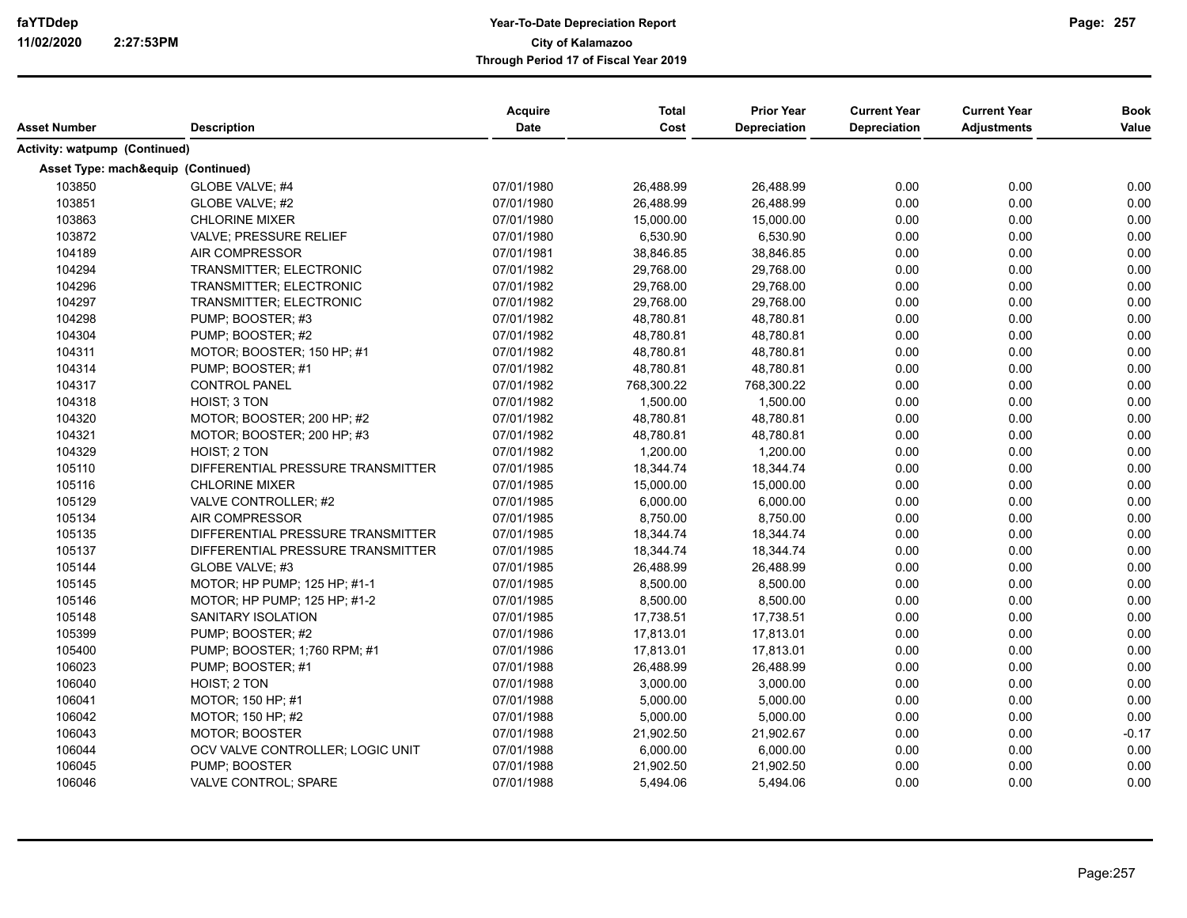|                                      |                                    | Acquire    | <b>Total</b> | <b>Prior Year</b>   | <b>Current Year</b> | <b>Current Year</b> | <b>Book</b> |
|--------------------------------------|------------------------------------|------------|--------------|---------------------|---------------------|---------------------|-------------|
| Asset Number                         | <b>Description</b>                 | Date       | Cost         | <b>Depreciation</b> | <b>Depreciation</b> | <b>Adjustments</b>  | Value       |
| <b>Activity: watpump (Continued)</b> |                                    |            |              |                     |                     |                     |             |
|                                      | Asset Type: mach&equip (Continued) |            |              |                     |                     |                     |             |
| 103850                               | GLOBE VALVE; #4                    | 07/01/1980 | 26,488.99    | 26,488.99           | 0.00                | 0.00                | 0.00        |
| 103851                               | GLOBE VALVE; #2                    | 07/01/1980 | 26,488.99    | 26,488.99           | 0.00                | 0.00                | 0.00        |
| 103863                               | <b>CHLORINE MIXER</b>              | 07/01/1980 | 15,000.00    | 15,000.00           | 0.00                | 0.00                | 0.00        |
| 103872                               | <b>VALVE: PRESSURE RELIEF</b>      | 07/01/1980 | 6,530.90     | 6,530.90            | 0.00                | 0.00                | 0.00        |
| 104189                               | <b>AIR COMPRESSOR</b>              | 07/01/1981 | 38,846.85    | 38,846.85           | 0.00                | 0.00                | 0.00        |
| 104294                               | TRANSMITTER; ELECTRONIC            | 07/01/1982 | 29,768.00    | 29,768.00           | 0.00                | 0.00                | 0.00        |
| 104296                               | TRANSMITTER; ELECTRONIC            | 07/01/1982 | 29,768.00    | 29,768.00           | 0.00                | 0.00                | 0.00        |
| 104297                               | TRANSMITTER; ELECTRONIC            | 07/01/1982 | 29,768.00    | 29,768.00           | 0.00                | 0.00                | 0.00        |
| 104298                               | PUMP; BOOSTER; #3                  | 07/01/1982 | 48,780.81    | 48,780.81           | 0.00                | 0.00                | 0.00        |
| 104304                               | PUMP; BOOSTER; #2                  | 07/01/1982 | 48,780.81    | 48,780.81           | 0.00                | 0.00                | 0.00        |
| 104311                               | MOTOR: BOOSTER: 150 HP: #1         | 07/01/1982 | 48,780.81    | 48,780.81           | 0.00                | 0.00                | 0.00        |
| 104314                               | PUMP; BOOSTER; #1                  | 07/01/1982 | 48,780.81    | 48,780.81           | 0.00                | 0.00                | 0.00        |
| 104317                               | <b>CONTROL PANEL</b>               | 07/01/1982 | 768,300.22   | 768,300.22          | 0.00                | 0.00                | 0.00        |
| 104318                               | <b>HOIST: 3 TON</b>                | 07/01/1982 | 1,500.00     | 1,500.00            | 0.00                | 0.00                | 0.00        |
| 104320                               | MOTOR; BOOSTER; 200 HP; #2         | 07/01/1982 | 48,780.81    | 48,780.81           | 0.00                | 0.00                | 0.00        |
| 104321                               | MOTOR; BOOSTER; 200 HP; #3         | 07/01/1982 | 48,780.81    | 48,780.81           | 0.00                | 0.00                | 0.00        |
| 104329                               | HOIST; 2 TON                       | 07/01/1982 | 1,200.00     | 1,200.00            | 0.00                | 0.00                | 0.00        |
| 105110                               | DIFFERENTIAL PRESSURE TRANSMITTER  | 07/01/1985 | 18,344.74    | 18,344.74           | 0.00                | 0.00                | 0.00        |
| 105116                               | <b>CHLORINE MIXER</b>              | 07/01/1985 | 15,000.00    | 15,000.00           | 0.00                | 0.00                | 0.00        |
| 105129                               | VALVE CONTROLLER; #2               | 07/01/1985 | 6,000.00     | 6,000.00            | 0.00                | 0.00                | 0.00        |
| 105134                               | AIR COMPRESSOR                     | 07/01/1985 | 8,750.00     | 8,750.00            | 0.00                | 0.00                | 0.00        |
| 105135                               | DIFFERENTIAL PRESSURE TRANSMITTER  | 07/01/1985 | 18,344.74    | 18,344.74           | 0.00                | 0.00                | 0.00        |
| 105137                               | DIFFERENTIAL PRESSURE TRANSMITTER  | 07/01/1985 | 18,344.74    | 18,344.74           | 0.00                | 0.00                | 0.00        |
| 105144                               | GLOBE VALVE; #3                    | 07/01/1985 | 26,488.99    | 26,488.99           | 0.00                | 0.00                | 0.00        |
| 105145                               | MOTOR; HP PUMP; 125 HP; #1-1       | 07/01/1985 | 8,500.00     | 8,500.00            | 0.00                | 0.00                | 0.00        |
| 105146                               | MOTOR; HP PUMP; 125 HP; #1-2       | 07/01/1985 | 8,500.00     | 8,500.00            | 0.00                | 0.00                | 0.00        |
| 105148                               | SANITARY ISOLATION                 | 07/01/1985 | 17,738.51    | 17,738.51           | 0.00                | 0.00                | 0.00        |
| 105399                               | PUMP; BOOSTER; #2                  | 07/01/1986 | 17,813.01    | 17,813.01           | 0.00                | 0.00                | 0.00        |
| 105400                               | PUMP; BOOSTER; 1:760 RPM; #1       | 07/01/1986 | 17,813.01    | 17,813.01           | 0.00                | 0.00                | 0.00        |
| 106023                               | PUMP; BOOSTER; #1                  | 07/01/1988 | 26,488.99    | 26,488.99           | 0.00                | 0.00                | 0.00        |
| 106040                               | HOIST: 2 TON                       | 07/01/1988 | 3,000.00     | 3,000.00            | 0.00                | 0.00                | 0.00        |
| 106041                               | MOTOR; 150 HP; #1                  | 07/01/1988 | 5,000.00     | 5,000.00            | 0.00                | 0.00                | 0.00        |
| 106042                               | MOTOR; 150 HP; #2                  | 07/01/1988 | 5,000.00     | 5,000.00            | 0.00                | 0.00                | 0.00        |
| 106043                               | <b>MOTOR; BOOSTER</b>              | 07/01/1988 | 21,902.50    | 21,902.67           | 0.00                | 0.00                | $-0.17$     |
| 106044                               | OCV VALVE CONTROLLER; LOGIC UNIT   | 07/01/1988 | 6,000.00     | 6,000.00            | 0.00                | 0.00                | 0.00        |
| 106045                               | PUMP; BOOSTER                      | 07/01/1988 | 21,902.50    | 21,902.50           | 0.00                | 0.00                | 0.00        |
| 106046                               | VALVE CONTROL; SPARE               | 07/01/1988 | 5,494.06     | 5,494.06            | 0.00                | 0.00                | 0.00        |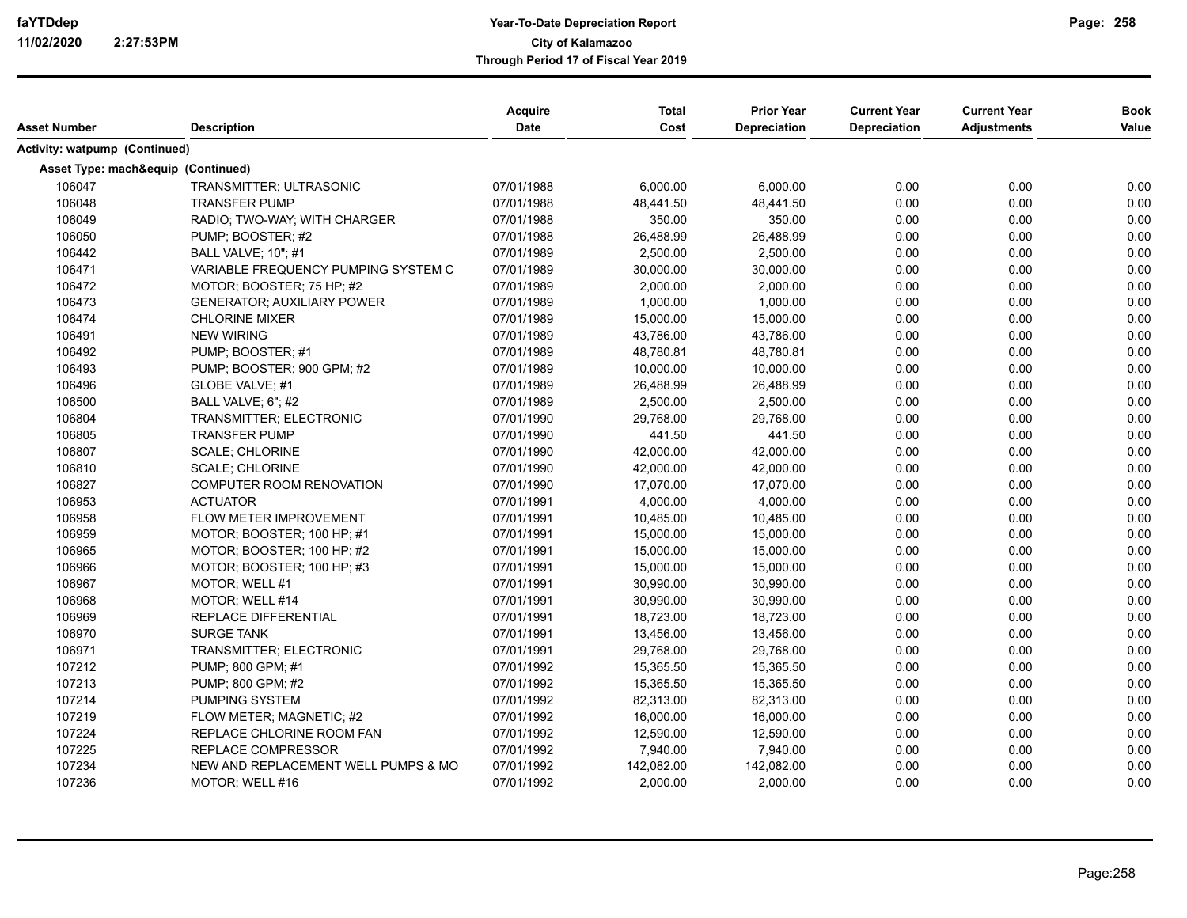| Asset Number                         | <b>Description</b>                  | Acquire<br><b>Date</b> | <b>Total</b><br>Cost | <b>Prior Year</b><br><b>Depreciation</b> | <b>Current Year</b><br>Depreciation | <b>Current Year</b><br><b>Adjustments</b> | <b>Book</b><br>Value |
|--------------------------------------|-------------------------------------|------------------------|----------------------|------------------------------------------|-------------------------------------|-------------------------------------------|----------------------|
| <b>Activity: watpump (Continued)</b> |                                     |                        |                      |                                          |                                     |                                           |                      |
|                                      | Asset Type: mach&equip (Continued)  |                        |                      |                                          |                                     |                                           |                      |
| 106047                               | <b>TRANSMITTER: ULTRASONIC</b>      | 07/01/1988             | 6,000.00             | 6.000.00                                 | 0.00                                | 0.00                                      | 0.00                 |
| 106048                               | <b>TRANSFER PUMP</b>                | 07/01/1988             | 48,441.50            | 48,441.50                                | 0.00                                | 0.00                                      | 0.00                 |
| 106049                               | RADIO; TWO-WAY; WITH CHARGER        | 07/01/1988             | 350.00               | 350.00                                   | 0.00                                | 0.00                                      | 0.00                 |
| 106050                               | PUMP; BOOSTER; #2                   | 07/01/1988             | 26,488.99            | 26,488.99                                | 0.00                                | 0.00                                      | 0.00                 |
| 106442                               | <b>BALL VALVE: 10": #1</b>          | 07/01/1989             | 2,500.00             | 2,500.00                                 | 0.00                                | 0.00                                      | 0.00                 |
| 106471                               | VARIABLE FREQUENCY PUMPING SYSTEM C | 07/01/1989             | 30,000.00            | 30,000.00                                | 0.00                                | 0.00                                      | 0.00                 |
| 106472                               | MOTOR: BOOSTER: 75 HP: #2           | 07/01/1989             | 2,000.00             | 2,000.00                                 | 0.00                                | 0.00                                      | 0.00                 |
| 106473                               | <b>GENERATOR: AUXILIARY POWER</b>   | 07/01/1989             | 1,000.00             | 1,000.00                                 | 0.00                                | 0.00                                      | 0.00                 |
| 106474                               | <b>CHLORINE MIXER</b>               | 07/01/1989             | 15,000.00            | 15,000.00                                | 0.00                                | 0.00                                      | 0.00                 |
| 106491                               | <b>NEW WIRING</b>                   | 07/01/1989             | 43,786.00            | 43,786.00                                | 0.00                                | 0.00                                      | 0.00                 |
| 106492                               | PUMP; BOOSTER; #1                   | 07/01/1989             | 48,780.81            | 48,780.81                                | 0.00                                | 0.00                                      | 0.00                 |
| 106493                               | PUMP; BOOSTER; 900 GPM; #2          | 07/01/1989             | 10,000.00            | 10,000.00                                | 0.00                                | 0.00                                      | 0.00                 |
| 106496                               | GLOBE VALVE; #1                     | 07/01/1989             | 26,488.99            | 26,488.99                                | 0.00                                | 0.00                                      | 0.00                 |
| 106500                               | BALL VALVE; 6"; #2                  | 07/01/1989             | 2,500.00             | 2,500.00                                 | 0.00                                | 0.00                                      | 0.00                 |
| 106804                               | TRANSMITTER; ELECTRONIC             | 07/01/1990             | 29,768.00            | 29,768.00                                | 0.00                                | 0.00                                      | 0.00                 |
| 106805                               | <b>TRANSFER PUMP</b>                | 07/01/1990             | 441.50               | 441.50                                   | 0.00                                | 0.00                                      | 0.00                 |
| 106807                               | <b>SCALE; CHLORINE</b>              | 07/01/1990             | 42,000.00            | 42,000.00                                | 0.00                                | 0.00                                      | 0.00                 |
| 106810                               | <b>SCALE: CHLORINE</b>              | 07/01/1990             | 42,000.00            | 42,000.00                                | 0.00                                | 0.00                                      | 0.00                 |
| 106827                               | COMPUTER ROOM RENOVATION            | 07/01/1990             | 17,070.00            | 17,070.00                                | 0.00                                | 0.00                                      | 0.00                 |
| 106953                               | <b>ACTUATOR</b>                     | 07/01/1991             | 4,000.00             | 4,000.00                                 | 0.00                                | 0.00                                      | 0.00                 |
| 106958                               | FLOW METER IMPROVEMENT              | 07/01/1991             | 10,485.00            | 10,485.00                                | 0.00                                | 0.00                                      | 0.00                 |
| 106959                               | MOTOR; BOOSTER; 100 HP; #1          | 07/01/1991             | 15,000.00            | 15,000.00                                | 0.00                                | 0.00                                      | 0.00                 |
| 106965                               | MOTOR; BOOSTER; 100 HP; #2          | 07/01/1991             | 15,000.00            | 15,000.00                                | 0.00                                | 0.00                                      | 0.00                 |
| 106966                               | MOTOR: BOOSTER: 100 HP: #3          | 07/01/1991             | 15,000.00            | 15,000.00                                | 0.00                                | 0.00                                      | 0.00                 |
| 106967                               | MOTOR: WELL #1                      | 07/01/1991             | 30,990.00            | 30,990.00                                | 0.00                                | 0.00                                      | 0.00                 |
| 106968                               | MOTOR: WELL #14                     | 07/01/1991             | 30,990.00            | 30,990.00                                | 0.00                                | 0.00                                      | 0.00                 |
| 106969                               | REPLACE DIFFERENTIAL                | 07/01/1991             | 18,723.00            | 18,723.00                                | 0.00                                | 0.00                                      | 0.00                 |
| 106970                               | <b>SURGE TANK</b>                   | 07/01/1991             | 13,456.00            | 13,456.00                                | 0.00                                | 0.00                                      | 0.00                 |
| 106971                               | TRANSMITTER; ELECTRONIC             | 07/01/1991             | 29,768.00            | 29,768.00                                | 0.00                                | 0.00                                      | 0.00                 |
| 107212                               | PUMP; 800 GPM; #1                   | 07/01/1992             | 15,365.50            | 15,365.50                                | 0.00                                | 0.00                                      | 0.00                 |
| 107213                               | PUMP; 800 GPM; #2                   | 07/01/1992             | 15,365.50            | 15,365.50                                | 0.00                                | 0.00                                      | 0.00                 |
| 107214                               | PUMPING SYSTEM                      | 07/01/1992             | 82,313.00            | 82,313.00                                | 0.00                                | 0.00                                      | 0.00                 |
| 107219                               | FLOW METER; MAGNETIC; #2            | 07/01/1992             | 16,000.00            | 16,000.00                                | 0.00                                | 0.00                                      | 0.00                 |
| 107224                               | REPLACE CHLORINE ROOM FAN           | 07/01/1992             | 12,590.00            | 12,590.00                                | 0.00                                | 0.00                                      | 0.00                 |
| 107225                               | <b>REPLACE COMPRESSOR</b>           | 07/01/1992             | 7,940.00             | 7,940.00                                 | 0.00                                | 0.00                                      | 0.00                 |
| 107234                               | NEW AND REPLACEMENT WELL PUMPS & MO | 07/01/1992             | 142,082.00           | 142,082.00                               | 0.00                                | 0.00                                      | 0.00                 |
| 107236                               | MOTOR; WELL #16                     | 07/01/1992             | 2,000.00             | 2,000.00                                 | 0.00                                | 0.00                                      | 0.00                 |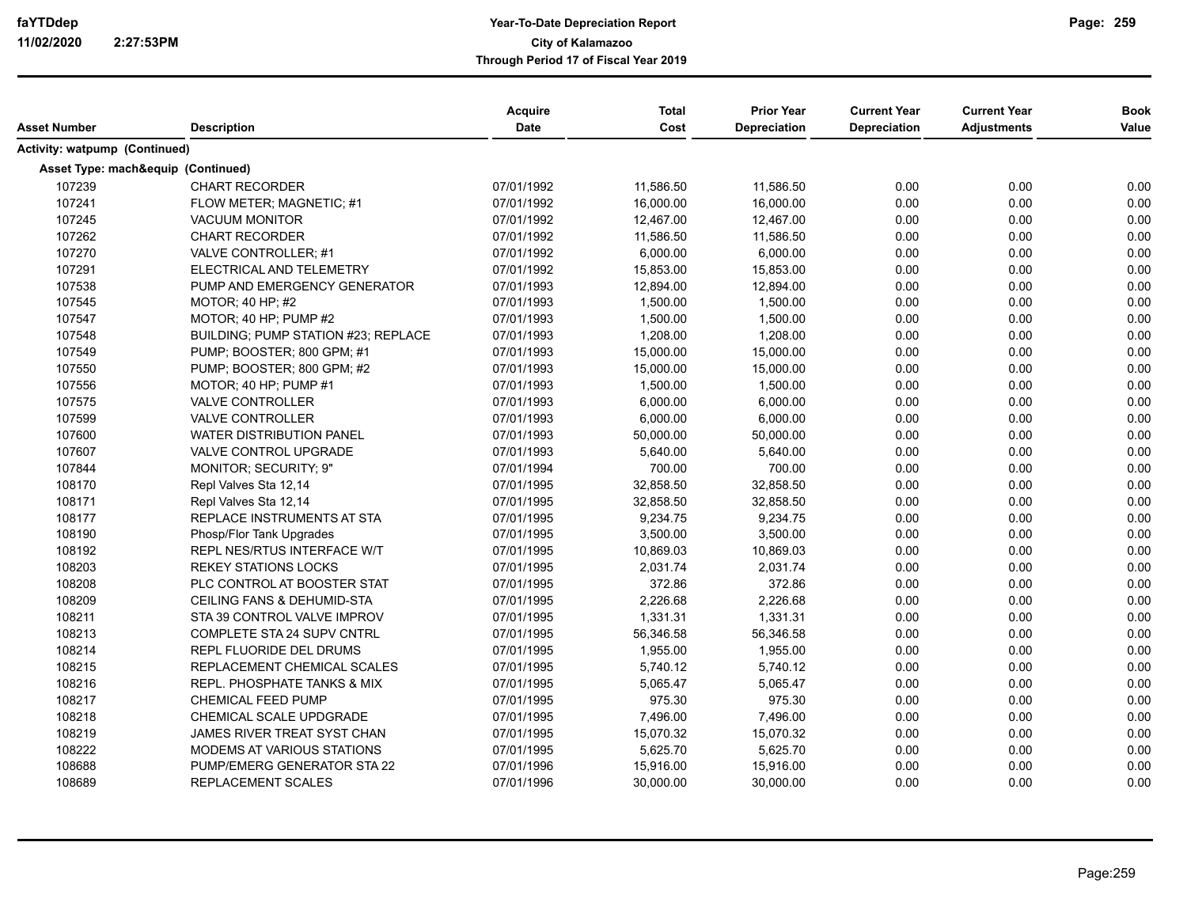| Asset Number                         | <b>Description</b>                  | Acquire<br><b>Date</b> | <b>Total</b><br>Cost | <b>Prior Year</b><br>Depreciation | <b>Current Year</b><br><b>Depreciation</b> | <b>Current Year</b><br><b>Adjustments</b> | <b>Book</b><br>Value |
|--------------------------------------|-------------------------------------|------------------------|----------------------|-----------------------------------|--------------------------------------------|-------------------------------------------|----------------------|
| <b>Activity: watpump (Continued)</b> |                                     |                        |                      |                                   |                                            |                                           |                      |
|                                      | Asset Type: mach&equip (Continued)  |                        |                      |                                   |                                            |                                           |                      |
| 107239                               | <b>CHART RECORDER</b>               | 07/01/1992             | 11,586.50            | 11,586.50                         | 0.00                                       | 0.00                                      | 0.00                 |
| 107241                               | FLOW METER; MAGNETIC; #1            | 07/01/1992             | 16,000.00            | 16,000.00                         | 0.00                                       | 0.00                                      | 0.00                 |
| 107245                               | <b>VACUUM MONITOR</b>               | 07/01/1992             | 12,467.00            | 12,467.00                         | 0.00                                       | 0.00                                      | 0.00                 |
| 107262                               | <b>CHART RECORDER</b>               | 07/01/1992             | 11,586.50            | 11,586.50                         | 0.00                                       | 0.00                                      | 0.00                 |
| 107270                               | VALVE CONTROLLER: #1                | 07/01/1992             | 6,000.00             | 6,000.00                          | 0.00                                       | 0.00                                      | 0.00                 |
| 107291                               | ELECTRICAL AND TELEMETRY            | 07/01/1992             | 15,853.00            | 15,853.00                         | 0.00                                       | 0.00                                      | 0.00                 |
| 107538                               | PUMP AND EMERGENCY GENERATOR        | 07/01/1993             | 12,894.00            | 12,894.00                         | 0.00                                       | 0.00                                      | 0.00                 |
| 107545                               | MOTOR: 40 HP: #2                    | 07/01/1993             | 1,500.00             | 1,500.00                          | 0.00                                       | 0.00                                      | 0.00                 |
| 107547                               | MOTOR; 40 HP; PUMP $#2$             | 07/01/1993             | 1,500.00             | 1,500.00                          | 0.00                                       | 0.00                                      | 0.00                 |
| 107548                               | BUILDING: PUMP STATION #23; REPLACE | 07/01/1993             | 1,208.00             | 1,208.00                          | 0.00                                       | 0.00                                      | 0.00                 |
| 107549                               | PUMP; BOOSTER; 800 GPM; #1          | 07/01/1993             | 15,000.00            | 15,000.00                         | 0.00                                       | 0.00                                      | 0.00                 |
| 107550                               | PUMP; BOOSTER; 800 GPM; #2          | 07/01/1993             | 15,000.00            | 15,000.00                         | 0.00                                       | 0.00                                      | 0.00                 |
| 107556                               | MOTOR; 40 HP; PUMP #1               | 07/01/1993             | 1,500.00             | 1,500.00                          | 0.00                                       | 0.00                                      | 0.00                 |
| 107575                               | <b>VALVE CONTROLLER</b>             | 07/01/1993             | 6,000.00             | 6,000.00                          | 0.00                                       | 0.00                                      | 0.00                 |
| 107599                               | VALVE CONTROLLER                    | 07/01/1993             | 6,000.00             | 6,000.00                          | 0.00                                       | 0.00                                      | 0.00                 |
| 107600                               | WATER DISTRIBUTION PANEL            | 07/01/1993             | 50,000.00            | 50,000.00                         | 0.00                                       | 0.00                                      | 0.00                 |
| 107607                               | VALVE CONTROL UPGRADE               | 07/01/1993             | 5,640.00             | 5,640.00                          | 0.00                                       | 0.00                                      | 0.00                 |
| 107844                               | MONITOR; SECURITY; 9"               | 07/01/1994             | 700.00               | 700.00                            | 0.00                                       | 0.00                                      | 0.00                 |
| 108170                               | Repl Valves Sta 12,14               | 07/01/1995             | 32,858.50            | 32,858.50                         | 0.00                                       | 0.00                                      | 0.00                 |
| 108171                               | Repl Valves Sta 12,14               | 07/01/1995             | 32,858.50            | 32,858.50                         | 0.00                                       | 0.00                                      | 0.00                 |
| 108177                               | REPLACE INSTRUMENTS AT STA          | 07/01/1995             | 9,234.75             | 9,234.75                          | 0.00                                       | 0.00                                      | 0.00                 |
| 108190                               | Phosp/Flor Tank Upgrades            | 07/01/1995             | 3,500.00             | 3,500.00                          | 0.00                                       | 0.00                                      | 0.00                 |
| 108192                               | <b>REPL NES/RTUS INTERFACE W/T</b>  | 07/01/1995             | 10,869.03            | 10,869.03                         | 0.00                                       | 0.00                                      | 0.00                 |
| 108203                               | <b>REKEY STATIONS LOCKS</b>         | 07/01/1995             | 2,031.74             | 2.031.74                          | 0.00                                       | 0.00                                      | 0.00                 |
| 108208                               | PLC CONTROL AT BOOSTER STAT         | 07/01/1995             | 372.86               | 372.86                            | 0.00                                       | 0.00                                      | 0.00                 |
| 108209                               | CEILING FANS & DEHUMID-STA          | 07/01/1995             | 2,226.68             | 2,226.68                          | 0.00                                       | 0.00                                      | 0.00                 |
| 108211                               | STA 39 CONTROL VALVE IMPROV         | 07/01/1995             | 1,331.31             | 1,331.31                          | 0.00                                       | 0.00                                      | 0.00                 |
| 108213                               | COMPLETE STA 24 SUPV CNTRL          | 07/01/1995             | 56,346.58            | 56,346.58                         | 0.00                                       | 0.00                                      | 0.00                 |
| 108214                               | REPL FLUORIDE DEL DRUMS             | 07/01/1995             | 1,955.00             | 1,955.00                          | 0.00                                       | 0.00                                      | 0.00                 |
| 108215                               | REPLACEMENT CHEMICAL SCALES         | 07/01/1995             | 5,740.12             | 5,740.12                          | 0.00                                       | 0.00                                      | 0.00                 |
| 108216                               | REPL. PHOSPHATE TANKS & MIX         | 07/01/1995             | 5,065.47             | 5,065.47                          | 0.00                                       | 0.00                                      | 0.00                 |
| 108217                               | <b>CHEMICAL FEED PUMP</b>           | 07/01/1995             | 975.30               | 975.30                            | 0.00                                       | 0.00                                      | 0.00                 |
| 108218                               | CHEMICAL SCALE UPDGRADE             | 07/01/1995             | 7,496.00             | 7.496.00                          | 0.00                                       | 0.00                                      | 0.00                 |
| 108219                               | JAMES RIVER TREAT SYST CHAN         | 07/01/1995             | 15,070.32            | 15,070.32                         | 0.00                                       | 0.00                                      | 0.00                 |
| 108222                               | <b>MODEMS AT VARIOUS STATIONS</b>   | 07/01/1995             | 5,625.70             | 5,625.70                          | 0.00                                       | 0.00                                      | 0.00                 |
| 108688                               | PUMP/EMERG GENERATOR STA 22         | 07/01/1996             | 15,916.00            | 15,916.00                         | 0.00                                       | 0.00                                      | 0.00                 |
| 108689                               | REPLACEMENT SCALES                  | 07/01/1996             | 30,000.00            | 30,000.00                         | 0.00                                       | 0.00                                      | 0.00                 |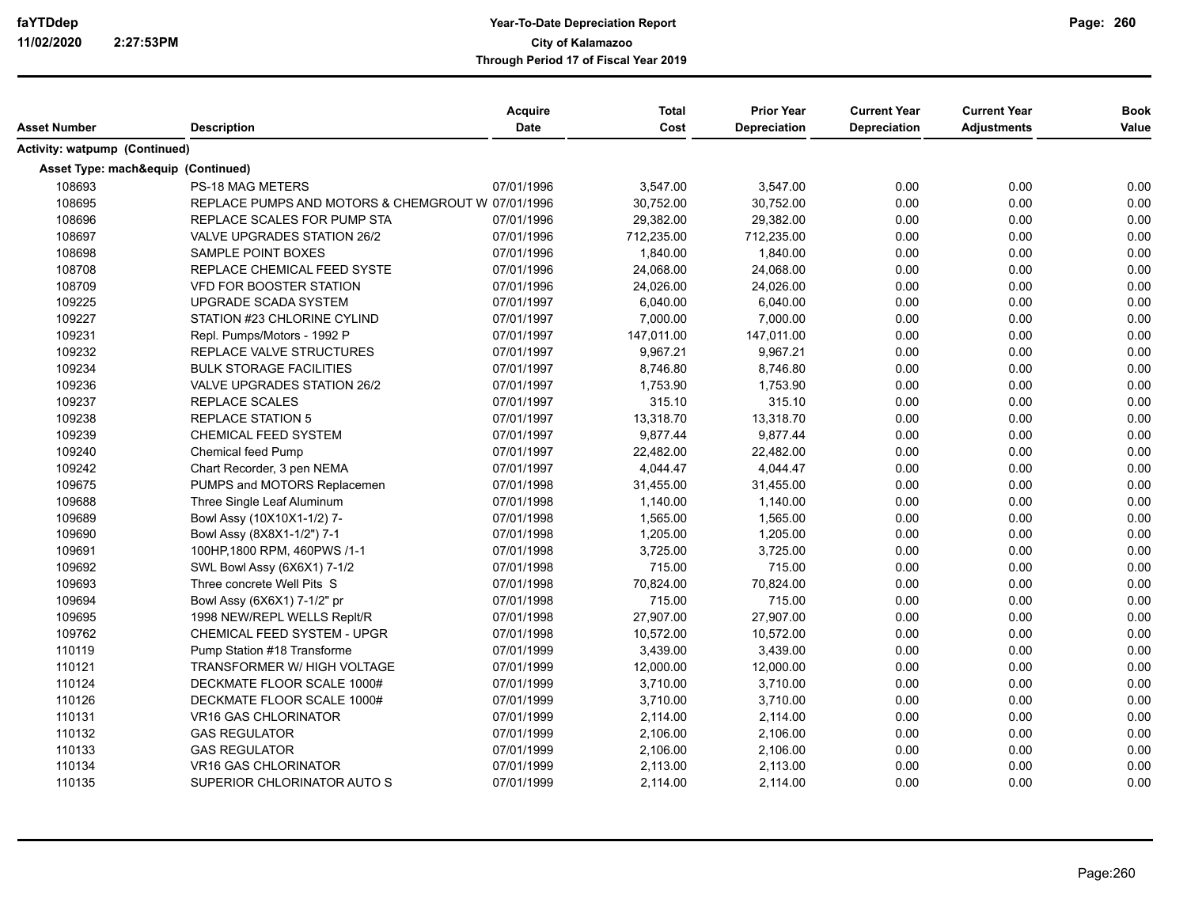| Asset Number                  | <b>Description</b>                                | <b>Acquire</b><br><b>Date</b> | <b>Total</b><br>Cost | <b>Prior Year</b><br><b>Depreciation</b> | <b>Current Year</b><br>Depreciation | <b>Current Year</b><br><b>Adjustments</b> | <b>Book</b><br>Value |
|-------------------------------|---------------------------------------------------|-------------------------------|----------------------|------------------------------------------|-------------------------------------|-------------------------------------------|----------------------|
|                               |                                                   |                               |                      |                                          |                                     |                                           |                      |
| Activity: watpump (Continued) |                                                   |                               |                      |                                          |                                     |                                           |                      |
|                               | Asset Type: mach&equip (Continued)                |                               |                      |                                          |                                     |                                           |                      |
| 108693                        | PS-18 MAG METERS                                  | 07/01/1996                    | 3,547.00             | 3,547.00                                 | 0.00                                | 0.00                                      | 0.00                 |
| 108695                        | REPLACE PUMPS AND MOTORS & CHEMGROUT W 07/01/1996 |                               | 30,752.00            | 30,752.00                                | 0.00                                | 0.00                                      | 0.00                 |
| 108696                        | REPLACE SCALES FOR PUMP STA                       | 07/01/1996                    | 29,382.00            | 29,382.00                                | 0.00                                | 0.00                                      | 0.00                 |
| 108697                        | <b>VALVE UPGRADES STATION 26/2</b>                | 07/01/1996                    | 712,235.00           | 712,235.00                               | 0.00                                | 0.00                                      | 0.00                 |
| 108698                        | SAMPLE POINT BOXES                                | 07/01/1996                    | 1,840.00             | 1,840.00                                 | 0.00                                | 0.00                                      | 0.00                 |
| 108708                        | REPLACE CHEMICAL FEED SYSTE                       | 07/01/1996                    | 24,068.00            | 24,068.00                                | 0.00                                | 0.00                                      | 0.00                 |
| 108709                        | <b>VFD FOR BOOSTER STATION</b>                    | 07/01/1996                    | 24,026.00            | 24,026.00                                | 0.00                                | 0.00                                      | 0.00                 |
| 109225                        | UPGRADE SCADA SYSTEM                              | 07/01/1997                    | 6,040.00             | 6,040.00                                 | 0.00                                | 0.00                                      | 0.00                 |
| 109227                        | STATION #23 CHLORINE CYLIND                       | 07/01/1997                    | 7,000.00             | 7,000.00                                 | 0.00                                | 0.00                                      | 0.00                 |
| 109231                        | Repl. Pumps/Motors - 1992 P                       | 07/01/1997                    | 147,011.00           | 147,011.00                               | 0.00                                | 0.00                                      | 0.00                 |
| 109232                        | REPLACE VALVE STRUCTURES                          | 07/01/1997                    | 9,967.21             | 9.967.21                                 | 0.00                                | 0.00                                      | 0.00                 |
| 109234                        | <b>BULK STORAGE FACILITIES</b>                    | 07/01/1997                    | 8,746.80             | 8,746.80                                 | 0.00                                | 0.00                                      | 0.00                 |
| 109236                        | VALVE UPGRADES STATION 26/2                       | 07/01/1997                    | 1,753.90             | 1,753.90                                 | 0.00                                | 0.00                                      | 0.00                 |
| 109237                        | REPLACE SCALES                                    | 07/01/1997                    | 315.10               | 315.10                                   | 0.00                                | 0.00                                      | 0.00                 |
| 109238                        | <b>REPLACE STATION 5</b>                          | 07/01/1997                    | 13,318.70            | 13,318.70                                | 0.00                                | 0.00                                      | 0.00                 |
| 109239                        | <b>CHEMICAL FEED SYSTEM</b>                       | 07/01/1997                    | 9,877.44             | 9,877.44                                 | 0.00                                | 0.00                                      | 0.00                 |
| 109240                        | <b>Chemical feed Pump</b>                         | 07/01/1997                    | 22,482.00            | 22,482.00                                | 0.00                                | 0.00                                      | 0.00                 |
| 109242                        | Chart Recorder, 3 pen NEMA                        | 07/01/1997                    | 4,044.47             | 4,044.47                                 | 0.00                                | 0.00                                      | 0.00                 |
| 109675                        | PUMPS and MOTORS Replacemen                       | 07/01/1998                    | 31,455.00            | 31,455.00                                | 0.00                                | 0.00                                      | 0.00                 |
| 109688                        | Three Single Leaf Aluminum                        | 07/01/1998                    | 1,140.00             | 1,140.00                                 | 0.00                                | 0.00                                      | 0.00                 |
| 109689                        | Bowl Assy (10X10X1-1/2) 7-                        | 07/01/1998                    | 1,565.00             | 1,565.00                                 | 0.00                                | 0.00                                      | 0.00                 |
| 109690                        | Bowl Assy (8X8X1-1/2") 7-1                        | 07/01/1998                    | 1,205.00             | 1,205.00                                 | 0.00                                | 0.00                                      | 0.00                 |
| 109691                        | 100HP, 1800 RPM, 460PWS /1-1                      | 07/01/1998                    | 3,725.00             | 3,725.00                                 | 0.00                                | 0.00                                      | 0.00                 |
| 109692                        | SWL Bowl Assy (6X6X1) 7-1/2                       | 07/01/1998                    | 715.00               | 715.00                                   | 0.00                                | 0.00                                      | 0.00                 |
| 109693                        | Three concrete Well Pits S                        | 07/01/1998                    | 70,824.00            | 70,824.00                                | 0.00                                | 0.00                                      | 0.00                 |
| 109694                        | Bowl Assy (6X6X1) 7-1/2" pr                       | 07/01/1998                    | 715.00               | 715.00                                   | 0.00                                | 0.00                                      | 0.00                 |
| 109695                        | 1998 NEW/REPL WELLS Replt/R                       | 07/01/1998                    | 27,907.00            | 27,907.00                                | 0.00                                | 0.00                                      | 0.00                 |
| 109762                        | <b>CHEMICAL FEED SYSTEM - UPGR</b>                | 07/01/1998                    | 10,572.00            | 10,572.00                                | 0.00                                | 0.00                                      | 0.00                 |
| 110119                        | Pump Station #18 Transforme                       | 07/01/1999                    | 3,439.00             | 3,439.00                                 | 0.00                                | 0.00                                      | 0.00                 |
| 110121                        | TRANSFORMER W/ HIGH VOLTAGE                       | 07/01/1999                    | 12,000.00            | 12,000.00                                | 0.00                                | 0.00                                      | 0.00                 |
| 110124                        | DECKMATE FLOOR SCALE 1000#                        | 07/01/1999                    | 3,710.00             | 3,710.00                                 | 0.00                                | 0.00                                      | 0.00                 |
| 110126                        | DECKMATE FLOOR SCALE 1000#                        | 07/01/1999                    | 3,710.00             | 3,710.00                                 | 0.00                                | 0.00                                      | 0.00                 |
| 110131                        | <b>VR16 GAS CHLORINATOR</b>                       | 07/01/1999                    | 2,114.00             | 2,114.00                                 | 0.00                                | 0.00                                      | 0.00                 |
| 110132                        | <b>GAS REGULATOR</b>                              | 07/01/1999                    | 2,106.00             | 2,106.00                                 | 0.00                                | 0.00                                      | 0.00                 |
| 110133                        | <b>GAS REGULATOR</b>                              | 07/01/1999                    | 2,106.00             | 2,106.00                                 | 0.00                                | 0.00                                      | 0.00                 |
| 110134                        | <b>VR16 GAS CHLORINATOR</b>                       | 07/01/1999                    | 2,113.00             | 2,113.00                                 | 0.00                                | 0.00                                      | 0.00                 |
| 110135                        | SUPERIOR CHLORINATOR AUTO S                       | 07/01/1999                    | 2,114.00             | 2,114.00                                 | 0.00                                | 0.00                                      | 0.00                 |
|                               |                                                   |                               |                      |                                          |                                     |                                           |                      |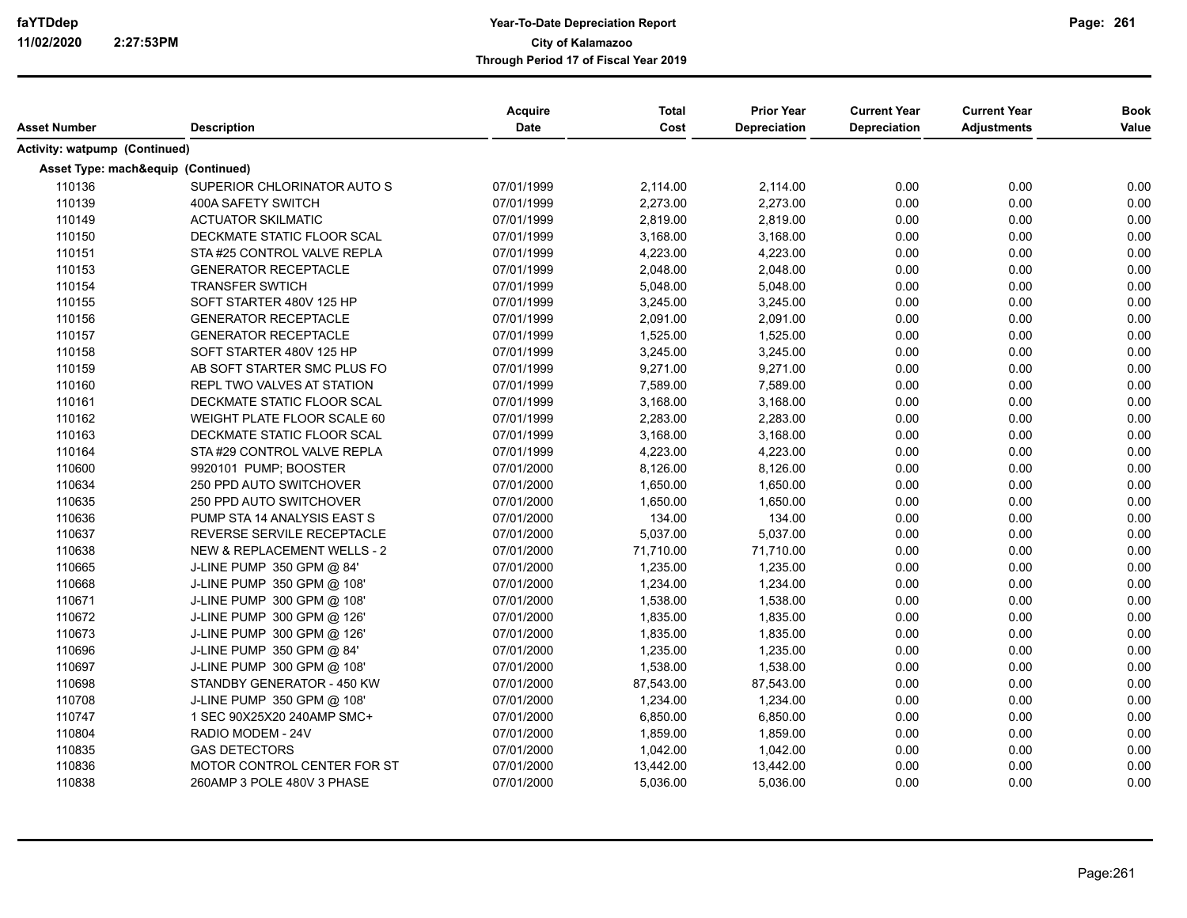| Asset Number                         | <b>Description</b>                     | Acquire<br>Date | <b>Total</b><br>Cost | <b>Prior Year</b><br>Depreciation | <b>Current Year</b><br>Depreciation | <b>Current Year</b><br><b>Adjustments</b> | <b>Book</b><br>Value |
|--------------------------------------|----------------------------------------|-----------------|----------------------|-----------------------------------|-------------------------------------|-------------------------------------------|----------------------|
| <b>Activity: watpump (Continued)</b> |                                        |                 |                      |                                   |                                     |                                           |                      |
| Asset Type: mach&equip (Continued)   |                                        |                 |                      |                                   |                                     |                                           |                      |
| 110136                               | SUPERIOR CHLORINATOR AUTO S            | 07/01/1999      | 2,114.00             | 2,114.00                          | 0.00                                | 0.00                                      | 0.00                 |
| 110139                               | 400A SAFETY SWITCH                     | 07/01/1999      | 2,273.00             | 2,273.00                          | 0.00                                | 0.00                                      | 0.00                 |
| 110149                               | <b>ACTUATOR SKILMATIC</b>              | 07/01/1999      | 2,819.00             | 2,819.00                          | 0.00                                | 0.00                                      | 0.00                 |
| 110150                               | DECKMATE STATIC FLOOR SCAL             | 07/01/1999      | 3,168.00             | 3,168.00                          | 0.00                                | 0.00                                      | 0.00                 |
| 110151                               | STA #25 CONTROL VALVE REPLA            | 07/01/1999      | 4,223.00             | 4,223.00                          | 0.00                                | 0.00                                      | 0.00                 |
| 110153                               | <b>GENERATOR RECEPTACLE</b>            | 07/01/1999      | 2,048.00             | 2,048.00                          | 0.00                                | 0.00                                      | 0.00                 |
| 110154                               | <b>TRANSFER SWTICH</b>                 | 07/01/1999      | 5,048.00             | 5,048.00                          | 0.00                                | 0.00                                      | 0.00                 |
| 110155                               | SOFT STARTER 480V 125 HP               | 07/01/1999      | 3,245.00             | 3,245.00                          | 0.00                                | 0.00                                      | 0.00                 |
| 110156                               | <b>GENERATOR RECEPTACLE</b>            | 07/01/1999      | 2,091.00             | 2,091.00                          | 0.00                                | 0.00                                      | 0.00                 |
| 110157                               | <b>GENERATOR RECEPTACLE</b>            | 07/01/1999      | 1,525.00             | 1,525.00                          | 0.00                                | 0.00                                      | 0.00                 |
| 110158                               | SOFT STARTER 480V 125 HP               | 07/01/1999      | 3,245.00             | 3,245.00                          | 0.00                                | 0.00                                      | 0.00                 |
| 110159                               | AB SOFT STARTER SMC PLUS FO            | 07/01/1999      | 9,271.00             | 9,271.00                          | 0.00                                | 0.00                                      | 0.00                 |
| 110160                               | REPL TWO VALVES AT STATION             | 07/01/1999      | 7,589.00             | 7,589.00                          | 0.00                                | 0.00                                      | 0.00                 |
| 110161                               | DECKMATE STATIC FLOOR SCAL             | 07/01/1999      | 3,168.00             | 3,168.00                          | 0.00                                | 0.00                                      | 0.00                 |
| 110162                               | WEIGHT PLATE FLOOR SCALE 60            | 07/01/1999      | 2,283.00             | 2,283.00                          | 0.00                                | 0.00                                      | 0.00                 |
| 110163                               | DECKMATE STATIC FLOOR SCAL             | 07/01/1999      | 3,168.00             | 3,168.00                          | 0.00                                | 0.00                                      | 0.00                 |
| 110164                               | STA #29 CONTROL VALVE REPLA            | 07/01/1999      | 4,223.00             | 4,223.00                          | 0.00                                | 0.00                                      | 0.00                 |
| 110600                               | 9920101 PUMP; BOOSTER                  | 07/01/2000      | 8,126.00             | 8,126.00                          | 0.00                                | 0.00                                      | 0.00                 |
| 110634                               | 250 PPD AUTO SWITCHOVER                | 07/01/2000      | 1,650.00             | 1,650.00                          | 0.00                                | 0.00                                      | 0.00                 |
| 110635                               | 250 PPD AUTO SWITCHOVER                | 07/01/2000      | 1,650.00             | 1,650.00                          | 0.00                                | 0.00                                      | 0.00                 |
| 110636                               | PUMP STA 14 ANALYSIS EAST S            | 07/01/2000      | 134.00               | 134.00                            | 0.00                                | 0.00                                      | 0.00                 |
| 110637                               | REVERSE SERVILE RECEPTACLE             | 07/01/2000      | 5,037.00             | 5,037.00                          | 0.00                                | 0.00                                      | 0.00                 |
| 110638                               | <b>NEW &amp; REPLACEMENT WELLS - 2</b> | 07/01/2000      | 71,710.00            | 71,710.00                         | 0.00                                | 0.00                                      | 0.00                 |
| 110665                               | J-LINE PUMP 350 GPM @ 84'              | 07/01/2000      | 1,235.00             | 1,235.00                          | 0.00                                | 0.00                                      | 0.00                 |
| 110668                               | J-LINE PUMP 350 GPM @ 108'             | 07/01/2000      | 1,234.00             | 1,234.00                          | 0.00                                | 0.00                                      | 0.00                 |
| 110671                               | J-LINE PUMP 300 GPM @ 108'             | 07/01/2000      | 1,538.00             | 1,538.00                          | 0.00                                | 0.00                                      | 0.00                 |
| 110672                               | J-LINE PUMP 300 GPM @ 126'             | 07/01/2000      | 1,835.00             | 1,835.00                          | 0.00                                | 0.00                                      | 0.00                 |
| 110673                               | J-LINE PUMP 300 GPM @ 126'             | 07/01/2000      | 1,835.00             | 1,835.00                          | 0.00                                | 0.00                                      | 0.00                 |
| 110696                               | J-LINE PUMP 350 GPM @ 84'              | 07/01/2000      | 1,235.00             | 1,235.00                          | 0.00                                | 0.00                                      | 0.00                 |
| 110697                               | J-LINE PUMP 300 GPM @ 108'             | 07/01/2000      | 1,538.00             | 1,538.00                          | 0.00                                | 0.00                                      | 0.00                 |
| 110698                               | STANDBY GENERATOR - 450 KW             | 07/01/2000      | 87,543.00            | 87,543.00                         | 0.00                                | 0.00                                      | 0.00                 |
| 110708                               | J-LINE PUMP 350 GPM @ 108'             | 07/01/2000      | 1,234.00             | 1,234.00                          | 0.00                                | 0.00                                      | 0.00                 |
| 110747                               | 1 SEC 90X25X20 240AMP SMC+             | 07/01/2000      | 6,850.00             | 6,850.00                          | 0.00                                | 0.00                                      | 0.00                 |
| 110804                               | RADIO MODEM - 24V                      | 07/01/2000      | 1,859.00             | 1,859.00                          | 0.00                                | 0.00                                      | 0.00                 |
| 110835                               | <b>GAS DETECTORS</b>                   | 07/01/2000      | 1,042.00             | 1,042.00                          | 0.00                                | 0.00                                      | 0.00                 |
| 110836                               | MOTOR CONTROL CENTER FOR ST            | 07/01/2000      | 13,442.00            | 13,442.00                         | 0.00                                | 0.00                                      | 0.00                 |
| 110838                               | 260AMP 3 POLE 480V 3 PHASE             | 07/01/2000      | 5,036.00             | 5,036.00                          | 0.00                                | 0.00                                      | 0.00                 |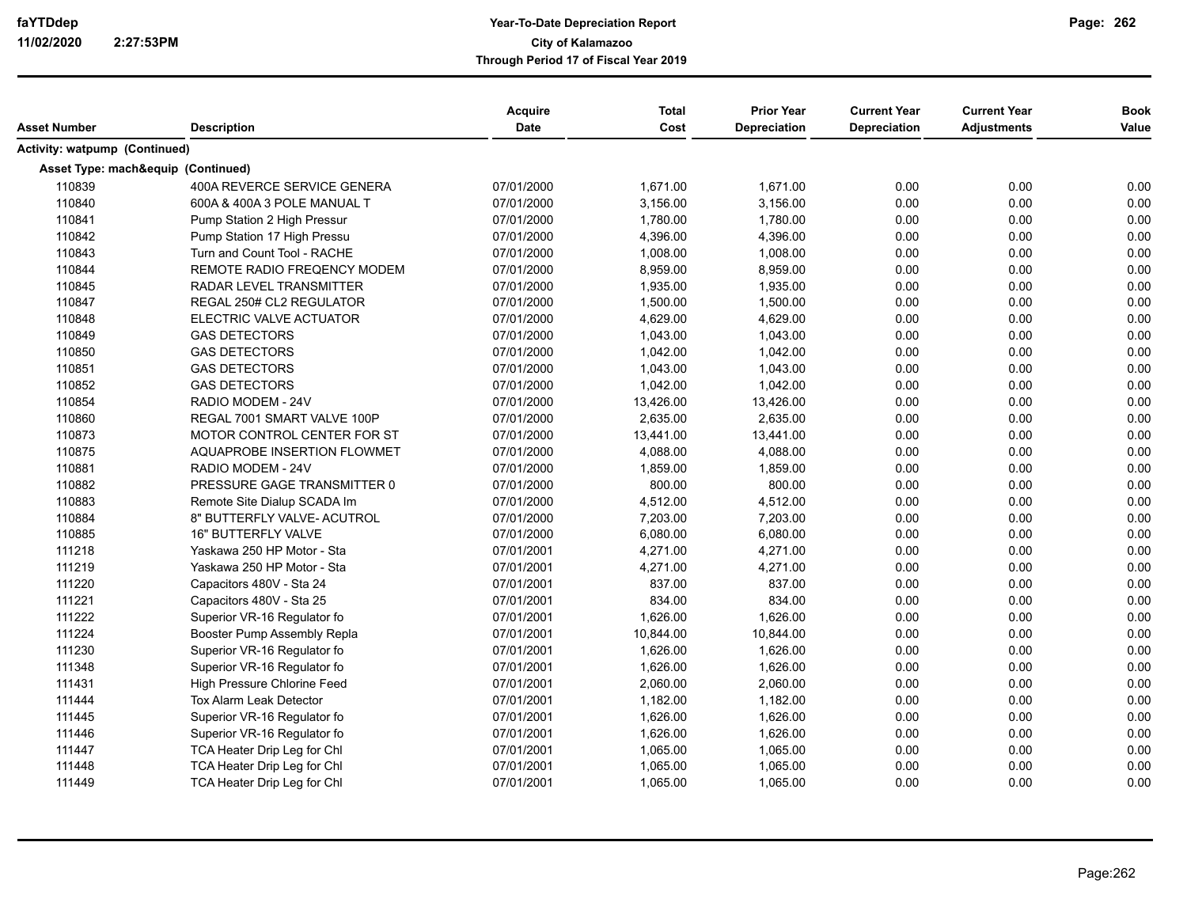| Asset Number                  | <b>Description</b>                 | <b>Acquire</b><br>Date | <b>Total</b><br>Cost | <b>Prior Year</b><br><b>Depreciation</b> | <b>Current Year</b><br><b>Depreciation</b> | <b>Current Year</b><br><b>Adjustments</b> | <b>Book</b><br>Value |
|-------------------------------|------------------------------------|------------------------|----------------------|------------------------------------------|--------------------------------------------|-------------------------------------------|----------------------|
| Activity: watpump (Continued) |                                    |                        |                      |                                          |                                            |                                           |                      |
|                               | Asset Type: mach&equip (Continued) |                        |                      |                                          |                                            |                                           |                      |
| 110839                        | 400A REVERCE SERVICE GENERA        | 07/01/2000             | 1,671.00             | 1,671.00                                 | 0.00                                       | 0.00                                      | 0.00                 |
| 110840                        | 600A & 400A 3 POLE MANUAL T        | 07/01/2000             | 3,156.00             | 3,156.00                                 | 0.00                                       | 0.00                                      | 0.00                 |
| 110841                        | Pump Station 2 High Pressur        | 07/01/2000             | 1,780.00             | 1,780.00                                 | 0.00                                       | 0.00                                      | 0.00                 |
| 110842                        | Pump Station 17 High Pressu        | 07/01/2000             | 4,396.00             | 4,396.00                                 | 0.00                                       | 0.00                                      | 0.00                 |
| 110843                        | Turn and Count Tool - RACHE        | 07/01/2000             | 1,008.00             | 1,008.00                                 | 0.00                                       | 0.00                                      | 0.00                 |
| 110844                        | REMOTE RADIO FREQENCY MODEM        | 07/01/2000             | 8,959.00             | 8,959.00                                 | 0.00                                       | 0.00                                      | 0.00                 |
| 110845                        | RADAR LEVEL TRANSMITTER            | 07/01/2000             | 1,935.00             | 1,935.00                                 | 0.00                                       | 0.00                                      | 0.00                 |
| 110847                        | REGAL 250# CL2 REGULATOR           | 07/01/2000             | 1,500.00             | 1,500.00                                 | 0.00                                       | 0.00                                      | 0.00                 |
| 110848                        | ELECTRIC VALVE ACTUATOR            | 07/01/2000             | 4,629.00             | 4,629.00                                 | 0.00                                       | 0.00                                      | 0.00                 |
| 110849                        | <b>GAS DETECTORS</b>               | 07/01/2000             | 1,043.00             | 1,043.00                                 | 0.00                                       | 0.00                                      | 0.00                 |
| 110850                        | <b>GAS DETECTORS</b>               | 07/01/2000             | 1,042.00             | 1,042.00                                 | 0.00                                       | 0.00                                      | 0.00                 |
| 110851                        | <b>GAS DETECTORS</b>               | 07/01/2000             | 1,043.00             | 1,043.00                                 | 0.00                                       | 0.00                                      | 0.00                 |
| 110852                        | <b>GAS DETECTORS</b>               | 07/01/2000             | 1,042.00             | 1,042.00                                 | 0.00                                       | 0.00                                      | 0.00                 |
| 110854                        | RADIO MODEM - 24V                  | 07/01/2000             | 13,426.00            | 13,426.00                                | 0.00                                       | 0.00                                      | 0.00                 |
| 110860                        | REGAL 7001 SMART VALVE 100P        | 07/01/2000             | 2,635.00             | 2,635.00                                 | 0.00                                       | 0.00                                      | 0.00                 |
| 110873                        | MOTOR CONTROL CENTER FOR ST        | 07/01/2000             | 13,441.00            | 13,441.00                                | 0.00                                       | 0.00                                      | 0.00                 |
| 110875                        | AQUAPROBE INSERTION FLOWMET        | 07/01/2000             | 4,088.00             | 4,088.00                                 | 0.00                                       | 0.00                                      | 0.00                 |
| 110881                        | RADIO MODEM - 24V                  | 07/01/2000             | 1,859.00             | 1,859.00                                 | 0.00                                       | 0.00                                      | 0.00                 |
| 110882                        | PRESSURE GAGE TRANSMITTER 0        | 07/01/2000             | 800.00               | 800.00                                   | 0.00                                       | 0.00                                      | 0.00                 |
| 110883                        | Remote Site Dialup SCADA Im        | 07/01/2000             | 4,512.00             | 4,512.00                                 | 0.00                                       | 0.00                                      | 0.00                 |
| 110884                        | 8" BUTTERFLY VALVE- ACUTROL        | 07/01/2000             | 7,203.00             | 7,203.00                                 | 0.00                                       | 0.00                                      | 0.00                 |
| 110885                        | <b>16" BUTTERFLY VALVE</b>         | 07/01/2000             | 6,080.00             | 6,080.00                                 | 0.00                                       | 0.00                                      | 0.00                 |
| 111218                        | Yaskawa 250 HP Motor - Sta         | 07/01/2001             | 4,271.00             | 4,271.00                                 | 0.00                                       | 0.00                                      | 0.00                 |
| 111219                        | Yaskawa 250 HP Motor - Sta         | 07/01/2001             | 4,271.00             | 4,271.00                                 | 0.00                                       | 0.00                                      | 0.00                 |
| 111220                        | Capacitors 480V - Sta 24           | 07/01/2001             | 837.00               | 837.00                                   | 0.00                                       | 0.00                                      | 0.00                 |
| 111221                        | Capacitors 480V - Sta 25           | 07/01/2001             | 834.00               | 834.00                                   | 0.00                                       | 0.00                                      | 0.00                 |
| 111222                        | Superior VR-16 Regulator fo        | 07/01/2001             | 1,626.00             | 1,626.00                                 | 0.00                                       | 0.00                                      | 0.00                 |
| 111224                        | Booster Pump Assembly Repla        | 07/01/2001             | 10,844.00            | 10,844.00                                | 0.00                                       | 0.00                                      | 0.00                 |
| 111230                        | Superior VR-16 Regulator fo        | 07/01/2001             | 1,626.00             | 1,626.00                                 | 0.00                                       | 0.00                                      | 0.00                 |
| 111348                        | Superior VR-16 Regulator fo        | 07/01/2001             | 1,626.00             | 1,626.00                                 | 0.00                                       | 0.00                                      | 0.00                 |
| 111431                        | High Pressure Chlorine Feed        | 07/01/2001             | 2,060.00             | 2,060.00                                 | 0.00                                       | 0.00                                      | 0.00                 |
| 111444                        | <b>Tox Alarm Leak Detector</b>     | 07/01/2001             | 1,182.00             | 1,182.00                                 | 0.00                                       | 0.00                                      | 0.00                 |
| 111445                        | Superior VR-16 Regulator fo        | 07/01/2001             | 1,626.00             | 1,626.00                                 | 0.00                                       | 0.00                                      | 0.00                 |
| 111446                        | Superior VR-16 Regulator fo        | 07/01/2001             | 1,626.00             | 1,626.00                                 | 0.00                                       | 0.00                                      | 0.00                 |
| 111447                        | TCA Heater Drip Leg for Chl        | 07/01/2001             | 1,065.00             | 1,065.00                                 | 0.00                                       | 0.00                                      | 0.00                 |
| 111448                        | TCA Heater Drip Leg for Chl        | 07/01/2001             | 1,065.00             | 1,065.00                                 | 0.00                                       | 0.00                                      | 0.00                 |
| 111449                        | TCA Heater Drip Leg for Chl        | 07/01/2001             | 1,065.00             | 1,065.00                                 | 0.00                                       | 0.00                                      | 0.00                 |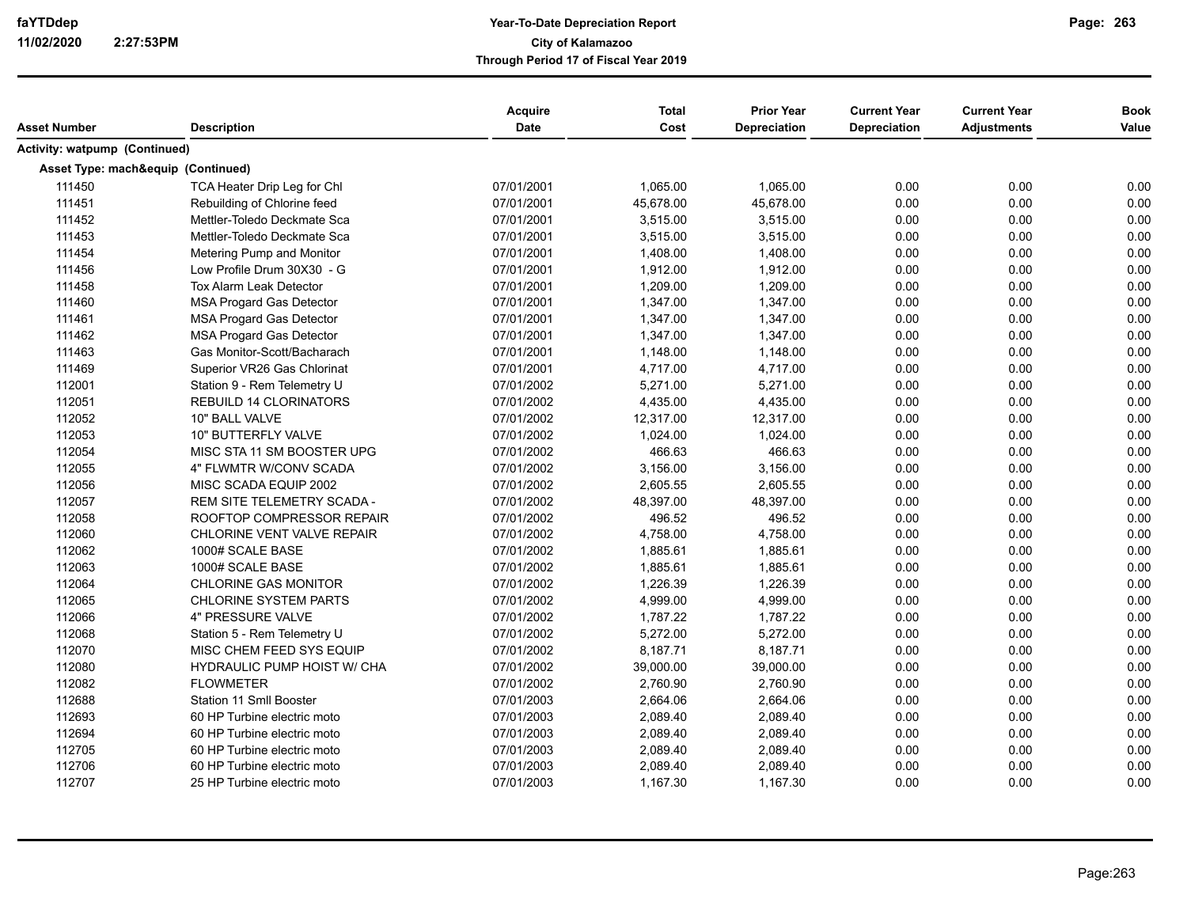| Asset Number                  | <b>Description</b>                 | <b>Acquire</b><br><b>Date</b> | <b>Total</b><br>Cost | <b>Prior Year</b><br><b>Depreciation</b> | <b>Current Year</b><br>Depreciation | <b>Current Year</b><br><b>Adjustments</b> | <b>Book</b><br>Value |
|-------------------------------|------------------------------------|-------------------------------|----------------------|------------------------------------------|-------------------------------------|-------------------------------------------|----------------------|
|                               |                                    |                               |                      |                                          |                                     |                                           |                      |
| Activity: watpump (Continued) |                                    |                               |                      |                                          |                                     |                                           |                      |
|                               | Asset Type: mach&equip (Continued) |                               |                      |                                          |                                     |                                           |                      |
| 111450                        | TCA Heater Drip Leg for Chl        | 07/01/2001                    | 1,065.00             | 1,065.00                                 | 0.00                                | 0.00                                      | 0.00                 |
| 111451                        | Rebuilding of Chlorine feed        | 07/01/2001                    | 45,678.00            | 45,678.00                                | 0.00                                | 0.00                                      | 0.00                 |
| 111452                        | Mettler-Toledo Deckmate Sca        | 07/01/2001                    | 3,515.00             | 3.515.00                                 | 0.00                                | 0.00                                      | 0.00                 |
| 111453                        | Mettler-Toledo Deckmate Sca        | 07/01/2001                    | 3,515.00             | 3,515.00                                 | 0.00                                | 0.00                                      | 0.00                 |
| 111454                        | Metering Pump and Monitor          | 07/01/2001                    | 1,408.00             | 1,408.00                                 | 0.00                                | 0.00                                      | 0.00                 |
| 111456                        | Low Profile Drum 30X30 - G         | 07/01/2001                    | 1,912.00             | 1,912.00                                 | 0.00                                | 0.00                                      | 0.00                 |
| 111458                        | <b>Tox Alarm Leak Detector</b>     | 07/01/2001                    | 1,209.00             | 1,209.00                                 | 0.00                                | 0.00                                      | 0.00                 |
| 111460                        | <b>MSA Progard Gas Detector</b>    | 07/01/2001                    | 1,347.00             | 1,347.00                                 | 0.00                                | 0.00                                      | 0.00                 |
| 111461                        | <b>MSA Progard Gas Detector</b>    | 07/01/2001                    | 1,347.00             | 1,347.00                                 | 0.00                                | 0.00                                      | 0.00                 |
| 111462                        | <b>MSA Progard Gas Detector</b>    | 07/01/2001                    | 1,347.00             | 1,347.00                                 | 0.00                                | 0.00                                      | 0.00                 |
| 111463                        | Gas Monitor-Scott/Bacharach        | 07/01/2001                    | 1,148.00             | 1,148.00                                 | 0.00                                | 0.00                                      | 0.00                 |
| 111469                        | Superior VR26 Gas Chlorinat        | 07/01/2001                    | 4,717.00             | 4,717.00                                 | 0.00                                | 0.00                                      | 0.00                 |
| 112001                        | Station 9 - Rem Telemetry U        | 07/01/2002                    | 5,271.00             | 5,271.00                                 | 0.00                                | 0.00                                      | 0.00                 |
| 112051                        | REBUILD 14 CLORINATORS             | 07/01/2002                    | 4,435.00             | 4,435.00                                 | 0.00                                | 0.00                                      | 0.00                 |
| 112052                        | 10" BALL VALVE                     | 07/01/2002                    | 12,317.00            | 12,317.00                                | 0.00                                | 0.00                                      | 0.00                 |
| 112053                        | 10" BUTTERFLY VALVE                | 07/01/2002                    | 1,024.00             | 1,024.00                                 | 0.00                                | 0.00                                      | 0.00                 |
| 112054                        | MISC STA 11 SM BOOSTER UPG         | 07/01/2002                    | 466.63               | 466.63                                   | 0.00                                | 0.00                                      | 0.00                 |
| 112055                        | 4" FLWMTR W/CONV SCADA             | 07/01/2002                    | 3,156.00             | 3,156.00                                 | 0.00                                | 0.00                                      | 0.00                 |
| 112056                        | MISC SCADA EQUIP 2002              | 07/01/2002                    | 2,605.55             | 2,605.55                                 | 0.00                                | 0.00                                      | 0.00                 |
| 112057                        | REM SITE TELEMETRY SCADA -         | 07/01/2002                    | 48,397.00            | 48,397.00                                | 0.00                                | 0.00                                      | 0.00                 |
| 112058                        | ROOFTOP COMPRESSOR REPAIR          | 07/01/2002                    | 496.52               | 496.52                                   | 0.00                                | 0.00                                      | 0.00                 |
| 112060                        | CHLORINE VENT VALVE REPAIR         | 07/01/2002                    | 4,758.00             | 4,758.00                                 | 0.00                                | 0.00                                      | 0.00                 |
| 112062                        | 1000# SCALE BASE                   | 07/01/2002                    | 1,885.61             | 1,885.61                                 | 0.00                                | 0.00                                      | 0.00                 |
| 112063                        | 1000# SCALE BASE                   | 07/01/2002                    | 1,885.61             | 1,885.61                                 | 0.00                                | 0.00                                      | 0.00                 |
| 112064                        | <b>CHLORINE GAS MONITOR</b>        | 07/01/2002                    | 1,226.39             | 1,226.39                                 | 0.00                                | 0.00                                      | 0.00                 |
| 112065                        | <b>CHLORINE SYSTEM PARTS</b>       | 07/01/2002                    | 4,999.00             | 4,999.00                                 | 0.00                                | 0.00                                      | 0.00                 |
| 112066                        | 4" PRESSURE VALVE                  | 07/01/2002                    | 1,787.22             | 1,787.22                                 | 0.00                                | 0.00                                      | 0.00                 |
| 112068                        | Station 5 - Rem Telemetry U        | 07/01/2002                    | 5,272.00             | 5,272.00                                 | 0.00                                | 0.00                                      | 0.00                 |
| 112070                        | MISC CHEM FEED SYS EQUIP           | 07/01/2002                    | 8,187.71             | 8,187.71                                 | 0.00                                | 0.00                                      | 0.00                 |
| 112080                        | HYDRAULIC PUMP HOIST W/ CHA        | 07/01/2002                    | 39,000.00            | 39,000.00                                | 0.00                                | 0.00                                      | 0.00                 |
| 112082                        | <b>FLOWMETER</b>                   | 07/01/2002                    | 2,760.90             | 2,760.90                                 | 0.00                                | 0.00                                      | 0.00                 |
| 112688                        | <b>Station 11 Smll Booster</b>     | 07/01/2003                    | 2,664.06             | 2,664.06                                 | 0.00                                | 0.00                                      | 0.00                 |
| 112693                        | 60 HP Turbine electric moto        | 07/01/2003                    | 2,089.40             | 2,089.40                                 | 0.00                                | 0.00                                      | 0.00                 |
| 112694                        | 60 HP Turbine electric moto        | 07/01/2003                    | 2,089.40             | 2,089.40                                 | 0.00                                | 0.00                                      | 0.00                 |
| 112705                        | 60 HP Turbine electric moto        | 07/01/2003                    | 2,089.40             | 2,089.40                                 | 0.00                                | 0.00                                      | 0.00                 |
| 112706                        | 60 HP Turbine electric moto        | 07/01/2003                    | 2,089.40             | 2,089.40                                 | 0.00                                | 0.00                                      | 0.00                 |
| 112707                        | 25 HP Turbine electric moto        | 07/01/2003                    | 1,167.30             | 1,167.30                                 | 0.00                                | 0.00                                      | 0.00                 |
|                               |                                    |                               |                      |                                          |                                     |                                           |                      |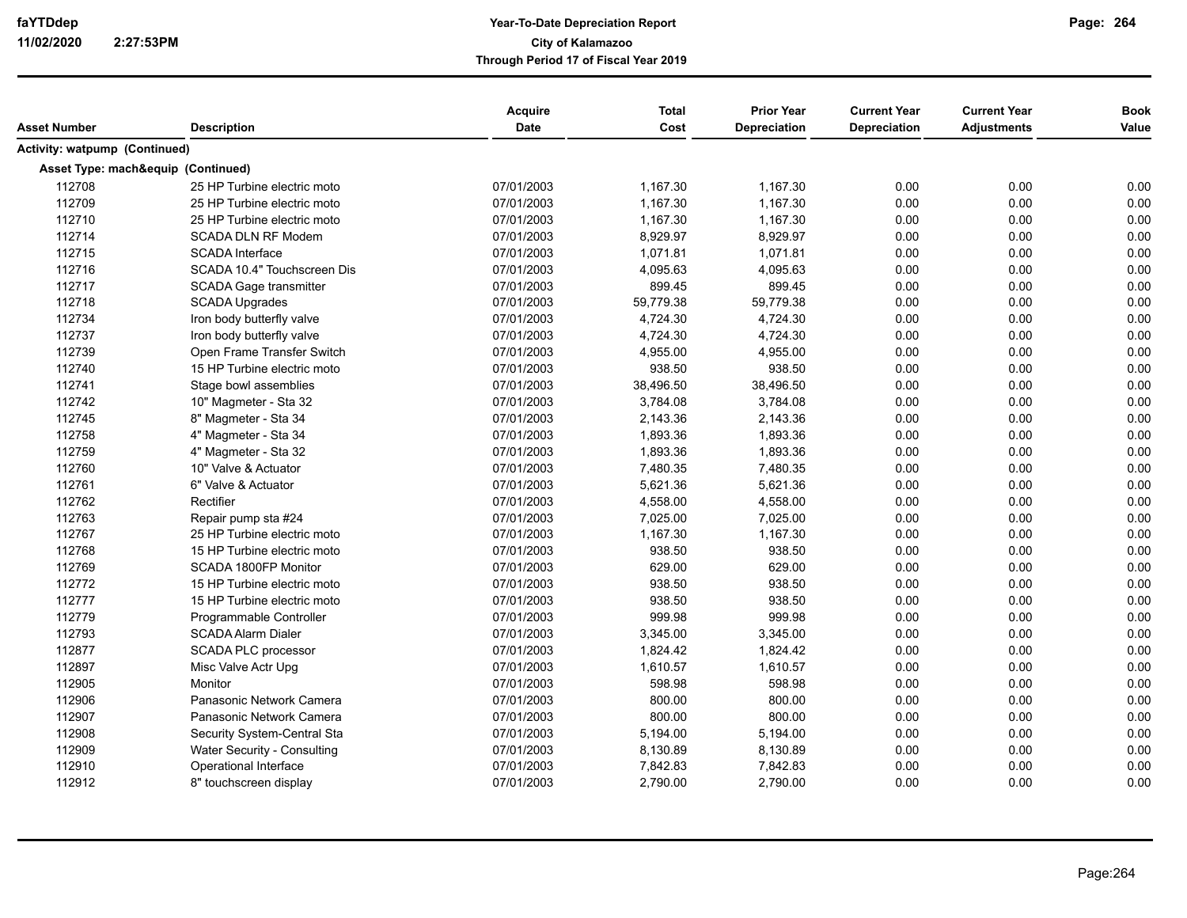|                               |                                    | Acquire     | <b>Total</b> | <b>Prior Year</b>   | <b>Current Year</b> | <b>Current Year</b> | <b>Book</b> |
|-------------------------------|------------------------------------|-------------|--------------|---------------------|---------------------|---------------------|-------------|
| Asset Number                  | <b>Description</b>                 | <b>Date</b> | Cost         | <b>Depreciation</b> | Depreciation        | <b>Adjustments</b>  | Value       |
| Activity: watpump (Continued) |                                    |             |              |                     |                     |                     |             |
|                               | Asset Type: mach&equip (Continued) |             |              |                     |                     |                     |             |
| 112708                        | 25 HP Turbine electric moto        | 07/01/2003  | 1,167.30     | 1,167.30            | 0.00                | 0.00                | 0.00        |
| 112709                        | 25 HP Turbine electric moto        | 07/01/2003  | 1,167.30     | 1,167.30            | 0.00                | 0.00                | 0.00        |
| 112710                        | 25 HP Turbine electric moto        | 07/01/2003  | 1,167.30     | 1,167.30            | 0.00                | 0.00                | 0.00        |
| 112714                        | SCADA DLN RF Modem                 | 07/01/2003  | 8,929.97     | 8,929.97            | 0.00                | 0.00                | 0.00        |
| 112715                        | <b>SCADA</b> Interface             | 07/01/2003  | 1,071.81     | 1,071.81            | 0.00                | 0.00                | 0.00        |
| 112716                        | SCADA 10.4" Touchscreen Dis        | 07/01/2003  | 4,095.63     | 4,095.63            | 0.00                | 0.00                | 0.00        |
| 112717                        | <b>SCADA Gage transmitter</b>      | 07/01/2003  | 899.45       | 899.45              | 0.00                | 0.00                | 0.00        |
| 112718                        | <b>SCADA Upgrades</b>              | 07/01/2003  | 59,779.38    | 59,779.38           | 0.00                | 0.00                | 0.00        |
| 112734                        | Iron body butterfly valve          | 07/01/2003  | 4,724.30     | 4,724.30            | 0.00                | 0.00                | 0.00        |
| 112737                        | Iron body butterfly valve          | 07/01/2003  | 4,724.30     | 4,724.30            | 0.00                | 0.00                | 0.00        |
| 112739                        | Open Frame Transfer Switch         | 07/01/2003  | 4,955.00     | 4,955.00            | 0.00                | 0.00                | 0.00        |
| 112740                        | 15 HP Turbine electric moto        | 07/01/2003  | 938.50       | 938.50              | 0.00                | 0.00                | 0.00        |
| 112741                        | Stage bowl assemblies              | 07/01/2003  | 38,496.50    | 38,496.50           | 0.00                | 0.00                | 0.00        |
| 112742                        | 10" Magmeter - Sta 32              | 07/01/2003  | 3,784.08     | 3,784.08            | 0.00                | 0.00                | 0.00        |
| 112745                        | 8" Magmeter - Sta 34               | 07/01/2003  | 2,143.36     | 2,143.36            | 0.00                | 0.00                | 0.00        |
| 112758                        | 4" Magmeter - Sta 34               | 07/01/2003  | 1,893.36     | 1,893.36            | 0.00                | 0.00                | 0.00        |
| 112759                        | 4" Magmeter - Sta 32               | 07/01/2003  | 1,893.36     | 1,893.36            | 0.00                | 0.00                | 0.00        |
| 112760                        | 10" Valve & Actuator               | 07/01/2003  | 7,480.35     | 7,480.35            | 0.00                | 0.00                | 0.00        |
| 112761                        | 6" Valve & Actuator                | 07/01/2003  | 5,621.36     | 5,621.36            | 0.00                | 0.00                | 0.00        |
| 112762                        | Rectifier                          | 07/01/2003  | 4,558.00     | 4,558.00            | 0.00                | 0.00                | 0.00        |
| 112763                        | Repair pump sta #24                | 07/01/2003  | 7,025.00     | 7,025.00            | 0.00                | 0.00                | 0.00        |
| 112767                        | 25 HP Turbine electric moto        | 07/01/2003  | 1,167.30     | 1,167.30            | 0.00                | 0.00                | 0.00        |
| 112768                        | 15 HP Turbine electric moto        | 07/01/2003  | 938.50       | 938.50              | 0.00                | 0.00                | 0.00        |
| 112769                        | SCADA 1800FP Monitor               | 07/01/2003  | 629.00       | 629.00              | 0.00                | 0.00                | 0.00        |
| 112772                        | 15 HP Turbine electric moto        | 07/01/2003  | 938.50       | 938.50              | 0.00                | 0.00                | 0.00        |
| 112777                        | 15 HP Turbine electric moto        | 07/01/2003  | 938.50       | 938.50              | 0.00                | 0.00                | 0.00        |
| 112779                        | Programmable Controller            | 07/01/2003  | 999.98       | 999.98              | 0.00                | 0.00                | 0.00        |
| 112793                        | <b>SCADA Alarm Dialer</b>          | 07/01/2003  | 3,345.00     | 3,345.00            | 0.00                | 0.00                | 0.00        |
| 112877                        | SCADA PLC processor                | 07/01/2003  | 1,824.42     | 1,824.42            | 0.00                | 0.00                | 0.00        |
| 112897                        | Misc Valve Actr Upg                | 07/01/2003  | 1,610.57     | 1,610.57            | 0.00                | 0.00                | 0.00        |
| 112905                        | Monitor                            | 07/01/2003  | 598.98       | 598.98              | 0.00                | 0.00                | 0.00        |
| 112906                        | Panasonic Network Camera           | 07/01/2003  | 800.00       | 800.00              | 0.00                | 0.00                | 0.00        |
| 112907                        | Panasonic Network Camera           | 07/01/2003  | 800.00       | 800.00              | 0.00                | 0.00                | 0.00        |
| 112908                        | Security System-Central Sta        | 07/01/2003  | 5,194.00     | 5,194.00            | 0.00                | 0.00                | 0.00        |
| 112909                        | Water Security - Consulting        | 07/01/2003  | 8,130.89     | 8,130.89            | 0.00                | 0.00                | 0.00        |
| 112910                        | Operational Interface              | 07/01/2003  | 7,842.83     | 7,842.83            | 0.00                | 0.00                | 0.00        |
| 112912                        | 8" touchscreen display             | 07/01/2003  | 2,790.00     | 2,790.00            | 0.00                | 0.00                | 0.00        |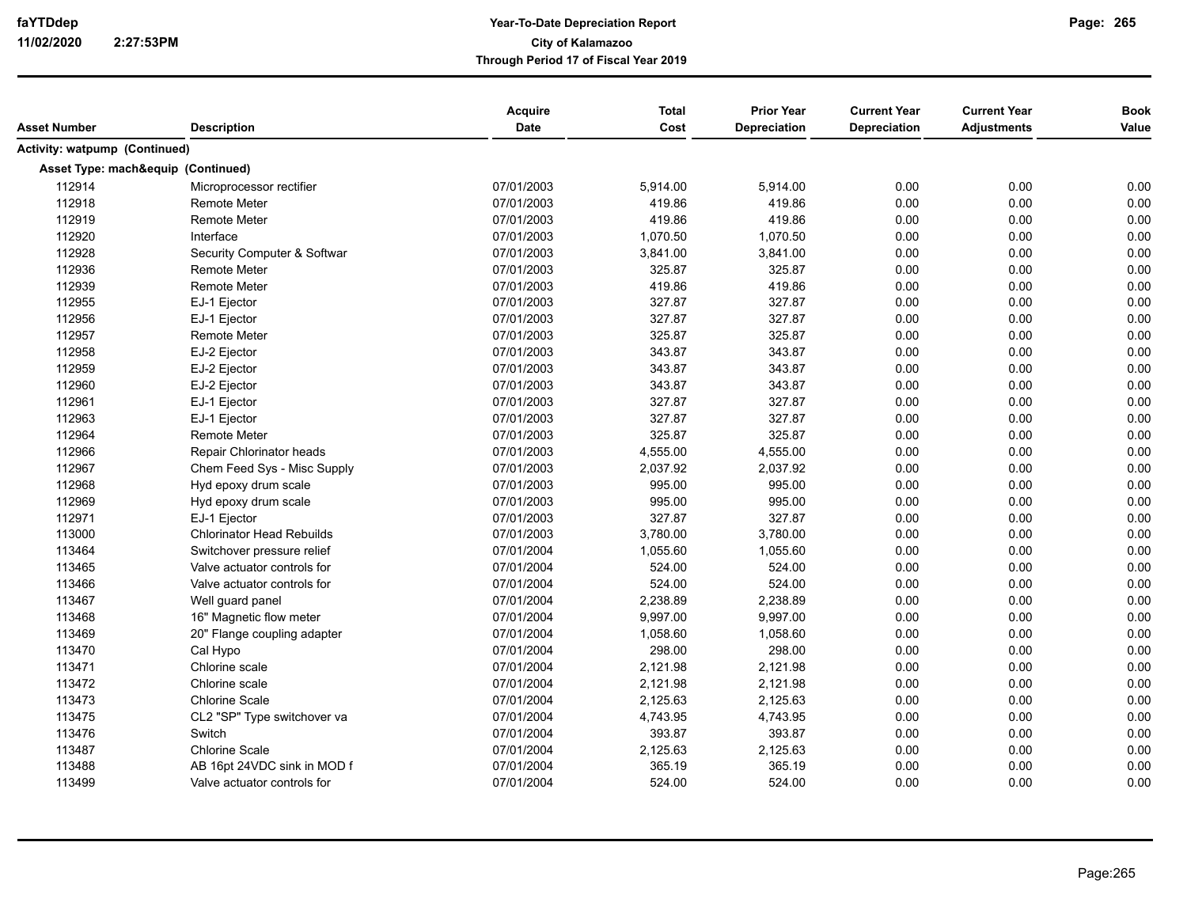|                                      |                                    | Acquire    | <b>Total</b> | <b>Prior Year</b>   | <b>Current Year</b> | <b>Current Year</b> | <b>Book</b> |
|--------------------------------------|------------------------------------|------------|--------------|---------------------|---------------------|---------------------|-------------|
| Asset Number                         | <b>Description</b>                 | Date       | Cost         | <b>Depreciation</b> | <b>Depreciation</b> | <b>Adjustments</b>  | Value       |
| <b>Activity: watpump (Continued)</b> |                                    |            |              |                     |                     |                     |             |
|                                      | Asset Type: mach&equip (Continued) |            |              |                     |                     |                     |             |
| 112914                               | Microprocessor rectifier           | 07/01/2003 | 5,914.00     | 5,914.00            | 0.00                | 0.00                | 0.00        |
| 112918                               | <b>Remote Meter</b>                | 07/01/2003 | 419.86       | 419.86              | 0.00                | 0.00                | 0.00        |
| 112919                               | <b>Remote Meter</b>                | 07/01/2003 | 419.86       | 419.86              | 0.00                | 0.00                | 0.00        |
| 112920                               | Interface                          | 07/01/2003 | 1,070.50     | 1,070.50            | 0.00                | 0.00                | 0.00        |
| 112928                               | Security Computer & Softwar        | 07/01/2003 | 3,841.00     | 3,841.00            | 0.00                | 0.00                | 0.00        |
| 112936                               | <b>Remote Meter</b>                | 07/01/2003 | 325.87       | 325.87              | 0.00                | 0.00                | 0.00        |
| 112939                               | <b>Remote Meter</b>                | 07/01/2003 | 419.86       | 419.86              | 0.00                | 0.00                | 0.00        |
| 112955                               | EJ-1 Ejector                       | 07/01/2003 | 327.87       | 327.87              | 0.00                | 0.00                | 0.00        |
| 112956                               | EJ-1 Ejector                       | 07/01/2003 | 327.87       | 327.87              | 0.00                | 0.00                | 0.00        |
| 112957                               | <b>Remote Meter</b>                | 07/01/2003 | 325.87       | 325.87              | 0.00                | 0.00                | 0.00        |
| 112958                               | EJ-2 Ejector                       | 07/01/2003 | 343.87       | 343.87              | 0.00                | 0.00                | 0.00        |
| 112959                               | EJ-2 Ejector                       | 07/01/2003 | 343.87       | 343.87              | 0.00                | 0.00                | 0.00        |
| 112960                               | EJ-2 Ejector                       | 07/01/2003 | 343.87       | 343.87              | 0.00                | 0.00                | 0.00        |
| 112961                               | EJ-1 Ejector                       | 07/01/2003 | 327.87       | 327.87              | 0.00                | 0.00                | 0.00        |
| 112963                               | EJ-1 Ejector                       | 07/01/2003 | 327.87       | 327.87              | 0.00                | 0.00                | 0.00        |
| 112964                               | <b>Remote Meter</b>                | 07/01/2003 | 325.87       | 325.87              | 0.00                | 0.00                | 0.00        |
| 112966                               | Repair Chlorinator heads           | 07/01/2003 | 4,555.00     | 4,555.00            | 0.00                | 0.00                | 0.00        |
| 112967                               | Chem Feed Sys - Misc Supply        | 07/01/2003 | 2,037.92     | 2,037.92            | 0.00                | 0.00                | 0.00        |
| 112968                               | Hyd epoxy drum scale               | 07/01/2003 | 995.00       | 995.00              | 0.00                | 0.00                | 0.00        |
| 112969                               | Hyd epoxy drum scale               | 07/01/2003 | 995.00       | 995.00              | 0.00                | 0.00                | 0.00        |
| 112971                               | EJ-1 Ejector                       | 07/01/2003 | 327.87       | 327.87              | 0.00                | 0.00                | 0.00        |
| 113000                               | <b>Chlorinator Head Rebuilds</b>   | 07/01/2003 | 3,780.00     | 3,780.00            | 0.00                | 0.00                | 0.00        |
| 113464                               | Switchover pressure relief         | 07/01/2004 | 1,055.60     | 1,055.60            | 0.00                | 0.00                | 0.00        |
| 113465                               | Valve actuator controls for        | 07/01/2004 | 524.00       | 524.00              | 0.00                | 0.00                | 0.00        |
| 113466                               | Valve actuator controls for        | 07/01/2004 | 524.00       | 524.00              | 0.00                | 0.00                | 0.00        |
| 113467                               | Well guard panel                   | 07/01/2004 | 2,238.89     | 2,238.89            | 0.00                | 0.00                | 0.00        |
| 113468                               | 16" Magnetic flow meter            | 07/01/2004 | 9,997.00     | 9,997.00            | 0.00                | 0.00                | 0.00        |
| 113469                               | 20" Flange coupling adapter        | 07/01/2004 | 1,058.60     | 1,058.60            | 0.00                | 0.00                | 0.00        |
| 113470                               | Cal Hypo                           | 07/01/2004 | 298.00       | 298.00              | 0.00                | 0.00                | 0.00        |
| 113471                               | Chlorine scale                     | 07/01/2004 | 2,121.98     | 2,121.98            | 0.00                | 0.00                | 0.00        |
| 113472                               | Chlorine scale                     | 07/01/2004 | 2,121.98     | 2,121.98            | 0.00                | 0.00                | 0.00        |
| 113473                               | <b>Chlorine Scale</b>              | 07/01/2004 | 2,125.63     | 2,125.63            | 0.00                | 0.00                | 0.00        |
| 113475                               | CL2 "SP" Type switchover va        | 07/01/2004 | 4,743.95     | 4,743.95            | 0.00                | 0.00                | 0.00        |
| 113476                               | Switch                             | 07/01/2004 | 393.87       | 393.87              | 0.00                | 0.00                | 0.00        |
| 113487                               | <b>Chlorine Scale</b>              | 07/01/2004 | 2,125.63     | 2,125.63            | 0.00                | 0.00                | 0.00        |
| 113488                               | AB 16pt 24VDC sink in MOD f        | 07/01/2004 | 365.19       | 365.19              | 0.00                | 0.00                | 0.00        |
| 113499                               | Valve actuator controls for        | 07/01/2004 | 524.00       | 524.00              | 0.00                | 0.00                | 0.00        |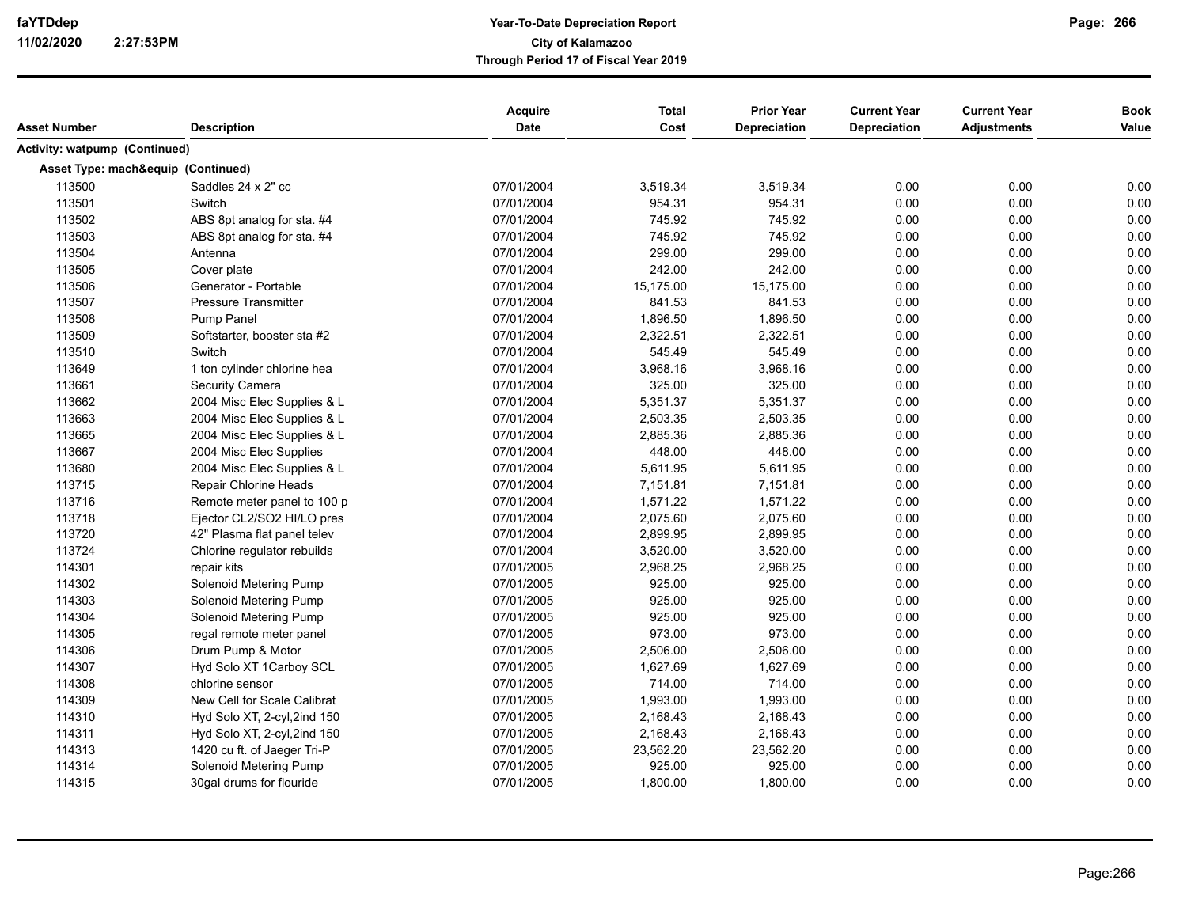|                               |                                    | Acquire    | <b>Total</b> | <b>Prior Year</b>   | <b>Current Year</b> | <b>Current Year</b> | <b>Book</b> |
|-------------------------------|------------------------------------|------------|--------------|---------------------|---------------------|---------------------|-------------|
| Asset Number                  | <b>Description</b>                 | Date       | Cost         | <b>Depreciation</b> | <b>Depreciation</b> | Adjustments         | Value       |
| Activity: watpump (Continued) |                                    |            |              |                     |                     |                     |             |
|                               | Asset Type: mach&equip (Continued) |            |              |                     |                     |                     |             |
| 113500                        | Saddles 24 x 2" cc                 | 07/01/2004 | 3,519.34     | 3,519.34            | 0.00                | 0.00                | 0.00        |
| 113501                        | Switch                             | 07/01/2004 | 954.31       | 954.31              | 0.00                | 0.00                | 0.00        |
| 113502                        | ABS 8pt analog for sta. #4         | 07/01/2004 | 745.92       | 745.92              | 0.00                | 0.00                | 0.00        |
| 113503                        | ABS 8pt analog for sta. #4         | 07/01/2004 | 745.92       | 745.92              | 0.00                | 0.00                | 0.00        |
| 113504                        | Antenna                            | 07/01/2004 | 299.00       | 299.00              | 0.00                | 0.00                | 0.00        |
| 113505                        | Cover plate                        | 07/01/2004 | 242.00       | 242.00              | 0.00                | 0.00                | 0.00        |
| 113506                        | Generator - Portable               | 07/01/2004 | 15,175.00    | 15,175.00           | 0.00                | 0.00                | 0.00        |
| 113507                        | <b>Pressure Transmitter</b>        | 07/01/2004 | 841.53       | 841.53              | 0.00                | 0.00                | 0.00        |
| 113508                        | Pump Panel                         | 07/01/2004 | 1,896.50     | 1,896.50            | 0.00                | 0.00                | 0.00        |
| 113509                        | Softstarter, booster sta #2        | 07/01/2004 | 2,322.51     | 2,322.51            | 0.00                | 0.00                | 0.00        |
| 113510                        | Switch                             | 07/01/2004 | 545.49       | 545.49              | 0.00                | 0.00                | 0.00        |
| 113649                        | 1 ton cylinder chlorine hea        | 07/01/2004 | 3,968.16     | 3,968.16            | 0.00                | 0.00                | 0.00        |
| 113661                        | Security Camera                    | 07/01/2004 | 325.00       | 325.00              | 0.00                | 0.00                | 0.00        |
| 113662                        | 2004 Misc Elec Supplies & L        | 07/01/2004 | 5,351.37     | 5,351.37            | 0.00                | 0.00                | 0.00        |
| 113663                        | 2004 Misc Elec Supplies & L        | 07/01/2004 | 2,503.35     | 2,503.35            | 0.00                | 0.00                | 0.00        |
| 113665                        | 2004 Misc Elec Supplies & L        | 07/01/2004 | 2,885.36     | 2,885.36            | 0.00                | 0.00                | 0.00        |
| 113667                        | 2004 Misc Elec Supplies            | 07/01/2004 | 448.00       | 448.00              | 0.00                | 0.00                | 0.00        |
| 113680                        | 2004 Misc Elec Supplies & L        | 07/01/2004 | 5,611.95     | 5,611.95            | 0.00                | 0.00                | 0.00        |
| 113715                        | Repair Chlorine Heads              | 07/01/2004 | 7,151.81     | 7,151.81            | 0.00                | 0.00                | 0.00        |
| 113716                        | Remote meter panel to 100 p        | 07/01/2004 | 1,571.22     | 1,571.22            | 0.00                | 0.00                | 0.00        |
| 113718                        | Ejector CL2/SO2 HI/LO pres         | 07/01/2004 | 2,075.60     | 2,075.60            | 0.00                | 0.00                | 0.00        |
| 113720                        | 42" Plasma flat panel telev        | 07/01/2004 | 2,899.95     | 2,899.95            | 0.00                | 0.00                | 0.00        |
| 113724                        | Chlorine regulator rebuilds        | 07/01/2004 | 3,520.00     | 3,520.00            | 0.00                | 0.00                | 0.00        |
| 114301                        | repair kits                        | 07/01/2005 | 2,968.25     | 2,968.25            | 0.00                | 0.00                | 0.00        |
| 114302                        | Solenoid Metering Pump             | 07/01/2005 | 925.00       | 925.00              | 0.00                | 0.00                | 0.00        |
| 114303                        | Solenoid Metering Pump             | 07/01/2005 | 925.00       | 925.00              | 0.00                | 0.00                | 0.00        |
| 114304                        | Solenoid Metering Pump             | 07/01/2005 | 925.00       | 925.00              | 0.00                | 0.00                | 0.00        |
| 114305                        | regal remote meter panel           | 07/01/2005 | 973.00       | 973.00              | 0.00                | 0.00                | 0.00        |
| 114306                        | Drum Pump & Motor                  | 07/01/2005 | 2,506.00     | 2,506.00            | 0.00                | 0.00                | 0.00        |
| 114307                        | Hyd Solo XT 1Carboy SCL            | 07/01/2005 | 1,627.69     | 1,627.69            | 0.00                | 0.00                | 0.00        |
| 114308                        | chlorine sensor                    | 07/01/2005 | 714.00       | 714.00              | 0.00                | 0.00                | 0.00        |
| 114309                        | New Cell for Scale Calibrat        | 07/01/2005 | 1,993.00     | 1,993.00            | 0.00                | 0.00                | 0.00        |
| 114310                        | Hyd Solo XT, 2-cyl, 2ind 150       | 07/01/2005 | 2,168.43     | 2,168.43            | 0.00                | 0.00                | 0.00        |
| 114311                        | Hyd Solo XT, 2-cyl, 2ind 150       | 07/01/2005 | 2,168.43     | 2,168.43            | 0.00                | 0.00                | 0.00        |
| 114313                        | 1420 cu ft. of Jaeger Tri-P        | 07/01/2005 | 23,562.20    | 23,562.20           | 0.00                | 0.00                | 0.00        |
| 114314                        | Solenoid Metering Pump             | 07/01/2005 | 925.00       | 925.00              | 0.00                | 0.00                | 0.00        |
| 114315                        | 30gal drums for flouride           | 07/01/2005 | 1,800.00     | 1,800.00            | 0.00                | 0.00                | 0.00        |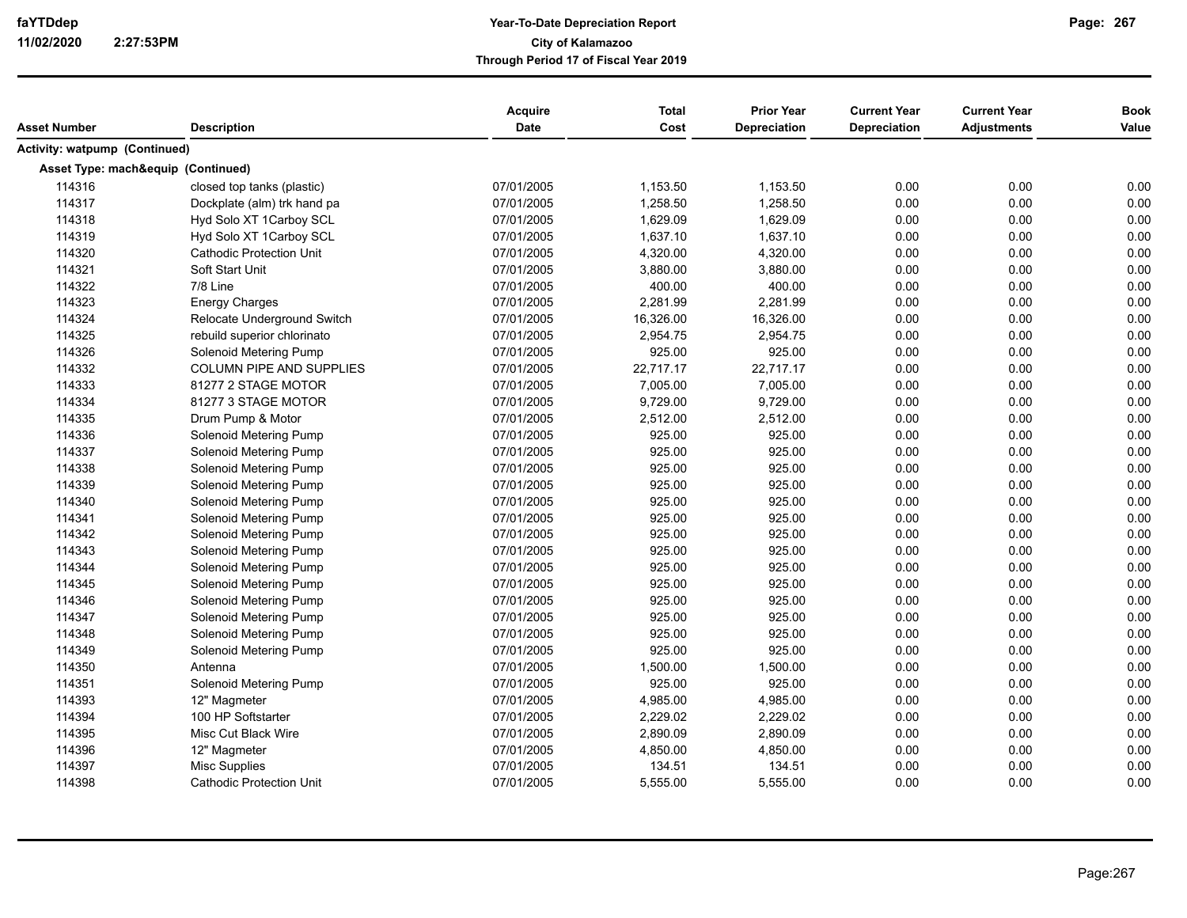| Asset Number                  | <b>Description</b>                 | Acquire<br><b>Date</b> | <b>Total</b><br>Cost | <b>Prior Year</b><br>Depreciation | <b>Current Year</b><br>Depreciation | <b>Current Year</b><br><b>Adjustments</b> | <b>Book</b><br>Value |
|-------------------------------|------------------------------------|------------------------|----------------------|-----------------------------------|-------------------------------------|-------------------------------------------|----------------------|
|                               |                                    |                        |                      |                                   |                                     |                                           |                      |
| Activity: watpump (Continued) |                                    |                        |                      |                                   |                                     |                                           |                      |
|                               | Asset Type: mach&equip (Continued) |                        |                      |                                   |                                     |                                           |                      |
| 114316                        | closed top tanks (plastic)         | 07/01/2005             | 1,153.50             | 1,153.50                          | 0.00                                | 0.00                                      | 0.00                 |
| 114317                        | Dockplate (alm) trk hand pa        | 07/01/2005             | 1,258.50             | 1,258.50                          | 0.00                                | 0.00                                      | 0.00                 |
| 114318                        | Hyd Solo XT 1Carboy SCL            | 07/01/2005             | 1,629.09             | 1,629.09                          | 0.00                                | 0.00                                      | 0.00                 |
| 114319                        | Hyd Solo XT 1Carboy SCL            | 07/01/2005             | 1,637.10             | 1,637.10                          | 0.00                                | 0.00                                      | 0.00                 |
| 114320                        | <b>Cathodic Protection Unit</b>    | 07/01/2005             | 4,320.00             | 4,320.00                          | 0.00                                | 0.00                                      | 0.00                 |
| 114321                        | Soft Start Unit                    | 07/01/2005             | 3,880.00             | 3,880.00                          | 0.00                                | 0.00                                      | 0.00                 |
| 114322                        | 7/8 Line                           | 07/01/2005             | 400.00               | 400.00                            | 0.00                                | 0.00                                      | 0.00                 |
| 114323                        | <b>Energy Charges</b>              | 07/01/2005             | 2,281.99             | 2,281.99                          | 0.00                                | 0.00                                      | 0.00                 |
| 114324                        | Relocate Underground Switch        | 07/01/2005             | 16,326.00            | 16,326.00                         | 0.00                                | 0.00                                      | 0.00                 |
| 114325                        | rebuild superior chlorinato        | 07/01/2005             | 2,954.75             | 2,954.75                          | 0.00                                | 0.00                                      | 0.00                 |
| 114326                        | Solenoid Metering Pump             | 07/01/2005             | 925.00               | 925.00                            | 0.00                                | 0.00                                      | 0.00                 |
| 114332                        | <b>COLUMN PIPE AND SUPPLIES</b>    | 07/01/2005             | 22,717.17            | 22,717.17                         | 0.00                                | 0.00                                      | 0.00                 |
| 114333                        | 81277 2 STAGE MOTOR                | 07/01/2005             | 7,005.00             | 7,005.00                          | 0.00                                | 0.00                                      | 0.00                 |
| 114334                        | 81277 3 STAGE MOTOR                | 07/01/2005             | 9,729.00             | 9,729.00                          | 0.00                                | 0.00                                      | 0.00                 |
| 114335                        | Drum Pump & Motor                  | 07/01/2005             | 2,512.00             | 2,512.00                          | 0.00                                | 0.00                                      | 0.00                 |
| 114336                        | Solenoid Metering Pump             | 07/01/2005             | 925.00               | 925.00                            | 0.00                                | 0.00                                      | 0.00                 |
| 114337                        | Solenoid Metering Pump             | 07/01/2005             | 925.00               | 925.00                            | 0.00                                | 0.00                                      | 0.00                 |
| 114338                        | Solenoid Metering Pump             | 07/01/2005             | 925.00               | 925.00                            | 0.00                                | 0.00                                      | 0.00                 |
| 114339                        | Solenoid Metering Pump             | 07/01/2005             | 925.00               | 925.00                            | 0.00                                | 0.00                                      | 0.00                 |
| 114340                        | Solenoid Metering Pump             | 07/01/2005             | 925.00               | 925.00                            | 0.00                                | 0.00                                      | 0.00                 |
| 114341                        | Solenoid Metering Pump             | 07/01/2005             | 925.00               | 925.00                            | 0.00                                | 0.00                                      | 0.00                 |
| 114342                        | Solenoid Metering Pump             | 07/01/2005             | 925.00               | 925.00                            | 0.00                                | 0.00                                      | 0.00                 |
| 114343                        | Solenoid Metering Pump             | 07/01/2005             | 925.00               | 925.00                            | 0.00                                | 0.00                                      | 0.00                 |
| 114344                        | Solenoid Metering Pump             | 07/01/2005             | 925.00               | 925.00                            | 0.00                                | 0.00                                      | 0.00                 |
| 114345                        | Solenoid Metering Pump             | 07/01/2005             | 925.00               | 925.00                            | 0.00                                | 0.00                                      | 0.00                 |
| 114346                        | Solenoid Metering Pump             | 07/01/2005             | 925.00               | 925.00                            | 0.00                                | 0.00                                      | 0.00                 |
| 114347                        | Solenoid Metering Pump             | 07/01/2005             | 925.00               | 925.00                            | 0.00                                | 0.00                                      | 0.00                 |
| 114348                        | Solenoid Metering Pump             | 07/01/2005             | 925.00               | 925.00                            | 0.00                                | 0.00                                      | 0.00                 |
| 114349                        | Solenoid Metering Pump             | 07/01/2005             | 925.00               | 925.00                            | 0.00                                | 0.00                                      | 0.00                 |
| 114350                        | Antenna                            | 07/01/2005             | 1,500.00             | 1,500.00                          | 0.00                                | 0.00                                      | 0.00                 |
| 114351                        | Solenoid Metering Pump             | 07/01/2005             | 925.00               | 925.00                            | 0.00                                | 0.00                                      | 0.00                 |
| 114393                        | 12" Magmeter                       | 07/01/2005             | 4,985.00             | 4,985.00                          | 0.00                                | 0.00                                      | 0.00                 |
| 114394                        | 100 HP Softstarter                 | 07/01/2005             | 2,229.02             | 2,229.02                          | 0.00                                | 0.00                                      | 0.00                 |
| 114395                        | Misc Cut Black Wire                | 07/01/2005             | 2,890.09             | 2,890.09                          | 0.00                                | 0.00                                      | 0.00                 |
| 114396                        | 12" Magmeter                       | 07/01/2005             | 4,850.00             | 4,850.00                          | 0.00                                | 0.00                                      | 0.00                 |
| 114397                        | Misc Supplies                      | 07/01/2005             | 134.51               | 134.51                            | 0.00                                | 0.00                                      | 0.00                 |
| 114398                        | <b>Cathodic Protection Unit</b>    | 07/01/2005             | 5,555.00             | 5,555.00                          | 0.00                                | 0.00                                      | 0.00                 |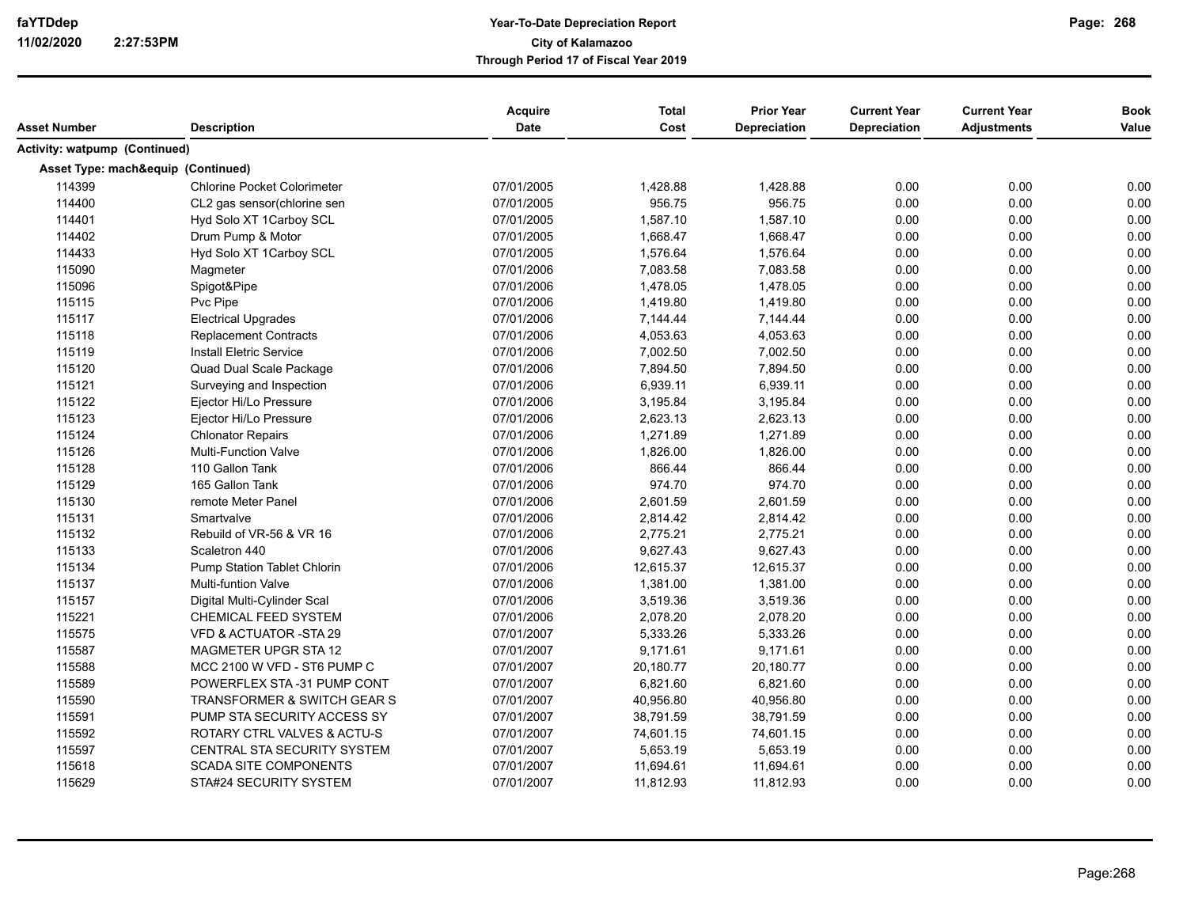| <b>Activity: watpump (Continued)</b><br>Asset Type: mach&equip (Continued)<br>07/01/2005<br>0.00<br>114399<br><b>Chlorine Pocket Colorimeter</b><br>1,428.88<br>1,428.88<br>0.00<br>0.00<br>114400<br>07/01/2005<br>956.75<br>956.75<br>0.00<br>0.00<br>CL2 gas sensor(chlorine sen<br>0.00<br>1,587.10<br>1,587.10<br>0.00<br>0.00<br>114401<br>Hyd Solo XT 1Carboy SCL<br>07/01/2005<br>0.00<br>0.00<br>114402<br>0.00<br>Drum Pump & Motor<br>07/01/2005<br>1,668.47<br>1,668.47<br>0.00<br>114433<br>Hyd Solo XT 1Carboy SCL<br>07/01/2005<br>1,576.64<br>1,576.64<br>0.00<br>0.00<br>0.00<br>0.00<br>115090<br>07/01/2006<br>7,083.58<br>7,083.58<br>0.00<br>0.00<br>Magmeter<br>0.00<br>115096<br>Spigot&Pipe<br>07/01/2006<br>1,478.05<br>1,478.05<br>0.00<br>0.00<br>0.00<br>115115<br>Pvc Pipe<br>07/01/2006<br>1,419.80<br>1,419.80<br>0.00<br>0.00<br>0.00<br>115117<br><b>Electrical Upgrades</b><br>07/01/2006<br>7,144.44<br>7,144.44<br>0.00<br>0.00<br>0.00<br>115118<br>Replacement Contracts<br>07/01/2006<br>4,053.63<br>4,053.63<br>0.00<br>0.00<br>0.00<br>115119<br><b>Install Eletric Service</b><br>07/01/2006<br>7,002.50<br>7,002.50<br>0.00<br>0.00<br>0.00<br>115120<br>Quad Dual Scale Package<br>07/01/2006<br>7,894.50<br>0.00<br>0.00<br>7,894.50<br>0.00<br>115121<br>Surveying and Inspection<br>07/01/2006<br>6,939.11<br>6,939.11<br>0.00<br>0.00<br>0.00<br>115122<br>Ejector Hi/Lo Pressure<br>07/01/2006<br>3,195.84<br>3,195.84<br>0.00<br>0.00<br>115123<br>07/01/2006<br>2,623.13<br>2,623.13<br>0.00<br>0.00<br>0.00<br>Ejector Hi/Lo Pressure<br>115124<br>1,271.89<br>1,271.89<br>0.00<br>0.00<br><b>Chlonator Repairs</b><br>07/01/2006<br>0.00<br>115126<br>1,826.00<br>0.00<br>0.00<br><b>Multi-Function Valve</b><br>07/01/2006<br>1,826.00<br>0.00<br>0.00<br>115128<br>110 Gallon Tank<br>07/01/2006<br>866.44<br>866.44<br>0.00<br>0.00<br>0.00<br>115129<br>07/01/2006<br>974.70<br>974.70<br>0.00<br>0.00<br>165 Gallon Tank<br>0.00<br>115130<br>07/01/2006<br>2,601.59<br>2,601.59<br>0.00<br>remote Meter Panel<br>0.00<br>0.00<br>0.00<br>115131<br>Smartvalve<br>07/01/2006<br>2,814.42<br>2,814.42<br>0.00<br>0.00<br>115132<br>Rebuild of VR-56 & VR 16<br>07/01/2006<br>2,775.21<br>2,775.21<br>0.00<br>0.00<br>115133<br>Scaletron 440<br>07/01/2006<br>9,627.43<br>9,627.43<br>0.00<br>0.00<br>0.00<br>0.00<br>115134<br>Pump Station Tablet Chlorin<br>07/01/2006<br>12,615.37<br>12,615.37<br>0.00<br>0.00<br>0.00<br>115137<br><b>Multi-funtion Valve</b><br>07/01/2006<br>1,381.00<br>1,381.00<br>0.00<br>0.00<br>0.00<br>0.00<br>115157<br>07/01/2006<br>3,519.36<br>3,519.36<br>0.00<br>Digital Multi-Cylinder Scal<br>115221<br>0.00<br>CHEMICAL FEED SYSTEM<br>07/01/2006<br>2,078.20<br>2,078.20<br>0.00<br>0.00<br>5,333.26<br>0.00<br>0.00<br>0.00<br>115575<br>VFD & ACTUATOR -STA 29<br>07/01/2007<br>5,333.26<br>115587<br>9,171.61<br>0.00<br>0.00<br><b>MAGMETER UPGR STA 12</b><br>07/01/2007<br>9,171.61<br>0.00<br>0.00<br>0.00<br>115588<br>MCC 2100 W VFD - ST6 PUMP C<br>07/01/2007<br>20,180.77<br>20,180.77<br>0.00<br>115589<br>POWERFLEX STA-31 PUMP CONT<br>6,821.60<br>0.00<br>07/01/2007<br>6,821.60<br>0.00<br>0.00<br>115590<br>0.00<br><b>TRANSFORMER &amp; SWITCH GEAR S</b><br>07/01/2007<br>40,956.80<br>40,956.80<br>0.00<br>0.00<br>115591<br>0.00<br>PUMP STA SECURITY ACCESS SY<br>07/01/2007<br>38,791.59<br>38,791.59<br>0.00<br>0.00<br>115592<br>0.00<br>ROTARY CTRL VALVES & ACTU-S<br>07/01/2007<br>74,601.15<br>74,601.15<br>0.00<br>0.00<br>115597<br>CENTRAL STA SECURITY SYSTEM<br>0.00<br>0.00<br>07/01/2007<br>5,653.19<br>5,653.19<br>0.00<br>115618<br>11,694.61<br>0.00<br>0.00<br><b>SCADA SITE COMPONENTS</b><br>07/01/2007<br>11,694.61<br>0.00 | Asset Number | <b>Description</b>     | Acquire<br><b>Date</b> | <b>Total</b><br>Cost | <b>Prior Year</b><br>Depreciation | <b>Current Year</b><br>Depreciation | <b>Current Year</b><br><b>Adjustments</b> | <b>Book</b><br>Value |
|--------------------------------------------------------------------------------------------------------------------------------------------------------------------------------------------------------------------------------------------------------------------------------------------------------------------------------------------------------------------------------------------------------------------------------------------------------------------------------------------------------------------------------------------------------------------------------------------------------------------------------------------------------------------------------------------------------------------------------------------------------------------------------------------------------------------------------------------------------------------------------------------------------------------------------------------------------------------------------------------------------------------------------------------------------------------------------------------------------------------------------------------------------------------------------------------------------------------------------------------------------------------------------------------------------------------------------------------------------------------------------------------------------------------------------------------------------------------------------------------------------------------------------------------------------------------------------------------------------------------------------------------------------------------------------------------------------------------------------------------------------------------------------------------------------------------------------------------------------------------------------------------------------------------------------------------------------------------------------------------------------------------------------------------------------------------------------------------------------------------------------------------------------------------------------------------------------------------------------------------------------------------------------------------------------------------------------------------------------------------------------------------------------------------------------------------------------------------------------------------------------------------------------------------------------------------------------------------------------------------------------------------------------------------------------------------------------------------------------------------------------------------------------------------------------------------------------------------------------------------------------------------------------------------------------------------------------------------------------------------------------------------------------------------------------------------------------------------------------------------------------------------------------------------------------------------------------------------------------------------------------------------------------------------------------------------------------------------------------------------------------------------------------------------------------------------------------------------------------------------------------------------------------------------------------------------------------------------------------------------------------------------------------------------------------------------------------------------------------------------------------------------------|--------------|------------------------|------------------------|----------------------|-----------------------------------|-------------------------------------|-------------------------------------------|----------------------|
|                                                                                                                                                                                                                                                                                                                                                                                                                                                                                                                                                                                                                                                                                                                                                                                                                                                                                                                                                                                                                                                                                                                                                                                                                                                                                                                                                                                                                                                                                                                                                                                                                                                                                                                                                                                                                                                                                                                                                                                                                                                                                                                                                                                                                                                                                                                                                                                                                                                                                                                                                                                                                                                                                                                                                                                                                                                                                                                                                                                                                                                                                                                                                                                                                                                                                                                                                                                                                                                                                                                                                                                                                                                                                                                                                                          |              |                        |                        |                      |                                   |                                     |                                           |                      |
|                                                                                                                                                                                                                                                                                                                                                                                                                                                                                                                                                                                                                                                                                                                                                                                                                                                                                                                                                                                                                                                                                                                                                                                                                                                                                                                                                                                                                                                                                                                                                                                                                                                                                                                                                                                                                                                                                                                                                                                                                                                                                                                                                                                                                                                                                                                                                                                                                                                                                                                                                                                                                                                                                                                                                                                                                                                                                                                                                                                                                                                                                                                                                                                                                                                                                                                                                                                                                                                                                                                                                                                                                                                                                                                                                                          |              |                        |                        |                      |                                   |                                     |                                           |                      |
|                                                                                                                                                                                                                                                                                                                                                                                                                                                                                                                                                                                                                                                                                                                                                                                                                                                                                                                                                                                                                                                                                                                                                                                                                                                                                                                                                                                                                                                                                                                                                                                                                                                                                                                                                                                                                                                                                                                                                                                                                                                                                                                                                                                                                                                                                                                                                                                                                                                                                                                                                                                                                                                                                                                                                                                                                                                                                                                                                                                                                                                                                                                                                                                                                                                                                                                                                                                                                                                                                                                                                                                                                                                                                                                                                                          |              |                        |                        |                      |                                   |                                     |                                           |                      |
|                                                                                                                                                                                                                                                                                                                                                                                                                                                                                                                                                                                                                                                                                                                                                                                                                                                                                                                                                                                                                                                                                                                                                                                                                                                                                                                                                                                                                                                                                                                                                                                                                                                                                                                                                                                                                                                                                                                                                                                                                                                                                                                                                                                                                                                                                                                                                                                                                                                                                                                                                                                                                                                                                                                                                                                                                                                                                                                                                                                                                                                                                                                                                                                                                                                                                                                                                                                                                                                                                                                                                                                                                                                                                                                                                                          |              |                        |                        |                      |                                   |                                     |                                           |                      |
|                                                                                                                                                                                                                                                                                                                                                                                                                                                                                                                                                                                                                                                                                                                                                                                                                                                                                                                                                                                                                                                                                                                                                                                                                                                                                                                                                                                                                                                                                                                                                                                                                                                                                                                                                                                                                                                                                                                                                                                                                                                                                                                                                                                                                                                                                                                                                                                                                                                                                                                                                                                                                                                                                                                                                                                                                                                                                                                                                                                                                                                                                                                                                                                                                                                                                                                                                                                                                                                                                                                                                                                                                                                                                                                                                                          |              |                        |                        |                      |                                   |                                     |                                           |                      |
|                                                                                                                                                                                                                                                                                                                                                                                                                                                                                                                                                                                                                                                                                                                                                                                                                                                                                                                                                                                                                                                                                                                                                                                                                                                                                                                                                                                                                                                                                                                                                                                                                                                                                                                                                                                                                                                                                                                                                                                                                                                                                                                                                                                                                                                                                                                                                                                                                                                                                                                                                                                                                                                                                                                                                                                                                                                                                                                                                                                                                                                                                                                                                                                                                                                                                                                                                                                                                                                                                                                                                                                                                                                                                                                                                                          |              |                        |                        |                      |                                   |                                     |                                           |                      |
|                                                                                                                                                                                                                                                                                                                                                                                                                                                                                                                                                                                                                                                                                                                                                                                                                                                                                                                                                                                                                                                                                                                                                                                                                                                                                                                                                                                                                                                                                                                                                                                                                                                                                                                                                                                                                                                                                                                                                                                                                                                                                                                                                                                                                                                                                                                                                                                                                                                                                                                                                                                                                                                                                                                                                                                                                                                                                                                                                                                                                                                                                                                                                                                                                                                                                                                                                                                                                                                                                                                                                                                                                                                                                                                                                                          |              |                        |                        |                      |                                   |                                     |                                           |                      |
|                                                                                                                                                                                                                                                                                                                                                                                                                                                                                                                                                                                                                                                                                                                                                                                                                                                                                                                                                                                                                                                                                                                                                                                                                                                                                                                                                                                                                                                                                                                                                                                                                                                                                                                                                                                                                                                                                                                                                                                                                                                                                                                                                                                                                                                                                                                                                                                                                                                                                                                                                                                                                                                                                                                                                                                                                                                                                                                                                                                                                                                                                                                                                                                                                                                                                                                                                                                                                                                                                                                                                                                                                                                                                                                                                                          |              |                        |                        |                      |                                   |                                     |                                           |                      |
|                                                                                                                                                                                                                                                                                                                                                                                                                                                                                                                                                                                                                                                                                                                                                                                                                                                                                                                                                                                                                                                                                                                                                                                                                                                                                                                                                                                                                                                                                                                                                                                                                                                                                                                                                                                                                                                                                                                                                                                                                                                                                                                                                                                                                                                                                                                                                                                                                                                                                                                                                                                                                                                                                                                                                                                                                                                                                                                                                                                                                                                                                                                                                                                                                                                                                                                                                                                                                                                                                                                                                                                                                                                                                                                                                                          |              |                        |                        |                      |                                   |                                     |                                           |                      |
|                                                                                                                                                                                                                                                                                                                                                                                                                                                                                                                                                                                                                                                                                                                                                                                                                                                                                                                                                                                                                                                                                                                                                                                                                                                                                                                                                                                                                                                                                                                                                                                                                                                                                                                                                                                                                                                                                                                                                                                                                                                                                                                                                                                                                                                                                                                                                                                                                                                                                                                                                                                                                                                                                                                                                                                                                                                                                                                                                                                                                                                                                                                                                                                                                                                                                                                                                                                                                                                                                                                                                                                                                                                                                                                                                                          |              |                        |                        |                      |                                   |                                     |                                           |                      |
|                                                                                                                                                                                                                                                                                                                                                                                                                                                                                                                                                                                                                                                                                                                                                                                                                                                                                                                                                                                                                                                                                                                                                                                                                                                                                                                                                                                                                                                                                                                                                                                                                                                                                                                                                                                                                                                                                                                                                                                                                                                                                                                                                                                                                                                                                                                                                                                                                                                                                                                                                                                                                                                                                                                                                                                                                                                                                                                                                                                                                                                                                                                                                                                                                                                                                                                                                                                                                                                                                                                                                                                                                                                                                                                                                                          |              |                        |                        |                      |                                   |                                     |                                           |                      |
|                                                                                                                                                                                                                                                                                                                                                                                                                                                                                                                                                                                                                                                                                                                                                                                                                                                                                                                                                                                                                                                                                                                                                                                                                                                                                                                                                                                                                                                                                                                                                                                                                                                                                                                                                                                                                                                                                                                                                                                                                                                                                                                                                                                                                                                                                                                                                                                                                                                                                                                                                                                                                                                                                                                                                                                                                                                                                                                                                                                                                                                                                                                                                                                                                                                                                                                                                                                                                                                                                                                                                                                                                                                                                                                                                                          |              |                        |                        |                      |                                   |                                     |                                           |                      |
|                                                                                                                                                                                                                                                                                                                                                                                                                                                                                                                                                                                                                                                                                                                                                                                                                                                                                                                                                                                                                                                                                                                                                                                                                                                                                                                                                                                                                                                                                                                                                                                                                                                                                                                                                                                                                                                                                                                                                                                                                                                                                                                                                                                                                                                                                                                                                                                                                                                                                                                                                                                                                                                                                                                                                                                                                                                                                                                                                                                                                                                                                                                                                                                                                                                                                                                                                                                                                                                                                                                                                                                                                                                                                                                                                                          |              |                        |                        |                      |                                   |                                     |                                           |                      |
|                                                                                                                                                                                                                                                                                                                                                                                                                                                                                                                                                                                                                                                                                                                                                                                                                                                                                                                                                                                                                                                                                                                                                                                                                                                                                                                                                                                                                                                                                                                                                                                                                                                                                                                                                                                                                                                                                                                                                                                                                                                                                                                                                                                                                                                                                                                                                                                                                                                                                                                                                                                                                                                                                                                                                                                                                                                                                                                                                                                                                                                                                                                                                                                                                                                                                                                                                                                                                                                                                                                                                                                                                                                                                                                                                                          |              |                        |                        |                      |                                   |                                     |                                           |                      |
|                                                                                                                                                                                                                                                                                                                                                                                                                                                                                                                                                                                                                                                                                                                                                                                                                                                                                                                                                                                                                                                                                                                                                                                                                                                                                                                                                                                                                                                                                                                                                                                                                                                                                                                                                                                                                                                                                                                                                                                                                                                                                                                                                                                                                                                                                                                                                                                                                                                                                                                                                                                                                                                                                                                                                                                                                                                                                                                                                                                                                                                                                                                                                                                                                                                                                                                                                                                                                                                                                                                                                                                                                                                                                                                                                                          |              |                        |                        |                      |                                   |                                     |                                           |                      |
|                                                                                                                                                                                                                                                                                                                                                                                                                                                                                                                                                                                                                                                                                                                                                                                                                                                                                                                                                                                                                                                                                                                                                                                                                                                                                                                                                                                                                                                                                                                                                                                                                                                                                                                                                                                                                                                                                                                                                                                                                                                                                                                                                                                                                                                                                                                                                                                                                                                                                                                                                                                                                                                                                                                                                                                                                                                                                                                                                                                                                                                                                                                                                                                                                                                                                                                                                                                                                                                                                                                                                                                                                                                                                                                                                                          |              |                        |                        |                      |                                   |                                     |                                           |                      |
|                                                                                                                                                                                                                                                                                                                                                                                                                                                                                                                                                                                                                                                                                                                                                                                                                                                                                                                                                                                                                                                                                                                                                                                                                                                                                                                                                                                                                                                                                                                                                                                                                                                                                                                                                                                                                                                                                                                                                                                                                                                                                                                                                                                                                                                                                                                                                                                                                                                                                                                                                                                                                                                                                                                                                                                                                                                                                                                                                                                                                                                                                                                                                                                                                                                                                                                                                                                                                                                                                                                                                                                                                                                                                                                                                                          |              |                        |                        |                      |                                   |                                     |                                           |                      |
|                                                                                                                                                                                                                                                                                                                                                                                                                                                                                                                                                                                                                                                                                                                                                                                                                                                                                                                                                                                                                                                                                                                                                                                                                                                                                                                                                                                                                                                                                                                                                                                                                                                                                                                                                                                                                                                                                                                                                                                                                                                                                                                                                                                                                                                                                                                                                                                                                                                                                                                                                                                                                                                                                                                                                                                                                                                                                                                                                                                                                                                                                                                                                                                                                                                                                                                                                                                                                                                                                                                                                                                                                                                                                                                                                                          |              |                        |                        |                      |                                   |                                     |                                           |                      |
|                                                                                                                                                                                                                                                                                                                                                                                                                                                                                                                                                                                                                                                                                                                                                                                                                                                                                                                                                                                                                                                                                                                                                                                                                                                                                                                                                                                                                                                                                                                                                                                                                                                                                                                                                                                                                                                                                                                                                                                                                                                                                                                                                                                                                                                                                                                                                                                                                                                                                                                                                                                                                                                                                                                                                                                                                                                                                                                                                                                                                                                                                                                                                                                                                                                                                                                                                                                                                                                                                                                                                                                                                                                                                                                                                                          |              |                        |                        |                      |                                   |                                     |                                           |                      |
|                                                                                                                                                                                                                                                                                                                                                                                                                                                                                                                                                                                                                                                                                                                                                                                                                                                                                                                                                                                                                                                                                                                                                                                                                                                                                                                                                                                                                                                                                                                                                                                                                                                                                                                                                                                                                                                                                                                                                                                                                                                                                                                                                                                                                                                                                                                                                                                                                                                                                                                                                                                                                                                                                                                                                                                                                                                                                                                                                                                                                                                                                                                                                                                                                                                                                                                                                                                                                                                                                                                                                                                                                                                                                                                                                                          |              |                        |                        |                      |                                   |                                     |                                           |                      |
|                                                                                                                                                                                                                                                                                                                                                                                                                                                                                                                                                                                                                                                                                                                                                                                                                                                                                                                                                                                                                                                                                                                                                                                                                                                                                                                                                                                                                                                                                                                                                                                                                                                                                                                                                                                                                                                                                                                                                                                                                                                                                                                                                                                                                                                                                                                                                                                                                                                                                                                                                                                                                                                                                                                                                                                                                                                                                                                                                                                                                                                                                                                                                                                                                                                                                                                                                                                                                                                                                                                                                                                                                                                                                                                                                                          |              |                        |                        |                      |                                   |                                     |                                           |                      |
|                                                                                                                                                                                                                                                                                                                                                                                                                                                                                                                                                                                                                                                                                                                                                                                                                                                                                                                                                                                                                                                                                                                                                                                                                                                                                                                                                                                                                                                                                                                                                                                                                                                                                                                                                                                                                                                                                                                                                                                                                                                                                                                                                                                                                                                                                                                                                                                                                                                                                                                                                                                                                                                                                                                                                                                                                                                                                                                                                                                                                                                                                                                                                                                                                                                                                                                                                                                                                                                                                                                                                                                                                                                                                                                                                                          |              |                        |                        |                      |                                   |                                     |                                           |                      |
|                                                                                                                                                                                                                                                                                                                                                                                                                                                                                                                                                                                                                                                                                                                                                                                                                                                                                                                                                                                                                                                                                                                                                                                                                                                                                                                                                                                                                                                                                                                                                                                                                                                                                                                                                                                                                                                                                                                                                                                                                                                                                                                                                                                                                                                                                                                                                                                                                                                                                                                                                                                                                                                                                                                                                                                                                                                                                                                                                                                                                                                                                                                                                                                                                                                                                                                                                                                                                                                                                                                                                                                                                                                                                                                                                                          |              |                        |                        |                      |                                   |                                     |                                           |                      |
|                                                                                                                                                                                                                                                                                                                                                                                                                                                                                                                                                                                                                                                                                                                                                                                                                                                                                                                                                                                                                                                                                                                                                                                                                                                                                                                                                                                                                                                                                                                                                                                                                                                                                                                                                                                                                                                                                                                                                                                                                                                                                                                                                                                                                                                                                                                                                                                                                                                                                                                                                                                                                                                                                                                                                                                                                                                                                                                                                                                                                                                                                                                                                                                                                                                                                                                                                                                                                                                                                                                                                                                                                                                                                                                                                                          |              |                        |                        |                      |                                   |                                     |                                           |                      |
|                                                                                                                                                                                                                                                                                                                                                                                                                                                                                                                                                                                                                                                                                                                                                                                                                                                                                                                                                                                                                                                                                                                                                                                                                                                                                                                                                                                                                                                                                                                                                                                                                                                                                                                                                                                                                                                                                                                                                                                                                                                                                                                                                                                                                                                                                                                                                                                                                                                                                                                                                                                                                                                                                                                                                                                                                                                                                                                                                                                                                                                                                                                                                                                                                                                                                                                                                                                                                                                                                                                                                                                                                                                                                                                                                                          |              |                        |                        |                      |                                   |                                     |                                           |                      |
|                                                                                                                                                                                                                                                                                                                                                                                                                                                                                                                                                                                                                                                                                                                                                                                                                                                                                                                                                                                                                                                                                                                                                                                                                                                                                                                                                                                                                                                                                                                                                                                                                                                                                                                                                                                                                                                                                                                                                                                                                                                                                                                                                                                                                                                                                                                                                                                                                                                                                                                                                                                                                                                                                                                                                                                                                                                                                                                                                                                                                                                                                                                                                                                                                                                                                                                                                                                                                                                                                                                                                                                                                                                                                                                                                                          |              |                        |                        |                      |                                   |                                     |                                           |                      |
|                                                                                                                                                                                                                                                                                                                                                                                                                                                                                                                                                                                                                                                                                                                                                                                                                                                                                                                                                                                                                                                                                                                                                                                                                                                                                                                                                                                                                                                                                                                                                                                                                                                                                                                                                                                                                                                                                                                                                                                                                                                                                                                                                                                                                                                                                                                                                                                                                                                                                                                                                                                                                                                                                                                                                                                                                                                                                                                                                                                                                                                                                                                                                                                                                                                                                                                                                                                                                                                                                                                                                                                                                                                                                                                                                                          |              |                        |                        |                      |                                   |                                     |                                           |                      |
|                                                                                                                                                                                                                                                                                                                                                                                                                                                                                                                                                                                                                                                                                                                                                                                                                                                                                                                                                                                                                                                                                                                                                                                                                                                                                                                                                                                                                                                                                                                                                                                                                                                                                                                                                                                                                                                                                                                                                                                                                                                                                                                                                                                                                                                                                                                                                                                                                                                                                                                                                                                                                                                                                                                                                                                                                                                                                                                                                                                                                                                                                                                                                                                                                                                                                                                                                                                                                                                                                                                                                                                                                                                                                                                                                                          |              |                        |                        |                      |                                   |                                     |                                           |                      |
|                                                                                                                                                                                                                                                                                                                                                                                                                                                                                                                                                                                                                                                                                                                                                                                                                                                                                                                                                                                                                                                                                                                                                                                                                                                                                                                                                                                                                                                                                                                                                                                                                                                                                                                                                                                                                                                                                                                                                                                                                                                                                                                                                                                                                                                                                                                                                                                                                                                                                                                                                                                                                                                                                                                                                                                                                                                                                                                                                                                                                                                                                                                                                                                                                                                                                                                                                                                                                                                                                                                                                                                                                                                                                                                                                                          |              |                        |                        |                      |                                   |                                     |                                           |                      |
|                                                                                                                                                                                                                                                                                                                                                                                                                                                                                                                                                                                                                                                                                                                                                                                                                                                                                                                                                                                                                                                                                                                                                                                                                                                                                                                                                                                                                                                                                                                                                                                                                                                                                                                                                                                                                                                                                                                                                                                                                                                                                                                                                                                                                                                                                                                                                                                                                                                                                                                                                                                                                                                                                                                                                                                                                                                                                                                                                                                                                                                                                                                                                                                                                                                                                                                                                                                                                                                                                                                                                                                                                                                                                                                                                                          |              |                        |                        |                      |                                   |                                     |                                           |                      |
|                                                                                                                                                                                                                                                                                                                                                                                                                                                                                                                                                                                                                                                                                                                                                                                                                                                                                                                                                                                                                                                                                                                                                                                                                                                                                                                                                                                                                                                                                                                                                                                                                                                                                                                                                                                                                                                                                                                                                                                                                                                                                                                                                                                                                                                                                                                                                                                                                                                                                                                                                                                                                                                                                                                                                                                                                                                                                                                                                                                                                                                                                                                                                                                                                                                                                                                                                                                                                                                                                                                                                                                                                                                                                                                                                                          |              |                        |                        |                      |                                   |                                     |                                           |                      |
|                                                                                                                                                                                                                                                                                                                                                                                                                                                                                                                                                                                                                                                                                                                                                                                                                                                                                                                                                                                                                                                                                                                                                                                                                                                                                                                                                                                                                                                                                                                                                                                                                                                                                                                                                                                                                                                                                                                                                                                                                                                                                                                                                                                                                                                                                                                                                                                                                                                                                                                                                                                                                                                                                                                                                                                                                                                                                                                                                                                                                                                                                                                                                                                                                                                                                                                                                                                                                                                                                                                                                                                                                                                                                                                                                                          |              |                        |                        |                      |                                   |                                     |                                           |                      |
|                                                                                                                                                                                                                                                                                                                                                                                                                                                                                                                                                                                                                                                                                                                                                                                                                                                                                                                                                                                                                                                                                                                                                                                                                                                                                                                                                                                                                                                                                                                                                                                                                                                                                                                                                                                                                                                                                                                                                                                                                                                                                                                                                                                                                                                                                                                                                                                                                                                                                                                                                                                                                                                                                                                                                                                                                                                                                                                                                                                                                                                                                                                                                                                                                                                                                                                                                                                                                                                                                                                                                                                                                                                                                                                                                                          |              |                        |                        |                      |                                   |                                     |                                           |                      |
|                                                                                                                                                                                                                                                                                                                                                                                                                                                                                                                                                                                                                                                                                                                                                                                                                                                                                                                                                                                                                                                                                                                                                                                                                                                                                                                                                                                                                                                                                                                                                                                                                                                                                                                                                                                                                                                                                                                                                                                                                                                                                                                                                                                                                                                                                                                                                                                                                                                                                                                                                                                                                                                                                                                                                                                                                                                                                                                                                                                                                                                                                                                                                                                                                                                                                                                                                                                                                                                                                                                                                                                                                                                                                                                                                                          |              |                        |                        |                      |                                   |                                     |                                           |                      |
|                                                                                                                                                                                                                                                                                                                                                                                                                                                                                                                                                                                                                                                                                                                                                                                                                                                                                                                                                                                                                                                                                                                                                                                                                                                                                                                                                                                                                                                                                                                                                                                                                                                                                                                                                                                                                                                                                                                                                                                                                                                                                                                                                                                                                                                                                                                                                                                                                                                                                                                                                                                                                                                                                                                                                                                                                                                                                                                                                                                                                                                                                                                                                                                                                                                                                                                                                                                                                                                                                                                                                                                                                                                                                                                                                                          |              |                        |                        |                      |                                   |                                     |                                           |                      |
|                                                                                                                                                                                                                                                                                                                                                                                                                                                                                                                                                                                                                                                                                                                                                                                                                                                                                                                                                                                                                                                                                                                                                                                                                                                                                                                                                                                                                                                                                                                                                                                                                                                                                                                                                                                                                                                                                                                                                                                                                                                                                                                                                                                                                                                                                                                                                                                                                                                                                                                                                                                                                                                                                                                                                                                                                                                                                                                                                                                                                                                                                                                                                                                                                                                                                                                                                                                                                                                                                                                                                                                                                                                                                                                                                                          |              |                        |                        |                      |                                   |                                     |                                           |                      |
|                                                                                                                                                                                                                                                                                                                                                                                                                                                                                                                                                                                                                                                                                                                                                                                                                                                                                                                                                                                                                                                                                                                                                                                                                                                                                                                                                                                                                                                                                                                                                                                                                                                                                                                                                                                                                                                                                                                                                                                                                                                                                                                                                                                                                                                                                                                                                                                                                                                                                                                                                                                                                                                                                                                                                                                                                                                                                                                                                                                                                                                                                                                                                                                                                                                                                                                                                                                                                                                                                                                                                                                                                                                                                                                                                                          |              |                        |                        |                      |                                   |                                     |                                           |                      |
|                                                                                                                                                                                                                                                                                                                                                                                                                                                                                                                                                                                                                                                                                                                                                                                                                                                                                                                                                                                                                                                                                                                                                                                                                                                                                                                                                                                                                                                                                                                                                                                                                                                                                                                                                                                                                                                                                                                                                                                                                                                                                                                                                                                                                                                                                                                                                                                                                                                                                                                                                                                                                                                                                                                                                                                                                                                                                                                                                                                                                                                                                                                                                                                                                                                                                                                                                                                                                                                                                                                                                                                                                                                                                                                                                                          |              |                        |                        |                      |                                   |                                     |                                           |                      |
|                                                                                                                                                                                                                                                                                                                                                                                                                                                                                                                                                                                                                                                                                                                                                                                                                                                                                                                                                                                                                                                                                                                                                                                                                                                                                                                                                                                                                                                                                                                                                                                                                                                                                                                                                                                                                                                                                                                                                                                                                                                                                                                                                                                                                                                                                                                                                                                                                                                                                                                                                                                                                                                                                                                                                                                                                                                                                                                                                                                                                                                                                                                                                                                                                                                                                                                                                                                                                                                                                                                                                                                                                                                                                                                                                                          |              |                        |                        |                      |                                   |                                     |                                           |                      |
|                                                                                                                                                                                                                                                                                                                                                                                                                                                                                                                                                                                                                                                                                                                                                                                                                                                                                                                                                                                                                                                                                                                                                                                                                                                                                                                                                                                                                                                                                                                                                                                                                                                                                                                                                                                                                                                                                                                                                                                                                                                                                                                                                                                                                                                                                                                                                                                                                                                                                                                                                                                                                                                                                                                                                                                                                                                                                                                                                                                                                                                                                                                                                                                                                                                                                                                                                                                                                                                                                                                                                                                                                                                                                                                                                                          | 115629       | STA#24 SECURITY SYSTEM | 07/01/2007             | 11,812.93            | 11,812.93                         | 0.00                                | 0.00                                      | 0.00                 |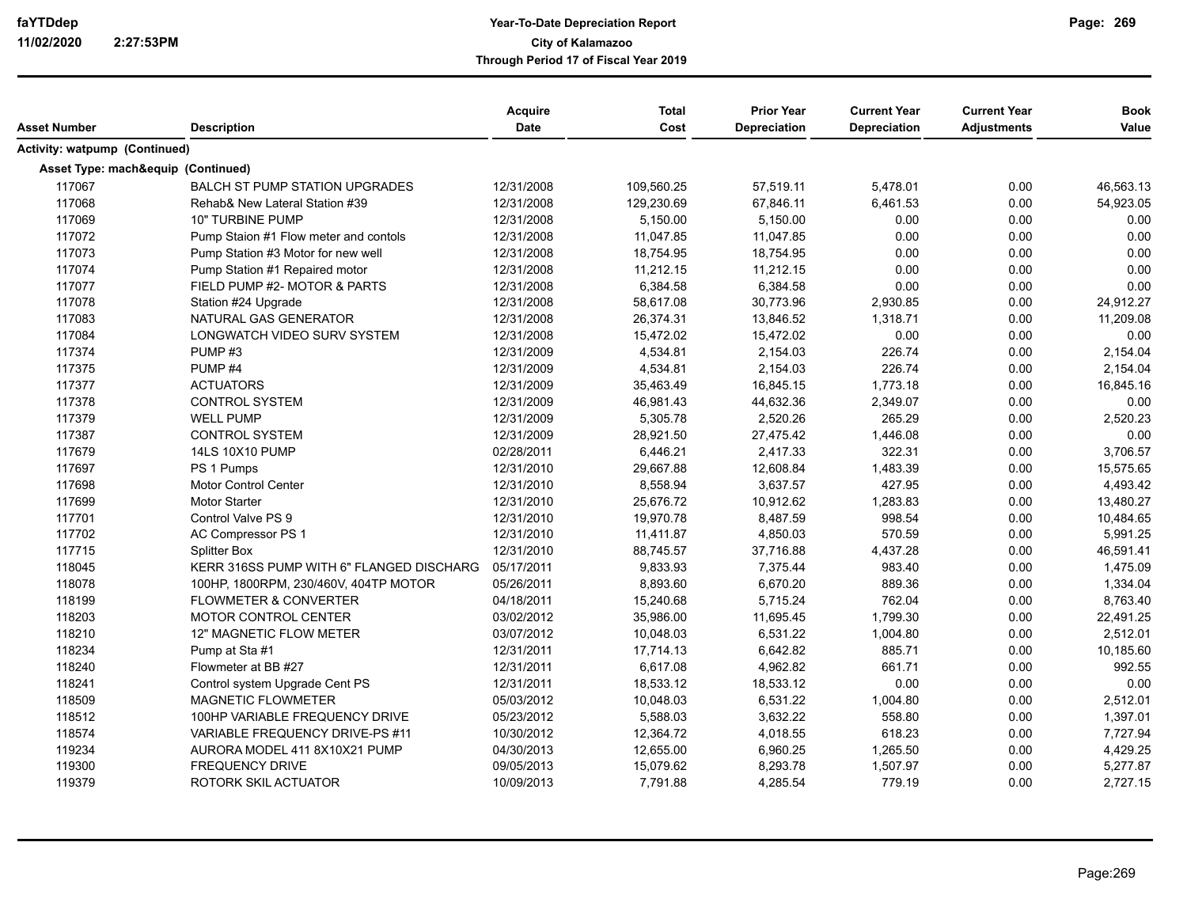| Asset Number                         | <b>Description</b>                       | Acquire<br>Date | <b>Total</b><br>Cost | <b>Prior Year</b><br><b>Depreciation</b> | <b>Current Year</b><br><b>Depreciation</b> | <b>Current Year</b><br><b>Adjustments</b> | <b>Book</b><br>Value |
|--------------------------------------|------------------------------------------|-----------------|----------------------|------------------------------------------|--------------------------------------------|-------------------------------------------|----------------------|
| <b>Activity: watpump (Continued)</b> |                                          |                 |                      |                                          |                                            |                                           |                      |
| Asset Type: mach&equip (Continued)   |                                          |                 |                      |                                          |                                            |                                           |                      |
| 117067                               | <b>BALCH ST PUMP STATION UPGRADES</b>    | 12/31/2008      | 109,560.25           | 57,519.11                                | 5,478.01                                   | 0.00                                      | 46,563.13            |
| 117068                               | Rehab& New Lateral Station #39           | 12/31/2008      | 129,230.69           | 67,846.11                                | 6,461.53                                   | 0.00                                      | 54,923.05            |
| 117069                               | <b>10" TURBINE PUMP</b>                  | 12/31/2008      | 5,150.00             | 5,150.00                                 | 0.00                                       | 0.00                                      | 0.00                 |
| 117072                               | Pump Staion #1 Flow meter and contols    | 12/31/2008      | 11,047.85            | 11,047.85                                | 0.00                                       | 0.00                                      | 0.00                 |
| 117073                               | Pump Station #3 Motor for new well       | 12/31/2008      | 18,754.95            | 18,754.95                                | 0.00                                       | 0.00                                      | 0.00                 |
| 117074                               | Pump Station #1 Repaired motor           | 12/31/2008      | 11,212.15            | 11,212.15                                | 0.00                                       | 0.00                                      | 0.00                 |
| 117077                               | FIELD PUMP #2- MOTOR & PARTS             | 12/31/2008      | 6,384.58             | 6,384.58                                 | 0.00                                       | 0.00                                      | 0.00                 |
| 117078                               | Station #24 Upgrade                      | 12/31/2008      | 58,617.08            | 30,773.96                                | 2,930.85                                   | 0.00                                      | 24,912.27            |
| 117083                               | NATURAL GAS GENERATOR                    | 12/31/2008      | 26,374.31            | 13,846.52                                | 1,318.71                                   | 0.00                                      | 11,209.08            |
| 117084                               | LONGWATCH VIDEO SURV SYSTEM              | 12/31/2008      | 15,472.02            | 15,472.02                                | 0.00                                       | 0.00                                      | 0.00                 |
| 117374                               | PUMP#3                                   | 12/31/2009      | 4,534.81             | 2,154.03                                 | 226.74                                     | 0.00                                      | 2,154.04             |
| 117375                               | PUMP <sub>#4</sub>                       | 12/31/2009      | 4,534.81             | 2,154.03                                 | 226.74                                     | 0.00                                      | 2,154.04             |
| 117377                               | <b>ACTUATORS</b>                         | 12/31/2009      | 35,463.49            | 16,845.15                                | 1,773.18                                   | 0.00                                      | 16,845.16            |
| 117378                               | <b>CONTROL SYSTEM</b>                    | 12/31/2009      | 46,981.43            | 44,632.36                                | 2,349.07                                   | 0.00                                      | 0.00                 |
| 117379                               | <b>WELL PUMP</b>                         | 12/31/2009      | 5,305.78             | 2,520.26                                 | 265.29                                     | 0.00                                      | 2,520.23             |
| 117387                               | <b>CONTROL SYSTEM</b>                    | 12/31/2009      | 28,921.50            | 27,475.42                                | 1,446.08                                   | 0.00                                      | 0.00                 |
| 117679                               | 14LS 10X10 PUMP                          | 02/28/2011      | 6,446.21             | 2,417.33                                 | 322.31                                     | 0.00                                      | 3,706.57             |
| 117697                               | PS 1 Pumps                               | 12/31/2010      | 29,667.88            | 12,608.84                                | 1,483.39                                   | 0.00                                      | 15,575.65            |
| 117698                               | Motor Control Center                     | 12/31/2010      | 8,558.94             | 3,637.57                                 | 427.95                                     | 0.00                                      | 4,493.42             |
| 117699                               | <b>Motor Starter</b>                     | 12/31/2010      | 25,676.72            | 10,912.62                                | 1,283.83                                   | 0.00                                      | 13,480.27            |
| 117701                               | Control Valve PS 9                       | 12/31/2010      | 19,970.78            | 8,487.59                                 | 998.54                                     | 0.00                                      | 10,484.65            |
| 117702                               | AC Compressor PS 1                       | 12/31/2010      | 11,411.87            | 4,850.03                                 | 570.59                                     | 0.00                                      | 5,991.25             |
| 117715                               | <b>Splitter Box</b>                      | 12/31/2010      | 88,745.57            | 37,716.88                                | 4,437.28                                   | 0.00                                      | 46,591.41            |
| 118045                               | KERR 316SS PUMP WITH 6" FLANGED DISCHARG | 05/17/2011      | 9,833.93             | 7,375.44                                 | 983.40                                     | 0.00                                      | 1,475.09             |
| 118078                               | 100HP, 1800RPM, 230/460V, 404TP MOTOR    | 05/26/2011      | 8,893.60             | 6,670.20                                 | 889.36                                     | 0.00                                      | 1,334.04             |
| 118199                               | <b>FLOWMETER &amp; CONVERTER</b>         | 04/18/2011      | 15,240.68            | 5,715.24                                 | 762.04                                     | 0.00                                      | 8,763.40             |
| 118203                               | <b>MOTOR CONTROL CENTER</b>              | 03/02/2012      | 35,986.00            | 11,695.45                                | 1,799.30                                   | 0.00                                      | 22,491.25            |
| 118210                               | <b>12" MAGNETIC FLOW METER</b>           | 03/07/2012      | 10,048.03            | 6,531.22                                 | 1.004.80                                   | 0.00                                      | 2,512.01             |
| 118234                               | Pump at Sta #1                           | 12/31/2011      | 17,714.13            | 6,642.82                                 | 885.71                                     | 0.00                                      | 10,185.60            |
| 118240                               | Flowmeter at BB #27                      | 12/31/2011      | 6,617.08             | 4,962.82                                 | 661.71                                     | 0.00                                      | 992.55               |
| 118241                               | Control system Upgrade Cent PS           | 12/31/2011      | 18,533.12            | 18,533.12                                | 0.00                                       | 0.00                                      | 0.00                 |
| 118509                               | <b>MAGNETIC FLOWMETER</b>                | 05/03/2012      | 10,048.03            | 6,531.22                                 | 1,004.80                                   | 0.00                                      | 2,512.01             |
| 118512                               | 100HP VARIABLE FREQUENCY DRIVE           | 05/23/2012      | 5,588.03             | 3,632.22                                 | 558.80                                     | 0.00                                      | 1,397.01             |
| 118574                               | VARIABLE FREQUENCY DRIVE-PS #11          | 10/30/2012      | 12,364.72            | 4,018.55                                 | 618.23                                     | 0.00                                      | 7,727.94             |
| 119234                               | AURORA MODEL 411 8X10X21 PUMP            | 04/30/2013      | 12,655.00            | 6,960.25                                 | 1,265.50                                   | 0.00                                      | 4,429.25             |
| 119300                               | FREQUENCY DRIVE                          | 09/05/2013      | 15,079.62            | 8,293.78                                 | 1,507.97                                   | 0.00                                      | 5,277.87             |
| 119379                               | ROTORK SKIL ACTUATOR                     | 10/09/2013      | 7,791.88             | 4,285.54                                 | 779.19                                     | 0.00                                      | 2,727.15             |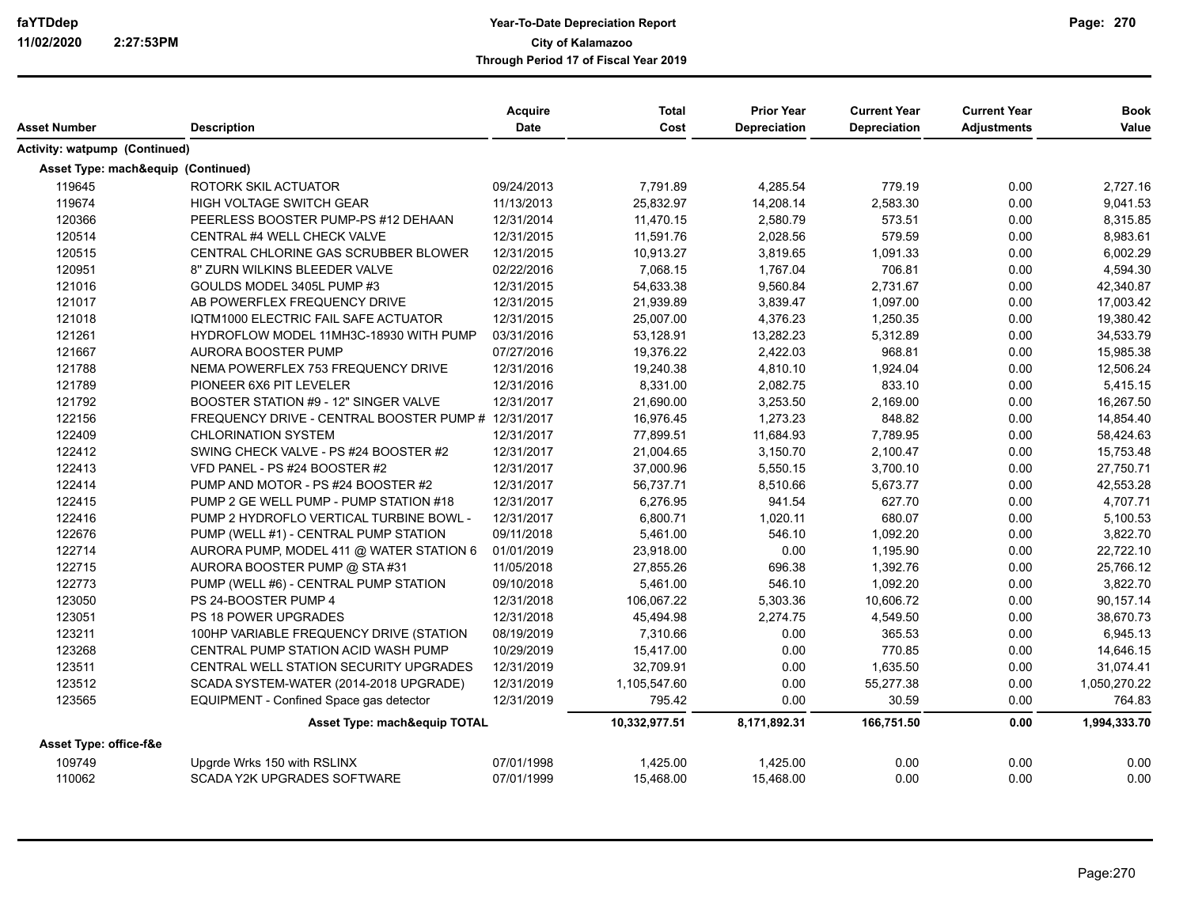| Asset Number                            | <b>Description</b>                                  | Acquire<br>Date | <b>Total</b><br>Cost | <b>Prior Year</b><br>Depreciation | <b>Current Year</b><br><b>Depreciation</b> | <b>Current Year</b><br><b>Adjustments</b> | <b>Book</b><br>Value |
|-----------------------------------------|-----------------------------------------------------|-----------------|----------------------|-----------------------------------|--------------------------------------------|-------------------------------------------|----------------------|
| <b>Activity: watpump (Continued)</b>    |                                                     |                 |                      |                                   |                                            |                                           |                      |
| Asset Type: mach&equip (Continued)      |                                                     |                 |                      |                                   |                                            |                                           |                      |
| 119645                                  | ROTORK SKIL ACTUATOR                                | 09/24/2013      | 7,791.89             | 4,285.54                          | 779.19                                     | 0.00                                      | 2,727.16             |
| 119674                                  | HIGH VOLTAGE SWITCH GEAR                            | 11/13/2013      | 25,832.97            | 14,208.14                         | 2,583.30                                   | 0.00                                      | 9,041.53             |
| 120366                                  | PEERLESS BOOSTER PUMP-PS #12 DEHAAN                 | 12/31/2014      | 11,470.15            | 2,580.79                          | 573.51                                     | 0.00                                      | 8,315.85             |
| 120514                                  | CENTRAL #4 WELL CHECK VALVE                         | 12/31/2015      | 11,591.76            | 2,028.56                          | 579.59                                     | 0.00                                      | 8,983.61             |
| 120515                                  | CENTRAL CHLORINE GAS SCRUBBER BLOWER                | 12/31/2015      | 10,913.27            | 3,819.65                          | 1,091.33                                   | 0.00                                      | 6,002.29             |
| 120951                                  | 8" ZURN WILKINS BLEEDER VALVE                       | 02/22/2016      | 7,068.15             | 1,767.04                          | 706.81                                     | 0.00                                      | 4,594.30             |
| 121016                                  | GOULDS MODEL 3405L PUMP #3                          | 12/31/2015      | 54,633.38            | 9,560.84                          | 2,731.67                                   | 0.00                                      | 42,340.87            |
| 121017                                  | AB POWERFLEX FREQUENCY DRIVE                        | 12/31/2015      | 21,939.89            | 3,839.47                          | 1,097.00                                   | 0.00                                      | 17,003.42            |
| 121018                                  | IQTM1000 ELECTRIC FAIL SAFE ACTUATOR                | 12/31/2015      | 25,007.00            | 4,376.23                          | 1,250.35                                   | 0.00                                      | 19,380.42            |
| 121261                                  | HYDROFLOW MODEL 11MH3C-18930 WITH PUMP              | 03/31/2016      | 53,128.91            | 13,282.23                         | 5,312.89                                   | 0.00                                      | 34,533.79            |
| 121667                                  | AURORA BOOSTER PUMP                                 | 07/27/2016      | 19,376.22            | 2,422.03                          | 968.81                                     | 0.00                                      | 15,985.38            |
| 121788                                  | NEMA POWERFLEX 753 FREQUENCY DRIVE                  | 12/31/2016      | 19,240.38            | 4,810.10                          | 1,924.04                                   | 0.00                                      | 12,506.24            |
| 121789                                  | PIONEER 6X6 PIT LEVELER                             | 12/31/2016      | 8,331.00             | 2,082.75                          | 833.10                                     | 0.00                                      | 5,415.15             |
| 121792                                  | BOOSTER STATION #9 - 12" SINGER VALVE               | 12/31/2017      | 21,690.00            | 3,253.50                          | 2,169.00                                   | 0.00                                      | 16,267.50            |
| 122156                                  | FREQUENCY DRIVE - CENTRAL BOOSTER PUMP # 12/31/2017 |                 | 16,976.45            | 1,273.23                          | 848.82                                     | 0.00                                      | 14,854.40            |
| 122409                                  | <b>CHLORINATION SYSTEM</b>                          | 12/31/2017      | 77,899.51            | 11,684.93                         | 7,789.95                                   | 0.00                                      | 58,424.63            |
| 122412                                  | SWING CHECK VALVE - PS #24 BOOSTER #2               | 12/31/2017      | 21,004.65            | 3,150.70                          | 2,100.47                                   | 0.00                                      | 15,753.48            |
| 122413                                  | VFD PANEL - PS #24 BOOSTER #2                       | 12/31/2017      | 37,000.96            | 5,550.15                          | 3,700.10                                   | 0.00                                      | 27,750.71            |
| 122414                                  | PUMP AND MOTOR - PS #24 BOOSTER #2                  | 12/31/2017      | 56,737.71            | 8,510.66                          | 5,673.77                                   | 0.00                                      | 42,553.28            |
| 122415                                  | PUMP 2 GE WELL PUMP - PUMP STATION #18              | 12/31/2017      | 6,276.95             | 941.54                            | 627.70                                     | 0.00                                      | 4,707.71             |
| 122416                                  | PUMP 2 HYDROFLO VERTICAL TURBINE BOWL -             | 12/31/2017      | 6,800.71             | 1,020.11                          | 680.07                                     | 0.00                                      | 5,100.53             |
| 122676                                  | PUMP (WELL #1) - CENTRAL PUMP STATION               | 09/11/2018      | 5,461.00             | 546.10                            | 1,092.20                                   | 0.00                                      | 3,822.70             |
| 122714                                  | AURORA PUMP, MODEL 411 @ WATER STATION 6            | 01/01/2019      | 23,918.00            | 0.00                              | 1,195.90                                   | 0.00                                      | 22,722.10            |
| 122715                                  | AURORA BOOSTER PUMP @ STA #31                       | 11/05/2018      | 27,855.26            | 696.38                            | 1,392.76                                   | 0.00                                      | 25,766.12            |
| 122773                                  | PUMP (WELL #6) - CENTRAL PUMP STATION               | 09/10/2018      | 5,461.00             | 546.10                            | 1,092.20                                   | 0.00                                      | 3,822.70             |
| 123050                                  | PS 24-BOOSTER PUMP 4                                | 12/31/2018      | 106,067.22           | 5,303.36                          | 10,606.72                                  | 0.00                                      | 90,157.14            |
| 123051                                  | PS 18 POWER UPGRADES                                | 12/31/2018      | 45,494.98            | 2,274.75                          | 4,549.50                                   | 0.00                                      | 38,670.73            |
| 123211                                  | 100HP VARIABLE FREQUENCY DRIVE (STATION             | 08/19/2019      | 7,310.66             | 0.00                              | 365.53                                     | 0.00                                      | 6,945.13             |
| 123268                                  | CENTRAL PUMP STATION ACID WASH PUMP                 | 10/29/2019      | 15,417.00            | 0.00                              | 770.85                                     | 0.00                                      | 14,646.15            |
| 123511                                  | CENTRAL WELL STATION SECURITY UPGRADES              | 12/31/2019      | 32,709.91            | 0.00                              | 1,635.50                                   | 0.00                                      | 31,074.41            |
| 123512                                  | SCADA SYSTEM-WATER (2014-2018 UPGRADE)              | 12/31/2019      | 1,105,547.60         | 0.00                              | 55,277.38                                  | 0.00                                      | 1,050,270.22         |
| 123565                                  | EQUIPMENT - Confined Space gas detector             | 12/31/2019      | 795.42               | 0.00                              | 30.59                                      | 0.00                                      | 764.83               |
| <b>Asset Type: mach&amp;equip TOTAL</b> |                                                     |                 | 10,332,977.51        | 8,171,892.31                      | 166,751.50                                 | 0.00                                      | 1,994,333.70         |
| Asset Type: office-f&e                  |                                                     |                 |                      |                                   |                                            |                                           |                      |
| 109749                                  | Upgrde Wrks 150 with RSLINX                         | 07/01/1998      | 1,425.00             | 1,425.00                          | 0.00                                       | 0.00                                      | 0.00                 |
| 110062                                  | <b>SCADA Y2K UPGRADES SOFTWARE</b>                  | 07/01/1999      | 15,468.00            | 15,468.00                         | 0.00                                       | 0.00                                      | 0.00                 |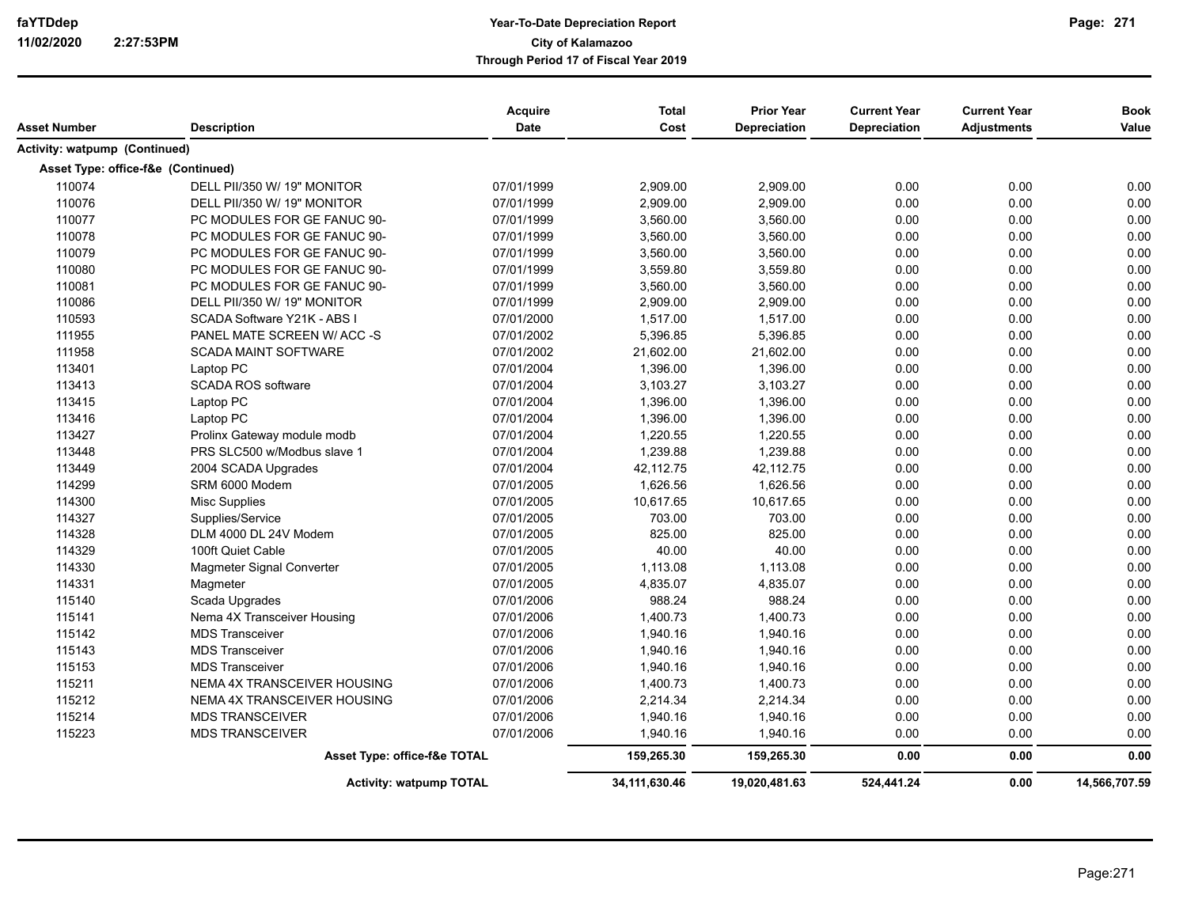| Asset Number                       | <b>Description</b>                 | <b>Acquire</b><br>Date | <b>Total</b><br>Cost | <b>Prior Year</b><br>Depreciation | <b>Current Year</b><br><b>Depreciation</b> | <b>Current Year</b><br><b>Adjustments</b> | <b>Book</b><br>Value |
|------------------------------------|------------------------------------|------------------------|----------------------|-----------------------------------|--------------------------------------------|-------------------------------------------|----------------------|
| Activity: watpump (Continued)      |                                    |                        |                      |                                   |                                            |                                           |                      |
|                                    |                                    |                        |                      |                                   |                                            |                                           |                      |
| Asset Type: office-f&e (Continued) |                                    |                        |                      |                                   |                                            |                                           |                      |
| 110074                             | DELL PII/350 W/ 19" MONITOR        | 07/01/1999             | 2,909.00             | 2,909.00                          | 0.00                                       | 0.00                                      | 0.00                 |
| 110076                             | DELL PII/350 W/ 19" MONITOR        | 07/01/1999             | 2,909.00             | 2,909.00                          | 0.00                                       | 0.00                                      | 0.00                 |
| 110077                             | PC MODULES FOR GE FANUC 90-        | 07/01/1999             | 3,560.00             | 3,560.00                          | 0.00                                       | 0.00                                      | 0.00                 |
| 110078                             | PC MODULES FOR GE FANUC 90-        | 07/01/1999             | 3,560.00             | 3,560.00                          | 0.00                                       | 0.00                                      | 0.00                 |
| 110079                             | PC MODULES FOR GE FANUC 90-        | 07/01/1999             | 3,560.00             | 3,560.00                          | 0.00                                       | 0.00                                      | 0.00                 |
| 110080                             | PC MODULES FOR GE FANUC 90-        | 07/01/1999             | 3,559.80             | 3,559.80                          | 0.00                                       | 0.00                                      | 0.00                 |
| 110081                             | PC MODULES FOR GE FANUC 90-        | 07/01/1999             | 3,560.00             | 3,560.00                          | 0.00                                       | 0.00                                      | 0.00                 |
| 110086                             | DELL PII/350 W/ 19" MONITOR        | 07/01/1999             | 2,909.00             | 2,909.00                          | 0.00                                       | 0.00                                      | 0.00                 |
| 110593                             | <b>SCADA Software Y21K - ABS I</b> | 07/01/2000             | 1,517.00             | 1,517.00                          | 0.00                                       | 0.00                                      | 0.00                 |
| 111955                             | PANEL MATE SCREEN W/ACC-S          | 07/01/2002             | 5,396.85             | 5,396.85                          | 0.00                                       | 0.00                                      | 0.00                 |
| 111958                             | <b>SCADA MAINT SOFTWARE</b>        | 07/01/2002             | 21,602.00            | 21,602.00                         | 0.00                                       | 0.00                                      | 0.00                 |
| 113401                             | Laptop PC                          | 07/01/2004             | 1,396.00             | 1,396.00                          | 0.00                                       | 0.00                                      | 0.00                 |
| 113413                             | SCADA ROS software                 | 07/01/2004             | 3,103.27             | 3,103.27                          | 0.00                                       | 0.00                                      | 0.00                 |
| 113415                             | Laptop PC                          | 07/01/2004             | 1,396.00             | 1,396.00                          | 0.00                                       | 0.00                                      | 0.00                 |
| 113416                             | Laptop PC                          | 07/01/2004             | 1,396.00             | 1,396.00                          | 0.00                                       | 0.00                                      | 0.00                 |
| 113427                             | Prolinx Gateway module modb        | 07/01/2004             | 1,220.55             | 1,220.55                          | 0.00                                       | 0.00                                      | 0.00                 |
| 113448                             | PRS SLC500 w/Modbus slave 1        | 07/01/2004             | 1,239.88             | 1,239.88                          | 0.00                                       | 0.00                                      | 0.00                 |
| 113449                             | 2004 SCADA Upgrades                | 07/01/2004             | 42,112.75            | 42,112.75                         | 0.00                                       | 0.00                                      | 0.00                 |
| 114299                             | SRM 6000 Modem                     | 07/01/2005             | 1,626.56             | 1,626.56                          | 0.00                                       | 0.00                                      | 0.00                 |
| 114300                             | <b>Misc Supplies</b>               | 07/01/2005             | 10,617.65            | 10.617.65                         | 0.00                                       | 0.00                                      | 0.00                 |
| 114327                             | Supplies/Service                   | 07/01/2005             | 703.00               | 703.00                            | 0.00                                       | 0.00                                      | 0.00                 |
| 114328                             | DLM 4000 DL 24V Modem              | 07/01/2005             | 825.00               | 825.00                            | 0.00                                       | 0.00                                      | 0.00                 |
| 114329                             | 100ft Quiet Cable                  | 07/01/2005             | 40.00                | 40.00                             | 0.00                                       | 0.00                                      | 0.00                 |
| 114330                             | Magmeter Signal Converter          | 07/01/2005             | 1,113.08             | 1,113.08                          | 0.00                                       | 0.00                                      | 0.00                 |
| 114331                             | Magmeter                           | 07/01/2005             | 4,835.07             | 4,835.07                          | 0.00                                       | 0.00                                      | 0.00                 |
| 115140                             | Scada Upgrades                     | 07/01/2006             | 988.24               | 988.24                            | 0.00                                       | 0.00                                      | 0.00                 |
| 115141                             | Nema 4X Transceiver Housing        | 07/01/2006             | 1,400.73             | 1,400.73                          | 0.00                                       | 0.00                                      | 0.00                 |
| 115142                             | <b>MDS Transceiver</b>             | 07/01/2006             | 1,940.16             | 1,940.16                          | 0.00                                       | 0.00                                      | 0.00                 |
| 115143                             | <b>MDS Transceiver</b>             | 07/01/2006             | 1,940.16             | 1,940.16                          | 0.00                                       | 0.00                                      | 0.00                 |
| 115153                             | <b>MDS Transceiver</b>             | 07/01/2006             | 1,940.16             | 1,940.16                          | 0.00                                       | 0.00                                      | 0.00                 |
| 115211                             | NEMA 4X TRANSCEIVER HOUSING        | 07/01/2006             | 1,400.73             | 1,400.73                          | 0.00                                       | 0.00                                      | 0.00                 |
| 115212                             | NEMA 4X TRANSCEIVER HOUSING        | 07/01/2006             | 2,214.34             | 2,214.34                          | 0.00                                       | 0.00                                      | 0.00                 |
| 115214                             | <b>MDS TRANSCEIVER</b>             | 07/01/2006             | 1,940.16             | 1,940.16                          | 0.00                                       | 0.00                                      | 0.00                 |
| 115223                             | <b>MDS TRANSCEIVER</b>             | 07/01/2006             | 1,940.16             | 1,940.16                          | 0.00                                       | 0.00                                      | 0.00                 |
|                                    | Asset Type: office-f&e TOTAL       |                        | 159,265.30           | 159,265.30                        | 0.00                                       | 0.00                                      | 0.00                 |
|                                    |                                    |                        |                      |                                   |                                            |                                           |                      |
|                                    | <b>Activity: watpump TOTAL</b>     |                        | 34, 111, 630. 46     | 19,020,481.63                     | 524,441.24                                 | 0.00                                      | 14,566,707.59        |